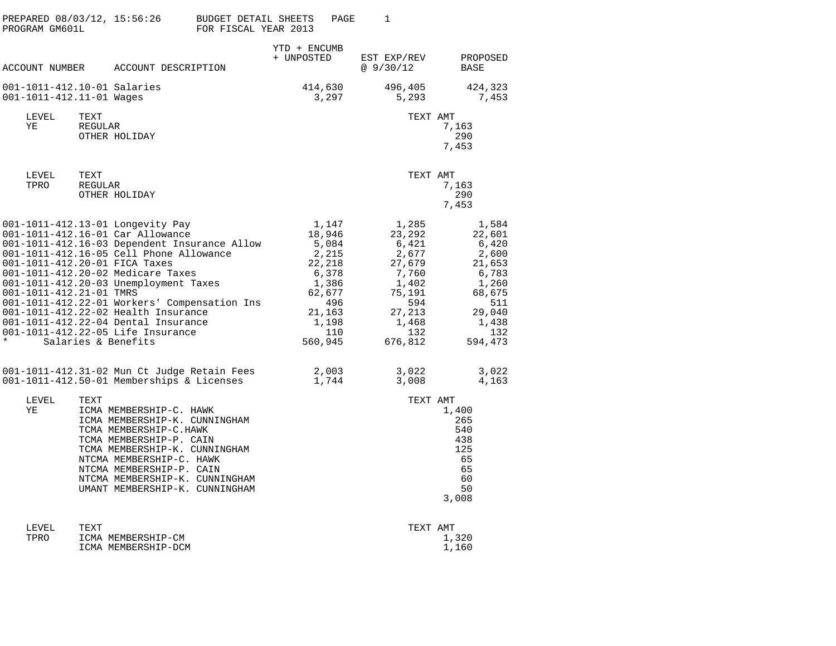| PREPARED 08/03/12, 15:56:26<br>PROGRAM GM601L                       |                 |                                                                                                                                                                                                                                                                                                                                                                                                                                         | <b>BUDGET DETAIL SHEETS</b><br>FOR FISCAL YEAR 2013 |                            | PAGE                                                                                                                | 1                                                                                                     |                            |                                                                                                                     |  |
|---------------------------------------------------------------------|-----------------|-----------------------------------------------------------------------------------------------------------------------------------------------------------------------------------------------------------------------------------------------------------------------------------------------------------------------------------------------------------------------------------------------------------------------------------------|-----------------------------------------------------|----------------------------|---------------------------------------------------------------------------------------------------------------------|-------------------------------------------------------------------------------------------------------|----------------------------|---------------------------------------------------------------------------------------------------------------------|--|
|                                                                     |                 | ACCOUNT NUMBER ACCOUNT DESCRIPTION                                                                                                                                                                                                                                                                                                                                                                                                      |                                                     | YTD + ENCUMB<br>+ UNPOSTED |                                                                                                                     | EST EXP/REV<br>@9/30/12                                                                               |                            | PROPOSED<br><b>BASE</b>                                                                                             |  |
| 001-1011-412.10-01 Salaries<br>001-1011-412.11-01 Wages             |                 |                                                                                                                                                                                                                                                                                                                                                                                                                                         |                                                     |                            | 414,630<br>3,297                                                                                                    | 496,405<br>5,293                                                                                      |                            | 424,323<br>7,453                                                                                                    |  |
| LEVEL<br>ΥE                                                         | TEXT<br>REGULAR | OTHER HOLIDAY                                                                                                                                                                                                                                                                                                                                                                                                                           |                                                     |                            |                                                                                                                     |                                                                                                       | TEXT AMT<br>7,163<br>7,453 | 290                                                                                                                 |  |
| LEVEL<br>TPRO                                                       | TEXT<br>REGULAR | OTHER HOLIDAY                                                                                                                                                                                                                                                                                                                                                                                                                           |                                                     |                            |                                                                                                                     |                                                                                                       | TEXT AMT<br>7,163<br>7,453 | 290                                                                                                                 |  |
| 001-1011-412.20-01 FICA Taxes<br>001-1011-412.21-01 TMRS<br>$\star$ |                 | 001-1011-412.13-01 Longevity Pay<br>001-1011-412.16-01 Car Allowance<br>001-1011-412.16-03 Dependent Insurance Allow<br>001-1011-412.16-05 Cell Phone Allowance<br>001-1011-412.20-02 Medicare Taxes<br>001-1011-412.20-03 Unemployment Taxes<br>001-1011-412.22-01 Workers' Compensation Ins<br>001-1011-412.22-02 Health Insurance<br>001-1011-412.22-04 Dental Insurance<br>001-1011-412.22-05 Life Insurance<br>Salaries & Benefits |                                                     |                            | 1,147<br>18,946<br>5,084<br>2,215<br>22,218<br>6,378<br>1,386<br>62,677<br>496<br>21,163<br>1,198<br>110<br>560,945 | 1,285<br>23,292<br>6,421<br>2,677<br>27,679<br>7,760<br>1,402<br>75,191<br>27,213<br>1,468<br>676,812 | 594<br>132                 | 1,584<br>22,601<br>6,420<br>2,600<br>21,653<br>6,783<br>1,260<br>68,675<br>511<br>29,040<br>1,438<br>132<br>594,473 |  |
|                                                                     |                 | 001-1011-412.31-02 Mun Ct Judge Retain Fees<br>001-1011-412.50-01 Memberships & Licenses                                                                                                                                                                                                                                                                                                                                                |                                                     |                            | 2,003<br>1,744                                                                                                      | 3,022<br>3,008                                                                                        |                            | 3,022<br>4,163                                                                                                      |  |
| LEVEL<br>ΥE                                                         | TEXT            | ICMA MEMBERSHIP-C. HAWK<br>ICMA MEMBERSHIP-K. CUNNINGHAM<br>TCMA MEMBERSHIP-C.HAWK<br>TCMA MEMBERSHIP-P. CAIN<br>TCMA MEMBERSHIP-K. CUNNINGHAM<br>NTCMA MEMBERSHIP-C. HAWK<br>NTCMA MEMBERSHIP-P. CAIN<br>NTCMA MEMBERSHIP-K. CUNNINGHAM<br>UMANT MEMBERSHIP-K. CUNNINGHAM                                                                                                                                                              |                                                     |                            |                                                                                                                     |                                                                                                       | TEXT AMT<br>1,400<br>3,008 | 265<br>540<br>438<br>125<br>65<br>65<br>60<br>50                                                                    |  |
|                                                                     |                 |                                                                                                                                                                                                                                                                                                                                                                                                                                         |                                                     |                            |                                                                                                                     |                                                                                                       |                            |                                                                                                                     |  |

| LEVEL | TEXT                | TEXT AMT |
|-------|---------------------|----------|
| TPRO  | ICMA MEMBERSHIP-CM  | 1,320    |
|       | ICMA MEMBERSHIP-DCM | 1,160    |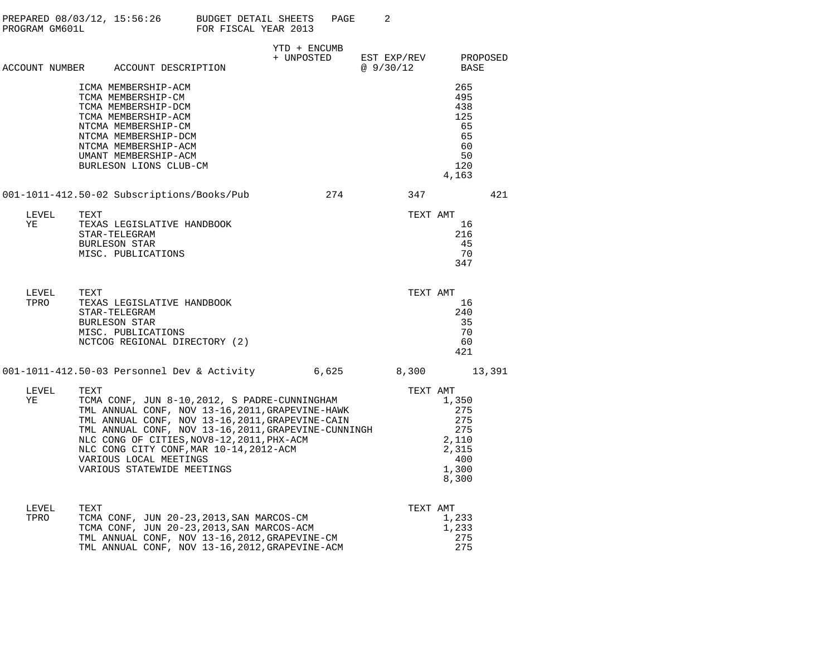| PROGRAM GM601L |      |                                                                                                                                                                                                                  | PREPARED $08/03/12$ , $15:56:26$ BUDGET DETAIL SHEETS<br>FOR FISCAL YEAR 2013                                                                                                                                                                                                                         |                            | PAGE  | 2                       |                                                                                   |                  |
|----------------|------|------------------------------------------------------------------------------------------------------------------------------------------------------------------------------------------------------------------|-------------------------------------------------------------------------------------------------------------------------------------------------------------------------------------------------------------------------------------------------------------------------------------------------------|----------------------------|-------|-------------------------|-----------------------------------------------------------------------------------|------------------|
|                |      | ACCOUNT NUMBER ACCOUNT DESCRIPTION                                                                                                                                                                               |                                                                                                                                                                                                                                                                                                       | YTD + ENCUMB<br>+ UNPOSTED |       | EST EXP/REV<br>@9/30/12 |                                                                                   | PROPOSED<br>BASE |
|                |      | ICMA MEMBERSHIP-ACM<br>TCMA MEMBERSHIP-CM<br>TCMA MEMBERSHIP-DCM<br>TCMA MEMBERSHIP-ACM<br>NTCMA MEMBERSHIP-CM<br>NTCMA MEMBERSHIP-DCM<br>NTCMA MEMBERSHIP-ACM<br>UMANT MEMBERSHIP-ACM<br>BURLESON LIONS CLUB-CM |                                                                                                                                                                                                                                                                                                       |                            |       |                         | 265<br>495<br>438<br>125<br>65<br>65<br>60<br>50<br>120<br>4,163                  |                  |
|                |      | 001-1011-412.50-02 Subscriptions/Books/Pub                                                                                                                                                                       |                                                                                                                                                                                                                                                                                                       |                            | 274   | 347                     |                                                                                   | 421              |
| LEVEL<br>YE    | TEXT | TEXAS LEGISLATIVE HANDBOOK<br>STAR-TELEGRAM<br><b>BURLESON STAR</b><br>MISC. PUBLICATIONS                                                                                                                        |                                                                                                                                                                                                                                                                                                       |                            |       |                         | TEXT AMT<br>16<br>216<br>45<br>70<br>347                                          |                  |
| LEVEL<br>TPRO  | TEXT | TEXAS LEGISLATIVE HANDBOOK<br>STAR-TELEGRAM<br><b>BURLESON STAR</b><br>MISC. PUBLICATIONS<br>NCTCOG REGIONAL DIRECTORY (2)                                                                                       |                                                                                                                                                                                                                                                                                                       |                            |       |                         | TEXT AMT<br>16<br>240<br>35<br>70<br>60<br>421                                    |                  |
|                |      |                                                                                                                                                                                                                  | 001-1011-412.50-03 Personnel Dev & Activity                                                                                                                                                                                                                                                           |                            | 6,625 |                         | 8,300                                                                             | 13,391           |
| LEVEL<br>YE    | TEXT | VARIOUS LOCAL MEETINGS<br>VARIOUS STATEWIDE MEETINGS                                                                                                                                                             | TCMA CONF, JUN 8-10,2012, S PADRE-CUNNINGHAM<br>TML ANNUAL CONF, NOV 13-16, 2011, GRAPEVINE-HAWK<br>TML ANNUAL CONF, NOV 13-16, 2011, GRAPEVINE-CAIN<br>TML ANNUAL CONF, NOV 13-16, 2011, GRAPEVINE-CUNNINGH<br>NLC CONG OF CITIES, NOV8-12, 2011, PHX-ACM<br>NLC CONG CITY CONF, MAR 10-14, 2012-ACM |                            |       |                         | TEXT AMT<br>1,350<br>275<br>275<br>275<br>2,110<br>2,315<br>400<br>1,300<br>8,300 |                  |
| LEVEL<br>TPRO  | TEXT |                                                                                                                                                                                                                  | TCMA CONF, JUN 20-23,2013,SAN MARCOS-CM<br>TCMA CONF, JUN 20-23, 2013, SAN MARCOS-ACM<br>TML ANNUAL CONF, NOV 13-16, 2012, GRAPEVINE-CM<br>TML ANNUAL CONF, NOV 13-16, 2012, GRAPEVINE-ACM                                                                                                            |                            |       |                         | TEXT AMT<br>1,233<br>1,233<br>275<br>275                                          |                  |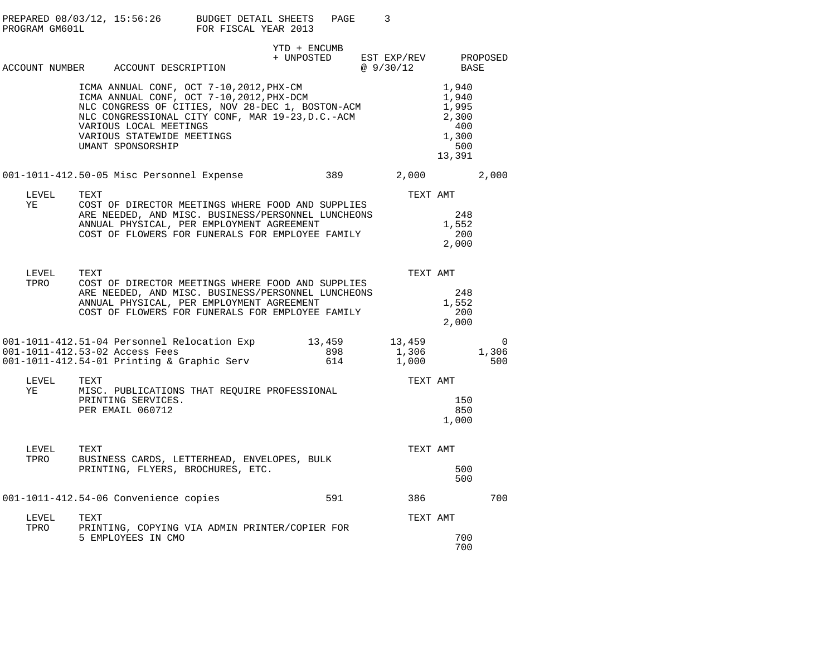| PROGRAM GM601L | PREPARED $08/03/12$ , 15:56:26 BUDGET DETAIL SHEETS                                                                                                                                                                                                                        | FOR FISCAL YEAR 2013 |              | PAGE       | 3                                            |                                                                   |                          |
|----------------|----------------------------------------------------------------------------------------------------------------------------------------------------------------------------------------------------------------------------------------------------------------------------|----------------------|--------------|------------|----------------------------------------------|-------------------------------------------------------------------|--------------------------|
|                | ACCOUNT NUMBER ACCOUNT DESCRIPTION                                                                                                                                                                                                                                         |                      | YTD + ENCUMB |            | + UNPOSTED EST EXP/REV PROPOSED<br>@ 9/30/12 | BASE                                                              |                          |
|                | ICMA ANNUAL CONF, OCT 7-10, 2012, PHX-CM<br>ICMA ANNUAL CONF, OCT 7-10, 2012, PHX-DCM<br>NLC CONGRESS OF CITIES, NOV 28-DEC 1, BOSTON-ACM<br>NLC CONGRESSIONAL CITY CONF, MAR 19-23, D.C.-ACM<br>VARIOUS LOCAL MEETINGS<br>VARIOUS STATEWIDE MEETINGS<br>UMANT SPONSORSHIP |                      |              |            |                                              | 1,940<br>1,940<br>1,995<br>2,300<br>400<br>1,300<br>500<br>13,391 |                          |
|                | 001-1011-412.50-05 Misc Personnel Expense                                                                                                                                                                                                                                  |                      |              | 389        | 2,000 2,000                                  |                                                                   |                          |
| LEVEL          | TEXT                                                                                                                                                                                                                                                                       |                      |              |            | TEXT AMT                                     |                                                                   |                          |
| YE             | COST OF DIRECTOR MEETINGS WHERE FOOD AND SUPPLIES<br>ARE NEEDED, AND MISC. BUSINESS/PERSONNEL LUNCHEONS<br>ANNUAL PHYSICAL, PER EMPLOYMENT AGREEMENT<br>COST OF FLOWERS FOR FUNERALS FOR EMPLOYEE FAMILY                                                                   |                      |              |            |                                              | 248<br>1,552<br>- 200<br>2,000                                    |                          |
| LEVEL<br>TPRO  | TEXT<br>COST OF DIRECTOR MEETINGS WHERE FOOD AND SUPPLIES<br>ARE NEEDED, AND MISC. BUSINESS/PERSONNEL LUNCHEONS<br>ANNUAL PHYSICAL, PER EMPLOYMENT AGREEMENT<br>COST OF FLOWERS FOR FUNERALS FOR EMPLOYEE FAMILY                                                           |                      |              |            | TEXT AMT                                     | 248<br>1,552<br>200<br>2,000                                      |                          |
|                | 001-1011-412.51-04 Personnel Relocation Exp 13,459<br>001-1011-412.53-02 Access Fees<br>001-1011-412.54-01 Printing & Graphic Serv                                                                                                                                         |                      |              | 898<br>614 | 13,459<br>1,306<br>1,000                     |                                                                   | $\Omega$<br>1,306<br>500 |
| LEVEL<br>YE    | TEXT<br>MISC. PUBLICATIONS THAT REQUIRE PROFESSIONAL<br>PRINTING SERVICES.<br>PER EMAIL 060712                                                                                                                                                                             |                      |              |            | TEXT AMT                                     | 150<br>850<br>1,000                                               |                          |
| LEVEL<br>TPRO  | TEXT<br>BUSINESS CARDS, LETTERHEAD, ENVELOPES, BULK<br>PRINTING, FLYERS, BROCHURES, ETC.                                                                                                                                                                                   |                      |              |            | TEXT AMT                                     | 500<br>500                                                        |                          |
|                | 001-1011-412.54-06 Convenience copies                                                                                                                                                                                                                                      |                      |              | 591        | 386 70                                       |                                                                   | 700                      |
| LEVEL          | TEXT                                                                                                                                                                                                                                                                       |                      |              |            | TEXT AMT                                     |                                                                   |                          |
| TPRO           | PRINTING, COPYING VIA ADMIN PRINTER/COPIER FOR<br>5 EMPLOYEES IN CMO                                                                                                                                                                                                       |                      |              |            |                                              | 700<br>700                                                        |                          |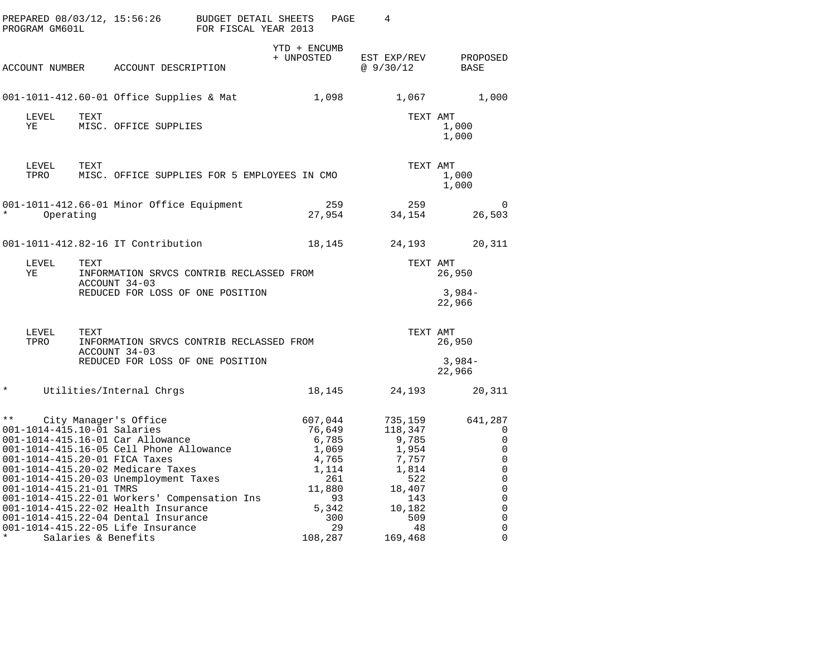| PREPARED 08/03/12, 15:56:26<br>PROGRAM GM601L                                      |           |                                                                                                                                                                                                                                                                                                                                                                                                               | <b>BUDGET DETAIL SHEETS</b><br>FOR FISCAL YEAR 2013 | PAGE                                                                                                          | 4                                                                                                                |                                                                                                                                        |
|------------------------------------------------------------------------------------|-----------|---------------------------------------------------------------------------------------------------------------------------------------------------------------------------------------------------------------------------------------------------------------------------------------------------------------------------------------------------------------------------------------------------------------|-----------------------------------------------------|---------------------------------------------------------------------------------------------------------------|------------------------------------------------------------------------------------------------------------------|----------------------------------------------------------------------------------------------------------------------------------------|
| ACCOUNT NUMBER                                                                     |           | ACCOUNT DESCRIPTION                                                                                                                                                                                                                                                                                                                                                                                           | YTD + ENCUMB<br>+ UNPOSTED                          |                                                                                                               | EST EXP/REV<br>@9/30/12                                                                                          | PROPOSED<br>BASE                                                                                                                       |
|                                                                                    |           | 001-1011-412.60-01 Office Supplies & Mat                                                                                                                                                                                                                                                                                                                                                                      |                                                     | 1,098                                                                                                         | 1,067                                                                                                            | 1,000                                                                                                                                  |
| LEVEL<br>ΥE                                                                        | TEXT      | MISC. OFFICE SUPPLIES                                                                                                                                                                                                                                                                                                                                                                                         |                                                     |                                                                                                               | TEXT AMT                                                                                                         | 1,000<br>1,000                                                                                                                         |
| LEVEL<br>TPRO                                                                      | TEXT      | MISC. OFFICE SUPPLIES FOR 5 EMPLOYEES IN CMO                                                                                                                                                                                                                                                                                                                                                                  |                                                     |                                                                                                               | TEXT AMT                                                                                                         | 1,000<br>1,000                                                                                                                         |
| $\star$                                                                            | Operating | 001-1011-412.66-01 Minor Office Equipment                                                                                                                                                                                                                                                                                                                                                                     |                                                     | 259<br>27,954                                                                                                 | 259<br>34,154                                                                                                    | $\Omega$<br>26,503                                                                                                                     |
|                                                                                    |           | 001-1011-412.82-16 IT Contribution                                                                                                                                                                                                                                                                                                                                                                            |                                                     | 18,145                                                                                                        | 24,193                                                                                                           | 20,311                                                                                                                                 |
| LEVEL<br>YE                                                                        | TEXT      | INFORMATION SRVCS CONTRIB RECLASSED FROM<br>ACCOUNT 34-03                                                                                                                                                                                                                                                                                                                                                     |                                                     |                                                                                                               | TEXT AMT                                                                                                         | 26,950                                                                                                                                 |
|                                                                                    |           | REDUCED FOR LOSS OF ONE POSITION                                                                                                                                                                                                                                                                                                                                                                              |                                                     |                                                                                                               |                                                                                                                  | $3,984-$<br>22,966                                                                                                                     |
| LEVEL<br>TPRO                                                                      | TEXT      | INFORMATION SRVCS CONTRIB RECLASSED FROM<br>ACCOUNT 34-03                                                                                                                                                                                                                                                                                                                                                     |                                                     |                                                                                                               | TEXT AMT                                                                                                         | 26,950                                                                                                                                 |
|                                                                                    |           | REDUCED FOR LOSS OF ONE POSITION                                                                                                                                                                                                                                                                                                                                                                              |                                                     |                                                                                                               |                                                                                                                  | $3,984-$<br>22,966                                                                                                                     |
| $\star$                                                                            |           | Utilities/Internal Chrgs                                                                                                                                                                                                                                                                                                                                                                                      |                                                     | 18,145                                                                                                        | 24,193                                                                                                           | 20,311                                                                                                                                 |
| $\star \star$<br>001-1014-415.10-01 Salaries<br>001-1014-415.21-01 TMRS<br>$\star$ |           | City Manager's Office<br>001-1014-415.16-01 Car Allowance<br>001-1014-415.16-05 Cell Phone Allowance<br>001-1014-415.20-01 FICA Taxes<br>001-1014-415.20-02 Medicare Taxes<br>001-1014-415.20-03 Unemployment Taxes<br>001-1014-415.22-01 Workers' Compensation Ins<br>001-1014-415.22-02 Health Insurance<br>001-1014-415.22-04 Dental Insurance<br>001-1014-415.22-05 Life Insurance<br>Salaries & Benefits |                                                     | 607,044<br>76,649<br>6,785<br>1,069<br>4,765<br>1,114<br>261<br>11,880<br>93<br>5,342<br>300<br>29<br>108,287 | 735,159<br>118,347<br>9,785<br>1,954<br>7,757<br>1,814<br>522<br>18,407<br>143<br>10,182<br>509<br>48<br>169,468 | 641,287<br>0<br>$\mathbf 0$<br>0<br>$\mathbf 0$<br>0<br>$\mathsf 0$<br>0<br>$\mathsf 0$<br>0<br>$\mathbf 0$<br>$\mathbf 0$<br>$\Omega$ |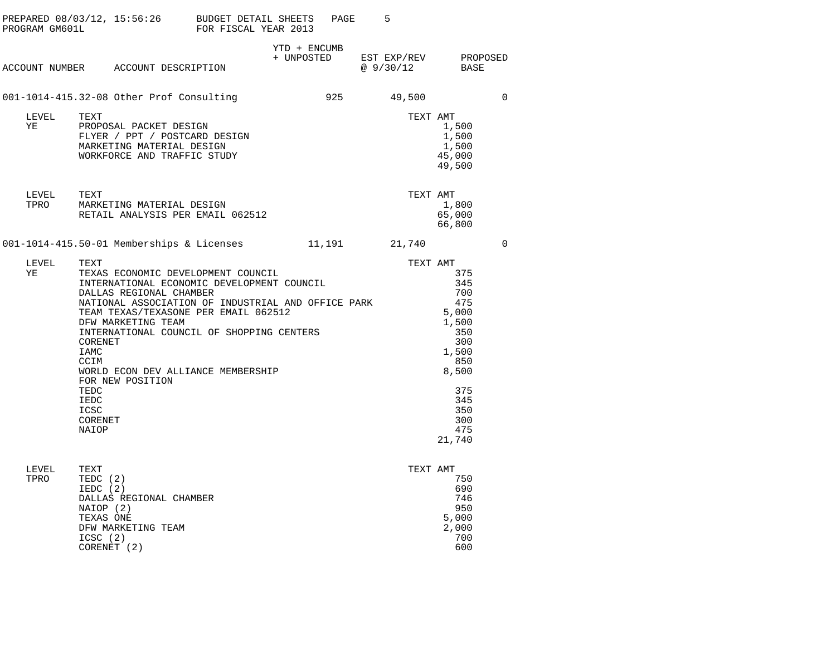| PROGRAM GM601L |                                                                                                                       | PREPARED 08/03/12, 15:56:26 BUDGET DETAIL SHEETS                                                                                                                                                                                                                                             | FOR FISCAL YEAR 2013       | PAGE   | 5                        |                                                                                                                                |          |
|----------------|-----------------------------------------------------------------------------------------------------------------------|----------------------------------------------------------------------------------------------------------------------------------------------------------------------------------------------------------------------------------------------------------------------------------------------|----------------------------|--------|--------------------------|--------------------------------------------------------------------------------------------------------------------------------|----------|
|                |                                                                                                                       | ACCOUNT NUMBER ACCOUNT DESCRIPTION                                                                                                                                                                                                                                                           | YTD + ENCUMB<br>+ UNPOSTED |        | EST EXP/REV<br>@ 9/30/12 | BASE                                                                                                                           | PROPOSED |
|                |                                                                                                                       | 001-1014-415.32-08 Other Prof Consulting                                                                                                                                                                                                                                                     |                            | 925    | 49,500                   |                                                                                                                                | 0        |
| LEVEL<br>ΥE    | TEXT                                                                                                                  | PROPOSAL PACKET DESIGN<br>FLYER / PPT / POSTCARD DESIGN<br>MARKETING MATERIAL DESIGN<br>WORKFORCE AND TRAFFIC STUDY                                                                                                                                                                          |                            |        | TEXT AMT                 | 1,500<br>1,500<br>1,500<br>45,000<br>49,500                                                                                    |          |
| LEVEL<br>TPRO  | TEXT                                                                                                                  | MARKETING MATERIAL DESIGN<br>RETAIL ANALYSIS PER EMAIL 062512                                                                                                                                                                                                                                |                            |        | TEXT AMT                 | 1,800<br>65,000<br>66,800                                                                                                      |          |
|                |                                                                                                                       | 001-1014-415.50-01 Memberships & Licenses                                                                                                                                                                                                                                                    |                            | 11,191 | 21,740                   |                                                                                                                                | 0        |
| LEVEL<br>ΥE    | TEXT<br>DFW MARKETING TEAM<br>CORENET<br>IAMC<br>CCIM<br>FOR NEW POSITION<br>TEDC<br>IEDC<br>ICSC<br>CORENET<br>NAIOP | TEXAS ECONOMIC DEVELOPMENT COUNCIL<br>INTERNATIONAL ECONOMIC DEVELOPMENT COUNCIL<br>DALLAS REGIONAL CHAMBER<br>NATIONAL ASSOCIATION OF INDUSTRIAL AND OFFICE PARK<br>TEAM TEXAS/TEXASONE PER EMAIL 062512<br>INTERNATIONAL COUNCIL OF SHOPPING CENTERS<br>WORLD ECON DEV ALLIANCE MEMBERSHIP |                            |        | TEXT AMT                 | 375<br>345<br>700<br>475<br>5,000<br>1,500<br>350<br>300<br>1,500<br>850<br>8,500<br>375<br>345<br>350<br>300<br>475<br>21,740 |          |
| LEVEL<br>TPRO  | TEXT<br>TEDC (2)<br>IEDC (2)<br>NAIOP (2)<br>TEXAS ONE<br>DFW MARKETING TEAM<br>ICSC(2)<br>CORENET (2)                | DALLAS REGIONAL CHAMBER                                                                                                                                                                                                                                                                      |                            |        | TEXT AMT                 | 750<br>690<br>746<br>950<br>5,000<br>2,000<br>700<br>600                                                                       |          |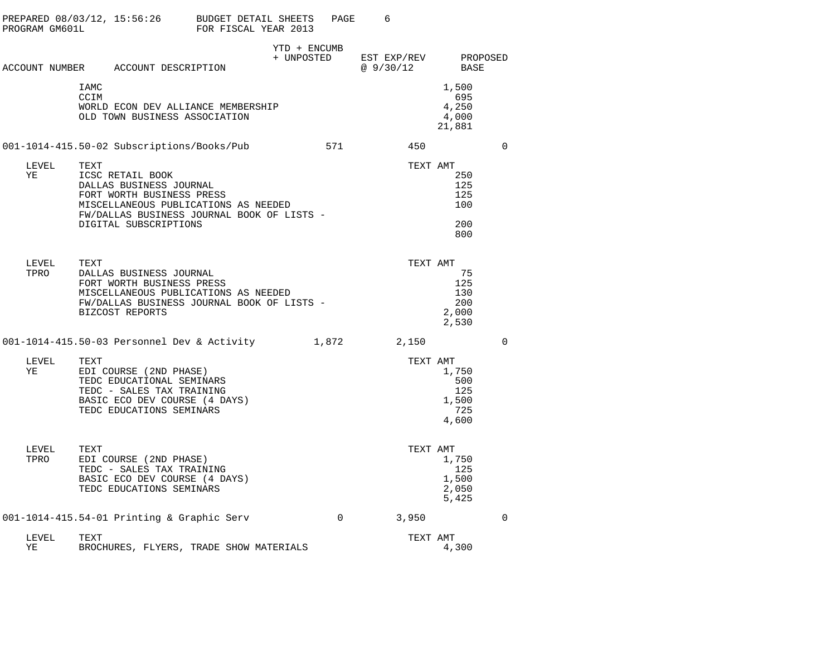| PREPARED 08/03/12, 15:56:26<br>PROGRAM GM601L |              |                                                                                                                                               | BUDGET DETAIL SHEETS<br>FOR FISCAL YEAR 2013                                       |                            | PAGE     | 6                        |                                              |          |
|-----------------------------------------------|--------------|-----------------------------------------------------------------------------------------------------------------------------------------------|------------------------------------------------------------------------------------|----------------------------|----------|--------------------------|----------------------------------------------|----------|
|                                               |              | ACCOUNT NUMBER ACCOUNT DESCRIPTION                                                                                                            |                                                                                    | YTD + ENCUMB<br>+ UNPOSTED |          | EST EXP/REV<br>@ 9/30/12 | BASE                                         | PROPOSED |
|                                               | IAMC<br>CCIM | OLD TOWN BUSINESS ASSOCIATION                                                                                                                 | WORLD ECON DEV ALLIANCE MEMBERSHIP                                                 |                            |          |                          | 1,500<br>695<br>4,250<br>4,000<br>21,881     |          |
|                                               |              | 001-1014-415.50-02 Subscriptions/Books/Pub                                                                                                    |                                                                                    |                            | 571      | 450                      |                                              | $\Omega$ |
| LEVEL<br>YE                                   | TEXT         | ICSC RETAIL BOOK<br>DALLAS BUSINESS JOURNAL<br>FORT WORTH BUSINESS PRESS<br>DIGITAL SUBSCRIPTIONS                                             | MISCELLANEOUS PUBLICATIONS AS NEEDED<br>FW/DALLAS BUSINESS JOURNAL BOOK OF LISTS - |                            |          | TEXT AMT                 | 250<br>125<br>125<br>100<br>200<br>800       |          |
| LEVEL<br>TPRO                                 | TEXT         | DALLAS BUSINESS JOURNAL<br>FORT WORTH BUSINESS PRESS<br>BIZCOST REPORTS                                                                       | MISCELLANEOUS PUBLICATIONS AS NEEDED<br>FW/DALLAS BUSINESS JOURNAL BOOK OF LISTS - |                            |          | TEXT AMT                 | 75<br>125<br>130<br>200<br>2,000<br>2,530    |          |
|                                               |              |                                                                                                                                               | 001-1014-415.50-03 Personnel Dev & Activity                                        |                            | 1,872    | 2,150                    |                                              | $\Omega$ |
| LEVEL<br>ΥE                                   | TEXT         | EDI COURSE (2ND PHASE)<br>TEDC EDUCATIONAL SEMINARS<br>TEDC - SALES TAX TRAINING<br>BASIC ECO DEV COURSE (4 DAYS)<br>TEDC EDUCATIONS SEMINARS |                                                                                    |                            |          | TEXT AMT                 | 1,750<br>500<br>125<br>1,500<br>725<br>4,600 |          |
| LEVEL<br>TPRO                                 | TEXT         | EDI COURSE (2ND PHASE)<br>TEDC - SALES TAX TRAINING<br>BASIC ECO DEV COURSE (4 DAYS)<br>TEDC EDUCATIONS SEMINARS                              |                                                                                    |                            |          | TEXT AMT                 | 1,750<br>125<br>1,500<br>2,050<br>5,425      |          |
|                                               |              | $001-1014-415.54-01$ Printing & Graphic Serv                                                                                                  |                                                                                    |                            | $\Omega$ | 3,950                    |                                              | $\Omega$ |
| LEVEL<br>ΥE                                   | TEXT         |                                                                                                                                               | BROCHURES, FLYERS, TRADE SHOW MATERIALS                                            |                            |          | TEXT AMT                 | 4,300                                        |          |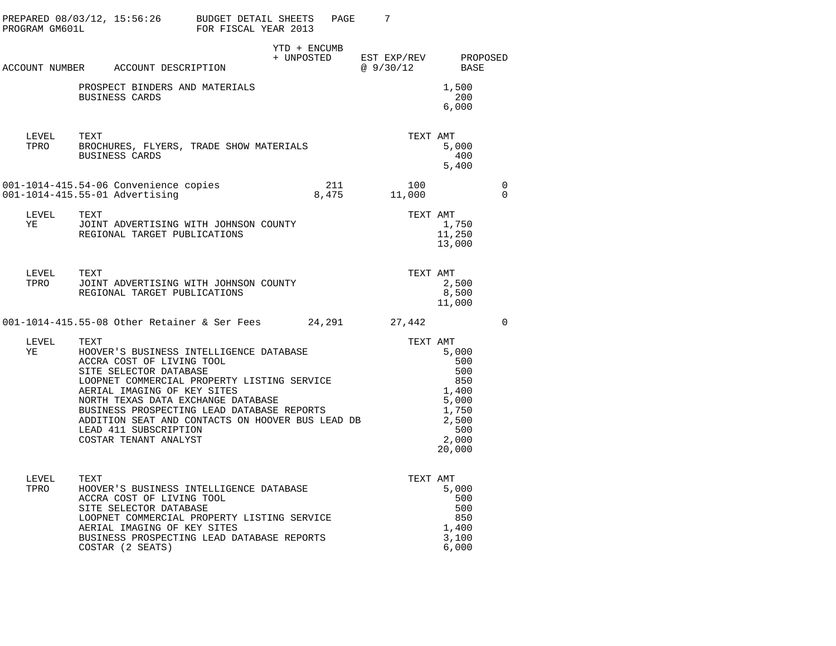|                                                |                                                                                                                                                                                                                                                                                                                                                                                |              | PAGE | 7                                            |                                                                                                      |                         |
|------------------------------------------------|--------------------------------------------------------------------------------------------------------------------------------------------------------------------------------------------------------------------------------------------------------------------------------------------------------------------------------------------------------------------------------|--------------|------|----------------------------------------------|------------------------------------------------------------------------------------------------------|-------------------------|
|                                                | ACCOUNT NUMBER ACCOUNT DESCRIPTION                                                                                                                                                                                                                                                                                                                                             | YTD + ENCUMB |      | + UNPOSTED EST EXP/REV PROPOSED<br>@ 9/30/12 | BASE                                                                                                 |                         |
|                                                | PROSPECT BINDERS AND MATERIALS<br>BUSINESS CARDS                                                                                                                                                                                                                                                                                                                               |              |      |                                              | 1,500<br>200<br>6,000                                                                                |                         |
| LEVEL                                          | TEXT<br>TPRO BROCHURES, FLYERS, TRADE SHOW MATERIALS<br>BUSINESS CARDS                                                                                                                                                                                                                                                                                                         |              |      | TEXT AMT                                     | 5,000<br>400<br>5,400                                                                                |                         |
|                                                | 001-1014-415.54-06 Convenience copies<br>001-1014-415.55-01 Advertising                                                                                                                                                                                                                                                                                                        |              |      | $211$ $100$<br>8,475 $11,000$                |                                                                                                      | $\mathbf 0$<br>$\Omega$ |
| LEVEL<br>YE                                    | TEXT<br>JOINT ADVERTISING WITH JOHNSON COUNTY<br>REGIONAL TARGET PUBLICATIONS                                                                                                                                                                                                                                                                                                  |              |      |                                              | TEXT AMT<br>1,750<br>11,250<br>13,000                                                                |                         |
| ${\rm LEVEL} \hspace{20pt} {\rm TEXT}$<br>TPRO | JOINT ADVERTISING WITH JOHNSON COUNTY<br>REGIONAL TARGET PUBLICATIONS                                                                                                                                                                                                                                                                                                          |              |      | TEXT AMT                                     | 2,500<br>8,500<br>11,000                                                                             |                         |
|                                                | 001-1014-415.55-08 Other Retainer & Ser Fees 24,291 27,442                                                                                                                                                                                                                                                                                                                     |              |      |                                              |                                                                                                      | $\overline{0}$          |
| LEVEL<br>YE                                    | TEXT<br>HOOVER'S BUSINESS INTELLIGENCE DATABASE<br>ACCRA COST OF LIVING TOOL<br>SITE SELECTOR DATABASE<br>LOOPNET COMMERCIAL PROPERTY LISTING SERVICE<br>AERIAL IMAGING OF KEY SITES<br>NORTH TEXAS DATA EXCHANGE DATABASE<br>BUSINESS PROSPECTING LEAD DATABASE REPORTS<br>ADDITION SEAT AND CONTACTS ON HOOVER BUS LEAD DB<br>LEAD 411 SUBSCRIPTION<br>COSTAR TENANT ANALYST |              |      |                                              | TEXT AMT<br>5,000<br>500<br>500<br>850<br>1,400<br>5,000<br>1,750<br>2,500<br>500<br>2,000<br>20,000 |                         |
| LEVEL<br>TPRO                                  | <b>TEXT</b><br>HOOVER'S BUSINESS INTELLIGENCE DATABASE<br>ACCRA COST OF LIVING TOOL<br>SITE SELECTOR DATABASE<br>LOOPNET COMMERCIAL PROPERTY LISTING SERVICE<br>AERIAL IMAGING OF KEY SITES<br>BUSINESS PROSPECTING LEAD DATABASE REPORTS<br>COSTAR (2 SEATS)                                                                                                                  |              |      | TEXT AMT                                     | 5,000<br>500<br>500<br>850<br>1,400<br>3,100<br>6,000                                                |                         |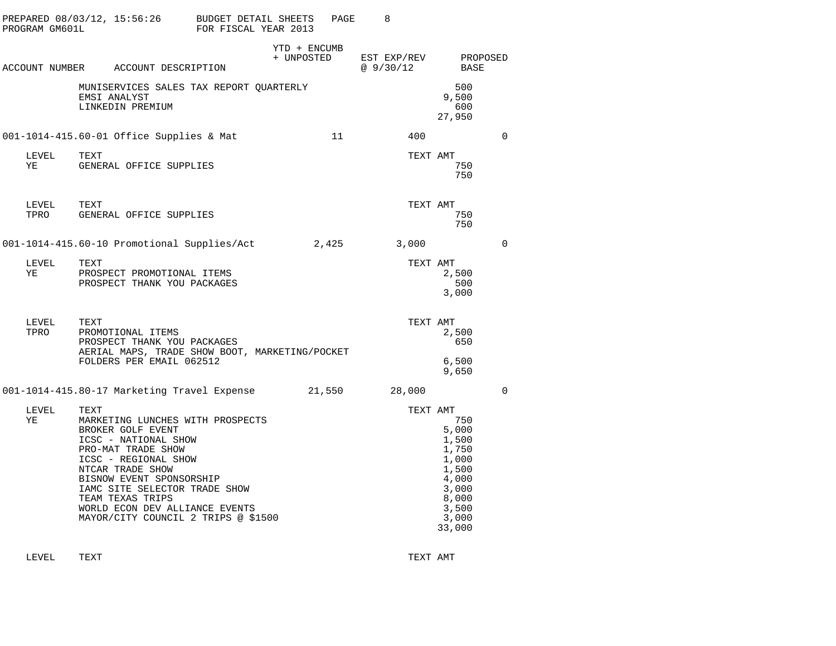| PROGRAM GM601L | PREPARED $08/03/12$ , $15:56:26$ BUDGET DETAIL SHEETS                                                                                                                                                                                                                                                             | FOR FISCAL YEAR 2013 |                            | PAGE | 8                        |                                                                                                         |             |
|----------------|-------------------------------------------------------------------------------------------------------------------------------------------------------------------------------------------------------------------------------------------------------------------------------------------------------------------|----------------------|----------------------------|------|--------------------------|---------------------------------------------------------------------------------------------------------|-------------|
|                | ACCOUNT NUMBER ACCOUNT DESCRIPTION                                                                                                                                                                                                                                                                                |                      | YTD + ENCUMB<br>+ UNPOSTED |      | EST EXP/REV<br>@ 9/30/12 | PROPOSED<br>BASE                                                                                        |             |
|                | MUNISERVICES SALES TAX REPORT QUARTERLY<br>EMSI ANALYST<br>LINKEDIN PREMIUM                                                                                                                                                                                                                                       |                      |                            |      |                          | 500<br>9,500<br>600<br>27,950                                                                           |             |
|                | 001-1014-415.60-01 Office Supplies & Mat                                                                                                                                                                                                                                                                          |                      |                            | 11   | 400                      |                                                                                                         | $\mathbf 0$ |
| LEVEL<br>ΥE    | TEXT<br>GENERAL OFFICE SUPPLIES                                                                                                                                                                                                                                                                                   |                      |                            |      | TEXT AMT                 | 750<br>750                                                                                              |             |
| LEVEL<br>TPRO  | TEXT<br>GENERAL OFFICE SUPPLIES                                                                                                                                                                                                                                                                                   |                      |                            |      | TEXT AMT                 | 750<br>750                                                                                              |             |
|                | 001-1014-415.60-10 Promotional Supplies/Act 2,425                                                                                                                                                                                                                                                                 |                      |                            |      | 3,000                    |                                                                                                         | 0           |
| LEVEL<br>ΥE    | TEXT<br>PROSPECT PROMOTIONAL ITEMS<br>PROSPECT THANK YOU PACKAGES                                                                                                                                                                                                                                                 |                      |                            |      | TEXT AMT                 | 2,500<br>500<br>3,000                                                                                   |             |
| LEVEL<br>TPRO  | TEXT<br>PROMOTIONAL ITEMS<br>PROSPECT THANK YOU PACKAGES<br>AERIAL MAPS, TRADE SHOW BOOT, MARKETING/POCKET<br>FOLDERS PER EMAIL 062512                                                                                                                                                                            |                      |                            |      | TEXT AMT                 | 2,500<br>650<br>6,500<br>9,650                                                                          |             |
|                | 001-1014-415.80-17 Marketing Travel Expense 21,550                                                                                                                                                                                                                                                                |                      |                            |      | 28,000                   |                                                                                                         | $\Omega$    |
| LEVEL<br>ΥE    | TEXT<br>MARKETING LUNCHES WITH PROSPECTS<br>BROKER GOLF EVENT<br>ICSC - NATIONAL SHOW<br>PRO-MAT TRADE SHOW<br>ICSC - REGIONAL SHOW<br>NTCAR TRADE SHOW<br>BISNOW EVENT SPONSORSHIP<br>IAMC SITE SELECTOR TRADE SHOW<br>TEAM TEXAS TRIPS<br>WORLD ECON DEV ALLIANCE EVENTS<br>MAYOR/CITY COUNCIL 2 TRIPS @ \$1500 |                      |                            |      | TEXT AMT                 | 750<br>5,000<br>1,500<br>1,750<br>1,000<br>1,500<br>4,000<br>3,000<br>8,000<br>3,500<br>3,000<br>33,000 |             |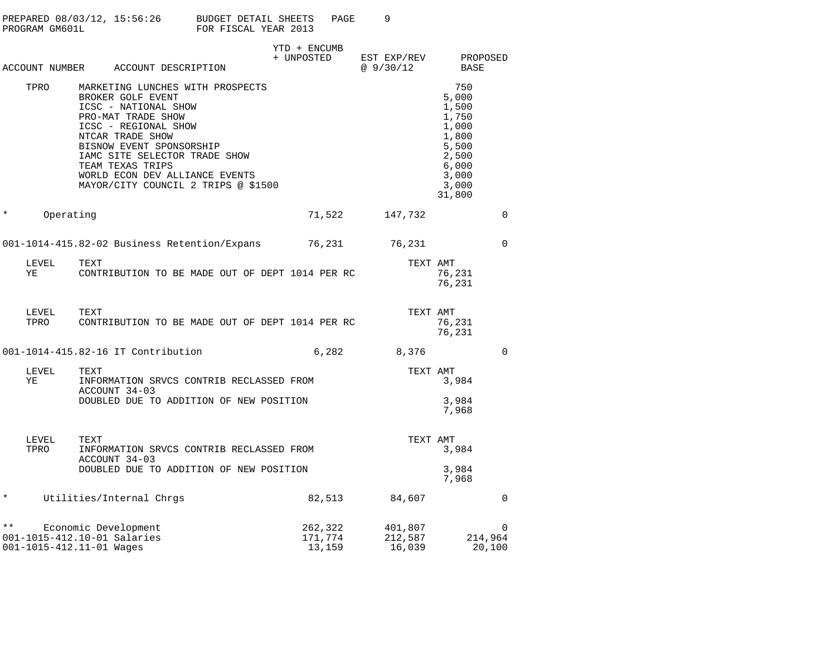|               | PREPARED 08/03/12, 15:56:26<br>PROGRAM GM601L           |      |                                                                                                                                                                                              | <b>BUDGET DETAIL SHEETS</b><br>FOR FISCAL YEAR 2013                                                       |                            | PAGE                         | 9                       |                              |                                                                                                         |                               |
|---------------|---------------------------------------------------------|------|----------------------------------------------------------------------------------------------------------------------------------------------------------------------------------------------|-----------------------------------------------------------------------------------------------------------|----------------------------|------------------------------|-------------------------|------------------------------|---------------------------------------------------------------------------------------------------------|-------------------------------|
|               | ACCOUNT NUMBER                                          |      | ACCOUNT DESCRIPTION                                                                                                                                                                          |                                                                                                           | YTD + ENCUMB<br>+ UNPOSTED |                              | EST EXP/REV<br>@9/30/12 |                              | BASE                                                                                                    | PROPOSED                      |
|               | TPRO                                                    |      | BROKER GOLF EVENT<br>ICSC - NATIONAL SHOW<br>PRO-MAT TRADE SHOW<br>ICSC - REGIONAL SHOW<br>NTCAR TRADE SHOW<br>BISNOW EVENT SPONSORSHIP<br>IAMC SITE SELECTOR TRADE SHOW<br>TEAM TEXAS TRIPS | MARKETING LUNCHES WITH PROSPECTS<br>WORLD ECON DEV ALLIANCE EVENTS<br>MAYOR/CITY COUNCIL 2 TRIPS @ \$1500 |                            |                              |                         |                              | 750<br>5,000<br>1,500<br>1,750<br>1,000<br>1,800<br>5,500<br>2,500<br>6,000<br>3,000<br>3,000<br>31,800 |                               |
| $^\star$      | Operating                                               |      |                                                                                                                                                                                              |                                                                                                           |                            | 71,522                       |                         | 147,732                      |                                                                                                         | $\mathbf 0$                   |
|               |                                                         |      |                                                                                                                                                                                              | 001-1014-415.82-02 Business Retention/Expans                                                              |                            | 76,231                       |                         | 76,231                       |                                                                                                         | $\mathbf 0$                   |
|               | LEVEL<br>ΥE                                             | TEXT |                                                                                                                                                                                              | CONTRIBUTION TO BE MADE OUT OF DEPT 1014 PER RC                                                           |                            |                              |                         | TEXT AMT                     | 76,231<br>76,231                                                                                        |                               |
|               | LEVEL<br>TPRO                                           | TEXT |                                                                                                                                                                                              | CONTRIBUTION TO BE MADE OUT OF DEPT 1014 PER RC                                                           |                            |                              |                         | TEXT AMT                     | 76,231<br>76,231                                                                                        |                               |
|               |                                                         |      | 001-1014-415.82-16 IT Contribution                                                                                                                                                           |                                                                                                           |                            | 6,282                        |                         | 8,376                        |                                                                                                         | $\mathbf 0$                   |
|               | LEVEL<br>ΥE                                             | TEXT | ACCOUNT 34-03                                                                                                                                                                                | INFORMATION SRVCS CONTRIB RECLASSED FROM                                                                  |                            |                              |                         | TEXT AMT                     | 3,984                                                                                                   |                               |
|               |                                                         |      |                                                                                                                                                                                              | DOUBLED DUE TO ADDITION OF NEW POSITION                                                                   |                            |                              |                         |                              | 3,984<br>7,968                                                                                          |                               |
|               | LEVEL<br>TPRO                                           | TEXT | ACCOUNT 34-03                                                                                                                                                                                | INFORMATION SRVCS CONTRIB RECLASSED FROM                                                                  |                            |                              |                         | TEXT AMT                     | 3,984                                                                                                   |                               |
|               |                                                         |      |                                                                                                                                                                                              | DOUBLED DUE TO ADDITION OF NEW POSITION                                                                   |                            |                              |                         |                              | 3,984<br>7,968                                                                                          |                               |
| $\star$       |                                                         |      | Utilities/Internal Chrgs                                                                                                                                                                     |                                                                                                           |                            | 82,513                       |                         | 84,607                       |                                                                                                         | $\mathbf 0$                   |
| $\star \star$ | 001-1015-412.10-01 Salaries<br>001-1015-412.11-01 Wages |      | Economic Development                                                                                                                                                                         |                                                                                                           |                            | 262,322<br>171,774<br>13,159 |                         | 401,807<br>212,587<br>16,039 |                                                                                                         | $\Omega$<br>214,964<br>20,100 |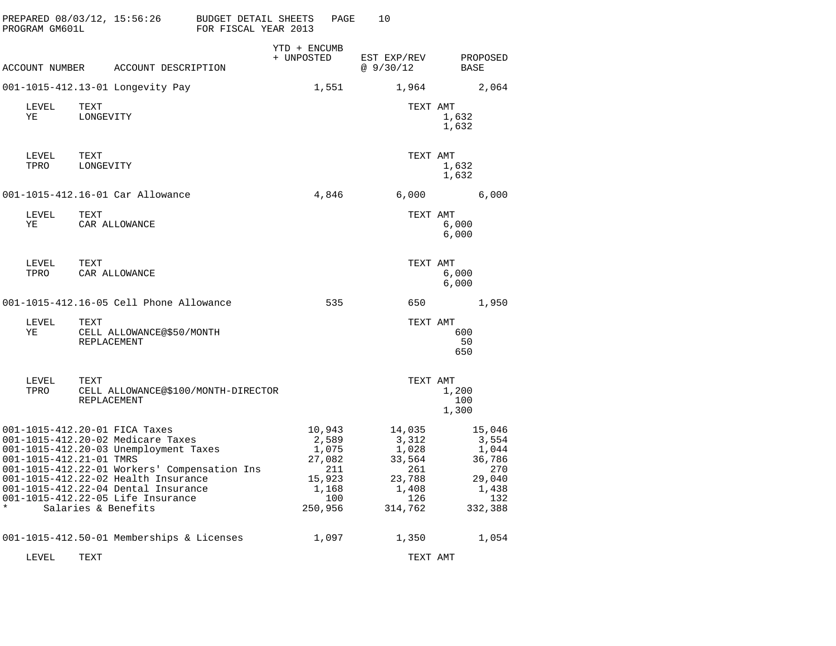| PREPARED 08/03/12, 15:56:26<br>PROGRAM GM601L                                                                                                                                                                                                                                                                                               |                                     | BUDGET DETAIL SHEETS<br>FOR FISCAL YEAR 2013 | PAGE                                                                           | 10                                                                             |                                                                                |
|---------------------------------------------------------------------------------------------------------------------------------------------------------------------------------------------------------------------------------------------------------------------------------------------------------------------------------------------|-------------------------------------|----------------------------------------------|--------------------------------------------------------------------------------|--------------------------------------------------------------------------------|--------------------------------------------------------------------------------|
| ACCOUNT NUMBER ACCOUNT DESCRIPTION                                                                                                                                                                                                                                                                                                          |                                     | + UNPOSTED                                   | YTD + ENCUMB                                                                   | EST EXP/REV<br>@ 9/30/12                                                       | PROPOSED<br>BASE                                                               |
| 001-1015-412.13-01 Longevity Pay                                                                                                                                                                                                                                                                                                            |                                     |                                              | 1,551                                                                          | 1,964                                                                          | 2,064                                                                          |
| LEVEL<br>TEXT<br>YE<br>LONGEVITY                                                                                                                                                                                                                                                                                                            |                                     |                                              |                                                                                | TEXT AMT                                                                       | 1,632<br>1,632                                                                 |
| TEXT<br>LEVEL<br>TPRO<br>LONGEVITY                                                                                                                                                                                                                                                                                                          |                                     |                                              |                                                                                | TEXT AMT                                                                       | 1,632<br>1,632                                                                 |
| 001-1015-412.16-01 Car Allowance                                                                                                                                                                                                                                                                                                            |                                     |                                              | 4,846                                                                          | 6,000                                                                          | 6,000                                                                          |
| LEVEL<br>TEXT<br>ΥE                                                                                                                                                                                                                                                                                                                         | CAR ALLOWANCE                       |                                              |                                                                                | TEXT AMT                                                                       | 6,000<br>6,000                                                                 |
| LEVEL<br>TEXT<br>TPRO                                                                                                                                                                                                                                                                                                                       | CAR ALLOWANCE                       |                                              |                                                                                | TEXT AMT                                                                       | 6,000<br>6,000                                                                 |
| 001-1015-412.16-05 Cell Phone Allowance                                                                                                                                                                                                                                                                                                     |                                     |                                              | 535                                                                            | 650                                                                            | 1,950                                                                          |
| LEVEL<br>TEXT<br>ΥE<br>REPLACEMENT                                                                                                                                                                                                                                                                                                          | CELL ALLOWANCE@\$50/MONTH           |                                              |                                                                                | TEXT AMT                                                                       | 600<br>50<br>650                                                               |
| LEVEL<br>TEXT<br>TPRO<br>REPLACEMENT                                                                                                                                                                                                                                                                                                        | CELL ALLOWANCE@\$100/MONTH-DIRECTOR |                                              |                                                                                | TEXT AMT                                                                       | 1,200<br>100<br>1,300                                                          |
| 001-1015-412.20-01 FICA Taxes<br>001-1015-412.20-02 Medicare Taxes<br>001-1015-412.20-03 Unemployment Taxes<br>001-1015-412.21-01 TMRS<br>001-1015-412.22-01 Workers' Compensation Ins<br>001-1015-412.22-02 Health Insurance<br>001-1015-412.22-04 Dental Insurance<br>001-1015-412.22-05 Life Insurance<br>$\star$<br>Salaries & Benefits |                                     |                                              | 10,943<br>2,589<br>1,075<br>27,082<br>211<br>15,923<br>1,168<br>100<br>250,956 | 14,035<br>3,312<br>1,028<br>33,564<br>261<br>23,788<br>1,408<br>126<br>314,762 | 15,046<br>3,554<br>1,044<br>36,786<br>270<br>29,040<br>1,438<br>132<br>332,388 |
| 001-1015-412.50-01 Memberships & Licenses                                                                                                                                                                                                                                                                                                   |                                     |                                              | 1,097                                                                          | 1,350                                                                          | 1,054                                                                          |
| LEVEL<br>TEXT                                                                                                                                                                                                                                                                                                                               |                                     |                                              |                                                                                | TEXT AMT                                                                       |                                                                                |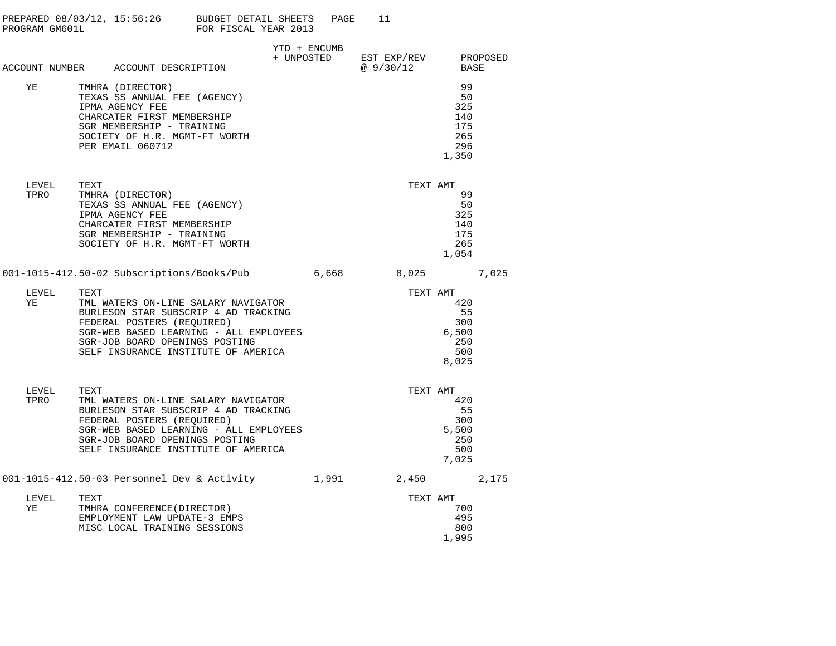| PREPARED 08/03/12, 15:56:26<br>PROGRAM GM601L | BUDGET DETAIL SHEETS<br>PAGE<br>FOR FISCAL YEAR 2013 |  |
|-----------------------------------------------|------------------------------------------------------|--|
|                                               | YTD + ENCIMB                                         |  |

| ACCOUNT NUMBER | ACCOUNT DESCRIPTION           | + UNPOSTED | EST EXP/REV<br>@9/30/12 | PROPOSED<br>BASE |
|----------------|-------------------------------|------------|-------------------------|------------------|
| ΥE             | TMHRA (DIRECTOR)              |            |                         | 99               |
|                | TEXAS SS ANNUAL FEE (AGENCY)  |            |                         | 50               |
|                | IPMA AGENCY FEE               |            |                         | 325              |
|                | CHARCATER FIRST MEMBERSHIP    |            |                         | 140              |
|                | SGR MEMBERSHIP - TRAINING     |            |                         | 175              |
|                | SOCIETY OF H.R. MGMT-FT WORTH |            |                         | 265              |
|                | PER EMAIL 060712              |            |                         | 296              |
|                |                               |            |                         | 1,350            |
|                |                               |            |                         |                  |

| LEVEL | TEXT                          | TEXT AMT |
|-------|-------------------------------|----------|
| TPRO  | TMHRA (DIRECTOR)              | 99       |
|       | TEXAS SS ANNUAL FEE (AGENCY)  | 50       |
|       | IPMA AGENCY FEE               | 325      |
|       | CHARCATER FIRST MEMBERSHIP    | 140      |
|       | SGR MEMBERSHIP - TRAINING     | 175      |
|       | SOCIETY OF H.R. MGMT-FT WORTH | 265      |
|       |                               | 1,054    |
|       |                               |          |

001-1015-412.50-02 Subscriptions/Books/Pub 6,668 8,025 7,025

| LEVEL | TEXT                                   | TEXT AMT |
|-------|----------------------------------------|----------|
| YF.   | TML WATERS ON-LINE SALARY NAVIGATOR    | 420      |
|       | BURLESON STAR SUBSCRIP 4 AD TRACKING   | 55       |
|       | FEDERAL POSTERS (REOUIRED)             | 300      |
|       | SGR-WEB BASED LEARNING - ALL EMPLOYEES | 6,500    |
|       | SGR-JOB BOARD OPENINGS POSTING         | 250      |
|       | SELF INSURANCE INSTITUTE OF AMERICA    | 500      |
|       |                                        | 8,025    |

| LEVEL | TEXT                                        |       | TEXT AMT |       |
|-------|---------------------------------------------|-------|----------|-------|
| TPRO  | TML WATERS ON-LINE SALARY NAVIGATOR         |       |          | 420   |
|       | BURLESON STAR SUBSCRIP 4 AD TRACKING        |       |          | 55    |
|       | FEDERAL POSTERS (REQUIRED)                  |       |          | 300   |
|       | SGR-WEB BASED LEARNING - ALL EMPLOYEES      |       |          | 5,500 |
|       | SGR-JOB BOARD OPENINGS POSTING              |       |          | 250   |
|       | SELF INSURANCE INSTITUTE OF AMERICA         |       |          | 500   |
|       |                                             |       |          | 7,025 |
|       | 001-1015-412.50-03 Personnel Dev & Activity | 1,991 | 2,450    | 2,175 |
| LEVEL | TEXT                                        |       | TEXT AMT |       |
| ΥE    | TMHRA CONFERENCE (DIRECTOR)                 |       |          | 700   |
|       | EMPLOYMENT LAW UPDATE-3 EMPS                |       |          | 495   |
|       | MISC LOCAL TRAINING SESSIONS                |       |          | 800   |

1,995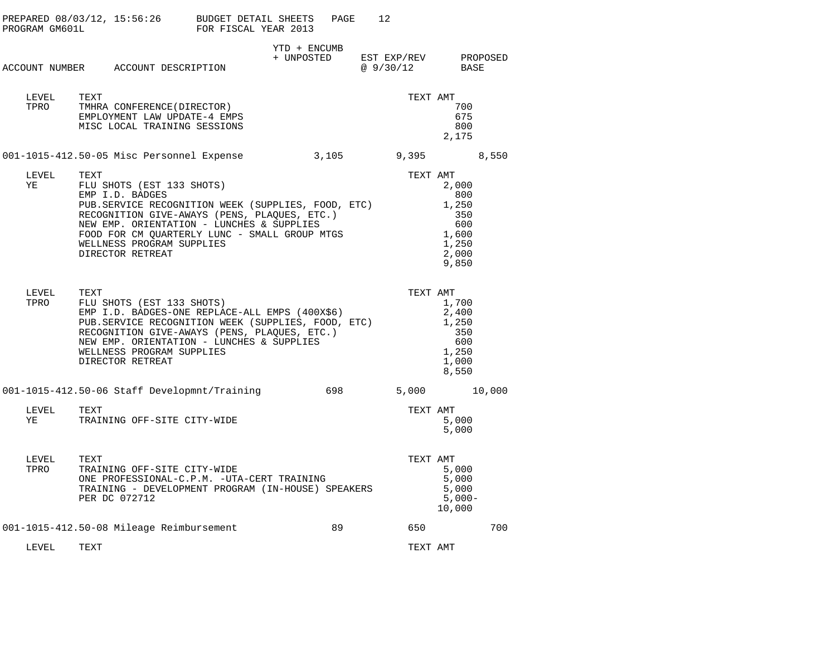| PROGRAM GM601L | PREPARED 08/03/12, 15:56:26 BUDGET DETAIL SHEETS                                                                                                                                                                                                                                                          | FOR FISCAL YEAR 2013 | PAGE         | 12                                          |                                                                                     |        |
|----------------|-----------------------------------------------------------------------------------------------------------------------------------------------------------------------------------------------------------------------------------------------------------------------------------------------------------|----------------------|--------------|---------------------------------------------|-------------------------------------------------------------------------------------|--------|
|                | ACCOUNT NUMBER ACCOUNT DESCRIPTION                                                                                                                                                                                                                                                                        |                      | YTD + ENCUMB | + UNPOSTED EST EXP/REV PROPOSED<br>@9/30/12 | BASE                                                                                |        |
| LEVEL<br>TPRO  | TEXT<br>TMHRA CONFERENCE (DIRECTOR)<br>EMPLOYMENT LAW UPDATE-4 EMPS<br>MISC LOCAL TRAINING SESSIONS                                                                                                                                                                                                       |                      |              |                                             | TEXT AMT<br>700<br>675<br>800<br>2,175                                              |        |
|                | 001-1015-412.50-05 Misc Personnel Expense                                                                                                                                                                                                                                                                 |                      | 3,105        |                                             | $9,395$ 8,550                                                                       |        |
| LEVEL<br>YE    | TEXT<br>FLU SHOTS (EST 133 SHOTS)<br>EMP I.D. BADGES<br>PUB.SERVICE RECOGNITION WEEK (SUPPLIES, FOOD, ETC)<br>RECOGNITION GIVE-AWAYS (PENS, PLAQUES, ETC.)<br>NEW EMP. ORIENTATION - LUNCHES & SUPPLIES<br>FOOD FOR CM QUARTERLY LUNC - SMALL GROUP MTGS<br>WELLNESS PROGRAM SUPPLIES<br>DIRECTOR RETREAT |                      |              |                                             | TEXT AMT<br>2,000<br>800<br>1,250<br>350<br>600<br>1,600<br>1,250<br>2,000<br>9,850 |        |
| LEVEL<br>TPRO  | TEXT<br>FLU SHOTS (EST 133 SHOTS)<br>EMP I.D. BADGES-ONE REPLACE-ALL EMPS (400X\$6)<br>PUB. SERVICE RECOGNITION WEEK (SUPPLIES, FOOD, ETC)<br>RECOGNITION GIVE-AWAYS (PENS, PLAQUES, ETC.)<br>NEW EMP. ORIENTATION - LUNCHES & SUPPLIES<br>WELLNESS PROGRAM SUPPLIES<br>DIRECTOR RETREAT                  |                      |              |                                             | TEXT AMT<br>1,700<br>2,400<br>1,250<br>350<br>600<br>1,250<br>1,000<br>8,550        |        |
|                | 001-1015-412.50-06 Staff Developmnt/Training                                                                                                                                                                                                                                                              |                      | 698          |                                             | 5,000                                                                               | 10,000 |
| LEVEL<br>YE    | TEXT<br>TRAINING OFF-SITE CITY-WIDE                                                                                                                                                                                                                                                                       |                      |              |                                             | TEXT AMT<br>5,000<br>5,000                                                          |        |
| LEVEL<br>TPRO  | TEXT<br>TRAINING OFF-SITE CITY-WIDE<br>ONE PROFESSIONAL-C.P.M. -UTA-CERT TRAINING<br>TRAINING - DEVELOPMENT PROGRAM (IN-HOUSE) SPEAKERS<br>PER DC 072712                                                                                                                                                  |                      |              |                                             | TEXT AMT<br>5,000<br>5,000<br>5,000<br>$5,000-$<br>10,000                           |        |
|                | 001-1015-412.50-08 Mileage Reimbursement                                                                                                                                                                                                                                                                  |                      | 89           | 650                                         |                                                                                     | 700    |
| T.EVEL.        | <b>TEXT</b>                                                                                                                                                                                                                                                                                               |                      |              |                                             | TEXT AMT                                                                            |        |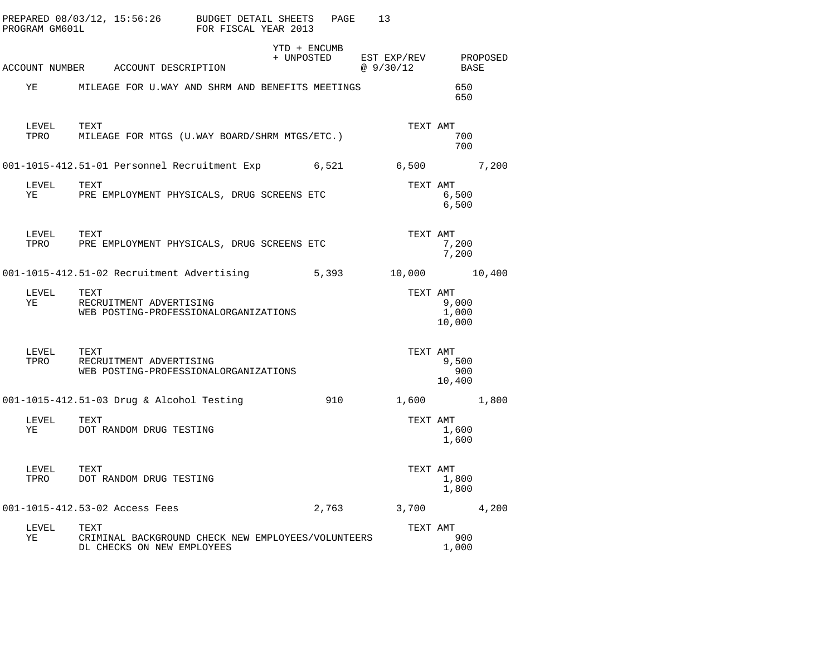|    | PROGRAM GM601L     | PREPARED $08/03/12$ , $15:56:26$ BUDGET DETAIL SHEETS                                    | FOR FISCAL YEAR 2013 | PAGE                       | 13                      |                          |          |
|----|--------------------|------------------------------------------------------------------------------------------|----------------------|----------------------------|-------------------------|--------------------------|----------|
|    |                    | ACCOUNT NUMBER ACCOUNT DESCRIPTION                                                       |                      | YTD + ENCUMB<br>+ UNPOSTED | EST EXP/REV<br>@9/30/12 | BASE                     | PROPOSED |
| ΥE |                    | MILEAGE FOR U.WAY AND SHRM AND BENEFITS MEETINGS                                         |                      |                            |                         | 650<br>650               |          |
|    | LEVEL<br>TPRO      | TEXT<br>MILEAGE FOR MTGS (U.WAY BOARD/SHRM MTGS/ETC.)                                    |                      |                            | TEXT AMT                | 700<br>700               |          |
|    |                    | 001-1015-412.51-01 Personnel Recruitment Exp 6,521 6,500                                 |                      |                            |                         |                          | 7,200    |
| ΥE | LEVEL              | TEXT<br>PRE EMPLOYMENT PHYSICALS, DRUG SCREENS ETC                                       |                      |                            | TEXT AMT                | 6,500<br>6,500           |          |
|    | LEVEL TEXT<br>TPRO | PRE EMPLOYMENT PHYSICALS, DRUG SCREENS ETC                                               |                      |                            | TEXT AMT                | 7,200<br>7,200           |          |
|    |                    | 001-1015-412.51-02 Recruitment Advertising                                               |                      | 5,393                      | 10,000 10,400           |                          |          |
| YE | LEVEL              | TEXT<br>RECRUITMENT ADVERTISING<br>WEB POSTING-PROFESSIONALORGANIZATIONS                 |                      |                            | TEXT AMT                | 9,000<br>1,000<br>10,000 |          |
|    | LEVEL<br>TPRO      | TEXT<br>RECRUITMENT ADVERTISING<br>WEB POSTING-PROFESSIONALORGANIZATIONS                 |                      |                            | TEXT AMT                | 9,500<br>900<br>10,400   |          |
|    |                    | 001-1015-412.51-03 Drug & Alcohol Testing                                                |                      | 910                        |                         | 1,600 1,800              |          |
| ΥE | LEVEL              | TEXT<br>DOT RANDOM DRUG TESTING                                                          |                      |                            | TEXT AMT                | 1,600<br>1,600           |          |
|    | LEVEL<br>TPRO      | TEXT<br>DOT RANDOM DRUG TESTING                                                          |                      |                            | TEXT AMT                | 1,800<br>1,800           |          |
|    |                    | 001-1015-412.53-02 Access Fees                                                           |                      | 2,763                      | 3,700                   |                          | 4,200    |
| YE | LEVEL              | TEXT<br>CRIMINAL BACKGROUND CHECK NEW EMPLOYEES/VOLUNTEERS<br>DL CHECKS ON NEW EMPLOYEES |                      |                            | TEXT AMT                | 900<br>1,000             |          |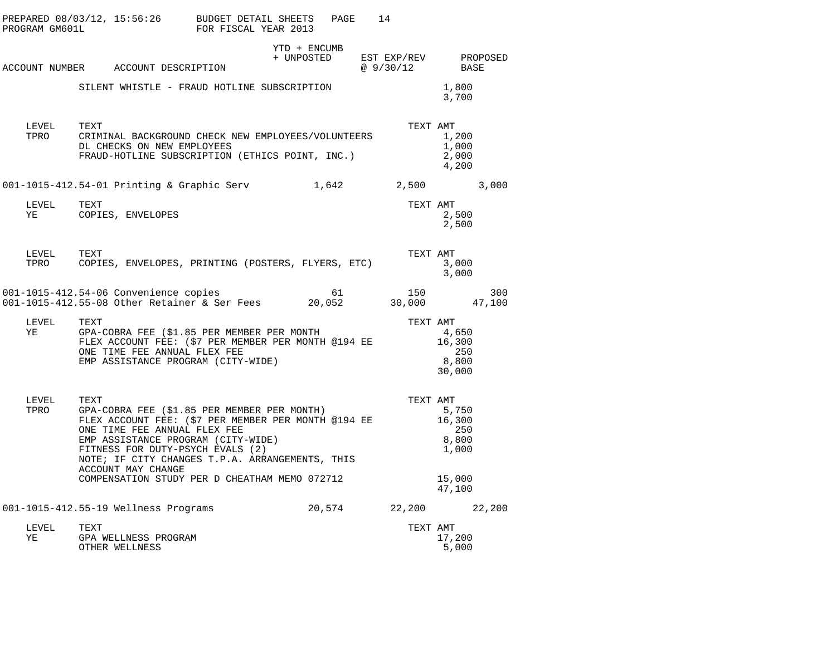| PROGRAM GM601L     | PREPARED 08/03/12, 15:56:26 BUDGET DETAIL SHEETS                                                                                                                                                                                                                                                                                                | FOR FISCAL YEAR 2013 | PAGE         | 14       |                                                    |
|--------------------|-------------------------------------------------------------------------------------------------------------------------------------------------------------------------------------------------------------------------------------------------------------------------------------------------------------------------------------------------|----------------------|--------------|----------|----------------------------------------------------|
|                    | ACCOUNT NUMBER ACCOUNT DESCRIPTION                                                                                                                                                                                                                                                                                                              |                      | YTD + ENCUMB | QQ/30/12 | + UNPOSTED EST EXP/REV PROPOSED<br>BASE            |
|                    | SILENT WHISTLE - FRAUD HOTLINE SUBSCRIPTION                                                                                                                                                                                                                                                                                                     |                      |              |          | 1,800<br>3,700                                     |
| LEVEL TEXT<br>TPRO | CRIMINAL BACKGROUND CHECK NEW EMPLOYEES/VOLUNTEERS<br>DL CHECKS ON NEW EMPLOYEES<br>FRAUD-HOTLINE SUBSCRIPTION (ETHICS POINT, INC.)                                                                                                                                                                                                             |                      |              | TEXT AMT | 1,200<br>1,000<br>2,000<br>4,200                   |
|                    | 001-1015-412.54-01 Printing & Graphic Serv 1,642 2,500                                                                                                                                                                                                                                                                                          |                      |              |          | 3,000                                              |
| LEVEL TEXT<br>YE   | COPIES, ENVELOPES                                                                                                                                                                                                                                                                                                                               |                      |              | TEXT AMT | 2,500<br>2,500                                     |
| LEVEL<br>TPRO      | TEXT<br>COPIES, ENVELOPES, PRINTING (POSTERS, FLYERS, ETC)                                                                                                                                                                                                                                                                                      |                      |              | TEXT AMT | 3,000<br>3,000                                     |
|                    | 001-1015-412.54-06 Convenience copies 61<br>001-1015-412.55-08 Other Retainer & Ser Fees 20,052                                                                                                                                                                                                                                                 |                      |              |          | $150$ $300$<br>30,000 $47,100$<br>300              |
| LEVEL<br>YE        | TEXT<br>TEXT TEXT<br>GPA-COBRA FEE (\$1.85 PER MEMBER PER MONTH TEXT FLEX ACCOUNT FEE: (\$7 PER MEMBER PER MONTH @194 EE<br>ONE TIME FEE ANNUAL FLEX FEE<br>EMP ASSISTANCE PROGRAM (CITY-WIDE)                                                                                                                                                  |                      |              | TEXT AMT | 4,650<br>16,300<br>250<br>8,800<br>30,000          |
| LEVEL<br>TPRO      | TEXT<br>GPA-COBRA FEE (\$1.85 PER MEMBER PER MONTH)<br>FLEX ACCOUNT FEE: $(57$ PER MEMBER PER MONTH @194 EE<br>ONE TIME FEE ANNUAL FLEX FEE<br>EMP ASSISTANCE PROGRAM (CITY-WIDE)<br>FITNESS FOR DUTY-PSYCH EVALS (2)<br>NOTE; IF CITY CHANGES T.P.A. ARRANGEMENTS, THIS<br>ACCOUNT MAY CHANGE<br>COMPENSATION STUDY PER D CHEATHAM MEMO 072712 |                      |              | TEXT AMT | 5,750<br>16,300<br>250<br>8,800<br>1,000<br>15,000 |
|                    |                                                                                                                                                                                                                                                                                                                                                 |                      |              |          | 47,100                                             |
|                    | 001-1015-412.55-19 Wellness Programs 20,574 22,200 22,200                                                                                                                                                                                                                                                                                       |                      |              |          |                                                    |
| LEVEL<br>YE        | TEXT<br>GPA WELLNESS PROGRAM<br>OTHER WELLNESS                                                                                                                                                                                                                                                                                                  |                      |              | TEXT AMT | 17,200<br>5,000                                    |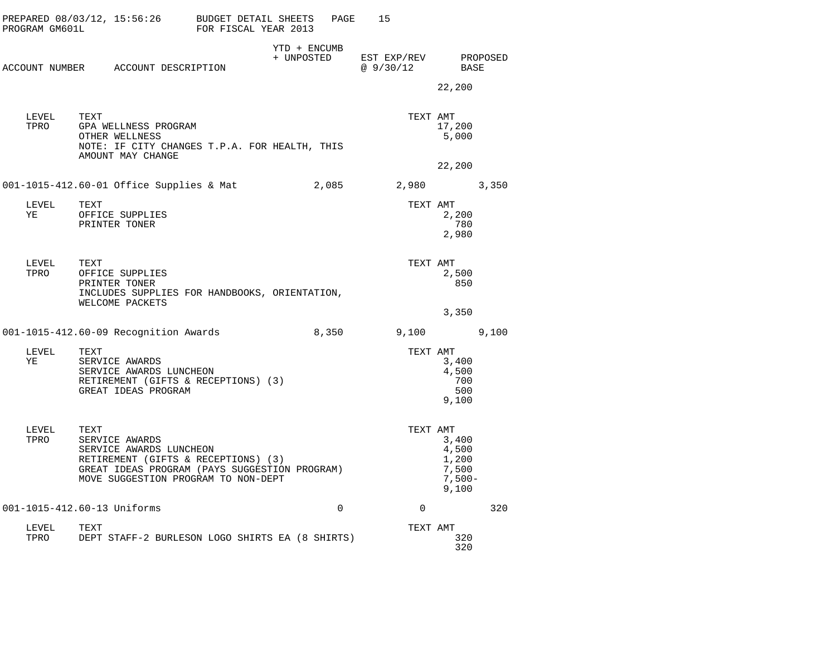| PROGRAM GM601L   | PREPARED 08/03/12, 15:56:26 BUDGET DETAIL SHEETS                                                                                                                                 | FOR FISCAL YEAR 2013 |                            | PAGE     | 15                                     |                                                       |     |
|------------------|----------------------------------------------------------------------------------------------------------------------------------------------------------------------------------|----------------------|----------------------------|----------|----------------------------------------|-------------------------------------------------------|-----|
|                  | ACCOUNT NUMBER ACCOUNT DESCRIPTION                                                                                                                                               |                      | YTD + ENCUMB<br>+ UNPOSTED |          | EST EXP/REV PROPOSED<br>@ 9/30/12 BASE | 22,200                                                |     |
| LEVEL<br>TPRO    | TEXT<br>GPA WELLNESS PROGRAM<br>OTHER WELLNESS<br>NOTE: IF CITY CHANGES T.P.A. FOR HEALTH, THIS<br>AMOUNT MAY CHANGE                                                             |                      |                            |          | TEXT AMT                               | 17,200<br>5,000<br>22,200                             |     |
|                  | 001-1015-412.60-01 Office Supplies & Mat                                                                                                                                         |                      |                            | 2,085    |                                        | 2,980 3,350                                           |     |
| LEVEL TEXT<br>YE | OFFICE SUPPLIES<br>PRINTER TONER                                                                                                                                                 |                      |                            |          | TEXT AMT                               | 2,200<br>780<br>2,980                                 |     |
| LEVEL<br>TPRO    | TEXT<br>OFFICE SUPPLIES<br>PRINTER TONER<br>INCLUDES SUPPLIES FOR HANDBOOKS, ORIENTATION,<br>WELCOME PACKETS                                                                     |                      |                            |          |                                        | TEXT AMT<br>2,500<br>850                              |     |
|                  | 001-1015-412.60-09 Recognition Awards                                                                                                                                            |                      |                            |          | 8,350 9,100 9,100                      | 3,350                                                 |     |
| LEVEL<br>YE      | TEXT<br>SERVICE AWARDS<br>SERVICE AWARDS LUNCHEON<br>RETIREMENT (GIFTS & RECEPTIONS) (3)<br>GREAT IDEAS PROGRAM                                                                  |                      |                            |          | TEXT AMT                               | 3,400<br>4,500<br>700<br>500<br>9,100                 |     |
| LEVEL<br>TPRO    | TEXT<br>SERVICE AWARDS<br>SERVICE AWARDS LUNCHEON<br>RETIREMENT (GIFTS & RECEPTIONS) (3)<br>GREAT IDEAS PROGRAM (PAYS SUGGESTION PROGRAM)<br>MOVE SUGGESTION PROGRAM TO NON-DEPT |                      |                            |          | TEXT AMT                               | 3,400<br>4,500<br>1,200<br>7,500<br>$7,500-$<br>9,100 |     |
|                  | 001-1015-412.60-13 Uniforms                                                                                                                                                      |                      |                            | $\Omega$ | $\Omega$                               |                                                       | 320 |
| LEVEL<br>TPRO    | TEXT<br>DEPT STAFF-2 BURLESON LOGO SHIRTS EA (8 SHIRTS)                                                                                                                          |                      |                            |          | TEXT AMT                               | 320<br>320                                            |     |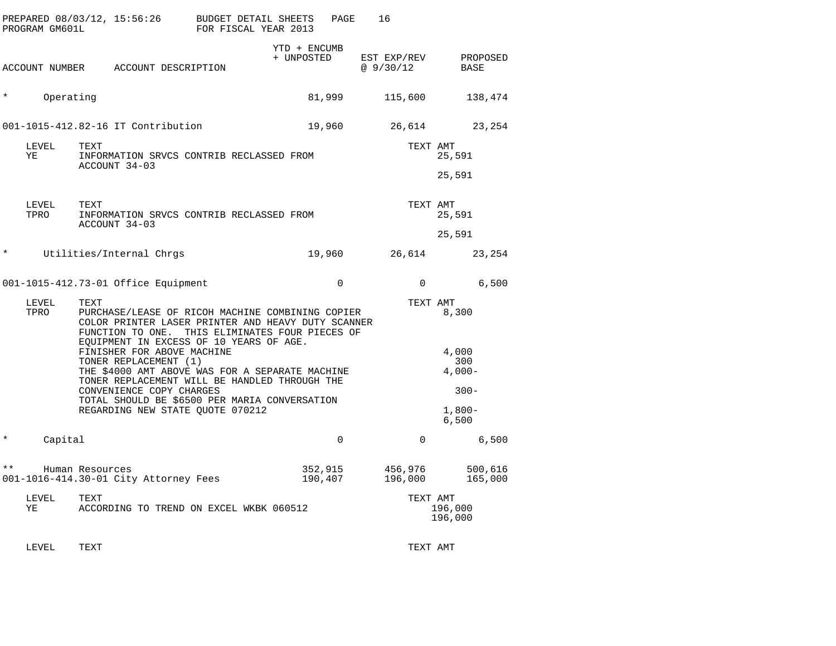|              | PROGRAM GM601L | PREPARED 08/03/12, 15:56:26                                                                                                                                                   | BUDGET DETAIL SHEETS<br>FOR FISCAL YEAR 2013 | PAGE                       | 16                      |                          |
|--------------|----------------|-------------------------------------------------------------------------------------------------------------------------------------------------------------------------------|----------------------------------------------|----------------------------|-------------------------|--------------------------|
|              |                | ACCOUNT NUMBER ACCOUNT DESCRIPTION                                                                                                                                            |                                              | YTD + ENCUMB<br>+ UNPOSTED | EST EXP/REV<br>@9/30/12 | PROPOSED<br>BASE         |
| $^\star$     | Operating      |                                                                                                                                                                               |                                              | 81,999                     | 115,600                 | 138,474                  |
|              |                | 001-1015-412.82-16 IT Contribution                                                                                                                                            |                                              | 19,960                     | 26,614                  | 23,254                   |
|              | LEVEL<br>ΥE    | TEXT<br>INFORMATION SRVCS CONTRIB RECLASSED FROM<br>ACCOUNT 34-03                                                                                                             |                                              |                            | TEXT AMT                | 25,591                   |
|              |                |                                                                                                                                                                               |                                              |                            |                         | 25,591                   |
|              | LEVEL<br>TPRO  | TEXT<br>INFORMATION SRVCS CONTRIB RECLASSED FROM<br>ACCOUNT 34-03                                                                                                             |                                              |                            | TEXT AMT                | 25,591                   |
|              |                |                                                                                                                                                                               |                                              |                            |                         | 25,591                   |
| $^\star$     |                | Utilities/Internal Chrgs                                                                                                                                                      |                                              | 19,960                     | 26,614                  | 23,254                   |
|              |                | 001-1015-412.73-01 Office Equipment                                                                                                                                           |                                              | $\Omega$                   | $\mathbf 0$             | 6,500                    |
|              | LEVEL<br>TPRO  | TEXT<br>PURCHASE/LEASE OF RICOH MACHINE COMBINING COPIER<br>COLOR PRINTER LASER PRINTER AND HEAVY DUTY SCANNER<br>FUNCTION TO ONE.<br>EQUIPMENT IN EXCESS OF 10 YEARS OF AGE. | THIS ELIMINATES FOUR PIECES OF               |                            | TEXT AMT                | 8,300                    |
|              |                | FINISHER FOR ABOVE MACHINE<br>TONER REPLACEMENT (1)<br>THE \$4000 AMT ABOVE WAS FOR A SEPARATE MACHINE                                                                        |                                              |                            |                         | 4,000<br>300<br>$4,000-$ |
|              |                | TONER REPLACEMENT WILL BE HANDLED THROUGH THE<br>CONVENIENCE COPY CHARGES                                                                                                     |                                              |                            |                         | $300 -$                  |
|              |                | TOTAL SHOULD BE \$6500 PER MARIA CONVERSATION<br>REGARDING NEW STATE QUOTE 070212                                                                                             |                                              |                            |                         | $1,800-$<br>6,500        |
| $^\star$     | Capital        |                                                                                                                                                                               |                                              | $\mathbf{0}$               | $\mathbf 0$             | 6,500                    |
| $\star\star$ |                | Human Resources<br>001-1016-414.30-01 City Attorney Fees                                                                                                                      |                                              | 352,915<br>190,407         | 456,976<br>196,000      | 500,616<br>165,000       |
|              | LEVEL<br>ΥE    | TEXT<br>ACCORDING TO TREND ON EXCEL WKBK 060512                                                                                                                               |                                              |                            | TEXT AMT                | 196,000<br>196,000       |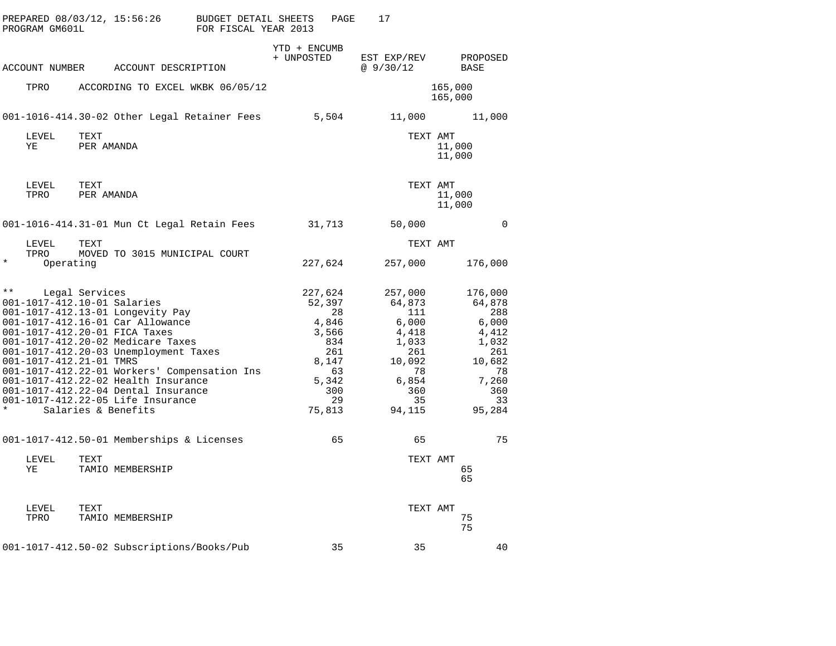| PREPARED 08/03/12, 15:56:26<br>PROGRAM GM601L                                                                             |                                                                                                                                                                                                                                                                                                                                                                                           | BUDGET DETAIL SHEETS<br>PAGE<br>FOR FISCAL YEAR 2013                                                         | 17                                                                                                               |                                                                                                                  |
|---------------------------------------------------------------------------------------------------------------------------|-------------------------------------------------------------------------------------------------------------------------------------------------------------------------------------------------------------------------------------------------------------------------------------------------------------------------------------------------------------------------------------------|--------------------------------------------------------------------------------------------------------------|------------------------------------------------------------------------------------------------------------------|------------------------------------------------------------------------------------------------------------------|
| ACCOUNT NUMBER                                                                                                            | ACCOUNT DESCRIPTION                                                                                                                                                                                                                                                                                                                                                                       | YTD + ENCUMB<br>+ UNPOSTED                                                                                   | EST EXP/REV<br>@9/30/12                                                                                          | PROPOSED<br>BASE                                                                                                 |
| TPRO                                                                                                                      | ACCORDING TO EXCEL WKBK 06/05/12                                                                                                                                                                                                                                                                                                                                                          |                                                                                                              |                                                                                                                  | 165,000<br>165,000                                                                                               |
|                                                                                                                           | 001-1016-414.30-02 Other Legal Retainer Fees                                                                                                                                                                                                                                                                                                                                              | 5,504                                                                                                        | 11,000                                                                                                           | 11,000                                                                                                           |
| LEVEL<br>TEXT<br>ΥE                                                                                                       | PER AMANDA                                                                                                                                                                                                                                                                                                                                                                                |                                                                                                              | TEXT AMT                                                                                                         | 11,000<br>11,000                                                                                                 |
| TEXT<br>LEVEL<br>TPRO                                                                                                     | PER AMANDA                                                                                                                                                                                                                                                                                                                                                                                |                                                                                                              | TEXT AMT                                                                                                         | 11,000<br>11,000                                                                                                 |
|                                                                                                                           | 001-1016-414.31-01 Mun Ct Legal Retain Fees                                                                                                                                                                                                                                                                                                                                               | 31,713                                                                                                       | 50,000                                                                                                           | $\Omega$                                                                                                         |
| LEVEL<br>TEXT<br>TPRO                                                                                                     | MOVED TO 3015 MUNICIPAL COURT                                                                                                                                                                                                                                                                                                                                                             |                                                                                                              | TEXT AMT                                                                                                         |                                                                                                                  |
| $\star$<br>Operating                                                                                                      |                                                                                                                                                                                                                                                                                                                                                                                           | 227,624                                                                                                      | 257,000                                                                                                          | 176,000                                                                                                          |
| $\star\star$<br>Legal Services<br>001-1017-412.10-01 Salaries<br>001-1017-412.20-01 FICA Taxes<br>001-1017-412.21-01 TMRS | 001-1017-412.13-01 Longevity Pay<br>001-1017-412.16-01 Car Allowance<br>001-1017-412.20-02 Medicare Taxes<br>001-1017-412.20-03 Unemployment Taxes<br>001-1017-412.22-01 Workers' Compensation Ins<br>001-1017-412.22-02 Health Insurance<br>001-1017-412.22-04 Dental Insurance<br>001-1017-412.22-05 Life Insurance<br>Salaries & Benefits<br>001-1017-412.50-01 Memberships & Licenses | 227,624<br>52,397<br>28<br>4,846<br>3,566<br>834<br>261<br>8,147<br>63<br>5,342<br>300<br>29<br>75,813<br>65 | 257,000<br>64,873<br>111<br>6,000<br>4,418<br>1,033<br>261<br>10,092<br>78<br>6,854<br>360<br>35<br>94,115<br>65 | 176,000<br>64,878<br>288<br>6,000<br>4,412<br>1,032<br>261<br>10,682<br>78<br>7,260<br>360<br>33<br>95,284<br>75 |
|                                                                                                                           |                                                                                                                                                                                                                                                                                                                                                                                           |                                                                                                              |                                                                                                                  |                                                                                                                  |
| LEVEL<br>TEXT<br>ΥE                                                                                                       | TAMIO MEMBERSHIP                                                                                                                                                                                                                                                                                                                                                                          |                                                                                                              | TEXT AMT                                                                                                         | 65<br>65                                                                                                         |
| LEVEL<br>TEXT<br>TPRO                                                                                                     | TAMIO MEMBERSHIP                                                                                                                                                                                                                                                                                                                                                                          |                                                                                                              | TEXT AMT                                                                                                         | 75<br>75                                                                                                         |
|                                                                                                                           | 001-1017-412.50-02 Subscriptions/Books/Pub                                                                                                                                                                                                                                                                                                                                                | 35                                                                                                           | 35                                                                                                               | 40                                                                                                               |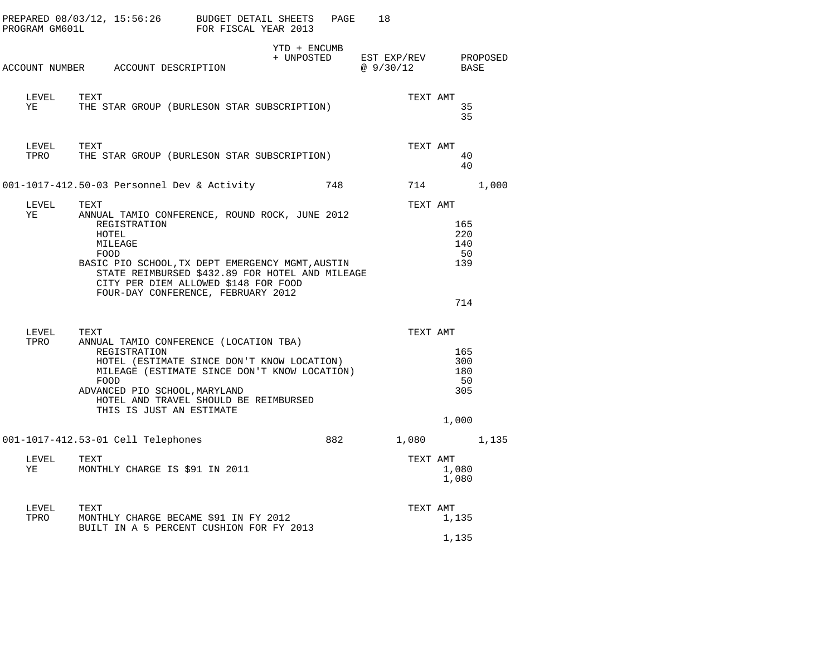|               |                                                                                                                                                                                                                                      |                                                                                                                                     |     | 18                                           |                                         |       |
|---------------|--------------------------------------------------------------------------------------------------------------------------------------------------------------------------------------------------------------------------------------|-------------------------------------------------------------------------------------------------------------------------------------|-----|----------------------------------------------|-----------------------------------------|-------|
|               | ACCOUNT NUMBER ACCOUNT DESCRIPTION                                                                                                                                                                                                   | YTD + ENCUMB                                                                                                                        |     | + UNPOSTED EST EXP/REV PROPOSED<br>@ 9/30/12 | BASE                                    |       |
| LEVEL<br>YE   | TEXT<br>THE STAR GROUP (BURLESON STAR SUBSCRIPTION)                                                                                                                                                                                  |                                                                                                                                     |     | TEXT AMT                                     | 35<br>35                                |       |
| LEVEL<br>TPRO | TEXT<br>THE STAR GROUP (BURLESON STAR SUBSCRIPTION)                                                                                                                                                                                  |                                                                                                                                     |     | TEXT AMT                                     | 40<br>40                                |       |
|               | 001-1017-412.50-03 Personnel Dev & Activity                                                                                                                                                                                          |                                                                                                                                     | 748 | 714                                          |                                         | 1,000 |
| LEVEL<br>YE   | TEXT<br>ANNUAL TAMIO CONFERENCE, ROUND ROCK, JUNE 2012<br>REGISTRATION<br>HOTEL<br>MILEAGE<br>FOOD<br>BASIC PIO SCHOOL, TX DEPT EMERGENCY MGMT, AUSTIN<br>CITY PER DIEM ALLOWED \$148 FOR FOOD<br>FOUR-DAY CONFERENCE, FEBRUARY 2012 | STATE REIMBURSED \$432.89 FOR HOTEL AND MILEAGE                                                                                     |     | TEXT AMT                                     | 165<br>220<br>140<br>50<br>139<br>714   |       |
| LEVEL<br>TPRO | TEXT<br>ANNUAL TAMIO CONFERENCE (LOCATION TBA)<br>REGISTRATION<br>FOOD<br>ADVANCED PIO SCHOOL, MARYLAND<br>THIS IS JUST AN ESTIMATE                                                                                                  | HOTEL (ESTIMATE SINCE DON'T KNOW LOCATION)<br>MILEAGE (ESTIMATE SINCE DON'T KNOW LOCATION)<br>HOTEL AND TRAVEL SHOULD BE REIMBURSED |     | TEXT AMT                                     | 165<br>300<br>180<br>50<br>305<br>1,000 |       |
|               | 001-1017-412.53-01 Cell Telephones                                                                                                                                                                                                   |                                                                                                                                     | 882 |                                              | 1,080                                   | 1,135 |
| LEVEL<br>ΥE   | TEXT<br>MONTHLY CHARGE IS \$91 IN 2011                                                                                                                                                                                               |                                                                                                                                     |     | TEXT AMT                                     | 1,080<br>1,080                          |       |
| LEVEL<br>TPRO | TEXT<br>MONTHLY CHARGE BECAME \$91 IN FY 2012<br>BUILT IN A 5 PERCENT CUSHION FOR FY 2013                                                                                                                                            |                                                                                                                                     |     | TEXT AMT                                     | 1,135                                   |       |
|               |                                                                                                                                                                                                                                      |                                                                                                                                     |     |                                              | 1,135                                   |       |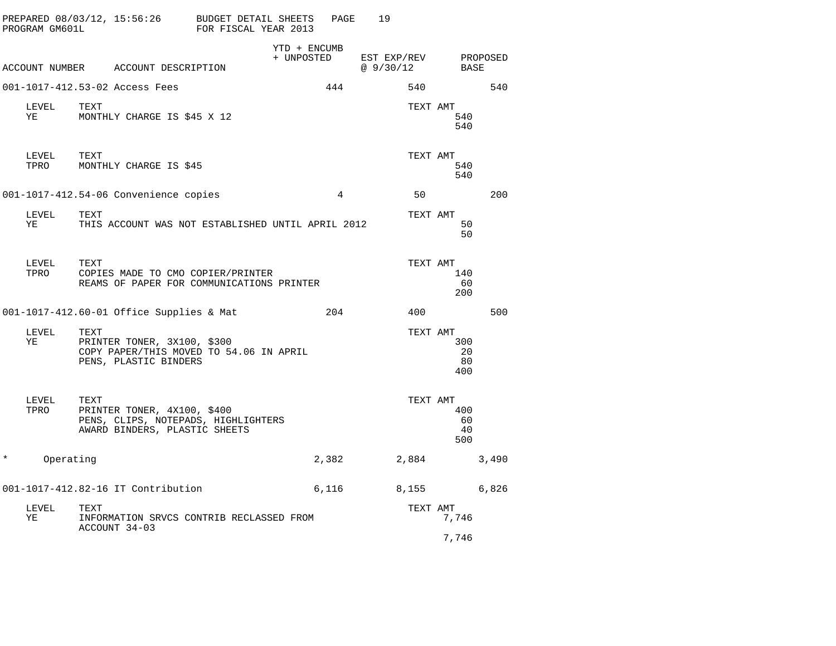|          | PROGRAM GM601L | PREPARED 08/03/12, 15:56:26                                                                                 | BUDGET DETAIL SHEETS<br>FOR FISCAL YEAR 2013 |                            | PAGE           | 19                       |                        |          |
|----------|----------------|-------------------------------------------------------------------------------------------------------------|----------------------------------------------|----------------------------|----------------|--------------------------|------------------------|----------|
|          |                | ACCOUNT NUMBER ACCOUNT DESCRIPTION                                                                          |                                              | YTD + ENCUMB<br>+ UNPOSTED |                | EST EXP/REV<br>@ 9/30/12 | BASE                   | PROPOSED |
|          |                | 001-1017-412.53-02 Access Fees                                                                              |                                              |                            | 444            | 540                      |                        | 540      |
|          | LEVEL<br>ΥE    | TEXT<br>MONTHLY CHARGE IS \$45 X 12                                                                         |                                              |                            |                | TEXT AMT                 | 540<br>540             |          |
|          | LEVEL<br>TPRO  | TEXT<br>MONTHLY CHARGE IS \$45                                                                              |                                              |                            |                | TEXT AMT                 | 540<br>540             |          |
|          |                | 001-1017-412.54-06 Convenience copies                                                                       |                                              |                            | $\overline{4}$ | 50                       |                        | 200      |
|          | LEVEL<br>YE    | TEXT<br>THIS ACCOUNT WAS NOT ESTABLISHED UNTIL APRIL 2012                                                   |                                              |                            |                | TEXT AMT                 | 50<br>50               |          |
|          | LEVEL<br>TPRO  | TEXT<br>COPIES MADE TO CMO COPIER/PRINTER<br>REAMS OF PAPER FOR COMMUNICATIONS PRINTER                      |                                              |                            |                | TEXT AMT                 | 140<br>60<br>200       |          |
|          |                | 001-1017-412.60-01 Office Supplies & Mat                                                                    |                                              |                            | 204            | 400                      |                        | 500      |
|          | LEVEL<br>ΥE    | TEXT<br>PRINTER TONER, 3X100, \$300<br>COPY PAPER/THIS MOVED TO 54.06 IN APRIL<br>PENS, PLASTIC BINDERS     |                                              |                            |                | TEXT AMT                 | 300<br>20<br>80<br>400 |          |
|          | LEVEL<br>TPRO  | TEXT<br>PRINTER TONER, 4X100, \$400<br>PENS, CLIPS, NOTEPADS, HIGHLIGHTERS<br>AWARD BINDERS, PLASTIC SHEETS |                                              |                            |                | TEXT AMT                 | 400<br>60<br>40<br>500 |          |
| $^\star$ | Operating      |                                                                                                             |                                              |                            | 2,382          | 2,884                    |                        | 3,490    |
|          |                | 001-1017-412.82-16 IT Contribution                                                                          |                                              |                            | 6,116          | 8,155                    |                        | 6,826    |
|          | LEVEL<br>ΥE    | TEXT<br>INFORMATION SRVCS CONTRIB RECLASSED FROM                                                            |                                              |                            |                | TEXT AMT                 | 7,746                  |          |
|          |                | ACCOUNT 34-03                                                                                               |                                              |                            |                |                          | 7,746                  |          |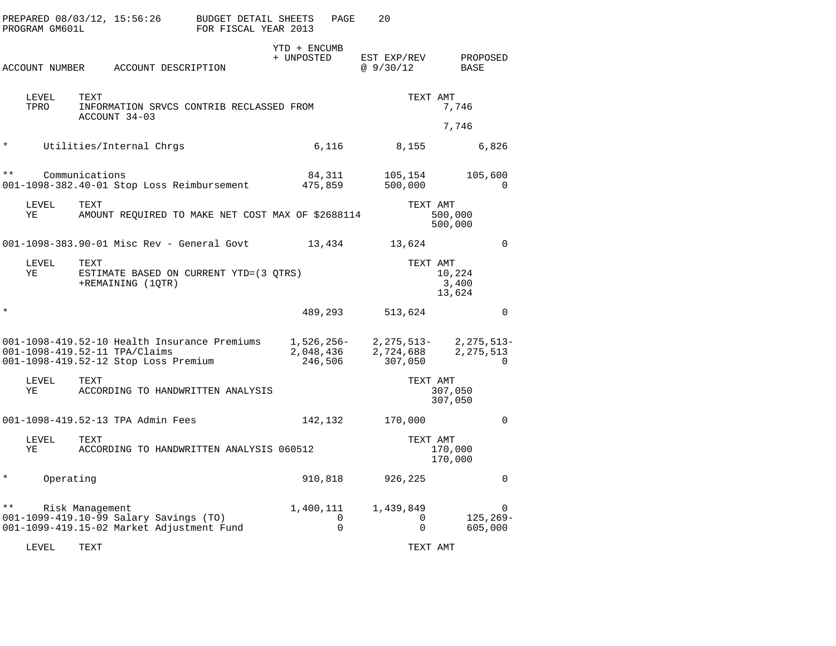|              | PROGRAM GM601L        | PREPARED 08/03/12, 15:56:26                                                                                           | <b>BUDGET DETAIL SHEETS</b><br>FOR FISCAL YEAR 2013 |                                    | PAGE                 | 20                                 |                                       |
|--------------|-----------------------|-----------------------------------------------------------------------------------------------------------------------|-----------------------------------------------------|------------------------------------|----------------------|------------------------------------|---------------------------------------|
|              | <b>ACCOUNT NUMBER</b> | ACCOUNT DESCRIPTION                                                                                                   |                                                     | YTD + ENCUMB<br>+ UNPOSTED         |                      | EST EXP/REV<br>@9/30/12            | PROPOSED<br>BASE                      |
|              | LEVEL<br>TPRO         | TEXT<br>INFORMATION SRVCS CONTRIB RECLASSED FROM<br>ACCOUNT 34-03                                                     |                                                     |                                    |                      |                                    | TEXT AMT<br>7,746                     |
|              |                       |                                                                                                                       |                                                     |                                    |                      |                                    | 7,746                                 |
| $\star$      |                       | Utilities/Internal Chrgs                                                                                              |                                                     |                                    | 6,116                | 8,155                              | 6,826                                 |
| $\star\star$ |                       | Communications<br>001-1098-382.40-01 Stop Loss Reimbursement                                                          |                                                     | 84,311<br>475,859                  |                      | 105,154<br>500,000                 | 105,600<br>$\Omega$                   |
|              | LEVEL<br>ΥE           | TEXT<br>AMOUNT REQUIRED TO MAKE NET COST MAX OF \$2688114                                                             |                                                     |                                    |                      |                                    | TEXT AMT<br>500,000<br>500,000        |
|              |                       | 001-1098-383.90-01 Misc Rev - General Govt                                                                            |                                                     |                                    | 13,434               | 13,624                             | $\Omega$                              |
|              | LEVEL<br>ΥE           | TEXT<br>ESTIMATE BASED ON CURRENT YTD=(3 QTRS)<br>+REMAINING (1QTR)                                                   |                                                     |                                    |                      |                                    | TEXT AMT<br>10,224<br>3,400<br>13,624 |
| $\star$      |                       |                                                                                                                       |                                                     |                                    | 489,293              | 513,624                            | $\Omega$                              |
|              |                       | 001-1098-419.52-10 Health Insurance Premiums<br>001-1098-419.52-11 TPA/Claims<br>001-1098-419.52-12 Stop Loss Premium |                                                     | 1,526,256-<br>2,048,436<br>246,506 |                      | 2,275,513-<br>2,724,688<br>307,050 | 2,275,513-<br>2, 275, 513<br>$\Omega$ |
|              | LEVEL<br>ΥE           | TEXT<br>ACCORDING TO HANDWRITTEN ANALYSIS                                                                             |                                                     |                                    |                      |                                    | TEXT AMT<br>307,050<br>307,050        |
|              |                       | 001-1098-419.52-13 TPA Admin Fees                                                                                     |                                                     | 142,132                            |                      | 170,000                            | $\mathbf 0$                           |
|              | LEVEL<br>ΥE           | TEXT<br>ACCORDING TO HANDWRITTEN ANALYSIS 060512                                                                      |                                                     |                                    |                      |                                    | TEXT AMT<br>170,000<br>170,000        |
| $\ast$       | Operating             |                                                                                                                       |                                                     | 910,818                            |                      | 926,225                            | $\mathbf 0$                           |
| * *          |                       | Risk Management<br>001-1099-419.10-99 Salary Savings (TO)<br>001-1099-419.15-02 Market Adjustment Fund                |                                                     | 1,400,111                          | $\Omega$<br>$\Omega$ | 1,439,849<br>$\Omega$<br>$\Omega$  | $\Omega$<br>$125, 269 -$<br>605,000   |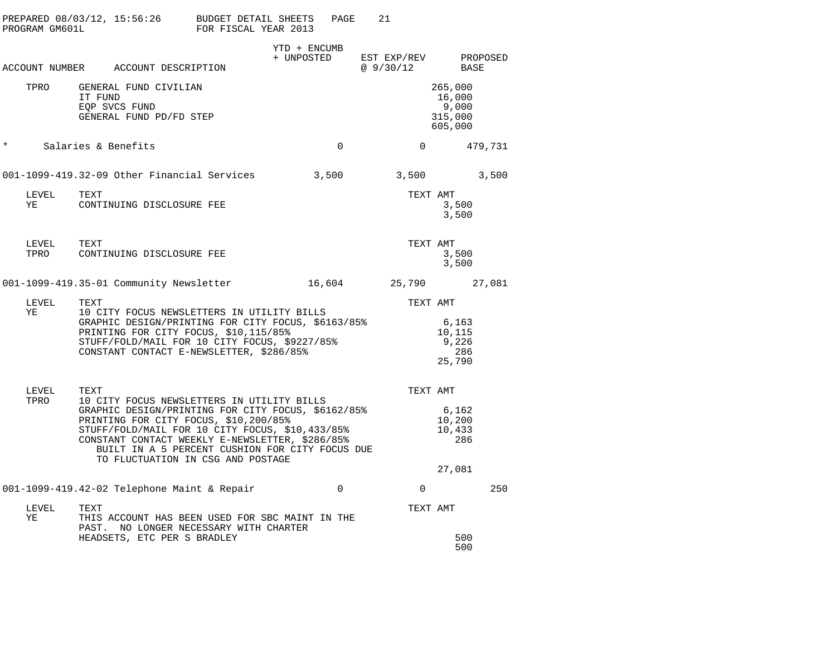| PROGRAM GM601L | PREPARED $08/03/12$ , $15:56:26$ BUDGET DETAIL SHEETS                                                                                                                                                                                                                                                                                           | FOR FISCAL YEAR 2013 | PAGE                   | 21             |                                                  |
|----------------|-------------------------------------------------------------------------------------------------------------------------------------------------------------------------------------------------------------------------------------------------------------------------------------------------------------------------------------------------|----------------------|------------------------|----------------|--------------------------------------------------|
|                | ACCOUNT NUMBER ACCOUNT DESCRIPTION                                                                                                                                                                                                                                                                                                              | YTD + ENCUMB         | + UNPOSTED EST EXP/REV | @ 9/30/12      | PROPOSED<br><b>BASE</b>                          |
| TPRO           | GENERAL FUND CIVILIAN<br>IT FUND<br>EQP SVCS FUND<br>GENERAL FUND PD/FD STEP                                                                                                                                                                                                                                                                    |                      |                        |                | 265,000<br>16,000<br>9,000<br>315,000<br>605,000 |
| $\ast$         | Salaries & Benefits                                                                                                                                                                                                                                                                                                                             |                      | $\overline{0}$         | $\overline{0}$ | 479,731                                          |
|                | 001-1099-419.32-09 Other Financial Services                                                                                                                                                                                                                                                                                                     | 3,500                |                        | 3,500          | 3,500                                            |
| LEVEL<br>YE    | TEXT<br>CONTINUING DISCLOSURE FEE                                                                                                                                                                                                                                                                                                               |                      |                        | TEXT AMT       | 3,500<br>3,500                                   |
| LEVEL<br>TPRO  | TEXT<br>CONTINUING DISCLOSURE FEE                                                                                                                                                                                                                                                                                                               |                      |                        | TEXT AMT       | 3,500<br>3,500                                   |
|                | 001-1099-419.35-01 Community Newsletter                                                                                                                                                                                                                                                                                                         |                      | 16,604                 |                | 25,790 27,081                                    |
| LEVEL<br>ΥE    | TEXT<br>10 CITY FOCUS NEWSLETTERS IN UTILITY BILLS<br>GRAPHIC DESIGN/PRINTING FOR CITY FOCUS, \$6163/85%<br>PRINTING FOR CITY FOCUS, \$10,115/85%<br>STUFF/FOLD/MAIL FOR 10 CITY FOCUS, \$9227/85%<br>CONSTANT CONTACT E-NEWSLETTER, \$286/85%                                                                                                  |                      |                        | TEXT AMT       | 6,163<br>10,115<br>9,226<br>286<br>25,790        |
| LEVEL<br>TPRO  | TEXT<br>10 CITY FOCUS NEWSLETTERS IN UTILITY BILLS<br>GRAPHIC DESIGN/PRINTING FOR CITY FOCUS, \$6162/85%<br>PRINTING FOR CITY FOCUS, \$10,200/85%<br>STUFF/FOLD/MAIL FOR 10 CITY FOCUS, \$10,433/85%<br>CONSTANT CONTACT WEEKLY E-NEWSLETTER, \$286/85%<br>BUILT IN A 5 PERCENT CUSHION FOR CITY FOCUS DUE<br>TO FLUCTUATION IN CSG AND POSTAGE |                      |                        | TEXT AMT       | 6,162<br>10,200<br>10,433<br>- 286<br>27,081     |
|                | 001-1099-419.42-02 Telephone Maint & Repair                                                                                                                                                                                                                                                                                                     |                      | $\mathbf 0$            | $\mathbf 0$    | 250                                              |
| LEVEL<br>ΥE    | TEXT<br>THIS ACCOUNT HAS BEEN USED FOR SBC MAINT IN THE<br>PAST. NO LONGER NECESSARY WITH CHARTER                                                                                                                                                                                                                                               |                      |                        | TEXT AMT       |                                                  |
|                | HEADSETS, ETC PER S BRADLEY                                                                                                                                                                                                                                                                                                                     |                      |                        |                | 500<br>500                                       |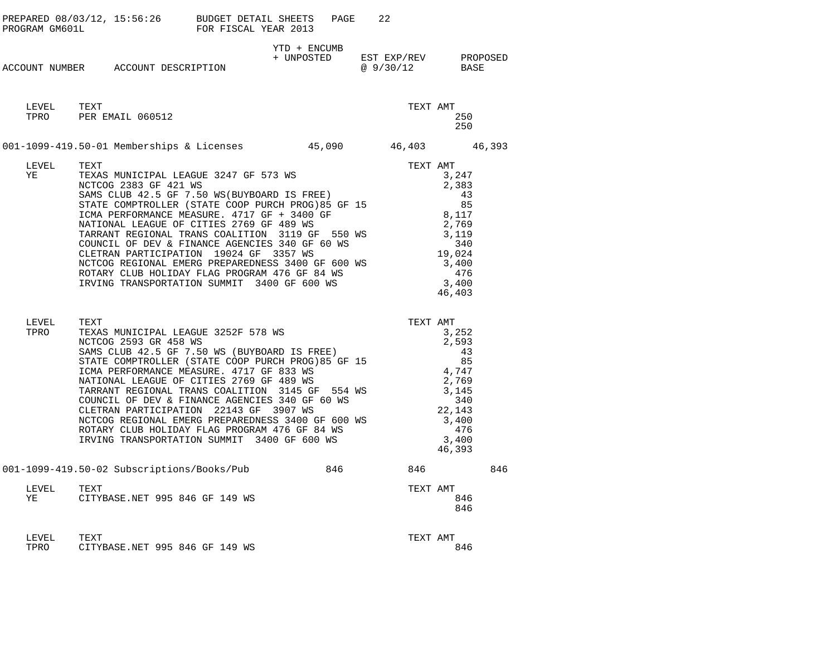| PROGRAM GM601L | PREPARED $08/03/12$ , $15:56:26$ BUDGET DETAIL SHEETS                                                                                                                                                                                                                                                                                                                                                                                                                                                                                                                      | FOR FISCAL YEAR 2013 | PAGE         | 22                                                |                                                                                                                       |     |
|----------------|----------------------------------------------------------------------------------------------------------------------------------------------------------------------------------------------------------------------------------------------------------------------------------------------------------------------------------------------------------------------------------------------------------------------------------------------------------------------------------------------------------------------------------------------------------------------------|----------------------|--------------|---------------------------------------------------|-----------------------------------------------------------------------------------------------------------------------|-----|
|                | ACCOUNT NUMBER ACCOUNT DESCRIPTION                                                                                                                                                                                                                                                                                                                                                                                                                                                                                                                                         |                      | YTD + ENCUMB | + UNPOSTED EST EXP/REV PROPOSED<br>@ 9/30/12 BASE |                                                                                                                       |     |
| LEVEL TEXT     | TPRO PER EMAIL 060512                                                                                                                                                                                                                                                                                                                                                                                                                                                                                                                                                      |                      |              |                                                   | TEXT AMT<br>250<br>250                                                                                                |     |
|                | 001-1099-419.50-01 Memberships & Licenses 45,090 46,403 46,393                                                                                                                                                                                                                                                                                                                                                                                                                                                                                                             |                      |              |                                                   |                                                                                                                       |     |
| LEVEL<br>YE    | TEXT<br>TEXAS MUNICIPAL LEAGUE 3247 GF 573 WS<br>NCTCOG 2383 GF 421 WS<br>SAMS CLUB 42.5 GF 7.50 WS (BUYBOARD IS FREE)<br>STATE COMPTROLLER (STATE COOP PURCH PROG)85 GF 15<br>ICMA PERFORMANCE MEASURE. 4717 GF + 3400 GF<br>NATIONAL LEAGUE OF CITIES 2769 GF 489 WS<br>TARRANT REGIONAL TRANS COALITION 3119 GF 550 WS<br>COUNCIL OF DEV & FINANCE AGENCIES 340 GF 60 WS<br>CLETRAN PARTICIPATION 19024 GF 3357 WS<br>NCTCOG REGIONAL EMERG PREPAREDNESS 3400 GF 600 WS<br>ROTARY CLUB HOLIDAY FLAG PROGRAM 476 GF 84 WS<br>IRVING TRANSPORTATION SUMMIT 3400 GF 600 WS |                      |              |                                                   | TEXT AMT<br>3,247<br>2,383<br>43<br>85<br>8,117<br>2,769<br>3,119<br>340<br>19,024<br>3,400<br>476<br>3,400<br>46,403 |     |
| LEVEL<br>TPRO  | TEXT<br>TEXAS MUNICIPAL LEAGUE 3252F 578 WS<br>NCTCOG 2593 GR 458 WS<br>SAMS CLUB 42.5 GF 7.50 WS (BUYBOARD IS FREE)<br>STATE COMPTROLLER (STATE COOP PURCH PROG)85 GF 15<br>ICMA PERFORMANCE MEASURE. 4717 GF 833 WS<br>NATIONAL LEAGUE OF CITIES 2769 GF 489 WS<br>TARRANT REGIONAL TRANS COALITION 3145 GF 554 WS<br>COUNCIL OF DEV & FINANCE AGENCIES 340 GF 60 WS<br>CLETRAN PARTICIPATION 22143 GF 3907 WS<br>NCTCOG REGIONAL EMERG PREPAREDNESS 3400 GF 600 WS<br>ROTARY CLUB HOLIDAY FLAG PROGRAM 476 GF 84 WS<br>IRVING TRANSPORTATION SUMMIT 3400 GF 600 WS      |                      |              | TEXT AMT                                          | 3,252<br>2,593<br>43<br>85<br>4,747<br>2,769<br>3,145<br>340<br>22,143<br>3,400<br>476<br>3,400<br>46,393             |     |
|                | 001-1099-419.50-02 Subscriptions/Books/Pub 846 846                                                                                                                                                                                                                                                                                                                                                                                                                                                                                                                         |                      |              |                                                   |                                                                                                                       | 846 |
| LEVEL<br>YE    | TEXT<br>CITYBASE.NET 995 846 GF 149 WS                                                                                                                                                                                                                                                                                                                                                                                                                                                                                                                                     |                      |              |                                                   | TEXT AMT<br>846<br>846                                                                                                |     |
| LEVEL<br>TPRO  | TEXT<br>CITYBASE.NET 995 846 GF 149 WS                                                                                                                                                                                                                                                                                                                                                                                                                                                                                                                                     |                      |              |                                                   | TEXT AMT<br>846                                                                                                       |     |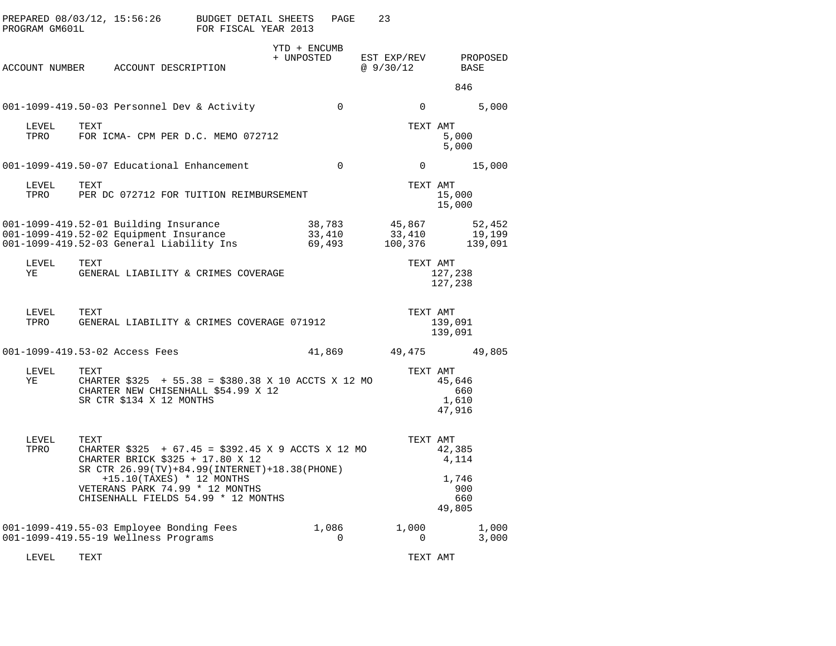| PROGRAM GM601L |      |                                                                                  | PREPARED 08/03/12, 15:56:26 BUDGET DETAIL SHEETS<br>FOR FISCAL YEAR 2013                                                                                                                                                                            |                            | PAGE                       | 23                          |                                                  |                             |
|----------------|------|----------------------------------------------------------------------------------|-----------------------------------------------------------------------------------------------------------------------------------------------------------------------------------------------------------------------------------------------------|----------------------------|----------------------------|-----------------------------|--------------------------------------------------|-----------------------------|
|                |      | ACCOUNT NUMBER ACCOUNT DESCRIPTION                                               |                                                                                                                                                                                                                                                     | YTD + ENCUMB<br>+ UNPOSTED |                            | EST EXP/REV<br>@ 9/30/12    | BASE                                             | PROPOSED                    |
|                |      |                                                                                  |                                                                                                                                                                                                                                                     |                            |                            |                             | 846                                              |                             |
|                |      |                                                                                  | 001-1099-419.50-03 Personnel Dev & Activity                                                                                                                                                                                                         |                            | $\mathbf 0$                | 0                           |                                                  | 5,000                       |
| LEVEL<br>TPRO  | TEXT |                                                                                  | FOR ICMA- CPM PER D.C. MEMO 072712                                                                                                                                                                                                                  |                            |                            | TEXT AMT                    | 5,000<br>5,000                                   |                             |
|                |      |                                                                                  | 001-1099-419.50-07 Educational Enhancement                                                                                                                                                                                                          |                            | $\Omega$                   | $\overline{0}$              |                                                  | 15,000                      |
| LEVEL<br>TPRO  | TEXT |                                                                                  | PER DC 072712 FOR TUITION REIMBURSEMENT                                                                                                                                                                                                             |                            |                            | TEXT AMT                    | 15,000<br>15,000                                 |                             |
|                |      | 001-1099-419.52-01 Building Insurance                                            | 001-1099-419.52-02 Equipment Insurance<br>001-1099-419.52-03 General Liability Ins                                                                                                                                                                  |                            | 38,783<br>33,410<br>69,493 | 45,867<br>33,410<br>100,376 |                                                  | 52,452<br>19,199<br>139,091 |
| LEVEL<br>YE    | TEXT |                                                                                  | GENERAL LIABILITY & CRIMES COVERAGE                                                                                                                                                                                                                 |                            |                            | TEXT AMT                    | 127,238<br>127,238                               |                             |
| LEVEL<br>TPRO  | TEXT |                                                                                  | GENERAL LIABILITY & CRIMES COVERAGE 071912                                                                                                                                                                                                          |                            |                            | TEXT AMT                    | 139,091<br>139,091                               |                             |
|                |      | 001-1099-419.53-02 Access Fees                                                   |                                                                                                                                                                                                                                                     |                            | 41,869                     | 49,475 49,805               |                                                  |                             |
| LEVEL<br>YE    | TEXT | SR CTR \$134 X 12 MONTHS                                                         | CHARTER $$325$ + 55.38 = $$380.38$ X 10 ACCTS X 12 MO<br>CHARTER NEW CHISENHALL \$54.99 X 12                                                                                                                                                        |                            |                            | TEXT AMT                    | 45,646<br>660<br>1,610<br>47,916                 |                             |
| LEVEL<br>TPRO  | TEXT |                                                                                  | CHARTER $$325 + 67.45 = $392.45 \times 9$ ACCTS X 12 MO<br>CHARTER BRICK \$325 + 17.80 X 12<br>SR CTR 26.99(TV)+84.99(INTERNET)+18.38(PHONE)<br>+15.10(TAXES) * 12 MONTHS<br>VETERANS PARK 74.99 * 12 MONTHS<br>CHISENHALL FIELDS 54.99 * 12 MONTHS |                            |                            | TEXT AMT                    | 42,385<br>4,114<br>1,746<br>900<br>660<br>49,805 |                             |
|                |      | 001-1099-419.55-03 Employee Bonding Fees<br>001-1099-419.55-19 Wellness Programs |                                                                                                                                                                                                                                                     |                            | 1,086<br>$\Omega$          | 1,000<br>$\overline{0}$     |                                                  | 1,000<br>3,000              |
| LEVEL          | TEXT |                                                                                  |                                                                                                                                                                                                                                                     |                            |                            | TEXT AMT                    |                                                  |                             |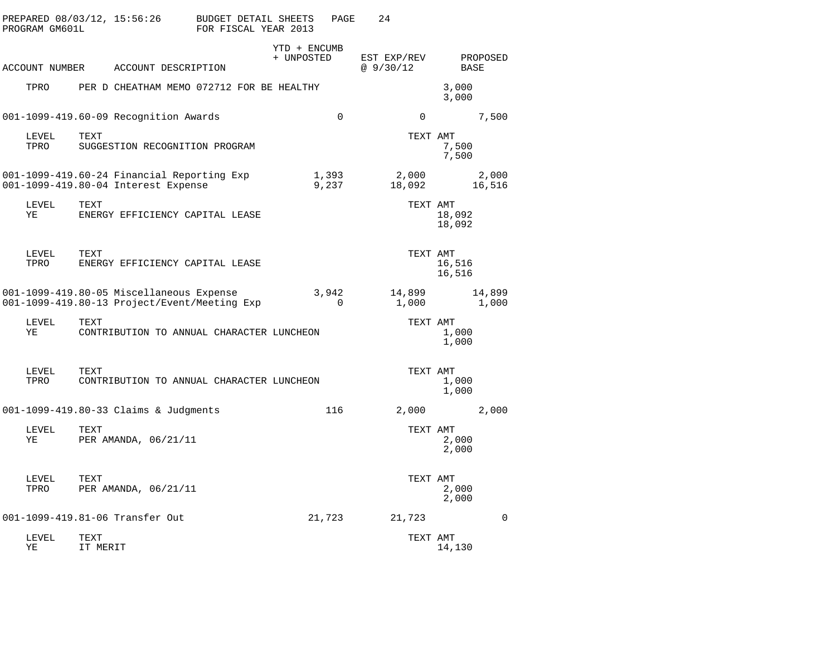|      | PROGRAM GM601L | PREPARED 08/03/12, 15:56:26                                                              | <b>BUDGET DETAIL SHEETS</b><br>FOR FISCAL YEAR 2013 |                            | PAGE           | 24                      |                  |                 |
|------|----------------|------------------------------------------------------------------------------------------|-----------------------------------------------------|----------------------------|----------------|-------------------------|------------------|-----------------|
|      | ACCOUNT NUMBER | ACCOUNT DESCRIPTION                                                                      |                                                     | YTD + ENCUMB<br>+ UNPOSTED |                | EST EXP/REV<br>@9/30/12 | BASE             | PROPOSED        |
| TPRO |                | PER D CHEATHAM MEMO 072712 FOR BE HEALTHY                                                |                                                     |                            |                |                         | 3,000<br>3,000   |                 |
|      |                | 001-1099-419.60-09 Recognition Awards                                                    |                                                     |                            | $\mathbf 0$    | $\Omega$                |                  | 7,500           |
| TPRO | LEVEL          | TEXT<br>SUGGESTION RECOGNITION PROGRAM                                                   |                                                     |                            |                | TEXT AMT                | 7,500<br>7,500   |                 |
|      |                | 001-1099-419.60-24 Financial Reporting Exp<br>001-1099-419.80-04 Interest Expense        |                                                     |                            | 1,393<br>9,237 | 2,000<br>18,092         |                  | 2,000<br>16,516 |
| ΥE   | LEVEL          | <b>TEXT</b><br>ENERGY EFFICIENCY CAPITAL LEASE                                           |                                                     |                            |                | TEXT AMT                | 18,092<br>18,092 |                 |
| TPRO | LEVEL          | TEXT<br>ENERGY EFFICIENCY CAPITAL LEASE                                                  |                                                     |                            |                | TEXT AMT                | 16,516<br>16,516 |                 |
|      |                | 001-1099-419.80-05 Miscellaneous Expense<br>001-1099-419.80-13 Project/Event/Meeting Exp |                                                     |                            | 3,942<br>0     | 14,899<br>1,000         |                  | 14,899<br>1,000 |
| ΥE   | LEVEL          | TEXT<br>CONTRIBUTION TO ANNUAL CHARACTER LUNCHEON                                        |                                                     |                            |                | TEXT AMT                | 1,000<br>1,000   |                 |
| TPRO | LEVEL          | TEXT<br>CONTRIBUTION TO ANNUAL CHARACTER LUNCHEON                                        |                                                     |                            |                | TEXT AMT                | 1,000<br>1,000   |                 |
|      |                | 001-1099-419.80-33 Claims & Judgments                                                    |                                                     |                            | 116            | 2,000                   |                  | 2,000           |
| ΥE   | LEVEL          | TEXT<br>PER AMANDA, 06/21/11                                                             |                                                     |                            |                | TEXT AMT                | 2,000<br>2,000   |                 |
| TPRO | LEVEL          | TEXT<br>PER AMANDA, 06/21/11                                                             |                                                     |                            |                | TEXT AMT                | 2,000<br>2,000   |                 |
|      |                | 001-1099-419.81-06 Transfer Out                                                          |                                                     |                            | 21,723         | 21,723                  |                  | 0               |
| ΥE   | LEVEL          | TEXT<br>IT MERIT                                                                         |                                                     |                            |                | TEXT AMT                | 14,130           |                 |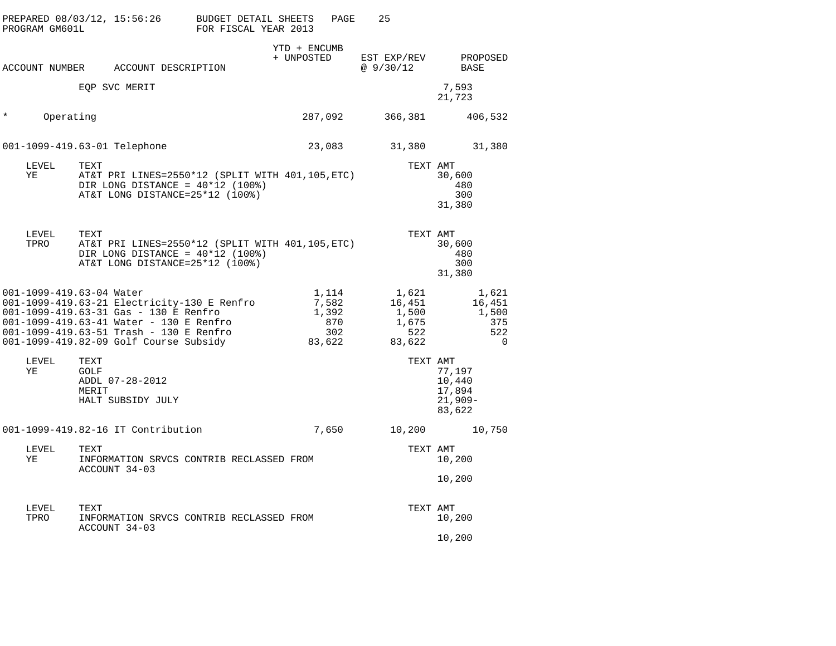|         | PROGRAM GM601L           |                              | PREPARED 08/03/12, 15:56:26                                                                                                                                                                                          | BUDGET DETAIL SHEETS<br>FOR FISCAL YEAR 2013 |                            | PAGE                                            | 25                                                 |                                                    |
|---------|--------------------------|------------------------------|----------------------------------------------------------------------------------------------------------------------------------------------------------------------------------------------------------------------|----------------------------------------------|----------------------------|-------------------------------------------------|----------------------------------------------------|----------------------------------------------------|
|         |                          |                              | ACCOUNT NUMBER ACCOUNT DESCRIPTION                                                                                                                                                                                   |                                              | YTD + ENCUMB<br>+ UNPOSTED |                                                 | EST EXP/REV<br>@9/30/12                            | PROPOSED<br>BASE                                   |
|         |                          |                              | EQP SVC MERIT                                                                                                                                                                                                        |                                              |                            |                                                 |                                                    | 7,593<br>21,723                                    |
| $\star$ | Operating                |                              |                                                                                                                                                                                                                      |                                              |                            | 287,092                                         | 366,381                                            | 406,532                                            |
|         |                          |                              | 001-1099-419.63-01 Telephone                                                                                                                                                                                         |                                              |                            | 23,083                                          | 31,380                                             | 31,380                                             |
|         | LEVEL<br>YE              | TEXT                         | AT&T PRI LINES=2550*12 (SPLIT WITH 401,105,ETC)<br>DIR LONG DISTANCE = $40*12$ (100%)<br>AT&T LONG DISTANCE=25*12 (100%)                                                                                             |                                              |                            |                                                 | TEXT AMT                                           | 30,600<br>480<br>300<br>31,380                     |
|         | LEVEL<br>TPRO            | TEXT                         | AT&T PRI LINES=2550*12 (SPLIT WITH 401,105, ETC)<br>DIR LONG DISTANCE = $40*12$ (100%)<br>AT&T LONG DISTANCE=25*12 (100%)                                                                                            |                                              |                            |                                                 | TEXT AMT                                           | 30,600<br>480<br>300<br>31,380                     |
|         | 001-1099-419.63-04 Water |                              | 001-1099-419.63-21 Electricity-130 E Renfro<br>001-1099-419.63-31 Gas - 130 E Renfro<br>001-1099-419.63-41 Water - 130 E Renfro<br>001-1099-419.63-51 Trash - 130 E Renfro<br>001-1099-419.82-09 Golf Course Subsidy |                                              |                            | 1,114<br>7,582<br>1,392<br>870<br>302<br>83,622 | 1,621<br>16,451<br>1,500<br>1,675<br>522<br>83,622 | 1,621<br>16,451<br>1,500<br>375<br>522<br>$\Omega$ |
|         | LEVEL<br>ΥE              | TEXT<br><b>GOLF</b><br>MERIT | ADDL 07-28-2012<br>HALT SUBSIDY JULY                                                                                                                                                                                 |                                              |                            |                                                 | TEXT AMT                                           | 77,197<br>10,440<br>17,894<br>$21,909-$<br>83,622  |
|         |                          |                              | 001-1099-419.82-16 IT Contribution                                                                                                                                                                                   |                                              |                            | 7,650                                           | 10,200                                             | 10,750                                             |
|         | LEVEL<br>YE              | TEXT                         | INFORMATION SRVCS CONTRIB RECLASSED FROM<br>ACCOUNT 34-03                                                                                                                                                            |                                              |                            |                                                 | TEXT AMT                                           | 10,200                                             |
|         |                          |                              |                                                                                                                                                                                                                      |                                              |                            |                                                 |                                                    | 10,200                                             |
|         | LEVEL<br>TPRO            | TEXT                         | INFORMATION SRVCS CONTRIB RECLASSED FROM<br>ACCOUNT 34-03                                                                                                                                                            |                                              |                            |                                                 | TEXT AMT                                           | 10,200                                             |
|         |                          |                              |                                                                                                                                                                                                                      |                                              |                            |                                                 |                                                    | 10,200                                             |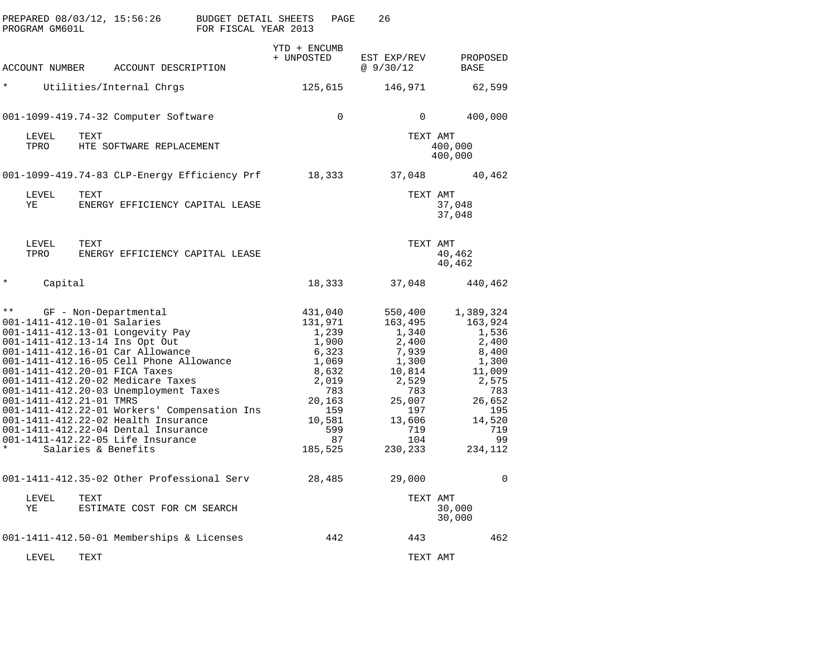| PREPARED 08/03/12, 15:56:26<br>PROGRAM GM601L                                                                                                                                                                                                                                                                                                                                                                                                                                                                                                                 | <b>BUDGET DETAIL SHEETS</b><br>FOR FISCAL YEAR 2013 | PAGE<br>26                                                                                                                                                                                                                                           |                                                                                                                                       |
|---------------------------------------------------------------------------------------------------------------------------------------------------------------------------------------------------------------------------------------------------------------------------------------------------------------------------------------------------------------------------------------------------------------------------------------------------------------------------------------------------------------------------------------------------------------|-----------------------------------------------------|------------------------------------------------------------------------------------------------------------------------------------------------------------------------------------------------------------------------------------------------------|---------------------------------------------------------------------------------------------------------------------------------------|
| ACCOUNT NUMBER<br>ACCOUNT DESCRIPTION                                                                                                                                                                                                                                                                                                                                                                                                                                                                                                                         | YTD + ENCUMB<br>+ UNPOSTED                          | EST EXP/REV<br>@9/30/12                                                                                                                                                                                                                              | PROPOSED<br>BASE                                                                                                                      |
| $^\star$<br>Utilities/Internal Chrgs                                                                                                                                                                                                                                                                                                                                                                                                                                                                                                                          |                                                     | 146,971<br>125,615                                                                                                                                                                                                                                   | 62,599                                                                                                                                |
| 001-1099-419.74-32 Computer Software                                                                                                                                                                                                                                                                                                                                                                                                                                                                                                                          |                                                     | $\mathbf 0$<br>$\Omega$                                                                                                                                                                                                                              | 400,000                                                                                                                               |
| LEVEL<br>TEXT<br>TPRO<br>HTE SOFTWARE REPLACEMENT                                                                                                                                                                                                                                                                                                                                                                                                                                                                                                             |                                                     |                                                                                                                                                                                                                                                      | TEXT AMT<br>400,000<br>400,000                                                                                                        |
| 001-1099-419.74-83 CLP-Energy Efficiency Prf                                                                                                                                                                                                                                                                                                                                                                                                                                                                                                                  |                                                     | 18,333<br>37,048                                                                                                                                                                                                                                     | 40,462                                                                                                                                |
| LEVEL<br>TEXT<br>ΥE<br>ENERGY EFFICIENCY CAPITAL LEASE                                                                                                                                                                                                                                                                                                                                                                                                                                                                                                        |                                                     |                                                                                                                                                                                                                                                      | TEXT AMT<br>37,048<br>37,048                                                                                                          |
| LEVEL<br>TEXT<br>TPRO<br>ENERGY EFFICIENCY CAPITAL LEASE                                                                                                                                                                                                                                                                                                                                                                                                                                                                                                      |                                                     |                                                                                                                                                                                                                                                      | TEXT AMT<br>40,462<br>40,462                                                                                                          |
| Capital<br>$\star$                                                                                                                                                                                                                                                                                                                                                                                                                                                                                                                                            |                                                     | 18,333<br>37,048                                                                                                                                                                                                                                     | 440,462                                                                                                                               |
| $\star\star$<br>GF - Non-Departmental<br>001-1411-412.10-01 Salaries<br>001-1411-412.13-01 Longevity Pay<br>001-1411-412.13-14 Ins Opt Out<br>001-1411-412.16-01 Car Allowance<br>001-1411-412.16-05 Cell Phone Allowance<br>001-1411-412.20-01 FICA Taxes<br>001-1411-412.20-02 Medicare Taxes<br>001-1411-412.20-03 Unemployment Taxes<br>001-1411-412.21-01 TMRS<br>001-1411-412.22-01 Workers' Compensation Ins<br>001-1411-412.22-02 Health Insurance<br>001-1411-412.22-04 Dental Insurance<br>001-1411-412.22-05 Life Insurance<br>Salaries & Benefits | 131,971<br>185,525                                  | 431,040<br>550,400<br>163,495<br>1,239<br>1,340<br>1,900<br>2,400<br>6,323<br>7,939<br>1,069<br>1,300<br>8,632<br>10,814<br>2,019<br>2,529<br>783<br>783<br>20,163<br>25,007<br>159<br>197<br>10,581<br>13,606<br>599<br>719<br>87<br>104<br>230,233 | 1,389,324<br>163,924<br>1,536<br>2,400<br>8,400<br>1,300<br>11,009<br>2,575<br>783<br>26,652<br>195<br>14,520<br>719<br>99<br>234,112 |
| 001-1411-412.35-02 Other Professional Serv                                                                                                                                                                                                                                                                                                                                                                                                                                                                                                                    |                                                     | 28,485<br>29,000                                                                                                                                                                                                                                     | 0                                                                                                                                     |
| LEVEL<br>TEXT<br>ΥE<br>ESTIMATE COST FOR CM SEARCH                                                                                                                                                                                                                                                                                                                                                                                                                                                                                                            |                                                     |                                                                                                                                                                                                                                                      | TEXT AMT<br>30,000<br>30,000                                                                                                          |
| 001-1411-412.50-01 Memberships & Licenses                                                                                                                                                                                                                                                                                                                                                                                                                                                                                                                     |                                                     | 442<br>443                                                                                                                                                                                                                                           | 462                                                                                                                                   |
| LEVEL<br>TEXT                                                                                                                                                                                                                                                                                                                                                                                                                                                                                                                                                 |                                                     |                                                                                                                                                                                                                                                      | TEXT AMT                                                                                                                              |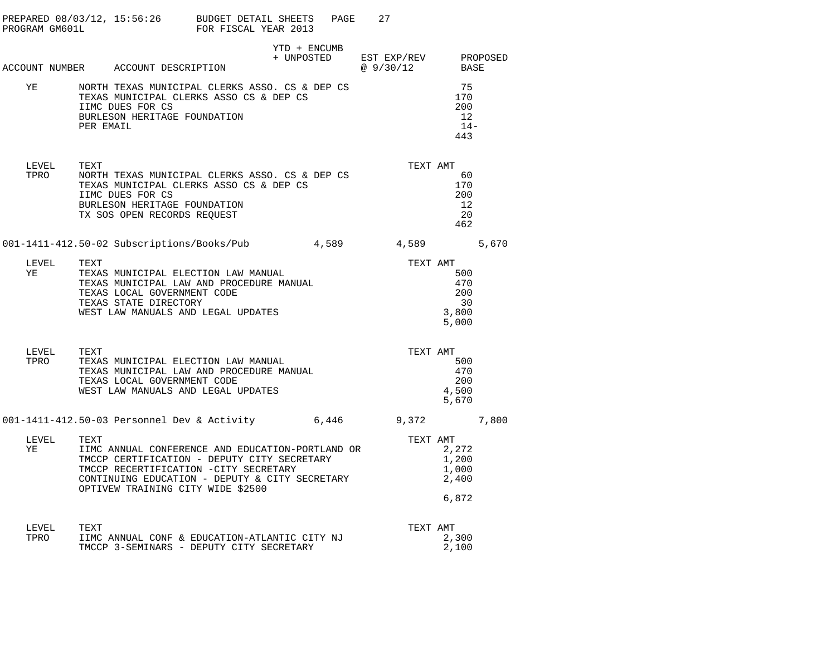| PROGRAM GM601L |            | PREPARED $08/03/12$ , $15:56:26$ BUDGET DETAIL SHEETS                                                                                                                                                                           | FOR FISCAL YEAR 2013 |                                                 | 27<br>PAGE |                                                       |                                        |
|----------------|------------|---------------------------------------------------------------------------------------------------------------------------------------------------------------------------------------------------------------------------------|----------------------|-------------------------------------------------|------------|-------------------------------------------------------|----------------------------------------|
|                |            | ACCOUNT NUMBER ACCOUNT DESCRIPTION                                                                                                                                                                                              |                      | YTD + ENCUMB<br>+ UNPOSTED EST EXP/REV PROPOSED |            | @9/30/12                                              | BASE                                   |
| ΥE             | PER EMAIL  | NORTH TEXAS MUNICIPAL CLERKS ASSO. CS & DEP CS<br>TEXAS MUNICIPAL CLERKS ASSO CS & DEP CS<br>IIMC DUES FOR CS<br>BURLESON HERITAGE FOUNDATION                                                                                   |                      |                                                 |            |                                                       | 75<br>170<br>200<br>12<br>$14-$<br>443 |
| LEVEL<br>TPRO  | TEXT       | NORTH TEXAS MUNICIPAL CLERKS ASSO. CS & DEP CS<br>TEXAS MUNICIPAL CLERKS ASSO CS & DEP CS<br>IIMC DUES FOR CS<br>BURLESON HERITAGE FOUNDATION<br>TX SOS OPEN RECORDS REQUEST                                                    |                      |                                                 |            | TEXT AMT                                              | 60<br>170<br>200<br>12<br>20<br>462    |
|                |            | 001-1411-412.50-02 Subscriptions/Books/Pub 4,589                                                                                                                                                                                |                      |                                                 |            | 4,589                                                 | 5,670                                  |
| YE             | LEVEL TEXT | TEXAS MUNICIPAL ELECTION LAW MANUAL<br>TEXAS MUNICIPAL LAW AND PROCEDURE MANUAL<br>TEXAS LOCAL GOVERNMENT CODE<br>TEXAS STATE DIRECTORY<br>WEST LAW MANUALS AND LEGAL UPDATES                                                   |                      |                                                 |            | TEXT AMT<br>3,800<br>5,000                            | 500<br>470<br>200<br>30                |
| LEVEL<br>TPRO  | TEXT       | TEXAS MUNICIPAL ELECTION LAW MANUAL<br>TEXAS MUNICIPAL LAW AND PROCEDURE MANUAL<br>TEXAS LOCAL GOVERNMENT CODE<br>WEST LAW MANUALS AND LEGAL UPDATES                                                                            |                      |                                                 |            | TEXT AMT<br>4,500<br>5,670                            | 500<br>470<br>200                      |
|                |            | 001-1411-412.50-03 Personnel Dev & Activity 6,446 9,372                                                                                                                                                                         |                      |                                                 |            |                                                       | 7,800                                  |
| LEVEL<br>ΥE    | TEXT       | IIMC ANNUAL CONFERENCE AND EDUCATION-PORTLAND OR<br>TMCCP CERTIFICATION - DEPUTY CITY SECRETARY<br>TMCCP RECERTIFICATION -CITY SECRETARY<br>CONTINUING EDUCATION - DEPUTY & CITY SECRETARY<br>OPTIVEW TRAINING CITY WIDE \$2500 |                      |                                                 |            | TEXT AMT<br>2,272<br>1,200<br>1,000<br>2,400<br>6,872 |                                        |
| LEVEL<br>TPRO  | TEXT       | IIMC ANNUAL CONF & EDUCATION-ATLANTIC CITY NJ<br>TMCCP 3-SEMINARS - DEPUTY CITY SECRETARY                                                                                                                                       |                      |                                                 |            | TEXT AMT<br>2,300<br>2,100                            |                                        |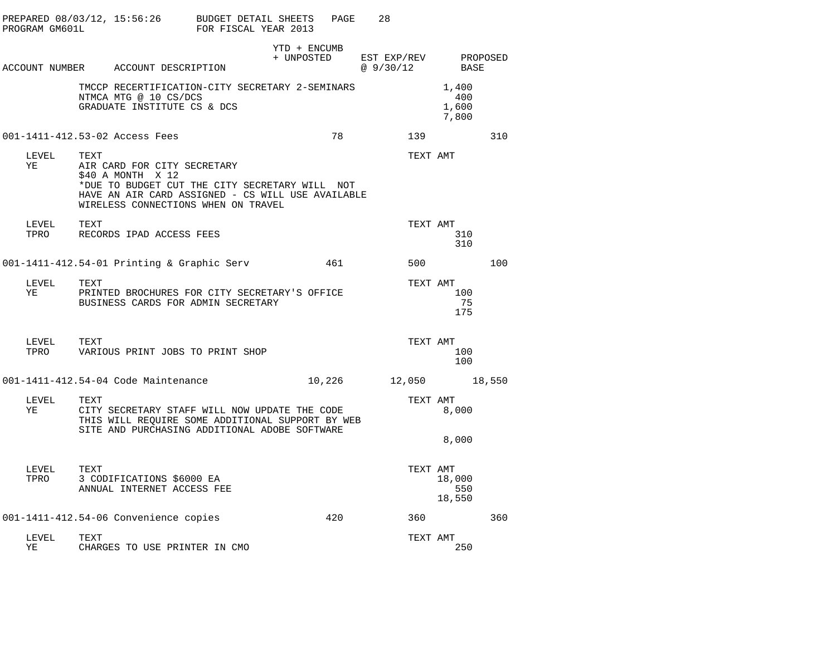|               |      |                                                                                                                                                                                                |              |     | 28                                 |          |                                |          |
|---------------|------|------------------------------------------------------------------------------------------------------------------------------------------------------------------------------------------------|--------------|-----|------------------------------------|----------|--------------------------------|----------|
|               |      | ACCOUNT NUMBER ACCOUNT DESCRIPTION                                                                                                                                                             | YTD + ENCUMB |     | + UNPOSTED EST EXP/REV<br>@9/30/12 |          | BASE                           | PROPOSED |
|               |      | TMCCP RECERTIFICATION-CITY SECRETARY 2-SEMINARS<br>NTMCA MTG @ 10 CS/DCS<br>GRADUATE INSTITUTE CS & DCS                                                                                        |              |     |                                    |          | 1,400<br>400<br>1,600<br>7,800 |          |
|               |      | 001-1411-412.53-02 Access Fees                                                                                                                                                                 |              | 78  |                                    | 139      |                                | 310      |
| LEVEL<br>ΥE   | TEXT | AIR CARD FOR CITY SECRETARY<br>\$40 A MONTH X 12<br>*DUE TO BUDGET CUT THE CITY SECRETARY WILL NOT<br>HAVE AN AIR CARD ASSIGNED - CS WILL USE AVAILABLE<br>WIRELESS CONNECTIONS WHEN ON TRAVEL |              |     |                                    | TEXT AMT |                                |          |
| LEVEL         | TEXT | TPRO RECORDS IPAD ACCESS FEES                                                                                                                                                                  |              |     |                                    | TEXT AMT | 310<br>310                     |          |
|               |      | 001-1411-412.54-01 Printing & Graphic Serv                                                                                                                                                     |              | 461 |                                    |          | 500 000                        | 100      |
| LEVEL<br>YE   | TEXT | PRINTED BROCHURES FOR CITY SECRETARY'S OFFICE<br>BUSINESS CARDS FOR ADMIN SECRETARY                                                                                                            |              |     |                                    | TEXT AMT | 100<br>75<br>175               |          |
| LEVEL         | TEXT | TPRO VARIOUS PRINT JOBS TO PRINT SHOP                                                                                                                                                          |              |     |                                    | TEXT AMT | 100<br>100                     |          |
|               |      | 001-1411-412.54-04 Code Maintenance                                                                                                                                                            |              |     |                                    |          | 10,226 12,050 18,550           |          |
| LEVEL<br>ΥE   | TEXT | CITY SECRETARY STAFF WILL NOW UPDATE THE CODE<br>THIS WILL REQUIRE SOME ADDITIONAL SUPPORT BY WEB<br>SITE AND PURCHASING ADDITIONAL ADOBE SOFTWARE                                             |              |     |                                    | TEXT AMT | 8,000                          |          |
|               |      |                                                                                                                                                                                                |              |     |                                    |          | 8,000                          |          |
| LEVEL<br>TPRO | TEXT | 3 CODIFICATIONS \$6000 EA<br>ANNUAL INTERNET ACCESS FEE                                                                                                                                        |              |     |                                    | TEXT AMT | 18,000<br>550<br>18,550        |          |
|               |      | 001-1411-412.54-06 Convenience copies                                                                                                                                                          |              | 420 |                                    | 360      |                                | 360      |
| LEVEL<br>ΥE   | TEXT | CHARGES TO USE PRINTER IN CMO                                                                                                                                                                  |              |     |                                    | TEXT AMT | 250                            |          |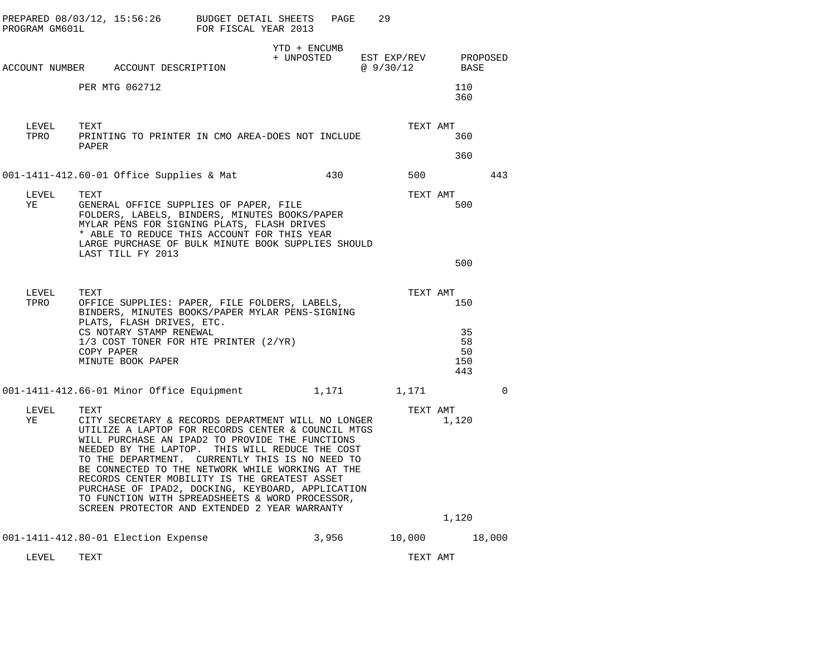| PROGRAM GM601L | PREPARED 08/03/12, 15:56:26                                                                                                                                                                                                                                                                                                                                                                               | BUDGET DETAIL SHEETS<br>FOR FISCAL YEAR 2013 | PAGE                       | 29                       |          |                              |          |
|----------------|-----------------------------------------------------------------------------------------------------------------------------------------------------------------------------------------------------------------------------------------------------------------------------------------------------------------------------------------------------------------------------------------------------------|----------------------------------------------|----------------------------|--------------------------|----------|------------------------------|----------|
|                | ACCOUNT NUMBER ACCOUNT DESCRIPTION                                                                                                                                                                                                                                                                                                                                                                        |                                              | YTD + ENCUMB<br>+ UNPOSTED | EST EXP/REV<br>@ 9/30/12 |          | BASE                         | PROPOSED |
|                | PER MTG 062712                                                                                                                                                                                                                                                                                                                                                                                            |                                              |                            |                          |          | 110<br>360                   |          |
| LEVEL<br>TPRO  | TEXT<br>PRINTING TO PRINTER IN CMO AREA-DOES NOT INCLUDE<br>PAPER                                                                                                                                                                                                                                                                                                                                         |                                              |                            |                          | TEXT AMT | 360                          |          |
|                |                                                                                                                                                                                                                                                                                                                                                                                                           |                                              |                            |                          |          | 360                          |          |
|                | 001-1411-412.60-01 Office Supplies & Mat                                                                                                                                                                                                                                                                                                                                                                  |                                              | 430                        |                          | 500      |                              | 443      |
| LEVEL<br>ΥE    | TEXT<br>GENERAL OFFICE SUPPLIES OF PAPER, FILE<br>FOLDERS, LABELS, BINDERS, MINUTES BOOKS/PAPER<br>MYLAR PENS FOR SIGNING PLATS, FLASH DRIVES<br>* ABLE TO REDUCE THIS ACCOUNT FOR THIS YEAR<br>LARGE PURCHASE OF BULK MINUTE BOOK SUPPLIES SHOULD<br>LAST TILL FY 2013                                                                                                                                   |                                              |                            |                          | TEXT AMT | 500                          |          |
|                |                                                                                                                                                                                                                                                                                                                                                                                                           |                                              |                            |                          |          | 500                          |          |
| LEVEL<br>TPRO  | TEXT<br>OFFICE SUPPLIES: PAPER, FILE FOLDERS, LABELS,<br>BINDERS, MINUTES BOOKS/PAPER MYLAR PENS-SIGNING                                                                                                                                                                                                                                                                                                  |                                              |                            |                          | TEXT AMT | 150                          |          |
|                | PLATS, FLASH DRIVES, ETC.<br>CS NOTARY STAMP RENEWAL<br>1/3 COST TONER FOR HTE PRINTER (2/YR)<br>COPY PAPER<br>MINUTE BOOK PAPER                                                                                                                                                                                                                                                                          |                                              |                            |                          |          | 35<br>58<br>50<br>150<br>443 |          |
|                | 001-1411-412.66-01 Minor Office Equipment                                                                                                                                                                                                                                                                                                                                                                 |                                              |                            | 1,171 1,171              |          |                              | $\Omega$ |
| LEVEL<br>ΥE    | TEXT<br>CITY SECRETARY & RECORDS DEPARTMENT WILL NO LONGER<br>UTILIZE A LAPTOP FOR RECORDS CENTER & COUNCIL MTGS<br>WILL PURCHASE AN IPAD2 TO PROVIDE THE FUNCTIONS<br>NEEDED BY THE LAPTOP.<br>TO THE DEPARTMENT. CURRENTLY THIS IS NO NEED TO<br>BE CONNECTED TO THE NETWORK WHILE WORKING AT THE<br>RECORDS CENTER MOBILITY IS THE GREATEST ASSET<br>PURCHASE OF IPAD2, DOCKING, KEYBOARD, APPLICATION | THIS WILL REDUCE THE COST                    |                            |                          | TEXT AMT | 1,120                        |          |
|                | TO FUNCTION WITH SPREADSHEETS & WORD PROCESSOR,<br>SCREEN PROTECTOR AND EXTENDED 2 YEAR WARRANTY                                                                                                                                                                                                                                                                                                          |                                              |                            |                          |          |                              |          |
|                |                                                                                                                                                                                                                                                                                                                                                                                                           |                                              |                            |                          |          | 1,120                        |          |
|                | 001-1411-412.80-01 Election Expense                                                                                                                                                                                                                                                                                                                                                                       |                                              | 3,956                      |                          | 10,000   |                              | 18,000   |
| LEVEL          | TEXT                                                                                                                                                                                                                                                                                                                                                                                                      |                                              |                            |                          | TEXT AMT |                              |          |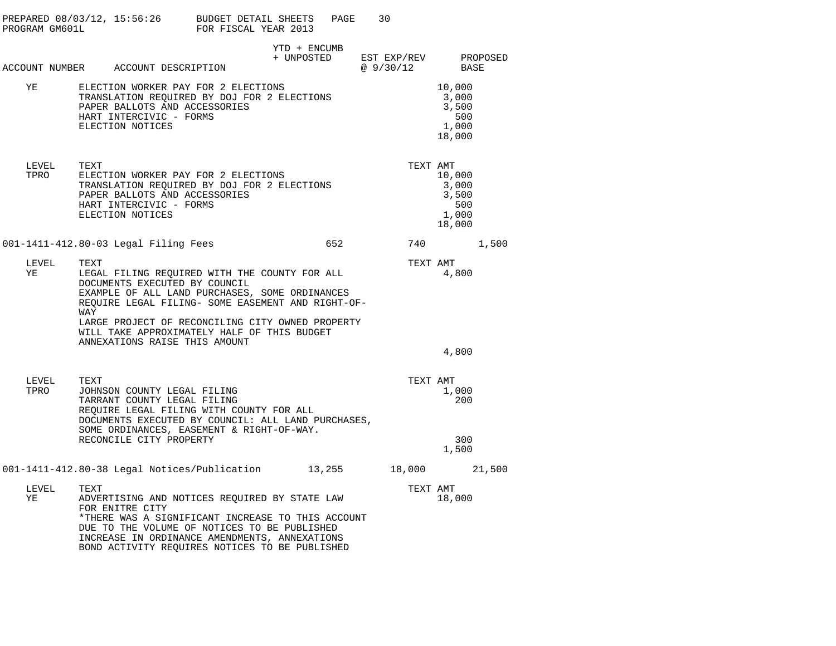| PROGRAM GM601L | PREPARED 08/03/12, 15:56:26 BUDGET DETAIL SHEETS                                                                                                                                                                                                                                                                                         | FOR FISCAL YEAR 2013 | PAGE                       | 30                      |                                                    |          |
|----------------|------------------------------------------------------------------------------------------------------------------------------------------------------------------------------------------------------------------------------------------------------------------------------------------------------------------------------------------|----------------------|----------------------------|-------------------------|----------------------------------------------------|----------|
|                | ACCOUNT NUMBER ACCOUNT DESCRIPTION                                                                                                                                                                                                                                                                                                       |                      | YTD + ENCUMB<br>+ UNPOSTED | EST EXP/REV<br>@9/30/12 | BASE                                               | PROPOSED |
| ΥE             | ELECTION WORKER PAY FOR 2 ELECTIONS<br>TRANSLATION REOUIRED BY DOJ FOR 2 ELECTIONS<br>PAPER BALLOTS AND ACCESSORIES<br>HART INTERCIVIC - FORMS<br>ELECTION NOTICES                                                                                                                                                                       |                      |                            |                         | 10,000<br>3,000<br>3,500<br>500<br>1,000<br>18,000 |          |
| LEVEL<br>TPRO  | TEXT<br>ELECTION WORKER PAY FOR 2 ELECTIONS<br>TRANSLATION REQUIRED BY DOJ FOR 2 ELECTIONS<br>PAPER BALLOTS AND ACCESSORIES<br>HART INTERCIVIC - FORMS<br>ELECTION NOTICES                                                                                                                                                               |                      |                            | TEXT AMT                | 10,000<br>3,000<br>3,500<br>500<br>1,000<br>18,000 |          |
|                | 001-1411-412.80-03 Legal Filing Fees                                                                                                                                                                                                                                                                                                     |                      | 652                        | 740                     |                                                    | 1,500    |
| LEVEL<br>ΥE    | TEXT<br>LEGAL FILING REQUIRED WITH THE COUNTY FOR ALL<br>DOCUMENTS EXECUTED BY COUNCIL<br>EXAMPLE OF ALL LAND PURCHASES, SOME ORDINANCES<br>REQUIRE LEGAL FILING- SOME EASEMENT AND RIGHT-OF-<br>WAY<br>LARGE PROJECT OF RECONCILING CITY OWNED PROPERTY<br>WILL TAKE APPROXIMATELY HALF OF THIS BUDGET<br>ANNEXATIONS RAISE THIS AMOUNT |                      |                            | TEXT AMT                | 4,800<br>4,800                                     |          |
|                |                                                                                                                                                                                                                                                                                                                                          |                      |                            |                         |                                                    |          |
| LEVEL<br>TPRO  | TEXT<br>JOHNSON COUNTY LEGAL FILING<br>TARRANT COUNTY LEGAL FILING<br>REQUIRE LEGAL FILING WITH COUNTY FOR ALL<br>DOCUMENTS EXECUTED BY COUNCIL: ALL LAND PURCHASES,<br>SOME ORDINANCES, EASEMENT & RIGHT-OF-WAY.                                                                                                                        |                      |                            | TEXT AMT                | 1,000<br>200                                       |          |
|                | RECONCILE CITY PROPERTY                                                                                                                                                                                                                                                                                                                  |                      |                            |                         | 300<br>1,500                                       |          |
|                | 001-1411-412.80-38 Legal Notices/Publication 13,255                                                                                                                                                                                                                                                                                      |                      |                            | 18,000                  |                                                    | 21,500   |
| LEVEL<br>ΥE    | TEXT<br>ADVERTISING AND NOTICES REQUIRED BY STATE LAW<br>FOR ENITRE CITY<br>*THERE WAS A SIGNIFICANT INCREASE TO THIS ACCOUNT<br>DUE TO THE VOLUME OF NOTICES TO BE PUBLISHED<br>INCREASE IN ORDINANCE AMENDMENTS, ANNEXATIONS<br>BOND ACTIVITY REQUIRES NOTICES TO BE PUBLISHED                                                         |                      |                            | TEXT AMT                | 18,000                                             |          |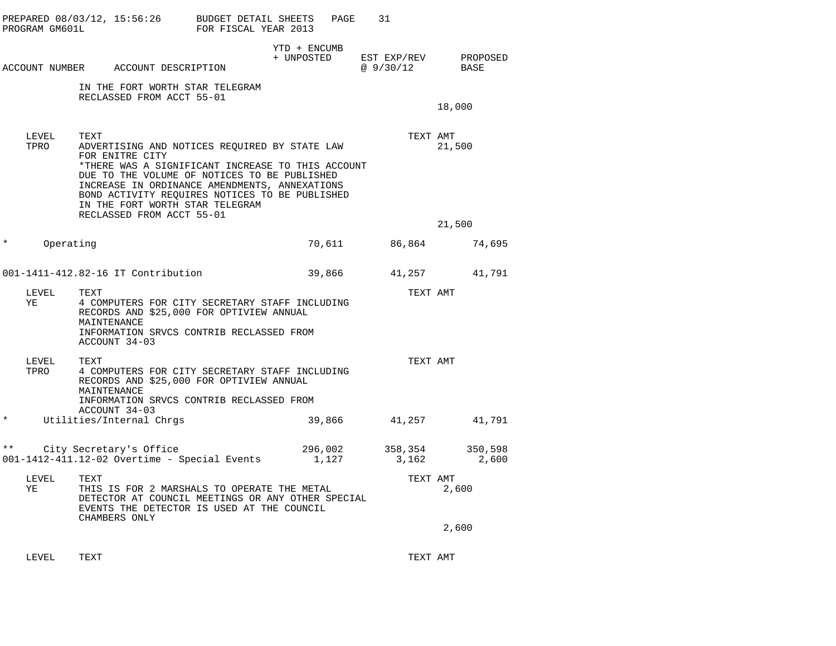| PROGRAM GM601L      | PREPARED 08/03/12, 15:56:26 BUDGET DETAIL SHEETS                                                                                                                                                                                                                                                                                                 | FOR FISCAL YEAR 2013 | PAGE                       | 31                                     |                  |
|---------------------|--------------------------------------------------------------------------------------------------------------------------------------------------------------------------------------------------------------------------------------------------------------------------------------------------------------------------------------------------|----------------------|----------------------------|----------------------------------------|------------------|
|                     | ACCOUNT NUMBER ACCOUNT DESCRIPTION                                                                                                                                                                                                                                                                                                               |                      | YTD + ENCUMB<br>+ UNPOSTED | EST EXP/REV PROPOSED<br>@ 9/30/12 BASE |                  |
|                     | IN THE FORT WORTH STAR TELEGRAM<br>RECLASSED FROM ACCT 55-01                                                                                                                                                                                                                                                                                     |                      |                            |                                        | 18,000           |
| LEVEL<br>TPRO       | TEXT<br>ADVERTISING AND NOTICES REQUIRED BY STATE LAW<br>FOR ENITRE CITY<br>*THERE WAS A SIGNIFICANT INCREASE TO THIS ACCOUNT<br>DUE TO THE VOLUME OF NOTICES TO BE PUBLISHED<br>INCREASE IN ORDINANCE AMENDMENTS, ANNEXATIONS<br>BOND ACTIVITY REQUIRES NOTICES TO BE PUBLISHED<br>IN THE FORT WORTH STAR TELEGRAM<br>RECLASSED FROM ACCT 55-01 |                      |                            | TEXT AMT                               | 21,500           |
| $\ast$<br>Operating |                                                                                                                                                                                                                                                                                                                                                  |                      |                            | 70,611 86,864                          | 21,500<br>74,695 |
|                     | 001-1411-412.82-16 IT Contribution                                                                                                                                                                                                                                                                                                               |                      | 39,866                     |                                        | 41,257 41,791    |
| LEVEL<br>YE         | TEXT<br>4 COMPUTERS FOR CITY SECRETARY STAFF INCLUDING<br>RECORDS AND \$25,000 FOR OPTIVIEW ANNUAL<br>MAINTENANCE<br>INFORMATION SRVCS CONTRIB RECLASSED FROM<br>ACCOUNT 34-03                                                                                                                                                                   |                      |                            | TEXT AMT                               |                  |
| LEVEL TEXT<br>TPRO  | 4 COMPUTERS FOR CITY SECRETARY STAFF INCLUDING<br>RECORDS AND \$25,000 FOR OPTIVIEW ANNUAL<br>MAINTENANCE<br>INFORMATION SRVCS CONTRIB RECLASSED FROM<br>ACCOUNT 34-03                                                                                                                                                                           |                      |                            | TEXT AMT                               |                  |
| $^\star$            | Utilities/Internal Chrqs                                                                                                                                                                                                                                                                                                                         |                      | 39,866                     | 41,257                                 | 41,791           |
|                     | ** City Secretary's Office 296,002 358,354<br>001-1412-411.12-02 Overtime - Special Events 1,127 3,162                                                                                                                                                                                                                                           |                      |                            |                                        | 350,598<br>2,600 |
| LEVEL<br>ΥE         | TEXT<br>THIS IS FOR 2 MARSHALS TO OPERATE THE METAL<br>DETECTOR AT COUNCIL MEETINGS OR ANY OTHER SPECIAL<br>EVENTS THE DETECTOR IS USED AT THE COUNCIL<br>CHAMBERS ONLY                                                                                                                                                                          |                      |                            | TEXT AMT                               | 2,600            |
|                     |                                                                                                                                                                                                                                                                                                                                                  |                      |                            |                                        | 2,600            |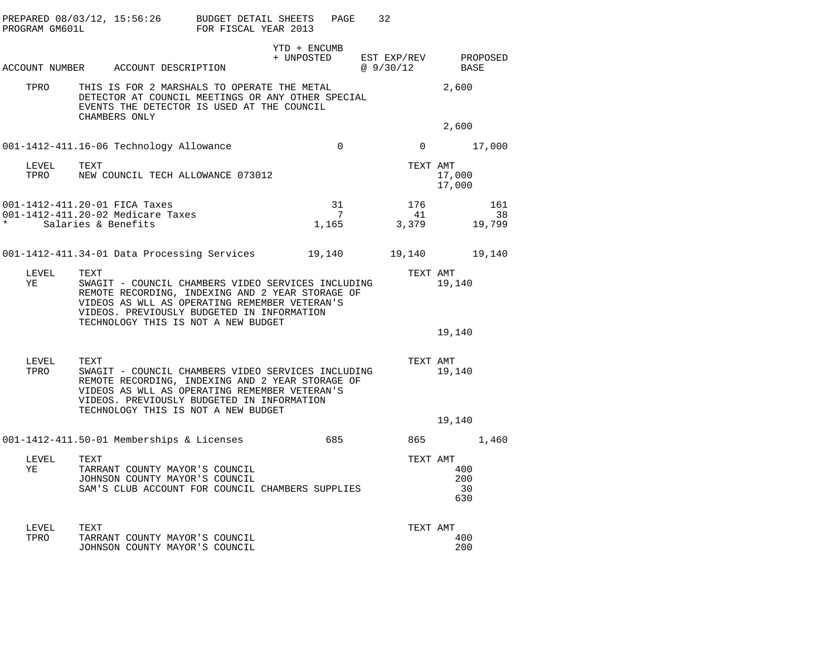| PROGRAM GM601L | PREPARED $08/03/12$ , 15:56:26 BUDGET DETAIL SHEETS                                                                                                                                                                                                  | FOR FISCAL YEAR 2013 | PAGE                       | 32                      |          |                         |                     |
|----------------|------------------------------------------------------------------------------------------------------------------------------------------------------------------------------------------------------------------------------------------------------|----------------------|----------------------------|-------------------------|----------|-------------------------|---------------------|
|                | ACCOUNT NUMBER ACCOUNT DESCRIPTION                                                                                                                                                                                                                   |                      | YTD + ENCUMB<br>+ UNPOSTED | EST EXP/REV<br>@9/30/12 |          | PROPOSED<br>BASE        |                     |
| TPRO           | THIS IS FOR 2 MARSHALS TO OPERATE THE METAL<br>DETECTOR AT COUNCIL MEETINGS OR ANY OTHER SPECIAL<br>EVENTS THE DETECTOR IS USED AT THE COUNCIL<br>CHAMBERS ONLY                                                                                      |                      |                            |                         |          | 2,600                   |                     |
|                |                                                                                                                                                                                                                                                      |                      |                            |                         |          | 2,600                   |                     |
|                | 001-1412-411.16-06 Technology Allowance                                                                                                                                                                                                              |                      | $\Omega$                   |                         |          | $0 \t 17,000$           |                     |
| LEVEL          | TEXT<br>TPRO NEW COUNCIL TECH ALLOWANCE 073012                                                                                                                                                                                                       |                      |                            |                         | TEXT AMT | 17,000<br>17,000        |                     |
|                | 001-1412-411.20-01 FICA Taxes<br>001-1412-411.20-02 Medicare Taxes<br>Salaries & Benefits                                                                                                                                                            |                      | 31<br>$7\overline{ }$      | 176<br>1,165 3,379      | 41       |                         | 161<br>38<br>19,799 |
|                | 001-1412-411.34-01 Data Processing Services 19,140 19,140                                                                                                                                                                                            |                      |                            |                         |          |                         | 19,140              |
| LEVEL<br>YE    | TEXT<br>SWAGIT - COUNCIL CHAMBERS VIDEO SERVICES INCLUDING<br>REMOTE RECORDING, INDEXING AND 2 YEAR STORAGE OF<br>VIDEOS AS WLL AS OPERATING REMEMBER VETERAN'S<br>VIDEOS. PREVIOUSLY BUDGETED IN INFORMATION<br>TECHNOLOGY THIS IS NOT A NEW BUDGET |                      |                            |                         | TEXT AMT | 19,140                  |                     |
|                |                                                                                                                                                                                                                                                      |                      |                            |                         |          | 19,140                  |                     |
| LEVEL<br>TPRO  | TEXT<br>SWAGIT - COUNCIL CHAMBERS VIDEO SERVICES INCLUDING<br>REMOTE RECORDING, INDEXING AND 2 YEAR STORAGE OF<br>VIDEOS AS WLL AS OPERATING REMEMBER VETERAN'S<br>VIDEOS. PREVIOUSLY BUDGETED IN INFORMATION<br>TECHNOLOGY THIS IS NOT A NEW BUDGET |                      |                            |                         | TEXT AMT | 19,140                  |                     |
|                |                                                                                                                                                                                                                                                      |                      |                            |                         |          | 19,140                  |                     |
|                | 001-1412-411.50-01 Memberships & Licenses                                                                                                                                                                                                            |                      |                            | 685 200                 |          | 865 1,460               |                     |
| LEVEL<br>YE    | TEXT<br>TARRANT COUNTY MAYOR'S COUNCIL<br>JOHNSON COUNTY MAYOR'S COUNCIL<br>SAM'S CLUB ACCOUNT FOR COUNCIL CHAMBERS SUPPLIES                                                                                                                         |                      |                            |                         | TEXT AMT | 400<br>200<br>30<br>630 |                     |
| LEVEL<br>TPRO  | TEXT<br>TARRANT COUNTY MAYOR'S COUNCIL<br>JOHNSON COUNTY MAYOR'S COUNCIL                                                                                                                                                                             |                      |                            |                         | TEXT AMT | 400<br>200              |                     |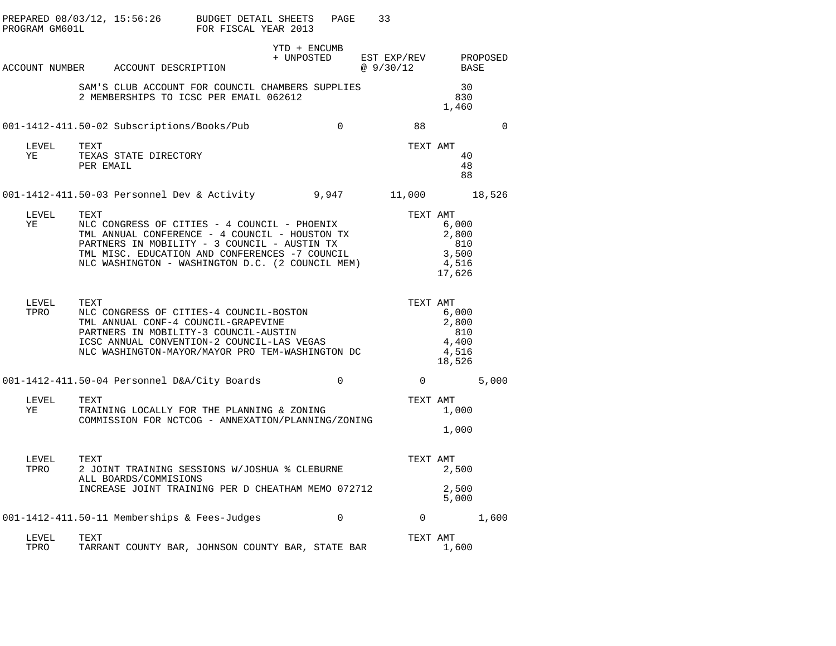| PROGRAM GM601L | PREPARED 08/03/12, 15:56:26                                                                                                                                                                                                                                  | BUDGET DETAIL SHEETS<br>FOR FISCAL YEAR 2013 | PAGE                       | 33                               |                                                   |  |
|----------------|--------------------------------------------------------------------------------------------------------------------------------------------------------------------------------------------------------------------------------------------------------------|----------------------------------------------|----------------------------|----------------------------------|---------------------------------------------------|--|
|                | ACCOUNT NUMBER ACCOUNT DESCRIPTION                                                                                                                                                                                                                           |                                              | YTD + ENCUMB<br>+ UNPOSTED | EST EXP/REV PROPOSED<br>@9/30/12 | BASE                                              |  |
|                | SAM'S CLUB ACCOUNT FOR COUNCIL CHAMBERS SUPPLIES<br>2 MEMBERSHIPS TO ICSC PER EMAIL 062612                                                                                                                                                                   |                                              |                            |                                  | 30<br>830<br>1,460                                |  |
|                | 001-1412-411.50-02 Subscriptions/Books/Pub                                                                                                                                                                                                                   |                                              | $\overline{0}$             | 88                               | $\Omega$                                          |  |
| LEVEL<br>YE    | TEXT<br>TEXAS STATE DIRECTORY<br>PER EMAIL                                                                                                                                                                                                                   |                                              |                            | TEXT AMT                         | 40<br>48<br>88                                    |  |
|                | 001-1412-411.50-03 Personnel Dev & Activity 9,947 11,000 18,526                                                                                                                                                                                              |                                              |                            |                                  |                                                   |  |
| LEVEL<br>YE    | TEXT<br>NLC CONGRESS OF CITIES - 4 COUNCIL - PHOENIX<br>TML ANNUAL CONFERENCE - 4 COUNCIL - HOUSTON TX<br>PARTNERS IN MOBILITY - 3 COUNCIL - AUSTIN TX<br>TML MISC. EDUCATION AND CONFERENCES -7 COUNCIL<br>NLC WASHINGTON - WASHINGTON D.C. (2 COUNCIL MEM) |                                              |                            | TEXT AMT                         | 6,000<br>2,800<br>810<br>3,500<br>4,516<br>17,626 |  |
| LEVEL<br>TPRO  | TEXT<br>NLC CONGRESS OF CITIES-4 COUNCIL-BOSTON<br>TML ANNUAL CONF-4 COUNCIL-GRAPEVINE<br>PARTNERS IN MOBILITY-3 COUNCIL-AUSTIN<br>ICSC ANNUAL CONVENTION-2 COUNCIL-LAS VEGAS<br>NLC WASHINGTON-MAYOR/MAYOR PRO TEM-WASHINGTON DC                            |                                              |                            | TEXT AMT                         | 6,000<br>2,800<br>810<br>4,400<br>4,516<br>18,526 |  |
|                | 001-1412-411.50-04 Personnel D&A/City Boards                                                                                                                                                                                                                 |                                              | $\Omega$                   | $\overline{0}$                   | 5,000                                             |  |
| LEVEL<br>YE    | TEXT<br>TRAINING LOCALLY FOR THE PLANNING & ZONING<br>COMMISSION FOR NCTCOG - ANNEXATION/PLANNING/ZONING                                                                                                                                                     |                                              |                            | TEXT AMT                         | 1,000<br>1,000                                    |  |
| LEVEL<br>TPRO  | TEXT<br>2 JOINT TRAINING SESSIONS W/JOSHUA % CLEBURNE<br>ALL BOARDS/COMMISIONS<br>INCREASE JOINT TRAINING PER D CHEATHAM MEMO 072712                                                                                                                         |                                              |                            | TEXT AMT                         | 2,500<br>2,500                                    |  |
|                | 001-1412-411.50-11 Memberships & Fees-Judges                                                                                                                                                                                                                 |                                              | $\mathbf 0$                | $0 \qquad \qquad$                | 5,000<br>1,600                                    |  |
| LEVEL<br>TPRO  | TEXT<br>TARRANT COUNTY BAR, JOHNSON COUNTY BAR, STATE BAR                                                                                                                                                                                                    |                                              |                            | TEXT AMT                         | 1,600                                             |  |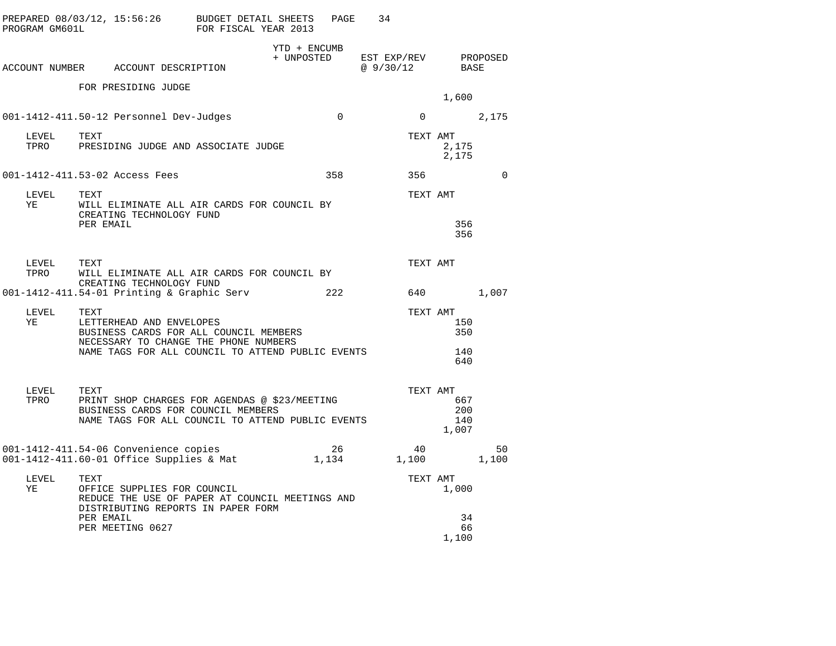| PROGRAM GM601L | PREPARED 08/03/12, 15:56:26 BUDGET DETAIL SHEETS                                                                                                 | FOR FISCAL YEAR 2013 |                            | PAGE           | 34                               |                            |             |
|----------------|--------------------------------------------------------------------------------------------------------------------------------------------------|----------------------|----------------------------|----------------|----------------------------------|----------------------------|-------------|
|                | ACCOUNT NUMBER ACCOUNT DESCRIPTION                                                                                                               |                      | YTD + ENCUMB<br>+ UNPOSTED |                | EST EXP/REV PROPOSED<br>@9/30/12 | BASE                       |             |
|                | FOR PRESIDING JUDGE                                                                                                                              |                      |                            |                |                                  | 1,600                      |             |
|                | 001-1412-411.50-12 Personnel Dev-Judges                                                                                                          |                      |                            | $\overline{0}$ | $\mathbf{0}$                     | 2,175                      |             |
| LEVEL<br>TPRO  | TEXT<br>PRESIDING JUDGE AND ASSOCIATE JUDGE                                                                                                      |                      |                            |                | TEXT AMT                         | 2,175<br>2,175             |             |
|                | 001-1412-411.53-02 Access Fees                                                                                                                   |                      |                            | 358            | 356                              |                            | $\Omega$    |
| LEVEL<br>YE    | TEXT<br>WILL ELIMINATE ALL AIR CARDS FOR COUNCIL BY                                                                                              |                      |                            |                | TEXT AMT                         |                            |             |
|                | CREATING TECHNOLOGY FUND<br>PER EMAIL                                                                                                            |                      |                            |                |                                  | 356<br>356                 |             |
| LEVEL<br>TPRO  | TEXT<br>WILL ELIMINATE ALL AIR CARDS FOR COUNCIL BY<br>CREATING TECHNOLOGY FUND                                                                  |                      |                            |                | TEXT AMT                         |                            |             |
|                | 001-1412-411.54-01 Printing & Graphic Serv                                                                                                       |                      |                            | 222            |                                  |                            | 1,007       |
| LEVEL<br>YE    | TEXT<br>LETTERHEAD AND ENVELOPES<br>BUSINESS CARDS FOR ALL COUNCIL MEMBERS<br>NECESSARY TO CHANGE THE PHONE NUMBERS                              |                      |                            |                | TEXT AMT                         | 150<br>350                 |             |
|                | NAME TAGS FOR ALL COUNCIL TO ATTEND PUBLIC EVENTS                                                                                                |                      |                            |                |                                  | 140<br>640                 |             |
| LEVEL<br>TPRO  | TEXT<br>PRINT SHOP CHARGES FOR AGENDAS @ \$23/MEETING<br>BUSINESS CARDS FOR COUNCIL MEMBERS<br>NAME TAGS FOR ALL COUNCIL TO ATTEND PUBLIC EVENTS |                      |                            |                | TEXT AMT                         | 667<br>200<br>140<br>1,007 |             |
|                | 001-1412-411.54-06 Convenience copies<br>001-1412-411.60-01 Office Supplies & Mat                                                                |                      | 1,134                      | 26             | 40<br>1,100                      |                            | 50<br>1,100 |
| LEVEL<br>ΥE    | TEXT<br>OFFICE SUPPLIES FOR COUNCIL<br>REDUCE THE USE OF PAPER AT COUNCIL MEETINGS AND<br>DISTRIBUTING REPORTS IN PAPER FORM<br>PER EMAIL        |                      |                            |                | TEXT AMT                         | 1,000<br>34<br>66          |             |
|                | PER MEETING 0627                                                                                                                                 |                      |                            |                |                                  | 1,100                      |             |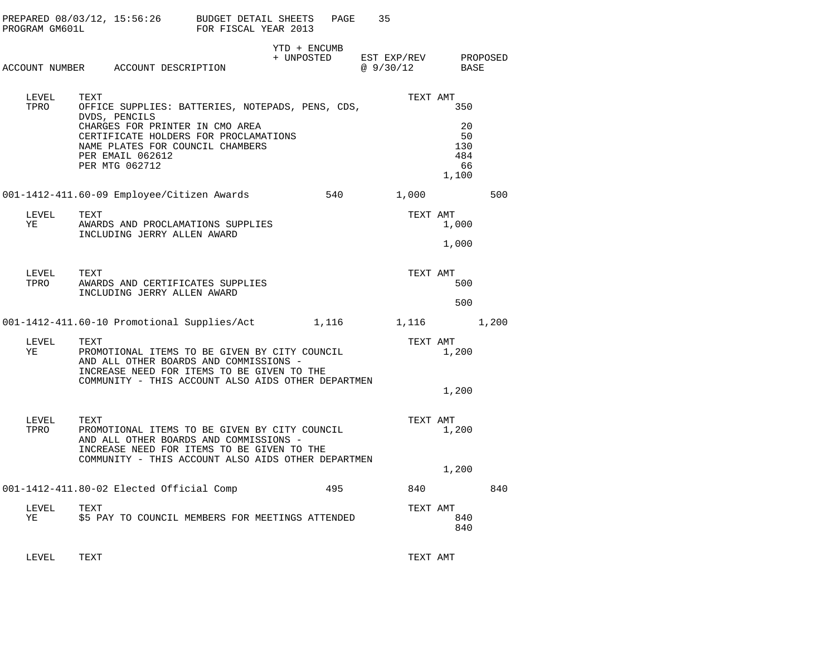| PROGRAM GM601L | PREPARED 08/03/12, 15:56:26 BUDGET DETAIL SHEETS                                                                                                                                                    | FOR FISCAL YEAR 2013 |              | PAGE | 35                                          |                                       |       |
|----------------|-----------------------------------------------------------------------------------------------------------------------------------------------------------------------------------------------------|----------------------|--------------|------|---------------------------------------------|---------------------------------------|-------|
|                | ACCOUNT NUMBER ACCOUNT DESCRIPTION                                                                                                                                                                  |                      | YTD + ENCUMB |      | + UNPOSTED EST EXP/REV PROPOSED<br>@9/30/12 | BASE                                  |       |
| LEVEL<br>TPRO  | TEXT<br>OFFICE SUPPLIES: BATTERIES, NOTEPADS, PENS, CDS,                                                                                                                                            |                      |              |      | TEXT AMT                                    | 350                                   |       |
|                | DVDS, PENCILS<br>CHARGES FOR PRINTER IN CMO AREA<br>CERTIFICATE HOLDERS FOR PROCLAMATIONS<br>NAME PLATES FOR COUNCIL CHAMBERS<br>PER EMAIL 062612<br>PER MTG 062712                                 |                      |              |      |                                             | 20<br>50<br>130<br>484<br>66<br>1,100 |       |
|                | 001-1412-411.60-09 Employee/Citizen Awards 540                                                                                                                                                      |                      |              |      | 1,000                                       |                                       | 500   |
| LEVEL<br>YE    | TEXT<br>AWARDS AND PROCLAMATIONS SUPPLIES<br>INCLUDING JERRY ALLEN AWARD                                                                                                                            |                      |              |      | TEXT AMT                                    | 1,000                                 |       |
|                |                                                                                                                                                                                                     |                      |              |      |                                             | 1,000                                 |       |
| LEVEL<br>TPRO  | TEXT<br>AWARDS AND CERTIFICATES SUPPLIES                                                                                                                                                            |                      |              |      | TEXT AMT                                    | 500                                   |       |
|                | INCLUDING JERRY ALLEN AWARD                                                                                                                                                                         |                      |              |      |                                             | 500                                   |       |
|                | 001-1412-411.60-10 Promotional Supplies/Act 1,116 1,116                                                                                                                                             |                      |              |      |                                             |                                       | 1,200 |
| LEVEL<br>YE    | TEXT<br>PROMOTIONAL ITEMS TO BE GIVEN BY CITY COUNCIL<br>AND ALL OTHER BOARDS AND COMMISSIONS -<br>INCREASE NEED FOR ITEMS TO BE GIVEN TO THE<br>COMMUNITY - THIS ACCOUNT ALSO AIDS OTHER DEPARTMEN |                      |              |      |                                             | TEXT AMT<br>1,200                     |       |
|                |                                                                                                                                                                                                     |                      |              |      |                                             | 1,200                                 |       |
| LEVEL<br>TPRO  | TEXT<br>PROMOTIONAL ITEMS TO BE GIVEN BY CITY COUNCIL<br>AND ALL OTHER BOARDS AND COMMISSIONS -<br>INCREASE NEED FOR ITEMS TO BE GIVEN TO THE                                                       |                      |              |      | TEXT AMT                                    | 1,200                                 |       |
|                | COMMUNITY - THIS ACCOUNT ALSO AIDS OTHER DEPARTMEN                                                                                                                                                  |                      |              |      |                                             | 1,200                                 |       |
|                | 001-1412-411.80-02 Elected Official Comp                                                                                                                                                            |                      |              | 495  | 840                                         |                                       | 840   |
| LEVEL<br>ΥE    | TEXT<br>\$5 PAY TO COUNCIL MEMBERS FOR MEETINGS ATTENDED                                                                                                                                            |                      |              |      | TEXT AMT                                    | 840<br>840                            |       |
|                |                                                                                                                                                                                                     |                      |              |      |                                             |                                       |       |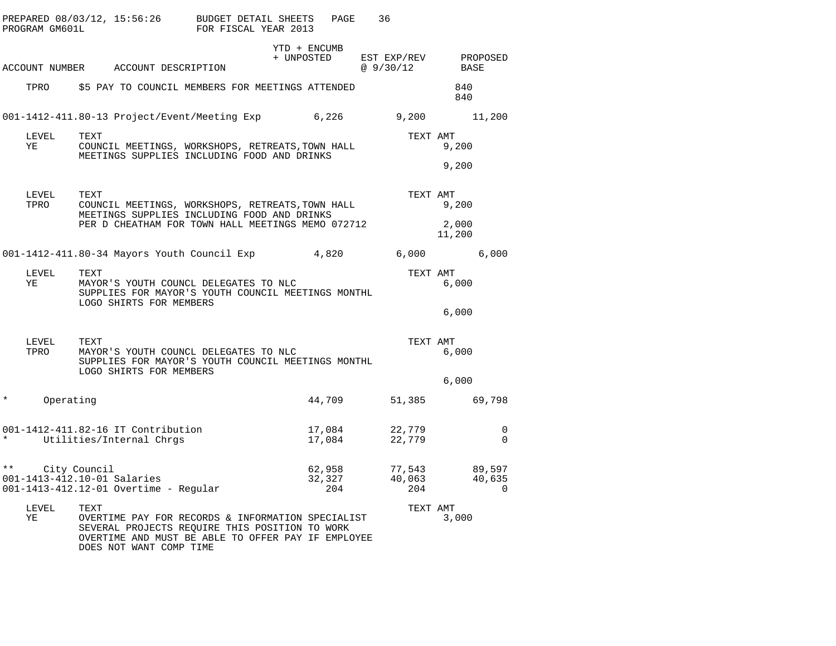|               |               |                                                                                                         |                                                                      | PREPARED 08/03/12, 15:56:26 BUDGET DETAIL SHEETS<br>PROGRAM GM601L FOR FISCAL YEAR 2013                                                                   |                                                 | PAGE                    | 36       |                                           |                 |                            |
|---------------|---------------|---------------------------------------------------------------------------------------------------------|----------------------------------------------------------------------|-----------------------------------------------------------------------------------------------------------------------------------------------------------|-------------------------------------------------|-------------------------|----------|-------------------------------------------|-----------------|----------------------------|
|               |               |                                                                                                         | ACCOUNT NUMBER ACCOUNT DESCRIPTION                                   |                                                                                                                                                           | YTD + ENCUMB<br>+ UNPOSTED EST EXP/REV PROPOSED |                         |          | @ 9/30/12 BASE                            |                 |                            |
|               |               |                                                                                                         |                                                                      | TPRO 55 PAY TO COUNCIL MEMBERS FOR MEETINGS ATTENDED                                                                                                      |                                                 |                         |          |                                           | 840<br>840      |                            |
|               |               |                                                                                                         |                                                                      | 001-1412-411.80-13 Project/Event/Meeting Exp 6,226 9,200 11,200                                                                                           |                                                 |                         |          |                                           |                 |                            |
|               | LEVEL<br>YE   | TEXT<br>COUNCIL MEETINGS, WORKSHOPS, RETREATS, TOWN HALL<br>MEETINGS SUPPLIES INCLUDING FOOD AND DRINKS |                                                                      |                                                                                                                                                           |                                                 |                         | TEXT AMT |                                           | 9,200           |                            |
|               |               |                                                                                                         |                                                                      |                                                                                                                                                           |                                                 |                         |          |                                           | 9,200           |                            |
|               | LEVEL<br>TPRO | TEXT                                                                                                    |                                                                      | COUNCIL MEETINGS, WORKSHOPS, RETREATS, TOWN HALL                                                                                                          |                                                 |                         |          | TEXT AMT                                  | 9,200           |                            |
|               |               | MEETINGS SUPPLIES INCLUDING FOOD AND DRINKS<br>PER D CHEATHAM FOR TOWN HALL MEETINGS MEMO 072712        |                                                                      |                                                                                                                                                           |                                                 |                         |          |                                           | 2,000<br>11,200 |                            |
|               |               |                                                                                                         |                                                                      | 001-1412-411.80-34 Mayors Youth Council Exp 4,820                                                                                                         |                                                 |                         |          | $6,000$ 6,000                             |                 |                            |
|               | LEVEL<br>YE   | TEXT                                                                                                    | LOGO SHIRTS FOR MEMBERS                                              | MAYOR'S YOUTH COUNCL DELEGATES TO NLC<br>SUPPLIES FOR MAYOR'S YOUTH COUNCIL MEETINGS MONTHL                                                               |                                                 |                         |          | TEXT AMT                                  | 6,000           |                            |
|               |               |                                                                                                         |                                                                      |                                                                                                                                                           |                                                 |                         |          |                                           | 6,000           |                            |
|               | LEVEL<br>TPRO | TEXT                                                                                                    | LOGO SHIRTS FOR MEMBERS                                              | MAYOR'S YOUTH COUNCL DELEGATES TO NLC<br>SUPPLIES FOR MAYOR'S YOUTH COUNCIL MEETINGS MONTHL                                                               |                                                 |                         |          | TEXT AMT                                  | 6,000           |                            |
|               |               |                                                                                                         |                                                                      |                                                                                                                                                           |                                                 |                         |          |                                           | 6,000           |                            |
| $\star$       | Operating     |                                                                                                         |                                                                      |                                                                                                                                                           |                                                 | 44,709                  |          | 51,385 69,798                             |                 |                            |
|               |               |                                                                                                         | 001-1412-411.82-16 IT Contribution<br>* Utilities/Internal Chrgs     |                                                                                                                                                           |                                                 | 17,084<br>17,084        |          | 22,779<br>22,779<br>$\frac{22}{22}$ , 779 |                 | $\Omega$<br>$\overline{0}$ |
| $\star \star$ |               | City Council                                                                                            | 001-1413-412.10-01 Salaries<br>001-1413-412.12-01 Overtime - Regular |                                                                                                                                                           |                                                 | 62,958<br>32,327<br>204 |          | 77,543 89,597<br>$\frac{40,063}{204}$     |                 | 40,635<br>$\Omega$         |
|               | LEVEL<br>ΥE   | TEXT                                                                                                    | DOES NOT WANT COMP TIME                                              | OVERTIME PAY FOR RECORDS & INFORMATION SPECIALIST<br>SEVERAL PROJECTS REQUIRE THIS POSITION TO WORK<br>OVERTIME AND MUST BE ABLE TO OFFER PAY IF EMPLOYEE |                                                 |                         |          | TEXT AMT                                  | 3,000           |                            |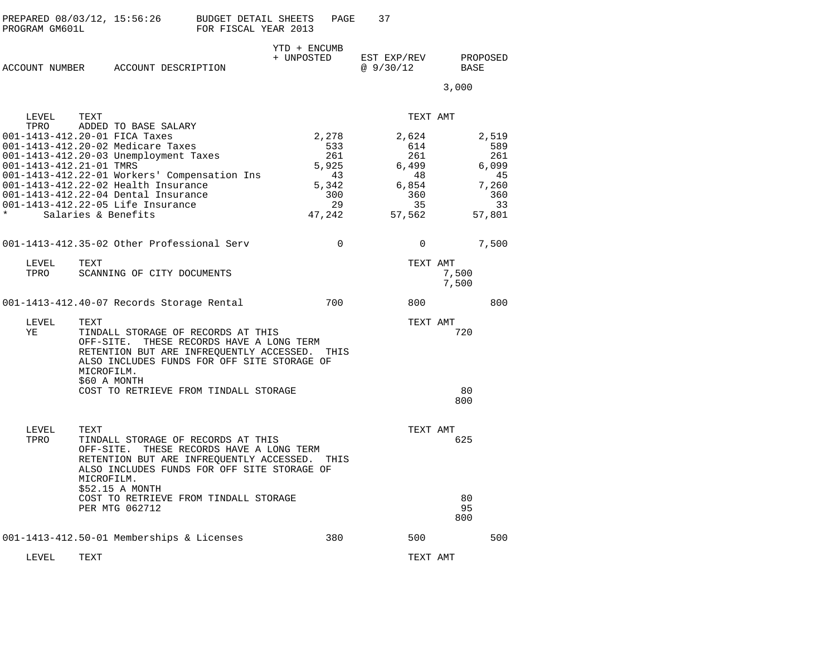| PREPARED 08/03/12, 15:56:26 | BUDGET DETAIL SHEETS | PAGE |  |
|-----------------------------|----------------------|------|--|
| PROGRAM GM601L              | FOR FISCAL YEAR 2013 |      |  |

|                |  |                     | YTD + ENCUMB |             |          |
|----------------|--|---------------------|--------------|-------------|----------|
|                |  |                     | + UNPOSTED   | EST EXP/REV | PROPOSED |
| ACCOUNT NUMBER |  | ACCOUNT DESCRIPTION |              | @ 9/30/12   | BASE     |

3,000

| LEVEL                                      | TEXT                                                                                                                                                                                                                                                                                                                          |                                                                    | TEXT AMT                                                           |                  |                                                                    |
|--------------------------------------------|-------------------------------------------------------------------------------------------------------------------------------------------------------------------------------------------------------------------------------------------------------------------------------------------------------------------------------|--------------------------------------------------------------------|--------------------------------------------------------------------|------------------|--------------------------------------------------------------------|
| TPRO<br>001-1413-412.21-01 TMRS<br>$\star$ | ADDED TO BASE SALARY<br>001-1413-412.20-01 FICA Taxes<br>001-1413-412.20-02 Medicare Taxes<br>001-1413-412.20-03 Unemployment Taxes<br>001-1413-412.22-01 Workers' Compensation Ins<br>001-1413-412.22-02 Health Insurance<br>001-1413-412.22-04 Dental Insurance<br>001-1413-412.22-05 Life Insurance<br>Salaries & Benefits | 2,278<br>533<br>261<br>5,925<br>43<br>5,342<br>300<br>29<br>47,242 | 2,624<br>614<br>261<br>6,499<br>48<br>6,854<br>360<br>35<br>57,562 |                  | 2,519<br>589<br>261<br>6,099<br>45<br>7,260<br>360<br>33<br>57,801 |
|                                            | 001-1413-412.35-02 Other Professional Serv                                                                                                                                                                                                                                                                                    | $\Omega$                                                           | $\Omega$                                                           |                  | 7,500                                                              |
| LEVEL<br>TPRO                              | TEXT<br>SCANNING OF CITY DOCUMENTS                                                                                                                                                                                                                                                                                            |                                                                    | TEXT AMT                                                           | 7,500<br>7,500   |                                                                    |
|                                            | 001-1413-412.40-07 Records Storage Rental                                                                                                                                                                                                                                                                                     | 700                                                                | 800                                                                |                  | 800                                                                |
| LEVEL<br>ΥE                                | <b>TEXT</b><br>TINDALL STORAGE OF RECORDS AT THIS<br>THESE RECORDS HAVE A LONG TERM<br>OFF-SITE.<br>RETENTION BUT ARE INFREQUENTLY ACCESSED.<br>ALSO INCLUDES FUNDS FOR OFF SITE STORAGE OF<br>MICROFILM.<br>\$60 A MONTH<br>COST TO RETRIEVE FROM TINDALL STORAGE                                                            | THIS                                                               | TEXT AMT                                                           | 720<br>80<br>800 |                                                                    |
| LEVEL<br>TPRO                              | TEXT<br>TINDALL STORAGE OF RECORDS AT THIS<br>THESE RECORDS HAVE A LONG TERM<br>OFF-SITE.<br>RETENTION BUT ARE INFREQUENTLY ACCESSED.<br>ALSO INCLUDES FUNDS FOR OFF SITE STORAGE OF<br>MICROFILM.<br>\$52.15 A MONTH<br>COST TO RETRIEVE FROM TINDALL STORAGE                                                                | THIS                                                               | TEXT AMT                                                           | 625<br>80        |                                                                    |
|                                            | PER MTG 062712                                                                                                                                                                                                                                                                                                                |                                                                    |                                                                    | 95<br>800        |                                                                    |
|                                            | 001-1413-412.50-01 Memberships & Licenses                                                                                                                                                                                                                                                                                     | 380                                                                | 500                                                                |                  | 500                                                                |
| LEVEL                                      | TEXT                                                                                                                                                                                                                                                                                                                          |                                                                    | TEXT AMT                                                           |                  |                                                                    |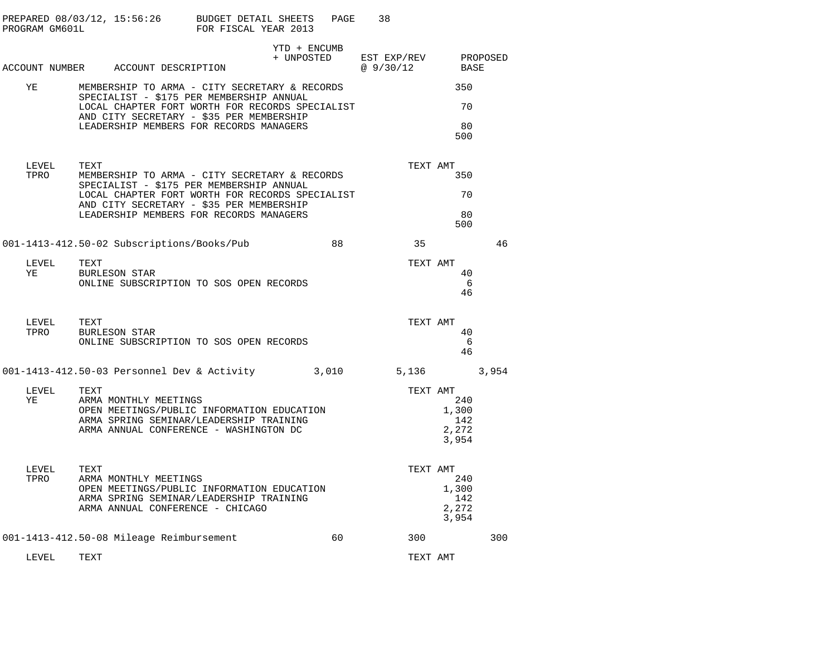| PROGRAM GM601L | PREPARED 08/03/12, 15:56:26 BUDGET DETAIL SHEETS                                                                                                                 | FOR FISCAL YEAR 2013 | PAGE                       | 38                      |                                       |          |
|----------------|------------------------------------------------------------------------------------------------------------------------------------------------------------------|----------------------|----------------------------|-------------------------|---------------------------------------|----------|
|                | ACCOUNT NUMBER ACCOUNT DESCRIPTION                                                                                                                               |                      | YTD + ENCUMB<br>+ UNPOSTED | EST EXP/REV<br>@9/30/12 | BASE                                  | PROPOSED |
| ΥE             | MEMBERSHIP TO ARMA - CITY SECRETARY & RECORDS                                                                                                                    |                      |                            |                         | 350                                   |          |
|                | SPECIALIST - \$175 PER MEMBERSHIP ANNUAL<br>LOCAL CHAPTER FORT WORTH FOR RECORDS SPECIALIST                                                                      |                      |                            |                         | 70                                    |          |
|                | AND CITY SECRETARY - \$35 PER MEMBERSHIP<br>LEADERSHIP MEMBERS FOR RECORDS MANAGERS                                                                              |                      |                            |                         | 80<br>500                             |          |
| LEVEL<br>TPRO  | TEXT<br>MEMBERSHIP TO ARMA - CITY SECRETARY & RECORDS<br>SPECIALIST - \$175 PER MEMBERSHIP ANNUAL                                                                |                      |                            | TEXT AMT                | 350                                   |          |
|                | LOCAL CHAPTER FORT WORTH FOR RECORDS SPECIALIST<br>AND CITY SECRETARY - \$35 PER MEMBERSHIP                                                                      |                      |                            |                         | 70                                    |          |
|                | LEADERSHIP MEMBERS FOR RECORDS MANAGERS                                                                                                                          |                      |                            |                         | 80<br>500                             |          |
|                | 001-1413-412.50-02 Subscriptions/Books/Pub                                                                                                                       |                      | 88                         | 35                      |                                       | 46       |
| LEVEL<br>YE    | TEXT<br><b>BURLESON STAR</b><br>ONLINE SUBSCRIPTION TO SOS OPEN RECORDS                                                                                          |                      |                            | TEXT AMT                | 40<br>6<br>46                         |          |
| LEVEL<br>TPRO  | TEXT<br><b>BURLESON STAR</b><br>ONLINE SUBSCRIPTION TO SOS OPEN RECORDS                                                                                          |                      |                            | TEXT AMT                | 40<br>- 6<br>46                       |          |
|                | 001-1413-412.50-03 Personnel Dev & Activity 3,010                                                                                                                |                      |                            | 5,136                   |                                       | 3,954    |
| LEVEL<br>YE    | TEXT<br>ARMA MONTHLY MEETINGS<br>OPEN MEETINGS/PUBLIC INFORMATION EDUCATION<br>ARMA SPRING SEMINAR/LEADERSHIP TRAINING<br>ARMA ANNUAL CONFERENCE - WASHINGTON DC |                      |                            | TEXT AMT                | 240<br>1,300<br>142<br>2,272<br>3,954 |          |
| LEVEL<br>TPRO  | TEXT<br>ARMA MONTHLY MEETINGS<br>OPEN MEETINGS/PUBLIC INFORMATION EDUCATION<br>ARMA SPRING SEMINAR/LEADERSHIP TRAINING<br>ARMA ANNUAL CONFERENCE - CHICAGO       |                      |                            | TEXT AMT                | 240<br>1,300<br>142<br>2,272<br>3,954 |          |
|                | 001-1413-412.50-08 Mileage Reimbursement                                                                                                                         |                      | 60                         | 300                     |                                       | 300      |
| LEVEL          | TEXT                                                                                                                                                             |                      |                            | TEXT AMT                |                                       |          |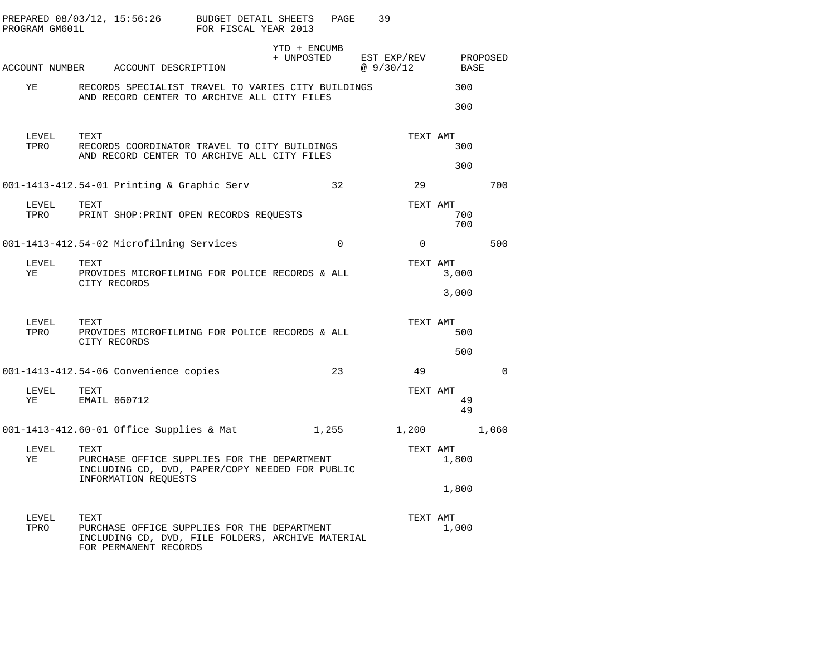| PREPARED 08/03/12, 15:56:26<br>PROGRAM GM601L |      |                                                                                                                           | BUDGET DETAIL SHEETS<br>FOR FISCAL YEAR 2013 |                            | PAGE        | 39             |                            |             |  |
|-----------------------------------------------|------|---------------------------------------------------------------------------------------------------------------------------|----------------------------------------------|----------------------------|-------------|----------------|----------------------------|-------------|--|
|                                               |      |                                                                                                                           |                                              | YTD + ENCUMB<br>+ UNPOSTED |             | EST EXP/REV    |                            | PROPOSED    |  |
|                                               |      | ACCOUNT NUMBER ACCOUNT DESCRIPTION                                                                                        |                                              |                            |             | @ 9/30/12      | BASE                       |             |  |
| YE                                            |      | RECORDS SPECIALIST TRAVEL TO VARIES CITY BUILDINGS<br>AND RECORD CENTER TO ARCHIVE ALL CITY FILES                         |                                              |                            |             |                | 300<br>300                 |             |  |
| LEVEL<br>TPRO                                 | TEXT | RECORDS COORDINATOR TRAVEL TO CITY BUILDINGS<br>AND RECORD CENTER TO ARCHIVE ALL CITY FILES                               |                                              |                            |             |                | TEXT AMT<br>300<br>300     |             |  |
|                                               |      | 001-1413-412.54-01 Printing & Graphic Serv                                                                                |                                              |                            | 32          | 29             |                            | 700         |  |
| LEVEL<br>TPRO                                 | TEXT | PRINT SHOP: PRINT OPEN RECORDS REQUESTS                                                                                   |                                              |                            |             |                | TEXT AMT<br>700<br>700     |             |  |
|                                               |      | 001-1413-412.54-02 Microfilming Services                                                                                  |                                              |                            | $\mathbf 0$ | $\overline{0}$ |                            | 500         |  |
| LEVEL<br>YE                                   | TEXT | PROVIDES MICROFILMING FOR POLICE RECORDS & ALL<br>CITY RECORDS                                                            |                                              |                            |             |                | TEXT AMT<br>3,000<br>3,000 |             |  |
| LEVEL<br>TPRO                                 | TEXT | PROVIDES MICROFILMING FOR POLICE RECORDS & ALL<br>CITY RECORDS                                                            |                                              |                            |             |                | TEXT AMT<br>500<br>500     |             |  |
|                                               |      | 001-1413-412.54-06 Convenience copies                                                                                     |                                              |                            | 23          | 49             |                            | $\mathbf 0$ |  |
| LEVEL<br>YE                                   | TEXT | EMAIL 060712                                                                                                              |                                              |                            |             |                | TEXT AMT<br>49<br>49       |             |  |
|                                               |      | 001-1413-412.60-01 Office Supplies & Mat                                                                                  |                                              |                            | 1,255       |                | 1,200                      | 1,060       |  |
| LEVEL<br>ΥE                                   | TEXT | PURCHASE OFFICE SUPPLIES FOR THE DEPARTMENT<br>INCLUDING CD, DVD, PAPER/COPY NEEDED FOR PUBLIC<br>INFORMATION REOUESTS    |                                              |                            |             |                | TEXT AMT<br>1,800          |             |  |
|                                               |      |                                                                                                                           |                                              |                            |             |                | 1,800                      |             |  |
| LEVEL<br>TPRO                                 | TEXT | PURCHASE OFFICE SUPPLIES FOR THE DEPARTMENT<br>INCLUDING CD, DVD, FILE FOLDERS, ARCHIVE MATERIAL<br>FOR PERMANENT RECORDS |                                              |                            |             |                | TEXT AMT<br>1,000          |             |  |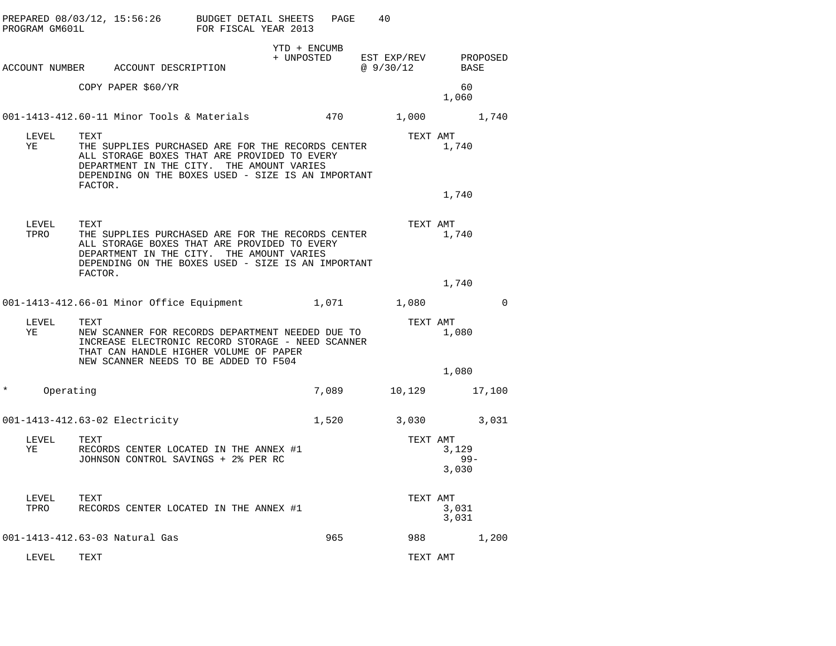| PROGRAM GM601L      | PREPARED 08/03/12, 15:56:26 BUDGET DETAIL SHEETS<br>FOR FISCAL YEAR 2013                                                                                                                                                |                            | PAGE | 40                       |                          |             |
|---------------------|-------------------------------------------------------------------------------------------------------------------------------------------------------------------------------------------------------------------------|----------------------------|------|--------------------------|--------------------------|-------------|
|                     | ACCOUNT NUMBER ACCOUNT DESCRIPTION                                                                                                                                                                                      | YTD + ENCUMB<br>+ UNPOSTED |      | EST EXP/REV<br>@ 9/30/12 | BASE                     | PROPOSED    |
|                     | COPY PAPER \$60/YR                                                                                                                                                                                                      |                            |      |                          | 60<br>1,060              |             |
|                     | 001-1413-412.60-11 Minor Tools & Materials $470$ 1,000 1,740                                                                                                                                                            |                            |      |                          |                          |             |
| LEVEL<br>ΥE         | TEXT<br>THE SUPPLIES PURCHASED ARE FOR THE RECORDS CENTER<br>ALL STORAGE BOXES THAT ARE PROVIDED TO EVERY<br>DEPARTMENT IN THE CITY. THE AMOUNT VARIES<br>DEPENDING ON THE BOXES USED - SIZE IS AN IMPORTANT<br>FACTOR. |                            |      | TEXT AMT                 | 1,740                    |             |
|                     |                                                                                                                                                                                                                         |                            |      |                          | 1,740                    |             |
| LEVEL<br>TPRO       | TEXT<br>THE SUPPLIES PURCHASED ARE FOR THE RECORDS CENTER<br>ALL STORAGE BOXES THAT ARE PROVIDED TO EVERY<br>DEPARTMENT IN THE CITY. THE AMOUNT VARIES<br>DEPENDING ON THE BOXES USED - SIZE IS AN IMPORTANT<br>FACTOR. |                            |      | TEXT AMT                 | 1,740                    |             |
|                     |                                                                                                                                                                                                                         |                            |      |                          | 1,740                    |             |
|                     | 001-1413-412.66-01 Minor Office Equipment                                                                                                                                                                               | 1,071                      |      | 1,080                    |                          | $\mathbf 0$ |
| LEVEL<br>YE         | TEXT<br>NEW SCANNER FOR RECORDS DEPARTMENT NEEDED DUE TO<br>INCREASE ELECTRONIC RECORD STORAGE - NEED SCANNER<br>THAT CAN HANDLE HIGHER VOLUME OF PAPER<br>NEW SCANNER NEEDS TO BE ADDED TO F504                        |                            |      | TEXT AMT                 | 1,080<br>1,080           |             |
| Operating<br>$\ast$ |                                                                                                                                                                                                                         | 7,089                      |      | 10,129                   |                          | 17,100      |
|                     |                                                                                                                                                                                                                         |                            |      |                          |                          |             |
|                     | 001-1413-412.63-02 Electricity                                                                                                                                                                                          | 1,520                      |      | 3,030                    |                          | 3,031       |
| LEVEL<br>ΥE         | TEXT<br>RECORDS CENTER LOCATED IN THE ANNEX #1<br>JOHNSON CONTROL SAVINGS + 2% PER RC                                                                                                                                   |                            |      | TEXT AMT                 | 3,129<br>$99 -$<br>3,030 |             |
| LEVEL<br>TPRO       | TEXT<br>RECORDS CENTER LOCATED IN THE ANNEX #1                                                                                                                                                                          |                            |      | TEXT AMT                 | 3,031<br>3,031           |             |
|                     | 001-1413-412.63-03 Natural Gas                                                                                                                                                                                          | 965                        |      | 988                      |                          | 1,200       |
| LEVEL               | TEXT                                                                                                                                                                                                                    |                            |      | TEXT AMT                 |                          |             |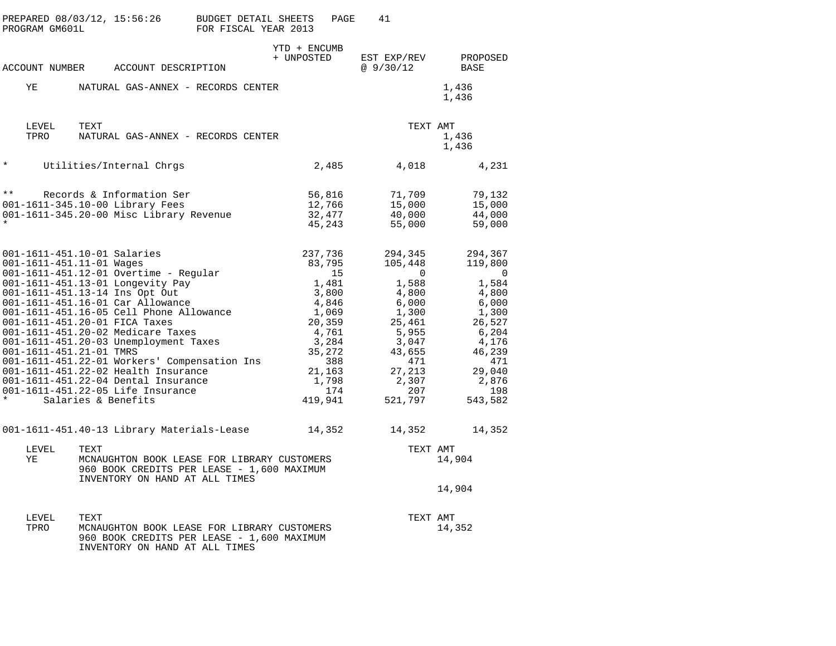| PROGRAM GM601L                                                 | PREPARED 08/03/12, 15:56:26 BUDGET DETAIL SHEETS                                                                                                                                                                                                                                                                                                                                                                                                                                                                                   | FOR FISCAL YEAR 2013                                                                      | PAGE<br>41                                                                                                                                                                                                                                                                                                |                                                                                                                                                 |
|----------------------------------------------------------------|------------------------------------------------------------------------------------------------------------------------------------------------------------------------------------------------------------------------------------------------------------------------------------------------------------------------------------------------------------------------------------------------------------------------------------------------------------------------------------------------------------------------------------|-------------------------------------------------------------------------------------------|-----------------------------------------------------------------------------------------------------------------------------------------------------------------------------------------------------------------------------------------------------------------------------------------------------------|-------------------------------------------------------------------------------------------------------------------------------------------------|
|                                                                | ACCOUNT NUMBER ACCOUNT DESCRIPTION                                                                                                                                                                                                                                                                                                                                                                                                                                                                                                 | YTD + ENCUMB<br>+ UNPOSTED                                                                | EST EXP/REV<br>@ 9/30/12                                                                                                                                                                                                                                                                                  | PROPOSED<br>BASE                                                                                                                                |
| ΥE                                                             | NATURAL GAS-ANNEX - RECORDS CENTER                                                                                                                                                                                                                                                                                                                                                                                                                                                                                                 |                                                                                           |                                                                                                                                                                                                                                                                                                           | 1,436<br>1,436                                                                                                                                  |
| LEVEL<br>TPRO                                                  | TEXT<br>NATURAL GAS-ANNEX - RECORDS CENTER                                                                                                                                                                                                                                                                                                                                                                                                                                                                                         |                                                                                           |                                                                                                                                                                                                                                                                                                           | TEXT AMT<br>1,436<br>1,436                                                                                                                      |
| $\star$                                                        | Utilities/Internal Chrgs                                                                                                                                                                                                                                                                                                                                                                                                                                                                                                           |                                                                                           | 2,485<br>4,018                                                                                                                                                                                                                                                                                            | 4,231                                                                                                                                           |
| $\star \star$                                                  | Records & Information Ser<br>001-1611-345.10-00 Library Fees<br>001-1611-345.20-00 Misc Library Revenue                                                                                                                                                                                                                                                                                                                                                                                                                            |                                                                                           | 56,816<br>71,709<br>12,766<br>15,000<br>32,477<br>40,000<br>45,243<br>55,000                                                                                                                                                                                                                              | 79,132<br>15,000<br>44,000<br>59,000                                                                                                            |
| 001-1611-451.11-01 Wages<br>001-1611-451.21-01 TMRS<br>$\star$ | 001-1611-451.10-01 Salaries<br>001-1611-451.12-01 Overtime - Regular<br>001-1611-451.13-01 Longevity Pay<br>001-1611-451.13-14 Ins Opt Out<br>001-1611-451.16-01 Car Allowance<br>001-1611-451.16-05 Cell Phone Allowance<br>001-1611-451.20-01 FICA Taxes<br>001-1611-451.20-02 Medicare Taxes<br>001-1611-451.20-03 Unemployment Taxes<br>001-1611-451.22-01 Workers' Compensation Ins<br>001-1611-451.22-02 Health Insurance<br>001-1611-451.22-04 Dental Insurance<br>001-1611-451.22-05 Life Insurance<br>Salaries & Benefits |                                                                                           | 237,736<br>294,345<br>83,795<br>105,448<br>15<br>$\mathbf{0}$<br>1,481<br>1,588<br>3,800<br>4,800<br>4,846<br>6,000<br>1,069<br>1,300<br>20,359<br>25,461<br>4,761<br>5,955<br>3,284<br>3,047<br>35,272<br>43,655<br>388<br>471<br>21,163<br>27,213<br>1,798<br>2,307<br>174<br>207<br>419,941<br>521,797 | 294,367<br>119,800<br>- 0<br>1,584<br>4,800<br>6,000<br>1,300<br>26,527<br>6,204<br>4,176<br>46,239<br>471<br>29,040<br>2,876<br>198<br>543,582 |
| LEVEL<br>YE                                                    | 001-1611-451.40-13 Library Materials-Lease<br>TEXT<br>INVENTORY ON HAND AT ALL TIMES                                                                                                                                                                                                                                                                                                                                                                                                                                               | MCNAUGHTON BOOK LEASE FOR LIBRARY CUSTOMERS<br>960 BOOK CREDITS PER LEASE - 1,600 MAXIMUM | 14,352<br>14,352                                                                                                                                                                                                                                                                                          | 14,352<br>TEXT AMT<br>14,904<br>14,904                                                                                                          |
| LEVEL<br>TPRO                                                  | TEXT<br>INVENTORY ON HAND AT ALL TIMES                                                                                                                                                                                                                                                                                                                                                                                                                                                                                             | MCNAUGHTON BOOK LEASE FOR LIBRARY CUSTOMERS<br>960 BOOK CREDITS PER LEASE - 1,600 MAXIMUM |                                                                                                                                                                                                                                                                                                           | TEXT AMT<br>14,352                                                                                                                              |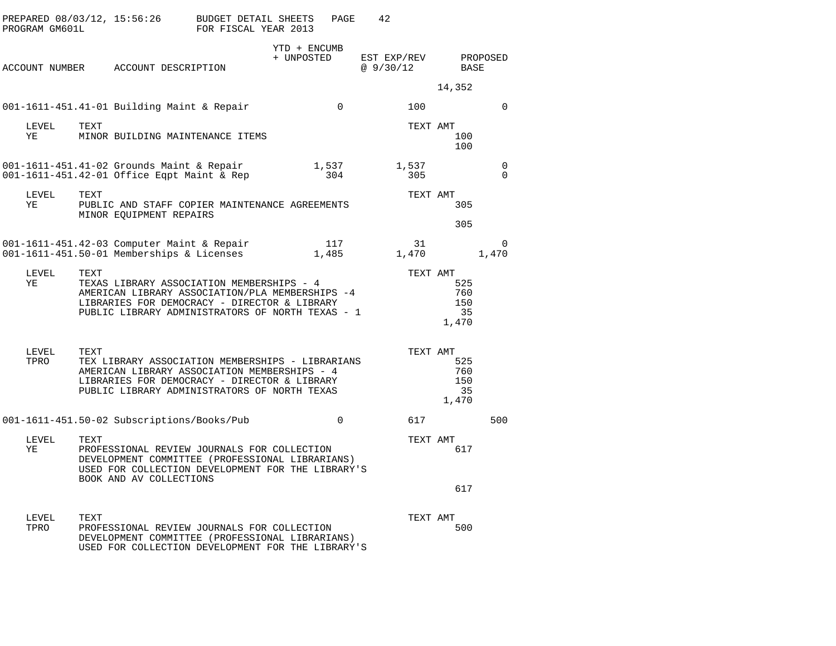| PROGRAM GM601L |      | PREPARED 08/03/12, 15:56:26                                                                                                                                                                      | BUDGET DETAIL SHEETS<br>FOR FISCAL YEAR 2013 |                            | PAGE         | 42                       |                                              |                      |
|----------------|------|--------------------------------------------------------------------------------------------------------------------------------------------------------------------------------------------------|----------------------------------------------|----------------------------|--------------|--------------------------|----------------------------------------------|----------------------|
| ACCOUNT NUMBER |      | ACCOUNT DESCRIPTION                                                                                                                                                                              |                                              | YTD + ENCUMB<br>+ UNPOSTED |              | EST EXP/REV<br>@ 9/30/12 | BASE                                         | PROPOSED             |
|                |      |                                                                                                                                                                                                  |                                              |                            |              |                          | 14,352                                       |                      |
|                |      | 001-1611-451.41-01 Building Maint & Repair                                                                                                                                                       |                                              |                            | $\Omega$     | 100                      |                                              | $\Omega$             |
| LEVEL<br>YE    | TEXT | MINOR BUILDING MAINTENANCE ITEMS                                                                                                                                                                 |                                              |                            |              |                          | TEXT AMT<br>100<br>100                       |                      |
|                |      | 001-1611-451.41-02 Grounds Maint & Repair<br>001-1611-451.42-01 Office Eqpt Maint & Rep                                                                                                          |                                              |                            | 1,537<br>304 | 1,537<br>305             |                                              | $\Omega$<br>$\Omega$ |
| LEVEL<br>YE    | TEXT | PUBLIC AND STAFF COPIER MAINTENANCE AGREEMENTS<br>MINOR EQUIPMENT REPAIRS                                                                                                                        |                                              |                            |              |                          | TEXT AMT<br>305                              |                      |
|                |      |                                                                                                                                                                                                  |                                              |                            |              |                          | 305                                          |                      |
|                |      | 001-1611-451.42-03 Computer Maint & Repair<br>001-1611-451.50-01 Memberships & Licenses                                                                                                          |                                              |                            | 117<br>1,485 | 31<br>1,470              |                                              | 0<br>1,470           |
| LEVEL<br>ΥE    | TEXT | TEXAS LIBRARY ASSOCIATION MEMBERSHIPS - 4<br>AMERICAN LIBRARY ASSOCIATION/PLA MEMBERSHIPS -4<br>LIBRARIES FOR DEMOCRACY - DIRECTOR & LIBRARY<br>PUBLIC LIBRARY ADMINISTRATORS OF NORTH TEXAS - 1 |                                              |                            |              |                          | TEXT AMT<br>525<br>760<br>150<br>35<br>1,470 |                      |
| LEVEL<br>TPRO  | TEXT | TEX LIBRARY ASSOCIATION MEMBERSHIPS - LIBRARIANS<br>AMERICAN LIBRARY ASSOCIATION MEMBERSHIPS - 4<br>LIBRARIES FOR DEMOCRACY - DIRECTOR & LIBRARY<br>PUBLIC LIBRARY ADMINISTRATORS OF NORTH TEXAS |                                              |                            |              |                          | TEXT AMT<br>525<br>760<br>150<br>35<br>1,470 |                      |
|                |      | 001-1611-451.50-02 Subscriptions/Books/Pub                                                                                                                                                       |                                              |                            | $\Omega$     | 617                      |                                              | 500                  |
| LEVEL<br>ΥE    | TEXT | PROFESSIONAL REVIEW JOURNALS FOR COLLECTION<br>DEVELOPMENT COMMITTEE (PROFESSIONAL LIBRARIANS)<br>USED FOR COLLECTION DEVELOPMENT FOR THE LIBRARY'S<br>BOOK AND AV COLLECTIONS                   |                                              |                            |              |                          | TEXT AMT<br>617                              |                      |
|                |      |                                                                                                                                                                                                  |                                              |                            |              |                          | 617                                          |                      |
| LEVEL<br>TPRO  | TEXT | PROFESSIONAL REVIEW JOURNALS FOR COLLECTION<br>DEVELOPMENT COMMITTEE (PROFESSIONAL LIBRARIANS)<br>USED FOR COLLECTION DEVELOPMENT FOR THE LIBRARY'S                                              |                                              |                            |              |                          | TEXT AMT<br>500                              |                      |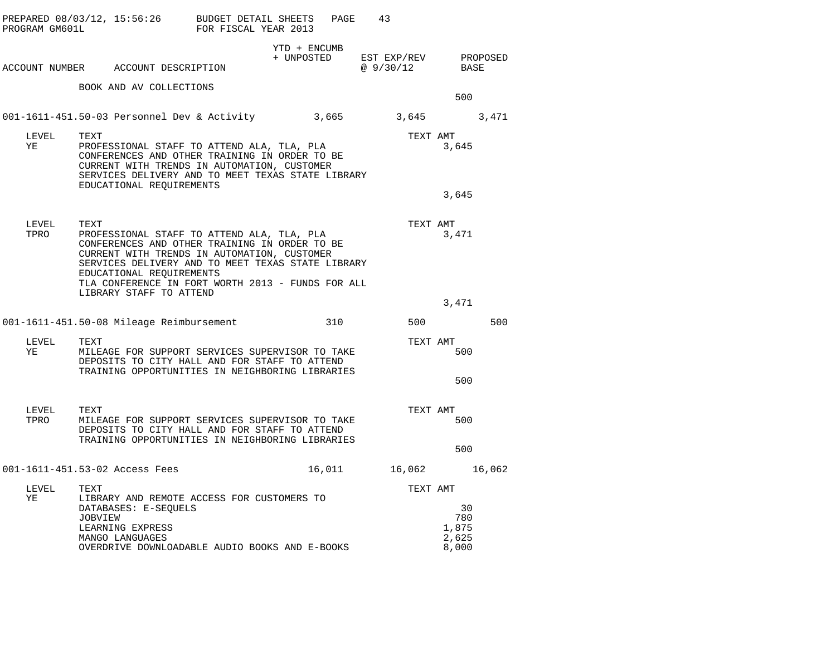| PROGRAM GM601L | PREPARED $08/03/12$ , $15:56:26$ BUDGET DETAIL SHEETS                                                                                                                                                                                                                                    | FOR FISCAL YEAR 2013 |              | PAGE | 43                                          |                                      |     |
|----------------|------------------------------------------------------------------------------------------------------------------------------------------------------------------------------------------------------------------------------------------------------------------------------------------|----------------------|--------------|------|---------------------------------------------|--------------------------------------|-----|
|                | ACCOUNT NUMBER ACCOUNT DESCRIPTION                                                                                                                                                                                                                                                       |                      | YTD + ENCUMB |      | + UNPOSTED EST EXP/REV PROPOSED<br>@9/30/12 | BASE                                 |     |
|                | BOOK AND AV COLLECTIONS                                                                                                                                                                                                                                                                  |                      |              |      |                                             | 500                                  |     |
|                | 001-1611-451.50-03 Personnel Dev & Activity 3,665 3,645 3,471                                                                                                                                                                                                                            |                      |              |      |                                             |                                      |     |
| LEVEL<br>ΥE    | TEXT<br>PROFESSIONAL STAFF TO ATTEND ALA, TLA, PLA<br>CONFERENCES AND OTHER TRAINING IN ORDER TO BE<br>CURRENT WITH TRENDS IN AUTOMATION, CUSTOMER<br>SERVICES DELIVERY AND TO MEET TEXAS STATE LIBRARY<br>EDUCATIONAL REQUIREMENTS                                                      |                      |              |      | TEXT AMT                                    | 3,645                                |     |
|                |                                                                                                                                                                                                                                                                                          |                      |              |      |                                             | 3,645                                |     |
| LEVEL<br>TPRO  | TEXT<br>PROFESSIONAL STAFF TO ATTEND ALA, TLA, PLA<br>CONFERENCES AND OTHER TRAINING IN ORDER TO BE<br>CURRENT WITH TRENDS IN AUTOMATION, CUSTOMER<br>SERVICES DELIVERY AND TO MEET TEXAS STATE LIBRARY<br>EDUCATIONAL REQUIREMENTS<br>TLA CONFERENCE IN FORT WORTH 2013 - FUNDS FOR ALL |                      |              |      | TEXT AMT                                    | 3,471                                |     |
|                | LIBRARY STAFF TO ATTEND                                                                                                                                                                                                                                                                  |                      |              |      |                                             | 3,471                                |     |
|                | 001-1611-451.50-08 Mileage Reimbursement                                                                                                                                                                                                                                                 |                      |              | 310  | 500                                         |                                      | 500 |
| LEVEL<br>YE    | TEXT<br>MILEAGE FOR SUPPORT SERVICES SUPERVISOR TO TAKE<br>DEPOSITS TO CITY HALL AND FOR STAFF TO ATTEND<br>TRAINING OPPORTUNITIES IN NEIGHBORING LIBRARIES                                                                                                                              |                      |              |      | TEXT AMT                                    | 500<br>500                           |     |
| LEVEL<br>TPRO  | TEXT<br>MILEAGE FOR SUPPORT SERVICES SUPERVISOR TO TAKE<br>DEPOSITS TO CITY HALL AND FOR STAFF TO ATTEND<br>TRAINING OPPORTUNITIES IN NEIGHBORING LIBRARIES                                                                                                                              |                      |              |      | TEXT AMT                                    | 500                                  |     |
|                |                                                                                                                                                                                                                                                                                          |                      |              |      |                                             | 500                                  |     |
|                | 001-1611-451.53-02 Access Fees                                                                                                                                                                                                                                                           |                      |              |      | 16,011 16,062 16,062                        |                                      |     |
| LEVEL<br>YE    | TEXT<br>LIBRARY AND REMOTE ACCESS FOR CUSTOMERS TO<br>DATABASES: E-SEQUELS<br><b>JOBVIEW</b><br>LEARNING EXPRESS<br>MANGO LANGUAGES<br>OVERDRIVE DOWNLOADABLE AUDIO BOOKS AND E-BOOKS                                                                                                    |                      |              |      | TEXT AMT                                    | 30<br>780<br>1,875<br>2,625<br>8,000 |     |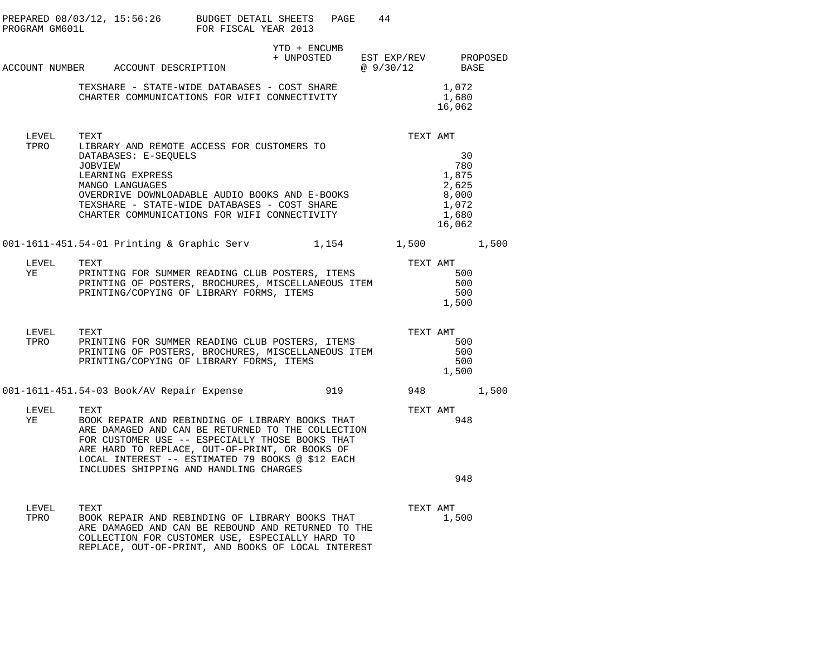| PROGRAM GM601L | PREPARED 08/03/12, 15:56:26 BUDGET DETAIL SHEETS PAGE 44                                                                                                                                                                                                                                                        | FOR FISCAL YEAR 2013 |                |                                                                  |  |
|----------------|-----------------------------------------------------------------------------------------------------------------------------------------------------------------------------------------------------------------------------------------------------------------------------------------------------------------|----------------------|----------------|------------------------------------------------------------------|--|
|                | ACCOUNT NUMBER ACCOUNT DESCRIPTION                                                                                                                                                                                                                                                                              | YTD + ENCUMB         | @ 9/30/12 BASE | + UNPOSTED EST EXP/REV PROPOSED                                  |  |
|                | TEXSHARE - STATE-WIDE DATABASES - COST SHARE<br>CHARTER COMMUNICATIONS FOR WIFI CONNECTIVITY                                                                                                                                                                                                                    |                      |                | 1,072<br>1,680<br>16,062                                         |  |
| LEVEL<br>TPRO  | TEXT<br>LIBRARY AND REMOTE ACCESS FOR CUSTOMERS TO<br>DATABASES: E-SEQUELS<br>JOBVIEW<br>LEARNING EXPRESS<br>MANGO LANGUAGES<br>OVERDRIVE DOWNLOADABLE AUDIO BOOKS AND E-BOOKS<br>TEXSHARE - STATE-WIDE DATABASES - COST SHARE<br>CHARTER COMMUNICATIONS FOR WIFI CONNECTIVITY                                  |                      | TEXT AMT       | 30<br>780<br>1,875<br>2,625<br>8,000<br>1,072<br>1,680<br>16,062 |  |
|                | 001-1611-451.54-01 Printing & Graphic Serv 1,154 1,500 1,500                                                                                                                                                                                                                                                    |                      |                |                                                                  |  |
| LEVEL<br>YE    | TEXT<br>PRINTING FOR SUMMER READING CLUB POSTERS, ITEMS<br>PRINTING OF POSTERS, BROCHURES, MISCELLANEOUS ITEM<br>PRINTING/COPYING OF LIBRARY FORMS, ITEMS                                                                                                                                                       |                      | TEXT AMT       | 500<br>500<br>500<br>1,500                                       |  |
| LEVEL<br>TPRO  | TEXT<br>PRINTING FOR SUMMER READING CLUB POSTERS, ITEMS<br>PRINTING OF POSTERS, BROCHURES, MISCELLANEOUS ITEM<br>PRINTING/COPYING OF LIBRARY FORMS, ITEMS                                                                                                                                                       |                      | TEXT AMT       | 500<br>500<br>500<br>1,500                                       |  |
|                | 001-1611-451.54-03 Book/AV Repair Expense 519 919 948 1,500                                                                                                                                                                                                                                                     |                      |                |                                                                  |  |
| LEVEL<br>YE    | TEXT<br>BOOK REPAIR AND REBINDING OF LIBRARY BOOKS THAT<br>ARE DAMAGED AND CAN BE RETURNED TO THE COLLECTION<br>FOR CUSTOMER USE -- ESPECIALLY THOSE BOOKS THAT<br>ARE HARD TO REPLACE, OUT-OF-PRINT, OR BOOKS OF<br>LOCAL INTEREST -- ESTIMATED 79 BOOKS @ \$12 EACH<br>INCLUDES SHIPPING AND HANDLING CHARGES |                      | TEXT AMT       | 948<br>948                                                       |  |
| LEVEL<br>TPRO  | TEXT<br>BOOK REPAIR AND REBINDING OF LIBRARY BOOKS THAT<br>ARE DAMAGED AND CAN BE REBOUND AND RETURNED TO THE<br>COLLECTION FOR CUSTOMER USE, ESPECIALLY HARD TO<br>REPLACE, OUT-OF-PRINT, AND BOOKS OF LOCAL INTEREST                                                                                          |                      | TEXT AMT       | 1,500                                                            |  |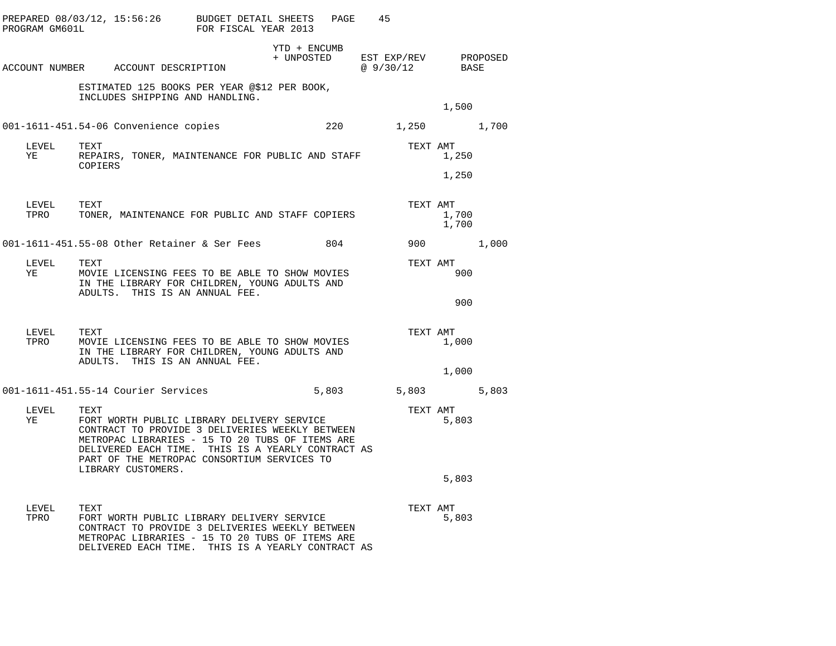| PROGRAM GM601L     | PREPARED 08/03/12, 15:56:26 BUDGET DETAIL SHEETS                                                                                                                                                                                                                                   | FOR FISCAL YEAR 2013 | PAGE                                            | 45                |                            |       |
|--------------------|------------------------------------------------------------------------------------------------------------------------------------------------------------------------------------------------------------------------------------------------------------------------------------|----------------------|-------------------------------------------------|-------------------|----------------------------|-------|
|                    | ACCOUNT NUMBER ACCOUNT DESCRIPTION                                                                                                                                                                                                                                                 |                      | YTD + ENCUMB<br>+ UNPOSTED EST EXP/REV PROPOSED | @9/30/12          | BASE                       |       |
|                    | ESTIMATED 125 BOOKS PER YEAR @\$12 PER BOOK,<br>INCLUDES SHIPPING AND HANDLING.                                                                                                                                                                                                    |                      |                                                 |                   | 1,500                      |       |
|                    | 001-1611-451.54-06 Convenience copies                                                                                                                                                                                                                                              |                      |                                                 | 220 1,250 1,700   |                            |       |
| LEVEL<br>YE        | TEXT<br>REPAIRS, TONER, MAINTENANCE FOR PUBLIC AND STAFF<br>COPIERS                                                                                                                                                                                                                |                      |                                                 | TEXT AMT          | 1,250                      |       |
|                    |                                                                                                                                                                                                                                                                                    |                      |                                                 |                   | 1,250                      |       |
| LEVEL TEXT<br>TPRO | TONER, MAINTENANCE FOR PUBLIC AND STAFF COPIERS                                                                                                                                                                                                                                    |                      |                                                 |                   | TEXT AMT<br>1,700<br>1,700 |       |
|                    | 001-1611-451.55-08 Other Retainer & Ser Fees                                                                                                                                                                                                                                       |                      | 804                                             |                   | 900                        | 1,000 |
| LEVEL<br>YE        | TEXT<br>MOVIE LICENSING FEES TO BE ABLE TO SHOW MOVIES<br>IN THE LIBRARY FOR CHILDREN, YOUNG ADULTS AND                                                                                                                                                                            |                      |                                                 | TEXT AMT          | 900                        |       |
|                    | ADULTS. THIS IS AN ANNUAL FEE.                                                                                                                                                                                                                                                     |                      |                                                 |                   | 900                        |       |
| LEVEL<br>TPRO      | TEXT<br>MOVIE LICENSING FEES TO BE ABLE TO SHOW MOVIES<br>IN THE LIBRARY FOR CHILDREN, YOUNG ADULTS AND<br>ADULTS. THIS IS AN ANNUAL FEE.                                                                                                                                          |                      |                                                 | TEXT AMT          | 1,000                      |       |
|                    |                                                                                                                                                                                                                                                                                    |                      |                                                 |                   | 1,000                      |       |
|                    | 001-1611-451.55-14 Courier Services                                                                                                                                                                                                                                                |                      |                                                 | 5,803 5,803 5,803 |                            |       |
| LEVEL<br>YE        | TEXT<br>FORT WORTH PUBLIC LIBRARY DELIVERY SERVICE<br>CONTRACT TO PROVIDE 3 DELIVERIES WEEKLY BETWEEN<br>METROPAC LIBRARIES - 15 TO 20 TUBS OF ITEMS ARE<br>DELIVERED EACH TIME. THIS IS A YEARLY CONTRACT AS<br>PART OF THE METROPAC CONSORTIUM SERVICES TO<br>LIBRARY CUSTOMERS. |                      |                                                 | TEXT AMT          | 5,803                      |       |
|                    |                                                                                                                                                                                                                                                                                    |                      |                                                 |                   | 5,803                      |       |
| LEVEL<br>TPRO      | TEXT<br>FORT WORTH PUBLIC LIBRARY DELIVERY SERVICE<br>CONTRACT TO PROVIDE 3 DELIVERIES WEEKLY BETWEEN<br>METROPAC LIBRARIES - 15 TO 20 TUBS OF ITEMS ARE<br>DELIVERED EACH TIME. THIS IS A YEARLY CONTRACT AS                                                                      |                      |                                                 | TEXT AMT          | 5,803                      |       |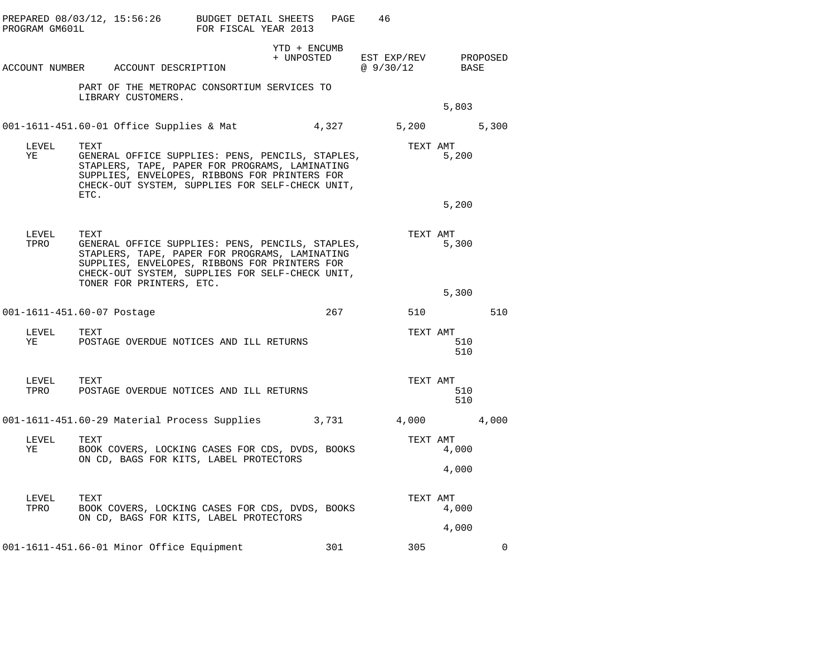| PROGRAM GM601L | PREPARED 08/03/12, 15:56:26                                                                                                                                                                                                                | BUDGET DETAIL SHEETS<br>FOR FISCAL YEAR 2013 | PAGE                       | 46                       |                |             |
|----------------|--------------------------------------------------------------------------------------------------------------------------------------------------------------------------------------------------------------------------------------------|----------------------------------------------|----------------------------|--------------------------|----------------|-------------|
|                | ACCOUNT NUMBER ACCOUNT DESCRIPTION                                                                                                                                                                                                         |                                              | YTD + ENCUMB<br>+ UNPOSTED | EST EXP/REV<br>@ 9/30/12 | BASE           | PROPOSED    |
|                | PART OF THE METROPAC CONSORTIUM SERVICES TO<br>LIBRARY CUSTOMERS.                                                                                                                                                                          |                                              |                            |                          | 5,803          |             |
|                | 001-1611-451.60-01 Office Supplies & Mat                                                                                                                                                                                                   |                                              | 4,327                      | 5,200                    |                | 5,300       |
| LEVEL<br>ΥE    | TEXT<br>GENERAL OFFICE SUPPLIES: PENS, PENCILS, STAPLES,<br>STAPLERS, TAPE, PAPER FOR PROGRAMS, LAMINATING<br>SUPPLIES, ENVELOPES, RIBBONS FOR PRINTERS FOR<br>CHECK-OUT SYSTEM, SUPPLIES FOR SELF-CHECK UNIT,<br>ETC.                     |                                              |                            | TEXT AMT                 | 5,200          |             |
|                |                                                                                                                                                                                                                                            |                                              |                            |                          | 5,200          |             |
| LEVEL<br>TPRO  | TEXT<br>GENERAL OFFICE SUPPLIES: PENS, PENCILS, STAPLES,<br>STAPLERS, TAPE, PAPER FOR PROGRAMS, LAMINATING<br>SUPPLIES, ENVELOPES, RIBBONS FOR PRINTERS FOR<br>CHECK-OUT SYSTEM, SUPPLIES FOR SELF-CHECK UNIT,<br>TONER FOR PRINTERS, ETC. |                                              |                            | TEXT AMT                 | 5,300          |             |
|                |                                                                                                                                                                                                                                            |                                              |                            |                          | 5,300          |             |
|                | 001-1611-451.60-07 Postage                                                                                                                                                                                                                 |                                              | 267                        | 510                      |                | 510         |
| LEVEL<br>YE    | TEXT<br>POSTAGE OVERDUE NOTICES AND ILL RETURNS                                                                                                                                                                                            |                                              |                            | TEXT AMT                 | 510<br>510     |             |
| LEVEL<br>TPRO  | TEXT<br>POSTAGE OVERDUE NOTICES AND ILL RETURNS                                                                                                                                                                                            |                                              |                            | TEXT AMT                 | 510<br>510     |             |
|                | 001-1611-451.60-29 Material Process Supplies                                                                                                                                                                                               |                                              | 3,731                      | 4,000 4,000              |                |             |
| LEVEL<br>ΥE    | TEXT<br>BOOK COVERS, LOCKING CASES FOR CDS, DVDS, BOOKS<br>ON CD, BAGS FOR KITS, LABEL PROTECTORS                                                                                                                                          |                                              |                            | TEXT AMT                 | 4,000<br>4,000 |             |
| LEVEL<br>TPRO  | TEXT<br>BOOK COVERS, LOCKING CASES FOR CDS, DVDS, BOOKS<br>ON CD, BAGS FOR KITS, LABEL PROTECTORS                                                                                                                                          |                                              |                            | TEXT AMT                 | 4,000<br>4,000 |             |
|                | 001-1611-451.66-01 Minor Office Equipment                                                                                                                                                                                                  |                                              | 301                        | 305                      |                | $\mathbf 0$ |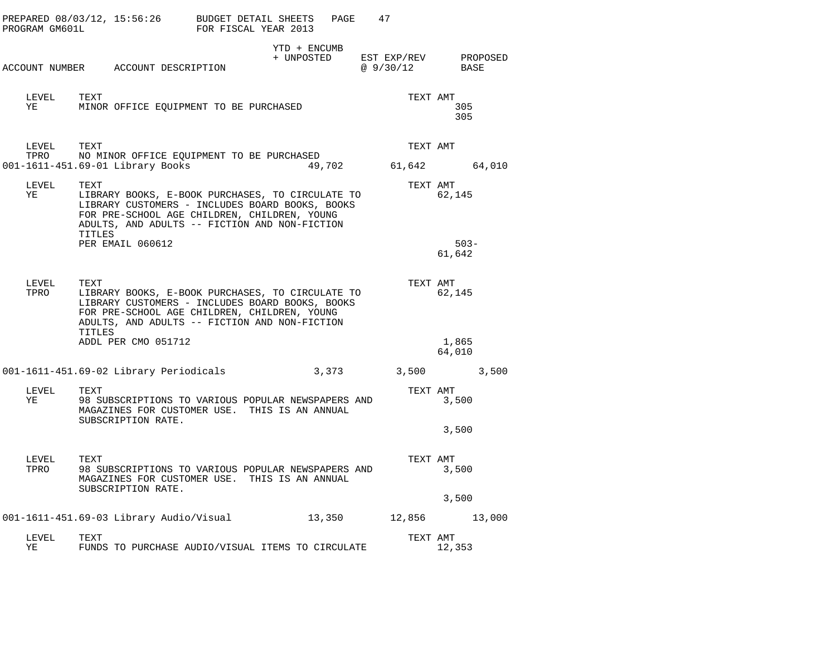| PROGRAM GM601L | PREPARED $08/03/12$ , $15:56:26$ BUDGET DETAIL SHEETS                                                                                                                                                                  | FOR FISCAL YEAR 2013 |                            | PAGE  | 47                               |                         |          |
|----------------|------------------------------------------------------------------------------------------------------------------------------------------------------------------------------------------------------------------------|----------------------|----------------------------|-------|----------------------------------|-------------------------|----------|
|                | ACCOUNT NUMBER ACCOUNT DESCRIPTION                                                                                                                                                                                     |                      | YTD + ENCUMB<br>+ UNPOSTED |       | EST EXP/REV<br>@ 9/30/12         | BASE                    | PROPOSED |
| LEVEL<br>YE    | TEXT<br>MINOR OFFICE EQUIPMENT TO BE PURCHASED                                                                                                                                                                         |                      |                            |       | TEXT AMT                         | 305<br>305              |          |
| LEVEL          | TEXT<br>TPRO NO MINOR OFFICE EQUIPMENT TO BE PURCHASED<br>001-1611-451.69-01 Library Books                                                                                                                             |                      |                            |       | TEXT AMT<br>49,702 61,642 64,010 |                         |          |
| LEVEL<br>ΥE    | TEXT<br>LIBRARY BOOKS, E-BOOK PURCHASES, TO CIRCULATE TO<br>LIBRARY CUSTOMERS - INCLUDES BOARD BOOKS, BOOKS<br>FOR PRE-SCHOOL AGE CHILDREN, CHILDREN, YOUNG<br>ADULTS, AND ADULTS -- FICTION AND NON-FICTION<br>TITLES |                      |                            |       | TEXT AMT                         | 62,145                  |          |
|                | PER EMAIL 060612                                                                                                                                                                                                       |                      |                            |       |                                  | $503 -$<br>61,642       |          |
| LEVEL<br>TPRO  | TEXT<br>LIBRARY BOOKS, E-BOOK PURCHASES, TO CIRCULATE TO<br>LIBRARY CUSTOMERS - INCLUDES BOARD BOOKS, BOOKS<br>FOR PRE-SCHOOL AGE CHILDREN, CHILDREN, YOUNG<br>ADULTS, AND ADULTS -- FICTION AND NON-FICTION<br>TITLES |                      |                            |       | TEXT AMT                         | 62,145                  |          |
|                | ADDL PER CMO 051712                                                                                                                                                                                                    |                      |                            |       |                                  | 1,865<br>64,010         |          |
|                | 001-1611-451.69-02 Library Periodicals                                                                                                                                                                                 |                      |                            | 3,373 |                                  | 3,500 3,500             |          |
| LEVEL<br>YE    | TEXT<br>98 SUBSCRIPTIONS TO VARIOUS POPULAR NEWSPAPERS AND<br>MAGAZINES FOR CUSTOMER USE. THIS IS AN ANNUAL<br>SUBSCRIPTION RATE.                                                                                      |                      |                            |       | TEXT AMT                         | 3,500                   |          |
|                |                                                                                                                                                                                                                        |                      |                            |       |                                  | 3,500                   |          |
| LEVEL<br>TPRO  | TEXT<br>98 SUBSCRIPTIONS TO VARIOUS POPULAR NEWSPAPERS AND<br>MAGAZINES FOR CUSTOMER USE. THIS IS AN ANNUAL<br>SUBSCRIPTION RATE.                                                                                      |                      |                            |       | TEXT AMT                         | 3,500                   |          |
|                |                                                                                                                                                                                                                        |                      |                            |       |                                  | 3,500                   |          |
| LEVEL<br>ΥE    | 001-1611-451.69-03 Library Audio/Visual<br>TEXT<br>FUNDS TO PURCHASE AUDIO/VISUAL ITEMS TO CIRCULATE                                                                                                                   |                      | 13,350                     |       | TEXT AMT                         | 12,856 13,000<br>12,353 |          |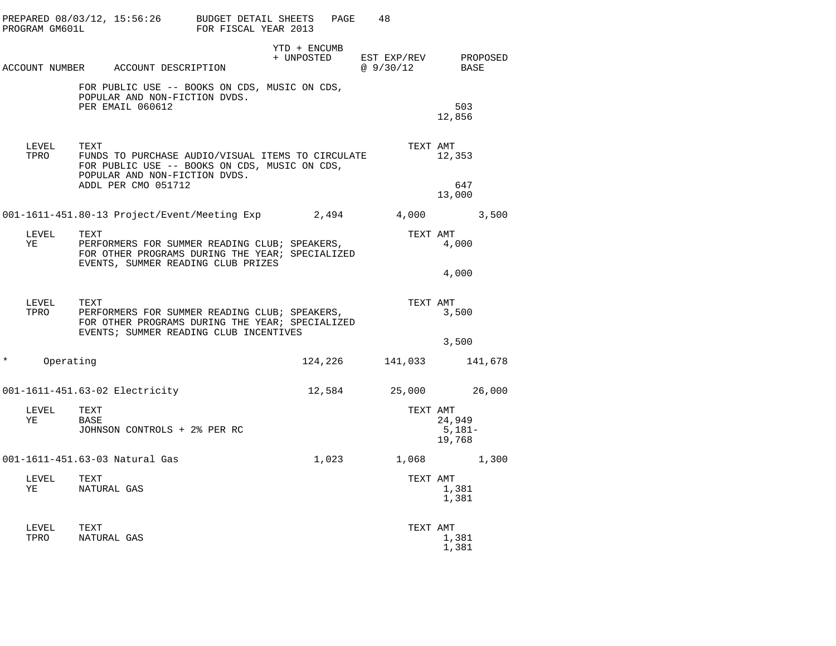|          | PROGRAM GM601L   | PREPARED $08/03/12$ , $15:56:26$ BUDGET DETAIL SHEETS                                                                                                              | FOR FISCAL YEAR 2013 | PAGE         | 48                                          |                              |         |
|----------|------------------|--------------------------------------------------------------------------------------------------------------------------------------------------------------------|----------------------|--------------|---------------------------------------------|------------------------------|---------|
|          |                  | ACCOUNT NUMBER ACCOUNT DESCRIPTION                                                                                                                                 |                      | YTD + ENCUMB | + UNPOSTED EST EXP/REV PROPOSED<br>@9/30/12 | BASE                         |         |
|          |                  | FOR PUBLIC USE -- BOOKS ON CDS, MUSIC ON CDS,<br>POPULAR AND NON-FICTION DVDS.<br>PER EMAIL 060612                                                                 |                      |              |                                             | 503<br>12,856                |         |
|          | LEVEL<br>TPRO    | TEXT<br>FUNDS TO PURCHASE AUDIO/VISUAL ITEMS TO CIRCULATE<br>FOR PUBLIC USE -- BOOKS ON CDS, MUSIC ON CDS,<br>POPULAR AND NON-FICTION DVDS.<br>ADDL PER CMO 051712 |                      |              | TEXT AMT                                    | 12,353<br>647<br>13,000      |         |
|          |                  | 001-1611-451.80-13 Project/Event/Meeting Exp 2,494                                                                                                                 |                      |              | 4,000 3,500                                 |                              |         |
|          | LEVEL<br>YE      | TEXT<br>PERFORMERS FOR SUMMER READING CLUB; SPEAKERS,<br>FOR OTHER PROGRAMS DURING THE YEAR; SPECIALIZED<br>EVENTS, SUMMER READING CLUB PRIZES                     |                      |              | TEXT AMT                                    | 4,000                        |         |
|          |                  |                                                                                                                                                                    |                      |              |                                             | 4,000                        |         |
|          | LEVEL<br>TPRO    | TEXT<br>PERFORMERS FOR SUMMER READING CLUB; SPEAKERS,<br>FOR OTHER PROGRAMS DURING THE YEAR; SPECIALIZED<br>EVENTS; SUMMER READING CLUB INCENTIVES                 |                      |              | TEXT AMT                                    | 3,500                        |         |
|          |                  |                                                                                                                                                                    |                      |              |                                             | 3,500                        |         |
| $^\star$ | Operating        |                                                                                                                                                                    |                      | 124,226      | 141,033                                     |                              | 141,678 |
|          |                  | 001-1611-451.63-02 Electricity                                                                                                                                     |                      | 12,584       |                                             | 25,000 26,000                |         |
|          | LEVEL<br>YE      | TEXT<br>BASE<br>JOHNSON CONTROLS + 2% PER RC                                                                                                                       |                      |              | TEXT AMT                                    | 24,949<br>$5,181-$<br>19,768 |         |
|          |                  | 001-1611-451.63-03 Natural Gas                                                                                                                                     |                      | 1,023        |                                             | 1,068 1,300                  |         |
|          | LEVEL TEXT<br>YE | NATURAL GAS                                                                                                                                                        |                      |              | TEXT AMT                                    | 1,381<br>1,381               |         |
|          | LEVEL<br>TPRO    | TEXT<br>NATURAL GAS                                                                                                                                                |                      |              | TEXT AMT                                    | 1,381<br>1,381               |         |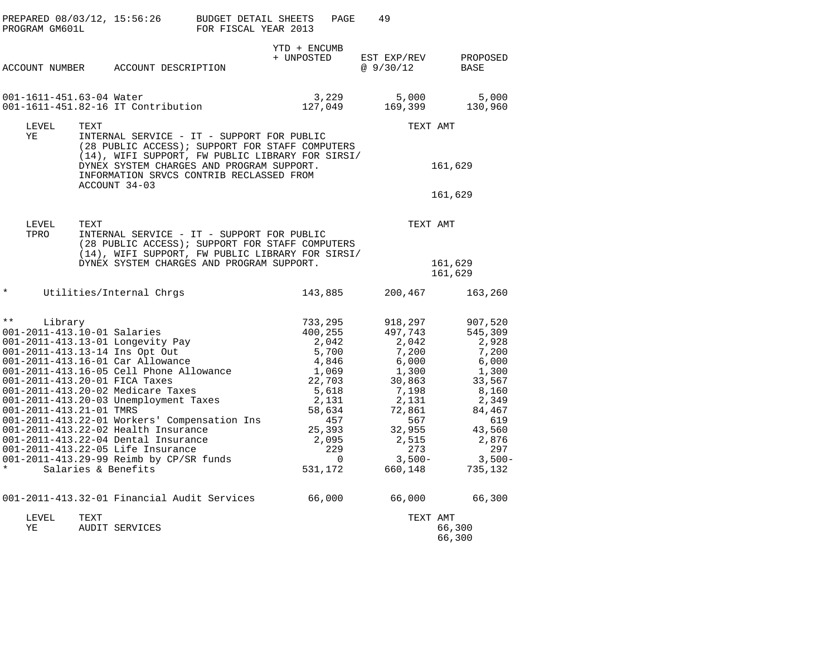|               | PROGRAM GM601L                                                    |      | PREPARED 08/03/12, 15:56:26                                                                                                                                                                                                                                                                                                                                                                                                                                                                           | <b>BUDGET DETAIL SHEETS</b><br>FOR FISCAL YEAR 2013 |                               | PAGE                                                                                                                    | 49                                                                                                                                                   |                              |                                                                                                                                                      |
|---------------|-------------------------------------------------------------------|------|-------------------------------------------------------------------------------------------------------------------------------------------------------------------------------------------------------------------------------------------------------------------------------------------------------------------------------------------------------------------------------------------------------------------------------------------------------------------------------------------------------|-----------------------------------------------------|-------------------------------|-------------------------------------------------------------------------------------------------------------------------|------------------------------------------------------------------------------------------------------------------------------------------------------|------------------------------|------------------------------------------------------------------------------------------------------------------------------------------------------|
|               | ACCOUNT NUMBER                                                    |      | ACCOUNT DESCRIPTION                                                                                                                                                                                                                                                                                                                                                                                                                                                                                   |                                                     | YTD + ENCUMB<br>+ UNPOSTED    |                                                                                                                         | EST EXP/REV<br>@9/30/12                                                                                                                              |                              | PROPOSED<br>BASE                                                                                                                                     |
|               | 001-1611-451.63-04 Water                                          |      | 001-1611-451.82-16 IT Contribution                                                                                                                                                                                                                                                                                                                                                                                                                                                                    |                                                     |                               | 3,229<br>127,049                                                                                                        | 5,000<br>169,399                                                                                                                                     |                              | 5,000<br>130,960                                                                                                                                     |
|               | LEVEL                                                             | TEXT |                                                                                                                                                                                                                                                                                                                                                                                                                                                                                                       |                                                     |                               |                                                                                                                         |                                                                                                                                                      | TEXT AMT                     |                                                                                                                                                      |
|               | ΥE                                                                |      | INTERNAL SERVICE - IT - SUPPORT FOR PUBLIC<br>(28 PUBLIC ACCESS); SUPPORT FOR STAFF COMPUTERS<br>(14), WIFI SUPPORT, FW PUBLIC LIBRARY FOR SIRSI/<br>DYNEX SYSTEM CHARGES AND PROGRAM SUPPORT.                                                                                                                                                                                                                                                                                                        |                                                     |                               |                                                                                                                         |                                                                                                                                                      | 161,629                      |                                                                                                                                                      |
|               |                                                                   |      | INFORMATION SRVCS CONTRIB RECLASSED FROM                                                                                                                                                                                                                                                                                                                                                                                                                                                              |                                                     |                               |                                                                                                                         |                                                                                                                                                      |                              |                                                                                                                                                      |
|               |                                                                   |      | ACCOUNT 34-03                                                                                                                                                                                                                                                                                                                                                                                                                                                                                         |                                                     |                               |                                                                                                                         |                                                                                                                                                      | 161,629                      |                                                                                                                                                      |
|               | LEVEL<br>TPRO                                                     | TEXT | INTERNAL SERVICE - IT - SUPPORT FOR PUBLIC<br>(28 PUBLIC ACCESS); SUPPORT FOR STAFF COMPUTERS                                                                                                                                                                                                                                                                                                                                                                                                         |                                                     |                               |                                                                                                                         |                                                                                                                                                      | TEXT AMT                     |                                                                                                                                                      |
|               |                                                                   |      | (14), WIFI SUPPORT, FW PUBLIC LIBRARY FOR SIRSI/<br>DYNEX SYSTEM CHARGES AND PROGRAM SUPPORT.                                                                                                                                                                                                                                                                                                                                                                                                         |                                                     |                               |                                                                                                                         |                                                                                                                                                      | 161,629<br>161,629           |                                                                                                                                                      |
| $\star$       |                                                                   |      | Utilities/Internal Chrgs                                                                                                                                                                                                                                                                                                                                                                                                                                                                              |                                                     |                               | 143,885                                                                                                                 | 200,467                                                                                                                                              |                              | 163,260                                                                                                                                              |
| $\star \star$ | Library<br>001-2011-413.10-01 Salaries<br>001-2011-413.21-01 TMRS |      | 001-2011-413.13-01 Longevity Pay<br>001-2011-413.13-14 Ins Opt Out<br>001-2011-413.16-01 Car Allowance<br>001-2011-413.16-05 Cell Phone Allowance<br>001-2011-413.20-01 FICA Taxes<br>001-2011-413.20-02 Medicare Taxes<br>001-2011-413.20-03 Unemployment Taxes<br>001-2011-413.22-01 Workers' Compensation Ins<br>001-2011-413.22-02 Health Insurance<br>001-2011-413.22-04 Dental Insurance<br>001-2011-413.22-05 Life Insurance<br>001-2011-413.29-99 Reimb by CP/SR funds<br>Salaries & Benefits |                                                     | 733,295<br>400,255<br>531,172 | 2,042<br>5,700<br>4,846<br>1,069<br>22,703<br>5,618<br>2,131<br>58,634<br>457<br>25,393<br>2,095<br>229<br>$\mathbf{0}$ | 918,297<br>497,743<br>2,042<br>7,200<br>6,000<br>1,300<br>30,863<br>7,198<br>2,131<br>72,861<br>567<br>32,955<br>2,515<br>273<br>$3,500-$<br>660,148 |                              | 907,520<br>545,309<br>2,928<br>7,200<br>6,000<br>1,300<br>33,567<br>8,160<br>2,349<br>84,467<br>619<br>43,560<br>2,876<br>297<br>$3,500-$<br>735,132 |
|               |                                                                   |      | 001-2011-413.32-01 Financial Audit Services                                                                                                                                                                                                                                                                                                                                                                                                                                                           |                                                     | 66,000                        |                                                                                                                         | 66,000                                                                                                                                               |                              | 66,300                                                                                                                                               |
|               | LEVEL<br>ΥE                                                       | TEXT | <b>AUDIT SERVICES</b>                                                                                                                                                                                                                                                                                                                                                                                                                                                                                 |                                                     |                               |                                                                                                                         |                                                                                                                                                      | TEXT AMT<br>66,300<br>66,300 |                                                                                                                                                      |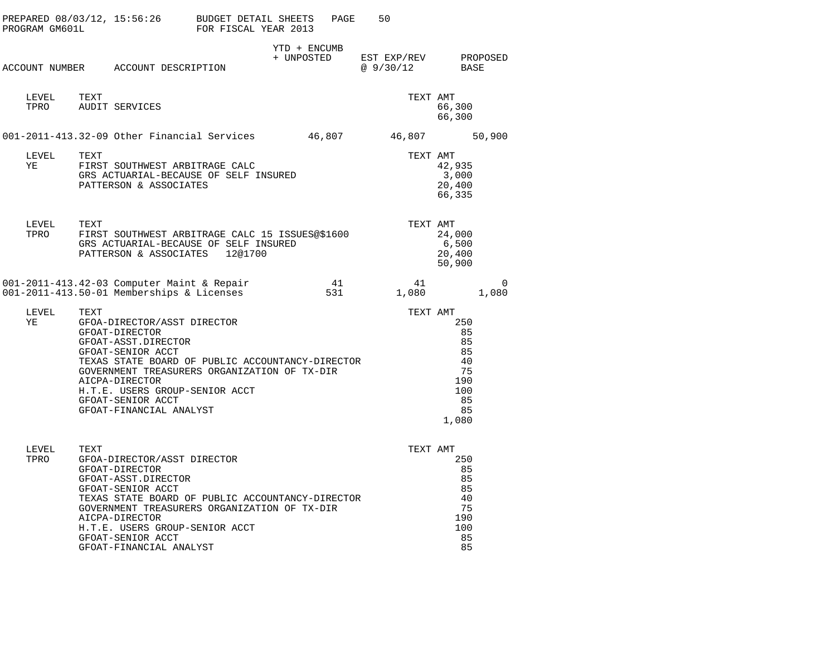| PROGRAM GM601L | PREPARED 08/03/12, 15:56:26                                                                                                                                                                                                                                                                               | BUDGET DETAIL SHEETS<br>FOR FISCAL YEAR 2013 | PAGE                       | 50                       |                                                                      |            |
|----------------|-----------------------------------------------------------------------------------------------------------------------------------------------------------------------------------------------------------------------------------------------------------------------------------------------------------|----------------------------------------------|----------------------------|--------------------------|----------------------------------------------------------------------|------------|
|                | ACCOUNT NUMBER ACCOUNT DESCRIPTION                                                                                                                                                                                                                                                                        |                                              | YTD + ENCUMB<br>+ UNPOSTED | EST EXP/REV<br>@ 9/30/12 | BASE                                                                 | PROPOSED   |
| LEVEL<br>TPRO  | TEXT<br>AUDIT SERVICES                                                                                                                                                                                                                                                                                    |                                              |                            | TEXT AMT                 | 66,300<br>66,300                                                     |            |
|                | 001-2011-413.32-09 Other Financial Services                                                                                                                                                                                                                                                               |                                              | 46,807                     | 46,807                   |                                                                      | 50,900     |
| LEVEL<br>ΥE    | TEXT<br>FIRST SOUTHWEST ARBITRAGE CALC<br>GRS ACTUARIAL-BECAUSE OF SELF INSURED<br>PATTERSON & ASSOCIATES                                                                                                                                                                                                 |                                              |                            | TEXT AMT                 | 42,935<br>3,000<br>20,400<br>66,335                                  |            |
| LEVEL<br>TPRO  | TEXT<br>FIRST SOUTHWEST ARBITRAGE CALC 15 ISSUES@\$1600<br>GRS ACTUARIAL-BECAUSE OF SELF INSURED<br>PATTERSON & ASSOCIATES                                                                                                                                                                                | 12@1700                                      |                            | TEXT AMT                 | 24,000<br>6,500<br>20,400<br>50,900                                  |            |
|                | 001-2011-413.42-03 Computer Maint & Repair<br>001-2011-413.50-01 Memberships & Licenses                                                                                                                                                                                                                   |                                              | 41<br>531                  | 41<br>1,080              |                                                                      | 0<br>1,080 |
| LEVEL<br>ΥE    | TEXT<br>GFOA-DIRECTOR/ASST DIRECTOR<br>GFOAT-DIRECTOR<br>GFOAT-ASST.DIRECTOR<br>GFOAT-SENIOR ACCT<br>TEXAS STATE BOARD OF PUBLIC ACCOUNTANCY-DIRECTOR<br>GOVERNMENT TREASURERS ORGANIZATION OF TX-DIR<br>AICPA-DIRECTOR<br>H.T.E. USERS GROUP-SENIOR ACCT<br>GFOAT-SENIOR ACCT<br>GFOAT-FINANCIAL ANALYST |                                              |                            | TEXT AMT                 | 250<br>85<br>85<br>85<br>40<br>75<br>190<br>100<br>85<br>85<br>1,080 |            |
| LEVEL<br>TPRO  | TEXT<br>GFOA-DIRECTOR/ASST DIRECTOR<br>GFOAT-DIRECTOR<br>GFOAT-ASST.DIRECTOR<br>GFOAT-SENIOR ACCT<br>TEXAS STATE BOARD OF PUBLIC ACCOUNTANCY-DIRECTOR<br>GOVERNMENT TREASURERS ORGANIZATION OF TX-DIR<br>AICPA-DIRECTOR<br>H.T.E. USERS GROUP-SENIOR ACCT                                                 |                                              |                            | TEXT AMT                 | 250<br>85<br>85<br>85<br>40<br>75<br>190<br>100                      |            |

| H.T.E. USERS GROUP-SENIOR ACCT |  |
|--------------------------------|--|
| GFOAT-SENIOR ACCT              |  |
| GFOAT-FINANCIAL ANALYST        |  |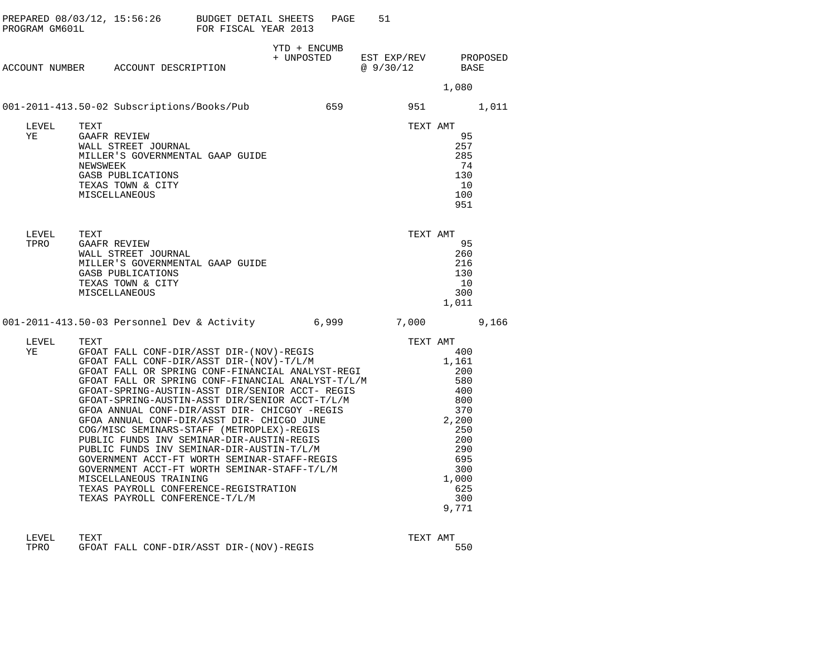| PREPARED 08/03/12, 15:56:26 BUDGET DETAIL SHEETS<br>PROGRAM GM601L FOR FISCAL YEAR 2013 |                                                                                                                                                                                                                                                                                                                                                                                                                                                                                                                                                                        |              | PAGE | 51                                           |                                                                                                                      |  |
|-----------------------------------------------------------------------------------------|------------------------------------------------------------------------------------------------------------------------------------------------------------------------------------------------------------------------------------------------------------------------------------------------------------------------------------------------------------------------------------------------------------------------------------------------------------------------------------------------------------------------------------------------------------------------|--------------|------|----------------------------------------------|----------------------------------------------------------------------------------------------------------------------|--|
| ACCOUNT NUMBER ACCOUNT DESCRIPTION                                                      |                                                                                                                                                                                                                                                                                                                                                                                                                                                                                                                                                                        | YTD + ENCUMB |      | + UNPOSTED EST EXP/REV PROPOSED<br>@ 9/30/12 | BASE                                                                                                                 |  |
|                                                                                         |                                                                                                                                                                                                                                                                                                                                                                                                                                                                                                                                                                        |              |      |                                              | 1,080                                                                                                                |  |
| 001-2011-413.50-02 Subscriptions/Books/Pub 659 951 1,011                                |                                                                                                                                                                                                                                                                                                                                                                                                                                                                                                                                                                        |              |      |                                              |                                                                                                                      |  |
| LEVEL<br>YE                                                                             | GAAFR REVIEW<br>WALL STREET JOURNAL<br>MILLER'S GOVERNMENTAL GAAP GUIDE<br>NEWSWEEK<br>GASB PUBLICATIONS<br>TEXAS TOWN & CITY<br>MISCELLANEOUS                                                                                                                                                                                                                                                                                                                                                                                                                         |              |      | TEXT AMT                                     | 95<br>257<br>285<br>74<br>130<br>10<br>100<br>951                                                                    |  |
| LEVEL TEXT<br>TPRO GAAFF                                                                | TEXT<br>GAAFR REVIEW<br>WALL STREET JOURNAL<br>MILLER'S GOVERNMENTAL GAAP GUIDE<br>GASB PUBLICATIONS<br>TEXAS TOWN & CITY<br>MISCELLANEOUS                                                                                                                                                                                                                                                                                                                                                                                                                             |              |      | TEXT AMT                                     | 95<br>260<br>216<br>130<br>10<br>300<br>1,011                                                                        |  |
| 001-2011-413.50-03 Personnel Dev & Activity 6,999 7,000 9,166                           |                                                                                                                                                                                                                                                                                                                                                                                                                                                                                                                                                                        |              |      |                                              |                                                                                                                      |  |
| LEVEL<br>ΥE                                                                             | TEXT GFOAT FALL CONF-DIR/ASST DIR-(NOV)-REGIS<br>GFOAT FALL CONF-DIR/ASST DIR-(NOV)-T/L/M<br>GFOAT FALL OR SPRING CONF-FINANCIAL ANALYST-REGI<br>GFOAT FALL OR SPRING CONF-FINANCIAL ANALYST-REGI<br>GFOAT FALL OR SPRING CONF-FINANCIAL A<br>GFOA ANNUAL CONF-DIR/ASST DIR- CHICGO JONE<br>COG/MISC SEMINARS-STAFF (METROPLEX)-REGIS<br>PUBLIC FUNDS INV SEMINAR-DIR-AUSTIN-REGIS<br>PUBLIC FUNDS INV SEMINAR-DIR-AUSTIN-T/L/M<br>GOVERNMENT ACCT-FT WORTH SEMINAR-STAFF-REGIS<br>GOVERNME<br>TEXAS PAYROLL CONFERENCE-REGISTRATION<br>TEXAS PAYROLL CONFERENCE-T/L/M |              |      | TEXT AMT                                     | 400<br>1,161<br>200<br>400<br>800<br>370<br>2,200<br>250<br>200<br>290<br>695<br>300<br>1,000<br>625<br>300<br>9,771 |  |

| LEVEL | TEXT |                                          | AMT<br>TEXT |
|-------|------|------------------------------------------|-------------|
| TPRO  |      | GFOAT FALL CONF-DIR/ASST DIR-(NOV)-REGIS | 550         |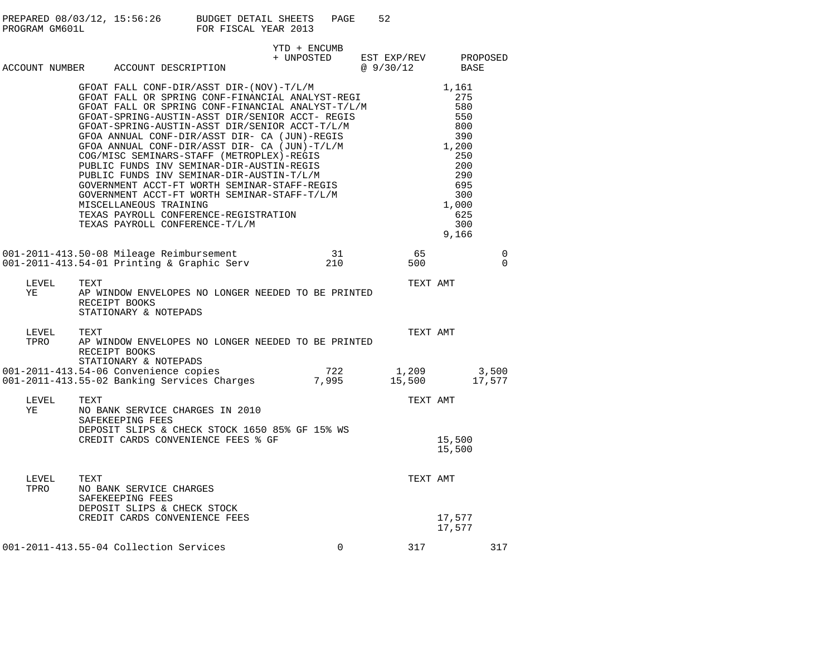| PREPARED 08/03/12, 15:56:26 | BUDGET DETAIL SHEETS | PAGE | -52 |
|-----------------------------|----------------------|------|-----|
| PROGRAM GM601L              | FOR FISCAL YEAR 2013 |      |     |
|                             |                      |      |     |

|                                |      | ACCOUNT NUMBER ACCOUNT DESCRIPTION                                                                                                                                                                                                               | YTD + ENCUMB | + UNPOSTED EST EXP/REV<br>@ 9/30/12 | PROPOSED<br>BASE                                                |
|--------------------------------|------|--------------------------------------------------------------------------------------------------------------------------------------------------------------------------------------------------------------------------------------------------|--------------|-------------------------------------|-----------------------------------------------------------------|
|                                |      | FOAT-SPRING-AULL<br>GFOAT-SPRING-AULL<br>GFOA ANNUAL CONF-DIR/ASST DIR- CA (JUN)-T/L/F<br>COG/MISC SEMINARS-STAFF (METROPLEX)-REGIS<br>PUBLIC FUNDS INV SEMINAR-DIR-AUSTIN-REGIS<br>PUBLIC FUNDS INV SEMINAR-DIR-AUSTIN-T/L/M<br>GOVERNMENT ACCT |              |                                     | 250<br>200<br>290<br>695<br>300<br>1,000<br>625<br>300<br>9,166 |
|                                |      | 001-2011-413.50-08 Mileage Reimbursement 31<br>001-2011-413.54-01 Printing & Graphic Serv 210                                                                                                                                                    |              | $-65$<br>500                        | 0<br>$\Omega$                                                   |
| LEVEL<br>YE                    | TEXT | AP WINDOW ENVELOPES NO LONGER NEEDED TO BE PRINTED<br>RECEIPT BOOKS<br>STATIONARY & NOTEPADS                                                                                                                                                     |              |                                     | TEXT AMT                                                        |
| LEVEL TEXT<br>TPRO APW<br>TPRO |      | AP WINDOW ENVELOPES NO LONGER NEEDED TO BE PRINTED<br>RECEIPT BOOKS<br>STATIONARY & NOTEPADS                                                                                                                                                     |              |                                     | TEXT AMT                                                        |
|                                |      | STATIONARY & NOTEPADS<br>1,209 1,209 1,209 1,200 1-2011-413.54-06 Convenience copies<br>17,577 15,500 17,577 15,500 17,577 15,500 17,577                                                                                                         |              |                                     |                                                                 |
| LEVEL<br>YE                    | TEXT | NO BANK SERVICE CHARGES IN 2010<br>SAFEKEEPING FEES<br>DEPOSIT SLIPS & CHECK STOCK 1650 85% GF 15% WS<br>CREDIT CARDS CONVENIENCE FEES % GF                                                                                                      |              |                                     | TEXT AMT<br>15,500<br>15,500                                    |
| LEVEL<br>TPRO                  | TEXT | NO BANK SERVICE CHARGES<br>SAFEKEEPING FEES<br>DEPOSIT SLIPS & CHECK STOCK<br>CREDIT CARDS CONVENIENCE FEES                                                                                                                                      |              |                                     | TEXT AMT<br>17,577<br>17,577                                    |
|                                |      | 001-2011-413.55-04 Collection Services                                                                                                                                                                                                           | $\Omega$     |                                     | 317<br>317                                                      |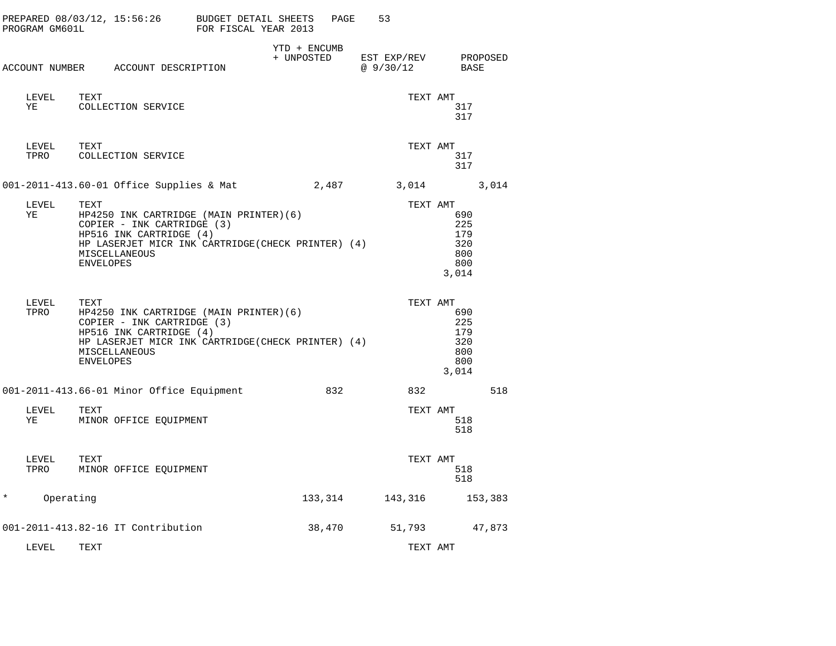| PROGRAM GM601L | PREPARED 08/03/12, 15:56:26 BUDGET DETAIL SHEETS                                                                                                                                                   | FOR FISCAL YEAR 2013 | PAGE                       | 53                               |                                                             |         |
|----------------|----------------------------------------------------------------------------------------------------------------------------------------------------------------------------------------------------|----------------------|----------------------------|----------------------------------|-------------------------------------------------------------|---------|
|                | ACCOUNT NUMBER ACCOUNT DESCRIPTION                                                                                                                                                                 |                      | YTD + ENCUMB<br>+ UNPOSTED | EST EXP/REV PROPOSED<br>@9/30/12 | BASE                                                        |         |
| LEVEL<br>ΥE    | TEXT<br>COLLECTION SERVICE                                                                                                                                                                         |                      |                            |                                  | TEXT AMT<br>317<br>317                                      |         |
| LEVEL          | TEXT<br>TPRO COLLECTION SERVICE                                                                                                                                                                    |                      |                            |                                  | TEXT AMT<br>317<br>317                                      |         |
|                | 001-2011-413.60-01 Office Supplies & Mat                                                                                                                                                           |                      | 2,487                      |                                  | 3,014 3,014                                                 |         |
| LEVEL<br>ΥE    | TEXT<br>HP4250 INK CARTRIDGE (MAIN PRINTER)(6)<br>COPIER - INK CARTRIDGE (3)<br>HP516 INK CARTRIDGE (4)<br>HP LASERJET MICR INK CARTRIDGE (CHECK PRINTER) (4)<br>MISCELLANEOUS<br><b>ENVELOPES</b> |                      |                            |                                  | TEXT AMT<br>690<br>225<br>179<br>320<br>800<br>800<br>3,014 |         |
| LEVEL<br>TPRO  | TEXT<br>HP4250 INK CARTRIDGE (MAIN PRINTER)(6)<br>COPIER - INK CARTRIDGE (3)<br>HP516 INK CARTRIDGE (4)<br>HP LASERJET MICR INK CARTRIDGE(CHECK PRINTER) (4)<br>MISCELLANEOUS<br><b>ENVELOPES</b>  |                      |                            |                                  | TEXT AMT<br>690<br>225<br>179<br>320<br>800<br>800<br>3,014 |         |
|                | 001-2011-413.66-01 Minor Office Equipment                                                                                                                                                          |                      | 832                        | 832                              |                                                             | 518     |
| LEVEL<br>ΥE    | TEXT<br>MINOR OFFICE EQUIPMENT                                                                                                                                                                     |                      |                            |                                  | TEXT AMT<br>518<br>518                                      |         |
| LEVEL<br>TPRO  | TEXT<br>MINOR OFFICE EQUIPMENT                                                                                                                                                                     |                      |                            |                                  | TEXT AMT<br>518<br>518                                      |         |
| $\star$        | Operating                                                                                                                                                                                          |                      |                            | 133, 314 143, 316                |                                                             | 153,383 |
|                | 001-2011-413.82-16 IT Contribution                                                                                                                                                                 |                      | 38,470                     | 51,793                           |                                                             | 47,873  |
| LEVEL          | TEXT                                                                                                                                                                                               |                      |                            |                                  | TEXT AMT                                                    |         |

\*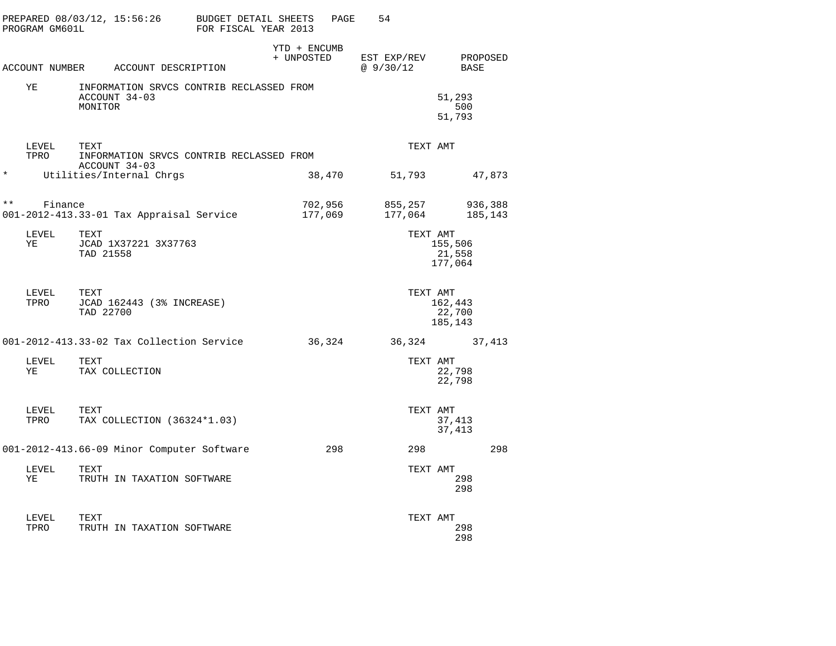|              | PROGRAM GM601L | PREPARED 08/03/12, 15:56:26                                          | BUDGET DETAIL SHEETS<br>FOR FISCAL YEAR 2013 |                            | PAGE | 54                         |                              |                    |
|--------------|----------------|----------------------------------------------------------------------|----------------------------------------------|----------------------------|------|----------------------------|------------------------------|--------------------|
|              |                | ACCOUNT NUMBER ACCOUNT DESCRIPTION                                   |                                              | YTD + ENCUMB<br>+ UNPOSTED |      | EST EXP/REV<br>@ $9/30/12$ | BASE                         | PROPOSED           |
|              | ΥE             | INFORMATION SRVCS CONTRIB RECLASSED FROM<br>ACCOUNT 34-03<br>MONITOR |                                              |                            |      |                            | 51,293<br>500<br>51,793      |                    |
|              | LEVEL<br>TPRO  | TEXT<br>INFORMATION SRVCS CONTRIB RECLASSED FROM<br>ACCOUNT 34-03    |                                              |                            |      | TEXT AMT                   |                              |                    |
| $\ast$       |                | Utilities/Internal Chrgs                                             |                                              | 38,470                     |      | 51,793                     |                              | 47,873             |
| $\star\star$ | Finance        | 001-2012-413.33-01 Tax Appraisal Service                             |                                              | 702,956<br>177,069         |      | 855,257<br>177,064         |                              | 936,388<br>185,143 |
|              | LEVEL<br>ΥE    | TEXT<br>JCAD 1X37221 3X37763<br>TAD 21558                            |                                              |                            |      | TEXT AMT                   | 155,506<br>21,558<br>177,064 |                    |
|              | LEVEL<br>TPRO  | TEXT<br>JCAD 162443 (3% INCREASE)<br>TAD 22700                       |                                              |                            |      | TEXT AMT                   | 162,443<br>22,700<br>185,143 |                    |
|              |                | 001-2012-413.33-02 Tax Collection Service                            |                                              | 36,324                     |      | 36,324 37,413              |                              |                    |
|              | LEVEL<br>ΥE    | TEXT<br>TAX COLLECTION                                               |                                              |                            |      | TEXT AMT                   | 22,798<br>22,798             |                    |
|              | LEVEL<br>TPRO  | TEXT<br>TAX COLLECTION (36324*1.03)                                  |                                              |                            |      | TEXT AMT                   | 37,413<br>37,413             |                    |
|              |                | 001-2012-413.66-09 Minor Computer Software                           |                                              |                            | 298  | 298                        |                              | 298                |
|              | LEVEL<br>YE    | TEXT<br>TRUTH IN TAXATION SOFTWARE                                   |                                              |                            |      | TEXT AMT                   | 298<br>298                   |                    |
|              | LEVEL<br>TPRO  | TEXT<br>TRUTH IN TAXATION SOFTWARE                                   |                                              |                            |      | TEXT AMT                   | 298<br>298                   |                    |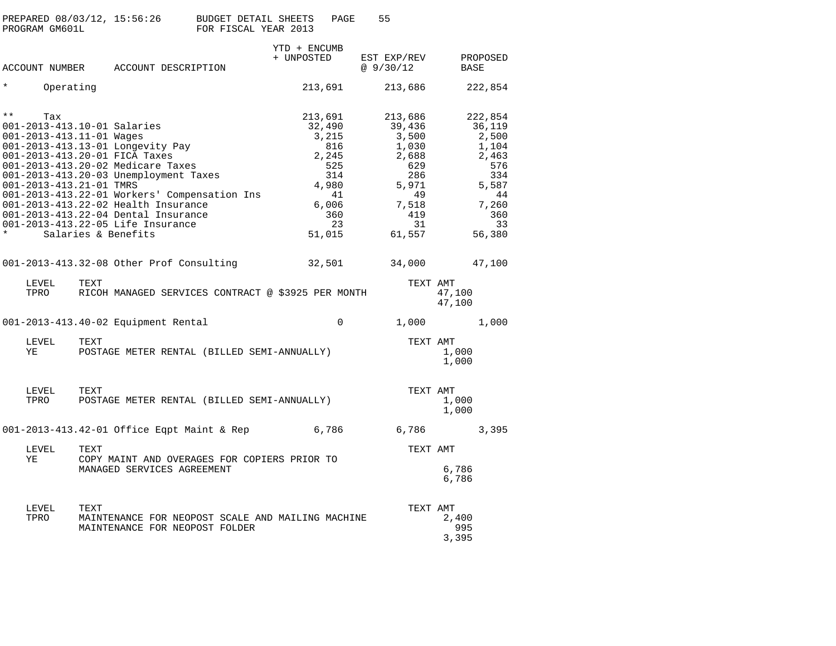| PREPARED 08/03/12, 15:56:26 | BUDGET DETAIL SHEETS | PAGE | 55 |
|-----------------------------|----------------------|------|----|
| PROGRAM GM601L              | FOR FISCAL YEAR 2013 |      |    |

|              |                         |      |                                                                                                                                                                                                         | YTD + ENCUMB<br>+ UNPOSTED | EST EXP/REV       | PROPOSED         |  |
|--------------|-------------------------|------|---------------------------------------------------------------------------------------------------------------------------------------------------------------------------------------------------------|----------------------------|-------------------|------------------|--|
|              |                         |      | ACCOUNT NUMBER ACCOUNT DESCRIPTION                                                                                                                                                                      |                            | @9/30/12          | BASE             |  |
| $\star$      | Operating               |      |                                                                                                                                                                                                         | 213,691                    | 213,686           | 222,854          |  |
| $\star\star$ | Tax                     |      |                                                                                                                                                                                                         | 213,691                    | 213,686           | 222,854          |  |
|              |                         |      | 001-2013-413.10-01 Salaries                                                                                                                                                                             | 32,490                     | 39,436            | 36,119           |  |
|              |                         |      | 001-2013-413.11-01 Wages<br>001-2013-413.11-01 Wages<br>001-2013-413.13-01 Longevity Pay<br>001-2013-413.20-01 FICA Taxes<br>001-2013-413.20-02 Medicare Taxes<br>001-2013-413.20-03 Unemployment Taxes | 3,215                      | 3,500             | 2,500            |  |
|              |                         |      |                                                                                                                                                                                                         | 816                        | 1,030             | 1,104            |  |
|              |                         |      |                                                                                                                                                                                                         |                            | 2,688             | 2,463            |  |
|              |                         |      |                                                                                                                                                                                                         | 2, 245<br>525<br>314       | 629<br>286        | 576              |  |
|              | 001-2013-413.21-01 TMRS |      |                                                                                                                                                                                                         |                            |                   | 334              |  |
|              |                         |      | 001-2013-413.22-01 Workers' Compensation Ins                                                                                                                                                            | 41                         | 4,980 5,971<br>49 | 5,587<br>44      |  |
|              |                         |      | 001-2013-413.22-02 Health Insurance                                                                                                                                                                     |                            |                   | 7,260            |  |
|              |                         |      | 001-2013-413.22-04 Dental Insurance                                                                                                                                                                     | 6,006<br>360               | 7,518<br>419      | 360              |  |
|              |                         |      | 001-2013-413.22-05 Life Insurance                                                                                                                                                                       | 23                         | 31                | 33               |  |
| $\star$      |                         |      | Salaries & Benefits                                                                                                                                                                                     | 51,015                     | 61,557            | 56,380           |  |
|              |                         |      | 001-2013-413.32-08 Other Prof Consulting                                                                                                                                                                | 32,501                     |                   | 34,000 47,100    |  |
|              |                         |      |                                                                                                                                                                                                         |                            |                   |                  |  |
|              | LEVEL                   | TEXT | TPRO RICOH MANAGED SERVICES CONTRACT @ \$3925 PER MONTH                                                                                                                                                 |                            | TEXT AMT          | 47,100<br>47,100 |  |
|              |                         |      | 001-2013-413.40-02 Equipment Rental                                                                                                                                                                     | $\mathbf 0$                |                   | 1,000 1,000      |  |
|              | LEVEL<br>YE             | TEXT | POSTAGE METER RENTAL (BILLED SEMI-ANNUALLY)                                                                                                                                                             |                            | TEXT AMT          | 1,000<br>1,000   |  |
|              | LEVEL                   | TEXT | TPRO POSTAGE METER RENTAL (BILLED SEMI-ANNUALLY)                                                                                                                                                        |                            | TEXT AMT          | 1,000<br>1,000   |  |
|              |                         |      | 001-2013-413.42-01 Office Eqpt Maint & Rep 6,786                                                                                                                                                        |                            |                   | 6,786 3,395      |  |
|              |                         |      |                                                                                                                                                                                                         |                            |                   |                  |  |
|              | LEVEL<br>YE             | TEXT | COPY MAINT AND OVERAGES FOR COPIERS PRIOR TO                                                                                                                                                            |                            | TEXT AMT          |                  |  |
|              |                         |      | MANAGED SERVICES AGREEMENT                                                                                                                                                                              |                            |                   | 6,786<br>6,786   |  |
|              | LEVEL                   | TEXT |                                                                                                                                                                                                         |                            | TEXT AMT          |                  |  |
|              | TPRO                    |      | MAINTENANCE FOR NEOPOST SCALE AND MAILING MACHINE                                                                                                                                                       |                            |                   | 2,400            |  |
|              |                         |      | MAINTENANCE FOR NEOPOST FOLDER                                                                                                                                                                          |                            |                   | 995<br>3,395     |  |
|              |                         |      |                                                                                                                                                                                                         |                            |                   |                  |  |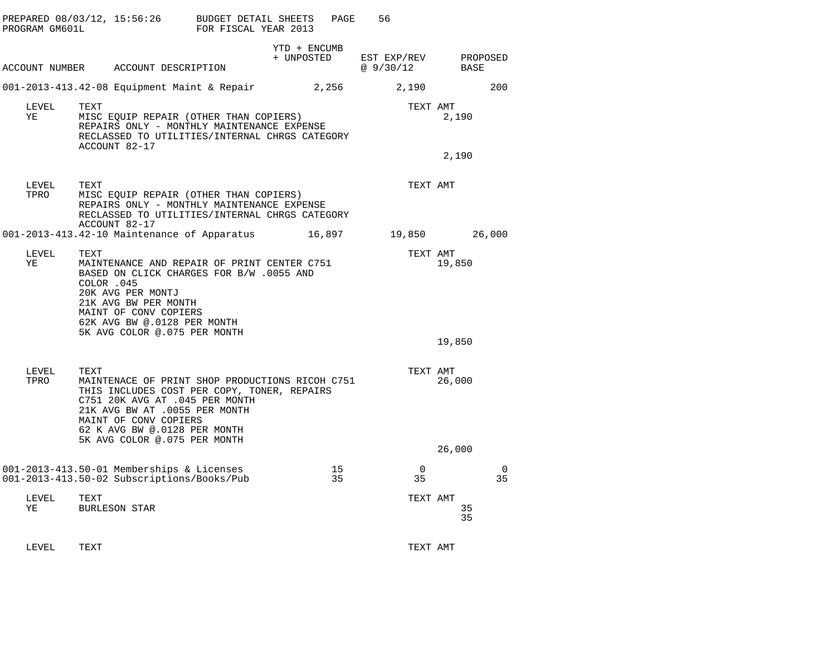| PROGRAM GM601L | PREPARED 08/03/12, 15:56:26 BUDGET DETAIL SHEETS                                                                                                                                                                                                                   | FOR FISCAL YEAR 2013 |              | PAGE<br>56                                     |                              |     |
|----------------|--------------------------------------------------------------------------------------------------------------------------------------------------------------------------------------------------------------------------------------------------------------------|----------------------|--------------|------------------------------------------------|------------------------------|-----|
|                | ACCOUNT NUMBER ACCOUNT DESCRIPTION                                                                                                                                                                                                                                 |                      | YTD + ENCUMB | + UNPOSTED EST EXP/REV PROPOSED<br>@ $9/30/12$ | BASE                         |     |
|                | 001-2013-413.42-08 Equipment Maint & Repair 2,256                                                                                                                                                                                                                  |                      |              | 2,190                                          |                              | 200 |
| LEVEL<br>ΥE    | TEXT<br>MISC EQUIP REPAIR (OTHER THAN COPIERS)<br>REPAIRS ONLY - MONTHLY MAINTENANCE EXPENSE<br>RECLASSED TO UTILITIES/INTERNAL CHRGS CATEGORY<br>ACCOUNT 82-17                                                                                                    |                      |              |                                                | TEXT AMT<br>2,190<br>2,190   |     |
| LEVEL<br>TPRO  | TEXT<br>MISC EQUIP REPAIR (OTHER THAN COPIERS)<br>REPAIRS ONLY - MONTHLY MAINTENANCE EXPENSE<br>RECLASSED TO UTILITIES/INTERNAL CHRGS CATEGORY<br>ACCOUNT 82-17                                                                                                    |                      |              |                                                | TEXT AMT                     |     |
|                | 001-2013-413.42-10 Maintenance of Apparatus 16,897 19,850 26,000                                                                                                                                                                                                   |                      |              |                                                |                              |     |
| LEVEL<br>ΥE    | TEXT<br>MAINTENANCE AND REPAIR OF PRINT CENTER C751<br>BASED ON CLICK CHARGES FOR B/W .0055 AND<br>COLOR .045<br>20K AVG PER MONTJ<br>21K AVG BW PER MONTH<br>MAINT OF CONV COPIERS<br>62K AVG BW @.0128 PER MONTH<br>5K AVG COLOR @.075 PER MONTH                 |                      |              |                                                | TEXT AMT<br>19,850<br>19,850 |     |
| LEVEL<br>TPRO  | TEXT<br>MAINTENACE OF PRINT SHOP PRODUCTIONS RICOH C751<br>THIS INCLUDES COST PER COPY, TONER, REPAIRS<br>C751 20K AVG AT .045 PER MONTH<br>21K AVG BW AT .0055 PER MONTH<br>MAINT OF CONV COPIERS<br>62 K AVG BW @.0128 PER MONTH<br>5K AVG COLOR @.075 PER MONTH |                      |              |                                                | TEXT AMT<br>26,000<br>26,000 |     |
|                | 001-2013-413.50-01 Memberships & Licenses                                                                                                                                                                                                                          |                      | 15           | $\overline{0}$                                 |                              | - 0 |
|                | 001-2013-413.50-02 Subscriptions/Books/Pub                                                                                                                                                                                                                         |                      |              | 35<br>35                                       |                              | 35  |
| LEVEL<br>YE    | TEXT<br>BURLESON STAR                                                                                                                                                                                                                                              |                      |              |                                                | TEXT AMT<br>35<br>35         |     |
| LEVEL          | TEXT                                                                                                                                                                                                                                                               |                      |              |                                                | TEXT AMT                     |     |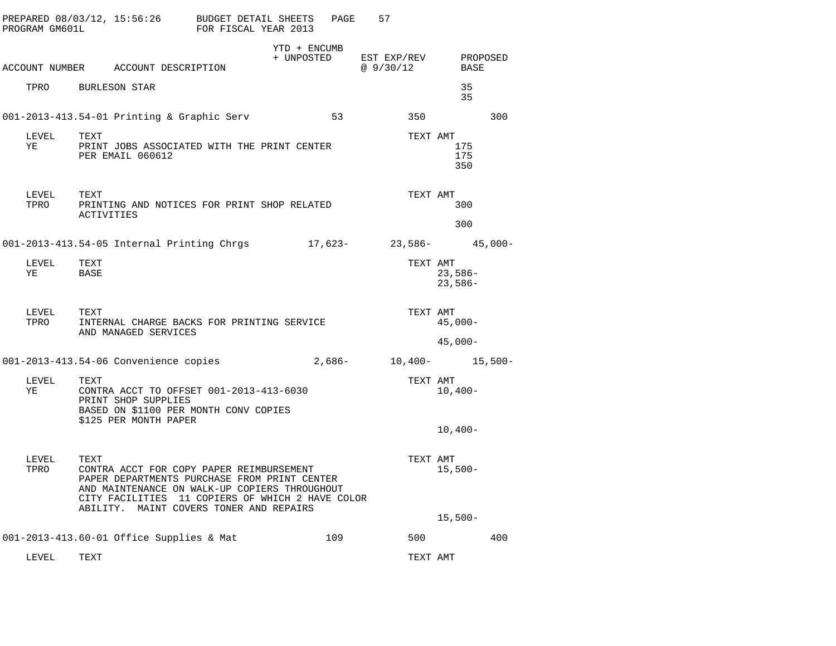| PROGRAM GM601L     |                              | PREPARED 08/03/12, 15:56:26 BUDGET DETAIL SHEETS<br>FOR FISCAL YEAR 2013                                                                                                                                                        |              | PAGE     | 57                                                                 |                                    |     |
|--------------------|------------------------------|---------------------------------------------------------------------------------------------------------------------------------------------------------------------------------------------------------------------------------|--------------|----------|--------------------------------------------------------------------|------------------------------------|-----|
|                    |                              | ACCOUNT NUMBER ACCOUNT DESCRIPTION                                                                                                                                                                                              | YTD + ENCUMB |          | + UNPOSTED EST EXP/REV PROPOSED<br>@9/30/12                        | BASE                               |     |
|                    | TPRO BURLESON STAR           |                                                                                                                                                                                                                                 |              |          |                                                                    | 35<br>35                           |     |
|                    |                              | 001-2013-413.54-01 Printing & Graphic Serv                                                                                                                                                                                      |              | 53       | 350                                                                |                                    | 300 |
| LEVEL TEXT<br>YE   | PER EMAIL 060612             | PRINT JOBS ASSOCIATED WITH THE PRINT CENTER                                                                                                                                                                                     |              |          |                                                                    | TEXT AMT<br>175<br>175<br>350      |     |
| LEVEL TEXT<br>TPRO | ACTIVITIES                   | PRINTING AND NOTICES FOR PRINT SHOP RELATED                                                                                                                                                                                     |              |          |                                                                    | TEXT AMT<br>300                    |     |
|                    |                              |                                                                                                                                                                                                                                 |              |          |                                                                    | 300                                |     |
|                    |                              |                                                                                                                                                                                                                                 |              |          | 001-2013-413.54-05 Internal Printing Chrgs $17,623-23,586-45,000-$ |                                    |     |
| LEVEL<br>ΥE        | TEXT<br>BASE                 |                                                                                                                                                                                                                                 |              |          |                                                                    | TEXT AMT<br>$23,586-$<br>$23,586-$ |     |
| LEVEL<br>TPRO      | TEXT<br>AND MANAGED SERVICES | INTERNAL CHARGE BACKS FOR PRINTING SERVICE                                                                                                                                                                                      |              |          |                                                                    | TEXT AMT<br>$45,000-$<br>$45,000-$ |     |
|                    |                              | 001-2013-413.54-06 Convenience copies                                                                                                                                                                                           |              | $2,686-$ |                                                                    | $10,400-15,500-$                   |     |
| LEVEL<br>ΥE        | TEXT<br>PRINT SHOP SUPPLIES  | CONTRA ACCT TO OFFSET 001-2013-413-6030<br>BASED ON \$1100 PER MONTH CONV COPIES<br>\$125 PER MONTH PAPER                                                                                                                       |              |          |                                                                    | TEXT AMT<br>$10,400-$              |     |
|                    |                              |                                                                                                                                                                                                                                 |              |          |                                                                    | $10,400-$                          |     |
| LEVEL<br>TPRO      | TEXT<br>ABILITY.             | CONTRA ACCT FOR COPY PAPER REIMBURSEMENT<br>PAPER DEPARTMENTS PURCHASE FROM PRINT CENTER<br>AND MAINTENANCE ON WALK-UP COPIERS THROUGHOUT<br>CITY FACILITIES 11 COPIERS OF WHICH 2 HAVE COLOR<br>MAINT COVERS TONER AND REPAIRS |              |          |                                                                    | TEXT AMT<br>$15,500-$              |     |
|                    |                              |                                                                                                                                                                                                                                 |              |          |                                                                    | $15,500-$                          |     |
|                    |                              | 001-2013-413.60-01 Office Supplies & Mat                                                                                                                                                                                        |              | 109      | 500                                                                |                                    | 400 |
| LEVEL              | TEXT                         |                                                                                                                                                                                                                                 |              |          |                                                                    | TEXT AMT                           |     |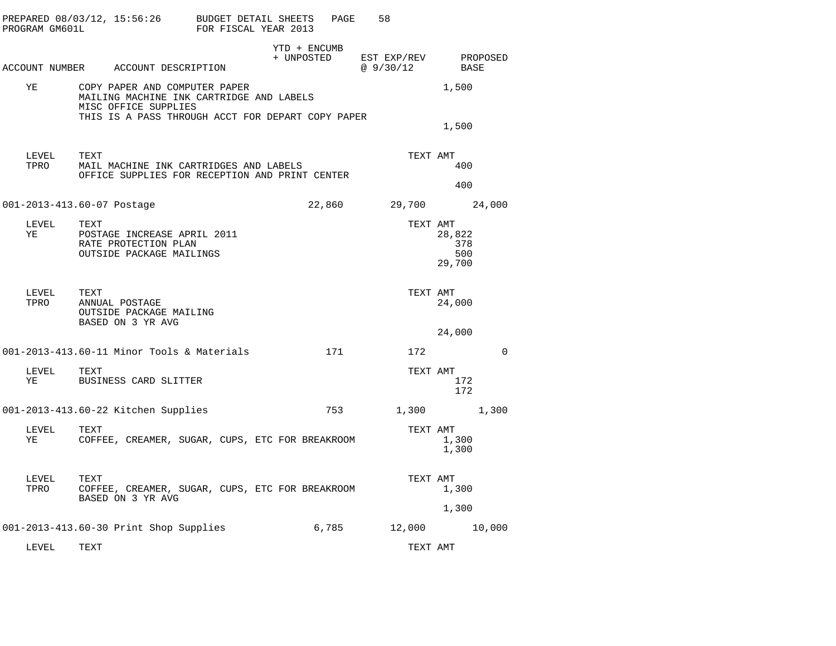| PROGRAM GM601L   | PREPARED $08/03/12$ , $15:56:26$ BUDGET DETAIL SHEETS                                                                                                  | FOR FISCAL YEAR 2013 |                            | PAGE   | 58                      |                                |          |
|------------------|--------------------------------------------------------------------------------------------------------------------------------------------------------|----------------------|----------------------------|--------|-------------------------|--------------------------------|----------|
|                  | ACCOUNT NUMBER ACCOUNT DESCRIPTION                                                                                                                     |                      | YTD + ENCUMB<br>+ UNPOSTED |        | EST EXP/REV<br>@9/30/12 | BASE                           | PROPOSED |
| ΥE               | COPY PAPER AND COMPUTER PAPER<br>MAILING MACHINE INK CARTRIDGE AND LABELS<br>MISC OFFICE SUPPLIES<br>THIS IS A PASS THROUGH ACCT FOR DEPART COPY PAPER |                      |                            |        |                         | 1,500                          |          |
|                  |                                                                                                                                                        |                      |                            |        |                         | 1,500                          |          |
| LEVEL<br>TPRO    | TEXT<br>MAIL MACHINE INK CARTRIDGES AND LABELS<br>OFFICE SUPPLIES FOR RECEPTION AND PRINT CENTER                                                       |                      |                            |        | TEXT AMT                | 400                            |          |
|                  |                                                                                                                                                        |                      |                            |        |                         | 400                            |          |
|                  | 001-2013-413.60-07 Postage                                                                                                                             |                      |                            | 22,860 | 29,700                  |                                | 24,000   |
| LEVEL<br>YE      | TEXT<br>POSTAGE INCREASE APRIL 2011<br>RATE PROTECTION PLAN<br>OUTSIDE PACKAGE MAILINGS                                                                |                      |                            |        | TEXT AMT                | 28,822<br>378<br>500<br>29,700 |          |
| LEVEL<br>TPRO    | TEXT<br>ANNUAL POSTAGE<br>OUTSIDE PACKAGE MAILING<br>BASED ON 3 YR AVG                                                                                 |                      |                            |        | TEXT AMT                | 24,000<br>24,000               |          |
|                  | 001-2013-413.60-11 Minor Tools & Materials                                                                                                             |                      |                            | 171    | 172                     |                                | $\Omega$ |
| LEVEL TEXT<br>YE | BUSINESS CARD SLITTER                                                                                                                                  |                      |                            |        | TEXT AMT                | 172<br>172                     |          |
|                  | 001-2013-413.60-22 Kitchen Supplies                                                                                                                    |                      |                            | 753    | 1,300                   |                                | 1,300    |
| LEVEL<br>YE      | TEXT<br>COFFEE, CREAMER, SUGAR, CUPS, ETC FOR BREAKROOM                                                                                                |                      |                            |        | TEXT AMT                | 1,300<br>1,300                 |          |
| LEVEL<br>TPRO    | TEXT<br>COFFEE, CREAMER, SUGAR, CUPS, ETC FOR BREAKROOM<br>BASED ON 3 YR AVG                                                                           |                      |                            |        | TEXT AMT                | 1,300<br>1,300                 |          |
|                  | 001-2013-413.60-30 Print Shop Supplies                                                                                                                 |                      |                            | 6,785  | 12,000                  |                                | 10,000   |
|                  |                                                                                                                                                        |                      |                            |        |                         |                                |          |

LEVEL TEXT TEXT AMT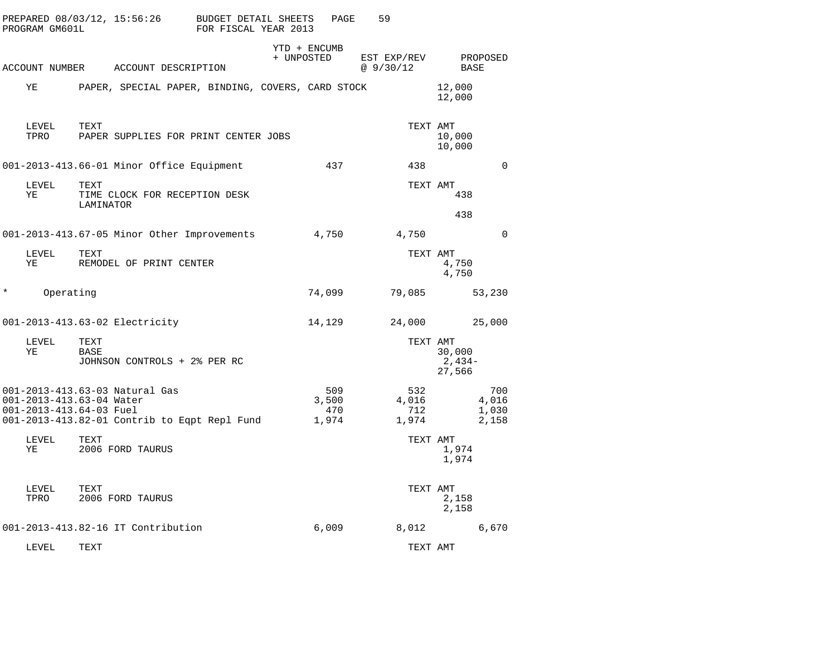|        | PROGRAM GM601L | PREPARED 08/03/12, 15:56:26                                                                                                           | BUDGET DETAIL SHEETS<br>FOR FISCAL YEAR 2013 |            | PAGE                         | 59                           |                                |
|--------|----------------|---------------------------------------------------------------------------------------------------------------------------------------|----------------------------------------------|------------|------------------------------|------------------------------|--------------------------------|
|        |                | ACCOUNT NUMBER ACCOUNT DESCRIPTION                                                                                                    |                                              | + UNPOSTED | YTD + ENCUMB                 | EST EXP/REV<br>@ 9/30/12     | PROPOSED<br>BASE               |
|        | ΥE             | PAPER, SPECIAL PAPER, BINDING, COVERS, CARD STOCK                                                                                     |                                              |            |                              |                              | 12,000<br>12,000               |
|        | LEVEL<br>TPRO  | TEXT<br>PAPER SUPPLIES FOR PRINT CENTER JOBS                                                                                          |                                              |            |                              | TEXT AMT                     | 10,000<br>10,000               |
|        |                | 001-2013-413.66-01 Minor Office Equipment                                                                                             |                                              |            | 437                          | 438                          | $\Omega$                       |
|        | LEVEL<br>ΥE    | TEXT<br>TIME CLOCK FOR RECEPTION DESK<br>LAMINATOR                                                                                    |                                              |            |                              | TEXT AMT                     | 438                            |
|        |                |                                                                                                                                       |                                              |            |                              |                              | 438                            |
|        |                | 001-2013-413.67-05 Minor Other Improvements                                                                                           |                                              |            | 4,750                        | 4,750                        | $\Omega$                       |
|        | LEVEL<br>ΥE    | TEXT<br>REMODEL OF PRINT CENTER                                                                                                       |                                              |            |                              | TEXT AMT                     | 4,750<br>4,750                 |
| $\ast$ | Operating      |                                                                                                                                       |                                              |            | 74,099                       | 79,085                       | 53,230                         |
|        |                | 001-2013-413.63-02 Electricity                                                                                                        |                                              |            | 14,129                       | 24,000                       | 25,000                         |
|        | LEVEL<br>ΥE    | TEXT<br>BASE<br>JOHNSON CONTROLS + 2% PER RC                                                                                          |                                              |            |                              | TEXT AMT                     | 30,000<br>2,434-<br>27,566     |
|        |                | 001-2013-413.63-03 Natural Gas<br>001-2013-413.63-04 Water<br>001-2013-413.64-03 Fuel<br>001-2013-413.82-01 Contrib to Eqpt Repl Fund |                                              |            | 509<br>3,500<br>470<br>1,974 | 532<br>4,016<br>712<br>1,974 | 700<br>4,016<br>1,030<br>2,158 |
|        | LEVEL<br>ΥE    | TEXT<br>2006 FORD TAURUS                                                                                                              |                                              |            |                              | TEXT AMT                     | 1,974<br>1,974                 |
|        | LEVEL<br>TPRO  | TEXT<br>2006 FORD TAURUS                                                                                                              |                                              |            |                              | TEXT AMT                     | 2,158<br>2,158                 |
|        |                | 001-2013-413.82-16 IT Contribution                                                                                                    |                                              |            | 6,009                        | 8,012                        | 6,670                          |
|        | LEVEL          | TEXT                                                                                                                                  |                                              |            |                              | TEXT AMT                     |                                |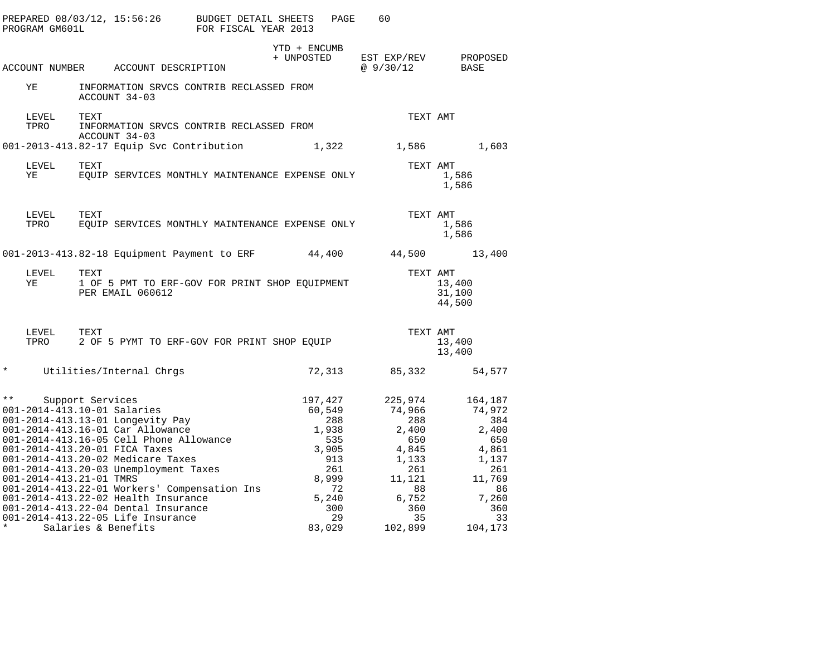| PROGRAM GM601L          | PREPARED 08/03/12, 15:56:26                                                                                                                                                                                                                 | BUDGET DETAIL SHEETS<br>FOR FISCAL YEAR 2013 |                                            | PAGE<br>60                                                        |                                                                     |  |
|-------------------------|---------------------------------------------------------------------------------------------------------------------------------------------------------------------------------------------------------------------------------------------|----------------------------------------------|--------------------------------------------|-------------------------------------------------------------------|---------------------------------------------------------------------|--|
|                         | ACCOUNT NUMBER ACCOUNT DESCRIPTION                                                                                                                                                                                                          |                                              | YTD + ENCUMB<br>+ UNPOSTED                 | @ $9/30/12$                                                       | EST EXP/REV PROPOSED<br>BASE                                        |  |
| ΥE                      | INFORMATION SRVCS CONTRIB RECLASSED FROM<br>ACCOUNT 34-03                                                                                                                                                                                   |                                              |                                            |                                                                   |                                                                     |  |
| LEVEL<br>TPRO           | TEXT<br>INFORMATION SRVCS CONTRIB RECLASSED FROM<br>ACCOUNT 34-03                                                                                                                                                                           |                                              |                                            |                                                                   | TEXT AMT                                                            |  |
|                         | 001-2013-413.82-17 Equip Svc Contribution 1,322 1,586                                                                                                                                                                                       |                                              |                                            |                                                                   | 1,603                                                               |  |
| LEVEL<br>ΥE             | TEXT<br>EQUIP SERVICES MONTHLY MAINTENANCE EXPENSE ONLY                                                                                                                                                                                     |                                              |                                            |                                                                   | TEXT AMT<br>1,586<br>1,586                                          |  |
| LEVEL<br>TPRO           | TEXT<br>EQUIP SERVICES MONTHLY MAINTENANCE EXPENSE ONLY                                                                                                                                                                                     |                                              |                                            |                                                                   | TEXT AMT<br>1,586<br>1,586                                          |  |
|                         | 001-2013-413.82-18 Equipment Payment to ERF 44,400 44,500                                                                                                                                                                                   |                                              |                                            |                                                                   | 13,400                                                              |  |
| LEVEL<br>ΥE             | TEXT<br>1 OF 5 PMT TO ERF-GOV FOR PRINT SHOP EQUIPMENT<br>PER EMAIL 060612                                                                                                                                                                  |                                              |                                            |                                                                   | TEXT AMT<br>13,400<br>31,100<br>44,500                              |  |
| LEVEL<br>TPRO           | TEXT<br>2 OF 5 PYMT TO ERF-GOV FOR PRINT SHOP EQUIP                                                                                                                                                                                         |                                              |                                            |                                                                   | TEXT AMT<br>13,400<br>13,400                                        |  |
| $\star$                 | Utilities/Internal Chrgs                                                                                                                                                                                                                    |                                              |                                            | 72,313 85,332                                                     | 54,577                                                              |  |
|                         | ** Support Services<br>001-2014-413.10-01 Salaries<br>001-2014-413.13-01 Longevity Pay<br>001-2014-413.16-01 Car Allowance<br>001-2014-413.16-05 Cell Phone Allowance<br>001-2014-413.20-01 FICA Taxes<br>001-2014-413.20-02 Medicare Taxes |                                              | 197,427<br>60,549<br>1,938<br>535<br>3,905 | 225,974<br>74,966<br>288<br>2,400<br>650<br>4,845<br>913<br>1,133 | 164,187<br>74,972<br>288<br>- 384<br>2,400<br>650<br>4,861<br>1,137 |  |
| 001-2014-413.21-01 TMRS | 001-2014-413.20-03 Unemployment Taxes<br>001-2014-413.22-01 Workers' Compensation Ins<br>001-2014-413.22-02 Health Insurance<br>001-2014-413.22-04 Dental Insurance                                                                         |                                              | 261<br>8,999<br>5,240                      | 261<br>11,121<br>72<br>88<br>6,752<br>300<br>360                  | 261<br>11,769<br>86<br>7,260<br>360                                 |  |
|                         | 001-2014-413.22-05 Life Insurance<br>Salaries & Benefits                                                                                                                                                                                    |                                              | 83,029                                     | 29<br>35<br>102,899                                               | 33<br>104,173                                                       |  |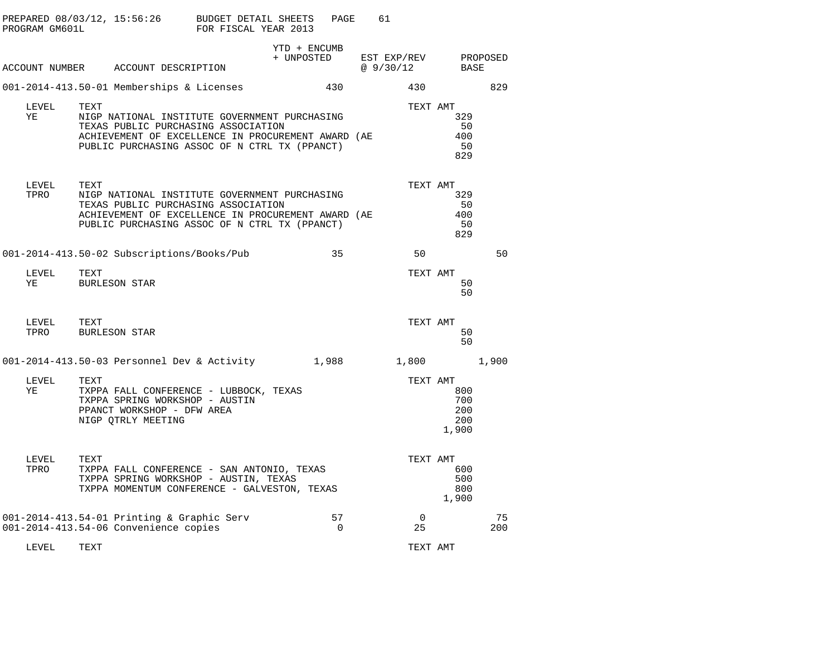| PROGRAM GM601L | PREPARED $08/03/12$ , $15:56:26$ BUDGET DETAIL SHEETS                                                                                                                                               | FOR FISCAL YEAR 2013 | PAGE                       | 61                      |                                               |           |
|----------------|-----------------------------------------------------------------------------------------------------------------------------------------------------------------------------------------------------|----------------------|----------------------------|-------------------------|-----------------------------------------------|-----------|
|                | ACCOUNT NUMBER ACCOUNT DESCRIPTION                                                                                                                                                                  |                      | YTD + ENCUMB<br>+ UNPOSTED | EST EXP/REV<br>@9/30/12 | BASE                                          | PROPOSED  |
|                | 001-2014-413.50-01 Memberships & Licenses                                                                                                                                                           |                      | 430                        | 430                     |                                               | 829       |
| LEVEL<br>ΥE    | TEXT<br>NIGP NATIONAL INSTITUTE GOVERNMENT PURCHASING<br>TEXAS PUBLIC PURCHASING ASSOCIATION<br>ACHIEVEMENT OF EXCELLENCE IN PROCUREMENT AWARD (AE<br>PUBLIC PURCHASING ASSOC OF N CTRL TX (PPANCT) |                      |                            | TEXT AMT                | 329<br>50<br>400<br>50<br>829                 |           |
| LEVEL<br>TPRO  | TEXT<br>NIGP NATIONAL INSTITUTE GOVERNMENT PURCHASING<br>TEXAS PUBLIC PURCHASING ASSOCIATION<br>ACHIEVEMENT OF EXCELLENCE IN PROCUREMENT AWARD (AE<br>PUBLIC PURCHASING ASSOC OF N CTRL TX (PPANCT) |                      |                            |                         | TEXT AMT<br>329<br>50<br>400<br>50<br>829     |           |
|                | 001-2014-413.50-02 Subscriptions/Books/Pub                                                                                                                                                          |                      | 35                         | 50                      |                                               | 50        |
| LEVEL<br>YE    | TEXT<br><b>BURLESON STAR</b>                                                                                                                                                                        |                      |                            |                         | TEXT AMT<br>50<br>50                          |           |
| LEVEL<br>TPRO  | TEXT<br><b>BURLESON STAR</b>                                                                                                                                                                        |                      |                            |                         | TEXT AMT<br>50<br>50                          |           |
|                | 001-2014-413.50-03 Personnel Dev & Activity                                                                                                                                                         |                      | 1,988                      | 1,800                   |                                               | 1,900     |
| LEVEL<br>ΥE    | TEXT<br>TXPPA FALL CONFERENCE - LUBBOCK, TEXAS<br>TXPPA SPRING WORKSHOP - AUSTIN<br>PPANCT WORKSHOP - DFW AREA<br>NIGP QTRLY MEETING                                                                |                      |                            |                         | TEXT AMT<br>800<br>700<br>200<br>200<br>1,900 |           |
| LEVEL<br>TPRO  | TEXT<br>TXPPA FALL CONFERENCE - SAN ANTONIO, TEXAS<br>TXPPA SPRING WORKSHOP - AUSTIN, TEXAS<br>TXPPA MOMENTUM CONFERENCE - GALVESTON, TEXAS                                                         |                      |                            |                         | TEXT AMT<br>600<br>500<br>800<br>1,900        |           |
|                | 001-2014-413.54-01 Printing & Graphic Serv<br>001-2014-413.54-06 Convenience copies                                                                                                                 |                      | 57<br>$\mathbf 0$          | $\overline{0}$<br>25    |                                               | 75<br>200 |
| LEVEL          | TEXT                                                                                                                                                                                                |                      |                            | TEXT AMT                |                                               |           |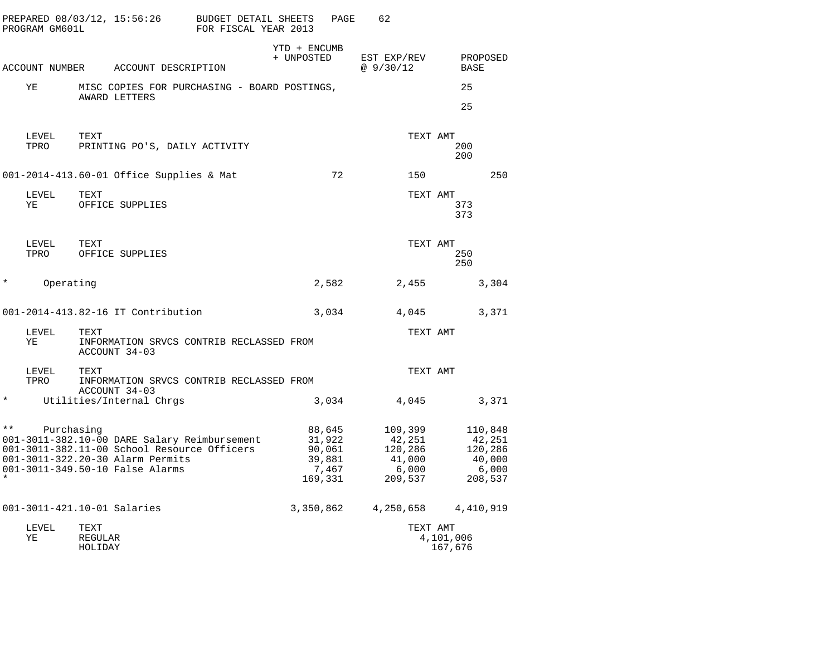|                          | PROGRAM GM601L | PREPARED 08/03/12, 15:56:26                                                                                                                                        | <b>BUDGET DETAIL SHEETS</b><br>FOR FISCAL YEAR 2013 |                                       | PAGE            | 62                                      |                 |                         |                                                            |
|--------------------------|----------------|--------------------------------------------------------------------------------------------------------------------------------------------------------------------|-----------------------------------------------------|---------------------------------------|-----------------|-----------------------------------------|-----------------|-------------------------|------------------------------------------------------------|
|                          |                | ACCOUNT NUMBER ACCOUNT DESCRIPTION                                                                                                                                 |                                                     | YTD + ENCUMB<br>+ UNPOSTED            |                 | EST EXP/REV<br>@9/30/12                 |                 | PROPOSED<br><b>BASE</b> |                                                            |
| ΥE                       |                | MISC COPIES FOR PURCHASING - BOARD POSTINGS,                                                                                                                       |                                                     |                                       |                 |                                         |                 | 25                      |                                                            |
|                          |                | AWARD LETTERS                                                                                                                                                      |                                                     |                                       |                 |                                         |                 | 25                      |                                                            |
|                          | LEVEL<br>TPRO  | TEXT<br>PRINTING PO'S, DAILY ACTIVITY                                                                                                                              |                                                     |                                       |                 |                                         | TEXT AMT        | 200<br>200              |                                                            |
|                          |                | 001-2014-413.60-01 Office Supplies & Mat                                                                                                                           |                                                     |                                       | 72              |                                         | 150             |                         | 250                                                        |
| ΥE                       | LEVEL          | TEXT<br>OFFICE SUPPLIES                                                                                                                                            |                                                     |                                       |                 |                                         | TEXT AMT        | 373<br>373              |                                                            |
|                          | LEVEL<br>TPRO  | TEXT<br>OFFICE SUPPLIES                                                                                                                                            |                                                     |                                       |                 |                                         | TEXT AMT        | 250<br>250              |                                                            |
| $^\star$                 | Operating      |                                                                                                                                                                    |                                                     |                                       | 2,582           |                                         | 2,455           |                         | 3,304                                                      |
|                          |                | 001-2014-413.82-16 IT Contribution                                                                                                                                 |                                                     |                                       | 3,034           | 4,045                                   |                 |                         | 3,371                                                      |
| ΥE                       | LEVEL          | TEXT<br>INFORMATION SRVCS CONTRIB RECLASSED FROM<br>ACCOUNT 34-03                                                                                                  |                                                     |                                       |                 |                                         | TEXT AMT        |                         |                                                            |
|                          | LEVEL<br>TPRO  | TEXT<br>INFORMATION SRVCS CONTRIB RECLASSED FROM                                                                                                                   |                                                     |                                       |                 |                                         | TEXT AMT        |                         |                                                            |
| $^\star$                 |                | ACCOUNT 34-03<br>Utilities/Internal Chrgs                                                                                                                          |                                                     |                                       | 3,034           |                                         | 4,045           |                         | 3,371                                                      |
| $\star \star$<br>$\star$ | Purchasing     | 001-3011-382.10-00 DARE Salary Reimbursement<br>001-3011-382.11-00 School Resource Officers<br>001-3011-322.20-30 Alarm Permits<br>001-3011-349.50-10 False Alarms |                                                     | 88,645<br>31,922<br>90,061<br>169,331 | 39,881<br>7,467 | 109,399<br>42,251<br>120,286<br>209,537 | 41,000<br>6,000 |                         | 110,848<br>42,251<br>120,286<br>40,000<br>6,000<br>208,537 |
|                          |                | 001-3011-421.10-01 Salaries                                                                                                                                        |                                                     | 3,350,862                             |                 |                                         |                 | 4, 250, 658 4, 410, 919 |                                                            |
| ΥE                       | LEVEL          | TEXT<br>REGULAR<br>HOLIDAY                                                                                                                                         |                                                     |                                       |                 |                                         | TEXT AMT        | 4,101,006<br>167,676    |                                                            |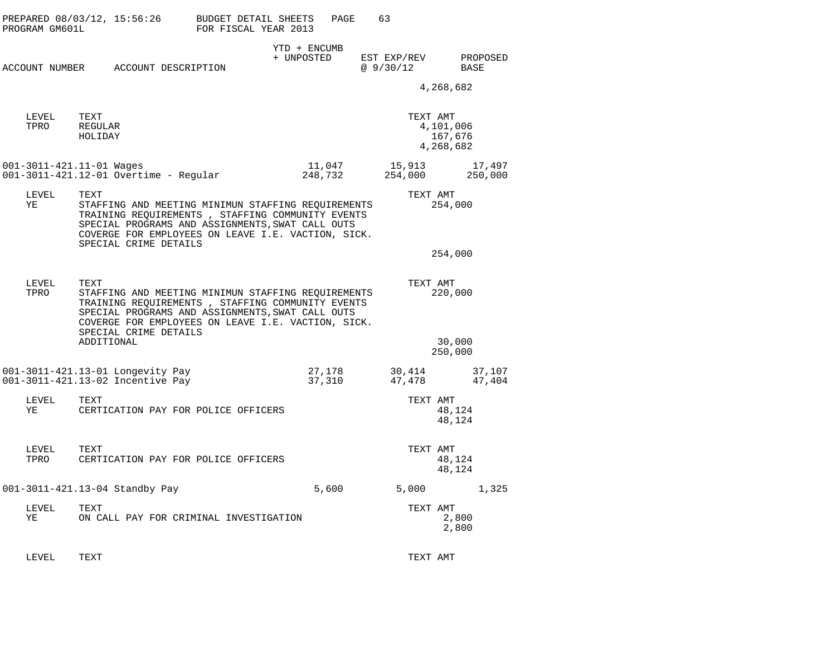| PROGRAM GM601L | PREPARED 08/03/12, 15:56:26                                                                                                                                                                                                                       | BUDGET DETAIL SHEETS<br>FOR FISCAL YEAR 2013 | PAGE                       | 63                       |                                   |
|----------------|---------------------------------------------------------------------------------------------------------------------------------------------------------------------------------------------------------------------------------------------------|----------------------------------------------|----------------------------|--------------------------|-----------------------------------|
|                | ACCOUNT NUMBER ACCOUNT DESCRIPTION                                                                                                                                                                                                                |                                              | YTD + ENCUMB<br>+ UNPOSTED | EST EXP/REV<br>@ 9/30/12 | PROPOSED<br>BASE                  |
|                |                                                                                                                                                                                                                                                   |                                              |                            |                          | 4,268,682                         |
| LEVEL<br>TPRO  | TEXT<br>REGULAR<br>HOLIDAY                                                                                                                                                                                                                        |                                              |                            | TEXT AMT                 | 4,101,006<br>167,676<br>4,268,682 |
|                | 001-3011-421.11-01 Wages<br>001-3011-421.12-01 Overtime - Regular                                                                                                                                                                                 |                                              | 11,047<br>248,732          | 15,913<br>254,000        | 17,497<br>250,000                 |
| LEVEL<br>YE    | TEXT<br>STAFFING AND MEETING MINIMUN STAFFING REQUIREMENTS<br>TRAINING REQUIREMENTS , STAFFING COMMUNITY EVENTS<br>SPECIAL PROGRAMS AND ASSIGNMENTS, SWAT CALL OUTS<br>COVERGE FOR EMPLOYEES ON LEAVE I.E. VACTION, SICK.                         |                                              |                            | TEXT AMT                 | 254,000                           |
|                | SPECIAL CRIME DETAILS                                                                                                                                                                                                                             |                                              |                            |                          | 254,000                           |
| LEVEL<br>TPRO  | TEXT<br>STAFFING AND MEETING MINIMUN STAFFING REQUIREMENTS<br>TRAINING REQUIREMENTS, STAFFING COMMUNITY EVENTS<br>SPECIAL PROGRAMS AND ASSIGNMENTS, SWAT CALL OUTS<br>COVERGE FOR EMPLOYEES ON LEAVE I.E. VACTION, SICK.<br>SPECIAL CRIME DETAILS |                                              |                            | TEXT AMT                 | 220,000                           |
|                | ADDITIONAL                                                                                                                                                                                                                                        |                                              |                            |                          | 30,000<br>250,000                 |
|                | 001-3011-421.13-01 Longevity Pay<br>001-3011-421.13-02 Incentive Pay                                                                                                                                                                              |                                              | 27,178<br>37,310           | 47,478                   | 30,414 37,107<br>47,404           |
| LEVEL<br>YE    | TEXT<br>CERTICATION PAY FOR POLICE OFFICERS                                                                                                                                                                                                       |                                              |                            | TEXT AMT                 | 48,124<br>48,124                  |
| LEVEL<br>TPRO  | TEXT<br>CERTICATION PAY FOR POLICE OFFICERS                                                                                                                                                                                                       |                                              |                            | TEXT AMT                 | 48,124<br>48,124                  |
|                | 001-3011-421.13-04 Standby Pay                                                                                                                                                                                                                    |                                              | 5,600                      | 5,000                    | 1,325                             |
| LEVEL<br>ΥE    | TEXT<br>ON CALL PAY FOR CRIMINAL INVESTIGATION                                                                                                                                                                                                    |                                              |                            | TEXT AMT                 | 2,800<br>2,800                    |

LEVEL TEXT TEXT AMT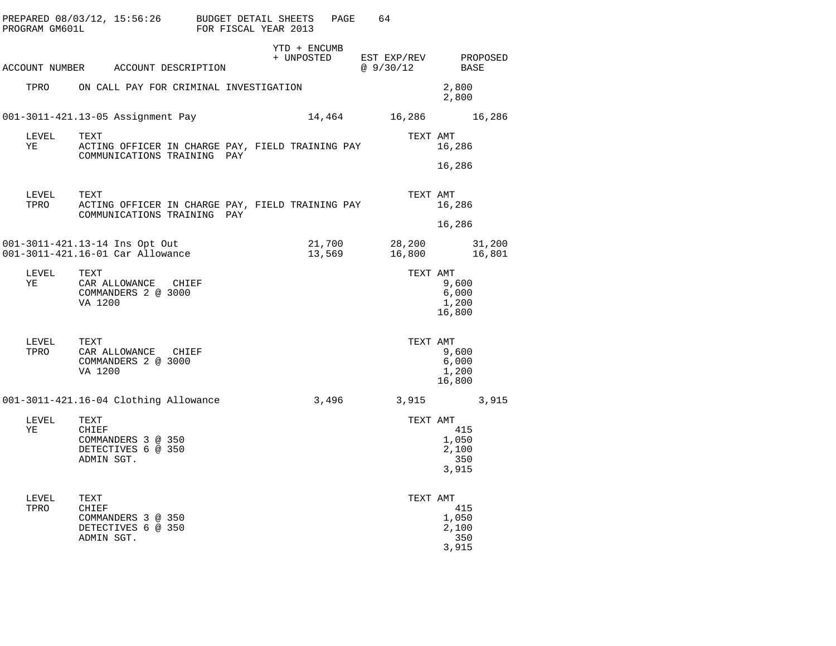| PREPARED 08/03/12, 15:56:26 BUDGET DETAIL SHEETS<br>PROGRAM GM601L |                             |                                            |                                                                                                             |  | FOR FISCAL YEAR 2013 | PAGE             | 64                                           |          |                                       |        |
|--------------------------------------------------------------------|-----------------------------|--------------------------------------------|-------------------------------------------------------------------------------------------------------------|--|----------------------|------------------|----------------------------------------------|----------|---------------------------------------|--------|
| ACCOUNT NUMBER ACCOUNT DESCRIPTION                                 |                             |                                            |                                                                                                             |  | YTD + ENCUMB         |                  | + UNPOSTED EST EXP/REV PROPOSED<br>@ 9/30/12 |          | BASE                                  |        |
|                                                                    |                             |                                            | TPRO ON CALL PAY FOR CRIMINAL INVESTIGATION                                                                 |  |                      |                  |                                              |          | 2,800<br>2,800                        |        |
| 001-3011-421.13-05 Assignment Pay                                  |                             |                                            |                                                                                                             |  |                      |                  | 14,464 16,286 16,286                         |          |                                       |        |
| LEVEL<br>YE TARI                                                   | TEXT                        |                                            | ACTING OFFICER IN CHARGE PAY, FIELD TRAINING PAY<br>COMMUNICATIONS TRAINING PAY                             |  |                      |                  |                                              | TEXT AMT | 16,286                                |        |
|                                                                    |                             |                                            |                                                                                                             |  |                      |                  |                                              |          | 16,286                                |        |
|                                                                    |                             |                                            | LEVEL     TEXT<br>TPRO      ACTING OFFICER IN CHARGE PAY, FIELD TRAINING PAY<br>COMMUNICATIONS TRAINING PAY |  |                      |                  |                                              | TEXT AMT | 16,286                                |        |
|                                                                    |                             |                                            |                                                                                                             |  |                      |                  |                                              |          | 16,286                                |        |
| 001-3011-421.13-14 Ins Opt Out<br>001-3011-421.16-01 Car Allowance |                             |                                            |                                                                                                             |  |                      | 21,700<br>13,569 |                                              |          | 28,200<br>16,800 16,801               | 31,200 |
| YE                                                                 | LEVEL TEXT<br>VA 1200       | CAR ALLOWANCE CHIEF<br>COMMANDERS 2 @ 3000 |                                                                                                             |  |                      |                  |                                              | TEXT AMT | 9,600<br>6,000<br>1,200<br>16,800     |        |
|                                                                    | VA 1200                     | COMMANDERS 2 @ 3000                        |                                                                                                             |  |                      |                  |                                              | TEXT AMT | 9,600<br>6,000<br>1,200<br>16,800     |        |
| 001-3011-421.16-04 Clothing Allowance                              |                             |                                            |                                                                                                             |  |                      |                  | 3,496 3,915 3,915                            |          |                                       |        |
| LEVEL<br>ΥE                                                        | TEXT<br>CHIEF<br>ADMIN SGT. | COMMANDERS 3 @ 350<br>DETECTIVES 6 @ 350   |                                                                                                             |  |                      |                  |                                              | TEXT AMT | 415<br>1,050<br>2,100<br>350<br>3,915 |        |
| LEVEL<br>TPRO                                                      | TEXT<br>CHIEF<br>ADMIN SGT. | COMMANDERS 3 @ 350<br>DETECTIVES 6 @ 350   |                                                                                                             |  |                      |                  |                                              | TEXT AMT | 415<br>1,050<br>2,100<br>350<br>3,915 |        |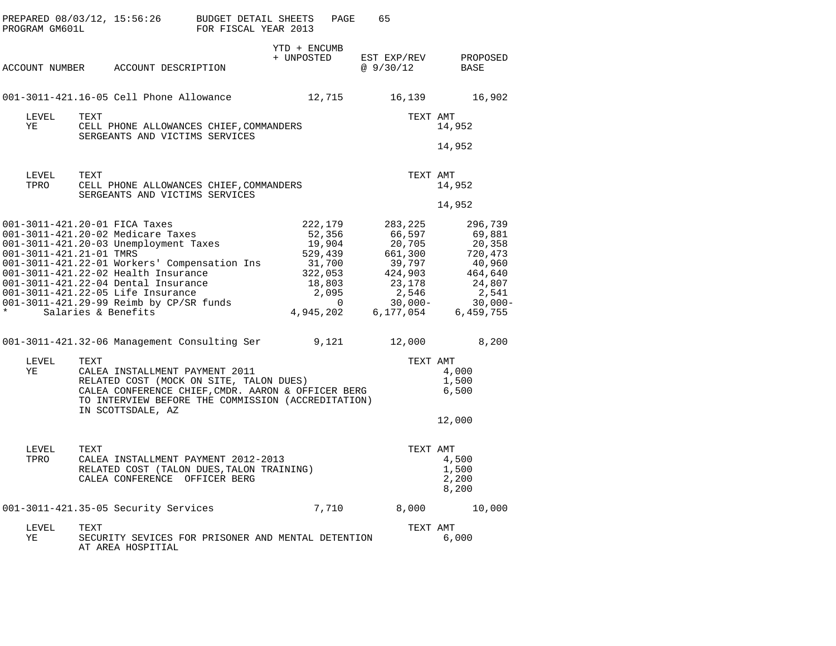| PREPARED 08/03/12, 15:56:26<br>PROGRAM GM601L                           |      |                                                                                                                                                                                                                                                                                                                                                                                                                                                                                                                                                                               | BUDGET DETAIL SHEETS<br>FOR FISCAL YEAR 2013 |            | PAGE                                                                                                                 | 65                                                   |                                                                        |                                                                                                                                                         |
|-------------------------------------------------------------------------|------|-------------------------------------------------------------------------------------------------------------------------------------------------------------------------------------------------------------------------------------------------------------------------------------------------------------------------------------------------------------------------------------------------------------------------------------------------------------------------------------------------------------------------------------------------------------------------------|----------------------------------------------|------------|----------------------------------------------------------------------------------------------------------------------|------------------------------------------------------|------------------------------------------------------------------------|---------------------------------------------------------------------------------------------------------------------------------------------------------|
|                                                                         |      | ACCOUNT NUMBER ACCOUNT DESCRIPTION                                                                                                                                                                                                                                                                                                                                                                                                                                                                                                                                            |                                              | + UNPOSTED | YTD + ENCUMB                                                                                                         | EST EXP/REV<br>@ 9/30/12                             |                                                                        | PROPOSED<br>BASE                                                                                                                                        |
|                                                                         |      | 001-3011-421.16-05 Cell Phone Allowance                                                                                                                                                                                                                                                                                                                                                                                                                                                                                                                                       |                                              |            | 12,715                                                                                                               |                                                      |                                                                        | 16,902<br>16,139                                                                                                                                        |
| LEVEL<br>YE                                                             | TEXT | CELL PHONE ALLOWANCES CHIEF, COMMANDERS<br>SERGEANTS AND VICTIMS SERVICES                                                                                                                                                                                                                                                                                                                                                                                                                                                                                                     |                                              |            |                                                                                                                      |                                                      | TEXT AMT                                                               | 14,952                                                                                                                                                  |
|                                                                         |      |                                                                                                                                                                                                                                                                                                                                                                                                                                                                                                                                                                               |                                              |            |                                                                                                                      |                                                      |                                                                        | 14,952                                                                                                                                                  |
| LEVEL<br>TPRO                                                           | TEXT | CELL PHONE ALLOWANCES CHIEF, COMMANDERS<br>SERGEANTS AND VICTIMS SERVICES                                                                                                                                                                                                                                                                                                                                                                                                                                                                                                     |                                              |            |                                                                                                                      |                                                      | TEXT AMT                                                               | 14,952                                                                                                                                                  |
|                                                                         |      |                                                                                                                                                                                                                                                                                                                                                                                                                                                                                                                                                                               |                                              |            |                                                                                                                      |                                                      |                                                                        | 14,952                                                                                                                                                  |
| 001-3011-421.20-01 FICA Taxes<br>001-3011-421.21-01 TMRS<br>LEVEL<br>ΥE | TEXT | 001-3011-421.20-02 Medicare Taxes<br>001-3011-421.20-03 Unemployment Taxes<br>001-3011-421.22-01 Workers' Compensation Ins<br>001-3011-421.22-02 Health Insurance<br>001-3011-421.22-04 Dental Insurance<br>001-3011-421.22-05 Life Insurance<br>001-3011-421.29-99 Reimb by CP/SR funds<br>Salaries & Benefits<br>001-3011-421.32-06 Management Consulting Ser<br>CALEA INSTALLMENT PAYMENT 2011<br>RELATED COST (MOCK ON SITE, TALON DUES)<br>CALEA CONFERENCE CHIEF, CMDR. AARON & OFFICER BERG<br>TO INTERVIEW BEFORE THE COMMISSION (ACCREDITATION)<br>IN SCOTTSDALE, AZ |                                              |            | 222,179<br>52,356<br>19,904<br>529,439<br>31,700<br>322,053<br>18,803<br>2,095<br>$\mathbf{0}$<br>4,945,202<br>9,121 | 283,225<br>66,597<br>661,300<br>424,903<br>6,177,054 | 20,705<br>39,797<br>23,178<br>2,546<br>$30,000-$<br>12,000<br>TEXT AMT | 296,739<br>69,881<br>20,358<br>720,473<br>40,960<br>464,640<br>24,807<br>2,541<br>$30,000 -$<br>6,459,755<br>8,200<br>4,000<br>1,500<br>6,500<br>12,000 |
| LEVEL<br>TPRO                                                           | TEXT | CALEA INSTALLMENT PAYMENT 2012-2013<br>RELATED COST (TALON DUES, TALON TRAINING)<br>CALEA CONFERENCE OFFICER BERG                                                                                                                                                                                                                                                                                                                                                                                                                                                             |                                              |            |                                                                                                                      |                                                      | TEXT AMT                                                               | 4,500<br>1,500<br>2,200<br>8,200                                                                                                                        |
|                                                                         |      | 001-3011-421.35-05 Security Services                                                                                                                                                                                                                                                                                                                                                                                                                                                                                                                                          |                                              |            | 7,710                                                                                                                | 8,000                                                |                                                                        | 10,000                                                                                                                                                  |
| LEVEL<br>ΥE                                                             | TEXT | SECURITY SEVICES FOR PRISONER AND MENTAL DETENTION<br>AT AREA HOSPITIAL                                                                                                                                                                                                                                                                                                                                                                                                                                                                                                       |                                              |            |                                                                                                                      |                                                      | TEXT AMT                                                               | 6,000                                                                                                                                                   |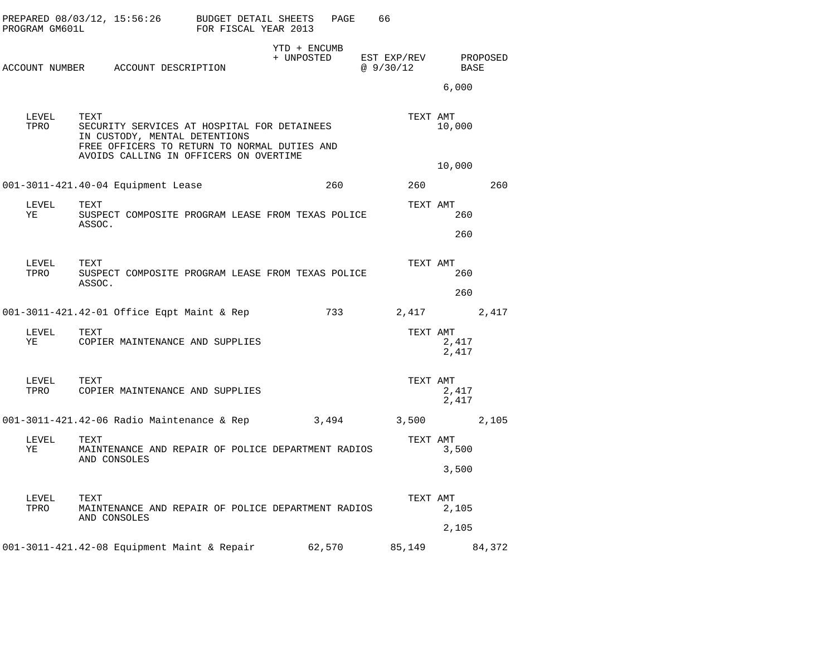| PROGRAM GM601L | PREPARED 08/03/12, 15:56:26 BUDGET DETAIL SHEETS                                                                                                                               | FOR FISCAL YEAR 2013 |                            | PAGE | 66                               |                  |       |  |
|----------------|--------------------------------------------------------------------------------------------------------------------------------------------------------------------------------|----------------------|----------------------------|------|----------------------------------|------------------|-------|--|
|                | ACCOUNT NUMBER ACCOUNT DESCRIPTION                                                                                                                                             |                      | YTD + ENCUMB<br>+ UNPOSTED |      | EST EXP/REV PROPOSED<br>@9/30/12 | BASE<br>6,000    |       |  |
| LEVEL<br>TPRO  | TEXT<br>SECURITY SERVICES AT HOSPITAL FOR DETAINEES<br>IN CUSTODY, MENTAL DETENTIONS<br>FREE OFFICERS TO RETURN TO NORMAL DUTIES AND<br>AVOIDS CALLING IN OFFICERS ON OVERTIME |                      |                            |      | TEXT AMT                         | 10,000<br>10,000 |       |  |
|                | 001-3011-421.40-04 Equipment Lease                                                                                                                                             |                      | 260                        |      | 260                              |                  | 260   |  |
| LEVEL<br>ΥE    | TEXT<br>SUSPECT COMPOSITE PROGRAM LEASE FROM TEXAS POLICE<br>ASSOC.                                                                                                            |                      |                            |      | TEXT AMT                         | 260<br>260       |       |  |
| LEVEL<br>TPRO  | TEXT<br>SUSPECT COMPOSITE PROGRAM LEASE FROM TEXAS POLICE<br>ASSOC.                                                                                                            |                      |                            |      | TEXT AMT                         | 260<br>260       |       |  |
|                | 001-3011-421.42-01 Office Eqpt Maint & Rep                                                                                                                                     |                      |                            | 733  | 2,417 2,417                      |                  |       |  |
| LEVEL<br>YE    | TEXT<br>COPIER MAINTENANCE AND SUPPLIES                                                                                                                                        |                      |                            |      | TEXT AMT                         | 2,417<br>2,417   |       |  |
|                | LEVEL TEXT<br>TPRO COPIER MAINTENANCE AND SUPPLIES                                                                                                                             |                      |                            |      | TEXT AMT                         | 2,417<br>2,417   |       |  |
|                | 001-3011-421.42-06 Radio Maintenance & Rep                                                                                                                                     |                      | 3,494                      |      | 3,500                            |                  | 2,105 |  |
| LEVEL<br>YE    | TEXT<br>MAINTENANCE AND REPAIR OF POLICE DEPARTMENT RADIOS<br>AND CONSOLES                                                                                                     |                      |                            |      | TEXT AMT                         | 3,500<br>3,500   |       |  |
| LEVEL<br>TPRO  | TEXT<br>MAINTENANCE AND REPAIR OF POLICE DEPARTMENT RADIOS<br>AND CONSOLES                                                                                                     |                      |                            |      | TEXT AMT                         | 2,105<br>2,105   |       |  |
|                | 001-3011-421.42-08 Equipment Maint & Repair 62,570 85,149 84,372                                                                                                               |                      |                            |      |                                  |                  |       |  |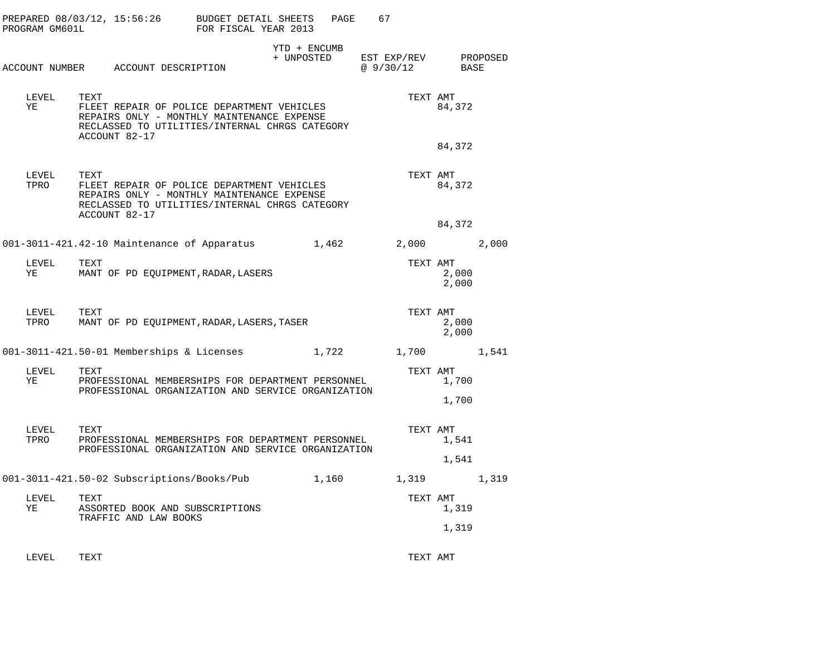| PROGRAM GM601L | PREPARED 08/03/12, 15:56:26                                                                                                                                         | BUDGET DETAIL SHEETS<br>FOR FISCAL YEAR 2013 |                            | PAGE<br>67 |                          |                            |          |
|----------------|---------------------------------------------------------------------------------------------------------------------------------------------------------------------|----------------------------------------------|----------------------------|------------|--------------------------|----------------------------|----------|
|                | ACCOUNT NUMBER ACCOUNT DESCRIPTION                                                                                                                                  |                                              | YTD + ENCUMB<br>+ UNPOSTED |            | EST EXP/REV<br>@ 9/30/12 | BASE                       | PROPOSED |
| LEVEL<br>ΥE    | TEXT<br>FLEET REPAIR OF POLICE DEPARTMENT VEHICLES<br>REPAIRS ONLY - MONTHLY MAINTENANCE EXPENSE<br>RECLASSED TO UTILITIES/INTERNAL CHRGS CATEGORY<br>ACCOUNT 82-17 |                                              |                            |            | TEXT AMT                 | 84,372                     |          |
| LEVEL<br>TPRO  | TEXT<br>FLEET REPAIR OF POLICE DEPARTMENT VEHICLES<br>REPAIRS ONLY - MONTHLY MAINTENANCE EXPENSE<br>RECLASSED TO UTILITIES/INTERNAL CHRGS CATEGORY<br>ACCOUNT 82-17 |                                              |                            |            | TEXT AMT                 | 84,372<br>84,372<br>84,372 |          |
|                | 001-3011-421.42-10 Maintenance of Apparatus                                                                                                                         |                                              | 1,462                      |            | 2,000                    |                            | 2,000    |
| LEVEL<br>ΥE    | TEXT<br>MANT OF PD EQUIPMENT, RADAR, LASERS                                                                                                                         |                                              |                            |            | TEXT AMT                 | 2,000<br>2,000             |          |
| LEVEL<br>TPRO  | TEXT<br>MANT OF PD EQUIPMENT, RADAR, LASERS, TASER                                                                                                                  |                                              |                            |            | TEXT AMT                 | 2,000<br>2,000             |          |
|                | 001-3011-421.50-01 Memberships & Licenses                                                                                                                           |                                              | 1,722                      |            | 1,700                    |                            | 1,541    |
| LEVEL<br>YE    | TEXT<br>PROFESSIONAL MEMBERSHIPS FOR DEPARTMENT PERSONNEL<br>PROFESSIONAL ORGANIZATION AND SERVICE ORGANIZATION                                                     |                                              |                            |            | TEXT AMT                 | 1,700<br>1,700             |          |
| LEVEL<br>TPRO  | TEXT<br>PROFESSIONAL MEMBERSHIPS FOR DEPARTMENT PERSONNEL<br>PROFESSIONAL ORGANIZATION AND SERVICE ORGANIZATION                                                     |                                              |                            |            | TEXT AMT                 | 1,541<br>1,541             |          |
|                | 001-3011-421.50-02 Subscriptions/Books/Pub                                                                                                                          |                                              | 1,160                      |            | 1,319                    |                            | 1,319    |
| LEVEL<br>YE    | TEXT<br>ASSORTED BOOK AND SUBSCRIPTIONS<br>TRAFFIC AND LAW BOOKS                                                                                                    |                                              |                            |            | TEXT AMT                 | 1,319                      |          |
|                |                                                                                                                                                                     |                                              |                            |            |                          | 1,319                      |          |
| LEVEL          | TEXT                                                                                                                                                                |                                              |                            |            | TEXT AMT                 |                            |          |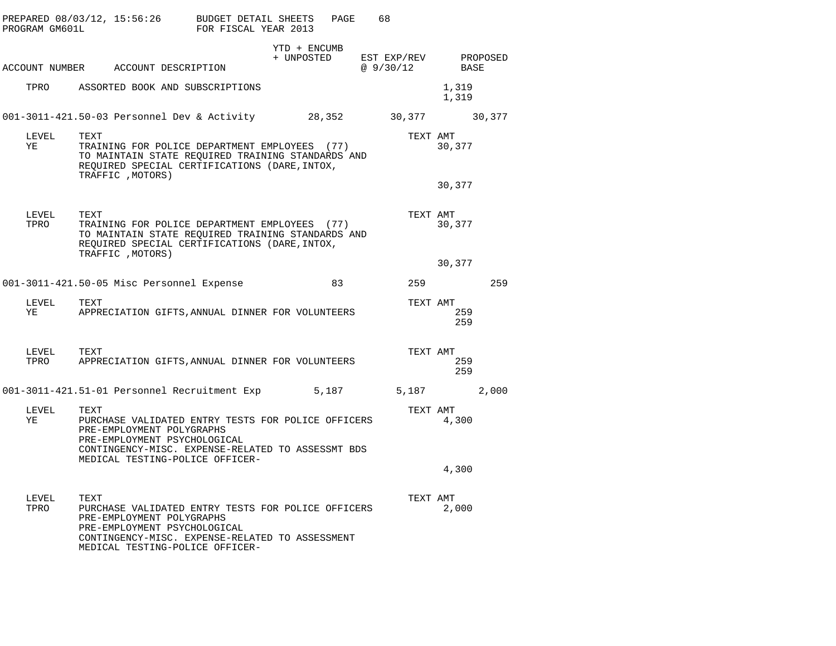| PROGRAM GM601L |      | PREPARED 08/03/12, 15:56:26 BUDGET DETAIL SHEETS                                                                                                                         | FOR FISCAL YEAR 2013 |              | PAGE  | 68 |                                              |                |       |
|----------------|------|--------------------------------------------------------------------------------------------------------------------------------------------------------------------------|----------------------|--------------|-------|----|----------------------------------------------|----------------|-------|
|                |      | ACCOUNT NUMBER ACCOUNT DESCRIPTION                                                                                                                                       |                      | YTD + ENCUMB |       |    | + UNPOSTED EST EXP/REV PROPOSED<br>@ 9/30/12 | BASE           |       |
|                |      |                                                                                                                                                                          |                      |              |       |    |                                              |                |       |
| TPRO           |      | ASSORTED BOOK AND SUBSCRIPTIONS                                                                                                                                          |                      |              |       |    |                                              | 1,319<br>1,319 |       |
|                |      | 001-3011-421.50-03 Personnel Dev & Activity 			 28,352 		 30,377 		 30,377                                                                                               |                      |              |       |    |                                              |                |       |
| LEVEL<br>ΥE    | TEXT | TRAINING FOR POLICE DEPARTMENT EMPLOYEES (77)<br>TO MAINTAIN STATE REQUIRED TRAINING STANDARDS AND<br>REQUIRED SPECIAL CERTIFICATIONS (DARE, INTOX,<br>TRAFFIC , MOTORS) |                      |              |       |    | TEXT AMT                                     | 30,377         |       |
|                |      |                                                                                                                                                                          |                      |              |       |    |                                              | 30,377         |       |
| LEVEL<br>TPRO  | TEXT | TRAINING FOR POLICE DEPARTMENT EMPLOYEES (77)<br>TO MAINTAIN STATE REQUIRED TRAINING STANDARDS AND<br>REQUIRED SPECIAL CERTIFICATIONS (DARE, INTOX,                      |                      |              |       |    | TEXT AMT                                     | 30,377         |       |
|                |      | TRAFFIC , MOTORS)                                                                                                                                                        |                      |              |       |    |                                              | 30,377         |       |
|                |      | 001-3011-421.50-05 Misc Personnel Expense                                                                                                                                |                      |              | 83    |    | 259                                          |                | 259   |
|                |      |                                                                                                                                                                          |                      |              |       |    |                                              |                |       |
| LEVEL<br>ΥE    | TEXT | APPRECIATION GIFTS, ANNUAL DINNER FOR VOLUNTEERS                                                                                                                         |                      |              |       |    | TEXT AMT                                     | 259<br>259     |       |
| LEVEL<br>TPRO  | TEXT | APPRECIATION GIFTS, ANNUAL DINNER FOR VOLUNTEERS                                                                                                                         |                      |              |       |    | TEXT AMT                                     | 259<br>259     |       |
|                |      | 001-3011-421.51-01 Personnel Recruitment Exp                                                                                                                             |                      |              | 5,187 |    | 5,187                                        |                | 2,000 |
| LEVEL<br>ΥE    | TEXT | PURCHASE VALIDATED ENTRY TESTS FOR POLICE OFFICERS<br>PRE-EMPLOYMENT POLYGRAPHS<br>PRE-EMPLOYMENT PSYCHOLOGICAL<br>CONTINGENCY-MISC. EXPENSE-RELATED TO ASSESSMT BDS     |                      |              |       |    | TEXT AMT                                     | 4,300          |       |
|                |      | MEDICAL TESTING-POLICE OFFICER-                                                                                                                                          |                      |              |       |    |                                              | 4,300          |       |
| LEVEL<br>TPRO  | TEXT | PURCHASE VALIDATED ENTRY TESTS FOR POLICE OFFICERS<br>PRE-EMPLOYMENT POLYGRAPHS<br>PRE-EMPLOYMENT PSYCHOLOGICAL<br>CONTINGENCY-MISC. EXPENSE-RELATED TO ASSESSMENT       |                      |              |       |    | TEXT AMT                                     | 2,000          |       |
|                |      | MEDICAL TESTING-POLICE OFFICER-                                                                                                                                          |                      |              |       |    |                                              |                |       |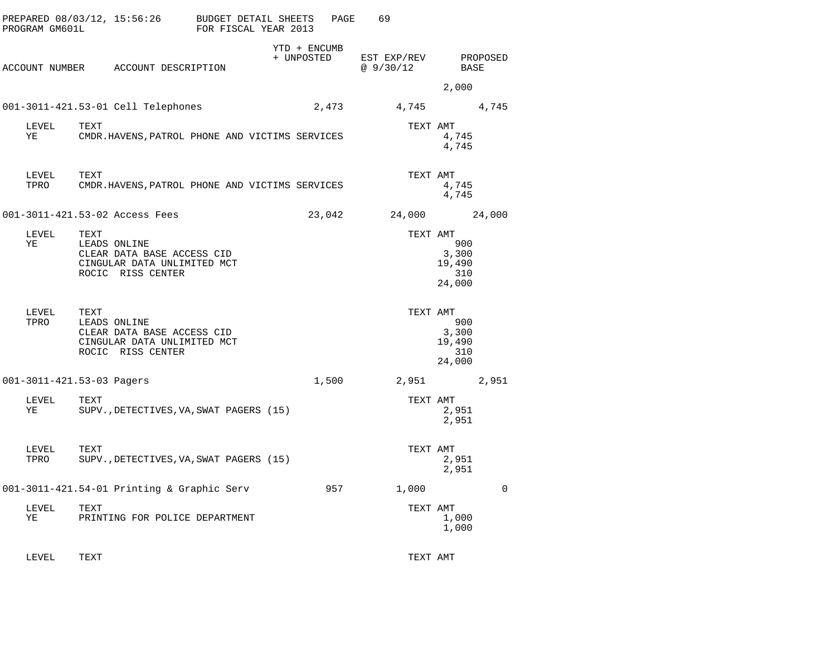| PREPARED 08/03/12, 15:56:26<br>PROGRAM GM601L |      |                                                                                                | <b>BUDGET DETAIL SHEETS</b><br>FOR FISCAL YEAR 2013 |                            | PAGE  | 69                       |                                                     |             |
|-----------------------------------------------|------|------------------------------------------------------------------------------------------------|-----------------------------------------------------|----------------------------|-------|--------------------------|-----------------------------------------------------|-------------|
|                                               |      | ACCOUNT NUMBER ACCOUNT DESCRIPTION                                                             |                                                     | YTD + ENCUMB<br>+ UNPOSTED |       | EST EXP/REV<br>@ 9/30/12 | BASE                                                | PROPOSED    |
|                                               |      |                                                                                                |                                                     |                            |       |                          | 2,000                                               |             |
|                                               |      | 001-3011-421.53-01 Cell Telephones                                                             |                                                     |                            | 2,473 | 4,745                    |                                                     | 4,745       |
| LEVEL<br>ΥE                                   | TEXT | CMDR.HAVENS, PATROL PHONE AND VICTIMS SERVICES                                                 |                                                     |                            |       | TEXT AMT                 | 4,745<br>4,745                                      |             |
| LEVEL<br>TPRO                                 | TEXT | CMDR.HAVENS, PATROL PHONE AND VICTIMS SERVICES                                                 |                                                     |                            |       | TEXT AMT                 | 4,745<br>4,745                                      |             |
| 001-3011-421.53-02 Access Fees                |      |                                                                                                |                                                     | 23,042                     |       | 24,000                   |                                                     | 24,000      |
| LEVEL<br>ΥE                                   | TEXT | LEADS ONLINE<br>CLEAR DATA BASE ACCESS CID<br>CINGULAR DATA UNLIMITED MCT<br>ROCIC RISS CENTER |                                                     |                            |       | TEXT AMT                 | 900<br>3,300<br>19,490<br>310<br>24,000             |             |
| LEVEL<br>TPRO                                 | TEXT | LEADS ONLINE<br>CLEAR DATA BASE ACCESS CID<br>CINGULAR DATA UNLIMITED MCT<br>ROCIC RISS CENTER |                                                     |                            |       |                          | TEXT AMT<br>900<br>3,300<br>19,490<br>310<br>24,000 |             |
| 001-3011-421.53-03 Pagers                     |      |                                                                                                |                                                     |                            | 1,500 | 2,951                    |                                                     | 2,951       |
| LEVEL<br>ΥE                                   | TEXT | SUPV., DETECTIVES, VA, SWAT PAGERS (15)                                                        |                                                     |                            |       | TEXT AMT                 | 2,951<br>2,951                                      |             |
| LEVEL<br>TPRO                                 | TEXT | SUPV., DETECTIVES, VA, SWAT PAGERS (15)                                                        |                                                     |                            |       |                          | TEXT AMT<br>2,951<br>2,951                          |             |
|                                               |      | 001-3011-421.54-01 Printing & Graphic Serv                                                     |                                                     |                            | 957   | 1,000                    |                                                     | $\mathbf 0$ |
| LEVEL<br>ΥE                                   | TEXT | PRINTING FOR POLICE DEPARTMENT                                                                 |                                                     |                            |       | TEXT AMT                 | 1,000<br>1,000                                      |             |
|                                               |      |                                                                                                |                                                     |                            |       |                          |                                                     |             |

LEVEL TEXT TEXT AMT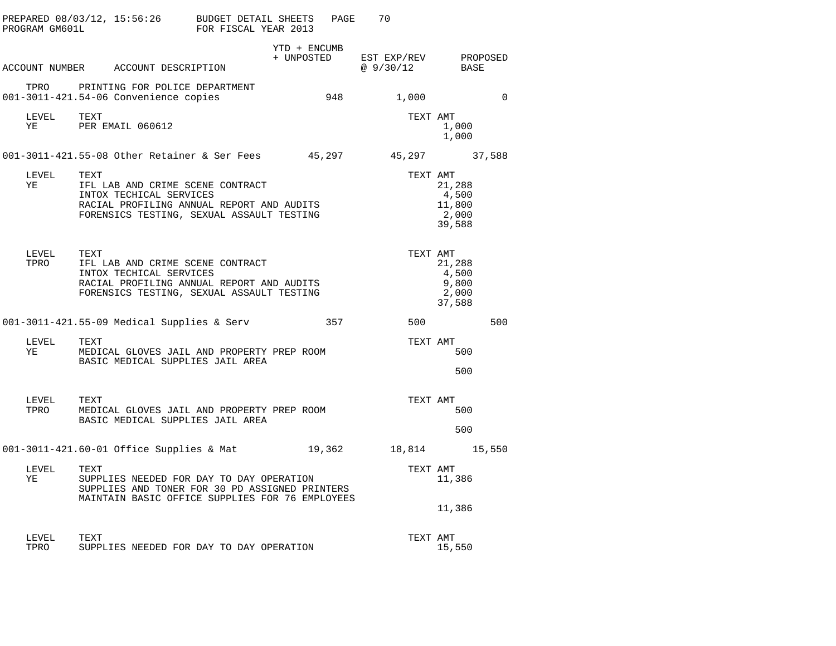| PROGRAM GM601L | PREPARED 08/03/12, 15:56:26 BUDGET DETAIL SHEETS                                                                                                              | FOR FISCAL YEAR 2013 |              | PAGE | 70                                                |                                              |          |
|----------------|---------------------------------------------------------------------------------------------------------------------------------------------------------------|----------------------|--------------|------|---------------------------------------------------|----------------------------------------------|----------|
|                | ACCOUNT NUMBER ACCOUNT DESCRIPTION                                                                                                                            |                      | YTD + ENCUMB |      | + UNPOSTED EST EXP/REV PROPOSED<br>@ 9/30/12 BASE |                                              |          |
|                | TPRO PRINTING FOR POLICE DEPARTMENT<br>001-3011-421.54-06 Convenience copies                                                                                  |                      |              | 948  | 1,000                                             |                                              | $\Omega$ |
| LEVEL<br>YE    | TEXT<br>PER EMAIL 060612                                                                                                                                      |                      |              |      |                                                   | TEXT AMT<br>1,000<br>1,000                   |          |
|                | 001-3011-421.55-08 Other Retainer & Ser Fees 45,297 45,297 37,588                                                                                             |                      |              |      |                                                   |                                              |          |
| LEVEL<br>YE    | TEXT<br>IFL LAB AND CRIME SCENE CONTRACT<br>INTOX TECHICAL SERVICES<br>RACIAL PROFILING ANNUAL REPORT AND AUDITS<br>FORENSICS TESTING, SEXUAL ASSAULT TESTING |                      |              |      | TEXT AMT                                          | 21,288<br>4,500<br>11,800<br>2,000<br>39,588 |          |
| LEVEL<br>TPRO  | TEXT<br>IFL LAB AND CRIME SCENE CONTRACT<br>INTOX TECHICAL SERVICES<br>RACIAL PROFILING ANNUAL REPORT AND AUDITS<br>FORENSICS TESTING, SEXUAL ASSAULT TESTING |                      |              |      | TEXT AMT                                          | 21,288<br>4,500<br>9,800<br>2,000<br>37,588  |          |
|                | 001-3011-421.55-09 Medical Supplies & Serv                                                                                                                    |                      |              |      | 357 500                                           |                                              | 500      |
| LEVEL<br>YE    | TEXT<br>MEDICAL GLOVES JAIL AND PROPERTY PREP ROOM<br>BASIC MEDICAL SUPPLIES JAIL AREA                                                                        |                      |              |      | TEXT AMT                                          | 500<br>500                                   |          |
| LEVEL<br>TPRO  | TEXT<br>MEDICAL GLOVES JAIL AND PROPERTY PREP ROOM<br>BASIC MEDICAL SUPPLIES JAIL AREA                                                                        |                      |              |      | TEXT AMT                                          | 500                                          |          |
|                | 001-3011-421.60-01 Office Supplies & Mat $19,362$ 18,814 15,550                                                                                               |                      |              |      |                                                   | 500                                          |          |
| LEVEL<br>YE    | TEXT<br>SUPPLIES NEEDED FOR DAY TO DAY OPERATION<br>SUPPLIES AND TONER FOR 30 PD ASSIGNED PRINTERS<br>MAINTAIN BASIC OFFICE SUPPLIES FOR 76 EMPLOYEES         |                      |              |      | TEXT AMT                                          | 11,386<br>11,386                             |          |
| LEVEL<br>TPRO  | TEXT<br>SUPPLIES NEEDED FOR DAY TO DAY OPERATION                                                                                                              |                      |              |      | TEXT AMT                                          | 15,550                                       |          |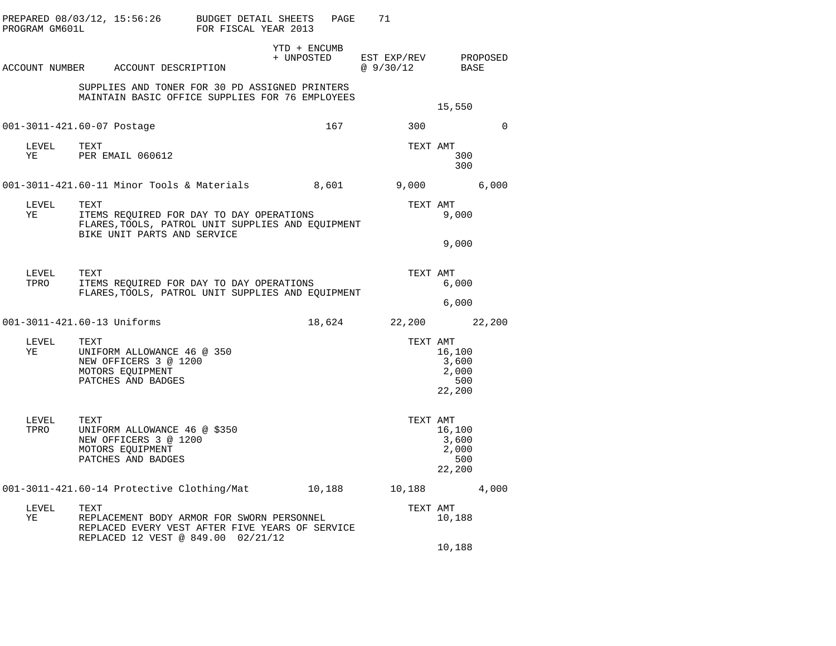| PROGRAM GM601L              |      | PREPARED 08/03/12, 15:56:26                                                                                                         | BUDGET DETAIL SHEETS<br>FOR FISCAL YEAR 2013 |                            | PAGE | 71                                |                                           |          |
|-----------------------------|------|-------------------------------------------------------------------------------------------------------------------------------------|----------------------------------------------|----------------------------|------|-----------------------------------|-------------------------------------------|----------|
|                             |      | ACCOUNT NUMBER ACCOUNT DESCRIPTION                                                                                                  |                                              | YTD + ENCUMB<br>+ UNPOSTED |      | EST EXP/REV PROPOSED<br>@ 9/30/12 | BASE                                      |          |
|                             |      | SUPPLIES AND TONER FOR 30 PD ASSIGNED PRINTERS<br>MAINTAIN BASIC OFFICE SUPPLIES FOR 76 EMPLOYEES                                   |                                              |                            |      |                                   | 15,550                                    |          |
| 001-3011-421.60-07 Postage  |      |                                                                                                                                     |                                              |                            | 167  | 300                               |                                           | $\Omega$ |
|                             |      | $\begin{tabular}{lllll} \bf{LEVEL} & \tt{TEX1} \\ \bf{VE} & \tt{PER EMAIL} & 060612 \\ \end{tabular}$                               |                                              |                            |      | TEXT AMT                          | 300<br>300                                |          |
|                             |      | 001-3011-421.60-11 Minor Tools & Materials 6,601 9,000                                                                              |                                              |                            |      |                                   |                                           | 6,000    |
| LEVEL<br>YE                 | TEXT | ITEMS REQUIRED FOR DAY TO DAY OPERATIONS<br>FLARES, TOOLS, PATROL UNIT SUPPLIES AND EQUIPMENT<br>BIKE UNIT PARTS AND SERVICE        |                                              |                            |      | TEXT AMT                          | 9,000                                     |          |
|                             |      |                                                                                                                                     |                                              |                            |      |                                   | 9,000                                     |          |
| LEVEL<br>TPRO               | TEXT | ITEMS REQUIRED FOR DAY TO DAY OPERATIONS<br>FLARES, TOOLS, PATROL UNIT SUPPLIES AND EQUIPMENT                                       |                                              |                            |      | TEXT AMT                          | 6,000                                     |          |
|                             |      |                                                                                                                                     |                                              |                            |      |                                   | 6,000                                     |          |
| 001-3011-421.60-13 Uniforms |      |                                                                                                                                     |                                              |                            |      | 18,624 22,200 22,200              |                                           |          |
| LEVEL<br>YE                 | TEXT | UNIFORM ALLOWANCE 46 @ 350<br>NEW OFFICERS 3 @ 1200<br>MOTORS EQUIPMENT<br>PATCHES AND BADGES                                       |                                              |                            |      | TEXT AMT                          | 16,100<br>3,600<br>2,000<br>500<br>22,200 |          |
| LEVEL<br>TPRO               | TEXT | UNIFORM ALLOWANCE 46 @ \$350<br>NEW OFFICERS 3 @ 1200<br>MOTORS EQUIPMENT<br>PATCHES AND BADGES                                     |                                              |                            |      | TEXT AMT                          | 16,100<br>3,600<br>2,000<br>500<br>22,200 |          |
|                             |      | 001-3011-421.60-14 Protective Clothing/Mat 10,188                                                                                   |                                              |                            |      | 10,188                            |                                           | 4,000    |
| LEVEL<br>ΥE                 | TEXT | REPLACEMENT BODY ARMOR FOR SWORN PERSONNEL<br>REPLACED EVERY VEST AFTER FIVE YEARS OF SERVICE<br>REPLACED 12 VEST @ 849.00 02/21/12 |                                              |                            |      | TEXT AMT                          | 10,188                                    |          |
|                             |      |                                                                                                                                     |                                              |                            |      |                                   | 10,188                                    |          |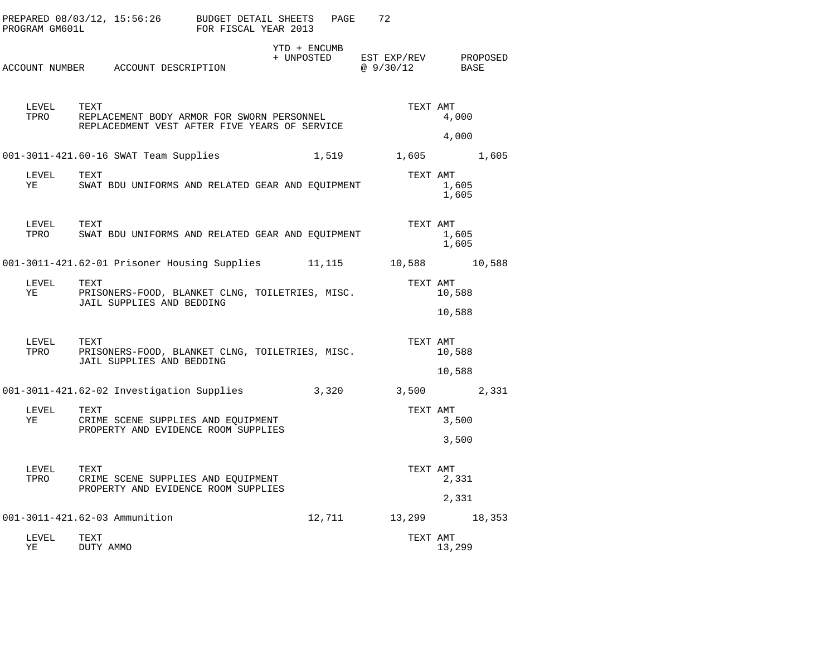| PROGRAM GM601L |                    |                               | PREPARED 08/03/12, 15:56:26 BUDGET DETAIL SHEETS                                            | FOR FISCAL YEAR 2013 |            | PAGE         | 72                               |                            |       |
|----------------|--------------------|-------------------------------|---------------------------------------------------------------------------------------------|----------------------|------------|--------------|----------------------------------|----------------------------|-------|
|                |                    |                               | ACCOUNT NUMBER ACCOUNT DESCRIPTION                                                          |                      | + UNPOSTED | YTD + ENCUMB | EST EXP/REV PROPOSED<br>@9/30/12 | BASE                       |       |
|                | LEVEL TEXT<br>TPRO |                               | REPLACEMENT BODY ARMOR FOR SWORN PERSONNEL<br>REPLACEDMENT VEST AFTER FIVE YEARS OF SERVICE |                      |            |              |                                  | TEXT AMT<br>4,000          |       |
|                |                    |                               |                                                                                             |                      |            |              |                                  | 4,000                      |       |
|                |                    |                               | 001-3011-421.60-16 SWAT Team Supplies                                                       |                      |            |              | 1,519 1,605                      |                            | 1,605 |
| YE             | LEVEL              | TEXT                          | SWAT BDU UNIFORMS AND RELATED GEAR AND EQUIPMENT                                            |                      |            |              |                                  | TEXT AMT<br>1,605<br>1,605 |       |
|                | LEVEL<br>TPRO      | TEXT                          | SWAT BDU UNIFORMS AND RELATED GEAR AND EQUIPMENT                                            |                      |            |              |                                  | TEXT AMT<br>1,605<br>1,605 |       |
|                |                    |                               | 001-3011-421.62-01 Prisoner Housing Supplies 11,115                                         |                      |            |              | 10,588 10,588                    |                            |       |
| LEVEL<br>YE    |                    | TEXT                          | PRISONERS-FOOD, BLANKET CLNG, TOILETRIES, MISC.<br>JAIL SUPPLIES AND BEDDING                |                      |            |              |                                  | TEXT AMT<br>10,588         |       |
|                |                    |                               |                                                                                             |                      |            |              |                                  | 10,588                     |       |
|                | LEVEL<br>TPRO      | TEXT                          | PRISONERS-FOOD, BLANKET CLNG, TOILETRIES, MISC.<br>JAIL SUPPLIES AND BEDDING                |                      |            |              | TEXT AMT                         | 10,588                     |       |
|                |                    |                               |                                                                                             |                      |            |              |                                  | 10,588                     |       |
|                |                    |                               | 001-3011-421.62-02 Investigation Supplies                                                   |                      |            | 3,320        | 3,500 2,331                      |                            |       |
| LEVEL<br>YE    |                    | TEXT                          | CRIME SCENE SUPPLIES AND EQUIPMENT<br>PROPERTY AND EVIDENCE ROOM SUPPLIES                   |                      |            |              |                                  | TEXT AMT<br>3,500          |       |
|                |                    |                               |                                                                                             |                      |            |              |                                  | 3,500                      |       |
| LEVEL          | TPRO               | TEXT                          | CRIME SCENE SUPPLIES AND EQUIPMENT<br>PROPERTY AND EVIDENCE ROOM SUPPLIES                   |                      |            |              | TEXT AMT                         | 2,331                      |       |
|                |                    |                               |                                                                                             |                      |            |              |                                  | 2,331                      |       |
|                |                    | 001-3011-421.62-03 Ammunition |                                                                                             |                      |            | 12,711       | 13,299 18,353                    |                            |       |
| LEVEL<br>ΥE    |                    | TEXT<br>DUTY AMMO             |                                                                                             |                      |            |              |                                  | TEXT AMT<br>13,299         |       |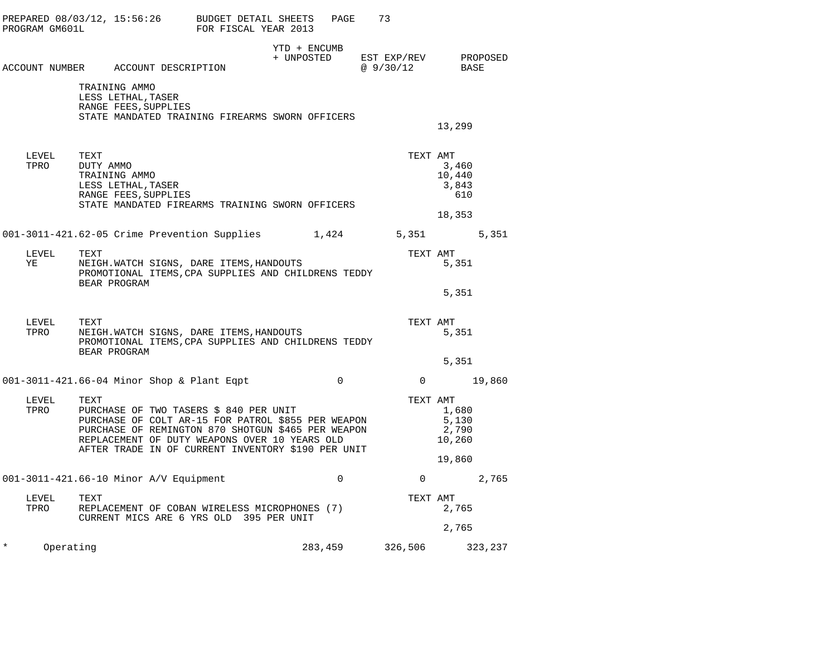| PROGRAM GM601L        |                                                                                                                        | PREPARED $08/03/12$ , $15:56:26$ BUDGET DETAIL SHEETS<br>FOR FISCAL YEAR 2013                                                                                                                                                                             |                            | PAGE           | 73                                     |                                             |         |
|-----------------------|------------------------------------------------------------------------------------------------------------------------|-----------------------------------------------------------------------------------------------------------------------------------------------------------------------------------------------------------------------------------------------------------|----------------------------|----------------|----------------------------------------|---------------------------------------------|---------|
|                       | ACCOUNT NUMBER ACCOUNT DESCRIPTION                                                                                     |                                                                                                                                                                                                                                                           | YTD + ENCUMB<br>+ UNPOSTED |                | EST EXP/REV PROPOSED<br>@ 9/30/12 BASE |                                             |         |
|                       | TRAINING AMMO<br>LESS LETHAL, TASER<br>RANGE FEES, SUPPLIES                                                            | STATE MANDATED TRAINING FIREARMS SWORN OFFICERS                                                                                                                                                                                                           |                            |                |                                        | 13,299                                      |         |
| LEVEL<br>TPRO         | TEXT<br>DUTY AMMO<br>TRAINING AMMO<br>LESS LETHAL, TASER<br>RANGE FEES, SUPPLIES                                       | STATE MANDATED FIREARMS TRAINING SWORN OFFICERS                                                                                                                                                                                                           |                            |                | TEXT AMT                               | 3,460<br>10,440<br>3,843<br>610<br>18,353   |         |
|                       |                                                                                                                        | 001-3011-421.62-05 Crime Prevention Supplies 1,424 5,351 5,351 5,351                                                                                                                                                                                      |                            |                |                                        |                                             |         |
| LEVEL<br>YE           | TEXT<br>NEIGH.WATCH SIGNS, DARE ITEMS, HANDOUTS<br>PROMOTIONAL ITEMS, CPA SUPPLIES AND CHILDRENS TEDDY<br>BEAR PROGRAM |                                                                                                                                                                                                                                                           | TEXT AMT                   | 5,351          |                                        |                                             |         |
|                       |                                                                                                                        |                                                                                                                                                                                                                                                           |                            |                |                                        | 5,351                                       |         |
| LEVEL<br>TPRO         | TEXT<br>BEAR PROGRAM                                                                                                   | NEIGH.WATCH SIGNS, DARE ITEMS, HANDOUTS<br>PROMOTIONAL ITEMS, CPA SUPPLIES AND CHILDRENS TEDDY                                                                                                                                                            |                            |                | TEXT AMT                               | 5,351                                       |         |
|                       |                                                                                                                        |                                                                                                                                                                                                                                                           |                            |                |                                        | 5,351                                       |         |
|                       |                                                                                                                        | 001-3011-421.66-04 Minor Shop & Plant Eqpt                                                                                                                                                                                                                |                            | $\overline{0}$ | $0 \t 19,860$                          |                                             |         |
| LEVEL<br>TPRO         | TEXT                                                                                                                   | PURCHASE OF TWO TASERS \$ 840 PER UNIT<br>PURCHASE OF COLT AR-15 FOR PATROL \$855 PER WEAPON<br>PURCHASE OF REMINGTON 870 SHOTGUN \$465 PER WEAPON<br>REPLACEMENT OF DUTY WEAPONS OVER 10 YEARS OLD<br>AFTER TRADE IN OF CURRENT INVENTORY \$190 PER UNIT |                            |                | TEXT AMT                               | 1,680<br>5,130<br>2,790<br>10,260<br>19,860 |         |
|                       | 001-3011-421.66-10 Minor A/V Equipment                                                                                 |                                                                                                                                                                                                                                                           |                            | $\mathbf 0$    |                                        | $\overline{0}$                              | 2,765   |
| LEVEL<br>TPRO         | TEXT                                                                                                                   | REPLACEMENT OF COBAN WIRELESS MICROPHONES (7)<br>CURRENT MICS ARE 6 YRS OLD 395 PER UNIT                                                                                                                                                                  |                            |                | TEXT AMT                               | 2,765                                       |         |
|                       |                                                                                                                        |                                                                                                                                                                                                                                                           |                            |                |                                        | 2,765                                       |         |
| $^\star$<br>Operating |                                                                                                                        |                                                                                                                                                                                                                                                           | 283,459                    |                | 326,506                                |                                             | 323,237 |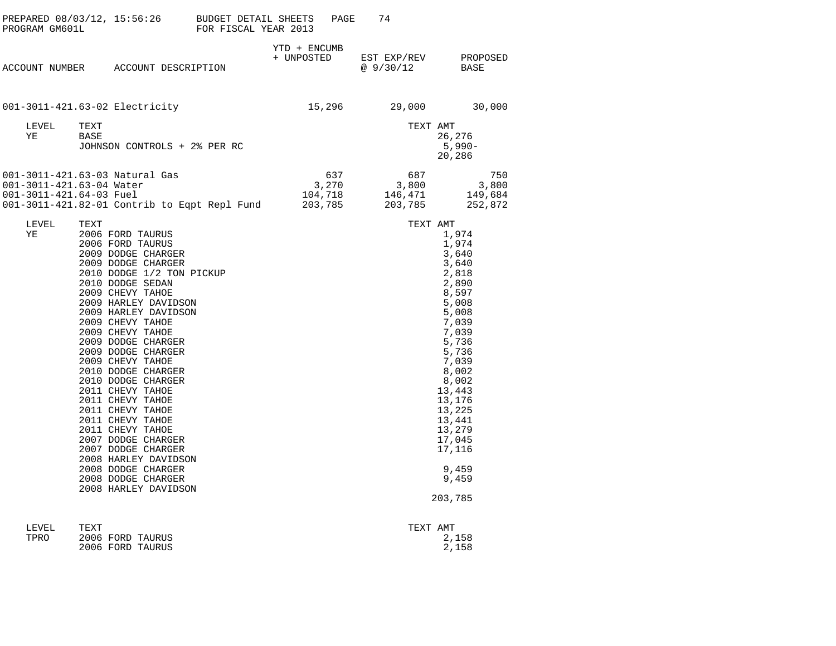|                                                     |                                                                                                                                                                                                                                                                                                                                                                                                                                                                                                                                                                                                               |                            | PAGE | 74                                                                          |                                                                                                                                                                                                                                                 |
|-----------------------------------------------------|---------------------------------------------------------------------------------------------------------------------------------------------------------------------------------------------------------------------------------------------------------------------------------------------------------------------------------------------------------------------------------------------------------------------------------------------------------------------------------------------------------------------------------------------------------------------------------------------------------------|----------------------------|------|-----------------------------------------------------------------------------|-------------------------------------------------------------------------------------------------------------------------------------------------------------------------------------------------------------------------------------------------|
|                                                     | ACCOUNT NUMBER ACCOUNT DESCRIPTION                                                                                                                                                                                                                                                                                                                                                                                                                                                                                                                                                                            | YTD + ENCUMB<br>+ UNPOSTED |      | @ 9/30/12                                                                   | EST EXP/REV PROPOSED<br>BASE                                                                                                                                                                                                                    |
|                                                     | 001-3011-421.63-02 Electricity                                                                                                                                                                                                                                                                                                                                                                                                                                                                                                                                                                                |                            |      | 15,296 29,000                                                               | 30,000                                                                                                                                                                                                                                          |
| LEVEL<br>ΥE                                         | TEXT<br>BASE<br>JOHNSON CONTROLS + 2% PER RC                                                                                                                                                                                                                                                                                                                                                                                                                                                                                                                                                                  |                            |      | TEXT AMT                                                                    | 26,276<br>$5,990-$<br>20,286                                                                                                                                                                                                                    |
| 001-3011-421.63-04 Water<br>001-3011-421.64-03 Fuel | 001-3011-421.63-03 Natural Gas<br>001-3011-421.82-01 Contrib to Eqpt Repl Fund 203,785                                                                                                                                                                                                                                                                                                                                                                                                                                                                                                                        |                            | 637  | 687<br>$3,270$<br>$104,718$<br>$202,725$<br>$3,800$<br>$146,471$<br>203,785 | 750<br>3,800<br>149,684<br>252,872                                                                                                                                                                                                              |
| LEVEL<br>YE                                         | TEXT<br>2006 FORD TAURUS<br>2006 FORD TAURUS<br>2009 DODGE CHARGER<br>2009 DODGE CHARGER<br>2010 DODGE 1/2 TON PICKUP<br>2010 DODGE SEDAN<br>2009 CHEVY TAHOE<br>2009 HARLEY DAVIDSON<br>2009 HARLEY DAVIDSON<br>2009 CHEVY TAHOE<br>2009 CHEVY TAHOE<br>2009 DODGE CHARGER<br>2009 DODGE CHARGER<br>2009 CHEVY TAHOE<br>2010 DODGE CHARGER<br>2010 DODGE CHARGER<br>2011 CHEVY TAHOE<br>2011 CHEVY TAHOE<br>2011 CHEVY TAHOE<br>2011 CHEVY TAHOE<br>2011 CHEVY TAHOE<br>2007 DODGE CHARGER<br>2007 DODGE CHARGER<br>2008 HARLEY DAVIDSON<br>2008 DODGE CHARGER<br>2008 DODGE CHARGER<br>2008 HARLEY DAVIDSON |                            |      | TEXT AMT                                                                    | 1,974<br>1,974<br>3,640<br>3,640<br>2,818<br>2,890<br>8,597<br>5,008<br>5,008<br>7,039<br>7,039<br>5,736<br>5,736<br>7,039<br>8,002<br>8,002<br>13,443<br>13,176<br>13,225<br>13,441<br>13,279<br>17,045<br>17,116<br>9,459<br>9,459<br>203,785 |

| LEVEL | TEXT             | TEXT AMT |       |
|-------|------------------|----------|-------|
| TPRO  | 2006 FORD TAURUS |          | 2,158 |
|       | 2006 FORD TAURUS |          | 2,158 |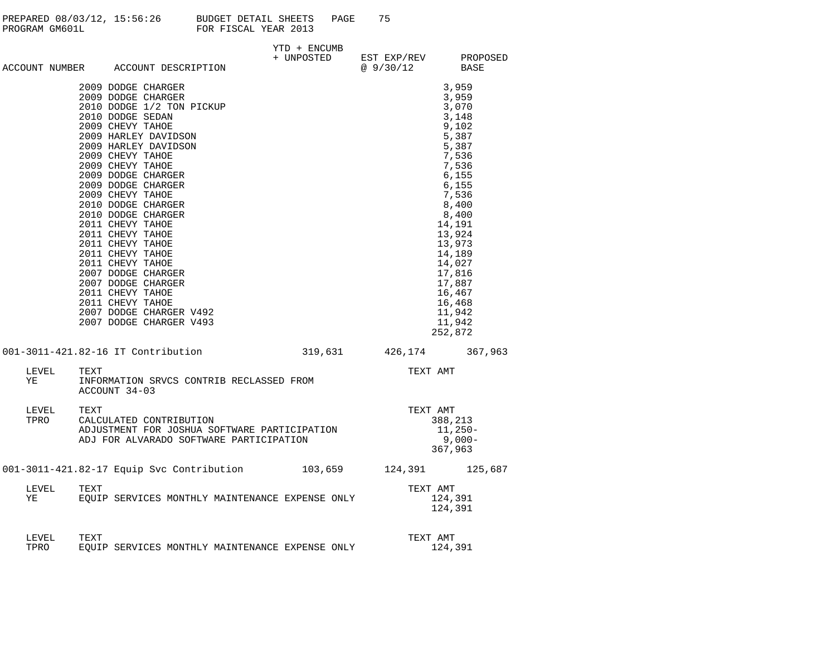| PREPARED 08/03/12, 15:56:26 | BUDGET DETAIL SHEETS | PAGE |  |
|-----------------------------|----------------------|------|--|
| PROGRAM GM601L              | FOR FISCAL YEAR 2013 |      |  |

|               |                                                                                                                                                                                                                                                                                                                                                                                                                                                                                                                                                                 | YTD + ENCUMB |                                              |                                                                                                                                                                                                                                                     |
|---------------|-----------------------------------------------------------------------------------------------------------------------------------------------------------------------------------------------------------------------------------------------------------------------------------------------------------------------------------------------------------------------------------------------------------------------------------------------------------------------------------------------------------------------------------------------------------------|--------------|----------------------------------------------|-----------------------------------------------------------------------------------------------------------------------------------------------------------------------------------------------------------------------------------------------------|
|               | ACCOUNT NUMBER ACCOUNT DESCRIPTION                                                                                                                                                                                                                                                                                                                                                                                                                                                                                                                              |              | + UNPOSTED EST EXP/REV PROPOSED<br>@ 9/30/12 | BASE                                                                                                                                                                                                                                                |
|               | 2009 DODGE CHARGER<br>2009 DODGE CHARGER<br>2010 DODGE 1/2 TON PICKUP<br>2010 DODGE SEDAN<br>2009 CHEVY TAHOE<br>2009 HARLEY DAVIDSON<br>2009 HARLEY DAVIDSON<br>2009 CHEVY TAHOE<br>2009 CHEVY TAHOE<br>2009 DODGE CHARGER<br>2009 DODGE CHARGER<br>2009 CHEVY TAHOE<br>2010 DODGE CHARGER<br>2010 DODGE CHARGER<br>2011 CHEVY TAHOE<br>2011 CHEVY TAHOE<br>2011 CHEVY TAHOE<br>2011 CHEVY TAHOE<br>2011 CHEVY TAHOE<br>2007 DODGE CHARGER<br>2007 DODGE CHARGER<br>2011 CHEVY TAHOE<br>2011 CHEVY TAHOE<br>2007 DODGE CHARGER V492<br>2007 DODGE CHARGER V493 |              |                                              | 3,959<br>3,959<br>3,070<br>3,148<br>9,102<br>5,387<br>5,387<br>7,536<br>7,536<br>6,155<br>6,155<br>7,536<br>8,400<br>8,400<br>14,191<br>13,924<br>13,973<br>14,189<br>14,027<br>17,816<br>17,887<br>16,467<br>16,468<br>11,942<br>11,942<br>252,872 |
|               | 001-3011-421.82-16 IT Contribution                                                                                                                                                                                                                                                                                                                                                                                                                                                                                                                              |              | 319,631 426,174 367,963                      |                                                                                                                                                                                                                                                     |
| LEVEL<br>VE   | TEXT<br>INFORMATION SRVCS CONTRIB RECLASSED FROM<br>ACCOUNT 34-03                                                                                                                                                                                                                                                                                                                                                                                                                                                                                               |              | TEXT AMT                                     |                                                                                                                                                                                                                                                     |
| LEVEL         | TEXT<br>TPRO CALCULATED CONTRIBUTION<br>ADJUSTMENT FOR JOSHUA SOFTWARE PARTICIPATION<br>ADJ FOR ALVARADO SOFTWARE PARTICIPATION                                                                                                                                                                                                                                                                                                                                                                                                                                 |              | TEXT AMT                                     | 388,213<br>11,250-<br>$9,000-$<br>367,963                                                                                                                                                                                                           |
|               | 001-3011-421.82-17 Equip Svc Contribution 103,659 124,391 125,687                                                                                                                                                                                                                                                                                                                                                                                                                                                                                               |              |                                              |                                                                                                                                                                                                                                                     |
| LEVEL<br>YE   | TEXT<br>EQUIP SERVICES MONTHLY MAINTENANCE EXPENSE ONLY                                                                                                                                                                                                                                                                                                                                                                                                                                                                                                         |              | TEXT AMT                                     | 124,391<br>124,391                                                                                                                                                                                                                                  |
| LEVEL<br>TPRO | TEXT<br>EQUIP SERVICES MONTHLY MAINTENANCE EXPENSE ONLY                                                                                                                                                                                                                                                                                                                                                                                                                                                                                                         |              | TEXT AMT                                     | 124,391                                                                                                                                                                                                                                             |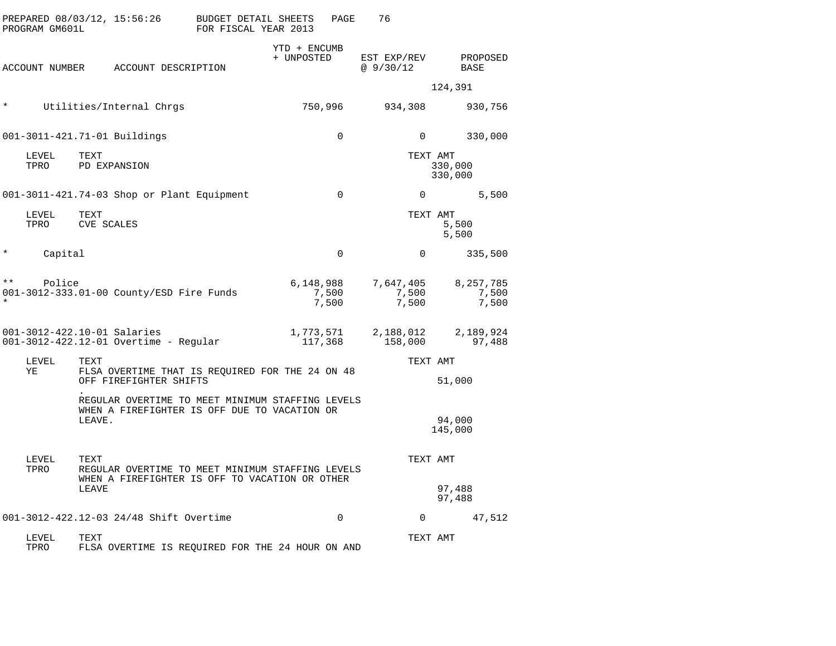|              | PROGRAM GM601L |                           | PREPARED 08/03/12, 15:56:26                                                                        | <b>BUDGET DETAIL SHEETS</b><br>FOR FISCAL YEAR 2013 |                            | PAGE           | 76                          |                             |
|--------------|----------------|---------------------------|----------------------------------------------------------------------------------------------------|-----------------------------------------------------|----------------------------|----------------|-----------------------------|-----------------------------|
|              | ACCOUNT NUMBER |                           | ACCOUNT DESCRIPTION                                                                                |                                                     | YTD + ENCUMB<br>+ UNPOSTED |                | EST EXP/REV<br>@9/30/12     | PROPOSED<br>BASE            |
|              |                |                           |                                                                                                    |                                                     |                            |                |                             | 124,391                     |
| $\star$      |                |                           | Utilities/Internal Chrgs                                                                           |                                                     | 750,996                    |                | 934,308                     | 930,756                     |
|              |                |                           | 001-3011-421.71-01 Buildings                                                                       |                                                     |                            | $\Omega$       | $\Omega$                    | 330,000                     |
|              | LEVEL<br>TPRO  | TEXT                      | PD EXPANSION                                                                                       |                                                     |                            |                | TEXT AMT                    | 330,000<br>330,000          |
|              |                |                           | 001-3011-421.74-03 Shop or Plant Equipment                                                         |                                                     |                            | 0              | $\mathbf 0$                 | 5,500                       |
|              | LEVEL<br>TPRO  | TEXT<br><b>CVE SCALES</b> |                                                                                                    |                                                     |                            |                | TEXT AMT                    | 5,500<br>5,500              |
| $\star$      | Capital        |                           |                                                                                                    |                                                     |                            | $\Omega$       | $\Omega$                    | 335,500                     |
| $\star\star$ | Police         |                           | 001-3012-333.01-00 County/ESD Fire Funds                                                           |                                                     | 6,148,988                  | 7,500<br>7,500 | 7,647,405<br>7,500<br>7,500 | 8,257,785<br>7,500<br>7,500 |
|              |                |                           | 001-3012-422.10-01 Salaries<br>001-3012-422.12-01 Overtime - Regular                               |                                                     | 1,773,571<br>117,368       |                | 2,188,012<br>158,000        | 2,189,924<br>97,488         |
|              | LEVEL<br>ΥE    | TEXT                      | FLSA OVERTIME THAT IS REQUIRED FOR THE 24 ON 48<br>OFF FIREFIGHTER SHIFTS                          |                                                     |                            |                | TEXT AMT                    | 51,000                      |
|              |                | LEAVE.                    | REGULAR OVERTIME TO MEET MINIMUM STAFFING LEVELS<br>WHEN A FIREFIGHTER IS OFF DUE TO VACATION OR   |                                                     |                            |                |                             | 94,000<br>145,000           |
|              | LEVEL<br>TPRO  | TEXT<br>LEAVE             | REGULAR OVERTIME TO MEET MINIMUM STAFFING LEVELS<br>WHEN A FIREFIGHTER IS OFF TO VACATION OR OTHER |                                                     |                            |                | TEXT AMT                    | 97,488<br>97,488            |
|              |                |                           | 001-3012-422.12-03 24/48 Shift Overtime                                                            |                                                     |                            | $\mathbf 0$    | $\Omega$                    | 47,512                      |
|              | LEVEL<br>TPRO  | TEXT                      | FLSA OVERTIME IS REQUIRED FOR THE 24 HOUR ON AND                                                   |                                                     |                            |                | TEXT AMT                    |                             |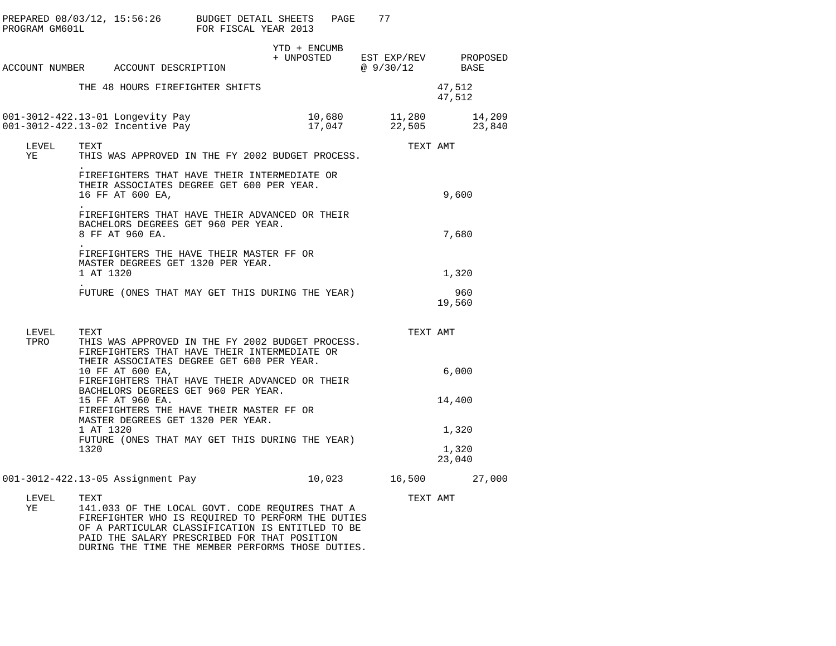| PREPARED 08/03/12, 15:56:26 BUDGET DETAIL SHEETS<br>PROGRAM GM601L FOR FISCAL YEAR 2013 |                                                                      |                                                                                                                                                                                                                                                               |  |              | PAGE | 77                                           |                  |  |
|-----------------------------------------------------------------------------------------|----------------------------------------------------------------------|---------------------------------------------------------------------------------------------------------------------------------------------------------------------------------------------------------------------------------------------------------------|--|--------------|------|----------------------------------------------|------------------|--|
| ACCOUNT NUMBER ACCOUNT DESCRIPTION                                                      |                                                                      |                                                                                                                                                                                                                                                               |  | YTD + ENCUMB |      | + UNPOSTED EST EXP/REV PROPOSED<br>@9/30/12  | BASE             |  |
|                                                                                         |                                                                      | THE 48 HOURS FIREFIGHTER SHIFTS                                                                                                                                                                                                                               |  |              |      |                                              | 47,512<br>47,512 |  |
| 001-3012-422.13-01 Longevity Pay                                                        |                                                                      | 001-3012-422.13-02 Incentive Pay                                                                                                                                                                                                                              |  |              |      | 10,680 11,280 14,209<br>17,047 22,505 23,840 |                  |  |
| LEVEL<br>ΥE                                                                             | TEXT                                                                 | THIS WAS APPROVED IN THE FY 2002 BUDGET PROCESS.                                                                                                                                                                                                              |  |              |      | TEXT AMT                                     |                  |  |
|                                                                                         |                                                                      | FIREFIGHTERS THAT HAVE THEIR INTERMEDIATE OR<br>THEIR ASSOCIATES DEGREE GET 600 PER YEAR.<br>16 FF AT 600 EA,                                                                                                                                                 |  | 9,600        |      |                                              |                  |  |
|                                                                                         |                                                                      | FIREFIGHTERS THAT HAVE THEIR ADVANCED OR THEIR<br>BACHELORS DEGREES GET 960 PER YEAR.<br>8 FF AT 960 EA.                                                                                                                                                      |  | 7,680        |      |                                              |                  |  |
|                                                                                         | 1 AT 1320                                                            | FIREFIGHTERS THE HAVE THEIR MASTER FF OR<br>MASTER DEGREES GET 1320 PER YEAR.                                                                                                                                                                                 |  |              |      |                                              | 1,320            |  |
|                                                                                         |                                                                      | FUTURE (ONES THAT MAY GET THIS DURING THE YEAR)                                                                                                                                                                                                               |  |              |      |                                              | 960<br>19,560    |  |
| LEVEL<br>TPRO                                                                           | TEXT                                                                 | THIS WAS APPROVED IN THE FY 2002 BUDGET PROCESS.<br>FIREFIGHTERS THAT HAVE THEIR INTERMEDIATE OR<br>THEIR ASSOCIATES DEGREE GET 600 PER YEAR.                                                                                                                 |  |              |      | TEXT AMT                                     |                  |  |
|                                                                                         |                                                                      | 10 FF AT 600 EA,<br>FIREFIGHTERS THAT HAVE THEIR ADVANCED OR THEIR<br>BACHELORS DEGREES GET 960 PER YEAR.                                                                                                                                                     |  |              |      |                                              | 6,000            |  |
|                                                                                         |                                                                      | 15 FF AT 960 EA.<br>FIREFIGHTERS THE HAVE THEIR MASTER FF OR<br>MASTER DEGREES GET 1320 PER YEAR.                                                                                                                                                             |  |              |      |                                              | 14,400           |  |
|                                                                                         | 1 AT 1320<br>FUTURE (ONES THAT MAY GET THIS DURING THE YEAR)<br>1320 |                                                                                                                                                                                                                                                               |  |              |      |                                              | 1,320<br>1,320   |  |
|                                                                                         |                                                                      | 001-3012-422.13-05 Assignment Pay                                                                                                                                                                                                                             |  |              |      | 10,023 16,500 27,000                         | 23,040           |  |
| LEVEL<br>YE                                                                             | TEXT                                                                 | 141.033 OF THE LOCAL GOVT. CODE REQUIRES THAT A<br>FIREFIGHTER WHO IS REQUIRED TO PERFORM THE DUTIES<br>OF A PARTICULAR CLASSIFICATION IS ENTITLED TO BE<br>PAID THE SALARY PRESCRIBED FOR THAT POSITION<br>DURING THE TIME THE MEMBER PERFORMS THOSE DUTIES. |  |              |      | TEXT AMT                                     |                  |  |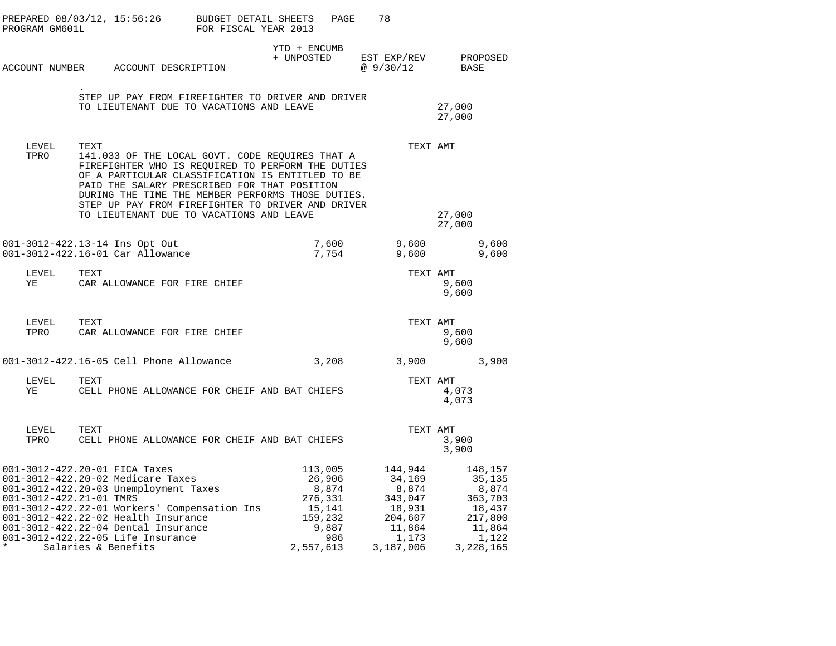| PROGRAM GM601L | PREPARED 08/03/12, 15:56:26                                                                                                                                                                                                                                                                                                      | BUDGET DETAIL SHEETS<br>FOR FISCAL YEAR 2013 | PAGE                                                                                    | 78                                                                                         |                  |                                                                                            |
|----------------|----------------------------------------------------------------------------------------------------------------------------------------------------------------------------------------------------------------------------------------------------------------------------------------------------------------------------------|----------------------------------------------|-----------------------------------------------------------------------------------------|--------------------------------------------------------------------------------------------|------------------|--------------------------------------------------------------------------------------------|
|                | ACCOUNT NUMBER ACCOUNT DESCRIPTION                                                                                                                                                                                                                                                                                               |                                              | YTD + ENCUMB<br>+ UNPOSTED                                                              | EST EXP/REV<br>@ 9/30/12                                                                   | <b>BASE</b>      | PROPOSED                                                                                   |
|                | STEP UP PAY FROM FIREFIGHTER TO DRIVER AND DRIVER<br>TO LIEUTENANT DUE TO VACATIONS AND LEAVE                                                                                                                                                                                                                                    |                                              |                                                                                         |                                                                                            | 27,000<br>27,000 |                                                                                            |
| LEVEL<br>TPRO  | TEXT<br>141.033 OF THE LOCAL GOVT. CODE REQUIRES THAT A<br>FIREFIGHTER WHO IS REQUIRED TO PERFORM THE DUTIES<br>OF A PARTICULAR CLASSIFICATION IS ENTITLED TO BE<br>PAID THE SALARY PRESCRIBED FOR THAT POSITION<br>DURING THE TIME THE MEMBER PERFORMS THOSE DUTIES.<br>STEP UP PAY FROM FIREFIGHTER TO DRIVER AND DRIVER       |                                              |                                                                                         | TEXT AMT                                                                                   |                  |                                                                                            |
|                | TO LIEUTENANT DUE TO VACATIONS AND LEAVE                                                                                                                                                                                                                                                                                         |                                              |                                                                                         |                                                                                            | 27,000<br>27,000 |                                                                                            |
|                | 001-3012-422.13-14 Ins Opt Out<br>001-3012-422.16-01 Car Allowance                                                                                                                                                                                                                                                               |                                              | 7,600<br>7,754                                                                          | 9,600<br>9,600                                                                             |                  | 9,600<br>9,600                                                                             |
| LEVEL<br>YE    | TEXT<br>CAR ALLOWANCE FOR FIRE CHIEF                                                                                                                                                                                                                                                                                             |                                              |                                                                                         | TEXT AMT                                                                                   | 9,600<br>9,600   |                                                                                            |
| LEVEL<br>TPRO  | TEXT<br>CAR ALLOWANCE FOR FIRE CHIEF                                                                                                                                                                                                                                                                                             |                                              |                                                                                         | TEXT AMT                                                                                   | 9,600<br>9,600   |                                                                                            |
|                | 001-3012-422.16-05 Cell Phone Allowance                                                                                                                                                                                                                                                                                          |                                              | 3,208                                                                                   | 3,900                                                                                      |                  | 3,900                                                                                      |
| LEVEL<br>YE    | TEXT<br>CELL PHONE ALLOWANCE FOR CHEIF AND BAT CHIEFS                                                                                                                                                                                                                                                                            |                                              |                                                                                         | TEXT AMT                                                                                   | 4,073<br>4,073   |                                                                                            |
| LEVEL          | TEXT<br>TPRO CELL PHONE ALLOWANCE FOR CHEIF AND BAT CHIEFS                                                                                                                                                                                                                                                                       |                                              |                                                                                         | TEXT AMT                                                                                   | 3,900<br>3,900   |                                                                                            |
|                | 001-3012-422.20-01 FICA Taxes<br>001-3012-422.20-02 Medicare Taxes<br>001-3012-422.20-03 Unemployment Taxes<br>001-3012-422.21-01 TMRS<br>001-3012-422.22-01 Workers' Compensation Ins<br>001-3012-422.22-02 Health Insurance<br>001-3012-422.22-04 Dental Insurance<br>001-3012-422.22-05 Life Insurance<br>Salaries & Benefits |                                              | 113,005<br>26,906<br>8,874<br>276,331<br>15,141<br>159,232<br>9,887<br>986<br>2,557,613 | 144,944<br>34,169<br>8,874<br>343,047<br>18,931<br>204,607<br>11,864<br>1,173<br>3,187,006 |                  | 148,157<br>35,135<br>8,874<br>363,703<br>18,437<br>217,800<br>11,864<br>1,122<br>3,228,165 |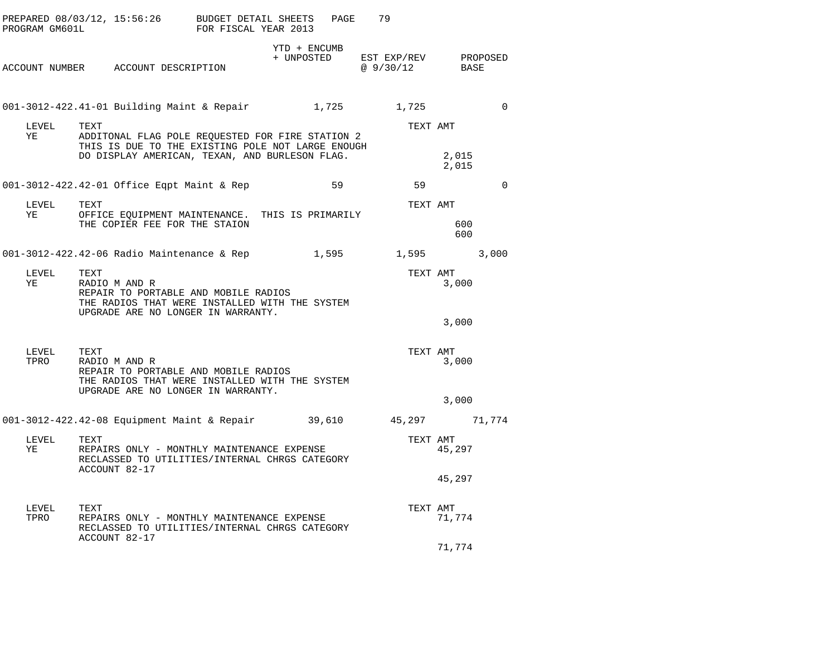|             | PROGRAM GM601L                                                                                                                                        | PREPARED 08/03/12, 15:56:26 BUDGET DETAIL SHEETS                                                                                                                |  | FOR FISCAL YEAR 2013 |              | PAGE  | 79                                                                   |                |             |  |
|-------------|-------------------------------------------------------------------------------------------------------------------------------------------------------|-----------------------------------------------------------------------------------------------------------------------------------------------------------------|--|----------------------|--------------|-------|----------------------------------------------------------------------|----------------|-------------|--|
|             |                                                                                                                                                       | ACCOUNT NUMBER ACCOUNT DESCRIPTION                                                                                                                              |  |                      | YTD + ENCUMB |       | + UNPOSTED EST EXP/REV PROPOSED<br>@9/30/12                          | BASE           |             |  |
|             |                                                                                                                                                       |                                                                                                                                                                 |  |                      |              |       | 001-3012-422.41-01 Building Maint & Repair 1,725 1,725               |                | $\Omega$    |  |
|             | LEVEL<br>YE                                                                                                                                           | TEXT<br>ADDITONAL FLAG POLE REQUESTED FOR FIRE STATION 2<br>THIS IS DUE TO THE EXISTING POLE NOT LARGE ENOUGH<br>DO DISPLAY AMERICAN, TEXAN, AND BURLESON FLAG. |  |                      |              |       | TEXT AMT                                                             | 2,015<br>2,015 |             |  |
|             |                                                                                                                                                       | 001-3012-422.42-01 Office Eqpt Maint & Rep                                                                                                                      |  |                      | 59           |       | 59                                                                   |                | $\mathbf 0$ |  |
|             | LEVEL<br>YE                                                                                                                                           | TEXT<br>OFFICE EQUIPMENT MAINTENANCE. THIS IS PRIMARILY<br>THE COPIER FEE FOR THE STAION                                                                        |  |                      |              |       | TEXT AMT                                                             | 600<br>600     |             |  |
|             |                                                                                                                                                       |                                                                                                                                                                 |  |                      |              |       | 001-3012-422.42-06 Radio Maintenance & Rep $1,595$ 1,595 1,595 3,000 |                |             |  |
| LEVEL<br>YE | TEXT<br>RADIO M AND R<br>REPAIR TO PORTABLE AND MOBILE RADIOS<br>THE RADIOS THAT WERE INSTALLED WITH THE SYSTEM<br>UPGRADE ARE NO LONGER IN WARRANTY. |                                                                                                                                                                 |  |                      | TEXT AMT     | 3,000 |                                                                      |                |             |  |
|             |                                                                                                                                                       |                                                                                                                                                                 |  |                      |              |       |                                                                      | 3,000          |             |  |
|             | LEVEL<br>TPRO                                                                                                                                         | TEXT<br>RADIO M AND R<br>REPAIR TO PORTABLE AND MOBILE RADIOS<br>THE RADIOS THAT WERE INSTALLED WITH THE SYSTEM<br>UPGRADE ARE NO LONGER IN WARRANTY.           |  |                      |              |       | TEXT AMT                                                             | 3,000          |             |  |
|             |                                                                                                                                                       |                                                                                                                                                                 |  |                      |              |       |                                                                      | 3,000          |             |  |
|             |                                                                                                                                                       |                                                                                                                                                                 |  |                      |              |       | 001-3012-422.42-08 Equipment Maint & Repair 39,610 45,297 71,774     |                |             |  |
|             | LEVEL<br>YE                                                                                                                                           | TEXT<br>REPAIRS ONLY - MONTHLY MAINTENANCE EXPENSE<br>RECLASSED TO UTILITIES/INTERNAL CHRGS CATEGORY<br>ACCOUNT 82-17                                           |  |                      |              |       | TEXT AMT                                                             | 45,297         |             |  |
|             |                                                                                                                                                       |                                                                                                                                                                 |  |                      |              |       |                                                                      | 45,297         |             |  |
|             | LEVEL<br>TPRO                                                                                                                                         | TEXT<br>REPAIRS ONLY - MONTHLY MAINTENANCE EXPENSE<br>RECLASSED TO UTILITIES/INTERNAL CHRGS CATEGORY                                                            |  |                      |              |       | TEXT AMT                                                             | 71,774         |             |  |
|             |                                                                                                                                                       | ACCOUNT 82-17                                                                                                                                                   |  |                      |              |       |                                                                      | 71,774         |             |  |
|             |                                                                                                                                                       |                                                                                                                                                                 |  |                      |              |       |                                                                      |                |             |  |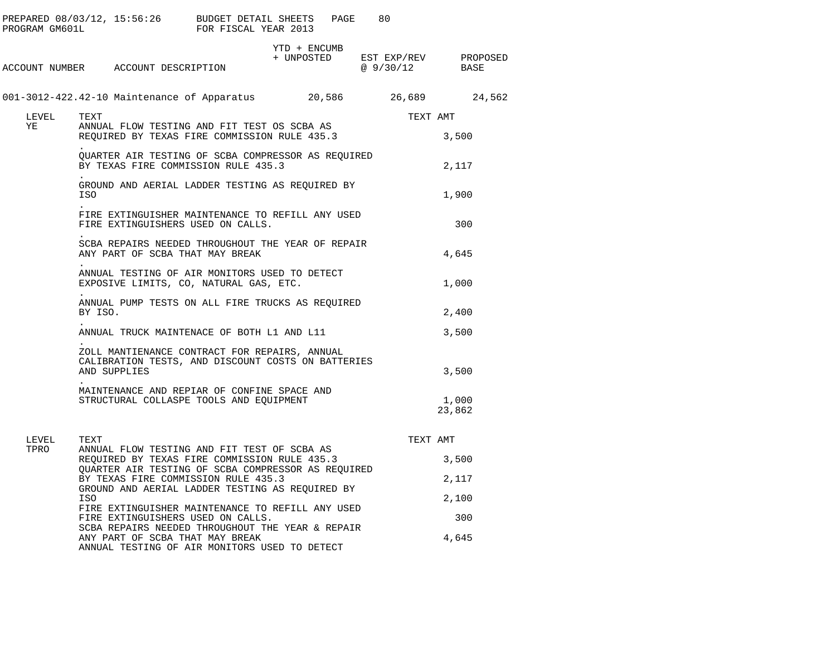| PROGRAM GM601L | PREPARED $08/03/12$ , 15:56:26 BUDGET DETAIL SHEETS                                                                 | FOR FISCAL YEAR 2013 | PAGE         | 80                                                                                                                                             |                 |  |  |  |
|----------------|---------------------------------------------------------------------------------------------------------------------|----------------------|--------------|------------------------------------------------------------------------------------------------------------------------------------------------|-----------------|--|--|--|
|                | ACCOUNT NUMBER ACCOUNT DESCRIPTION                                                                                  |                      | YTD + ENCUMB | $\begin{tabular}{llll} + & UNPOSTED & \quad EST & \quad EXP/REV & \quad & \quad PROPOSED \\ & @ 9/30/12 & \quad & \quad BASE \\ \end{tabular}$ |                 |  |  |  |
|                | 001-3012-422.42-10 Maintenance of Apparatus 20,586 26,689 24,562                                                    |                      |              |                                                                                                                                                |                 |  |  |  |
| LEVEL          | TEXT                                                                                                                | TEXT AMT             |              |                                                                                                                                                |                 |  |  |  |
| YE             | ANNUAL FLOW TESTING AND FIT TEST OS SCBA AS<br>REQUIRED BY TEXAS FIRE COMMISSION RULE 435.3                         |                      | 3,500        |                                                                                                                                                |                 |  |  |  |
|                | QUARTER AIR TESTING OF SCBA COMPRESSOR AS REQUIRED<br>BY TEXAS FIRE COMMISSION RULE 435.3<br>2,117                  |                      |              |                                                                                                                                                |                 |  |  |  |
|                | GROUND AND AERIAL LADDER TESTING AS REQUIRED BY<br>1,900<br>ISO                                                     |                      |              |                                                                                                                                                |                 |  |  |  |
|                | FIRE EXTINGUISHER MAINTENANCE TO REFILL ANY USED<br>FIRE EXTINGUISHERS USED ON CALLS.                               |                      | 300          |                                                                                                                                                |                 |  |  |  |
|                | SCBA REPAIRS NEEDED THROUGHOUT THE YEAR OF REPAIR<br>ANY PART OF SCBA THAT MAY BREAK                                |                      |              |                                                                                                                                                | 4,645           |  |  |  |
|                | ANNUAL TESTING OF AIR MONITORS USED TO DETECT<br>EXPOSIVE LIMITS, CO, NATURAL GAS, ETC.                             |                      |              |                                                                                                                                                | 1,000           |  |  |  |
|                | ANNUAL PUMP TESTS ON ALL FIRE TRUCKS AS REQUIRED<br>BY ISO.                                                         |                      | 2,400        |                                                                                                                                                |                 |  |  |  |
|                | ANNUAL TRUCK MAINTENACE OF BOTH L1 AND L11                                                                          |                      |              |                                                                                                                                                | 3,500           |  |  |  |
|                | ZOLL MANTIENANCE CONTRACT FOR REPAIRS, ANNUAL<br>CALIBRATION TESTS, AND DISCOUNT COSTS ON BATTERIES<br>AND SUPPLIES |                      | 3,500        |                                                                                                                                                |                 |  |  |  |
|                | MAINTENANCE AND REPIAR OF CONFINE SPACE AND<br>STRUCTURAL COLLASPE TOOLS AND EQUIPMENT                              |                      |              |                                                                                                                                                | 1,000<br>23,862 |  |  |  |
| LEVEL          | TEXT                                                                                                                |                      |              | TEXT AMT                                                                                                                                       |                 |  |  |  |
| TPRO           | ANNUAL FLOW TESTING AND FIT TEST OF SCBA AS<br>REQUIRED BY TEXAS FIRE COMMISSION RULE 435.3                         |                      |              |                                                                                                                                                | 3,500           |  |  |  |
|                | QUARTER AIR TESTING OF SCBA COMPRESSOR AS REQUIRED<br>BY TEXAS FIRE COMMISSION RULE 435.3                           |                      |              |                                                                                                                                                | 2,117           |  |  |  |
|                | GROUND AND AERIAL LADDER TESTING AS REQUIRED BY<br>ISO                                                              |                      |              |                                                                                                                                                | 2,100           |  |  |  |
|                | FIRE EXTINGUISHER MAINTENANCE TO REFILL ANY USED<br>FIRE EXTINGUISHERS USED ON CALLS.                               |                      |              |                                                                                                                                                | 300             |  |  |  |
|                | SCBA REPAIRS NEEDED THROUGHOUT THE YEAR & REPAIR<br>ANY PART OF SCBA THAT MAY BREAK                                 |                      |              |                                                                                                                                                | 4,645           |  |  |  |

ANNUAL TESTING OF AIR MONITORS USED TO DETECT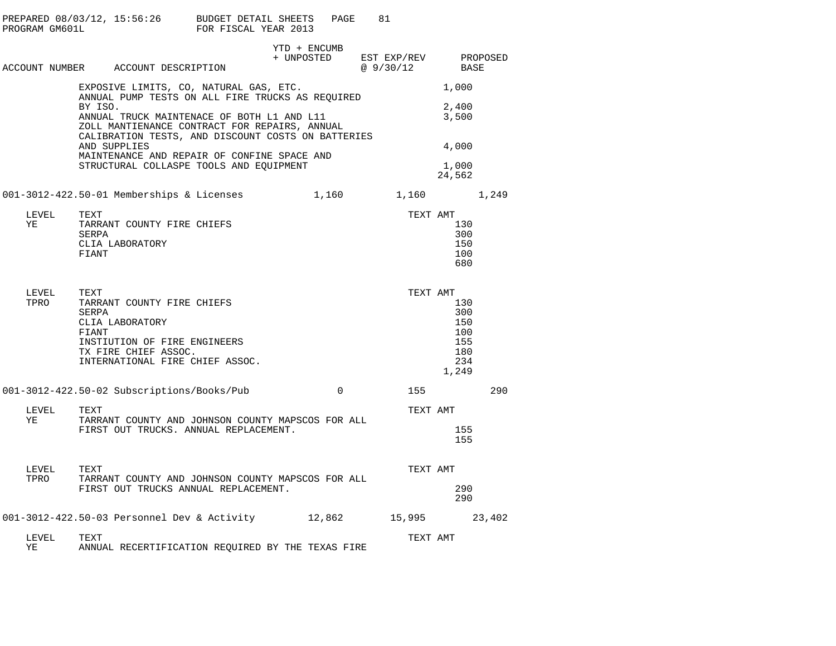| PROGRAM GM601L                          | PREPARED $08/03/12$ , 15:56:26 BUDGET DETAIL SHEETS                                                                                                                | FOR FISCAL YEAR 2013 | PAGE         | 81                                 |                                                        |          |
|-----------------------------------------|--------------------------------------------------------------------------------------------------------------------------------------------------------------------|----------------------|--------------|------------------------------------|--------------------------------------------------------|----------|
|                                         | ACCOUNT NUMBER ACCOUNT DESCRIPTION                                                                                                                                 |                      | YTD + ENCUMB | + UNPOSTED EST EXP/REV<br>@9/30/12 | BASE                                                   | PROPOSED |
|                                         | EXPOSIVE LIMITS, CO, NATURAL GAS, ETC.                                                                                                                             |                      |              |                                    | 1,000                                                  |          |
|                                         | ANNUAL PUMP TESTS ON ALL FIRE TRUCKS AS REOUIRED<br>BY ISO.<br>ANNUAL TRUCK MAINTENACE OF BOTH L1 AND L11<br>ZOLL MANTIENANCE CONTRACT FOR REPAIRS, ANNUAL         |                      |              |                                    | 2,400<br>3,500                                         |          |
|                                         | CALIBRATION TESTS, AND DISCOUNT COSTS ON BATTERIES<br>AND SUPPLIES<br>MAINTENANCE AND REPAIR OF CONFINE SPACE AND                                                  |                      |              |                                    | 4,000                                                  |          |
|                                         | STRUCTURAL COLLASPE TOOLS AND EQUIPMENT                                                                                                                            |                      |              |                                    | 1,000<br>24,562                                        |          |
|                                         | 001-3012-422.50-01 Memberships & Licenses $1,160$ 1,160 $1,249$                                                                                                    |                      |              |                                    |                                                        |          |
| LEVEL<br>ΥE                             | TEXT<br>TARRANT COUNTY FIRE CHIEFS<br>SERPA<br>CLIA LABORATORY<br>FIANT                                                                                            |                      |              | TEXT AMT                           | 130<br>300<br>150<br>100<br>680                        |          |
| LEVEL<br>TPRO                           | TEXT<br>TARRANT COUNTY FIRE CHIEFS<br>SERPA<br>CLIA LABORATORY<br>FIANT<br>INSTIUTION OF FIRE ENGINEERS<br>TX FIRE CHIEF ASSOC.<br>INTERNATIONAL FIRE CHIEF ASSOC. |                      |              | TEXT AMT                           | 130<br>300<br>150<br>100<br>155<br>180<br>234<br>1,249 |          |
|                                         | 001-3012-422.50-02 Subscriptions/Books/Pub                                                                                                                         |                      | $\Omega$     | 155                                |                                                        | 290      |
| LEVEL<br>YE                             | TEXT<br>TARRANT COUNTY AND JOHNSON COUNTY MAPSCOS FOR ALL<br>FIRST OUT TRUCKS. ANNUAL REPLACEMENT.                                                                 |                      |              | TEXT AMT                           | 155<br>155                                             |          |
| ${\tt LEVEL} \qquad {\tt TEXT}$<br>TPRO | TARRANT COUNTY AND JOHNSON COUNTY MAPSCOS FOR ALL<br>FIRST OUT TRUCKS ANNUAL REPLACEMENT.                                                                          |                      |              | TEXT AMT                           | 290<br>290                                             |          |
|                                         | 001-3012-422.50-03 Personnel Dev & Activity 12,862                                                                                                                 |                      |              | 15,995                             |                                                        | 23,402   |
| LEVEL<br>ΥE                             | TEXT<br>ANNUAL RECERTIFICATION REOUIRED BY THE TEXAS FIRE                                                                                                          |                      |              | TEXT AMT                           |                                                        |          |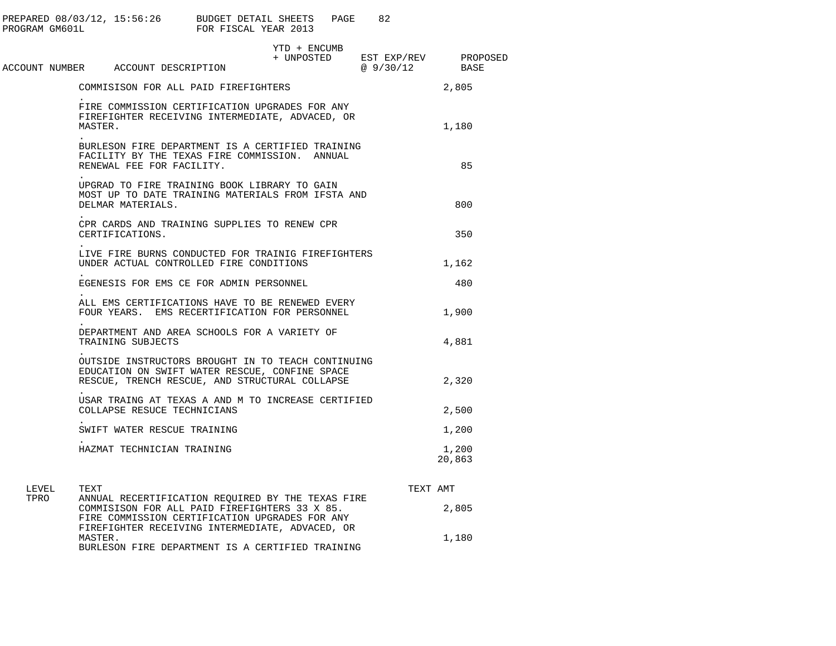| PROGRAM GM601L |                                                                   | PREPARED 08/03/12, 15:56:26 BUDGET DETAIL SHEETS PAGE 82<br>FOR FISCAL YEAR 2013                                                                       |                                              |                 |
|----------------|-------------------------------------------------------------------|--------------------------------------------------------------------------------------------------------------------------------------------------------|----------------------------------------------|-----------------|
|                | ACCOUNT NUMBER ACCOUNT DESCRIPTION                                | YTD + ENCUMB                                                                                                                                           | + UNPOSTED EST EXP/REV PROPOSED<br>@ 9/30/12 | BASE            |
|                |                                                                   | COMMISISON FOR ALL PAID FIREFIGHTERS                                                                                                                   |                                              | 2,805           |
|                | MASTER.                                                           | FIRE COMMISSION CERTIFICATION UPGRADES FOR ANY<br>FIREFIGHTER RECEIVING INTERMEDIATE, ADVACED, OR                                                      |                                              | 1,180           |
|                | RENEWAL FEE FOR FACILITY.                                         | BURLESON FIRE DEPARTMENT IS A CERTIFIED TRAINING<br>FACILITY BY THE TEXAS FIRE COMMISSION. ANNUAL                                                      |                                              | 85              |
|                | DELMAR MATERIALS.                                                 | UPGRAD TO FIRE TRAINING BOOK LIBRARY TO GAIN<br>MOST UP TO DATE TRAINING MATERIALS FROM IFSTA AND                                                      |                                              | 800             |
|                | CERTIFICATIONS.                                                   | CPR CARDS AND TRAINING SUPPLIES TO RENEW CPR                                                                                                           |                                              | 350             |
|                |                                                                   | LIVE FIRE BURNS CONDUCTED FOR TRAINIG FIREFIGHTERS<br>UNDER ACTUAL CONTROLLED FIRE CONDITIONS                                                          |                                              | 1,162           |
|                |                                                                   | EGENESIS FOR EMS CE FOR ADMIN PERSONNEL                                                                                                                |                                              | 480             |
|                |                                                                   | ALL EMS CERTIFICATIONS HAVE TO BE RENEWED EVERY<br>FOUR YEARS. EMS RECERTIFICATION FOR PERSONNEL                                                       |                                              | 1,900           |
|                | DEPARTMENT AND AREA SCHOOLS FOR A VARIETY OF<br>TRAINING SUBJECTS | 4,881                                                                                                                                                  |                                              |                 |
|                |                                                                   | OUTSIDE INSTRUCTORS BROUGHT IN TO TEACH CONTINUING<br>EDUCATION ON SWIFT WATER RESCUE, CONFINE SPACE<br>RESCUE, TRENCH RESCUE, AND STRUCTURAL COLLAPSE |                                              | 2,320           |
|                | COLLAPSE RESUCE TECHNICIANS                                       | USAR TRAING AT TEXAS A AND M TO INCREASE CERTIFIED                                                                                                     |                                              | 2,500           |
|                | SWIFT WATER RESCUE TRAINING                                       |                                                                                                                                                        |                                              | 1,200           |
|                | HAZMAT TECHNICIAN TRAINING                                        |                                                                                                                                                        |                                              | 1,200<br>20,863 |
| LEVEL<br>TPRO  | TEXT                                                              | ANNUAL RECERTIFICATION REQUIRED BY THE TEXAS FIRE                                                                                                      | TEXT AMT                                     |                 |
|                |                                                                   | COMMISISON FOR ALL PAID FIREFIGHTERS 33 X 85.<br>FIRE COMMISSION CERTIFICATION UPGRADES FOR ANY<br>FIREFIGHTER RECEIVING INTERMEDIATE, ADVACED, OR     |                                              | 2,805           |

 $1,180$ 

BURLESON FIRE DEPARTMENT IS A CERTIFIED TRAINING

MASTER.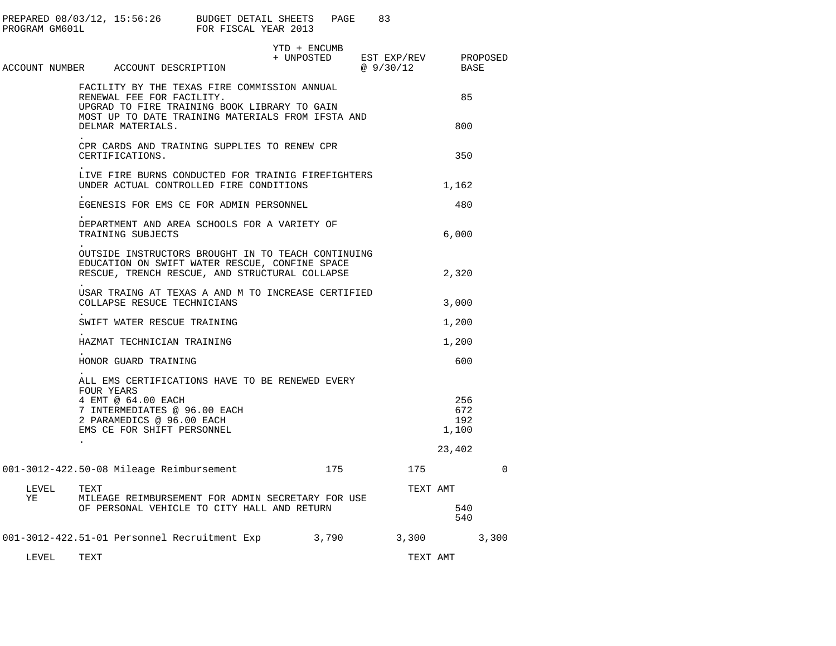| PROGRAM GM601L |                      | PREPARED 08/03/12, 15:56:26 BUDGET DETAIL SHEETS                                                                                                                               | FOR FISCAL YEAR 2013 |                            | PAGE | 83                         |          |                            |          |  |
|----------------|----------------------|--------------------------------------------------------------------------------------------------------------------------------------------------------------------------------|----------------------|----------------------------|------|----------------------------|----------|----------------------------|----------|--|
|                |                      | ACCOUNT NUMBER ACCOUNT DESCRIPTION                                                                                                                                             |                      | YTD + ENCUMB<br>+ UNPOSTED |      | EST EXP/REV<br>@ $9/30/12$ |          | PROPOSED<br>BASE           |          |  |
|                |                      | FACILITY BY THE TEXAS FIRE COMMISSION ANNUAL<br>RENEWAL FEE FOR FACILITY.<br>UPGRAD TO FIRE TRAINING BOOK LIBRARY TO GAIN<br>MOST UP TO DATE TRAINING MATERIALS FROM IFSTA AND |                      |                            |      |                            |          | 85                         |          |  |
|                |                      | DELMAR MATERIALS.                                                                                                                                                              |                      |                            |      |                            |          | 800                        |          |  |
|                |                      | CPR CARDS AND TRAINING SUPPLIES TO RENEW CPR<br>CERTIFICATIONS.                                                                                                                |                      |                            |      |                            |          | 350                        |          |  |
|                |                      | LIVE FIRE BURNS CONDUCTED FOR TRAINIG FIREFIGHTERS<br>UNDER ACTUAL CONTROLLED FIRE CONDITIONS                                                                                  |                      |                            |      |                            |          | 1,162                      |          |  |
|                |                      | EGENESIS FOR EMS CE FOR ADMIN PERSONNEL                                                                                                                                        |                      |                            |      |                            |          | 480                        |          |  |
|                |                      | DEPARTMENT AND AREA SCHOOLS FOR A VARIETY OF<br>TRAINING SUBJECTS                                                                                                              |                      |                            |      |                            |          | 6,000                      |          |  |
|                |                      | OUTSIDE INSTRUCTORS BROUGHT IN TO TEACH CONTINUING<br>EDUCATION ON SWIFT WATER RESCUE, CONFINE SPACE<br>RESCUE, TRENCH RESCUE, AND STRUCTURAL COLLAPSE                         |                      |                            |      |                            |          | 2,320                      |          |  |
|                |                      | USAR TRAING AT TEXAS A AND M TO INCREASE CERTIFIED<br>COLLAPSE RESUCE TECHNICIANS                                                                                              |                      |                            |      |                            |          | 3,000                      |          |  |
|                |                      | SWIFT WATER RESCUE TRAINING                                                                                                                                                    |                      |                            |      |                            |          | 1,200                      |          |  |
|                |                      | HAZMAT TECHNICIAN TRAINING                                                                                                                                                     |                      |                            |      |                            |          | 1,200                      |          |  |
|                |                      | HONOR GUARD TRAINING                                                                                                                                                           |                      |                            |      |                            |          | 600                        |          |  |
|                |                      | ALL EMS CERTIFICATIONS HAVE TO BE RENEWED EVERY<br>FOUR YEARS                                                                                                                  |                      |                            |      |                            |          |                            |          |  |
|                |                      | 4 EMT @ 64.00 EACH<br>7 INTERMEDIATES @ 96.00 EACH<br>2 PARAMEDICS @ 96.00 EACH<br>EMS CE FOR SHIFT PERSONNEL                                                                  |                      |                            |      |                            |          | 256<br>672<br>192<br>1,100 |          |  |
|                | $\ddot{\phantom{0}}$ |                                                                                                                                                                                |                      |                            |      |                            |          | 23,402                     |          |  |
|                |                      | 001-3012-422.50-08 Mileage Reimbursement                                                                                                                                       |                      |                            | 175  | 175                        |          |                            | $\Omega$ |  |
| LEVEL<br>YE    | TEXT                 | MILEAGE REIMBURSEMENT FOR ADMIN SECRETARY FOR USE                                                                                                                              |                      |                            |      |                            | TEXT AMT |                            |          |  |
|                |                      | OF PERSONAL VEHICLE TO CITY HALL AND RETURN                                                                                                                                    |                      |                            |      |                            |          | 540<br>540                 |          |  |
|                |                      | 001-3012-422.51-01 Personnel Recruitment Exp 3,790 3,300                                                                                                                       |                      |                            |      |                            |          | 3,300                      |          |  |
| LEVEL          | TEXT                 |                                                                                                                                                                                |                      |                            |      |                            | TEXT AMT |                            |          |  |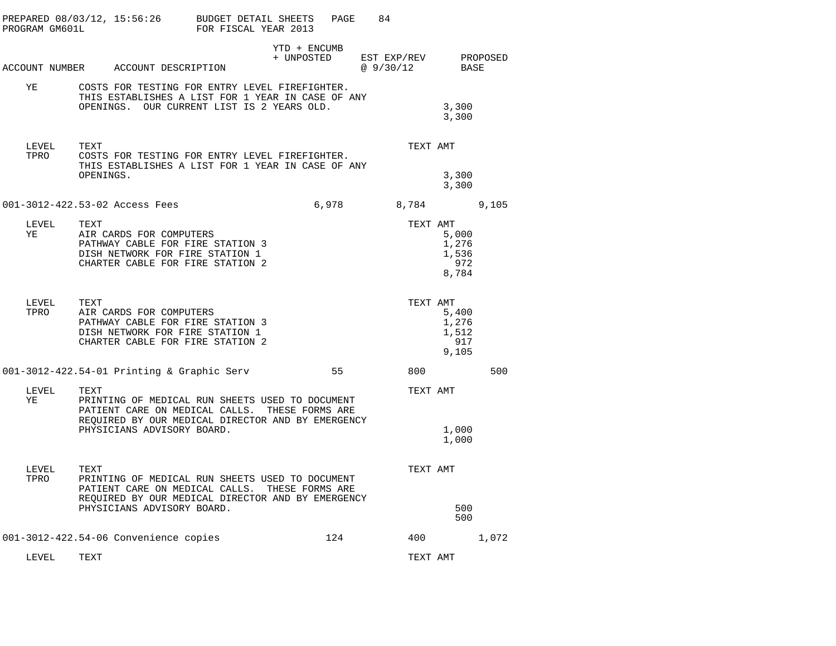| PROGRAM GM601L | PREPARED 08/03/12, 15:56:26           | BUDGET DETAIL SHEETS<br>FOR FISCAL YEAR 2013                                                                                                           | PAGE                       | 84 |                      |                                         |       |  |
|----------------|---------------------------------------|--------------------------------------------------------------------------------------------------------------------------------------------------------|----------------------------|----|----------------------|-----------------------------------------|-------|--|
|                | ACCOUNT NUMBER ACCOUNT DESCRIPTION    |                                                                                                                                                        | YTD + ENCUMB<br>+ UNPOSTED |    | EST EXP/REV PROPOSED |                                         |       |  |
|                |                                       |                                                                                                                                                        |                            |    | @ 9/30/12 BASE       |                                         |       |  |
| YE             |                                       | COSTS FOR TESTING FOR ENTRY LEVEL FIREFIGHTER.<br>THIS ESTABLISHES A LIST FOR 1 YEAR IN CASE OF ANY<br>OPENINGS. OUR CURRENT LIST IS 2 YEARS OLD.      |                            |    |                      | 3,300<br>3,300                          |       |  |
| LEVEL<br>TPRO  | TEXT<br>OPENINGS.                     | COSTS FOR TESTING FOR ENTRY LEVEL FIREFIGHTER.<br>THIS ESTABLISHES A LIST FOR 1 YEAR IN CASE OF ANY                                                    |                            |    | TEXT AMT             | 3,300<br>3,300                          |       |  |
|                | 001-3012-422.53-02 Access Fees        |                                                                                                                                                        | 6,978                      |    | 8,784                |                                         | 9,105 |  |
| LEVEL<br>YE    | TEXT<br>AIR CARDS FOR COMPUTERS       | PATHWAY CABLE FOR FIRE STATION 3<br>DISH NETWORK FOR FIRE STATION 1<br>CHARTER CABLE FOR FIRE STATION 2                                                |                            |    | TEXT AMT             | 5,000<br>1,276<br>1,536<br>972<br>8,784 |       |  |
| LEVEL<br>TPRO  | TEXT<br>AIR CARDS FOR COMPUTERS       | PATHWAY CABLE FOR FIRE STATION 3<br>DISH NETWORK FOR FIRE STATION 1<br>CHARTER CABLE FOR FIRE STATION 2                                                |                            |    | TEXT AMT             | 5,400<br>1,276<br>1,512<br>917<br>9,105 |       |  |
|                |                                       | 001-3012-422.54-01 Printing & Graphic Serv                                                                                                             | 55                         |    | 800                  |                                         | 500   |  |
| LEVEL<br>YE    | TEXT<br>PHYSICIANS ADVISORY BOARD.    | PRINTING OF MEDICAL RUN SHEETS USED TO DOCUMENT<br>PATIENT CARE ON MEDICAL CALLS. THESE FORMS ARE<br>REQUIRED BY OUR MEDICAL DIRECTOR AND BY EMERGENCY |                            |    | TEXT AMT             | 1,000<br>1,000                          |       |  |
| LEVEL<br>TPRO  | TEXT<br>PHYSICIANS ADVISORY BOARD.    | PRINTING OF MEDICAL RUN SHEETS USED TO DOCUMENT<br>PATIENT CARE ON MEDICAL CALLS. THESE FORMS ARE<br>REQUIRED BY OUR MEDICAL DIRECTOR AND BY EMERGENCY |                            |    | TEXT AMT             | 500<br>500                              |       |  |
|                | 001-3012-422.54-06 Convenience copies |                                                                                                                                                        | 124                        |    | 400                  |                                         | 1,072 |  |
| LEVEL          | TEXT                                  |                                                                                                                                                        |                            |    | TEXT AMT             |                                         |       |  |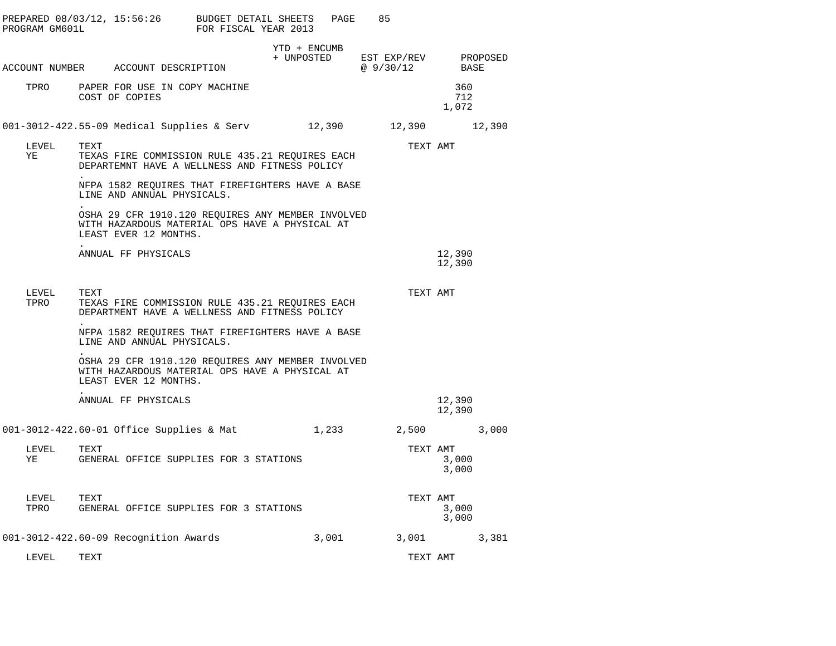| PROGRAM GM601L | PREPARED 08/03/12, 15:56:26 BUDGET DETAIL SHEETS                                                                             | FOR FISCAL YEAR 2013 |              | 85<br>PAGE                                   |                            |       |
|----------------|------------------------------------------------------------------------------------------------------------------------------|----------------------|--------------|----------------------------------------------|----------------------------|-------|
|                | ACCOUNT NUMBER ACCOUNT DESCRIPTION                                                                                           |                      | YTD + ENCUMB | + UNPOSTED EST EXP/REV PROPOSED<br>@ 9/30/12 |                            | BASE  |
| TPRO           | PAPER FOR USE IN COPY MACHINE<br>COST OF COPIES                                                                              |                      |              |                                              | 360<br>712<br>1,072        |       |
|                | 001-3012-422.55-09 Medical Supplies & Serv 12,390 12,390 12,390                                                              |                      |              |                                              |                            |       |
| LEVEL<br>ΥE    | TEXT<br>TEXAS FIRE COMMISSION RULE 435.21 REQUIRES EACH<br>DEPARTEMNT HAVE A WELLNESS AND FITNESS POLICY                     |                      |              |                                              | TEXT AMT                   |       |
|                | NFPA 1582 REQUIRES THAT FIREFIGHTERS HAVE A BASE<br>LINE AND ANNUAL PHYSICALS.                                               |                      |              |                                              |                            |       |
|                | OSHA 29 CFR 1910.120 REQUIRES ANY MEMBER INVOLVED<br>WITH HAZARDOUS MATERIAL OPS HAVE A PHYSICAL AT<br>LEAST EVER 12 MONTHS. |                      |              |                                              |                            |       |
|                | ANNUAL FF PHYSICALS                                                                                                          |                      |              |                                              | 12,390<br>12,390           |       |
| LEVEL<br>TPRO  | TEXT<br>TEXAS FIRE COMMISSION RULE 435.21 REQUIRES EACH<br>DEPARTMENT HAVE A WELLNESS AND FITNESS POLICY                     |                      |              |                                              | TEXT AMT                   |       |
|                | NFPA 1582 REQUIRES THAT FIREFIGHTERS HAVE A BASE<br>LINE AND ANNUAL PHYSICALS.                                               |                      |              |                                              |                            |       |
|                | OSHA 29 CFR 1910.120 REQUIRES ANY MEMBER INVOLVED<br>WITH HAZARDOUS MATERIAL OPS HAVE A PHYSICAL AT<br>LEAST EVER 12 MONTHS. |                      |              |                                              |                            |       |
|                | ANNUAL FF PHYSICALS                                                                                                          |                      |              |                                              | 12,390<br>12,390           |       |
|                | 001-3012-422.60-01 Office Supplies & Mat                                                                                     |                      |              | 1,233 2,500 3,000                            |                            |       |
| LEVEL<br>ΥE    | TEXT<br>GENERAL OFFICE SUPPLIES FOR 3 STATIONS                                                                               |                      |              |                                              | TEXT AMT<br>3,000<br>3,000 |       |
| LEVEL<br>TPRO  | TEXT<br>GENERAL OFFICE SUPPLIES FOR 3 STATIONS                                                                               |                      |              |                                              | TEXT AMT<br>3,000<br>3,000 |       |
|                | 001-3012-422.60-09 Recognition Awards                                                                                        |                      | 3,001        |                                              | 3,001                      | 3,381 |
| LEVEL          | TEXT                                                                                                                         |                      |              |                                              | TEXT AMT                   |       |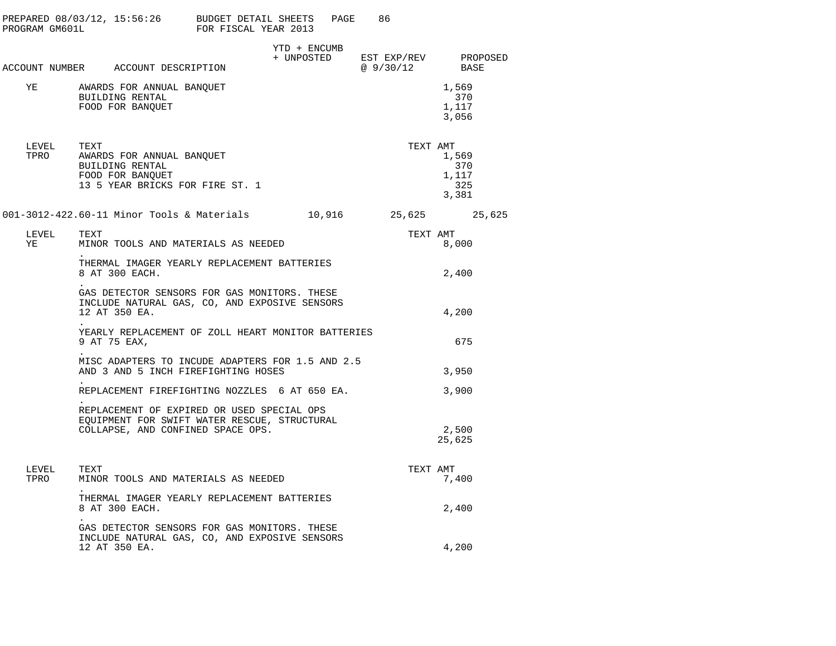| PROGRAM GM601L | PREPARED 08/03/12, 15:56:26 BUDGET DETAIL SHEETS                                                                                | FOR FISCAL YEAR 2013 |              | PAGE<br>86                                                                                           |                                                   |
|----------------|---------------------------------------------------------------------------------------------------------------------------------|----------------------|--------------|------------------------------------------------------------------------------------------------------|---------------------------------------------------|
|                | ACCOUNT NUMBER ACCOUNT DESCRIPTION                                                                                              |                      | YTD + ENCUMB | $\begin{tabular}{llll} + & UNPOSTED & EST EXP/REV & PROPOSED \\ & @ 9/30/12 & BASE \\ \end{tabular}$ |                                                   |
| YE             | AWARDS FOR ANNUAL BANQUET<br>BUILDING RENTAL<br>FOOD FOR BANQUET                                                                |                      |              |                                                                                                      | 1,569<br>370<br>1,117<br>3,056                    |
| LEVEL          | TEXT<br>TPRO AWARDS FOR ANNUAL BANQUET<br>BUILDING RENTAL<br>FOOD FOR BANOUET<br>13 5 YEAR BRICKS FOR FIRE ST. 1                |                      |              |                                                                                                      | TEXT AMT<br>1,569<br>370<br>1,117<br>325<br>3,381 |
|                | 001-3012-422.60-11 Minor Tools & Materials 10,916 25,625 25,625                                                                 |                      |              |                                                                                                      |                                                   |
| LEVEL<br>YE    | TEXT<br>MINOR TOOLS AND MATERIALS AS NEEDED                                                                                     |                      |              | TEXT AMT                                                                                             | 8,000                                             |
|                | THERMAL IMAGER YEARLY REPLACEMENT BATTERIES<br>8 AT 300 EACH.                                                                   |                      |              |                                                                                                      | 2,400                                             |
|                | GAS DETECTOR SENSORS FOR GAS MONITORS. THESE<br>INCLUDE NATURAL GAS, CO, AND EXPOSIVE SENSORS<br>12 AT 350 EA.                  |                      |              |                                                                                                      | 4,200                                             |
|                | YEARLY REPLACEMENT OF ZOLL HEART MONITOR BATTERIES<br>9 AT 75 EAX,                                                              |                      |              |                                                                                                      | 675                                               |
|                | MISC ADAPTERS TO INCUDE ADAPTERS FOR 1.5 AND 2.5<br>AND 3 AND 5 INCH FIREFIGHTING HOSES                                         |                      |              |                                                                                                      | 3,950                                             |
|                | REPLACEMENT FIREFIGHTING NOZZLES 6 AT 650 EA.                                                                                   |                      |              |                                                                                                      | 3,900                                             |
|                | REPLACEMENT OF EXPIRED OR USED SPECIAL OPS<br>EQUIPMENT FOR SWIFT WATER RESCUE, STRUCTURAL<br>COLLAPSE, AND CONFINED SPACE OPS. |                      |              |                                                                                                      | 2,500<br>25,625                                   |
| LEVEL<br>TPRO  | TEXT<br>MINOR TOOLS AND MATERIALS AS NEEDED                                                                                     |                      |              | TEXT AMT                                                                                             | 7,400                                             |
|                | THERMAL IMAGER YEARLY REPLACEMENT BATTERIES<br>8 AT 300 EACH.                                                                   |                      |              |                                                                                                      | 2,400                                             |
|                | GAS DETECTOR SENSORS FOR GAS MONITORS. THESE<br>INCLUDE NATURAL GAS, CO, AND EXPOSIVE SENSORS<br>12 AT 350 EA.                  |                      |              |                                                                                                      | 4,200                                             |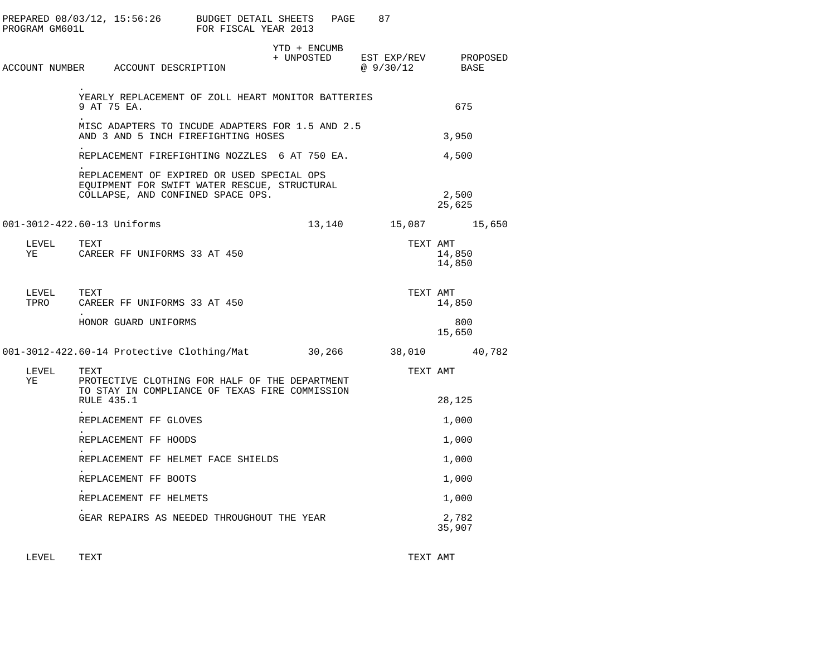|    | PROGRAM GM601L     |             |                                    | PREPARED $08/03/12$ , $15:56:26$ BUDGET DETAIL SHEETS<br>FOR FISCAL YEAR 2013                                                   |              | PAGE   | 87                                           |                  |  |
|----|--------------------|-------------|------------------------------------|---------------------------------------------------------------------------------------------------------------------------------|--------------|--------|----------------------------------------------|------------------|--|
|    |                    |             | ACCOUNT NUMBER ACCOUNT DESCRIPTION |                                                                                                                                 | YTD + ENCUMB |        | + UNPOSTED EST EXP/REV PROPOSED<br>@ 9/30/12 | BASE             |  |
|    |                    | 9 AT 75 EA. |                                    | YEARLY REPLACEMENT OF ZOLL HEART MONITOR BATTERIES                                                                              |              |        |                                              | 675              |  |
|    |                    |             |                                    | MISC ADAPTERS TO INCUDE ADAPTERS FOR 1.5 AND 2.5<br>AND 3 AND 5 INCH FIREFIGHTING HOSES                                         |              |        |                                              | 3,950            |  |
|    |                    |             |                                    | REPLACEMENT FIREFIGHTING NOZZLES 6 AT 750 EA.                                                                                   |              |        |                                              | 4,500            |  |
|    |                    |             |                                    | REPLACEMENT OF EXPIRED OR USED SPECIAL OPS<br>EQUIPMENT FOR SWIFT WATER RESCUE, STRUCTURAL<br>COLLAPSE, AND CONFINED SPACE OPS. |              |        |                                              | 2,500<br>25,625  |  |
|    |                    |             | 001-3012-422.60-13 Uniforms        |                                                                                                                                 |              | 13,140 | 15,087 15,650                                |                  |  |
| YE | LEVEL TEXT         |             | CAREER FF UNIFORMS 33 AT 450       |                                                                                                                                 |              |        | TEXT AMT                                     | 14,850<br>14,850 |  |
|    | LEVEL TEXT<br>TPRO |             | CAREER FF UNIFORMS 33 AT 450       |                                                                                                                                 |              |        | TEXT AMT                                     | 14,850           |  |
|    |                    |             | HONOR GUARD UNIFORMS               |                                                                                                                                 |              |        |                                              | 800<br>15,650    |  |
|    |                    |             |                                    | 001-3012-422.60-14 Protective Clothing/Mat 30,266 38,010 40,782                                                                 |              |        |                                              |                  |  |
| YE | LEVEL              | TEXT        |                                    | PROTECTIVE CLOTHING FOR HALF OF THE DEPARTMENT<br>TO STAY IN COMPLIANCE OF TEXAS FIRE COMMISSION                                |              |        | TEXT AMT                                     |                  |  |
|    |                    | RULE 435.1  |                                    |                                                                                                                                 |              |        |                                              | 28,125           |  |
|    |                    |             | REPLACEMENT FF GLOVES              |                                                                                                                                 |              |        |                                              | 1,000            |  |
|    |                    |             | REPLACEMENT FF HOODS               |                                                                                                                                 |              |        |                                              | 1,000            |  |
|    |                    |             |                                    | REPLACEMENT FF HELMET FACE SHIELDS                                                                                              |              |        |                                              | 1,000            |  |
|    |                    |             | REPLACEMENT FF BOOTS               |                                                                                                                                 |              |        |                                              | 1,000            |  |
|    |                    |             | REPLACEMENT FF HELMETS             |                                                                                                                                 |              |        |                                              | 1,000            |  |
|    |                    |             |                                    | GEAR REPAIRS AS NEEDED THROUGHOUT THE YEAR                                                                                      |              |        |                                              | 2,782<br>35,907  |  |

LEVEL TEXT TEXT AMT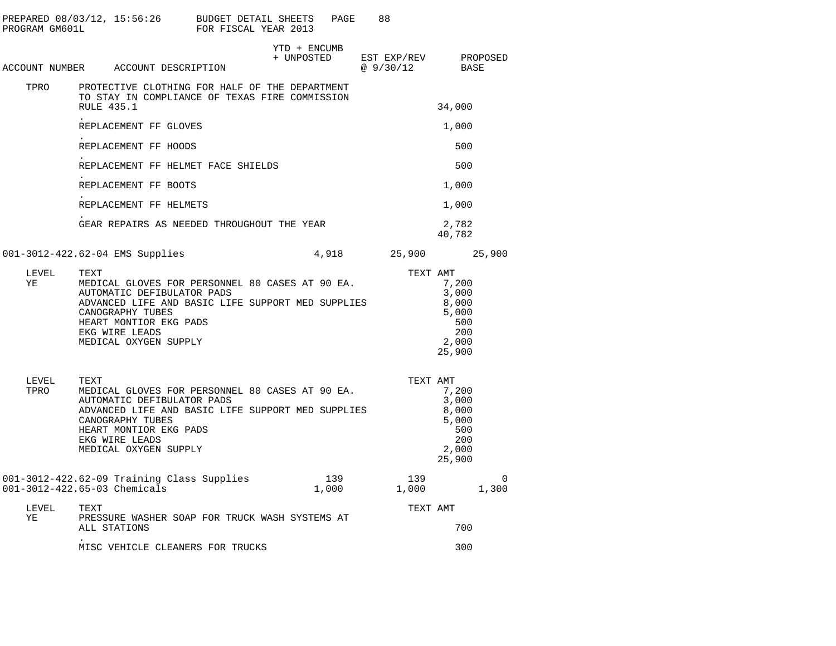| PROGRAM GM601L | PREPARED 08/03/12, 15:56:26 BUDGET DETAIL SHEETS                                                                                                                                                                                    | FOR FISCAL YEAR 2013 | PAGE         | 88                                  |                                                                   |                   |
|----------------|-------------------------------------------------------------------------------------------------------------------------------------------------------------------------------------------------------------------------------------|----------------------|--------------|-------------------------------------|-------------------------------------------------------------------|-------------------|
|                | ACCOUNT NUMBER ACCOUNT DESCRIPTION                                                                                                                                                                                                  | + UNPOSTED           | YTD + ENCUMB | EST EXP/REV PROPOSED<br>@ $9/30/12$ | BASE                                                              |                   |
| TPRO           | PROTECTIVE CLOTHING FOR HALF OF THE DEPARTMENT<br>TO STAY IN COMPLIANCE OF TEXAS FIRE COMMISSION<br>RULE 435.1                                                                                                                      |                      |              |                                     | 34,000                                                            |                   |
|                | REPLACEMENT FF GLOVES                                                                                                                                                                                                               |                      |              |                                     | 1,000                                                             |                   |
|                | REPLACEMENT FF HOODS                                                                                                                                                                                                                |                      |              |                                     | 500                                                               |                   |
|                | REPLACEMENT FF HELMET FACE SHIELDS                                                                                                                                                                                                  |                      |              |                                     | 500                                                               |                   |
|                | REPLACEMENT FF BOOTS                                                                                                                                                                                                                |                      |              |                                     | 1,000                                                             |                   |
|                | REPLACEMENT FF HELMETS                                                                                                                                                                                                              |                      |              |                                     | 1,000                                                             |                   |
|                | GEAR REPAIRS AS NEEDED THROUGHOUT THE YEAR                                                                                                                                                                                          |                      |              |                                     | 2,782<br>40,782                                                   |                   |
|                | 001-3012-422.62-04 EMS Supplies                                                                                                                                                                                                     |                      |              | 4,918 25,900 25,900                 |                                                                   |                   |
| LEVEL<br>ΥE    | TEXT<br>MEDICAL GLOVES FOR PERSONNEL 80 CASES AT 90 EA.<br>AUTOMATIC DEFIBULATOR PADS<br>ADVANCED LIFE AND BASIC LIFE SUPPORT MED SUPPLIES<br>CANOGRAPHY TUBES<br>HEART MONTIOR EKG PADS<br>EKG WIRE LEADS<br>MEDICAL OXYGEN SUPPLY |                      |              | TEXT AMT                            | 7,200<br>3,000<br>8,000<br>5,000<br>500<br>200<br>2,000<br>25,900 |                   |
| LEVEL<br>TPRO  | TEXT<br>MEDICAL GLOVES FOR PERSONNEL 80 CASES AT 90 EA.<br>AUTOMATIC DEFIBULATOR PADS<br>ADVANCED LIFE AND BASIC LIFE SUPPORT MED SUPPLIES<br>CANOGRAPHY TUBES<br>HEART MONTIOR EKG PADS<br>EKG WIRE LEADS<br>MEDICAL OXYGEN SUPPLY |                      |              | TEXT AMT                            | 7,200<br>3,000<br>8,000<br>5,000<br>500<br>200<br>2,000<br>25,900 |                   |
|                | 001-3012-422.62-09 Training Class Supplies<br>001-3012-422.65-03 Chemicals                                                                                                                                                          |                      | 139<br>1,000 | 139<br>1,000                        |                                                                   | $\Omega$<br>1,300 |
| LEVEL<br>ΥE    | TEXT<br>PRESSURE WASHER SOAP FOR TRUCK WASH SYSTEMS AT<br>ALL STATIONS                                                                                                                                                              |                      |              | TEXT AMT                            | 700                                                               |                   |
|                | MISC VEHICLE CLEANERS FOR TRUCKS                                                                                                                                                                                                    |                      |              |                                     | 300                                                               |                   |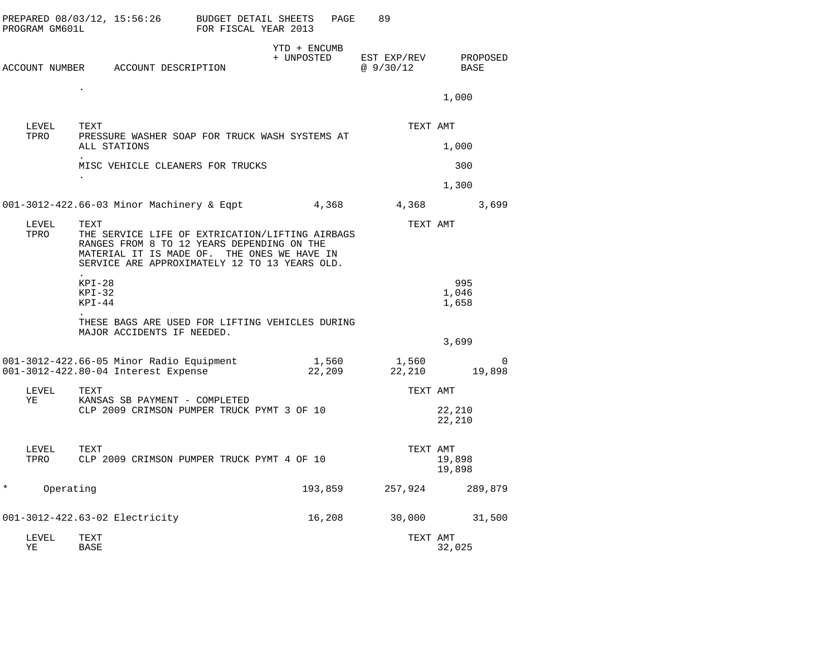|   | LEVEL<br>ΥE    | TEXT<br><b>BASE</b>                                                                                                                                                                                   |                                              |                            |                 | TEXT AMT                | 32,025                |
|---|----------------|-------------------------------------------------------------------------------------------------------------------------------------------------------------------------------------------------------|----------------------------------------------|----------------------------|-----------------|-------------------------|-----------------------|
|   |                | 001-3012-422.63-02 Electricity                                                                                                                                                                        |                                              |                            | 16,208          | 30,000                  | 31,500                |
| * | Operating      |                                                                                                                                                                                                       |                                              |                            | 193,859         | 257,924                 | 289,879               |
|   | LEVEL<br>TPRO  | TEXT<br>CLP 2009 CRIMSON PUMPER TRUCK PYMT 4 OF 10                                                                                                                                                    |                                              |                            |                 | TEXT AMT                | 19,898<br>19,898      |
|   | LEVEL<br>ΥE    | TEXT<br>KANSAS SB PAYMENT - COMPLETED<br>CLP 2009 CRIMSON PUMPER TRUCK PYMT 3 OF 10                                                                                                                   |                                              |                            |                 | TEXT AMT                | 22,210<br>22,210      |
|   |                | 001-3012-422.66-05 Minor Radio Equipment<br>001-3012-422.80-04 Interest Expense                                                                                                                       |                                              |                            | 1,560<br>22,209 | 1,560<br>22,210         | $\Omega$<br>19,898    |
|   |                | THESE BAGS ARE USED FOR LIFTING VEHICLES DURING<br>MAJOR ACCIDENTS IF NEEDED.                                                                                                                         |                                              |                            |                 |                         | 3,699                 |
|   |                | $KPI-28$<br>$KPI-32$<br>KPI-44                                                                                                                                                                        |                                              |                            |                 |                         | 995<br>1,046<br>1,658 |
|   | LEVEL<br>TPRO  | TEXT<br>THE SERVICE LIFE OF EXTRICATION/LIFTING AIRBAGS<br>RANGES FROM 8 TO 12 YEARS DEPENDING ON THE<br>MATERIAL IT IS MADE OF. THE ONES WE HAVE IN<br>SERVICE ARE APPROXIMATELY 12 TO 13 YEARS OLD. |                                              |                            |                 | TEXT AMT                |                       |
|   |                | 001-3012-422.66-03 Minor Machinery & Eqpt 4,368                                                                                                                                                       |                                              |                            |                 | 4,368                   | 3,699                 |
|   |                | MISC VEHICLE CLEANERS FOR TRUCKS<br>$\bullet$                                                                                                                                                         |                                              |                            |                 |                         | 300<br>1,300          |
|   | LEVEL<br>TPRO  | TEXT<br>PRESSURE WASHER SOAP FOR TRUCK WASH SYSTEMS AT<br>ALL STATIONS                                                                                                                                |                                              |                            |                 | TEXT AMT                | 1,000                 |
|   |                |                                                                                                                                                                                                       |                                              |                            |                 |                         | 1,000                 |
|   | ACCOUNT NUMBER | ACCOUNT DESCRIPTION                                                                                                                                                                                   |                                              | YTD + ENCUMB<br>+ UNPOSTED |                 | EST EXP/REV<br>@9/30/12 | PROPOSED<br>BASE      |
|   | PROGRAM GM601L | PREPARED 08/03/12, 15:56:26                                                                                                                                                                           | BUDGET DETAIL SHEETS<br>FOR FISCAL YEAR 2013 |                            | PAGE            | 89                      |                       |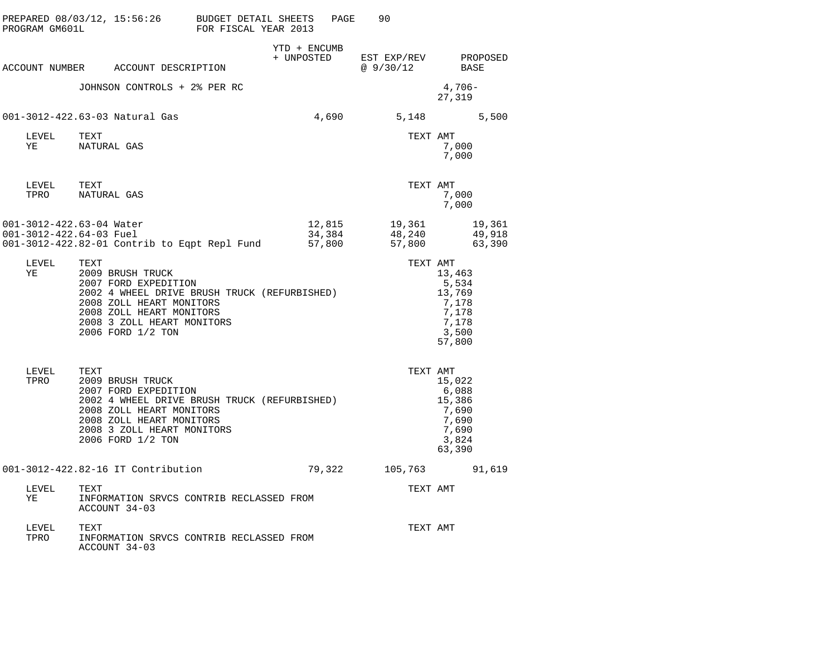| PROGRAM GM601L                                      | PREPARED 08/03/12, 15:56:26 BUDGET DETAIL SHEETS                                                                                                                                                            | FOR FISCAL YEAR 2013 | PAGE                       | 90                                                                                                                                                        |                                                                         |
|-----------------------------------------------------|-------------------------------------------------------------------------------------------------------------------------------------------------------------------------------------------------------------|----------------------|----------------------------|-----------------------------------------------------------------------------------------------------------------------------------------------------------|-------------------------------------------------------------------------|
|                                                     | ACCOUNT NUMBER ACCOUNT DESCRIPTION                                                                                                                                                                          |                      | YTD + ENCUMB<br>+ UNPOSTED | EST EXP/REV<br>@9/30/12                                                                                                                                   | PROPOSED<br>BASE                                                        |
|                                                     | JOHNSON CONTROLS + 2% PER RC                                                                                                                                                                                |                      |                            |                                                                                                                                                           | 4,706-<br>27,319                                                        |
|                                                     | 001-3012-422.63-03 Natural Gas                                                                                                                                                                              |                      | 4,690                      |                                                                                                                                                           | 5,148 5,500                                                             |
| LEVEL<br>YE                                         | TEXT<br>NATURAL GAS                                                                                                                                                                                         |                      |                            | TEXT AMT                                                                                                                                                  | 7,000<br>7,000                                                          |
| LEVEL TEXT<br>TPRO                                  | NATURAL GAS                                                                                                                                                                                                 |                      |                            | TEXT AMT                                                                                                                                                  | 7,000<br>7,000                                                          |
| 001-3012-422.63-04 Water<br>001-3012-422.64-03 Fuel | 001-3012-422.82-01 Contrib to Eqpt Repl Fund                                                                                                                                                                |                      | 57,800                     | $\begin{array}{lllll} 12\, , 815 & \quad & 19\, , 361 & \quad & 19\, , 361 \\ 34\, , 384 & \quad & 48\, , 240 & \quad & 49\, , 918 \end{array}$<br>57,800 | 63,390                                                                  |
| LEVEL<br>YE                                         | TEXT<br>2009 BRUSH TRUCK<br>2007 FORD EXPEDITION<br>2002 4 WHEEL DRIVE BRUSH TRUCK (REFURBISHED)<br>2008 ZOLL HEART MONITORS<br>2008 ZOLL HEART MONITORS<br>2008 3 ZOLL HEART MONITORS<br>2006 FORD 1/2 TON |                      |                            | TEXT AMT                                                                                                                                                  | 13,463<br>5,534<br>13,769<br>7,178<br>7,178<br>7,178<br>3,500<br>57,800 |
| LEVEL TEXT<br>TPRO                                  | 2009 BRUSH TRUCK<br>2007 FORD EXPEDITION<br>2002 4 WHEEL DRIVE BRUSH TRUCK (REFURBISHED)<br>2008 ZOLL HEART MONITORS<br>2008 ZOLL HEART MONITORS<br>2008 3 ZOLL HEART MONITORS<br>2006 FORD 1/2 TON         |                      |                            | TEXT AMT                                                                                                                                                  | 15,022<br>6,088<br>15,386<br>7,690<br>7,690<br>7,690<br>3,824<br>63,390 |
|                                                     | 001-3012-422.82-16 IT Contribution                                                                                                                                                                          |                      | 79,322                     |                                                                                                                                                           | 105,763 91,619                                                          |
| LEVEL<br>ΥE                                         | TEXT<br>INFORMATION SRVCS CONTRIB RECLASSED FROM<br>ACCOUNT 34-03                                                                                                                                           |                      |                            | TEXT AMT                                                                                                                                                  |                                                                         |
| LEVEL<br>TPRO                                       | TEXT<br>INFORMATION SRVCS CONTRIB RECLASSED FROM<br>ACCOUNT 34-03                                                                                                                                           |                      |                            | TEXT AMT                                                                                                                                                  |                                                                         |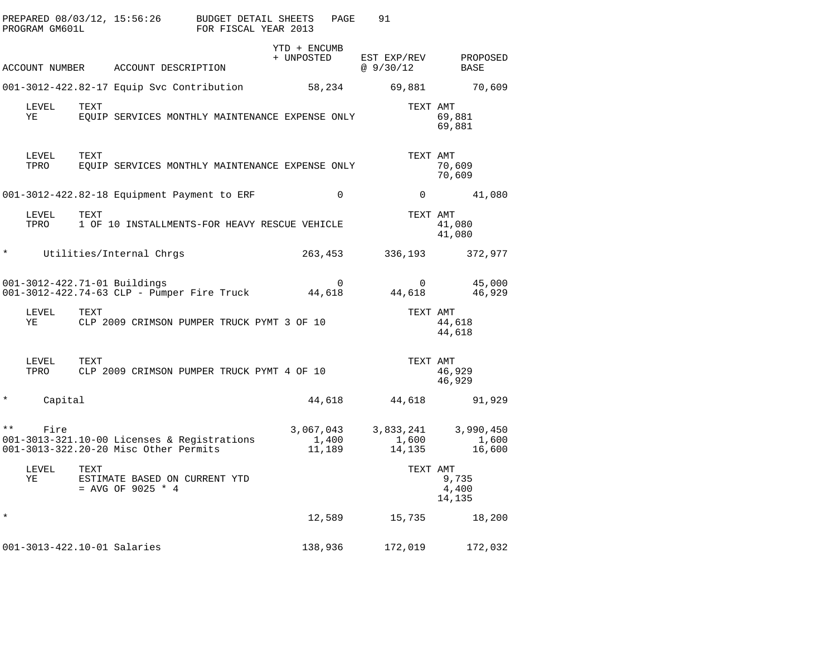|              | PROGRAM GM601L              |      | PREPARED 08/03/12, 15:56:26                                                          | <b>BUDGET DETAIL SHEETS</b><br>FOR FISCAL YEAR 2013 | PAGE            | 91                           |                                      |
|--------------|-----------------------------|------|--------------------------------------------------------------------------------------|-----------------------------------------------------|-----------------|------------------------------|--------------------------------------|
|              |                             |      | ACCOUNT NUMBER ACCOUNT DESCRIPTION                                                   | YTD + ENCUMB<br>+ UNPOSTED                          |                 | EST EXP/REV<br>@ 9/30/12     | PROPOSED<br>BASE                     |
|              |                             |      | 001-3012-422.82-17 Equip Svc Contribution                                            |                                                     | 58,234          | 69,881                       | 70,609                               |
|              | LEVEL<br>ΥE                 | TEXT | EOUIP SERVICES MONTHLY MAINTENANCE EXPENSE ONLY                                      |                                                     |                 |                              | TEXT AMT<br>69,881<br>69,881         |
|              | LEVEL<br>TPRO               | TEXT | EQUIP SERVICES MONTHLY MAINTENANCE EXPENSE ONLY                                      |                                                     |                 |                              | TEXT AMT<br>70,609<br>70,609         |
|              |                             |      | 001-3012-422.82-18 Equipment Payment to ERF                                          |                                                     | $\mathbf 0$     |                              | $0 \qquad \qquad$<br>41,080          |
|              | LEVEL<br>TPRO               | TEXT | 1 OF 10 INSTALLMENTS-FOR HEAVY RESCUE VEHICLE                                        |                                                     |                 |                              | TEXT AMT<br>41,080<br>41,080         |
| $^\star$     |                             |      | Utilities/Internal Chrgs                                                             |                                                     | 263,453         | 336,193                      | 372,977                              |
|              |                             |      | 001-3012-422.71-01 Buildings<br>001-3012-422.74-63 CLP - Pumper Fire Truck           | 44,618                                              | 0               | $\overline{0}$<br>44,618     | 45,000<br>46,929                     |
|              | LEVEL<br>YE                 | TEXT | CLP 2009 CRIMSON PUMPER TRUCK PYMT 3 OF 10                                           |                                                     |                 |                              | TEXT AMT<br>44,618<br>44,618         |
|              | LEVEL<br>TPRO               | TEXT | CLP 2009 CRIMSON PUMPER TRUCK PYMT 4 OF 10                                           |                                                     |                 |                              | TEXT AMT<br>46,929<br>46,929         |
| $^\star$     | Capital                     |      |                                                                                      |                                                     | 44,618          | 44,618                       | 91,929                               |
| $\star\star$ | Fire                        |      | 001-3013-321.10-00 Licenses & Registrations<br>001-3013-322.20-20 Misc Other Permits | 3,067,043                                           | 1,400<br>11,189 | 3,833,241<br>1,600<br>14,135 | 3,990,450<br>1,600<br>16,600         |
|              | LEVEL<br>ΥE                 | TEXT | ESTIMATE BASED ON CURRENT YTD<br>= AVG OF 9025 $*$ 4                                 |                                                     |                 |                              | TEXT AMT<br>9,735<br>4,400<br>14,135 |
| $\star$      |                             |      |                                                                                      |                                                     | 12,589          | 15,735                       | 18,200                               |
|              | 001-3013-422.10-01 Salaries |      |                                                                                      | 138,936                                             |                 | 172,019                      | 172,032                              |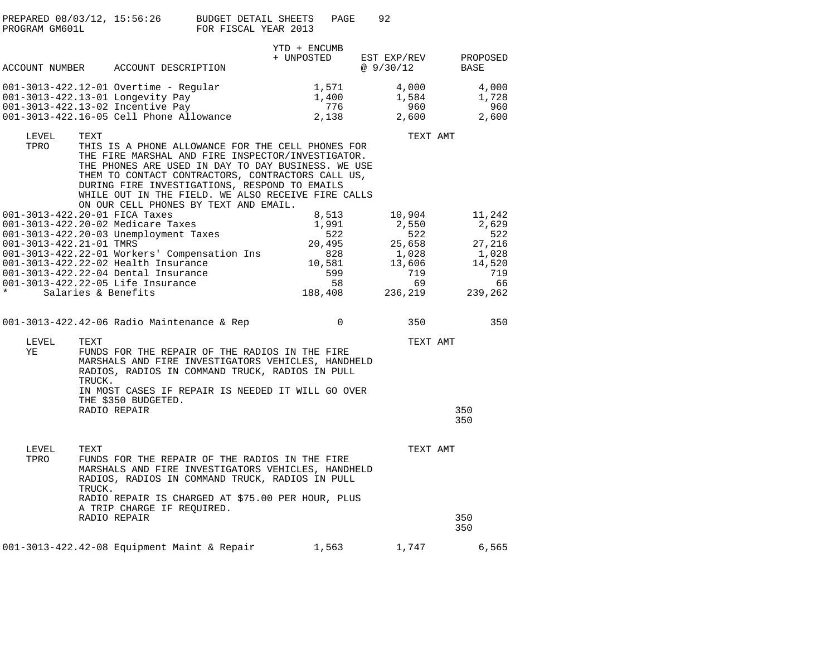| PREPARED 08/03/12, 15:56:26 | BUDGET DETAIL SHEETS | PAGE |  |
|-----------------------------|----------------------|------|--|
| PROGRAM GM601L              | FOR FISCAL YEAR 2013 |      |  |

|                                                          |                |                                                                                                                                                                                                                                                                                                                                                                   | YTD + ENCUMB                                                             |                                                         |                  |                                                                             |
|----------------------------------------------------------|----------------|-------------------------------------------------------------------------------------------------------------------------------------------------------------------------------------------------------------------------------------------------------------------------------------------------------------------------------------------------------------------|--------------------------------------------------------------------------|---------------------------------------------------------|------------------|-----------------------------------------------------------------------------|
|                                                          |                | ACCOUNT NUMBER ACCOUNT DESCRIPTION                                                                                                                                                                                                                                                                                                                                | + UNPOSTED                                                               | EST EXP/REV<br>@9/30/12                                 |                  | PROPOSED<br>BASE                                                            |
|                                                          |                | $001 - 3013 - 422.12 - 01$ Overtime - Regular<br>001-3013-422.13-01 Longevity Pay<br>001-3013-422.13-02 Incentive Pay<br>001-3013-422.16-05 Cell Phone Allowance                                                                                                                                                                                                  | 1,571<br>1,400<br>776<br>2,138                                           | 4,000<br>1,584<br>2,600                                 | 960              | 4,000<br>1,728<br>960<br>2,600                                              |
| LEVEL<br>TPRO                                            | TEXT           | THIS IS A PHONE ALLOWANCE FOR THE CELL PHONES FOR<br>THE FIRE MARSHAL AND FIRE INSPECTOR/INVESTIGATOR.<br>THE PHONES ARE USED IN DAY TO DAY BUSINESS. WE USE<br>THEM TO CONTACT CONTRACTORS, CONTRACTORS CALL US,<br>DURING FIRE INVESTIGATIONS, RESPOND TO EMAILS<br>WHILE OUT IN THE FIELD. WE ALSO RECEIVE FIRE CALLS<br>ON OUR CELL PHONES BY TEXT AND EMAIL. |                                                                          |                                                         | TEXT AMT         |                                                                             |
| 001-3013-422.20-01 FICA Taxes<br>001-3013-422.21-01 TMRS |                | 001-3013-422.20-02 Medicare Taxes<br>001-3013-422.20-03 Unemployment Taxes<br>001-3013-422.22-01 Workers' Compensation Ins<br>001-3013-422.22-02 Health Insurance<br>001-3013-422.22-04 Dental Insurance<br>001-3013-422.22-05 Life Insurance<br>Salaries & Benefits                                                                                              | 8,513<br>1,991<br>522<br>20,495<br>828<br>10,581<br>599<br>58<br>188,408 | 10,904<br>2,550<br>25,658<br>1,028<br>13,606<br>236,219 | 522<br>719<br>69 | 11,242<br>2,629<br>522<br>27,216<br>1,028<br>14,520<br>719<br>66<br>239,262 |
|                                                          |                | 001-3013-422.42-06 Radio Maintenance & Rep                                                                                                                                                                                                                                                                                                                        | $\mathbf 0$                                                              |                                                         | 350              | 350                                                                         |
| LEVEL<br>YE                                              | TEXT<br>TRUCK. | FUNDS FOR THE REPAIR OF THE RADIOS IN THE FIRE<br>MARSHALS AND FIRE INVESTIGATORS VEHICLES, HANDHELD<br>RADIOS, RADIOS IN COMMAND TRUCK, RADIOS IN PULL<br>IN MOST CASES IF REPAIR IS NEEDED IT WILL GO OVER<br>THE \$350 BUDGETED.<br>RADIO REPAIR                                                                                                               |                                                                          |                                                         | TEXT AMT         | 350<br>350                                                                  |
| LEVEL<br>TPRO                                            | TEXT<br>TRUCK. | FUNDS FOR THE REPAIR OF THE RADIOS IN THE FIRE<br>MARSHALS AND FIRE INVESTIGATORS VEHICLES, HANDHELD<br>RADIOS, RADIOS IN COMMAND TRUCK, RADIOS IN PULL<br>RADIO REPAIR IS CHARGED AT \$75.00 PER HOUR, PLUS<br>A TRIP CHARGE IF REQUIRED.<br>RADIO REPAIR                                                                                                        |                                                                          |                                                         | TEXT AMT         | 350<br>350                                                                  |
|                                                          |                | $001-3013-422.42-08$ Equipment Maint & Repair                                                                                                                                                                                                                                                                                                                     | 1,563                                                                    | 1,747                                                   |                  | 6,565                                                                       |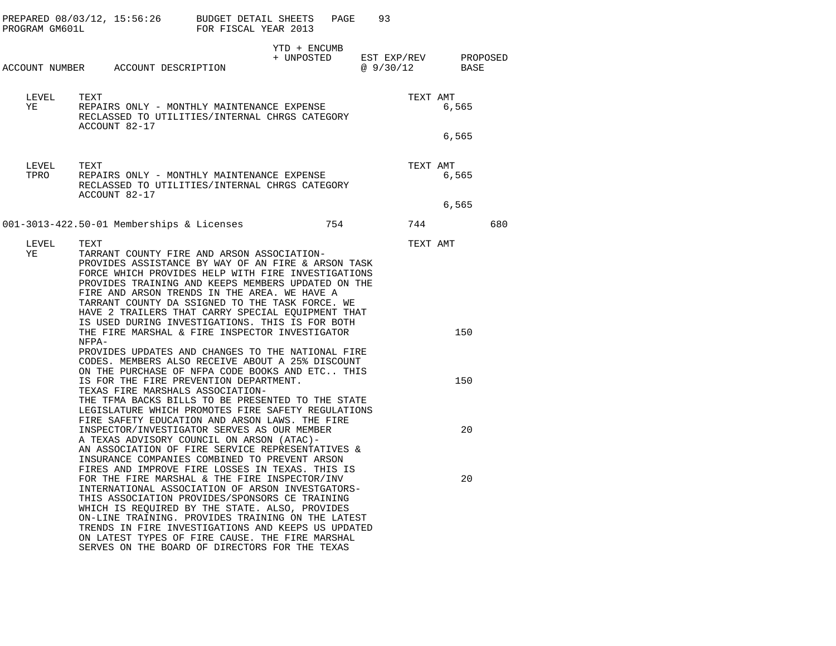| PROGRAM GM601L | PREPARED $08/03/12$ , 15:56:26 BUDGET DETAIL SHEETS                                                                                                                                                                                                                                                                                                                                                                                                                      | FOR FISCAL YEAR 2013 | PAGE         | 93                                          |            |     |
|----------------|--------------------------------------------------------------------------------------------------------------------------------------------------------------------------------------------------------------------------------------------------------------------------------------------------------------------------------------------------------------------------------------------------------------------------------------------------------------------------|----------------------|--------------|---------------------------------------------|------------|-----|
|                | ACCOUNT NUMBER ACCOUNT DESCRIPTION                                                                                                                                                                                                                                                                                                                                                                                                                                       |                      | YTD + ENCUMB | + UNPOSTED EST EXP/REV PROPOSED<br>@9/30/12 | BASE       |     |
| LEVEL<br>YE    | TEXT<br>REPAIRS ONLY - MONTHLY MAINTENANCE EXPENSE<br>RECLASSED TO UTILITIES/INTERNAL CHRGS CATEGORY                                                                                                                                                                                                                                                                                                                                                                     |                      |              | TEXT AMT                                    | 6,565      |     |
|                | ACCOUNT 82-17                                                                                                                                                                                                                                                                                                                                                                                                                                                            |                      |              |                                             | 6,565      |     |
| LEVEL<br>TPRO  | TEXT<br>REPAIRS ONLY - MONTHLY MAINTENANCE EXPENSE<br>RECLASSED TO UTILITIES/INTERNAL CHRGS CATEGORY<br>ACCOUNT 82-17                                                                                                                                                                                                                                                                                                                                                    |                      |              | TEXT AMT                                    | 6,565      |     |
|                |                                                                                                                                                                                                                                                                                                                                                                                                                                                                          |                      |              |                                             | 6,565      |     |
|                | 001-3013-422.50-01 Memberships & Licenses                                                                                                                                                                                                                                                                                                                                                                                                                                |                      | 754          | 744                                         |            | 680 |
| LEVEL<br>YE    | TEXT<br>TARRANT COUNTY FIRE AND ARSON ASSOCIATION-<br>PROVIDES ASSISTANCE BY WAY OF AN FIRE & ARSON TASK<br>FORCE WHICH PROVIDES HELP WITH FIRE INVESTIGATIONS<br>PROVIDES TRAINING AND KEEPS MEMBERS UPDATED ON THE<br>FIRE AND ARSON TRENDS IN THE AREA. WE HAVE A<br>TARRANT COUNTY DA SSIGNED TO THE TASK FORCE. WE<br>HAVE 2 TRAILERS THAT CARRY SPECIAL EQUIPMENT THAT<br>IS USED DURING INVESTIGATIONS. THIS IS FOR BOTH                                          |                      |              | TEXT AMT                                    |            |     |
|                | THE FIRE MARSHAL & FIRE INSPECTOR INVESTIGATOR<br>NFPA-<br>PROVIDES UPDATES AND CHANGES TO THE NATIONAL FIRE<br>CODES. MEMBERS ALSO RECEIVE ABOUT A 25% DISCOUNT<br>ON THE PURCHASE OF NFPA CODE BOOKS AND ETC THIS<br>IS FOR THE FIRE PREVENTION DEPARTMENT.<br>TEXAS FIRE MARSHALS ASSOCIATION-<br>THE TFMA BACKS BILLS TO BE PRESENTED TO THE STATE<br>LEGISLATURE WHICH PROMOTES FIRE SAFETY REGULATIONS                                                             |                      |              |                                             | 150<br>150 |     |
|                | FIRE SAFETY EDUCATION AND ARSON LAWS. THE FIRE<br>INSPECTOR/INVESTIGATOR SERVES AS OUR MEMBER<br>A TEXAS ADVISORY COUNCIL ON ARSON (ATAC)-<br>AN ASSOCIATION OF FIRE SERVICE REPRESENTATIVES &<br>INSURANCE COMPANIES COMBINED TO PREVENT ARSON                                                                                                                                                                                                                          |                      |              |                                             | 20         |     |
|                | FIRES AND IMPROVE FIRE LOSSES IN TEXAS. THIS IS<br>FOR THE FIRE MARSHAL & THE FIRE INSPECTOR/INV<br>INTERNATIONAL ASSOCIATION OF ARSON INVESTGATORS-<br>THIS ASSOCIATION PROVIDES/SPONSORS CE TRAINING<br>WHICH IS REQUIRED BY THE STATE. ALSO, PROVIDES<br>ON-LINE TRAINING. PROVIDES TRAINING ON THE LATEST<br>TRENDS IN FIRE INVESTIGATIONS AND KEEPS US UPDATED<br>ON LATEST TYPES OF FIRE CAUSE. THE FIRE MARSHAL<br>SERVES ON THE BOARD OF DIRECTORS FOR THE TEXAS |                      |              |                                             | 20         |     |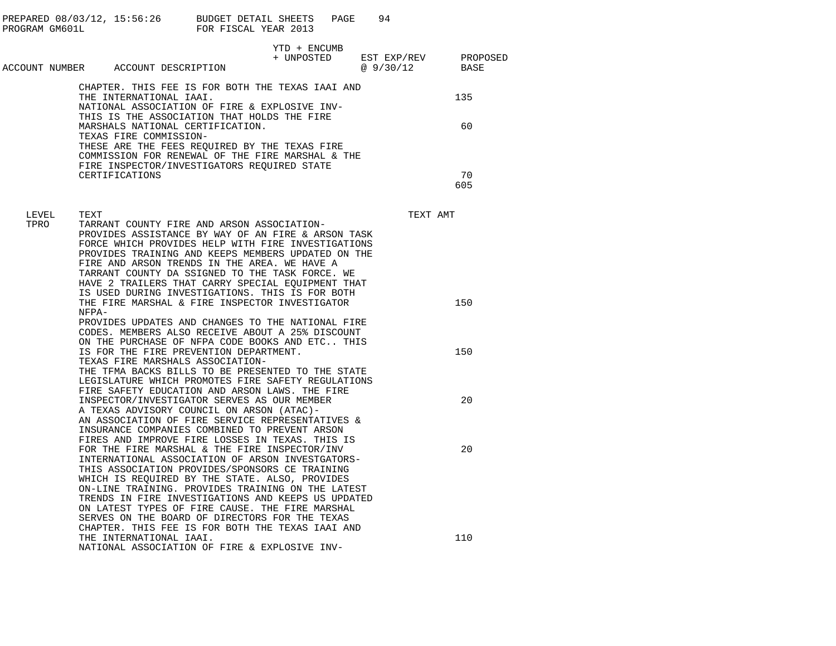|               |       |                                                                            |                                                                                                                                                                                                                                                                                                                                                                                                                                                                           | 94<br>PAGE |          |                                                            |
|---------------|-------|----------------------------------------------------------------------------|---------------------------------------------------------------------------------------------------------------------------------------------------------------------------------------------------------------------------------------------------------------------------------------------------------------------------------------------------------------------------------------------------------------------------------------------------------------------------|------------|----------|------------------------------------------------------------|
|               |       | ACCOUNT NUMBER ACCOUNT DESCRIPTION                                         | YTD + ENCUMB<br>+ UNPOSTED                                                                                                                                                                                                                                                                                                                                                                                                                                                |            |          | EST EXP/REV          PROPOSED<br>@ 9/30/12            BASE |
|               |       | THE INTERNATIONAL IAAI.                                                    | CHAPTER. THIS FEE IS FOR BOTH THE TEXAS IAAI AND<br>NATIONAL ASSOCIATION OF FIRE & EXPLOSIVE INV-                                                                                                                                                                                                                                                                                                                                                                         |            |          | 135                                                        |
|               |       | MARSHALS NATIONAL CERTIFICATION.<br>TEXAS FIRE COMMISSION-                 | THIS IS THE ASSOCIATION THAT HOLDS THE FIRE<br>THESE ARE THE FEES REQUIRED BY THE TEXAS FIRE                                                                                                                                                                                                                                                                                                                                                                              |            |          | 60                                                         |
|               |       | CERTIFICATIONS                                                             | COMMISSION FOR RENEWAL OF THE FIRE MARSHAL & THE<br>FIRE INSPECTOR/INVESTIGATORS REQUIRED STATE                                                                                                                                                                                                                                                                                                                                                                           |            |          | 70                                                         |
|               |       |                                                                            |                                                                                                                                                                                                                                                                                                                                                                                                                                                                           |            |          | 605                                                        |
| LEVEL<br>TPRO | TEXT  |                                                                            | TARRANT COUNTY FIRE AND ARSON ASSOCIATION-                                                                                                                                                                                                                                                                                                                                                                                                                                |            | TEXT AMT |                                                            |
|               |       |                                                                            | PROVIDES ASSISTANCE BY WAY OF AN FIRE & ARSON TASK<br>FORCE WHICH PROVIDES HELP WITH FIRE INVESTIGATIONS<br>PROVIDES TRAINING AND KEEPS MEMBERS UPDATED ON THE<br>FIRE AND ARSON TRENDS IN THE AREA. WE HAVE A<br>TARRANT COUNTY DA SSIGNED TO THE TASK FORCE. WE<br>HAVE 2 TRAILERS THAT CARRY SPECIAL EOUIPMENT THAT                                                                                                                                                    |            |          |                                                            |
|               | NFPA- |                                                                            | IS USED DURING INVESTIGATIONS. THIS IS FOR BOTH<br>THE FIRE MARSHAL & FIRE INSPECTOR INVESTIGATOR<br>PROVIDES UPDATES AND CHANGES TO THE NATIONAL FIRE<br>CODES. MEMBERS ALSO RECEIVE ABOUT A 25% DISCOUNT                                                                                                                                                                                                                                                                |            |          | 150                                                        |
|               |       | IS FOR THE FIRE PREVENTION DEPARTMENT.<br>TEXAS FIRE MARSHALS ASSOCIATION- | ON THE PURCHASE OF NFPA CODE BOOKS AND ETC THIS<br>THE TFMA BACKS BILLS TO BE PRESENTED TO THE STATE<br>LEGISLATURE WHICH PROMOTES FIRE SAFETY REGULATIONS<br>FIRE SAFETY EDUCATION AND ARSON LAWS. THE FIRE                                                                                                                                                                                                                                                              |            |          | 150                                                        |
|               |       | A TEXAS ADVISORY COUNCIL ON ARSON (ATAC)-                                  | INSPECTOR/INVESTIGATOR SERVES AS OUR MEMBER<br>AN ASSOCIATION OF FIRE SERVICE REPRESENTATIVES &<br>INSURANCE COMPANIES COMBINED TO PREVENT ARSON<br>FIRES AND IMPROVE FIRE LOSSES IN TEXAS. THIS IS                                                                                                                                                                                                                                                                       |            |          | 20                                                         |
|               |       |                                                                            | FOR THE FIRE MARSHAL & THE FIRE INSPECTOR/INV<br>INTERNATIONAL ASSOCIATION OF ARSON INVESTGATORS-<br>THIS ASSOCIATION PROVIDES/SPONSORS CE TRAINING<br>WHICH IS REQUIRED BY THE STATE. ALSO, PROVIDES<br>ON-LINE TRAINING. PROVIDES TRAINING ON THE LATEST<br>TRENDS IN FIRE INVESTIGATIONS AND KEEPS US UPDATED<br>ON LATEST TYPES OF FIRE CAUSE. THE FIRE MARSHAL<br>SERVES ON THE BOARD OF DIRECTORS FOR THE TEXAS<br>CHAPTER. THIS FEE IS FOR BOTH THE TEXAS IAAI AND |            |          | 20                                                         |
|               |       | THE INTERNATIONAL IAAI.                                                    | NATIONAL ASSOCIATION OF FIRE & EXPLOSIVE INV-                                                                                                                                                                                                                                                                                                                                                                                                                             |            |          | 110                                                        |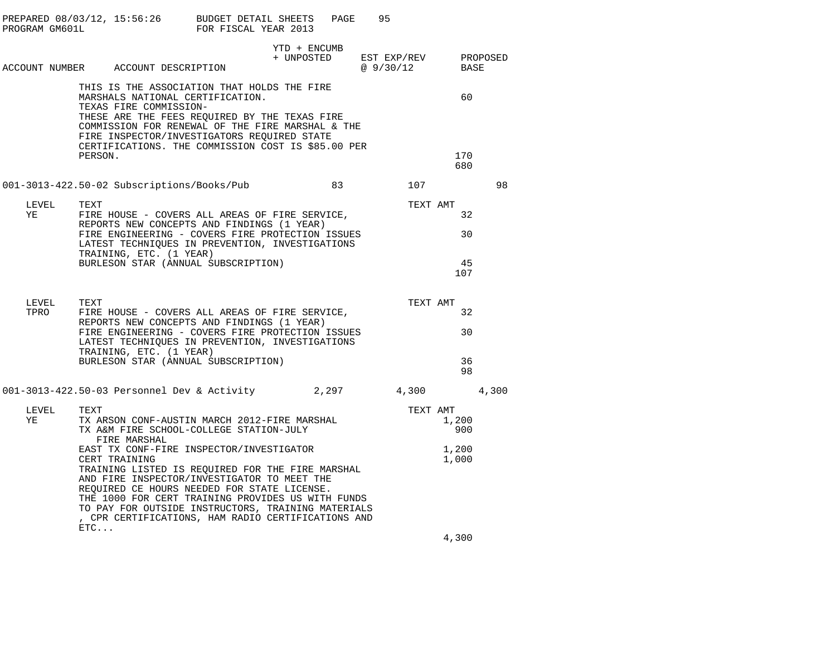| PROGRAM GM601L | PREPARED 08/03/12, 15:56:26 BUDGET DETAIL SHEETS                                                                                                                                                                                                                                                                               | FOR FISCAL YEAR 2013 | PAGE                       | 95                      |                |          |
|----------------|--------------------------------------------------------------------------------------------------------------------------------------------------------------------------------------------------------------------------------------------------------------------------------------------------------------------------------|----------------------|----------------------------|-------------------------|----------------|----------|
|                | ACCOUNT NUMBER ACCOUNT DESCRIPTION                                                                                                                                                                                                                                                                                             |                      | YTD + ENCUMB<br>+ UNPOSTED | EST EXP/REV<br>@9/30/12 | BASE           | PROPOSED |
|                | THIS IS THE ASSOCIATION THAT HOLDS THE FIRE<br>MARSHALS NATIONAL CERTIFICATION.<br>TEXAS FIRE COMMISSION-<br>THESE ARE THE FEES REQUIRED BY THE TEXAS FIRE<br>COMMISSION FOR RENEWAL OF THE FIRE MARSHAL & THE<br>FIRE INSPECTOR/INVESTIGATORS REQUIRED STATE<br>CERTIFICATIONS. THE COMMISSION COST IS \$85.00 PER<br>PERSON. |                      |                            |                         | 60<br>170      |          |
|                | 001-3013-422.50-02 Subscriptions/Books/Pub                                                                                                                                                                                                                                                                                     |                      | 83                         | 107                     | 680            | 98       |
| LEVEL<br>ΥE    | TEXT<br>FIRE HOUSE - COVERS ALL AREAS OF FIRE SERVICE,<br>REPORTS NEW CONCEPTS AND FINDINGS (1 YEAR)                                                                                                                                                                                                                           |                      |                            | TEXT AMT                | 32             |          |
|                | FIRE ENGINEERING - COVERS FIRE PROTECTION ISSUES<br>LATEST TECHNIOUES IN PREVENTION, INVESTIGATIONS<br>TRAINING, ETC. (1 YEAR)<br>BURLESON STAR (ANNUAL SUBSCRIPTION)                                                                                                                                                          |                      |                            |                         | 30<br>45       |          |
|                |                                                                                                                                                                                                                                                                                                                                |                      |                            |                         | 107            |          |
| LEVEL<br>TPRO  | TEXT<br>FIRE HOUSE - COVERS ALL AREAS OF FIRE SERVICE,<br>REPORTS NEW CONCEPTS AND FINDINGS (1 YEAR)                                                                                                                                                                                                                           |                      |                            | TEXT AMT                | 32             |          |
|                | FIRE ENGINEERING - COVERS FIRE PROTECTION ISSUES<br>LATEST TECHNIQUES IN PREVENTION, INVESTIGATIONS<br>TRAINING, ETC. (1 YEAR)                                                                                                                                                                                                 |                      |                            |                         | 30             |          |
|                | BURLESON STAR (ANNUAL SUBSCRIPTION)                                                                                                                                                                                                                                                                                            |                      |                            |                         | 36<br>98       |          |
|                | 001-3013-422.50-03 Personnel Dev & Activity 2,297                                                                                                                                                                                                                                                                              |                      |                            | 4,300                   |                | 4,300    |
| LEVEL<br>YE    | TEXT<br>TX ARSON CONF-AUSTIN MARCH 2012-FIRE MARSHAL<br>TX A&M FIRE SCHOOL-COLLEGE STATION-JULY<br>FIRE MARSHAL                                                                                                                                                                                                                |                      |                            | TEXT AMT                | 1,200<br>900   |          |
|                | EAST TX CONF-FIRE INSPECTOR/INVESTIGATOR<br>CERT TRAINING<br>TRAINING LISTED IS REQUIRED FOR THE FIRE MARSHAL<br>AND FIRE INSPECTOR/INVESTIGATOR TO MEET THE<br>REQUIRED CE HOURS NEEDED FOR STATE LICENSE.                                                                                                                    |                      |                            |                         | 1,200<br>1,000 |          |
|                | THE 1000 FOR CERT TRAINING PROVIDES US WITH FUNDS<br>TO PAY FOR OUTSIDE INSTRUCTORS, TRAINING MATERIALS<br>, CPR CERTIFICATIONS, HAM RADIO CERTIFICATIONS AND<br>ETC                                                                                                                                                           |                      |                            |                         |                |          |
|                |                                                                                                                                                                                                                                                                                                                                |                      |                            |                         | 1.200          |          |

4,300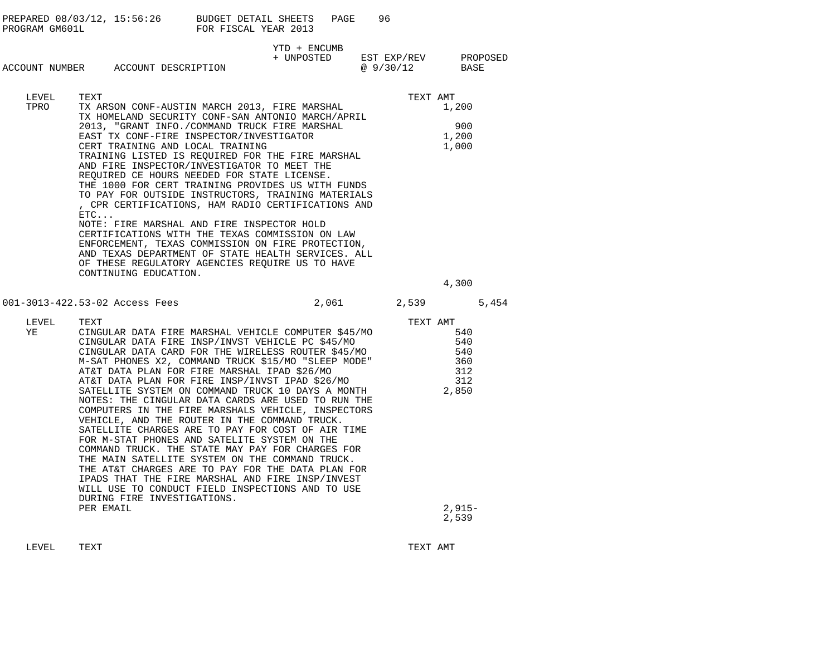|                                    |                                                                                                                                                                                                                                                                                                                                    |                                                                                                                                                                                                                                                                                                                                                                                                                                                                                                                                                                                                                                                                                                                                                                                               |                                                 | PAGE | 96 |                   |                                        |  |
|------------------------------------|------------------------------------------------------------------------------------------------------------------------------------------------------------------------------------------------------------------------------------------------------------------------------------------------------------------------------------|-----------------------------------------------------------------------------------------------------------------------------------------------------------------------------------------------------------------------------------------------------------------------------------------------------------------------------------------------------------------------------------------------------------------------------------------------------------------------------------------------------------------------------------------------------------------------------------------------------------------------------------------------------------------------------------------------------------------------------------------------------------------------------------------------|-------------------------------------------------|------|----|-------------------|----------------------------------------|--|
| ACCOUNT NUMBER ACCOUNT DESCRIPTION |                                                                                                                                                                                                                                                                                                                                    |                                                                                                                                                                                                                                                                                                                                                                                                                                                                                                                                                                                                                                                                                                                                                                                               | YTD + ENCUMB<br>+ UNPOSTED EST EXP/REV PROPOSED |      |    | @ 9/30/12 BASE    |                                        |  |
| LEVEL<br>TPRO                      | TEXT<br>TX ARSON CONF-AUSTIN MARCH 2013, FIRE MARSHAL<br>ETC                                                                                                                                                                                                                                                                       | TX HOMELAND SECURITY CONF-SAN ANTONIO MARCH/APRIL<br>2013, "GRANT INFO./COMMAND TRUCK FIRE MARSHAL<br>EAST TX CONF-FIRE INSPECTOR/INVESTIGATOR<br>CERT TRAINING AND LOCAL TRAINING<br>TRAINING LISTED IS REOUIRED FOR THE FIRE MARSHAL<br>AND FIRE INSPECTOR/INVESTIGATOR TO MEET THE<br>REQUIRED CE HOURS NEEDED FOR STATE LICENSE.<br>THE 1000 FOR CERT TRAINING PROVIDES US WITH FUNDS<br>TO PAY FOR OUTSIDE INSTRUCTORS, TRAINING MATERIALS<br>, CPR CERTIFICATIONS, HAM RADIO CERTIFICATIONS AND<br>NOTE: FIRE MARSHAL AND FIRE INSPECTOR HOLD<br>CERTIFICATIONS WITH THE TEXAS COMMISSION ON LAW<br>ENFORCEMENT, TEXAS COMMISSION ON FIRE PROTECTION,<br>AND TEXAS DEPARTMENT OF STATE HEALTH SERVICES. ALL<br>OF THESE REGULATORY AGENCIES REQUIRE US TO HAVE<br>CONTINUING EDUCATION. |                                                 |      |    | TEXT AMT          | 1,200<br>900<br>1,200<br>1,000         |  |
|                                    |                                                                                                                                                                                                                                                                                                                                    |                                                                                                                                                                                                                                                                                                                                                                                                                                                                                                                                                                                                                                                                                                                                                                                               |                                                 |      |    |                   | 4,300                                  |  |
| 001-3013-422.53-02 Access Fees     |                                                                                                                                                                                                                                                                                                                                    |                                                                                                                                                                                                                                                                                                                                                                                                                                                                                                                                                                                                                                                                                                                                                                                               |                                                 |      |    | 2,061 2,539 5,454 |                                        |  |
| LEVEL<br>YE                        | TEXT<br>CINGULAR DATA FIRE MARSHAL VEHICLE COMPUTER \$45/MO<br>CINGULAR DATA FIRE INSP/INVST VEHICLE PC \$45/MO<br>CINGULAR DATA CARD FOR THE WIRELESS ROUTER \$45/MO<br>M-SAT PHONES X2, COMMAND TRUCK \$15/MO "SLEEP MODE"<br>AT&T DATA PLAN FOR FIRE MARSHAL IPAD \$26/MO<br>NOTES: THE CINGULAR DATA CARDS ARE USED TO RUN THE | AT&T DATA PLAN FOR FIRE MARSHAL IPAD \$26/MO<br>AT&T DATA PLAN FOR FIRE INSP/INVST IPAD \$26/MO<br>SATELLITE SYSTEM ON COMMAND TRUCK 10 DAYS A MONTH<br>COMPUTERS IN THE FIRE MARSHALS VEHICLE, INSPECTORS<br>VEHICLE, AND THE ROUTER IN THE COMMAND TRUCK.<br>SATELLITE CHARGES ARE TO PAY FOR COST OF AIR TIME<br>FOR M-STAT PHONES AND SATELITE SYSTEM ON THE<br>COMMAND TRUCK. THE STATE MAY PAY FOR CHARGES FOR<br>THE MAIN SATELLITE SYSTEM ON THE COMMAND TRUCK.<br>THE AT&T CHARGES ARE TO PAY FOR THE DATA PLAN FOR<br>IPADS THAT THE FIRE MARSHAL AND FIRE INSP/INVEST<br>WILL USE TO CONDUCT FIELD INSPECTIONS AND TO USE<br>DURING FIRE INVESTIGATIONS.                                                                                                                           |                                                 |      |    | TEXT AMT<br>2,850 | 540<br>540<br>540<br>360<br>312<br>312 |  |
|                                    | PER EMAIL                                                                                                                                                                                                                                                                                                                          |                                                                                                                                                                                                                                                                                                                                                                                                                                                                                                                                                                                                                                                                                                                                                                                               |                                                 |      |    |                   | $2,915-$<br>2,539                      |  |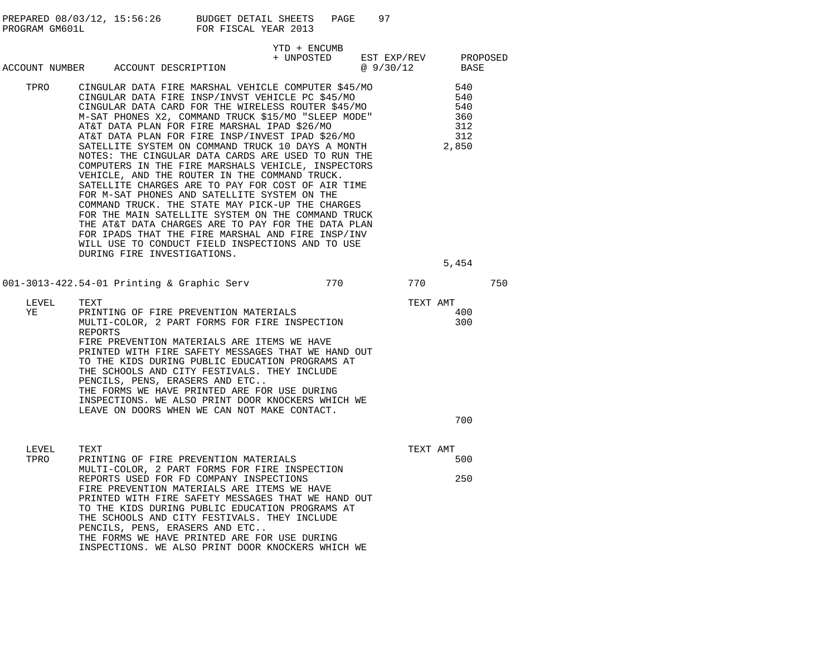| PREPARED 08/03/12, 15:56:26 | BUDGET DETAIL SHEETS | PAGE |  |
|-----------------------------|----------------------|------|--|
| PROGRAM GM601L              | FOR FISCAL YEAR 2013 |      |  |

|               |                                                                                                                                                                                                                                                                                                                                                                                                                                                                                                                                                                                                                                                                                                                                                                                                                                                                                                                                                                                                            | YTD + ENCUMB                    |                |                                                          |  |
|---------------|------------------------------------------------------------------------------------------------------------------------------------------------------------------------------------------------------------------------------------------------------------------------------------------------------------------------------------------------------------------------------------------------------------------------------------------------------------------------------------------------------------------------------------------------------------------------------------------------------------------------------------------------------------------------------------------------------------------------------------------------------------------------------------------------------------------------------------------------------------------------------------------------------------------------------------------------------------------------------------------------------------|---------------------------------|----------------|----------------------------------------------------------|--|
|               | ACCOUNT NUMBER ACCOUNT DESCRIPTION                                                                                                                                                                                                                                                                                                                                                                                                                                                                                                                                                                                                                                                                                                                                                                                                                                                                                                                                                                         | + UNPOSTED EST EXP/REV PROPOSED | @ 9/30/12 BASE |                                                          |  |
| TPRO          | CINGULAR DATA FIRE MARSHAL VEHICLE COMPUTER \$45/MO<br>CINGULAR DATA FIRE INSP/INVST VEHICLE PC \$45/MO<br>CINGULAR DATA FIRE INSP/INVSI VERICLE FC 930/100<br>CINGULAR DATA CARD FOR THE WIRELESS ROUTER 545/MO<br>M-SAT PHONES X2, COMMAND TRUCK \$15/MO "SLEEP MODE"<br>AT&T DATA PLAN FOR FIRE MARSHAL IPAD \$26/MO<br>AT&T DATA PLAN FOR FIRE INSP/INVEST IPAD \$26/MO<br>SATELLITE SYSTEM ON COMMAND TRUCK 10 DAYS A MONTH<br>NOTES: THE CINGULAR DATA CARDS ARE USED TO RUN THE<br>COMPUTERS IN THE FIRE MARSHALS VEHICLE, INSPECTORS<br>VEHICLE, AND THE ROUTER IN THE COMMAND TRUCK.<br>SATELLITE CHARGES ARE TO PAY FOR COST OF AIR TIME<br>FOR M-SAT PHONES AND SATELLITE SYSTEM ON THE<br>COMMAND TRUCK. THE STATE MAY PICK-UP THE CHARGES<br>FOR THE MAIN SATELLITE SYSTEM ON THE COMMAND TRUCK<br>THE AT&T DATA CHARGES ARE TO PAY FOR THE DATA PLAN<br>FOR IPADS THAT THE FIRE MARSHAL AND FIRE INSP/INV<br>WILL USE TO CONDUCT FIELD INSPECTIONS AND TO USE<br>DURING FIRE INVESTIGATIONS. |                                 |                | 540<br>540<br>540<br>360<br>312<br>312<br>2,850<br>5,454 |  |
|               | 001-3013-422.54-01 Printing & Graphic Serv 770 770 770                                                                                                                                                                                                                                                                                                                                                                                                                                                                                                                                                                                                                                                                                                                                                                                                                                                                                                                                                     |                                 |                | 750                                                      |  |
| LEVEL<br>YE   | TEXT<br>PRINTING OF FIRE PREVENTION MATERIALS<br>MULTI-COLOR, 2 PART FORMS FOR FIRE INSPECTION REPORTS<br>FIRE PREVENTION MATERIALS ARE ITEMS WE HAVE<br>PRINTED WITH FIRE SAFETY MESSAGES THAT WE HAND OUT<br>TO THE KIDS DURING PUBLIC EDUCATION PROGRAMS AT<br>THE SCHOOLS AND CITY FESTIVALS. THEY INCLUDE<br>PENCILS, PENS, ERASERS AND ETC<br>THE FORMS WE HAVE PRINTED ARE FOR USE DURING<br>INSPECTIONS. WE ALSO PRINT DOOR KNOCKERS WHICH WE<br>LEAVE ON DOORS WHEN WE CAN NOT MAKE CONTACT.                                                                                                                                                                                                                                                                                                                                                                                                                                                                                                      |                                 | TEXT AMT       | 400<br>300<br>700                                        |  |
| LEVEL<br>TPRO | TEXT<br>PRINTING OF FIRE PREVENTION MATERIALS<br>MULTI-COLOR, 2 PART FORMS FOR FIRE INSPECTION<br>REPORTS USED FOR FD COMPANY INSPECTIONS<br>FIRE PREVENTION MATERIALS ARE ITEMS WE HAVE<br>PRINTED WITH FIRE SAFETY MESSAGES THAT WE HAND OUT<br>TO THE KIDS DURING PUBLIC EDUCATION PROGRAMS AT<br>THE SCHOOLS AND CITY FESTIVALS. THEY INCLUDE<br>PENCILS, PENS, ERASERS AND ETC                                                                                                                                                                                                                                                                                                                                                                                                                                                                                                                                                                                                                        |                                 | TEXT AMT       | 500<br>250                                               |  |

THE FORMS WE HAVE PRINTED ARE FOR USE DURING INSPECTIONS. WE ALSO PRINT DOOR KNOCKERS WHICH WE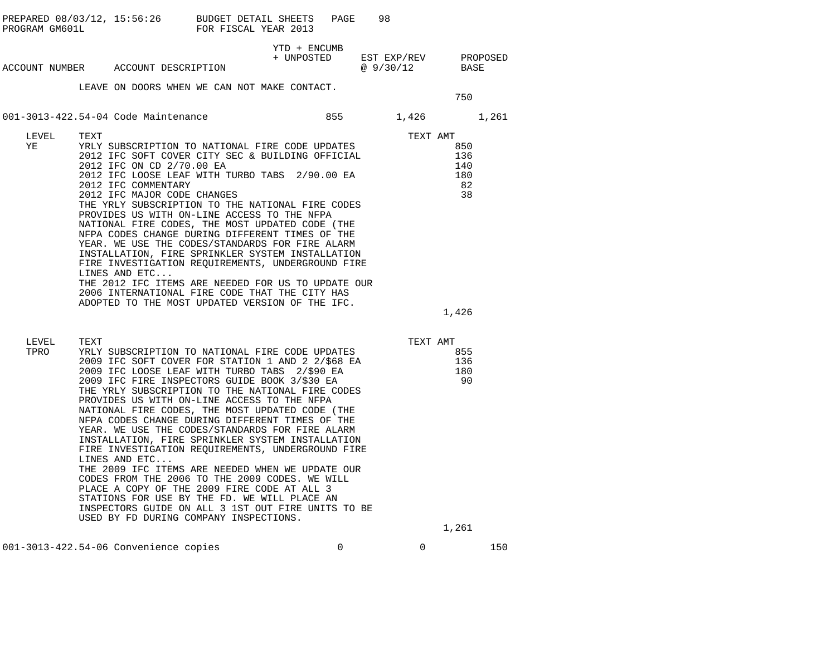| PROGRAM GM601L | PREPARED 08/03/12, 15:56:26 BUDGET DETAIL SHEETS                                                                                                                                                                                                                                                                                                                                                                                                                                                                                                                                                                                                                                                                                                                                                                                                                                                          | FOR FISCAL YEAR 2013 | PAGE         | 98                                                                                                                                             |                                      |
|----------------|-----------------------------------------------------------------------------------------------------------------------------------------------------------------------------------------------------------------------------------------------------------------------------------------------------------------------------------------------------------------------------------------------------------------------------------------------------------------------------------------------------------------------------------------------------------------------------------------------------------------------------------------------------------------------------------------------------------------------------------------------------------------------------------------------------------------------------------------------------------------------------------------------------------|----------------------|--------------|------------------------------------------------------------------------------------------------------------------------------------------------|--------------------------------------|
|                | ACCOUNT NUMBER ACCOUNT DESCRIPTION                                                                                                                                                                                                                                                                                                                                                                                                                                                                                                                                                                                                                                                                                                                                                                                                                                                                        |                      | YTD + ENCUMB | $\begin{tabular}{llll} + & UNPOSTED & \quad EST & \quad EXP/REV & \quad & \quad PROPOSED \\ & @ 9/30/12 & \quad & \quad BASE \\ \end{tabular}$ |                                      |
|                | LEAVE ON DOORS WHEN WE CAN NOT MAKE CONTACT.                                                                                                                                                                                                                                                                                                                                                                                                                                                                                                                                                                                                                                                                                                                                                                                                                                                              |                      |              |                                                                                                                                                | 750                                  |
|                | 001-3013-422.54-04 Code Maintenance                                                                                                                                                                                                                                                                                                                                                                                                                                                                                                                                                                                                                                                                                                                                                                                                                                                                       |                      |              | 855 1,426                                                                                                                                      | 1,261                                |
| LEVEL<br>ΥE    | TEXT<br>YRLY SUBSCRIPTION TO NATIONAL FIRE CODE UPDATES<br>2012 IFC SOFT COVER CITY SEC & BUILDING OFFICIAL<br>2012 IFC ON CD 2/70.00 EA<br>2012 IFC LOOSE LEAF WITH TURBO TABS 2/90.00 EA<br>2012 IFC COMMENTARY<br>2012 IFC MAJOR CODE CHANGES<br>THE YRLY SUBSCRIPTION TO THE NATIONAL FIRE CODES<br>PROVIDES US WITH ON-LINE ACCESS TO THE NFPA<br>NATIONAL FIRE CODES, THE MOST UPDATED CODE (THE<br>NFPA CODES CHANGE DURING DIFFERENT TIMES OF THE<br>YEAR. WE USE THE CODES/STANDARDS FOR FIRE ALARM<br>INSTALLATION, FIRE SPRINKLER SYSTEM INSTALLATION<br>FIRE INVESTIGATION REQUIREMENTS, UNDERGROUND FIRE<br>LINES AND ETC<br>THE 2012 IFC ITEMS ARE NEEDED FOR US TO UPDATE OUR<br>2006 INTERNATIONAL FIRE CODE THAT THE CITY HAS<br>ADOPTED TO THE MOST UPDATED VERSION OF THE IFC.                                                                                                         |                      |              | TEXT AMT<br>8                                                                                                                                  | 850<br>136<br>140<br>180<br>82<br>38 |
|                |                                                                                                                                                                                                                                                                                                                                                                                                                                                                                                                                                                                                                                                                                                                                                                                                                                                                                                           |                      |              |                                                                                                                                                | 1,426                                |
| LEVEL<br>TPRO  | TEXT<br>YRLY SUBSCRIPTION TO NATIONAL FIRE CODE UPDATES<br>2009 IFC SOFT COVER FOR STATION 1 AND 2 2/\$68 EA<br>2009 IFC LOOSE LEAF WITH TURBO TABS 2/\$90 EA<br>2009 IFC FIRE INSPECTORS GUIDE BOOK 3/\$30 EA<br>THE YRLY SUBSCRIPTION TO THE NATIONAL FIRE CODES<br>PROVIDES US WITH ON-LINE ACCESS TO THE NFPA<br>NATIONAL FIRE CODES, THE MOST UPDATED CODE (THE<br>NFPA CODES CHANGE DURING DIFFERENT TIMES OF THE<br>YEAR. WE USE THE CODES/STANDARDS FOR FIRE ALARM<br>INSTALLATION, FIRE SPRINKLER SYSTEM INSTALLATION<br>FIRE INVESTIGATION REOUIREMENTS, UNDERGROUND FIRE<br>LINES AND ETC<br>THE 2009 IFC ITEMS ARE NEEDED WHEN WE UPDATE OUR<br>CODES FROM THE 2006 TO THE 2009 CODES. WE WILL<br>PLACE A COPY OF THE 2009 FIRE CODE AT ALL 3<br>STATIONS FOR USE BY THE FD. WE WILL PLACE AN<br>INSPECTORS GUIDE ON ALL 3 1ST OUT FIRE UNITS TO BE<br>USED BY FD DURING COMPANY INSPECTIONS. |                      |              | TEXT AMT                                                                                                                                       | 855<br>136<br>180<br>90<br>1,261     |
|                |                                                                                                                                                                                                                                                                                                                                                                                                                                                                                                                                                                                                                                                                                                                                                                                                                                                                                                           |                      |              |                                                                                                                                                |                                      |

001-3013-422.54-06 Convenience copies 0 0 150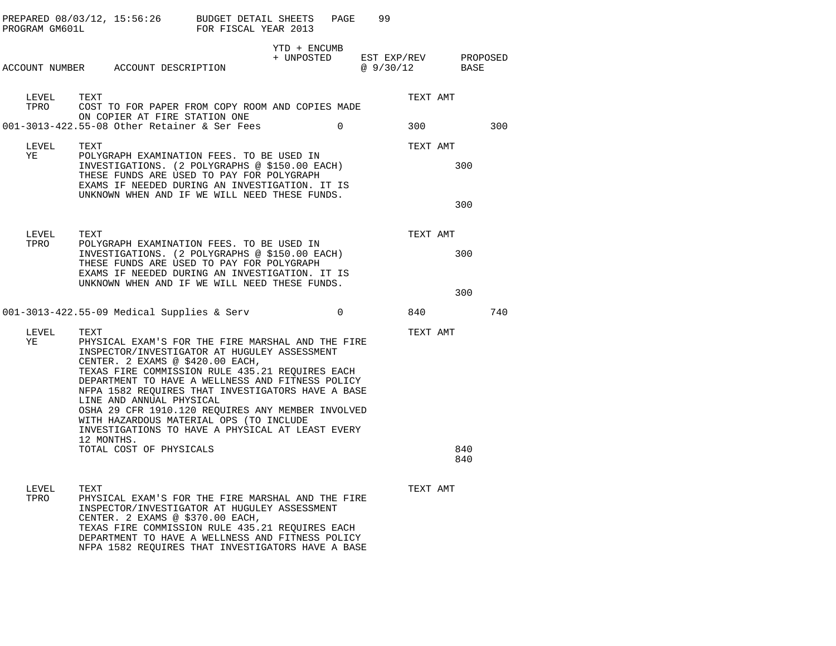| PROGRAM GM601L | PREPARED $08/03/12$ , $15:56:26$ BUDGET DETAIL SHEETS                                                                                                                                                                                                                                                                                                                                                                                                                                                   | FOR FISCAL YEAR 2013 |                            | PAGE     | 99                                |          |            |     |
|----------------|---------------------------------------------------------------------------------------------------------------------------------------------------------------------------------------------------------------------------------------------------------------------------------------------------------------------------------------------------------------------------------------------------------------------------------------------------------------------------------------------------------|----------------------|----------------------------|----------|-----------------------------------|----------|------------|-----|
|                | ACCOUNT NUMBER ACCOUNT DESCRIPTION                                                                                                                                                                                                                                                                                                                                                                                                                                                                      |                      | YTD + ENCUMB<br>+ UNPOSTED |          | EST EXP/REV PROPOSED<br>@ 9/30/12 |          | BASE       |     |
| LEVEL<br>TPRO  | TEXT<br>COST TO FOR PAPER FROM COPY ROOM AND COPIES MADE                                                                                                                                                                                                                                                                                                                                                                                                                                                |                      |                            |          |                                   | TEXT AMT |            |     |
|                | ON COPIER AT FIRE STATION ONE<br>001-3013-422.55-08 Other Retainer & Ser Fees                                                                                                                                                                                                                                                                                                                                                                                                                           |                      |                            | $\Omega$ |                                   | 300      |            | 300 |
| LEVEL<br>YE    | <b>TEXT</b><br>POLYGRAPH EXAMINATION FEES. TO BE USED IN                                                                                                                                                                                                                                                                                                                                                                                                                                                |                      |                            |          |                                   | TEXT AMT |            |     |
|                | INVESTIGATIONS. (2 POLYGRAPHS @ \$150.00 EACH)<br>THESE FUNDS ARE USED TO PAY FOR POLYGRAPH<br>EXAMS IF NEEDED DURING AN INVESTIGATION. IT IS<br>UNKNOWN WHEN AND IF WE WILL NEED THESE FUNDS.                                                                                                                                                                                                                                                                                                          |                      |                            |          |                                   |          | 300        |     |
|                |                                                                                                                                                                                                                                                                                                                                                                                                                                                                                                         |                      |                            |          |                                   |          | 300        |     |
| LEVEL<br>TPRO  | TEXT<br>POLYGRAPH EXAMINATION FEES. TO BE USED IN                                                                                                                                                                                                                                                                                                                                                                                                                                                       |                      |                            |          |                                   | TEXT AMT |            |     |
|                | INVESTIGATIONS. (2 POLYGRAPHS @ \$150.00 EACH)<br>THESE FUNDS ARE USED TO PAY FOR POLYGRAPH<br>EXAMS IF NEEDED DURING AN INVESTIGATION. IT IS<br>UNKNOWN WHEN AND IF WE WILL NEED THESE FUNDS.                                                                                                                                                                                                                                                                                                          |                      |                            |          |                                   |          | 300        |     |
|                |                                                                                                                                                                                                                                                                                                                                                                                                                                                                                                         |                      |                            |          |                                   |          | 300        |     |
|                | 001-3013-422.55-09 Medical Supplies & Serv                                                                                                                                                                                                                                                                                                                                                                                                                                                              |                      |                            | $\Omega$ |                                   | 840      |            | 740 |
| LEVEL<br>ΥE    | TEXT<br>PHYSICAL EXAM'S FOR THE FIRE MARSHAL AND THE FIRE<br>INSPECTOR/INVESTIGATOR AT HUGULEY ASSESSMENT<br>CENTER. 2 EXAMS @ \$420.00 EACH,<br>TEXAS FIRE COMMISSION RULE 435.21 REOUIRES EACH<br>DEPARTMENT TO HAVE A WELLNESS AND FITNESS POLICY<br>NFPA 1582 REQUIRES THAT INVESTIGATORS HAVE A BASE<br>LINE AND ANNUAL PHYSICAL<br>OSHA 29 CFR 1910.120 REQUIRES ANY MEMBER INVOLVED<br>WITH HAZARDOUS MATERIAL OPS (TO INCLUDE<br>INVESTIGATIONS TO HAVE A PHYSICAL AT LEAST EVERY<br>12 MONTHS. |                      |                            |          |                                   | TEXT AMT |            |     |
|                | TOTAL COST OF PHYSICALS                                                                                                                                                                                                                                                                                                                                                                                                                                                                                 |                      |                            |          |                                   |          | 840<br>840 |     |
| LEVEL<br>TPRO  | TEXT<br>PHYSICAL EXAM'S FOR THE FIRE MARSHAL AND THE FIRE<br>INSPECTOR/INVESTIGATOR AT HUGULEY ASSESSMENT<br>CENTER. 2 EXAMS @ \$370.00 EACH,                                                                                                                                                                                                                                                                                                                                                           |                      |                            |          |                                   | TEXT AMT |            |     |

TEXAS FIRE COMMISSION RULE 435.21 REQUIRES EACH DEPARTMENT TO HAVE A WELLNESS AND FITNESS POLICY NFPA 1582 REQUIRES THAT INVESTIGATORS HAVE A BASE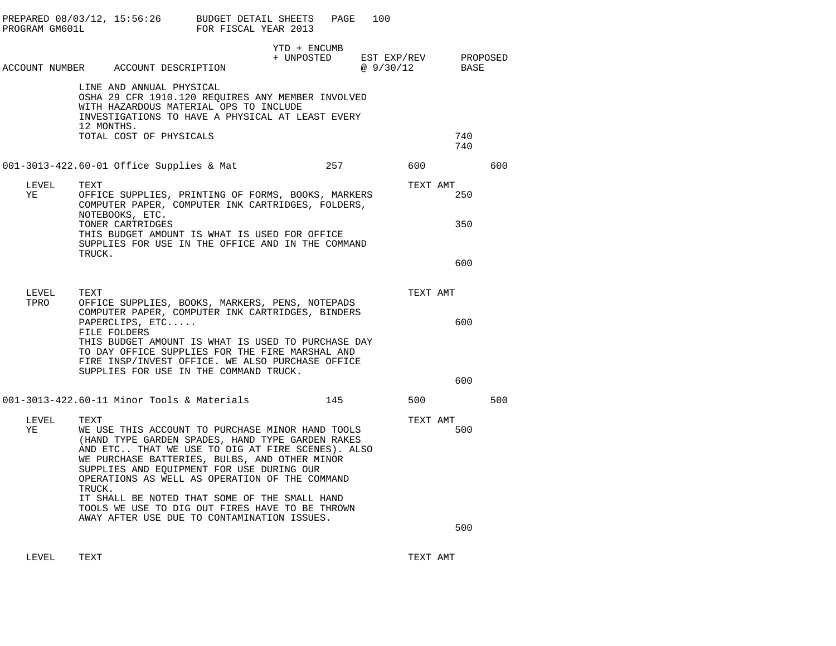| PROGRAM GM601L | PREPARED $08/03/12$ , $15:56:26$ BUDGET DETAIL SHEETS                                                                                                                                                                                                                                                                      | FOR FISCAL YEAR 2013 |                            | PAGE | 100                     |          |                  |  |
|----------------|----------------------------------------------------------------------------------------------------------------------------------------------------------------------------------------------------------------------------------------------------------------------------------------------------------------------------|----------------------|----------------------------|------|-------------------------|----------|------------------|--|
|                | ACCOUNT NUMBER ACCOUNT DESCRIPTION                                                                                                                                                                                                                                                                                         |                      | YTD + ENCUMB<br>+ UNPOSTED |      | EST EXP/REV<br>@9/30/12 |          | PROPOSED<br>BASE |  |
|                | LINE AND ANNUAL PHYSICAL<br>OSHA 29 CFR 1910.120 REQUIRES ANY MEMBER INVOLVED<br>WITH HAZARDOUS MATERIAL OPS TO INCLUDE<br>INVESTIGATIONS TO HAVE A PHYSICAL AT LEAST EVERY<br>12 MONTHS.<br>TOTAL COST OF PHYSICALS                                                                                                       |                      |                            |      |                         |          | 740              |  |
|                |                                                                                                                                                                                                                                                                                                                            |                      |                            |      |                         |          | 740              |  |
|                | 001-3013-422.60-01 Office Supplies & Mat                                                                                                                                                                                                                                                                                   |                      |                            | 257  |                         | 600      | 600              |  |
| LEVEL          | TEXT                                                                                                                                                                                                                                                                                                                       |                      |                            |      |                         | TEXT AMT |                  |  |
| YE             | OFFICE SUPPLIES, PRINTING OF FORMS, BOOKS, MARKERS<br>COMPUTER PAPER, COMPUTER INK CARTRIDGES, FOLDERS,<br>NOTEBOOKS, ETC.                                                                                                                                                                                                 |                      |                            |      |                         |          | 250              |  |
|                | TONER CARTRIDGES<br>THIS BUDGET AMOUNT IS WHAT IS USED FOR OFFICE<br>SUPPLIES FOR USE IN THE OFFICE AND IN THE COMMAND<br>TRUCK.                                                                                                                                                                                           |                      |                            |      |                         |          | 350              |  |
|                |                                                                                                                                                                                                                                                                                                                            |                      |                            |      |                         |          | 600              |  |
| LEVEL          | TEXT                                                                                                                                                                                                                                                                                                                       |                      |                            |      |                         | TEXT AMT |                  |  |
| TPRO           | OFFICE SUPPLIES, BOOKS, MARKERS, PENS, NOTEPADS<br>COMPUTER PAPER, COMPUTER INK CARTRIDGES, BINDERS<br>PAPERCLIPS, ETC<br>FILE FOLDERS                                                                                                                                                                                     |                      |                            |      |                         |          | 600              |  |
|                | THIS BUDGET AMOUNT IS WHAT IS USED TO PURCHASE DAY<br>TO DAY OFFICE SUPPLIES FOR THE FIRE MARSHAL AND<br>FIRE INSP/INVEST OFFICE. WE ALSO PURCHASE OFFICE                                                                                                                                                                  |                      |                            |      |                         |          |                  |  |
|                | SUPPLIES FOR USE IN THE COMMAND TRUCK.                                                                                                                                                                                                                                                                                     |                      |                            |      |                         |          | 600              |  |
|                | 001-3013-422.60-11 Minor Tools & Materials                                                                                                                                                                                                                                                                                 |                      |                            | 145  |                         | 500      | 500              |  |
| LEVEL<br>ΥE    | TEXT<br>WE USE THIS ACCOUNT TO PURCHASE MINOR HAND TOOLS<br>(HAND TYPE GARDEN SPADES, HAND TYPE GARDEN RAKES<br>AND ETC THAT WE USE TO DIG AT FIRE SCENES). ALSO<br>WE PURCHASE BATTERIES, BULBS, AND OTHER MINOR<br>SUPPLIES AND EQUIPMENT FOR USE DURING OUR<br>OPERATIONS AS WELL AS OPERATION OF THE COMMAND<br>TRUCK. |                      |                            |      |                         | TEXT AMT | 500              |  |
|                | IT SHALL BE NOTED THAT SOME OF THE SMALL HAND<br>TOOLS WE USE TO DIG OUT FIRES HAVE TO BE THROWN<br>AWAY AFTER USE DUE TO CONTAMINATION ISSUES.                                                                                                                                                                            |                      |                            |      |                         |          |                  |  |
|                |                                                                                                                                                                                                                                                                                                                            |                      |                            |      |                         |          | 500              |  |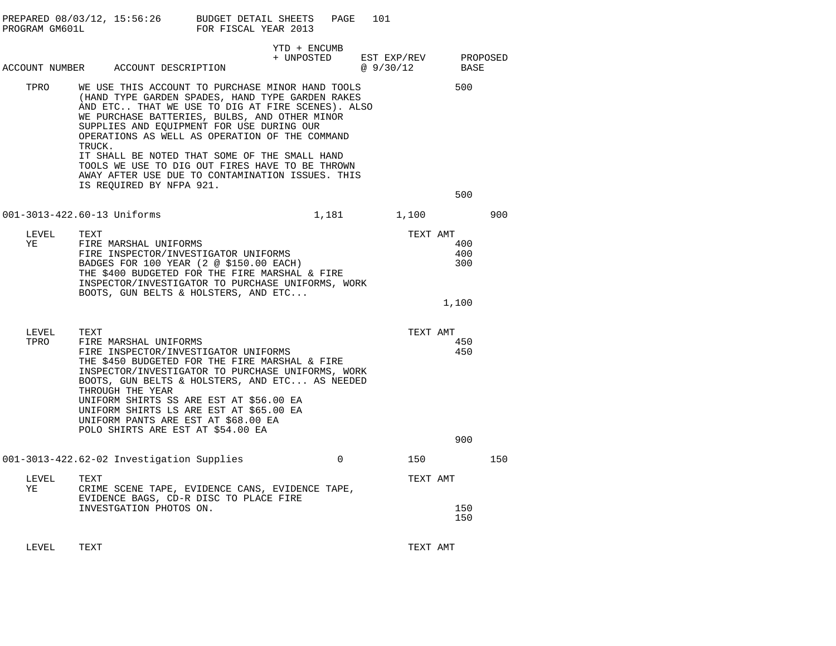| PROGRAM GM601L | PREPARED 08/03/12, 15:56:26 BUDGET DETAIL SHEETS                                                                                                                                                                                                                                                                                                                                                                                                                                                       | FOR FISCAL YEAR 2013 |                            | PAGE     | 101                               |                            |     |
|----------------|--------------------------------------------------------------------------------------------------------------------------------------------------------------------------------------------------------------------------------------------------------------------------------------------------------------------------------------------------------------------------------------------------------------------------------------------------------------------------------------------------------|----------------------|----------------------------|----------|-----------------------------------|----------------------------|-----|
|                | ACCOUNT NUMBER ACCOUNT DESCRIPTION                                                                                                                                                                                                                                                                                                                                                                                                                                                                     |                      | YTD + ENCUMB<br>+ UNPOSTED |          | EST EXP/REV PROPOSED<br>@ 9/30/12 | BASE                       |     |
| TPRO           | WE USE THIS ACCOUNT TO PURCHASE MINOR HAND TOOLS<br>(HAND TYPE GARDEN SPADES, HAND TYPE GARDEN RAKES<br>AND ETC THAT WE USE TO DIG AT FIRE SCENES). ALSO<br>WE PURCHASE BATTERIES, BULBS, AND OTHER MINOR<br>SUPPLIES AND EQUIPMENT FOR USE DURING OUR<br>OPERATIONS AS WELL AS OPERATION OF THE COMMAND<br>TRUCK.<br>IT SHALL BE NOTED THAT SOME OF THE SMALL HAND<br>TOOLS WE USE TO DIG OUT FIRES HAVE TO BE THROWN<br>AWAY AFTER USE DUE TO CONTAMINATION ISSUES. THIS<br>IS REQUIRED BY NFPA 921. |                      |                            |          |                                   | 500<br>500                 |     |
|                | 001-3013-422.60-13 Uniforms                                                                                                                                                                                                                                                                                                                                                                                                                                                                            |                      |                            |          | 1,181 1,100                       |                            | 900 |
| LEVEL<br>YE    | TEXT<br>FIRE MARSHAL UNIFORMS<br>FIRE INSPECTOR/INVESTIGATOR UNIFORMS<br>BADGES FOR 100 YEAR (2 @ \$150.00 EACH)<br>THE \$400 BUDGETED FOR THE FIRE MARSHAL & FIRE<br>INSPECTOR/INVESTIGATOR TO PURCHASE UNIFORMS, WORK<br>BOOTS, GUN BELTS & HOLSTERS, AND ETC                                                                                                                                                                                                                                        |                      |                            |          | TEXT AMT                          | 400<br>400<br>300<br>1,100 |     |
| LEVEL<br>TPRO  | TEXT<br>FIRE MARSHAL UNIFORMS<br>FIRE INSPECTOR/INVESTIGATOR UNIFORMS<br>THE \$450 BUDGETED FOR THE FIRE MARSHAL & FIRE<br>INSPECTOR/INVESTIGATOR TO PURCHASE UNIFORMS, WORK<br>BOOTS, GUN BELTS & HOLSTERS, AND ETC AS NEEDED<br>THROUGH THE YEAR<br>UNIFORM SHIRTS SS ARE EST AT \$56.00 EA<br>UNIFORM SHIRTS LS ARE EST AT \$65.00 EA<br>UNIFORM PANTS ARE EST AT \$68.00 EA<br>POLO SHIRTS ARE EST AT \$54.00 EA                                                                                   |                      |                            |          | TEXT AMT                          | 450<br>450<br>900          |     |
|                | 001-3013-422.62-02 Investigation Supplies                                                                                                                                                                                                                                                                                                                                                                                                                                                              |                      |                            | $\Omega$ | 150                               |                            | 150 |
| LEVEL<br>ΥE    | TEXT<br>CRIME SCENE TAPE, EVIDENCE CANS, EVIDENCE TAPE,                                                                                                                                                                                                                                                                                                                                                                                                                                                |                      |                            |          | TEXT AMT                          |                            |     |
|                | EVIDENCE BAGS, CD-R DISC TO PLACE FIRE<br>INVESTGATION PHOTOS ON.                                                                                                                                                                                                                                                                                                                                                                                                                                      |                      |                            |          |                                   | 150<br>150                 |     |
|                |                                                                                                                                                                                                                                                                                                                                                                                                                                                                                                        |                      |                            |          |                                   |                            |     |

LEVEL TEXT TEXT AMT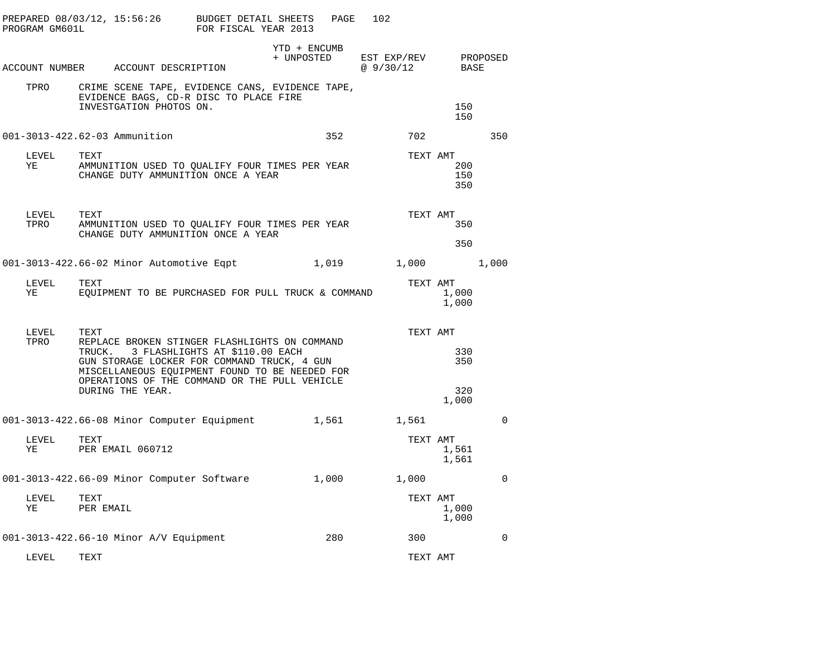| PROGRAM GM601L                |                   | PREPARED 08/03/12, 15:56:26              | BUDGET DETAIL SHEETS<br>FOR FISCAL YEAR 2013                                                                                                                                                                                             | PAGE                       | 102                      |                                        |             |
|-------------------------------|-------------------|------------------------------------------|------------------------------------------------------------------------------------------------------------------------------------------------------------------------------------------------------------------------------------------|----------------------------|--------------------------|----------------------------------------|-------------|
|                               |                   | ACCOUNT NUMBER ACCOUNT DESCRIPTION       |                                                                                                                                                                                                                                          | YTD + ENCUMB<br>+ UNPOSTED | EST EXP/REV<br>@ 9/30/12 | BASE                                   | PROPOSED    |
| TPRO                          |                   | INVESTGATION PHOTOS ON.                  | CRIME SCENE TAPE, EVIDENCE CANS, EVIDENCE TAPE,<br>EVIDENCE BAGS, CD-R DISC TO PLACE FIRE                                                                                                                                                |                            |                          | 150<br>150                             |             |
| 001-3013-422.62-03 Ammunition |                   |                                          |                                                                                                                                                                                                                                          | 352                        | 702                      |                                        | 350         |
| LEVEL<br>ΥE                   | TEXT              |                                          | AMMUNITION USED TO QUALIFY FOUR TIMES PER YEAR<br>CHANGE DUTY AMMUNITION ONCE A YEAR                                                                                                                                                     |                            |                          | TEXT AMT<br>200<br>150<br>350          |             |
| LEVEL<br>TPRO                 | TEXT              |                                          | AMMUNITION USED TO QUALIFY FOUR TIMES PER YEAR<br>CHANGE DUTY AMMUNITION ONCE A YEAR                                                                                                                                                     |                            | TEXT AMT                 | 350<br>350                             |             |
|                               |                   | 001-3013-422.66-02 Minor Automotive Eqpt |                                                                                                                                                                                                                                          | 1,019                      |                          | 1,000                                  | 1,000       |
| LEVEL<br>YE                   | TEXT              |                                          | EQUIPMENT TO BE PURCHASED FOR PULL TRUCK & COMMAND                                                                                                                                                                                       |                            |                          | TEXT AMT<br>1,000<br>1,000             |             |
| LEVEL<br>TPRO                 | TEXT              | DURING THE YEAR.                         | REPLACE BROKEN STINGER FLASHLIGHTS ON COMMAND<br>TRUCK. 3 FLASHLIGHTS AT \$110.00 EACH<br>GUN STORAGE LOCKER FOR COMMAND TRUCK, 4 GUN<br>MISCELLANEOUS EQUIPMENT FOUND TO BE NEEDED FOR<br>OPERATIONS OF THE COMMAND OR THE PULL VEHICLE |                            |                          | TEXT AMT<br>330<br>350<br>320<br>1,000 |             |
|                               |                   |                                          | 001-3013-422.66-08 Minor Computer Equipment                                                                                                                                                                                              | 1,561                      | 1,561                    |                                        | $\mathbf 0$ |
| LEVEL<br>YE                   | TEXT              | PER EMAIL 060712                         |                                                                                                                                                                                                                                          |                            |                          | TEXT AMT<br>1,561<br>1,561             |             |
|                               |                   |                                          | 001-3013-422.66-09 Minor Computer Software                                                                                                                                                                                               | 1,000                      | 1,000                    |                                        | 0           |
| LEVEL<br>ΥE                   | TEXT<br>PER EMAIL |                                          |                                                                                                                                                                                                                                          |                            |                          | TEXT AMT<br>1,000<br>1,000             |             |
|                               |                   | 001-3013-422.66-10 Minor A/V Equipment   |                                                                                                                                                                                                                                          | 280                        | 300                      |                                        | 0           |
| LEVEL                         | TEXT              |                                          |                                                                                                                                                                                                                                          |                            | TEXT AMT                 |                                        |             |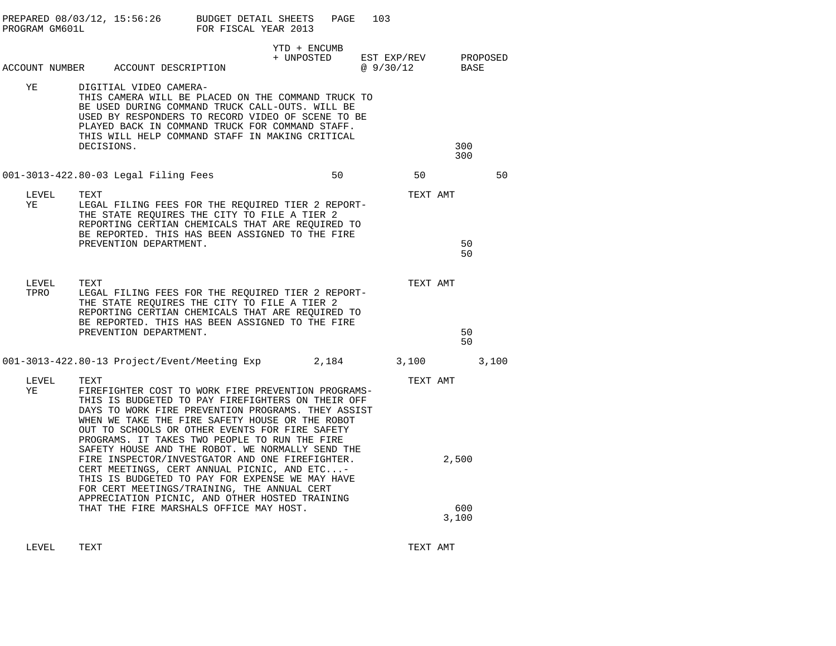| PROGRAM GM601L | PREPARED $08/03/12$ , $15:56:26$ BUDGET DETAIL SHEETS                                                                                                                                                                                                                                                                                                   | FOR FISCAL YEAR 2013 | PAGE                       | 103                      |                      |          |
|----------------|---------------------------------------------------------------------------------------------------------------------------------------------------------------------------------------------------------------------------------------------------------------------------------------------------------------------------------------------------------|----------------------|----------------------------|--------------------------|----------------------|----------|
|                | ACCOUNT NUMBER ACCOUNT DESCRIPTION                                                                                                                                                                                                                                                                                                                      |                      | YTD + ENCUMB<br>+ UNPOSTED | EST EXP/REV<br>@ 9/30/12 | BASE                 | PROPOSED |
| ΥE             | DIGITIAL VIDEO CAMERA-<br>THIS CAMERA WILL BE PLACED ON THE COMMAND TRUCK TO<br>BE USED DURING COMMAND TRUCK CALL-OUTS. WILL BE<br>USED BY RESPONDERS TO RECORD VIDEO OF SCENE TO BE<br>PLAYED BACK IN COMMAND TRUCK FOR COMMAND STAFF.<br>THIS WILL HELP COMMAND STAFF IN MAKING CRITICAL<br>DECISIONS.                                                |                      |                            |                          | 300<br>300           |          |
|                | 001-3013-422.80-03 Legal Filing Fees                                                                                                                                                                                                                                                                                                                    |                      | 50                         | 50                       |                      | 50       |
| LEVEL<br>ΥE    | TEXT<br>LEGAL FILING FEES FOR THE REOUIRED TIER 2 REPORT-<br>THE STATE REQUIRES THE CITY TO FILE A TIER 2<br>REPORTING CERTIAN CHEMICALS THAT ARE REOUIRED TO<br>BE REPORTED. THIS HAS BEEN ASSIGNED TO THE FIRE<br>PREVENTION DEPARTMENT.                                                                                                              |                      |                            |                          | TEXT AMT<br>50<br>50 |          |
| LEVEL<br>TPRO  | TEXT<br>LEGAL FILING FEES FOR THE REQUIRED TIER 2 REPORT-<br>THE STATE REQUIRES THE CITY TO FILE A TIER 2<br>REPORTING CERTIAN CHEMICALS THAT ARE REQUIRED TO<br>BE REPORTED. THIS HAS BEEN ASSIGNED TO THE FIRE<br>PREVENTION DEPARTMENT.                                                                                                              |                      |                            |                          | TEXT AMT<br>50<br>50 |          |
|                | 001-3013-422.80-13 Project/Event/Meeting Exp $2,184$ 3,100                                                                                                                                                                                                                                                                                              |                      |                            |                          |                      | 3,100    |
| LEVEL<br>ΥE    | TEXT<br>FIREFIGHTER COST TO WORK FIRE PREVENTION PROGRAMS-<br>THIS IS BUDGETED TO PAY FIREFIGHTERS ON THEIR OFF<br>DAYS TO WORK FIRE PREVENTION PROGRAMS. THEY ASSIST<br>WHEN WE TAKE THE FIRE SAFETY HOUSE OR THE ROBOT<br>OUT TO SCHOOLS OR OTHER EVENTS FOR FIRE SAFETY                                                                              |                      |                            |                          | TEXT AMT             |          |
|                | PROGRAMS. IT TAKES TWO PEOPLE TO RUN THE FIRE<br>SAFETY HOUSE AND THE ROBOT. WE NORMALLY SEND THE<br>FIRE INSPECTOR/INVESTGATOR AND ONE FIREFIGHTER.<br>CERT MEETINGS, CERT ANNUAL PICNIC, AND ETC-<br>THIS IS BUDGETED TO PAY FOR EXPENSE WE MAY HAVE<br>FOR CERT MEETINGS/TRAINING, THE ANNUAL CERT<br>APPRECIATION PICNIC, AND OTHER HOSTED TRAINING |                      |                            |                          | 2,500                |          |
|                | THAT THE FIRE MARSHALS OFFICE MAY HOST.                                                                                                                                                                                                                                                                                                                 |                      |                            |                          | 600<br>3,100         |          |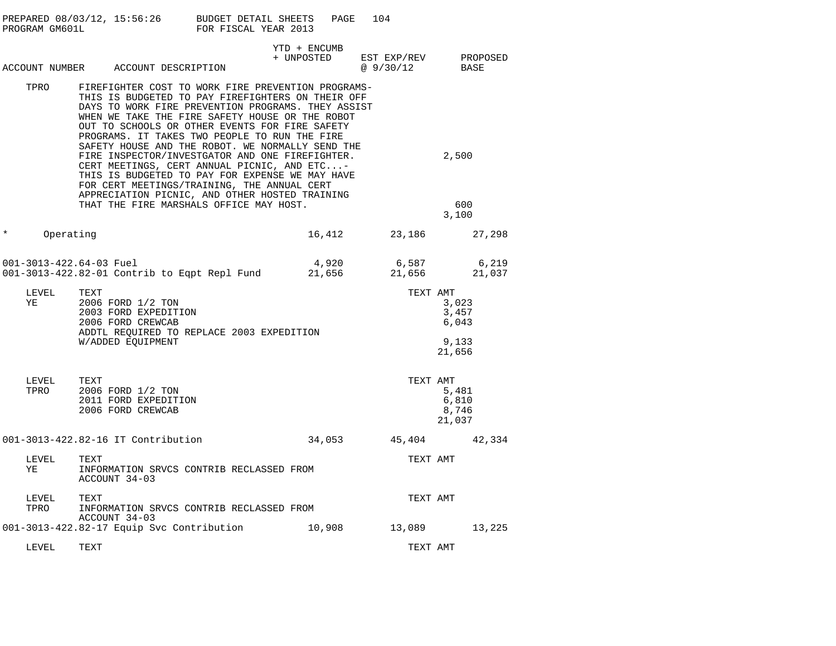|         | PROGRAM GM601L | PREPARED 08/03/12, 15:56:26 BUDGET DETAIL SHEETS                                                                                                                                                                                                                                                                    | FOR FISCAL YEAR 2013 | PAGE                       | 104                                                                   |                                            |
|---------|----------------|---------------------------------------------------------------------------------------------------------------------------------------------------------------------------------------------------------------------------------------------------------------------------------------------------------------------|----------------------|----------------------------|-----------------------------------------------------------------------|--------------------------------------------|
|         |                | ACCOUNT NUMBER ACCOUNT DESCRIPTION                                                                                                                                                                                                                                                                                  |                      | YTD + ENCUMB<br>+ UNPOSTED | EST EXP/REV PROPOSED<br>$\frac{251 \text{ H}}{2 \text{ } 30/12}$ BASE |                                            |
|         | TPRO           | FIREFIGHTER COST TO WORK FIRE PREVENTION PROGRAMS-<br>THIS IS BUDGETED TO PAY FIREFIGHTERS ON THEIR OFF<br>DAYS TO WORK FIRE PREVENTION PROGRAMS. THEY ASSIST<br>WHEN WE TAKE THE FIRE SAFETY HOUSE OR THE ROBOT<br>OUT TO SCHOOLS OR OTHER EVENTS FOR FIRE SAFETY<br>PROGRAMS. IT TAKES TWO PEOPLE TO RUN THE FIRE |                      |                            |                                                                       |                                            |
|         |                | SAFETY HOUSE AND THE ROBOT. WE NORMALLY SEND THE<br>FIRE INSPECTOR/INVESTGATOR AND ONE FIREFIGHTER.<br>CERT MEETINGS, CERT ANNUAL PICNIC, AND ETC-<br>THIS IS BUDGETED TO PAY FOR EXPENSE WE MAY HAVE<br>FOR CERT MEETINGS/TRAINING, THE ANNUAL CERT<br>APPRECIATION PICNIC, AND OTHER HOSTED TRAINING              |                      |                            |                                                                       | 2,500                                      |
|         |                | THAT THE FIRE MARSHALS OFFICE MAY HOST.                                                                                                                                                                                                                                                                             |                      |                            |                                                                       | 600<br>3,100                               |
| $\star$ | Operating      |                                                                                                                                                                                                                                                                                                                     |                      |                            | 16,412 23,186 27,298                                                  |                                            |
|         |                |                                                                                                                                                                                                                                                                                                                     |                      |                            |                                                                       |                                            |
|         | LEVEL<br>YE    | TEXT<br>2006 FORD 1/2 TON<br>2003 FORD EXPEDITION<br>2006 FORD CREWCAB<br>ADDTL REQUIRED TO REPLACE 2003 EXPEDITION<br>W/ADDED EQUIPMENT                                                                                                                                                                            |                      |                            | TEXT AMT                                                              | 3,023<br>3,457<br>6,043<br>9,133<br>21,656 |
|         | LEVEL<br>TPRO  | TEXT<br>2006 FORD 1/2 TON<br>2011 FORD EXPEDITION<br>2006 FORD CREWCAB                                                                                                                                                                                                                                              |                      |                            | TEXT AMT                                                              | 5,481<br>6,810<br>8,746<br>21,037          |
|         |                | 001-3013-422.82-16 IT Contribution                                                                                                                                                                                                                                                                                  |                      |                            | 34,053 45,404 42,334                                                  |                                            |
|         | LEVEL<br>YE    | TEXT<br>INFORMATION SRVCS CONTRIB RECLASSED FROM<br>ACCOUNT 34-03                                                                                                                                                                                                                                                   |                      |                            | TEXT AMT                                                              |                                            |
|         | LEVEL<br>TPRO  | TEXT<br>INFORMATION SRVCS CONTRIB RECLASSED FROM<br>ACCOUNT 34-03                                                                                                                                                                                                                                                   |                      |                            | TEXT AMT                                                              |                                            |
|         |                | 001-3013-422.82-17 Equip Svc Contribution                                                                                                                                                                                                                                                                           |                      | 10,908                     |                                                                       | 13,089 13,225                              |
|         | LEVEL          | TEXT                                                                                                                                                                                                                                                                                                                |                      |                            | TEXT AMT                                                              |                                            |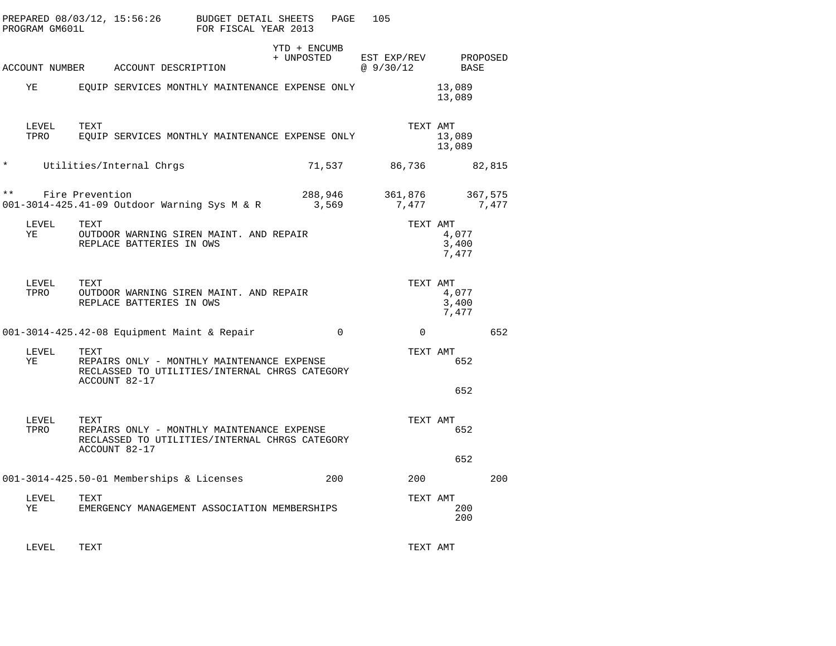|               | PROGRAM GM601L |                 | PREPARED 08/03/12, 15:56:26                                                                                   | BUDGET DETAIL SHEETS<br>FOR FISCAL YEAR 2013 |                            | PAGE     | 105 |                          |                         |                  |
|---------------|----------------|-----------------|---------------------------------------------------------------------------------------------------------------|----------------------------------------------|----------------------------|----------|-----|--------------------------|-------------------------|------------------|
|               |                |                 | ACCOUNT NUMBER ACCOUNT DESCRIPTION                                                                            |                                              | YTD + ENCUMB<br>+ UNPOSTED |          |     | EST EXP/REV<br>@ 9/30/12 | BASE                    | PROPOSED         |
|               | ΥE             |                 | EOUIP SERVICES MONTHLY MAINTENANCE EXPENSE ONLY                                                               |                                              |                            |          |     |                          | 13,089<br>13,089        |                  |
|               | LEVEL<br>TPRO  | TEXT            | EQUIP SERVICES MONTHLY MAINTENANCE EXPENSE ONLY                                                               |                                              |                            |          |     | TEXT AMT                 | 13,089<br>13,089        |                  |
| $^\star$      |                |                 | Utilities/Internal Chrgs                                                                                      |                                              | 71,537                     |          |     | 86,736                   |                         | 82,815           |
| $\star \star$ |                | Fire Prevention | 001-3014-425.41-09 Outdoor Warning Sys M & R                                                                  |                                              | 288,946<br>3,569           |          |     | 361,876<br>7,477         |                         | 367,575<br>7,477 |
|               | LEVEL<br>ΥE    | TEXT            | OUTDOOR WARNING SIREN MAINT. AND REPAIR<br>REPLACE BATTERIES IN OWS                                           |                                              |                            |          |     | TEXT AMT                 | 4,077<br>3,400<br>7,477 |                  |
|               | LEVEL<br>TPRO  | TEXT            | OUTDOOR WARNING SIREN MAINT. AND REPAIR<br>REPLACE BATTERIES IN OWS                                           |                                              |                            |          |     | TEXT AMT                 | 4,077<br>3,400<br>7,477 |                  |
|               |                |                 | 001-3014-425.42-08 Equipment Maint & Repair                                                                   |                                              |                            | $\Omega$ |     | $\Omega$                 |                         | 652              |
|               | LEVEL<br>ΥE    | TEXT            | REPAIRS ONLY - MONTHLY MAINTENANCE EXPENSE<br>RECLASSED TO UTILITIES/INTERNAL CHRGS CATEGORY<br>ACCOUNT 82-17 |                                              |                            |          |     | TEXT AMT                 | 652                     |                  |
|               |                |                 |                                                                                                               |                                              |                            |          |     |                          | 652                     |                  |
|               | LEVEL<br>TPRO  | TEXT            | REPAIRS ONLY - MONTHLY MAINTENANCE EXPENSE<br>RECLASSED TO UTILITIES/INTERNAL CHRGS CATEGORY<br>ACCOUNT 82-17 |                                              |                            |          |     | TEXT AMT                 | 652<br>652              |                  |
|               |                |                 | 001-3014-425.50-01 Memberships & Licenses                                                                     |                                              |                            | 200      |     | 200                      |                         | 200              |
|               | LEVEL<br>ΥE    | TEXT            | EMERGENCY MANAGEMENT ASSOCIATION MEMBERSHIPS                                                                  |                                              |                            |          |     | TEXT AMT                 | 200<br>200              |                  |
|               |                |                 |                                                                                                               |                                              |                            |          |     |                          |                         |                  |

LEVEL TEXT TEXT AMT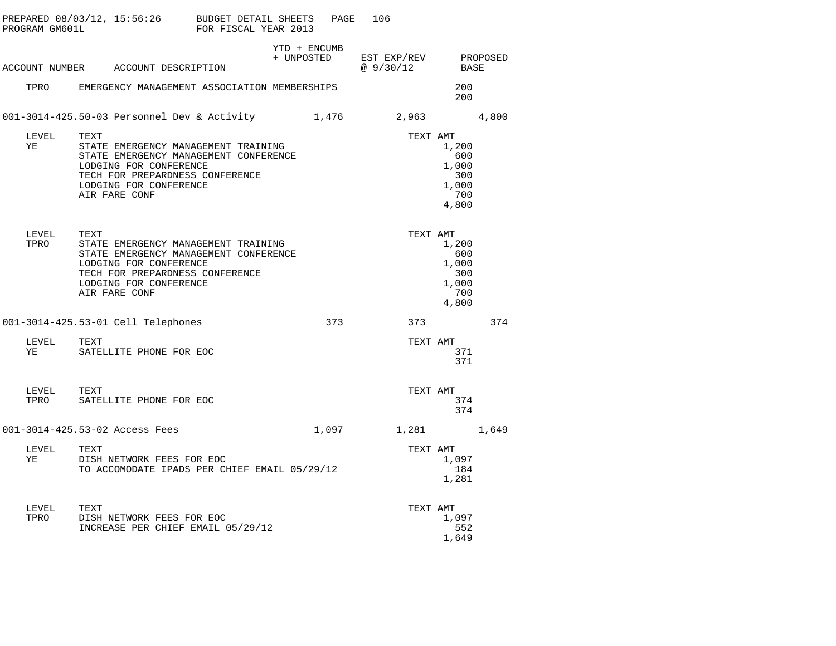| PROGRAM GM601L |               | PREPARED 08/03/12, 15:56:26 BUDGET DETAIL SHEETS                                                                                                                                             | FOR FISCAL YEAR 2013 |                            | PAGE  | 106                     |                                                       |          |
|----------------|---------------|----------------------------------------------------------------------------------------------------------------------------------------------------------------------------------------------|----------------------|----------------------------|-------|-------------------------|-------------------------------------------------------|----------|
|                |               | ACCOUNT NUMBER ACCOUNT DESCRIPTION                                                                                                                                                           |                      | YTD + ENCUMB<br>+ UNPOSTED |       | EST EXP/REV<br>@9/30/12 | BASE                                                  | PROPOSED |
|                |               | TPRO EMERGENCY MANAGEMENT ASSOCIATION MEMBERSHIPS                                                                                                                                            |                      |                            |       |                         | 200<br>200                                            |          |
|                |               | 001-3014-425.50-03 Personnel Dev & Activity                                                                                                                                                  |                      |                            | 1,476 | 2,963 4,800             |                                                       |          |
| YE             | LEVEL         | TEXT<br>STATE EMERGENCY MANAGEMENT TRAINING<br>STATE EMERGENCY MANAGEMENT CONFERENCE<br>LODGING FOR CONFERENCE<br>TECH FOR PREPARDNESS CONFERENCE<br>LODGING FOR CONFERENCE<br>AIR FARE CONF |                      |                            |       | TEXT AMT                | 1,200<br>600<br>1,000<br>300<br>1,000<br>700<br>4,800 |          |
|                | LEVEL<br>TPRO | TEXT<br>STATE EMERGENCY MANAGEMENT TRAINING<br>STATE EMERGENCY MANAGEMENT CONFERENCE<br>LODGING FOR CONFERENCE<br>TECH FOR PREPARDNESS CONFERENCE<br>LODGING FOR CONFERENCE<br>AIR FARE CONF |                      |                            |       | TEXT AMT                | 1,200<br>600<br>1,000<br>300<br>1,000<br>700<br>4,800 |          |
|                |               | 001-3014-425.53-01 Cell Telephones                                                                                                                                                           |                      |                            | 373   | 373                     |                                                       | 374      |
| YE             | LEVEL TEXT    | SATELLITE PHONE FOR EOC                                                                                                                                                                      |                      |                            |       | TEXT AMT                | 371<br>371                                            |          |
|                | LEVEL<br>TPRO | TEXT<br>SATELLITE PHONE FOR EOC                                                                                                                                                              |                      |                            |       | TEXT AMT                | 374<br>374                                            |          |
|                |               | 001-3014-425.53-02 Access Fees                                                                                                                                                               |                      |                            |       | 1,097 1,281             |                                                       | 1,649    |
| YE             | LEVEL         | TEXT<br>DISH NETWORK FEES FOR EOC<br>TO ACCOMODATE IPADS PER CHIEF EMAIL 05/29/12                                                                                                            |                      |                            |       |                         | TEXT AMT<br>1,097<br>184<br>1,281                     |          |
| TPRO           | LEVEL         | TEXT<br>DISH NETWORK FEES FOR EOC<br>INCREASE PER CHIEF EMAIL 05/29/12                                                                                                                       |                      |                            |       | TEXT AMT                | 1,097<br>552<br>1,649                                 |          |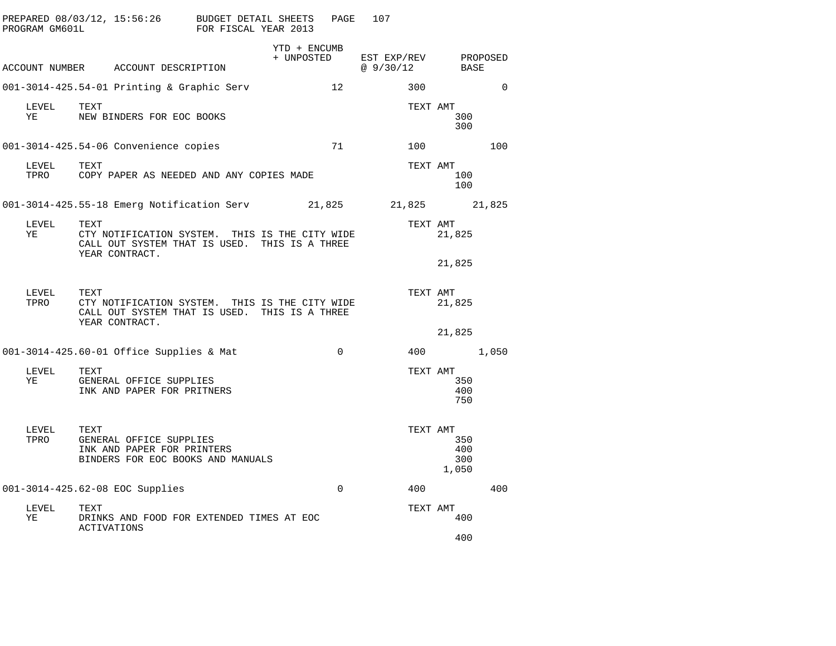| PROGRAM GM601L |                            | PREPARED 08/03/12, 15:56:26 BUDGET DETAIL SHEETS                                                                  | FOR FISCAL YEAR 2013 |                            | PAGE            | 107                           |                                        |          |
|----------------|----------------------------|-------------------------------------------------------------------------------------------------------------------|----------------------|----------------------------|-----------------|-------------------------------|----------------------------------------|----------|
|                |                            | ACCOUNT NUMBER ACCOUNT DESCRIPTION                                                                                |                      | YTD + ENCUMB<br>+ UNPOSTED |                 | EST EXP/REV<br>@ 9/30/12 BASE | PROPOSED                               |          |
|                |                            | 001-3014-425.54-01 Printing & Graphic Serv                                                                        |                      |                            | 12 <sup>°</sup> | 300                           |                                        | $\Omega$ |
| LEVEL<br>YE    | TEXT                       | NEW BINDERS FOR EOC BOOKS                                                                                         |                      |                            |                 |                               | TEXT AMT<br>300<br>300                 |          |
|                |                            | 001-3014-425.54-06 Convenience copies                                                                             |                      |                            | 71              | 100                           |                                        | 100      |
| LEVEL<br>TPRO  | TEXT                       | COPY PAPER AS NEEDED AND ANY COPIES MADE                                                                          |                      |                            |                 |                               | TEXT AMT<br>100<br>100                 |          |
|                |                            | 001-3014-425.55-18 Emerg Notification Serv 21,825                                                                 |                      |                            |                 | 21,825 21,825                 |                                        |          |
| LEVEL<br>ΥE    | TEXT                       | CTY NOTIFICATION SYSTEM. THIS IS THE CITY WIDE<br>CALL OUT SYSTEM THAT IS USED. THIS IS A THREE<br>YEAR CONTRACT. |                      |                            |                 |                               | TEXT AMT<br>21,825                     |          |
|                |                            |                                                                                                                   |                      |                            |                 |                               | 21,825                                 |          |
| LEVEL<br>TPRO  | TEXT                       | CTY NOTIFICATION SYSTEM. THIS IS THE CITY WIDE<br>CALL OUT SYSTEM THAT IS USED. THIS IS A THREE<br>YEAR CONTRACT. |                      |                            |                 |                               | TEXT AMT<br>21,825                     |          |
|                |                            |                                                                                                                   |                      |                            |                 |                               | 21,825                                 |          |
|                |                            | 001-3014-425.60-01 Office Supplies & Mat                                                                          |                      |                            | $\mathbf 0$     |                               | 400 000                                | 1,050    |
| LEVEL<br>YE    | TEXT                       | GENERAL OFFICE SUPPLIES<br>INK AND PAPER FOR PRITNERS                                                             |                      |                            |                 |                               | TEXT AMT<br>350<br>400<br>750          |          |
| LEVEL<br>TPRO  | TEXT                       | GENERAL OFFICE SUPPLIES<br>INK AND PAPER FOR PRINTERS<br>BINDERS FOR EOC BOOKS AND MANUALS                        |                      |                            |                 |                               | TEXT AMT<br>350<br>400<br>300<br>1,050 |          |
|                |                            | 001-3014-425.62-08 EOC Supplies                                                                                   |                      |                            | $\Omega$        | 400                           |                                        | 400      |
| LEVEL<br>YE    | TEXT<br><b>ACTIVATIONS</b> | DRINKS AND FOOD FOR EXTENDED TIMES AT EOC                                                                         |                      |                            |                 |                               | TEXT AMT<br>400                        |          |
|                |                            |                                                                                                                   |                      |                            |                 |                               | 400                                    |          |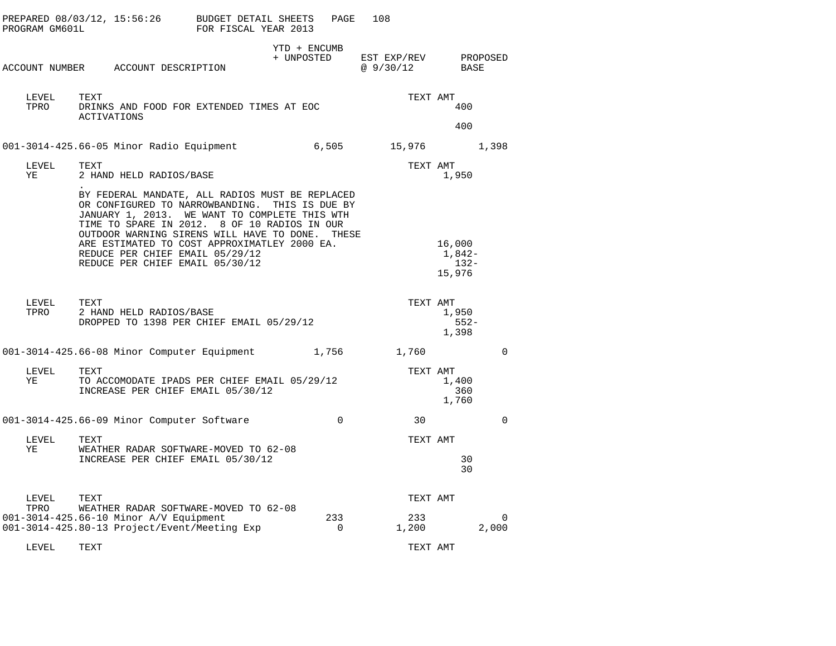| PROGRAM GM601L | PREPARED 08/03/12, 15:56:26 BUDGET DETAIL SHEETS                                                                                                                                                                                                                                                                                                                            | FOR FISCAL YEAR 2013 |                            | PAGE                  | 108                      |                                        |             |
|----------------|-----------------------------------------------------------------------------------------------------------------------------------------------------------------------------------------------------------------------------------------------------------------------------------------------------------------------------------------------------------------------------|----------------------|----------------------------|-----------------------|--------------------------|----------------------------------------|-------------|
|                | ACCOUNT NUMBER ACCOUNT DESCRIPTION                                                                                                                                                                                                                                                                                                                                          |                      | YTD + ENCUMB<br>+ UNPOSTED |                       | EST EXP/REV<br>@9/30/12  | BASE                                   | PROPOSED    |
| LEVEL<br>TPRO  | TEXT<br>DRINKS AND FOOD FOR EXTENDED TIMES AT EOC<br><b>ACTIVATIONS</b>                                                                                                                                                                                                                                                                                                     |                      |                            |                       | TEXT AMT                 | 400<br>400                             |             |
|                | 001-3014-425.66-05 Minor Radio Equipment                                                                                                                                                                                                                                                                                                                                    |                      |                            | 6,505                 | 15,976                   |                                        | 1,398       |
| LEVEL<br>ΥE    | TEXT<br>2 HAND HELD RADIOS/BASE                                                                                                                                                                                                                                                                                                                                             |                      |                            |                       |                          | TEXT AMT<br>1,950                      |             |
|                | BY FEDERAL MANDATE, ALL RADIOS MUST BE REPLACED<br>OR CONFIGURED TO NARROWBANDING. THIS IS DUE BY<br>JANUARY 1, 2013. WE WANT TO COMPLETE THIS WTH<br>TIME TO SPARE IN 2012. 8 OF 10 RADIOS IN OUR<br>OUTDOOR WARNING SIRENS WILL HAVE TO DONE. THESE<br>ARE ESTIMATED TO COST APPROXIMATLEY 2000 EA.<br>REDUCE PER CHIEF EMAIL 05/29/12<br>REDUCE PER CHIEF EMAIL 05/30/12 |                      |                            |                       |                          | 16,000<br>$1,842-$<br>$132-$<br>15,976 |             |
| LEVEL<br>TPRO  | TEXT<br>2 HAND HELD RADIOS/BASE<br>DROPPED TO 1398 PER CHIEF EMAIL 05/29/12                                                                                                                                                                                                                                                                                                 |                      |                            |                       |                          | TEXT AMT<br>1,950<br>$552-$<br>1,398   |             |
|                | 001-3014-425.66-08 Minor Computer Equipment 1,756                                                                                                                                                                                                                                                                                                                           |                      |                            |                       | 1,760                    |                                        | $\mathbf 0$ |
| LEVEL<br>ΥE    | TEXT<br>TO ACCOMODATE IPADS PER CHIEF EMAIL 05/29/12<br>INCREASE PER CHIEF EMAIL 05/30/12                                                                                                                                                                                                                                                                                   |                      |                            |                       |                          | TEXT AMT<br>1,400<br>360<br>1,760      |             |
|                | 001-3014-425.66-09 Minor Computer Software                                                                                                                                                                                                                                                                                                                                  |                      |                            | $\Omega$              | 30                       |                                        | $\Omega$    |
| LEVEL<br>ΥE    | TEXT<br>WEATHER RADAR SOFTWARE-MOVED TO 62-08<br>INCREASE PER CHIEF EMAIL 05/30/12                                                                                                                                                                                                                                                                                          |                      |                            |                       | TEXT AMT                 | 30<br>30                               |             |
| LEVEL<br>TPRO  | TEXT<br>WEATHER RADAR SOFTWARE-MOVED TO 62-08<br>001-3014-425.66-10 Minor A/V Equipment<br>001-3014-425.80-13 Project/Event/Meeting Exp                                                                                                                                                                                                                                     |                      |                            | 233<br>$\overline{0}$ | TEXT AMT<br>233<br>1,200 |                                        | 0<br>2,000  |
| LEVEL          | TEXT                                                                                                                                                                                                                                                                                                                                                                        |                      |                            |                       | TEXT AMT                 |                                        |             |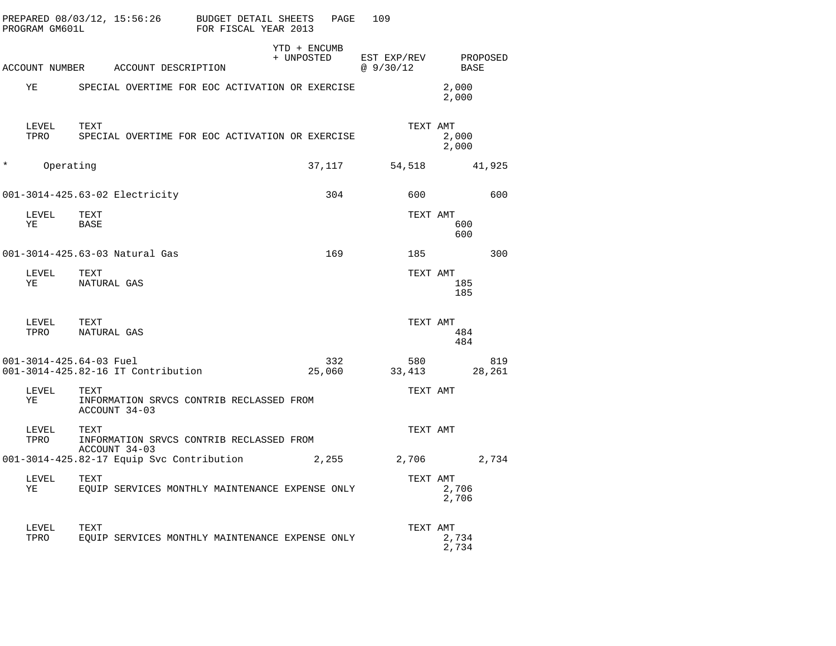|         | PROGRAM GM601L | PREPARED 08/03/12, 15:56:26                                       | BUDGET DETAIL SHEETS<br>FOR FISCAL YEAR 2013 | PAGE                       | 109                      |                  |
|---------|----------------|-------------------------------------------------------------------|----------------------------------------------|----------------------------|--------------------------|------------------|
|         |                | ACCOUNT NUMBER ACCOUNT DESCRIPTION                                |                                              | YTD + ENCUMB<br>+ UNPOSTED | EST EXP/REV<br>@ 9/30/12 | PROPOSED<br>BASE |
|         | ΥE             | SPECIAL OVERTIME FOR EOC ACTIVATION OR EXERCISE                   |                                              |                            |                          | 2,000<br>2,000   |
|         | LEVEL<br>TPRO  | TEXT<br>SPECIAL OVERTIME FOR EOC ACTIVATION OR EXERCISE           |                                              |                            | TEXT AMT                 | 2,000<br>2,000   |
| $\star$ | Operating      |                                                                   |                                              | 37,117                     | 54,518                   | 41,925           |
|         |                | 001-3014-425.63-02 Electricity                                    |                                              | 304                        | 600                      | 600              |
|         | LEVEL<br>ΥE    | TEXT<br>BASE                                                      |                                              |                            | TEXT AMT                 | 600<br>600       |
|         |                | 001-3014-425.63-03 Natural Gas                                    |                                              | 169                        | 185                      | 300              |
|         | LEVEL<br>ΥE    | TEXT<br>NATURAL GAS                                               |                                              |                            | TEXT AMT                 | 185<br>185       |
|         | LEVEL<br>TPRO  | TEXT<br>NATURAL GAS                                               |                                              |                            | TEXT AMT                 | 484<br>484       |
|         |                | 001-3014-425.64-03 Fuel<br>001-3014-425.82-16 IT Contribution     |                                              | 332<br>25,060              | 580<br>33,413            | 819<br>28,261    |
|         | LEVEL<br>ΥE    | TEXT<br>INFORMATION SRVCS CONTRIB RECLASSED FROM<br>ACCOUNT 34-03 |                                              |                            | TEXT AMT                 |                  |
|         | LEVEL<br>TPRO  | TEXT<br>INFORMATION SRVCS CONTRIB RECLASSED FROM                  |                                              |                            | TEXT AMT                 |                  |
|         |                | ACCOUNT 34-03<br>001-3014-425.82-17 Equip Svc Contribution        |                                              | 2,255                      | 2,706                    | 2,734            |
|         | LEVEL<br>ΥE    | TEXT<br>EQUIP SERVICES MONTHLY MAINTENANCE EXPENSE ONLY           |                                              |                            | TEXT AMT                 | 2,706<br>2,706   |
|         | LEVEL<br>TPRO  | TEXT<br>EOUIP SERVICES MONTHLY MAINTENANCE EXPENSE ONLY           |                                              |                            | TEXT AMT                 | 2,734<br>2,734   |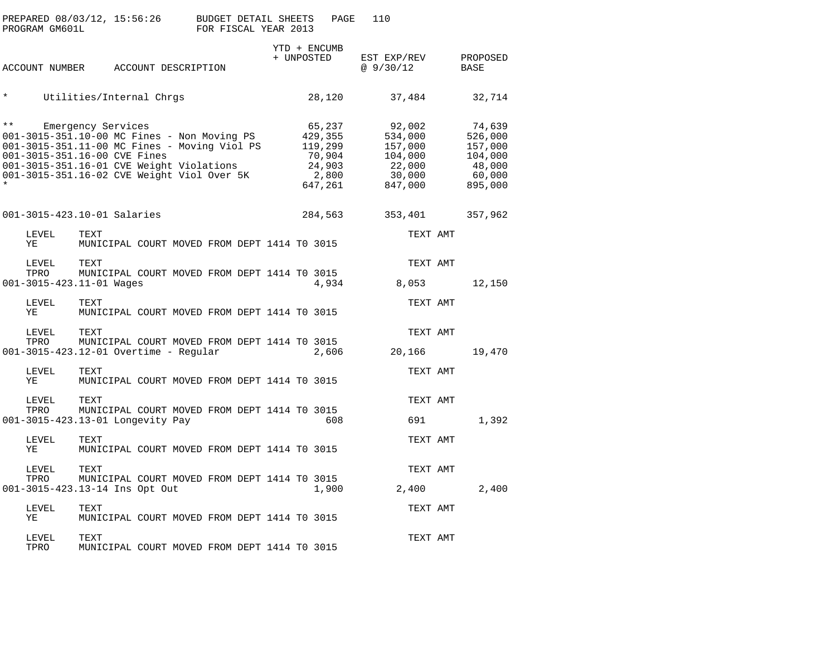|              | PREPARED 08/03/12, 15:56:26<br>PROGRAM GM601L                                                                                                                                                                         |                                                      |                     | <b>BUDGET DETAIL SHEETS</b><br>FOR FISCAL YEAR 2013 |  | PAGE                                                                 | 110                                                                    |                    |                                                  |
|--------------|-----------------------------------------------------------------------------------------------------------------------------------------------------------------------------------------------------------------------|------------------------------------------------------|---------------------|-----------------------------------------------------|--|----------------------------------------------------------------------|------------------------------------------------------------------------|--------------------|--------------------------------------------------|
|              | ACCOUNT NUMBER                                                                                                                                                                                                        |                                                      | ACCOUNT DESCRIPTION |                                                     |  | YTD + ENCUMB<br>+ UNPOSTED                                           | EST EXP/REV<br>@9/30/12                                                | PROPOSED<br>BASE   |                                                  |
| *            |                                                                                                                                                                                                                       | Utilities/Internal Chrgs                             |                     |                                                     |  | 28,120                                                               | 37,484                                                                 |                    | 32,714                                           |
| $\star\star$ | 001-3015-351.10-00 MC Fines - Non Moving PS<br>001-3015-351.11-00 MC Fines - Moving Viol PS<br>001-3015-351.16-00 CVE Fines<br>001-3015-351.16-01 CVE Weight Violations<br>001-3015-351.16-02 CVE Weight Viol Over 5K | Emergency Services                                   |                     |                                                     |  | 65,237<br>429,355<br>119,299<br>70,904<br>24,903<br>2,800<br>647,261 | 92,002<br>534,000<br>157,000<br>104,000<br>22,000<br>30,000<br>847,000 | 157,000<br>895,000 | 74,639<br>526,000<br>104,000<br>48,000<br>60,000 |
|              | 001-3015-423.10-01 Salaries                                                                                                                                                                                           |                                                      |                     |                                                     |  | 284,563                                                              | 353,401                                                                | 357,962            |                                                  |
|              | LEVEL<br>ΥE                                                                                                                                                                                                           | TEXT<br>MUNICIPAL COURT MOVED FROM DEPT 1414 TO 3015 |                     |                                                     |  |                                                                      | TEXT AMT                                                               |                    |                                                  |
|              | LEVEL<br>TPRO                                                                                                                                                                                                         | TEXT<br>MUNICIPAL COURT MOVED FROM DEPT 1414 TO 3015 |                     |                                                     |  |                                                                      | TEXT AMT                                                               |                    |                                                  |
|              | $001 - 3015 - 423.11 - 01$ Wages                                                                                                                                                                                      |                                                      |                     |                                                     |  | 4,934                                                                | 8,053                                                                  |                    | 12,150                                           |
|              | LEVEL<br>ΥE                                                                                                                                                                                                           | TEXT<br>MUNICIPAL COURT MOVED FROM DEPT 1414 TO 3015 |                     |                                                     |  |                                                                      | TEXT AMT                                                               |                    |                                                  |
|              | LEVEL                                                                                                                                                                                                                 | TEXT                                                 |                     |                                                     |  |                                                                      | TEXT AMT                                                               |                    |                                                  |
|              | TPRO<br>001-3015-423.12-01 Overtime - Regular                                                                                                                                                                         | MUNICIPAL COURT MOVED FROM DEPT 1414 TO 3015         |                     |                                                     |  | 2,606                                                                | 20,166                                                                 |                    | 19,470                                           |
|              | LEVEL<br>ΥE                                                                                                                                                                                                           | TEXT<br>MUNICIPAL COURT MOVED FROM DEPT 1414 TO 3015 |                     |                                                     |  |                                                                      | TEXT AMT                                                               |                    |                                                  |
|              | LEVEL                                                                                                                                                                                                                 | TEXT                                                 |                     |                                                     |  |                                                                      | TEXT AMT                                                               |                    |                                                  |
|              | TPRO<br>001-3015-423.13-01 Longevity Pay                                                                                                                                                                              | MUNICIPAL COURT MOVED FROM DEPT 1414 TO 3015         |                     |                                                     |  | 608                                                                  | 691                                                                    |                    | 1,392                                            |
|              | LEVEL<br>ΥE                                                                                                                                                                                                           | TEXT<br>MUNICIPAL COURT MOVED FROM DEPT 1414 TO 3015 |                     |                                                     |  |                                                                      | TEXT AMT                                                               |                    |                                                  |
|              | LEVEL<br>TPRO                                                                                                                                                                                                         | TEXT                                                 |                     |                                                     |  |                                                                      | TEXT AMT                                                               |                    |                                                  |
|              | 001-3015-423.13-14 Ins Opt Out                                                                                                                                                                                        | MUNICIPAL COURT MOVED FROM DEPT 1414 TO 3015         |                     |                                                     |  | 1,900                                                                | 2,400                                                                  |                    | 2,400                                            |
|              | LEVEL<br>ΥE                                                                                                                                                                                                           | TEXT<br>MUNICIPAL COURT MOVED FROM DEPT 1414 TO 3015 |                     |                                                     |  |                                                                      | TEXT AMT                                                               |                    |                                                  |
|              | LEVEL<br>TPRO                                                                                                                                                                                                         | TEXT<br>MUNICIPAL COURT MOVED FROM DEPT 1414 TO 3015 |                     |                                                     |  |                                                                      | TEXT AMT                                                               |                    |                                                  |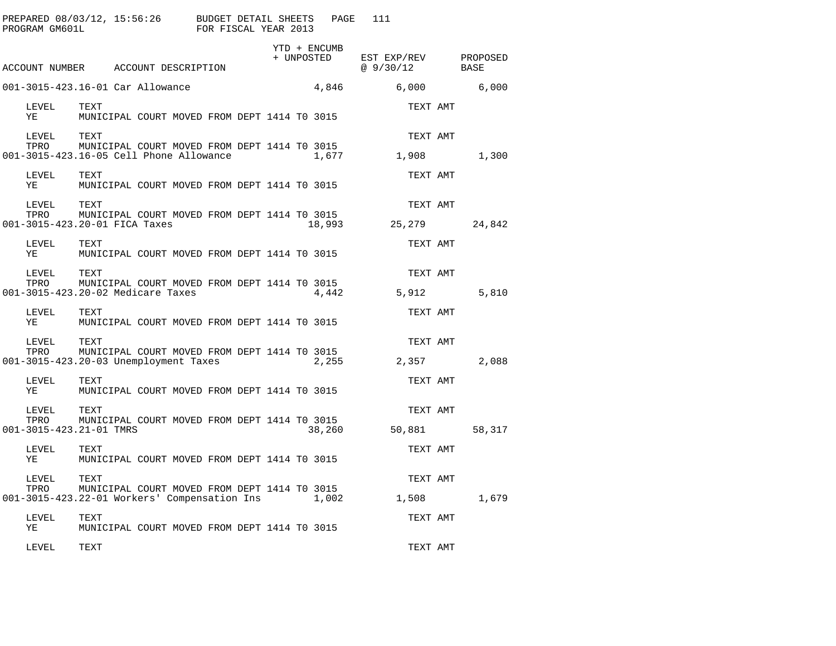| PREPARED 08/03/12, 15:56:26 BUDGET DETAIL SHEETS<br>PROGRAM GM601L                                            |                                                      |  |                                              | FOR FISCAL YEAR 2013 |  | PAGE                       | 111       |                                                                                                                                                                                                                                 |                              |
|---------------------------------------------------------------------------------------------------------------|------------------------------------------------------|--|----------------------------------------------|----------------------|--|----------------------------|-----------|---------------------------------------------------------------------------------------------------------------------------------------------------------------------------------------------------------------------------------|------------------------------|
| ACCOUNT NUMBER ACCOUNT DESCRIPTION                                                                            |                                                      |  |                                              |                      |  | YTD + ENCUMB<br>+ UNPOSTED | @ 9/30/12 |                                                                                                                                                                                                                                 | EST EXP/REV PROPOSED<br>BASE |
| 001-3015-423.16-01 Car Allowance                                                                              |                                                      |  |                                              |                      |  | 4,846                      |           | 6,000 6,000 6,000 6,000 6,000 6,000 6,000 6,000 6,000 6,000 6,000 6,000 6,000 6,000 6,000 6,000 6,000 6,000 6,000 6,000 6,000 6,000 6,000 6,000 6,000 6,000 6,000 6,000 6,000 6,000 6,000 6,000 6,000 6,000 6,000 6,000 6,000 6 | 6,000                        |
| LEVEL<br>ΥE                                                                                                   | TEXT                                                 |  | MUNICIPAL COURT MOVED FROM DEPT 1414 TO 3015 |                      |  |                            |           | TEXT AMT                                                                                                                                                                                                                        |                              |
| LEVEL<br>TPRO<br>001-3015-423.16-05 Cell Phone Allowance                                                      | TEXT<br>MUNICIPAL COURT MOVED FROM DEPT 1414 TO 3015 |  |                                              |                      |  | 1,677                      |           | TEXT AMT<br>1,908                                                                                                                                                                                                               | 1,300                        |
| LEVEL<br>YE                                                                                                   | TEXT<br>MUNICIPAL COURT MOVED FROM DEPT 1414 TO 3015 |  |                                              |                      |  |                            |           | TEXT AMT                                                                                                                                                                                                                        |                              |
| LEVEL<br>TPRO<br>001-3015-423.20-01 FICA Taxes                                                                | TEXT                                                 |  | MUNICIPAL COURT MOVED FROM DEPT 1414 TO 3015 |                      |  | 18,993                     |           | TEXT AMT<br>25,279                                                                                                                                                                                                              | 24,842                       |
| LEVEL<br>YE                                                                                                   | TEXT                                                 |  | MUNICIPAL COURT MOVED FROM DEPT 1414 TO 3015 |                      |  |                            |           | TEXT AMT                                                                                                                                                                                                                        |                              |
| LEVEL<br>TEVEL TEAT<br>TPRO MUNICIPAL COURT MOVED FROM DEPT 1414 TO 3015<br>001-3015-423.20-02 Medicare Taxes | TEXT                                                 |  |                                              |                      |  | 4,442                      |           | TEXT AMT<br>5,912                                                                                                                                                                                                               | 5,810                        |
| LEVEL<br>YE                                                                                                   | TEXT                                                 |  | MUNICIPAL COURT MOVED FROM DEPT 1414 TO 3015 |                      |  |                            |           | TEXT AMT                                                                                                                                                                                                                        |                              |
| LEVEL<br>TPRO<br>001-3015-423.20-03 Unemployment Taxes                                                        | TEXT<br>MUNICIPAL COURT MOVED FROM DEPT 1414 TO 3015 |  |                                              |                      |  | 2,255                      |           | TEXT AMT<br>2,357                                                                                                                                                                                                               | 2,088                        |
| LEVEL<br>YE                                                                                                   | TEXT                                                 |  | MUNICIPAL COURT MOVED FROM DEPT 1414 TO 3015 |                      |  |                            |           | TEXT AMT                                                                                                                                                                                                                        |                              |
| LEVEL<br>TPRO<br>001-3015-423.21-01 TMRS                                                                      | TEXT<br>MUNICIPAL COURT MOVED FROM DEPT 1414 TO 3015 |  |                                              |                      |  | 38,260                     |           | TEXT AMT<br>50,881                                                                                                                                                                                                              | 58,317                       |
| LEVEL<br>YE                                                                                                   | TEXT                                                 |  | MUNICIPAL COURT MOVED FROM DEPT 1414 TO 3015 |                      |  |                            |           | TEXT AMT                                                                                                                                                                                                                        |                              |
| LEVEL<br>TPRO<br>001-3015-423.22-01 Workers' Compensation Ins 1,002                                           | TEXT                                                 |  | MUNICIPAL COURT MOVED FROM DEPT 1414 TO 3015 |                      |  |                            |           | TEXT AMT<br>1,508                                                                                                                                                                                                               | 1,679                        |
| LEVEL<br>ΥE                                                                                                   | TEXT<br>MUNICIPAL COURT MOVED FROM DEPT 1414 TO 3015 |  |                                              |                      |  |                            |           | TEXT AMT                                                                                                                                                                                                                        |                              |
| LEVEL                                                                                                         | TEXT                                                 |  |                                              |                      |  |                            |           | TEXT AMT                                                                                                                                                                                                                        |                              |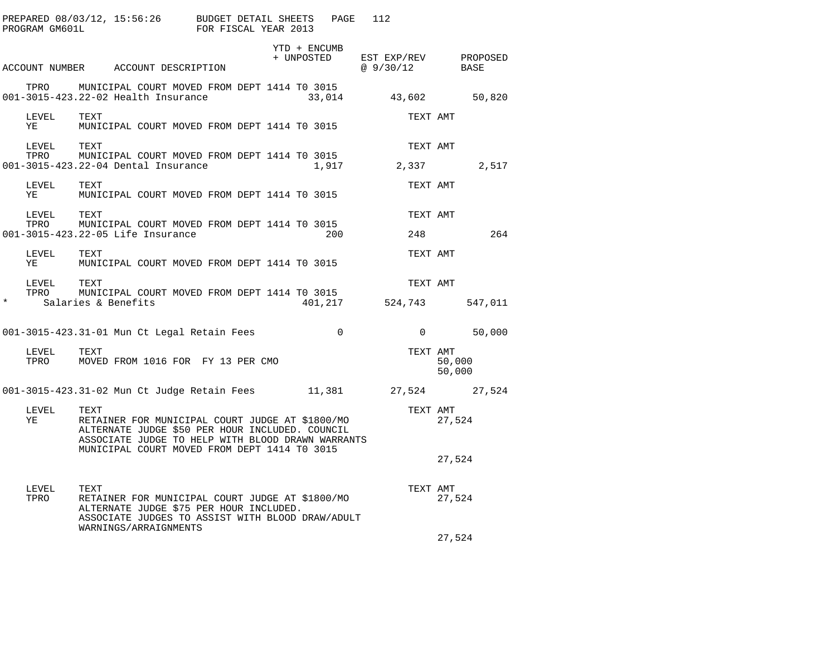| PROGRAM GM601L                                             | PREPARED 08/03/12, 15:56:26 BUDGET DETAIL SHEETS PAGE                                                                                                           | FOR FISCAL YEAR 2013 |              | 112                                                                                                            |                  |
|------------------------------------------------------------|-----------------------------------------------------------------------------------------------------------------------------------------------------------------|----------------------|--------------|----------------------------------------------------------------------------------------------------------------|------------------|
|                                                            | ACCOUNT NUMBER ACCOUNT DESCRIPTION                                                                                                                              |                      | YTD + ENCUMB | $\begin{tabular}{llll} + & UNPOSTED & EST & EXP/REV & & PROPOSED \\ & @ 9 / 30 / 12 & & BASE \\ \end{tabular}$ |                  |
|                                                            | TPRO MUNICIPAL COURT MOVED FROM DEPT 1414 TO 3015<br>001-3015-423.22-02 Health Insurance                                                                        |                      | 33,014       | 43,602                                                                                                         | 50,820           |
| LEVEL<br>ΥE                                                | TEXT<br>MUNICIPAL COURT MOVED FROM DEPT 1414 TO 3015                                                                                                            |                      |              | TEXT AMT                                                                                                       |                  |
| LEVEL<br>TPRO                                              | TEXT<br>MUNICIPAL COURT MOVED FROM DEPT 1414 TO 3015<br>001-3015-423.22-04 Dental Insurance                                                                     |                      |              | TEXT AMT<br>1,917 2,337 2,517                                                                                  |                  |
| LEVEL TEXT<br>YE                                           | MUNICIPAL COURT MOVED FROM DEPT 1414 TO 3015                                                                                                                    |                      |              | TEXT AMT                                                                                                       |                  |
| LEVEL                                                      | TEXT<br>TPRO MUNICIPAL COURT MOVED FROM DEPT 1414 TO 3015<br>001-3015-423.22-05 Life Insurance                                                                  |                      | 200          | TEXT AMT<br>248                                                                                                | 264              |
| LEVEL<br>YE                                                | TEXT<br>MUNICIPAL COURT MOVED FROM DEPT 1414 TO 3015                                                                                                            |                      |              | TEXT AMT                                                                                                       |                  |
| ${\tt LEVEL} \hspace{0.2in} {\tt TEXT}$<br>TPRO<br>$\star$ | MUNICIPAL COURT MOVED FROM DEPT 1414 TO 3015<br>Salaries & Benefits                                                                                             |                      |              | TEXT AMT<br>401, 217 524, 743                                                                                  | 547,011          |
|                                                            | 001-3015-423.31-01 Mun Ct Legal Retain Fees                                                                                                                     |                      | $\sim$ 0     |                                                                                                                | $0 \t 50,000$    |
| LEVEL<br>TPRO                                              | TEXT<br>MOVED FROM 1016 FOR FY 13 PER CMO                                                                                                                       |                      |              | TEXT AMT                                                                                                       | 50,000<br>50,000 |
|                                                            | 001-3015-423.31-02 Mun Ct Judge Retain Fees 11,381 27,524 27,524                                                                                                |                      |              |                                                                                                                |                  |
| LEVEL<br>YE                                                | TEXT<br>RETAINER FOR MUNICIPAL COURT JUDGE AT \$1800/MO<br>ALTERNATE JUDGE \$50 PER HOUR INCLUDED. COUNCIL<br>ASSOCIATE JUDGE TO HELP WITH BLOOD DRAWN WARRANTS |                      |              | TEXT AMT                                                                                                       | 27,524           |
|                                                            | MUNICIPAL COURT MOVED FROM DEPT 1414 TO 3015                                                                                                                    |                      |              |                                                                                                                | 27,524           |
| LEVEL<br>TPRO                                              | TEXT<br>RETAINER FOR MUNICIPAL COURT JUDGE AT \$1800/MO<br>ALTERNATE JUDGE \$75 PER HOUR INCLUDED.<br>ASSOCIATE JUDGES TO ASSIST WITH BLOOD DRAW/ADULT          |                      |              | TEXT AMT                                                                                                       | 27,524           |
|                                                            | WARNINGS/ARRAIGNMENTS                                                                                                                                           |                      |              |                                                                                                                | 27,524           |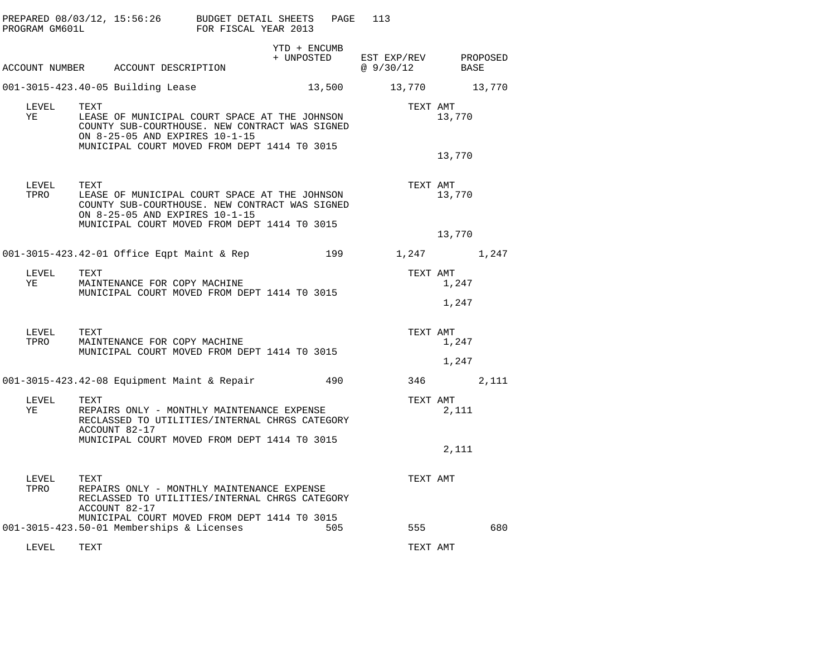| PROGRAM GM601L | PREPARED 08/03/12, 15:56:26                                                                                                                                                               | BUDGET DETAIL SHEETS<br>FOR FISCAL YEAR 2013 | PAGE                       | 113                              |                  |
|----------------|-------------------------------------------------------------------------------------------------------------------------------------------------------------------------------------------|----------------------------------------------|----------------------------|----------------------------------|------------------|
|                | ACCOUNT NUMBER ACCOUNT DESCRIPTION                                                                                                                                                        |                                              | YTD + ENCUMB<br>+ UNPOSTED | EST EXP/REV PROPOSED<br>@9/30/12 | BASE             |
|                | 001-3015-423.40-05 Building Lease                                                                                                                                                         |                                              | 13,500                     |                                  | 13,770 13,770    |
| LEVEL<br>YE    | TEXT<br>LEASE OF MUNICIPAL COURT SPACE AT THE JOHNSON<br>COUNTY SUB-COURTHOUSE. NEW CONTRACT WAS SIGNED<br>ON 8-25-05 AND EXPIRES 10-1-15<br>MUNICIPAL COURT MOVED FROM DEPT 1414 TO 3015 |                                              |                            | TEXT AMT                         | 13,770<br>13,770 |
| LEVEL<br>TPRO  | TEXT<br>LEASE OF MUNICIPAL COURT SPACE AT THE JOHNSON<br>COUNTY SUB-COURTHOUSE. NEW CONTRACT WAS SIGNED<br>ON 8-25-05 AND EXPIRES 10-1-15<br>MUNICIPAL COURT MOVED FROM DEPT 1414 TO 3015 |                                              |                            | TEXT AMT                         | 13,770<br>13,770 |
|                | 001-3015-423.42-01 Office Eqpt Maint & Rep                                                                                                                                                |                                              | 199                        |                                  | 1,247<br>1,247   |
| LEVEL<br>YE    | TEXT<br>MAINTENANCE FOR COPY MACHINE<br>MUNICIPAL COURT MOVED FROM DEPT 1414 TO 3015                                                                                                      |                                              |                            | TEXT AMT                         | 1,247<br>1,247   |
| LEVEL<br>TPRO  | TEXT<br>MAINTENANCE FOR COPY MACHINE<br>MUNICIPAL COURT MOVED FROM DEPT 1414 TO 3015                                                                                                      |                                              |                            | TEXT AMT                         | 1,247<br>1,247   |
|                | $001-3015-423.42-08$ Equipment Maint & Repair                                                                                                                                             |                                              | 490                        | 346                              | 2,111            |
| LEVEL<br>YE    | TEXT<br>REPAIRS ONLY - MONTHLY MAINTENANCE EXPENSE<br>RECLASSED TO UTILITIES/INTERNAL CHRGS CATEGORY<br>ACCOUNT 82-17<br>MUNICIPAL COURT MOVED FROM DEPT 1414 TO 3015                     |                                              |                            | TEXT AMT                         | 2,111<br>2,111   |
| LEVEL<br>TPRO  | TEXT<br>REPAIRS ONLY - MONTHLY MAINTENANCE EXPENSE<br>RECLASSED TO UTILITIES/INTERNAL CHRGS CATEGORY<br>ACCOUNT 82-17                                                                     |                                              |                            | TEXT AMT                         |                  |
|                | MUNICIPAL COURT MOVED FROM DEPT 1414 TO 3015<br>001-3015-423.50-01 Memberships & Licenses                                                                                                 |                                              | 505                        | 555                              | 680              |
| LEVEL          | TEXT                                                                                                                                                                                      |                                              |                            | TEXT AMT                         |                  |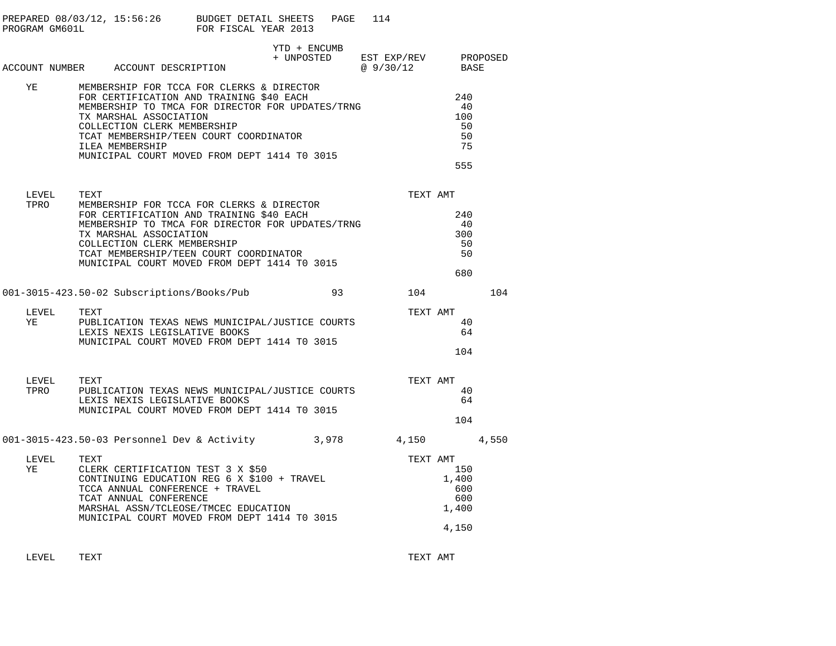| PROGRAM GM601L     | PREPARED $08/03/12$ , $15:56:26$ BUDGET DETAIL SHEETS                                                                                                                                                                                                                                                           | FOR FISCAL YEAR 2013 | PAGE         | 114                                          |                                              |       |
|--------------------|-----------------------------------------------------------------------------------------------------------------------------------------------------------------------------------------------------------------------------------------------------------------------------------------------------------------|----------------------|--------------|----------------------------------------------|----------------------------------------------|-------|
|                    | ACCOUNT NUMBER ACCOUNT DESCRIPTION                                                                                                                                                                                                                                                                              |                      | YTD + ENCUMB | + UNPOSTED EST EXP/REV PROPOSED<br>@ 9/30/12 | BASE                                         |       |
| YE TAR             | MEMBERSHIP FOR TCCA FOR CLERKS & DIRECTOR<br>FOR CERTIFICATION AND TRAINING \$40 EACH<br>MEMBERSHIP TO TMCA FOR DIRECTOR FOR UPDATES/TRNG<br>TX MARSHAL ASSOCIATION<br>COLLECTION CLERK MEMBERSHIP<br>TCAT MEMBERSHIP/TEEN COURT COORDINATOR<br>ILEA MEMBERSHIP<br>MUNICIPAL COURT MOVED FROM DEPT 1414 TO 3015 |                      |              |                                              | 240<br>40<br>100<br>50<br>50<br>75<br>555    |       |
| LEVEL<br>TPRO      | TEXT<br>MEMBERSHIP FOR TCCA FOR CLERKS & DIRECTOR<br>FOR CERTIFICATION AND TRAINING \$40 EACH<br>MEMBERSHIP TO TMCA FOR DIRECTOR FOR UPDATES/TRNG<br>TX MARSHAL ASSOCIATION<br>COLLECTION CLERK MEMBERSHIP<br>TCAT MEMBERSHIP/TEEN COURT COORDINATOR<br>MUNICIPAL COURT MOVED FROM DEPT 1414 TO 3015            |                      |              | TEXT AMT                                     | 240<br>- 40<br>300<br>50<br>50<br>680        |       |
|                    | 001-3015-423.50-02 Subscriptions/Books/Pub                                                                                                                                                                                                                                                                      |                      | 93           | 104                                          |                                              | 104   |
| LEVEL<br>YE        | TEXT<br>PUBLICATION TEXAS NEWS MUNICIPAL/JUSTICE COURTS<br>LEXIS NEXIS LEGISLATIVE BOOKS<br>MUNICIPAL COURT MOVED FROM DEPT 1414 TO 3015                                                                                                                                                                        |                      |              | TEXT AMT                                     | 40<br>64<br>104                              |       |
| LEVEL TEXT<br>TPRO | PUBLICATION TEXAS NEWS MUNICIPAL/JUSTICE COURTS<br>LEXIS NEXIS LEGISLATIVE BOOKS<br>MUNICIPAL COURT MOVED FROM DEPT 1414 TO 3015                                                                                                                                                                                |                      |              |                                              | TEXT AMT<br>40<br>64<br>104                  |       |
|                    | 001-3015-423.50-03 Personnel Dev & Activity 3,978 4,150                                                                                                                                                                                                                                                         |                      |              |                                              |                                              | 4,550 |
| LEVEL<br>YE        | TEXT<br>CLERK CERTIFICATION TEST 3 X \$50<br>CONTINUING EDUCATION REG $6 \times $100 + \text{TRAVEL}}$<br>TCCA ANNUAL CONFERENCE + TRAVEL<br>TCAT ANNUAL CONFERENCE<br>MARSHAL ASSN/TCLEOSE/TMCEC EDUCATION<br>MUNICIPAL COURT MOVED FROM DEPT 1414 TO 3015                                                     |                      |              | TEXT AMT                                     | 150<br>1,400<br>600<br>600<br>1,400<br>4,150 |       |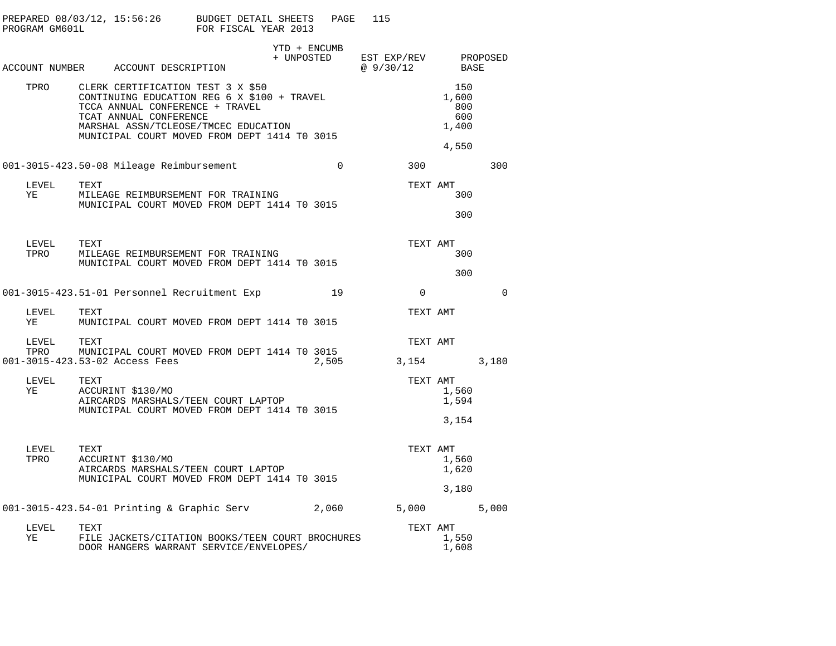| PROGRAM GM601L     |      | PREPARED 08/03/12, 15:56:26 BUDGET DETAIL SHEETS                                                                                                                                                                                      | FOR FISCAL YEAR 2013 |  | PAGE                       | 115                               |          |                                     |          |
|--------------------|------|---------------------------------------------------------------------------------------------------------------------------------------------------------------------------------------------------------------------------------------|----------------------|--|----------------------------|-----------------------------------|----------|-------------------------------------|----------|
|                    |      | ACCOUNT NUMBER ACCOUNT DESCRIPTION                                                                                                                                                                                                    |                      |  | YTD + ENCUMB<br>+ UNPOSTED | EST EXP/REV PROPOSED<br>@ 9/30/12 |          | BASE                                |          |
| TPRO               |      | CLERK CERTIFICATION TEST 3 X \$50<br>CONTINUING EDUCATION REG 6 X \$100 + TRAVEL<br>TCCA ANNUAL CONFERENCE + TRAVEL<br>TCAT ANNUAL CONFERENCE<br>MARSHAL ASSN/TCLEOSE/TMCEC EDUCATION<br>MUNICIPAL COURT MOVED FROM DEPT 1414 TO 3015 |                      |  |                            |                                   |          | 150<br>1,600<br>800<br>600<br>1,400 |          |
|                    |      |                                                                                                                                                                                                                                       |                      |  |                            |                                   |          | 4,550                               |          |
|                    |      | 001-3015-423.50-08 Mileage Reimbursement                                                                                                                                                                                              |                      |  | $\Omega$                   |                                   | 300      |                                     | 300      |
| LEVEL<br>YE        | TEXT | MILEAGE REIMBURSEMENT FOR TRAINING<br>MUNICIPAL COURT MOVED FROM DEPT 1414 TO 3015                                                                                                                                                    |                      |  |                            |                                   |          | TEXT AMT<br>300                     |          |
|                    |      |                                                                                                                                                                                                                                       |                      |  |                            |                                   |          | 300                                 |          |
| LEVEL<br>TPRO      | TEXT | MILEAGE REIMBURSEMENT FOR TRAINING                                                                                                                                                                                                    |                      |  |                            |                                   |          | TEXT AMT<br>300                     |          |
|                    |      | MUNICIPAL COURT MOVED FROM DEPT 1414 TO 3015                                                                                                                                                                                          |                      |  |                            |                                   |          | 300                                 |          |
|                    |      | 001-3015-423.51-01 Personnel Recruitment Exp                                                                                                                                                                                          |                      |  | 19                         |                                   | $\Omega$ |                                     | $\Omega$ |
| LEVEL<br>YE        | TEXT | MUNICIPAL COURT MOVED FROM DEPT 1414 TO 3015                                                                                                                                                                                          |                      |  |                            |                                   |          | TEXT AMT                            |          |
| LEVEL TEXT<br>TPRO |      | MUNICIPAL COURT MOVED FROM DEPT 1414 TO 3015<br>001-3015-423.53-02 Access Fees                                                                                                                                                        |                      |  | 2,505                      | 3,154                             |          | TEXT AMT                            | 3,180    |
|                    |      |                                                                                                                                                                                                                                       |                      |  |                            |                                   |          |                                     |          |
| LEVEL<br>ΥE        | TEXT | ACCURINT \$130/MO<br>AIRCARDS MARSHALS/TEEN COURT LAPTOP<br>MUNICIPAL COURT MOVED FROM DEPT 1414 TO 3015                                                                                                                              |                      |  |                            |                                   |          | TEXT AMT<br>1,560<br>1,594          |          |
|                    |      |                                                                                                                                                                                                                                       |                      |  |                            |                                   |          | 3,154                               |          |
| LEVEL<br>TPRO      | TEXT | ACCURINT \$130/MO<br>AIRCARDS MARSHALS/TEEN COURT LAPTOP<br>MUNICIPAL COURT MOVED FROM DEPT 1414 TO 3015                                                                                                                              |                      |  |                            |                                   |          | TEXT AMT<br>1,560<br>1,620          |          |
|                    |      |                                                                                                                                                                                                                                       |                      |  |                            |                                   |          | 3,180                               |          |
|                    |      | 001-3015-423.54-01 Printing & Graphic Serv                                                                                                                                                                                            |                      |  | 2,060                      | 5,000                             |          |                                     | 5,000    |
| LEVEL<br>ΥE        | TEXT | TEXT<br>FILE JACKETS/CITATION BOOKS/TEEN COURT BROCHURES<br>--- 20011201201201201202<br>DOOR HANGERS WARRANT SERVICE/ENVELOPES/                                                                                                       |                      |  |                            |                                   |          | TEXT AMT<br>1,550<br>1,608          |          |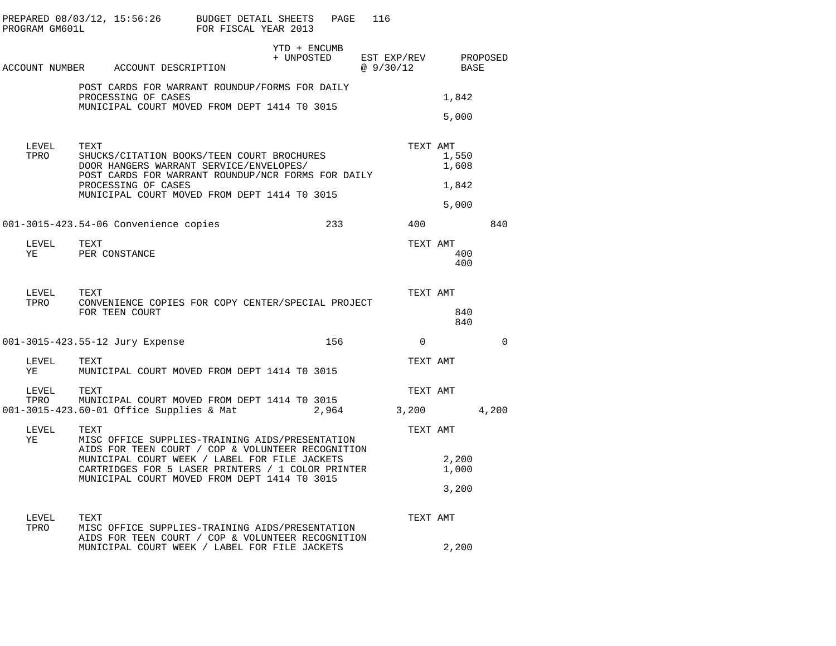| PROGRAM GM601L | PREPARED 08/03/12, 15:56:26 BUDGET DETAIL SHEETS                                                                                                                                                                           | FOR FISCAL YEAR 2013 |                            | PAGE  | 116                     |          |                                              |          |
|----------------|----------------------------------------------------------------------------------------------------------------------------------------------------------------------------------------------------------------------------|----------------------|----------------------------|-------|-------------------------|----------|----------------------------------------------|----------|
|                | ACCOUNT NUMBER ACCOUNT DESCRIPTION                                                                                                                                                                                         |                      | YTD + ENCUMB<br>+ UNPOSTED |       | EST EXP/REV<br>@9/30/12 |          | BASE                                         | PROPOSED |
|                | POST CARDS FOR WARRANT ROUNDUP/FORMS FOR DAILY<br>PROCESSING OF CASES<br>MUNICIPAL COURT MOVED FROM DEPT 1414 TO 3015                                                                                                      |                      |                            |       |                         |          | 1,842<br>5,000                               |          |
| LEVEL<br>TPRO  | TEXT<br>SHUCKS/CITATION BOOKS/TEEN COURT BROCHURES<br>DOOR HANGERS WARRANT SERVICE/ENVELOPES/<br>POST CARDS FOR WARRANT ROUNDUP/NCR FORMS FOR DAILY<br>PROCESSING OF CASES<br>MUNICIPAL COURT MOVED FROM DEPT 1414 TO 3015 |                      |                            |       |                         |          | TEXT AMT<br>1,550<br>1,608<br>1,842<br>5,000 |          |
|                | 001-3015-423.54-06 Convenience copies                                                                                                                                                                                      |                      |                            | 233   | 400                     |          |                                              | 840      |
| LEVEL<br>YE    | TEXT<br>PER CONSTANCE                                                                                                                                                                                                      |                      |                            |       |                         |          | TEXT AMT<br>400<br>400                       |          |
| LEVEL<br>TPRO  | TEXT<br>CONVENIENCE COPIES FOR COPY CENTER/SPECIAL PROJECT<br>FOR TEEN COURT                                                                                                                                               |                      |                            |       |                         |          | TEXT AMT<br>840<br>840                       |          |
|                | 001-3015-423.55-12 Jury Expense                                                                                                                                                                                            |                      |                            | 156   |                         | $\Omega$ |                                              | $\Omega$ |
| LEVEL<br>YE    | TEXT<br>MUNICIPAL COURT MOVED FROM DEPT 1414 TO 3015                                                                                                                                                                       |                      |                            |       |                         |          | TEXT AMT                                     |          |
| LEVEL<br>TPRO  | TEXT<br>MUNICIPAL COURT MOVED FROM DEPT 1414 TO 3015<br>001-3015-423.60-01 Office Supplies & Mat                                                                                                                           |                      |                            | 2,964 | 3,200                   |          | TEXT AMT                                     | 4,200    |
| LEVEL<br>ΥE    | TEXT<br>MISC OFFICE SUPPLIES-TRAINING AIDS/PRESENTATION<br>AIDS FOR TEEN COURT / COP & VOLUNTEER RECOGNITION                                                                                                               |                      |                            |       |                         |          | TEXT AMT                                     |          |
|                | MUNICIPAL COURT WEEK / LABEL FOR FILE JACKETS<br>CARTRIDGES FOR 5 LASER PRINTERS / 1 COLOR PRINTER<br>MUNICIPAL COURT MOVED FROM DEPT 1414 TO 3015                                                                         |                      |                            |       |                         |          | 2,200<br>1,000                               |          |
|                |                                                                                                                                                                                                                            |                      |                            |       |                         |          | 3,200                                        |          |
| LEVEL<br>TPRO  | TEXT<br>MISC OFFICE SUPPLIES-TRAINING AIDS/PRESENTATION<br>AIDS FOR TEEN COURT / COP & VOLUNTEER RECOGNITION                                                                                                               |                      |                            |       |                         |          | TEXT AMT                                     |          |
|                | MUNICIPAL COURT WEEK / LABEL FOR FILE JACKETS                                                                                                                                                                              |                      |                            |       |                         |          | 2,200                                        |          |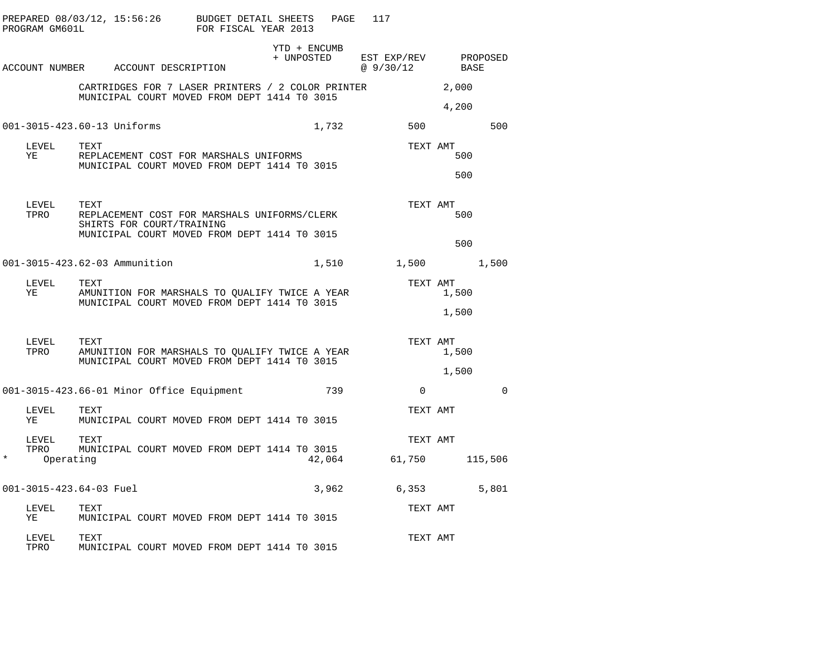|         | PROGRAM GM601L              |      |                                           | PREPARED 08/03/12, 15:56:26 BUDGET DETAIL SHEETS<br>FOR FISCAL YEAR 2013                          | PAGE   | 117                      |             |                            |             |
|---------|-----------------------------|------|-------------------------------------------|---------------------------------------------------------------------------------------------------|--------|--------------------------|-------------|----------------------------|-------------|
|         |                             |      | ACCOUNT NUMBER ACCOUNT DESCRIPTION        | YTD + ENCUMB<br>+ UNPOSTED                                                                        |        | EST EXP/REV<br>@ 9/30/12 |             | BASE                       | PROPOSED    |
|         |                             |      |                                           | CARTRIDGES FOR 7 LASER PRINTERS / 2 COLOR PRINTER<br>MUNICIPAL COURT MOVED FROM DEPT 1414 TO 3015 |        |                          |             | 2,000<br>4,200             |             |
|         | 001-3015-423.60-13 Uniforms |      |                                           |                                                                                                   | 1,732  |                          | 500         |                            | 500         |
|         | LEVEL<br>YE                 | TEXT | REPLACEMENT COST FOR MARSHALS UNIFORMS    | MUNICIPAL COURT MOVED FROM DEPT 1414 TO 3015                                                      |        |                          |             | TEXT AMT<br>500<br>500     |             |
|         | LEVEL<br>TPRO               | TEXT | SHIRTS FOR COURT/TRAINING                 | REPLACEMENT COST FOR MARSHALS UNIFORMS/CLERK<br>MUNICIPAL COURT MOVED FROM DEPT 1414 TO 3015      |        |                          |             | TEXT AMT<br>500            |             |
|         |                             |      |                                           |                                                                                                   |        |                          |             | 500                        |             |
|         |                             |      | 001-3015-423.62-03 Ammunition             |                                                                                                   | 1,510  |                          |             | 1,500                      | 1,500       |
|         | LEVEL<br>ΥE                 | TEXT |                                           | AMUNITION FOR MARSHALS TO QUALIFY TWICE A YEAR<br>MUNICIPAL COURT MOVED FROM DEPT 1414 TO 3015    |        |                          |             | TEXT AMT<br>1,500<br>1,500 |             |
|         | LEVEL<br>TPRO               | TEXT |                                           | AMUNITION FOR MARSHALS TO QUALIFY TWICE A YEAR<br>MUNICIPAL COURT MOVED FROM DEPT 1414 TO 3015    |        |                          |             | TEXT AMT<br>1,500<br>1,500 |             |
|         |                             |      | 001-3015-423.66-01 Minor Office Equipment |                                                                                                   | 739    |                          | $\mathbf 0$ |                            | $\mathbf 0$ |
|         | LEVEL<br>YE                 | TEXT |                                           | MUNICIPAL COURT MOVED FROM DEPT 1414 TO 3015                                                      |        |                          |             | TEXT AMT                   |             |
| $\star$ | LEVEL<br>TPRO<br>Operating  | TEXT |                                           | MUNICIPAL COURT MOVED FROM DEPT 1414 TO 3015                                                      | 42,064 | 61,750                   |             | TEXT AMT                   | 115,506     |
|         | 001-3015-423.64-03 Fuel     |      |                                           |                                                                                                   | 3,962  | 6,353                    |             |                            | 5,801       |
|         | LEVEL<br>ΥE                 | TEXT |                                           | MUNICIPAL COURT MOVED FROM DEPT 1414 TO 3015                                                      |        |                          |             | TEXT AMT                   |             |
|         | LEVEL<br>TPRO               | TEXT |                                           | MUNICIPAL COURT MOVED FROM DEPT 1414 TO 3015                                                      |        |                          |             | TEXT AMT                   |             |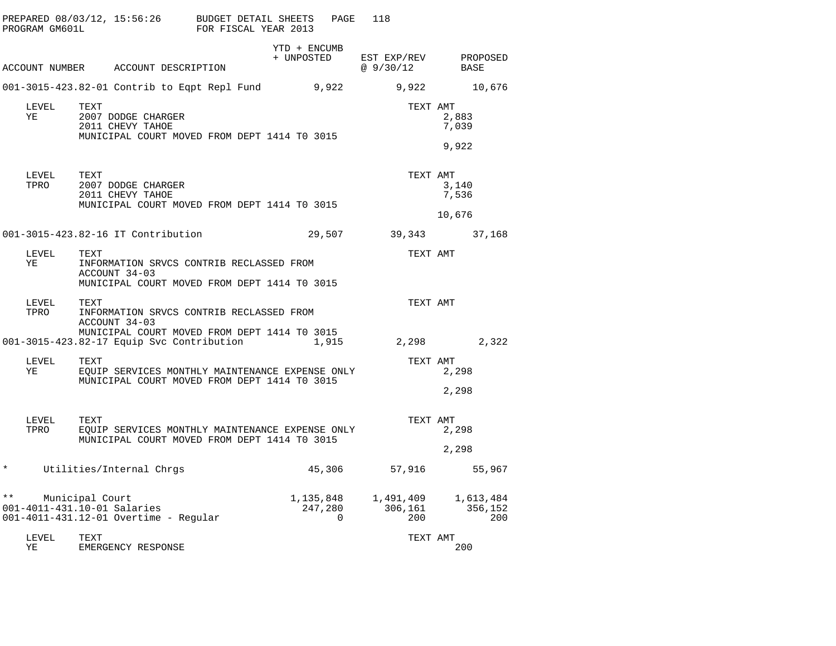|               | PROGRAM GM601L | PREPARED 08/03/12, 15:56:26                                                                                       | BUDGET DETAIL SHEETS<br>FOR FISCAL YEAR 2013 |                            | PAGE                      | 118                         |                             |
|---------------|----------------|-------------------------------------------------------------------------------------------------------------------|----------------------------------------------|----------------------------|---------------------------|-----------------------------|-----------------------------|
|               |                | ACCOUNT NUMBER ACCOUNT DESCRIPTION                                                                                |                                              | YTD + ENCUMB<br>+ UNPOSTED |                           | EST EXP/REV<br>@9/30/12     | PROPOSED<br>BASE            |
|               |                | 001-3015-423.82-01 Contrib to Eqpt Repl Fund                                                                      |                                              |                            | 9,922                     | 9,922                       | 10,676                      |
|               | LEVEL<br>ΥE    | TEXT<br>2007 DODGE CHARGER<br>2011 CHEVY TAHOE<br>MUNICIPAL COURT MOVED FROM DEPT 1414 TO 3015                    |                                              |                            |                           | TEXT AMT                    | 2,883<br>7,039<br>9,922     |
|               | LEVEL<br>TPRO  | TEXT<br>2007 DODGE CHARGER<br>2011 CHEVY TAHOE<br>MUNICIPAL COURT MOVED FROM DEPT 1414 TO 3015                    |                                              |                            |                           | TEXT AMT                    | 3,140<br>7,536<br>10,676    |
|               |                | 001-3015-423.82-16 IT Contribution                                                                                |                                              |                            | 29,507                    | 39,343                      | 37,168                      |
|               | LEVEL<br>ΥE    | TEXT<br>INFORMATION SRVCS CONTRIB RECLASSED FROM<br>ACCOUNT 34-03<br>MUNICIPAL COURT MOVED FROM DEPT 1414 TO 3015 |                                              |                            |                           | TEXT AMT                    |                             |
|               | LEVEL<br>TPRO  | TEXT<br>INFORMATION SRVCS CONTRIB RECLASSED FROM<br>ACCOUNT 34-03                                                 |                                              |                            |                           | TEXT AMT                    |                             |
|               |                | MUNICIPAL COURT MOVED FROM DEPT 1414 TO 3015<br>001-3015-423.82-17 Equip Svc Contribution                         |                                              |                            | 1,915                     | 2,298                       | 2,322                       |
|               | LEVEL<br>ΥE    | TEXT<br>EOUIP SERVICES MONTHLY MAINTENANCE EXPENSE ONLY<br>MUNICIPAL COURT MOVED FROM DEPT 1414 TO 3015           |                                              |                            |                           | TEXT AMT                    | 2,298<br>2,298              |
|               | LEVEL<br>TPRO  | TEXT<br>EQUIP SERVICES MONTHLY MAINTENANCE EXPENSE ONLY<br>MUNICIPAL COURT MOVED FROM DEPT 1414 TO 3015           |                                              |                            |                           | TEXT AMT                    | 2,298<br>2,298              |
| $\star$       |                | Utilities/Internal Chrgs                                                                                          |                                              |                            | 45,306                    | 57,916                      | 55,967                      |
| $\star \star$ |                | Municipal Court<br>001-4011-431.10-01 Salaries<br>001-4011-431.12-01 Overtime - Regular                           |                                              |                            | 1,135,848<br>247,280<br>0 | 1,491,409<br>306,161<br>200 | 1,613,484<br>356,152<br>200 |
|               | LEVEL<br>ΥE    | TEXT<br>EMERGENCY RESPONSE                                                                                        |                                              |                            |                           | TEXT AMT                    | 200                         |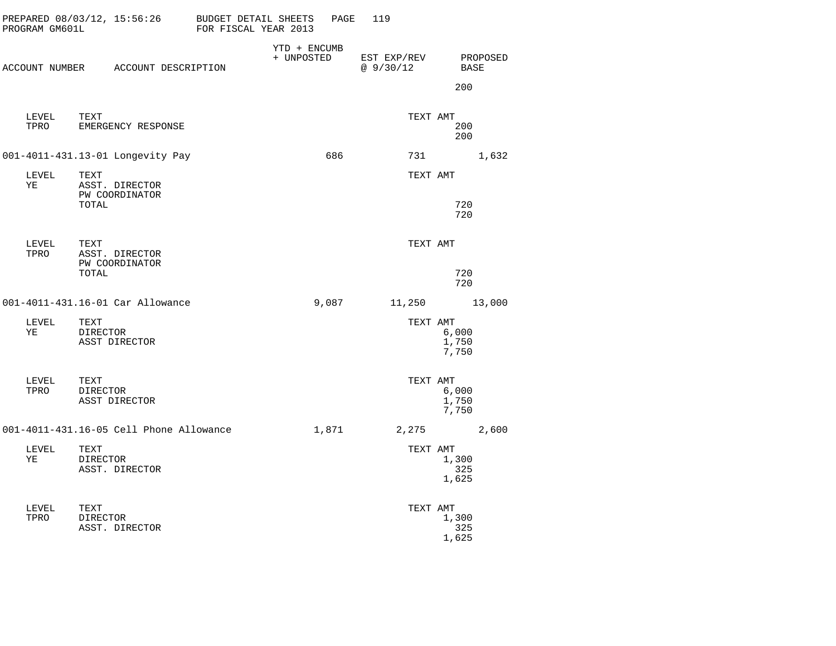|    | PROGRAM GM601L |                         | PREPARED 08/03/12, 15:56:26             | BUDGET DETAIL SHEETS<br>FOR FISCAL YEAR 2013 |                              | PAGE  | 119                     |          |                         |          |
|----|----------------|-------------------------|-----------------------------------------|----------------------------------------------|------------------------------|-------|-------------------------|----------|-------------------------|----------|
|    |                |                         | ACCOUNT NUMBER ACCOUNT DESCRIPTION      |                                              | $YTD + ENCUMB$<br>+ UNPOSTED |       | EST EXP/REV<br>@9/30/12 |          | BASE<br>200             | PROPOSED |
|    | LEVEL<br>TPRO  | TEXT                    | EMERGENCY RESPONSE                      |                                              |                              |       |                         | TEXT AMT | 200<br>200              |          |
|    |                |                         | 001-4011-431.13-01 Longevity Pay        |                                              |                              | 686   |                         |          |                         | 1,632    |
| ΥE | LEVEL          | TEXT<br>TOTAL           | ASST. DIRECTOR<br>PW COORDINATOR        |                                              |                              |       |                         | TEXT AMT | 720                     |          |
|    |                |                         |                                         |                                              |                              |       |                         |          | 720                     |          |
|    | LEVEL<br>TPRO  | TEXT                    | ASST. DIRECTOR<br>PW COORDINATOR        |                                              |                              |       |                         | TEXT AMT |                         |          |
|    |                | TOTAL                   |                                         |                                              |                              |       |                         |          | 720<br>720              |          |
|    |                |                         | 001-4011-431.16-01 Car Allowance        |                                              |                              | 9,087 |                         | 11,250   |                         | 13,000   |
| ΥE | LEVEL          | TEXT<br>DIRECTOR        | ASST DIRECTOR                           |                                              |                              |       |                         | TEXT AMT | 6,000<br>1,750<br>7,750 |          |
|    | LEVEL<br>TPRO  | TEXT<br>DIRECTOR        | ASST DIRECTOR                           |                                              |                              |       |                         | TEXT AMT | 6,000<br>1,750<br>7,750 |          |
|    |                |                         | 001-4011-431.16-05 Cell Phone Allowance |                                              |                              | 1,871 |                         | 2,275    |                         | 2,600    |
| ΥE | LEVEL          | TEXT<br>DIRECTOR        | ASST. DIRECTOR                          |                                              |                              |       |                         | TEXT AMT | 1,300<br>325<br>1,625   |          |
|    | LEVEL<br>TPRO  | TEXT<br><b>DIRECTOR</b> | ASST. DIRECTOR                          |                                              |                              |       |                         | TEXT AMT | 1,300<br>325<br>1,625   |          |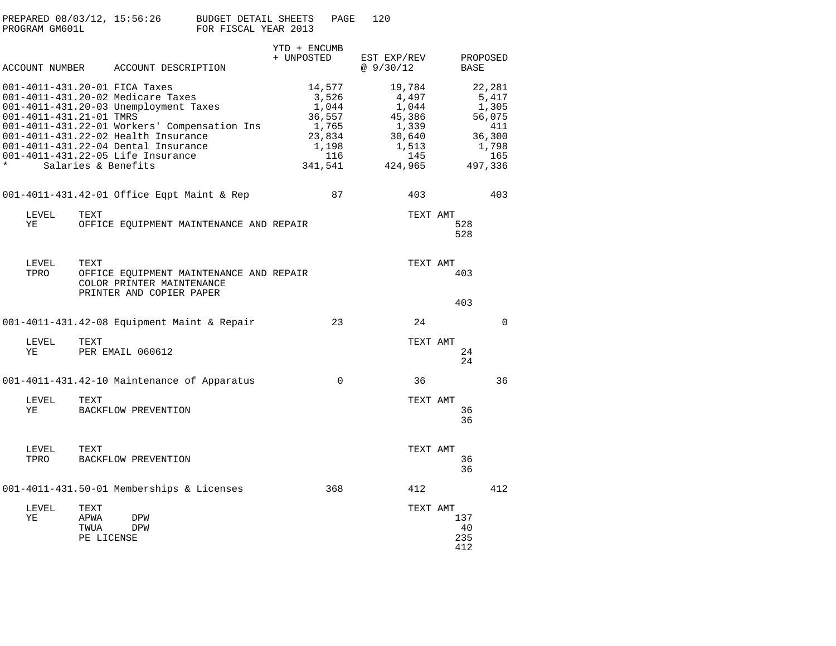| PREPARED 08/03/12, 15:56:26 |  |                      | BUDGET DETAIL SHEETS | PAGE | 120 |
|-----------------------------|--|----------------------|----------------------|------|-----|
| PROGRAM GM601L              |  | FOR FISCAL YEAR 2013 |                      |      |     |

|                         | ACCOUNT NUMBER ACCOUNT DESCRIPTION                                                                                                                                                                                                                                                                    | YTD + ENCUMB<br>+ UNPOSTED                                                       | EST EXP/REV<br>@9/30/12                                                          | BASE                    | PROPOSED                                                                       |
|-------------------------|-------------------------------------------------------------------------------------------------------------------------------------------------------------------------------------------------------------------------------------------------------------------------------------------------------|----------------------------------------------------------------------------------|----------------------------------------------------------------------------------|-------------------------|--------------------------------------------------------------------------------|
| 001-4011-431.21-01 TMRS | 001-4011-431.20-01 FICA Taxes<br>001-4011-431.20-02 Medicare Taxes<br>001-4011-431.20-03 Unemployment Taxes<br>001-4011-431.22-01 Workers' Compensation Ins<br>001-4011-431.22-02 Health Insurance<br>001-4011-431.22-04 Dental Insurance<br>001-4011-431.22-05 Life Insurance<br>Salaries & Benefits | 14,577<br>3,526<br>1,044<br>36,557<br>1,765<br>23,834<br>1,198<br>116<br>341,541 | 19,784<br>4,497<br>1,044<br>45,386<br>1,339<br>30,640<br>1,513<br>145<br>424,965 |                         | 22,281<br>5,417<br>1,305<br>56,075<br>411<br>36,300<br>1,798<br>165<br>497,336 |
|                         | 001-4011-431.42-01 Office Eqpt Maint & Rep                                                                                                                                                                                                                                                            | 87                                                                               | 403                                                                              |                         | 403                                                                            |
| LEVEL<br>ΥE             | TEXT<br>OFFICE EQUIPMENT MAINTENANCE AND REPAIR                                                                                                                                                                                                                                                       |                                                                                  | TEXT AMT                                                                         | 528<br>528              |                                                                                |
| LEVEL<br>TPRO           | TEXT<br>OFFICE EQUIPMENT MAINTENANCE AND REPAIR<br>COLOR PRINTER MAINTENANCE<br>PRINTER AND COPIER PAPER                                                                                                                                                                                              |                                                                                  | TEXT AMT                                                                         | 403<br>403              |                                                                                |
|                         | 001-4011-431.42-08 Equipment Maint & Repair                                                                                                                                                                                                                                                           | 23                                                                               | 24                                                                               |                         | 0                                                                              |
| LEVEL<br>ΥE             | TEXT<br>PER EMAIL 060612                                                                                                                                                                                                                                                                              |                                                                                  | TEXT AMT                                                                         | 24<br>24                |                                                                                |
|                         | 001-4011-431.42-10 Maintenance of Apparatus                                                                                                                                                                                                                                                           | 0                                                                                | 36                                                                               |                         | 36                                                                             |
| LEVEL<br>ΥE             | TEXT<br>BACKFLOW PREVENTION                                                                                                                                                                                                                                                                           |                                                                                  | TEXT AMT                                                                         | 36<br>36                |                                                                                |
| LEVEL<br>TPRO           | TEXT<br>BACKFLOW PREVENTION                                                                                                                                                                                                                                                                           |                                                                                  | TEXT AMT                                                                         | 36<br>36                |                                                                                |
|                         | 001-4011-431.50-01 Memberships & Licenses                                                                                                                                                                                                                                                             | 368                                                                              | 412                                                                              |                         | 412                                                                            |
| LEVEL<br>ΥE             | TEXT<br>APWA<br>DPW<br>TWUA<br>DPW<br>PE LICENSE                                                                                                                                                                                                                                                      |                                                                                  | TEXT AMT                                                                         | 137<br>40<br>235<br>412 |                                                                                |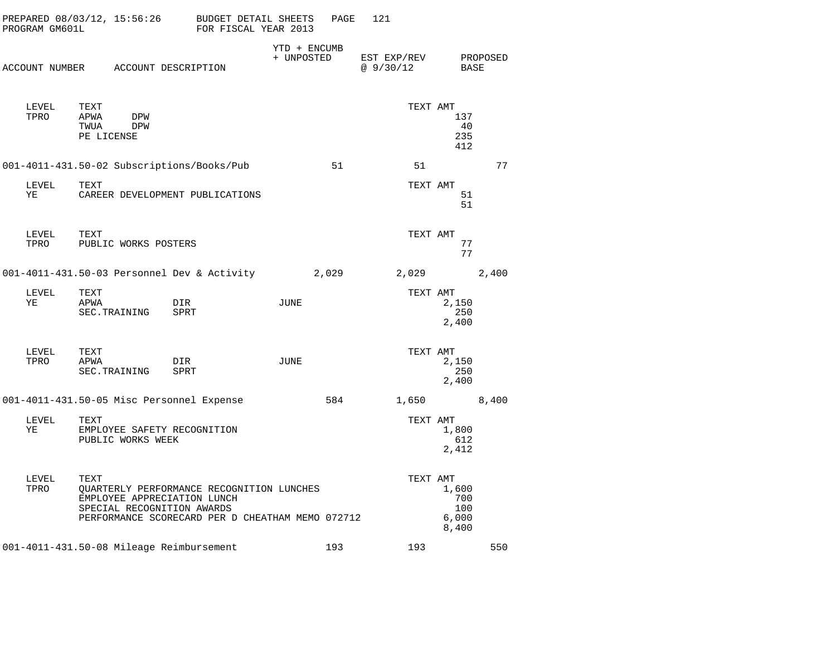| PROGRAM GM601L | PREPARED 08/03/12, 15:56:26                                       | BUDGET DETAIL SHEETS<br>FOR FISCAL YEAR 2013                                                  |                            | PAGE  | 121                      |                                       |          |
|----------------|-------------------------------------------------------------------|-----------------------------------------------------------------------------------------------|----------------------------|-------|--------------------------|---------------------------------------|----------|
|                | ACCOUNT NUMBER ACCOUNT DESCRIPTION                                |                                                                                               | YTD + ENCUMB<br>+ UNPOSTED |       | EST EXP/REV<br>@ 9/30/12 | BASE                                  | PROPOSED |
| LEVEL<br>TPRO  | TEXT<br>APWA<br>DPW<br>TWUA<br>DPW<br>PE LICENSE                  |                                                                                               |                            |       | TEXT AMT                 | 137<br>40<br>235<br>412               |          |
|                | 001-4011-431.50-02 Subscriptions/Books/Pub                        |                                                                                               |                            | 51    | 51                       |                                       | 77       |
| LEVEL<br>ΥE    | TEXT                                                              | CAREER DEVELOPMENT PUBLICATIONS                                                               |                            |       | TEXT AMT                 | 51<br>51                              |          |
| LEVEL<br>TPRO  | TEXT<br>PUBLIC WORKS POSTERS                                      |                                                                                               |                            |       | TEXT AMT                 | 77<br>77                              |          |
|                |                                                                   | 001-4011-431.50-03 Personnel Dev & Activity                                                   |                            | 2,029 | 2,029                    |                                       | 2,400    |
| LEVEL<br>ΥE    | TEXT<br>APWA<br>SEC. TRAINING                                     | DIR<br>SPRT                                                                                   | JUNE                       |       | TEXT AMT                 | 2,150<br>250<br>2,400                 |          |
| LEVEL<br>TPRO  | TEXT<br>APWA<br>SEC. TRAINING                                     | DIR<br>SPRT                                                                                   | JUNE                       |       | TEXT AMT                 | 2,150<br>250<br>2,400                 |          |
|                | 001-4011-431.50-05 Misc Personnel Expense                         |                                                                                               |                            | 584   | 1,650                    |                                       | 8,400    |
| LEVEL<br>ΥE    | TEXT<br>EMPLOYEE SAFETY RECOGNITION<br>PUBLIC WORKS WEEK          |                                                                                               |                            |       | TEXT AMT                 | 1,800<br>612<br>2,412                 |          |
| LEVEL<br>TPRO  | TEXT<br>EMPLOYEE APPRECIATION LUNCH<br>SPECIAL RECOGNITION AWARDS | QUARTERLY PERFORMANCE RECOGNITION LUNCHES<br>PERFORMANCE SCORECARD PER D CHEATHAM MEMO 072712 |                            |       | TEXT AMT                 | 1,600<br>700<br>100<br>6,000<br>8,400 |          |
|                | 001-4011-431.50-08 Mileage Reimbursement                          |                                                                                               |                            | 193   | 193                      |                                       | 550      |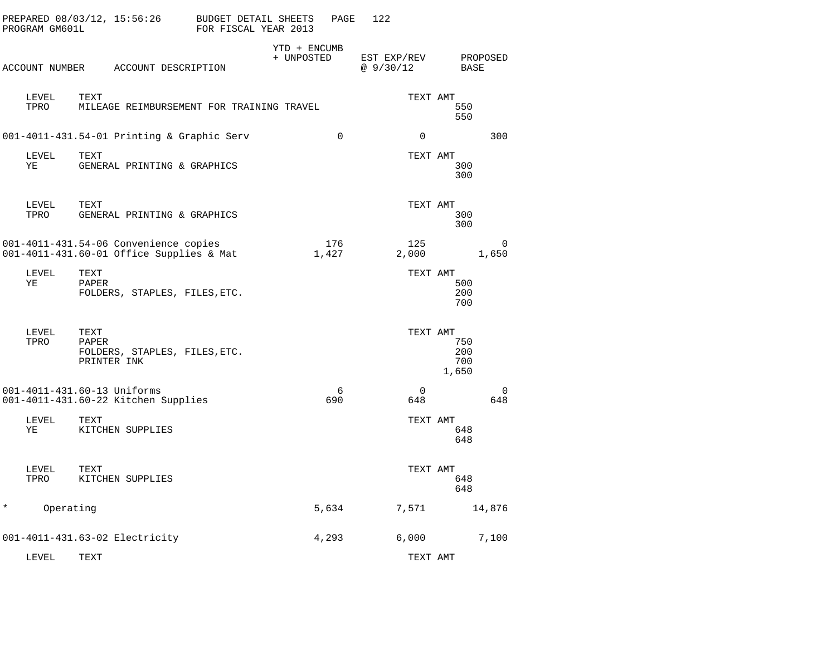| PROGRAM GM601L | PREPARED 08/03/12, 15:56:26                                                       | BUDGET DETAIL SHEETS<br>FOR FISCAL YEAR 2013 |                            | PAGE         | 122                        |                            |                   |
|----------------|-----------------------------------------------------------------------------------|----------------------------------------------|----------------------------|--------------|----------------------------|----------------------------|-------------------|
| ACCOUNT NUMBER | ACCOUNT DESCRIPTION                                                               |                                              | YTD + ENCUMB<br>+ UNPOSTED |              | EST EXP/REV<br>@ $9/30/12$ | BASE                       | PROPOSED          |
| LEVEL<br>TPRO  | TEXT<br>MILEAGE REIMBURSEMENT FOR TRAINING TRAVEL                                 |                                              |                            |              | TEXT AMT                   | 550<br>550                 |                   |
|                | 001-4011-431.54-01 Printing & Graphic Serv                                        |                                              |                            | $\Omega$     | 0                          |                            | 300               |
| LEVEL<br>ΥE    | TEXT<br>GENERAL PRINTING & GRAPHICS                                               |                                              |                            |              | TEXT AMT                   | 300<br>300                 |                   |
| LEVEL<br>TPRO  | TEXT<br>GENERAL PRINTING & GRAPHICS                                               |                                              |                            |              | TEXT AMT                   | 300<br>300                 |                   |
|                | 001-4011-431.54-06 Convenience copies<br>001-4011-431.60-01 Office Supplies & Mat |                                              |                            | 176<br>1,427 | 125<br>2,000               |                            | $\Omega$<br>1,650 |
| LEVEL<br>ΥE    | TEXT<br>PAPER<br>FOLDERS, STAPLES, FILES, ETC.                                    |                                              |                            |              | TEXT AMT                   | 500<br>200<br>700          |                   |
| LEVEL<br>TPRO  | TEXT<br>PAPER<br>FOLDERS, STAPLES, FILES, ETC.<br>PRINTER INK                     |                                              |                            |              | TEXT AMT                   | 750<br>200<br>700<br>1,650 |                   |
|                | 001-4011-431.60-13 Uniforms<br>001-4011-431.60-22 Kitchen Supplies                |                                              |                            | 6<br>690     | $\Omega$<br>648            |                            | $\Omega$<br>648   |
| LEVEL<br>ΥE    | TEXT<br>KITCHEN SUPPLIES                                                          |                                              |                            |              | TEXT AMT                   | 648<br>648                 |                   |
| LEVEL<br>TPRO  | TEXT<br>KITCHEN SUPPLIES                                                          |                                              |                            |              | TEXT AMT                   | 648<br>648                 |                   |
| *<br>Operating |                                                                                   |                                              |                            | 5,634        | 7,571                      |                            | 14,876            |
|                | 001-4011-431.63-02 Electricity                                                    |                                              |                            | 4,293        | 6,000                      |                            | 7,100             |
| LEVEL          | TEXT                                                                              |                                              |                            |              | TEXT AMT                   |                            |                   |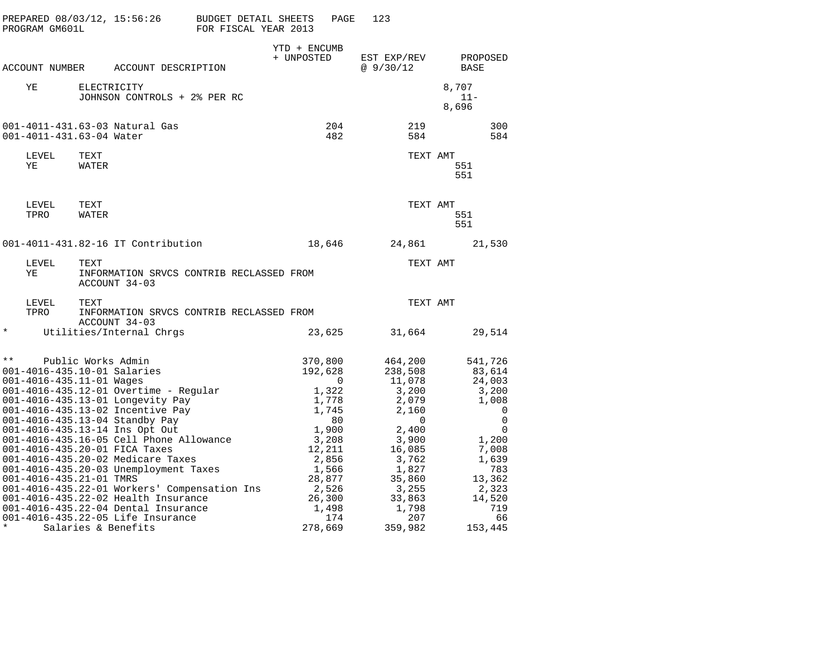| PROGRAM GM601L | PREPARED 08/03/12, 15:56:26                                                                              |                                                                                                                                                                                                                                                                                                                                                                                                                                                                                   | BUDGET DETAIL SHEETS<br>FOR FISCAL YEAR 2013 |                            | PAGE                                                                                                                                         | 123                                                                                                                                              |                                                                                                                                              |
|----------------|----------------------------------------------------------------------------------------------------------|-----------------------------------------------------------------------------------------------------------------------------------------------------------------------------------------------------------------------------------------------------------------------------------------------------------------------------------------------------------------------------------------------------------------------------------------------------------------------------------|----------------------------------------------|----------------------------|----------------------------------------------------------------------------------------------------------------------------------------------|--------------------------------------------------------------------------------------------------------------------------------------------------|----------------------------------------------------------------------------------------------------------------------------------------------|
| ACCOUNT NUMBER |                                                                                                          | ACCOUNT DESCRIPTION                                                                                                                                                                                                                                                                                                                                                                                                                                                               |                                              | YTD + ENCUMB<br>+ UNPOSTED |                                                                                                                                              | EST EXP/REV<br>@9/30/12                                                                                                                          | PROPOSED<br>BASE                                                                                                                             |
|                |                                                                                                          |                                                                                                                                                                                                                                                                                                                                                                                                                                                                                   |                                              |                            |                                                                                                                                              |                                                                                                                                                  |                                                                                                                                              |
| ΥE             |                                                                                                          | ELECTRICITY<br>JOHNSON CONTROLS + 2% PER RC                                                                                                                                                                                                                                                                                                                                                                                                                                       |                                              |                            |                                                                                                                                              |                                                                                                                                                  | 8,707<br>$11 -$<br>8,696                                                                                                                     |
|                | 001-4011-431.63-04 Water                                                                                 | 001-4011-431.63-03 Natural Gas                                                                                                                                                                                                                                                                                                                                                                                                                                                    |                                              |                            | 204<br>482                                                                                                                                   | 219<br>584                                                                                                                                       | 300<br>584                                                                                                                                   |
| LEVEL<br>ΥE    | TEXT<br>WATER                                                                                            |                                                                                                                                                                                                                                                                                                                                                                                                                                                                                   |                                              |                            |                                                                                                                                              |                                                                                                                                                  | TEXT AMT<br>551<br>551                                                                                                                       |
| LEVEL<br>TPRO  | TEXT<br>WATER                                                                                            |                                                                                                                                                                                                                                                                                                                                                                                                                                                                                   |                                              |                            |                                                                                                                                              |                                                                                                                                                  | TEXT AMT<br>551<br>551                                                                                                                       |
|                |                                                                                                          | 001-4011-431.82-16 IT Contribution                                                                                                                                                                                                                                                                                                                                                                                                                                                |                                              |                            | 18,646                                                                                                                                       | 24,861                                                                                                                                           | 21,530                                                                                                                                       |
| LEVEL<br>ΥE    | TEXT                                                                                                     | INFORMATION SRVCS CONTRIB RECLASSED FROM<br>ACCOUNT 34-03                                                                                                                                                                                                                                                                                                                                                                                                                         |                                              |                            |                                                                                                                                              |                                                                                                                                                  | TEXT AMT                                                                                                                                     |
| LEVEL<br>TPRO  | TEXT                                                                                                     | INFORMATION SRVCS CONTRIB RECLASSED FROM<br>ACCOUNT 34-03                                                                                                                                                                                                                                                                                                                                                                                                                         |                                              |                            |                                                                                                                                              |                                                                                                                                                  | TEXT AMT                                                                                                                                     |
| $\star$        |                                                                                                          | Utilities/Internal Chrgs                                                                                                                                                                                                                                                                                                                                                                                                                                                          |                                              |                            | 23,625                                                                                                                                       | 31,664                                                                                                                                           | 29,514                                                                                                                                       |
| $\star\star$   | Public Works Admin<br>001-4016-435.10-01 Salaries<br>001-4016-435.11-01 Wages<br>001-4016-435.21-01 TMRS | $001 - 4016 - 435.12 - 01$ Overtime - Regular<br>001-4016-435.13-01 Longevity Pay<br>001-4016-435.13-02 Incentive Pay<br>001-4016-435.13-04 Standby Pay<br>001-4016-435.13-14 Ins Opt Out<br>001-4016-435.16-05 Cell Phone Allowance<br>001-4016-435.20-01 FICA Taxes<br>001-4016-435.20-02 Medicare Taxes<br>001-4016-435.20-03 Unemployment Taxes<br>001-4016-435.22-01 Workers' Compensation Ins<br>001-4016-435.22-02 Health Insurance<br>001-4016-435.22-04 Dental Insurance |                                              |                            | 370,800<br>192,628<br>0<br>1,322<br>1,778<br>1,745<br>80<br>1,900<br>3,208<br>12,211<br>2,856<br>1,566<br>28,877<br>2,526<br>26,300<br>1,498 | 464,200<br>238,508<br>11,078<br>3,200<br>2,079<br>2,160<br>0<br>2,400<br>3,900<br>16,085<br>3,762<br>1,827<br>35,860<br>3,255<br>33,863<br>1,798 | 541,726<br>83,614<br>24,003<br>3,200<br>1,008<br>0<br>$\mathbf 0$<br>0<br>1,200<br>7,008<br>1,639<br>783<br>13,362<br>2,323<br>14,520<br>719 |
|                | Salaries & Benefits                                                                                      | 001-4016-435.22-05 Life Insurance                                                                                                                                                                                                                                                                                                                                                                                                                                                 |                                              |                            | 174<br>278,669                                                                                                                               | 207<br>359,982                                                                                                                                   | 66<br>153,445                                                                                                                                |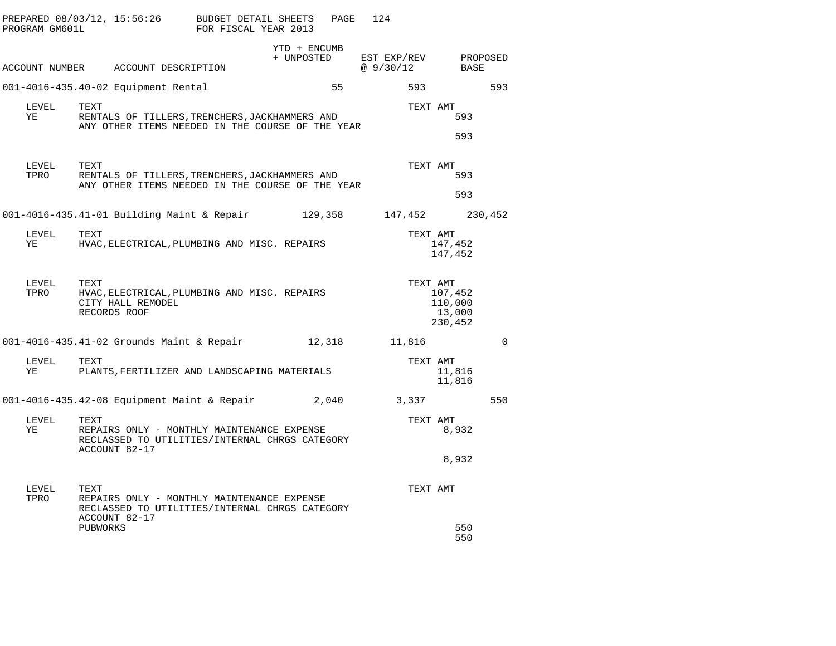| PROGRAM GM601L | PREPARED 08/03/12, 15:56:26                                                                                           | BUDGET DETAIL SHEETS<br>FOR FISCAL YEAR 2013 | PAGE                       | 124                        |                                         |             |
|----------------|-----------------------------------------------------------------------------------------------------------------------|----------------------------------------------|----------------------------|----------------------------|-----------------------------------------|-------------|
|                | ACCOUNT NUMBER ACCOUNT DESCRIPTION                                                                                    |                                              | YTD + ENCUMB<br>+ UNPOSTED | EST EXP/REV<br>@ $9/30/12$ | BASE                                    | PROPOSED    |
|                | 001-4016-435.40-02 Equipment Rental                                                                                   |                                              | 55                         | 593                        |                                         | 593         |
| LEVEL<br>ΥE    | TEXT<br>RENTALS OF TILLERS, TRENCHERS, JACKHAMMERS AND<br>ANY OTHER ITEMS NEEDED IN THE COURSE OF THE YEAR            |                                              |                            | TEXT AMT                   | 593<br>593                              |             |
| LEVEL<br>TPRO  | TEXT<br>RENTALS OF TILLERS, TRENCHERS, JACKHAMMERS AND<br>ANY OTHER ITEMS NEEDED IN THE COURSE OF THE YEAR            |                                              |                            | TEXT AMT                   | 593<br>593                              |             |
|                | 001-4016-435.41-01 Building Maint & Repair 129,358                                                                    |                                              |                            | 147,452                    |                                         | 230,452     |
| LEVEL<br>ΥE    | TEXT<br>HVAC, ELECTRICAL, PLUMBING AND MISC. REPAIRS                                                                  |                                              |                            | TEXT AMT                   | 147,452<br>147,452                      |             |
| LEVEL<br>TPRO  | TEXT<br>HVAC, ELECTRICAL, PLUMBING AND MISC. REPAIRS<br>CITY HALL REMODEL<br>RECORDS ROOF                             |                                              |                            | TEXT AMT                   | 107,452<br>110,000<br>13,000<br>230,452 |             |
|                | 001-4016-435.41-02 Grounds Maint & Repair                                                                             |                                              | 12,318                     | 11,816                     |                                         | $\mathbf 0$ |
| LEVEL<br>ΥE    | TEXT<br>PLANTS, FERTILIZER AND LANDSCAPING MATERIALS                                                                  |                                              |                            | TEXT AMT                   | 11,816<br>11,816                        |             |
|                | 001-4016-435.42-08 Equipment Maint & Repair                                                                           |                                              | 2,040                      | 3,337                      |                                         | 550         |
| LEVEL<br>YE    | TEXT<br>REPAIRS ONLY - MONTHLY MAINTENANCE EXPENSE<br>RECLASSED TO UTILITIES/INTERNAL CHRGS CATEGORY<br>ACCOUNT 82-17 |                                              |                            | TEXT AMT                   | 8,932                                   |             |
|                |                                                                                                                       |                                              |                            |                            | 8,932                                   |             |
| LEVEL<br>TPRO  | TEXT<br>REPAIRS ONLY - MONTHLY MAINTENANCE EXPENSE<br>RECLASSED TO UTILITIES/INTERNAL CHRGS CATEGORY<br>ACCOUNT 82-17 |                                              |                            | TEXT AMT                   |                                         |             |
|                | PUBWORKS                                                                                                              |                                              |                            |                            | 550<br>550                              |             |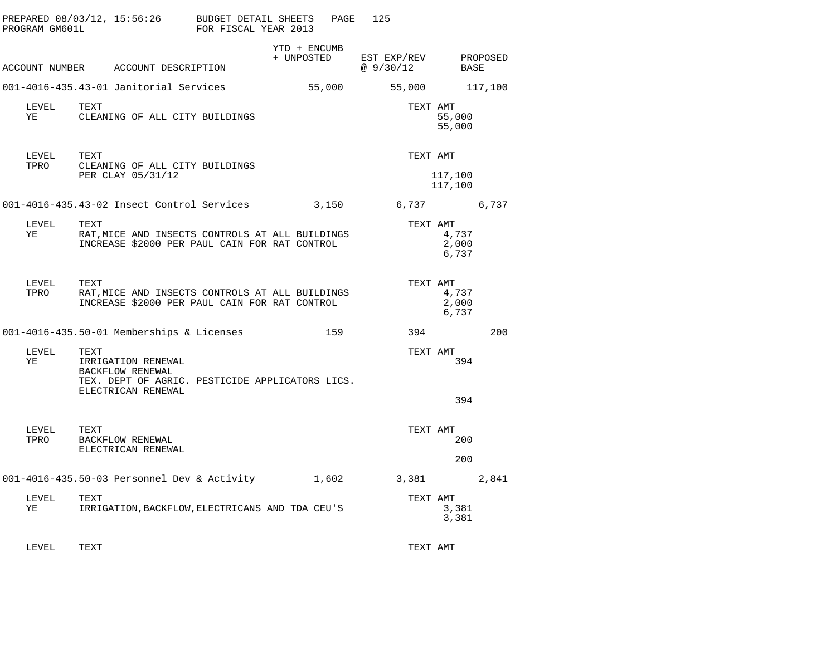| PROGRAM GM601L | PREPARED 08/03/12, 15:56:26                                                                                             | BUDGET DETAIL SHEETS<br>FOR FISCAL YEAR 2013 |                            | 125<br>PAGE             |                                     |     |
|----------------|-------------------------------------------------------------------------------------------------------------------------|----------------------------------------------|----------------------------|-------------------------|-------------------------------------|-----|
|                | ACCOUNT NUMBER ACCOUNT DESCRIPTION                                                                                      |                                              | YTD + ENCUMB<br>+ UNPOSTED | EST EXP/REV<br>@9/30/12 | PROPOSED<br>BASE                    |     |
|                | 001-4016-435.43-01 Janitorial Services                                                                                  |                                              | 55,000                     |                         | 117,100<br>55,000                   |     |
| LEVEL<br>ΥE    | TEXT<br>CLEANING OF ALL CITY BUILDINGS                                                                                  |                                              |                            |                         | TEXT AMT<br>55,000<br>55,000        |     |
| LEVEL<br>TPRO  | TEXT<br>CLEANING OF ALL CITY BUILDINGS<br>PER CLAY 05/31/12                                                             |                                              |                            |                         | TEXT AMT<br>117,100<br>117,100      |     |
|                | 001-4016-435.43-02 Insect Control Services                                                                              |                                              | 3,150                      |                         | 6,737 6,737                         |     |
| LEVEL<br>YE    | TEXT<br>RAT, MICE AND INSECTS CONTROLS AT ALL BUILDINGS<br>INCREASE \$2000 PER PAUL CAIN FOR RAT CONTROL                |                                              |                            |                         | TEXT AMT<br>4,737<br>2,000<br>6,737 |     |
| LEVEL<br>TPRO  | TEXT<br>RAT, MICE AND INSECTS CONTROLS AT ALL BUILDINGS<br>INCREASE \$2000 PER PAUL CAIN FOR RAT CONTROL                |                                              |                            |                         | TEXT AMT<br>4,737<br>2,000<br>6,737 |     |
|                | 001-4016-435.50-01 Memberships & Licenses                                                                               |                                              | 159                        |                         | 394                                 | 200 |
| LEVEL<br>YE    | TEXT<br>IRRIGATION RENEWAL<br>BACKFLOW RENEWAL<br>TEX. DEPT OF AGRIC. PESTICIDE APPLICATORS LICS.<br>ELECTRICAN RENEWAL |                                              |                            |                         | TEXT AMT<br>394<br>394              |     |
| LEVEL<br>TPRO  | TEXT<br><b>BACKFLOW RENEWAL</b><br>ELECTRICAN RENEWAL                                                                   |                                              |                            |                         | TEXT AMT<br>200<br>200              |     |
|                | 001-4016-435.50-03 Personnel Dev & Activity                                                                             |                                              | 1,602                      | 3,381                   | 2,841                               |     |
| LEVEL<br>YE    | TEXT<br>IRRIGATION, BACKFLOW, ELECTRICANS AND TDA CEU'S                                                                 |                                              |                            |                         | TEXT AMT<br>3,381<br>3,381          |     |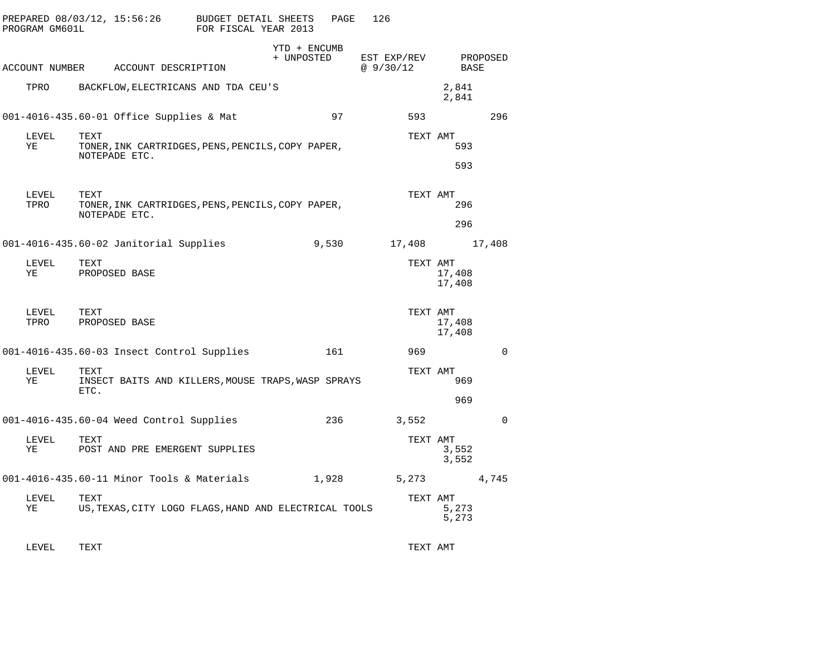| PROGRAM GM601L | PREPARED 08/03/12, 15:56:26                                                | BUDGET DETAIL SHEETS<br>FOR FISCAL YEAR 2013 |                            | PAGE  | 126                     |                  |          |
|----------------|----------------------------------------------------------------------------|----------------------------------------------|----------------------------|-------|-------------------------|------------------|----------|
| ACCOUNT NUMBER | ACCOUNT DESCRIPTION                                                        |                                              | YTD + ENCUMB<br>+ UNPOSTED |       | EST EXP/REV<br>@9/30/12 | BASE             | PROPOSED |
| TPRO           | BACKFLOW, ELECTRICANS AND TDA CEU'S                                        |                                              |                            |       |                         | 2,841<br>2,841   |          |
|                | 001-4016-435.60-01 Office Supplies & Mat                                   |                                              |                            | 97    | 593                     |                  | 296      |
| LEVEL<br>ΥE    | TEXT<br>TONER, INK CARTRIDGES, PENS, PENCILS, COPY PAPER,<br>NOTEPADE ETC. |                                              |                            |       | TEXT AMT                | 593<br>593       |          |
| LEVEL<br>TPRO  | TEXT<br>TONER, INK CARTRIDGES, PENS, PENCILS, COPY PAPER,<br>NOTEPADE ETC. |                                              |                            |       | TEXT AMT                | 296<br>296       |          |
|                | 001-4016-435.60-02 Janitorial Supplies                                     |                                              |                            | 9,530 | 17,408                  |                  | 17,408   |
| LEVEL<br>ΥE    | TEXT<br>PROPOSED BASE                                                      |                                              |                            |       | TEXT AMT                | 17,408<br>17,408 |          |
| LEVEL<br>TPRO  | TEXT<br>PROPOSED BASE                                                      |                                              |                            |       | TEXT AMT                | 17,408<br>17,408 |          |
|                | 001-4016-435.60-03 Insect Control Supplies                                 |                                              |                            | 161   | 969                     |                  | $\Omega$ |
| LEVEL<br>ΥE    | TEXT<br>INSECT BAITS AND KILLERS, MOUSE TRAPS, WASP SPRAYS<br>ETC.         |                                              |                            |       | TEXT AMT                | 969              |          |
|                |                                                                            |                                              |                            |       |                         | 969              |          |
|                | 001-4016-435.60-04 Weed Control Supplies                                   |                                              |                            | 236   | 3,552                   |                  | $\Omega$ |
| LEVEL<br>ΥE    | TEXT<br>POST AND PRE EMERGENT SUPPLIES                                     |                                              |                            |       | TEXT AMT                | 3,552<br>3,552   |          |
|                | 001-4016-435.60-11 Minor Tools & Materials                                 |                                              |                            | 1,928 | 5,273                   |                  | 4,745    |
| LEVEL<br>ΥE    | TEXT<br>US, TEXAS, CITY LOGO FLAGS, HAND AND ELECTRICAL TOOLS              |                                              |                            |       | TEXT AMT                | 5,273<br>5,273   |          |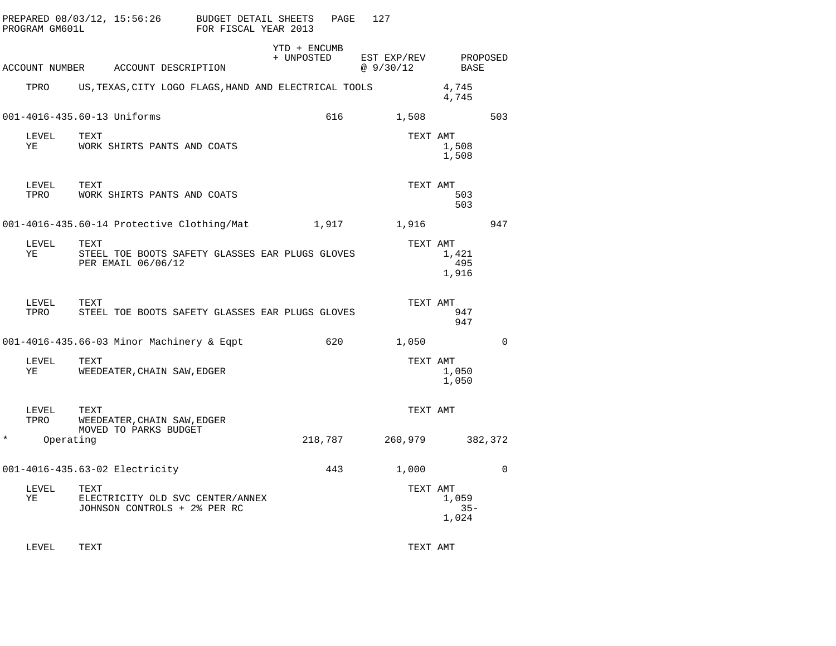|        | PROGRAM GM601L | PREPARED 08/03/12, 15:56:26                                                   | BUDGET DETAIL SHEETS<br>FOR FISCAL YEAR 2013 |                            | PAGE  | 127                     |                          |             |
|--------|----------------|-------------------------------------------------------------------------------|----------------------------------------------|----------------------------|-------|-------------------------|--------------------------|-------------|
|        |                | ACCOUNT NUMBER ACCOUNT DESCRIPTION                                            |                                              | YTD + ENCUMB<br>+ UNPOSTED |       | EST EXP/REV<br>@9/30/12 | BASE                     | PROPOSED    |
|        | TPRO           | US, TEXAS, CITY LOGO FLAGS, HAND AND ELECTRICAL TOOLS                         |                                              |                            |       |                         | 4,745<br>4,745           |             |
|        |                | 001-4016-435.60-13 Uniforms                                                   |                                              |                            | 616   | 1,508                   |                          | 503         |
|        | LEVEL<br>YE    | TEXT<br>WORK SHIRTS PANTS AND COATS                                           |                                              |                            |       | TEXT AMT                | 1,508<br>1,508           |             |
|        | LEVEL<br>TPRO  | TEXT<br>WORK SHIRTS PANTS AND COATS                                           |                                              |                            |       | TEXT AMT                | 503<br>503               |             |
|        |                | 001-4016-435.60-14 Protective Clothing/Mat                                    |                                              |                            | 1,917 | 1,916                   |                          | 947         |
|        | LEVEL<br>YE    | TEXT<br>STEEL TOE BOOTS SAFETY GLASSES EAR PLUGS GLOVES<br>PER EMAIL 06/06/12 |                                              |                            |       | TEXT AMT                | 1,421<br>495<br>1,916    |             |
|        | LEVEL<br>TPRO  | TEXT<br>STEEL TOE BOOTS SAFETY GLASSES EAR PLUGS GLOVES                       |                                              |                            |       | TEXT AMT                | 947<br>947               |             |
|        |                | 001-4016-435.66-03 Minor Machinery & Eqpt                                     |                                              |                            | 620   | 1,050                   |                          | $\Omega$    |
|        | LEVEL<br>YE    | TEXT<br>WEEDEATER, CHAIN SAW, EDGER                                           |                                              |                            |       | TEXT AMT                | 1,050<br>1,050           |             |
|        | LEVEL<br>TPRO  | TEXT<br>WEEDEATER, CHAIN SAW, EDGER<br>MOVED TO PARKS BUDGET                  |                                              |                            |       | TEXT AMT                |                          |             |
| $\ast$ | Operating      |                                                                               |                                              | 218,787                    |       | 260,979                 |                          | 382,372     |
|        |                | 001-4016-435.63-02 Electricity                                                |                                              |                            | 443   | 1,000                   |                          | $\mathbf 0$ |
|        | LEVEL<br>ΥE    | TEXT<br>ELECTRICITY OLD SVC CENTER/ANNEX<br>JOHNSON CONTROLS + 2% PER RC      |                                              |                            |       | TEXT AMT                | 1,059<br>$35 -$<br>1,024 |             |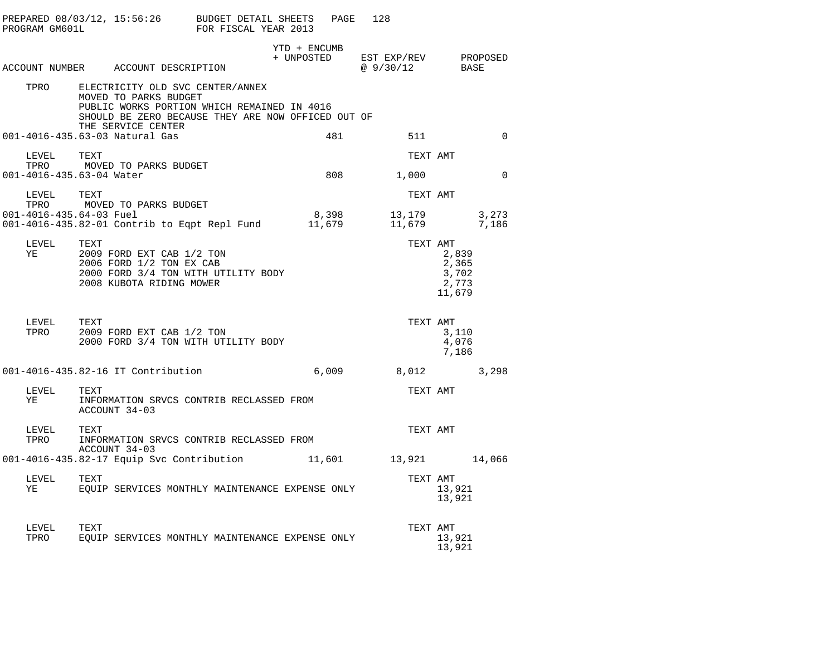| PROGRAM GM601L                        | PREPARED 08/03/12, 15:56:26 BUDGET DETAIL SHEETS                                                                                                               | FOR FISCAL YEAR 2013 |              | 128<br>PAGE                                 |                                            |
|---------------------------------------|----------------------------------------------------------------------------------------------------------------------------------------------------------------|----------------------|--------------|---------------------------------------------|--------------------------------------------|
|                                       | ACCOUNT NUMBER ACCOUNT DESCRIPTION                                                                                                                             |                      | YTD + ENCUMB | + UNPOSTED EST EXP/REV PROPOSED<br>@9/30/12 | BASE                                       |
| TPRO                                  | ELECTRICITY OLD SVC CENTER/ANNEX<br>MOVED TO PARKS BUDGET<br>PUBLIC WORKS PORTION WHICH REMAINED IN 4016<br>SHOULD BE ZERO BECAUSE THEY ARE NOW OFFICED OUT OF |                      |              |                                             |                                            |
|                                       | THE SERVICE CENTER<br>001-4016-435.63-03 Natural Gas                                                                                                           |                      | 481          | 511                                         | $\Omega$                                   |
| LEVEL                                 | TEXT<br>TPRO MOVED TO PARKS BUDGET<br>001-4016-435.63-04 Water                                                                                                 |                      |              | 808 1,000                                   | TEXT AMT<br>$\Omega$                       |
| LEVEL                                 | TEXT                                                                                                                                                           |                      |              |                                             | TEXT AMT                                   |
|                                       | TPRO MOVED TO PARKS BUDGET                                                                                                                                     |                      |              |                                             | 3,273<br>7,186                             |
| LEVEL<br>YE THE THEFT                 | TEXT<br>2009 FORD EXT CAB 1/2 TON<br>2006 FORD 1/2 TON EX CAB<br>2000 FORD 3/4 TON WITH UTILITY BODY<br>2008 KUBOTA RIDING MOWER                               |                      |              | TEXT AMT                                    | 2,839<br>2,365<br>3,702<br>2,773<br>11,679 |
| LEVEL<br>TPRO                         | TEXT<br>2009 FORD EXT CAB 1/2 TON<br>2000 FORD 3/4 TON WITH UTILITY BODY                                                                                       |                      |              |                                             | TEXT AMT<br>3,110<br>4,076<br>7,186        |
|                                       | 001-4016-435.82-16 IT Contribution                                                                                                                             |                      | 6,009        | 8,012                                       | 3,298                                      |
| ${\rm LEVEL} \qquad {\rm TEXT}$<br>YE | INFORMATION SRVCS CONTRIB RECLASSED FROM<br>ACCOUNT 34-03                                                                                                      |                      |              | TEXT AMT                                    |                                            |
| LEVEL<br>TPRO                         | TEXT<br>INFORMATION SRVCS CONTRIB RECLASSED FROM<br>ACCOUNT 34-03                                                                                              |                      |              | TEXT AMT                                    |                                            |
|                                       |                                                                                                                                                                |                      |              |                                             |                                            |
| LEVEL TEXT<br>YE                      | EQUIP SERVICES MONTHLY MAINTENANCE EXPENSE ONLY                                                                                                                |                      |              |                                             | TEXT AMT<br>13,921<br>13,921               |
| LEVEL<br>TPRO                         | TEXT<br>EOUIP SERVICES MONTHLY MAINTENANCE EXPENSE ONLY                                                                                                        |                      |              | TEXT AMT                                    | 13,921<br>13,921                           |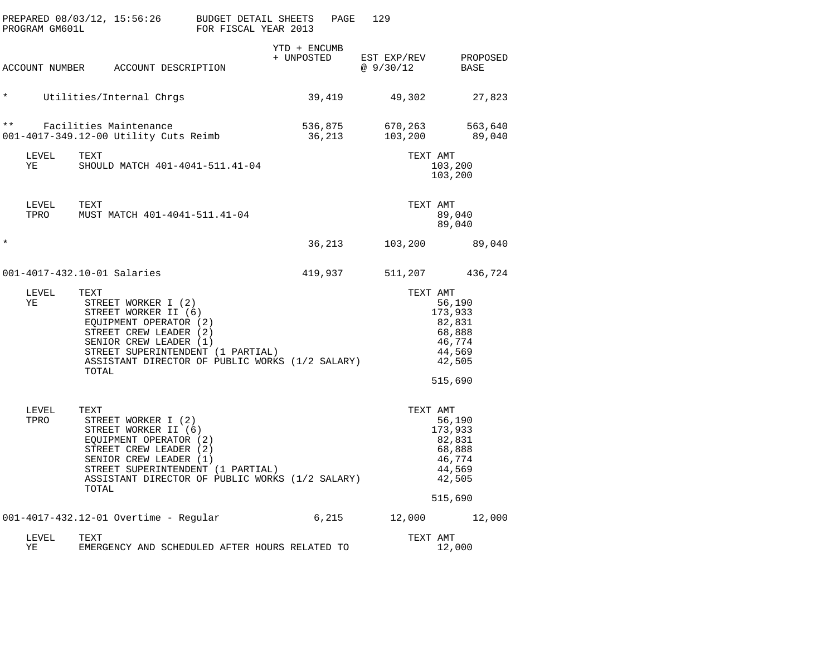| PROGRAM GM601L | PREPARED 08/03/12, 15:56:26 BUDGET DETAIL SHEETS                                                                                                                                                                                   | FOR FISCAL YEAR 2013 |                            | PAGE<br>129                        |                                                                                            |
|----------------|------------------------------------------------------------------------------------------------------------------------------------------------------------------------------------------------------------------------------------|----------------------|----------------------------|------------------------------------|--------------------------------------------------------------------------------------------|
|                | ACCOUNT NUMBER ACCOUNT DESCRIPTION                                                                                                                                                                                                 |                      | YTD + ENCUMB<br>+ UNPOSTED | @ 9/30/12 BASE                     | EST EXP/REV PROPOSED                                                                       |
| $\star$        | Utilities/Internal Chrgs                                                                                                                                                                                                           |                      |                            |                                    |                                                                                            |
| $\star \star$  | Facilities Maintenance<br>001-4017-349.12-00 Utility Cuts Reimb                                                                                                                                                                    |                      | 36,213                     | 536,875 670,263 563,640<br>103,200 | 89,040                                                                                     |
| LEVEL<br>YE    | TEXT<br>SHOULD MATCH 401-4041-511.41-04                                                                                                                                                                                            |                      |                            |                                    | TEXT AMT<br>103,200<br>103,200                                                             |
| LEVEL          | TEXT<br>TPRO MUST MATCH 401-4041-511.41-04                                                                                                                                                                                         |                      |                            |                                    | TEXT AMT<br>89,040<br>89,040                                                               |
| $^\star$       |                                                                                                                                                                                                                                    |                      |                            | 36,213<br>103,200                  | 89,040                                                                                     |
|                | 001-4017-432.10-01 Salaries                                                                                                                                                                                                        |                      |                            | 419,937                            | 511,207 436,724                                                                            |
| LEVEL<br>YE    | TEXT<br>STREET WORKER I (2)<br>STREET WORKER II (6)<br>EQUIPMENT OPERATOR (2)<br>STREET CREW LEADER (2)<br>SENIOR CREW LEADER (1)<br>STREET SUPERINTENDENT (1 PARTIAL)<br>ASSISTANT DIRECTOR OF PUBLIC WORKS (1/2 SALARY)<br>TOTAL |                      |                            |                                    | TEXT AMT<br>56,190<br>173,933<br>82,831<br>68,888<br>46,774<br>44,569<br>42,505<br>515,690 |
| LEVEL<br>TPRO  | TEXT<br>STREET WORKER I (2)<br>STREET WORKER II (6)<br>EQUIPMENT OPERATOR (2)<br>STREET CREW LEADER (2)<br>SENIOR CREW LEADER (1)<br>STREET SUPERINTENDENT (1 PARTIAL)<br>ASSISTANT DIRECTOR OF PUBLIC WORKS (1/2 SALARY)<br>TOTAL |                      |                            |                                    | TEXT AMT<br>56,190<br>173,933<br>82,831<br>68,888<br>46,774<br>44,569<br>42,505<br>515,690 |
|                | 001-4017-432.12-01 Overtime - Regular                                                                                                                                                                                              |                      | 6,215                      |                                    | 12,000 12,000                                                                              |
| LEVEL<br>ΥE    | TEXT<br>EMERGENCY AND SCHEDULED AFTER HOURS RELATED TO                                                                                                                                                                             |                      |                            |                                    | TEXT AMT<br>12,000                                                                         |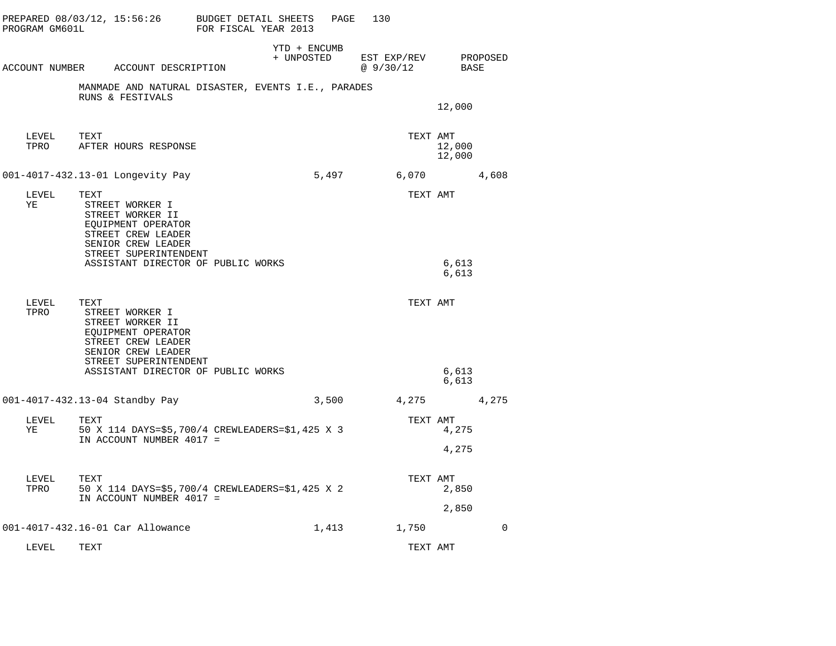| PREPARED 08/03/12, 15:56:26 BUDGET DETAIL SHEETS<br>PROGRAM GM601L |                                                                                                                                                                      | FOR FISCAL YEAR 2013 |                            | 130<br>PAGE             |                              |             |
|--------------------------------------------------------------------|----------------------------------------------------------------------------------------------------------------------------------------------------------------------|----------------------|----------------------------|-------------------------|------------------------------|-------------|
| ACCOUNT NUMBER ACCOUNT DESCRIPTION                                 |                                                                                                                                                                      |                      | YTD + ENCUMB<br>+ UNPOSTED | EST EXP/REV<br>@9/30/12 | BASE                         | PROPOSED    |
|                                                                    | MANMADE AND NATURAL DISASTER, EVENTS I.E., PARADES<br>RUNS & FESTIVALS                                                                                               |                      |                            |                         | 12,000                       |             |
| LEVEL<br>TEXT<br>TPRO                                              | AFTER HOURS RESPONSE                                                                                                                                                 |                      |                            |                         | TEXT AMT<br>12,000<br>12,000 |             |
| 001-4017-432.13-01 Longevity Pay                                   |                                                                                                                                                                      |                      | 5,497                      | 6,070                   |                              | 4,608       |
| LEVEL<br>TEXT<br>ΥE                                                | STREET WORKER I<br>STREET WORKER II<br>EQUIPMENT OPERATOR<br>STREET CREW LEADER<br>SENIOR CREW LEADER<br>STREET SUPERINTENDENT<br>ASSISTANT DIRECTOR OF PUBLIC WORKS |                      |                            |                         | TEXT AMT<br>6,613            |             |
|                                                                    |                                                                                                                                                                      |                      |                            |                         | 6,613                        |             |
| LEVEL<br>TEXT<br>TPRO                                              | STREET WORKER I<br>STREET WORKER II<br>EOUIPMENT OPERATOR<br>STREET CREW LEADER<br>SENIOR CREW LEADER<br>STREET SUPERINTENDENT                                       |                      |                            |                         | TEXT AMT                     |             |
|                                                                    | ASSISTANT DIRECTOR OF PUBLIC WORKS                                                                                                                                   |                      |                            |                         | 6,613<br>6,613               |             |
| 001-4017-432.13-04 Standby Pay                                     |                                                                                                                                                                      |                      | 3,500                      | 4,275                   |                              | 4,275       |
| LEVEL<br>TEXT<br>YE                                                | 50 X 114 DAYS=\$5,700/4 CREWLEADERS=\$1,425 X 3<br>IN ACCOUNT NUMBER 4017 =                                                                                          |                      |                            |                         | TEXT AMT<br>4,275<br>4,275   |             |
| LEVEL<br>TEXT<br>TPRO                                              | 50 X 114 DAYS=\$5,700/4 CREWLEADERS=\$1,425 X 2                                                                                                                      |                      |                            |                         | TEXT AMT<br>2,850            |             |
|                                                                    | IN ACCOUNT NUMBER 4017 =                                                                                                                                             |                      |                            |                         | 2,850                        |             |
| 001-4017-432.16-01 Car Allowance                                   |                                                                                                                                                                      |                      | 1,413                      | 1,750                   |                              | $\mathbf 0$ |
| LEVEL<br>TEXT                                                      |                                                                                                                                                                      |                      |                            |                         | TEXT AMT                     |             |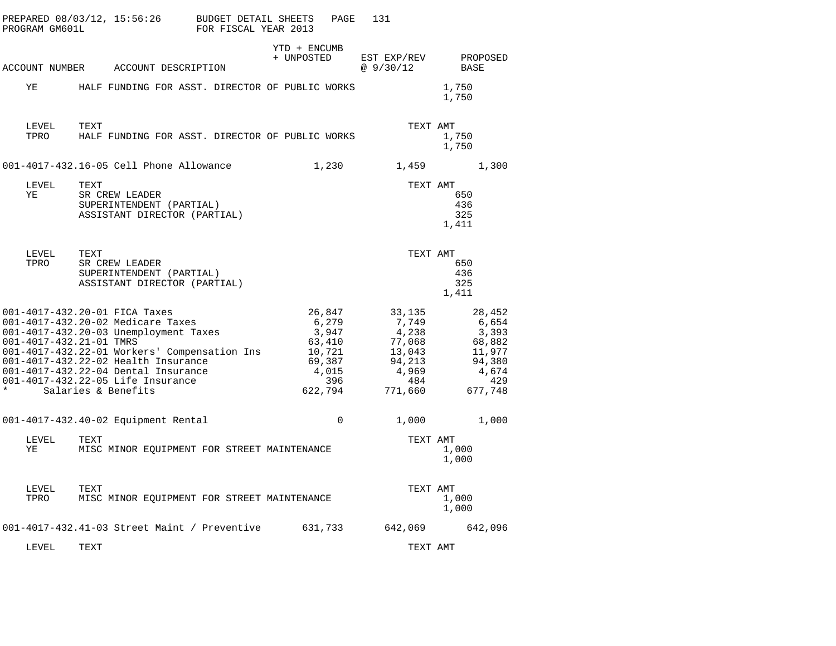| PROGRAM GM601L                     | PREPARED 08/03/12, 15:56:26<br>BUDGET DETAIL SHEETS<br>FOR FISCAL YEAR 2013                                                                                                                                                                                                                           | PAGE                                                                              | 131                                                                               |                                                                                   |
|------------------------------------|-------------------------------------------------------------------------------------------------------------------------------------------------------------------------------------------------------------------------------------------------------------------------------------------------------|-----------------------------------------------------------------------------------|-----------------------------------------------------------------------------------|-----------------------------------------------------------------------------------|
|                                    | ACCOUNT NUMBER ACCOUNT DESCRIPTION                                                                                                                                                                                                                                                                    | YTD + ENCUMB<br>+ UNPOSTED                                                        | EST EXP/REV<br>@9/30/12                                                           | PROPOSED<br>BASE                                                                  |
| ΥE                                 | HALF FUNDING FOR ASST. DIRECTOR OF PUBLIC WORKS                                                                                                                                                                                                                                                       |                                                                                   |                                                                                   | 1,750<br>1,750                                                                    |
| LEVEL<br>TPRO                      | TEXT<br>HALF FUNDING FOR ASST. DIRECTOR OF PUBLIC WORKS                                                                                                                                                                                                                                               |                                                                                   | TEXT AMT                                                                          | 1,750<br>1,750                                                                    |
|                                    | 001-4017-432.16-05 Cell Phone Allowance                                                                                                                                                                                                                                                               | 1,230                                                                             | 1,459                                                                             | 1,300                                                                             |
| LEVEL<br>ΥE                        | TEXT<br>SR CREW LEADER<br>SUPERINTENDENT (PARTIAL)<br>ASSISTANT DIRECTOR (PARTIAL)                                                                                                                                                                                                                    |                                                                                   | TEXT AMT                                                                          | 650<br>436<br>325<br>1,411                                                        |
| LEVEL<br>TPRO                      | TEXT<br>SR CREW LEADER<br>SUPERINTENDENT (PARTIAL)<br>ASSISTANT DIRECTOR (PARTIAL)                                                                                                                                                                                                                    |                                                                                   | TEXT AMT                                                                          | 650<br>436<br>325<br>1,411                                                        |
| 001-4017-432.21-01 TMRS<br>$\star$ | 001-4017-432.20-01 FICA Taxes<br>001-4017-432.20-02 Medicare Taxes<br>001-4017-432.20-03 Unemployment Taxes<br>001-4017-432.22-01 Workers' Compensation Ins<br>001-4017-432.22-02 Health Insurance<br>001-4017-432.22-04 Dental Insurance<br>001-4017-432.22-05 Life Insurance<br>Salaries & Benefits | 26,847<br>6,279<br>3,947<br>63,410<br>10,721<br>69,387<br>4,015<br>396<br>622,794 | 33,135<br>7,749<br>4,238<br>77,068<br>13,043<br>94,213<br>4,969<br>484<br>771,660 | 28,452<br>6,654<br>3,393<br>68,882<br>11,977<br>94,380<br>4,674<br>429<br>677,748 |
|                                    | 001-4017-432.40-02 Equipment Rental                                                                                                                                                                                                                                                                   | $\Omega$                                                                          | 1,000                                                                             | 1,000                                                                             |
| LEVEL<br>ΥE                        | TEXT<br>MISC MINOR EQUIPMENT FOR STREET MAINTENANCE                                                                                                                                                                                                                                                   |                                                                                   | TEXT AMT                                                                          | 1,000<br>1,000                                                                    |
| LEVEL<br>TPRO                      | TEXT<br>MISC MINOR EQUIPMENT FOR STREET MAINTENANCE                                                                                                                                                                                                                                                   |                                                                                   | TEXT AMT                                                                          | 1,000<br>1,000                                                                    |
|                                    | 001-4017-432.41-03 Street Maint / Preventive                                                                                                                                                                                                                                                          | 631,733                                                                           | 642,069                                                                           | 642,096                                                                           |
| LEVEL                              | TEXT                                                                                                                                                                                                                                                                                                  |                                                                                   | TEXT AMT                                                                          |                                                                                   |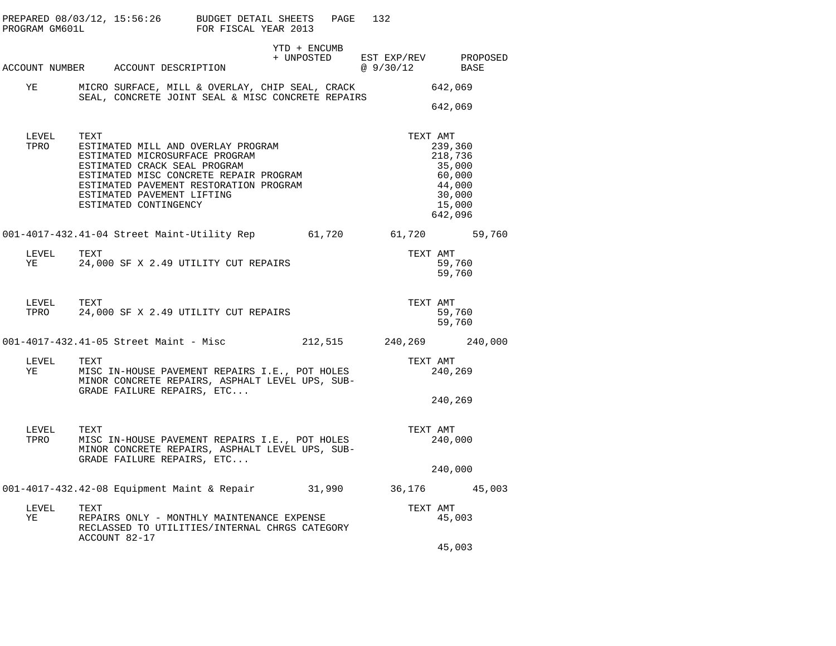| PROGRAM GM601L   | PREPARED $08/03/12$ , $15:56:26$ BUDGET DETAIL SHEETS                                                                                                                                                                                                   | FOR FISCAL YEAR 2013 |                                                                                                                      | 132<br>PAGE |                     |                                                                                 |
|------------------|---------------------------------------------------------------------------------------------------------------------------------------------------------------------------------------------------------------------------------------------------------|----------------------|----------------------------------------------------------------------------------------------------------------------|-------------|---------------------|---------------------------------------------------------------------------------|
|                  | ACCOUNT NUMBER ACCOUNT DESCRIPTION                                                                                                                                                                                                                      |                      | YTD + ENCUMB<br>$\begin{tabular}{llll} + & UNPOSTED & EST EXP/REV & PROPOSED \\ & @ 9/30/12 & BASE \\ \end{tabular}$ |             |                     |                                                                                 |
| YE               | MICRO SURFACE, MILL & OVERLAY, CHIP SEAL, CRACK<br>SEAL, CONCRETE JOINT SEAL & MISC CONCRETE REPAIRS                                                                                                                                                    |                      |                                                                                                                      |             |                     | 642,069<br>642,069                                                              |
| LEVEL<br>TPRO    | TEXT<br>ESTIMATED MILL AND OVERLAY PROGRAM<br>ESTIMATED MICROSURFACE PROGRAM<br>ESTIMATED CRACK SEAL PROGRAM<br>ESTIMATED MISC CONCRETE REPAIR PROGRAM<br>ESTIMATED PAVEMENT RESTORATION PROGRAM<br>ESTIMATED PAVEMENT LIFTING<br>ESTIMATED CONTINGENCY |                      |                                                                                                                      |             | TEXT AMT            | 239,360<br>218,736<br>35,000<br>60,000<br>44,000<br>30,000<br>15,000<br>642,096 |
|                  | 001-4017-432.41-04 Street Maint-Utility Rep 61,720 61,720 59,760                                                                                                                                                                                        |                      |                                                                                                                      |             |                     |                                                                                 |
| LEVEL<br>YE      | TEXT<br>24,000 SF X 2.49 UTILITY CUT REPAIRS                                                                                                                                                                                                            |                      |                                                                                                                      |             | TEXT AMT            | 59,760<br>59,760                                                                |
| LEVEL            | TEXT<br>TPRO 24,000 SF X 2.49 UTILITY CUT REPAIRS                                                                                                                                                                                                       |                      |                                                                                                                      |             | TEXT AMT            | 59,760<br>59,760                                                                |
|                  | 001-4017-432.41-05 Street Maint - Misc                                                                                                                                                                                                                  |                      |                                                                                                                      |             |                     | 212,515 240,269 240,000                                                         |
| LEVEL TEXT<br>YE | MISC IN-HOUSE PAVEMENT REPAIRS I.E., POT HOLES<br>MINOR CONCRETE REPAIRS, ASPHALT LEVEL UPS, SUB-<br>GRADE FAILURE REPAIRS, ETC                                                                                                                         |                      |                                                                                                                      |             | TEXT AMT            | 240,269                                                                         |
|                  |                                                                                                                                                                                                                                                         |                      |                                                                                                                      |             |                     | 240,269                                                                         |
| LEVEL<br>TPRO    | TEXT<br>MISC IN-HOUSE PAVEMENT REPAIRS I.E., POT HOLES<br>MINOR CONCRETE REPAIRS, ASPHALT LEVEL UPS, SUB-<br>MINOR CONCRETE REPAIRS, ASPHALT LEVEL UPS, SUB-<br>GRADE FAILURE REPAIRS, ETC                                                              |                      |                                                                                                                      |             | TEXT AMT<br>240,000 |                                                                                 |
|                  |                                                                                                                                                                                                                                                         |                      |                                                                                                                      |             |                     | 240,000                                                                         |
|                  | 001-4017-432.42-08 Equipment Maint & Repair 31,990 36,176 45,003                                                                                                                                                                                        |                      |                                                                                                                      |             |                     |                                                                                 |
| LEVEL<br>YE      | TEXT<br>REPAIRS ONLY - MONTHLY MAINTENANCE EXPENSE<br>RECLASSED TO UTILITIES/INTERNAL CHRGS CATEGORY<br>ACCOUNT 82-17                                                                                                                                   |                      |                                                                                                                      |             | TEXT AMT            | 45,003                                                                          |
|                  |                                                                                                                                                                                                                                                         |                      |                                                                                                                      |             |                     | 45,003                                                                          |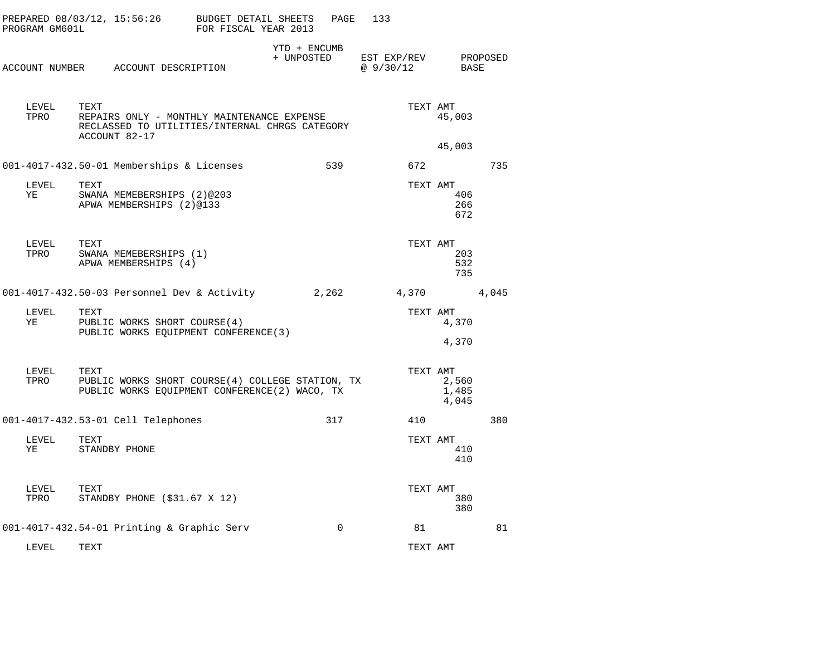| PROGRAM GM601L | PREPARED 08/03/12, 15:56:26                                                                                           | BUDGET DETAIL SHEETS<br>FOR FISCAL YEAR 2013 | PAGE                       | 133                      |                         |          |
|----------------|-----------------------------------------------------------------------------------------------------------------------|----------------------------------------------|----------------------------|--------------------------|-------------------------|----------|
|                | ACCOUNT NUMBER ACCOUNT DESCRIPTION                                                                                    |                                              | YTD + ENCUMB<br>+ UNPOSTED | EST EXP/REV<br>@ 9/30/12 | BASE                    | PROPOSED |
| LEVEL<br>TPRO  | TEXT<br>REPAIRS ONLY - MONTHLY MAINTENANCE EXPENSE<br>RECLASSED TO UTILITIES/INTERNAL CHRGS CATEGORY<br>ACCOUNT 82-17 |                                              |                            | TEXT AMT                 | 45,003                  |          |
|                |                                                                                                                       |                                              |                            |                          | 45,003                  |          |
|                | 001-4017-432.50-01 Memberships & Licenses                                                                             |                                              | 539                        | 672                      |                         | 735      |
| LEVEL<br>ΥE    | TEXT<br>SWANA MEMEBERSHIPS (2)@203<br>APWA MEMBERSHIPS (2)@133                                                        |                                              |                            | TEXT AMT                 | 406<br>266<br>672       |          |
| LEVEL<br>TPRO  | TEXT<br>SWANA MEMEBERSHIPS (1)<br>APWA MEMBERSHIPS (4)                                                                |                                              |                            | TEXT AMT                 | 203<br>532<br>735       |          |
|                | 001-4017-432.50-03 Personnel Dev & Activity                                                                           |                                              | 2,262                      | 4,370                    |                         | 4,045    |
| LEVEL<br>ΥE    | TEXT<br>PUBLIC WORKS SHORT COURSE (4)<br>PUBLIC WORKS EQUIPMENT CONFERENCE (3)                                        |                                              |                            | TEXT AMT                 | 4,370<br>4,370          |          |
|                |                                                                                                                       |                                              |                            |                          |                         |          |
| LEVEL<br>TPRO  | TEXT<br>PUBLIC WORKS SHORT COURSE (4) COLLEGE STATION, TX<br>PUBLIC WORKS EQUIPMENT CONFERENCE(2) WACO, TX            |                                              |                            | TEXT AMT                 | 2,560<br>1,485<br>4,045 |          |
|                | 001-4017-432.53-01 Cell Telephones                                                                                    |                                              | 317                        | 410                      |                         | 380      |
| LEVEL<br>ΥE    | TEXT<br>STANDBY PHONE                                                                                                 |                                              |                            | TEXT AMT                 | 410<br>410              |          |
| LEVEL<br>TPRO  | TEXT<br>STANDBY PHONE $($31.67 \times 12)$                                                                            |                                              |                            | TEXT AMT                 | 380<br>380              |          |
|                | 001-4017-432.54-01 Printing & Graphic Serv                                                                            |                                              | $\Omega$                   | 81                       |                         | 81       |
| LEVEL          | TEXT                                                                                                                  |                                              |                            | TEXT AMT                 |                         |          |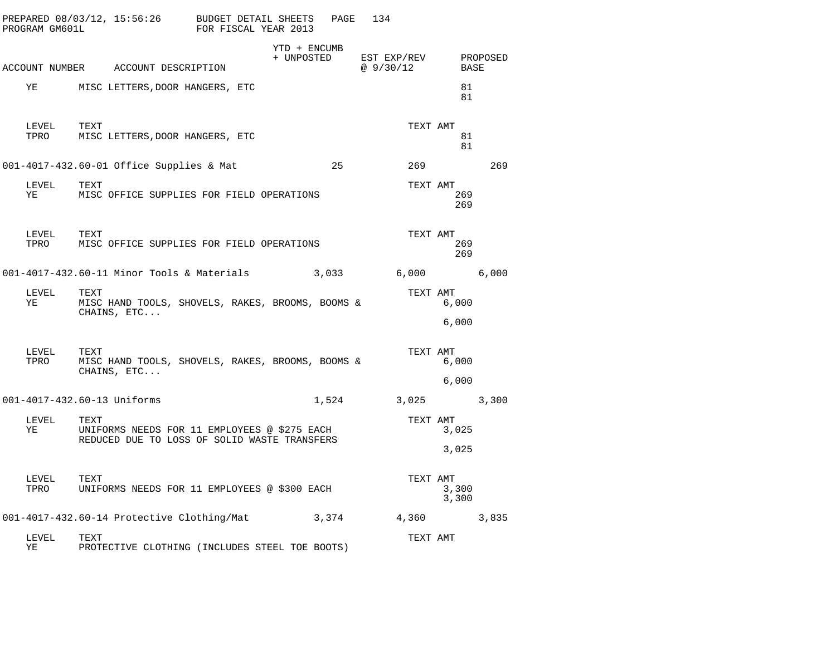|    | PROGRAM GM601L | PREPARED $08/03/12$ , $15:56:26$ BUDGET DETAIL SHEETS                   | FOR FISCAL YEAR 2013 |                            | PAGE  | 134                     |                            |          |
|----|----------------|-------------------------------------------------------------------------|----------------------|----------------------------|-------|-------------------------|----------------------------|----------|
|    |                | ACCOUNT NUMBER ACCOUNT DESCRIPTION                                      |                      | YTD + ENCUMB<br>+ UNPOSTED |       | EST EXP/REV<br>@9/30/12 | BASE                       | PROPOSED |
| YE |                | MISC LETTERS, DOOR HANGERS, ETC                                         |                      |                            |       |                         | 81<br>81                   |          |
|    | LEVEL<br>TPRO  | TEXT<br>MISC LETTERS, DOOR HANGERS, ETC                                 |                      |                            |       |                         | TEXT AMT<br>81<br>81       |          |
|    |                | 001-4017-432.60-01 Office Supplies & Mat                                |                      |                            | 25    |                         | 269                        | 269      |
| YE | LEVEL          | TEXT<br>MISC OFFICE SUPPLIES FOR FIELD OPERATIONS                       |                      |                            |       |                         | TEXT AMT<br>269<br>269     |          |
|    | LEVEL<br>TPRO  | TEXT<br>MISC OFFICE SUPPLIES FOR FIELD OPERATIONS                       |                      |                            |       |                         | TEXT AMT<br>269<br>269     |          |
|    |                | 001-4017-432.60-11 Minor Tools & Materials                              |                      |                            | 3,033 | 6,000                   |                            | 6,000    |
|    | LEVEL<br>YE    | TEXT<br>MISC HAND TOOLS, SHOVELS, RAKES, BROOMS, BOOMS &<br>CHAINS, ETC |                      |                            |       |                         | TEXT AMT<br>6,000          |          |
|    |                |                                                                         |                      |                            |       |                         | 6,000                      |          |
|    | LEVEL<br>TPRO  | TEXT<br>MISC HAND TOOLS, SHOVELS, RAKES, BROOMS, BOOMS &<br>CHAINS, ETC |                      |                            |       |                         | TEXT AMT<br>6,000          |          |
|    |                |                                                                         |                      |                            |       |                         | 6,000                      |          |
|    |                | 001-4017-432.60-13 Uniforms                                             |                      |                            | 1,524 | 3,025 3,300             |                            |          |
|    | LEVEL<br>YE    | TEXT<br>UNIFORMS NEEDS FOR 11 EMPLOYEES @ \$275 EACH                    |                      |                            |       |                         | TEXT AMT<br>3,025          |          |
|    |                | REDUCED DUE TO LOSS OF SOLID WASTE TRANSFERS                            |                      |                            |       |                         | 3,025                      |          |
|    | LEVEL<br>TPRO  | TEXT<br>UNIFORMS NEEDS FOR 11 EMPLOYEES @ \$300 EACH                    |                      |                            |       |                         | TEXT AMT<br>3,300<br>3,300 |          |
|    |                | 001-4017-432.60-14 Protective Clothing/Mat                              |                      |                            | 3,374 |                         | 4,360 3,835                |          |
| ΥE | LEVEL          | TEXT<br>PROTECTIVE CLOTHING (INCLUDES STEEL TOE BOOTS)                  |                      |                            |       |                         | TEXT AMT                   |          |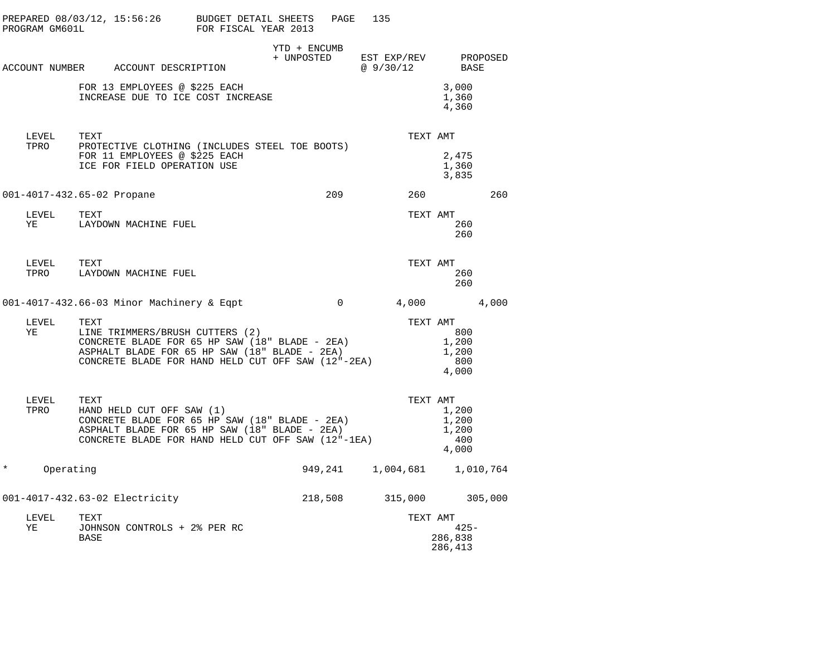|                     | PREPARED 08/03/12, 15:56:26 BUDGET DETAIL SHEETS PAGE<br>PROGRAM GM601L FOR FISCAL YEAR 2013                                                                                                                                                       |              |                | 135                                          |                                         |     |
|---------------------|----------------------------------------------------------------------------------------------------------------------------------------------------------------------------------------------------------------------------------------------------|--------------|----------------|----------------------------------------------|-----------------------------------------|-----|
|                     | ACCOUNT NUMBER ACCOUNT DESCRIPTION                                                                                                                                                                                                                 | YTD + ENCUMB |                | + UNPOSTED EST EXP/REV PROPOSED<br>@ 9/30/12 | BASE                                    |     |
|                     | FOR 13 EMPLOYEES @ \$225 EACH<br>INCREASE DUE TO ICE COST INCREASE                                                                                                                                                                                 |              |                |                                              | 3,000<br>1,360<br>4,360                 |     |
| LEVEL<br>TPRO       | TEXT<br>PROTECTIVE CLOTHING (INCLUDES STEEL TOE BOOTS)<br>FOR 11 EMPLOYEES @ \$225 EACH<br>ICE FOR FIELD OPERATION USE                                                                                                                             |              |                | TEXT AMT                                     | 2,475<br>1,360<br>3,835                 |     |
|                     | 001-4017-432.65-02 Propane                                                                                                                                                                                                                         |              |                | 209                                          | 260 200                                 | 260 |
|                     |                                                                                                                                                                                                                                                    |              |                | TEXT AMT                                     | 260<br>260                              |     |
| LEVEL               | TEXT<br>TPRO LAYDOWN MACHINE FUEL                                                                                                                                                                                                                  |              |                | TEXT AMT                                     | 260<br>260                              |     |
|                     | 001-4017-432.66-03 Minor Machinery & Eqpt                                                                                                                                                                                                          |              | $\overline{0}$ | 4,000 4,000                                  |                                         |     |
| LEVEL<br>YE         | TEXT<br>LINE TRIMMERS/BRUSH CUTTERS (2)<br>CONCRETE BLADE FOR 65 HP SAW (18" BLADE - 2EA)<br>ASPHALT BLADE FOR 65 HP SAW (18" BLADE - 2EA)<br>CONCRETE BLADE FOR 65 HP SAW (18" BLADE - 2EA)<br>CONCRETE BLADE FOR HAND HELD CUT OFF SAW (12"-2EA) |              |                | TEXT AMT                                     | 800<br>1,200<br>1,200<br>800<br>4,000   |     |
| LEVEL<br>TPRO       | TEXT<br>HAND HELD CUT OFF SAW (1)<br>CONCRETE BLADE FOR 65 HP SAW (18" BLADE - 2EA)<br>ASPHALT BLADE FOR 65 HP SAW (18" BLADE - 2EA)<br>CONCRETE BLADE FOR HAND HELD CUT OFF SAW (12"-1EA)                                                         |              |                | TEXT AMT                                     | 1,200<br>1,200<br>1,200<br>400<br>4,000 |     |
| $\ast$<br>Operating |                                                                                                                                                                                                                                                    |              |                | 949, 241 1, 004, 681 1, 010, 764             |                                         |     |
|                     | 001-4017-432.63-02 Electricity                                                                                                                                                                                                                     |              |                | 218,508 315,000 305,000                      |                                         |     |
| LEVEL<br>ΥE         | TEXT<br>JOHNSON CONTROLS + 2% PER RC<br>BASE                                                                                                                                                                                                       |              |                | TEXT AMT                                     | $425 -$<br>286,838<br>286,413           |     |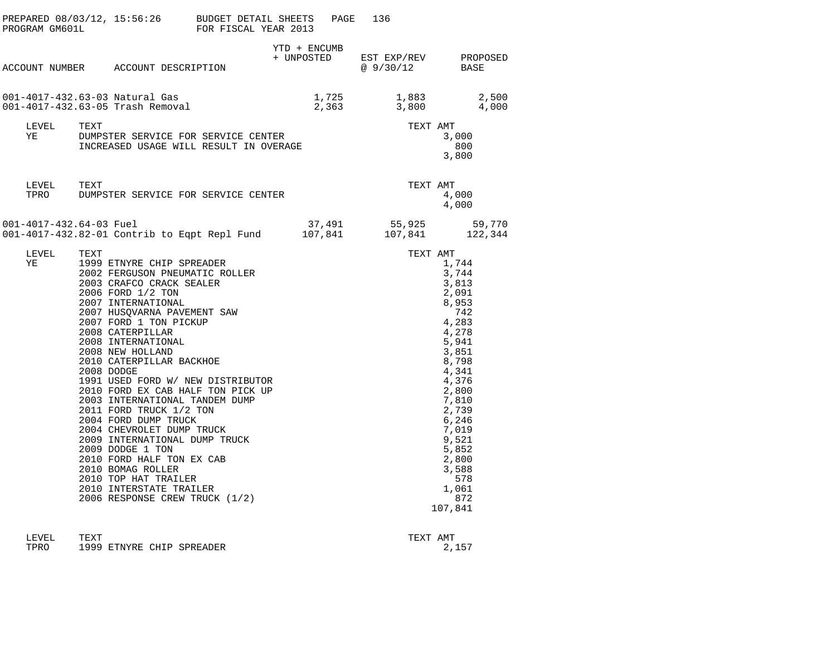| PROGRAM GM601L          | PREPARED $08/03/12$ , $15:56:26$ BUDGET DETAIL SHEETS                                                                                                                                                                                                                                                                                                                                                                                                                                                                                                                                                                                                                                               | FOR FISCAL YEAR 2013 | PAGE         | 136                                                   |                                                                                                                                                                                                                                    |
|-------------------------|-----------------------------------------------------------------------------------------------------------------------------------------------------------------------------------------------------------------------------------------------------------------------------------------------------------------------------------------------------------------------------------------------------------------------------------------------------------------------------------------------------------------------------------------------------------------------------------------------------------------------------------------------------------------------------------------------------|----------------------|--------------|-------------------------------------------------------|------------------------------------------------------------------------------------------------------------------------------------------------------------------------------------------------------------------------------------|
|                         | ACCOUNT NUMBER ACCOUNT DESCRIPTION                                                                                                                                                                                                                                                                                                                                                                                                                                                                                                                                                                                                                                                                  |                      | YTD + ENCUMB | + UNPOSTED EST EXP/REV PROPOSED<br>@ 9/30/12          | BASE                                                                                                                                                                                                                               |
|                         | 001-4017-432.63-03 Natural Gas<br>001-4017-432.63-05 Trash Removal                                                                                                                                                                                                                                                                                                                                                                                                                                                                                                                                                                                                                                  |                      |              | 1,725 1,883 2,500<br>2,363 3,800 4,000                |                                                                                                                                                                                                                                    |
| LEVEL<br>YE             | TEXT<br>IEAI<br>DUMPSTER SERVICE FOR SERVICE CENTER<br>INCREASED USAGE WILL RESULT IN OVERAGE                                                                                                                                                                                                                                                                                                                                                                                                                                                                                                                                                                                                       |                      |              | TEXT AMT                                              | 3,000<br>800<br>3,800                                                                                                                                                                                                              |
| LEVEL TEXT              | TPRO DUMPSTER SERVICE FOR SERVICE CENTER                                                                                                                                                                                                                                                                                                                                                                                                                                                                                                                                                                                                                                                            |                      |              | TEXT AMT                                              | 4,000<br>4,000                                                                                                                                                                                                                     |
| 001-4017-432.64-03 Fuel | 001-4017-432.82-01 Contrib to Eqpt Repl Fund                                                                                                                                                                                                                                                                                                                                                                                                                                                                                                                                                                                                                                                        |                      |              | 37,491 55,925 59,770<br>$107,841$ $107,841$ $122,344$ |                                                                                                                                                                                                                                    |
| LEVEL<br>ΥE             | TEXT<br>1999 ETNYRE CHIP SPREADER<br>2002 FERGUSON PNEUMATIC ROLLER<br>2003 CRAFCO CRACK SEALER<br>2006 FORD 1/2 TON<br>2007 INTERNATIONAL<br>2007 HUSQVARNA PAVEMENT SAW<br>2007 FORD 1 TON PICKUP<br>2008 CATERPILLAR<br>2008 INTERNATIONAL<br>2008 NEW HOLLAND<br>2010 CATERPILLAR BACKHOE<br>2008 DODGE<br>1991 USED FORD W/ NEW DISTRIBUTOR<br>2010 FORD EX CAB HALF TON PICK UP<br>2003 INTERNATIONAL TANDEM DUMP<br>2011 FORD TRUCK 1/2 TON<br>2004 FORD DUMP TRUCK<br>2004 CHEVROLET DUMP TRUCK<br>2009 INTERNATIONAL DUMP TRUCK<br>2009 DODGE 1 TON<br>2010 FORD HALF TON EX CAB<br>2010 BOMAG ROLLER<br>2010 TOP HAT TRAILER<br>2010 INTERSTATE TRAILER<br>2006 RESPONSE CREW TRUCK (1/2) |                      |              | TEXT AMT                                              | 1,744<br>3,744<br>3,813<br>2,091<br>8,953<br>742<br>4,283<br>4,278<br>5,941<br>3,851<br>8,798<br>4,341<br>4,376<br>2,800<br>7,810<br>2,739<br>6,246<br>7,019<br>9,521<br>5,852<br>2,800<br>3,588<br>578<br>1,061<br>872<br>107,841 |

| LEVEL | TEXT |                           | TEXT AMT |       |
|-------|------|---------------------------|----------|-------|
| TPRO  |      | 1999 ETNYRE CHIP SPREADER |          | 2.157 |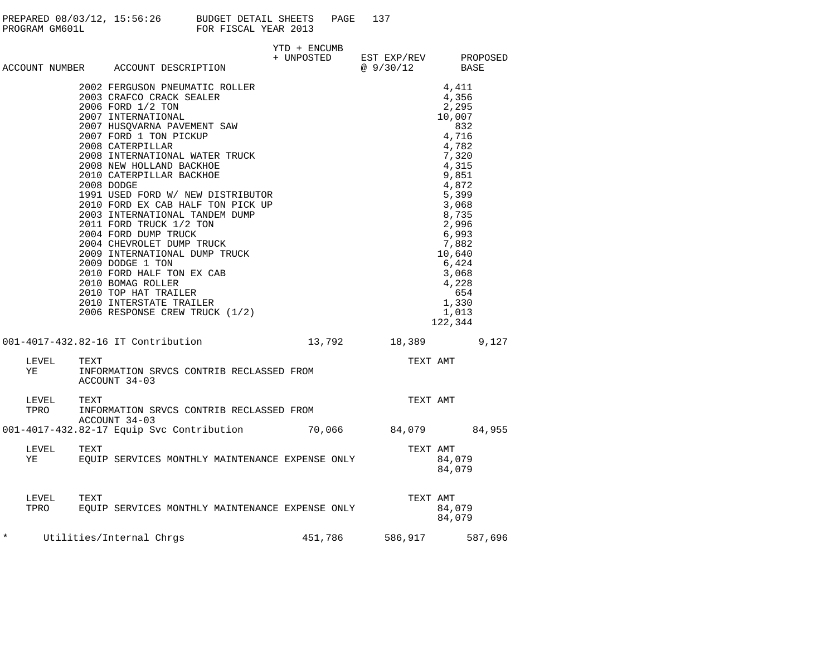| PREPARED 08/03/12, 15:56:26 | BUDGET DETAIL SHEETS<br>PAGE | 137 |
|-----------------------------|------------------------------|-----|
| PROGRAM GM601L              | FOR FISCAL YEAR 2013         |     |

|         |                  |      |                          | ACCOUNT NUMBER ACCOUNT DESCRIPTION                                                                                                                                                                                                                    | YTD + ENCUMB<br>+ UNPOSTED EST EXP/REV PROPOSED<br>@ 9/30/12 BASE |                         |          |                                                                                                                                                                                                                               |  |
|---------|------------------|------|--------------------------|-------------------------------------------------------------------------------------------------------------------------------------------------------------------------------------------------------------------------------------------------------|-------------------------------------------------------------------|-------------------------|----------|-------------------------------------------------------------------------------------------------------------------------------------------------------------------------------------------------------------------------------|--|
|         |                  |      |                          | 2002 FERGUSON PNEUMATIC ROLLER<br>2003 CRAFCO CRACK SEALER<br>2003 CRAFCO CRACK SEALER<br>2007 INTERNATIONAL<br>2007 HUSQVARNA PAVEMENT SAW<br>2007 FORD 1 TON PICKUP<br>2008 CATERPILLAR<br>2008 INTERNATIONAL WATER TRUCK<br>2008 INTERNATIONAL WAT |                                                                   |                         |          | 4,411<br>4,356<br>2,295<br>10,007<br>832<br>4,716<br>4,782<br>7,320<br>4,315<br>9,851<br>4,872<br>5,399<br>3,068<br>8,735<br>2,996<br>6,993<br>7,882<br>10,640<br>6,424<br>3,068<br>4,228<br>654<br>1,330<br>1,013<br>122,344 |  |
|         |                  |      |                          | 001-4017-432.82-16 IT Contribution 13,792 18,389 9,127                                                                                                                                                                                                |                                                                   |                         |          |                                                                                                                                                                                                                               |  |
|         | LEVEL<br>YE      | TEXT | ACCOUNT 34-03            | INFORMATION SRVCS CONTRIB RECLASSED FROM                                                                                                                                                                                                              |                                                                   |                         | TEXT AMT |                                                                                                                                                                                                                               |  |
|         | LEVEL<br>TPRO    | TEXT | ACCOUNT 34-03            | INFORMATION SRVCS CONTRIB RECLASSED FROM                                                                                                                                                                                                              |                                                                   |                         | TEXT AMT |                                                                                                                                                                                                                               |  |
|         |                  |      |                          | 001-4017-432.82-17 Equip Svc Contribution 70,066 84,079 84,955                                                                                                                                                                                        |                                                                   |                         |          |                                                                                                                                                                                                                               |  |
|         | LEVEL TEXT<br>YE |      |                          | EQUIP SERVICES MONTHLY MAINTENANCE EXPENSE ONLY                                                                                                                                                                                                       |                                                                   |                         | TEXT AMT | 84,079<br>84,079                                                                                                                                                                                                              |  |
|         | LEVEL            |      |                          |                                                                                                                                                                                                                                                       |                                                                   |                         | TEXT AMT | 84,079<br>84,079                                                                                                                                                                                                              |  |
| $\star$ |                  |      | Utilities/Internal Chrgs |                                                                                                                                                                                                                                                       |                                                                   | 451,786 586,917 587,696 |          |                                                                                                                                                                                                                               |  |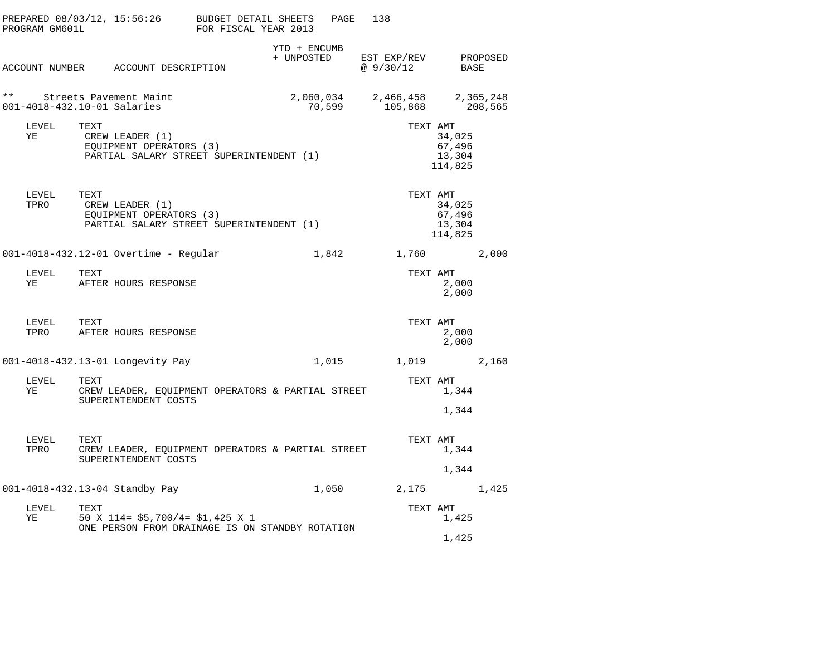|              | PROGRAM GM601L              |      | PREPARED 08/03/12, 15:56:26                                                            | BUDGET DETAIL SHEETS<br>FOR FISCAL YEAR 2013 |                            | PAGE   | 138                      |                                                   |                      |
|--------------|-----------------------------|------|----------------------------------------------------------------------------------------|----------------------------------------------|----------------------------|--------|--------------------------|---------------------------------------------------|----------------------|
|              |                             |      | ACCOUNT NUMBER ACCOUNT DESCRIPTION                                                     |                                              | YTD + ENCUMB<br>+ UNPOSTED |        | EST EXP/REV<br>@ 9/30/12 | BASE                                              | PROPOSED             |
| $\star\star$ | 001-4018-432.10-01 Salaries |      | Streets Pavement Maint                                                                 |                                              | 2,060,034                  | 70,599 | 2,466,458<br>105,868     |                                                   | 2,365,248<br>208,565 |
|              | LEVEL<br>ΥE                 | TEXT | CREW LEADER (1)<br>EQUIPMENT OPERATORS (3)<br>PARTIAL SALARY STREET SUPERINTENDENT (1) |                                              |                            |        |                          | TEXT AMT<br>34,025<br>67,496<br>13,304<br>114,825 |                      |
|              | LEVEL<br>TPRO               | TEXT | CREW LEADER (1)<br>EQUIPMENT OPERATORS (3)<br>PARTIAL SALARY STREET SUPERINTENDENT (1) |                                              |                            |        |                          | TEXT AMT<br>34,025<br>67,496<br>13,304<br>114,825 |                      |
|              |                             |      | 001-4018-432.12-01 Overtime - Regular                                                  |                                              |                            | 1,842  |                          | 1,760                                             | 2,000                |
|              | LEVEL<br>YE                 | TEXT | AFTER HOURS RESPONSE                                                                   |                                              |                            |        |                          | TEXT AMT<br>2,000<br>2,000                        |                      |
|              | LEVEL<br>TPRO               | TEXT | AFTER HOURS RESPONSE                                                                   |                                              |                            |        |                          | TEXT AMT<br>2,000<br>2,000                        |                      |
|              |                             |      | 001-4018-432.13-01 Longevity Pay                                                       |                                              |                            | 1,015  | 1,019                    |                                                   | 2,160                |
|              | LEVEL<br>ΥE                 | TEXT | CREW LEADER, EQUIPMENT OPERATORS & PARTIAL STREET<br>SUPERINTENDENT COSTS              |                                              |                            |        |                          | TEXT AMT<br>1,344<br>1,344                        |                      |
|              | LEVEL<br>TPRO               | TEXT | CREW LEADER, EQUIPMENT OPERATORS & PARTIAL STREET<br>SUPERINTENDENT COSTS              |                                              |                            |        |                          | TEXT AMT<br>1,344<br>1,344                        |                      |
|              |                             |      | 001-4018-432.13-04 Standby Pay                                                         |                                              |                            | 1,050  | 2,175                    |                                                   | 1,425                |
|              | LEVEL<br>ΥE                 | TEXT | 50 X 114= $$5,700/4= $1,425$ X 1<br>ONE PERSON FROM DRAINAGE IS ON STANDBY ROTATION    |                                              |                            |        |                          | TEXT AMT<br>1,425                                 |                      |
|              |                             |      |                                                                                        |                                              |                            |        |                          | 1,425                                             |                      |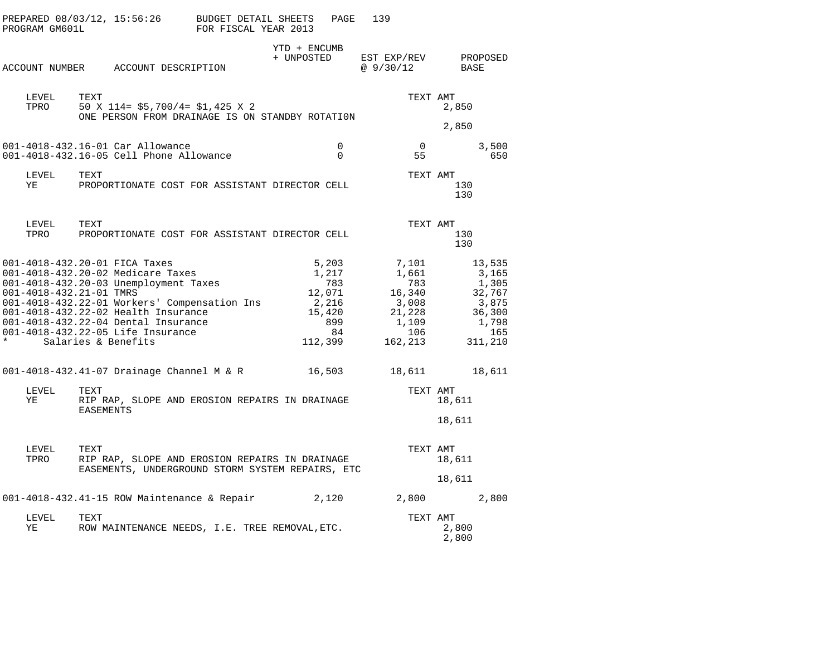| PROGRAM GM601L                                   |                   | PREPARED 08/03/12, 15:56:26 BUDGET DETAIL SHEETS                                                                                                                                                                                                                               | FOR FISCAL YEAR 2013 |                            | PAGE                                                    | 139                                                                                                                                         |                   |                                                                        |
|--------------------------------------------------|-------------------|--------------------------------------------------------------------------------------------------------------------------------------------------------------------------------------------------------------------------------------------------------------------------------|----------------------|----------------------------|---------------------------------------------------------|---------------------------------------------------------------------------------------------------------------------------------------------|-------------------|------------------------------------------------------------------------|
|                                                  |                   | ACCOUNT NUMBER ACCOUNT DESCRIPTION                                                                                                                                                                                                                                             |                      | YTD + ENCUMB<br>+ UNPOSTED |                                                         | EST EXP/REV PROPOSED<br>@9/30/12                                                                                                            | <b>BASE</b>       |                                                                        |
| LEVEL<br>TPRO                                    | TEXT              | 50 X 114= \$5,700/4= \$1,425 X 2<br>ONE PERSON FROM DRAINAGE IS ON STANDBY ROTATION                                                                                                                                                                                            |                      |                            |                                                         | TEXT AMT                                                                                                                                    | 2,850<br>2,850    |                                                                        |
|                                                  |                   | 001-4018-432.16-01 Car Allowance<br>001-4018-432.16-05 Cell Phone Allowance                                                                                                                                                                                                    |                      |                            | 0<br>$\Omega$                                           | $\overline{0}$<br>55                                                                                                                        |                   | 3,500<br>650                                                           |
| LEVEL<br>YE                                      | TEXT              | PROPORTIONATE COST FOR ASSISTANT DIRECTOR CELL                                                                                                                                                                                                                                 |                      |                            |                                                         | TEXT AMT                                                                                                                                    | 130<br>130        |                                                                        |
| LEVEL<br>TPRO                                    | TEXT              | PROPORTIONATE COST FOR ASSISTANT DIRECTOR CELL                                                                                                                                                                                                                                 |                      |                            |                                                         | TEXT AMT                                                                                                                                    | 130<br>130        |                                                                        |
| 001-4018-432.21-01 TMRS<br>* Salaries & Benefits |                   | 001-4018-432.20-01 FICA Taxes<br>001-4018-432.20-02 Medicare Taxes<br>001-4018-432.20-03 Unemployment Taxes<br>001-4018-432.22-01 Workers' Compensation Ins<br>001-4018-432.22-02 Health Insurance<br>001-4018-432.22-04 Dental Insurance<br>001-4018-432.22-05 Life Insurance |                      |                            | 5,203<br>1,217<br>783<br>15,420<br>899<br>84<br>112,399 | 7,101<br>1,661<br>783<br>$\begin{array}{cc} 783 & 783 \\ 12,071 & 16,340 \\ 2,216 & 3,008 \end{array}$<br>21,228<br>1,109<br>106<br>162,213 | $16,340$ $32,767$ | 13,535<br>3,165<br>1,305<br>3,875<br>36,300<br>1,798<br>165<br>311,210 |
|                                                  |                   | 001-4018-432.41-07 Drainage Channel M & R 16,503                                                                                                                                                                                                                               |                      |                            |                                                         | 18,611 18,611                                                                                                                               |                   |                                                                        |
| LEVEL<br>YE                                      | TEXT<br>EASEMENTS | RIP RAP, SLOPE AND EROSION REPAIRS IN DRAINAGE                                                                                                                                                                                                                                 |                      |                            |                                                         | TEXT AMT                                                                                                                                    | 18,611<br>18,611  |                                                                        |
| LEVEL<br>TPRO                                    | TEXT              | RIP RAP, SLOPE AND EROSION REPAIRS IN DRAINAGE<br>EASEMENTS, UNDERGROUND STORM SYSTEM REPAIRS, ETC                                                                                                                                                                             |                      |                            |                                                         | TEXT AMT                                                                                                                                    | 18,611<br>18,611  |                                                                        |
|                                                  |                   | 001-4018-432.41-15 ROW Maintenance & Repair                                                                                                                                                                                                                                    |                      |                            | 2,120                                                   |                                                                                                                                             | 2,800             | 2,800                                                                  |
| LEVEL<br>ΥE                                      | TEXT              | ROW MAINTENANCE NEEDS, I.E. TREE REMOVAL, ETC.                                                                                                                                                                                                                                 |                      |                            |                                                         | TEXT AMT                                                                                                                                    | 2,800<br>2,800    |                                                                        |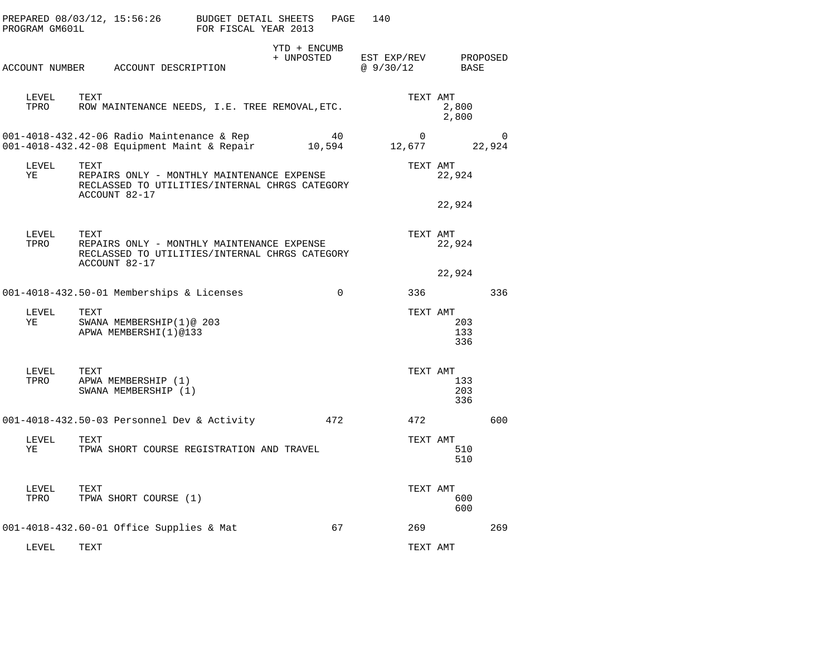| PROGRAM GM601L | PREPARED 08/03/12, 15:56:26                                                                                           | <b>BUDGET DETAIL SHEETS</b><br>FOR FISCAL YEAR 2013 |                            | PAGE        | 140                      |                               |             |
|----------------|-----------------------------------------------------------------------------------------------------------------------|-----------------------------------------------------|----------------------------|-------------|--------------------------|-------------------------------|-------------|
|                | ACCOUNT NUMBER ACCOUNT DESCRIPTION                                                                                    |                                                     | YTD + ENCUMB<br>+ UNPOSTED |             | EST EXP/REV<br>@ 9/30/12 | BASE                          | PROPOSED    |
| LEVEL<br>TPRO  | TEXT<br>ROW MAINTENANCE NEEDS, I.E. TREE REMOVAL, ETC.                                                                |                                                     |                            |             |                          | TEXT AMT<br>2,800<br>2,800    |             |
|                | 001-4018-432.42-06 Radio Maintenance & Rep<br>001-4018-432.42-08 Equipment Maint & Repair                             |                                                     | 10,594                     | 40          | 0<br>12,677              |                               | 0<br>22,924 |
| LEVEL<br>ΥE    | TEXT<br>REPAIRS ONLY - MONTHLY MAINTENANCE EXPENSE<br>RECLASSED TO UTILITIES/INTERNAL CHRGS CATEGORY<br>ACCOUNT 82-17 |                                                     |                            |             | TEXT AMT                 | 22,924                        |             |
|                |                                                                                                                       |                                                     |                            |             |                          | 22,924                        |             |
| LEVEL<br>TPRO  | TEXT<br>REPAIRS ONLY - MONTHLY MAINTENANCE EXPENSE<br>RECLASSED TO UTILITIES/INTERNAL CHRGS CATEGORY<br>ACCOUNT 82-17 |                                                     |                            |             |                          | TEXT AMT<br>22,924            |             |
|                |                                                                                                                       |                                                     |                            |             |                          | 22,924                        |             |
|                | 001-4018-432.50-01 Memberships & Licenses                                                                             |                                                     |                            | $\mathbf 0$ | 336                      |                               | 336         |
| LEVEL<br>ΥE    | TEXT<br>SWANA MEMBERSHIP(1)@ 203<br>APWA MEMBERSHI(1)@133                                                             |                                                     |                            |             |                          | TEXT AMT<br>203<br>133<br>336 |             |
| LEVEL<br>TPRO  | TEXT<br>APWA MEMBERSHIP (1)<br>SWANA MEMBERSHIP (1)                                                                   |                                                     |                            |             |                          | TEXT AMT<br>133<br>203<br>336 |             |
|                | 001-4018-432.50-03 Personnel Dev & Activity                                                                           |                                                     |                            | 472         | 472                      |                               | 600         |
| LEVEL<br>ΥE    | TEXT<br>TPWA SHORT COURSE REGISTRATION AND TRAVEL                                                                     |                                                     |                            |             | TEXT AMT                 | 510<br>510                    |             |
| LEVEL<br>TPRO  | TEXT<br>TPWA SHORT COURSE (1)                                                                                         |                                                     |                            |             |                          | TEXT AMT<br>600<br>600        |             |
|                | 001-4018-432.60-01 Office Supplies & Mat                                                                              |                                                     |                            | 67          | 269                      |                               | 269         |
| LEVEL          | TEXT                                                                                                                  |                                                     |                            |             | TEXT AMT                 |                               |             |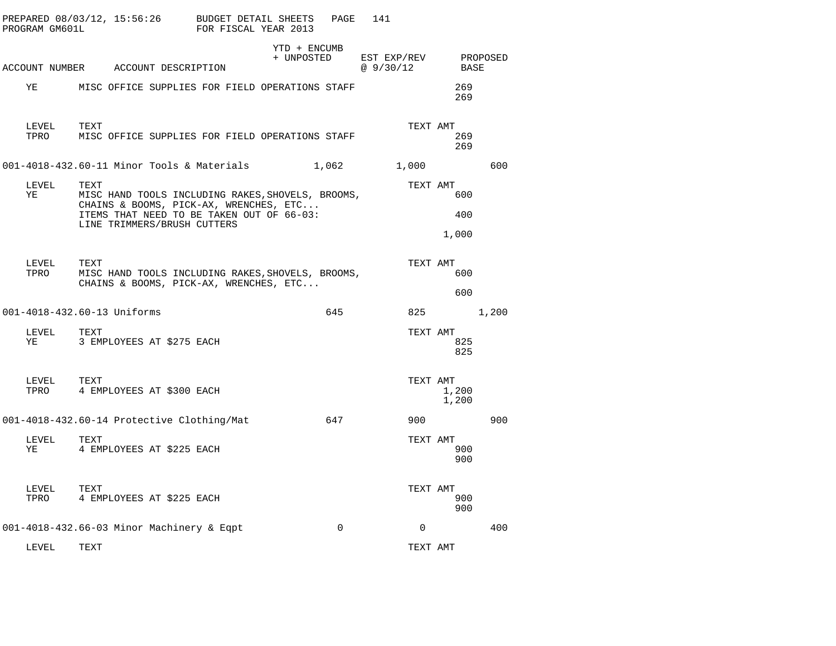| PROGRAM GM601L | PREPARED 08/03/12, 15:56:26                          | BUDGET DETAIL SHEETS<br>FOR FISCAL YEAR 2013                                                                                             | PAGE                       | 141                                    |                     |       |
|----------------|------------------------------------------------------|------------------------------------------------------------------------------------------------------------------------------------------|----------------------------|----------------------------------------|---------------------|-------|
|                | ACCOUNT NUMBER ACCOUNT DESCRIPTION                   |                                                                                                                                          | YTD + ENCUMB<br>+ UNPOSTED | EST EXP/REV PROPOSED<br>@ 9/30/12 BASE |                     |       |
| ΥE             |                                                      | MISC OFFICE SUPPLIES FOR FIELD OPERATIONS STAFF                                                                                          |                            |                                        | 269<br>269          |       |
| LEVEL<br>TPRO  | TEXT                                                 | MISC OFFICE SUPPLIES FOR FIELD OPERATIONS STAFF                                                                                          |                            | TEXT AMT                               | 269<br>269          |       |
|                | $001-4018-432.60-11$ Minor Tools & Materials $1,062$ |                                                                                                                                          |                            | 1,000                                  |                     | 600   |
| LEVEL<br>ΥE    | TEXT<br>LINE TRIMMERS/BRUSH CUTTERS                  | MISC HAND TOOLS INCLUDING RAKES, SHOVELS, BROOMS,<br>CHAINS & BOOMS, PICK-AX, WRENCHES, ETC<br>ITEMS THAT NEED TO BE TAKEN OUT OF 66-03: |                            | TEXT AMT                               | 600<br>400<br>1,000 |       |
| LEVEL<br>TPRO  | TEXT                                                 | MISC HAND TOOLS INCLUDING RAKES, SHOVELS, BROOMS,<br>CHAINS & BOOMS, PICK-AX, WRENCHES, ETC                                              |                            | TEXT AMT                               | 600<br>600          |       |
|                | 001-4018-432.60-13 Uniforms                          |                                                                                                                                          | 645                        | 825                                    |                     | 1,200 |
| LEVEL<br>YE    | TEXT<br>3 EMPLOYEES AT \$275 EACH                    |                                                                                                                                          |                            | TEXT AMT                               | 825<br>825          |       |
| LEVEL<br>TPRO  | TEXT<br>4 EMPLOYEES AT \$300 EACH                    |                                                                                                                                          |                            | TEXT AMT                               | 1,200<br>1,200      |       |
|                | 001-4018-432.60-14 Protective Clothing/Mat           |                                                                                                                                          | 647                        | 900                                    |                     | 900   |
| LEVEL<br>ΥE    | TEXT<br>4 EMPLOYEES AT \$225 EACH                    |                                                                                                                                          |                            | TEXT AMT                               | 900<br>900          |       |
| LEVEL<br>TPRO  | TEXT<br>4 EMPLOYEES AT \$225 EACH                    |                                                                                                                                          |                            | TEXT AMT                               | 900<br>900          |       |
|                | 001-4018-432.66-03 Minor Machinery & Eqpt            |                                                                                                                                          | $\mathbf 0$                | $\mathbf{0}$                           |                     | 400   |
| LEVEL          | TEXT                                                 |                                                                                                                                          |                            | TEXT AMT                               |                     |       |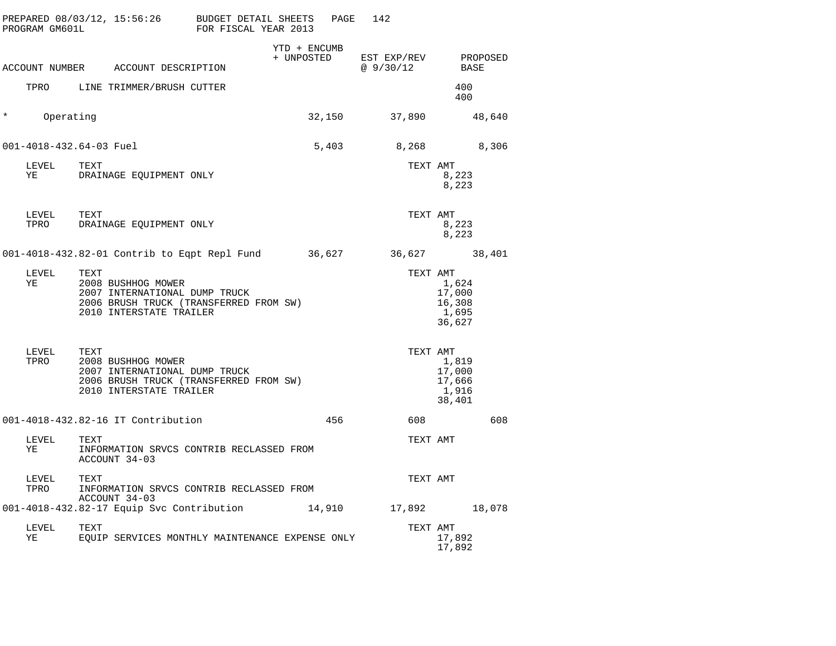|          | PROGRAM GM601L     | PREPARED 08/03/12, 15:56:26 BUDGET DETAIL SHEETS                                                                                 | FOR FISCAL YEAR 2013 | PAGE         | 142                      |                                              |
|----------|--------------------|----------------------------------------------------------------------------------------------------------------------------------|----------------------|--------------|--------------------------|----------------------------------------------|
|          |                    | ACCOUNT NUMBER ACCOUNT DESCRIPTION                                                                                               | + UNPOSTED           | YTD + ENCUMB | EST EXP/REV<br>@ 9/30/12 | PROPOSED<br>BASE                             |
|          |                    | TPRO LINE TRIMMER/BRUSH CUTTER                                                                                                   |                      |              |                          | 400<br>400                                   |
| $^\star$ | Operating          |                                                                                                                                  |                      | 32,150       | 37,890                   | 48,640                                       |
|          |                    | 001-4018-432.64-03 Fuel                                                                                                          |                      | 5,403        | 8,268                    | 8,306                                        |
|          | LEVEL<br>YE        | TEXT<br>DRAINAGE EQUIPMENT ONLY                                                                                                  |                      |              | TEXT AMT                 | 8,223<br>8,223                               |
|          | LEVEL<br>TPRO      | TEXT<br>DRAINAGE EQUIPMENT ONLY                                                                                                  |                      |              | TEXT AMT                 | 8,223<br>8,223                               |
|          |                    | 001-4018-432.82-01 Contrib to Eqpt Repl Fund 36,627 36,627 38,401                                                                |                      |              |                          |                                              |
|          | LEVEL<br>ΥE        | TEXT<br>2008 BUSHHOG MOWER<br>2007 INTERNATIONAL DUMP TRUCK<br>2006 BRUSH TRUCK (TRANSFERRED FROM SW)<br>2010 INTERSTATE TRAILER |                      |              | TEXT AMT                 | 1,624<br>17,000<br>16,308<br>1,695<br>36,627 |
|          | LEVEL<br>TPRO      | TEXT<br>2008 BUSHHOG MOWER<br>2007 INTERNATIONAL DUMP TRUCK<br>2006 BRUSH TRUCK (TRANSFERRED FROM SW)<br>2010 INTERSTATE TRAILER |                      |              | TEXT AMT                 | 1,819<br>17,000<br>17,666<br>1,916<br>38,401 |
|          |                    | 001-4018-432.82-16 IT Contribution                                                                                               |                      | 456          | 608                      | 608                                          |
|          | LEVEL<br>ΥE        | TEXT<br>INFORMATION SRVCS CONTRIB RECLASSED FROM<br>ACCOUNT 34-03                                                                |                      |              | TEXT AMT                 |                                              |
|          | LEVEL TEXT<br>TPRO | INFORMATION SRVCS CONTRIB RECLASSED FROM<br>ACCOUNT 34-03                                                                        |                      |              | TEXT AMT                 |                                              |
|          |                    | 001-4018-432.82-17 Equip Svc Contribution                                                                                        |                      | 14,910       | 17,892                   | 18,078                                       |
|          | LEVEL<br>ΥE        | TEXT<br>EQUIP SERVICES MONTHLY MAINTENANCE EXPENSE ONLY                                                                          |                      |              | TEXT AMT                 | 17,892<br>17,892                             |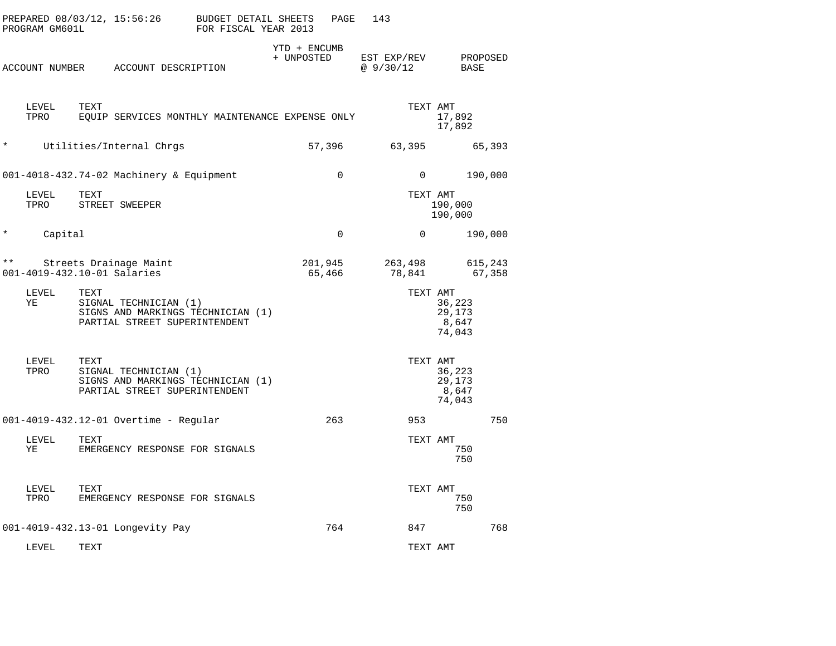| PROGRAM GM601L | PREPARED 08/03/12, 15:56:26                           |                                                                                             | <b>BUDGET DETAIL SHEETS</b><br>FOR FISCAL YEAR 2013 |                            | PAGE        | 143                     |                                                 |                   |
|----------------|-------------------------------------------------------|---------------------------------------------------------------------------------------------|-----------------------------------------------------|----------------------------|-------------|-------------------------|-------------------------------------------------|-------------------|
|                |                                                       | ACCOUNT NUMBER ACCOUNT DESCRIPTION                                                          |                                                     | YTD + ENCUMB<br>+ UNPOSTED |             | EST EXP/REV<br>@9/30/12 |                                                 | PROPOSED<br>BASE  |
| LEVEL<br>TPRO  | TEXT                                                  | EQUIP SERVICES MONTHLY MAINTENANCE EXPENSE ONLY                                             |                                                     |                            |             |                         | TEXT AMT<br>17,892<br>17,892                    |                   |
| $^\star$       |                                                       | Utilities/Internal Chrgs                                                                    |                                                     | 57,396                     |             | 63,395                  |                                                 | 65,393            |
|                |                                                       | 001-4018-432.74-02 Machinery & Equipment                                                    |                                                     |                            | $\Omega$    |                         | $\Omega$                                        | 190,000           |
| LEVEL<br>TPRO  | TEXT                                                  | STREET SWEEPER                                                                              |                                                     |                            |             |                         | TEXT AMT<br>190,000<br>190,000                  |                   |
| $^\star$       | Capital                                               |                                                                                             |                                                     |                            | $\mathbf 0$ |                         | $\mathbf 0$                                     | 190,000           |
| $\star\star$   | Streets Drainage Maint<br>001-4019-432.10-01 Salaries |                                                                                             |                                                     | 201,945<br>65,466          |             | 78,841                  | 263,498                                         | 615,243<br>67,358 |
| LEVEL<br>ΥE    | TEXT                                                  | SIGNAL TECHNICIAN (1)<br>SIGNS AND MARKINGS TECHNICIAN (1)<br>PARTIAL STREET SUPERINTENDENT |                                                     |                            |             |                         | TEXT AMT<br>36,223<br>29,173<br>8,647<br>74,043 |                   |
| LEVEL<br>TPRO  | TEXT                                                  | SIGNAL TECHNICIAN (1)<br>SIGNS AND MARKINGS TECHNICIAN (1)<br>PARTIAL STREET SUPERINTENDENT |                                                     |                            |             |                         | TEXT AMT<br>36,223<br>29,173<br>8,647<br>74,043 |                   |
|                |                                                       | 001-4019-432.12-01 Overtime - Regular                                                       |                                                     |                            | 263         | 953                     |                                                 | 750               |
| LEVEL<br>ΥE    | TEXT                                                  | EMERGENCY RESPONSE FOR SIGNALS                                                              |                                                     |                            |             |                         | TEXT AMT                                        | 750<br>750        |
| LEVEL<br>TPRO  | TEXT                                                  | EMERGENCY RESPONSE FOR SIGNALS                                                              |                                                     |                            |             |                         | TEXT AMT                                        | 750<br>750        |
|                |                                                       | 001-4019-432.13-01 Longevity Pay                                                            |                                                     |                            | 764         |                         | 847                                             | 768               |
| LEVEL          | TEXT                                                  |                                                                                             |                                                     |                            |             |                         | TEXT AMT                                        |                   |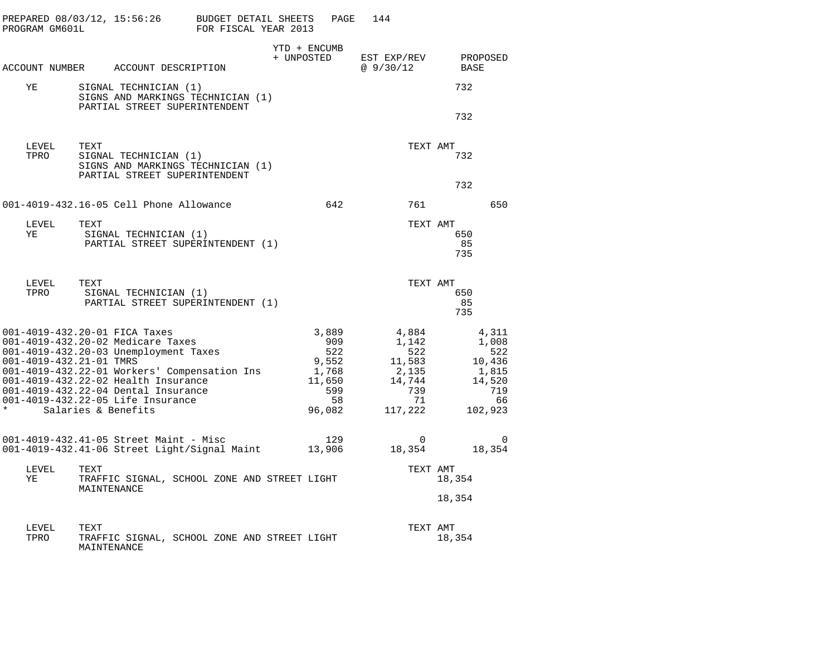| PROGRAM GM601L | PREPARED $08/03/12$ , 15:56:26 BUDGET DETAIL SHEETS                        | FOR FISCAL YEAR 2013                         | PAGE                       | 144                                                                                                |                |  |
|----------------|----------------------------------------------------------------------------|----------------------------------------------|----------------------------|----------------------------------------------------------------------------------------------------|----------------|--|
|                | ACCOUNT NUMBER ACCOUNT DESCRIPTION                                         |                                              | YTD + ENCUMB               | + UNPOSTED EST EXP/REV PROPOSED<br>@9/30/12                                                        | BASE           |  |
|                |                                                                            |                                              |                            |                                                                                                    |                |  |
| YE             | SIGNAL TECHNICIAN (1)<br>PARTIAL STREET SUPERINTENDENT                     | SIGNS AND MARKINGS TECHNICIAN (1)            |                            |                                                                                                    | 732            |  |
|                |                                                                            |                                              |                            |                                                                                                    | 732            |  |
| LEVEL<br>TPRO  | TEXT                                                                       |                                              |                            | TEXT AMT                                                                                           |                |  |
|                | SIGNAL TECHNICIAN (1)<br>PARTIAL STREET SUPERINTENDENT                     | SIGNS AND MARKINGS TECHNICIAN (1)            |                            | 732                                                                                                |                |  |
|                |                                                                            |                                              |                            |                                                                                                    | 732            |  |
|                | 001-4019-432.16-05 Cell Phone Allowance                                    |                                              | 642                        | 761                                                                                                | 650            |  |
| LEVEL          | TEXT                                                                       |                                              |                            | TEXT AMT                                                                                           |                |  |
| YE             | SIGNAL TECHNICIAN (1)                                                      | PARTIAL STREET SUPERINTENDENT (1)            |                            |                                                                                                    | 650<br>85      |  |
|                |                                                                            |                                              |                            |                                                                                                    | 735            |  |
| LEVEL          | TEXT                                                                       |                                              |                            | TEXT AMT                                                                                           |                |  |
| TPRO           | SIGNAL TECHNICIAN (1)                                                      | PARTIAL STREET SUPERINTENDENT (1)            |                            |                                                                                                    | 650<br>85      |  |
|                |                                                                            |                                              |                            |                                                                                                    | 735            |  |
|                | 001-4019-432.20-01 FICA Taxes<br>001-4019-432.20-02 Medicare Taxes         |                                              | 3,889<br>909               | 4,884<br>1,142                                                                                     | 4,311<br>1,008 |  |
|                | 001-4019-432.20-03 Unemployment Taxes<br>001-4019-432.21-01 TMRS           |                                              | 522                        | 522                                                                                                | 522            |  |
|                |                                                                            |                                              | $9,552$<br>1,768<br>11,650 | $\begin{array}{cccc} 522 & 522 \\ 9,552 & 11,583 & 10,436 \\ 1,768 & 2,135 & 1,815 \\ \end{array}$ |                |  |
|                | 001-4019-432.22-01 Workers' Compensation Ins                               |                                              |                            |                                                                                                    |                |  |
|                | 001-4019-432.22-02 Health Insurance<br>001-4019-432.22-04 Dental Insurance |                                              | $599$<br>58                | 14,744<br>739                                                                                      | 14,520<br>719  |  |
|                | 001-4019-432.22-05 Life Insurance                                          |                                              |                            | 71                                                                                                 | - 66           |  |
| $\star$        | Salaries & Benefits                                                        |                                              | 58<br>96,082               | 117,222                                                                                            | 102,923        |  |
|                |                                                                            |                                              |                            | $\overline{0}$                                                                                     | 0              |  |
|                |                                                                            |                                              |                            | 18,354 18,354                                                                                      |                |  |
| LEVEL<br>ΥE    | TEXT                                                                       | TRAFFIC SIGNAL, SCHOOL ZONE AND STREET LIGHT |                            | TEXT AMT                                                                                           | 18,354         |  |
|                | MAINTENANCE                                                                |                                              |                            |                                                                                                    | 18,354         |  |
|                |                                                                            |                                              |                            |                                                                                                    |                |  |
| LEVEL          | TEXT                                                                       |                                              |                            | TEXT AMT                                                                                           |                |  |
| TPRO           | MAINTENANCE                                                                | TRAFFIC SIGNAL, SCHOOL ZONE AND STREET LIGHT |                            |                                                                                                    | 18,354         |  |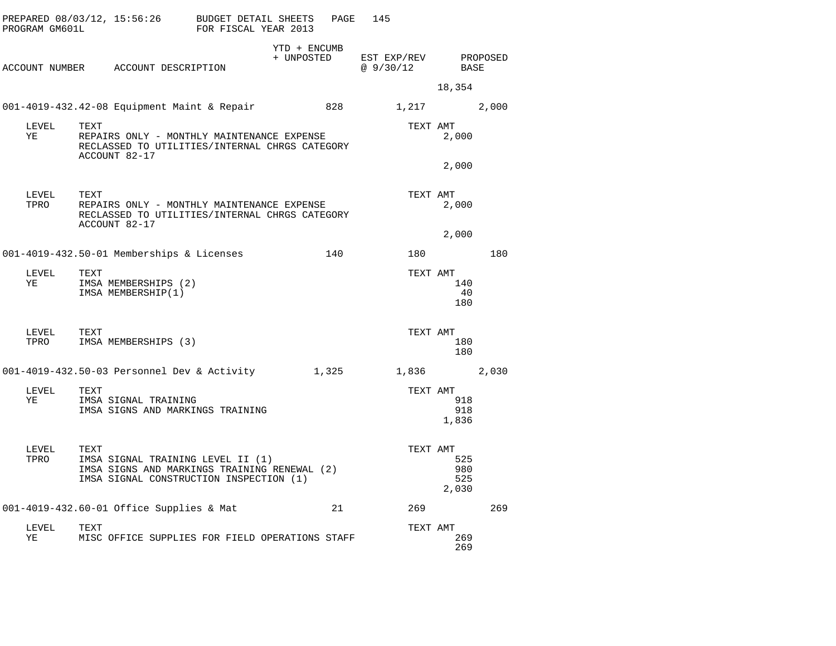| PROGRAM GM601L |            | PREPARED 08/03/12, 15:56:26 BUDGET DETAIL SHEETS                                                                             | FOR FISCAL YEAR 2013 |                            | PAGE  | 145 |                          |                            |          |
|----------------|------------|------------------------------------------------------------------------------------------------------------------------------|----------------------|----------------------------|-------|-----|--------------------------|----------------------------|----------|
|                |            | ACCOUNT NUMBER ACCOUNT DESCRIPTION                                                                                           |                      | YTD + ENCUMB<br>+ UNPOSTED |       |     | EST EXP/REV<br>@ 9/30/12 | BASE                       | PROPOSED |
|                |            |                                                                                                                              |                      |                            |       |     |                          | 18,354                     |          |
|                |            | 001-4019-432.42-08 Equipment Maint & Repair                                                                                  |                      |                            | 828   |     | 1,217 2,000              |                            |          |
| LEVEL<br>YE    | TEXT       | REPAIRS ONLY - MONTHLY MAINTENANCE EXPENSE<br>RECLASSED TO UTILITIES/INTERNAL CHRGS CATEGORY<br>ACCOUNT 82-17                |                      |                            |       |     | TEXT AMT                 | 2,000                      |          |
|                |            |                                                                                                                              |                      |                            |       |     |                          | 2,000                      |          |
| LEVEL<br>TPRO  | TEXT       | REPAIRS ONLY - MONTHLY MAINTENANCE EXPENSE<br>RECLASSED TO UTILITIES/INTERNAL CHRGS CATEGORY<br>ACCOUNT 82-17                |                      |                            |       |     | TEXT AMT                 | 2,000                      |          |
|                |            |                                                                                                                              |                      |                            |       |     |                          | 2,000                      |          |
|                |            | 001-4019-432.50-01 Memberships & Licenses                                                                                    |                      |                            | 140   |     | 180                      |                            | 180      |
| LEVEL<br>YE    | TEXT       | IMSA MEMBERSHIPS (2)<br>IMSA MEMBERSHIP(1)                                                                                   |                      |                            |       |     | TEXT AMT                 | 140<br>40<br>180           |          |
| TPRO           | LEVEL TEXT | IMSA MEMBERSHIPS (3)                                                                                                         |                      |                            |       |     | TEXT AMT                 | 180<br>180                 |          |
|                |            | 001-4019-432.50-03 Personnel Dev & Activity                                                                                  |                      |                            | 1,325 |     |                          | 1,836 2,030                |          |
| LEVEL<br>YE    | TEXT       | IMSA SIGNAL TRAINING<br>IMSA SIGNS AND MARKINGS TRAINING                                                                     |                      |                            |       |     | TEXT AMT                 | 918<br>918<br>1,836        |          |
| LEVEL<br>TPRO  | TEXT       | IMSA SIGNAL TRAINING LEVEL II (1)<br>IMSA SIGNS AND MARKINGS TRAINING RENEWAL (2)<br>IMSA SIGNAL CONSTRUCTION INSPECTION (1) |                      |                            |       |     | TEXT AMT                 | 525<br>980<br>525<br>2,030 |          |
|                |            | 001-4019-432.60-01 Office Supplies & Mat                                                                                     |                      |                            | 21    |     | 269                      |                            | 269      |
| LEVEL<br>YE    | TEXT       | MISC OFFICE SUPPLIES FOR FIELD OPERATIONS STAFF                                                                              |                      |                            |       |     | TEXT AMT                 | 269<br>269                 |          |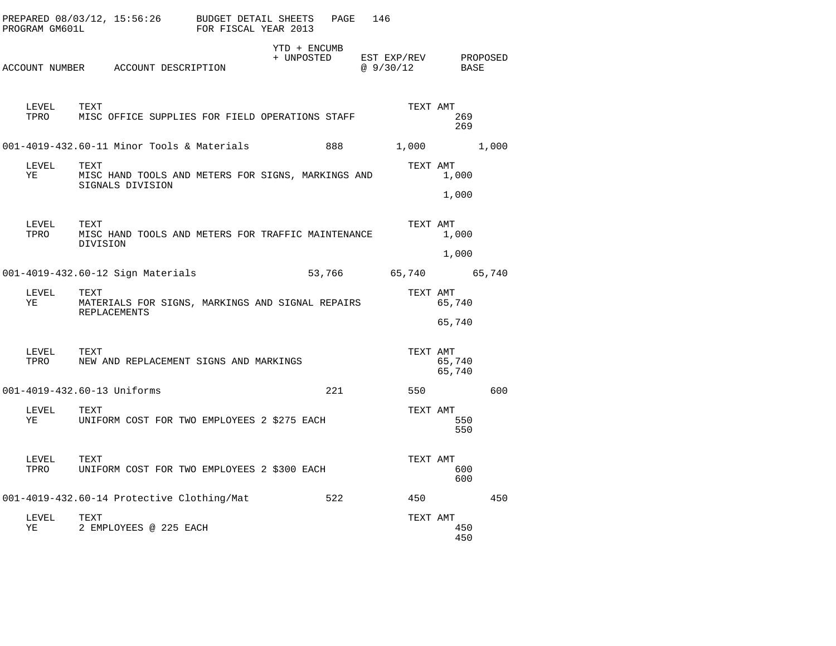| PROGRAM GM601L | PREPARED 08/03/12, 15:56:26                                                     | BUDGET DETAIL SHEETS<br>FOR FISCAL YEAR 2013 |                            | PAGE | 146                     |                  |          |
|----------------|---------------------------------------------------------------------------------|----------------------------------------------|----------------------------|------|-------------------------|------------------|----------|
|                | ACCOUNT NUMBER ACCOUNT DESCRIPTION                                              |                                              | YTD + ENCUMB<br>+ UNPOSTED |      | EST EXP/REV<br>@9/30/12 | BASE             | PROPOSED |
| LEVEL<br>TPRO  | TEXT<br>MISC OFFICE SUPPLIES FOR FIELD OPERATIONS STAFF                         |                                              |                            |      | TEXT AMT                | 269<br>269       |          |
|                | 001-4019-432.60-11 Minor Tools & Materials                                      |                                              |                            | 888  | 1,000                   |                  | 1,000    |
| LEVEL<br>YE    | TEXT<br>MISC HAND TOOLS AND METERS FOR SIGNS, MARKINGS AND<br>SIGNALS DIVISION  |                                              |                            |      | TEXT AMT                | 1,000            |          |
|                |                                                                                 |                                              |                            |      |                         | 1,000            |          |
| LEVEL<br>TPRO  | TEXT<br>MISC HAND TOOLS AND METERS FOR TRAFFIC MAINTENANCE<br>DIVISION          |                                              |                            |      | TEXT AMT                | 1,000            |          |
|                |                                                                                 |                                              |                            |      |                         | 1,000            |          |
|                | 001-4019-432.60-12 Sign Materials                                               |                                              | 53,766                     |      | 65,740 65,740           |                  |          |
| LEVEL<br>ΥE    | TEXT<br>MATERIALS FOR SIGNS, MARKINGS AND SIGNAL REPAIRS<br><b>REPLACEMENTS</b> |                                              |                            |      | TEXT AMT                | 65,740           |          |
|                |                                                                                 |                                              |                            |      |                         | 65,740           |          |
| LEVEL<br>TPRO  | TEXT<br>NEW AND REPLACEMENT SIGNS AND MARKINGS                                  |                                              |                            |      | TEXT AMT                | 65,740<br>65,740 |          |
|                | 001-4019-432.60-13 Uniforms                                                     |                                              |                            | 221  | 550                     |                  | 600      |
| LEVEL<br>ΥE    | TEXT<br>UNIFORM COST FOR TWO EMPLOYEES 2 \$275 EACH                             |                                              |                            |      | TEXT AMT                | 550<br>550       |          |
| LEVEL<br>TPRO  | TEXT<br>UNIFORM COST FOR TWO EMPLOYEES 2 \$300 EACH                             |                                              |                            |      | TEXT AMT                | 600<br>600       |          |
|                | 001-4019-432.60-14 Protective Clothing/Mat                                      |                                              |                            | 522  | 450                     |                  | 450      |
| LEVEL<br>ΥE    | TEXT<br>2 EMPLOYEES @ 225 EACH                                                  |                                              |                            |      | TEXT AMT                | 450<br>450       |          |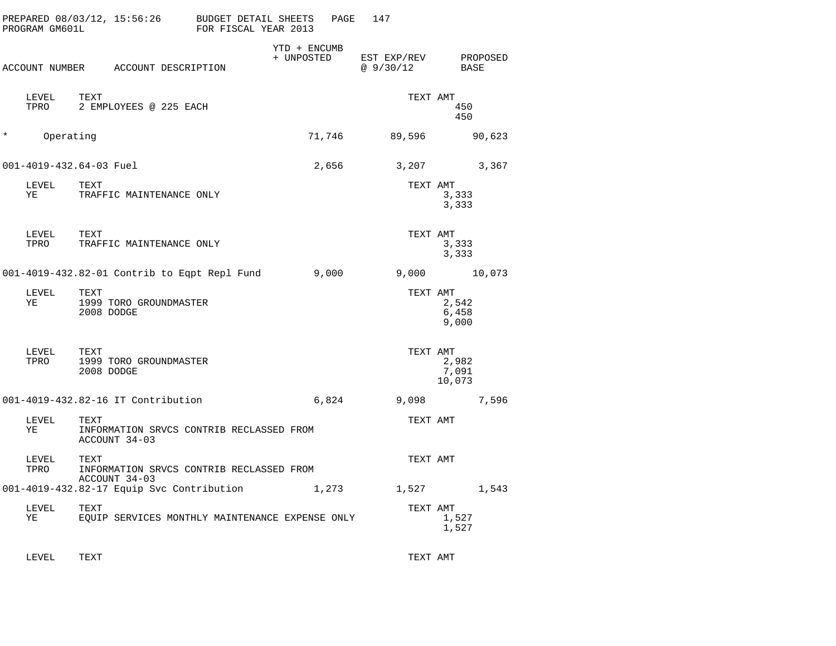| PROGRAM GM601L          |               |                    | PREPARED 08/03/12, 15:56:26                  | BUDGET DETAIL SHEETS<br>FOR FISCAL YEAR 2013    | PAGE   | 147       |                                      |
|-------------------------|---------------|--------------------|----------------------------------------------|-------------------------------------------------|--------|-----------|--------------------------------------|
|                         |               |                    | ACCOUNT NUMBER ACCOUNT DESCRIPTION           | YTD + ENCUMB<br>+ UNPOSTED                      |        | @ 9/30/12 | EST EXP/REV PROPOSED<br>BASE         |
|                         | LEVEL<br>TPRO | TEXT               | 2 EMPLOYEES @ 225 EACH                       |                                                 |        |           | TEXT AMT<br>450<br>450               |
| $\star$                 | Operating     |                    |                                              |                                                 | 71,746 | 89,596    | 90,623                               |
| 001-4019-432.64-03 Fuel |               |                    |                                              |                                                 | 2,656  |           | 3,207<br>3,367                       |
| ΥE                      | LEVEL         | TEXT               | TRAFFIC MAINTENANCE ONLY                     |                                                 |        |           | TEXT AMT<br>3,333<br>3,333           |
| LEVEL<br>TPRO           |               | TEXT               | TRAFFIC MAINTENANCE ONLY                     |                                                 |        |           | TEXT AMT<br>3,333<br>3,333           |
|                         |               |                    | 001-4019-432.82-01 Contrib to Eqpt Repl Fund |                                                 | 9,000  |           | 9,000 10,073                         |
| LEVEL<br>YE             |               | TEXT<br>2008 DODGE | 1999 TORO GROUNDMASTER                       |                                                 |        |           | TEXT AMT<br>2,542<br>6,458<br>9,000  |
| TPRO                    | LEVEL         | TEXT<br>2008 DODGE | 1999 TORO GROUNDMASTER                       |                                                 |        |           | TEXT AMT<br>2,982<br>7,091<br>10,073 |
|                         |               |                    | 001-4019-432.82-16 IT Contribution           |                                                 | 6,824  |           | 9,098<br>7,596                       |
| LEVEL<br>ΥE             |               | TEXT               | ACCOUNT 34-03                                | INFORMATION SRVCS CONTRIB RECLASSED FROM        |        | TEXT AMT  |                                      |
| TPRO                    | LEVEL         | TEXT               | ACCOUNT 34-03                                | INFORMATION SRVCS CONTRIB RECLASSED FROM        |        |           | TEXT AMT                             |
|                         |               |                    | 001-4019-432.82-17 Equip Svc Contribution    |                                                 | 1,273  |           | 1,527<br>1,543                       |
| LEVEL<br>ΥE             |               | TEXT               |                                              | EQUIP SERVICES MONTHLY MAINTENANCE EXPENSE ONLY |        |           | TEXT AMT<br>1,527<br>1,527           |

LEVEL TEXT TEXT AMT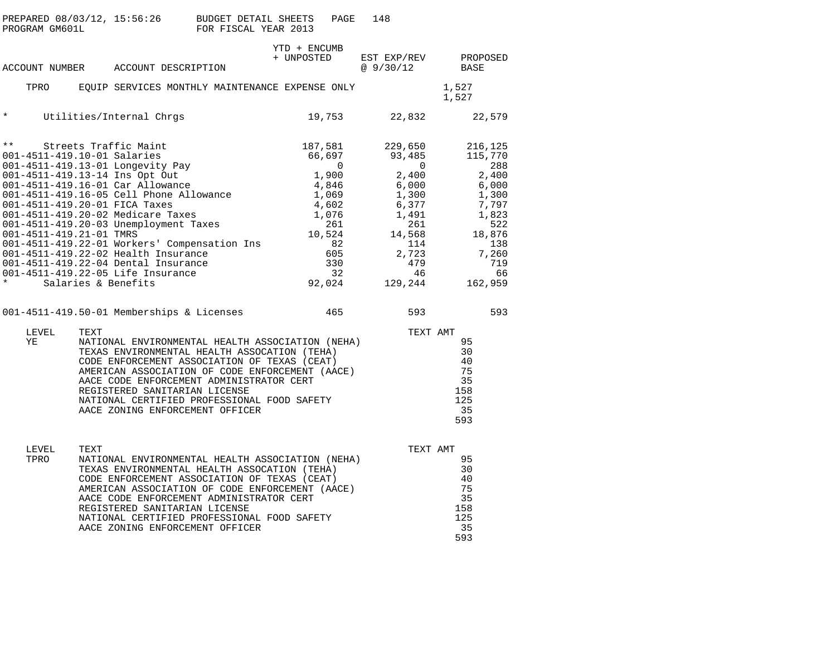| PROGRAM GM601L                                                                                           |      |                                                                                                                                                                                                                                                                           | PREPARED 08/03/12, 15:56:26 BUDGET DETAIL SHEETS<br>FOR FISCAL YEAR 2013                                                                                                                                                                                                                                                          |                                                                            | PAGE                                                                                                      | 148                                                                                 |                                                    |                                                                                                                                 |
|----------------------------------------------------------------------------------------------------------|------|---------------------------------------------------------------------------------------------------------------------------------------------------------------------------------------------------------------------------------------------------------------------------|-----------------------------------------------------------------------------------------------------------------------------------------------------------------------------------------------------------------------------------------------------------------------------------------------------------------------------------|----------------------------------------------------------------------------|-----------------------------------------------------------------------------------------------------------|-------------------------------------------------------------------------------------|----------------------------------------------------|---------------------------------------------------------------------------------------------------------------------------------|
|                                                                                                          |      | ACCOUNT NUMBER ACCOUNT DESCRIPTION                                                                                                                                                                                                                                        |                                                                                                                                                                                                                                                                                                                                   | YTD + ENCUMB<br>+ UNPOSTED                                                 |                                                                                                           | EST EXP/REV<br>@ 9/30/12                                                            |                                                    | PROPOSED<br>BASE                                                                                                                |
| TPRO                                                                                                     |      |                                                                                                                                                                                                                                                                           | EQUIP SERVICES MONTHLY MAINTENANCE EXPENSE ONLY                                                                                                                                                                                                                                                                                   |                                                                            |                                                                                                           |                                                                                     |                                                    | 1,527<br>1,527                                                                                                                  |
| $\star$                                                                                                  |      | Utilities/Internal Chrgs                                                                                                                                                                                                                                                  |                                                                                                                                                                                                                                                                                                                                   |                                                                            | 19,753                                                                                                    | 22,832                                                                              |                                                    | 22,579                                                                                                                          |
| $\star \star$<br>001-4511-419.10-01 Salaries<br>001-4511-419.20-01 FICA Taxes<br>001-4511-419.21-01 TMRS |      | Streets Traffic Maint<br>001-4511-419.13-01 Longevity Pay<br>001-4511-419.13-14 Ins Opt Out<br>001-4511-419.16-01 Car Allowance<br>001-4511-419.20-02 Medicare Taxes<br>001-4511-419.20-03 Unemployment Taxes<br>001-4511-419.22-05 Life Insurance<br>Salaries & Benefits | $001-4511-419.16-05$ Cell Phone Allowance<br>001-4511-410-20-01-FTC $\overline{ }$<br>001-4511-419.22-01 Workers' Compensation Ins<br>001-4511-419.22-02 Health Insurance<br>001-4511-419.22-04 Dental Insurance                                                                                                                  | 66,697<br>$\begin{array}{c} 0 \\ 1\, , \, 900 \\ 4\, , \, 846 \end{array}$ | 187,581<br>$\overline{0}$<br>1,069<br>4,602<br>1,076<br>261<br>10,524<br>82<br>605<br>330<br>32<br>92,024 | 229,650<br>93,485<br>2,400<br>6,000<br>1,300<br>6,377<br>1,491<br>14,568<br>129,244 | $\overline{0}$<br>261<br>114<br>2,723<br>479<br>46 | 216,125<br>115,770<br>288<br>2.400<br>6,000<br>1,300<br>7,797<br>1,823<br>522<br>18,876<br>138<br>7,260<br>719<br>66<br>162,959 |
|                                                                                                          |      | 001-4511-419.50-01 Memberships & Licenses                                                                                                                                                                                                                                 |                                                                                                                                                                                                                                                                                                                                   |                                                                            | 465                                                                                                       |                                                                                     | 593                                                | 593                                                                                                                             |
| LEVEL<br>ΥE                                                                                              | TEXT | REGISTERED SANITARIAN LICENSE                                                                                                                                                                                                                                             | NATIONAL ENVIRONMENTAL HEALTH ASSOCIATION (NEHA)<br>TEXAS ENVIRONMENTAL HEALTH ASSOCATION (TEHA)<br>CODE ENFORCEMENT ASSOCIATION OF TEXAS (CEAT)<br>AMERICAN ASSOCIATION OF CODE ENFORCEMENT (AACE)<br>AACE CODE ENFORCEMENT ADMINISTRATOR CERT<br>NATIONAL CERTIFIED PROFESSIONAL FOOD SAFETY<br>AACE ZONING ENFORCEMENT OFFICER |                                                                            |                                                                                                           |                                                                                     |                                                    | TEXT AMT<br>95<br>30<br>40<br>75<br>-35<br>158<br>125<br>35<br>593                                                              |
| LEVEL<br>TPRO                                                                                            | TEXT | REGISTERED SANITARIAN LICENSE                                                                                                                                                                                                                                             | NATIONAL ENVIRONMENTAL HEALTH ASSOCIATION (NEHA)<br>TEXAS ENVIRONMENTAL HEALTH ASSOCATION (TEHA)<br>CODE ENFORCEMENT ASSOCIATION OF TEXAS (CEAT)<br>AMERICAN ASSOCIATION OF CODE ENFORCEMENT (AACE)<br>AACE CODE ENFORCEMENT ADMINISTRATOR CERT<br>NATIONAL CERTIFIED PROFESSIONAL FOOD SAFETY<br>AACE ZONING ENFORCEMENT OFFICER |                                                                            |                                                                                                           |                                                                                     |                                                    | TEXT AMT<br>95<br>30<br>40<br>75<br>35<br>158<br>125<br>35<br>593                                                               |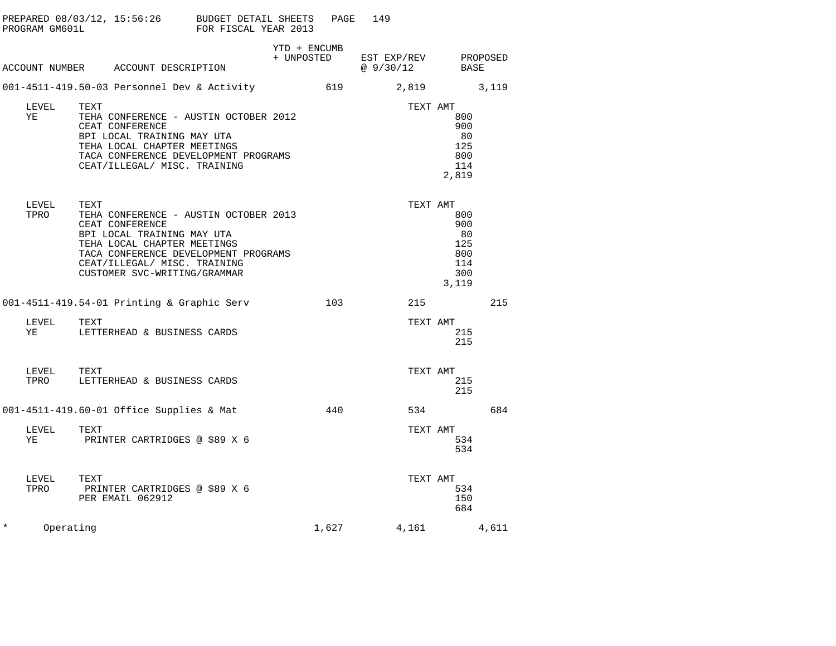|                                        | PREPARED 08/03/12, 15:56:26 BUDGET DETAIL SHEETS<br>PROGRAM GM601L                             FOR FISCAL YEAR 2013                                                                                   |              | PAGE | 149                                                                                                                                            |                                                                   |     |  |
|----------------------------------------|-------------------------------------------------------------------------------------------------------------------------------------------------------------------------------------------------------|--------------|------|------------------------------------------------------------------------------------------------------------------------------------------------|-------------------------------------------------------------------|-----|--|
|                                        | ACCOUNT NUMBER ACCOUNT DESCRIPTION                                                                                                                                                                    | YTD + ENCUMB |      | $\begin{tabular}{llll} + & UNPOSTED & \texttt{EST} & \texttt{EXP/REV} & \texttt{PROPOSED} \\ & @ 9 / 30 / 12 & \texttt{BASE} \\ \end{tabular}$ |                                                                   |     |  |
|                                        | 001-4511-419.50-03 Personnel Dev & Activity 619 3,819 3,119                                                                                                                                           |              |      |                                                                                                                                                |                                                                   |     |  |
| LEVEL<br>YE                            | TEXT<br>TEHA CONFERENCE - AUSTIN OCTOBER 2012<br>CEAT CONFERENCE<br>BPI LOCAL TRAINING MAY UTA<br>TEHA LOCAL CHAPTER MEETINGS<br>TACA CONFERENCE DEVELOPMENT PROGRAMS<br>CEAT/ILLEGAL/ MISC. TRAINING |              |      |                                                                                                                                                | TEXT AMT<br>800<br>900<br>80<br>125<br>800<br>114<br>2,819        |     |  |
| LEVEL<br>TPRO                          | TEXT<br>TEHA CONFERENCE - AUSTIN OCTOBER 2013<br>-------- MAY UTA<br>TACA CONFERENCE DEVELOPMENT PROGRAMS<br>CEAT/ILLEGAL/ MISC. TRAINING<br>CUSTOMER SVC-WRITING/GRAMMAR                             |              |      |                                                                                                                                                | TEXT AMT<br>800<br>900<br>80<br>125<br>800<br>114<br>300<br>3,119 |     |  |
|                                        | 001-4511-419.54-01 Printing & Graphic Serv 103                                                                                                                                                        |              |      |                                                                                                                                                | 215                                                               | 215 |  |
| LEVEL                                  | TEXT<br>YE LETTERHEAD & BUSINESS CARDS                                                                                                                                                                |              |      |                                                                                                                                                | TEXT AMT<br>215<br>215                                            |     |  |
| ${\rm LEVEL} \hspace{20pt} {\rm TEXT}$ | TPRO LETTERHEAD & BUSINESS CARDS                                                                                                                                                                      |              |      |                                                                                                                                                | TEXT AMT<br>215<br>215                                            |     |  |
|                                        | 001-4511-419.60-01 Office Supplies & Mat                                                                                                                                                              |              |      | 440                                                                                                                                            | 534 684                                                           |     |  |
| LEVEL                                  | TEXT<br>YE PRINTER CARTRIDGES @ \$89 X 6                                                                                                                                                              |              |      |                                                                                                                                                | TEXT AMT<br>534<br>534                                            |     |  |
| LEVEL                                  | TEXT<br>TPRO PRINTER CARTRIDGES @ \$89 X 6<br>PER EMAIL 062912                                                                                                                                        |              |      |                                                                                                                                                | TEXT AMT<br>534<br>150<br>684                                     |     |  |
| $\star$<br>Operating                   |                                                                                                                                                                                                       |              |      | $1,627$ $4,161$ $4,611$                                                                                                                        |                                                                   |     |  |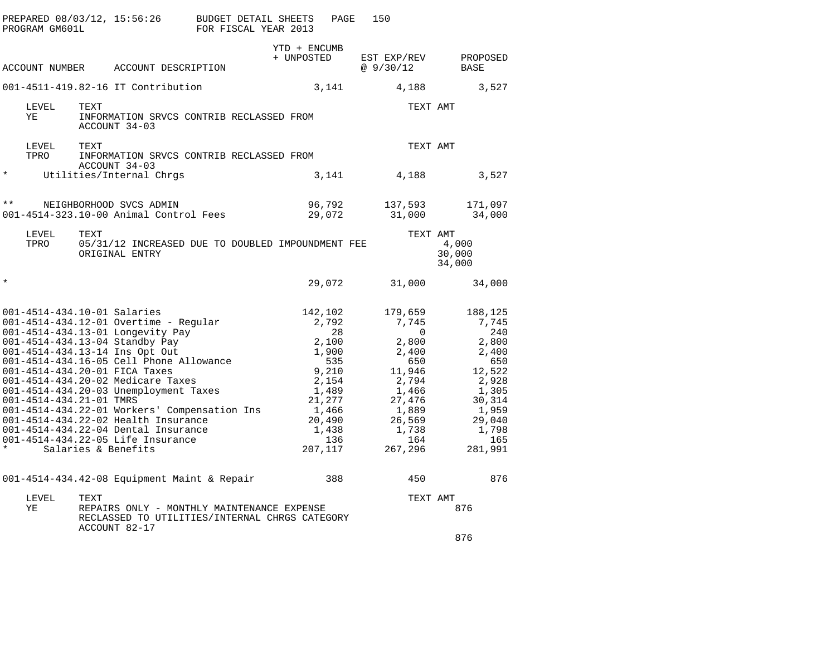| PROGRAM GM601L          | PREPARED 08/03/12, 15:56:26 BUDGET DETAIL SHEETS                                                                                                                                                                                                                                                                                                                                                                                                                                                                                 | FOR FISCAL YEAR 2013 |                                                                                                                | PAGE             | 150                                                                                                                                       |                           |                                                                                                                                      |
|-------------------------|----------------------------------------------------------------------------------------------------------------------------------------------------------------------------------------------------------------------------------------------------------------------------------------------------------------------------------------------------------------------------------------------------------------------------------------------------------------------------------------------------------------------------------|----------------------|----------------------------------------------------------------------------------------------------------------|------------------|-------------------------------------------------------------------------------------------------------------------------------------------|---------------------------|--------------------------------------------------------------------------------------------------------------------------------------|
|                         |                                                                                                                                                                                                                                                                                                                                                                                                                                                                                                                                  |                      | YTD + ENCUMB                                                                                                   |                  |                                                                                                                                           |                           |                                                                                                                                      |
| ACCOUNT NUMBER          | ACCOUNT DESCRIPTION                                                                                                                                                                                                                                                                                                                                                                                                                                                                                                              |                      | + UNPOSTED                                                                                                     |                  | EST EXP/REV<br>@9/30/12                                                                                                                   | BASE                      | PROPOSED                                                                                                                             |
|                         | 001-4511-419.82-16 IT Contribution                                                                                                                                                                                                                                                                                                                                                                                                                                                                                               |                      | 3,141                                                                                                          |                  | 4,188                                                                                                                                     |                           | 3,527                                                                                                                                |
| LEVEL<br>ΥE             | TEXT<br>INFORMATION SRVCS CONTRIB RECLASSED FROM<br>ACCOUNT 34-03                                                                                                                                                                                                                                                                                                                                                                                                                                                                |                      |                                                                                                                |                  | TEXT AMT                                                                                                                                  |                           |                                                                                                                                      |
| LEVEL<br>TPRO           | TEXT<br>INFORMATION SRVCS CONTRIB RECLASSED FROM                                                                                                                                                                                                                                                                                                                                                                                                                                                                                 |                      |                                                                                                                |                  | TEXT AMT                                                                                                                                  |                           |                                                                                                                                      |
| $^\star$                | ACCOUNT 34-03<br>Utilities/Internal Chrgs                                                                                                                                                                                                                                                                                                                                                                                                                                                                                        |                      | 3,141                                                                                                          |                  | 4,188                                                                                                                                     |                           | 3,527                                                                                                                                |
| $\star \star$           | NEIGHBORHOOD SVCS ADMIN<br>001-4514-323.10-00 Animal Control Fees                                                                                                                                                                                                                                                                                                                                                                                                                                                                |                      | 96,792<br>29,072                                                                                               |                  | 137,593<br>31,000                                                                                                                         |                           | 171,097<br>34,000                                                                                                                    |
| LEVEL<br>TPRO           | TEXT<br>05/31/12 INCREASED DUE TO DOUBLED IMPOUNDMENT FEE<br>ORIGINAL ENTRY                                                                                                                                                                                                                                                                                                                                                                                                                                                      |                      |                                                                                                                |                  | TEXT AMT                                                                                                                                  | 4,000<br>30,000<br>34,000 |                                                                                                                                      |
| $\star$                 |                                                                                                                                                                                                                                                                                                                                                                                                                                                                                                                                  |                      | 29,072                                                                                                         |                  | 31,000                                                                                                                                    |                           | 34,000                                                                                                                               |
| 001-4514-434.21-01 TMRS | 001-4514-434.10-01 Salaries<br>001-4514-434.12-01 Overtime - Regular<br>001-4514-434.13-01 Longevity Pay<br>001-4514-434.13-04 Standby Pay<br>001-4514-434.13-14 Ins Opt Out<br>001-4514-434.16-05 Cell Phone Allowance<br>001-4514-434.20-01 FICA Taxes<br>001-4514-434.20-02 Medicare Taxes<br>001-4514-434.20-03 Unemployment Taxes<br>001-4514-434.22-01 Workers' Compensation Ins<br>001-4514-434.22-02 Health Insurance<br>001-4514-434.22-04 Dental Insurance<br>001-4514-434.22-05 Life Insurance<br>Salaries & Benefits |                      | 142,102<br>2,792<br>2,100<br>1,900<br>9,210<br>2,154<br>1,489<br>21,277<br>1,466<br>20,490<br>1,438<br>207,117 | 28<br>535<br>136 | 179,659<br>7,745<br>$\Omega$<br>2,800<br>2,400<br>650<br>11,946<br>2,794<br>1,466<br>27,476<br>1,889<br>26,569<br>1,738<br>164<br>267,296 |                           | 188,125<br>7,745<br>240<br>2,800<br>2,400<br>650<br>12,522<br>2,928<br>1,305<br>30,314<br>1,959<br>29,040<br>1,798<br>165<br>281,991 |
|                         | 001-4514-434.42-08 Equipment Maint & Repair                                                                                                                                                                                                                                                                                                                                                                                                                                                                                      |                      |                                                                                                                | 388              | 450                                                                                                                                       |                           | 876                                                                                                                                  |
| LEVEL<br>ΥE             | TEXT<br>REPAIRS ONLY - MONTHLY MAINTENANCE EXPENSE<br>RECLASSED TO UTILITIES/INTERNAL CHRGS CATEGORY<br>ACCOUNT 82-17                                                                                                                                                                                                                                                                                                                                                                                                            |                      |                                                                                                                |                  | TEXT AMT                                                                                                                                  | 876                       |                                                                                                                                      |
|                         |                                                                                                                                                                                                                                                                                                                                                                                                                                                                                                                                  |                      |                                                                                                                |                  |                                                                                                                                           | 876                       |                                                                                                                                      |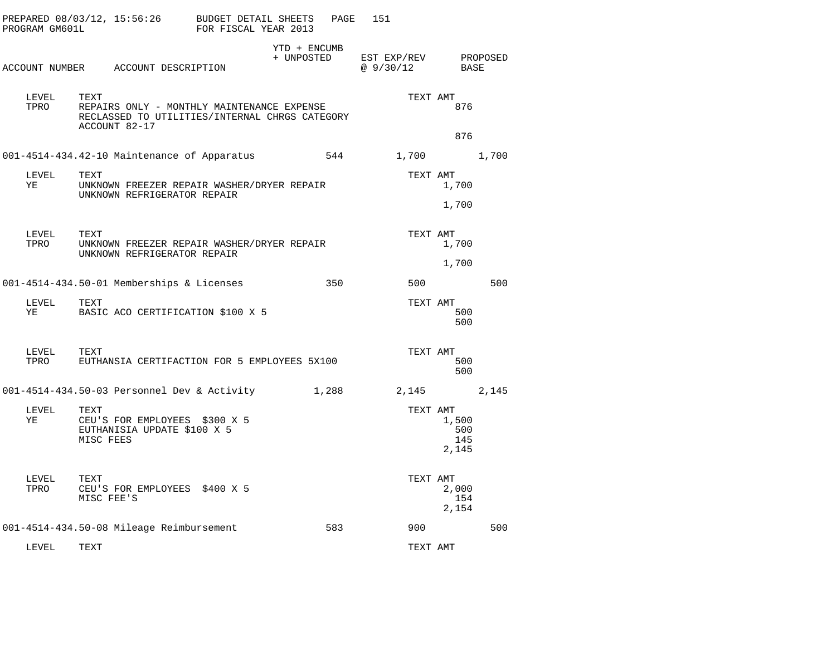| PROGRAM GM601L | PREPARED 08/03/12, 15:56:26                                                                                           | BUDGET DETAIL SHEETS<br>FOR FISCAL YEAR 2013 | PAGE                       | 151                      |                              |          |
|----------------|-----------------------------------------------------------------------------------------------------------------------|----------------------------------------------|----------------------------|--------------------------|------------------------------|----------|
|                | ACCOUNT NUMBER ACCOUNT DESCRIPTION                                                                                    |                                              | YTD + ENCUMB<br>+ UNPOSTED | EST EXP/REV<br>@ 9/30/12 | BASE                         | PROPOSED |
| LEVEL<br>TPRO  | TEXT<br>REPAIRS ONLY - MONTHLY MAINTENANCE EXPENSE<br>RECLASSED TO UTILITIES/INTERNAL CHRGS CATEGORY<br>ACCOUNT 82-17 |                                              |                            | TEXT AMT                 | 876                          |          |
|                |                                                                                                                       |                                              |                            |                          | 876                          |          |
|                | 001-4514-434.42-10 Maintenance of Apparatus                                                                           |                                              | 544                        | 1,700                    |                              | 1,700    |
| LEVEL<br>YE    | TEXT<br>UNKNOWN FREEZER REPAIR WASHER/DRYER REPAIR<br>UNKNOWN REFRIGERATOR REPAIR                                     |                                              |                            | TEXT AMT                 | 1,700                        |          |
|                |                                                                                                                       |                                              |                            |                          | 1,700                        |          |
| LEVEL<br>TPRO  | TEXT<br>UNKNOWN FREEZER REPAIR WASHER/DRYER REPAIR<br>UNKNOWN REFRIGERATOR REPAIR                                     |                                              |                            | TEXT AMT                 | 1,700                        |          |
|                |                                                                                                                       |                                              |                            |                          | 1,700                        |          |
|                | 001-4514-434.50-01 Memberships & Licenses                                                                             |                                              | 350                        | 500                      |                              | 500      |
| LEVEL<br>YE    | TEXT<br>BASIC ACO CERTIFICATION \$100 X 5                                                                             |                                              |                            | TEXT AMT                 | 500<br>500                   |          |
| LEVEL<br>TPRO  | TEXT<br>EUTHANSIA CERTIFACTION FOR 5 EMPLOYEES 5X100                                                                  |                                              |                            | TEXT AMT                 | 500<br>500                   |          |
|                | 001-4514-434.50-03 Personnel Dev & Activity                                                                           |                                              | 1,288                      | 2,145                    |                              | 2,145    |
| LEVEL<br>ΥE    | TEXT<br>CEU'S FOR EMPLOYEES \$300 X 5<br>EUTHANISIA UPDATE \$100 X 5<br>MISC FEES                                     |                                              |                            | TEXT AMT                 | 1,500<br>500<br>145<br>2,145 |          |
| LEVEL<br>TPRO  | TEXT<br>CEU'S FOR EMPLOYEES \$400 X 5<br>MISC FEE'S                                                                   |                                              |                            | TEXT AMT                 | 2,000<br>154<br>2,154        |          |
|                | 001-4514-434.50-08 Mileage Reimbursement                                                                              |                                              | 583                        | 900                      |                              | 500      |
| LEVEL          | TEXT                                                                                                                  |                                              |                            | TEXT AMT                 |                              |          |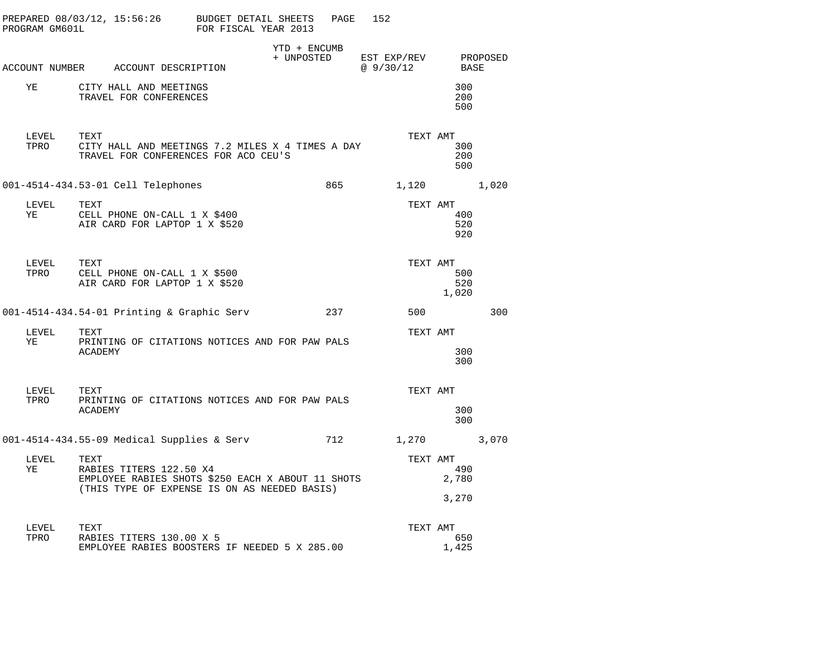| PROGRAM GM601L | PREPARED 08/03/12, 15:56:26 BUDGET DETAIL SHEETS                                                                                     | FOR FISCAL YEAR 2013 |                            | 152<br>PAGE |                                   |                       |       |
|----------------|--------------------------------------------------------------------------------------------------------------------------------------|----------------------|----------------------------|-------------|-----------------------------------|-----------------------|-------|
|                | ACCOUNT NUMBER ACCOUNT DESCRIPTION                                                                                                   |                      | YTD + ENCUMB<br>+ UNPOSTED |             | EST EXP/REV PROPOSED<br>@ 9/30/12 | BASE                  |       |
| YE             | CITY HALL AND MEETINGS<br>TRAVEL FOR CONFERENCES                                                                                     |                      |                            |             |                                   | 300<br>200<br>500     |       |
| LEVEL<br>TPRO  | TEXT<br>CITY HALL AND MEETINGS 7.2 MILES X 4 TIMES A DAY<br>TRAVEL FOR CONFERENCES FOR ACO CEU'S                                     |                      |                            |             | TEXT AMT                          | 300<br>200<br>500     |       |
|                | 001-4514-434.53-01 Cell Telephones                                                                                                   |                      |                            | 865         | 1,120                             |                       | 1,020 |
| YE             | LEVEL TEXT<br>CELL PHONE ON-CALL 1 X \$400<br>AIR CARD FOR LAPTOP 1 X \$520                                                          |                      |                            |             | TEXT AMT                          | 400<br>520<br>920     |       |
| TPRO           | LEVEL TEXT<br>CELL PHONE ON-CALL 1 X \$500<br>AIR CARD FOR LAPTOP 1 X \$520                                                          |                      |                            |             | TEXT AMT                          | 500<br>520<br>1,020   |       |
|                | 001-4514-434.54-01 Printing & Graphic Serv                                                                                           |                      |                            | 237         | 500                               |                       | 300   |
| LEVEL<br>YE    | TEXT<br>PRINTING OF CITATIONS NOTICES AND FOR PAW PALS<br><b>ACADEMY</b>                                                             |                      |                            |             | TEXT AMT                          | 300<br>300            |       |
| TPRO           | LEVEL TEXT<br>PRINTING OF CITATIONS NOTICES AND FOR PAW PALS<br>ACADEMY                                                              |                      |                            |             | TEXT AMT                          | 300<br>300            |       |
|                | 001-4514-434.55-09 Medical Supplies & Serv                                                                                           |                      |                            | 712         | 1,270                             |                       | 3,070 |
| LEVEL<br>YE    | TEXT<br>RABIES TITERS 122.50 X4<br>EMPLOYEE RABIES SHOTS \$250 EACH X ABOUT 11 SHOTS<br>(THIS TYPE OF EXPENSE IS ON AS NEEDED BASIS) |                      |                            |             | TEXT AMT                          | 490<br>2,780<br>3,270 |       |
| LEVEL<br>TPRO  | TEXT<br>RABIES TITERS 130.00 X 5<br>EMPLOYEE RABIES BOOSTERS IF NEEDED 5 X 285.00                                                    |                      |                            |             | TEXT AMT                          | 650<br>1,425          |       |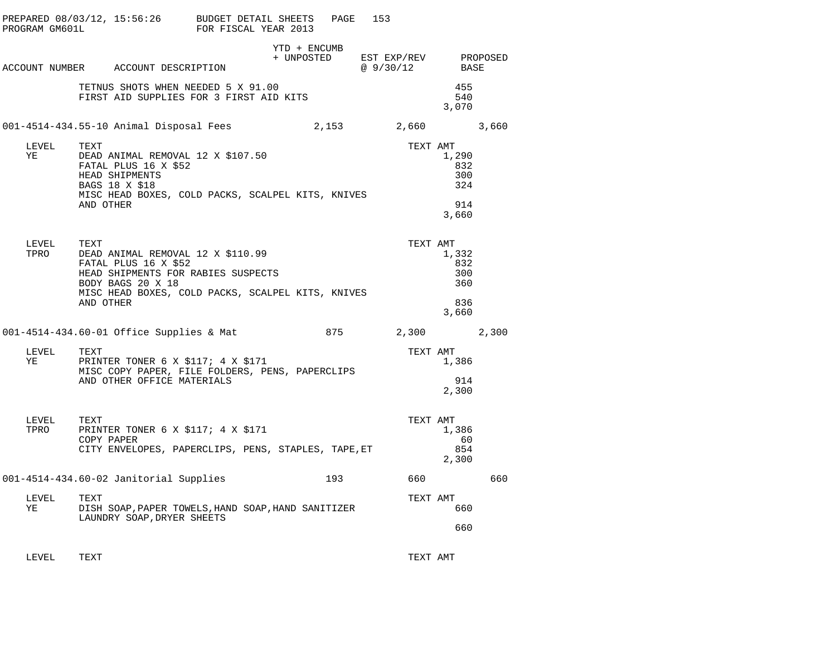| PROGRAM GM601L   | PREPARED 08/03/12, 15:56:26 BUDGET DETAIL SHEETS                                         | FOR FISCAL YEAR 2013                                                                                                                 | PAGE                       | 153                                    |                                            |
|------------------|------------------------------------------------------------------------------------------|--------------------------------------------------------------------------------------------------------------------------------------|----------------------------|----------------------------------------|--------------------------------------------|
|                  | ACCOUNT NUMBER ACCOUNT DESCRIPTION                                                       |                                                                                                                                      | YTD + ENCUMB<br>+ UNPOSTED | EST EXP/REV PROPOSED<br>@ 9/30/12 BASE |                                            |
|                  |                                                                                          | TETNUS SHOTS WHEN NEEDED 5 X 91.00<br>FIRST AID SUPPLIES FOR 3 FIRST AID KITS                                                        |                            |                                        | 455<br>540<br>3,070                        |
|                  | 001-4514-434.55-10 Animal Disposal Fees                                                  |                                                                                                                                      |                            | 2,153 2,660 3,660                      |                                            |
| LEVEL<br>YE      | TEXT<br>FATAL PLUS 16 X \$52<br>HEAD SHIPMENTS<br>BAGS 18 X \$18<br>AND OTHER            | DEAD ANIMAL REMOVAL 12 X \$107.50<br>MISC HEAD BOXES, COLD PACKS, SCALPEL KITS, KNIVES                                               |                            | TEXT AMT                               | 1,290<br>832<br>300<br>324<br>914<br>3,660 |
| LEVEL<br>TPRO    | TEXT<br>FATAL PLUS 16 X \$52<br>BODY BAGS 20 X 18<br>AND OTHER                           | IEAI<br>DEAD ANIMAL REMOVAL 12 X \$110.99<br>HEAD SHIPMENTS FOR RABIES SUSPECTS<br>MISC HEAD BOXES, COLD PACKS, SCALPEL KITS, KNIVES |                            | TEXT AMT                               | 1,332<br>832<br>300<br>360<br>836<br>3,660 |
|                  | 001-4514-434.60-01 Office Supplies & Mat 601-4514-434.60-01 Office Supplies & Mat 60-875 |                                                                                                                                      |                            |                                        |                                            |
| LEVEL<br>YE TARI | TEXT<br>AND OTHER OFFICE MATERIALS                                                       | PRINTER TONER 6 X \$117; 4 X \$171<br>MISC COPY PAPER, FILE FOLDERS, PENS, PAPERCLIPS                                                |                            | TEXT AMT                               | 1,386<br>914<br>2,300                      |
| LEVEL<br>TPRO    | TEXT<br>COPY PAPER                                                                       | PRINTER TONER 6 X \$117; 4 X \$171<br>CITY ENVELOPES, PAPERCLIPS, PENS, STAPLES, TAPE, ET                                            |                            | TEXT AMT                               | 1,386<br>60<br>854<br>2,300                |
|                  | 001-4514-434.60-02 Janitorial Supplies                                                   |                                                                                                                                      |                            | 193 660                                | 660                                        |
| LEVEL<br>YE      | TEXT<br>LAUNDRY SOAP, DRYER SHEETS                                                       | DISH SOAP, PAPER TOWELS, HAND SOAP, HAND SANITIZER                                                                                   |                            | TEXT AMT                               | 660                                        |
|                  |                                                                                          |                                                                                                                                      |                            |                                        | 660                                        |

LEVEL TEXT TEXT AMT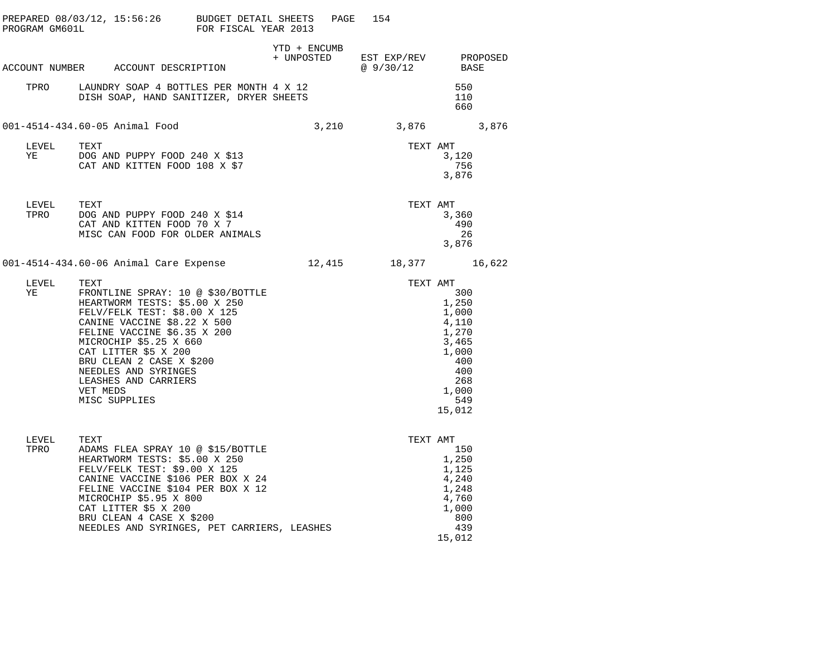| PROGRAM GM601L | PREPARED $08/03/12$ , 15:56:26 BUDGET DETAIL SHEETS                                                                                                                                                                                                                                                                                 | FOR FISCAL YEAR 2013 | PAGE         | 154                                                |                                                                                                                      |
|----------------|-------------------------------------------------------------------------------------------------------------------------------------------------------------------------------------------------------------------------------------------------------------------------------------------------------------------------------------|----------------------|--------------|----------------------------------------------------|----------------------------------------------------------------------------------------------------------------------|
|                | ACCOUNT NUMBER ACCOUNT DESCRIPTION                                                                                                                                                                                                                                                                                                  |                      | YTD + ENCUMB | + UNPOSTED EST EXP/REV PROPOSED<br>$@9/30/12$ BASE |                                                                                                                      |
| TPRO           | LAUNDRY SOAP 4 BOTTLES PER MONTH 4 X 12<br>DISH SOAP, HAND SANITIZER, DRYER SHEETS                                                                                                                                                                                                                                                  |                      |              |                                                    | 550<br>110<br>660                                                                                                    |
|                | 001-4514-434.60-05 Animal Food                                                                                                                                                                                                                                                                                                      |                      | 3,210        | 3,876                                              | 3,876                                                                                                                |
| YE             | LEVEL TEXT<br>DOG AND PUPPY FOOD 240 X \$13<br>CAT AND KITTEN FOOD 108 X \$7                                                                                                                                                                                                                                                        |                      |              |                                                    | TEXT AMT<br>3,120<br>756<br>3,876                                                                                    |
| LEVEL<br>TPRO  | TEXT<br>DOG AND PUPPY FOOD 240 X \$14<br>CAT AND KITTEN FOOD 70 X 7<br>MISC CAN FOOD FOR OLDER ANIMALS                                                                                                                                                                                                                              |                      |              | TEXT AMT                                           | 3,360<br>490<br>26<br>3,876                                                                                          |
|                | 001-4514-434.60-06 Animal Care Expense        12,415     18,377     16,622                                                                                                                                                                                                                                                          |                      |              |                                                    |                                                                                                                      |
| LEVEL<br>YE    | TEXT<br>FRONTLINE SPRAY: 10 @ \$30/BOTTLE<br>HEARTWORM TESTS: \$5.00 X 250<br>FELV/FELK TEST: \$8.00 X 125<br>CANINE VACCINE \$8.22 X 500<br>FELINE VACCINE \$6.35 X 200<br>MICROCHIP \$5.25 X 660<br>CAT LITTER \$5 X 200<br>BRU CLEAN 2 CASE X \$200<br>NEEDLES AND SYRINGES<br>LEASHES AND CARRIERS<br>VET MEDS<br>MISC SUPPLIES |                      |              |                                                    | TEXT AMT<br>300<br>1,250<br>1,000<br>4,110<br>1,270<br>3,465<br>1,000<br>400<br>400<br>268<br>1,000<br>549<br>15,012 |
| LEVEL<br>TPRO  | TEXT<br>ADAMS FLEA SPRAY 10 @ \$15/BOTTLE<br>HEARTWORM TESTS: \$5.00 X 250<br>FELV/FELK TEST: \$9.00 X 125<br>CANINE VACCINE \$106 PER BOX X 24<br>FELINE VACCINE \$104 PER BOX X 12<br>MICROCHIP \$5.95 X 800<br>CAT LITTER \$5 X 200<br>BRU CLEAN 4 CASE X \$200<br>NEEDLES AND SYRINGES, PET CARRIERS, LEASHES                   |                      |              | TEXT AMT                                           | 150<br>1,250<br>1,125<br>4,240<br>1,248<br>4,760<br>1,000<br>800<br>439<br>15,012                                    |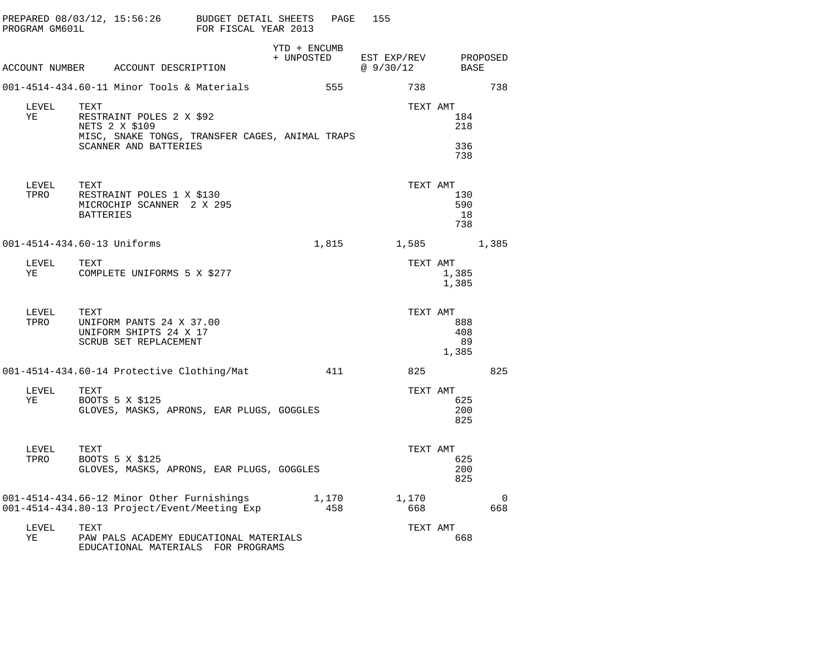| PROGRAM GM601L | PREPARED 08/03/12, 15:56:26 BUDGET DETAIL SHEETS                                                                               | FOR FISCAL YEAR 2013 | PAGE                       | 155                                  |                           |          |
|----------------|--------------------------------------------------------------------------------------------------------------------------------|----------------------|----------------------------|--------------------------------------|---------------------------|----------|
|                | ACCOUNT NUMBER ACCOUNT DESCRIPTION                                                                                             |                      | YTD + ENCUMB<br>+ UNPOSTED | EST EXP/REV<br>$\omega$ 9/30/12 BASE | PROPOSED                  |          |
|                | 001-4514-434.60-11 Minor Tools & Materials                                                                                     |                      | 555                        | 738                                  |                           | 738      |
| LEVEL<br>ΥE    | TEXT<br>RESTRAINT POLES 2 X \$92<br>NETS 2 X \$109<br>MISC, SNAKE TONGS, TRANSFER CAGES, ANIMAL TRAPS<br>SCANNER AND BATTERIES |                      |                            | TEXT AMT                             | 184<br>218<br>336<br>738  |          |
| LEVEL<br>TPRO  | TEXT<br>RESTRAINT POLES 1 X \$130<br>MICROCHIP SCANNER 2 X 295<br>BATTERIES                                                    |                      |                            | TEXT AMT                             | 130<br>590<br>18<br>738   |          |
|                | 001-4514-434.60-13 Uniforms                                                                                                    |                      | 1,815                      |                                      | 1,585 1,385               |          |
| LEVEL<br>ΥE    | TEXT<br>COMPLETE UNIFORMS 5 X \$277                                                                                            |                      |                            | TEXT AMT                             | 1,385<br>1,385            |          |
| LEVEL<br>TPRO  | TEXT<br>UNIFORM PANTS 24 X 37.00<br>UNIFORM SHIPTS 24 X 17<br>SCRUB SET REPLACEMENT                                            |                      |                            | TEXT AMT                             | 888<br>408<br>89<br>1,385 |          |
|                | 001-4514-434.60-14 Protective Clothing/Mat                                                                                     |                      | 411                        | 825                                  |                           | 825      |
| LEVEL<br>YE    | TEXT<br>BOOTS 5 X \$125<br>GLOVES, MASKS, APRONS, EAR PLUGS, GOGGLES                                                           |                      |                            | TEXT AMT                             | 625<br>200<br>825         |          |
| LEVEL<br>TPRO  | TEXT<br>BOOTS 5 X \$125<br>GLOVES, MASKS, APRONS, EAR PLUGS, GOGGLES                                                           |                      |                            | TEXT AMT                             | 625<br>200<br>825         |          |
|                | 001-4514-434.66-12 Minor Other Furnishings 1,170<br>001-4514-434.80-13 Project/Event/Meeting Exp                               |                      | 458                        | 1,170<br>668                         |                           | 0<br>668 |
| LEVEL<br>ΥE    | TEXT<br>PAW PALS ACADEMY EDUCATIONAL MATERIALS<br>EDUCATIONAL MATERIALS FOR PROGRAMS                                           |                      |                            | TEXT AMT                             | 668                       |          |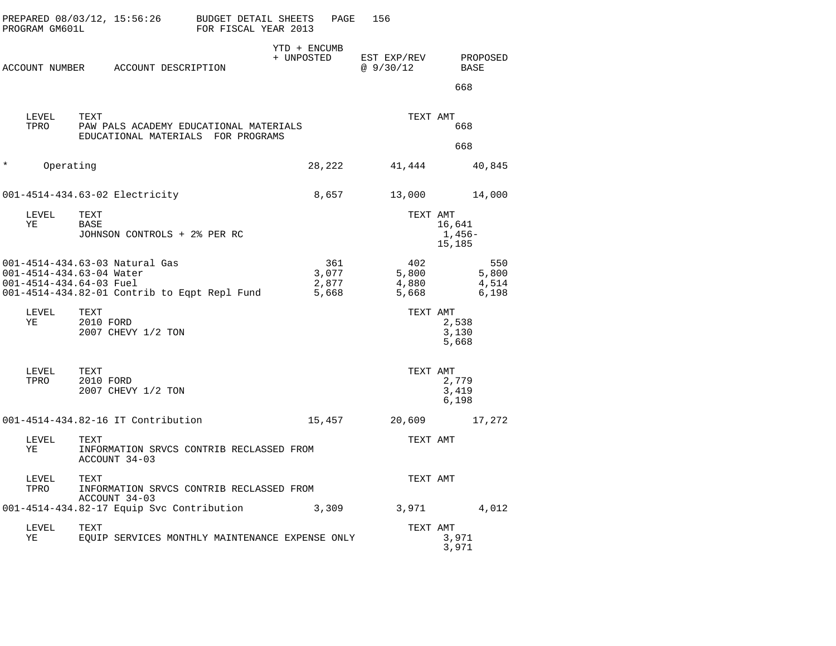| PROGRAM GM601L | PREPARED 08/03/12, 15:56:26                                                                                                           | BUDGET DETAIL SHEETS<br>FOR FISCAL YEAR 2013 | PAGE                           | 156                            |                                |
|----------------|---------------------------------------------------------------------------------------------------------------------------------------|----------------------------------------------|--------------------------------|--------------------------------|--------------------------------|
|                | ACCOUNT NUMBER ACCOUNT DESCRIPTION                                                                                                    |                                              | YTD + ENCUMB<br>+ UNPOSTED     | EST EXP/REV<br>@ 9/30/12       | PROPOSED<br>BASE               |
|                |                                                                                                                                       |                                              |                                |                                | 668                            |
| LEVEL<br>TPRO  | TEXT<br>PAW PALS ACADEMY EDUCATIONAL MATERIALS<br>EDUCATIONAL MATERIALS FOR PROGRAMS                                                  |                                              |                                | TEXT AMT                       | 668                            |
|                |                                                                                                                                       |                                              |                                |                                | 668                            |
| $\ast$         | Operating                                                                                                                             |                                              | 28,222                         | 41,444                         | 40,845                         |
|                | 001-4514-434.63-02 Electricity                                                                                                        |                                              | 8,657                          | 13,000                         | 14,000                         |
| LEVEL<br>ΥE    | TEXT<br>BASE<br>JOHNSON CONTROLS + 2% PER RC                                                                                          |                                              |                                | TEXT AMT                       | 16,641<br>1,456–<br>15,185     |
|                | 001-4514-434.63-03 Natural Gas<br>001-4514-434.63-04 Water<br>001-4514-434.64-03 Fuel<br>001-4514-434.82-01 Contrib to Eqpt Repl Fund |                                              | 361<br>3,077<br>2,877<br>5,668 | 402<br>5,800<br>4,880<br>5,668 | 550<br>5,800<br>4,514<br>6,198 |
| LEVEL<br>ΥE    | TEXT<br>2010 FORD<br>2007 CHEVY 1/2 TON                                                                                               |                                              |                                | TEXT AMT                       | 2,538<br>3,130<br>5,668        |
| LEVEL<br>TPRO  | TEXT<br>2010 FORD<br>2007 CHEVY 1/2 TON                                                                                               |                                              |                                | TEXT AMT                       | 2,779<br>3,419<br>6,198        |
|                | 001-4514-434.82-16 IT Contribution                                                                                                    |                                              | 15,457                         | 20,609                         | 17,272                         |
| LEVEL<br>ΥE    | TEXT<br>INFORMATION SRVCS CONTRIB RECLASSED FROM<br>ACCOUNT 34-03                                                                     |                                              |                                | TEXT AMT                       |                                |
| LEVEL<br>TPRO  | TEXT<br>INFORMATION SRVCS CONTRIB RECLASSED FROM                                                                                      |                                              |                                | TEXT AMT                       |                                |
|                | ACCOUNT 34-03<br>001-4514-434.82-17 Equip Svc Contribution                                                                            |                                              | 3,309                          | 3,971                          | 4,012                          |
| LEVEL<br>ΥE    | TEXT<br>EQUIP SERVICES MONTHLY MAINTENANCE EXPENSE ONLY                                                                               |                                              |                                | TEXT AMT                       | 3,971<br>3,971                 |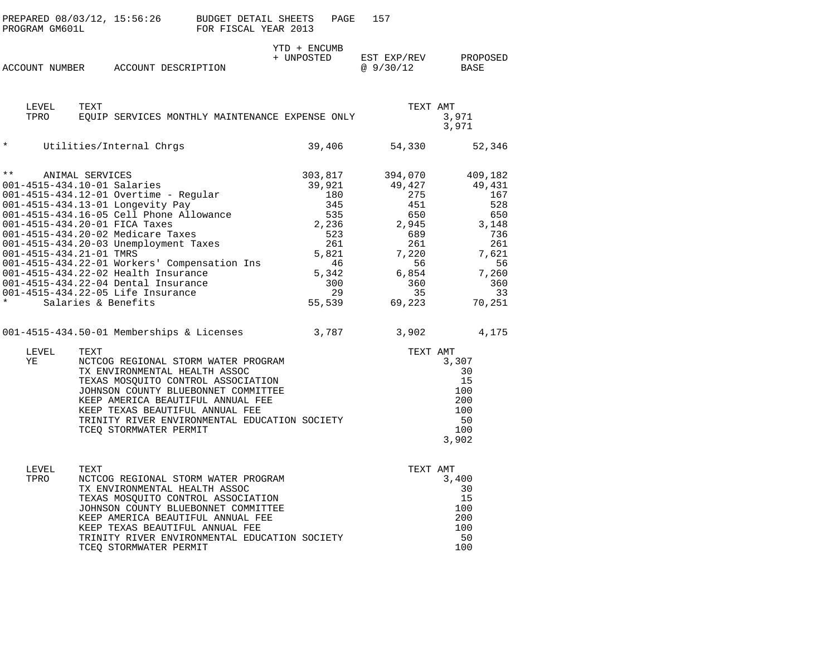| PROGRAM GM601L                                                                                                                      | PREPARED 08/03/12, 15:56:26 BUDGET DETAIL SHEETS                                                                                                                                                                                                                                                                                                                                                                                                                                             | FOR FISCAL YEAR 2013 | PAGE                                                                                                         | 157                                                                                                                               |                                                                                                                       |
|-------------------------------------------------------------------------------------------------------------------------------------|----------------------------------------------------------------------------------------------------------------------------------------------------------------------------------------------------------------------------------------------------------------------------------------------------------------------------------------------------------------------------------------------------------------------------------------------------------------------------------------------|----------------------|--------------------------------------------------------------------------------------------------------------|-----------------------------------------------------------------------------------------------------------------------------------|-----------------------------------------------------------------------------------------------------------------------|
|                                                                                                                                     | ACCOUNT NUMBER ACCOUNT DESCRIPTION                                                                                                                                                                                                                                                                                                                                                                                                                                                           |                      | YTD + ENCUMB<br>+ UNPOSTED                                                                                   | EST EXP/REV<br>@ 9/30/12                                                                                                          | PROPOSED<br>BASE                                                                                                      |
| LEVEL<br>TPRO                                                                                                                       | TEXT<br>EOUIP SERVICES MONTHLY MAINTENANCE EXPENSE ONLY                                                                                                                                                                                                                                                                                                                                                                                                                                      |                      |                                                                                                              | TEXT AMT                                                                                                                          | 3,971<br>3,971                                                                                                        |
| $\star$                                                                                                                             | Utilities/Internal Chrgs                                                                                                                                                                                                                                                                                                                                                                                                                                                                     |                      | 39,406                                                                                                       | 54,330                                                                                                                            | 52,346                                                                                                                |
| $\star\star$<br>ANIMAL SERVICES<br>001-4515-434.10-01 Salaries<br>001-4515-434.20-01 FICA Taxes<br>001-4515-434.21-01 TMRS<br>LEVEL | 001-4515-434.12-01 Overtime - Regular<br>001-4515-434.13-01 Longevity Pay<br>001-4515-434.16-05 Cell Phone Allowance<br>001-4515-434.20-02 Medicare Taxes<br>001-4515-434.20-03 Unemployment Taxes<br>001-4515-434.22-01 Workers' Compensation Ins<br>001-4515-434.22-02 Health Insurance<br>001-4515-434.22-04 Dental Insurance<br>001-4515-434.22-05 Life Insurance<br>001-4515-434.22-05 Life Insurance<br>Salaries & Benefits<br>001-4515-434.50-01 Memberships & Licenses 3,787<br>TEXT |                      | 303,817<br>39,921<br>180<br>345<br>535<br>2,236<br>523<br>261<br>5,821<br>46<br>5,342<br>300<br>29<br>55,539 | 394,070<br>49,427<br>275<br>451<br>650<br>2,945<br>689<br>261<br>7,220<br>56<br>6,854<br>360<br>35<br>69,223<br>3,902<br>TEXT AMT | 409,182<br>49,431<br>167<br>528<br>650<br>3,148<br>736<br>261<br>7,621<br>56<br>7,260<br>360<br>33<br>70,251<br>4,175 |
| ΥE                                                                                                                                  | NCTCOG REGIONAL STORM WATER PROGRAM<br>TX ENVIRONMENTAL HEALTH ASSOC<br>TEXAS MOSQUITO CONTROL ASSOCIATION<br>JOHNSON COUNTY BLUEBONNET COMMITTEE<br>KEEP AMERICA BEAUTIFUL ANNUAL FEE<br>KEEP TEXAS BEAUTIFUL ANNUAL FEE<br>TRINITY RIVER ENVIRONMENTAL EDUCATION SOCIETY<br>TCEQ STORMWATER PERMIT                                                                                                                                                                                         |                      |                                                                                                              |                                                                                                                                   | 3,307<br>30<br>15<br>100<br>200<br>100<br>50<br>100<br>3,902                                                          |
| LEVEL<br>TPRO                                                                                                                       | TEXT<br>NCTCOG REGIONAL STORM WATER PROGRAM<br>TX ENVIRONMENTAL HEALTH ASSOC<br>TEXAS MOSQUITO CONTROL ASSOCIATION<br>JOHNSON COUNTY BLUEBONNET COMMITTEE<br>KEEP AMERICA BEAUTIFUL ANNUAL FEE<br>KEEP TEXAS BEAUTIFUL ANNUAL FEE<br>TRINITY RIVER ENVIRONMENTAL EDUCATION SOCIETY<br>TCEO STORMWATER PERMIT                                                                                                                                                                                 |                      |                                                                                                              | TEXT AMT                                                                                                                          | 3,400<br>30<br>15<br>100<br>200<br>100<br>50<br>100                                                                   |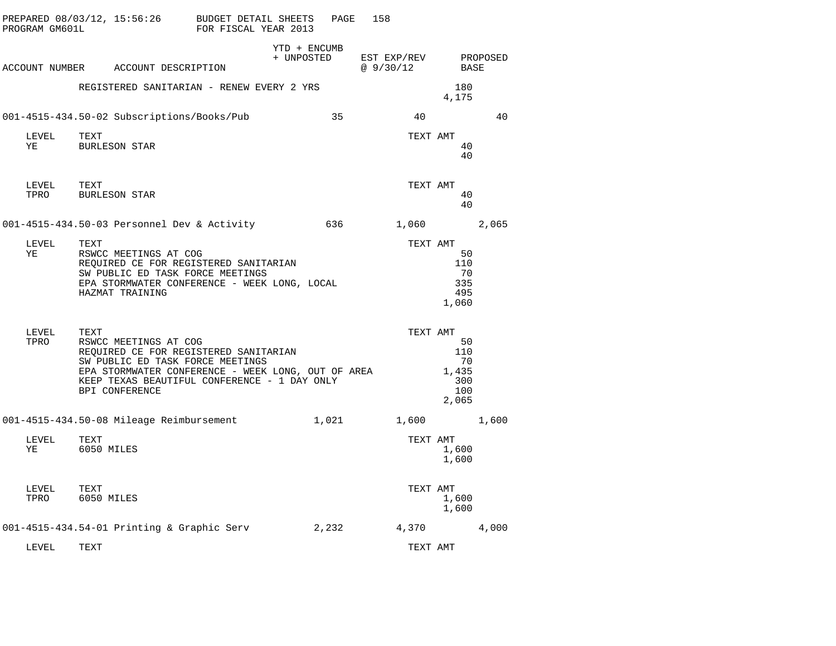| PROGRAM GM601L | PREPARED 08/03/12, 15:56:26                                                                                                                                                                                                        | BUDGET DETAIL SHEETS<br>FOR FISCAL YEAR 2013 |                            | PAGE  | 158                      |                                                 |          |
|----------------|------------------------------------------------------------------------------------------------------------------------------------------------------------------------------------------------------------------------------------|----------------------------------------------|----------------------------|-------|--------------------------|-------------------------------------------------|----------|
|                | ACCOUNT NUMBER ACCOUNT DESCRIPTION                                                                                                                                                                                                 |                                              | YTD + ENCUMB<br>+ UNPOSTED |       | EST EXP/REV<br>@ 9/30/12 | BASE                                            | PROPOSED |
|                | REGISTERED SANITARIAN - RENEW EVERY 2 YRS                                                                                                                                                                                          |                                              |                            |       |                          | 180<br>4,175                                    |          |
|                | 001-4515-434.50-02 Subscriptions/Books/Pub                                                                                                                                                                                         |                                              |                            | 35    | 40                       |                                                 | 40       |
| LEVEL<br>ΥE    | TEXT<br><b>BURLESON STAR</b>                                                                                                                                                                                                       |                                              |                            |       | TEXT AMT                 | 40<br>40                                        |          |
| LEVEL<br>TPRO  | TEXT<br>BURLESON STAR                                                                                                                                                                                                              |                                              |                            |       | TEXT AMT                 | 40<br>40                                        |          |
|                | 001-4515-434.50-03 Personnel Dev & Activity                                                                                                                                                                                        |                                              |                            | 636   | 1,060                    |                                                 | 2,065    |
| LEVEL<br>ΥE    | TEXT<br>RSWCC MEETINGS AT COG<br>REQUIRED CE FOR REGISTERED SANITARIAN<br>SW PUBLIC ED TASK FORCE MEETINGS<br>EPA STORMWATER CONFERENCE - WEEK LONG, LOCAL<br>HAZMAT TRAINING                                                      |                                              |                            |       | TEXT AMT                 | 50<br>110<br>70<br>335<br>495<br>1,060          |          |
| LEVEL<br>TPRO  | TEXT<br>RSWCC MEETINGS AT COG<br>REQUIRED CE FOR REGISTERED SANITARIAN<br>SW PUBLIC ED TASK FORCE MEETINGS<br>EPA STORMWATER CONFERENCE - WEEK LONG, OUT OF AREA<br>KEEP TEXAS BEAUTIFUL CONFERENCE - 1 DAY ONLY<br>BPI CONFERENCE |                                              |                            |       | TEXT AMT                 | 50<br>110<br>70<br>1,435<br>300<br>100<br>2,065 |          |
|                | 001-4515-434.50-08 Mileage Reimbursement                                                                                                                                                                                           |                                              |                            | 1,021 | 1,600                    |                                                 | 1,600    |
| LEVEL<br>ΥE    | TEXT<br>6050 MILES                                                                                                                                                                                                                 |                                              |                            |       | TEXT AMT                 | 1,600<br>1,600                                  |          |
| LEVEL<br>TPRO  | TEXT<br>6050 MILES                                                                                                                                                                                                                 |                                              |                            |       | TEXT AMT                 | 1,600<br>1,600                                  |          |
|                | 001-4515-434.54-01 Printing & Graphic Serv                                                                                                                                                                                         |                                              |                            | 2,232 | 4,370                    |                                                 | 4,000    |
| LEVEL          | TEXT                                                                                                                                                                                                                               |                                              |                            |       | TEXT AMT                 |                                                 |          |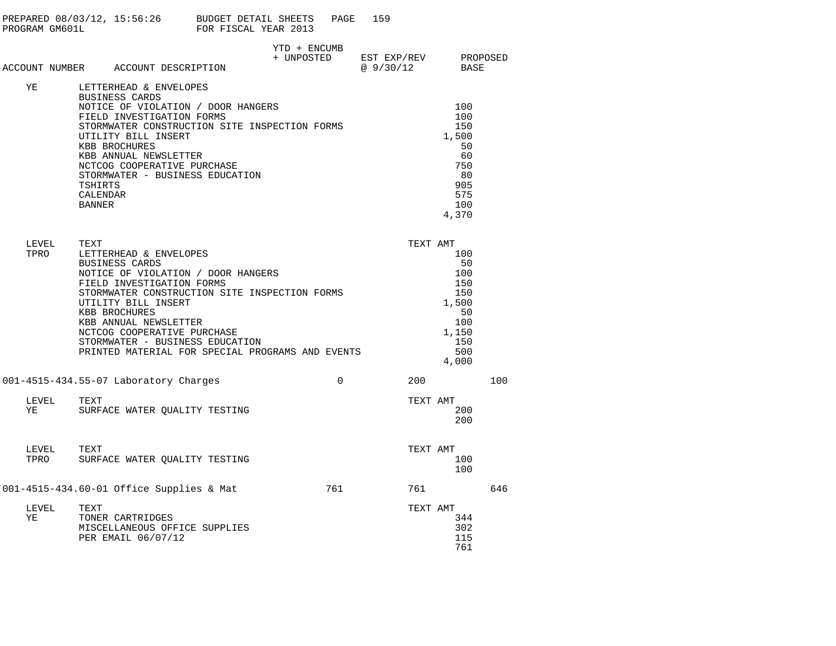|                    |                                      | PREPARED 08/03/12, 15:56:26 BUDGET DETAIL SHEETS<br>PROGRAM GM601L FOR FISCAL YEAR 2013                                                                                                                                                                                                                                                                                                                                     |              | PAGE        | 159                                                                                                                                     |                                                                                                  |     |
|--------------------|--------------------------------------|-----------------------------------------------------------------------------------------------------------------------------------------------------------------------------------------------------------------------------------------------------------------------------------------------------------------------------------------------------------------------------------------------------------------------------|--------------|-------------|-----------------------------------------------------------------------------------------------------------------------------------------|--------------------------------------------------------------------------------------------------|-----|
|                    |                                      | ACCOUNT NUMBER ACCOUNT DESCRIPTION                                                                                                                                                                                                                                                                                                                                                                                          | YTD + ENCUMB |             | $\begin{tabular}{llll} + & UNPOSTED & \texttt{EST} & \texttt{EXP/REV} & \texttt{PROPOSED} \\ & @ 9/30/12 & \texttt{BASE} \end{tabular}$ |                                                                                                  |     |
| ΥE                 | TSHIRTS<br>CALENDAR<br><b>BANNER</b> | LETTERHEAD & ENVELOPES<br>BUSINESS CARDS<br>BOSINESS CARDS<br>NOTICE OF VIOLATION / DOOR HANGERS<br>FIELD INVESTIGATION FORMS<br>STORMWATER CONSTRUCTION SITE INSPECTION FORMS<br>UTILITY BILL INSERT<br>KBB BROCHURES<br>KBB ANNUAL NEWSLETTER<br>NCTCOG COOPERATIVE PURCHASE<br>STORMWATER - BUSINESS EDUCATION                                                                                                           |              |             |                                                                                                                                         | 100<br>100<br>150<br>1,500<br>50<br>60<br>750<br>80<br>905<br>575<br>100<br>4,370                |     |
| LEVEL<br>TPRO      | TEXT                                 | LETTERHEAD & ENVELOPES<br>BUSINESS CARDS<br>BOSINESS CARDS<br>NOTICE OF VIOLATION / DOOR HANGERS<br>FIELD INVESTIGATION FORMS<br>FIELD INVESTIGATION FORMS<br>STORMWATER CONSTRUCTION SITE INSPECTION FORMS<br>UTILITY BILL INSERT<br>KBB BROCHURES<br>KBB ANNUAL NEWSLETTER<br>KBB ANNUAL NEWSLETTER<br>NCTCOG COOPERATIVE PURCHASE<br>STORMWATER - BUSINESS EDUCATION<br>PRINTED MATERIAL FOR SPECIAL PROGRAMS AND EVENTS |              |             |                                                                                                                                         | TEXT AMT<br>100<br>50<br>100<br>150<br>150<br>1,500<br>50<br>100<br>1,150<br>150<br>500<br>4,000 |     |
|                    |                                      | 001-4515-434.55-07 Laboratory Charges                                                                                                                                                                                                                                                                                                                                                                                       |              | $\mathbf 0$ | 200                                                                                                                                     |                                                                                                  | 100 |
| LEVEL<br><b>YE</b> | TEXT                                 | SURFACE WATER QUALITY TESTING                                                                                                                                                                                                                                                                                                                                                                                               |              |             |                                                                                                                                         | TEXT AMT<br>200<br>200                                                                           |     |
| LEVEL TEXT<br>TPRO |                                      | SURFACE WATER QUALITY TESTING                                                                                                                                                                                                                                                                                                                                                                                               |              |             |                                                                                                                                         | TEXT AMT<br>100<br>100                                                                           |     |
|                    |                                      | 001-4515-434.60-01 Office Supplies & Mat 761 761 761                                                                                                                                                                                                                                                                                                                                                                        |              |             |                                                                                                                                         |                                                                                                  | 646 |
| LEVEL<br>YE        | TEXT                                 | TONER CARTRIDGES<br>MISCELLANEOUS OFFICE SUPPLIES<br>PER EMAIL 06/07/12                                                                                                                                                                                                                                                                                                                                                     |              |             |                                                                                                                                         | TEXT AMT<br>344<br>302<br>115<br>761                                                             |     |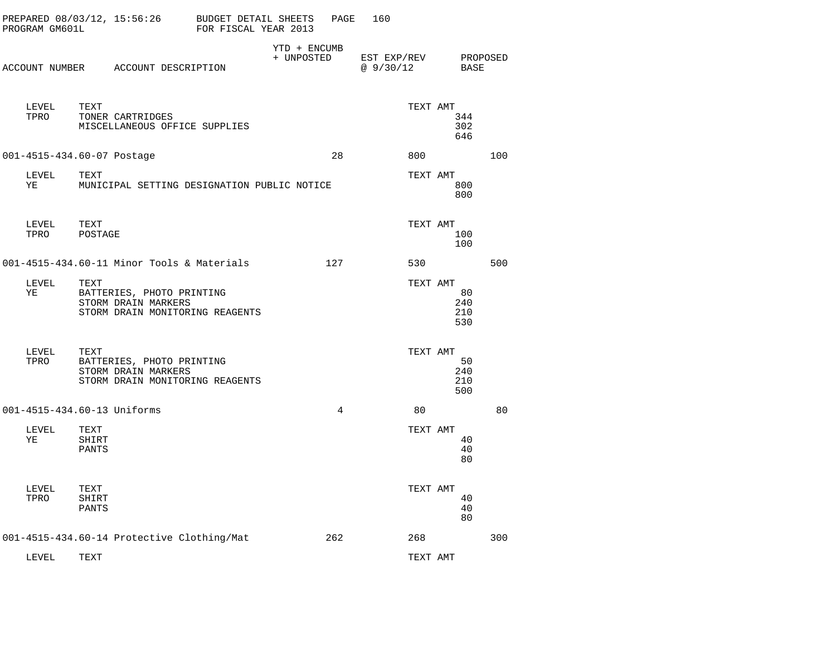|      | PROGRAM GM601L |                        | PREPARED 08/03/12, 15:56:26                      | <b>BUDGET DETAIL SHEETS</b><br>FOR FISCAL YEAR 2013 |                            | PAGE           | 160                     |          |                         |                  |
|------|----------------|------------------------|--------------------------------------------------|-----------------------------------------------------|----------------------------|----------------|-------------------------|----------|-------------------------|------------------|
|      |                |                        | ACCOUNT NUMBER ACCOUNT DESCRIPTION               |                                                     | YTD + ENCUMB<br>+ UNPOSTED |                | EST EXP/REV<br>@9/30/12 |          |                         | PROPOSED<br>BASE |
|      | LEVEL<br>TPRO  | TEXT                   | TONER CARTRIDGES                                 | MISCELLANEOUS OFFICE SUPPLIES                       |                            |                |                         | TEXT AMT | 344<br>302<br>646       |                  |
|      |                |                        | 001-4515-434.60-07 Postage                       |                                                     |                            | 28             |                         | 800      |                         | 100              |
| ΥE   | LEVEL          | TEXT                   |                                                  | MUNICIPAL SETTING DESIGNATION PUBLIC NOTICE         |                            |                |                         | TEXT AMT | 800<br>800              |                  |
| TPRO | LEVEL          | TEXT<br>POSTAGE        |                                                  |                                                     |                            |                |                         | TEXT AMT | 100<br>100              |                  |
|      |                |                        |                                                  | 001-4515-434.60-11 Minor Tools & Materials          |                            | 127            |                         | 530      |                         | 500              |
| ΥE   | LEVEL          | TEXT                   | BATTERIES, PHOTO PRINTING<br>STORM DRAIN MARKERS | STORM DRAIN MONITORING REAGENTS                     |                            |                |                         | TEXT AMT | 80<br>240<br>210<br>530 |                  |
|      | LEVEL<br>TPRO  | TEXT                   | BATTERIES, PHOTO PRINTING<br>STORM DRAIN MARKERS | STORM DRAIN MONITORING REAGENTS                     |                            |                |                         | TEXT AMT | 50<br>240<br>210<br>500 |                  |
|      |                |                        | 001-4515-434.60-13 Uniforms                      |                                                     |                            | $\overline{4}$ |                         | 80       |                         | 80               |
| ΥE   | LEVEL          | TEXT<br>SHIRT<br>PANTS |                                                  |                                                     |                            |                |                         | TEXT AMT | 40<br>40<br>80          |                  |
| TPRO | LEVEL          | TEXT<br>SHIRT<br>PANTS |                                                  |                                                     |                            |                |                         | TEXT AMT | 40<br>40<br>80          |                  |
|      |                |                        |                                                  | 001-4515-434.60-14 Protective Clothing/Mat          |                            | 262            |                         | 268      |                         | 300              |
|      | LEVEL          | TEXT                   |                                                  |                                                     |                            |                |                         | TEXT AMT |                         |                  |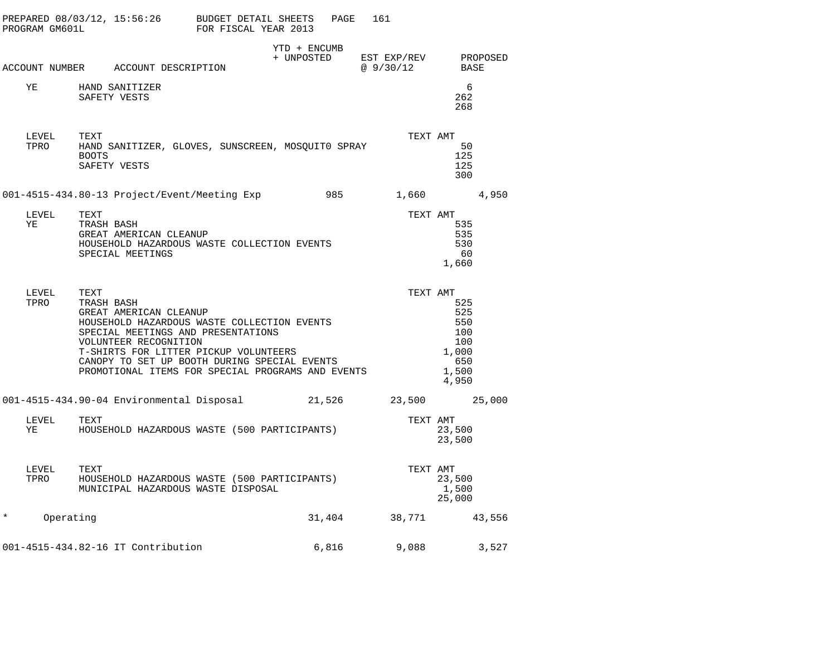| PROGRAM GM601L        | PREPARED 08/03/12, 15:56:26 BUDGET DETAIL SHEETS                                                                                                                                                                                                                                                         | FOR FISCAL YEAR 2013 |                            | PAGE   | 161                      |                                                                   |
|-----------------------|----------------------------------------------------------------------------------------------------------------------------------------------------------------------------------------------------------------------------------------------------------------------------------------------------------|----------------------|----------------------------|--------|--------------------------|-------------------------------------------------------------------|
|                       | ACCOUNT NUMBER ACCOUNT DESCRIPTION                                                                                                                                                                                                                                                                       |                      | YTD + ENCUMB<br>+ UNPOSTED |        | EST EXP/REV<br>@ 9/30/12 | PROPOSED<br>BASE                                                  |
| YE                    | HAND SANITIZER<br>SAFETY VESTS                                                                                                                                                                                                                                                                           |                      |                            |        |                          | 6<br>262<br>268                                                   |
| LEVEL<br>TPRO         | TEXT<br>HAND SANITIZER, GLOVES, SUNSCREEN, MOSQUITO SPRAY<br>BOOTS<br>SAFETY VESTS                                                                                                                                                                                                                       |                      |                            |        | TEXT AMT                 | 50<br>125<br>125<br>300                                           |
|                       | 001-4515-434.80-13 Project/Event/Meeting Exp 985 1,660                                                                                                                                                                                                                                                   |                      |                            |        |                          | 4,950                                                             |
| LEVEL<br>ΥE           | TEXT<br>TRASH BASH<br>GREAT AMERICAN CLEANUP<br>HOUSEHOLD HAZARDOUS WASTE COLLECTION EVENTS<br>SPECIAL MEETINGS                                                                                                                                                                                          |                      |                            |        | TEXT AMT                 | 535<br>535<br>530<br>60<br>1,660                                  |
| LEVEL<br>TPRO         | TEXT<br>TRASH BASH<br>GREAT AMERICAN CLEANUP<br>HOUSEHOLD HAZARDOUS WASTE COLLECTION EVENTS<br>SPECIAL MEETINGS AND PRESENTATIONS<br>VOLUNTEER RECOGNITION<br>T-SHIRTS FOR LITTER PICKUP VOLUNTEERS<br>CANOPY TO SET UP BOOTH DURING SPECIAL EVENTS<br>PROMOTIONAL ITEMS FOR SPECIAL PROGRAMS AND EVENTS |                      |                            |        | TEXT AMT                 | 525<br>525<br>550<br>100<br>100<br>1,000<br>650<br>1,500<br>4,950 |
|                       | 001-4515-434.90-04 Environmental Disposal 21,526                                                                                                                                                                                                                                                         |                      |                            |        |                          | 23,500 25,000                                                     |
| LEVEL<br>YE           | TEXT<br>HOUSEHOLD HAZARDOUS WASTE (500 PARTICIPANTS)                                                                                                                                                                                                                                                     |                      |                            |        | TEXT AMT                 | 23,500<br>23,500                                                  |
| LEVEL<br>TPRO<br>TPRO | TEXT<br>HOUSEHOLD HAZARDOUS WASTE (500 PARTICIPANTS)<br>MUNICIPAL HAZARDOUS WASTE DISPOSAL                                                                                                                                                                                                               |                      |                            |        | TEXT AMT                 | 23,500<br>1,500<br>25,000                                         |
| Operating<br>$\star$  |                                                                                                                                                                                                                                                                                                          |                      |                            | 31,404 | 38,771                   | 43,556                                                            |
|                       | 001-4515-434.82-16 IT Contribution                                                                                                                                                                                                                                                                       |                      |                            | 6,816  | 9,088                    | 3,527                                                             |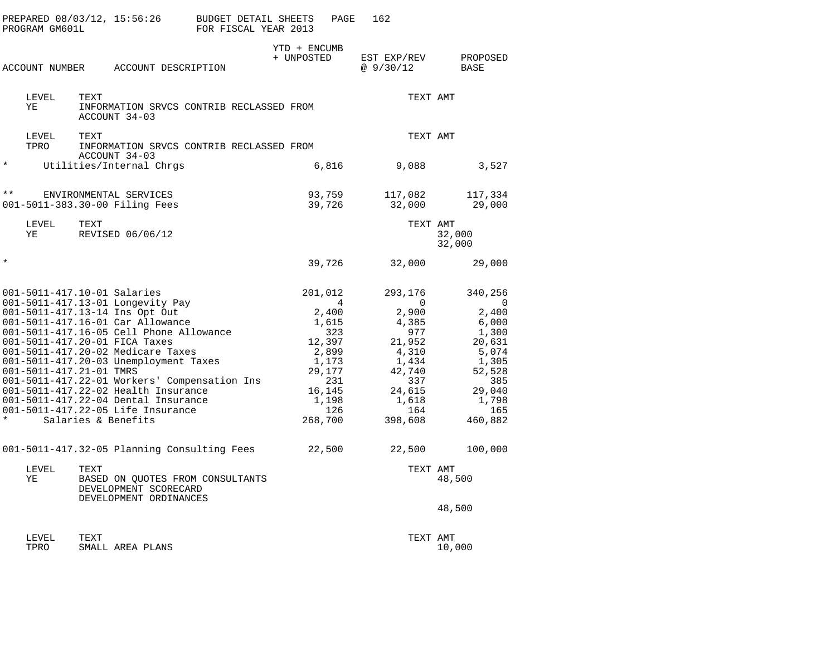|               | PROGRAM GM601L | PREPARED 08/03/12, 15:56:26                                                                                                                                                                                                                                                                                                                                                                                                                                                                                          | BUDGET DETAIL SHEETS<br>FOR FISCAL YEAR 2013 | PAGE                                                                                                                    | 162                                                                                                                     |                                                                                                                           |
|---------------|----------------|----------------------------------------------------------------------------------------------------------------------------------------------------------------------------------------------------------------------------------------------------------------------------------------------------------------------------------------------------------------------------------------------------------------------------------------------------------------------------------------------------------------------|----------------------------------------------|-------------------------------------------------------------------------------------------------------------------------|-------------------------------------------------------------------------------------------------------------------------|---------------------------------------------------------------------------------------------------------------------------|
|               | ACCOUNT NUMBER | ACCOUNT DESCRIPTION                                                                                                                                                                                                                                                                                                                                                                                                                                                                                                  |                                              | YTD + ENCUMB<br>+ UNPOSTED                                                                                              | EST EXP/REV<br>@9/30/12                                                                                                 | PROPOSED<br>BASE                                                                                                          |
|               | LEVEL<br>ΥE    | TEXT<br>INFORMATION SRVCS CONTRIB RECLASSED FROM<br>ACCOUNT 34-03                                                                                                                                                                                                                                                                                                                                                                                                                                                    |                                              |                                                                                                                         | TEXT AMT                                                                                                                |                                                                                                                           |
|               | LEVEL<br>TPRO  | TEXT<br>INFORMATION SRVCS CONTRIB RECLASSED FROM<br>ACCOUNT 34-03                                                                                                                                                                                                                                                                                                                                                                                                                                                    |                                              |                                                                                                                         | TEXT AMT                                                                                                                |                                                                                                                           |
| $^\star$      |                | Utilities/Internal Chrgs                                                                                                                                                                                                                                                                                                                                                                                                                                                                                             |                                              | 6,816                                                                                                                   | 9,088                                                                                                                   | 3,527                                                                                                                     |
| $\star \star$ |                | ENVIRONMENTAL SERVICES<br>001-5011-383.30-00 Filing Fees                                                                                                                                                                                                                                                                                                                                                                                                                                                             |                                              | 93,759<br>39,726                                                                                                        | 117,082<br>32,000                                                                                                       | 117,334<br>29,000                                                                                                         |
|               | LEVEL<br>ΥE    | TEXT<br>REVISED 06/06/12                                                                                                                                                                                                                                                                                                                                                                                                                                                                                             |                                              |                                                                                                                         | TEXT AMT                                                                                                                | 32,000<br>32,000                                                                                                          |
| $^\star$      |                |                                                                                                                                                                                                                                                                                                                                                                                                                                                                                                                      |                                              | 39,726                                                                                                                  | 32,000                                                                                                                  | 29,000                                                                                                                    |
| $\star$       |                | 001-5011-417.10-01 Salaries<br>001-5011-417.13-01 Longevity Pay<br>001-5011-417.13-14 Ins Opt Out<br>001-5011-417.16-01 Car Allowance<br>001-5011-417.16-05 Cell Phone Allowance<br>001-5011-417.20-01 FICA Taxes<br>001-5011-417.20-02 Medicare Taxes<br>001-5011-417.20-03 Unemployment Taxes<br>001-5011-417.21-01 TMRS<br>001-5011-417.22-01 Workers' Compensation Ins<br>001-5011-417.22-02 Health Insurance<br>001-5011-417.22-04 Dental Insurance<br>001-5011-417.22-05 Life Insurance<br>Salaries & Benefits |                                              | 201,012<br>4<br>2,400<br>1,615<br>323<br>12,397<br>2,899<br>1,173<br>29,177<br>231<br>16,145<br>1,198<br>126<br>268,700 | 293,176<br>0<br>2,900<br>4,385<br>977<br>21,952<br>4,310<br>1,434<br>42,740<br>337<br>24,615<br>1,618<br>164<br>398,608 | 340,256<br>0<br>2,400<br>6,000<br>1,300<br>20,631<br>5,074<br>1,305<br>52,528<br>385<br>29,040<br>1,798<br>165<br>460,882 |
|               |                | 001-5011-417.32-05 Planning Consulting Fees                                                                                                                                                                                                                                                                                                                                                                                                                                                                          |                                              | 22,500                                                                                                                  | 22,500                                                                                                                  | 100,000                                                                                                                   |
|               | LEVEL<br>ΥE    | TEXT<br>BASED ON QUOTES FROM CONSULTANTS<br>DEVELOPMENT SCORECARD<br>DEVELOPMENT ORDINANCES                                                                                                                                                                                                                                                                                                                                                                                                                          |                                              |                                                                                                                         | TEXT AMT                                                                                                                | 48,500                                                                                                                    |
|               |                |                                                                                                                                                                                                                                                                                                                                                                                                                                                                                                                      |                                              |                                                                                                                         |                                                                                                                         | 48,500                                                                                                                    |
|               | LEVEL<br>TPRO  | TEXT<br>SMALL AREA PLANS                                                                                                                                                                                                                                                                                                                                                                                                                                                                                             |                                              |                                                                                                                         | TEXT AMT                                                                                                                | 10,000                                                                                                                    |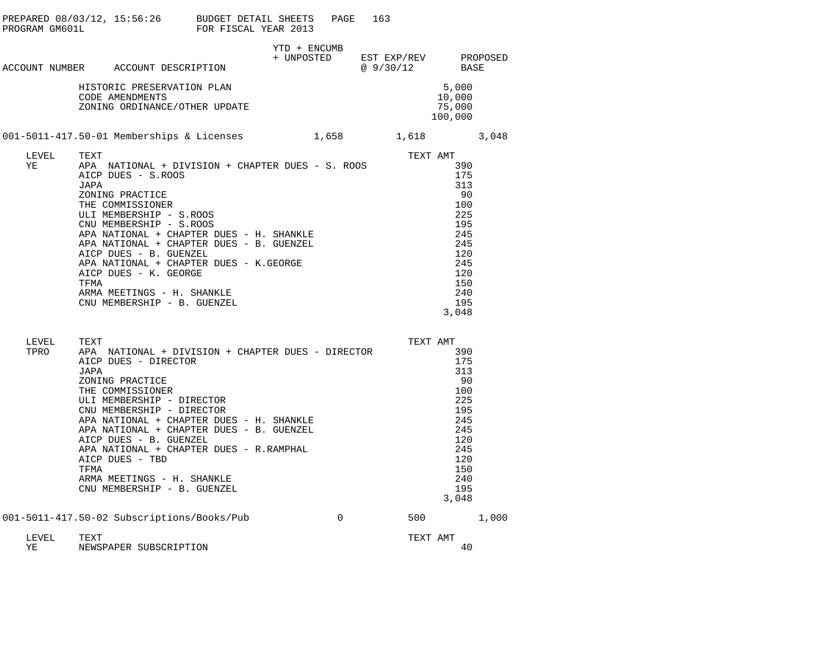|               |                      | PREPARED 08/03/12, 15:56:26 BUDGET DETAIL SHEETS<br>PROGRAM GM601L FOR FISCAL YEAR 2013                                                                                                                                                                                                                                                                                                                                 |              | PAGE        | 163 |                                              |                                                                                                               |       |
|---------------|----------------------|-------------------------------------------------------------------------------------------------------------------------------------------------------------------------------------------------------------------------------------------------------------------------------------------------------------------------------------------------------------------------------------------------------------------------|--------------|-------------|-----|----------------------------------------------|---------------------------------------------------------------------------------------------------------------|-------|
|               |                      | ACCOUNT NUMBER ACCOUNT DESCRIPTION                                                                                                                                                                                                                                                                                                                                                                                      | YTD + ENCUMB |             |     | + UNPOSTED EST EXP/REV PROPOSED<br>@ 9/30/12 | BASE                                                                                                          |       |
|               |                      | HISTORIC PRESERVATION PLAN<br>CODE AMENDMENTS<br>ZONING ORDINANCE/OTHER UPDATE                                                                                                                                                                                                                                                                                                                                          |              |             |     |                                              | 5,000<br>10,000<br>75,000<br>100,000                                                                          |       |
|               |                      | 001-5011-417.50-01 Memberships & Licenses 1,658 1,618 3,048                                                                                                                                                                                                                                                                                                                                                             |              |             |     |                                              |                                                                                                               |       |
| LEVEL<br>ΥE   | TEXT<br>JAPA<br>TFMA | APA NATIONAL + DIVISION + CHAPTER DUES - S. ROOS<br>AICP DUES - S.ROOS<br>ZONING PRACTICE<br>THE COMMISSIONER<br>ULI MEMBERSHIP - S.ROOS<br>CNU MEMBERSHIP - S.ROOS<br>APA NATIONAL + CHAPTER DUES - H. SHANKLE<br>APA NATIONAL + CHAPTER DUES - B. GUENZEL<br>AICP DUES - B. GUENZEL<br>APA NATIONAL + CHAPTER DUES - K.GEORGE<br>AICP DUES - K. GEORGE<br>ARMA MEETINGS - H. SHANKLE<br>CNU MEMBERSHIP - B. GUENZEL   |              |             |     | TEXT AMT                                     | 390<br>175<br>313<br>90<br>100<br>225<br>195<br>245<br>245<br>120<br>245<br>120<br>150<br>240<br>195<br>3,048 |       |
| LEVEL<br>TPRO | TEXT<br>JAPA<br>TFMA | APA NATIONAL + DIVISION + CHAPTER DUES - DIRECTOR<br>AICP DUES - DIRECTOR<br>ZONING PRACTICE<br>THE COMMISSIONER<br>ULI MEMBERSHIP - DIRECTOR<br>CNU MEMBERSHIP - DIRECTOR<br>APA NATIONAL + CHAPTER DUES - H. SHANKLE<br>APA NATIONAL + CHAPTER DUES - B. GUENZEL<br>AICP DUES - B. GUENZEL<br>APA NATIONAL + CHAPTER DUES - R.RAMPHAL<br>AICP DUES - TBD<br>ARMA MEETINGS - H. SHANKLE<br>CNU MEMBERSHIP - B. GUENZEL |              |             |     | TEXT AMT                                     | 390<br>175<br>313<br>90<br>100<br>225<br>195<br>245<br>245<br>120<br>245<br>120<br>150<br>240<br>195<br>3,048 |       |
|               |                      | 001-5011-417.50-02 Subscriptions/Books/Pub                                                                                                                                                                                                                                                                                                                                                                              |              | $\mathbf 0$ |     | 500                                          |                                                                                                               | 1,000 |
| LEVEL<br>ΥE   | TEXT                 | NEWSPAPER SUBSCRIPTION                                                                                                                                                                                                                                                                                                                                                                                                  |              |             |     | TEXT AMT                                     | 40                                                                                                            |       |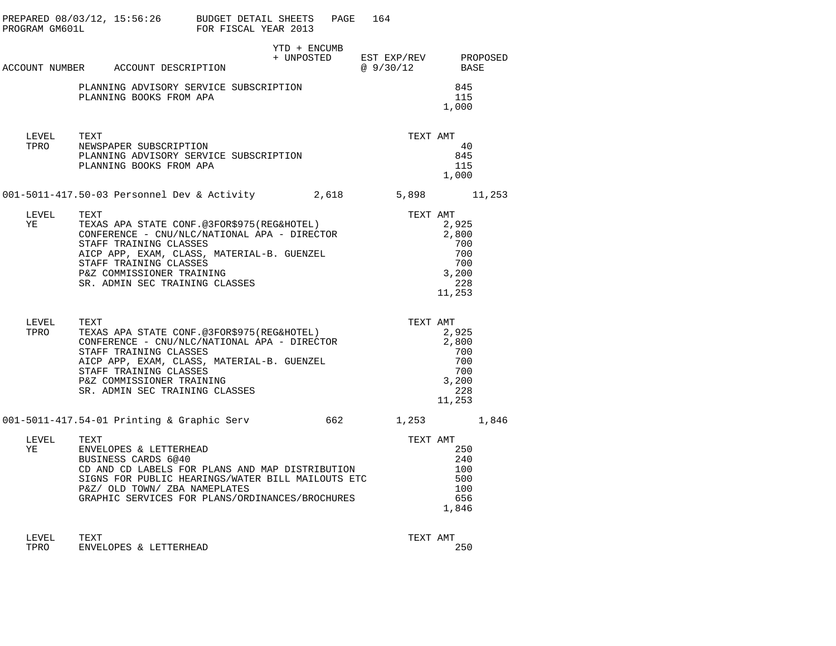| PROGRAM GM601L | PREPARED $08/03/12$ , $15:56:26$ BUDGET DETAIL SHEETS                                                                                                                                                                                                                       | FOR FISCAL YEAR 2013 |                                                 | PAGE 164 |              |                                                                           |  |
|----------------|-----------------------------------------------------------------------------------------------------------------------------------------------------------------------------------------------------------------------------------------------------------------------------|----------------------|-------------------------------------------------|----------|--------------|---------------------------------------------------------------------------|--|
|                | ACCOUNT NUMBER ACCOUNT DESCRIPTION                                                                                                                                                                                                                                          |                      | YTD + ENCUMB<br>+ UNPOSTED EST EXP/REV PROPOSED |          | @ 9/30/12    | BASE                                                                      |  |
|                | PLANNING ADVISORY SERVICE SUBSCRIPTION<br>PLANNING BOOKS FROM APA                                                                                                                                                                                                           |                      |                                                 |          |              | 845<br>115<br>1,000                                                       |  |
| LEVEL<br>TPRO  | TEXT<br>NEWSPAPER SUBSCRIPTION<br>PLANNING ADVISORY SERVICE SUBSCRIPTION<br>PLANNING BOOKS FROM APA                                                                                                                                                                         |                      |                                                 |          | TEXT AMT     | 40<br>845<br>115<br>1,000                                                 |  |
|                | 001-5011-417.50-03 Personnel Dev & Activity 2,618                                                                                                                                                                                                                           |                      |                                                 |          | 5,898 11,253 |                                                                           |  |
| LEVEL<br>YE    | TEXT<br>TEXAS APA STATE CONF.@3FOR\$975(REG&HOTEL)<br>CONFERENCE - CNU/NLC/NATIONAL APA - DIRECTOR<br>STAFF TRAINING CLASSES<br>AICP APP, EXAM, CLASS, MATERIAL-B. GUENZEL<br>STAFF TRAINING CLASSES<br>P&Z COMMISSIONER TRAINING<br>SR. ADMIN SEC TRAINING CLASSES         |                      |                                                 |          |              | TEXT AMT<br>2,925<br>2,800<br>700<br>700<br>700<br>3,200<br>228<br>11,253 |  |
| LEVEL<br>TPRO  | TEXT<br>IEAI<br>TEXAS APA STATE CONF.@3FOR\$975(REG&HOTEL)<br>CONFERENCE - CNU/NLC/NATIONAL APA - DIRECTOR<br>STAFF TRAINING CLASSES<br>AICP APP, EXAM, CLASS, MATERIAL-B. GUENZEL<br>STAFF TRAINING CLASSES<br>P&Z COMMISSIONER TRAINING<br>SR. ADMIN SEC TRAINING CLASSES |                      |                                                 |          | TEXT AMT     | 2,925<br>2,800<br>700<br>700<br>700<br>3,200<br>228<br>11,253             |  |
|                | 001-5011-417.54-01 Printing & Graphic Serv                                                                                                                                                                                                                                  |                      | 662                                             |          | 1,253 1,846  |                                                                           |  |
| LEVEL<br>YE    | TEXT<br>ENVELOPES & LETTERHEAD<br>BUSINESS CARDS 6@40<br>CD AND CD LABELS FOR PLANS AND MAP DISTRIBUTION<br>SIGNS FOR PUBLIC HEARINGS/WATER BILL MAILOUTS ETC<br>P&Z/ OLD TOWN/ ZBA NAMEPLATES<br>GRAPHIC SERVICES FOR PLANS/ORDINANCES/BROCHURES                           |                      |                                                 |          | TEXT AMT     | 250<br>240<br>100<br>500<br>100<br>656<br>1,846                           |  |
| LEVEL          | TEXT                                                                                                                                                                                                                                                                        |                      |                                                 |          | TEXT AMT     |                                                                           |  |

TPRO ENVELOPES & LETTERHEAD 250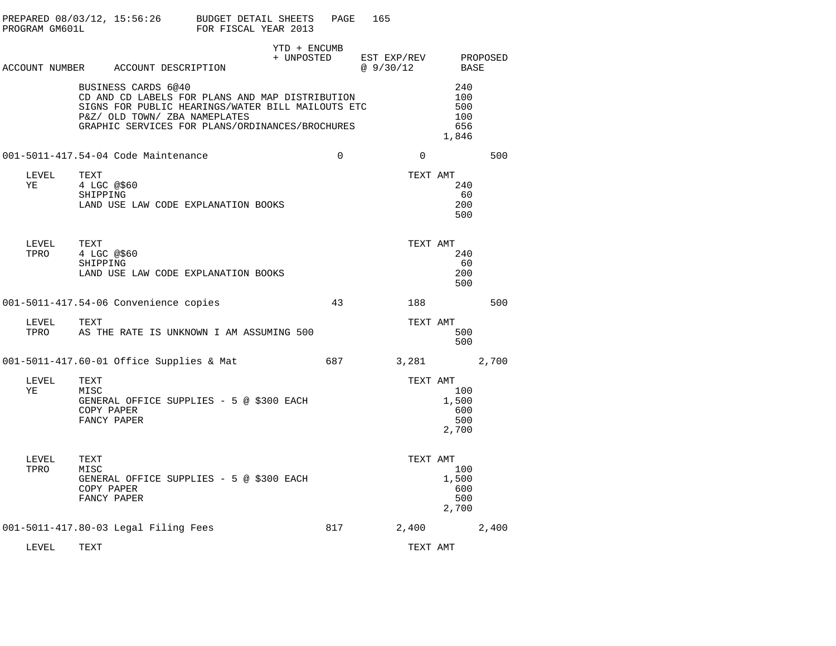| PROGRAM GM601L |                                                                        | PREPARED 08/03/12, 15:56:26 BUDGET DETAIL SHEETS<br>FOR FISCAL YEAR 2013                                                                                | PAGE        | 165                                          |                                          |       |
|----------------|------------------------------------------------------------------------|---------------------------------------------------------------------------------------------------------------------------------------------------------|-------------|----------------------------------------------|------------------------------------------|-------|
|                | ACCOUNT NUMBER ACCOUNT DESCRIPTION                                     | YTD + ENCUMB                                                                                                                                            |             | + UNPOSTED EST EXP/REV PROPOSED<br>@ 9/30/12 | BASE                                     |       |
|                | BUSINESS CARDS 6@40<br>P&Z/ OLD TOWN/ ZBA NAMEPLATES                   | CD AND CD LABELS FOR PLANS AND MAP DISTRIBUTION<br>SIGNS FOR PUBLIC HEARINGS/WATER BILL MAILOUTS ETC<br>GRAPHIC SERVICES FOR PLANS/ORDINANCES/BROCHURES |             |                                              | 240<br>100<br>500<br>100<br>656<br>1,846 |       |
|                | 001-5011-417.54-04 Code Maintenance                                    |                                                                                                                                                         | $\mathbf 0$ | $\Omega$                                     |                                          | 500   |
| LEVEL<br>ΥE    | TEXT<br>4 LGC @\$60<br>SHIPPING<br>LAND USE LAW CODE EXPLANATION BOOKS |                                                                                                                                                         |             | TEXT AMT                                     | 240<br>60<br>200<br>500                  |       |
| LEVEL<br>TPRO  | TEXT<br>4 LGC @\$60<br>SHIPPING<br>LAND USE LAW CODE EXPLANATION BOOKS |                                                                                                                                                         |             | TEXT AMT                                     | 240<br>60<br>200<br>500                  |       |
|                | 001-5011-417.54-06 Convenience copies                                  |                                                                                                                                                         | 43          | 188                                          |                                          | 500   |
| LEVEL<br>TPRO  | TEXT                                                                   | AS THE RATE IS UNKNOWN I AM ASSUMING 500                                                                                                                |             | TEXT AMT                                     | 500<br>500                               |       |
|                | 001-5011-417.60-01 Office Supplies & Mat                               |                                                                                                                                                         | 687         | 3,281                                        |                                          | 2,700 |
| LEVEL<br>ΥE    | TEXT<br>MISC<br>COPY PAPER<br>FANCY PAPER                              | GENERAL OFFICE SUPPLIES - 5 @ \$300 EACH                                                                                                                |             | TEXT AMT                                     | 100<br>1,500<br>600<br>500<br>2,700      |       |
| LEVEL<br>TPRO  | TEXT<br>MISC<br>COPY PAPER<br>FANCY PAPER                              | GENERAL OFFICE SUPPLIES - 5 @ \$300 EACH                                                                                                                |             | TEXT AMT                                     | 100<br>1,500<br>600<br>500<br>2,700      |       |
|                | 001-5011-417.80-03 Legal Filing Fees                                   |                                                                                                                                                         | 817         | 2,400                                        |                                          | 2,400 |
| LEVEL          | TEXT                                                                   |                                                                                                                                                         |             | TEXT AMT                                     |                                          |       |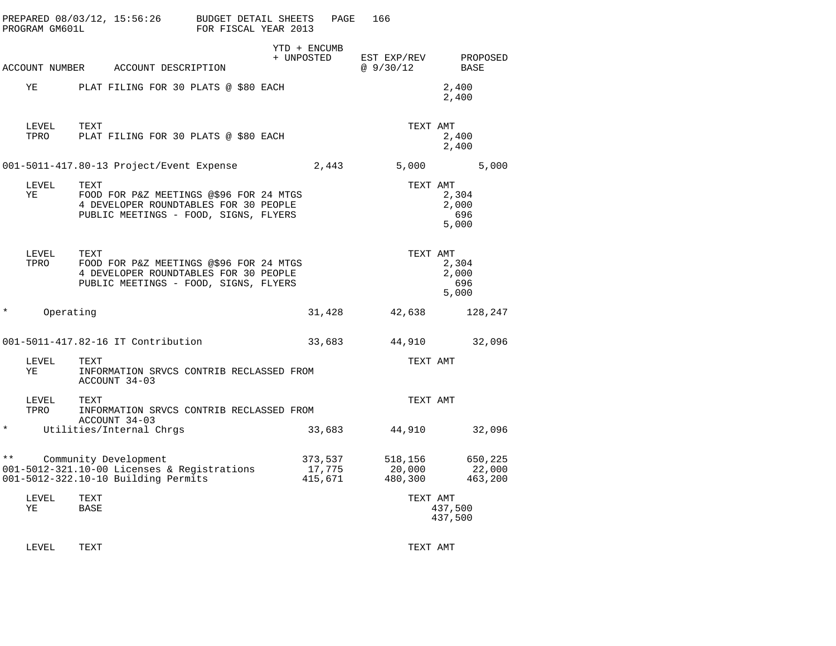| PROGRAM GM601L        | PREPARED 08/03/12, 15:56:26                                                                                                       | BUDGET DETAIL SHEETS<br>FOR FISCAL YEAR 2013 | PAGE                         | 166                          |                                |
|-----------------------|-----------------------------------------------------------------------------------------------------------------------------------|----------------------------------------------|------------------------------|------------------------------|--------------------------------|
|                       | ACCOUNT NUMBER ACCOUNT DESCRIPTION                                                                                                | YTD + ENCUMB<br>+ UNPOSTED                   |                              | EST EXP/REV<br>@9/30/12      | PROPOSED<br>BASE               |
| ΥE                    | PLAT FILING FOR 30 PLATS @ \$80 EACH                                                                                              |                                              |                              |                              | 2,400<br>2,400                 |
| LEVEL<br>TPRO         | TEXT<br>PLAT FILING FOR 30 PLATS @ \$80 EACH                                                                                      |                                              |                              | TEXT AMT                     | 2,400<br>2,400                 |
|                       | 001-5011-417.80-13 Project/Event Expense                                                                                          |                                              | 2,443                        | 5,000                        | 5,000                          |
| LEVEL<br>ΥE           | TEXT<br>FOOD FOR P&Z MEETINGS @\$96 FOR 24 MTGS<br>4 DEVELOPER ROUNDTABLES FOR 30 PEOPLE<br>PUBLIC MEETINGS - FOOD, SIGNS, FLYERS |                                              |                              | TEXT AMT                     | 2,304<br>2,000<br>696<br>5,000 |
| LEVEL<br>TPRO         | TEXT<br>FOOD FOR P&Z MEETINGS @\$96 FOR 24 MTGS<br>4 DEVELOPER ROUNDTABLES FOR 30 PEOPLE<br>PUBLIC MEETINGS - FOOD, SIGNS, FLYERS |                                              |                              | TEXT AMT                     | 2,304<br>2,000<br>696<br>5,000 |
| $^\star$<br>Operating |                                                                                                                                   |                                              | 31,428                       | 42,638                       | 128,247                        |
|                       | 001-5011-417.82-16 IT Contribution                                                                                                |                                              | 33,683                       | 44,910                       | 32,096                         |
| LEVEL<br>YE           | TEXT<br>INFORMATION SRVCS CONTRIB RECLASSED FROM<br>ACCOUNT 34-03                                                                 |                                              |                              | TEXT AMT                     |                                |
| LEVEL<br>TPRO         | TEXT<br>INFORMATION SRVCS CONTRIB RECLASSED FROM<br>ACCOUNT 34-03                                                                 |                                              |                              | TEXT AMT                     |                                |
| $^\star$              | Utilities/Internal Chrgs                                                                                                          |                                              | 33,683                       | 44,910                       | 32,096                         |
| $\star\star$          | Community Development<br>001-5012-321.10-00 Licenses & Registrations<br>001-5012-322.10-10 Building Permits                       |                                              | 373,537<br>17,775<br>415,671 | 518,156<br>20,000<br>480,300 | 650,225<br>22,000<br>463,200   |
| LEVEL<br>ΥE           | TEXT<br>BASE                                                                                                                      |                                              |                              | TEXT AMT                     | 437,500<br>437,500             |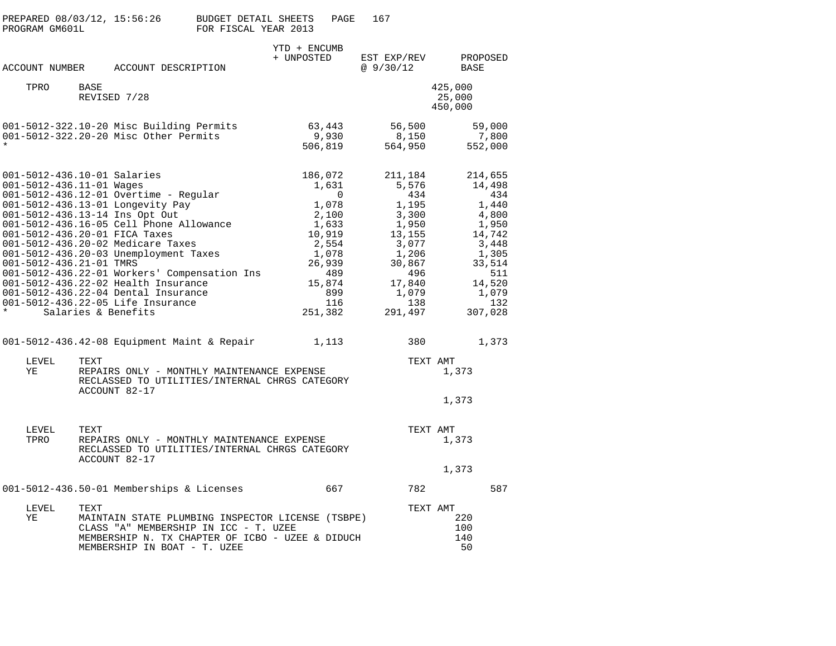| PREPARED 08/03/12, 15:56:26<br>PROGRAM GM601L                                                                                                         |      |                                                                                                                                                                                                                                                                                                                                                                                                      | <b>BUDGET DETAIL SHEETS</b><br>FOR FISCAL YEAR 2013 |                            | PAGE                                                                                                                 | 167                                                                                                             |                   |                                                                                                                                       |
|-------------------------------------------------------------------------------------------------------------------------------------------------------|------|------------------------------------------------------------------------------------------------------------------------------------------------------------------------------------------------------------------------------------------------------------------------------------------------------------------------------------------------------------------------------------------------------|-----------------------------------------------------|----------------------------|----------------------------------------------------------------------------------------------------------------------|-----------------------------------------------------------------------------------------------------------------|-------------------|---------------------------------------------------------------------------------------------------------------------------------------|
| ACCOUNT NUMBER                                                                                                                                        |      | ACCOUNT DESCRIPTION                                                                                                                                                                                                                                                                                                                                                                                  |                                                     | YTD + ENCUMB<br>+ UNPOSTED |                                                                                                                      | EST EXP/REV<br>@9/30/12                                                                                         |                   | PROPOSED<br>BASE                                                                                                                      |
| TPRO                                                                                                                                                  | BASE | REVISED 7/28                                                                                                                                                                                                                                                                                                                                                                                         |                                                     |                            |                                                                                                                      |                                                                                                                 |                   | 425,000<br>25,000<br>450,000                                                                                                          |
|                                                                                                                                                       |      | 001-5012-322.10-20 Misc Building Permits<br>001-5012-322.20-20 Misc Other Permits                                                                                                                                                                                                                                                                                                                    |                                                     | 63,443<br>506,819          | 9,930                                                                                                                | 56,500<br>8,150<br>564,950                                                                                      |                   | 59,000<br>7,800<br>552,000                                                                                                            |
| 001-5012-436.10-01 Salaries<br>001-5012-436.11-01 Wages<br>001-5012-436.13-14 Ins Opt Out<br>001-5012-436.20-01 FICA Taxes<br>001-5012-436.21-01 TMRS |      | $001 - 5012 - 436.12 - 01$ Overtime - Regular<br>001-5012-436.13-01 Longevity Pay<br>001-5012-436.16-05 Cell Phone Allowance<br>001-5012-436.20-02 Medicare Taxes<br>001-5012-436.20-03 Unemployment Taxes<br>001-5012-436.22-01 Workers' Compensation Ins<br>001-5012-436.22-02 Health Insurance<br>001-5012-436.22-04 Dental Insurance<br>001-5012-436.22-05 Life Insurance<br>Salaries & Benefits |                                                     | 186,072<br>251,382         | 1,631<br>$\mathbf 0$<br>1,078<br>2,100<br>1,633<br>10,919<br>2,554<br>1,078<br>26,939<br>489<br>15,874<br>899<br>116 | 211,184<br>5,576<br>1,195<br>3,300<br>1,950<br>13,155<br>3,077<br>1,206<br>30,867<br>17,840<br>1,079<br>291,497 | 434<br>496<br>138 | 214,655<br>14,498<br>434<br>1,440<br>4,800<br>1,950<br>14,742<br>3,448<br>1,305<br>33,514<br>511<br>14,520<br>1,079<br>132<br>307,028 |
|                                                                                                                                                       |      | $001-5012-436.42-08$ Equipment Maint & Repair                                                                                                                                                                                                                                                                                                                                                        |                                                     |                            | 1,113                                                                                                                |                                                                                                                 | 380               | 1,373                                                                                                                                 |
| LEVEL<br>ΥE                                                                                                                                           | TEXT | REPAIRS ONLY - MONTHLY MAINTENANCE EXPENSE<br>RECLASSED TO UTILITIES/INTERNAL CHRGS CATEGORY<br>ACCOUNT 82-17                                                                                                                                                                                                                                                                                        |                                                     |                            |                                                                                                                      |                                                                                                                 | TEXT AMT          | 1,373<br>1,373                                                                                                                        |
| LEVEL<br>TPRO                                                                                                                                         | TEXT | REPAIRS ONLY - MONTHLY MAINTENANCE EXPENSE<br>RECLASSED TO UTILITIES/INTERNAL CHRGS CATEGORY<br>ACCOUNT 82-17                                                                                                                                                                                                                                                                                        |                                                     |                            |                                                                                                                      |                                                                                                                 | TEXT AMT          | 1,373<br>1,373                                                                                                                        |
|                                                                                                                                                       |      | 001-5012-436.50-01 Memberships & Licenses                                                                                                                                                                                                                                                                                                                                                            |                                                     |                            | 667                                                                                                                  |                                                                                                                 | 782               | 587                                                                                                                                   |
| LEVEL<br>ΥE                                                                                                                                           | TEXT | MAINTAIN STATE PLUMBING INSPECTOR LICENSE (TSBPE)<br>CLASS "A" MEMBERSHIP IN ICC - T. UZEE<br>MEMBERSHIP N. TX CHAPTER OF ICBO - UZEE & DIDUCH<br>MEMBERSHIP IN BOAT - T. UZEE                                                                                                                                                                                                                       |                                                     |                            |                                                                                                                      |                                                                                                                 | TEXT AMT          | 220<br>100<br>140<br>50                                                                                                               |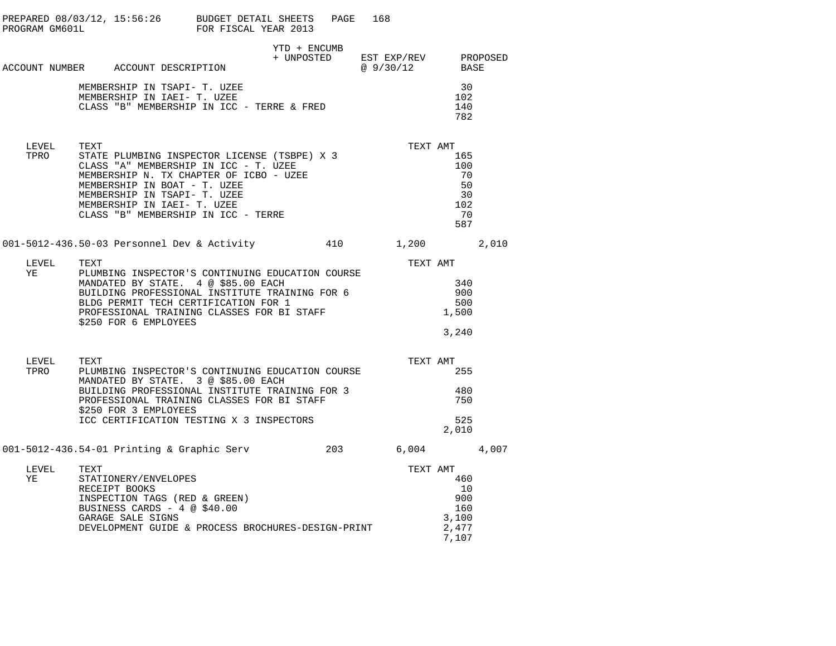| PROGRAM GM601L     | PREPARED 08/03/12, 15:56:26 BUDGET DETAIL SHEETS                                                                                                                                                                                                                                                        | FOR FISCAL YEAR 2013 | PAGE         | 168                                               |                                                                |  |
|--------------------|---------------------------------------------------------------------------------------------------------------------------------------------------------------------------------------------------------------------------------------------------------------------------------------------------------|----------------------|--------------|---------------------------------------------------|----------------------------------------------------------------|--|
|                    | ACCOUNT NUMBER ACCOUNT DESCRIPTION                                                                                                                                                                                                                                                                      |                      | YTD + ENCUMB | + UNPOSTED EST EXP/REV PROPOSED<br>@ 9/30/12 BASE |                                                                |  |
|                    | MEMBERSHIP IN TSAPI- T. UZEE<br>MEMBERSHIP IN IAEI- T. UZEE<br>CLASS "B" MEMBERSHIP IN ICC - TERRE & FRED                                                                                                                                                                                               |                      |              |                                                   | 30<br>102<br>140<br>782                                        |  |
| LEVEL TEXT<br>TPRO | STATE PLUMBING INSPECTOR LICENSE (TSBPE) X 3<br>CLASS "A" MEMBERSHIP IN ICC - T. UZEE<br>MEMBERSHIP N. TX CHAPTER OF ICBO - UZEE<br>MEMBERSHIP IN BOAT - T. UZEE<br>MEMBERSHIP IN TSAPI- T. UZEE<br>MEMBERSHIP IN IAEI- T. UZEE<br>CLASS "B" MEMBERSHIP IN ICC - TERRE                                  |                      |              |                                                   | TEXT AMT<br>165<br>100<br>70<br>50<br>30<br>102<br>70<br>587   |  |
|                    | 001-5012-436.50-03 Personnel Dev & Activity $410$ $1,200$ $2,010$                                                                                                                                                                                                                                       |                      |              |                                                   |                                                                |  |
| LEVEL<br>YE        | TEXT<br>PLUMBING INSPECTOR'S CONTINUING EDUCATION COURSE<br>MANDATED BY STATE. 4 @ \$85.00 EACH<br>MANDATED BY STATE. 4 @ \$85.00 EACH<br>BUILDING PROFESSIONAL INSTITUTE TRAINING FOR 6<br>BLDG PERMIT TECH CERTIFICATION FOR 1<br>PROFESSIONAL TRAINING CLASSES FOR BI STAFF<br>\$250 FOR 6 EMPLOYEES |                      |              | TEXT AMT                                          | 340<br>900<br>500<br>1,500<br>3,240                            |  |
| LEVEL<br>TPRO      | TEXT<br>PLUMBING INSPECTOR'S CONTINUING EDUCATION COURSE<br>MANDATED BY STATE. 3 @ \$85.00 EACH<br>BUILDING PROFESSIONAL INSTITUTE TRAINING FOR 3<br>PROFESSIONAL TRAINING CLASSES FOR BI STAFF<br>\$250 FOR 3 EMPLOYEES<br>ICC CERTIFICATION TESTING X 3 INSPECTORS                                    |                      |              |                                                   | TEXT AMT<br>255<br>480<br>750<br>525<br>2,010                  |  |
|                    | 001-5012-436.54-01 Printing & Graphic Serv                                                                                                                                                                                                                                                              |                      | 203          | $6,004$ 4,007                                     |                                                                |  |
| LEVEL TEXT<br>YE   | STATIONERY/ENVELOPES<br>RECEIPT BOOKS<br>INSPECTION TAGS (RED & GREEN)<br>BUSINESS CARDS - 4 @ \$40.00<br>GARAGE SALE SIGNS<br>DEVELOPMENT GUIDE & PROCESS BROCHURES-DESIGN-PRINT                                                                                                                       |                      |              |                                                   | TEXT AMT<br>460<br>10<br>900<br>160<br>3,100<br>2,477<br>7,107 |  |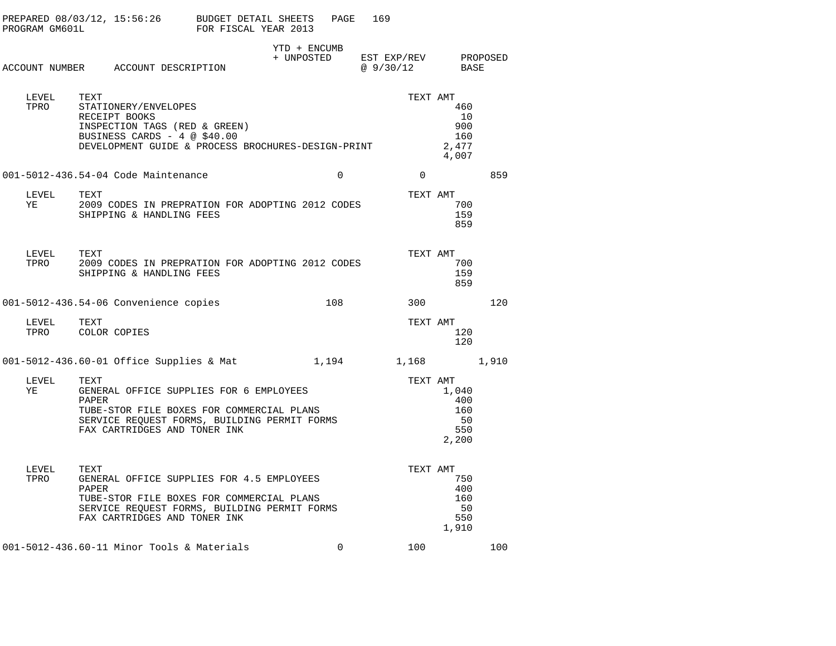| PROGRAM GM601L |               | PREPARED 08/03/12, 15:56:26 BUDGET DETAIL SHEETS                                                                                                                       | FOR FISCAL YEAR 2013 |            | PAGE         | 169                               |                                           |     |
|----------------|---------------|------------------------------------------------------------------------------------------------------------------------------------------------------------------------|----------------------|------------|--------------|-----------------------------------|-------------------------------------------|-----|
|                |               | ACCOUNT NUMBER ACCOUNT DESCRIPTION                                                                                                                                     |                      | + UNPOSTED | YTD + ENCUMB | EST EXP/REV PROPOSED<br>@ 9/30/12 | BASE                                      |     |
| LEVEL<br>TPRO  | TEXT          | STATIONERY/ENVELOPES<br>RECEIPT BOOKS<br>INSPECTION TAGS (RED & GREEN)<br>BUSINESS CARDS - 4 @ \$40.00<br>DEVELOPMENT GUIDE & PROCESS BROCHURES-DESIGN-PRINT           |                      |            |              | TEXT AMT                          | 460<br>10<br>900<br>160<br>2,477<br>4,007 |     |
|                |               | 001-5012-436.54-04 Code Maintenance                                                                                                                                    |                      |            | $\mathbf 0$  | $\overline{0}$                    |                                           | 859 |
| LEVEL<br>YE    | TEXT          | 2009 CODES IN PREPRATION FOR ADOPTING 2012 CODES<br>SHIPPING & HANDLING FEES                                                                                           |                      |            |              | TEXT AMT                          | 700<br>159<br>859                         |     |
| LEVEL<br>TPRO  | TEXT          | 2009 CODES IN PREPRATION FOR ADOPTING 2012 CODES<br>SHIPPING & HANDLING FEES                                                                                           |                      |            |              | TEXT AMT                          | 700<br>159<br>859                         |     |
|                |               | 001-5012-436.54-06 Convenience copies                                                                                                                                  |                      |            | 108          | 300                               |                                           | 120 |
| LEVEL<br>TPRO  | TEXT          | COLOR COPIES                                                                                                                                                           |                      |            |              | TEXT AMT                          | 120<br>120                                |     |
|                |               | $001-5012-436.60-01$ Office Supplies & Mat                                                                                                                             |                      |            | 1,194        | 1,168 1,910                       |                                           |     |
| LEVEL<br>ΥE    | TEXT<br>PAPER | GENERAL OFFICE SUPPLIES FOR 6 EMPLOYEES<br>TUBE-STOR FILE BOXES FOR COMMERCIAL PLANS<br>SERVICE REQUEST FORMS, BUILDING PERMIT FORMS<br>FAX CARTRIDGES AND TONER INK   |                      |            |              | TEXT AMT                          | 1,040<br>400<br>160<br>50<br>550<br>2,200 |     |
| LEVEL<br>TPRO  | TEXT<br>PAPER | GENERAL OFFICE SUPPLIES FOR 4.5 EMPLOYEES<br>TUBE-STOR FILE BOXES FOR COMMERCIAL PLANS<br>SERVICE REQUEST FORMS, BUILDING PERMIT FORMS<br>FAX CARTRIDGES AND TONER INK |                      |            |              | TEXT AMT                          | 750<br>400<br>160<br>50<br>550<br>1,910   |     |
|                |               | 001-5012-436.60-11 Minor Tools & Materials                                                                                                                             |                      |            | $\Omega$     | 100                               |                                           | 100 |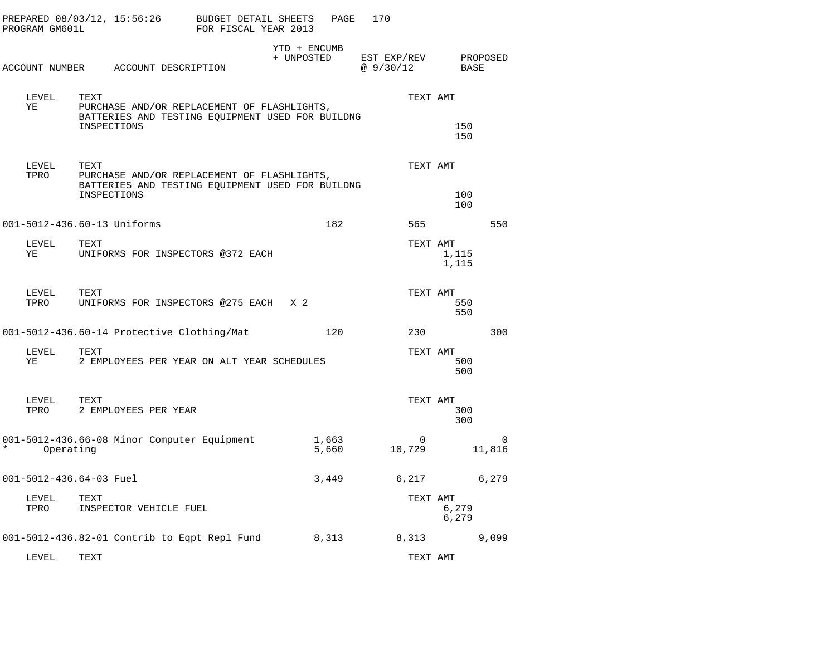| PROGRAM GM601L | PREPARED 08/03/12, 15:56:26                                                                                            | BUDGET DETAIL SHEETS<br>FOR FISCAL YEAR 2013 | PAGE                       | 170                     |                |                    |
|----------------|------------------------------------------------------------------------------------------------------------------------|----------------------------------------------|----------------------------|-------------------------|----------------|--------------------|
|                | ACCOUNT NUMBER ACCOUNT DESCRIPTION                                                                                     |                                              | YTD + ENCUMB<br>+ UNPOSTED | EST EXP/REV<br>@9/30/12 | BASE           | PROPOSED           |
| LEVEL<br>YE    | TEXT<br>PURCHASE AND/OR REPLACEMENT OF FLASHLIGHTS,<br>BATTERIES AND TESTING EQUIPMENT USED FOR BUILDNG<br>INSPECTIONS |                                              |                            | TEXT AMT                | 150<br>150     |                    |
| LEVEL<br>TPRO  | TEXT<br>PURCHASE AND/OR REPLACEMENT OF FLASHLIGHTS,<br>BATTERIES AND TESTING EQUIPMENT USED FOR BUILDNG<br>INSPECTIONS |                                              |                            | TEXT AMT                | 100<br>100     |                    |
|                | 001-5012-436.60-13 Uniforms                                                                                            |                                              | 182                        | 565                     |                | 550                |
| LEVEL<br>YE    | TEXT<br>UNIFORMS FOR INSPECTORS @372 EACH                                                                              |                                              |                            | TEXT AMT                | 1,115<br>1,115 |                    |
| LEVEL<br>TPRO  | TEXT<br>UNIFORMS FOR INSPECTORS @275 EACH X 2                                                                          |                                              |                            | TEXT AMT                | 550<br>550     |                    |
|                | 001-5012-436.60-14 Protective Clothing/Mat                                                                             |                                              | 120                        | 230                     |                | 300                |
| LEVEL<br>YE    | TEXT<br>2 EMPLOYEES PER YEAR ON ALT YEAR SCHEDULES                                                                     |                                              |                            | TEXT AMT                | 500<br>500     |                    |
| LEVEL<br>TPRO  | TEXT<br>2 EMPLOYEES PER YEAR                                                                                           |                                              |                            | TEXT AMT                | 300<br>300     |                    |
| Operating      | 001-5012-436.66-08 Minor Computer Equipment                                                                            |                                              | 1,663<br>5,660             | $\Omega$<br>10,729      |                | $\Omega$<br>11,816 |
|                | 001-5012-436.64-03 Fuel                                                                                                |                                              | 3,449                      | 6,217                   |                | 6,279              |
| LEVEL<br>TPRO  | TEXT<br>INSPECTOR VEHICLE FUEL                                                                                         |                                              |                            | TEXT AMT                | 6,279<br>6,279 |                    |
|                | 001-5012-436.82-01 Contrib to Eqpt Repl Fund                                                                           |                                              | 8,313                      | 8,313                   |                | 9,099              |
| LEVEL.         | <b>TEXT</b>                                                                                                            |                                              |                            | TEXT AMT                |                |                    |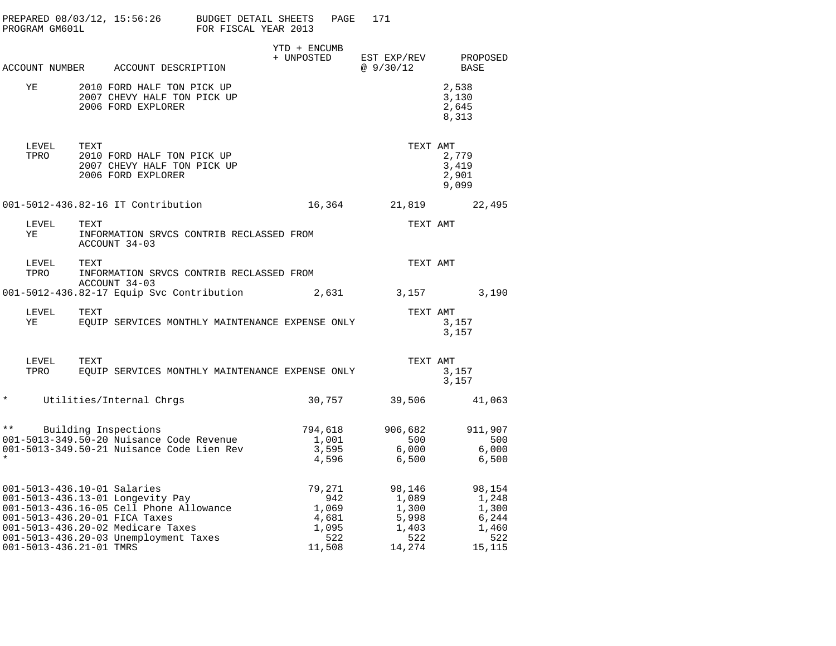|               | PROGRAM GM601L | PREPARED 08/03/12, 15:56:26                                                                                                                                                                               | <b>BUDGET DETAIL SHEETS</b><br>FOR FISCAL YEAR 2013                                                                  |                            | PAGE                                                      | 171                                                         |                                  |                                                             |  |
|---------------|----------------|-----------------------------------------------------------------------------------------------------------------------------------------------------------------------------------------------------------|----------------------------------------------------------------------------------------------------------------------|----------------------------|-----------------------------------------------------------|-------------------------------------------------------------|----------------------------------|-------------------------------------------------------------|--|
|               |                | ACCOUNT NUMBER ACCOUNT DESCRIPTION                                                                                                                                                                        |                                                                                                                      | YTD + ENCUMB<br>+ UNPOSTED |                                                           | EST EXP/REV<br>@ 9/30/12                                    | BASE                             | PROPOSED                                                    |  |
|               | YE             | 2010 FORD HALF TON PICK UP<br>2007 CHEVY HALF TON PICK UP<br>2006 FORD EXPLORER                                                                                                                           |                                                                                                                      |                            |                                                           |                                                             | 2,538<br>3,130<br>2,645<br>8,313 |                                                             |  |
|               | LEVEL<br>TPRO  | TEXT<br>2010 FORD HALF TON PICK UP<br>2007 CHEVY HALF TON PICK UP<br>2006 FORD EXPLORER                                                                                                                   |                                                                                                                      |                            |                                                           | TEXT AMT                                                    | 2,779<br>3,419<br>2,901<br>9,099 |                                                             |  |
|               |                | 001-5012-436.82-16 IT Contribution                                                                                                                                                                        |                                                                                                                      | 16,364                     |                                                           | 21,819                                                      |                                  | 22,495                                                      |  |
|               | LEVEL<br>YE    | TEXT<br>ACCOUNT 34-03                                                                                                                                                                                     | INFORMATION SRVCS CONTRIB RECLASSED FROM                                                                             |                            |                                                           | TEXT AMT                                                    |                                  |                                                             |  |
|               | LEVEL<br>TPRO  | TEXT<br>ACCOUNT 34-03                                                                                                                                                                                     | INFORMATION SRVCS CONTRIB RECLASSED FROM                                                                             |                            |                                                           | TEXT AMT                                                    |                                  |                                                             |  |
|               |                |                                                                                                                                                                                                           | 001-5012-436.82-17 Equip Svc Contribution                                                                            |                            |                                                           | 2,631 3,157                                                 |                                  | 3,190                                                       |  |
|               | LEVEL<br>YE    | TEXT                                                                                                                                                                                                      | EOUIP SERVICES MONTHLY MAINTENANCE EXPENSE ONLY                                                                      |                            |                                                           | TEXT AMT                                                    | 3,157<br>3,157                   |                                                             |  |
|               | LEVEL<br>TPRO  | TEXT                                                                                                                                                                                                      | EQUIP SERVICES MONTHLY MAINTENANCE EXPENSE ONLY                                                                      |                            |                                                           | TEXT AMT                                                    | 3,157<br>3,157                   |                                                             |  |
| $\star$       |                | Utilities/Internal Chrgs                                                                                                                                                                                  |                                                                                                                      |                            |                                                           | 30,757 39,506                                               |                                  | 41,063                                                      |  |
| $\star \star$ |                | Building Inspections                                                                                                                                                                                      | **     Building Inspections<br>001–5013–349.50–20 Nuisance Code Revenue<br>001–5013–349.50–21 Nuisance Code Lien Rev |                            | 794,618<br>1,001<br>3,595<br>4,596                        | 906,682<br>500<br>6,000<br>6,500                            |                                  | 911,907<br>500<br>6,000<br>6,500                            |  |
|               |                | 001-5013-436.10-01 Salaries<br>001-5013-436.13-01 Longevity Pay<br>001-5013-436.20-01 FICA Taxes<br>001-5013-436.20-02 Medicare Taxes<br>001-5013-436.20-03 Unemployment Taxes<br>001-5013-436.21-01 TMRS | 001-5013-436.16-05 Cell Phone Allowance                                                                              |                            | 79,271<br>942<br>1,069<br>4,681<br>1,095<br>522<br>11,508 | 98,146<br>1,089<br>1,300<br>5,998<br>1,403<br>522<br>14,274 |                                  | 98,154<br>1,248<br>1,300<br>6,244<br>1,460<br>522<br>15,115 |  |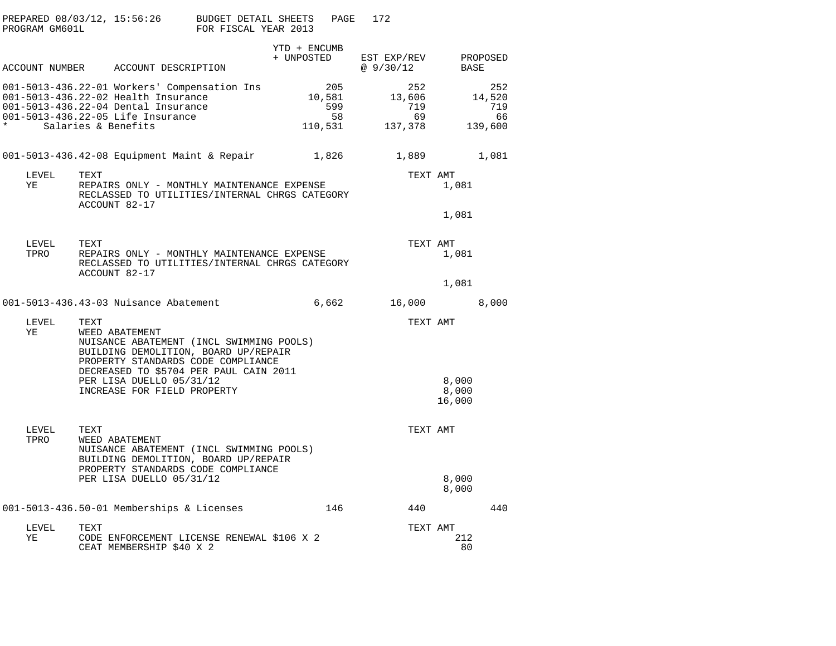| PROGRAM GM601L | PREPARED $08/03/12$ , 15:56:26 BUDGET DETAIL SHEETS                                                                                                                                                                                                   | FOR FISCAL YEAR 2013 |                            | PAGE                                  | 172                                   |                          |                                       |
|----------------|-------------------------------------------------------------------------------------------------------------------------------------------------------------------------------------------------------------------------------------------------------|----------------------|----------------------------|---------------------------------------|---------------------------------------|--------------------------|---------------------------------------|
|                | ACCOUNT NUMBER ACCOUNT DESCRIPTION                                                                                                                                                                                                                    |                      | YTD + ENCUMB<br>+ UNPOSTED |                                       | EST EXP/REV PROPOSED<br>@ 9/30/12     | BASE                     |                                       |
| $\star$        | 001-5013-436.22-01 Workers' Compensation Ins<br>001-5013-436.22-02 Health Insurance<br>001-5013-436.22-04 Dental Insurance<br>001-5013-436.22-05 Life Insurance<br>Salaries & Benefits                                                                |                      |                            | 205<br>10,581<br>599<br>58<br>110,531 | 252<br>13,606<br>719<br>69<br>137,378 |                          | 252<br>14,520<br>719<br>66<br>139,600 |
|                | 001-5013-436.42-08 Equipment Maint & Repair 1,826                                                                                                                                                                                                     |                      |                            |                                       | 1,889                                 |                          | 1,081                                 |
| LEVEL<br>YE    | TEXT<br>REPAIRS ONLY - MONTHLY MAINTENANCE EXPENSE<br>RECLASSED TO UTILITIES/INTERNAL CHRGS CATEGORY<br>ACCOUNT 82-17                                                                                                                                 |                      |                            |                                       | TEXT AMT                              | 1,081<br>1,081           |                                       |
| LEVEL<br>TPRO  | TEXT<br>REPAIRS ONLY - MONTHLY MAINTENANCE EXPENSE<br>RECLASSED TO UTILITIES/INTERNAL CHRGS CATEGORY<br>ACCOUNT 82-17                                                                                                                                 |                      |                            |                                       | TEXT AMT                              | 1,081<br>1,081           |                                       |
|                | 001-5013-436.43-03 Nuisance Abatement                                                                                                                                                                                                                 |                      |                            | 6,662                                 | 16,000                                |                          | 8,000                                 |
| LEVEL<br>ΥE    | TEXT<br>WEED ABATEMENT<br>NUISANCE ABATEMENT (INCL SWIMMING POOLS)<br>BUILDING DEMOLITION, BOARD UP/REPAIR<br>PROPERTY STANDARDS CODE COMPLIANCE<br>DECREASED TO \$5704 PER PAUL CAIN 2011<br>PER LISA DUELLO 05/31/12<br>INCREASE FOR FIELD PROPERTY |                      |                            |                                       | TEXT AMT                              | 8,000<br>8,000<br>16,000 |                                       |
| LEVEL<br>TPRO  | TEXT<br>WEED ABATEMENT<br>NUISANCE ABATEMENT (INCL SWIMMING POOLS)<br>BUILDING DEMOLITION, BOARD UP/REPAIR<br>PROPERTY STANDARDS CODE COMPLIANCE<br>PER LISA DUELLO 05/31/12                                                                          |                      |                            |                                       | TEXT AMT                              | 8,000                    |                                       |
|                |                                                                                                                                                                                                                                                       |                      |                            |                                       |                                       | 8,000                    |                                       |
|                | 001-5013-436.50-01 Memberships & Licenses                                                                                                                                                                                                             |                      |                            | 146                                   | 440                                   |                          | 440                                   |
| LEVEL<br>YE    | TEXT<br>CODE ENFORCEMENT LICENSE RENEWAL \$106 X 2<br>CEAT MEMBERSHIP \$40 X 2                                                                                                                                                                        |                      |                            |                                       | TEXT AMT                              | 212<br>80                |                                       |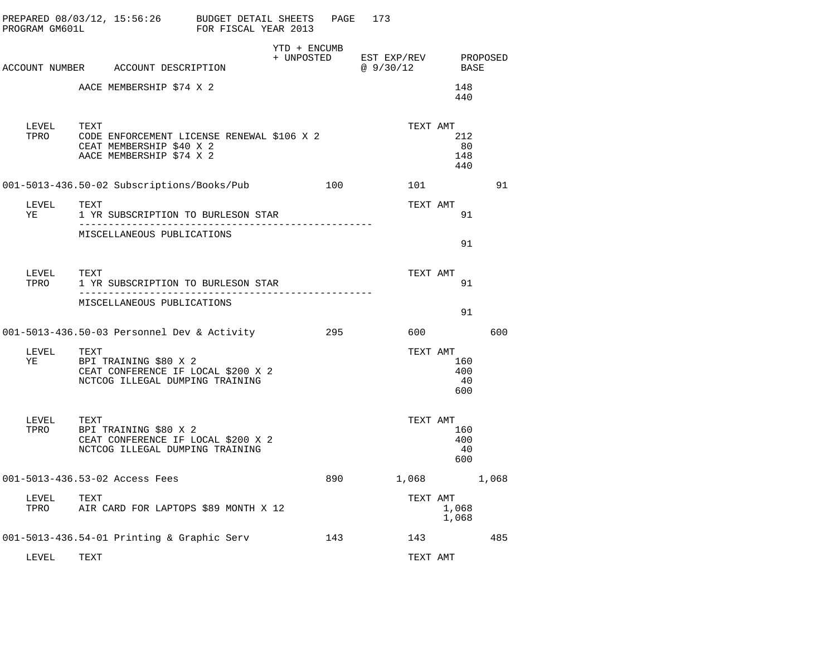| PROGRAM GM601L         | PREPARED $08/03/12$ , 15:56:26 BUDGET DETAIL SHEETS                                                             | FOR FISCAL YEAR 2013 |              | PAGE | 173                             |                                     |     |  |
|------------------------|-----------------------------------------------------------------------------------------------------------------|----------------------|--------------|------|---------------------------------|-------------------------------------|-----|--|
|                        |                                                                                                                 |                      | YTD + ENCUMB |      | + UNPOSTED EST EXP/REV PROPOSED |                                     |     |  |
|                        | ACCOUNT NUMBER ACCOUNT DESCRIPTION                                                                              |                      |              |      | @ 9/30/12 BASE                  |                                     |     |  |
|                        | AACE MEMBERSHIP \$74 X 2                                                                                        |                      |              |      |                                 | 148<br>440                          |     |  |
| LEVEL                  | TEXT<br>TPRO CODE ENFORCEMENT LICENSE RENEWAL \$106 X 2<br>CEAT MEMBERSHIP \$40 X 2<br>AACE MEMBERSHIP \$74 X 2 |                      |              |      | TEXT AMT                        | 212<br>80<br>148<br>440             |     |  |
|                        | 001-5013-436.50-02 Subscriptions/Books/Pub 100                                                                  |                      |              |      |                                 | 101                                 | 91  |  |
| LEVEL<br>YE            | TEXT<br>1 YR SUBSCRIPTION TO BURLESON STAR                                                                      |                      |              |      | TEXT AMT                        | 91                                  |     |  |
|                        | MISCELLANEOUS PUBLICATIONS                                                                                      |                      |              |      |                                 | 91                                  |     |  |
|                        | 1 YR SUBSCRIPTION TO BURLESON STAR                                                                              |                      |              |      | TEXT AMT                        | 91                                  |     |  |
|                        | MISCELLANEOUS PUBLICATIONS                                                                                      |                      |              |      |                                 | 91                                  |     |  |
|                        | 001-5013-436.50-03 Personnel Dev & Activity                                     295                             |                      |              |      | 600                             |                                     | 600 |  |
| LEVEL<br>YE            | TEXT<br>BPI TRAINING \$80 X 2<br>CEAT CONFERENCE IF LOCAL \$200 X 2<br>NCTCOG ILLEGAL DUMPING TRAINING          |                      |              |      | TEXT AMT                        | 160<br>400<br>40<br>600             |     |  |
| LEVEL TEXT<br>TPRO BPI | BPI TRAINING \$80 X 2<br>CEAT CONFERENCE IF LOCAL \$200 X 2<br>NCTCOG ILLEGAL DUMPING TRAINING                  |                      |              |      |                                 | TEXT AMT<br>160<br>400<br>40<br>600 |     |  |
|                        | 001-5013-436.53-02 Access Fees                                                                                  |                      |              | 890  | 1,068 1,068                     |                                     |     |  |
| LEVEL<br>TPRO          | TEXT<br>AIR CARD FOR LAPTOPS \$89 MONTH X 12                                                                    |                      |              |      | TEXT AMT                        | 1,068<br>1,068                      |     |  |
|                        | 001-5013-436.54-01 Printing & Graphic Serv                                                                      |                      |              | 143  |                                 | 143                                 | 485 |  |
| LEVEL                  | TEXT                                                                                                            |                      |              |      | TEXT AMT                        |                                     |     |  |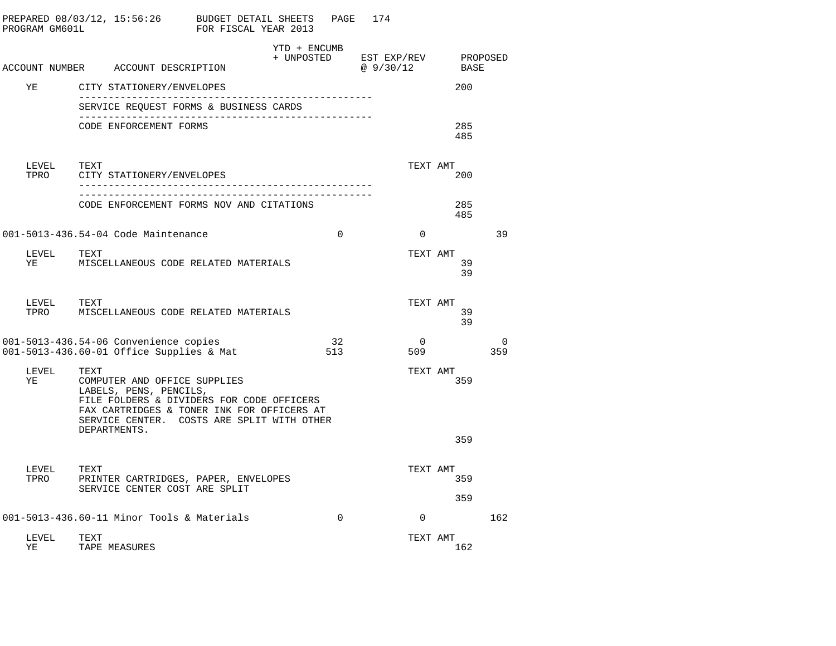| PROGRAM GM601L | PREPARED 08/03/12, 15:56:26                                                                                                                                                                                             | BUDGET DETAIL SHEETS<br>FOR FISCAL YEAR 2013 |                            | PAGE          | 174 |                          |            |          |
|----------------|-------------------------------------------------------------------------------------------------------------------------------------------------------------------------------------------------------------------------|----------------------------------------------|----------------------------|---------------|-----|--------------------------|------------|----------|
|                | ACCOUNT NUMBER ACCOUNT DESCRIPTION                                                                                                                                                                                      |                                              | YTD + ENCUMB<br>+ UNPOSTED |               |     | EST EXP/REV<br>@ 9/30/12 | BASE       | PROPOSED |
| ΥE             | CITY STATIONERY/ENVELOPES                                                                                                                                                                                               |                                              |                            |               |     |                          | 200        |          |
|                | SERVICE REQUEST FORMS & BUSINESS CARDS                                                                                                                                                                                  |                                              |                            | ------------- |     |                          |            |          |
|                | CODE ENFORCEMENT FORMS                                                                                                                                                                                                  |                                              |                            |               |     |                          | 285<br>485 |          |
| LEVEL<br>TPRO  | TEXT<br>CITY STATIONERY/ENVELOPES                                                                                                                                                                                       |                                              |                            |               |     | TEXT AMT                 | 200        |          |
|                | CODE ENFORCEMENT FORMS NOV AND CITATIONS                                                                                                                                                                                |                                              |                            |               |     |                          | 285<br>485 |          |
|                | 001-5013-436.54-04 Code Maintenance                                                                                                                                                                                     |                                              |                            | $\Omega$      |     | $\Omega$                 |            | 39       |
| LEVEL<br>ΥE    | TEXT<br>MISCELLANEOUS CODE RELATED MATERIALS                                                                                                                                                                            |                                              |                            |               |     | TEXT AMT                 | 39<br>39   |          |
| LEVEL<br>TPRO  | TEXT<br>MISCELLANEOUS CODE RELATED MATERIALS                                                                                                                                                                            |                                              |                            |               |     | TEXT AMT                 | 39<br>39   |          |
|                | 001-5013-436.54-06 Convenience copies<br>001-5013-436.60-01 Office Supplies & Mat                                                                                                                                       |                                              |                            | 32<br>513     |     | $\bigcap$<br>509         |            | 0<br>359 |
| LEVEL<br>ΥE    | TEXT<br>COMPUTER AND OFFICE SUPPLIES<br>LABELS, PENS, PENCILS,<br>FILE FOLDERS & DIVIDERS FOR CODE OFFICERS<br>FAX CARTRIDGES & TONER INK FOR OFFICERS AT<br>SERVICE CENTER. COSTS ARE SPLIT WITH OTHER<br>DEPARTMENTS. |                                              |                            |               |     | TEXT AMT                 | 359        |          |
|                |                                                                                                                                                                                                                         |                                              |                            |               |     |                          | 359        |          |
| LEVEL<br>TPRO  | TEXT<br>PRINTER CARTRIDGES, PAPER, ENVELOPES<br>SERVICE CENTER COST ARE SPLIT                                                                                                                                           |                                              |                            |               |     | TEXT AMT                 | 359        |          |
|                |                                                                                                                                                                                                                         |                                              |                            |               |     |                          | 359        |          |
|                | 001-5013-436.60-11 Minor Tools & Materials                                                                                                                                                                              |                                              |                            | $\mathbf 0$   |     | $\Omega$                 |            | 162      |
| LEVEL<br>ΥE    | TEXT<br>TAPE MEASURES                                                                                                                                                                                                   |                                              |                            |               |     | TEXT AMT                 | 162        |          |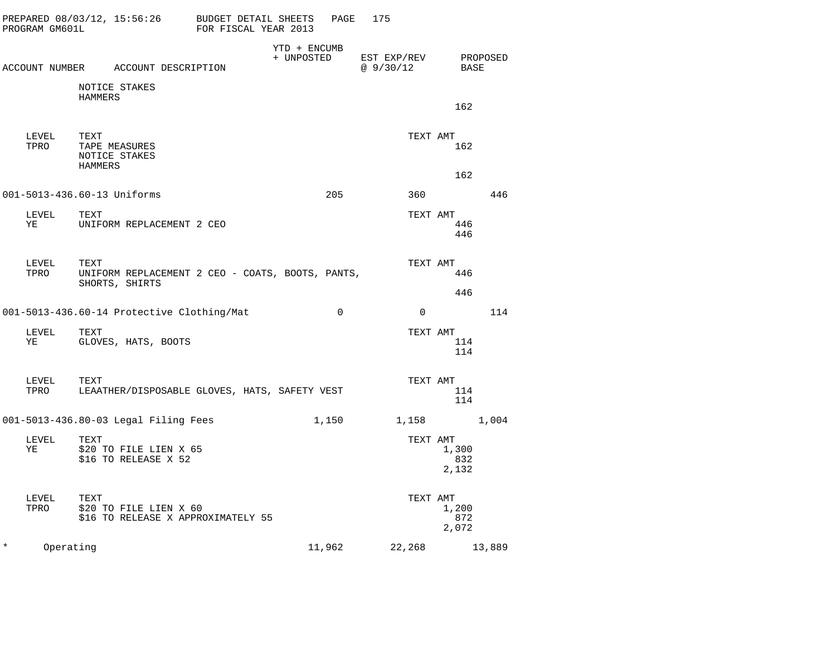|          | PROGRAM GM601L                                      | PREPARED $08/03/12$ , 15:56:26 BUDGET DETAIL SHEETS                        | FOR FISCAL YEAR 2013 |                            | 175<br>PAGE |              |                                        |     |  |
|----------|-----------------------------------------------------|----------------------------------------------------------------------------|----------------------|----------------------------|-------------|--------------|----------------------------------------|-----|--|
|          |                                                     | ACCOUNT NUMBER ACCOUNT DESCRIPTION                                         |                      | YTD + ENCUMB<br>+ UNPOSTED |             |              | EST EXP/REV PROPOSED<br>@ 9/30/12 BASE |     |  |
|          |                                                     |                                                                            |                      |                            |             |              |                                        |     |  |
|          |                                                     | NOTICE STAKES<br>HAMMERS                                                   |                      |                            |             |              | 162                                    |     |  |
|          | LEVEL<br>TPRO                                       | TEXT<br>TAPE MEASURES<br>NOTICE STAKES<br>HAMMERS                          |                      |                            |             | TEXT AMT     | 162                                    |     |  |
|          |                                                     |                                                                            |                      |                            |             |              | 162                                    |     |  |
|          |                                                     | 001-5013-436.60-13 Uniforms                                                |                      |                            | 205         | 360          |                                        | 446 |  |
|          | LEVEL<br>YE                                         | TEXT<br>UNIFORM REPLACEMENT 2 CEO                                          |                      |                            |             | TEXT AMT     | 446<br>446                             |     |  |
|          | LEVEL<br>TPRO                                       | TEXT<br>UNIFORM REPLACEMENT 2 CEO - COATS, BOOTS, PANTS,<br>SHORTS, SHIRTS |                      |                            |             | TEXT AMT     | 446                                    |     |  |
|          |                                                     | 001-5013-436.60-14 Protective Clothing/Mat                                 |                      | $\mathbf 0$                |             | $\mathbf{0}$ | 446                                    | 114 |  |
|          | LEVEL<br>YE TARAFININ TARAFININ TASHAN U SANADI ILI | TEXT<br>GLOVES, HATS, BOOTS                                                |                      |                            |             | TEXT AMT     | 114<br>114                             |     |  |
|          | LEVEL<br>TPRO                                       | TEXT<br>LEAATHER/DISPOSABLE GLOVES, HATS, SAFETY VEST                      |                      |                            |             | TEXT AMT     | 114<br>114                             |     |  |
|          |                                                     | 001-5013-436.80-03 Legal Filing Fees                                       |                      | 1,150                      |             |              | 1,158 1,004                            |     |  |
|          | LEVEL<br>YE                                         | TEXT<br>\$20 TO FILE LIEN X 65<br>\$16 TO RELEASE X 52                     |                      |                            |             | TEXT AMT     | 1,300<br>832<br>2,132                  |     |  |
|          | LEVEL<br>TPRO                                       | TEXT<br>\$20 TO FILE LIEN X 60<br>\$16 TO RELEASE X APPROXIMATELY 55       |                      |                            |             | TEXT AMT     | 1,200<br>872<br>2,072                  |     |  |
| $^\star$ | Operating                                           |                                                                            |                      | 11,962                     |             |              | 22, 268 13, 889                        |     |  |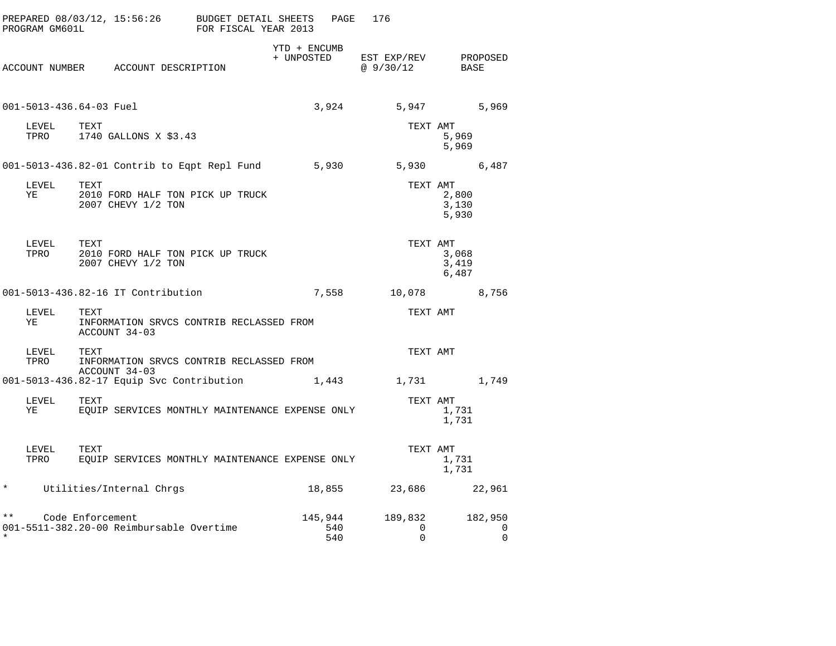| PROGRAM GM601L           |                                                                | PREPARED 08/03/12, 15:56:26 BUDGET DETAIL SHEETS<br>FOR FISCAL YEAR 2013 | PAGE                  | 176                      |                                    |
|--------------------------|----------------------------------------------------------------|--------------------------------------------------------------------------|-----------------------|--------------------------|------------------------------------|
|                          | ACCOUNT NUMBER ACCOUNT DESCRIPTION                             | YTD + ENCUMB<br>+ UNPOSTED                                               |                       | EST EXP/REV<br>@ 9/30/12 | PROPOSED<br>BASE                   |
| 001-5013-436.64-03 Fuel  |                                                                |                                                                          | 3,924                 |                          | 5,947<br>5,969                     |
| LEVEL<br>TPRO            | TEXT<br>1740 GALLONS X \$3.43                                  |                                                                          |                       | TEXT AMT                 | 5,969<br>5,969                     |
|                          |                                                                | 001-5013-436.82-01 Contrib to Eqpt Repl Fund 5,930                       |                       |                          | 5,930<br>6,487                     |
| LEVEL<br>ΥE              | TEXT<br>2010 FORD HALF TON PICK UP TRUCK<br>2007 CHEVY 1/2 TON |                                                                          |                       | TEXT AMT                 | 2,800<br>3,130<br>5,930            |
| LEVEL<br>TPRO            | TEXT<br>2010 FORD HALF TON PICK UP TRUCK<br>2007 CHEVY 1/2 TON |                                                                          |                       | TEXT AMT                 | 3,068<br>3,419<br>6,487            |
|                          | 001-5013-436.82-16 IT Contribution                             |                                                                          | 7,558                 | 10,078                   | 8,756                              |
| LEVEL<br>YE              | TEXT<br>ACCOUNT 34-03                                          | INFORMATION SRVCS CONTRIB RECLASSED FROM                                 |                       | TEXT AMT                 |                                    |
| LEVEL<br>TPRO            | TEXT<br>ACCOUNT 34-03                                          | INFORMATION SRVCS CONTRIB RECLASSED FROM                                 |                       | TEXT AMT                 |                                    |
|                          | 001-5013-436.82-17 Equip Svc Contribution                      |                                                                          | 1,443                 | 1,731                    | 1,749                              |
| LEVEL<br>YE              | TEXT                                                           | EOUIP SERVICES MONTHLY MAINTENANCE EXPENSE ONLY                          |                       | TEXT AMT                 | 1,731<br>1,731                     |
| LEVEL<br>TPRO            | TEXT                                                           | EQUIP SERVICES MONTHLY MAINTENANCE EXPENSE ONLY                          |                       | TEXT AMT                 | 1,731<br>1,731                     |
| $\star$                  | Utilities/Internal Chrgs                                       |                                                                          | 18,855                | 23,686                   | 22,961                             |
| $\star \star$<br>$\star$ | Code Enforcement<br>001-5511-382.20-00 Reimbursable Overtime   |                                                                          | 145,944<br>540<br>540 | 189,832<br>0<br>0        | 182,950<br>$\mathbf 0$<br>$\Omega$ |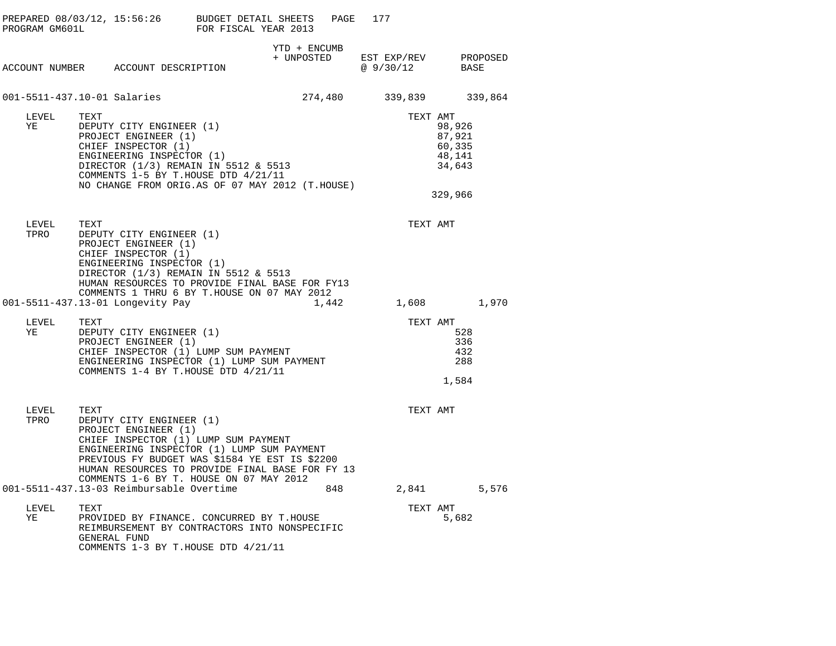| PROGRAM GM601L | PREPARED 08/03/12, 15:56:26 BUDGET DETAIL SHEETS                                                                                                                                                                                                                                               | FOR FISCAL YEAR 2013 |                            | PAGE  | 177                     |          |                                                |          |
|----------------|------------------------------------------------------------------------------------------------------------------------------------------------------------------------------------------------------------------------------------------------------------------------------------------------|----------------------|----------------------------|-------|-------------------------|----------|------------------------------------------------|----------|
|                | ACCOUNT NUMBER ACCOUNT DESCRIPTION                                                                                                                                                                                                                                                             |                      | YTD + ENCUMB<br>+ UNPOSTED |       | EST EXP/REV<br>@9/30/12 |          | BASE                                           | PROPOSED |
|                | 001-5511-437.10-01 Salaries                                                                                                                                                                                                                                                                    |                      | 274,480                    |       | 339,839                 |          |                                                | 339,864  |
| LEVEL<br>ΥE    | TEXT<br>DEPUTY CITY ENGINEER (1)<br>PROJECT ENGINEER (1)<br>CHIEF INSPECTOR (1)<br>ENGINEERING INSPECTOR (1)<br>DIRECTOR (1/3) REMAIN IN 5512 & 5513<br>COMMENTS 1-5 BY T.HOUSE DTD 4/21/11<br>NO CHANGE FROM ORIG.AS OF 07 MAY 2012 (T.HOUSE)                                                 |                      |                            |       |                         | TEXT AMT | 98,926<br>87,921<br>60,335<br>48,141<br>34,643 |          |
|                |                                                                                                                                                                                                                                                                                                |                      |                            |       |                         |          | 329,966                                        |          |
| LEVEL<br>TPRO  | TEXT<br>DEPUTY CITY ENGINEER (1)<br>PROJECT ENGINEER (1)<br>CHIEF INSPECTOR (1)<br>ENGINEERING INSPECTOR (1)<br>DIRECTOR (1/3) REMAIN IN 5512 & 5513<br>HUMAN RESOURCES TO PROVIDE FINAL BASE FOR FY13                                                                                         |                      |                            |       |                         | TEXT AMT |                                                |          |
|                | COMMENTS 1 THRU 6 BY T.HOUSE ON 07 MAY 2012<br>001-5511-437.13-01 Longevity Pay                                                                                                                                                                                                                |                      |                            | 1,442 |                         |          | 1,608                                          | 1,970    |
| LEVEL<br>ΥE    | TEXT<br>DEPUTY CITY ENGINEER (1)<br>PROJECT ENGINEER (1)<br>CHIEF INSPECTOR (1) LUMP SUM PAYMENT<br>ENGINEERING INSPECTOR (1) LUMP SUM PAYMENT<br>COMMENTS 1-4 BY T.HOUSE DTD 4/21/11                                                                                                          |                      |                            |       |                         | TEXT AMT | 528<br>336<br>432<br>288<br>1,584              |          |
| LEVEL<br>TPRO  | TEXT<br>DEPUTY CITY ENGINEER (1)<br>PROJECT ENGINEER (1)<br>CHIEF INSPECTOR (1) LUMP SUM PAYMENT<br>ENGINEERING INSPECTOR (1) LUMP SUM PAYMENT<br>PREVIOUS FY BUDGET WAS \$1584 YE EST IS \$2200<br>HUMAN RESOURCES TO PROVIDE FINAL BASE FOR FY 13<br>COMMENTS 1-6 BY T. HOUSE ON 07 MAY 2012 |                      |                            |       |                         | TEXT AMT |                                                |          |
|                | 001-5511-437.13-03 Reimbursable Overtime                                                                                                                                                                                                                                                       |                      |                            | 848   |                         |          | 2,841                                          | 5,576    |
| LEVEL<br>ΥE    | TEXT<br>PROVIDED BY FINANCE. CONCURRED BY T.HOUSE<br>REIMBURSEMENT BY CONTRACTORS INTO NONSPECIFIC<br>GENERAL FUND<br>COMMENTS 1-3 BY T.HOUSE DTD 4/21/11                                                                                                                                      |                      |                            |       |                         | TEXT AMT | 5,682                                          |          |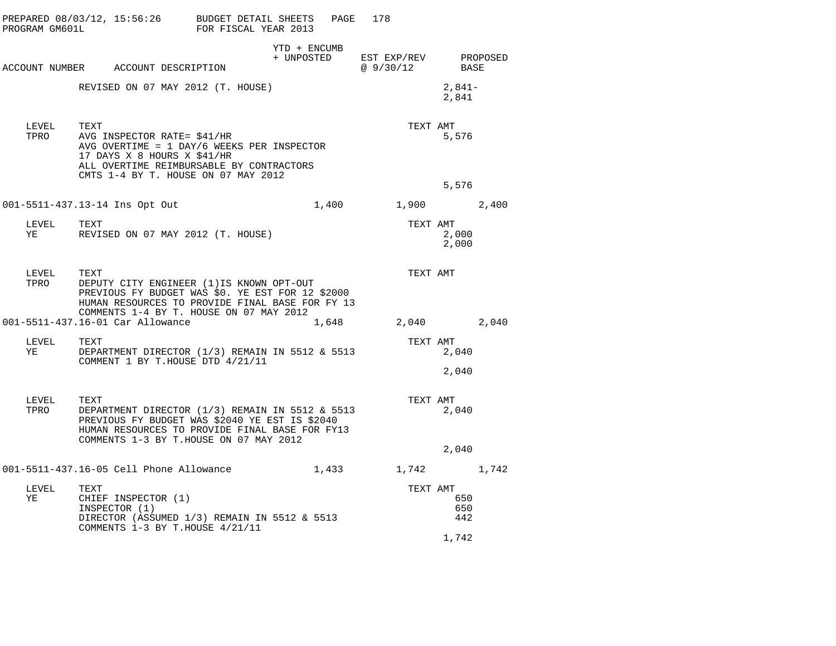| PROGRAM GM601L     | PREPARED 08/03/12, 15:56:26 BUDGET DETAIL SHEETS                                                                                                                                                      | FOR FISCAL YEAR 2013 |              | PAGE  | 178                                            |                   |  |
|--------------------|-------------------------------------------------------------------------------------------------------------------------------------------------------------------------------------------------------|----------------------|--------------|-------|------------------------------------------------|-------------------|--|
|                    | ACCOUNT NUMBER ACCOUNT DESCRIPTION                                                                                                                                                                    |                      | YTD + ENCUMB |       | + UNPOSTED EST EXP/REV PROPOSED<br>@ $9/30/12$ | BASE              |  |
|                    | REVISED ON 07 MAY 2012 (T. HOUSE)                                                                                                                                                                     |                      |              |       |                                                | $2,841-$<br>2,841 |  |
| LEVEL<br>TPRO      | TEXT<br>AVG INSPECTOR RATE= \$41/HR<br>AVG OVERTIME = $1$ DAY/6 WEEKS PER INSPECTOR<br>17 DAYS X 8 HOURS X \$41/HR<br>ALL OVERTIME REIMBURSABLE BY CONTRACTORS<br>CMTS 1-4 BY T. HOUSE ON 07 MAY 2012 |                      |              |       | TEXT AMT                                       | 5,576<br>5,576    |  |
|                    | 001-5511-437.13-14 Ins Opt Out                                                                                                                                                                        |                      |              | 1,400 | 1,900 2,400                                    |                   |  |
| LEVEL<br>YE        | TEXT<br>REVISED ON 07 MAY 2012 (T. HOUSE)                                                                                                                                                             |                      |              |       | TEXT AMT                                       | 2,000<br>2,000    |  |
| LEVEL TEXT<br>TPRO | DEPUTY CITY ENGINEER (1) IS KNOWN OPT-OUT<br>PREVIOUS FY BUDGET WAS \$0. YE EST FOR 12 \$2000<br>HUMAN RESOURCES TO PROVIDE FINAL BASE FOR FY 13<br>COMMENTS 1-4 BY T. HOUSE ON 07 MAY 2012           |                      |              |       | TEXT AMT                                       |                   |  |
|                    | 001-5511-437.16-01 Car Allowance                                                                                                                                                                      |                      |              | 1,648 | 2,040 2,040                                    |                   |  |
| LEVEL TEXT<br>YE   | DEPARTMENT DIRECTOR (1/3) REMAIN IN 5512 & 5513<br>COMMENT 1 BY T.HOUSE DTD 4/21/11                                                                                                                   |                      |              |       | TEXT AMT                                       | 2,040             |  |
|                    |                                                                                                                                                                                                       |                      |              |       |                                                | 2,040             |  |
| LEVEL<br>TPRO      | TEXT<br>DEPARTMENT DIRECTOR (1/3) REMAIN IN 5512 & 5513<br>PREVIOUS FY BUDGET WAS \$2040 YE EST IS \$2040<br>HUMAN RESOURCES TO PROVIDE FINAL BASE FOR FY13<br>COMMENTS 1-3 BY T.HOUSE ON 07 MAY 2012 |                      |              |       | TEXT AMT                                       | 2,040             |  |
|                    |                                                                                                                                                                                                       |                      |              |       |                                                | 2,040             |  |
|                    |                                                                                                                                                                                                       |                      | 1,433        |       | 1,742 1,742                                    |                   |  |
| LEVEL<br>ΥE        | TEXT<br>CHIEF INSPECTOR (1)<br>INSPECTOR (1)<br>DIRECTOR (ASSUMED 1/3) REMAIN IN 5512 & 5513                                                                                                          |                      |              |       | TEXT AMT                                       | 650<br>650<br>442 |  |
|                    | COMMENTS 1-3 BY T.HOUSE 4/21/11                                                                                                                                                                       |                      |              |       |                                                | 1,742             |  |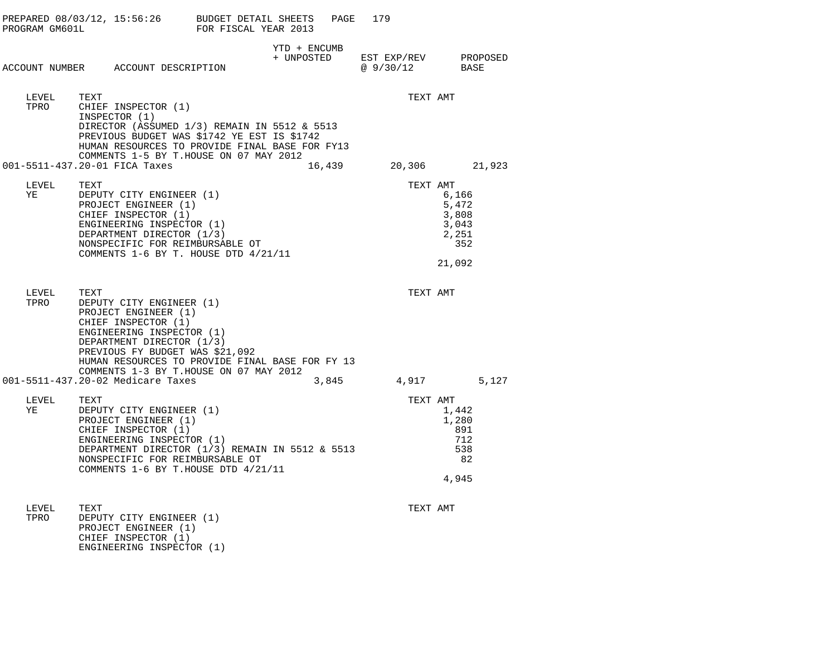| PROGRAM GM601L |                                                                                                                                                                                                                        | PREPARED 08/03/12, 15:56:26 BUDGET DETAIL SHEETS<br>FOR FISCAL YEAR 2013                                                                      | PAGE   | 179                      |                                                            |
|----------------|------------------------------------------------------------------------------------------------------------------------------------------------------------------------------------------------------------------------|-----------------------------------------------------------------------------------------------------------------------------------------------|--------|--------------------------|------------------------------------------------------------|
|                | ACCOUNT NUMBER ACCOUNT DESCRIPTION                                                                                                                                                                                     | YTD + ENCUMB<br>+ UNPOSTED                                                                                                                    |        | EST EXP/REV<br>@ 9/30/12 | PROPOSED<br>BASE                                           |
| LEVEL<br>TPRO  | TEXT<br>CHIEF INSPECTOR (1)<br>INSPECTOR (1)<br>COMMENTS 1-5 BY T.HOUSE ON 07 MAY 2012                                                                                                                                 | DIRECTOR (ASSUMED 1/3) REMAIN IN 5512 & 5513<br>PREVIOUS BUDGET WAS \$1742 YE EST IS \$1742<br>HUMAN RESOURCES TO PROVIDE FINAL BASE FOR FY13 |        | TEXT AMT                 |                                                            |
|                | 001-5511-437.20-01 FICA Taxes                                                                                                                                                                                          |                                                                                                                                               | 16,439 |                          | 20,306 21,923                                              |
| LEVEL<br>ΥE    | TEXT<br>DEPUTY CITY ENGINEER (1)<br>PROJECT ENGINEER (1)<br>CHIEF INSPECTOR (1)<br>ENGINEERING INSPECTOR (1)<br>DEPARTMENT DIRECTOR (1/3)<br>NONSPECIFIC FOR REIMBURSABLE OT<br>COMMENTS 1-6 BY T. HOUSE DTD 4/21/11   |                                                                                                                                               |        | TEXT AMT                 | 6,166<br>5,472<br>3,808<br>3,043<br>2,251<br>352<br>21,092 |
| LEVEL<br>TPRO  | TEXT<br>DEPUTY CITY ENGINEER (1)<br>PROJECT ENGINEER (1)<br>CHIEF INSPECTOR (1)<br>ENGINEERING INSPECTOR (1)<br>DEPARTMENT DIRECTOR (1/3)<br>PREVIOUS FY BUDGET WAS \$21,092<br>COMMENTS 1-3 BY T.HOUSE ON 07 MAY 2012 | HUMAN RESOURCES TO PROVIDE FINAL BASE FOR FY 13                                                                                               |        | TEXT AMT                 |                                                            |
|                | 001-5511-437.20-02 Medicare Taxes                                                                                                                                                                                      |                                                                                                                                               | 3,845  |                          | 4,917<br>5,127                                             |
| LEVEL<br>ΥE    | TEXT<br>DEPUTY CITY ENGINEER (1)<br>PROJECT ENGINEER (1)<br>CHIEF INSPECTOR (1)<br>ENGINEERING INSPECTOR (1)<br>NONSPECIFIC FOR REIMBURSABLE OT<br>COMMENTS 1-6 BY T.HOUSE DTD 4/21/11                                 | DEPARTMENT DIRECTOR (1/3) REMAIN IN 5512 & 5513                                                                                               |        | TEXT AMT                 | 1,442<br>1,280<br>891<br>712<br>538<br>82<br>4,945         |
| LEVEL          | TEXT                                                                                                                                                                                                                   |                                                                                                                                               |        | TEXT AMT                 |                                                            |

TPRO DEPUTY CITY ENGINEER (1) PROJECT ENGINEER (1) CHIEF INSPECTOR (1) ENGINEERING INSPECTOR (1)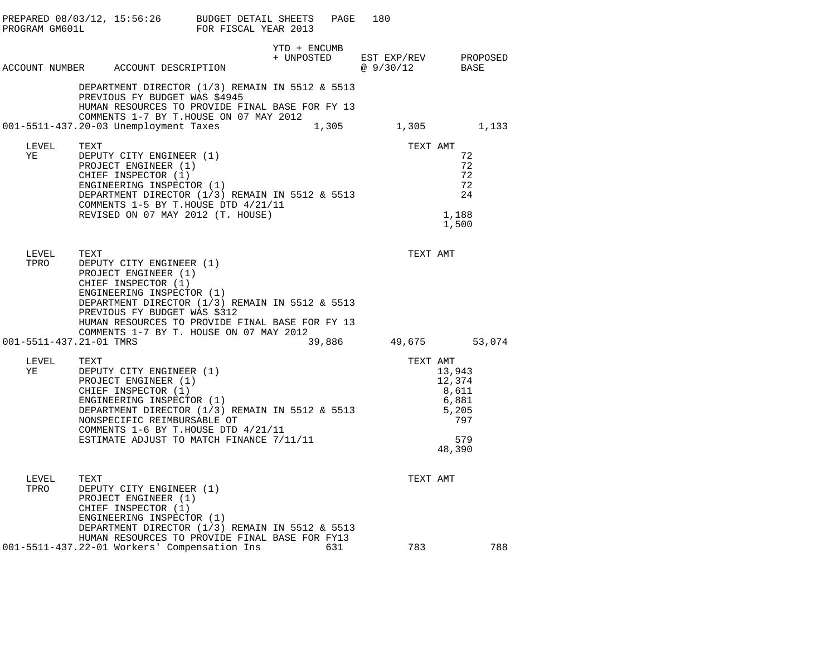| PROGRAM GM601L | PREPARED 08/03/12, 15:56:26 |                                                                                                                                                                                                                                                                                       | BUDGET DETAIL SHEETS<br>FOR FISCAL YEAR 2013 | PAGE   | 180                      |                                                                     |
|----------------|-----------------------------|---------------------------------------------------------------------------------------------------------------------------------------------------------------------------------------------------------------------------------------------------------------------------------------|----------------------------------------------|--------|--------------------------|---------------------------------------------------------------------|
|                |                             | ACCOUNT NUMBER ACCOUNT DESCRIPTION                                                                                                                                                                                                                                                    | YTD + ENCUMB<br>+ UNPOSTED                   |        | EST EXP/REV<br>@ 9/30/12 | PROPOSED<br>BASE                                                    |
|                |                             | DEPARTMENT DIRECTOR (1/3) REMAIN IN 5512 & 5513<br>PREVIOUS FY BUDGET WAS \$4945<br>HUMAN RESOURCES TO PROVIDE FINAL BASE FOR FY 13<br>COMMENTS 1-7 BY T.HOUSE ON 07 MAY 2012                                                                                                         |                                              |        |                          |                                                                     |
|                |                             | 001-5511-437.20-03 Unemployment Taxes                                                                                                                                                                                                                                                 |                                              | 1,305  | 1,305                    | 1,133                                                               |
| LEVEL<br>ΥE    | TEXT                        | DEPUTY CITY ENGINEER (1)<br>PROJECT ENGINEER (1)<br>CHIEF INSPECTOR (1)<br>ENGINEERING INSPECTOR (1)<br>DEPARTMENT DIRECTOR $(1/3)$ REMAIN IN 5512 & 5513<br>COMMENTS 1-5 BY T.HOUSE DTD 4/21/11<br>REVISED ON 07 MAY 2012 (T. HOUSE)                                                 |                                              |        | TEXT AMT                 | 72<br>72<br>72<br>72<br>24<br>1,188<br>1,500                        |
| LEVEL<br>TPRO  | TEXT                        | DEPUTY CITY ENGINEER (1)<br>PROJECT ENGINEER (1)<br>CHIEF INSPECTOR (1)<br>ENGINEERING INSPECTOR (1)<br>DEPARTMENT DIRECTOR (1/3) REMAIN IN 5512 & 5513<br>PREVIOUS FY BUDGET WAS \$312<br>HUMAN RESOURCES TO PROVIDE FINAL BASE FOR FY 13<br>COMMENTS 1-7 BY T. HOUSE ON 07 MAY 2012 |                                              |        | TEXT AMT                 |                                                                     |
|                | 001-5511-437.21-01 TMRS     |                                                                                                                                                                                                                                                                                       |                                              | 39,886 |                          | 49,675 53,074                                                       |
| LEVEL<br>ΥE    | TEXT                        | DEPUTY CITY ENGINEER (1)<br>PROJECT ENGINEER (1)<br>CHIEF INSPECTOR (1)<br>ENGINEERING INSPECTOR (1)<br>DEPARTMENT DIRECTOR (1/3) REMAIN IN 5512 & 5513<br>NONSPECIFIC REIMBURSABLE OT<br>COMMENTS 1-6 BY T.HOUSE DTD 4/21/11<br>ESTIMATE ADJUST TO MATCH FINANCE 7/11/11             |                                              |        | TEXT AMT                 | 13,943<br>12,374<br>8,611<br>6,881<br>5,205<br>797<br>579<br>48,390 |
| LEVEL<br>TPRO  | TEXT                        | DEPUTY CITY ENGINEER (1)<br>PROJECT ENGINEER (1)<br>CHIEF INSPECTOR (1)<br>ENGINEERING INSPECTOR (1)<br>DEPARTMENT DIRECTOR (1/3) REMAIN IN 5512 & 5513                                                                                                                               |                                              |        | TEXT AMT                 |                                                                     |
|                |                             | HUMAN RESOURCES TO PROVIDE FINAL BASE FOR FY13<br>001-5511-437.22-01 Workers' Compensation Ins                                                                                                                                                                                        |                                              | 631    | 783                      | 788                                                                 |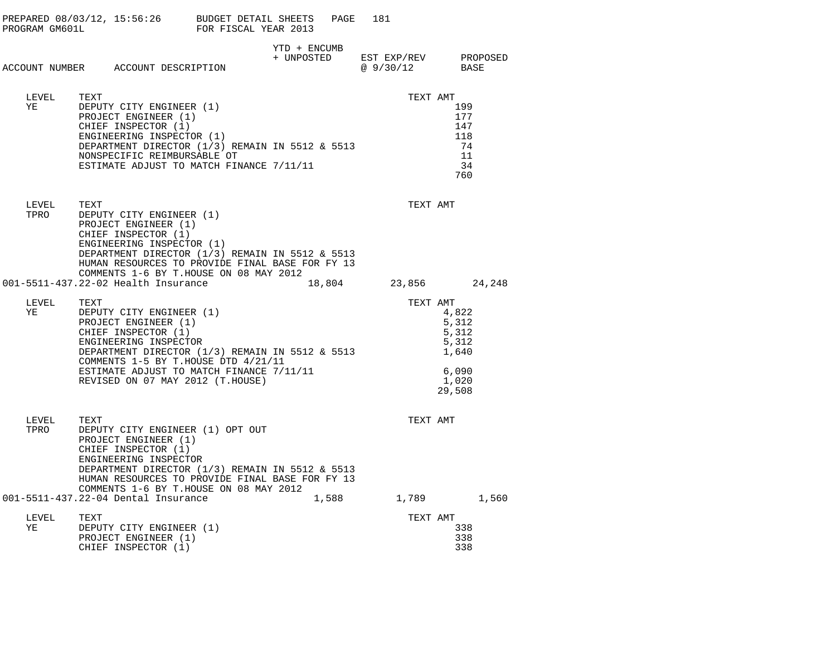|               |                                                                                                                                                                                                                                                                                    |                                                 | PAGE  | 181                  |          |                                                                       |  |
|---------------|------------------------------------------------------------------------------------------------------------------------------------------------------------------------------------------------------------------------------------------------------------------------------------|-------------------------------------------------|-------|----------------------|----------|-----------------------------------------------------------------------|--|
|               | ACCOUNT NUMBER ACCOUNT DESCRIPTION                                                                                                                                                                                                                                                 | YTD + ENCUMB<br>+ UNPOSTED EST EXP/REV PROPOSED |       | @ 9/30/12            |          | BASE                                                                  |  |
| LEVEL<br>YE   | TEXT<br>DEPUTY CITY ENGINEER (1)<br>PROJECT ENGINEER (1)<br>CHIEF INSPECTOR (1)<br>ENGINEERING INSPECTOR (1)<br>DEPARTMENT DIRECTOR $(1/3)$ REMAIN IN 5512 & 5513<br>NONSPECIFIC REIMBURSABLE OT<br>ESTIMATE ADJUST TO MATCH FINANCE 7/11/11                                       |                                                 |       |                      | TEXT AMT | 199<br>177<br>147<br>118<br>74<br>11<br>34<br>760                     |  |
| LEVEL<br>TPRO | TEXT<br>DEPUTY CITY ENGINEER (1)<br>PROJECT ENGINEER (1)<br>CHIEF INSPECTOR (1)<br>ENGINEERING INSPECTOR (1)<br>DEPARTMENT DIRECTOR (1/3) REMAIN IN 5512 & 5513<br>HUMAN RESOURCES TO PROVIDE FINAL BASE FOR FY 13<br>COMMENTS 1-6 BY T.HOUSE ON 08 MAY 2012                       |                                                 |       |                      | TEXT AMT |                                                                       |  |
|               | 001-5511-437.22-02 Health Insurance                                                                                                                                                                                                                                                |                                                 |       | 18,804 23,856 24,248 |          |                                                                       |  |
| LEVEL<br>YE   | TEXT<br>DEPUTY CITY ENGINEER (1)<br>PROJECT ENGINEER (1)<br>CHIEF INSPECTOR (1)<br>ENGINEERING INSPECTOR<br>DEPARTMENT DIRECTOR (1/3) REMAIN IN 5512 & 5513<br>COMMENTS 1-5 BY T.HOUSE DTD 4/21/11<br>ESTIMATE ADJUST TO MATCH FINANCE 7/11/11<br>REVISED ON 07 MAY 2012 (T.HOUSE) |                                                 |       |                      | TEXT AMT | 4,822<br>5,312<br>5,312<br>5,312<br>1,640<br>6,090<br>1,020<br>29,508 |  |
| LEVEL<br>TPRO | TEXT<br>DEPUTY CITY ENGINEER (1) OPT OUT<br>PROJECT ENGINEER (1)<br>CHIEF INSPECTOR (1)<br>ENGINEERING INSPECTOR<br>DEPARTMENT DIRECTOR (1/3) REMAIN IN 5512 & 5513<br>HUMAN RESOURCES TO PROVIDE FINAL BASE FOR FY 13<br>COMMENTS 1-6 BY T.HOUSE ON 08 MAY 2012                   |                                                 |       |                      | TEXT AMT |                                                                       |  |
| LEVEL<br>YE   | 001-5511-437.22-04 Dental Insurance<br>TEXT<br>DEPUTY CITY ENGINEER (1)<br>PROJECT ENGINEER (1)<br>CHIEF INSPECTOR (1)                                                                                                                                                             |                                                 | 1,588 |                      | TEXT AMT | 1,789 1,560<br>338<br>338<br>338                                      |  |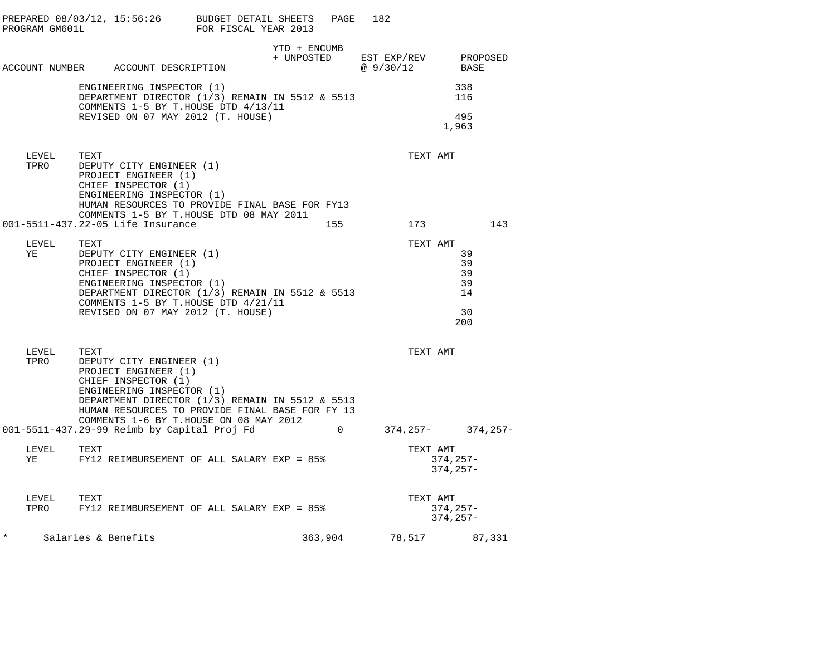|        | PROGRAM GM601L     | PREPARED 08/03/12, 15:56:26 BUDGET DETAIL SHEETS                                                                                                                                                                                                             | FOR FISCAL YEAR 2013 |                            | PAGE        | 182                     |          |                                          |                  |        |
|--------|--------------------|--------------------------------------------------------------------------------------------------------------------------------------------------------------------------------------------------------------------------------------------------------------|----------------------|----------------------------|-------------|-------------------------|----------|------------------------------------------|------------------|--------|
|        |                    | ACCOUNT NUMBER ACCOUNT DESCRIPTION                                                                                                                                                                                                                           |                      | YTD + ENCUMB<br>+ UNPOSTED |             | EST EXP/REV<br>@9/30/12 |          |                                          | PROPOSED<br>BASE |        |
|        |                    | ENGINEERING INSPECTOR (1)<br>DEPARTMENT DIRECTOR (1/3) REMAIN IN 5512 & 5513<br>COMMENTS 1-5 BY T.HOUSE DTD 4/13/11                                                                                                                                          |                      |                            |             |                         |          | 338<br>116                               |                  |        |
|        |                    | REVISED ON 07 MAY 2012 (T. HOUSE)                                                                                                                                                                                                                            |                      |                            |             |                         |          | 495<br>1,963                             |                  |        |
|        | LEVEL<br>TPRO      | TEXT<br>DEPUTY CITY ENGINEER (1)<br>PROJECT ENGINEER (1)<br>CHIEF INSPECTOR (1)<br>ENGINEERING INSPECTOR (1)<br>HUMAN RESOURCES TO PROVIDE FINAL BASE FOR FY13                                                                                               |                      |                            |             |                         |          | TEXT AMT                                 |                  |        |
|        |                    | COMMENTS 1-5 BY T.HOUSE DTD 08 MAY 2011<br>001-5511-437.22-05 Life Insurance                                                                                                                                                                                 |                      |                            | 155         |                         |          | 173                                      |                  | 143    |
|        | LEVEL<br>YE        | TEXT<br>DEPUTY CITY ENGINEER (1)<br>PROJECT ENGINEER (1)<br>CHIEF INSPECTOR (1)<br>ENGINEERING INSPECTOR (1)<br>DEPARTMENT DIRECTOR (1/3) REMAIN IN 5512 & 5513<br>COMMENTS 1-5 BY T.HOUSE DTD 4/21/11<br>REVISED ON 07 MAY 2012 (T. HOUSE)                  |                      |                            |             |                         | TEXT AMT | 39<br>39<br>39<br>39<br>14<br>30<br>200  |                  |        |
|        | LEVEL<br>TPRO      | TEXT<br>DEPUTY CITY ENGINEER (1)<br>PROJECT ENGINEER (1)<br>CHIEF INSPECTOR (1)<br>ENGINEERING INSPECTOR (1)<br>DEPARTMENT DIRECTOR (1/3) REMAIN IN 5512 & 5513<br>HUMAN RESOURCES TO PROVIDE FINAL BASE FOR FY 13<br>COMMENTS 1-6 BY T.HOUSE ON 08 MAY 2012 |                      |                            |             |                         |          | TEXT AMT                                 |                  |        |
|        |                    | 001-5511-437.29-99 Reimb by Capital Proj Fd                                                                                                                                                                                                                  |                      |                            | $\mathbf 0$ |                         |          | $374, 257 - 374, 257 -$                  |                  |        |
|        | LEVEL<br>YE        | TEXT<br>FY12 REIMBURSEMENT OF ALL SALARY EXP = 85%                                                                                                                                                                                                           |                      |                            |             |                         |          | TEXT AMT<br>$374, 257 -$<br>$374, 257 -$ |                  |        |
|        | LEVEL TEXT<br>TPRO | FY12 REIMBURSEMENT OF ALL SALARY EXP = 85%                                                                                                                                                                                                                   |                      |                            |             |                         |          | TEXT AMT<br>$374, 257 -$<br>$374, 257 -$ |                  |        |
| $\ast$ |                    | Salaries & Benefits                                                                                                                                                                                                                                          |                      |                            | 363,904     | 78,517                  |          |                                          |                  | 87,331 |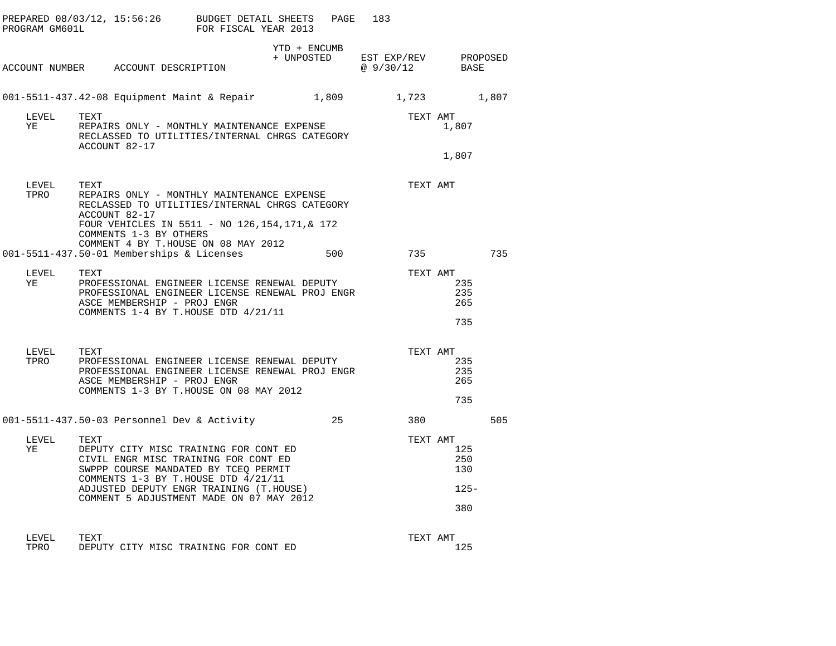| PROGRAM GM601L | PREPARED 08/03/12, 15:56:26 BUDGET DETAIL SHEETS                                                                                                                                                                                                            | FOR FISCAL YEAR 2013 | PAGE                       | 183                      |                                     |          |
|----------------|-------------------------------------------------------------------------------------------------------------------------------------------------------------------------------------------------------------------------------------------------------------|----------------------|----------------------------|--------------------------|-------------------------------------|----------|
|                | ACCOUNT NUMBER ACCOUNT DESCRIPTION                                                                                                                                                                                                                          |                      | YTD + ENCUMB<br>+ UNPOSTED | EST EXP/REV<br>@ 9/30/12 | BASE                                | PROPOSED |
|                | 001-5511-437.42-08 Equipment Maint & Repair                                                                                                                                                                                                                 |                      | 1,809                      | 1,723                    |                                     | 1,807    |
| LEVEL<br>YE    | TEXT<br>REPAIRS ONLY - MONTHLY MAINTENANCE EXPENSE<br>RECLASSED TO UTILITIES/INTERNAL CHRGS CATEGORY<br>ACCOUNT 82-17                                                                                                                                       |                      |                            | TEXT AMT                 | 1,807                               |          |
|                |                                                                                                                                                                                                                                                             |                      |                            |                          | 1,807                               |          |
| LEVEL<br>TPRO  | TEXT<br>REPAIRS ONLY - MONTHLY MAINTENANCE EXPENSE<br>RECLASSED TO UTILITIES/INTERNAL CHRGS CATEGORY<br>ACCOUNT 82-17                                                                                                                                       |                      |                            | TEXT AMT                 |                                     |          |
|                | FOUR VEHICLES IN 5511 - NO 126, 154, 171, & 172<br>COMMENTS 1-3 BY OTHERS                                                                                                                                                                                   |                      |                            |                          |                                     |          |
|                | COMMENT 4 BY T.HOUSE ON 08 MAY 2012<br>001-5511-437.50-01 Memberships & Licenses                                                                                                                                                                            |                      | 500                        | 735 — 17                 |                                     | 735      |
| LEVEL<br>ΥE    | TEXT<br>PROFESSIONAL ENGINEER LICENSE RENEWAL DEPUTY<br>PROFESSIONAL ENGINEER LICENSE RENEWAL PROJ ENGR<br>ASCE MEMBERSHIP - PROJ ENGR<br>COMMENTS 1-4 BY T.HOUSE DTD 4/21/11                                                                               |                      |                            | TEXT AMT                 | 235<br>235<br>265<br>735            |          |
| LEVEL<br>TPRO  | TEXT<br>PROFESSIONAL ENGINEER LICENSE RENEWAL DEPUTY<br>PROFESSIONAL ENGINEER LICENSE RENEWAL PROJ ENGR<br>ASCE MEMBERSHIP - PROJ ENGR<br>COMMENTS 1-3 BY T.HOUSE ON 08 MAY 2012                                                                            |                      |                            | TEXT AMT                 | 235<br>235<br>265<br>735            |          |
|                | 001-5511-437.50-03 Personnel Dev & Activity                                                                                                                                                                                                                 |                      | 25                         | 380                      |                                     | 505      |
| LEVEL<br>ΥE    | TEXT<br>DEPUTY CITY MISC TRAINING FOR CONT ED<br>CIVIL ENGR MISC TRAINING FOR CONT ED<br>SWPPP COURSE MANDATED BY TCEQ PERMIT<br>COMMENTS 1-3 BY T.HOUSE DTD 4/21/11<br>ADJUSTED DEPUTY ENGR TRAINING (T.HOUSE)<br>COMMENT 5 ADJUSTMENT MADE ON 07 MAY 2012 |                      |                            | TEXT AMT                 | 125<br>250<br>130<br>$125 -$<br>380 |          |
| LEVEL<br>TPRO  | TEXT<br>DEPUTY CITY MISC TRAINING FOR CONT ED                                                                                                                                                                                                               |                      |                            | TEXT AMT                 | 125                                 |          |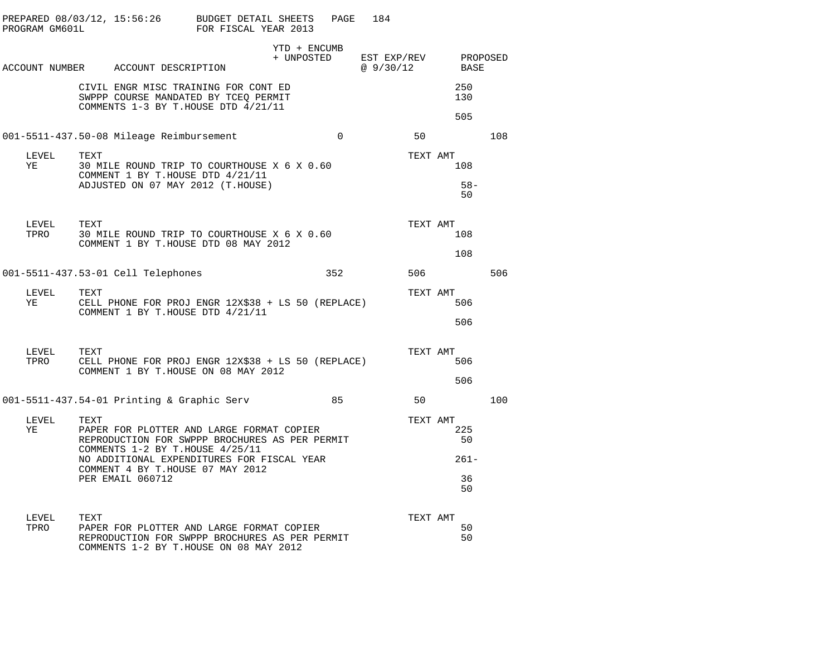|               |      |                                            | PREPARED 08/03/12, 15:56:26 BUDGET DETAIL SHEETS PAGE 184<br>PROGRAM GM601L                           FOR FISCAL YEAR 2013            |              |          |           |                                         |     |
|---------------|------|--------------------------------------------|---------------------------------------------------------------------------------------------------------------------------------------|--------------|----------|-----------|-----------------------------------------|-----|
|               |      | ACCOUNT NUMBER ACCOUNT DESCRIPTION         |                                                                                                                                       | YTD + ENCUMB |          | @ 9/30/12 | + UNPOSTED EST EXP/REV PROPOSED<br>BASE |     |
|               |      |                                            | CIVIL ENGR MISC TRAINING FOR CONT ED<br>SWPPP COURSE MANDATED BY TCEO PERMIT<br>COMMENTS 1-3 BY T.HOUSE DTD 4/21/11                   |              |          |           | 250<br>130<br>505                       |     |
|               |      | 001-5511-437.50-08 Mileage Reimbursement   |                                                                                                                                       |              | $\Omega$ | 50        |                                         | 108 |
| LEVEL<br>YE   | TEXT |                                            | 30 MILE ROUND TRIP TO COURTHOUSE X 6 X 0.60<br>COMMENT 1 BY T.HOUSE DTD 4/21/11                                                       |              |          | TEXT AMT  | 108                                     |     |
|               |      |                                            | ADJUSTED ON 07 MAY 2012 (T.HOUSE)                                                                                                     |              |          |           | $58 -$<br>50                            |     |
| LEVEL<br>TPRO | TEXT |                                            | 30 MILE ROUND TRIP TO COURTHOUSE X 6 X 0.60                                                                                           |              |          | TEXT AMT  | 108                                     |     |
|               |      |                                            | COMMENT 1 BY T.HOUSE DTD 08 MAY 2012                                                                                                  |              |          |           | 108                                     |     |
|               |      | 001-5511-437.53-01 Cell Telephones         |                                                                                                                                       |              | 352      | 506       |                                         | 506 |
| LEVEL<br>YE   | TEXT |                                            | CELL PHONE FOR PROJ ENGR 12X\$38 + LS 50 (REPLACE)<br>COMMENT 1 BY T.HOUSE DTD 4/21/11                                                |              |          | TEXT AMT  | 506                                     |     |
|               |      |                                            |                                                                                                                                       |              |          |           | 506                                     |     |
| LEVEL<br>TPRO | TEXT |                                            | CELL PHONE FOR PROJ ENGR 12X\$38 + LS 50 (REPLACE)<br>COMMENT 1 BY T.HOUSE ON 08 MAY 2012                                             |              |          | TEXT AMT  | 506                                     |     |
|               |      |                                            |                                                                                                                                       |              |          |           | 506                                     |     |
|               |      | 001-5511-437.54-01 Printing & Graphic Serv |                                                                                                                                       |              | 85       | 50        |                                         | 100 |
| LEVEL<br>YE   | TEXT | COMMENTS 1-2 BY T.HOUSE 4/25/11            | PAPER FOR PLOTTER AND LARGE FORMAT COPIER<br>REPRODUCTION FOR SWPPP BROCHURES AS PER PERMIT                                           |              |          | TEXT AMT  | 225<br>50                               |     |
|               |      |                                            | NO ADDITIONAL EXPENDITURES FOR FISCAL YEAR<br>COMMENT 4 BY T.HOUSE 07 MAY 2012                                                        |              |          |           | $261 -$                                 |     |
|               |      | PER EMAIL 060712                           |                                                                                                                                       |              |          |           | 36<br>50                                |     |
| LEVEL         | TEXT |                                            |                                                                                                                                       |              |          | TEXT AMT  |                                         |     |
| TPRO          |      |                                            | PAPER FOR PLOTTER AND LARGE FORMAT COPIER<br>REPRODUCTION FOR SWPPP BROCHURES AS PER PERMIT<br>COMMENTS 1-2 BY T.HOUSE ON 08 MAY 2012 |              |          |           | 50<br>50                                |     |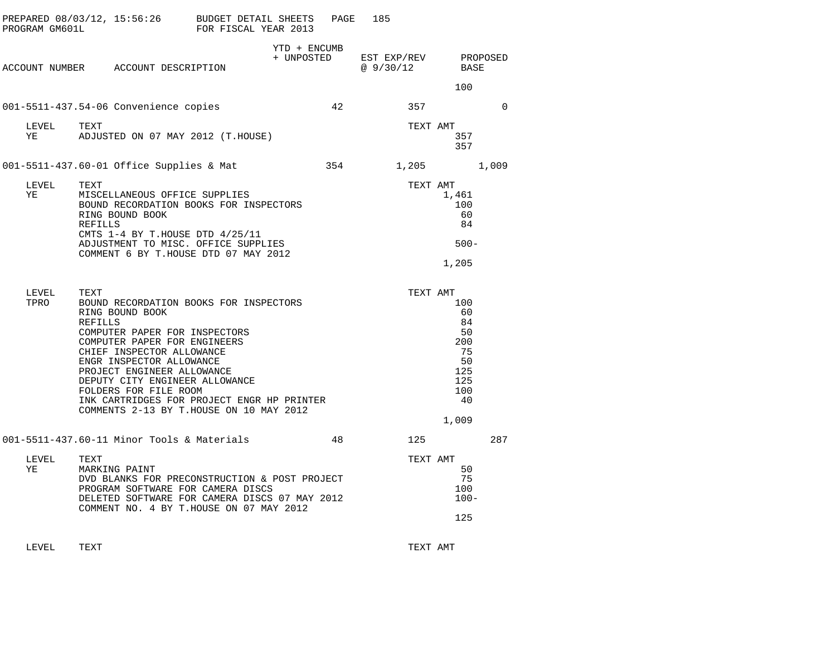| PROGRAM GM601L |                                                                                                                                                           | PREPARED 08/03/12, 15:56:26 BUDGET DETAIL SHEETS<br>FOR FISCAL YEAR 2013                                                                                                                                                           |                            | PAGE | 185                               |                                                                              |             |
|----------------|-----------------------------------------------------------------------------------------------------------------------------------------------------------|------------------------------------------------------------------------------------------------------------------------------------------------------------------------------------------------------------------------------------|----------------------------|------|-----------------------------------|------------------------------------------------------------------------------|-------------|
|                | ACCOUNT NUMBER ACCOUNT DESCRIPTION                                                                                                                        |                                                                                                                                                                                                                                    | YTD + ENCUMB<br>+ UNPOSTED |      | EST EXP/REV PROPOSED<br>@ 9/30/12 | BASE                                                                         |             |
|                |                                                                                                                                                           |                                                                                                                                                                                                                                    |                            |      |                                   | 100                                                                          |             |
|                | 001-5511-437.54-06 Convenience copies                                                                                                                     |                                                                                                                                                                                                                                    |                            | 42   | 357                               |                                                                              | $\mathbf 0$ |
| LEVEL<br>YE    | TEXT                                                                                                                                                      | ADJUSTED ON 07 MAY 2012 (T.HOUSE)                                                                                                                                                                                                  |                            |      | TEXT AMT                          | 357<br>357                                                                   |             |
|                | 001-5511-437.60-01 Office Supplies & Mat                                                                                                                  |                                                                                                                                                                                                                                    |                            | 354  | 1,205                             |                                                                              | 1,009       |
| LEVEL<br>ΥE    | TEXT<br>RING BOUND BOOK<br>REFILLS                                                                                                                        | MISCELLANEOUS OFFICE SUPPLIES<br>BOUND RECORDATION BOOKS FOR INSPECTORS<br>CMTS $1-4$ BY T.HOUSE DTD $4/25/11$<br>ADJUSTMENT TO MISC. OFFICE SUPPLIES<br>COMMENT 6 BY T.HOUSE DTD 07 MAY 2012                                      |                            |      | TEXT AMT                          | 1,461<br>100<br>60<br>84<br>$500 -$<br>1,205                                 |             |
| LEVEL<br>TPRO  | TEXT<br>RING BOUND BOOK<br><b>REFILLS</b><br>CHIEF INSPECTOR ALLOWANCE<br>ENGR INSPECTOR ALLOWANCE<br>PROJECT ENGINEER ALLOWANCE<br>FOLDERS FOR FILE ROOM | BOUND RECORDATION BOOKS FOR INSPECTORS<br>COMPUTER PAPER FOR INSPECTORS<br>COMPUTER PAPER FOR ENGINEERS<br>DEPUTY CITY ENGINEER ALLOWANCE<br>INK CARTRIDGES FOR PROJECT ENGR HP PRINTER<br>COMMENTS 2-13 BY T.HOUSE ON 10 MAY 2012 |                            |      | TEXT AMT                          | 100<br>60<br>84<br>50<br>200<br>75<br>50<br>125<br>125<br>100<br>40<br>1,009 |             |
|                |                                                                                                                                                           | 001-5511-437.60-11 Minor Tools & Materials                                                                                                                                                                                         |                            | 48   | 125                               |                                                                              | 287         |
| LEVEL<br>ΥE    | TEXT<br>MARKING PAINT                                                                                                                                     | DVD BLANKS FOR PRECONSTRUCTION & POST PROJECT<br>PROGRAM SOFTWARE FOR CAMERA DISCS<br>DELETED SOFTWARE FOR CAMERA DISCS 07 MAY 2012<br>COMMENT NO. 4 BY T.HOUSE ON 07 MAY 2012                                                     |                            |      | TEXT AMT                          | 50<br>75<br>100<br>$100 -$<br>125                                            |             |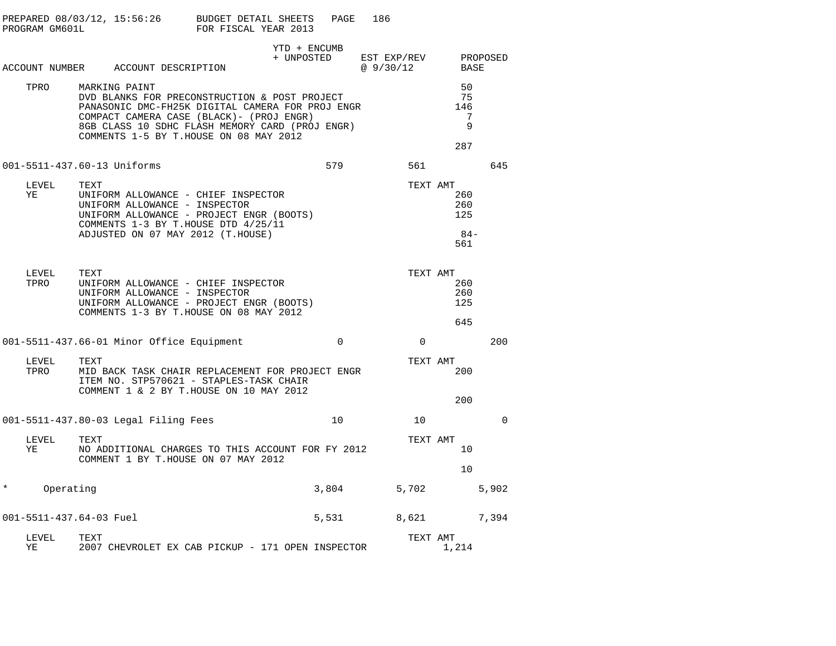|        | PROGRAM GM601L |                                                                                                                                                          | PREPARED 08/03/12, 15:56:26 BUDGET DETAIL SHEETS<br>FOR FISCAL YEAR 2013                                                                                                                          | PAGE     | 186                     |          |                                  |          |
|--------|----------------|----------------------------------------------------------------------------------------------------------------------------------------------------------|---------------------------------------------------------------------------------------------------------------------------------------------------------------------------------------------------|----------|-------------------------|----------|----------------------------------|----------|
|        |                | ACCOUNT NUMBER ACCOUNT DESCRIPTION                                                                                                                       | YTD + ENCUMB<br>+ UNPOSTED                                                                                                                                                                        |          | EST EXP/REV<br>@9/30/12 |          | BASE                             | PROPOSED |
|        | TPRO           | MARKING PAINT<br>COMMENTS 1-5 BY T.HOUSE ON 08 MAY 2012                                                                                                  | DVD BLANKS FOR PRECONSTRUCTION & POST PROJECT<br>PANASONIC DMC-FH25K DIGITAL CAMERA FOR PROJ ENGR<br>COMPACT CAMERA CASE (BLACK) - (PROJ ENGR)<br>8GB CLASS 10 SDHC FLASH MEMORY CARD (PROJ ENGR) |          |                         |          | 50<br>75<br>146<br>7<br>9<br>287 |          |
|        |                | 001-5511-437.60-13 Uniforms                                                                                                                              |                                                                                                                                                                                                   | 579      |                         | 561      |                                  | 645      |
| ΥE     | LEVEL          | TEXT<br>UNIFORM ALLOWANCE - CHIEF INSPECTOR<br>UNIFORM ALLOWANCE - INSPECTOR<br>COMMENTS 1-3 BY T.HOUSE DTD 4/25/11<br>ADJUSTED ON 07 MAY 2012 (T.HOUSE) | UNIFORM ALLOWANCE - PROJECT ENGR (BOOTS)                                                                                                                                                          |          |                         | TEXT AMT | 260<br>260<br>125<br>84–<br>561  |          |
|        | LEVEL<br>TPRO  | TEXT<br>UNIFORM ALLOWANCE - CHIEF INSPECTOR<br>UNIFORM ALLOWANCE - INSPECTOR<br>COMMENTS 1-3 BY T.HOUSE ON 08 MAY 2012                                   | UNIFORM ALLOWANCE - PROJECT ENGR (BOOTS)                                                                                                                                                          |          |                         | TEXT AMT | 260<br>260<br>125<br>645         |          |
|        |                | 001-5511-437.66-01 Minor Office Equipment                                                                                                                |                                                                                                                                                                                                   | $\Omega$ |                         | $\Omega$ |                                  | 200      |
|        | LEVEL<br>TPRO  | TEXT<br>ITEM NO. STP570621 - STAPLES-TASK CHAIR<br>COMMENT 1 & 2 BY T.HOUSE ON 10 MAY 2012                                                               | MID BACK TASK CHAIR REPLACEMENT FOR PROJECT ENGR                                                                                                                                                  |          |                         | TEXT AMT | 200                              |          |
|        |                |                                                                                                                                                          |                                                                                                                                                                                                   |          |                         |          | 200                              |          |
|        |                | 001-5511-437.80-03 Legal Filing Fees                                                                                                                     |                                                                                                                                                                                                   | 10       |                         | 10       |                                  | 0        |
| ΥE     | LEVEL          | TEXT<br>COMMENT 1 BY T.HOUSE ON 07 MAY 2012                                                                                                              | NO ADDITIONAL CHARGES TO THIS ACCOUNT FOR FY 2012                                                                                                                                                 |          |                         | TEXT AMT | 10<br>10                         |          |
| $\ast$ | Operating      |                                                                                                                                                          |                                                                                                                                                                                                   | 3,804    | 5,702                   |          |                                  | 5,902    |
|        |                | 001-5511-437.64-03 Fuel                                                                                                                                  |                                                                                                                                                                                                   | 5,531    | 8,621                   |          |                                  | 7,394    |
| ΥE     | LEVEL          | TEXT                                                                                                                                                     | 2007 CHEVROLET EX CAB PICKUP - 171 OPEN INSPECTOR                                                                                                                                                 |          |                         | TEXT AMT | 1,214                            |          |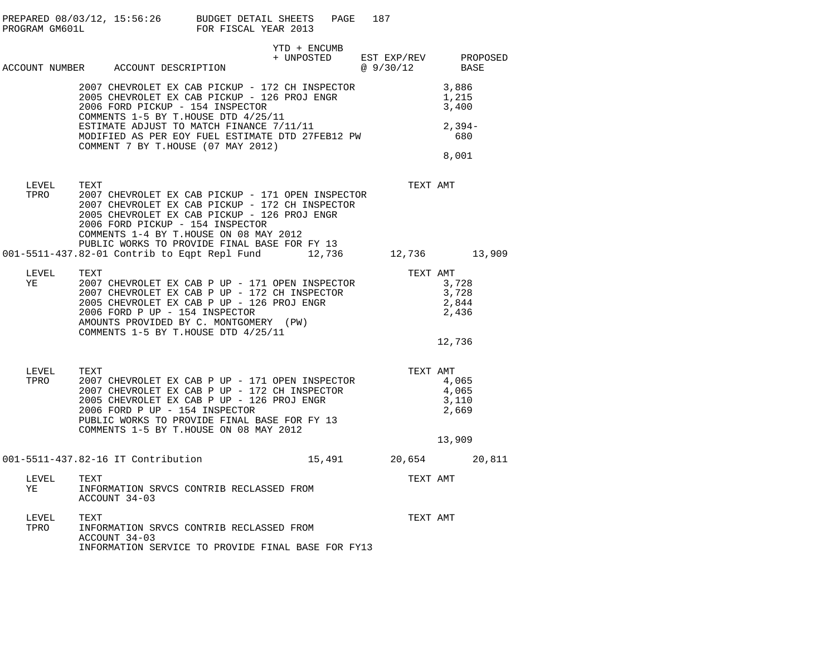|               | PREPARED 08/03/12, 15:56:26 BUDGET DETAIL SHEETS<br>PROGRAM GM601L                                                                                                                                                                                                                                                                                                                                                                                                                                                                                                  | FOR FISCAL YEAR 2013 |              | PAGE<br>187 |                                                                                                            |
|---------------|---------------------------------------------------------------------------------------------------------------------------------------------------------------------------------------------------------------------------------------------------------------------------------------------------------------------------------------------------------------------------------------------------------------------------------------------------------------------------------------------------------------------------------------------------------------------|----------------------|--------------|-------------|------------------------------------------------------------------------------------------------------------|
|               | ACCOUNT NUMBER ACCOUNT DESCRIPTION                                                                                                                                                                                                                                                                                                                                                                                                                                                                                                                                  |                      | YTD + ENCUMB |             | $\begin{tabular}{llll} + & UNPOSTED & EST & EXP/REV & & PROPOSED \\ & @ 9/30/12 & & BASE \\ \end{tabular}$ |
|               | 2007 CHEVROLET EX CAB PICKUP - 172 CH INSPECTOR 3,886<br>2005 CHEVROLET EX CAB PICKUP - 126 PROJ ENGR 1,215<br>1,215<br>2006 FORD PICKUP - 154 INSPECTOR<br>COMMENTS 1-5 BY T.HOUSE DTD 4/25/11                                                                                                                                                                                                                                                                                                                                                                     |                      |              |             | 3,400                                                                                                      |
|               | COMMENTS 1-5 BY T.HOUSE DTD 4/25/11<br>ESTIMATE ADJUST TO MATCH FINANCE 7/11/11<br>MODIFIED AS PER EOY FUEL ESTIMATE DTD 27FEB12 PW 680 680<br>COMMENT 7 BY T.HOUSE (07 MAY 2012)                                                                                                                                                                                                                                                                                                                                                                                   |                      |              |             |                                                                                                            |
|               |                                                                                                                                                                                                                                                                                                                                                                                                                                                                                                                                                                     |                      |              |             | 8,001                                                                                                      |
| LEVEL<br>TPRO | TEXT<br>2007 CHEVROLET EX CAB PICKUP - 171 OPEN INSPECTOR<br>2007 CHEVROLET EX CAB PICKUP - 172 CH INSPECTOR<br>2005 CHEVROLET EX CAB PICKUP - 126 PROJ ENGR<br>2006 FORD PICKUP - 154 INSPECTOR<br>COMMENTS 1-4 BY T.HOUSE ON 08 MAY 2012<br>PUBLIC WORKS TO PROVIDE FINAL BASE FOR FY 13                                                                                                                                                                                                                                                                          |                      |              |             | TEXT AMT                                                                                                   |
|               | 001-5511-437.82-01 Contrib to Eqpt Repl Fund 12,736 12,736 13,909                                                                                                                                                                                                                                                                                                                                                                                                                                                                                                   |                      |              |             |                                                                                                            |
| LEVEL<br>YE   | TEXT<br>$\begin{tabular}{lllllllllllll} \textsc{TEXT} & & & & & \textsc{TEXT} & \textsc{MT} \\ \textsc{2007} & \textsc{CHEVROLET} & \textsc{EX} & \textsc{CAB} & \textsc{P} & \textsc{UP} & - & 171 & \textsc{OPEN} & \textsc{INSERTOR} & & & 3\,,728 \\ \textsc{2007} & \textsc{CHEVROLET} & \textsc{EX} & \textsc{CAB} & \textsc{P} & \textsc{UP} & - & 172 & \textsc{CH} & \textsc{INSERTOR} & & & 3\,,728 \\ \textsc{2005} & \textsc{CHEVRO$<br>2006 FORD P UP - 154 INSPECTOR<br>AMOUNTS PROVIDED BY C. MONTGOMERY (PW)<br>COMMENTS 1-5 BY T.HOUSE DTD 4/25/11 |                      |              |             | TEXT AMT<br>2,436<br>12,736                                                                                |
| LEVEL<br>TPRO | TEXT<br>2007 CHEVROLET EX CAB P UP - 171 OPEN INSPECTOR<br>2007 CHEVROLET EX CAB P UP - 172 CH INSPECTOR<br>2005 CHEVROLET EX CAB P UP - 126 PROJ ENGR<br>2006 FORD P UP - 154 INSPECTOR<br>2006 FORD P UP - 154 INSPECTOR<br>PUBLIC WORKS TO PROVIDE FINAL BASE FOR FY 13<br>COMMENTS 1-5 BY T.HOUSE ON 08 MAY 2012                                                                                                                                                                                                                                                |                      |              |             | TEXT AMT<br>4,065<br>4,065<br>3,110<br>2,669<br>13,909                                                     |
|               | 001-5511-437.82-16 IT Contribution                                                                                                                                                                                                                                                                                                                                                                                                                                                                                                                                  |                      |              |             | 15,491 20,654 20,811                                                                                       |
| LEVEL<br>YE   | TEXT<br>INFORMATION SRVCS CONTRIB RECLASSED FROM<br>ACCOUNT 34-03                                                                                                                                                                                                                                                                                                                                                                                                                                                                                                   |                      |              |             | TEXT AMT                                                                                                   |
| LEVEL<br>TPRO | TEXT<br>INFORMATION SRVCS CONTRIB RECLASSED FROM<br>ACCOUNT 34-03<br>INFORMATION SERVICE TO PROVIDE FINAL BASE FOR FY13                                                                                                                                                                                                                                                                                                                                                                                                                                             |                      |              |             | TEXT AMT                                                                                                   |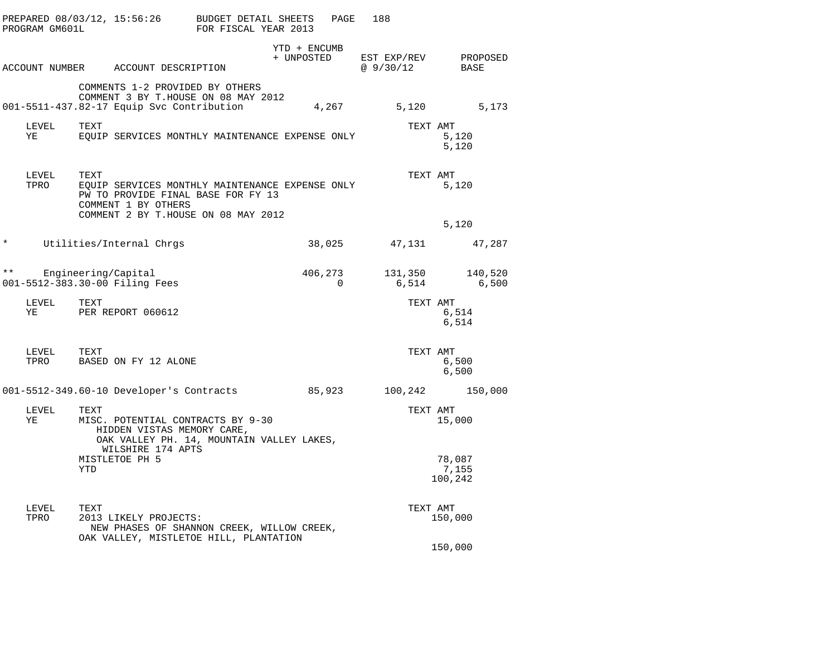|              | PROGRAM GM601L |      | PREPARED 08/03/12, 15:56:26 BUDGET DETAIL SHEETS                                                                    | FOR FISCAL YEAR 2013 |              | PAGE                | 188                                          |                            |
|--------------|----------------|------|---------------------------------------------------------------------------------------------------------------------|----------------------|--------------|---------------------|----------------------------------------------|----------------------------|
|              |                |      | ACCOUNT NUMBER ACCOUNT DESCRIPTION                                                                                  |                      | YTD + ENCUMB |                     | + UNPOSTED EST EXP/REV PROPOSED<br>@ 9/30/12 | BASE                       |
|              |                |      | COMMENTS 1-2 PROVIDED BY OTHERS<br>COMMENT 3 BY T.HOUSE ON 08 MAY 2012<br>001-5511-437.82-17 Equip Svc Contribution |                      |              |                     | 4, 267 5, 120 5, 173                         |                            |
|              | LEVEL<br>YE    | TEXT | EQUIP SERVICES MONTHLY MAINTENANCE EXPENSE ONLY                                                                     |                      |              |                     | TEXT AMT                                     | 5,120<br>5,120             |
|              | LEVEL<br>TPRO  | TEXT | EQUIP SERVICES MONTHLY MAINTENANCE EXPENSE ONLY<br>PW TO PROVIDE FINAL BASE FOR FY 13<br>COMMENT 1 BY OTHERS        |                      |              |                     | TEXT AMT                                     | 5,120                      |
|              |                |      | COMMENT 2 BY T.HOUSE ON 08 MAY 2012                                                                                 |                      |              |                     |                                              | 5,120                      |
| $^\star$     |                |      | Utilities/Internal Chrgs                                                                                            |                      |              | 38,025              |                                              | 47, 131 47, 287            |
| $\star\star$ |                |      | Engineering/Capital<br>001-5512-383.30-00 Filing Fees                                                               |                      |              | 406,273<br>$\Omega$ | 6,514                                        | 131,350 140,520<br>6,500   |
|              | LEVEL<br>YE    | TEXT | PER REPORT 060612                                                                                                   |                      |              |                     | TEXT AMT                                     | 6,514<br>6,514             |
|              | LEVEL<br>TPRO  | TEXT | BASED ON FY 12 ALONE                                                                                                |                      |              |                     | TEXT AMT                                     | 6,500<br>6,500             |
|              |                |      | 001-5512-349.60-10 Developer's Contracts 85,923                                                                     |                      |              |                     | 100,242                                      | 150,000                    |
|              | LEVEL<br>YE    | TEXT | MISC. POTENTIAL CONTRACTS BY 9-30<br>HIDDEN VISTAS MEMORY CARE,<br>OAK VALLEY PH. 14, MOUNTAIN VALLEY LAKES,        |                      |              |                     | TEXT AMT                                     | 15,000                     |
|              |                | YTD  | WILSHIRE 174 APTS<br>MISTLETOE PH 5                                                                                 |                      |              |                     |                                              | 78,087<br>7,155<br>100,242 |
|              | LEVEL<br>TPRO  | TEXT | 2013 LIKELY PROJECTS:<br>NEW PHASES OF SHANNON CREEK, WILLOW CREEK,<br>OAK VALLEY, MISTLETOE HILL, PLANTATION       |                      |              |                     | TEXT AMT                                     | 150,000                    |
|              |                |      |                                                                                                                     |                      |              |                     |                                              | 150,000                    |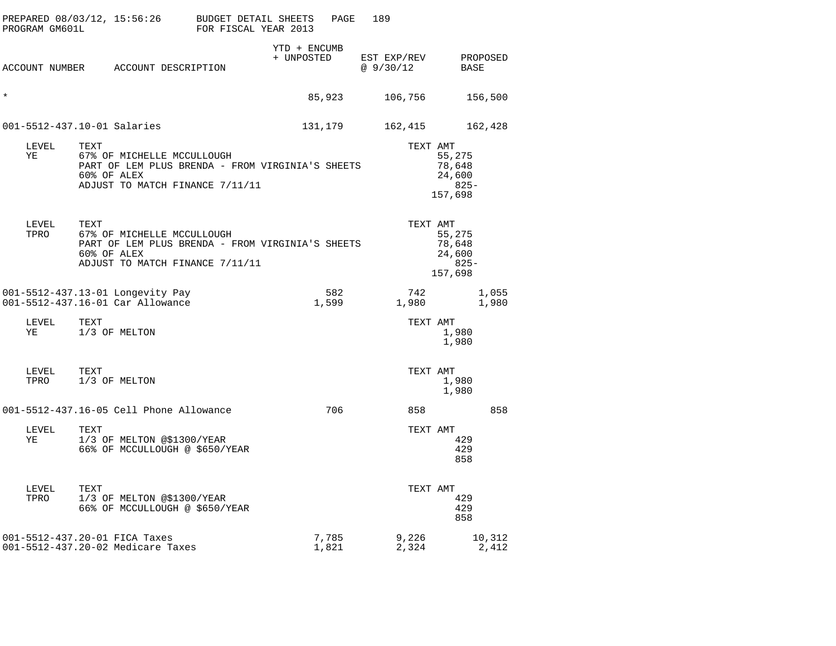| PROGRAM GM601L | PREPARED 08/03/12, 15:56:26 BUDGET DETAIL SHEETS                                                                                         | FOR FISCAL YEAR 2013       | PAGE           | 189                     |                                               |
|----------------|------------------------------------------------------------------------------------------------------------------------------------------|----------------------------|----------------|-------------------------|-----------------------------------------------|
|                | ACCOUNT NUMBER ACCOUNT DESCRIPTION                                                                                                       | YTD + ENCUMB<br>+ UNPOSTED |                | EST EXP/REV<br>@9/30/12 | PROPOSED<br><b>BASE</b>                       |
| $^\star$       |                                                                                                                                          |                            | 85,923         | 106,756                 | 156,500                                       |
|                | 001-5512-437.10-01 Salaries                                                                                                              |                            | 131,179        | 162,415                 | 162,428                                       |
| LEVEL<br>ΥE    | TEXT<br>67% OF MICHELLE MCCULLOUGH<br>PART OF LEM PLUS BRENDA - FROM VIRGINIA'S SHEETS<br>60% OF ALEX<br>ADJUST TO MATCH FINANCE 7/11/11 |                            |                | TEXT AMT                | 55,275<br>78,648<br>24,600<br>825-<br>157,698 |
| LEVEL<br>TPRO  | TEXT<br>67% OF MICHELLE MCCULLOUGH<br>PART OF LEM PLUS BRENDA - FROM VIRGINIA'S SHEETS<br>60% OF ALEX<br>ADJUST TO MATCH FINANCE 7/11/11 |                            |                | TEXT AMT                | 55,275<br>78,648<br>24,600<br>825-<br>157,698 |
|                | 001-5512-437.13-01 Longevity Pay<br>001-5512-437.16-01 Car Allowance                                                                     |                            | 582<br>1,599   | 742<br>1,980            | 1,055<br>1,980                                |
| LEVEL<br>ΥE    | TEXT<br>1/3 OF MELTON                                                                                                                    |                            |                | TEXT AMT                | 1,980<br>1,980                                |
| LEVEL<br>TPRO  | TEXT<br>1/3 OF MELTON                                                                                                                    |                            |                | TEXT AMT                | 1,980<br>1,980                                |
|                | 001-5512-437.16-05 Cell Phone Allowance                                                                                                  |                            | 706            | 858                     | 858                                           |
| LEVEL<br>ΥE    | TEXT<br>1/3 OF MELTON @\$1300/YEAR<br>66% OF MCCULLOUGH @ \$650/YEAR                                                                     |                            |                | TEXT AMT                | 429<br>429<br>858                             |
| LEVEL<br>TPRO  | TEXT<br>1/3 OF MELTON @\$1300/YEAR<br>66% OF MCCULLOUGH @ \$650/YEAR                                                                     |                            |                | TEXT AMT                | 429<br>429<br>858                             |
|                | 001-5512-437.20-01 FICA Taxes<br>001-5512-437.20-02 Medicare Taxes                                                                       |                            | 7,785<br>1,821 | 9,226<br>2,324          | 10,312<br>2,412                               |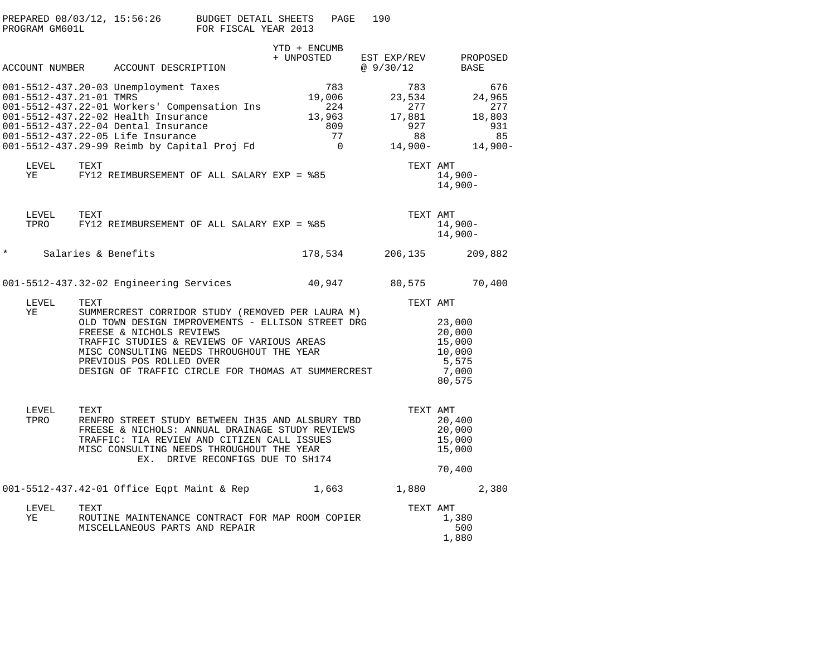| PROGRAM GM601L | PREPARED $08/03/12$ , 15:56:26 BUDGET DETAIL SHEETS                                                                                                                                                                                                                                                                    | FOR FISCAL YEAR 2013             |              | PAGE                                                          | 190                                                    |                                                                              |
|----------------|------------------------------------------------------------------------------------------------------------------------------------------------------------------------------------------------------------------------------------------------------------------------------------------------------------------------|----------------------------------|--------------|---------------------------------------------------------------|--------------------------------------------------------|------------------------------------------------------------------------------|
|                |                                                                                                                                                                                                                                                                                                                        |                                  | YTD + ENCUMB |                                                               |                                                        |                                                                              |
|                | ACCOUNT NUMBER ACCOUNT DESCRIPTION                                                                                                                                                                                                                                                                                     |                                  | + UNPOSTED   |                                                               | EST EXP/REV<br>@ $9/30/12$                             | PROPOSED<br>BASE                                                             |
|                | 001-5512-437.20-03 Unemployment Taxes<br>001-5512-437.21-01 TMRS<br>001-5512-437.22-01 Workers' Compensation Ins<br>001-5512-437.22-02 Health Insurance<br>001-5512-437.22-04 Dental Insurance<br>001-5512-437.22-05 Life Insurance<br>001-5512-437.29-99 Reimb by Capital Proj Fd                                     |                                  |              | 783<br>19,006<br>224<br>13,963<br>809<br>77<br>$\overline{0}$ | 783<br>23,534<br>277<br>17,881<br>927<br>88<br>14,900- | 676<br>24,965<br>277<br>18,803<br>931<br>85<br>$14,900-$                     |
| LEVEL<br>YE    | TEXT<br>FY12 REIMBURSEMENT OF ALL SALARY EXP = %85                                                                                                                                                                                                                                                                     |                                  |              |                                                               |                                                        | TEXT AMT<br>$14,900-$<br>$14,900-$                                           |
| LEVEL<br>TPRO  | TEXT<br>FY12 REIMBURSEMENT OF ALL SALARY EXP = %85                                                                                                                                                                                                                                                                     |                                  |              |                                                               |                                                        | TEXT AMT<br>$14,900-$<br>$14,900-$                                           |
| $\star$        | Salaries & Benefits                                                                                                                                                                                                                                                                                                    |                                  |              | 178,534                                                       | 206,135                                                | 209,882                                                                      |
|                | 001-5512-437.32-02 Engineering Services                                                                                                                                                                                                                                                                                |                                  |              | 40,947                                                        |                                                        | 80,575 70,400                                                                |
| LEVEL<br>ΥE    | TEXT<br>SUMMERCREST CORRIDOR STUDY (REMOVED PER LAURA M)<br>OLD TOWN DESIGN IMPROVEMENTS - ELLISON STREET DRG<br>FREESE & NICHOLS REVIEWS<br>TRAFFIC STUDIES & REVIEWS OF VARIOUS AREAS<br>MISC CONSULTING NEEDS THROUGHOUT THE YEAR<br>PREVIOUS POS ROLLED OVER<br>DESIGN OF TRAFFIC CIRCLE FOR THOMAS AT SUMMERCREST |                                  |              |                                                               |                                                        | TEXT AMT<br>23,000<br>20,000<br>15,000<br>10,000<br>5,575<br>7,000<br>80,575 |
| LEVEL<br>TPRO  | TEXT<br>RENFRO STREET STUDY BETWEEN IH35 AND ALSBURY TBD<br>FREESE & NICHOLS: ANNUAL DRAINAGE STUDY REVIEWS<br>TRAFFIC: TIA REVIEW AND CITIZEN CALL ISSUES<br>MISC CONSULTING NEEDS THROUGHOUT THE YEAR                                                                                                                | EX. DRIVE RECONFIGS DUE TO SH174 |              |                                                               |                                                        | TEXT AMT<br>20,400<br>20,000<br>15,000<br>15,000<br>70,400                   |
|                | 001-5512-437.42-01 Office Eqpt Maint & Rep 1,663 1,880                                                                                                                                                                                                                                                                 |                                  |              |                                                               |                                                        | 2,380                                                                        |
| LEVEL<br>YE    | TEXT<br>ROUTINE MAINTENANCE CONTRACT FOR MAP ROOM COPIER<br>MISCELLANEOUS PARTS AND REPAIR                                                                                                                                                                                                                             |                                  |              |                                                               |                                                        | TEXT AMT<br>1,380<br>500<br>1,880                                            |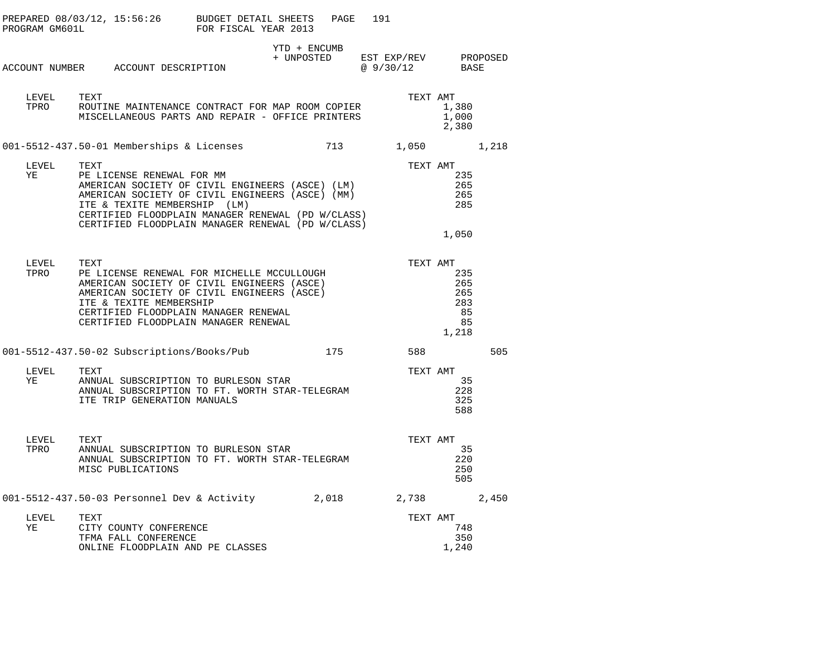|               | PREPARED 08/03/12, 15:56:26 BUDGET DETAIL SHEETS<br>PROGRAM GM601L                                                                                                                                                                                                                | FOR FISCAL YEAR 2013 |                                                                                                                   | PAGE<br>191 |          |                                               |     |
|---------------|-----------------------------------------------------------------------------------------------------------------------------------------------------------------------------------------------------------------------------------------------------------------------------------|----------------------|-------------------------------------------------------------------------------------------------------------------|-------------|----------|-----------------------------------------------|-----|
|               | ACCOUNT NUMBER ACCOUNT DESCRIPTION                                                                                                                                                                                                                                                |                      | YTD + ENCUMB<br>$\begin{tabular}{llll} + & UNPOSTED & EST EXP/REV & PROPOSED \\ & @ 9/30/12 & BASE \end{tabular}$ |             |          |                                               |     |
|               |                                                                                                                                                                                                                                                                                   |                      |                                                                                                                   |             |          |                                               |     |
| LEVEL<br>TPRO | TEXT<br>ROUTINE MAINTENANCE CONTRACT FOR MAP ROOM COPIER<br>MISCELLANEOUS PARTS AND REPAIR - OFFICE PRINTERS                                                                                                                                                                      |                      |                                                                                                                   |             | TEXT AMT | 1,380<br>1,000<br>2,380                       |     |
|               | 001-5512-437.50-01 Memberships & Licenses 713 1,050 1,218                                                                                                                                                                                                                         |                      |                                                                                                                   |             |          |                                               |     |
| LEVEL<br>ΥE   | TEXT<br>PE LICENSE RENEWAL FOR MM<br>AMERICAN SOCIETY OF CIVIL ENGINEERS (ASCE) (LM)<br>AMERICAN SOCIETY OF CIVIL ENGINEERS (ASCE) (MM)<br>ITE & TEXITE MEMBERSHIP (LM)<br>CERTIFIED FLOODPLAIN MANAGER RENEWAL (PD W/CLASS)<br>CERTIFIED FLOODPLAIN MANAGER RENEWAL (PD W/CLASS) |                      |                                                                                                                   |             | TEXT AMT | 235<br>265<br>265<br>285                      |     |
|               |                                                                                                                                                                                                                                                                                   |                      |                                                                                                                   |             |          | 1,050                                         |     |
| LEVEL<br>TPRO | TEXT<br>ITE & TEXITE MEMBERSHIP<br>CERTIFIED FLOODPLAIN MANAGER RENEWAL<br>CERTIFIED FLOODPLAIN MANAGER RENEWAL                                                                                                                                                                   |                      |                                                                                                                   |             | TEXT AMT | 235<br>265<br>265<br>283<br>85<br>85<br>1,218 |     |
|               | 001-5512-437.50-02 Subscriptions/Books/Pub 175                                                                                                                                                                                                                                    |                      |                                                                                                                   |             | 588      |                                               | 505 |
| LEVEL<br>YE   | TEXT<br>ANNUAL SUBSCRIPTION TO BURLESON STAR<br>ANNUAL SUBSCRIPTONIC TO THE<br>ANNUAL SUBSCRIPTION TO FT. WORTH STAR-TELEGRAM<br>ITE TRIP GENERATION MANUALS                                                                                                                      |                      |                                                                                                                   |             | TEXT AMT | 35<br>228<br>325<br>588                       |     |
| LEVEL<br>TPRO | ANNUAL SUBSCRIPTION TO BURLESON STAR<br>ANNUAL SUBSCRIPTION TO THE 1115<br>ANNUAL SUBSCRIPTION TO FT. WORTH STAR-TELEGRAM<br>MISC PUBLICATIONS                                                                                                                                    |                      |                                                                                                                   |             | TEXT AMT | - 35<br>220<br>250<br>505                     |     |
|               | 001-5512-437.50-03 Personnel Dev & Activity 2,018 2,738 2,450                                                                                                                                                                                                                     |                      |                                                                                                                   |             |          |                                               |     |
| LEVEL<br>ΥE   | TEXT<br>CITY COUNTY CONFERENCE<br>TFMA FALL CONFERENCE<br>ONLINE FLOODPLAIN AND PE CLASSES                                                                                                                                                                                        |                      |                                                                                                                   |             | TEXT AMT | 748<br>350<br>1,240                           |     |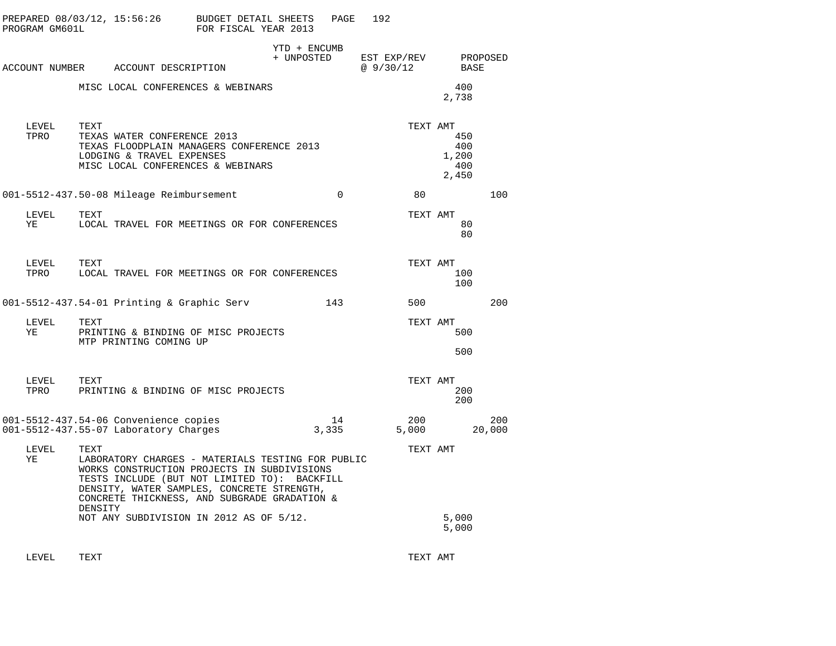| PROGRAM GM601L | PREPARED 08/03/12, 15:56:26                                                                                                                                                                                                                                       | BUDGET DETAIL SHEETS<br>FOR FISCAL YEAR 2013 |                            | PAGE        | 192                      |     |                                                 |                  |
|----------------|-------------------------------------------------------------------------------------------------------------------------------------------------------------------------------------------------------------------------------------------------------------------|----------------------------------------------|----------------------------|-------------|--------------------------|-----|-------------------------------------------------|------------------|
|                | ACCOUNT NUMBER ACCOUNT DESCRIPTION                                                                                                                                                                                                                                |                                              | YTD + ENCUMB<br>+ UNPOSTED |             | EST EXP/REV<br>@ 9/30/12 |     |                                                 | PROPOSED<br>BASE |
|                | MISC LOCAL CONFERENCES & WEBINARS                                                                                                                                                                                                                                 |                                              |                            |             |                          |     | 400<br>2,738                                    |                  |
| LEVEL<br>TPRO  | TEXT<br>TEXAS WATER CONFERENCE 2013<br>TEXAS FLOODPLAIN MANAGERS CONFERENCE 2013<br>LODGING & TRAVEL EXPENSES<br>MISC LOCAL CONFERENCES & WEBINARS                                                                                                                |                                              |                            |             |                          |     | TEXT AMT<br>450<br>400<br>1,200<br>400<br>2,450 |                  |
|                | 001-5512-437.50-08 Mileage Reimbursement                                                                                                                                                                                                                          |                                              |                            | $\Omega$    |                          | 80  |                                                 | 100              |
| LEVEL<br>ΥE    | TEXT<br>LOCAL TRAVEL FOR MEETINGS OR FOR CONFERENCES                                                                                                                                                                                                              |                                              |                            |             |                          |     | TEXT AMT<br>80<br>80                            |                  |
| LEVEL<br>TPRO  | TEXT<br>LOCAL TRAVEL FOR MEETINGS OR FOR CONFERENCES                                                                                                                                                                                                              |                                              |                            |             |                          |     | TEXT AMT<br>100<br>100                          |                  |
|                | 001-5512-437.54-01 Printing & Graphic Serv                                                                                                                                                                                                                        |                                              |                            | 143         |                          | 500 |                                                 | 200              |
| LEVEL<br>ΥE    | TEXT<br>PRINTING & BINDING OF MISC PROJECTS<br>MTP PRINTING COMING UP                                                                                                                                                                                             |                                              |                            |             |                          |     | TEXT AMT<br>500<br>500                          |                  |
| LEVEL<br>TPRO  | TEXT<br>PRINTING & BINDING OF MISC PROJECTS                                                                                                                                                                                                                       |                                              |                            |             |                          |     | TEXT AMT<br>200<br>200                          |                  |
|                | 001-5512-437.54-06 Convenience copies<br>001-5512-437.55-07 Laboratory Charges                                                                                                                                                                                    |                                              |                            | 14<br>3,335 | 5,000                    | 200 |                                                 | 200<br>20,000    |
| LEVEL<br>ΥE    | TEXT<br>LABORATORY CHARGES - MATERIALS TESTING FOR PUBLIC<br>WORKS CONSTRUCTION PROJECTS IN SUBDIVISIONS<br>TESTS INCLUDE (BUT NOT LIMITED TO): BACKFILL<br>DENSITY, WATER SAMPLES, CONCRETE STRENGTH,<br>CONCRETE THICKNESS, AND SUBGRADE GRADATION &<br>DENSITY |                                              |                            |             |                          |     | TEXT AMT                                        |                  |
|                | NOT ANY SUBDIVISION IN 2012 AS OF 5/12.                                                                                                                                                                                                                           |                                              |                            |             |                          |     | 5,000<br>5,000                                  |                  |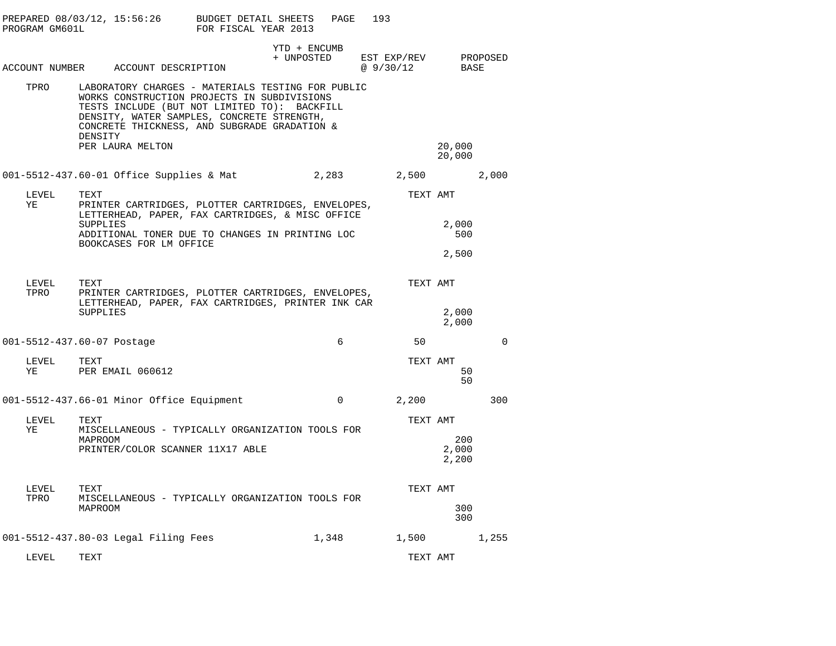| PROGRAM GM601L | PREPARED 08/03/12, 15:56:26                                                                                                                                                                                                                               | BUDGET DETAIL SHEETS<br>FOR FISCAL YEAR 2013 | PAGE                       | 193                      |                       |          |
|----------------|-----------------------------------------------------------------------------------------------------------------------------------------------------------------------------------------------------------------------------------------------------------|----------------------------------------------|----------------------------|--------------------------|-----------------------|----------|
|                | ACCOUNT NUMBER ACCOUNT DESCRIPTION                                                                                                                                                                                                                        |                                              | YTD + ENCUMB<br>+ UNPOSTED | EST EXP/REV<br>@ 9/30/12 | BASE                  | PROPOSED |
| TPRO           | LABORATORY CHARGES - MATERIALS TESTING FOR PUBLIC<br>WORKS CONSTRUCTION PROJECTS IN SUBDIVISIONS<br>TESTS INCLUDE (BUT NOT LIMITED TO): BACKFILL<br>DENSITY, WATER SAMPLES, CONCRETE STRENGTH,<br>CONCRETE THICKNESS, AND SUBGRADE GRADATION &<br>DENSITY |                                              |                            |                          |                       |          |
|                | PER LAURA MELTON                                                                                                                                                                                                                                          |                                              |                            |                          | 20,000<br>20,000      |          |
|                | 001-5512-437.60-01 Office Supplies & Mat                                                                                                                                                                                                                  |                                              | 2,283                      | 2,500                    |                       | 2,000    |
| LEVEL          | TEXT                                                                                                                                                                                                                                                      |                                              |                            | TEXT AMT                 |                       |          |
| ΥE             | PRINTER CARTRIDGES, PLOTTER CARTRIDGES, ENVELOPES,<br>LETTERHEAD, PAPER, FAX CARTRIDGES, & MISC OFFICE<br><b>SUPPLIES</b><br>ADDITIONAL TONER DUE TO CHANGES IN PRINTING LOC                                                                              |                                              |                            |                          | 2,000<br>500          |          |
|                | BOOKCASES FOR LM OFFICE                                                                                                                                                                                                                                   |                                              |                            |                          | 2,500                 |          |
| LEVEL<br>TPRO  | TEXT<br>PRINTER CARTRIDGES, PLOTTER CARTRIDGES, ENVELOPES,<br>LETTERHEAD, PAPER, FAX CARTRIDGES, PRINTER INK CAR                                                                                                                                          |                                              |                            | TEXT AMT                 |                       |          |
|                | <b>SUPPLIES</b>                                                                                                                                                                                                                                           |                                              |                            |                          | 2,000<br>2,000        |          |
|                | 001-5512-437.60-07 Postage                                                                                                                                                                                                                                |                                              | 6                          | 50                       |                       | $\Omega$ |
| LEVEL<br>ΥE    | TEXT<br>PER EMAIL 060612                                                                                                                                                                                                                                  |                                              |                            | TEXT AMT                 | 50<br>50              |          |
|                | 001-5512-437.66-01 Minor Office Equipment                                                                                                                                                                                                                 |                                              | 0                          | 2,200                    |                       | 300      |
| LEVEL          | TEXT                                                                                                                                                                                                                                                      |                                              |                            | TEXT AMT                 |                       |          |
| ΥE             | MISCELLANEOUS - TYPICALLY ORGANIZATION TOOLS FOR<br>MAPROOM<br>PRINTER/COLOR SCANNER 11X17 ABLE                                                                                                                                                           |                                              |                            |                          | 200<br>2,000<br>2,200 |          |
| LEVEL          | TEXT                                                                                                                                                                                                                                                      |                                              |                            | TEXT AMT                 |                       |          |
| TPRO           | MISCELLANEOUS - TYPICALLY ORGANIZATION TOOLS FOR<br>MAPROOM                                                                                                                                                                                               |                                              |                            |                          | 300<br>300            |          |
|                | 001-5512-437.80-03 Legal Filing Fees                                                                                                                                                                                                                      |                                              | 1,348                      | 1,500                    |                       | 1,255    |
| LEVEL          | TEXT                                                                                                                                                                                                                                                      |                                              |                            | TEXT AMT                 |                       |          |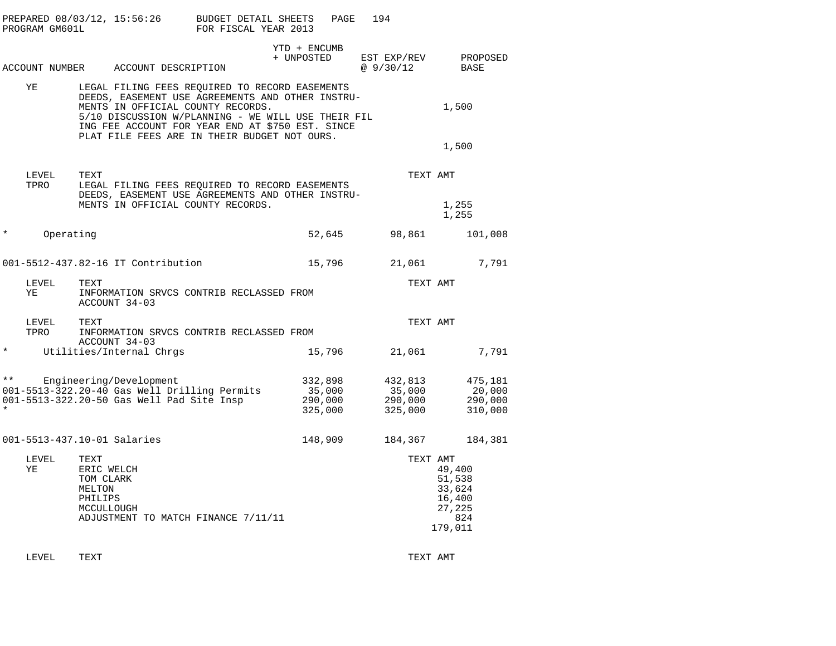|          | PROGRAM GM601L | PREPARED 08/03/12, 15:56:26                                                                                                                                                                                                                       | <b>BUDGET DETAIL SHEETS</b><br>FOR FISCAL YEAR 2013 | PAGE                                    | 194                                     |                                                                  |
|----------|----------------|---------------------------------------------------------------------------------------------------------------------------------------------------------------------------------------------------------------------------------------------------|-----------------------------------------------------|-----------------------------------------|-----------------------------------------|------------------------------------------------------------------|
|          |                | ACCOUNT NUMBER ACCOUNT DESCRIPTION                                                                                                                                                                                                                |                                                     | YTD + ENCUMB<br>+ UNPOSTED              | EST EXP/REV<br>@9/30/12                 | PROPOSED<br>BASE                                                 |
|          | ΥE             | LEGAL FILING FEES REQUIRED TO RECORD EASEMENTS<br>DEEDS, EASEMENT USE AGREEMENTS AND OTHER INSTRU-<br>MENTS IN OFFICIAL COUNTY RECORDS.<br>5/10 DISCUSSION W/PLANNING - WE WILL USE THEIR FIL<br>ING FEE ACCOUNT FOR YEAR END AT \$750 EST. SINCE |                                                     |                                         |                                         | 1,500                                                            |
|          |                | PLAT FILE FEES ARE IN THEIR BUDGET NOT OURS.                                                                                                                                                                                                      |                                                     |                                         |                                         | 1,500                                                            |
|          | LEVEL<br>TPRO  | TEXT<br>LEGAL FILING FEES REQUIRED TO RECORD EASEMENTS<br>DEEDS, EASEMENT USE AGREEMENTS AND OTHER INSTRU-                                                                                                                                        |                                                     |                                         | TEXT AMT                                |                                                                  |
|          |                | MENTS IN OFFICIAL COUNTY RECORDS.                                                                                                                                                                                                                 |                                                     |                                         |                                         | 1,255<br>1,255                                                   |
| $^\star$ | Operating      |                                                                                                                                                                                                                                                   |                                                     | 52,645                                  | 98,861                                  | 101,008                                                          |
|          |                | 001-5512-437.82-16 IT Contribution                                                                                                                                                                                                                |                                                     | 15,796                                  | 21,061                                  | 7,791                                                            |
|          | LEVEL<br>ΥE    | TEXT<br>INFORMATION SRVCS CONTRIB RECLASSED FROM<br>ACCOUNT 34-03                                                                                                                                                                                 |                                                     |                                         | TEXT AMT                                |                                                                  |
|          | LEVEL<br>TPRO  | TEXT<br>INFORMATION SRVCS CONTRIB RECLASSED FROM<br>ACCOUNT 34-03                                                                                                                                                                                 |                                                     |                                         | TEXT AMT                                |                                                                  |
| $\star$  |                | Utilities/Internal Chrgs                                                                                                                                                                                                                          |                                                     | 15,796                                  | 21,061                                  | 7,791                                                            |
| $***$    |                | Engineering/Development<br>001-5513-322.20-40 Gas Well Drilling Permits<br>001-5513-322.20-50 Gas Well Pad Site Insp                                                                                                                              |                                                     | 332,898<br>35,000<br>290,000<br>325,000 | 432,813<br>35,000<br>290,000<br>325,000 | 475,181<br>20,000<br>290,000<br>310,000                          |
|          |                | 001-5513-437.10-01 Salaries                                                                                                                                                                                                                       |                                                     | 148,909                                 | 184,367                                 | 184,381                                                          |
|          | LEVEL<br>ΥE    | TEXT<br>ERIC WELCH<br>TOM CLARK<br>MELTON<br>PHILIPS<br>MCCULLOUGH<br>ADJUSTMENT TO MATCH FINANCE 7/11/11                                                                                                                                         |                                                     |                                         | TEXT AMT                                | 49,400<br>51,538<br>33,624<br>16,400<br>27,225<br>824<br>179,011 |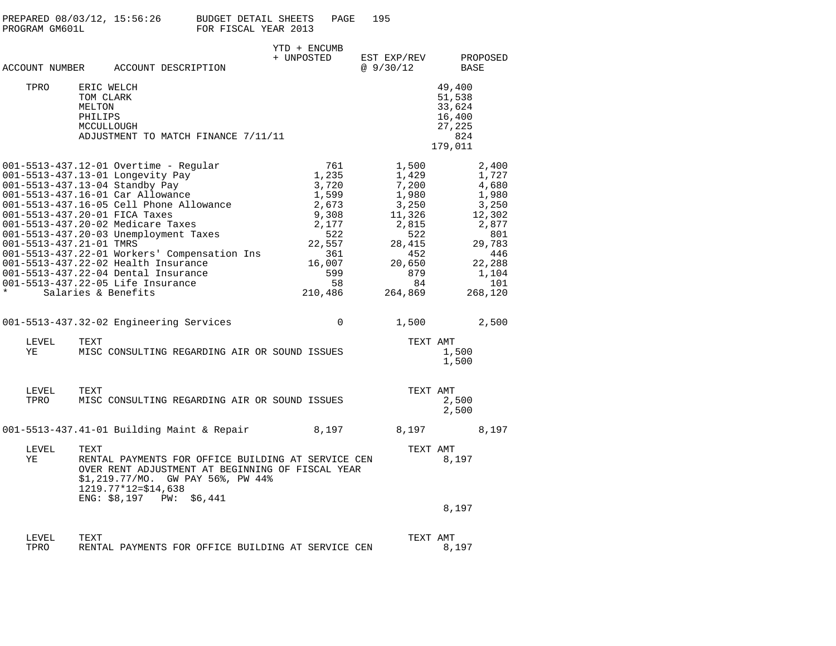| PREPARED 08/03/12, 15:56:26<br>PROGRAM GM601L                                                                                                                                                                                                                                                                                                                                                                                                  |                                                                                         | BUDGET DETAIL SHEETS<br>PAGE<br>FOR FISCAL YEAR 2013                                                                | 195                                                                                                                    |                                                                                                                           |
|------------------------------------------------------------------------------------------------------------------------------------------------------------------------------------------------------------------------------------------------------------------------------------------------------------------------------------------------------------------------------------------------------------------------------------------------|-----------------------------------------------------------------------------------------|---------------------------------------------------------------------------------------------------------------------|------------------------------------------------------------------------------------------------------------------------|---------------------------------------------------------------------------------------------------------------------------|
| ACCOUNT NUMBER ACCOUNT DESCRIPTION                                                                                                                                                                                                                                                                                                                                                                                                             |                                                                                         | YTD + ENCUMB<br>+ UNPOSTED                                                                                          | EST EXP/REV<br>@ 9/30/12                                                                                               | PROPOSED<br>BASE                                                                                                          |
| TPRO<br>ERIC WELCH<br>TOM CLARK<br>MELTON<br>PHILIPS<br>MCCULLOUGH                                                                                                                                                                                                                                                                                                                                                                             | ADJUSTMENT TO MATCH FINANCE 7/11/11                                                     |                                                                                                                     |                                                                                                                        | 49,400<br>51,538<br>33,624<br>16,400<br>27,225<br>824<br>179,011                                                          |
| 001-5513-437.12-01 Overtime - Regular<br>001-5513-437.13-01 Longevity Pay<br>001-5513-437.13-04 Standby Pay<br>001-5513-437.16-01 Car Allowance<br>001-5513-437.20-01 FICA Taxes<br>001-5513-437.20-02 Medicare Taxes<br>001-5513-437.20-03 Unemployment Taxes<br>001-5513-437.21-01 TMRS<br>001-5513-437.22-02 Health Insurance<br>001-5513-437.22-04 Dental Insurance<br>001-5513-437.22-05 Life Insurance<br>$\star$<br>Salaries & Benefits | 001-5513-437.16-05 Cell Phone Allowance<br>001-5513-437.22-01 Workers' Compensation Ins | 761<br>1,235<br>3,720<br>1,599<br>2,673<br>9,308<br>2,177<br>522<br>22,557<br>361<br>16,007<br>599<br>58<br>210,486 | 1,500<br>1,429<br>7,200<br>1,980<br>3,250<br>11,326<br>2,815<br>522<br>28,415<br>452<br>20,650<br>879<br>84<br>264,869 | 2,400<br>1,727<br>4,680<br>1,980<br>3,250<br>12,302<br>2,877<br>801<br>29,783<br>446<br>22,288<br>1,104<br>101<br>268,120 |
| 001-5513-437.32-02 Engineering Services<br>LEVEL<br>TEXT<br>ΥE                                                                                                                                                                                                                                                                                                                                                                                 | MISC CONSULTING REGARDING AIR OR SOUND ISSUES                                           | $\Omega$                                                                                                            | 1,500                                                                                                                  | 2,500<br>TEXT AMT<br>1,500<br>1,500                                                                                       |

PROPOSED

| LEVEL<br>TPRO | TEXT<br>MISC CONSULTING REGARDING AIR OR SOUND ISSUES                                                                                                                                                       |       | TEXT AMT | 2,500<br>2,500 |       |
|---------------|-------------------------------------------------------------------------------------------------------------------------------------------------------------------------------------------------------------|-------|----------|----------------|-------|
|               | 001-5513-437.41-01 Building Maint & Repair                                                                                                                                                                  | 8,197 | 8,197    |                | 8,197 |
| LEVEL<br>ΥE   | TEXT<br>RENTAL PAYMENTS FOR OFFICE BUILDING AT SERVICE CEN<br>OVER RENT ADJUSTMENT AT BEGINNING OF FISCAL YEAR<br>\$1,219.77/MO. GW PAY 56%, PW 44%<br>$1219.77*12 = $14.638$<br>$ENG: $8,197$ PW: $$6,441$ |       | TEXT     | AMT<br>8,197   |       |
|               |                                                                                                                                                                                                             |       |          | 8,197          |       |
| LEVEL<br>TPRO | TEXT<br>RENTAL PAYMENTS FOR OFFICE BUILDING AT SERVICE CEN                                                                                                                                                  |       | TEXT AMT | 8,197          |       |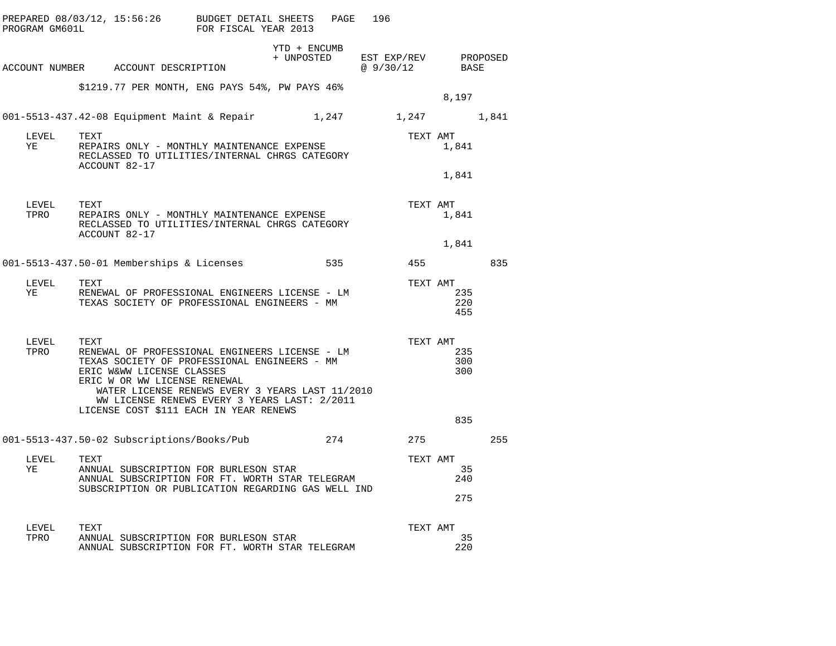|               |                       | PREPARED 08/03/12, 15:56:26 BUDGET DETAIL SHEETS PAGE<br>PROGRAM GM601L FOR FISCAL YEAR 2013                                                                                                                                                                                                             |  |                                                 | 196       |                 |                   |     |
|---------------|-----------------------|----------------------------------------------------------------------------------------------------------------------------------------------------------------------------------------------------------------------------------------------------------------------------------------------------------|--|-------------------------------------------------|-----------|-----------------|-------------------|-----|
|               |                       | ACCOUNT NUMBER ACCOUNT DESCRIPTION                                                                                                                                                                                                                                                                       |  | YTD + ENCUMB<br>+ UNPOSTED EST EXP/REV PROPOSED | @ 9/30/12 |                 | BASE              |     |
|               |                       | \$1219.77 PER MONTH, ENG PAYS 54%, PW PAYS 46%                                                                                                                                                                                                                                                           |  |                                                 |           |                 | 8,197             |     |
|               |                       | 001-5513-437.42-08 Equipment Maint & Repair 1,247 1,247 1,841                                                                                                                                                                                                                                            |  |                                                 |           |                 |                   |     |
| LEVEL<br>YE   | TEXT<br>ACCOUNT 82-17 | REPAIRS ONLY - MONTHLY MAINTENANCE EXPENSE<br>RECLASSED TO UTILITIES/INTERNAL CHRGS CATEGORY                                                                                                                                                                                                             |  |                                                 |           | TEXT AMT<br>1,8 | 1,841             |     |
|               |                       |                                                                                                                                                                                                                                                                                                          |  |                                                 |           |                 | 1,841             |     |
| LEVEL<br>TPRO | TEXT                  | REPAIRS ONLY - MONTHLY MAINTENANCE EXPENSE<br>RECLASSED TO UTILITIES/INTERNAL CHRGS CATEGORY                                                                                                                                                                                                             |  |                                                 |           | TEXT AMT        | 1,841             |     |
|               | ACCOUNT 82-17         |                                                                                                                                                                                                                                                                                                          |  |                                                 |           |                 | 1,841             |     |
|               |                       | 001-5513-437.50-01 Memberships & Licenses 535 55 455                                                                                                                                                                                                                                                     |  |                                                 |           |                 |                   | 835 |
| LEVEL<br>YE   | TEXT                  | RENEWAL OF PROFESSIONAL ENGINEERS LICENSE - LM<br>TEXAS SOCIETY OF PROFESSIONAL ENGINEERS - MM                                                                                                                                                                                                           |  |                                                 |           | TEXT AMT        | 235<br>220<br>455 |     |
| LEVEL<br>TPRO | TEXT                  | RENEWAL OF PROFESSIONAL ENGINEERS LICENSE - LM<br>TEXAS SOCIETY OF PROFESSIONAL ENGINEERS - MM<br>ERIC W&WW LICENSE CLASSES<br>ERIC W OR WW LICENSE RENEWAL<br>WATER LICENSE RENEWS EVERY 3 YEARS LAST 11/2010<br>WW LICENSE RENEWS EVERY 3 YEARS LAST: 2/2011<br>LICENSE COST \$111 EACH IN YEAR RENEWS |  |                                                 |           | TEXT AMT        | 235<br>300<br>300 |     |
|               |                       |                                                                                                                                                                                                                                                                                                          |  |                                                 |           |                 | 835               |     |
|               |                       | 001-5513-437.50-02 Subscriptions/Books/Pub 274 275                                                                                                                                                                                                                                                       |  |                                                 |           |                 |                   | 255 |
| LEVEL<br>YE   | TEXT                  | ANNUAL SUBSCRIPTION FOR BURLESON STAR<br>ANNUAL SUBSCRIPTION FOR FT. WORTH STAR TELEGRAM<br>ANNUAL SUBSCRIPTION FOR FT. WORTH STAR TELEGRAM<br>SUBSCRIPTION OR PUBLICATION REGARDING GAS WELL IND                                                                                                        |  |                                                 |           | TEXT AMT        | 35<br>240<br>275  |     |
| LEVEL<br>TPRO | TEXT                  | ANNUAL SUBSCRIPTION FOR BURLESON STAR<br>ANNUAL SUBSCRIPTION FOR FT. WORTH STAR TELEGRAM                                                                                                                                                                                                                 |  |                                                 |           | TEXT AMT        | 35<br>220         |     |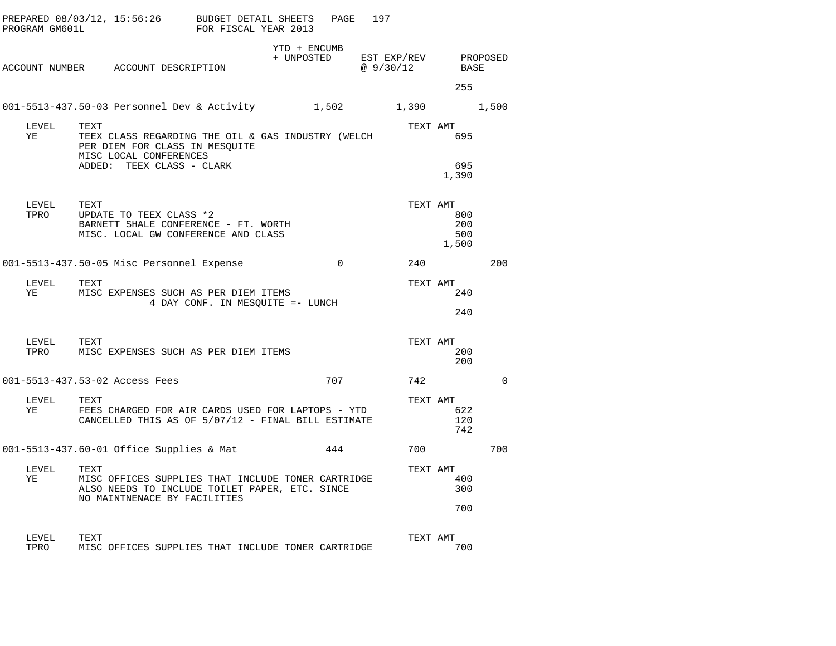| PROGRAM GM601L     | PREPARED 08/03/12, 15:56:26 BUDGET DETAIL SHEETS                                                                                             | FOR FISCAL YEAR 2013             |                            | PAGE           | 197                     |                            |          |
|--------------------|----------------------------------------------------------------------------------------------------------------------------------------------|----------------------------------|----------------------------|----------------|-------------------------|----------------------------|----------|
|                    | ACCOUNT NUMBER ACCOUNT DESCRIPTION                                                                                                           |                                  | YTD + ENCUMB<br>+ UNPOSTED |                | EST EXP/REV<br>@9/30/12 | BASE                       | PROPOSED |
|                    |                                                                                                                                              |                                  |                            |                |                         | 255                        |          |
|                    | 001-5513-437.50-03 Personnel Dev & Activity 1,502                                                                                            |                                  |                            |                | 1,390 1,500             |                            |          |
| LEVEL<br>YE        | TEXT<br>TEEX CLASS REGARDING THE OIL & GAS INDUSTRY (WELCH<br>PER DIEM FOR CLASS IN MESQUITE<br>MISC LOCAL CONFERENCES                       |                                  |                            |                | TEXT AMT                | 695                        |          |
|                    | ADDED: TEEX CLASS - CLARK                                                                                                                    |                                  |                            |                |                         | 695<br>1,390               |          |
| LEVEL TEXT<br>TPRO | UPDATE TO TEEX CLASS *2<br>BARNETT SHALE CONFERENCE - FT. WORTH<br>MISC. LOCAL GW CONFERENCE AND CLASS                                       |                                  |                            |                | TEXT AMT                | 800<br>200<br>500<br>1,500 |          |
|                    | 001-5513-437.50-05 Misc Personnel Expense                                                                                                    |                                  |                            | $\overline{0}$ | 240                     |                            | 200      |
| LEVEL<br>YE        | TEXT<br>MISC EXPENSES SUCH AS PER DIEM ITEMS                                                                                                 | 4 DAY CONF. IN MESQUITE =- LUNCH |                            |                | TEXT AMT                | 240<br>240                 |          |
| LEVEL TEXT<br>TPRO | MISC EXPENSES SUCH AS PER DIEM ITEMS                                                                                                         |                                  |                            |                | TEXT AMT                | 200<br>200                 |          |
|                    | 001-5513-437.53-02 Access Fees                                                                                                               |                                  |                            | 707            | 742                     |                            | $\Omega$ |
| LEVEL<br>YE        | TEXT<br>FEES CHARGED FOR AIR CARDS USED FOR LAPTOPS - YTD<br>CANCELLED THIS AS OF 5/07/12 - FINAL BILL ESTIMATE                              |                                  |                            |                | TEXT AMT                | 622<br>120<br>742          |          |
|                    | 001-5513-437.60-01 Office Supplies & Mat                                                                                                     |                                  |                            | 444            | 700                     |                            | 700      |
| LEVEL<br>YE        | TEXT<br>MISC OFFICES SUPPLIES THAT INCLUDE TONER CARTRIDGE<br>ALSO NEEDS TO INCLUDE TOILET PAPER, ETC. SINCE<br>NO MAINTNENACE BY FACILITIES |                                  |                            |                | TEXT AMT                | 400<br>300<br>700          |          |
| LEVEL<br>TPRO      | TEXT<br>MISC OFFICES SUPPLIES THAT INCLUDE TONER CARTRIDGE                                                                                   |                                  |                            |                | TEXT AMT                | 700                        |          |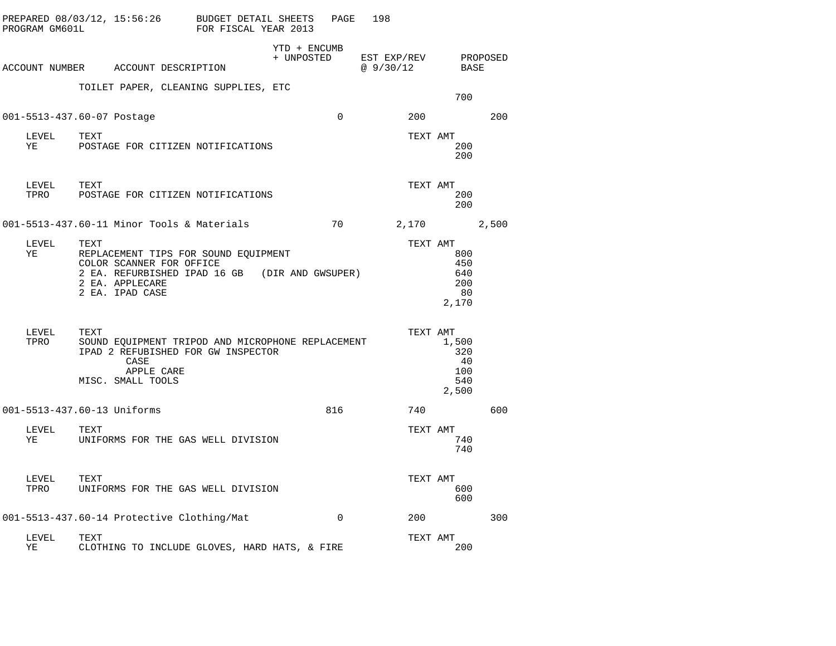| PROGRAM GM601L | PREPARED 08/03/12, 15:56:26                                                                                                                                      | BUDGET DETAIL SHEETS<br>FOR FISCAL YEAR 2013 |                            | PAGE     | 198                      |          |                                           |          |
|----------------|------------------------------------------------------------------------------------------------------------------------------------------------------------------|----------------------------------------------|----------------------------|----------|--------------------------|----------|-------------------------------------------|----------|
|                | ACCOUNT NUMBER ACCOUNT DESCRIPTION                                                                                                                               |                                              | YTD + ENCUMB<br>+ UNPOSTED |          | EST EXP/REV<br>@ 9/30/12 |          | BASE                                      | PROPOSED |
|                | TOILET PAPER, CLEANING SUPPLIES, ETC                                                                                                                             |                                              |                            |          |                          |          | 700                                       |          |
|                | 001-5513-437.60-07 Postage                                                                                                                                       |                                              |                            | $\Omega$ |                          | 200      |                                           | 200      |
| LEVEL<br>YE    | TEXT<br>POSTAGE FOR CITIZEN NOTIFICATIONS                                                                                                                        |                                              |                            |          |                          | TEXT AMT | 200<br>200                                |          |
| LEVEL<br>TPRO  | TEXT<br>POSTAGE FOR CITIZEN NOTIFICATIONS                                                                                                                        |                                              |                            |          |                          | TEXT AMT | 200<br>200                                |          |
|                | 001-5513-437.60-11 Minor Tools & Materials                                                                                                                       |                                              |                            | 70       |                          |          | 2,170                                     | 2,500    |
| LEVEL<br>ΥE    | TEXT<br>REPLACEMENT TIPS FOR SOUND EQUIPMENT<br>COLOR SCANNER FOR OFFICE<br>2 EA. REFURBISHED IPAD 16 GB (DIR AND GWSUPER)<br>2 EA. APPLECARE<br>2 EA. IPAD CASE |                                              |                            |          |                          | TEXT AMT | 800<br>450<br>640<br>200<br>- 80<br>2,170 |          |
| LEVEL<br>TPRO  | TEXT<br>SOUND EQUIPMENT TRIPOD AND MICROPHONE REPLACEMENT<br>IPAD 2 REFUBISHED FOR GW INSPECTOR<br>CASE<br>APPLE CARE<br>MISC. SMALL TOOLS                       |                                              |                            |          |                          | TEXT AMT | 1,500<br>320<br>40<br>100<br>540<br>2,500 |          |
|                | 001-5513-437.60-13 Uniforms                                                                                                                                      |                                              |                            | 816      |                          | 740      |                                           | 600      |
| LEVEL<br>ΥE    | TEXT<br>UNIFORMS FOR THE GAS WELL DIVISION                                                                                                                       |                                              |                            |          |                          | TEXT AMT | 740<br>740                                |          |
| LEVEL<br>TPRO  | TEXT<br>UNIFORMS FOR THE GAS WELL DIVISION                                                                                                                       |                                              |                            |          |                          | TEXT AMT | 600<br>600                                |          |
|                | 001-5513-437.60-14 Protective Clothing/Mat                                                                                                                       |                                              |                            | $\Omega$ |                          | 200      |                                           | 300      |
| LEVEL<br>ΥE    | TEXT<br>CLOTHING TO INCLUDE GLOVES, HARD HATS, & FIRE                                                                                                            |                                              |                            |          |                          | TEXT AMT | 200                                       |          |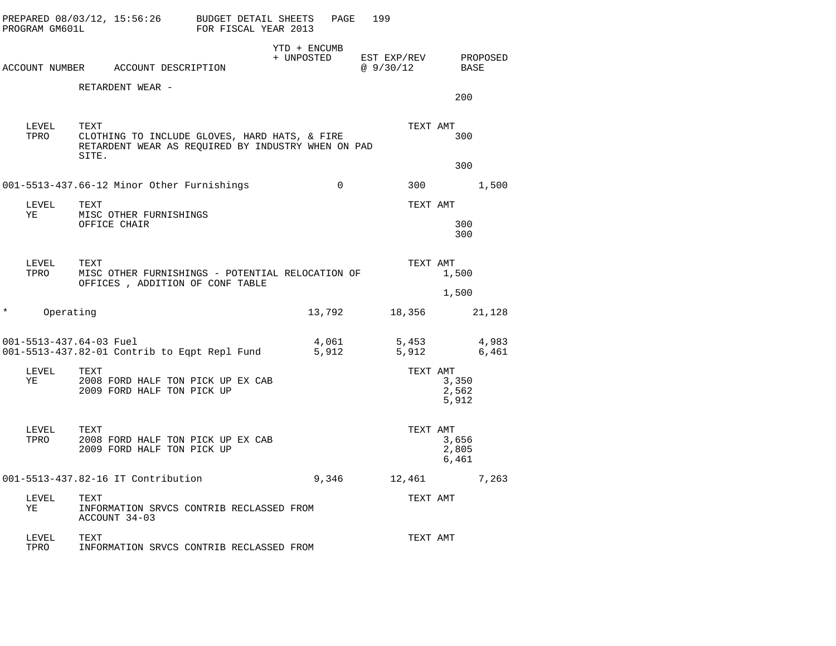|          | PROGRAM GM601L | PREPARED 08/03/12, 15:56:26 BUDGET DETAIL SHEETS                                                                     | FOR FISCAL YEAR 2013 |                            | 199<br>PAGE |                                  |                         |                |
|----------|----------------|----------------------------------------------------------------------------------------------------------------------|----------------------|----------------------------|-------------|----------------------------------|-------------------------|----------------|
|          |                | ACCOUNT NUMBER ACCOUNT DESCRIPTION                                                                                   |                      | YTD + ENCUMB<br>+ UNPOSTED |             | EST EXP/REV PROPOSED<br>@9/30/12 | BASE                    |                |
|          |                | RETARDENT WEAR -                                                                                                     |                      |                            |             |                                  | 200                     |                |
|          | LEVEL<br>TPRO  | TEXT<br>CLOTHING TO INCLUDE GLOVES, HARD HATS, & FIRE<br>RETARDENT WEAR AS REOUIRED BY INDUSTRY WHEN ON PAD<br>SITE. |                      |                            |             | TEXT AMT                         | 300                     |                |
|          |                |                                                                                                                      |                      |                            | $\mathbf 0$ |                                  | 300                     |                |
|          |                | 001-5513-437.66-12 Minor Other Furnishings                                                                           |                      |                            |             |                                  | 300 000                 | 1,500          |
| YE       | LEVEL          | TEXT<br>MISC OTHER FURNISHINGS<br>OFFICE CHAIR                                                                       |                      |                            |             | TEXT AMT                         | 300<br>300              |                |
|          | LEVEL<br>TPRO  | TEXT<br>MISC OTHER FURNISHINGS - POTENTIAL RELOCATION OF<br>OFFICES , ADDITION OF CONF TABLE                         |                      |                            |             | TEXT AMT                         | 1,500                   |                |
|          |                |                                                                                                                      |                      |                            |             |                                  | 1,500                   |                |
| $^\star$ | Operating      |                                                                                                                      |                      |                            | 13,792      | 18,356                           |                         | 21,128         |
|          |                | 001-5513-437.64-03 Fuel<br>001-5513-437.82-01 Contrib to Eqpt Repl Fund                                              |                      | 4,061<br>5,912             |             | 5,453<br>5,912                   |                         | 4,983<br>6,461 |
| YE       | LEVEL          | TEXT<br>2008 FORD HALF TON PICK UP EX CAB<br>2009 FORD HALF TON PICK UP                                              |                      |                            |             | TEXT AMT                         | 3,350<br>2,562<br>5,912 |                |
|          | LEVEL<br>TPRO  | TEXT<br>2008 FORD HALF TON PICK UP EX CAB<br>2009 FORD HALF TON PICK UP                                              |                      |                            |             | TEXT AMT                         | 3,656<br>2,805<br>6,461 |                |
|          |                | 001-5513-437.82-16 IT Contribution                                                                                   |                      |                            | 9,346       | 12,461                           |                         | 7,263          |
| ΥE       | LEVEL          | TEXT<br>INFORMATION SRVCS CONTRIB RECLASSED FROM<br>ACCOUNT 34-03                                                    |                      |                            |             | TEXT AMT                         |                         |                |
|          | LEVEL<br>TPRO  | TEXT<br>INFORMATION SRVCS CONTRIB RECLASSED FROM                                                                     |                      |                            |             | TEXT AMT                         |                         |                |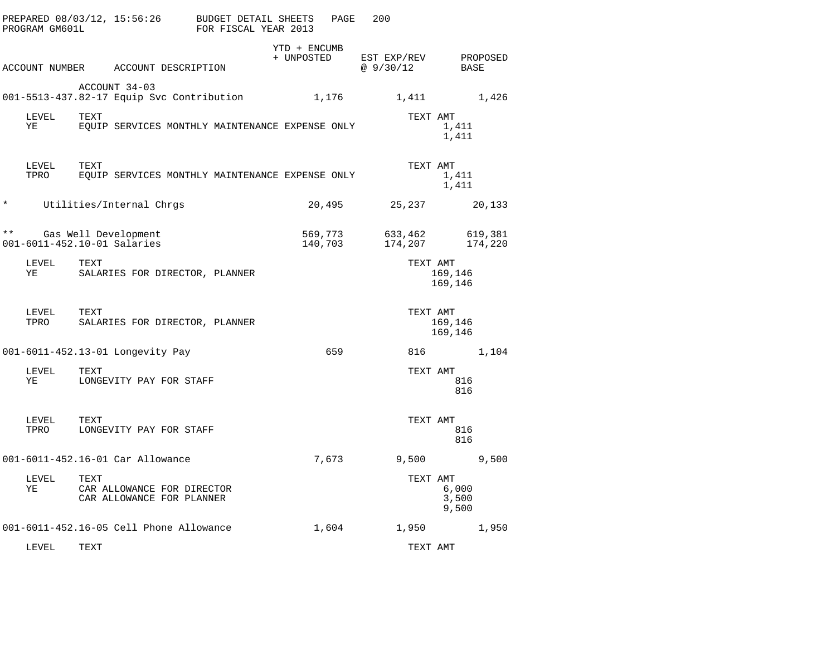|              | PREPARED 08/03/12, 15:56:26<br>PROGRAM GM601L |      |                                                            | BUDGET DETAIL SHEETS<br>FOR FISCAL YEAR 2013 |                            | PAGE  | 200                     |                         |
|--------------|-----------------------------------------------|------|------------------------------------------------------------|----------------------------------------------|----------------------------|-------|-------------------------|-------------------------|
|              | ACCOUNT NUMBER                                |      | ACCOUNT DESCRIPTION                                        |                                              | YTD + ENCUMB<br>+ UNPOSTED |       | EST EXP/REV<br>@9/30/12 | PROPOSED<br>BASE        |
|              |                                               |      | ACCOUNT 34-03<br>001-5513-437.82-17 Equip Svc Contribution |                                              |                            | 1,176 | 1,411                   | 1,426                   |
|              | LEVEL<br>ΥE                                   | TEXT | EQUIP SERVICES MONTHLY MAINTENANCE EXPENSE ONLY            |                                              |                            |       | TEXT AMT                | 1,411<br>1,411          |
|              | LEVEL<br>TPRO                                 | TEXT | EOUIP SERVICES MONTHLY MAINTENANCE EXPENSE ONLY            |                                              |                            |       | TEXT AMT                | 1,411<br>1,411          |
| $^\star$     |                                               |      | Utilities/Internal Chrgs                                   |                                              | 20,495                     |       | 25,237                  | 20,133                  |
| $\star\star$ | 001-6011-452.10-01 Salaries                   |      | Gas Well Development                                       |                                              | 569,773<br>140,703         |       | 633,462<br>174,207      | 619,381<br>174,220      |
|              | LEVEL<br>ΥE                                   | TEXT | SALARIES FOR DIRECTOR, PLANNER                             |                                              |                            |       | TEXT AMT                | 169,146<br>169,146      |
|              | LEVEL<br>TPRO                                 | TEXT | SALARIES FOR DIRECTOR, PLANNER                             |                                              |                            |       | TEXT AMT                | 169,146<br>169,146      |
|              |                                               |      | 001-6011-452.13-01 Longevity Pay                           |                                              |                            | 659   | 816                     | 1,104                   |
|              | LEVEL<br>ΥE                                   | TEXT | LONGEVITY PAY FOR STAFF                                    |                                              |                            |       | TEXT AMT                | 816<br>816              |
|              | LEVEL<br>TPRO                                 | TEXT | LONGEVITY PAY FOR STAFF                                    |                                              |                            |       | TEXT AMT                | 816<br>816              |
|              |                                               |      | 001-6011-452.16-01 Car Allowance                           |                                              |                            | 7,673 | 9,500                   | 9,500                   |
|              | LEVEL<br>ΥE                                   | TEXT | CAR ALLOWANCE FOR DIRECTOR<br>CAR ALLOWANCE FOR PLANNER    |                                              |                            |       | TEXT AMT                | 6,000<br>3,500<br>9,500 |
|              |                                               |      | 001-6011-452.16-05 Cell Phone Allowance                    |                                              |                            | 1,604 | 1,950                   | 1,950                   |
|              | LEVEL                                         | TEXT |                                                            |                                              |                            |       | TEXT AMT                |                         |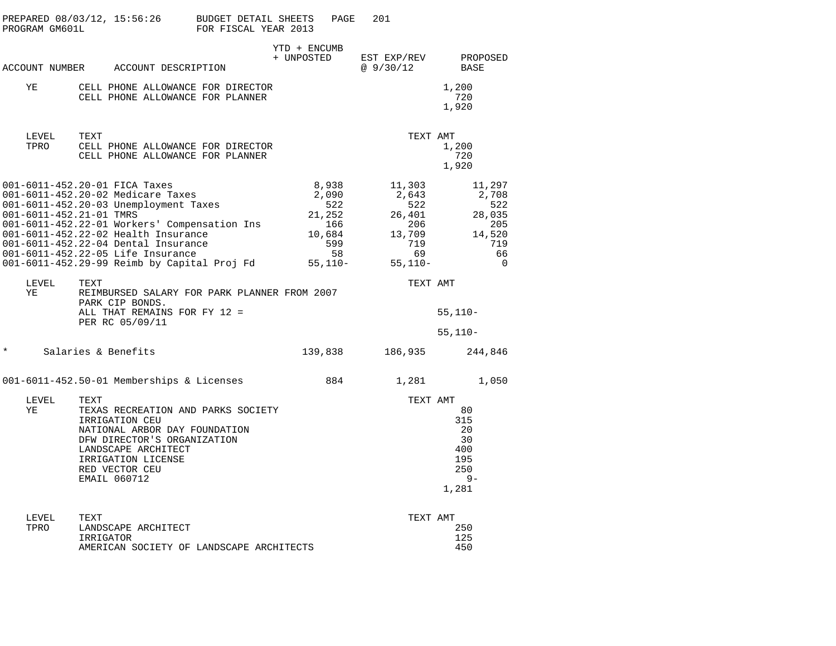| PROGRAM GM601L          | PREPARED 08/03/12, 15:56:26                                                                                                                                                                                                                                                                                                   | <b>BUDGET DETAIL SHEETS</b><br>FOR FISCAL YEAR 2013 | PAGE                                                                         | 201                                                                         |                                                                               |
|-------------------------|-------------------------------------------------------------------------------------------------------------------------------------------------------------------------------------------------------------------------------------------------------------------------------------------------------------------------------|-----------------------------------------------------|------------------------------------------------------------------------------|-----------------------------------------------------------------------------|-------------------------------------------------------------------------------|
|                         | ACCOUNT NUMBER ACCOUNT DESCRIPTION                                                                                                                                                                                                                                                                                            |                                                     | YTD + ENCUMB<br>+ UNPOSTED                                                   | EST EXP/REV<br>@9/30/12                                                     | PROPOSED<br>BASE                                                              |
| YE                      | CELL PHONE ALLOWANCE FOR DIRECTOR<br>CELL PHONE ALLOWANCE FOR PLANNER                                                                                                                                                                                                                                                         |                                                     |                                                                              |                                                                             | 1,200<br>720<br>1,920                                                         |
| LEVEL<br>TPRO           | TEXT<br>CELL PHONE ALLOWANCE FOR DIRECTOR<br>CELL PHONE ALLOWANCE FOR PLANNER                                                                                                                                                                                                                                                 |                                                     |                                                                              | TEXT AMT                                                                    | 1,200<br>720<br>1,920                                                         |
| 001-6011-452.21-01 TMRS | 001-6011-452.20-01 FICA Taxes<br>001-6011-452.20-02 Medicare Taxes<br>001-6011-452.20-03 Unemployment Taxes<br>001-6011-452.22-01 Workers' Compensation Ins<br>001-6011-452.22-02 Health Insurance<br>001-6011-452.22-04 Dental Insurance<br>001-6011-452.22-05 Life Insurance<br>001-6011-452.29-99 Reimb by Capital Proj Fd |                                                     | 8,938<br>2,090<br>522<br>21,252<br>166<br>10,684<br>599<br>58<br>$55, 110 -$ | 11,303<br>2,643<br>522<br>26,401<br>206<br>13,709<br>719<br>69<br>$55,110-$ | 11,297<br>2,708<br>522<br>28,035<br>205<br>14,520<br>719<br>66<br>$\mathbf 0$ |
| LEVEL<br>ΥE             | TEXT<br>REIMBURSED SALARY FOR PARK PLANNER FROM 2007<br>PARK CIP BONDS.<br>ALL THAT REMAINS FOR FY 12 =<br>PER RC 05/09/11                                                                                                                                                                                                    |                                                     |                                                                              | TEXT AMT                                                                    | $55,110-$                                                                     |
| $\star$                 | Salaries & Benefits                                                                                                                                                                                                                                                                                                           |                                                     | 139,838                                                                      | 186,935                                                                     | $55,110-$<br>244,846                                                          |
|                         | 001-6011-452.50-01 Memberships & Licenses                                                                                                                                                                                                                                                                                     |                                                     | 884                                                                          | 1,281                                                                       | 1,050                                                                         |
| LEVEL<br>ΥE             | TEXT<br>TEXAS RECREATION AND PARKS SOCIETY<br>IRRIGATION CEU<br>NATIONAL ARBOR DAY FOUNDATION<br>DFW DIRECTOR'S ORGANIZATION<br>LANDSCAPE ARCHITECT<br>IRRIGATION LICENSE<br>RED VECTOR CEU<br>EMAIL 060712                                                                                                                   |                                                     |                                                                              | TEXT AMT                                                                    | 80<br>315<br>20<br>30<br>400<br>195<br>250<br>$9 -$<br>1,281                  |
| LEVEL<br>TPRO           | TEXT<br>LANDSCAPE ARCHITECT<br>IRRIGATOR                                                                                                                                                                                                                                                                                      |                                                     |                                                                              | TEXT AMT                                                                    | 250<br>125                                                                    |

AMERICAN SOCIETY OF LANDSCAPE ARCHITECTS 450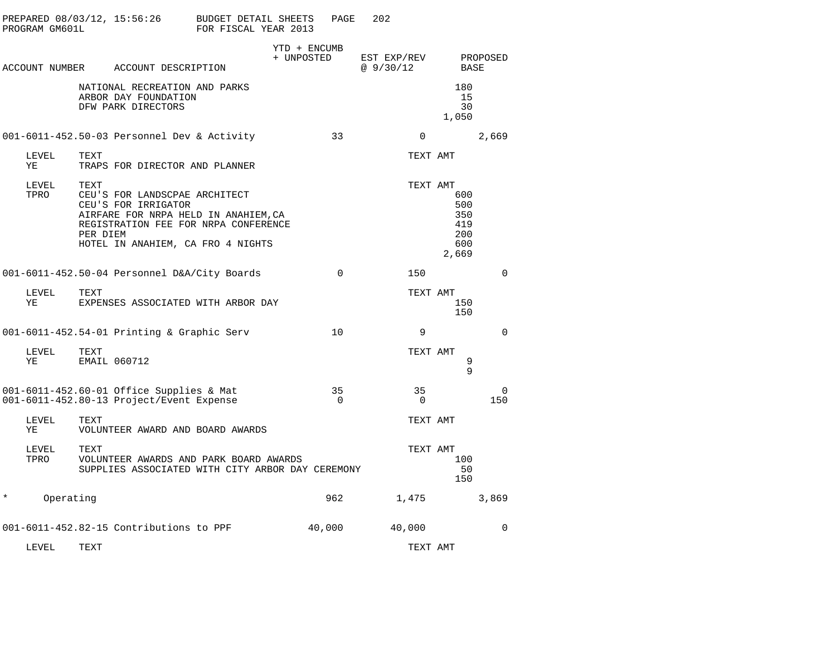|         | PROGRAM GM601L |                  | PREPARED 08/03/12, 15:56:26                                                                                                                                               | BUDGET DETAIL SHEETS<br>FOR FISCAL YEAR 2013 |                            | PAGE           | 202                     |                |                                                 |             |
|---------|----------------|------------------|---------------------------------------------------------------------------------------------------------------------------------------------------------------------------|----------------------------------------------|----------------------------|----------------|-------------------------|----------------|-------------------------------------------------|-------------|
|         | ACCOUNT NUMBER |                  | ACCOUNT DESCRIPTION                                                                                                                                                       |                                              | YTD + ENCUMB<br>+ UNPOSTED |                | EST EXP/REV<br>@9/30/12 |                | <b>BASE</b>                                     | PROPOSED    |
|         |                |                  | NATIONAL RECREATION AND PARKS<br>ARBOR DAY FOUNDATION<br>DFW PARK DIRECTORS                                                                                               |                                              |                            |                |                         |                | 180<br>15<br>30<br>1,050                        |             |
|         |                |                  | 001-6011-452.50-03 Personnel Dev & Activity                                                                                                                               |                                              |                            | 33             |                         | $\Omega$       |                                                 | 2,669       |
|         | LEVEL<br>ΥE    | TEXT             | TRAPS FOR DIRECTOR AND PLANNER                                                                                                                                            |                                              |                            |                |                         | TEXT AMT       |                                                 |             |
|         | LEVEL<br>TPRO  | TEXT<br>PER DIEM | CEU'S FOR LANDSCPAE ARCHITECT<br>CEU'S FOR IRRIGATOR<br>AIRFARE FOR NRPA HELD IN ANAHIEM, CA<br>REGISTRATION FEE FOR NRPA CONFERENCE<br>HOTEL IN ANAHIEM, CA FRO 4 NIGHTS |                                              |                            |                |                         | TEXT AMT       | 600<br>500<br>350<br>419<br>200<br>600<br>2,669 |             |
|         |                |                  | 001-6011-452.50-04 Personnel D&A/City Boards                                                                                                                              |                                              |                            | $\Omega$       |                         | 150            |                                                 | $\Omega$    |
|         | LEVEL<br>ΥE    | TEXT             | EXPENSES ASSOCIATED WITH ARBOR DAY                                                                                                                                        |                                              |                            |                |                         | TEXT AMT       | 150<br>150                                      |             |
|         |                |                  | 001-6011-452.54-01 Printing & Graphic Serv                                                                                                                                |                                              |                            | 10             |                         | 9              |                                                 | $\Omega$    |
|         | LEVEL<br>ΥE    | TEXT             | EMAIL 060712                                                                                                                                                              |                                              |                            |                |                         | TEXT AMT       | 9<br>$\mathsf{Q}$                               |             |
|         |                |                  | 001-6011-452.60-01 Office Supplies & Mat<br>001-6011-452.80-13 Project/Event Expense                                                                                      |                                              |                            | 35<br>$\Omega$ |                         | 35<br>$\Omega$ |                                                 | 0<br>150    |
|         | LEVEL<br>YE    | TEXT             | VOLUNTEER AWARD AND BOARD AWARDS                                                                                                                                          |                                              |                            |                |                         | TEXT AMT       |                                                 |             |
|         | LEVEL<br>TPRO  | TEXT             | VOLUNTEER AWARDS AND PARK BOARD AWARDS<br>SUPPLIES ASSOCIATED WITH CITY ARBOR DAY CEREMONY                                                                                |                                              |                            |                |                         | TEXT AMT       | 100<br>50<br>150                                |             |
| $\star$ | Operating      |                  |                                                                                                                                                                           |                                              |                            | 962            |                         | 1,475          |                                                 | 3,869       |
|         |                |                  | 001-6011-452.82-15 Contributions to PPF                                                                                                                                   |                                              |                            | 40,000         |                         | 40,000         |                                                 | $\mathbf 0$ |
|         | LEVEL          | TEXT             |                                                                                                                                                                           |                                              |                            |                |                         | TEXT AMT       |                                                 |             |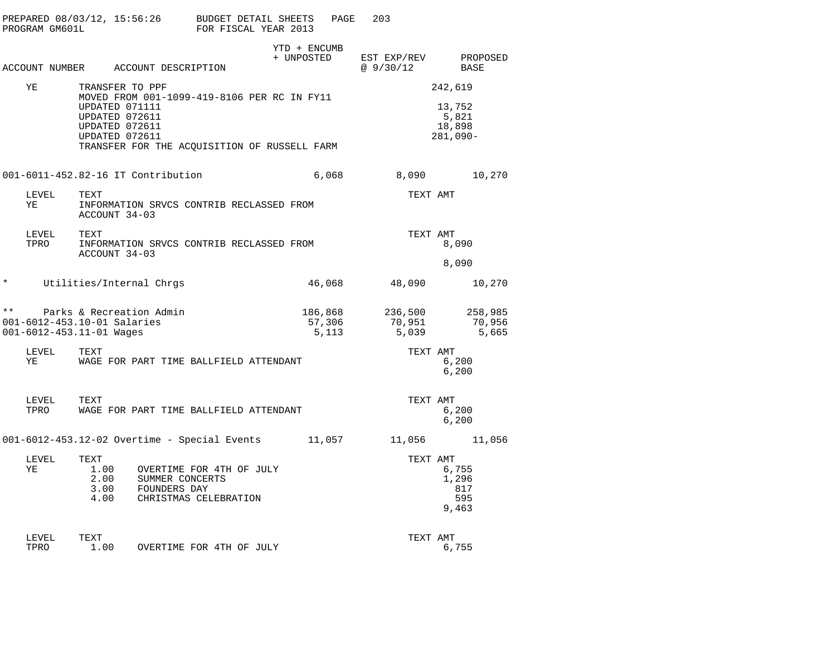| PREPARED 08/03/12, 15:56:26<br>PROGRAM GM601L                           |                                                                      |                                                                                             | BUDGET DETAIL SHEETS<br>FOR FISCAL YEAR 2013 |                            | PAGE                       | 203                        |                                         |
|-------------------------------------------------------------------------|----------------------------------------------------------------------|---------------------------------------------------------------------------------------------|----------------------------------------------|----------------------------|----------------------------|----------------------------|-----------------------------------------|
| ACCOUNT NUMBER                                                          |                                                                      | ACCOUNT DESCRIPTION                                                                         |                                              | YTD + ENCUMB<br>+ UNPOSTED |                            | EST EXP/REV<br>@9/30/12    | PROPOSED<br><b>BASE</b>                 |
| ΥE                                                                      | TRANSFER TO PPF                                                      |                                                                                             |                                              |                            |                            |                            | 242,619                                 |
|                                                                         | UPDATED 071111<br>UPDATED 072611<br>UPDATED 072611<br>UPDATED 072611 | MOVED FROM 001-1099-419-8106 PER RC IN FY11<br>TRANSFER FOR THE ACQUISITION OF RUSSELL FARM |                                              |                            |                            |                            | 13,752<br>5,821<br>18,898<br>$281,090-$ |
|                                                                         |                                                                      | 001-6011-452.82-16 IT Contribution                                                          |                                              |                            | 6,068                      | 8,090                      | 10,270                                  |
| LEVEL<br>ΥE                                                             | TEXT<br>ACCOUNT 34-03                                                | INFORMATION SRVCS CONTRIB RECLASSED FROM                                                    |                                              |                            |                            | TEXT AMT                   |                                         |
| LEVEL<br>TPRO                                                           | TEXT<br>ACCOUNT 34-03                                                | INFORMATION SRVCS CONTRIB RECLASSED FROM                                                    |                                              |                            |                            | TEXT AMT                   | 8,090                                   |
|                                                                         |                                                                      |                                                                                             |                                              |                            |                            |                            | 8,090                                   |
| $^\star$                                                                |                                                                      | Utilities/Internal Chrgs                                                                    |                                              |                            | 46,068                     | 48,090                     | 10,270                                  |
| $\star\star$<br>001-6012-453.10-01 Salaries<br>001-6012-453.11-01 Wages |                                                                      | Parks & Recreation Admin                                                                    |                                              |                            | 186,868<br>57,306<br>5,113 | 236,500<br>70,951<br>5,039 | 258,985<br>70,956<br>5,665              |
| LEVEL<br>ΥE                                                             | TEXT                                                                 | WAGE FOR PART TIME BALLFIELD ATTENDANT                                                      |                                              |                            |                            | TEXT AMT                   | 6,200<br>6.200                          |
| LEVEL<br>TPRO                                                           | TEXT                                                                 | WAGE FOR PART TIME BALLFIELD ATTENDANT                                                      |                                              |                            |                            | TEXT AMT                   | 6,200<br>6,200                          |
|                                                                         |                                                                      | 001-6012-453.12-02 Overtime - Special Events                                                |                                              | 11,057                     |                            | 11,056                     | 11,056                                  |
| LEVEL<br>ΥE                                                             | TEXT<br>1.00<br>2.00<br>3.00<br>4.00                                 | OVERTIME FOR 4TH OF JULY<br>SUMMER CONCERTS<br>FOUNDERS DAY<br>CHRISTMAS CELEBRATION        |                                              |                            |                            | TEXT AMT                   | 6,755<br>1,296<br>817<br>595<br>9,463   |
| LEVEL<br>TPRO                                                           | TEXT<br>1.00                                                         | OVERTIME FOR 4TH OF JULY                                                                    |                                              |                            |                            | TEXT AMT                   | 6,755                                   |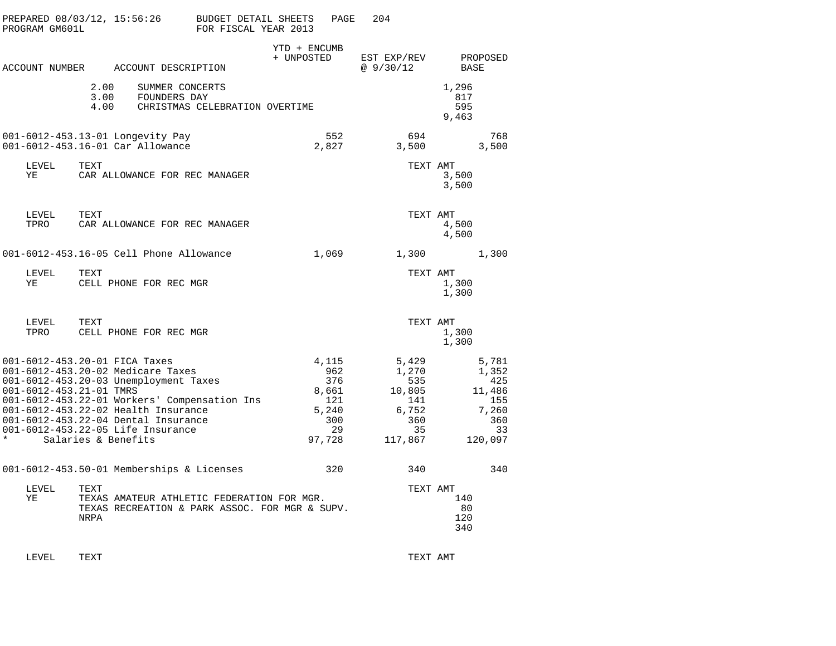| PREPARED 08/03/12, 15:56:26<br>PROGRAM GM601L                                                                                                                                                                                                                                                                                               | BUDGET DETAIL SHEETS<br>FOR FISCAL YEAR 2013                                                 | PAGE                                                                | 204                                                                     |                                                                         |
|---------------------------------------------------------------------------------------------------------------------------------------------------------------------------------------------------------------------------------------------------------------------------------------------------------------------------------------------|----------------------------------------------------------------------------------------------|---------------------------------------------------------------------|-------------------------------------------------------------------------|-------------------------------------------------------------------------|
| ACCOUNT NUMBER ACCOUNT DESCRIPTION                                                                                                                                                                                                                                                                                                          | + UNPOSTED                                                                                   | YTD + ENCUMB                                                        | EST EXP/REV<br>@ 9/30/12                                                | PROPOSED<br>BASE                                                        |
| 2.00 SUMMER CONCEI<br>3.00 FOUNDERS DAY<br>SUMMER CONCERTS<br>4.00                                                                                                                                                                                                                                                                          | CHRISTMAS CELEBRATION OVERTIME                                                               |                                                                     |                                                                         | 1,296<br>817<br>595<br>9,463                                            |
| 001-6012-453.13-01 Longevity Pay<br>001-6012-453.16-01 Car Allowance                                                                                                                                                                                                                                                                        |                                                                                              | 552<br>2,827                                                        | 694<br>3,500                                                            | 768<br>3,500                                                            |
| LEVEL<br>TEXT<br>ΥE<br>CAR ALLOWANCE FOR REC MANAGER                                                                                                                                                                                                                                                                                        |                                                                                              |                                                                     | TEXT AMT                                                                | 3,500<br>3,500                                                          |
| TEXT<br>LEVEL<br>TPRO<br>CAR ALLOWANCE FOR REC MANAGER                                                                                                                                                                                                                                                                                      |                                                                                              |                                                                     | TEXT AMT                                                                | 4,500<br>4,500                                                          |
| 001-6012-453.16-05 Cell Phone Allowance                                                                                                                                                                                                                                                                                                     |                                                                                              | 1,069                                                               | 1,300                                                                   | 1,300                                                                   |
| LEVEL<br>TEXT<br>CELL PHONE FOR REC MGR<br>ΥE                                                                                                                                                                                                                                                                                               |                                                                                              |                                                                     | TEXT AMT                                                                | 1,300<br>1,300                                                          |
| LEVEL<br>TEXT<br>CELL PHONE FOR REC MGR<br>TPRO                                                                                                                                                                                                                                                                                             |                                                                                              |                                                                     | TEXT AMT                                                                | 1,300<br>1,300                                                          |
| 001-6012-453.20-01 FICA Taxes<br>001-6012-453.20-02 Medicare Taxes<br>001-6012-453.20-03 Unemployment Taxes<br>001-6012-453.21-01 TMRS<br>001-6012-453.22-01 Workers' Compensation Ins<br>001-6012-453.22-02 Health Insurance<br>001-6012-453.22-04 Dental Insurance<br>001-6012-453.22-05 Life Insurance<br>$\star$<br>Salaries & Benefits |                                                                                              | 4,115<br>962<br>376<br>8,661<br>121<br>5,240<br>300<br>29<br>97,728 | 5,429<br>1,270<br>535<br>10,805<br>141<br>6,752<br>360<br>35<br>117,867 | 5,781<br>1,352<br>425<br>11,486<br>155<br>7,260<br>360<br>33<br>120,097 |
| 001-6012-453.50-01 Memberships & Licenses                                                                                                                                                                                                                                                                                                   |                                                                                              | 320                                                                 | 340                                                                     | 340                                                                     |
| LEVEL<br>TEXT<br>ΥE<br>NRPA                                                                                                                                                                                                                                                                                                                 | TEXAS AMATEUR ATHLETIC FEDERATION FOR MGR.<br>TEXAS RECREATION & PARK ASSOC. FOR MGR & SUPV. |                                                                     | TEXT AMT                                                                | 140<br>80<br>120<br>340                                                 |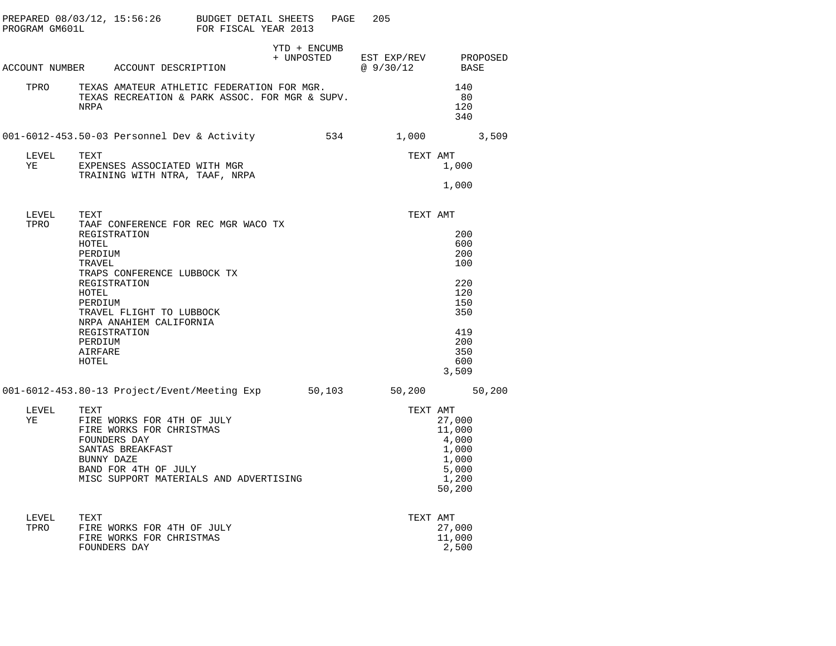| PROGRAM GM601L |                                                                               | PREPARED $08/03/12$ , $15:56:26$ BUDGET DETAIL SHEETS                                                                                                                              | FOR FISCAL YEAR 2013 |              | PAGE | 205                                               |                                                                                           |  |
|----------------|-------------------------------------------------------------------------------|------------------------------------------------------------------------------------------------------------------------------------------------------------------------------------|----------------------|--------------|------|---------------------------------------------------|-------------------------------------------------------------------------------------------|--|
|                |                                                                               |                                                                                                                                                                                    |                      | YTD + ENCUMB |      | + UNPOSTED EST EXP/REV PROPOSED<br>@ 9/30/12 BASE |                                                                                           |  |
|                |                                                                               | ACCOUNT NUMBER ACCOUNT DESCRIPTION                                                                                                                                                 |                      |              |      |                                                   |                                                                                           |  |
| TPRO           | NRPA                                                                          | TEXAS AMATEUR ATHLETIC FEDERATION FOR MGR.<br>TEXAS AMATEUR ATHLETIC FEDERATION FOR MGR.<br>TEXAS RECREATION & PARK ASSOC. FOR MGR & SUPV.                                         |                      |              |      |                                                   | 140<br>- 80<br>120<br>340                                                                 |  |
|                |                                                                               | 001-6012-453.50-03 Personnel Dev & Activity 534 1,000 3,509                                                                                                                        |                      |              |      |                                                   |                                                                                           |  |
| LEVEL<br>YE    | TEXT                                                                          | EXPENSES ASSOCIATED WITH MGR<br>TRAINING WITH NTRA, TAAF, NRPA                                                                                                                     |                      |              |      | TEXT AMT                                          | 1,000<br>1,000                                                                            |  |
|                |                                                                               |                                                                                                                                                                                    |                      |              |      |                                                   |                                                                                           |  |
| LEVEL          |                                                                               |                                                                                                                                                                                    |                      |              |      | TEXT AMT                                          |                                                                                           |  |
| TPRO           | HOTEL<br>PERDIUM<br>TRAVEL<br>HOTEL<br>PERDIUM<br>PERDIUM<br>AIRFARE<br>HOTEL | TAAF CONFERENCE FOR REC MGR WACO TX<br>REGISTRATION<br>TRAPS CONFERENCE LUBBOCK TX<br>REGISTRATION<br>TRAVEL FLIGHT TO LUBBOCK<br>NRPA ANAHIEM CALIFORNIA<br>REGISTRATION          |                      |              |      |                                                   | 200<br>600<br>200<br>100<br>220<br>120<br>150<br>350<br>419<br>200<br>350<br>600<br>3,509 |  |
|                |                                                                               | 001-6012-453.80-13 Project/Event/Meeting Exp 50,103 50,200 50,200                                                                                                                  |                      |              |      |                                                   |                                                                                           |  |
| LEVEL<br>YE    | TEXT                                                                          | TEXT<br>FIRE WORKS FOR 4TH OF JULY<br>FIRE WORKS FOR CHRISTMAS<br>FOUNDERS DAY<br>SANTAS BREAKFAST<br>BUNNY DAZE<br>BAND FOR 4TH OF JULY<br>MISC SUPPORT MATERIALS AND ADVERTISING |                      |              |      | TEXT AMT                                          | 27,000<br>11,000<br>4,000<br>1,000<br>1,000<br>5,000<br>1,200<br>50,200                   |  |
| LEVEL<br>TPRO  | TEXT                                                                          | FIRE WORKS FOR 4TH OF JULY<br>FIRE WORKS FOR CHRISTMAS<br>FOUNDERS DAY                                                                                                             |                      |              |      | TEXT AMT                                          | 27,000<br>11,000<br>2,500                                                                 |  |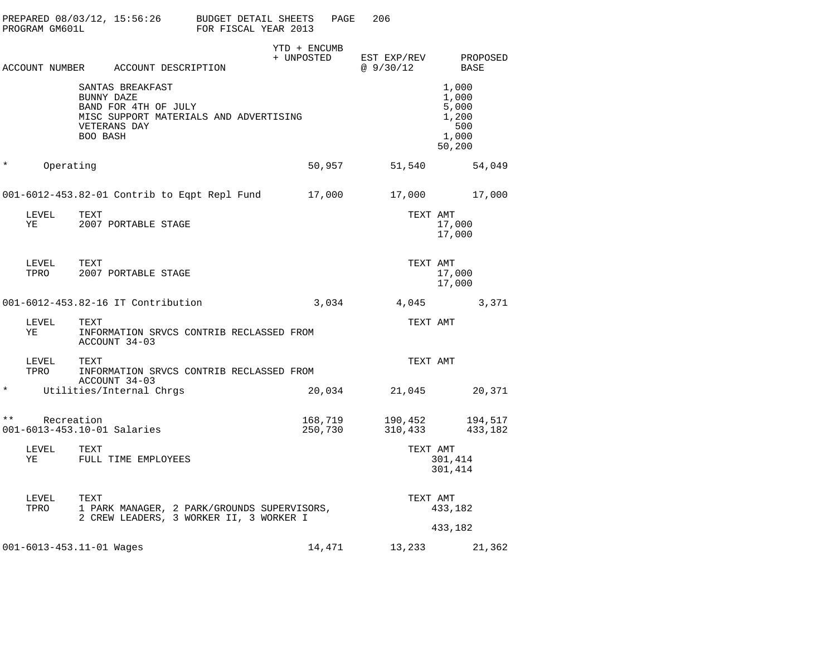| PROGRAM GM601L      | PREPARED 08/03/12, 15:56:26                                                        | BUDGET DETAIL SHEETS<br>FOR FISCAL YEAR 2013                                           | PAGE               | 206                      |                                                            |
|---------------------|------------------------------------------------------------------------------------|----------------------------------------------------------------------------------------|--------------------|--------------------------|------------------------------------------------------------|
|                     | ACCOUNT NUMBER ACCOUNT DESCRIPTION                                                 | YTD + ENCUMB<br>+ UNPOSTED                                                             |                    | EST EXP/REV<br>@ 9/30/12 | PROPOSED<br>BASE                                           |
|                     | SANTAS BREAKFAST<br>BUNNY DAZE<br>BAND FOR 4TH OF JULY<br>VETERANS DAY<br>BOO BASH | MISC SUPPORT MATERIALS AND ADVERTISING                                                 |                    |                          | 1,000<br>1,000<br>5,000<br>1,200<br>500<br>1,000<br>50,200 |
| $\ast$<br>Operating |                                                                                    |                                                                                        | 50,957             | 51,540                   | 54,049                                                     |
|                     |                                                                                    | 001-6012-453.82-01 Contrib to Eqpt Repl Fund                                           | 17,000             | 17,000                   | 17,000                                                     |
| LEVEL<br>ΥE         | TEXT<br>2007 PORTABLE STAGE                                                        |                                                                                        |                    | TEXT AMT                 | 17,000<br>17,000                                           |
| LEVEL<br>TPRO       | TEXT<br>2007 PORTABLE STAGE                                                        |                                                                                        |                    | TEXT AMT                 | 17,000<br>17,000                                           |
|                     | 001-6012-453.82-16 IT Contribution                                                 |                                                                                        | 3,034              | 4,045                    | 3,371                                                      |
| LEVEL<br>ΥE         | TEXT<br>ACCOUNT 34-03                                                              | INFORMATION SRVCS CONTRIB RECLASSED FROM                                               |                    | TEXT AMT                 |                                                            |
| LEVEL<br>TPRO       | TEXT                                                                               | INFORMATION SRVCS CONTRIB RECLASSED FROM                                               |                    | TEXT AMT                 |                                                            |
| $^\star$            | ACCOUNT 34-03<br>Utilities/Internal Chrgs                                          |                                                                                        | 20,034             | 21,045                   | 20,371                                                     |
| $\star\star$        | Recreation<br>001-6013-453.10-01 Salaries                                          |                                                                                        | 168,719<br>250,730 | 190,452<br>310,433       | 194,517<br>433,182                                         |
| LEVEL<br>ΥE         | TEXT<br>FULL TIME EMPLOYEES                                                        |                                                                                        |                    | TEXT AMT                 | 301,414<br>301,414                                         |
| LEVEL<br>TPRO       | TEXT                                                                               | 1 PARK MANAGER, 2 PARK/GROUNDS SUPERVISORS,<br>2 CREW LEADERS, 3 WORKER II, 3 WORKER I |                    | TEXT AMT                 | 433,182                                                    |
|                     | 001-6013-453.11-01 Wages                                                           |                                                                                        | 14,471             | 13,233                   | 433,182<br>21,362                                          |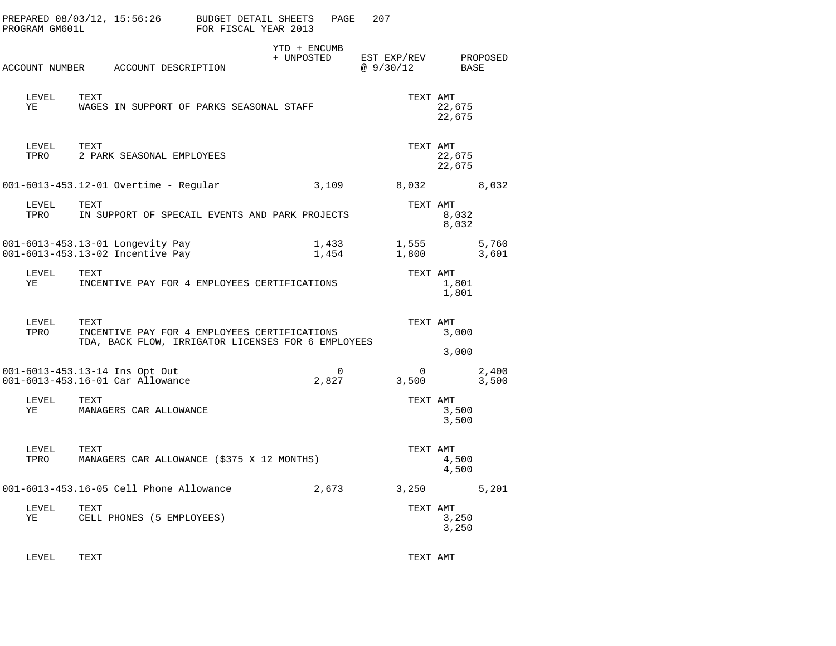| PROGRAM GM601L | PREPARED 08/03/12, 15:56:26                                                                                | BUDGET DETAIL SHEETS<br>FOR FISCAL YEAR 2013 | PAGE                       | 207                      |                  |                |
|----------------|------------------------------------------------------------------------------------------------------------|----------------------------------------------|----------------------------|--------------------------|------------------|----------------|
|                | ACCOUNT NUMBER ACCOUNT DESCRIPTION                                                                         |                                              | YTD + ENCUMB<br>+ UNPOSTED | EST EXP/REV<br>@ 9/30/12 | BASE             | PROPOSED       |
| LEVEL<br>ΥE    | TEXT<br>WAGES IN SUPPORT OF PARKS SEASONAL STAFF                                                           |                                              |                            | TEXT AMT                 | 22,675<br>22,675 |                |
| LEVEL<br>TPRO  | TEXT<br>2 PARK SEASONAL EMPLOYEES                                                                          |                                              |                            | TEXT AMT                 | 22,675<br>22,675 |                |
|                | 001-6013-453.12-01 Overtime - Regular                                                                      |                                              | 3,109                      | 8,032                    |                  | 8,032          |
| LEVEL<br>TPRO  | TEXT<br>IN SUPPORT OF SPECAIL EVENTS AND PARK PROJECTS                                                     |                                              |                            | TEXT AMT                 | 8,032<br>8,032   |                |
|                | 001-6013-453.13-01 Longevity Pay<br>001-6013-453.13-02 Incentive Pay                                       |                                              | 1,433<br>1,454             | 1,555<br>1,800           |                  | 5,760<br>3,601 |
| LEVEL<br>ΥE    | TEXT<br>INCENTIVE PAY FOR 4 EMPLOYEES CERTIFICATIONS                                                       |                                              |                            | TEXT AMT                 | 1,801<br>1,801   |                |
| LEVEL<br>TPRO  | TEXT<br>INCENTIVE PAY FOR 4 EMPLOYEES CERTIFICATIONS<br>TDA, BACK FLOW, IRRIGATOR LICENSES FOR 6 EMPLOYEES |                                              |                            | TEXT AMT                 | 3,000<br>3,000   |                |
|                | 001-6013-453.13-14 Ins Opt Out<br>001-6013-453.16-01 Car Allowance                                         |                                              | $\Omega$<br>2,827          | $\Omega$<br>3,500        |                  | 2,400<br>3,500 |
| LEVEL<br>YE    | TEXT<br>MANAGERS CAR ALLOWANCE                                                                             |                                              |                            | TEXT AMT                 | 3,500<br>3,500   |                |
| LEVEL<br>TPRO  | TEXT<br>MANAGERS CAR ALLOWANCE (\$375 X 12 MONTHS)                                                         |                                              |                            | TEXT AMT                 | 4,500<br>4,500   |                |
|                | 001-6013-453.16-05 Cell Phone Allowance                                                                    |                                              | 2,673                      | 3,250                    |                  | 5,201          |
| LEVEL<br>ΥE    | TEXT<br>CELL PHONES (5 EMPLOYEES)                                                                          |                                              |                            | TEXT AMT                 | 3,250<br>3,250   |                |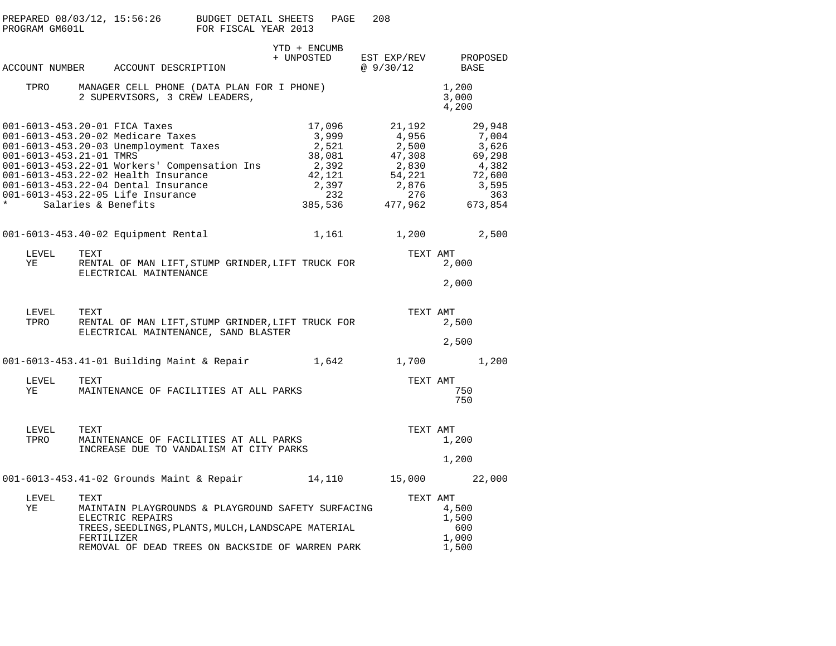| PROGRAM GM601L                                   |                    | PREPARED 08/03/12, 15:56:26 BUDGET DETAIL SHEETS                                                                                                                                                                                                                               | FOR FISCAL YEAR 2013 |                            | PAGE                                                                             | 208                                                                              |                                                                                  |
|--------------------------------------------------|--------------------|--------------------------------------------------------------------------------------------------------------------------------------------------------------------------------------------------------------------------------------------------------------------------------|----------------------|----------------------------|----------------------------------------------------------------------------------|----------------------------------------------------------------------------------|----------------------------------------------------------------------------------|
|                                                  |                    | ACCOUNT NUMBER ACCOUNT DESCRIPTION                                                                                                                                                                                                                                             |                      | YTD + ENCUMB<br>+ UNPOSTED |                                                                                  | @ 9/30/12                                                                        | EST EXP/REV PROPOSED<br>BASE                                                     |
|                                                  |                    | TPRO MANAGER CELL PHONE (DATA PLAN FOR I PHONE)<br>2 SUPERVISORS, 3 CREW LEADERS,                                                                                                                                                                                              |                      |                            |                                                                                  |                                                                                  | 1,200<br>3,000<br>4,200                                                          |
| 001-6013-453.21-01 TMRS<br>* Salaries & Benefits |                    | 001-6013-453.20-01 FICA Taxes<br>001-6013-453.20-02 Medicare Taxes<br>001-6013-453.20-03 Unemployment Taxes<br>001-6013-453.22-01 Workers' Compensation Ins<br>001-6013-453.22-02 Health Insurance<br>001-6013-453.22-04 Dental Insurance<br>001-6013-453.22-05 Life Insurance |                      |                            | 17,096<br>3,999<br>2,521<br>38,081<br>2,392<br>42,121<br>2,397<br>232<br>385,536 | 21,192<br>4,956<br>2,500<br>47,308<br>2,830<br>54,221<br>2,876<br>276<br>477,962 | 29,948<br>7,004<br>3,626<br>69,298<br>4,382<br>72,600<br>3,595<br>363<br>673,854 |
|                                                  |                    | 001-6013-453.40-02 Equipment Rental                                                                                                                                                                                                                                            |                      |                            |                                                                                  | 1,161 1,200                                                                      | 2,500                                                                            |
| LEVEL<br>YE                                      | TEXT               | RENTAL OF MAN LIFT, STUMP GRINDER, LIFT TRUCK FOR<br>ELECTRICAL MAINTENANCE                                                                                                                                                                                                    |                      |                            |                                                                                  | TEXT AMT                                                                         | 2,000<br>2,000                                                                   |
| LEVEL<br>TPRO                                    | TEXT               | RENTAL OF MAN LIFT, STUMP GRINDER, LIFT TRUCK FOR<br>ELECTRICAL MAINTENANCE, SAND BLASTER                                                                                                                                                                                      |                      |                            |                                                                                  | TEXT AMT                                                                         | 2,500<br>2,500                                                                   |
|                                                  |                    | 001-6013-453.41-01 Building Maint & Repair 1,642                                                                                                                                                                                                                               |                      |                            |                                                                                  |                                                                                  | 1,700 1,200                                                                      |
| LEVEL<br>YE                                      | TEXT               | MAINTENANCE OF FACILITIES AT ALL PARKS                                                                                                                                                                                                                                         |                      |                            |                                                                                  | TEXT AMT                                                                         | 750<br>750                                                                       |
| LEVEL<br>TPRO                                    | TEXT               | MAINTENANCE OF FACILITIES AT ALL PARKS<br>INCREASE DUE TO VANDALISM AT CITY PARKS                                                                                                                                                                                              |                      |                            |                                                                                  | TEXT AMT                                                                         | 1,200<br>1,200                                                                   |
|                                                  |                    | 001-6013-453.41-02 Grounds Maint & Repair 14,110 15,000 22,000                                                                                                                                                                                                                 |                      |                            |                                                                                  |                                                                                  |                                                                                  |
| LEVEL<br>ΥE                                      | TEXT<br>FERTILIZER | MAINTAIN PLAYGROUNDS & PLAYGROUND SAFETY SURFACING<br>ELECTRIC REPAIRS<br>TREES, SEEDLINGS, PLANTS, MULCH, LANDSCAPE MATERIAL<br>REMOVAL OF DEAD TREES ON BACKSIDE OF WARREN PARK                                                                                              |                      |                            |                                                                                  | TEXT AMT                                                                         | 4,500<br>1,500<br>600<br>1,000<br>1,500                                          |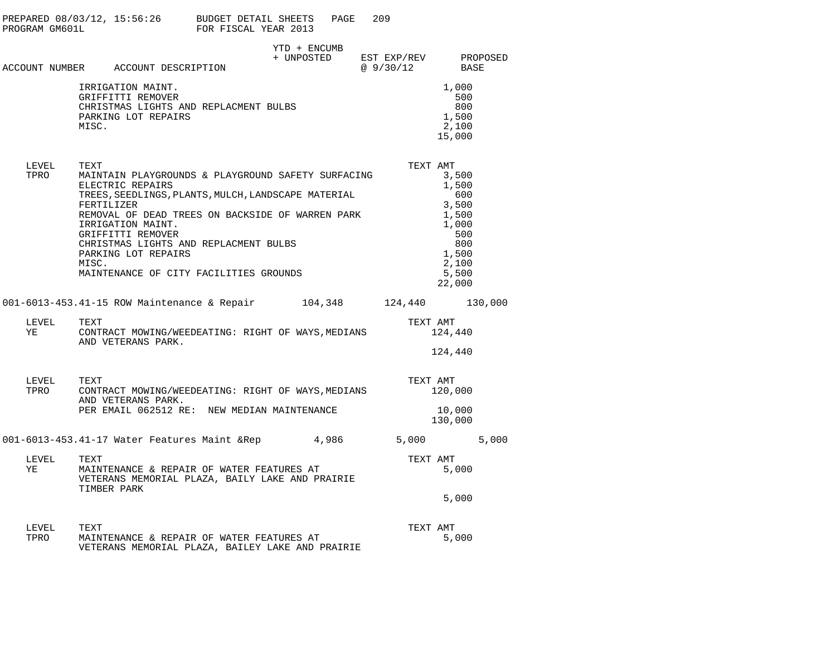| PROGRAM GM601L | PREPARED $08/03/12$ , $15:56:26$ BUDGET DETAIL SHEETS                                                                                                                                                                                                                                                                                                                | FOR FISCAL YEAR 2013 | PAGE         | 209                                |                                                                                                     |
|----------------|----------------------------------------------------------------------------------------------------------------------------------------------------------------------------------------------------------------------------------------------------------------------------------------------------------------------------------------------------------------------|----------------------|--------------|------------------------------------|-----------------------------------------------------------------------------------------------------|
|                | ACCOUNT NUMBER ACCOUNT DESCRIPTION                                                                                                                                                                                                                                                                                                                                   |                      | YTD + ENCUMB | + UNPOSTED EST EXP/REV<br>@9/30/12 | PROPOSED<br>BASE                                                                                    |
|                | IRRIGATION MAINT.<br>GRIFFITTI REMOVER<br>CHRISTMAS LIGHTS AND REPLACMENT BULBS<br>PARKING LOT REPAIRS<br>MISC.                                                                                                                                                                                                                                                      |                      |              |                                    | 1,000<br>500<br>800<br>1,500<br>2,100<br>15,000                                                     |
| LEVEL<br>TPRO  | TEXT<br>MAINTAIN PLAYGROUNDS & PLAYGROUND SAFETY SURFACING<br>ELECTRIC REPAIRS<br>TREES, SEEDLINGS, PLANTS, MULCH, LANDSCAPE MATERIAL<br>FERTILIZER<br>REMOVAL OF DEAD TREES ON BACKSIDE OF WARREN PARK<br>IRRIGATION MAINT.<br>GRIFFITTI REMOVER<br>CHRISTMAS LIGHTS AND REPLACMENT BULBS<br>PARKING LOT REPAIRS<br>MISC.<br>MAINTENANCE OF CITY FACILITIES GROUNDS |                      |              | TEXT AMT                           | 3,500<br>1,500<br>600<br>3,500<br>1,500<br>1,000<br>500<br>800<br>1,500<br>2,100<br>5,500<br>22,000 |
|                | 001-6013-453.41-15 ROW Maintenance & Repair 104,348 124,440 130,000                                                                                                                                                                                                                                                                                                  |                      |              |                                    |                                                                                                     |
| LEVEL<br>YE    | TEXT<br>CONTRACT MOWING/WEEDEATING: RIGHT OF WAYS, MEDIANS<br>AND VETERANS PARK.                                                                                                                                                                                                                                                                                     |                      |              | TEXT AMT                           | 124,440<br>124,440                                                                                  |
| LEVEL<br>TPRO  | TEXT<br>CONTRACT MOWING/WEEDEATING: RIGHT OF WAYS, MEDIANS<br>AND VETERANS PARK.<br>PER EMAIL 062512 RE: NEW MEDIAN MAINTENANCE                                                                                                                                                                                                                                      |                      |              | TEXT AMT                           | 120,000<br>10,000<br>130,000                                                                        |
|                | 001-6013-453.41-17 Water Features Maint & Rep 4,986 5,000                                                                                                                                                                                                                                                                                                            |                      |              |                                    | 5,000                                                                                               |
| LEVEL<br>YE    | TEXT<br>MAINTENANCE & REPAIR OF WATER FEATURES AT<br>VETERANS MEMORIAL PLAZA, BAILY LAKE AND PRAIRIE<br>TIMBER PARK                                                                                                                                                                                                                                                  |                      |              | TEXT AMT                           | 5,000                                                                                               |
|                |                                                                                                                                                                                                                                                                                                                                                                      |                      |              |                                    | 5,000                                                                                               |
| LEVEL<br>TPRO  | TEXT<br>MAINTENANCE & REPAIR OF WATER FEATURES AT                                                                                                                                                                                                                                                                                                                    |                      |              | TEXT AMT                           | 5,000                                                                                               |

VETERANS MEMORIAL PLAZA, BAILEY LAKE AND PRAIRIE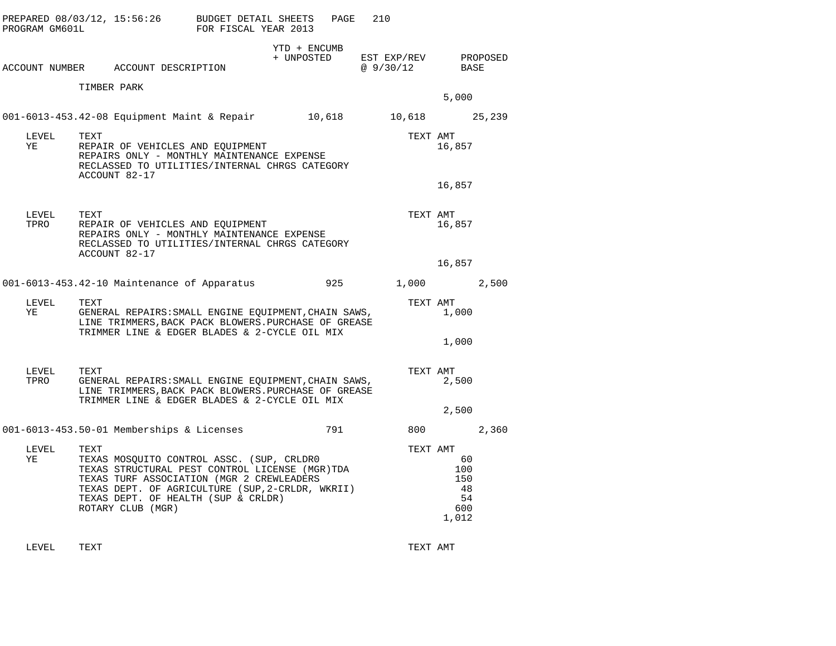| PROGRAM GM601L     | PREPARED 08/03/12, 15:56:26 BUDGET DETAIL SHEETS                                                                                                                                                                                                                 | FOR FISCAL YEAR 2013 | PAGE         | 210                                          |                                                 |  |
|--------------------|------------------------------------------------------------------------------------------------------------------------------------------------------------------------------------------------------------------------------------------------------------------|----------------------|--------------|----------------------------------------------|-------------------------------------------------|--|
|                    | ACCOUNT NUMBER ACCOUNT DESCRIPTION                                                                                                                                                                                                                               |                      | YTD + ENCUMB | + UNPOSTED EST EXP/REV PROPOSED<br>@ 9/30/12 | BASE                                            |  |
|                    | TIMBER PARK                                                                                                                                                                                                                                                      |                      |              |                                              | 5,000                                           |  |
|                    | 001-6013-453.42-08 Equipment Maint & Repair 10,618 10,618 25,239                                                                                                                                                                                                 |                      |              |                                              |                                                 |  |
| LEVEL<br>YE        | TEXT<br>REPAIR OF VEHICLES AND EQUIPMENT<br>REPAIRS ONLY - MONTHLY MAINTENANCE EXPENSE<br>RECLASSED TO UTILITIES/INTERNAL CHRGS CATEGORY<br>ACCOUNT 82-17                                                                                                        |                      |              |                                              | TEXT AMT<br>16,857                              |  |
|                    |                                                                                                                                                                                                                                                                  |                      |              |                                              | 16,857                                          |  |
| LEVEL<br>TPRO      | TEXT<br>REPAIR OF VEHICLES AND EQUIPMENT<br>REPAIRS ONLY - MONTHLY MAINTENANCE EXPENSE<br>RECLASSED TO UTILITIES/INTERNAL CHRGS CATEGORY<br>ACCOUNT 82-17                                                                                                        |                      |              | TEXT AMT                                     | 16,857                                          |  |
|                    |                                                                                                                                                                                                                                                                  |                      |              |                                              | 16,857                                          |  |
|                    | 001-6013-453.42-10 Maintenance of Apparatus                                                                                                                                                                                                                      |                      |              | 925 — 100                                    | 1,000 2,500                                     |  |
| LEVEL<br><b>YE</b> | TEXT<br>GENERAL REPAIRS: SMALL ENGINE EQUIPMENT, CHAIN SAWS,<br>LINE TRIMMERS, BACK PACK BLOWERS. PURCHASE OF GREASE<br>TRIMMER LINE & EDGER BLADES & 2-CYCLE OIL MIX                                                                                            |                      |              | TEXT AMT                                     | 1,000                                           |  |
|                    |                                                                                                                                                                                                                                                                  |                      |              |                                              | 1,000                                           |  |
| LEVEL<br>TPRO      | TEXT<br>GENERAL REPAIRS: SMALL ENGINE EQUIPMENT, CHAIN SAWS,<br>LINE TRIMMERS, BACK PACK BLOWERS. PURCHASE OF GREASE<br>TRIMMER LINE & EDGER BLADES & 2-CYCLE OIL MIX                                                                                            |                      |              | TEXT AMT                                     | 2,500                                           |  |
|                    |                                                                                                                                                                                                                                                                  |                      |              |                                              | 2,500                                           |  |
|                    | 001-6013-453.50-01 Memberships & Licenses                                                                                                                                                                                                                        |                      | 791          |                                              | 800 2,360                                       |  |
| LEVEL<br>YE        | TEXT<br>TEXAS MOSQUITO CONTROL ASSC. (SUP, CRLDRO<br>TEXAS STRUCTURAL PEST CONTROL LICENSE (MGR)TDA<br>TEXAS TURF ASSOCIATION (MGR 2 CREWLEADERS<br>TEXAS DEPT. OF AGRICULTURE (SUP, 2-CRLDR, WKRII)<br>TEXAS DEPT. OF HEALTH (SUP & CRLDR)<br>ROTARY CLUB (MGR) |                      |              | TEXT AMT                                     | 60<br>100<br>150<br>- 48<br>-54<br>600<br>1,012 |  |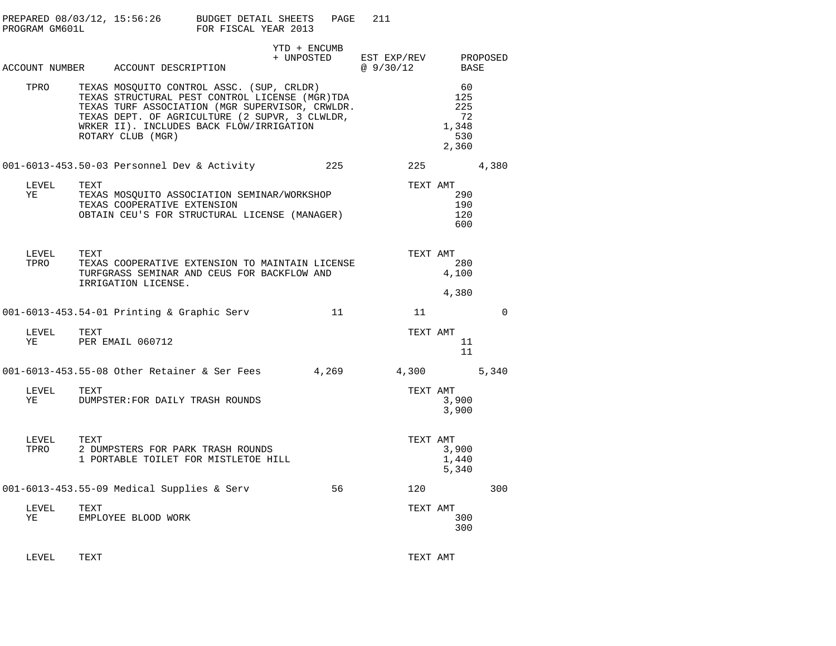|               |      | PREPARED 08/03/12, 15:56:26 BUDGET DETAIL SHEETS<br>PROGRAM GM601L FOR FISCAL YEAR 2013                                                                                                                                                                           |                                                 | PAGE | 211       |          |                                                 |             |
|---------------|------|-------------------------------------------------------------------------------------------------------------------------------------------------------------------------------------------------------------------------------------------------------------------|-------------------------------------------------|------|-----------|----------|-------------------------------------------------|-------------|
|               |      | ACCOUNT NUMBER ACCOUNT DESCRIPTION                                                                                                                                                                                                                                | YTD + ENCUMB<br>+ UNPOSTED EST EXP/REV PROPOSED |      | @ 9/30/12 |          | BASE                                            |             |
| TPRO          |      | TEXAS MOSQUITO CONTROL ASSC. (SUP, CRLDR)<br>TEXAS STRUCTURAL PEST CONTROL LICENSE (MGR)TDA<br>TEXAS TURF ASSOCIATION (MGR SUPERVISOR, CRWLDR.<br>TEXAS DEPT. OF AGRICULTURE (2 SUPVR, 3 CLWLDR,<br>WRKER II). INCLUDES BACK FLOW/IRRIGATION<br>ROTARY CLUB (MGR) |                                                 |      |           |          | 60<br>125<br>225<br>72<br>1,348<br>530<br>2,360 |             |
|               |      | 001-6013-453.50-03 Personnel Dev & Activity                                                                                                                                                                                                                       |                                                 | 225  |           | 225      | 4,380                                           |             |
| LEVEL<br>YE   | TEXT | TEXAS MOSQUITO ASSOCIATION SEMINAR/WORKSHOP<br>TEXAS COOPERATIVE EXTENSION<br>OBTAIN CEU'S FOR STRUCTURAL LICENSE (MANAGER)                                                                                                                                       |                                                 |      |           |          | TEXT AMT<br>290<br>190<br>120<br>600            |             |
| LEVEL<br>TPRO | TEXT | TEXAS COOPERATIVE EXTENSION TO MAINTAIN LICENSE<br>TURFGRASS SEMINAR AND CEUS FOR BACKFLOW AND<br>IRRIGATION LICENSE.                                                                                                                                             |                                                 |      |           |          | TEXT AMT<br>280<br>4,100<br>4,380               |             |
|               |      | 001-6013-453.54-01 Printing & Graphic Serv                                                                                                                                                                                                                        |                                                 | 11   |           | 11       |                                                 | $\mathbf 0$ |
| LEVEL<br>ΥE   | TEXT | PER EMAIL 060712                                                                                                                                                                                                                                                  |                                                 |      |           | TEXT AMT | 11<br>11                                        |             |
|               |      | 001-6013-453.55-08 Other Retainer & Ser Fees 4,269                                                                                                                                                                                                                |                                                 |      |           | 4,300    |                                                 | 5,340       |
| LEVEL<br>YE   | TEXT | DUMPSTER: FOR DAILY TRASH ROUNDS                                                                                                                                                                                                                                  |                                                 |      |           | TEXT AMT | 3,900<br>3,900                                  |             |
| LEVEL<br>TPRO | TEXT | 2 DUMPSTERS FOR PARK TRASH ROUNDS<br>1 PORTABLE TOILET FOR MISTLETOE HILL                                                                                                                                                                                         |                                                 |      |           | TEXT AMT | 3,900<br>1,440<br>5,340                         |             |
|               |      | 001-6013-453.55-09 Medical Supplies & Serv                                                                                                                                                                                                                        |                                                 | 56   |           | 120      |                                                 | 300         |
| LEVEL<br>ΥE   | TEXT | EMPLOYEE BLOOD WORK                                                                                                                                                                                                                                               |                                                 |      |           | TEXT AMT | 300<br>300                                      |             |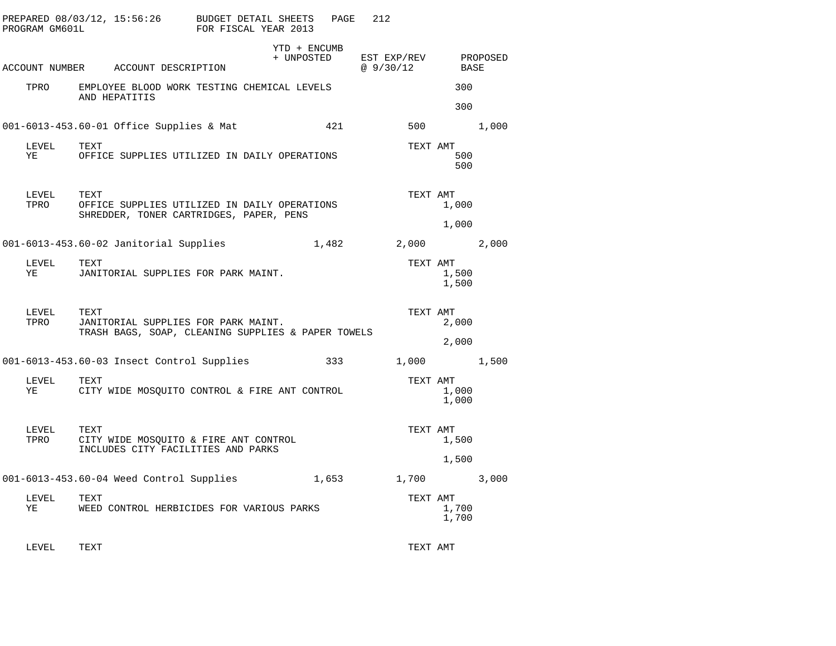| PROGRAM GM601L | PREPARED $08/03/12$ , $15:56:26$ BUDGET DETAIL SHEETS                                             | FOR FISCAL YEAR 2013 | PAGE         | 212                                          |                |       |
|----------------|---------------------------------------------------------------------------------------------------|----------------------|--------------|----------------------------------------------|----------------|-------|
|                | ACCOUNT NUMBER ACCOUNT DESCRIPTION                                                                |                      | YTD + ENCUMB | + UNPOSTED EST EXP/REV PROPOSED<br>@ 9/30/12 | BASE           |       |
|                | TPRO EMPLOYEE BLOOD WORK TESTING CHEMICAL LEVELS<br>AND HEPATITIS                                 |                      |              |                                              | 300<br>300     |       |
|                | 001-6013-453.60-01 Office Supplies & Mat                                                          |                      | 421          |                                              | 500 000        | 1,000 |
| LEVEL<br>YE    | TEXT<br>OFFICE SUPPLIES UTILIZED IN DAILY OPERATIONS                                              |                      |              | TEXT AMT                                     | 500<br>500     |       |
| LEVEL<br>TPRO  | TEXT<br>OFFICE SUPPLIES UTILIZED IN DAILY OPERATIONS<br>SHREDDER, TONER CARTRIDGES, PAPER, PENS   |                      |              | TEXT AMT                                     | 1,000<br>1,000 |       |
|                | 001-6013-453.60-02 Janitorial Supplies                                                            |                      | 1,482        | 2,000                                        |                | 2,000 |
| LEVEL<br>YE    | TEXT<br>JANITORIAL SUPPLIES FOR PARK MAINT.                                                       |                      |              | TEXT AMT                                     | 1,500<br>1,500 |       |
| LEVEL<br>TPRO  | TEXT<br>JANITORIAL SUPPLIES FOR PARK MAINT.<br>TRASH BAGS, SOAP, CLEANING SUPPLIES & PAPER TOWELS |                      |              | TEXT AMT                                     | 2,000<br>2,000 |       |
|                | 001-6013-453.60-03 Insect Control Supplies                                                        |                      | 333          |                                              | 1,000          | 1,500 |
| LEVEL<br>YE    | TEXT<br>CITY WIDE MOSQUITO CONTROL & FIRE ANT CONTROL                                             |                      |              | TEXT AMT                                     | 1,000<br>1,000 |       |
| LEVEL<br>TPRO  | TEXT<br>CITY WIDE MOSQUITO & FIRE ANT CONTROL<br>INCLUDES CITY FACILITIES AND PARKS               |                      |              | TEXT AMT                                     | 1,500<br>1,500 |       |
|                | 001-6013-453.60-04 Weed Control Supplies                                                          |                      |              | 1,653 1,700                                  |                | 3,000 |
| LEVEL<br>ΥE    | TEXT<br>WEED CONTROL HERBICIDES FOR VARIOUS PARKS                                                 |                      |              | TEXT AMT                                     | 1,700<br>1,700 |       |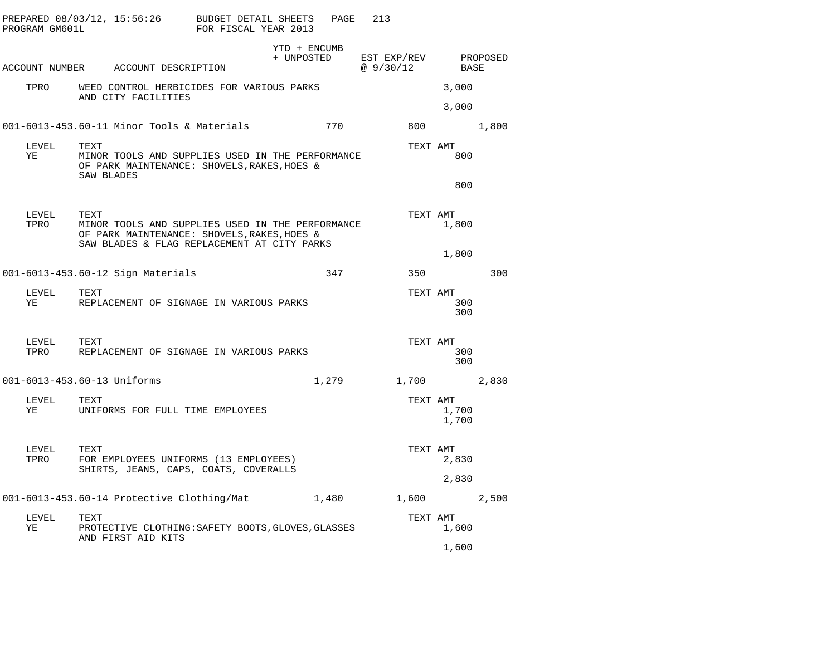| PROGRAM GM601L              |                    |                                    | PREPARED $08/03/12$ , $15:56:26$ BUDGET DETAIL SHEETS PAGE<br>FOR FISCAL YEAR 2013                                                             |                                                 |       | 213 |           |                |     |
|-----------------------------|--------------------|------------------------------------|------------------------------------------------------------------------------------------------------------------------------------------------|-------------------------------------------------|-------|-----|-----------|----------------|-----|
|                             |                    | ACCOUNT NUMBER ACCOUNT DESCRIPTION |                                                                                                                                                | YTD + ENCUMB<br>+ UNPOSTED EST EXP/REV PROPOSED |       |     | @ 9/30/12 | BASE           |     |
| TPRO                        |                    | AND CITY FACILITIES                | WEED CONTROL HERBICIDES FOR VARIOUS PARKS                                                                                                      |                                                 |       |     |           | 3,000<br>3,000 |     |
|                             |                    |                                    | 001-6013-453.60-11 Minor Tools & Materials                                                                                                     |                                                 | 770   |     |           | 800 1,800      |     |
| LEVEL<br>YE                 | TEXT<br>SAW BLADES |                                    | MINOR TOOLS AND SUPPLIES USED IN THE PERFORMANCE<br>OF PARK MAINTENANCE: SHOVELS, RAKES, HOES &                                                |                                                 |       |     | TEXT AMT  | 800            |     |
|                             |                    |                                    |                                                                                                                                                |                                                 |       |     |           | 800            |     |
| LEVEL<br>TPRO               | TEXT               |                                    | MINOR TOOLS AND SUPPLIES USED IN THE PERFORMANCE<br>OF PARK MAINTENANCE: SHOVELS, RAKES, HOES &<br>SAW BLADES & FLAG REPLACEMENT AT CITY PARKS |                                                 |       |     | TEXT AMT  | 1,800          |     |
|                             |                    |                                    |                                                                                                                                                |                                                 |       |     |           | 1,800          |     |
|                             |                    | 001-6013-453.60-12 Sign Materials  |                                                                                                                                                |                                                 | 347   |     | 350       |                | 300 |
| LEVEL<br>YE                 | TEXT               |                                    | REPLACEMENT OF SIGNAGE IN VARIOUS PARKS                                                                                                        |                                                 |       |     | TEXT AMT  | 300<br>300     |     |
| LEVEL                       | TEXT               |                                    | TPRO REPLACEMENT OF SIGNAGE IN VARIOUS PARKS                                                                                                   |                                                 |       |     | TEXT AMT  | 300<br>300     |     |
| 001-6013-453.60-13 Uniforms |                    |                                    |                                                                                                                                                |                                                 | 1,279 |     |           | 1,700 2,830    |     |
| LEVEL<br>YE                 | TEXT               |                                    | UNIFORMS FOR FULL TIME EMPLOYEES                                                                                                               |                                                 |       |     | TEXT AMT  | 1,700<br>1,700 |     |
| LEVEL<br>TPRO               | TEXT               |                                    | FOR EMPLOYEES UNIFORMS (13 EMPLOYEES)<br>SHIRTS, JEANS, CAPS, COATS, COVERALLS                                                                 |                                                 |       |     | TEXT AMT  | 2,830          |     |
|                             |                    |                                    |                                                                                                                                                |                                                 |       |     |           | 2,830          |     |
|                             |                    |                                    | 001-6013-453.60-14 Protective Clothing/Mat 1,480                                                                                               |                                                 |       |     |           | 1,600 2,500    |     |
| LEVEL<br>ΥE                 | TEXT               | AND FIRST AID KITS                 | PROTECTIVE CLOTHING: SAFETY BOOTS, GLOVES, GLASSES                                                                                             |                                                 |       |     | TEXT AMT  | 1,600          |     |
|                             |                    |                                    |                                                                                                                                                |                                                 |       |     |           | 1,600          |     |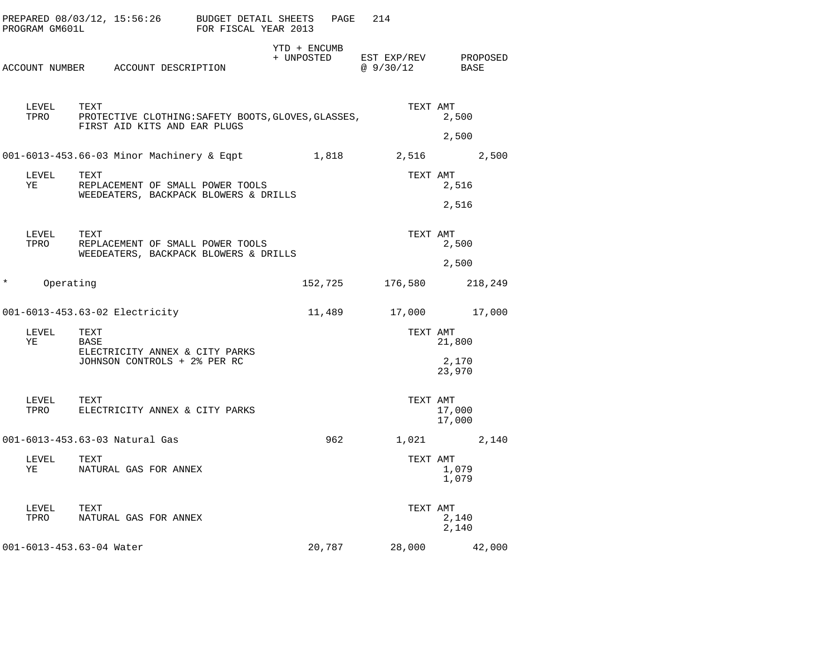|          | PROGRAM GM601L | PREPARED $08/03/12$ , $15:56:26$ BUDGET DETAIL SHEETS                                       | FOR FISCAL YEAR 2013 | PAGE                       | 214                              |                           |  |
|----------|----------------|---------------------------------------------------------------------------------------------|----------------------|----------------------------|----------------------------------|---------------------------|--|
|          |                | ACCOUNT NUMBER ACCOUNT DESCRIPTION                                                          |                      | YTD + ENCUMB<br>+ UNPOSTED | EST EXP/REV PROPOSED<br>@9/30/12 | BASE                      |  |
|          | LEVEL<br>TPRO  | TEXT<br>PROTECTIVE CLOTHING: SAFETY BOOTS, GLOVES, GLASSES,<br>FIRST AID KITS AND EAR PLUGS |                      |                            | TEXT AMT                         | 2,500<br>2,500            |  |
|          |                | 001-6013-453.66-03 Minor Machinery & Eqpt 1,818 2,516                                       |                      |                            |                                  | 2,500                     |  |
|          | LEVEL<br>ΥE    | TEXT<br>REPLACEMENT OF SMALL POWER TOOLS<br>WEEDEATERS, BACKPACK BLOWERS & DRILLS           |                      |                            | TEXT AMT                         | 2,516<br>2,516            |  |
|          | LEVEL<br>TPRO  | TEXT<br>REPLACEMENT OF SMALL POWER TOOLS<br>WEEDEATERS, BACKPACK BLOWERS & DRILLS           |                      |                            | TEXT AMT                         | 2,500<br>2,500            |  |
| $^\star$ | Operating      |                                                                                             |                      |                            | 152,725 176,580                  | 218,249                   |  |
|          |                | 001-6013-453.63-02 Electricity                                                              |                      | 11,489                     |                                  | 17,000 17,000             |  |
|          | LEVEL<br>ΥE    | TEXT<br>BASE<br>ELECTRICITY ANNEX & CITY PARKS<br>JOHNSON CONTROLS + 2% PER RC              |                      |                            | TEXT AMT                         | 21,800<br>2,170<br>23,970 |  |
|          | LEVEL<br>TPRO  | TEXT<br>ELECTRICITY ANNEX & CITY PARKS                                                      |                      |                            | TEXT AMT                         | 17,000<br>17,000          |  |
|          |                | 001-6013-453.63-03 Natural Gas                                                              |                      | 962                        |                                  | 1,021 2,140               |  |
|          | LEVEL<br>YE    | TEXT<br>NATURAL GAS FOR ANNEX                                                               |                      |                            | TEXT AMT                         | 1,079<br>1,079            |  |
|          | LEVEL<br>TPRO  | TEXT<br>NATURAL GAS FOR ANNEX                                                               |                      |                            | TEXT AMT                         | 2,140<br>2,140            |  |
|          |                | 001-6013-453.63-04 Water                                                                    |                      | 20,787                     |                                  | 28,000 42,000             |  |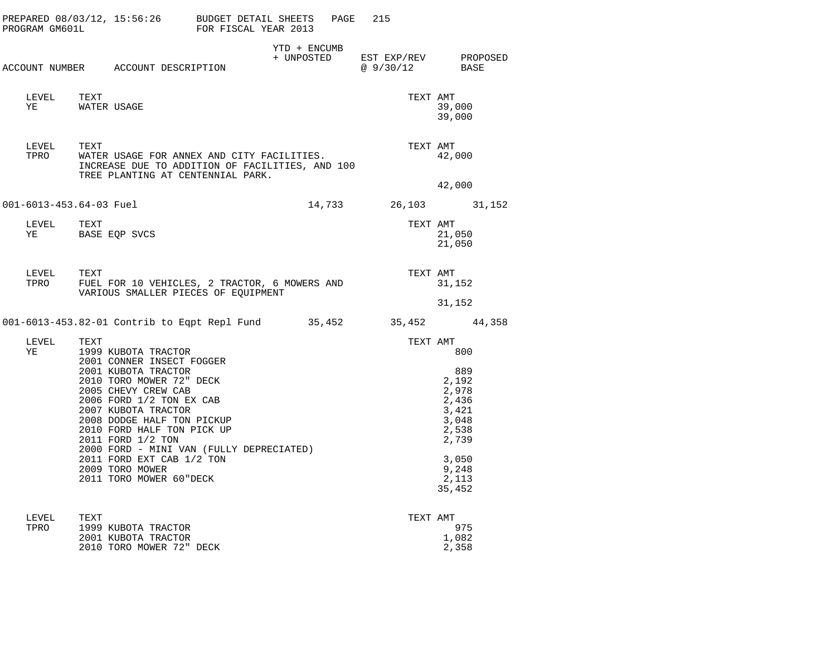|                         | PREPARED 08/03/12, 15:56:26 BUDGET DETAIL SHEETS PAGE 215<br>PROGRAM GM601L FOR FISCAL YEAR 2013                                                                                                                                                                                                                                                                                      |              |                |                                                                                                                |  |
|-------------------------|---------------------------------------------------------------------------------------------------------------------------------------------------------------------------------------------------------------------------------------------------------------------------------------------------------------------------------------------------------------------------------------|--------------|----------------|----------------------------------------------------------------------------------------------------------------|--|
|                         | ACCOUNT NUMBER ACCOUNT DESCRIPTION                                                                                                                                                                                                                                                                                                                                                    | YTD + ENCUMB | @ 9/30/12 BASE | + UNPOSTED EST EXP/REV PROPOSED                                                                                |  |
| LEVEL TEXT<br>YE        | WATER USAGE                                                                                                                                                                                                                                                                                                                                                                           |              | TEXT AMT       | 39,000<br>39,000                                                                                               |  |
| TEXT<br>LEVEL<br>TPRO   | WATER USAGE FOR ANNEX AND CITY FACILITIES.<br>INCREASE DUE TO ADDITION OF FACILITIES, AND 100<br>TREE PLANTING AT CENTENNIAL PARK.                                                                                                                                                                                                                                                    |              | TEXT AMT       | 42,000                                                                                                         |  |
| 001-6013-453.64-03 Fuel |                                                                                                                                                                                                                                                                                                                                                                                       |              |                | 42,000<br>14,733 26,103 31,152                                                                                 |  |
| LEVEL TEXT<br>YE        | BASE EQP SVCS                                                                                                                                                                                                                                                                                                                                                                         |              | TEXT AMT       | 21,050<br>21,050                                                                                               |  |
| LEVEL<br>TEXT           | TPRO FUEL FOR 10 VEHICLES, 2 TRACTOR, 6 MOWERS AND<br>VARIOUS SMALLER PIECES OF EQUIPMENT                                                                                                                                                                                                                                                                                             |              | TEXT AMT       | 31,152<br>31,152                                                                                               |  |
|                         | 001-6013-453.82-01 Contrib to Eqpt Repl Fund 35,452 35,452 44,358                                                                                                                                                                                                                                                                                                                     |              |                |                                                                                                                |  |
| LEVEL<br>TEXT<br>ΥE     | 1999 KUBOTA TRACTOR<br>2001 CONNER INSECT FOGGER<br>2001 KUBOTA TRACTOR<br>2010 TORO MOWER 72" DECK<br>2005 CHEVY CREW CAB<br>2006 FORD 1/2 TON EX CAB<br>2007 KUBOTA TRACTOR<br>2008 DODGE HALF TON PICKUP<br>2010 FORD HALF TON PICK UP<br>2011 FORD 1/2 TON<br>2000 FORD - MINI VAN (FULLY DEPRECIATED)<br>2011 FORD EXT CAB 1/2 TON<br>2009 TORO MOWER<br>2011 TORO MOWER 60"DECK |              | TEXT AMT       | 800<br>889<br>2,192<br>2,978<br>2,436<br>3,421<br>3,048<br>2,538<br>2,739<br>3,050<br>9,248<br>2,113<br>35,452 |  |

| LEVEL | TEXT                     | TEXT AMT |       |
|-------|--------------------------|----------|-------|
| TPRO  | 1999 KUBOTA TRACTOR      |          | 975   |
|       | 2001 KUBOTA TRACTOR      |          | 1,082 |
|       | 2010 TORO MOWER 72" DECK |          | 2,358 |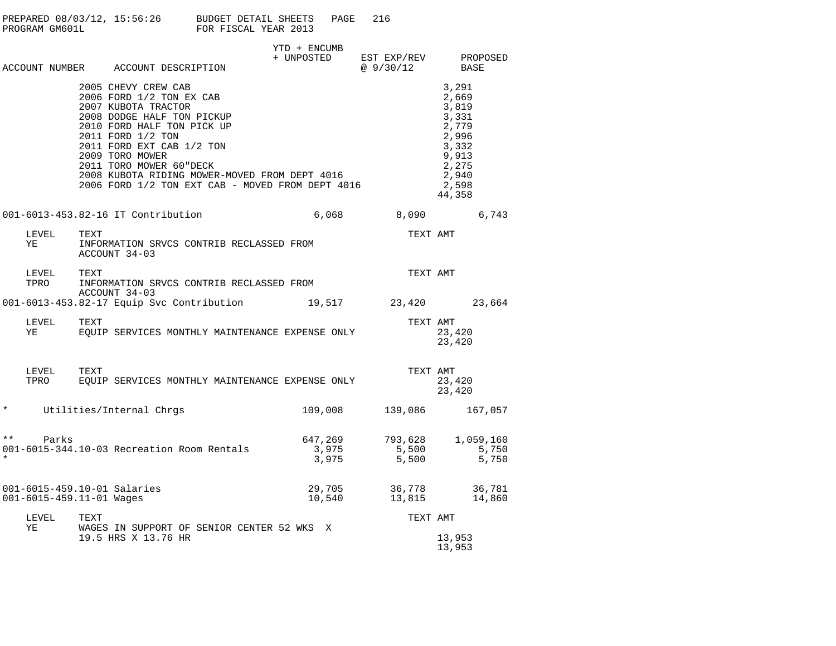|         |                                                         |               | PREPARED 08/03/12, 15:56:26 BUDGET DETAIL SHEETS<br>PROGRAM GM601L FOR FISCAL YEAR 2013                                                                                                                                                                                                                                                 |                                                                                                                         | PAGE               | 216 |                                                   |                                                                                                           |                |  |
|---------|---------------------------------------------------------|---------------|-----------------------------------------------------------------------------------------------------------------------------------------------------------------------------------------------------------------------------------------------------------------------------------------------------------------------------------------|-------------------------------------------------------------------------------------------------------------------------|--------------------|-----|---------------------------------------------------|-----------------------------------------------------------------------------------------------------------|----------------|--|
|         |                                                         |               | ACCOUNT NUMBER ACCOUNT DESCRIPTION                                                                                                                                                                                                                                                                                                      | YTD + ENCUMB<br>$\begin{tabular}{lllllll} + & UNPOSTED & EST EXP/REV & PROPOSED \\ & @ 9/30/12 & BASE \\ \end{tabular}$ |                    |     |                                                   |                                                                                                           |                |  |
|         |                                                         |               | 2005 CHEVY CREW CAB<br>2006 FORD 1/2 TON EX CAB<br>2007 KUBOTA TRACTOR<br>2008 DODGE HALF TON PICKUP<br>2010 FORD HALF TON PICK UP<br>2011 FORD 1/2 TON<br>2011 FORD EXT CAB 1/2 TON<br>2009 TORO MOWER<br>2011 TORO MOWER 60"DECK<br>2008 KUBOTA RIDING MOWER-MOVED FROM DEPT 4016<br>2006 FORD 1/2 TON EXT CAB - MOVED FROM DEPT 4016 |                                                                                                                         |                    |     |                                                   | 3,291<br>2,669<br>3,819<br>3,331<br>2,779<br>2,996<br>3,332<br>9,913<br>2,275<br>2,940<br>2,598<br>44,358 |                |  |
|         |                                                         |               | 001-6013-453.82-16 IT Contribution                                                                                                                                                                                                                                                                                                      |                                                                                                                         |                    |     | 6,068 8,090                                       |                                                                                                           | 6,743          |  |
|         | LEVEL<br>YE                                             | TEXT          | INFORMATION SRVCS CONTRIB RECLASSED FROM<br>ACCOUNT 34-03                                                                                                                                                                                                                                                                               |                                                                                                                         |                    |     | TEXT AMT                                          |                                                                                                           |                |  |
|         | LEVEL<br>TPRO                                           | TEXT          | INFORMATION SRVCS CONTRIB RECLASSED FROM<br>ACCOUNT 34-03                                                                                                                                                                                                                                                                               |                                                                                                                         |                    |     | TEXT AMT                                          |                                                                                                           |                |  |
|         |                                                         |               | 001-6013-453.82-17 Equip Svc Contribution 19,517 23,420 23,664                                                                                                                                                                                                                                                                          |                                                                                                                         |                    |     |                                                   |                                                                                                           |                |  |
|         | LEVEL<br>YE                                             | TEXT          | EQUIP SERVICES MONTHLY MAINTENANCE EXPENSE ONLY                                                                                                                                                                                                                                                                                         |                                                                                                                         |                    |     |                                                   | TEXT AMT<br>23,420<br>23,420                                                                              |                |  |
|         | LEVEL<br>TPRO                                           | TEXT          | EQUIP SERVICES MONTHLY MAINTENANCE EXPENSE ONLY                                                                                                                                                                                                                                                                                         |                                                                                                                         |                    |     | TEXT AMT                                          | 23,420<br>23,420                                                                                          |                |  |
| $\star$ |                                                         |               | Utilities/Internal Chrgs                                                                                                                                                                                                                                                                                                                |                                                                                                                         |                    |     | 109,008 139,086 167,057                           |                                                                                                           |                |  |
| $* *$   | Parks                                                   |               | 001-6015-344.10-03 Recreation Room Rentals                                                                                                                                                                                                                                                                                              |                                                                                                                         | 3 , 975<br>3 , 975 |     | $647,269$ $793,628$ $1,059,160$<br>5,500<br>5,500 |                                                                                                           | 5,750<br>5,750 |  |
|         | 001-6015-459.10-01 Salaries<br>001-6015-459.11-01 Wages |               |                                                                                                                                                                                                                                                                                                                                         |                                                                                                                         | 29,705<br>10,540   |     | 36,778 36,781<br>13,815 14,860                    |                                                                                                           |                |  |
|         | $- - - - - -$                                           | $- - - - - -$ |                                                                                                                                                                                                                                                                                                                                         |                                                                                                                         |                    |     | $m = 1.1$                                         |                                                                                                           |                |  |

LEVEL TEXT TEXT AMT YE WAGES IN SUPPORT OF SENIOR CENTER 52 WKS X 19.5 HRS X 13.76 HR

13,953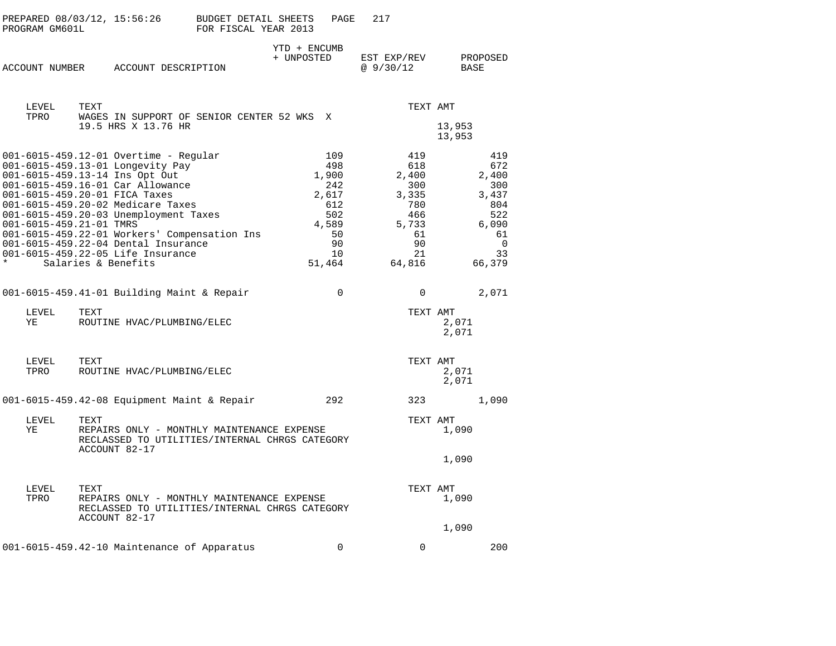| PROGRAM GM601L          | PREPARED 08/03/12, 15:56:26                                                                  | BUDGET DETAIL SHEETS<br>FOR FISCAL YEAR 2013 | PAGE                       | 217                     |                         |
|-------------------------|----------------------------------------------------------------------------------------------|----------------------------------------------|----------------------------|-------------------------|-------------------------|
|                         | ACCOUNT NUMBER ACCOUNT DESCRIPTION                                                           |                                              | YTD + ENCUMB<br>+ UNPOSTED | EST EXP/REV<br>@9/30/12 | PROPOSED<br><b>BASE</b> |
| LEVEL                   | TEXT                                                                                         |                                              |                            | TEXT AMT                |                         |
| TPRO                    | WAGES IN SUPPORT OF SENIOR CENTER 52 WKS X<br>19.5 HRS X 13.76 HR                            |                                              |                            |                         | 13,953<br>13,953        |
|                         | 001-6015-459.12-01 Overtime - Regular                                                        |                                              | 109                        | 419                     | 419                     |
|                         | 001-6015-459.13-01 Longevity Pay                                                             |                                              | 498                        | 618                     | 672                     |
|                         | 001-6015-459.13-14 Ins Opt Out                                                               |                                              | 1,900                      | 2,400                   | 2,400                   |
|                         | 001-6015-459.16-01 Car Allowance                                                             |                                              | 242                        | 300                     | 300                     |
|                         | 001-6015-459.20-01 FICA Taxes                                                                |                                              | 2,617                      | 3,335                   | 3,437                   |
|                         | 001-6015-459.20-02 Medicare Taxes                                                            |                                              | 612                        | 780                     | 804                     |
|                         | 001-6015-459.20-03 Unemployment Taxes                                                        |                                              | 502                        | 466                     | 522                     |
| 001-6015-459.21-01 TMRS |                                                                                              |                                              | 4,589                      | 5,733                   | 6,090                   |
|                         | 001-6015-459.22-01 Workers' Compensation Ins                                                 |                                              | 50                         | 61                      | 61                      |
|                         | 001-6015-459.22-04 Dental Insurance                                                          |                                              | 90                         | 90                      | $\mathbf 0$             |
|                         | 001-6015-459.22-05 Life Insurance                                                            |                                              | 10                         | 21                      | 33                      |
| $\star$                 | Salaries & Benefits                                                                          |                                              | 51,464                     | 64,816                  | 66,379                  |
|                         | 001-6015-459.41-01 Building Maint & Repair                                                   |                                              | $\mathbf 0$                | $\mathbf 0$             | 2,071                   |
| LEVEL<br>ΥE             | TEXT<br>ROUTINE HVAC/PLUMBING/ELEC                                                           |                                              |                            | TEXT AMT                | 2,071                   |
|                         |                                                                                              |                                              |                            |                         | 2,071                   |
| LEVEL                   | TEXT                                                                                         |                                              |                            | TEXT AMT                |                         |
| TPRO                    | ROUTINE HVAC/PLUMBING/ELEC                                                                   |                                              |                            |                         | 2,071<br>2,071          |
|                         | 001-6015-459.42-08 Equipment Maint & Repair                                                  |                                              | 292                        | 323                     | 1,090                   |
| LEVEL                   | TEXT                                                                                         |                                              |                            | TEXT AMT                |                         |
| ΥE                      | REPAIRS ONLY - MONTHLY MAINTENANCE EXPENSE<br>RECLASSED TO UTILITIES/INTERNAL CHRGS CATEGORY |                                              |                            |                         | 1,090                   |
|                         | ACCOUNT 82-17                                                                                |                                              |                            |                         | 1,090                   |
| LEVEL                   | TEXT                                                                                         |                                              |                            | TEXT AMT                |                         |
| TPRO                    | REPAIRS ONLY - MONTHLY MAINTENANCE EXPENSE<br>RECLASSED TO UTILITIES/INTERNAL CHRGS CATEGORY |                                              |                            |                         | 1,090                   |
|                         | ACCOUNT 82-17                                                                                |                                              |                            |                         | 1,090                   |
|                         | 001-6015-459.42-10 Maintenance of Apparatus                                                  |                                              | $\Omega$                   | $\Omega$                | 200                     |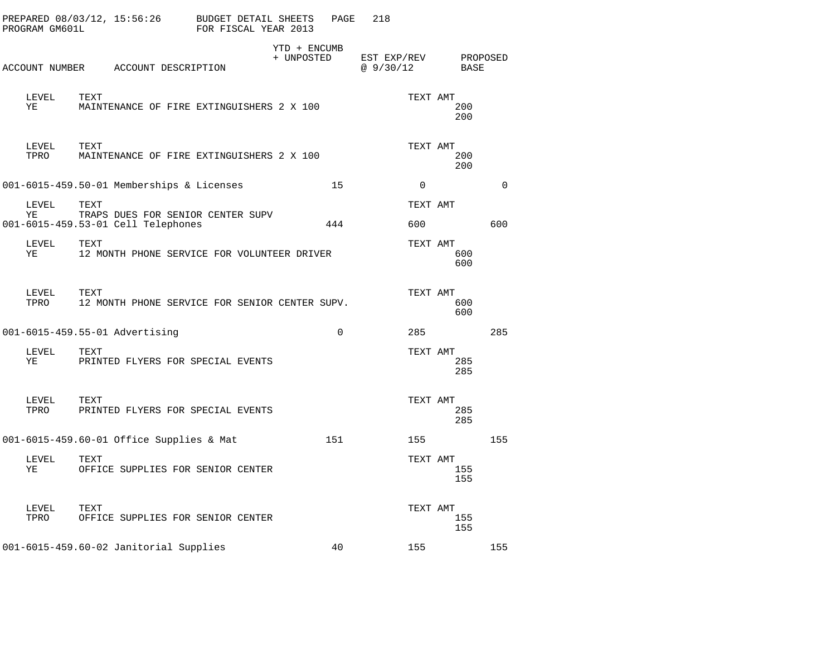| PROGRAM GM601L | PREPARED 08/03/12, 15:56:26                                                     | BUDGET DETAIL SHEETS<br>FOR FISCAL YEAR 2013 |                            | PAGE     | 218                     |                        |             |
|----------------|---------------------------------------------------------------------------------|----------------------------------------------|----------------------------|----------|-------------------------|------------------------|-------------|
|                | ACCOUNT NUMBER ACCOUNT DESCRIPTION                                              |                                              | YTD + ENCUMB<br>+ UNPOSTED |          | EST EXP/REV<br>@9/30/12 | BASE                   | PROPOSED    |
| LEVEL<br>ΥE    | TEXT<br>MAINTENANCE OF FIRE EXTINGUISHERS 2 X 100                               |                                              |                            |          |                         | TEXT AMT<br>200<br>200 |             |
| LEVEL<br>TPRO  | TEXT<br>MAINTENANCE OF FIRE EXTINGUISHERS 2 X 100                               |                                              |                            |          |                         | TEXT AMT<br>200<br>200 |             |
|                | 001-6015-459.50-01 Memberships & Licenses                                       |                                              |                            | 15       | $\Omega$                |                        | $\mathbf 0$ |
| LEVEL<br>ΥE    | TEXT<br>TRAPS DUES FOR SENIOR CENTER SUPV<br>001-6015-459.53-01 Cell Telephones |                                              | 444                        |          | 600                     | TEXT AMT               | 600         |
| LEVEL<br>ΥE    | TEXT<br>12 MONTH PHONE SERVICE FOR VOLUNTEER DRIVER                             |                                              |                            |          |                         | TEXT AMT<br>600<br>600 |             |
| LEVEL<br>TPRO  | TEXT<br>12 MONTH PHONE SERVICE FOR SENIOR CENTER SUPV.                          |                                              |                            |          |                         | TEXT AMT<br>600<br>600 |             |
|                | 001-6015-459.55-01 Advertising                                                  |                                              |                            | $\Omega$ | 285                     |                        | 285         |
| LEVEL<br>ΥE    | TEXT<br>PRINTED FLYERS FOR SPECIAL EVENTS                                       |                                              |                            |          |                         | TEXT AMT<br>285<br>285 |             |
| LEVEL<br>TPRO  | TEXT<br>PRINTED FLYERS FOR SPECIAL EVENTS                                       |                                              |                            |          |                         | TEXT AMT<br>285<br>285 |             |
|                | 001-6015-459.60-01 Office Supplies & Mat                                        |                                              | 151                        |          | 155                     |                        | 155         |
| LEVEL<br>ΥE    | TEXT<br>OFFICE SUPPLIES FOR SENIOR CENTER                                       |                                              |                            |          |                         | TEXT AMT<br>155<br>155 |             |
| LEVEL<br>TPRO  | TEXT<br>OFFICE SUPPLIES FOR SENIOR CENTER                                       |                                              |                            |          |                         | TEXT AMT<br>155<br>155 |             |
|                | 001-6015-459.60-02 Janitorial Supplies                                          |                                              |                            | 40       | 155                     |                        | 155         |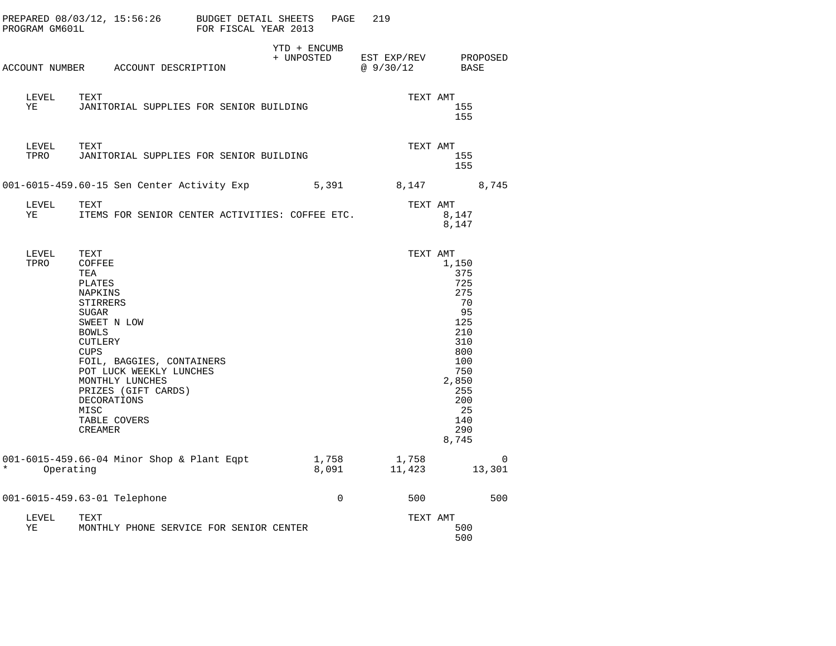| PROGRAM GM601L       | PREPARED 08/03/12, 15:56:26 BUDGET DETAIL SHEETS                                                                                                                                                                                                                                           | FOR FISCAL YEAR 2013 | PAGE                       | 219                      |                                                                                                                                       |
|----------------------|--------------------------------------------------------------------------------------------------------------------------------------------------------------------------------------------------------------------------------------------------------------------------------------------|----------------------|----------------------------|--------------------------|---------------------------------------------------------------------------------------------------------------------------------------|
|                      | ACCOUNT NUMBER ACCOUNT DESCRIPTION                                                                                                                                                                                                                                                         |                      | YTD + ENCUMB<br>+ UNPOSTED | EST EXP/REV<br>@ 9/30/12 | PROPOSED<br>BASE                                                                                                                      |
| LEVEL<br>YE          | TEXT<br>JANITORIAL SUPPLIES FOR SENIOR BUILDING                                                                                                                                                                                                                                            |                      |                            | TEXT AMT                 | 155<br>155                                                                                                                            |
| LEVEL<br>TPRO        | TEXT<br>JANITORIAL SUPPLIES FOR SENIOR BUILDING                                                                                                                                                                                                                                            |                      |                            | TEXT AMT                 | 155<br>155                                                                                                                            |
|                      | 001-6015-459.60-15 Sen Center Activity Exp                                                                                                                                                                                                                                                 |                      | 5,391                      | 8,147                    | 8,745                                                                                                                                 |
| LEVEL<br>YE          | TEXT<br>ITEMS FOR SENIOR CENTER ACTIVITIES: COFFEE ETC.                                                                                                                                                                                                                                    |                      |                            | TEXT AMT                 | 8,147<br>8,147                                                                                                                        |
| LEVEL<br>TPRO        | TEXT<br>COFFEE<br>TEA<br>PLATES<br>NAPKINS<br>STIRRERS<br><b>SUGAR</b><br>SWEET N LOW<br><b>BOWLS</b><br>CUTLERY<br><b>CUPS</b><br>FOIL, BAGGIES, CONTAINERS<br>POT LUCK WEEKLY LUNCHES<br>MONTHLY LUNCHES<br>PRIZES (GIFT CARDS)<br>DECORATIONS<br>MISC<br>TABLE COVERS<br><b>CREAMER</b> |                      |                            | TEXT AMT                 | 1,150<br>375<br>725<br>275<br>70<br>95<br>125<br>210<br>310<br>800<br>100<br>750<br>2,850<br>255<br>200<br>-25<br>140<br>290<br>8,745 |
| $\star$<br>Operating | 001-6015-459.66-04 Minor Shop & Plant Eqpt                                                                                                                                                                                                                                                 |                      | 1,758<br>8,091             | 1,758<br>11,423          | 0<br>13,301                                                                                                                           |
|                      | 001-6015-459.63-01 Telephone                                                                                                                                                                                                                                                               |                      | $\mathbf 0$                | 500                      | 500                                                                                                                                   |
| LEVEL<br>ΥE          | TEXT<br>MONTHLY PHONE SERVICE FOR SENIOR CENTER                                                                                                                                                                                                                                            |                      |                            | TEXT AMT                 | 500<br>500                                                                                                                            |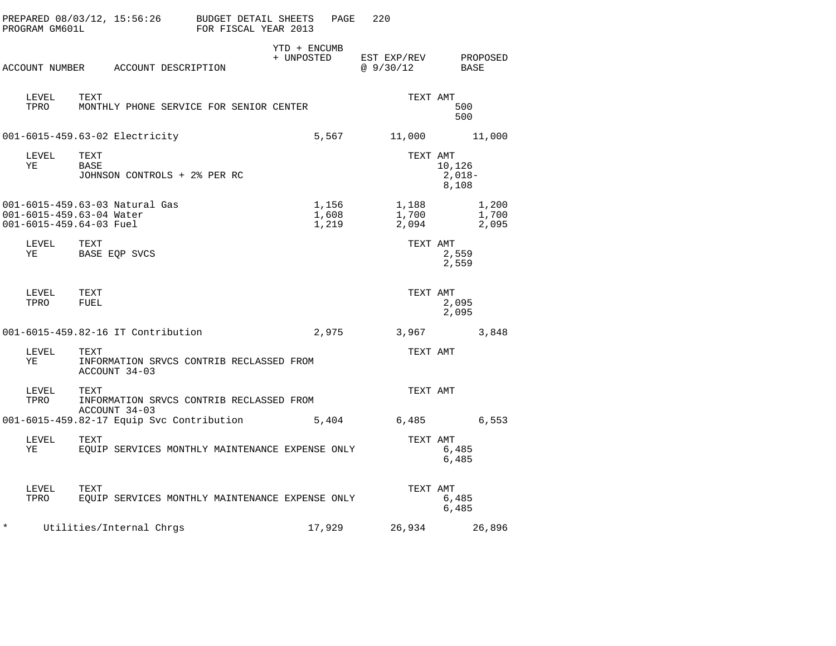| PROGRAM GM601L | PREPARED 08/03/12, 15:56:26                                                           | BUDGET DETAIL SHEETS<br>PAGE<br>FOR FISCAL YEAR 2013 | 220                      |                             |
|----------------|---------------------------------------------------------------------------------------|------------------------------------------------------|--------------------------|-----------------------------|
|                | ACCOUNT NUMBER ACCOUNT DESCRIPTION                                                    | YTD + ENCUMB<br>+ UNPOSTED                           | EST EXP/REV<br>@ 9/30/12 | PROPOSED<br>BASE            |
| LEVEL<br>TPRO  | TEXT<br>MONTHLY PHONE SERVICE FOR SENIOR CENTER                                       |                                                      | TEXT AMT                 | 500<br>500                  |
|                | 001-6015-459.63-02 Electricity                                                        | 5,567                                                | 11,000                   | 11,000                      |
| LEVEL<br>ΥE    | TEXT<br>BASE<br>JOHNSON CONTROLS + 2% PER RC                                          |                                                      | TEXT AMT                 | 10,126<br>$2,018-$<br>8,108 |
|                | 001-6015-459.63-03 Natural Gas<br>001-6015-459.63-04 Water<br>001-6015-459.64-03 Fuel | 1,156<br>1,608<br>1,219                              | 1,188<br>1,700<br>2,094  | 1,200<br>1,700<br>2,095     |
| LEVEL<br>ΥE    | TEXT<br>BASE EQP SVCS                                                                 |                                                      | TEXT AMT                 | 2,559<br>2,559              |
| LEVEL<br>TPRO  | TEXT<br>FUEL                                                                          |                                                      | TEXT AMT                 | 2,095<br>2,095              |
|                | 001-6015-459.82-16 IT Contribution                                                    | 2,975                                                | 3,967                    | 3,848                       |
| LEVEL<br>ΥE    | TEXT<br>INFORMATION SRVCS CONTRIB RECLASSED FROM<br>ACCOUNT 34-03                     |                                                      | TEXT AMT                 |                             |
| LEVEL<br>TPRO  | TEXT<br>INFORMATION SRVCS CONTRIB RECLASSED FROM<br>ACCOUNT 34-03                     |                                                      | TEXT AMT                 |                             |
|                | 001-6015-459.82-17 Equip Svc Contribution                                             | 5,404                                                | $6,485$                  | 6,553                       |
| LEVEL<br>ΥE    | TEXT<br>EQUIP SERVICES MONTHLY MAINTENANCE EXPENSE ONLY                               |                                                      | TEXT AMT                 | 6,485<br>6,485              |
| LEVEL<br>TPRO  | TEXT<br>EQUIP SERVICES MONTHLY MAINTENANCE EXPENSE ONLY                               |                                                      | TEXT AMT                 | 6,485<br>6,485              |
| ¥              | Utilities/Internal Chrgs                                                              | 17,929                                               | 26,934                   | 26,896                      |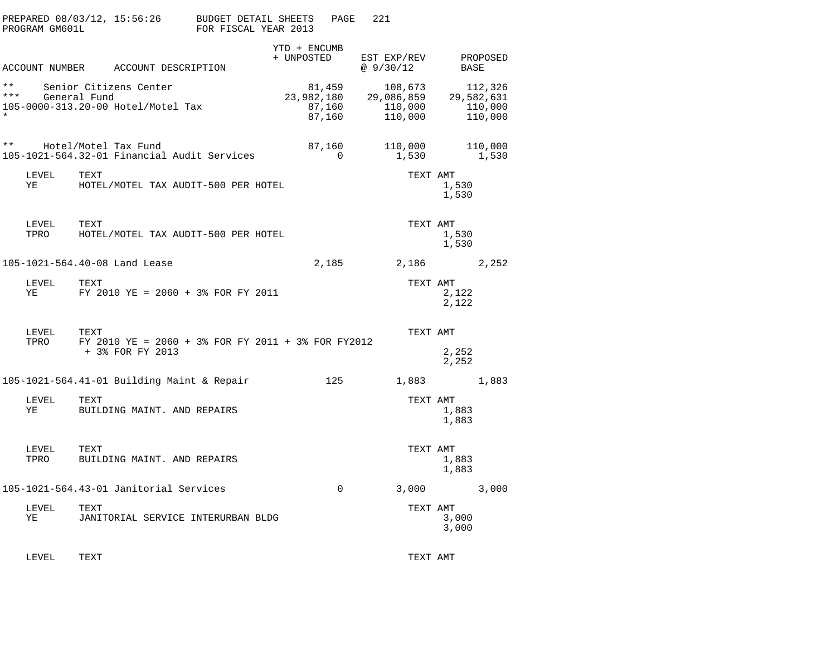|                           | PROGRAM GM601L | PREPARED 08/03/12, 15:56:26                                                    | BUDGET DETAIL SHEETS<br>FOR FISCAL YEAR 2013 |                            | PAGE                       | 221      |                                             |                |                                             |
|---------------------------|----------------|--------------------------------------------------------------------------------|----------------------------------------------|----------------------------|----------------------------|----------|---------------------------------------------|----------------|---------------------------------------------|
|                           |                | ACCOUNT NUMBER ACCOUNT DESCRIPTION                                             |                                              | YTD + ENCUMB<br>+ UNPOSTED |                            | @9/30/12 | EST EXP/REV                                 | BASE           | PROPOSED                                    |
| $* *$<br>* * *<br>$\star$ |                | Senior Citizens Center<br>General Fund<br>105-0000-313.20-00 Hotel/Motel Tax   |                                              | 23,982,180                 | 81,459<br>87,160<br>87,160 |          | 108,673<br>29,086,859<br>110,000<br>110,000 |                | 112,326<br>29,582,631<br>110,000<br>110,000 |
| $\star\star$              |                | Hotel/Motel Tax Fund<br>105-1021-564.32-01 Financial Audit Services            |                                              |                            | 87,160<br>$\Omega$         |          | 110,000<br>1,530                            |                | 110,000<br>1,530                            |
|                           | LEVEL<br>ΥE    | TEXT<br>HOTEL/MOTEL TAX AUDIT-500 PER HOTEL                                    |                                              |                            |                            |          | TEXT AMT                                    | 1,530<br>1,530 |                                             |
|                           | LEVEL<br>TPRO  | TEXT<br>HOTEL/MOTEL TAX AUDIT-500 PER HOTEL                                    |                                              |                            |                            |          | TEXT AMT                                    | 1,530<br>1,530 |                                             |
|                           |                | 105-1021-564.40-08 Land Lease                                                  |                                              |                            | 2,185                      |          | 2,186                                       |                | 2,252                                       |
|                           | LEVEL<br>ΥE    | TEXT<br>FY 2010 YE = 2060 + 3% FOR FY 2011                                     |                                              |                            |                            |          | TEXT AMT                                    | 2,122<br>2,122 |                                             |
|                           | LEVEL<br>TPRO  | TEXT<br>FY 2010 YE = 2060 + 3% FOR FY 2011 + 3% FOR FY2012<br>+ 3% FOR FY 2013 |                                              |                            |                            |          | TEXT AMT                                    | 2,252<br>2,252 |                                             |
|                           |                | 105-1021-564.41-01 Building Maint & Repair                                     |                                              |                            | 125                        |          | 1,883                                       |                | 1,883                                       |
|                           | LEVEL<br>ΥE    | TEXT<br>BUILDING MAINT. AND REPAIRS                                            |                                              |                            |                            |          | TEXT AMT                                    | 1,883<br>1,883 |                                             |
|                           | LEVEL<br>TPRO  | TEXT<br>BUILDING MAINT. AND REPAIRS                                            |                                              |                            |                            |          | TEXT AMT                                    | 1,883<br>1,883 |                                             |
|                           |                | 105-1021-564.43-01 Janitorial Services                                         |                                              |                            | $\Omega$                   |          | 3,000                                       |                | 3,000                                       |
|                           | LEVEL<br>ΥE    | TEXT<br>JANITORIAL SERVICE INTERURBAN BLDG                                     |                                              |                            |                            |          | TEXT AMT                                    | 3,000<br>3,000 |                                             |
|                           |                |                                                                                |                                              |                            |                            |          |                                             |                |                                             |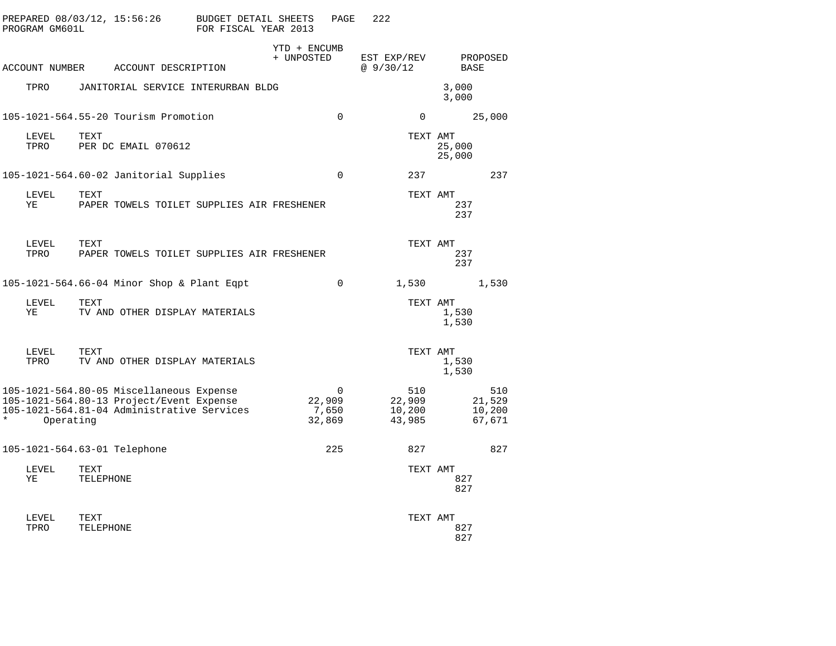| PREPARED 08/03/12, 15:56:26 BUDGET DETAIL SHEETS<br>PROGRAM GM601L                                                                              | FOR FISCAL YEAR 2013       | PAGE        | 222                               |                  |                                   |
|-------------------------------------------------------------------------------------------------------------------------------------------------|----------------------------|-------------|-----------------------------------|------------------|-----------------------------------|
| ACCOUNT NUMBER ACCOUNT DESCRIPTION                                                                                                              | YTD + ENCUMB<br>+ UNPOSTED |             | EST EXP/REV<br>@9/30/12           | <b>BASE</b>      | PROPOSED                          |
| TPRO<br>JANITORIAL SERVICE INTERURBAN BLDG                                                                                                      |                            |             |                                   | 3,000<br>3,000   |                                   |
| 105-1021-564.55-20 Tourism Promotion                                                                                                            |                            | $\Omega$    | $\Omega$                          |                  | 25,000                            |
| TEXT<br>LEVEL<br>PER DC EMAIL 070612<br>TPRO                                                                                                    |                            |             | TEXT AMT                          | 25,000<br>25,000 |                                   |
| 105-1021-564.60-02 Janitorial Supplies                                                                                                          |                            | $\Omega$    | 237                               |                  | 237                               |
| LEVEL<br>TEXT<br>ΥE<br>PAPER TOWELS TOILET SUPPLIES AIR FRESHENER                                                                               |                            |             | TEXT AMT                          | 237<br>237       |                                   |
| LEVEL<br>TEXT<br>TPRO<br>PAPER TOWELS TOILET SUPPLIES AIR FRESHENER                                                                             |                            |             | TEXT AMT                          | 237<br>237       |                                   |
| 105-1021-564.66-04 Minor Shop & Plant Eqpt                                                                                                      |                            | $\mathbf 0$ | 1,530                             |                  | 1,530                             |
| LEVEL<br>TEXT<br>TV AND OTHER DISPLAY MATERIALS<br>ΥE                                                                                           |                            |             | TEXT AMT                          | 1,530<br>1,530   |                                   |
| LEVEL<br>TEXT<br>TPRO<br>TV AND OTHER DISPLAY MATERIALS                                                                                         |                            |             | TEXT AMT                          | 1,530<br>1,530   |                                   |
| 105-1021-564.80-05 Miscellaneous Expense<br>105-1021-564.80-13 Project/Event Expense<br>105-1021-564.81-04 Administrative Services<br>Operating | 22,909<br>7,650<br>32,869  | 0           | 510<br>22,909<br>10,200<br>43,985 |                  | 510<br>21,529<br>10,200<br>67,671 |
| 105-1021-564.63-01 Telephone                                                                                                                    |                            | 225         | 827                               |                  | 827                               |
| LEVEL<br>TEXT<br>ΥE<br>TELEPHONE                                                                                                                |                            |             | TEXT AMT                          | 827<br>827       |                                   |
| LEVEL<br>TEXT<br>TPRO<br>TELEPHONE                                                                                                              |                            |             | TEXT AMT                          | 827<br>827       |                                   |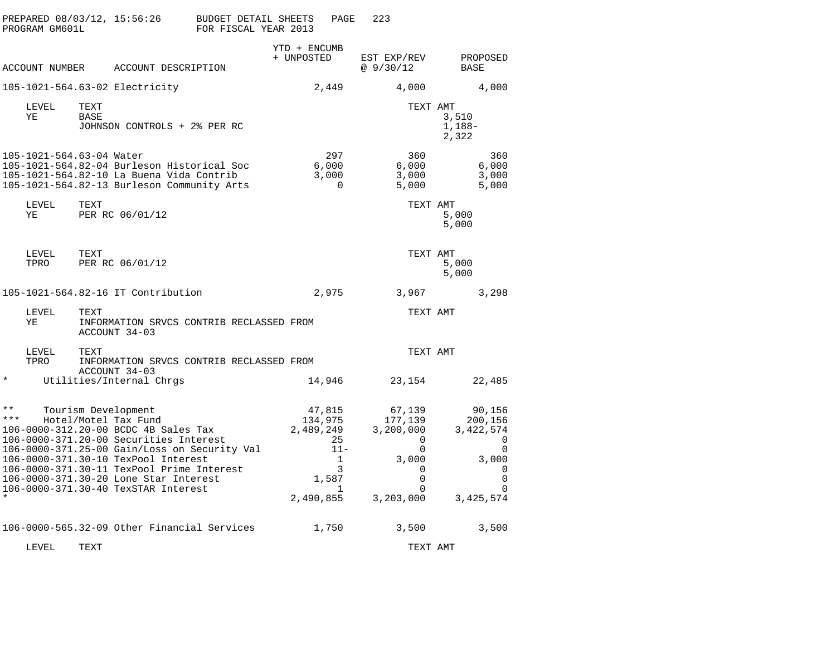| PREPARED 08/03/12, 15:56:26<br>PROGRAM GM601L                                                                                                                                                                                                                                                                            | BUDGET DETAIL SHEETS<br>FOR FISCAL YEAR 2013                                             | PAGE                                                                                                      | 223                                                                                  |                                                                                                         |
|--------------------------------------------------------------------------------------------------------------------------------------------------------------------------------------------------------------------------------------------------------------------------------------------------------------------------|------------------------------------------------------------------------------------------|-----------------------------------------------------------------------------------------------------------|--------------------------------------------------------------------------------------|---------------------------------------------------------------------------------------------------------|
| ACCOUNT NUMBER                                                                                                                                                                                                                                                                                                           | ACCOUNT DESCRIPTION                                                                      | YTD + ENCUMB<br>+ UNPOSTED                                                                                | EST EXP/REV<br>@9/30/12                                                              | PROPOSED<br>BASE                                                                                        |
| 105-1021-564.63-02 Electricity                                                                                                                                                                                                                                                                                           |                                                                                          | 2,449                                                                                                     | 4,000                                                                                | 4,000                                                                                                   |
| LEVEL<br>TEXT<br>ΥE<br>BASE                                                                                                                                                                                                                                                                                              | JOHNSON CONTROLS + 2% PER RC                                                             |                                                                                                           | TEXT AMT                                                                             | 3,510<br>1,188-<br>2,322                                                                                |
| 105-1021-564.63-04 Water<br>105-1021-564.82-10 La Buena Vida Contrib                                                                                                                                                                                                                                                     | 105-1021-564.82-04 Burleson Historical Soc<br>105-1021-564.82-13 Burleson Community Arts | 297<br>6,000<br>3,000<br>0                                                                                | 360<br>6,000<br>3,000<br>5,000                                                       | 360<br>6,000<br>3,000<br>5,000                                                                          |
| TEXT<br>LEVEL<br>ΥE<br>PER RC 06/01/12                                                                                                                                                                                                                                                                                   |                                                                                          |                                                                                                           | TEXT AMT                                                                             | 5,000<br>5,000                                                                                          |
| TEXT<br>LEVEL<br>PER RC 06/01/12<br>TPRO                                                                                                                                                                                                                                                                                 |                                                                                          |                                                                                                           | TEXT AMT                                                                             | 5,000<br>5,000                                                                                          |
| 105-1021-564.82-16 IT Contribution                                                                                                                                                                                                                                                                                       |                                                                                          | 2,975                                                                                                     | 3,967                                                                                | 3,298                                                                                                   |
| LEVEL<br>TEXT<br>ΥE<br>ACCOUNT 34-03                                                                                                                                                                                                                                                                                     | INFORMATION SRVCS CONTRIB RECLASSED FROM                                                 |                                                                                                           | TEXT AMT                                                                             |                                                                                                         |
| LEVEL<br>TEXT<br>TPRO<br>ACCOUNT 34-03                                                                                                                                                                                                                                                                                   | INFORMATION SRVCS CONTRIB RECLASSED FROM                                                 |                                                                                                           | TEXT AMT                                                                             |                                                                                                         |
| $^\star$<br>Utilities/Internal Chrgs                                                                                                                                                                                                                                                                                     |                                                                                          | 14,946                                                                                                    | 23,154                                                                               | 22,485                                                                                                  |
| $\star\star$<br>Tourism Development<br>***<br>Hotel/Motel Tax Fund<br>106-0000-312.20-00 BCDC 4B Sales Tax<br>106-0000-371.20-00 Securities Interest<br>106-0000-371.30-10 TexPool Interest<br>106-0000-371.30-11 TexPool Prime Interest<br>106-0000-371.30-20 Lone Star Interest<br>106-0000-371.30-40 TexSTAR Interest | 106-0000-371.25-00 Gain/Loss on Security Val                                             | 47,815<br>134,975<br>2,489,249<br>25<br>$11 -$<br>$\mathbf{1}$<br>3<br>1,587<br>$\mathbf{1}$<br>2,490,855 | 67,139<br>177,139<br>3,200,000<br>0<br>0<br>3,000<br>0<br>0<br>$\Omega$<br>3,203,000 | 90,156<br>200,156<br>3, 422, 574<br>0<br>0<br>3,000<br>$\Omega$<br>$\mathbf 0$<br>$\Omega$<br>3,425,574 |
|                                                                                                                                                                                                                                                                                                                          | 106-0000-565.32-09 Other Financial Services                                              | 1,750                                                                                                     | 3,500                                                                                | 3,500                                                                                                   |
| LEVEL<br>TEXT                                                                                                                                                                                                                                                                                                            |                                                                                          |                                                                                                           | TEXT AMT                                                                             |                                                                                                         |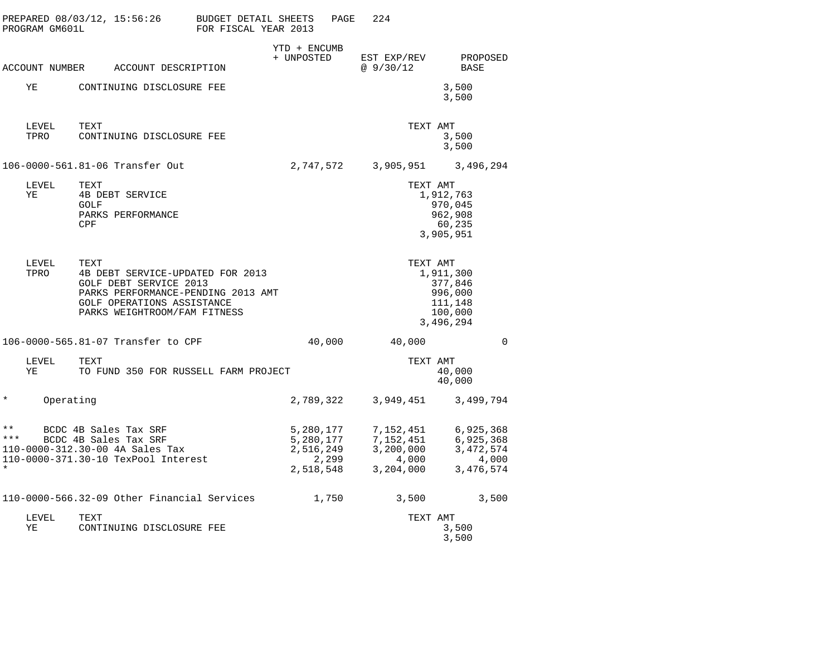|                                  | PROGRAM GM601L | PREPARED 08/03/12, 15:56:26                                                                                                                                                   | BUDGET DETAIL SHEETS<br>FOR FISCAL YEAR 2013 |                                                           | PAGE | 224                                                       |                                                                                |                                                               |
|----------------------------------|----------------|-------------------------------------------------------------------------------------------------------------------------------------------------------------------------------|----------------------------------------------|-----------------------------------------------------------|------|-----------------------------------------------------------|--------------------------------------------------------------------------------|---------------------------------------------------------------|
|                                  | ACCOUNT NUMBER | ACCOUNT DESCRIPTION                                                                                                                                                           |                                              | YTD + ENCUMB<br>+ UNPOSTED                                |      | EST EXP/REV<br>@9/30/12                                   |                                                                                | PROPOSED<br><b>BASE</b>                                       |
|                                  | ΥE             | CONTINUING DISCLOSURE FEE                                                                                                                                                     |                                              |                                                           |      |                                                           |                                                                                | 3,500<br>3,500                                                |
|                                  | LEVEL<br>TPRO  | TEXT<br>CONTINUING DISCLOSURE FEE                                                                                                                                             |                                              |                                                           |      |                                                           | TEXT AMT                                                                       | 3,500<br>3,500                                                |
|                                  |                | 106-0000-561.81-06 Transfer Out                                                                                                                                               |                                              | 2,747,572                                                 |      | 3,905,951                                                 |                                                                                | 3,496,294                                                     |
|                                  | LEVEL<br>ΥE    | TEXT<br>4B DEBT SERVICE<br><b>GOLF</b><br>PARKS PERFORMANCE<br>CPF                                                                                                            |                                              |                                                           |      |                                                           | TEXT AMT<br>1,912,763<br>970,045<br>962,908<br>3,905,951                       | 60,235                                                        |
|                                  | LEVEL<br>TPRO  | TEXT<br>4B DEBT SERVICE-UPDATED FOR 2013<br><b>GOLF DEBT SERVICE 2013</b><br>PARKS PERFORMANCE-PENDING 2013 AMT<br>GOLF OPERATIONS ASSISTANCE<br>PARKS WEIGHTROOM/FAM FITNESS |                                              |                                                           |      |                                                           | TEXT AMT<br>1,911,300<br>377,846<br>996,000<br>111,148<br>100,000<br>3,496,294 |                                                               |
|                                  |                | 106-0000-565.81-07 Transfer to CPF                                                                                                                                            |                                              | 40,000                                                    |      | 40,000                                                    |                                                                                | 0                                                             |
|                                  | LEVEL<br>ΥE    | TEXT<br>TO FUND 350 FOR RUSSELL FARM PROJECT                                                                                                                                  |                                              |                                                           |      |                                                           | TEXT AMT                                                                       | 40,000<br>40,000                                              |
| $^\star$                         | Operating      |                                                                                                                                                                               |                                              | 2,789,322                                                 |      | 3,949,451                                                 |                                                                                | 3,499,794                                                     |
| $\star\star$<br>* * *<br>$\star$ |                | BCDC 4B Sales Tax SRF<br>BCDC 4B Sales Tax SRF<br>110-0000-312.30-00 4A Sales Tax<br>110-0000-371.30-10 TexPool Interest                                                      |                                              | 5,280,177<br>5,280,177<br>2,516,249<br>2,299<br>2,518,548 |      | 7,152,451<br>7,152,451<br>3,200,000<br>4,000<br>3,204,000 |                                                                                | 6,925,368<br>6,925,368<br>3, 472, 574<br>4,000<br>3, 476, 574 |
|                                  |                | 110-0000-566.32-09 Other Financial Services                                                                                                                                   |                                              | 1,750                                                     |      | 3,500                                                     |                                                                                | 3,500                                                         |
|                                  | LEVEL<br>ΥE    | TEXT<br>CONTINUING DISCLOSURE FEE                                                                                                                                             |                                              |                                                           |      |                                                           | TEXT AMT                                                                       | 3,500<br>3,500                                                |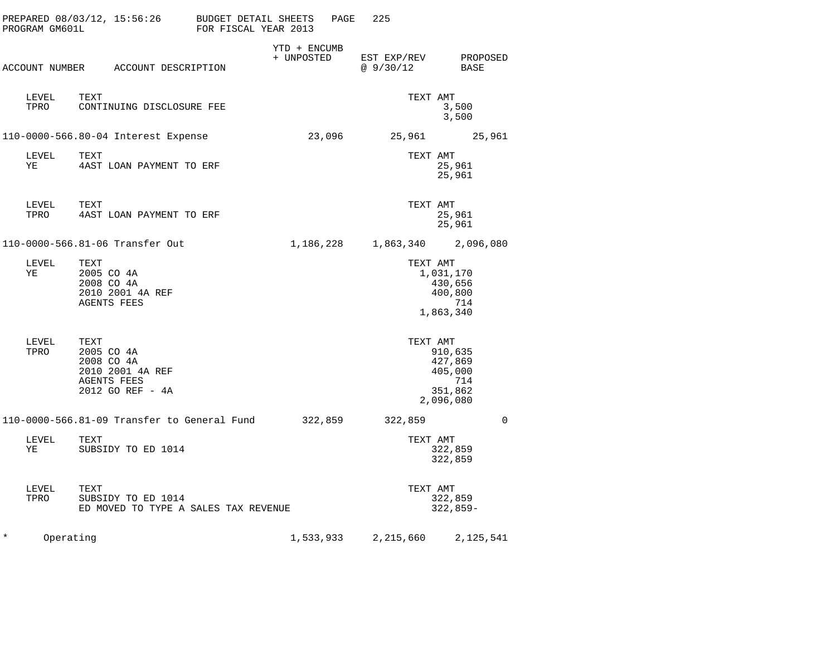| PROGRAM GM601L        | PREPARED 08/03/12, 15:56:26 BUDGET DETAIL SHEETS                                               | FOR FISCAL YEAR 2013 |                            | PAGE | 225       |                                                              |
|-----------------------|------------------------------------------------------------------------------------------------|----------------------|----------------------------|------|-----------|--------------------------------------------------------------|
|                       | ACCOUNT NUMBER ACCOUNT DESCRIPTION                                                             |                      | YTD + ENCUMB<br>+ UNPOSTED |      | @ 9/30/12 | EST EXP/REV PROPOSED<br>BASE                                 |
| LEVEL<br>TPRO         | TEXT<br>CONTINUING DISCLOSURE FEE                                                              |                      |                            |      | TEXT AMT  | 3,500<br>3,500                                               |
|                       | 110-0000-566.80-04 Interest Expense                                                            |                      |                            |      |           | 23,096 25,961 25,961                                         |
| LEVEL<br>YE           | TEXT<br>4AST LOAN PAYMENT TO ERF                                                               |                      |                            |      | TEXT AMT  | 25,961<br>25,961                                             |
| LEVEL<br>TPRO         | TEXT<br>4AST LOAN PAYMENT TO ERF                                                               |                      |                            |      | TEXT AMT  | 25,961<br>25,961                                             |
|                       | 110-0000-566.81-06 Transfer Out                                                                |                      | 1,186,228                  |      |           | 1,863,340 2,096,080                                          |
| LEVEL<br>ΥE           | TEXT<br>2005 CO 4A<br>2008 CO 4A<br>2010 2001 4A REF<br><b>AGENTS FEES</b>                     |                      |                            |      | TEXT AMT  | 1,031,170<br>430,656<br>400,800<br>714<br>1,863,340          |
| LEVEL<br>TPRO         | TEXT<br>2005 CO 4A<br>2008 CO 4A<br>2010 2001 4A REF<br><b>AGENTS FEES</b><br>2012 GO REF - 4A |                      |                            |      | TEXT AMT  | 910,635<br>427,869<br>405,000<br>714<br>351,862<br>2,096,080 |
|                       | 110-0000-566.81-09 Transfer to General Fund     322,859                                        |                      |                            |      | 322,859   | $\mathbf 0$                                                  |
| LEVEL<br>YE           | TEXT<br>SUBSIDY TO ED 1014                                                                     |                      |                            |      | TEXT AMT  | 322,859<br>322,859                                           |
| LEVEL<br>TPRO         | TEXT<br>SUBSIDY TO ED 1014<br>ED MOVED TO TYPE A SALES TAX REVENUE                             |                      |                            |      | TEXT AMT  | 322,859<br>$322,859-$                                        |
| $^\star$<br>Operating |                                                                                                |                      | 1,533,933                  |      | 2,215,660 | 2,125,541                                                    |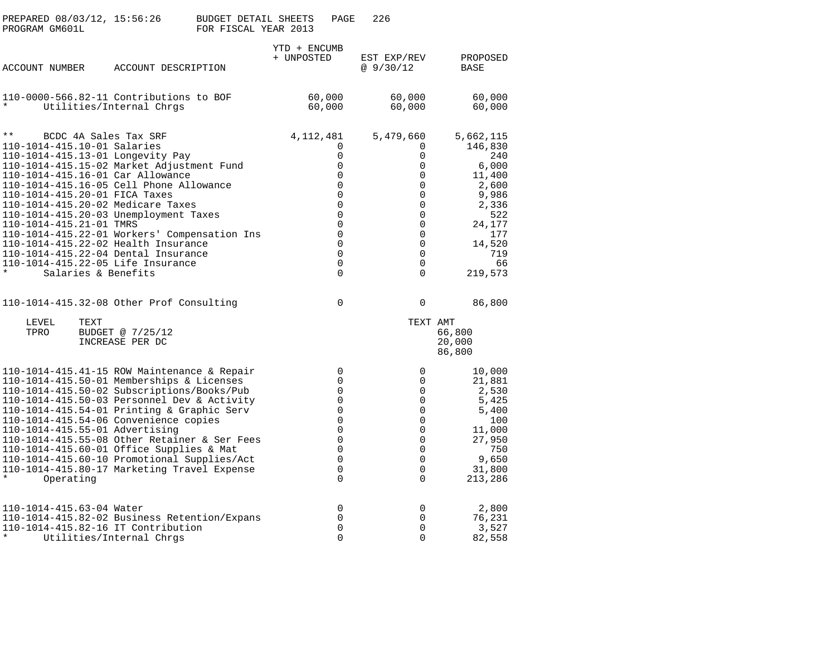| PREPARED 08/03/12, 15:56:26<br>PROGRAM GM601L                          |                                                                                                                                                                                                                                                                                                                                                                                                                                                                                                          | <b>BUDGET DETAIL SHEETS</b><br>FOR FISCAL YEAR 2013 |                            | PAGE                                                                                                                                                                | 226                                                                                                                                       |                                                                                                                                     |  |
|------------------------------------------------------------------------|----------------------------------------------------------------------------------------------------------------------------------------------------------------------------------------------------------------------------------------------------------------------------------------------------------------------------------------------------------------------------------------------------------------------------------------------------------------------------------------------------------|-----------------------------------------------------|----------------------------|---------------------------------------------------------------------------------------------------------------------------------------------------------------------|-------------------------------------------------------------------------------------------------------------------------------------------|-------------------------------------------------------------------------------------------------------------------------------------|--|
| <b>ACCOUNT NUMBER</b>                                                  | ACCOUNT DESCRIPTION                                                                                                                                                                                                                                                                                                                                                                                                                                                                                      |                                                     | YTD + ENCUMB<br>+ UNPOSTED |                                                                                                                                                                     | EST EXP/REV<br>@9/30/12                                                                                                                   | PROPOSED<br>BASE                                                                                                                    |  |
|                                                                        | 110-0000-566.82-11 Contributions to BOF<br>Utilities/Internal Chrgs                                                                                                                                                                                                                                                                                                                                                                                                                                      |                                                     |                            | 60,000<br>60,000                                                                                                                                                    | 60,000<br>60,000                                                                                                                          | 60,000<br>60,000                                                                                                                    |  |
| $\star\star$<br>110-1014-415.10-01 Salaries<br>110-1014-415.21-01 TMRS | BCDC 4A Sales Tax SRF<br>110-1014-415.13-01 Longevity Pay<br>110-1014-415.15-02 Market Adjustment Fund<br>110-1014-415.16-01 Car Allowance<br>110-1014-415.16-05 Cell Phone Allowance<br>110-1014-415.20-01 FICA Taxes<br>110-1014-415.20-02 Medicare Taxes<br>110-1014-415.20-03 Unemployment Taxes<br>110-1014-415.22-01 Workers' Compensation Ins<br>110-1014-415.22-02 Health Insurance<br>110-1014-415.22-04 Dental Insurance<br>110-1014-415.22-05 Life Insurance<br>Salaries & Benefits           |                                                     | 4,112,481                  | 0<br>0<br>0<br>0<br>$\mathbf 0$<br>$\mathbf 0$<br>$\mathbf 0$<br>$\mathbf 0$<br>$\Omega$<br>$\mathbf 0$<br>$\mathbf 0$<br>$\mathbf 0$<br>$\mathbf 0$<br>0           | 5,479,660<br>$\Omega$<br>0<br>0<br>0<br>0<br>0<br>$\mathbf 0$<br>0<br>$\Omega$<br>$\mathbf 0$<br>0<br>$\Omega$<br>$\mathbf 0$<br>$\Omega$ | 5,662,115<br>146,830<br>240<br>6,000<br>11,400<br>2,600<br>9,986<br>2,336<br>522<br>24,177<br>177<br>14,520<br>719<br>66<br>219,573 |  |
|                                                                        | 110-1014-415.32-08 Other Prof Consulting                                                                                                                                                                                                                                                                                                                                                                                                                                                                 |                                                     |                            | 0                                                                                                                                                                   | $\mathbf 0$                                                                                                                               | 86,800                                                                                                                              |  |
| LEVEL<br>TPRO                                                          | TEXT<br>BUDGET @ 7/25/12<br>INCREASE PER DC                                                                                                                                                                                                                                                                                                                                                                                                                                                              |                                                     |                            |                                                                                                                                                                     | TEXT AMT                                                                                                                                  | 66,800<br>20,000<br>86,800                                                                                                          |  |
| Operating                                                              | 110-1014-415.41-15 ROW Maintenance & Repair<br>110-1014-415.50-01 Memberships & Licenses<br>110-1014-415.50-02 Subscriptions/Books/Pub<br>110-1014-415.50-03 Personnel Dev & Activity<br>110-1014-415.54-01 Printing & Graphic Serv<br>110-1014-415.54-06 Convenience copies<br>110-1014-415.55-01 Advertising<br>110-1014-415.55-08 Other Retainer & Ser Fees<br>110-1014-415.60-01 Office Supplies & Mat<br>110-1014-415.60-10 Promotional Supplies/Act<br>110-1014-415.80-17 Marketing Travel Expense |                                                     |                            | 0<br>$\mathbf 0$<br>$\mathbf 0$<br>$\mathbf 0$<br>$\mathbf 0$<br>$\mathbf 0$<br>$\Omega$<br>$\mathbf 0$<br>$\mathbf 0$<br>$\mathbf 0$<br>$\overline{0}$<br>$\Omega$ | $\Omega$<br>0<br>0<br>0<br>$\mathbf 0$<br>0<br>$\Omega$<br>$\mathbf 0$<br>0<br>0<br>$\mathbf 0$<br>$\Omega$                               | 10,000<br>21,881<br>2,530<br>5,425<br>5,400<br>100<br>11,000<br>27,950<br>750<br>9,650<br>31,800<br>213,286                         |  |
| 110-1014-415.63-04 Water<br>$\ast$                                     | 110-1014-415.82-02 Business Retention/Expans<br>110-1014-415.82-16 IT Contribution<br>Utilities/Internal Chrgs                                                                                                                                                                                                                                                                                                                                                                                           |                                                     |                            | 0<br>0<br>$\overline{0}$<br>0                                                                                                                                       | 0<br>0<br>$\mathbf 0$<br>$\mathbf 0$                                                                                                      | 2,800<br>76,231<br>3,527<br>82,558                                                                                                  |  |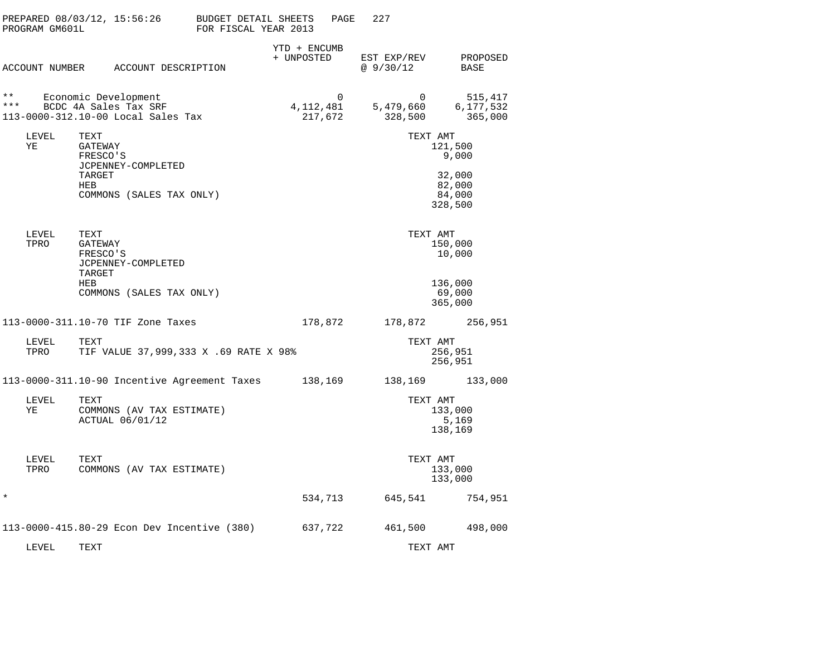|              | PROGRAM GM601L | PREPARED 08/03/12, 15:56:26                                                         | BUDGET DETAIL SHEETS<br>FOR FISCAL YEAR 2013 |                            | PAGE     | 227                      |                                         |                                 |
|--------------|----------------|-------------------------------------------------------------------------------------|----------------------------------------------|----------------------------|----------|--------------------------|-----------------------------------------|---------------------------------|
|              | ACCOUNT NUMBER | ACCOUNT DESCRIPTION                                                                 |                                              | YTD + ENCUMB<br>+ UNPOSTED |          | EST EXP/REV<br>@ 9/30/12 |                                         | PROPOSED<br>BASE                |
| * *<br>* * * |                | Economic Development<br>BCDC 4A Sales Tax SRF<br>113-0000-312.10-00 Local Sales Tax |                                              | 4, 112, 481<br>217,672     | $\Omega$ | 5,479,660<br>328,500     | $\Omega$                                | 515,417<br>6,177,532<br>365,000 |
|              | LEVEL<br>ΥE    | TEXT<br>GATEWAY<br>FRESCO'S<br>JCPENNEY-COMPLETED                                   |                                              |                            |          |                          | TEXT AMT<br>121,500<br>9,000            |                                 |
|              |                | TARGET<br>HEB<br>COMMONS (SALES TAX ONLY)                                           |                                              |                            |          |                          | 32,000<br>82,000<br>84,000<br>328,500   |                                 |
|              | LEVEL<br>TPRO  | TEXT<br>GATEWAY<br>FRESCO'S<br>JCPENNEY-COMPLETED<br>TARGET                         |                                              |                            |          |                          | TEXT AMT<br>150,000<br>10,000           |                                 |
|              |                | <b>HEB</b><br>COMMONS (SALES TAX ONLY)                                              |                                              |                            |          |                          | 136,000<br>69,000<br>365,000            |                                 |
|              |                | 113-0000-311.10-70 TIF Zone Taxes                                                   |                                              | 178,872                    |          | 178,872                  |                                         | 256,951                         |
|              | LEVEL<br>TPRO  | TEXT<br>TIF VALUE 37,999,333 X .69 RATE X 98%                                       |                                              |                            |          |                          | TEXT AMT<br>256,951<br>256,951          |                                 |
|              |                | 113-0000-311.10-90 Incentive Agreement Taxes                                        |                                              | 138,169                    |          | 138,169                  |                                         | 133,000                         |
|              | LEVEL<br>ΥE    | TEXT<br>COMMONS (AV TAX ESTIMATE)<br>ACTUAL 06/01/12                                |                                              |                            |          |                          | TEXT AMT<br>133,000<br>5,169<br>138,169 |                                 |
|              | LEVEL<br>TPRO  | TEXT<br>COMMONS (AV TAX ESTIMATE)                                                   |                                              |                            |          |                          | TEXT AMT<br>133,000<br>133,000          |                                 |
| $\star$      |                |                                                                                     |                                              | 534,713                    |          | 645,541                  |                                         | 754,951                         |
|              |                | 113-0000-415.80-29 Econ Dev Incentive (380)                                         |                                              | 637,722                    |          | 461,500                  |                                         | 498,000                         |
|              | LEVEL          | TEXT                                                                                |                                              |                            |          |                          | TEXT AMT                                |                                 |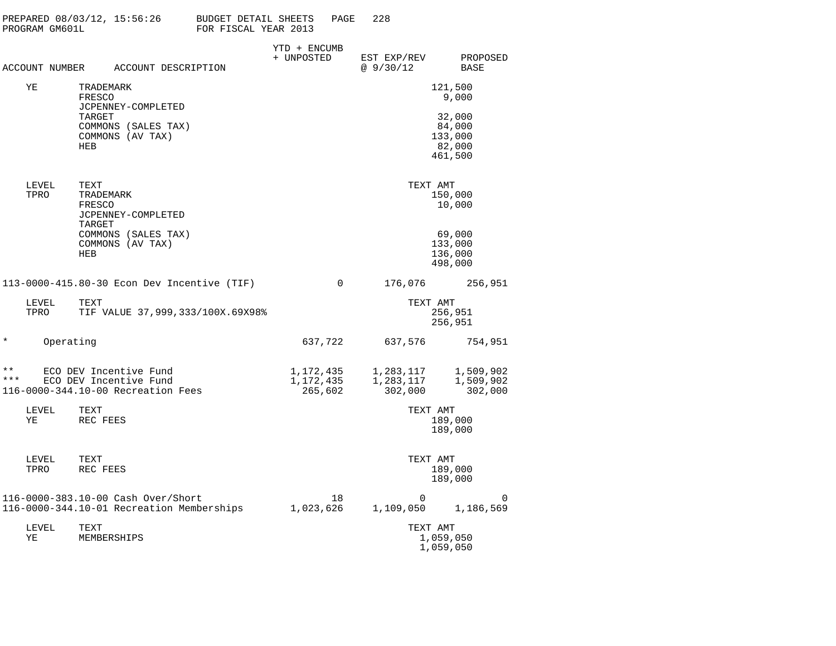|                       | PROGRAM GM601L | PREPARED 08/03/12, 15:56:26                                                            | BUDGET DETAIL SHEETS<br>FOR FISCAL YEAR 2013 |                                   | PAGE     | 228                               |                                                  |
|-----------------------|----------------|----------------------------------------------------------------------------------------|----------------------------------------------|-----------------------------------|----------|-----------------------------------|--------------------------------------------------|
|                       | ACCOUNT NUMBER | ACCOUNT DESCRIPTION                                                                    |                                              | YTD + ENCUMB<br>+ UNPOSTED        |          | EST EXP/REV<br>@9/30/12           | PROPOSED<br>BASE                                 |
|                       | ΥE             | TRADEMARK<br>FRESCO                                                                    |                                              |                                   |          |                                   | 121,500<br>9,000                                 |
|                       |                | JCPENNEY-COMPLETED<br>TARGET<br>COMMONS (SALES TAX)<br>COMMONS (AV TAX)<br>HEB         |                                              |                                   |          |                                   | 32,000<br>84,000<br>133,000<br>82,000<br>461,500 |
|                       | LEVEL<br>TPRO  | TEXT<br>TRADEMARK<br>FRESCO<br>JCPENNEY-COMPLETED<br>TARGET                            |                                              |                                   |          |                                   | TEXT AMT<br>150,000<br>10,000                    |
|                       |                | COMMONS (SALES TAX)<br>COMMONS (AV TAX)<br><b>HEB</b>                                  |                                              |                                   |          |                                   | 69,000<br>133,000<br>136,000<br>498,000          |
|                       |                | 113-0000-415.80-30 Econ Dev Incentive (TIF)                                            |                                              |                                   | $\Omega$ | 176,076                           | 256,951                                          |
|                       | LEVEL<br>TPRO  | TEXT<br>TIF VALUE 37,999,333/100X.69X98%                                               |                                              |                                   |          |                                   | TEXT AMT<br>256,951<br>256,951                   |
| $^\star$              | Operating      |                                                                                        |                                              | 637,722                           |          | 637,576                           | 754,951                                          |
| $\star\star$<br>* * * |                | ECO DEV Incentive Fund<br>ECO DEV Incentive Fund<br>116-0000-344.10-00 Recreation Fees |                                              | 1,172,435<br>1,172,435<br>265,602 |          | 1,283,117<br>1,283,117<br>302,000 | 1,509,902<br>1,509,902<br>302,000                |
|                       | LEVEL<br>ΥE    | TEXT<br>REC FEES                                                                       |                                              |                                   |          |                                   | TEXT AMT<br>189,000<br>189,000                   |
|                       | LEVEL<br>TPRO  | TEXT<br>REC FEES                                                                       |                                              |                                   |          |                                   | TEXT AMT<br>189,000<br>189,000                   |
|                       |                | 116-0000-383.10-00 Cash Over/Short<br>116-0000-344.10-01 Recreation Memberships        |                                              | 1,023,626                         | 18       | $\mathbf 0$<br>1,109,050          | 0<br>1,186,569                                   |
|                       | LEVEL<br>ΥE    | TEXT<br>MEMBERSHIPS                                                                    |                                              |                                   |          |                                   | TEXT AMT<br>1,059,050                            |

1,059,050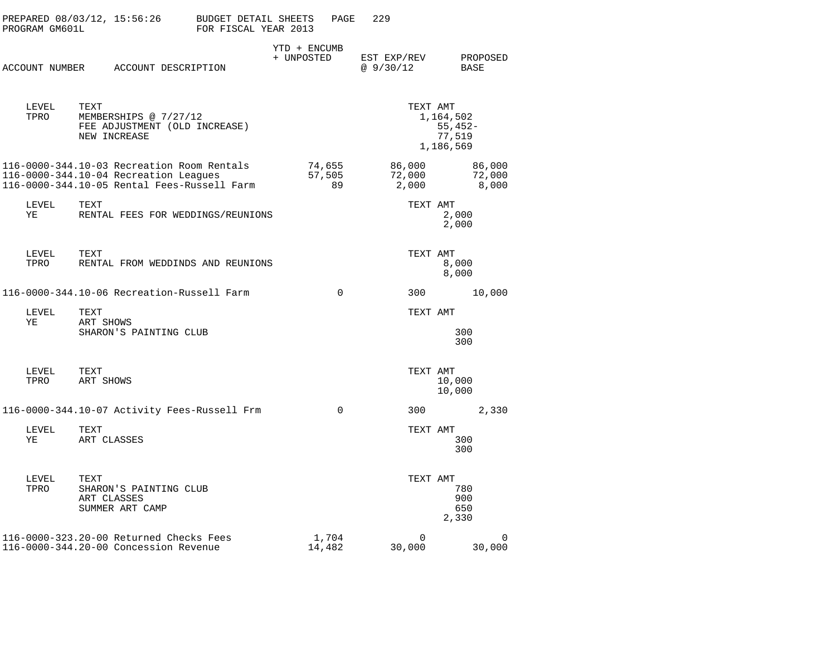| PROGRAM GM601L | PREPARED 08/03/12, 15:56:26                                                                                                        | BUDGET DETAIL SHEETS<br>FOR FISCAL YEAR 2013 |                            | PAGE                   | 229                       |                                                           |                           |
|----------------|------------------------------------------------------------------------------------------------------------------------------------|----------------------------------------------|----------------------------|------------------------|---------------------------|-----------------------------------------------------------|---------------------------|
|                | ACCOUNT NUMBER ACCOUNT DESCRIPTION                                                                                                 |                                              | YTD + ENCUMB<br>+ UNPOSTED |                        | EST EXP/REV<br>@9/30/12   | <b>BASE</b>                                               | PROPOSED                  |
| LEVEL<br>TPRO  | TEXT<br>MEMBERSHIPS @ 7/27/12<br>FEE ADJUSTMENT (OLD INCREASE)<br>NEW INCREASE                                                     |                                              |                            |                        |                           | TEXT AMT<br>1,164,502<br>$55,452-$<br>77,519<br>1,186,569 |                           |
|                | 116-0000-344.10-03 Recreation Room Rentals<br>116-0000-344.10-04 Recreation Leagues<br>116-0000-344.10-05 Rental Fees-Russell Farm |                                              |                            | 74,655<br>57,505<br>89 | 86,000<br>72,000<br>2,000 |                                                           | 86,000<br>72,000<br>8,000 |
| LEVEL<br>YE    | TEXT<br>RENTAL FEES FOR WEDDINGS/REUNIONS                                                                                          |                                              |                            |                        |                           | TEXT AMT<br>2,000<br>2,000                                |                           |
| LEVEL<br>TPRO  | TEXT<br>RENTAL FROM WEDDINDS AND REUNIONS                                                                                          |                                              |                            |                        |                           | TEXT AMT<br>8,000<br>8,000                                |                           |
|                | 116-0000-344.10-06 Recreation-Russell Farm                                                                                         |                                              |                            | $\Omega$               | 300                       |                                                           | 10,000                    |
| LEVEL<br>ΥE    | TEXT<br>ART SHOWS<br>SHARON'S PAINTING CLUB                                                                                        |                                              |                            |                        |                           | TEXT AMT<br>300<br>300                                    |                           |
| LEVEL<br>TPRO  | TEXT<br>ART SHOWS                                                                                                                  |                                              |                            |                        |                           | TEXT AMT<br>10,000<br>10,000                              |                           |
|                | 116-0000-344.10-07 Activity Fees-Russell Frm                                                                                       |                                              |                            | $\Omega$               | 300                       |                                                           | 2,330                     |
| LEVEL<br>ΥE    | TEXT<br>ART CLASSES                                                                                                                |                                              |                            |                        |                           | TEXT AMT<br>300<br>300                                    |                           |
| LEVEL<br>TPRO  | TEXT<br>SHARON'S PAINTING CLUB<br>ART CLASSES<br>SUMMER ART CAMP                                                                   |                                              |                            |                        |                           | TEXT AMT<br>780<br>900<br>650<br>2,330                    |                           |
|                | 116-0000-323.20-00 Returned Checks Fees<br>116-0000-344.20-00 Concession Revenue                                                   |                                              |                            | 1,704<br>14,482        | $\mathbf 0$<br>30,000     |                                                           | 0<br>30,000               |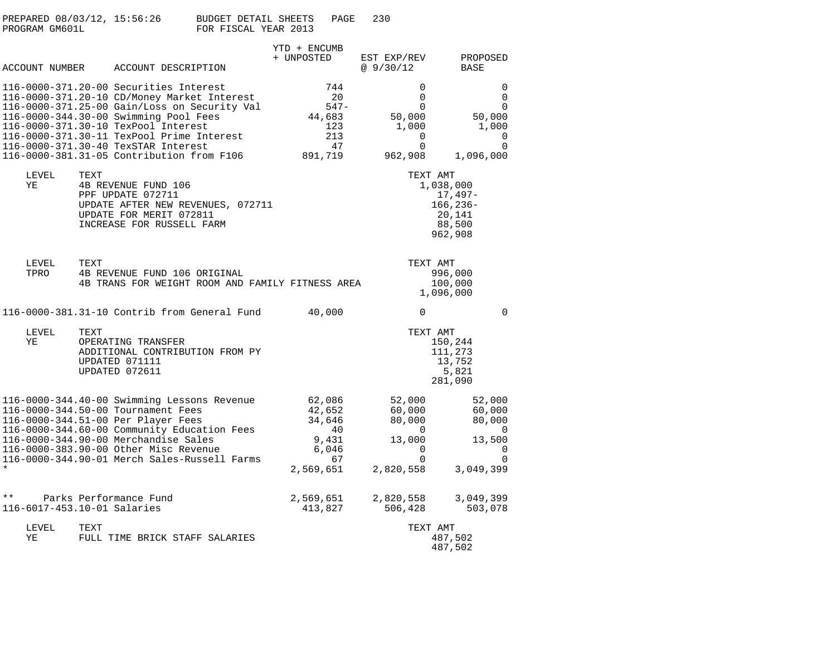| PREPARED 08/03/12, 15:56:26 | BUDGET DETAIL SHEETS<br>PAGE | 230 |
|-----------------------------|------------------------------|-----|
| PROGRAM GM601L              | FOR FISCAL YEAR 2013         |     |

|         |                             |      | ACCOUNT NUMBER ACCOUNT DESCRIPTION                                                                                                                                                                                                                                                                                                                     | + UNPOSTED | YTD + ENCUMB                                                          | EST EXP/REV<br>@9/30/12 |                                                                                | PROPOSED<br>BASE                                                    |                                                   |
|---------|-----------------------------|------|--------------------------------------------------------------------------------------------------------------------------------------------------------------------------------------------------------------------------------------------------------------------------------------------------------------------------------------------------------|------------|-----------------------------------------------------------------------|-------------------------|--------------------------------------------------------------------------------|---------------------------------------------------------------------|---------------------------------------------------|
|         |                             |      | 116-0000-371.20-00 Securities Interest<br>116-0000-371.20-10 CD/Money Market Interest<br>116-0000-371.25-00 Gain/Loss on Security Val<br>116-0000-344.30-00 Swimming Pool Fees<br>116-0000-371.30-10 TexPool Interest<br>116-0000-371.30-11 TexPool Prime Interest<br>116-0000-371.30-40 TexSTAR Interest<br>116-0000-381.31-05 Contribution from F106 |            | 744<br>20<br>547-<br>44,683<br>123<br>213<br>47<br>891,719            |                         | 0<br>$\mathbf 0$<br>$\Omega$<br>50,000<br>1,000<br>0<br>$\mathbf 0$<br>962,908 | 50,000<br>1,000<br>1,096,000                                        | $\Omega$<br>$\Omega$<br>$\Omega$<br>0<br>$\Omega$ |
|         | LEVEL<br>ΥE                 | TEXT | 4B REVENUE FUND 106<br>PPF UPDATE 072711<br>UPDATE AFTER NEW REVENUES, 072711<br>UPDATE FOR MERIT 072811<br>INCREASE FOR RUSSELL FARM                                                                                                                                                                                                                  |            |                                                                       |                         | TEXT AMT                                                                       | 1,038,000<br>17,497-<br>$166, 236 -$<br>20,141<br>88,500<br>962,908 |                                                   |
|         | LEVEL<br>TPRO               | TEXT | 4B REVENUE FUND 106 ORIGINAL<br>4B TRANS FOR WEIGHT ROOM AND FAMILY FITNESS AREA                                                                                                                                                                                                                                                                       |            |                                                                       |                         | TEXT AMT                                                                       | 996,000<br>100,000<br>1,096,000                                     |                                                   |
|         |                             |      | 116-0000-381.31-10 Contrib from General Fund                                                                                                                                                                                                                                                                                                           |            | 40,000                                                                |                         | $\Omega$                                                                       |                                                                     | $\Omega$                                          |
|         | LEVEL<br>YE                 | TEXT | OPERATING TRANSFER<br>ADDITIONAL CONTRIBUTION FROM PY<br>UPDATED 071111<br>UPDATED 072611                                                                                                                                                                                                                                                              |            |                                                                       |                         | TEXT AMT                                                                       | 150,244<br>111,273<br>13,752<br>5,821<br>281,090                    |                                                   |
| $\star$ |                             |      | 116-0000-344.40-00 Swimming Lessons Revenue<br>116-0000-344.50-00 Tournament Fees<br>116-0000-344.51-00 Per Player Fees<br>116-0000-344.60-00 Community Education Fees<br>116-0000-344.90-00 Merchandise Sales<br>116-0000-383.90-00 Other Misc Revenue<br>116-0000-344.90-01 Merch Sales-Russell Farms                                                |            | 62,086<br>42,652<br>34,646<br>40<br>9,431<br>6,046<br>67<br>2,569,651 |                         | 52,000<br>60,000<br>80,000<br>0<br>13,000<br>0<br>$\Omega$<br>2,820,558        | 52,000<br>60,000<br>80,000<br>13,500<br>3,049,399                   | $\Omega$<br>0<br>$\Omega$                         |
| $* *$   | 116-6017-453.10-01 Salaries |      | Parks Performance Fund                                                                                                                                                                                                                                                                                                                                 |            | 2,569,651<br>413,827                                                  |                         | 2,820,558<br>506,428                                                           | 3,049,399<br>503,078                                                |                                                   |
|         | LEVEL<br>ΥE                 | TEXT | FULL TIME BRICK STAFF SALARIES                                                                                                                                                                                                                                                                                                                         |            |                                                                       |                         | TEXT AMT                                                                       | 487,502<br>487,502                                                  |                                                   |
|         |                             |      |                                                                                                                                                                                                                                                                                                                                                        |            |                                                                       |                         |                                                                                |                                                                     |                                                   |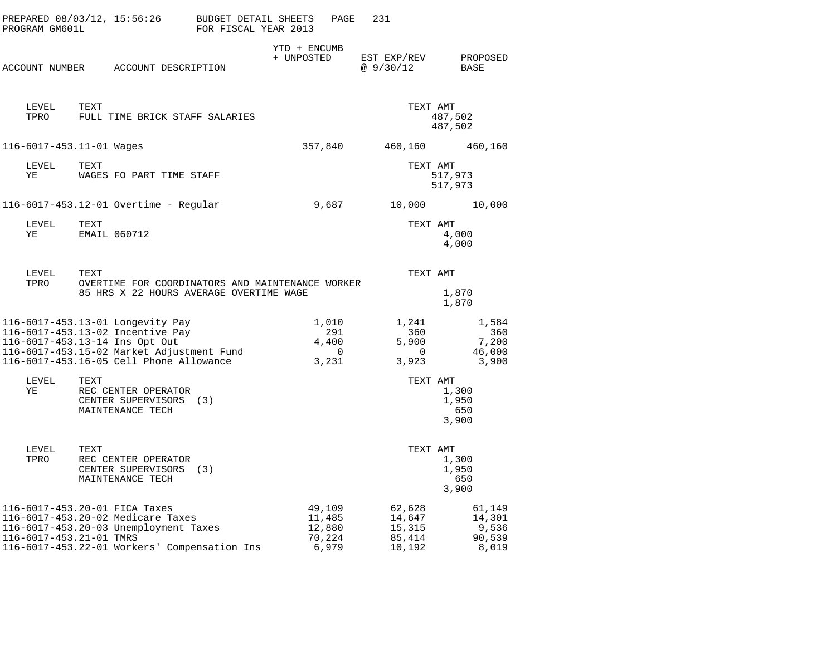| PROGRAM GM601L | PREPARED 08/03/12, 15:56:26                                                                                                                                                                    | BUDGET DETAIL SHEETS<br>FOR FISCAL YEAR 2013 | PAGE                                             | 231                                              |                                              |
|----------------|------------------------------------------------------------------------------------------------------------------------------------------------------------------------------------------------|----------------------------------------------|--------------------------------------------------|--------------------------------------------------|----------------------------------------------|
|                | ACCOUNT NUMBER ACCOUNT DESCRIPTION                                                                                                                                                             |                                              | YTD + ENCUMB<br>+ UNPOSTED                       | EST EXP/REV<br>@9/30/12                          | PROPOSED<br>BASE                             |
| LEVEL<br>TPRO  | TEXT<br>FULL TIME BRICK STAFF SALARIES                                                                                                                                                         |                                              |                                                  | TEXT AMT                                         | 487,502<br>487,502                           |
|                | 116-6017-453.11-01 Wages                                                                                                                                                                       |                                              | 357,840                                          | 460,160                                          | 460,160                                      |
| LEVEL<br>ΥE    | TEXT<br>WAGES FO PART TIME STAFF                                                                                                                                                               |                                              |                                                  | TEXT AMT                                         | 517,973<br>517,973                           |
|                | 116-6017-453.12-01 Overtime - Regular                                                                                                                                                          |                                              | 9,687                                            | 10,000                                           | 10,000                                       |
| LEVEL<br>ΥE    | TEXT<br>EMAIL 060712                                                                                                                                                                           |                                              |                                                  | TEXT AMT                                         | 4,000<br>4,000                               |
| LEVEL          | TEXT                                                                                                                                                                                           |                                              |                                                  | TEXT AMT                                         |                                              |
| TPRO           | OVERTIME FOR COORDINATORS AND MAINTENANCE WORKER<br>85 HRS X 22 HOURS AVERAGE OVERTIME WAGE                                                                                                    |                                              |                                                  |                                                  | 1,870<br>1,870                               |
|                | 116-6017-453.13-01 Longevity Pay<br>116-6017-453.13-02 Incentive Pay<br>116-6017-453.13-14 Ins Opt Out<br>116-6017-453.15-02 Market Adjustment Fund<br>116-6017-453.16-05 Cell Phone Allowance |                                              | 1,010<br>291<br>4,400<br>$\overline{0}$<br>3,231 | 1,241<br>360<br>5,900<br>$\overline{0}$<br>3,923 | 1,584<br>360<br>7,200<br>46,000<br>3,900     |
| LEVEL<br>ΥE    | TEXT<br>REC CENTER OPERATOR<br>CENTER SUPERVISORS (3)<br>MAINTENANCE TECH                                                                                                                      |                                              |                                                  | TEXT AMT                                         | 1,300<br>1,950<br>650<br>3,900               |
| LEVEL<br>TPRO  | TEXT<br>REC CENTER OPERATOR<br>CENTER SUPERVISORS (3)<br>MAINTENANCE TECH                                                                                                                      |                                              |                                                  | TEXT AMT                                         | 1,300<br>1,950<br>650<br>3,900               |
|                | 116-6017-453.20-01 FICA Taxes<br>116-6017-453.20-02 Medicare Taxes<br>116-6017-453.20-03 Unemployment Taxes<br>116-6017-453.21-01 TMRS<br>116-6017-453.22-01 Workers' Compensation Ins         |                                              | 49,109<br>11,485<br>12,880<br>70,224<br>6,979    | 62,628<br>14,647<br>15,315<br>85,414<br>10,192   | 61,149<br>14,301<br>9,536<br>90,539<br>8,019 |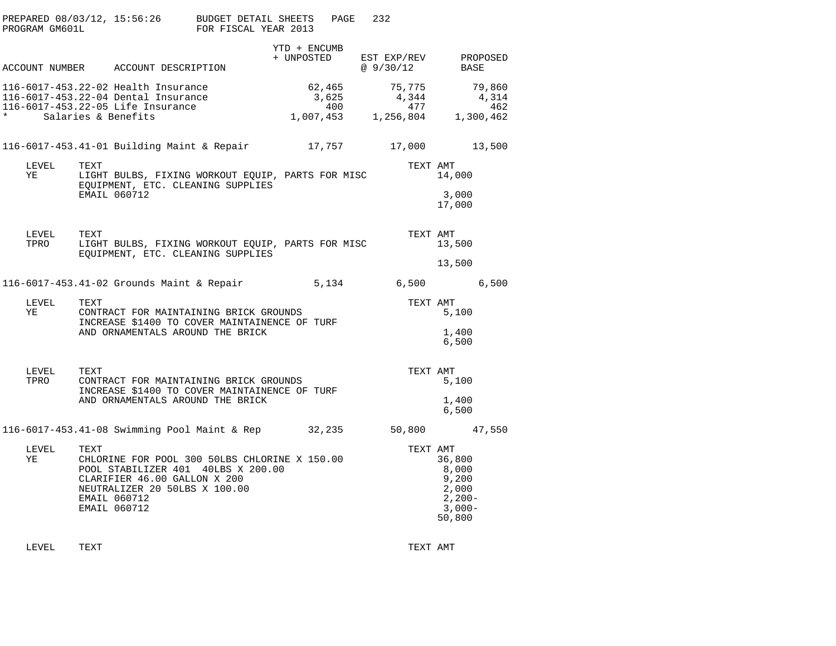| PROGRAM GM601L      | PREPARED 08/03/12, 15:56:26 BUDGET DETAIL SHEETS                                                                                                                                             | FOR FISCAL YEAR 2013 |                        | PAGE | 232                                           |                                                                                 |                                     |
|---------------------|----------------------------------------------------------------------------------------------------------------------------------------------------------------------------------------------|----------------------|------------------------|------|-----------------------------------------------|---------------------------------------------------------------------------------|-------------------------------------|
|                     | ACCOUNT NUMBER ACCOUNT DESCRIPTION                                                                                                                                                           |                      | YTD + ENCUMB           |      | + UNPOSTED EST EXP/REV PROPOSED<br>@9/30/12   | BASE                                                                            |                                     |
| $\star$ and $\star$ | 116-6017-453.22-02 Health Insurance<br>116-6017-453.22-04 Dental Insurance<br>116-6017-453.22-05 Life Insurance<br>Salaries & Benefits                                                       |                      | 62,465<br>3,625<br>400 |      | 75,775<br>4,344<br>477<br>1,007,453 1,256,804 |                                                                                 | 79,860<br>4,314<br>462<br>1,300,462 |
|                     | 116-6017-453.41-01 Building Maint & Repair 17,757                                                                                                                                            |                      |                        |      | 17,000                                        |                                                                                 | 13,500                              |
| LEVEL<br>YE         | TEXT<br>LIGHT BULBS, FIXING WORKOUT EQUIP, PARTS FOR MISC<br>EQUIPMENT, ETC. CLEANING SUPPLIES<br>EMAIL 060712                                                                               |                      |                        |      | TEXT AMT                                      | 14,000<br>3,000<br>17,000                                                       |                                     |
| LEVEL TEXT<br>TPRO  | LIGHT BULBS, FIXING WORKOUT EQUIP, PARTS FOR MISC<br>EQUIPMENT, ETC. CLEANING SUPPLIES                                                                                                       |                      |                        |      | TEXT AMT                                      | 13,500<br>13,500                                                                |                                     |
|                     | 116-6017-453.41-02 Grounds Maint & Repair 5,134 6,500 6,500                                                                                                                                  |                      |                        |      |                                               |                                                                                 |                                     |
| LEVEL<br>YE         | TEXT<br>CONTRACT FOR MAINTAINING BRICK GROUNDS<br>INCREASE \$1400 TO COVER MAINTAINENCE OF TURF<br>AND ORNAMENTALS AROUND THE BRICK                                                          |                      |                        |      | TEXT AMT                                      | 5,100<br>1,400<br>6,500                                                         |                                     |
| LEVEL<br>TPRO       | TEXT<br>CONTRACT FOR MAINTAINING BRICK GROUNDS<br>INCREASE \$1400 TO COVER MAINTAINENCE OF TURF<br>AND ORNAMENTALS AROUND THE BRICK                                                          |                      |                        |      | TEXT AMT                                      | 5,100<br>1,400<br>6,500                                                         |                                     |
|                     | 116-6017-453.41-08 Swimming Pool Maint & Rep 32,235 50,800 47,550                                                                                                                            |                      |                        |      |                                               |                                                                                 |                                     |
| LEVEL<br>YE         | TEXT<br>CHLORINE FOR POOL 300 50LBS CHLORINE X 150.00<br>POOL STABILIZER 401 40LBS X 200.00<br>CLARIFIER 46.00 GALLON X 200<br>NEUTRALIZER 20 50LBS X 100.00<br>EMAIL 060712<br>EMAIL 060712 |                      |                        |      |                                               | TEXT AMT<br>36,800<br>8,000<br>9,200<br>2,000<br>$2,200-$<br>$3,000-$<br>50,800 |                                     |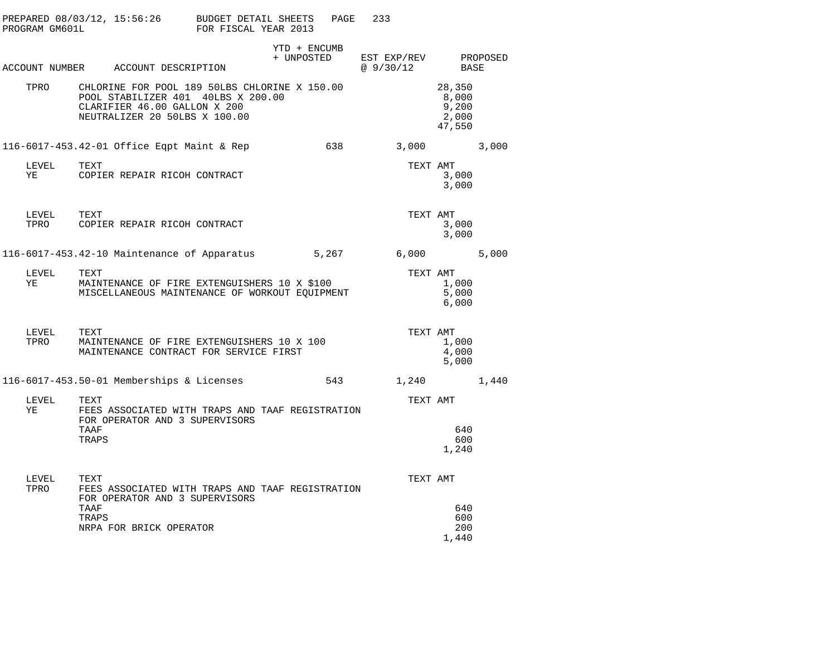| PREPARED 08/03/12, 15:56:26 BUDGET DETAIL SHEETS<br>233<br>PAGE<br>PROGRAM GM601L<br>FOR FISCAL YEAR 2013                                                 |                                             |
|-----------------------------------------------------------------------------------------------------------------------------------------------------------|---------------------------------------------|
| YTD + ENCUMB<br>+ UNPOSTED<br>EST EXP/REV PROPOSED<br>ACCOUNT NUMBER ACCOUNT DESCRIPTION<br>@ 9/30/12                                                     | BASE                                        |
| TPRO CHLORINE FOR POOL 189 50LBS CHLORINE X 150.00<br>POOL STABILIZER 401 40LBS X 200.00<br>CLARIFIER 46.00 GALLON X 200<br>NEUTRALIZER 20 50LBS X 100.00 | 28,350<br>8,000<br>9,200<br>2,000<br>47,550 |
| 638<br>3,000 3,000<br>116-6017-453.42-01 Office Eqpt Maint & Rep                                                                                          |                                             |
| LEVEL<br>TEXT<br>TEXT AMT<br>YE COPIER REPAIR RICOH CONTRACT                                                                                              | 3,000<br>3,000                              |
| TEXT AMT<br>LEVEL TEXT<br>COPIER REPAIR RICOH CONTRACT<br>TPRO                                                                                            | 3,000<br>3,000                              |
| 6,000<br>116-6017-453.42-10 Maintenance of Apparatus 5,267                                                                                                | 5,000                                       |
| LEVEL<br>TEXT<br>TEXT AMT<br>MAINTENANCE OF FIRE EXTENGUISHERS 10 X \$100<br>YE<br>MISCELLANEOUS MAINTENANCE OF WORKOUT EQUIPMENT                         | 1,000<br>5,000<br>6,000                     |
| TEXT<br>TEXT AMT<br>LEVEL<br>MAINTENANCE OF FIRE EXTENGUISHERS 10 X 100<br>TPRO<br>MAINTENANCE CONTRACT FOR SERVICE FIRST                                 | 1,000<br>4,000<br>5,000                     |
| 116-6017-453.50-01 Memberships & Licenses<br>543<br>1,240                                                                                                 | 1,440                                       |
| LEVEL<br>TEXT AMT<br>TEXT<br>YE<br>FEES ASSOCIATED WITH TRAPS AND TAAF REGISTRATION<br>FOR OPERATOR AND 3 SUPERVISORS                                     |                                             |
| TAAF<br>TRAPS                                                                                                                                             | 640<br>600<br>1,240                         |
| TEXT AMT<br>LEVEL<br>TEXT<br>TPRO<br>FEES ASSOCIATED WITH TRAPS AND TAAF REGISTRATION<br>FOR OPERATOR AND 3 SUPERVISORS<br>TAAF                           | 640                                         |
| TRAPS<br>NRPA FOR BRICK OPERATOR                                                                                                                          | 600<br>200<br>1,440                         |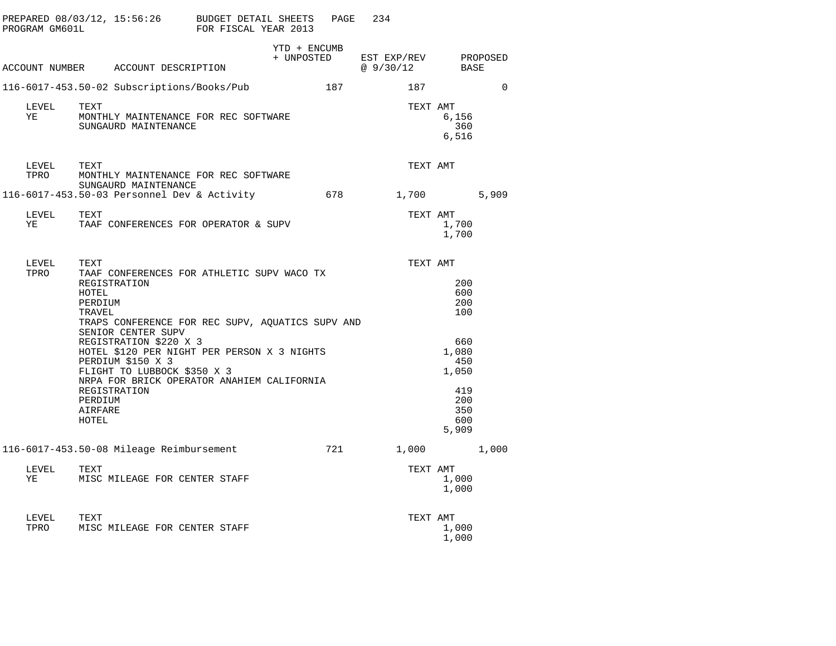| PROGRAM GM601L     | PREPARED $08/03/12$ , $15:56:26$ BUDGET DETAIL SHEETS                                                                                                                                                                                                                                                                                                                                                | FOR FISCAL YEAR 2013 | PAGE                       | 234                                    |                                                                                               |          |
|--------------------|------------------------------------------------------------------------------------------------------------------------------------------------------------------------------------------------------------------------------------------------------------------------------------------------------------------------------------------------------------------------------------------------------|----------------------|----------------------------|----------------------------------------|-----------------------------------------------------------------------------------------------|----------|
|                    | ACCOUNT NUMBER ACCOUNT DESCRIPTION                                                                                                                                                                                                                                                                                                                                                                   |                      | YTD + ENCUMB<br>+ UNPOSTED | EST EXP/REV PROPOSED<br>@ 9/30/12 BASE |                                                                                               |          |
|                    | 116-6017-453.50-02 Subscriptions/Books/Pub                                                                                                                                                                                                                                                                                                                                                           |                      | 187                        | 187                                    |                                                                                               | $\Omega$ |
| LEVEL<br>YE        | TEXT<br>MONTHLY MAINTENANCE FOR REC SOFTWARE<br>SUNGAURD MAINTENANCE                                                                                                                                                                                                                                                                                                                                 |                      |                            | TEXT AMT                               | 6,156<br>360<br>6,516                                                                         |          |
| LEVEL TEXT<br>TPRO | MONTHLY MAINTENANCE FOR REC SOFTWARE<br>SUNGAURD MAINTENANCE                                                                                                                                                                                                                                                                                                                                         |                      |                            | TEXT AMT                               |                                                                                               |          |
|                    | 116-6017-453.50-03 Personnel Dev & Activity 678 1,700 5,909                                                                                                                                                                                                                                                                                                                                          |                      |                            |                                        |                                                                                               |          |
| LEVEL<br>YE        | TEXT<br>TAAF CONFERENCES FOR OPERATOR & SUPV                                                                                                                                                                                                                                                                                                                                                         |                      |                            | TEXT AMT                               | 1,700<br>1,700                                                                                |          |
| LEVEL<br>TPRO      | TEXT<br>TAAF CONFERENCES FOR ATHLETIC SUPV WACO TX<br>REGISTRATION<br>HOTEL<br>PERDIUM<br>TRAVEL<br>TRAPS CONFERENCE FOR REC SUPV, AQUATICS SUPV AND<br>SENIOR CENTER SUPV<br>REGISTRATION \$220 X 3<br>HOTEL \$120 PER NIGHT PER PERSON X 3 NIGHTS<br>PERDIUM \$150 X 3<br>FLIGHT TO LUBBOCK \$350 X 3<br>NRPA FOR BRICK OPERATOR ANAHIEM CALIFORNIA<br>REGISTRATION<br>PERDIUM<br>AIRFARE<br>HOTEL |                      |                            | TEXT AMT                               | 200<br>600<br>200<br>100<br>660<br>1,080<br>450<br>1,050<br>419<br>200<br>350<br>600<br>5,909 |          |
| LEVEL<br>YE        | 116-6017-453.50-08 Mileage Reimbursement<br>TEXT<br>MISC MILEAGE FOR CENTER STAFF                                                                                                                                                                                                                                                                                                                    |                      | 721                        | TEXT AMT                               | 1,000<br>1,000<br>1,000<br>1,000                                                              |          |
| LEVEL<br>TPRO      | TEXT<br>MISC MILEAGE FOR CENTER STAFF                                                                                                                                                                                                                                                                                                                                                                |                      |                            | TEXT AMT                               | 1,000<br>1,000                                                                                |          |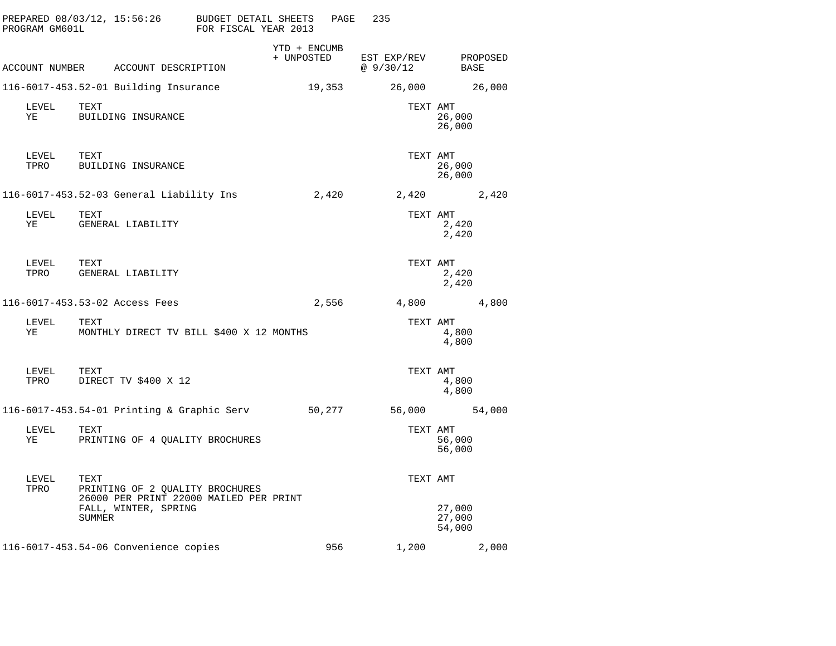| PROGRAM GM601L                          | PREPARED 08/03/12, 15:56:26 BUDGET DETAIL SHEETS                                  | FOR FISCAL YEAR 2013 |                              | PAGE   | 235                              |                            |       |
|-----------------------------------------|-----------------------------------------------------------------------------------|----------------------|------------------------------|--------|----------------------------------|----------------------------|-------|
|                                         | ACCOUNT NUMBER ACCOUNT DESCRIPTION                                                |                      | $YTD + ENCUMB$<br>+ UNPOSTED |        | EST EXP/REV PROPOSED<br>@9/30/12 | BASE                       |       |
|                                         | 116-6017-453.52-01 Building Insurance                                             |                      |                              | 19,353 | 26,000 26,000                    |                            |       |
| LEVEL<br>YE                             | TEXT<br>BUILDING INSURANCE                                                        |                      |                              |        | TEXT AMT                         | 26,000<br>26,000           |       |
| LEVEL TEXT<br>TPRO                      | BUILDING INSURANCE                                                                |                      |                              |        | TEXT AMT                         | 26,000<br>26,000           |       |
|                                         | 116-6017-453.52-03 General Liability Ins 2,420 2,420 2,420 2,420                  |                      |                              |        |                                  |                            |       |
| LEVEL<br><b>YE</b>                      | TEXT<br>GENERAL LIABILITY                                                         |                      |                              |        | TEXT AMT                         | 2,420<br>2,420             |       |
| ${\tt LEVEL} \hspace{0.2in} {\tt TEXT}$ | TPRO GENERAL LIABILITY                                                            |                      |                              |        | TEXT AMT                         | 2,420<br>2,420             |       |
|                                         | 116-6017-453.53-02 Access Fees                                                    |                      |                              |        | 2,556 4,800 4,800                |                            |       |
| LEVEL<br>YE                             | TEXT<br>MONTHLY DIRECT TV BILL \$400 X 12 MONTHS                                  |                      |                              |        | TEXT AMT                         | 4,800<br>4,800             |       |
|                                         | LEVEL TEXT<br>TPRO DIRECT TV \$400 X 12                                           |                      |                              |        | TEXT AMT                         | 4,800<br>4,800             |       |
|                                         | 116-6017-453.54-01 Printing & Graphic Serv 50,277                                 |                      |                              |        | 56,000 54,000                    |                            |       |
| LEVEL<br>YE                             | TEXT<br>PRINTING OF 4 QUALITY BROCHURES                                           |                      |                              |        | TEXT AMT                         | 56,000<br>56,000           |       |
| LEVEL<br>TPRO                           | TEXT<br>PRINTING OF 2 QUALITY BROCHURES<br>26000 PER PRINT 22000 MAILED PER PRINT |                      |                              |        | TEXT AMT                         |                            |       |
|                                         | FALL, WINTER, SPRING<br>SUMMER                                                    |                      |                              |        |                                  | 27,000<br>27,000<br>54,000 |       |
|                                         | 116-6017-453.54-06 Convenience copies                                             |                      |                              | 956    | 1,200                            |                            | 2,000 |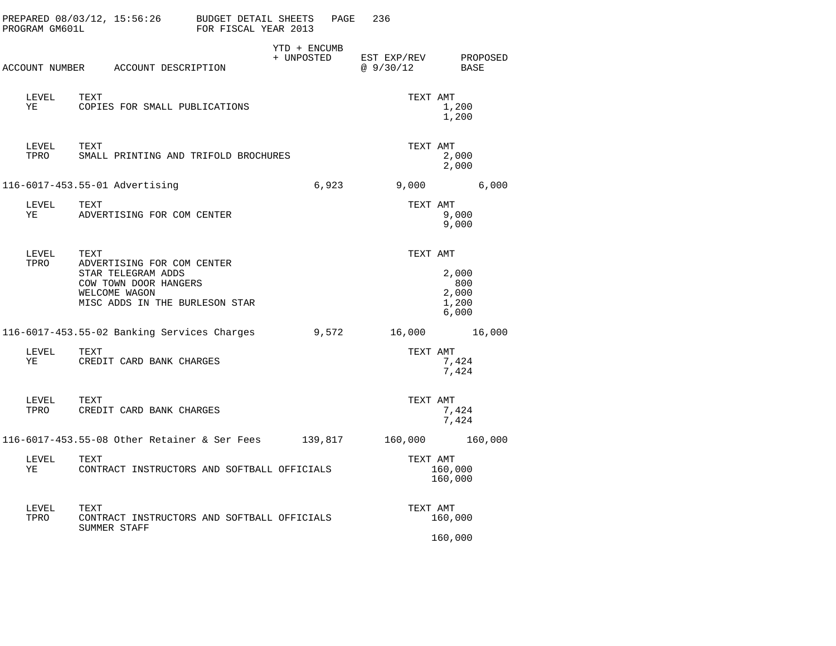| PROGRAM GM601L     | PREPARED $08/03/12$ , $15:56:26$ BUDGET DETAIL SHEETS                                                                        | FOR FISCAL YEAR 2013 |                            | PAGE  | 236                        |                                         |          |
|--------------------|------------------------------------------------------------------------------------------------------------------------------|----------------------|----------------------------|-------|----------------------------|-----------------------------------------|----------|
|                    | ACCOUNT NUMBER ACCOUNT DESCRIPTION                                                                                           |                      | YTD + ENCUMB<br>+ UNPOSTED |       | EST EXP/REV<br>@ $9/30/12$ | BASE                                    | PROPOSED |
| LEVEL TEXT<br>YE   | COPIES FOR SMALL PUBLICATIONS                                                                                                |                      |                            |       |                            | TEXT AMT<br>1,200<br>1,200              |          |
| LEVEL TEXT<br>TPRO | SMALL PRINTING AND TRIFOLD BROCHURES                                                                                         |                      |                            |       |                            | TEXT AMT<br>2,000<br>2,000              |          |
|                    | 116-6017-453.55-01 Advertising                                                                                               |                      |                            | 6,923 |                            | 9,000                                   | 6,000    |
| LEVEL TEXT<br>YE   | ADVERTISING FOR COM CENTER                                                                                                   |                      |                            |       | TEXT AMT                   | 9,000<br>9,000                          |          |
| LEVEL TEXT<br>TPRO | ADVERTISING FOR COM CENTER<br>STAR TELEGRAM ADDS<br>COW TOWN DOOR HANGERS<br>WELCOME WAGON<br>MISC ADDS IN THE BURLESON STAR |                      |                            |       | TEXT AMT                   | 2,000<br>800<br>2,000<br>1,200<br>6,000 |          |
|                    | 116-6017-453.55-02 Banking Services Charges                                                                                  |                      |                            |       | $9,572$ 16,000 16,000      |                                         |          |
| LEVEL<br>YE        | TEXT<br>CREDIT CARD BANK CHARGES                                                                                             |                      |                            |       | TEXT AMT                   | 7,424<br>7,424                          |          |
| LEVEL TEXT<br>TPRO | CREDIT CARD BANK CHARGES                                                                                                     |                      |                            |       |                            | TEXT AMT<br>7,424<br>7,424              |          |
|                    | 116-6017-453.55-08 Other Retainer & Ser Fees     139,817                                                                     |                      |                            |       | 160,000 160,000            |                                         |          |
| LEVEL<br>YE        | TEXT<br>CONTRACT INSTRUCTORS AND SOFTBALL OFFICIALS                                                                          |                      |                            |       | TEXT AMT                   | 160,000<br>160,000                      |          |
| LEVEL<br>TPRO      | TEXT<br>CONTRACT INSTRUCTORS AND SOFTBALL OFFICIALS<br>SUMMER STAFF                                                          |                      |                            |       | TEXT AMT                   | 160,000                                 |          |
|                    |                                                                                                                              |                      |                            |       |                            | 160,000                                 |          |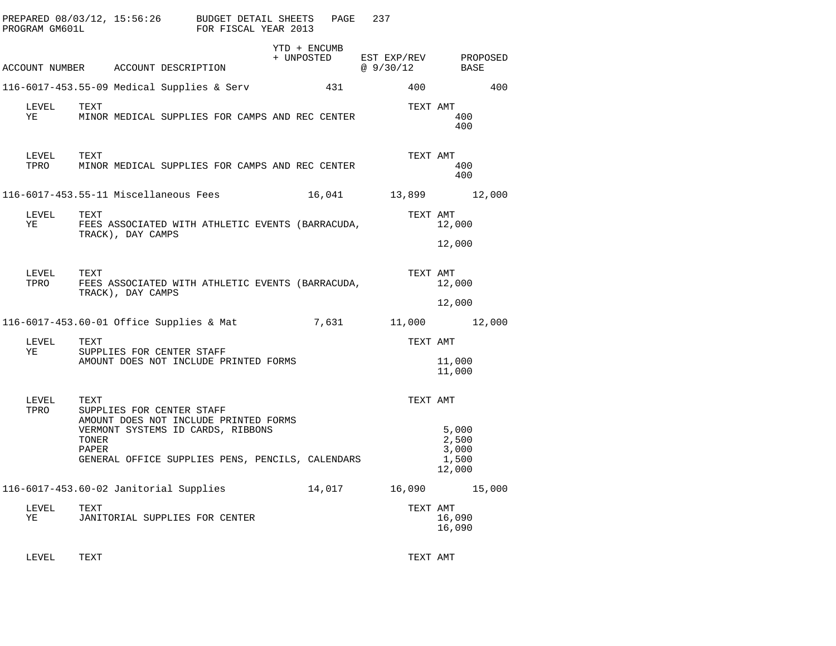| PROGRAM GM601L | PREPARED 08/03/12, 15:56:26 BUDGET DETAIL SHEETS                                                                | FOR FISCAL YEAR 2013 | PAGE         | 237                                                                                                    |                                   |
|----------------|-----------------------------------------------------------------------------------------------------------------|----------------------|--------------|--------------------------------------------------------------------------------------------------------|-----------------------------------|
|                | ACCOUNT NUMBER ACCOUNT DESCRIPTION                                                                              |                      | YTD + ENCUMB | $\begin{tabular}{llllll} + & UNPOSTED & EST EXP/REV & PROPOSED \\ & @ 9/30/12 & BASE \\ \end{tabular}$ |                                   |
|                | 116-6017-453.55-09 Medical Supplies & Serv                                                                      |                      | 431          | 400                                                                                                    | 400                               |
| LEVEL<br>ΥE    | TEXT<br>MINOR MEDICAL SUPPLIES FOR CAMPS AND REC CENTER                                                         |                      |              | TEXT AMT                                                                                               | 400<br>400                        |
| LEVEL<br>TPRO  | TEXT<br>MINOR MEDICAL SUPPLIES FOR CAMPS AND REC CENTER                                                         |                      |              |                                                                                                        | TEXT AMT<br>400<br>400            |
|                | 116-6017-453.55-11 Miscellaneous Fees                                                                           |                      |              | 16,041 13,899 12,000                                                                                   |                                   |
| LEVEL<br>YE    | TEXT<br>FEES ASSOCIATED WITH ATHLETIC EVENTS (BARRACUDA,<br>TRACK), DAY CAMPS                                   |                      |              | TEXT AMT                                                                                               | 12,000                            |
|                |                                                                                                                 |                      |              |                                                                                                        | 12,000                            |
| LEVEL<br>TPRO  | TEXT<br>FEES ASSOCIATED WITH ATHLETIC EVENTS (BARRACUDA,<br>TRACK), DAY CAMPS                                   |                      |              | TEXT AMT                                                                                               | 12,000                            |
|                |                                                                                                                 |                      |              |                                                                                                        | 12,000                            |
|                | 116-6017-453.60-01 Office Supplies & Mat                                                                        |                      |              | 7,631 11,000 12,000                                                                                    |                                   |
| LEVEL<br>ΥE    | TEXT                                                                                                            |                      |              | TEXT AMT                                                                                               |                                   |
|                | SUPPLIES FOR CENTER STAFF<br>AMOUNT DOES NOT INCLUDE PRINTED FORMS                                              |                      |              |                                                                                                        | 11,000<br>11,000                  |
| LEVEL<br>TPRO  | TEXT<br>SUPPLIES FOR CENTER STAFF<br>AMOUNT DOES NOT INCLUDE PRINTED FORMS<br>VERMONT SYSTEMS ID CARDS, RIBBONS |                      |              | TEXT AMT                                                                                               | 5,000                             |
|                | TONER<br>PAPER<br>GENERAL OFFICE SUPPLIES PENS, PENCILS, CALENDARS                                              |                      |              |                                                                                                        | 2,500<br>3,000<br>1,500<br>12,000 |
|                | 116-6017-453.60-02 Janitorial Supplies 14,017                                                                   |                      |              |                                                                                                        | 16,090 15,000                     |
| LEVEL<br>YE    | TEXT<br>JANITORIAL SUPPLIES FOR CENTER                                                                          |                      |              | TEXT AMT                                                                                               | 16,090<br>16,090                  |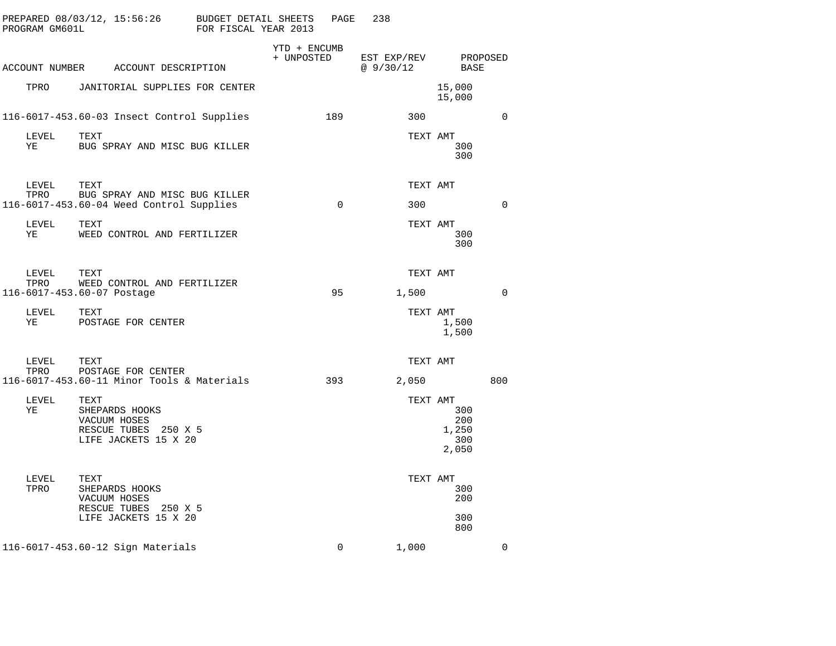| PROGRAM GM601L |                                    | PREPARED 08/03/12, 15:56:26                                                       | BUDGET DETAIL SHEETS<br>FOR FISCAL YEAR 2013 |                            | PAGE     | 238                      |                                     |             |
|----------------|------------------------------------|-----------------------------------------------------------------------------------|----------------------------------------------|----------------------------|----------|--------------------------|-------------------------------------|-------------|
|                |                                    | ACCOUNT NUMBER ACCOUNT DESCRIPTION                                                |                                              | YTD + ENCUMB<br>+ UNPOSTED |          | EST EXP/REV<br>@ 9/30/12 | BASE                                | PROPOSED    |
| TPRO           |                                    | JANITORIAL SUPPLIES FOR CENTER                                                    |                                              |                            |          |                          | 15,000<br>15,000                    |             |
|                |                                    | 116-6017-453.60-03 Insect Control Supplies                                        |                                              |                            | 189      | 300                      |                                     | $\mathbf 0$ |
| LEVEL<br>YE    | TEXT                               | BUG SPRAY AND MISC BUG KILLER                                                     |                                              |                            |          | TEXT AMT                 | 300<br>300                          |             |
| LEVEL<br>TPRO  | TEXT                               | BUG SPRAY AND MISC BUG KILLER<br>116-6017-453.60-04 Weed Control Supplies         |                                              |                            | $\Omega$ | TEXT AMT<br>300          |                                     | $\Omega$    |
| LEVEL<br>ΥE    | TEXT                               | WEED CONTROL AND FERTILIZER                                                       |                                              |                            |          | TEXT AMT                 | 300<br>300                          |             |
| LEVEL<br>TPRO  | TEXT<br>116-6017-453.60-07 Postage | WEED CONTROL AND FERTILIZER                                                       |                                              |                            | 95       | TEXT AMT<br>1,500        |                                     | $\Omega$    |
| LEVEL<br>ΥE    | TEXT                               | POSTAGE FOR CENTER                                                                |                                              |                            |          | TEXT AMT                 | 1,500<br>1,500                      |             |
| LEVEL<br>TPRO  | TEXT                               | TEAI<br>POSTAGE FOR CENTER<br>Teals<br>116-6017-453.60-11 Minor Tools & Materials |                                              |                            | 393      | TEXT AMT<br>2,050        |                                     | 800         |
| LEVEL<br>ΥE    | TEXT                               | SHEPARDS HOOKS<br>VACUUM HOSES<br>RESCUE TUBES 250 X 5<br>LIFE JACKETS 15 X 20    |                                              |                            |          | TEXT AMT                 | 300<br>200<br>1,250<br>300<br>2,050 |             |
| LEVEL<br>TPRO  | TEXT                               | SHEPARDS HOOKS<br>VACUUM HOSES<br>RESCUE TUBES 250 X 5<br>LIFE JACKETS 15 X 20    |                                              |                            |          | TEXT AMT                 | 300<br>200<br>300<br>800            |             |
|                |                                    | 116-6017-453.60-12 Sign Materials                                                 |                                              |                            | $\Omega$ | 1,000                    |                                     | $\Omega$    |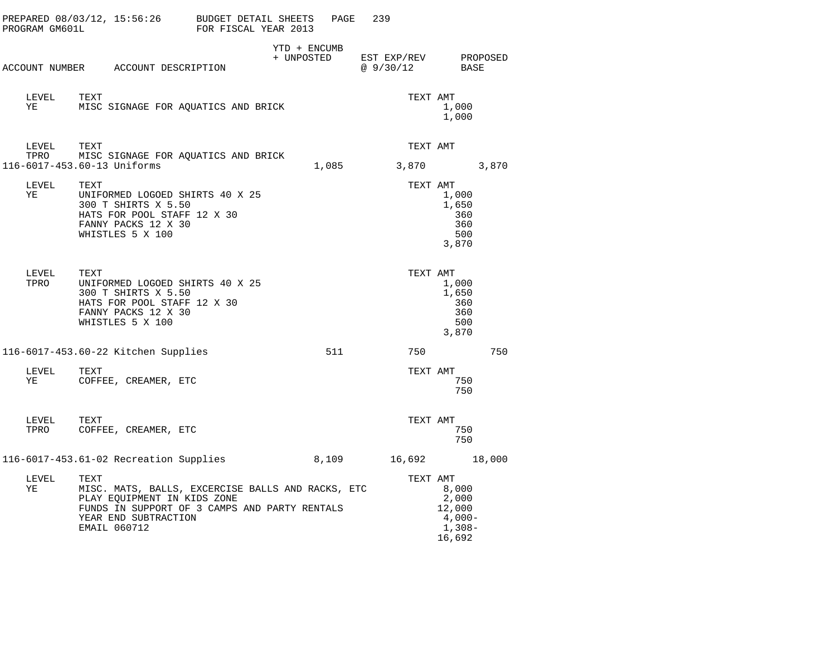| PROGRAM GM601L | PREPARED 08/03/12, 15:56:26                                                                                                                                                       | BUDGET DETAIL SHEETS<br>FOR FISCAL YEAR 2013 |                            | PAGE  | 239                      |                                                          |          |
|----------------|-----------------------------------------------------------------------------------------------------------------------------------------------------------------------------------|----------------------------------------------|----------------------------|-------|--------------------------|----------------------------------------------------------|----------|
|                | ACCOUNT NUMBER ACCOUNT DESCRIPTION                                                                                                                                                |                                              | YTD + ENCUMB<br>+ UNPOSTED |       | EST EXP/REV<br>@ 9/30/12 | BASE                                                     | PROPOSED |
| LEVEL<br>YE    | TEXT<br>MISC SIGNAGE FOR AQUATICS AND BRICK                                                                                                                                       |                                              |                            |       | TEXT AMT                 | 1,000<br>1,000                                           |          |
| LEVEL          | TEXT<br>TPRO MISC SIGNAGE FOR AQUATICS AND BRICK<br>116-6017-453.60-13 Uniforms                                                                                                   |                                              |                            | 1,085 | TEXT AMT<br>3,870        |                                                          | 3,870    |
| LEVEL<br>ΥE    | TEXT<br>UNIFORMED LOGOED SHIRTS 40 X 25<br>300 T SHIRTS X 5.50<br>HATS FOR POOL STAFF 12 X 30<br>FANNY PACKS 12 X 30<br>WHISTLES 5 X 100                                          |                                              |                            |       | TEXT AMT                 | 1,000<br>1,650<br>360<br>360<br>500<br>3,870             |          |
| LEVEL<br>TPRO  | TEXT<br>UNIFORMED LOGOED SHIRTS 40 X 25<br>300 T SHIRTS X 5.50<br>HATS FOR POOL STAFF 12 X 30<br>FANNY PACKS 12 X 30<br>WHISTLES 5 X 100                                          |                                              |                            |       | TEXT AMT                 | 1,000<br>1,650<br>360<br>360<br>500<br>3,870             |          |
|                | 116-6017-453.60-22 Kitchen Supplies                                                                                                                                               |                                              |                            | 511   | 750                      |                                                          | 750      |
| LEVEL<br>YE    | TEXT<br>COFFEE, CREAMER, ETC                                                                                                                                                      |                                              |                            |       | TEXT AMT                 | 750<br>750                                               |          |
| LEVEL<br>TPRO  | TEXT<br>COFFEE, CREAMER, ETC                                                                                                                                                      |                                              |                            |       | TEXT AMT                 | 750<br>750                                               |          |
|                | 116-6017-453.61-02 Recreation Supplies                                                                                                                                            |                                              |                            |       | 8,109 16,692             |                                                          | 18,000   |
| LEVEL<br>YE    | TEXT<br>MISC. MATS, BALLS, EXCERCISE BALLS AND RACKS, ETC<br>PLAY EQUIPMENT IN KIDS ZONE<br>FUNDS IN SUPPORT OF 3 CAMPS AND PARTY RENTALS<br>YEAR END SUBTRACTION<br>EMAIL 060712 |                                              |                            |       | TEXT AMT                 | 8,000<br>2,000<br>12,000<br>4,000-<br>$1,308-$<br>16,692 |          |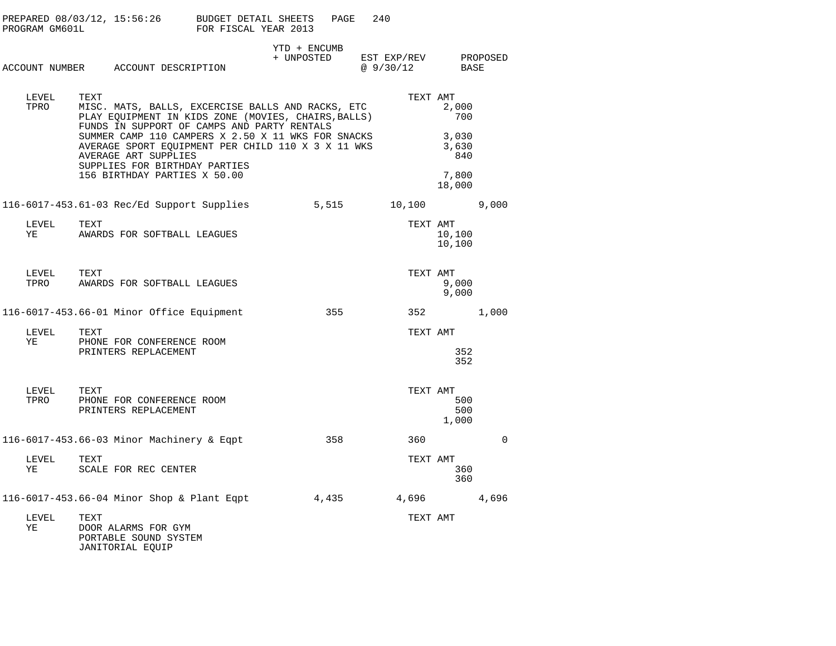| PROGRAM GM601L | PREPARED 08/03/12, 15:56:26 BUDGET DETAIL SHEETS                                                                                                                  | FOR FISCAL YEAR 2013 | PAGE                                            | 240      |                                 |          |
|----------------|-------------------------------------------------------------------------------------------------------------------------------------------------------------------|----------------------|-------------------------------------------------|----------|---------------------------------|----------|
|                | ACCOUNT NUMBER ACCOUNT DESCRIPTION                                                                                                                                |                      | YTD + ENCUMB<br>+ UNPOSTED EST EXP/REV PROPOSED | @9/30/12 | BASE                            |          |
| LEVEL<br>TPRO  | TEXT<br>MISC. MATS, BALLS, EXCERCISE BALLS AND RACKS, ETC<br>PLAY EQUIPMENT IN KIDS ZONE (MOVIES, CHAIRS, BALLS)<br>FUNDS IN SUPPORT OF CAMPS AND PARTY RENTALS   |                      |                                                 | TEXT AMT | 2,000<br>700                    |          |
|                | SUMMER CAMP 110 CAMPERS X 2.50 X 11 WKS FOR SNACKS<br>AVERAGE SPORT EQUIPMENT PER CHILD 110 X 3 X 11 WKS<br>AVERAGE ART SUPPLIES<br>SUPPLIES FOR BIRTHDAY PARTIES |                      |                                                 |          | 3,030<br>3,630<br>840           |          |
|                | 156 BIRTHDAY PARTIES X 50.00                                                                                                                                      |                      |                                                 |          | 7,800<br>18,000                 |          |
|                | 116-6017-453.61-03 Rec/Ed Support Supplies                                                                                                                        |                      | 5,515                                           | 10,100   |                                 | 9,000    |
| LEVEL<br>YE    | TEXT<br>AWARDS FOR SOFTBALL LEAGUES                                                                                                                               |                      |                                                 | TEXT AMT | 10,100<br>10,100                |          |
| LEVEL<br>TPRO  | TEXT<br>AWARDS FOR SOFTBALL LEAGUES                                                                                                                               |                      |                                                 | TEXT AMT | 9,000<br>9,000                  |          |
|                | 116-6017-453.66-01 Minor Office Equipment                                                                                                                         |                      | 355                                             |          | 352                             | 1,000    |
| LEVEL<br>YE    | TEXT<br>PHONE FOR CONFERENCE ROOM<br>PRINTERS REPLACEMENT                                                                                                         |                      |                                                 | TEXT AMT | 352<br>352                      |          |
| LEVEL<br>TPRO  | TEXT<br>PHONE FOR CONFERENCE ROOM<br>PRINTERS REPLACEMENT                                                                                                         |                      |                                                 |          | TEXT AMT<br>500<br>500<br>1,000 |          |
|                | 116-6017-453.66-03 Minor Machinery & Eqpt                                                                                                                         |                      | 358                                             | 360      |                                 | $\Omega$ |
| LEVEL<br>ΥE    | TEXT<br>SCALE FOR REC CENTER                                                                                                                                      |                      |                                                 | TEXT AMT | 360<br>360                      |          |
|                | 116-6017-453.66-04 Minor Shop & Plant Eqpt                                                                                                                        |                      | 4,435 4,696                                     |          |                                 | 4,696    |
| LEVEL<br>ΥE    | TEXT<br>DOOR ALARMS FOR GYM<br>PORTABLE SOUND SYSTEM<br>JANITORIAL EQUIP                                                                                          |                      |                                                 | TEXT AMT |                                 |          |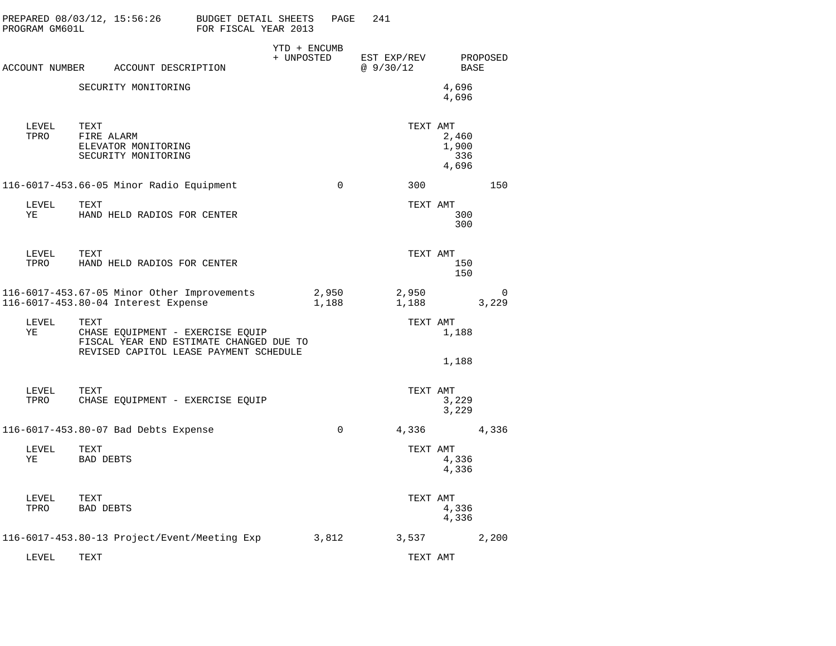| PROGRAM GM601L | PREPARED 08/03/12, 15:56:26                                                                                                   | BUDGET DETAIL SHEETS<br>FOR FISCAL YEAR 2013 |                            | PAGE           | 241                      |                                |                   |
|----------------|-------------------------------------------------------------------------------------------------------------------------------|----------------------------------------------|----------------------------|----------------|--------------------------|--------------------------------|-------------------|
|                | ACCOUNT NUMBER ACCOUNT DESCRIPTION                                                                                            |                                              | YTD + ENCUMB<br>+ UNPOSTED |                | EST EXP/REV<br>@ 9/30/12 | <b>BASE</b>                    | PROPOSED          |
|                | SECURITY MONITORING                                                                                                           |                                              |                            |                |                          | 4,696<br>4,696                 |                   |
| LEVEL<br>TPRO  | TEXT<br>FIRE ALARM<br>ELEVATOR MONITORING<br>SECURITY MONITORING                                                              |                                              |                            |                | TEXT AMT                 | 2,460<br>1,900<br>336<br>4,696 |                   |
|                | 116-6017-453.66-05 Minor Radio Equipment                                                                                      |                                              |                            | $\Omega$       | 300                      |                                | 150               |
| LEVEL<br>ΥE    | TEXT<br>HAND HELD RADIOS FOR CENTER                                                                                           |                                              |                            |                | TEXT AMT                 | 300<br>300                     |                   |
| LEVEL<br>TPRO  | TEXT<br>HAND HELD RADIOS FOR CENTER                                                                                           |                                              |                            |                | TEXT AMT                 | 150<br>150                     |                   |
|                | 116-6017-453.67-05 Minor Other Improvements<br>116-6017-453.80-04 Interest Expense                                            |                                              |                            | 2,950<br>1,188 | 2,950<br>1,188           |                                | $\Omega$<br>3,229 |
| LEVEL<br>ΥE    | TEXT<br>CHASE EQUIPMENT - EXERCISE EQUIP<br>FISCAL YEAR END ESTIMATE CHANGED DUE TO<br>REVISED CAPITOL LEASE PAYMENT SCHEDULE |                                              |                            |                | TEXT AMT                 | 1,188<br>1,188                 |                   |
| LEVEL<br>TPRO  | TEXT<br>CHASE EQUIPMENT - EXERCISE EQUIP                                                                                      |                                              |                            |                | TEXT AMT                 | 3,229<br>3,229                 |                   |
|                | 116-6017-453.80-07 Bad Debts Expense                                                                                          |                                              |                            | $\mathbf 0$    | 4,336                    |                                | 4,336             |
| LEVEL<br>ΥE    | TEXT<br><b>BAD DEBTS</b>                                                                                                      |                                              |                            |                | TEXT AMT                 | 4,336<br>4,336                 |                   |
| LEVEL<br>TPRO  | TEXT<br><b>BAD DEBTS</b>                                                                                                      |                                              |                            |                | TEXT AMT                 | 4,336<br>4,336                 |                   |
|                | 116-6017-453.80-13 Project/Event/Meeting Exp                                                                                  |                                              |                            | 3,812          | 3,537                    |                                | 2,200             |
| LEVEL          | TEXT                                                                                                                          |                                              |                            |                | TEXT AMT                 |                                |                   |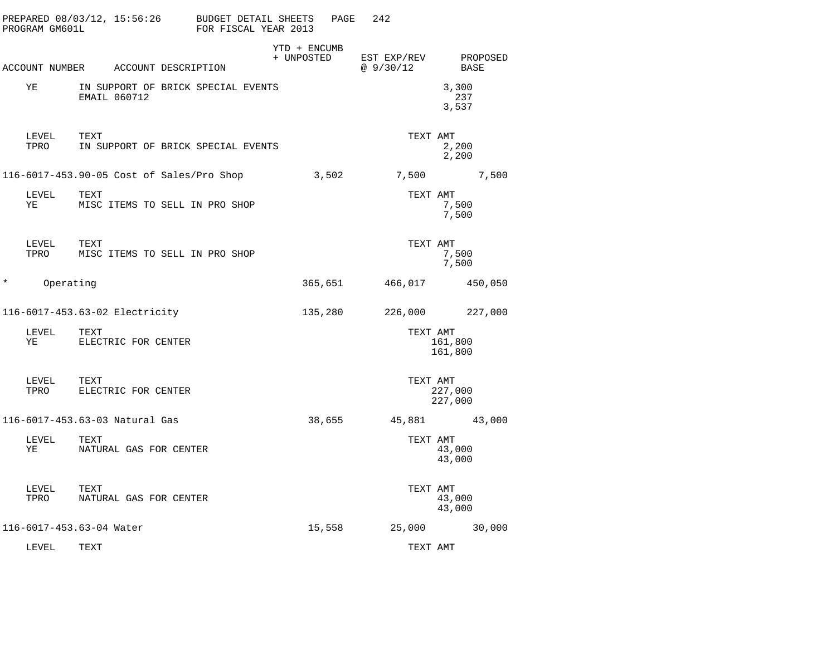|          | PROGRAM GM601L | PREPARED 08/03/12, 15:56:26                        | BUDGET DETAIL SHEETS<br>FOR FISCAL YEAR 2013 |                            | PAGE | 242                     |                         |
|----------|----------------|----------------------------------------------------|----------------------------------------------|----------------------------|------|-------------------------|-------------------------|
|          |                | ACCOUNT NUMBER ACCOUNT DESCRIPTION                 |                                              | YTD + ENCUMB<br>+ UNPOSTED |      | EST EXP/REV<br>@9/30/12 | PROPOSED<br><b>BASE</b> |
|          | ΥE             | IN SUPPORT OF BRICK SPECIAL EVENTS<br>EMAIL 060712 |                                              |                            |      |                         | 3,300<br>237<br>3,537   |
|          | LEVEL<br>TPRO  | TEXT<br>IN SUPPORT OF BRICK SPECIAL EVENTS         |                                              |                            |      | TEXT AMT                | 2,200<br>2,200          |
|          |                | 116-6017-453.90-05 Cost of Sales/Pro Shop          |                                              | 3,502                      |      | 7,500                   | 7,500                   |
|          | LEVEL<br>ΥE    | TEXT<br>MISC ITEMS TO SELL IN PRO SHOP             |                                              |                            |      | TEXT AMT                | 7,500<br>7,500          |
|          | LEVEL<br>TPRO  | TEXT<br>MISC ITEMS TO SELL IN PRO SHOP             |                                              |                            |      | TEXT AMT                | 7,500<br>7,500          |
| $^\star$ | Operating      |                                                    |                                              | 365,651                    |      | 466,017                 | 450,050                 |
|          |                | 116-6017-453.63-02 Electricity                     |                                              | 135,280                    |      | 226,000                 | 227,000                 |
|          | LEVEL<br>ΥE    | TEXT<br>ELECTRIC FOR CENTER                        |                                              |                            |      | TEXT AMT                | 161,800<br>161,800      |
|          | LEVEL<br>TPRO  | TEXT<br>ELECTRIC FOR CENTER                        |                                              |                            |      | TEXT AMT                | 227,000<br>227,000      |
|          |                | 116-6017-453.63-03 Natural Gas                     |                                              | 38,655                     |      |                         | 45,881 43,000           |
|          | LEVEL<br>ΥE    | TEXT<br>NATURAL GAS FOR CENTER                     |                                              |                            |      | TEXT AMT                | 43,000<br>43,000        |
|          | LEVEL<br>TPRO  | TEXT<br>NATURAL GAS FOR CENTER                     |                                              |                            |      | TEXT AMT                | 43,000<br>43,000        |
|          |                | 116-6017-453.63-04 Water                           |                                              | 15,558                     |      | 25,000                  | 30,000                  |
|          | LEVEL          | TEXT                                               |                                              |                            |      | TEXT AMT                |                         |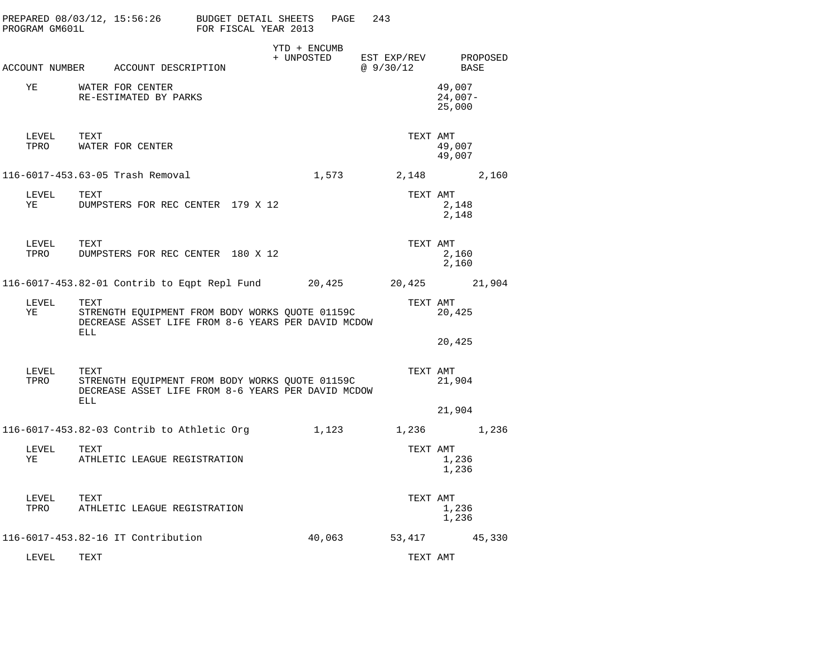| PREPARED 08/03/12, 15:56:26<br>PROGRAM GM601L |                    |                                            | BUDGET DETAIL SHEETS<br>FOR FISCAL YEAR 2013                                                          |                            | PAGE<br>243                       |                               |  |
|-----------------------------------------------|--------------------|--------------------------------------------|-------------------------------------------------------------------------------------------------------|----------------------------|-----------------------------------|-------------------------------|--|
|                                               |                    | ACCOUNT NUMBER ACCOUNT DESCRIPTION         |                                                                                                       | YTD + ENCUMB<br>+ UNPOSTED | EST EXP/REV PROPOSED<br>@ 9/30/12 | BASE                          |  |
|                                               |                    |                                            |                                                                                                       |                            |                                   |                               |  |
| YE                                            |                    | WATER FOR CENTER<br>RE-ESTIMATED BY PARKS  |                                                                                                       |                            |                                   | 49,007<br>$24,007-$<br>25,000 |  |
| LEVEL<br>TPRO                                 | TEXT               | WATER FOR CENTER                           |                                                                                                       |                            |                                   | TEXT AMT<br>49,007<br>49,007  |  |
|                                               |                    | 116-6017-453.63-05 Trash Removal           |                                                                                                       | 1,573                      |                                   | 2,148 2,160                   |  |
| LEVEL<br>YE                                   | TEXT               |                                            | DUMPSTERS FOR REC CENTER 179 X 12                                                                     |                            |                                   | TEXT AMT<br>2,148<br>2,148    |  |
| LEVEL<br>TPRO                                 | TEXT               |                                            | DUMPSTERS FOR REC CENTER 180 X 12                                                                     |                            |                                   | TEXT AMT<br>2,160<br>2,160    |  |
|                                               |                    |                                            | 116-6017-453.82-01 Contrib to Eqpt Repl Fund 20,425                                                   |                            | 20,425 21,904                     |                               |  |
| LEVEL<br>ΥE                                   | TEXT<br><b>ELL</b> |                                            | STRENGTH EQUIPMENT FROM BODY WORKS QUOTE 01159C<br>DECREASE ASSET LIFE FROM 8-6 YEARS PER DAVID MCDOW |                            |                                   | TEXT AMT<br>20,425<br>20,425  |  |
| LEVEL<br>TPRO                                 | TEXT<br>ELL        |                                            | STRENGTH EQUIPMENT FROM BODY WORKS QUOTE 01159C<br>DECREASE ASSET LIFE FROM 8-6 YEARS PER DAVID MCDOW |                            |                                   | TEXT AMT<br>21,904<br>21,904  |  |
|                                               |                    | 116-6017-453.82-03 Contrib to Athletic Org |                                                                                                       | 1,123                      |                                   | 1,236 1,236                   |  |
| LEVEL<br>YE                                   | TEXT               | ATHLETIC LEAGUE REGISTRATION               |                                                                                                       |                            |                                   | TEXT AMT<br>1,236<br>1,236    |  |
| LEVEL<br>TPRO                                 | TEXT               | ATHLETIC LEAGUE REGISTRATION               |                                                                                                       |                            |                                   | TEXT AMT<br>1,236<br>1,236    |  |
|                                               |                    | 116-6017-453.82-16 IT Contribution         |                                                                                                       | 40,063                     |                                   | 53,417 45,330                 |  |
| LEVEL                                         | TEXT               |                                            |                                                                                                       |                            |                                   | TEXT AMT                      |  |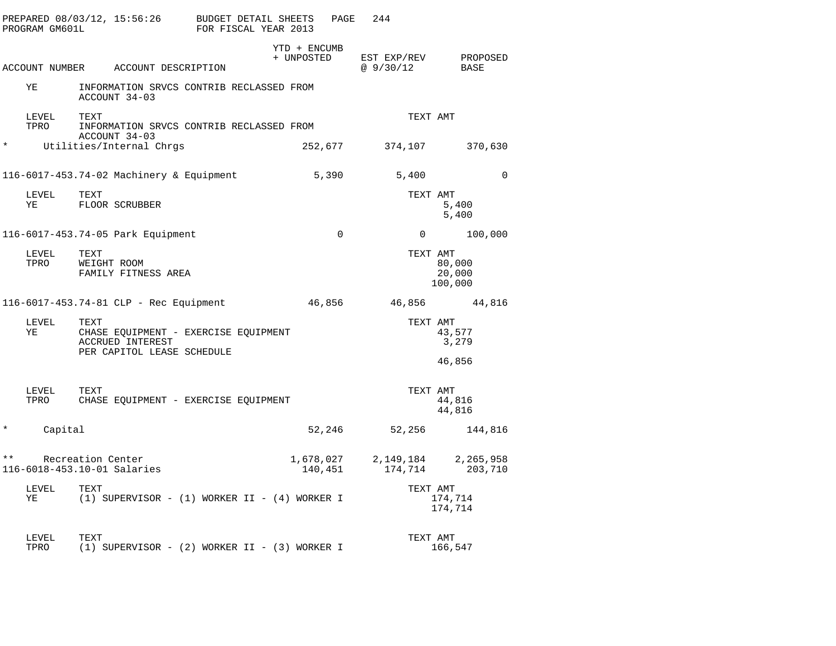|          | PROGRAM GM601L |                                                                                                | PREPARED 08/03/12, 15:56:26 BUDGET DETAIL SHEETS<br>FOR FISCAL YEAR 2013 | PAGE         | 244                                                                                                                |                             |
|----------|----------------|------------------------------------------------------------------------------------------------|--------------------------------------------------------------------------|--------------|--------------------------------------------------------------------------------------------------------------------|-----------------------------|
|          |                | ACCOUNT NUMBER ACCOUNT DESCRIPTION                                                             | + UNPOSTED                                                               | YTD + ENCUMB | EST EXP/REV<br>@ 9/30/12                                                                                           | PROPOSED<br>BASE            |
|          | ΥE             | ACCOUNT 34-03                                                                                  | INFORMATION SRVCS CONTRIB RECLASSED FROM                                 |              |                                                                                                                    |                             |
|          | LEVEL<br>TPRO  | TEXT<br>ACCOUNT 34-03                                                                          | INFORMATION SRVCS CONTRIB RECLASSED FROM                                 |              | TEXT AMT                                                                                                           |                             |
| $\star$  |                | Utilities/Internal Chrgs                                                                       |                                                                          | 252,677      | 374,107                                                                                                            | 370,630                     |
|          |                | 116-6017-453.74-02 Machinery & Equipment                                                       |                                                                          | 5,390        | 5,400                                                                                                              | $\Omega$                    |
|          | LEVEL<br>ΥE    | TEXT<br>FLOOR SCRUBBER                                                                         |                                                                          |              | TEXT AMT                                                                                                           | 5,400<br>5,400              |
|          |                | 116-6017-453.74-05 Park Equipment                                                              |                                                                          | $\mathbf 0$  | $\overline{0}$                                                                                                     | 100,000                     |
|          | LEVEL<br>TPRO  | TEXT<br>WEIGHT ROOM<br>FAMILY FITNESS AREA                                                     |                                                                          |              | TEXT AMT                                                                                                           | 80,000<br>20,000<br>100,000 |
|          |                | 116-6017-453.74-81 CLP - Rec Equipment                                                         |                                                                          | 46,856       |                                                                                                                    | 46,856 44,816               |
|          | LEVEL<br>ΥE    | TEXT<br>CHASE EQUIPMENT - EXERCISE EQUIPMENT<br>ACCRUED INTEREST<br>PER CAPITOL LEASE SCHEDULE |                                                                          |              | TEXT AMT                                                                                                           | 43,577<br>3,279             |
|          |                |                                                                                                |                                                                          |              |                                                                                                                    | 46,856                      |
|          | LEVEL<br>TPRO  | TEXT<br>CHASE EQUIPMENT - EXERCISE EQUIPMENT                                                   |                                                                          |              | TEXT AMT                                                                                                           | 44,816<br>44,816            |
| $^\star$ | Capital        |                                                                                                |                                                                          | 52,246       | 52,256                                                                                                             | 144,816                     |
| $***$    |                | Recreation Center<br>116-6018-453.10-01 Salaries                                               |                                                                          |              | $\begin{array}{cccc} 1,678\,,027 & 2\,,149\,,184 & 2\,,265\,,958 \\ 140\,,451 & 174\,,714 & 203\,,710 \end{array}$ |                             |
|          | LEVEL<br>YE    | TEXT                                                                                           | $(1)$ SUPERVISOR - $(1)$ WORKER II - $(4)$ WORKER I                      |              | TEXT AMT                                                                                                           | 174,714<br>174,714          |
|          | LEVEL<br>TPRO  | TEXT                                                                                           | $(1)$ SUPERVISOR - $(2)$ WORKER II - $(3)$ WORKER I                      |              | TEXT AMT                                                                                                           | 166,547                     |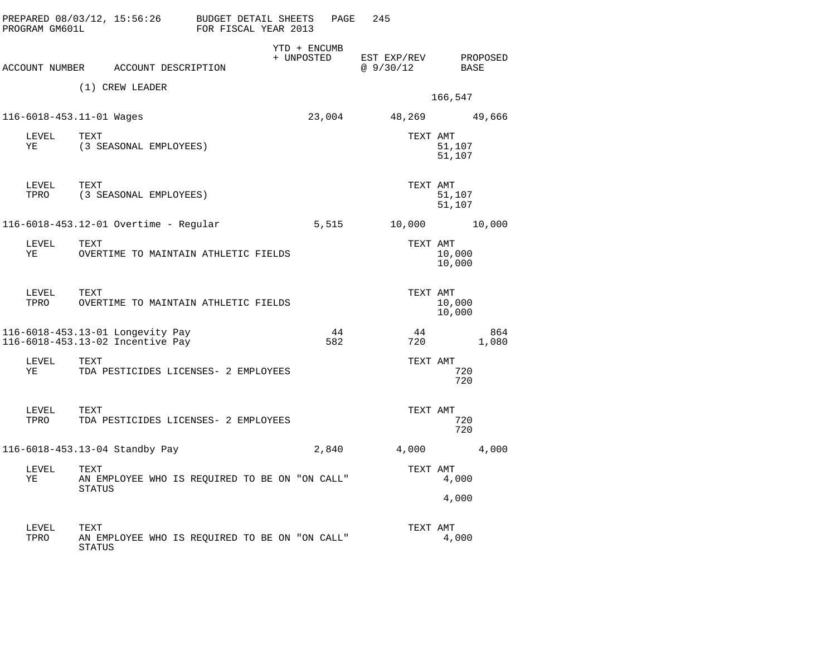| PROGRAM GM601L |                          | PREPARED 08/03/12, 15:56:26                                          | BUDGET DETAIL SHEETS<br>FOR FISCAL YEAR 2013 |                            | PAGE      | 245                     |                  |              |
|----------------|--------------------------|----------------------------------------------------------------------|----------------------------------------------|----------------------------|-----------|-------------------------|------------------|--------------|
|                |                          | ACCOUNT NUMBER ACCOUNT DESCRIPTION                                   |                                              | YTD + ENCUMB<br>+ UNPOSTED |           | EST EXP/REV<br>@9/30/12 | BASE             | PROPOSED     |
|                |                          | (1) CREW LEADER                                                      |                                              |                            |           |                         | 166,547          |              |
|                | 116-6018-453.11-01 Wages |                                                                      |                                              |                            | 23,004    |                         | 48,269 49,666    |              |
| LEVEL<br>ΥE    | TEXT                     | (3 SEASONAL EMPLOYEES)                                               |                                              |                            |           | TEXT AMT                | 51,107<br>51,107 |              |
| LEVEL<br>TPRO  | TEXT                     | (3 SEASONAL EMPLOYEES)                                               |                                              |                            |           | TEXT AMT                | 51,107<br>51,107 |              |
|                |                          | 116-6018-453.12-01 Overtime - Regular                                |                                              |                            | 5,515     | 10,000                  |                  | 10,000       |
| LEVEL<br>ΥE    | TEXT                     | OVERTIME TO MAINTAIN ATHLETIC FIELDS                                 |                                              |                            |           | TEXT AMT                | 10,000<br>10,000 |              |
| LEVEL<br>TPRO  | TEXT                     | OVERTIME TO MAINTAIN ATHLETIC FIELDS                                 |                                              |                            |           | TEXT AMT                | 10,000<br>10,000 |              |
|                |                          | 116-6018-453.13-01 Longevity Pay<br>116-6018-453.13-02 Incentive Pay |                                              |                            | 44<br>582 | 44<br>720               |                  | 864<br>1,080 |
| LEVEL<br>ΥE    | TEXT                     | TDA PESTICIDES LICENSES- 2 EMPLOYEES                                 |                                              |                            |           | TEXT AMT                | 720<br>720       |              |
| LEVEL<br>TPRO  | TEXT                     | TDA PESTICIDES LICENSES- 2 EMPLOYEES                                 |                                              |                            |           | TEXT AMT                | 720<br>720       |              |
|                |                          | 116-6018-453.13-04 Standby Pay                                       |                                              |                            | 2,840     | 4,000                   |                  | 4,000        |
| LEVEL<br>ΥE    | TEXT<br><b>STATUS</b>    | AN EMPLOYEE WHO IS REQUIRED TO BE ON "ON CALL"                       |                                              |                            |           | TEXT AMT                | 4,000<br>4,000   |              |
| LEVEL<br>TPRO  | TEXT<br>STATUS           | AN EMPLOYEE WHO IS REQUIRED TO BE ON "ON CALL"                       |                                              |                            |           | TEXT AMT                | 4,000            |              |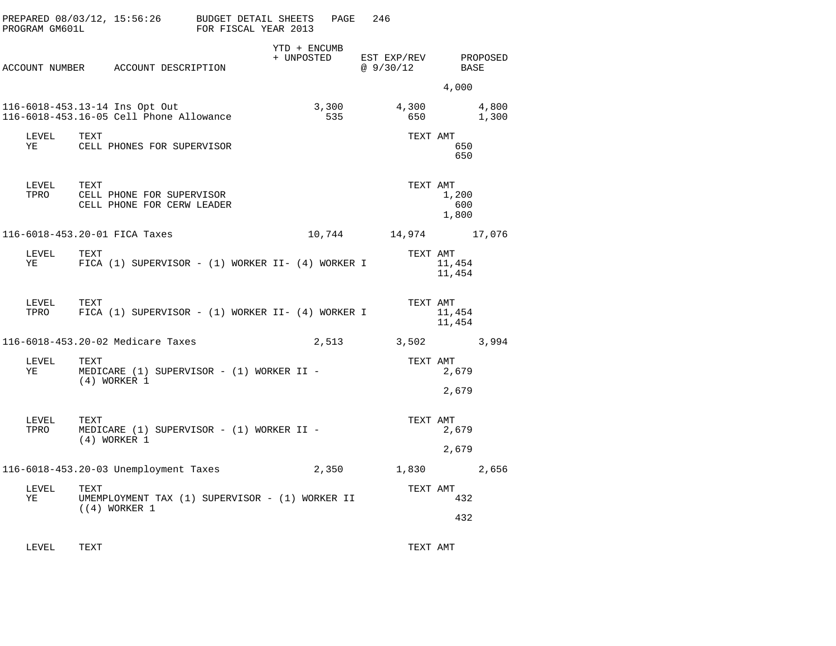| PREPARED 08/03/12, 15:56:26 BUDGET DETAIL SHEETS<br>PROGRAM GM601L        | FOR FISCAL YEAR 2013                                    | PAGE                       | 246                               |                       |
|---------------------------------------------------------------------------|---------------------------------------------------------|----------------------------|-----------------------------------|-----------------------|
| ACCOUNT NUMBER ACCOUNT DESCRIPTION                                        |                                                         | YTD + ENCUMB<br>+ UNPOSTED | EST EXP/REV PROPOSED<br>@ 9/30/12 | BASE                  |
|                                                                           |                                                         |                            |                                   | 4,000                 |
| 116-6018-453.13-14 Ins Opt Out<br>116-6018-453.16-05 Cell Phone Allowance |                                                         | 3,300<br>535               | 4,300<br>650                      | 4,800<br>1,300        |
| <b>TEXT</b><br>LEVEL<br>YE                                                | CELL PHONES FOR SUPERVISOR                              |                            | TEXT AMT                          | 650<br>650            |
| TEXT<br>LEVEL<br>TPRO                                                     | CELL PHONE FOR SUPERVISOR<br>CELL PHONE FOR CERW LEADER |                            | TEXT AMT                          | 1,200<br>600<br>1,800 |
| 116-6018-453.20-01 FICA Taxes                                             |                                                         |                            | 10,744 14,974 17,076              |                       |
| TEXT<br>LEVEL<br>YE                                                       | FICA (1) SUPERVISOR - (1) WORKER II- (4) WORKER I       |                            | TEXT AMT                          | 11,454<br>11,454      |
| LEVEL<br>TEXT<br>TPRO                                                     | FICA $(1)$ SUPERVISOR - $(1)$ WORKER II- $(4)$ WORKER I |                            | TEXT AMT                          | 11,454<br>11,454      |
| 116-6018-453.20-02 Medicare Taxes                                         |                                                         | 2,513                      | 3,502                             | 3,994                 |
| LEVEL<br>TEXT<br>YE<br>$(4)$ WORKER 1                                     | MEDICARE $(1)$ SUPERVISOR - $(1)$ WORKER II -           |                            | TEXT AMT                          | 2,679                 |
|                                                                           |                                                         |                            |                                   | 2,679                 |
| LEVEL<br>TEXT<br>TPRO<br>$(4)$ WORKER 1                                   | MEDICARE (1) SUPERVISOR - (1) WORKER II -               |                            | TEXT AMT                          | 2,679                 |
|                                                                           |                                                         |                            |                                   | 2,679                 |
| 116-6018-453.20-03 Unemployment Taxes                                     |                                                         | 2,350                      | 1,830                             | 2,656                 |
| LEVEL<br>TEXT<br>ΥE<br>$(4)$ WORKER 1                                     | UMEMPLOYMENT TAX (1) SUPERVISOR - (1) WORKER II         |                            | TEXT AMT                          | 432                   |
|                                                                           |                                                         |                            |                                   | 432                   |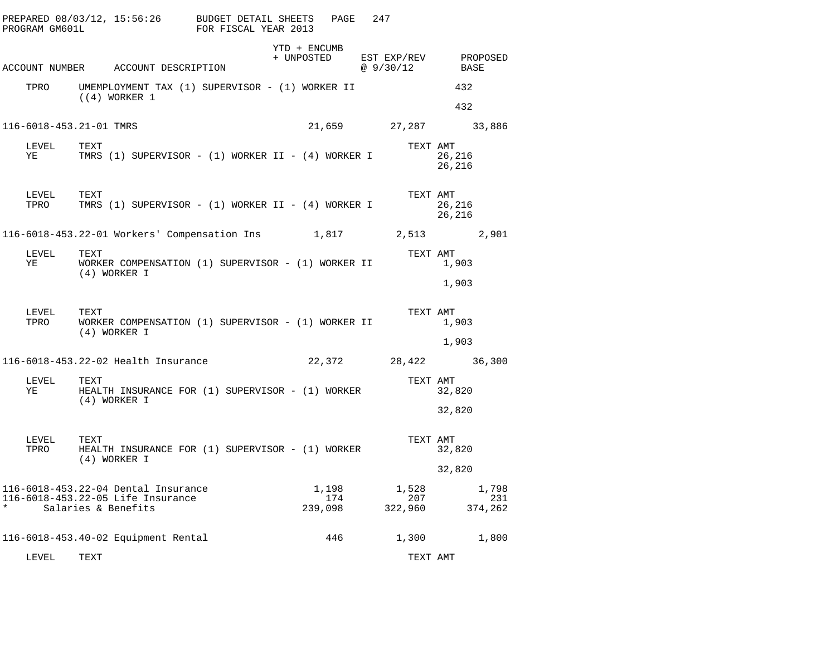| PREPARED 08/03/12, 15:56:26 BUDGET DETAIL SHEETS<br>PROGRAM GM601L                  |                      | FOR FISCAL YEAR 2013                               |                            | PAGE                    | 247                               |                         |                         |                         |
|-------------------------------------------------------------------------------------|----------------------|----------------------------------------------------|----------------------------|-------------------------|-----------------------------------|-------------------------|-------------------------|-------------------------|
| ACCOUNT NUMBER ACCOUNT DESCRIPTION                                                  |                      |                                                    | YTD + ENCUMB<br>+ UNPOSTED |                         | EST EXP/REV PROPOSED<br>@ 9/30/12 |                         | BASE                    |                         |
| TPRO                                                                                |                      | UMEMPLOYMENT TAX (1) SUPERVISOR - (1) WORKER II    |                            |                         |                                   |                         | 432                     |                         |
|                                                                                     | $(4)$ WORKER 1       |                                                    |                            |                         |                                   |                         | 432                     |                         |
| 116-6018-453.21-01 TMRS                                                             |                      |                                                    |                            | 21,659                  |                                   |                         | 27,287 33,886           |                         |
| LEVEL<br>YE                                                                         | TEXT                 | TMRS (1) SUPERVISOR - (1) WORKER II - (4) WORKER I |                            |                         |                                   | TEXT AMT                | 26,216<br>26,216        |                         |
| LEVEL<br>TPRO                                                                       | TEXT                 | TMRS (1) SUPERVISOR - (1) WORKER II - (4) WORKER I |                            |                         |                                   | TEXT AMT                | 26,216<br>26,216        |                         |
|                                                                                     |                      |                                                    |                            |                         |                                   |                         |                         | 2,901                   |
| LEVEL<br>YE                                                                         | TEXT<br>(4) WORKER I | WORKER COMPENSATION (1) SUPERVISOR - (1) WORKER II |                            |                         |                                   | TEXT AMT                | 1,903                   |                         |
| LEVEL<br>TPRO                                                                       | TEXT<br>(4) WORKER I | WORKER COMPENSATION (1) SUPERVISOR - (1) WORKER II |                            |                         |                                   | TEXT AMT                | 1,903<br>1,903<br>1,903 |                         |
| 116-6018-453.22-02 Health Insurance                                                 |                      |                                                    |                            | 22,372                  |                                   |                         | 28,422 36,300           |                         |
| LEVEL<br>YE                                                                         | TEXT<br>(4) WORKER I | HEALTH INSURANCE FOR (1) SUPERVISOR - (1) WORKER   |                            |                         |                                   | TEXT AMT                | 32,820                  |                         |
|                                                                                     |                      |                                                    |                            |                         |                                   |                         | 32,820                  |                         |
| LEVEL<br>TPRO                                                                       | TEXT<br>(4) WORKER I | HEALTH INSURANCE FOR (1) SUPERVISOR - (1) WORKER   |                            |                         |                                   | TEXT AMT                | 32,820                  |                         |
|                                                                                     |                      |                                                    |                            |                         |                                   |                         | 32,820                  |                         |
| 116-6018-453.22-04 Dental Insurance<br>116-6018-453.22-05 Life Insurance<br>$\star$ | Salaries & Benefits  |                                                    |                            | 1,198<br>174<br>239,098 |                                   | 1,528<br>207<br>322,960 |                         | 1,798<br>231<br>374,262 |
| 116-6018-453.40-02 Equipment Rental                                                 |                      |                                                    |                            | 446                     |                                   | 1,300                   |                         | 1,800                   |
| LEVEL                                                                               | TEXT                 |                                                    |                            |                         |                                   | TEXT AMT                |                         |                         |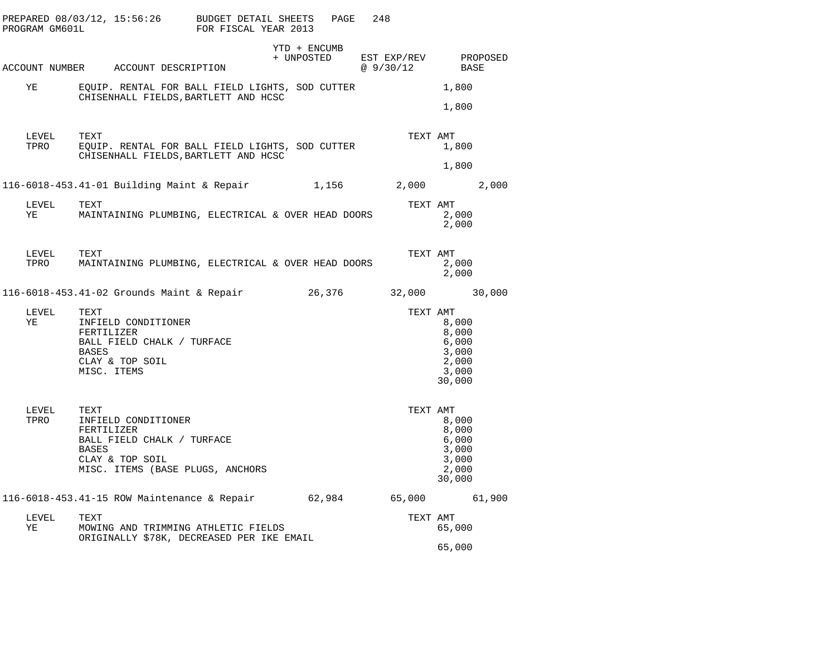| PROGRAM GM601L | PREPARED 08/03/12, 15:56:26 BUDGET DETAIL SHEETS                                                                                        | FOR FISCAL YEAR 2013 | PAGE<br>248            |           |                                                              |
|----------------|-----------------------------------------------------------------------------------------------------------------------------------------|----------------------|------------------------|-----------|--------------------------------------------------------------|
|                | ACCOUNT NUMBER ACCOUNT DESCRIPTION                                                                                                      | YTD + ENCUMB         | + UNPOSTED EST EXP/REV | @ 9/30/12 | PROPOSED<br>BASE                                             |
| ΥE             | EQUIP. RENTAL FOR BALL FIELD LIGHTS, SOD CUTTER<br>CHISENHALL FIELDS, BARTLETT AND HCSC                                                 |                      |                        |           | 1,800<br>1,800                                               |
| LEVEL<br>TPRO  | TEXT<br>EQUIP. RENTAL FOR BALL FIELD LIGHTS, SOD CUTTER<br>CHISENHALL FIELDS, BARTLETT AND HCSC                                         |                      |                        | TEXT AMT  | 1,800<br>1,800                                               |
|                | 116-6018-453.41-01 Building Maint & Repair                                                                                              |                      | 1,156                  | 2,000     | 2,000                                                        |
| LEVEL<br>YE    | TEXT<br>MAINTAINING PLUMBING, ELECTRICAL & OVER HEAD DOORS                                                                              |                      |                        | TEXT AMT  | 2,000<br>2,000                                               |
| LEVEL<br>TPRO  | TEXT<br>MAINTAINING PLUMBING, ELECTRICAL & OVER HEAD DOORS                                                                              |                      |                        | TEXT AMT  | 2,000<br>2,000                                               |
|                | 116-6018-453.41-02 Grounds Maint & Repair 26,376                                                                                        |                      |                        | 32,000    | 30,000                                                       |
| LEVEL<br>ΥE    | TEXT<br>INFIELD CONDITIONER<br>FERTILIZER<br>BALL FIELD CHALK / TURFACE<br>BASES<br>CLAY & TOP SOIL<br>MISC. ITEMS                      |                      |                        | TEXT AMT  | 8,000<br>8,000<br>6,000<br>3,000<br>2,000<br>3,000<br>30,000 |
| LEVEL<br>TPRO  | TEXT<br>INFIELD CONDITIONER<br>FERTILIZER<br>BALL FIELD CHALK / TURFACE<br>BASES<br>CLAY & TOP SOIL<br>MISC. ITEMS (BASE PLUGS, ANCHORS |                      |                        | TEXT AMT  | 8,000<br>8,000<br>6,000<br>3,000<br>3,000<br>2,000<br>30,000 |
|                | 116-6018-453.41-15 ROW Maintenance & Repair 62,984 65,000                                                                               |                      |                        |           | 61,900                                                       |
| LEVEL<br>ΥE    | TEXT<br>MOWING AND TRIMMING ATHLETIC FIELDS<br>ORIGINALLY \$78K, DECREASED PER IKE EMAIL                                                |                      |                        | TEXT AMT  | 65,000                                                       |
|                |                                                                                                                                         |                      |                        |           | 65,000                                                       |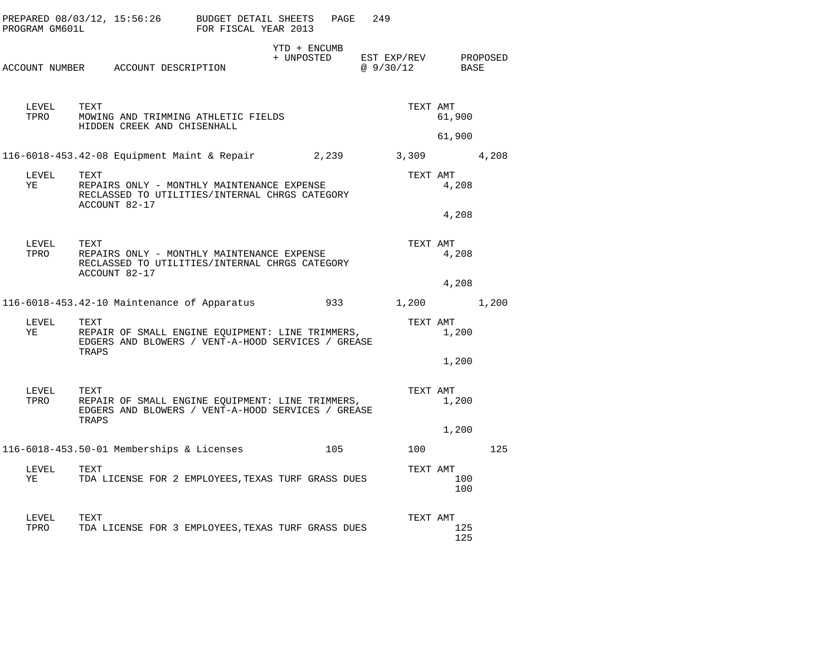| PROGRAM GM601L | PREPARED $08/03/12$ , $15:56:26$ BUDGET DETAIL SHEETS                                                                                                                      | FOR FISCAL YEAR 2013 |                            | PAGE | 249 |                                     |                |     |
|----------------|----------------------------------------------------------------------------------------------------------------------------------------------------------------------------|----------------------|----------------------------|------|-----|-------------------------------------|----------------|-----|
|                | ACCOUNT NUMBER ACCOUNT DESCRIPTION                                                                                                                                         |                      | YTD + ENCUMB<br>+ UNPOSTED |      |     | $EST$ EXP/REV PROPOSED<br>@ 9/30/12 | BASE           |     |
| LEVEL<br>TPRO  | TEXT<br>MOWING AND TRIMMING ATHLETIC FIELDS<br>HIDDEN CREEK AND CHISENHALL                                                                                                 |                      |                            |      |     | TEXT AMT                            | 61,900         |     |
|                |                                                                                                                                                                            |                      |                            |      |     |                                     | 61,900         |     |
| LEVEL<br>YE    | 116-6018-453.42-08 Equipment Maint & Repair 2,239<br>TEXT<br>REPAIRS ONLY - MONTHLY MAINTENANCE EXPENSE<br>RECLASSED TO UTILITIES/INTERNAL CHRGS CATEGORY<br>ACCOUNT 82-17 |                      |                            |      |     | 3,309 4,208<br>TEXT AMT             | 4,208<br>4,208 |     |
| LEVEL<br>TPRO  | TEXT<br>REPAIRS ONLY - MONTHLY MAINTENANCE EXPENSE<br>RECLASSED TO UTILITIES/INTERNAL CHRGS CATEGORY<br>ACCOUNT 82-17                                                      |                      |                            |      |     | TEXT AMT                            | 4,208<br>4,208 |     |
|                | 116-6018-453.42-10 Maintenance of Apparatus                                                                                                                                |                      |                            |      |     | 933 1,200 1,200                     |                |     |
| LEVEL<br>YE    | TEXT<br>REPAIR OF SMALL ENGINE EQUIPMENT: LINE TRIMMERS,<br>EDGERS AND BLOWERS / VENT-A-HOOD SERVICES / GREASE<br>TRAPS                                                    |                      |                            |      |     | TEXT AMT                            | 1,200          |     |
|                |                                                                                                                                                                            |                      |                            |      |     |                                     | 1,200          |     |
| LEVEL<br>TPRO  | TEXT<br>REPAIR OF SMALL ENGINE EQUIPMENT: LINE TRIMMERS,<br>EDGERS AND BLOWERS / VENT-A-HOOD SERVICES / GREASE<br>TRAPS                                                    |                      |                            |      |     | TEXT AMT                            | 1,200          |     |
|                |                                                                                                                                                                            |                      |                            |      |     |                                     | 1,200          |     |
|                | 116-6018-453.50-01 Memberships & Licenses                                                                                                                                  |                      |                            | 105  |     | 100                                 |                | 125 |
| LEVEL<br>YE    | TEXT<br>TDA LICENSE FOR 2 EMPLOYEES, TEXAS TURF GRASS DUES                                                                                                                 |                      |                            |      |     | TEXT AMT                            | 100<br>100     |     |
| LEVEL<br>TPRO  | TEXT<br>TDA LICENSE FOR 3 EMPLOYEES, TEXAS TURF GRASS DUES                                                                                                                 |                      |                            |      |     | TEXT AMT                            | 125<br>125     |     |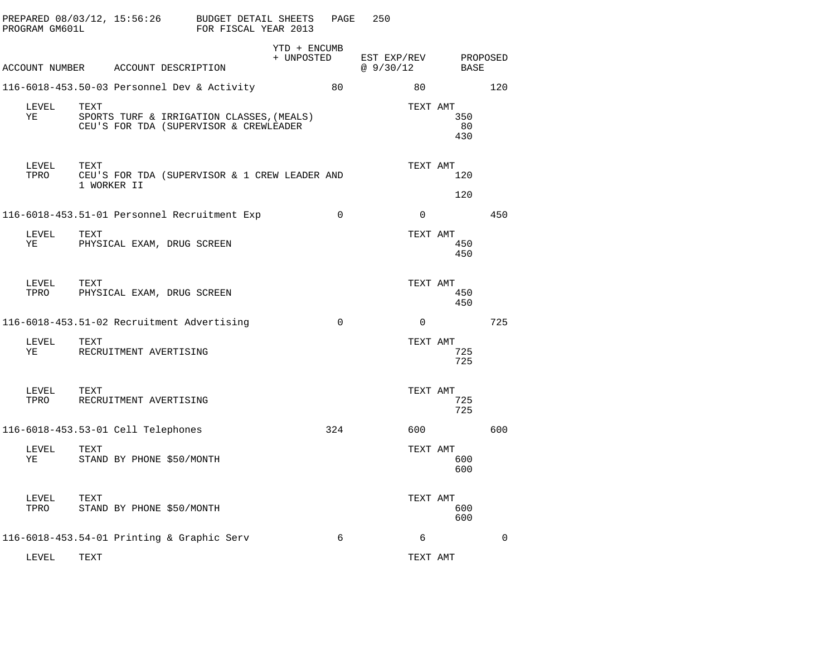| PROGRAM GM601L |                     | PREPARED 08/03/12, 15:56:26        | BUDGET DETAIL SHEETS<br>FOR FISCAL YEAR 2013                                        |                            | PAGE        | 250                      |          |                  |             |
|----------------|---------------------|------------------------------------|-------------------------------------------------------------------------------------|----------------------------|-------------|--------------------------|----------|------------------|-------------|
|                |                     |                                    | ACCOUNT NUMBER ACCOUNT DESCRIPTION                                                  | YTD + ENCUMB<br>+ UNPOSTED |             | EST EXP/REV<br>@ 9/30/12 |          | BASE             | PROPOSED    |
|                |                     |                                    | 116-6018-453.50-03 Personnel Dev & Activity                                         |                            | 80          |                          | 80       |                  | 120         |
| LEVEL<br>ΥE    | TEXT                |                                    | SPORTS TURF & IRRIGATION CLASSES, (MEALS)<br>CEU'S FOR TDA (SUPERVISOR & CREWLEADER |                            |             |                          | TEXT AMT | 350<br>80<br>430 |             |
| LEVEL<br>TPRO  | TEXT<br>1 WORKER II |                                    | CEU'S FOR TDA (SUPERVISOR & 1 CREW LEADER AND                                       |                            |             |                          | TEXT AMT | 120<br>120       |             |
|                |                     |                                    | 116-6018-453.51-01 Personnel Recruitment Exp                                        |                            | $\mathbf 0$ |                          | 0        |                  | 450         |
| LEVEL<br>ΥE    | TEXT                |                                    | PHYSICAL EXAM, DRUG SCREEN                                                          |                            |             |                          | TEXT AMT | 450<br>450       |             |
| LEVEL<br>TPRO  | TEXT                |                                    | PHYSICAL EXAM, DRUG SCREEN                                                          |                            |             |                          | TEXT AMT | 450<br>450       |             |
|                |                     |                                    | 116-6018-453.51-02 Recruitment Advertising                                          |                            | $\Omega$    |                          | $\Omega$ |                  | 725         |
| LEVEL<br>ΥE    | TEXT                | RECRUITMENT AVERTISING             |                                                                                     |                            |             |                          | TEXT AMT | 725<br>725       |             |
| LEVEL<br>TPRO  | TEXT                | RECRUITMENT AVERTISING             |                                                                                     |                            |             |                          | TEXT AMT | 725<br>725       |             |
|                |                     | 116-6018-453.53-01 Cell Telephones |                                                                                     |                            | 324         |                          | 600      |                  | 600         |
| LEVEL<br>ΥE    | TEXT                | STAND BY PHONE \$50/MONTH          |                                                                                     |                            |             |                          | TEXT AMT | 600<br>600       |             |
| LEVEL<br>TPRO  | TEXT                | STAND BY PHONE \$50/MONTH          |                                                                                     |                            |             |                          | TEXT AMT | 600<br>600       |             |
|                |                     |                                    | 116-6018-453.54-01 Printing & Graphic Serv                                          |                            | 6           |                          | 6        |                  | $\mathbf 0$ |
| LEVEL          | TEXT                |                                    |                                                                                     |                            |             |                          | TEXT AMT |                  |             |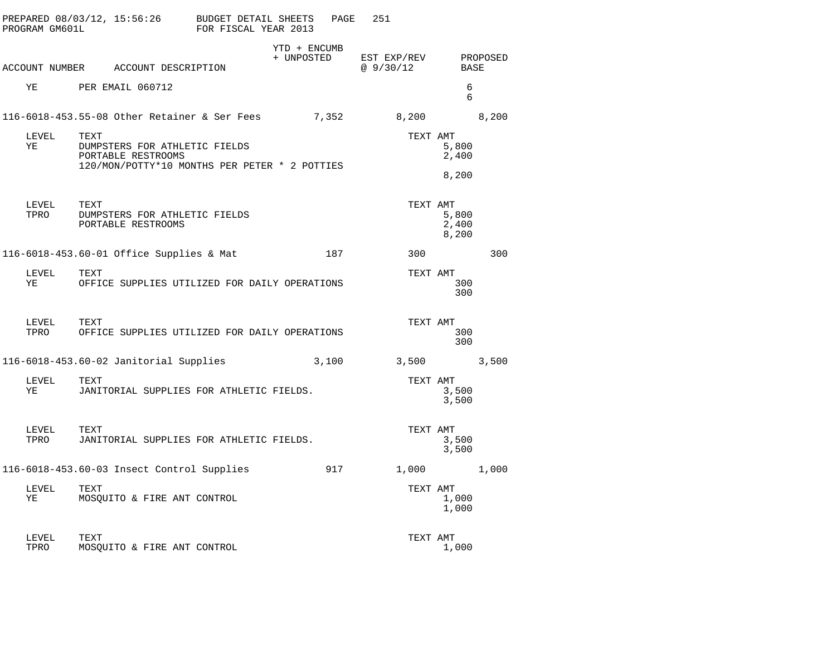| PROGRAM GM601L |      | PREPARED 08/03/12, 15:56:26                                                                          | BUDGET DETAIL SHEETS<br>FOR FISCAL YEAR 2013 |                            | PAGE  | 251                     |                         |          |
|----------------|------|------------------------------------------------------------------------------------------------------|----------------------------------------------|----------------------------|-------|-------------------------|-------------------------|----------|
|                |      | ACCOUNT NUMBER ACCOUNT DESCRIPTION                                                                   |                                              | YTD + ENCUMB<br>+ UNPOSTED |       | EST EXP/REV<br>@9/30/12 | BASE                    | PROPOSED |
| ΥE             |      | PER EMAIL 060712                                                                                     |                                              |                            |       |                         | 6<br>6                  |          |
|                |      | 116-6018-453.55-08 Other Retainer & Ser Fees                                                         |                                              | 7,352                      |       | 8,200                   |                         | 8,200    |
| LEVEL<br>ΥE    | TEXT | DUMPSTERS FOR ATHLETIC FIELDS<br>PORTABLE RESTROOMS<br>120/MON/POTTY*10 MONTHS PER PETER * 2 POTTIES |                                              |                            |       | TEXT AMT                | 5,800<br>2,400          |          |
|                |      |                                                                                                      |                                              |                            |       |                         | 8,200                   |          |
| LEVEL<br>TPRO  | TEXT | DUMPSTERS FOR ATHLETIC FIELDS<br>PORTABLE RESTROOMS                                                  |                                              |                            |       | TEXT AMT                | 5,800<br>2,400<br>8,200 |          |
|                |      | 116-6018-453.60-01 Office Supplies & Mat                                                             |                                              |                            | 187   | 300                     |                         | 300      |
| LEVEL<br>ΥE    | TEXT | OFFICE SUPPLIES UTILIZED FOR DAILY OPERATIONS                                                        |                                              |                            |       | TEXT AMT                | 300<br>300              |          |
| LEVEL<br>TPRO  | TEXT | OFFICE SUPPLIES UTILIZED FOR DAILY OPERATIONS                                                        |                                              |                            |       | TEXT AMT                | 300<br>300              |          |
|                |      | 116-6018-453.60-02 Janitorial Supplies                                                               |                                              |                            | 3,100 | 3,500                   |                         | 3,500    |
| LEVEL<br>ΥE    | TEXT | JANITORIAL SUPPLIES FOR ATHLETIC FIELDS.                                                             |                                              |                            |       | TEXT AMT                | 3,500<br>3,500          |          |
| LEVEL<br>TPRO  | TEXT | JANITORIAL SUPPLIES FOR ATHLETIC FIELDS.                                                             |                                              |                            |       | TEXT AMT                | 3,500<br>3,500          |          |
|                |      | 116-6018-453.60-03 Insect Control Supplies                                                           |                                              |                            | 917   | 1,000                   |                         | 1,000    |
| LEVEL<br>ΥE    | TEXT | MOSQUITO & FIRE ANT CONTROL                                                                          |                                              |                            |       | TEXT AMT                | 1,000<br>1,000          |          |
| LEVEL<br>TPRO  | TEXT | MOSQUITO & FIRE ANT CONTROL                                                                          |                                              |                            |       | TEXT AMT                | 1,000                   |          |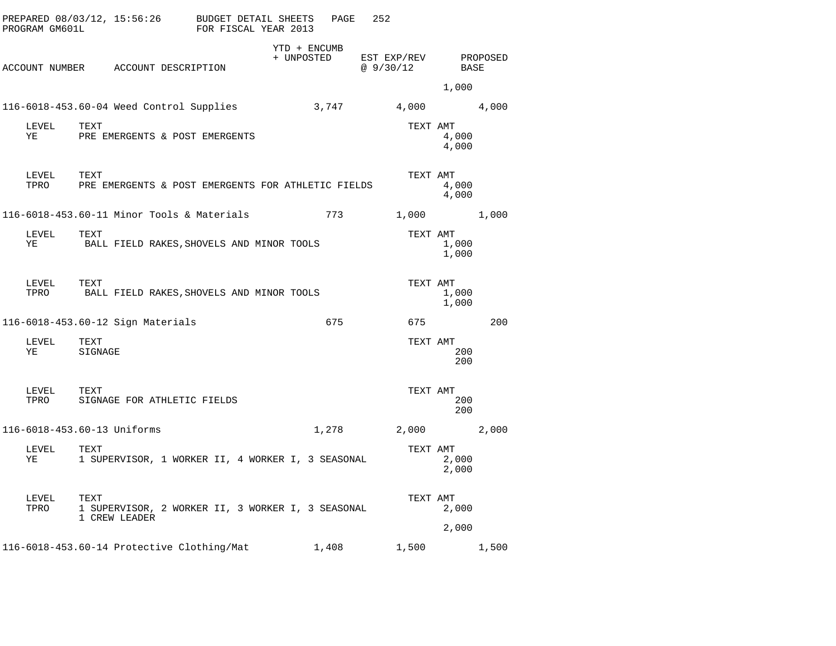| PROGRAM GM601L     | PREPARED 08/03/12, 15:56:26 BUDGET DETAIL SHEETS                           | FOR FISCAL YEAR 2013 |                            | PAGE | 252                              |                |       |
|--------------------|----------------------------------------------------------------------------|----------------------|----------------------------|------|----------------------------------|----------------|-------|
|                    | ACCOUNT NUMBER ACCOUNT DESCRIPTION                                         |                      | YTD + ENCUMB<br>+ UNPOSTED |      | EST EXP/REV PROPOSED<br>@9/30/12 | BASE           |       |
|                    |                                                                            |                      |                            |      |                                  | 1,000          |       |
|                    | 116-6018-453.60-04 Weed Control Supplies                                   |                      |                            |      | 3,747 4,000 4,000                |                |       |
| LEVEL<br>YE        | TEXT<br>PRE EMERGENTS & POST EMERGENTS                                     |                      |                            |      | TEXT AMT                         | 4,000<br>4,000 |       |
| LEVEL<br>TPRO      | TEXT<br>PRE EMERGENTS & POST EMERGENTS FOR ATHLETIC FIELDS                 |                      |                            |      | TEXT AMT                         | 4,000<br>4,000 |       |
|                    | 116-6018-453.60-11 Minor Tools & Materials                                 |                      |                            | 773  | 1,000 1,000                      |                |       |
| LEVEL<br>YE        | TEXT<br>BALL FIELD RAKES, SHOVELS AND MINOR TOOLS                          |                      |                            |      | TEXT AMT                         | 1,000<br>1,000 |       |
| LEVEL<br>TPRO      | TEXT<br>BALL FIELD RAKES,SHOVELS AND MINOR TOOLS                           |                      |                            |      | TEXT AMT                         | 1,000<br>1,000 |       |
|                    | 116-6018-453.60-12 Sign Materials                                          |                      |                            | 675  |                                  | 675 — 100      | 200   |
| LEVEL<br>ΥE        | TEXT<br>SIGNAGE                                                            |                      |                            |      | TEXT AMT                         | 200<br>200     |       |
| LEVEL TEXT<br>TPRO | SIGNAGE FOR ATHLETIC FIELDS                                                |                      |                            |      | TEXT AMT                         | 200<br>200     |       |
|                    | 116-6018-453.60-13 Uniforms                                                |                      |                            |      | 1,278 2,000                      |                | 2,000 |
| LEVEL<br>ΥE        | TEXT<br>1 SUPERVISOR, 1 WORKER II, 4 WORKER I, 3 SEASONAL                  |                      |                            |      | TEXT AMT                         | 2,000<br>2,000 |       |
| LEVEL<br>TPRO      | TEXT<br>1 SUPERVISOR, 2 WORKER II, 3 WORKER I, 3 SEASONAL<br>1 CREW LEADER |                      |                            |      | TEXT AMT                         | 2,000<br>2,000 |       |
|                    | 116-6018-453.60-14 Protective Clothing/Mat 1,408                           |                      |                            |      | 1,500                            |                | 1,500 |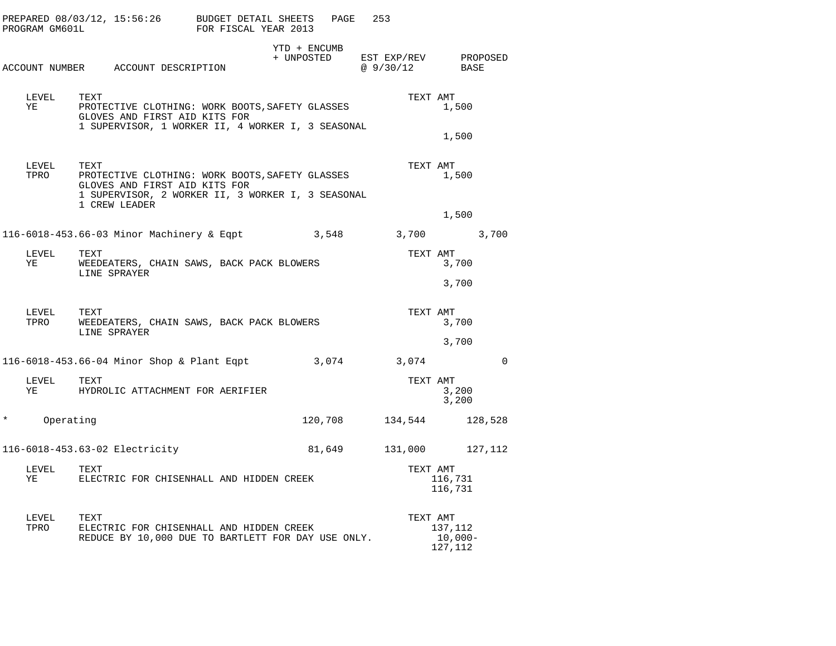| PROGRAM GM601L     | PREPARED 08/03/12, 15:56:26 BUDGET DETAIL SHEETS<br>FOR FISCAL YEAR 2013                                                                      | PAGE                                                                                                 | 253                                    |                               |  |  |
|--------------------|-----------------------------------------------------------------------------------------------------------------------------------------------|------------------------------------------------------------------------------------------------------|----------------------------------------|-------------------------------|--|--|
|                    | ACCOUNT NUMBER ACCOUNT DESCRIPTION                                                                                                            | YTD + ENCUMB<br>+ UNPOSTED                                                                           | EST EXP/REV PROPOSED<br>@ 9/30/12 BASE |                               |  |  |
| LEVEL<br>YE        | TEXT<br>PROTECTIVE CLOTHING: WORK BOOTS, SAFETY GLASSES<br>GLOVES AND FIRST AID KITS FOR<br>1 SUPERVISOR, 1 WORKER II, 4 WORKER I, 3 SEASONAL |                                                                                                      | TEXT AMT                               | 1,500<br>1,500                |  |  |
| LEVEL<br>TPRO      | TEXT<br>GLOVES AND FIRST AID KITS FOR<br>1 CREW LEADER                                                                                        | PROTECTIVE CLOTHING: WORK BOOTS, SAFETY GLASSES<br>1 SUPERVISOR, 2 WORKER II, 3 WORKER I, 3 SEASONAL |                                        | TEXT AMT<br>1,500             |  |  |
|                    |                                                                                                                                               |                                                                                                      |                                        | 1,500                         |  |  |
|                    | 116-6018-453.66-03 Minor Machinery & Eqpt 3,548 3,700 3,700                                                                                   |                                                                                                      |                                        |                               |  |  |
| LEVEL<br>YE TARITI | TEXT                                                                                                                                          | WEEDEATERS, CHAIN SAWS, BACK PACK BLOWERS<br>LINE SPRAYER                                            |                                        |                               |  |  |
|                    |                                                                                                                                               |                                                                                                      |                                        | 3,700                         |  |  |
|                    | TEXT<br>LEVEL<br>TPRO<br>WEEDEATERS, CHAIN SAWS, BACK PACK BLOWERS<br>LINE SPRAYER                                                            |                                                                                                      |                                        | TEXT AMT<br>3,700             |  |  |
|                    |                                                                                                                                               |                                                                                                      |                                        | 3,700                         |  |  |
|                    | 116-6018-453.66-04 Minor Shop & Plant Eqpt 3,074 3,074                                                                                        |                                                                                                      |                                        | $\mathbf 0$                   |  |  |
| LEVEL<br>YE        | TEXT<br>HYDROLIC ATTACHMENT FOR AERIFIER                                                                                                      |                                                                                                      | TEXT AMT                               | 3,200<br>3,200                |  |  |
| $\star$            | Operating                                                                                                                                     | 120,708                                                                                              |                                        | 134,544 128,528               |  |  |
|                    | 116-6018-453.63-02 Electricity                                                                                                                | 81,649                                                                                               | 131,000                                | 127,112                       |  |  |
| LEVEL<br>YE        | TEXT<br>ELECTRIC FOR CHISENHALL AND HIDDEN CREEK                                                                                              |                                                                                                      | TEXT AMT                               | 116,731<br>116,731            |  |  |
| LEVEL<br>TPRO      | TEXT<br>ELECTRIC FOR CHISENHALL AND HIDDEN CREEK<br>REDUCE BY 10,000 DUE TO BARTLETT FOR DAY USE ONLY.                                        |                                                                                                      | TEXT AMT                               | 137,112<br>10,000-<br>127,112 |  |  |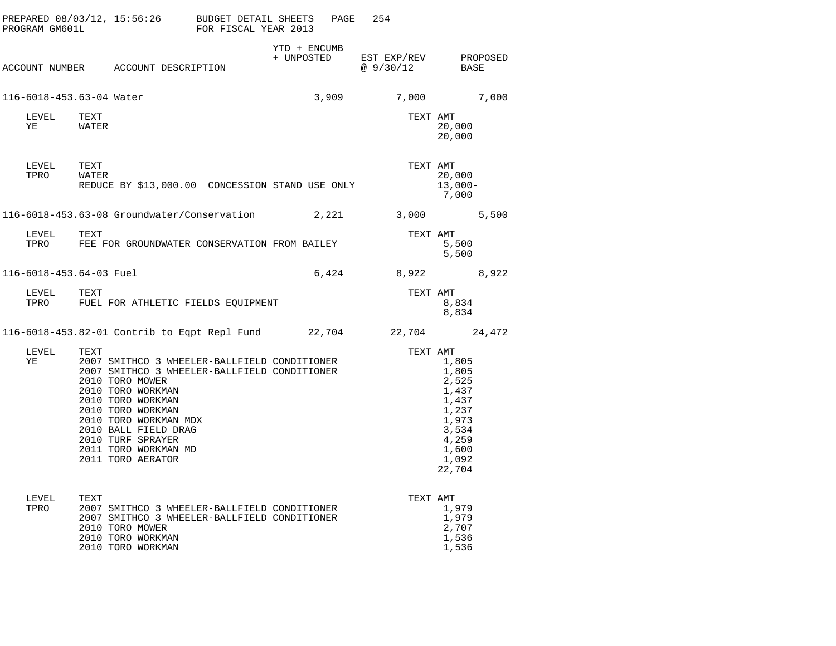| PROGRAM GM601L           | PREPARED $08/03/12$ , 15:56:26 BUDGET DETAIL SHEETS                                                                                                                                                                                                                                                       | FOR FISCAL YEAR 2013 |              | 254<br>PAGE                                       |                                                                                                           |
|--------------------------|-----------------------------------------------------------------------------------------------------------------------------------------------------------------------------------------------------------------------------------------------------------------------------------------------------------|----------------------|--------------|---------------------------------------------------|-----------------------------------------------------------------------------------------------------------|
|                          | ACCOUNT NUMBER ACCOUNT DESCRIPTION                                                                                                                                                                                                                                                                        |                      | YTD + ENCUMB | + UNPOSTED EST EXP/REV PROPOSED<br>@ 9/30/12 BASE |                                                                                                           |
| 116-6018-453.63-04 Water |                                                                                                                                                                                                                                                                                                           |                      |              | 3,909                                             | 7,000 7,000                                                                                               |
| LEVEL<br>YE              | TEXT<br>WATER                                                                                                                                                                                                                                                                                             |                      |              | TEXT AMT                                          | 20,000<br>20,000                                                                                          |
| LEVEL<br>TPRO            | TEXT<br>WATER<br>REDUCE BY \$13,000.00 CONCESSION STAND USE ONLY                                                                                                                                                                                                                                          |                      |              | TEXT AMT                                          | 20,000<br>$13,000-$<br>7,000                                                                              |
|                          |                                                                                                                                                                                                                                                                                                           |                      |              |                                                   | 5,500                                                                                                     |
| LEVEL<br>TPRO            | TEXT<br>FEE FOR GROUNDWATER CONSERVATION FROM BAILEY                                                                                                                                                                                                                                                      |                      |              | TEXT AMT                                          | 5,500<br>5,500                                                                                            |
| 116-6018-453.64-03 Fuel  |                                                                                                                                                                                                                                                                                                           |                      |              | 6,424 8,922 8,922                                 |                                                                                                           |
| LEVEL<br>TPRO            | TEXT<br>FUEL FOR ATHLETIC FIELDS EQUIPMENT                                                                                                                                                                                                                                                                |                      |              | TEXT AMT                                          | 8,834<br>8,834                                                                                            |
|                          | 116-6018-453.82-01 Contrib to Eqpt Repl Fund 22,704 22,704 24,472                                                                                                                                                                                                                                         |                      |              |                                                   |                                                                                                           |
| LEVEL<br>ΥE              | TEXT<br>2007 SMITHCO 3 WHEELER-BALLFIELD CONDITIONER<br>2007 SMITHCO 3 WHEELER-BALLFIELD CONDITIONER<br>2010 TORO MOWER<br>2010 TORO WORKMAN<br>2010 TORO WORKMAN<br>2010 TORO WORKMAN<br>2010 TORO WORKMAN MDX<br>2010 BALL FIELD DRAG<br>2010 TURF SPRAYER<br>2011 TORO WORKMAN MD<br>2011 TORO AERATOR |                      |              | TEXT AMT                                          | 1,805<br>1,805<br>2,525<br>1,437<br>1,437<br>1,237<br>1,973<br>3,534<br>4,259<br>1,600<br>1,092<br>22,704 |
| LEVEL<br>TPRO            | TEXT<br>2007 SMITHCO 3 WHEELER-BALLFIELD CONDITIONER<br>2007 SMITHCO 3 WHEELER-BALLFIELD CONDITIONER<br>2010 TORO MOWER<br>2010 TORO WORKMAN<br>2010 TORO WORKMAN                                                                                                                                         |                      |              | TEXT AMT                                          | 1,979<br>1,979<br>2,707<br>1,536<br>1,536                                                                 |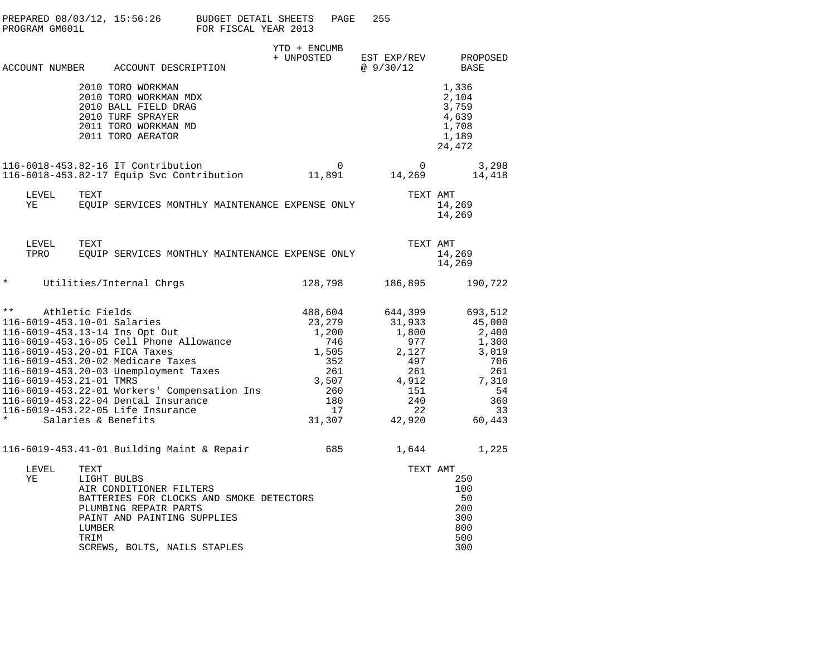| PREPARED 08/03/12, 15:56:26 BUDGET DETAIL SHEETS<br>PROGRAM GM601L                                                                                                                                                                                                                                                                                                                                                            |                        |                                                                                                                                                                            | FOR FISCAL YEAR 2013 |                             | PAGE                                                             | 255 |                                                                                                 |                                                                 |                                 |
|-------------------------------------------------------------------------------------------------------------------------------------------------------------------------------------------------------------------------------------------------------------------------------------------------------------------------------------------------------------------------------------------------------------------------------|------------------------|----------------------------------------------------------------------------------------------------------------------------------------------------------------------------|----------------------|-----------------------------|------------------------------------------------------------------|-----|-------------------------------------------------------------------------------------------------|-----------------------------------------------------------------|---------------------------------|
|                                                                                                                                                                                                                                                                                                                                                                                                                               |                        |                                                                                                                                                                            |                      | YTD + ENCUMB<br>+ UNPOSTED  |                                                                  |     | EST EXP/REV                                                                                     | PROPOSED                                                        |                                 |
| ACCOUNT NUMBER ACCOUNT DESCRIPTION                                                                                                                                                                                                                                                                                                                                                                                            |                        |                                                                                                                                                                            |                      |                             |                                                                  |     | @ 9/30/12                                                                                       | BASE                                                            |                                 |
|                                                                                                                                                                                                                                                                                                                                                                                                                               |                        | 2010 TORO WORKMAN<br>2010 TORO WORKMAN MDX<br>2010 BALL FIELD DRAG<br>2010 TURF SPRAYER<br>2011 TORO WORKMAN MD<br>2011 TORO AERATOR                                       |                      |                             |                                                                  |     |                                                                                                 | 1,336<br>2,104<br>3,759<br>4,639<br>1,708<br>1,189<br>24,472    |                                 |
| 116-6018-453.82-16 IT Contribution<br>116-6018-453.82-17 Equip Svc Contribution 11,891                                                                                                                                                                                                                                                                                                                                        |                        |                                                                                                                                                                            |                      |                             | $\overline{0}$                                                   |     | 14, 269                                                                                         | 3,298<br>14,418                                                 |                                 |
| LEVEL<br>YE                                                                                                                                                                                                                                                                                                                                                                                                                   | TEXT                   | EQUIP SERVICES MONTHLY MAINTENANCE EXPENSE ONLY                                                                                                                            |                      |                             |                                                                  |     | TEXT AMT                                                                                        | 14,269<br>14,269                                                |                                 |
| LEVEL<br>TPRO                                                                                                                                                                                                                                                                                                                                                                                                                 | TEXT                   | EQUIP SERVICES MONTHLY MAINTENANCE EXPENSE ONLY                                                                                                                            |                      |                             |                                                                  |     | TEXT AMT                                                                                        | 14,269<br>14,269                                                |                                 |
| $\ast$                                                                                                                                                                                                                                                                                                                                                                                                                        |                        | Utilities/Internal Chrgs                                                                                                                                                   |                      | 128,798                     |                                                                  |     | 186,895                                                                                         | 190,722                                                         |                                 |
| $\star \star$<br>Athletic Fields<br>116-6019-453.10-01 Salaries<br>116-6019-453.13-14 Ins Opt Out<br>116-6019-453.16-05 Cell Phone Allowance<br>116-6019-453.20-01 FICA Taxes<br>116-6019-453.20-02 Medicare Taxes<br>116-6019-453.20-03 Unemployment Taxes<br>116-6019-453.21-01 TMRS<br>116-6019-453.22-01 Workers' Compensation Ins<br>116-6019-453.22-04 Dental Insurance<br>116-6019-453.22-05 Life Insurance<br>$\star$ |                        | Salaries & Benefits                                                                                                                                                        |                      | 488,604<br>23,279<br>31,307 | 1,200<br>746<br>1,505<br>352<br>261<br>3,507<br>260<br>180<br>17 |     | 644,399<br>31,933<br>1,800<br>977<br>2,127<br>497<br>261<br>4,912<br>151<br>240<br>22<br>42,920 | 693,512<br>45,000<br>2,400<br>1,300<br>3,019<br>7,310<br>60,443 | 706<br>261<br>- 54<br>360<br>33 |
| $116-6019-453.41-01$ Building Maint & Repair                                                                                                                                                                                                                                                                                                                                                                                  |                        |                                                                                                                                                                            |                      |                             | 685                                                              |     | 1,644                                                                                           | 1,225                                                           |                                 |
| LEVEL<br>ΥE                                                                                                                                                                                                                                                                                                                                                                                                                   | TEXT<br>LUMBER<br>TRIM | LIGHT BULBS<br>AIR CONDITIONER FILTERS<br>BATTERIES FOR CLOCKS AND SMOKE DETECTORS<br>PLUMBING REPAIR PARTS<br>PAINT AND PAINTING SUPPLIES<br>SCREWS, BOLTS, NAILS STAPLES |                      |                             |                                                                  |     | TEXT AMT                                                                                        | 250<br>100<br>50<br>200<br>300<br>800<br>500<br>300             |                                 |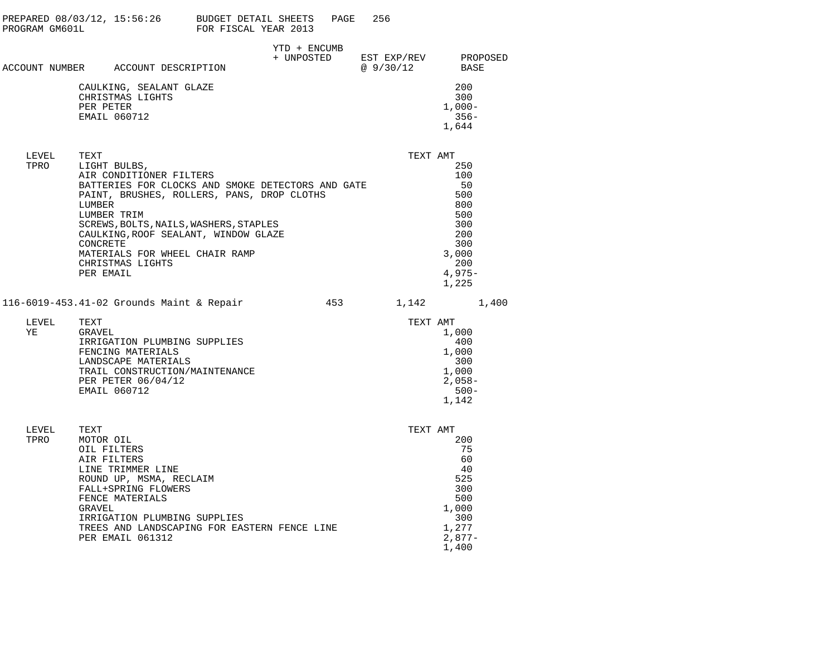| PROGRAM GM601L |                                                                                                                                                                                                                                           | PREPARED 08/03/12, 15:56:26 BUDGET DETAIL SHEETS PAGE<br>FOR FISCAL YEAR 2013                   |     | 256       |                                                                                                 |
|----------------|-------------------------------------------------------------------------------------------------------------------------------------------------------------------------------------------------------------------------------------------|-------------------------------------------------------------------------------------------------|-----|-----------|-------------------------------------------------------------------------------------------------|
|                | ACCOUNT NUMBER ACCOUNT DESCRIPTION                                                                                                                                                                                                        | YTD + ENCUMB                                                                                    |     | @ 9/30/12 | + UNPOSTED EST EXP/REV PROPOSED<br>BASE                                                         |
|                | CAULKING, SEALANT GLAZE<br>CHRISTMAS LIGHTS<br>PER PETER<br>EMAIL 060712                                                                                                                                                                  |                                                                                                 |     |           | 200<br>300<br>$1,000-$<br>$356-$<br>1,644                                                       |
| LEVEL<br>TPRO  | TEXT<br>LIGHT BULBS,<br>AIR CONDITIONER FILTERS<br>LUMBER<br>LUMBER TRIM<br>SCREWS, BOLTS, NAILS, WASHERS, STAPLES<br>CAULKING, ROOF SEALANT, WINDOW GLAZE<br>CONCRETE<br>MATERIALS FOR WHEEL CHAIR RAMP<br>CHRISTMAS LIGHTS<br>PER EMAIL | BATTERIES FOR CLOCKS AND SMOKE DETECTORS AND GATE<br>PAINT, BRUSHES, ROLLERS, PANS, DROP CLOTHS |     | TEXT AMT  | 250<br>100<br>50<br>500<br>800<br>500<br>300<br>200<br>300<br>3,000<br>200<br>$4,975-$<br>1,225 |
|                | 116-6019-453.41-02 Grounds Maint & Repair                                                                                                                                                                                                 |                                                                                                 | 453 |           | 1,142<br>1,400                                                                                  |
| LEVEL<br>YE    | TEXT<br>GRAVEL<br>IRRIGATION PLUMBING SUPPLIES<br>FENCING MATERIALS<br>LANDSCAPE MATERIALS<br>TRAIL CONSTRUCTION/MAINTENANCE<br>PER PETER 06/04/12<br>EMAIL 060712                                                                        |                                                                                                 |     | TEXT AMT  | 1,000<br>-400<br>1,000<br>300<br>1,000<br>$2,058-$<br>$500 -$<br>1,142                          |
| LEVEL<br>TPRO  | TEXT<br>MOTOR OIL<br>OIL FILTERS<br>AIR FILTERS<br>LINE TRIMMER LINE                                                                                                                                                                      |                                                                                                 |     | TEXT AMT  | 200<br>75<br>60<br>40                                                                           |

| AIR FILTERS                                  | 60       |
|----------------------------------------------|----------|
| LINE TRIMMER LINE                            | 40       |
| ROUND UP, MSMA, RECLAIM                      | 525      |
| FALL+SPRING FLOWERS                          | 300      |
| FENCE MATERIALS                              | 500      |
| GRAVEL                                       | 1,000    |
| IRRIGATION PLUMBING SUPPLIES                 | 300      |
| TREES AND LANDSCAPING FOR EASTERN FENCE LINE | 1,277    |
| PER EMAIL 061312                             | $2,877-$ |
|                                              | 1,400    |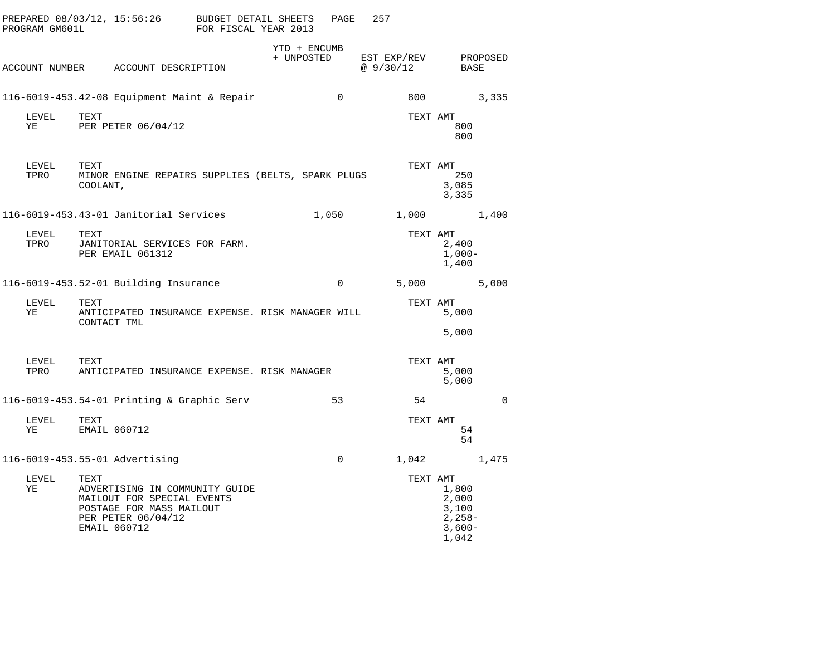| PROGRAM GM601L | PREPARED 08/03/12, 15:56:26 BUDGET DETAIL SHEETS                                                                                       | FOR FISCAL YEAR 2013 |                            | PAGE        | 257                      |                                                          |             |
|----------------|----------------------------------------------------------------------------------------------------------------------------------------|----------------------|----------------------------|-------------|--------------------------|----------------------------------------------------------|-------------|
|                | ACCOUNT NUMBER ACCOUNT DESCRIPTION                                                                                                     |                      | YTD + ENCUMB<br>+ UNPOSTED |             | EST EXP/REV<br>@ 9/30/12 | BASE                                                     | PROPOSED    |
|                | $116-6019-453.42-08$ Equipment Maint & Repair                                                                                          |                      |                            | $\mathbf 0$ | 800                      |                                                          | 3,335       |
| LEVEL<br>ΥE    | TEXT<br>PER PETER 06/04/12                                                                                                             |                      |                            |             | TEXT AMT                 | 800<br>800                                               |             |
| LEVEL<br>TPRO  | TEXT<br>MINOR ENGINE REPAIRS SUPPLIES (BELTS, SPARK PLUGS<br>COOLANT,                                                                  |                      |                            |             | TEXT AMT                 | 250<br>3,085<br>3,335                                    |             |
|                | 116-6019-453.43-01 Janitorial Services                                                                                                 |                      | 1,050                      |             | 1,000                    |                                                          | 1,400       |
| LEVEL<br>TPRO  | TEXT<br>JANITORIAL SERVICES FOR FARM.<br>PER EMAIL 061312                                                                              |                      |                            |             | TEXT AMT                 | 2,400<br>$1,000-$<br>1,400                               |             |
|                | 116-6019-453.52-01 Building Insurance                                                                                                  |                      |                            | $\Omega$    |                          | 5,000                                                    | 5,000       |
| LEVEL<br>ΥE    | TEXT<br>ANTICIPATED INSURANCE EXPENSE. RISK MANAGER WILL<br>CONTACT TML                                                                |                      |                            |             | TEXT AMT                 | 5,000<br>5,000                                           |             |
| LEVEL<br>TPRO  | TEXT<br>ANTICIPATED INSURANCE EXPENSE. RISK MANAGER                                                                                    |                      |                            |             | TEXT AMT                 | 5,000<br>5,000                                           |             |
|                | 116-6019-453.54-01 Printing & Graphic Serv                                                                                             |                      |                            | 53          | 54                       |                                                          | $\mathbf 0$ |
| LEVEL<br>ΥE    | TEXT<br>EMAIL 060712                                                                                                                   |                      |                            |             | TEXT AMT                 | 54<br>54                                                 |             |
|                | 116-6019-453.55-01 Advertising                                                                                                         |                      |                            | $\Omega$    | 1,042                    |                                                          | 1,475       |
| LEVEL<br>ΥE    | TEXT<br>ADVERTISING IN COMMUNITY GUIDE<br>MAILOUT FOR SPECIAL EVENTS<br>POSTAGE FOR MASS MAILOUT<br>PER PETER 06/04/12<br>EMAIL 060712 |                      |                            |             | TEXT AMT                 | 1,800<br>2,000<br>3,100<br>$2,258-$<br>$3,600-$<br>1,042 |             |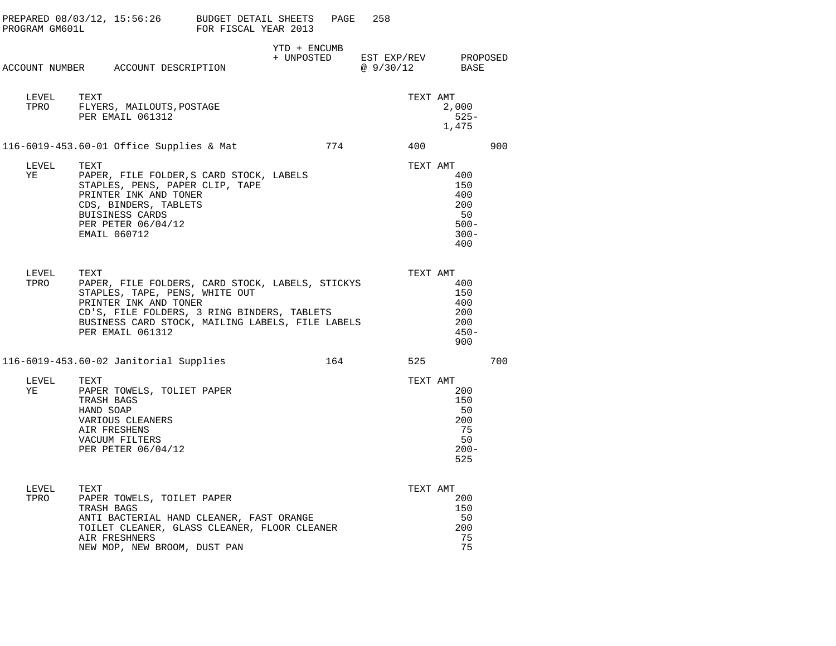| PROGRAM GM601L | $PREPARED 08/03/12, 15:56:26$ BUDGET DETAIL SHEETS                                                                                                                                                                                         | FOR FISCAL YEAR 2013 |                            | PAGE | 258      |          |                                                             |     |
|----------------|--------------------------------------------------------------------------------------------------------------------------------------------------------------------------------------------------------------------------------------------|----------------------|----------------------------|------|----------|----------|-------------------------------------------------------------|-----|
|                | ACCOUNT NUMBER ACCOUNT DESCRIPTION                                                                                                                                                                                                         |                      | YTD + ENCUMB<br>+ UNPOSTED |      | @9/30/12 |          | EST EXP/REV PROPOSED<br>BASE                                |     |
| LEVEL<br>TPRO  | TEXT<br>FLYERS, MAILOUTS, POSTAGE<br>PER EMAIL 061312                                                                                                                                                                                      |                      |                            |      |          | TEXT AMT | 2,000<br>525-<br>1,475                                      |     |
|                | 116-6019-453.60-01 Office Supplies & Mat                                                                                                                                                                                                   |                      |                            | 774  |          | 400      |                                                             | 900 |
| LEVEL<br>ΥE    | TEXT<br>PAPER, FILE FOLDER, S CARD STOCK, LABELS<br>STAPLES, PENS, PAPER CLIP, TAPE<br>PRINTER INK AND TONER<br>CDS, BINDERS, TABLETS<br>BUISINESS CARDS<br>PER PETER 06/04/12<br>EMAIL 060712                                             |                      |                            |      |          | TEXT AMT | 400<br>150<br>400<br>200<br>50<br>$500 -$<br>$300 -$<br>400 |     |
| LEVEL<br>TPRO  | TEXT<br>PAPER, FILE FOLDERS, CARD STOCK, LABELS, STICKYS<br>STAPLES, TAPE, PENS, WHITE OUT<br>PRINTER INK AND TONER<br>CD'S, FILE FOLDERS, 3 RING BINDERS, TABLETS<br>BUSINESS CARD STOCK, MAILING LABELS, FILE LABELS<br>PER EMAIL 061312 |                      |                            |      |          | TEXT AMT | 400<br>150<br>400<br>200<br>200<br>$450 -$<br>900           |     |
|                | 116-6019-453.60-02 Janitorial Supplies                                                                                                                                                                                                     |                      |                            | 164  |          | 525      |                                                             | 700 |
| LEVEL<br>YE    | TEXT<br>PAPER TOWELS, TOLIET PAPER<br>TRASH BAGS<br>HAND SOAP<br>VARIOUS CLEANERS<br>AIR FRESHENS<br>VACUUM FILTERS<br>PER PETER 06/04/12                                                                                                  |                      |                            |      |          | TEXT AMT | 200<br>150<br>50<br>200<br>75<br>50<br>$200 -$<br>525       |     |
| LEVEL<br>TPRO  | TEXT<br>PAPER TOWELS, TOILET PAPER<br>TRASH BAGS<br>ANTI BACTERIAL HAND CLEANER, FAST ORANGE<br>TOILET CLEANER, GLASS CLEANER, FLOOR CLEANER<br>AIR FRESHNERS<br>NEW MOP, NEW BROOM, DUST PAN                                              |                      |                            |      |          | TEXT AMT | 200<br>150<br>50<br>200<br>75<br>75                         |     |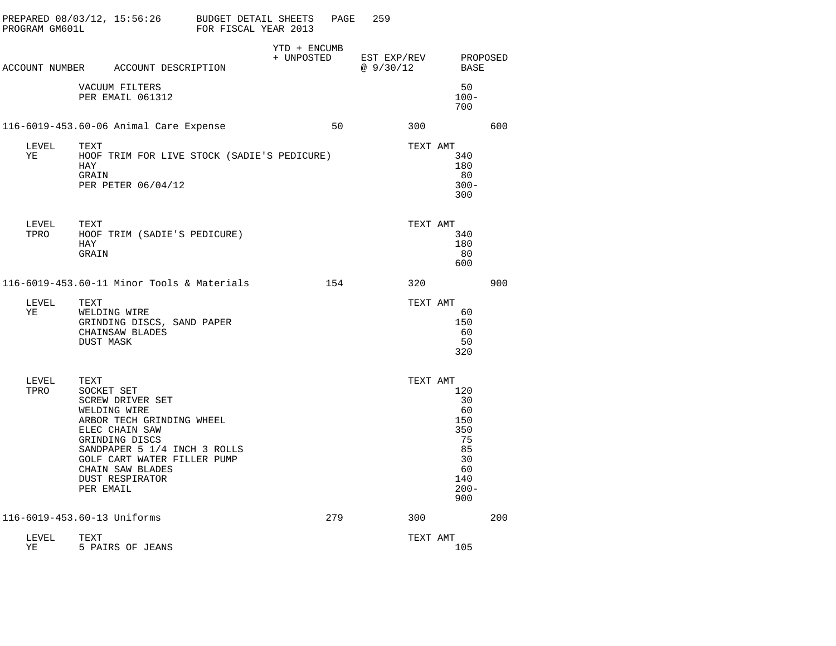| PROGRAM GM601L | PREPARED 08/03/12, 15:56:26                                                                                                                                                                                                                              | BUDGET DETAIL SHEETS<br>FOR FISCAL YEAR 2013 |                            | PAGE | 259                      |          |                                                                                |     |
|----------------|----------------------------------------------------------------------------------------------------------------------------------------------------------------------------------------------------------------------------------------------------------|----------------------------------------------|----------------------------|------|--------------------------|----------|--------------------------------------------------------------------------------|-----|
|                | ACCOUNT NUMBER ACCOUNT DESCRIPTION                                                                                                                                                                                                                       |                                              | YTD + ENCUMB<br>+ UNPOSTED |      | EST EXP/REV<br>@ 9/30/12 |          | PROPOSED<br><b>BASE</b>                                                        |     |
|                | VACUUM FILTERS<br>PER EMAIL 061312                                                                                                                                                                                                                       |                                              |                            |      |                          |          | 50<br>$100 -$<br>700                                                           |     |
|                | 116-6019-453.60-06 Animal Care Expense                                                                                                                                                                                                                   |                                              |                            | 50   |                          | 300      |                                                                                | 600 |
| LEVEL<br>ΥE    | TEXT<br>HOOF TRIM FOR LIVE STOCK (SADIE'S PEDICURE)<br>HAY<br>GRAIN<br>PER PETER 06/04/12                                                                                                                                                                |                                              |                            |      |                          | TEXT AMT | 340<br>180<br>80<br>$300 -$<br>300                                             |     |
| LEVEL<br>TPRO  | TEXT<br>HOOF TRIM (SADIE'S PEDICURE)<br>HAY<br>GRAIN                                                                                                                                                                                                     |                                              |                            |      |                          | TEXT AMT | 340<br>180<br>80<br>600                                                        |     |
|                | 116-6019-453.60-11 Minor Tools & Materials                                                                                                                                                                                                               |                                              |                            | 154  |                          | 320      |                                                                                | 900 |
| LEVEL<br>ΥE    | TEXT<br>WELDING WIRE<br>GRINDING DISCS, SAND PAPER<br>CHAINSAW BLADES<br><b>DUST MASK</b>                                                                                                                                                                |                                              |                            |      |                          | TEXT AMT | 60<br>150<br>60<br>50<br>320                                                   |     |
| LEVEL<br>TPRO  | TEXT<br>SOCKET SET<br><b>SCREW DRIVER SET</b><br>WELDING WIRE<br>ARBOR TECH GRINDING WHEEL<br>ELEC CHAIN SAW<br>GRINDING DISCS<br>SANDPAPER 5 1/4 INCH 3 ROLLS<br>GOLF CART WATER FILLER PUMP<br>CHAIN SAW BLADES<br><b>DUST RESPIRATOR</b><br>PER EMAIL |                                              |                            |      |                          | TEXT AMT | 120<br>30<br>60<br>150<br>350<br>75<br>85<br>30<br>60<br>140<br>$200 -$<br>900 |     |
|                | 116-6019-453.60-13 Uniforms                                                                                                                                                                                                                              |                                              |                            | 279  |                          | 300      |                                                                                | 200 |
| LEVEL<br>YE    | TEXT<br>5 PAIRS OF JEANS                                                                                                                                                                                                                                 |                                              |                            |      |                          | TEXT AMT | 105                                                                            |     |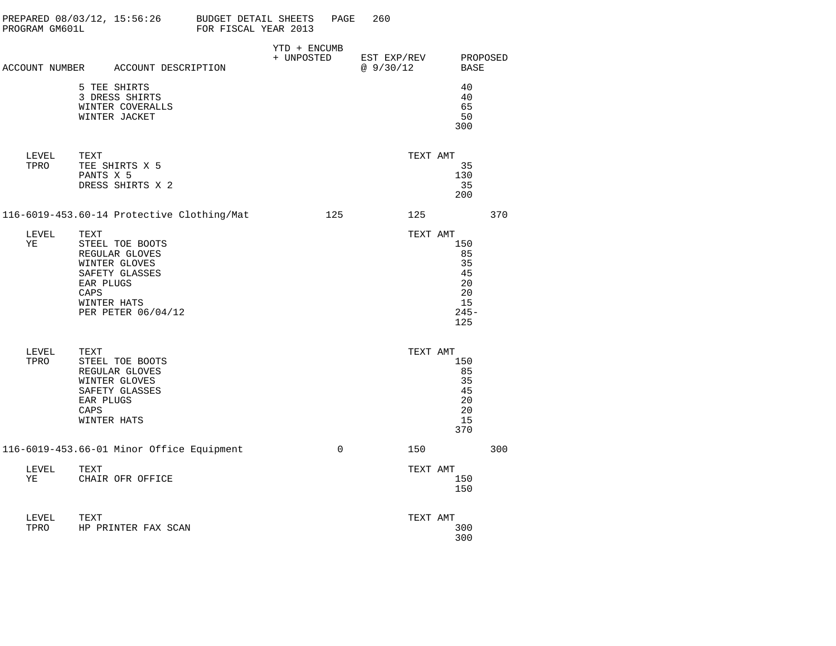| PROGRAM GM601L |              | PREPARED 08/03/12, 15:56:26 BUDGET DETAIL SHEETS                                                                       | FOR FISCAL YEAR 2013 |                            | PAGE     | 260                      |          |                                                           |                  |
|----------------|--------------|------------------------------------------------------------------------------------------------------------------------|----------------------|----------------------------|----------|--------------------------|----------|-----------------------------------------------------------|------------------|
|                |              | ACCOUNT NUMBER ACCOUNT DESCRIPTION                                                                                     |                      | YTD + ENCUMB<br>+ UNPOSTED |          | EST EXP/REV<br>@ 9/30/12 |          |                                                           | PROPOSED<br>BASE |
|                |              | 5 TEE SHIRTS<br>3 DRESS SHIRTS<br>WINTER COVERALLS<br>WINTER JACKET                                                    |                      |                            |          |                          |          | 40<br>40<br>65<br>50<br>300                               |                  |
| LEVEL<br>TPRO  | TEXT         | TEE SHIRTS X 5<br>PANTS X 5<br>DRESS SHIRTS X 2                                                                        |                      |                            |          |                          | TEXT AMT | 35<br>130<br>35<br>200                                    |                  |
|                |              | 116-6019-453.60-14 Protective Clothing/Mat                                                                             |                      |                            | 125      |                          | 125      |                                                           | 370              |
| LEVEL<br>ΥE    | TEXT<br>CAPS | STEEL TOE BOOTS<br>REGULAR GLOVES<br>WINTER GLOVES<br>SAFETY GLASSES<br>EAR PLUGS<br>WINTER HATS<br>PER PETER 06/04/12 |                      |                            |          |                          | TEXT AMT | 150<br>85<br>35<br>45<br>20<br>20<br>15<br>$245 -$<br>125 |                  |
| LEVEL<br>TPRO  | TEXT<br>CAPS | STEEL TOE BOOTS<br>REGULAR GLOVES<br>WINTER GLOVES<br>SAFETY GLASSES<br>EAR PLUGS<br>WINTER HATS                       |                      |                            |          |                          | TEXT AMT | 150<br>85<br>35<br>45<br>20<br>20<br>15<br>370            |                  |
|                |              | 116-6019-453.66-01 Minor Office Equipment                                                                              |                      |                            | $\Omega$ |                          | 150      |                                                           | 300              |
| LEVEL<br>YE    | TEXT         | CHAIR OFR OFFICE                                                                                                       |                      |                            |          |                          | TEXT AMT | 150<br>150                                                |                  |
| LEVEL<br>TPRO  | TEXT         | HP PRINTER FAX SCAN                                                                                                    |                      |                            |          |                          | TEXT AMT | 300<br>300                                                |                  |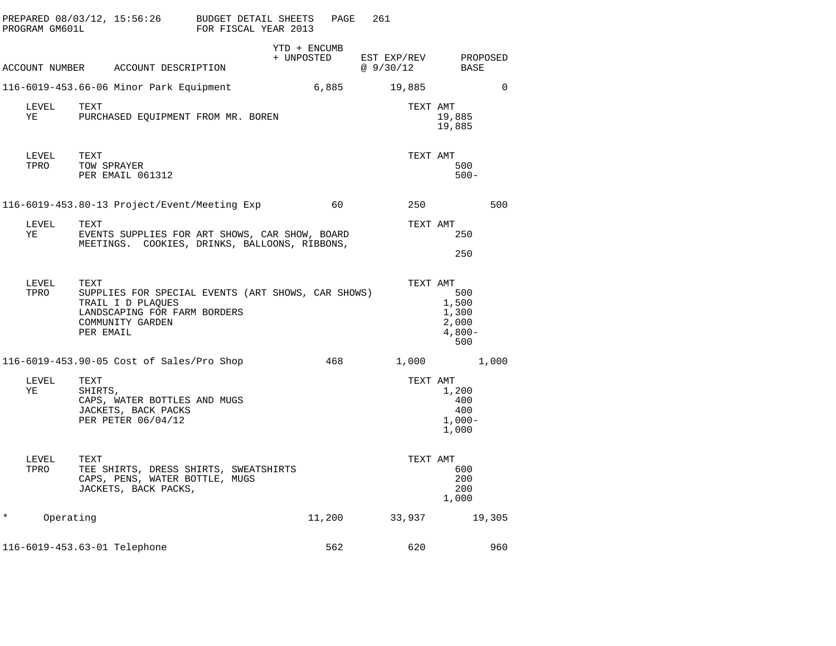| PROGRAM GM601L        |                                                                                                         | PREPARED 08/03/12, 15:56:26 BUDGET DETAIL SHEETS<br>FOR FISCAL YEAR 2013                        | PAGE         | 261                     |                                                   |
|-----------------------|---------------------------------------------------------------------------------------------------------|-------------------------------------------------------------------------------------------------|--------------|-------------------------|---------------------------------------------------|
|                       | ACCOUNT NUMBER ACCOUNT DESCRIPTION                                                                      | + UNPOSTED                                                                                      | YTD + ENCUMB | EST EXP/REV<br>@9/30/12 | PROPOSED<br>BASE                                  |
|                       | 116-6019-453.66-06 Minor Park Equipment                                                                 |                                                                                                 | 6,885        | 19,885                  | $\Omega$                                          |
| LEVEL<br>ΥE           | TEXT<br>PURCHASED EQUIPMENT FROM MR. BOREN                                                              |                                                                                                 |              | TEXT AMT                | 19,885<br>19,885                                  |
| LEVEL<br>TPRO         | TEXT<br>TOW SPRAYER<br>PER EMAIL 061312                                                                 |                                                                                                 |              | TEXT AMT                | 500<br>$500 -$                                    |
|                       | 116-6019-453.80-13 Project/Event/Meeting Exp                                                            |                                                                                                 | 60           | 250                     | 500                                               |
| LEVEL<br>ΥE           | TEXT                                                                                                    | EVENTS SUPPLIES FOR ART SHOWS, CAR SHOW, BOARD<br>MEETINGS. COOKIES, DRINKS, BALLOONS, RIBBONS, |              | TEXT AMT                | 250<br>250                                        |
| LEVEL<br>TPRO         | TEXT<br>TRAIL I D PLAQUES<br>LANDSCAPING FOR FARM BORDERS<br>COMMUNITY GARDEN<br>PER EMAIL              | SUPPLIES FOR SPECIAL EVENTS (ART SHOWS, CAR SHOWS)                                              |              | TEXT AMT                | 500<br>1,500<br>1,300<br>2,000<br>$4,800-$<br>500 |
|                       | 116-6019-453.90-05 Cost of Sales/Pro Shop                                                               |                                                                                                 | 468          | 1,000                   | 1,000                                             |
| LEVEL<br>ΥE           | TEXT<br>SHIRTS,<br>CAPS, WATER BOTTLES AND MUGS<br>JACKETS, BACK PACKS<br>PER PETER 06/04/12            |                                                                                                 |              | TEXT AMT                | 1,200<br>400<br>400<br>$1,000-$<br>1,000          |
| LEVEL<br>TPRO         | TEXT<br>TEE SHIRTS, DRESS SHIRTS, SWEATSHIRTS<br>CAPS, PENS, WATER BOTTLE, MUGS<br>JACKETS, BACK PACKS, |                                                                                                 |              | TEXT AMT                | 600<br>200<br>200<br>1,000                        |
| $^\star$<br>Operating |                                                                                                         |                                                                                                 | 11,200       | 33,937                  | 19,305                                            |
|                       | 116-6019-453.63-01 Telephone                                                                            |                                                                                                 | 562          | 620                     | 960                                               |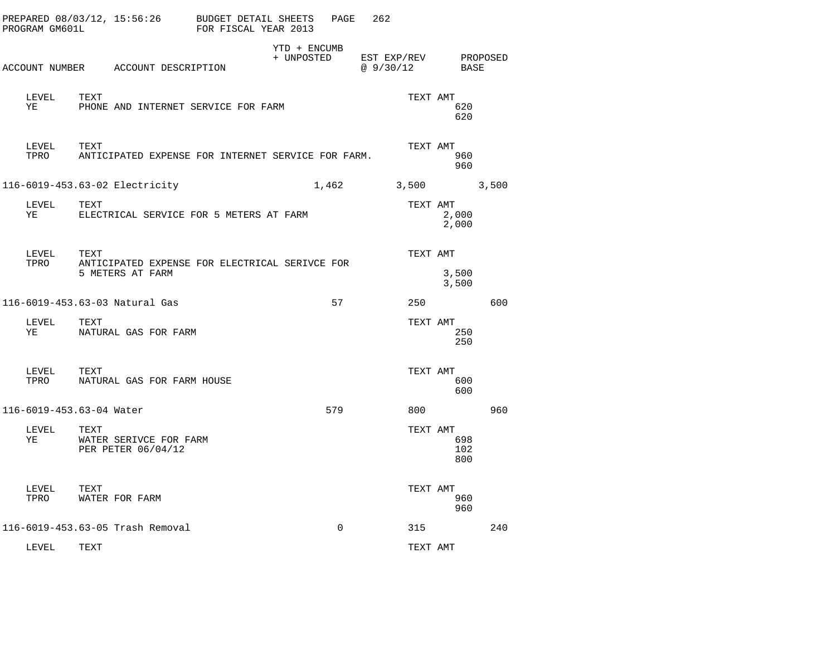| PROGRAM GM601L |               | PREPARED 08/03/12, 15:56:26 BUDGET DETAIL SHEETS                           | FOR FISCAL YEAR 2013 |                            | PAGE     | 262                      |     |                               |          |
|----------------|---------------|----------------------------------------------------------------------------|----------------------|----------------------------|----------|--------------------------|-----|-------------------------------|----------|
|                |               | ACCOUNT NUMBER ACCOUNT DESCRIPTION                                         |                      | YTD + ENCUMB<br>+ UNPOSTED |          | EST EXP/REV<br>@ 9/30/12 |     | BASE                          | PROPOSED |
| ΥE             | LEVEL         | TEXT<br>PHONE AND INTERNET SERVICE FOR FARM                                |                      |                            |          |                          |     | TEXT AMT<br>620<br>620        |          |
|                | LEVEL<br>TPRO | TEXT<br>ANTICIPATED EXPENSE FOR INTERNET SERVICE FOR FARM.                 |                      |                            |          |                          |     | TEXT AMT<br>960<br>960        |          |
|                |               | 116-6019-453.63-02 Electricity                                             |                      |                            | 1,462    | 3,500                    |     |                               | 3,500    |
| ΥE             | LEVEL         | TEXT<br>ELECTRICAL SERVICE FOR 5 METERS AT FARM                            |                      |                            |          |                          |     | TEXT AMT<br>2,000<br>2,000    |          |
| TPRO           | LEVEL         | TEXT<br>ANTICIPATED EXPENSE FOR ELECTRICAL SERIVCE FOR<br>5 METERS AT FARM |                      |                            |          |                          |     | TEXT AMT<br>3,500<br>3,500    |          |
|                |               | 116-6019-453.63-03 Natural Gas                                             |                      |                            | 57       |                          | 250 |                               | 600      |
| YE             | LEVEL         | TEXT<br>NATURAL GAS FOR FARM                                               |                      |                            |          |                          |     | TEXT AMT<br>250<br>250        |          |
| TPRO           | LEVEL         | TEXT<br>NATURAL GAS FOR FARM HOUSE                                         |                      |                            |          |                          |     | TEXT AMT<br>600<br>600        |          |
|                |               | 116-6019-453.63-04 Water                                                   |                      |                            | 579      |                          | 800 |                               | 960      |
| ΥE             | LEVEL         | TEXT<br>WATER SERIVCE FOR FARM<br>PER PETER 06/04/12                       |                      |                            |          |                          |     | TEXT AMT<br>698<br>102<br>800 |          |
| TPRO           | LEVEL         | TEXT<br>WATER FOR FARM                                                     |                      |                            |          |                          |     | TEXT AMT<br>960<br>960        |          |
|                |               | 116-6019-453.63-05 Trash Removal                                           |                      |                            | $\Omega$ |                          | 315 |                               | 240      |
|                | LEVEL         | TEXT                                                                       |                      |                            |          |                          |     | TEXT AMT                      |          |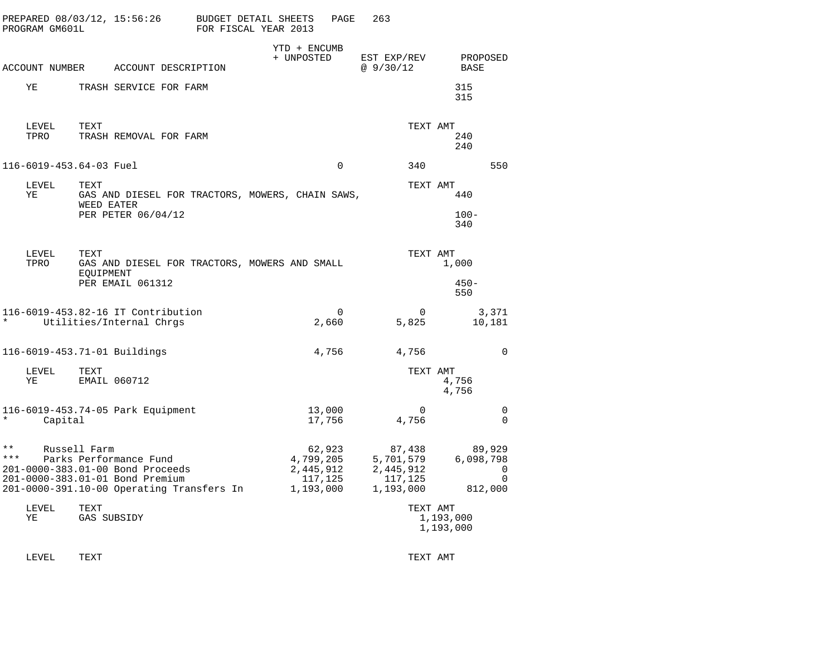| PREPARED 08/03/12, 15:56:26<br>PROGRAM GM601L                                                                                                                              |                                                                        | BUDGET DETAIL SHEETS<br>PAGE<br>FOR FISCAL YEAR 2013     | 263                                                      |                                                 |
|----------------------------------------------------------------------------------------------------------------------------------------------------------------------------|------------------------------------------------------------------------|----------------------------------------------------------|----------------------------------------------------------|-------------------------------------------------|
| ACCOUNT NUMBER ACCOUNT DESCRIPTION                                                                                                                                         |                                                                        | YTD + ENCUMB<br>+ UNPOSTED                               | EST EXP/REV<br>@9/30/12                                  | PROPOSED<br>BASE                                |
| ΥE                                                                                                                                                                         | TRASH SERVICE FOR FARM                                                 |                                                          |                                                          | 315<br>315                                      |
| LEVEL<br>TEXT<br>TPRO                                                                                                                                                      | TRASH REMOVAL FOR FARM                                                 |                                                          | TEXT AMT                                                 | 240<br>240                                      |
| 116-6019-453.64-03 Fuel                                                                                                                                                    |                                                                        | $\mathbf 0$                                              | 340                                                      | 550                                             |
| LEVEL<br>TEXT<br>ΥE<br>WEED EATER                                                                                                                                          | GAS AND DIESEL FOR TRACTORS, MOWERS, CHAIN SAWS,<br>PER PETER 06/04/12 |                                                          | TEXT AMT                                                 | 440<br>$100 -$<br>340                           |
| LEVEL<br>TEXT<br>TPRO<br>EQUIPMENT                                                                                                                                         | GAS AND DIESEL FOR TRACTORS, MOWERS AND SMALL<br>PER EMAIL 061312      |                                                          | TEXT AMT                                                 | 1,000<br>$450 -$<br>550                         |
| 116-6019-453.82-16 IT Contribution<br>Utilities/Internal Chrgs                                                                                                             |                                                                        | $\Omega$<br>2,660                                        | 0<br>5,825                                               | 3,371<br>10,181                                 |
| 116-6019-453.71-01 Buildings                                                                                                                                               |                                                                        | 4,756                                                    | 4,756                                                    | 0                                               |
| LEVEL<br>TEXT<br>ΥE<br>EMAIL 060712                                                                                                                                        |                                                                        |                                                          | TEXT AMT                                                 | 4,756<br>4,756                                  |
| 116-6019-453.74-05 Park Equipment<br>Capital                                                                                                                               |                                                                        | 13,000<br>17,756                                         | 0<br>4,756                                               | 0<br>0                                          |
| * *<br>Russell Farm<br>* * *<br>Parks Performance Fund<br>201-0000-383.01-00 Bond Proceeds<br>201-0000-383.01-01 Bond Premium<br>201-0000-391.10-00 Operating Transfers In |                                                                        | 62,923<br>4,799,205<br>2,445,912<br>117,125<br>1,193,000 | 87,438<br>5,701,579<br>2,445,912<br>117,125<br>1,193,000 | 89,929<br>6,098,798<br>0<br>$\Omega$<br>812,000 |
| LEVEL<br>TEXT<br>ΥE<br>GAS SUBSIDY                                                                                                                                         |                                                                        |                                                          | TEXT AMT                                                 | 1,193,000<br>1,193,000                          |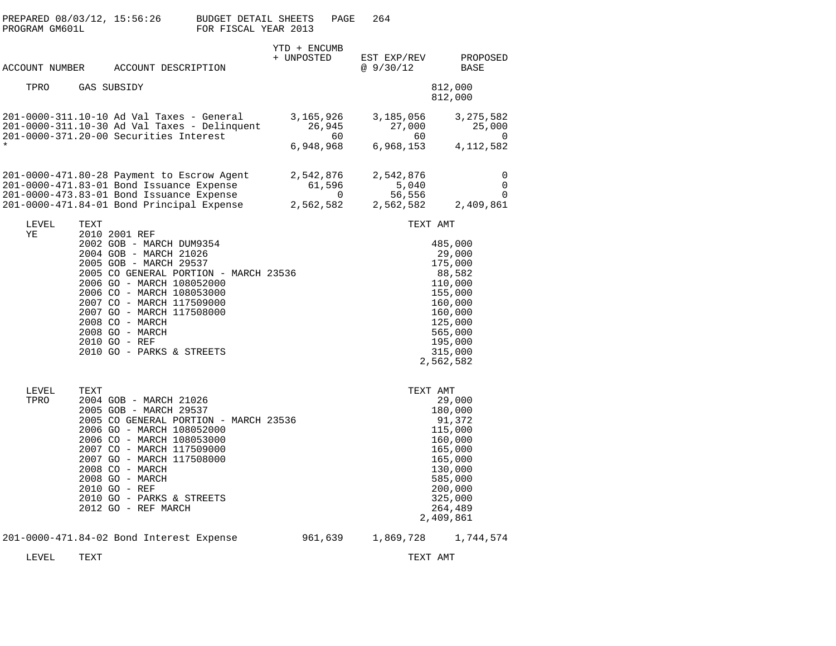| PREPARED 08/03/12, 15:56:26<br>PROGRAM GM601L |             |                                                                                                                                                                                                                                                                                                                                                | BUDGET DETAIL SHEETS<br>FOR FISCAL YEAR 2013 |                            | PAGE                  | 264 |                                           |                                                                                                                                |
|-----------------------------------------------|-------------|------------------------------------------------------------------------------------------------------------------------------------------------------------------------------------------------------------------------------------------------------------------------------------------------------------------------------------------------|----------------------------------------------|----------------------------|-----------------------|-----|-------------------------------------------|--------------------------------------------------------------------------------------------------------------------------------|
| ACCOUNT NUMBER                                |             | ACCOUNT DESCRIPTION                                                                                                                                                                                                                                                                                                                            |                                              | YTD + ENCUMB<br>+ UNPOSTED |                       |     | EST EXP/REV<br>@ 9/30/12                  | PROPOSED<br>BASE                                                                                                               |
| TPRO                                          | GAS SUBSIDY |                                                                                                                                                                                                                                                                                                                                                |                                              |                            |                       |     |                                           | 812,000<br>812,000                                                                                                             |
|                                               |             | 201-0000-311.10-10 Ad Val Taxes - General<br>201-0000-311.10-30 Ad Val Taxes - Delinquent<br>201-0000-371.20-00 Securities Interest                                                                                                                                                                                                            |                                              | 3,165,926<br>6,948,968     | 26,945<br>60          |     | 3,185,056<br>27,000<br>60<br>6,968,153    | 3, 275, 582<br>25,000<br>$\overline{0}$<br>4, 112, 582                                                                         |
|                                               |             | 201-0000-471.80-28 Payment to Escrow Agent<br>201-0000-471.83-01 Bond Issuance Expense<br>201-0000-473.83-01 Bond Issuance Expense<br>0 0 11-0000-473.83-01 Bond Issuance Expense<br>201-0000-471.84-01 Bond Principal Expense 2,562,582                                                                                                       |                                              | 2,542,876                  | 61,596<br>$\mathbf 0$ |     | 2,542,876<br>5,040<br>56,556<br>2,562,582 | 0<br>$\mathbf 0$<br>0<br>2,409,861                                                                                             |
| LEVEL                                         | TEXT        |                                                                                                                                                                                                                                                                                                                                                |                                              |                            |                       |     | TEXT AMT                                  |                                                                                                                                |
| ΥE                                            |             | 2010 2001 REF<br>2002 GOB - MARCH DUM9354<br>2004 GOB - MARCH 21026<br>2005 GOB - MARCH 29537<br>2005 CO GENERAL PORTION - MARCH 23536<br>2006 GO - MARCH 108052000<br>2006 CO - MARCH 108053000<br>2007 CO - MARCH 117509000<br>2007 GO - MARCH 117508000<br>2008 CO - MARCH<br>2008 GO - MARCH<br>2010 GO - REF<br>2010 GO - PARKS & STREETS |                                              |                            |                       |     | 2,562,582                                 | 485,000<br>29,000<br>175,000<br>88,582<br>110,000<br>155,000<br>160,000<br>160,000<br>125,000<br>565,000<br>195,000<br>315,000 |
| LEVEL<br>TPRO                                 | TEXT        | 2004 GOB - MARCH 21026<br>2005 GOB - MARCH 29537<br>2005 CO GENERAL PORTION - MARCH 23536<br>2006 GO - MARCH 108052000<br>2006 CO - MARCH 108053000<br>2007 CO - MARCH 117509000<br>2007 GO - MARCH 117508000<br>2008 CO - MARCH<br>2008 GO - MARCH<br>2010 GO - REF<br>2010 GO - PARKS & STREETS<br>2012 GO - REF MARCH                       |                                              |                            |                       |     | TEXT AMT<br>2,409,861                     | 29,000<br>180,000<br>91,372<br>115,000<br>160,000<br>165,000<br>165,000<br>130,000<br>585,000<br>200,000<br>325,000<br>264,489 |
|                                               |             | 201-0000-471.84-02 Bond Interest Expense                                                                                                                                                                                                                                                                                                       |                                              |                            | 961,639               |     | 1,869,728                                 | 1,744,574                                                                                                                      |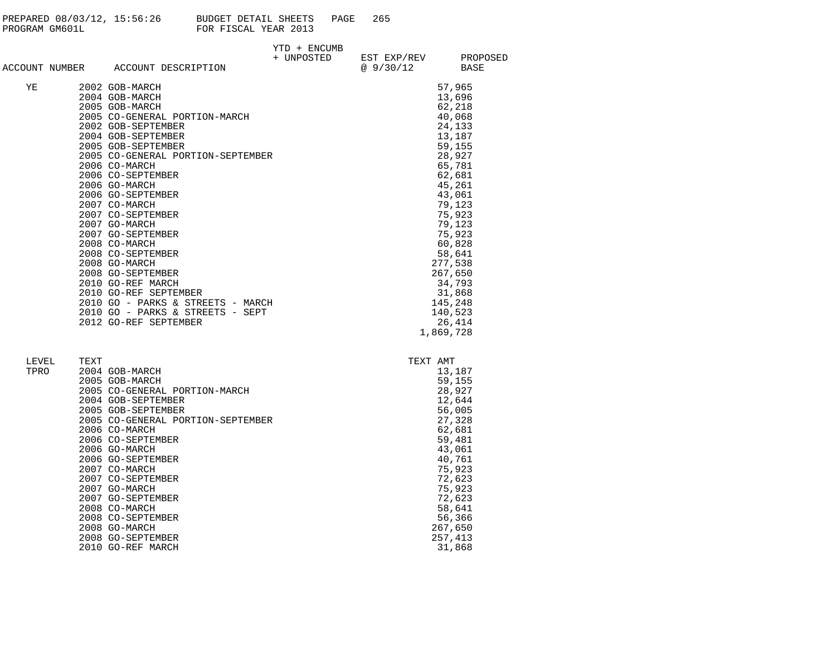| PREPARED 08/03/12, 15:56:26 | BUDGET DETAIL SHEETS |  | PAGE | 265 |
|-----------------------------|----------------------|--|------|-----|
| PROGRAM GM601L              | FOR FISCAL YEAR 2013 |  |      |     |

|    |                                    | YTD + ENCUMB |                        |           |
|----|------------------------------------|--------------|------------------------|-----------|
|    |                                    |              | + UNPOSTED EST EXP/REV | PROPOSED  |
|    | ACCOUNT NUMBER ACCOUNT DESCRIPTION |              | @ 9/30/12              | BASE      |
| ΥE | 2002 GOB-MARCH                     |              |                        | 57,965    |
|    | 2004 GOB-MARCH                     |              |                        | 13,696    |
|    | 2005 GOB-MARCH                     |              |                        | 62,218    |
|    | 2005 CO-GENERAL PORTION-MARCH      |              |                        | 40,068    |
|    | 2002 GOB-SEPTEMBER                 |              |                        | 24,133    |
|    | 2004 GOB-SEPTEMBER                 |              |                        | 13,187    |
|    | 2005 GOB-SEPTEMBER                 |              |                        | 59,155    |
|    | 2005 CO-GENERAL PORTION-SEPTEMBER  |              |                        | 28,927    |
|    | 2006 CO-MARCH                      |              |                        | 65,781    |
|    | 2006 CO-SEPTEMBER                  |              |                        | 62,681    |
|    | 2006 GO-MARCH                      |              |                        | 45,261    |
|    | 2006 GO-SEPTEMBER                  |              |                        | 43,061    |
|    | 2007 CO-MARCH                      |              |                        | 79,123    |
|    | 2007 CO-SEPTEMBER                  |              |                        | 75,923    |
|    | 2007 GO-MARCH                      |              |                        | 79,123    |
|    | 2007 GO-SEPTEMBER                  |              |                        | 75,923    |
|    | 2008 CO-MARCH                      |              |                        | 60,828    |
|    | 2008 CO-SEPTEMBER                  |              |                        | 58,641    |
|    | 2008 GO-MARCH                      |              |                        | 277,538   |
|    | 2008 GO-SEPTEMBER                  |              |                        | 267,650   |
|    | 2010 GO-REF MARCH                  |              |                        | 34,793    |
|    | 2010 GO-REF SEPTEMBER              |              |                        | 31,868    |
|    | 2010 GO - PARKS & STREETS - MARCH  |              |                        | 145,248   |
|    | 2010 GO - PARKS & STREETS - SEPT   |              |                        | 140,523   |
|    | 2012 GO-REF SEPTEMBER              |              |                        | 26,414    |
|    |                                    |              |                        | 1,869,728 |

| LEVEL | TEXT |                                   | TEXT AMT |         |
|-------|------|-----------------------------------|----------|---------|
| TPRO  |      | 2004 GOB-MARCH                    |          | 13,187  |
|       |      | 2005 GOB-MARCH                    |          | 59,155  |
|       |      | 2005 CO-GENERAL PORTION-MARCH     |          | 28,927  |
|       |      | 2004 GOB-SEPTEMBER                |          | 12,644  |
|       |      | 2005 GOB-SEPTEMBER                |          | 56,005  |
|       |      | 2005 CO-GENERAL PORTION-SEPTEMBER |          | 27,328  |
|       |      | 2006 CO-MARCH                     |          | 62,681  |
|       |      | 2006 CO-SEPTEMBER                 |          | 59,481  |
|       |      | 2006 GO-MARCH                     |          | 43,061  |
|       |      | 2006 GO-SEPTEMBER                 |          | 40,761  |
|       |      | 2007 CO-MARCH                     |          | 75,923  |
|       |      | 2007 CO-SEPTEMBER                 |          | 72,623  |
|       |      | 2007 GO-MARCH                     |          | 75,923  |
|       |      | 2007 GO-SEPTEMBER                 |          | 72,623  |
|       |      | 2008 CO-MARCH                     |          | 58,641  |
|       |      | 2008 CO-SEPTEMBER                 |          | 56,366  |
|       |      | 2008 GO-MARCH                     |          | 267,650 |
|       |      | 2008 GO-SEPTEMBER                 |          | 257,413 |
|       |      | 2010 GO-REF MARCH                 |          | 31,868  |
|       |      |                                   |          |         |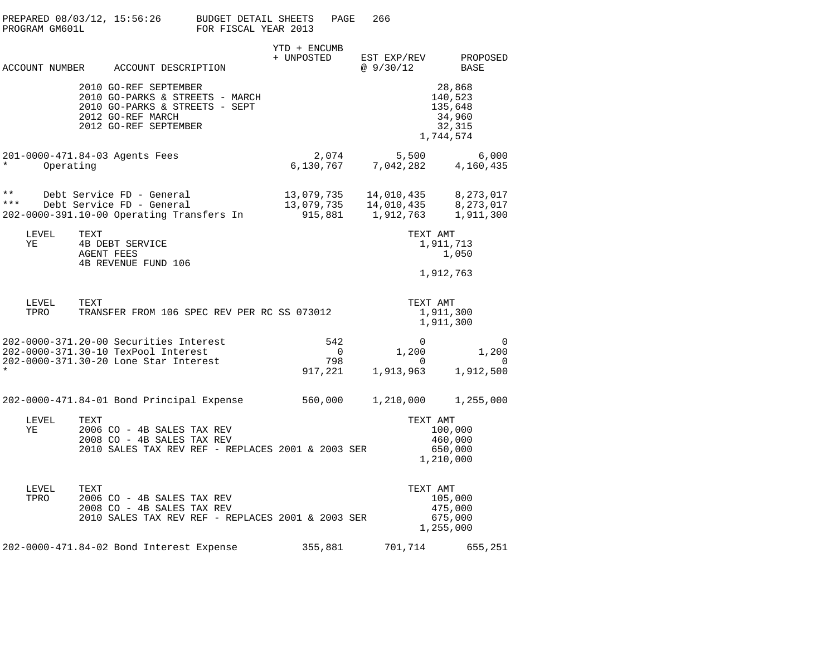| PROGRAM GM601L        |                                                                              | PREPARED 08/03/12, 15:56:26 BUDGET DETAIL SHEETS<br>FOR FISCAL YEAR 2013                                      |                            | PAGE                         | 266                                     |                                                                                                                              |
|-----------------------|------------------------------------------------------------------------------|---------------------------------------------------------------------------------------------------------------|----------------------------|------------------------------|-----------------------------------------|------------------------------------------------------------------------------------------------------------------------------|
|                       |                                                                              | ACCOUNT NUMBER ACCOUNT DESCRIPTION                                                                            | YTD + ENCUMB<br>+ UNPOSTED |                              | EST EXP/REV<br>@ 9/30/12                | PROPOSED<br>BASE                                                                                                             |
|                       | 2010 GO-REF SEPTEMBER<br>2012 GO-REF MARCH<br>2012 GO-REF SEPTEMBER          | 2010 GO-PARKS & STREETS - MARCH<br>2010 GO-PARKS & STREETS - SEPT                                             |                            |                              |                                         | 28,868<br>140,523<br>135,648<br>34,960<br>32,315<br>1,744,574                                                                |
| $\star$<br>Operating  | 201-0000-471.84-03 Agents Fees                                               |                                                                                                               |                            |                              |                                         | $\begin{array}{cccc} 2,074 & \quad & 5,500 & \quad & 6,000 \\ 6,130,767 & \quad & 7,042,282 & \quad & 4,160,435 \end{array}$ |
| $\star\star$<br>* * * | Debt Service FD - General<br>Debt Service FD - General                       | 202-0000-391.10-00 Operating Transfers In                                                                     | 13,079,735<br>13,079,735   |                              | 14,010,435<br>915,881 1,912,763         | 14,010,435 8,273,017<br>8,273,017<br>1,911,300                                                                               |
| LEVEL<br>ΥE           | TEXT<br>4B DEBT SERVICE<br><b>AGENT FEES</b><br>4B REVENUE FUND 106          |                                                                                                               |                            |                              | TEXT AMT                                | 1,911,713<br>1,050<br>1,912,763                                                                                              |
| LEVEL<br>TPRO         | TEXT                                                                         | TRANSFER FROM 106 SPEC REV PER RC SS 073012                                                                   |                            |                              | TEXT AMT                                | 1,911,300<br>1,911,300                                                                                                       |
|                       | 202-0000-371.30-10 TexPool Interest<br>202-0000-371.30-20 Lone Star Interest | 202-0000-371.20-00 Securities Interest                                                                        | 917,221                    | 542<br>$\overline{0}$<br>798 | 0<br>1,200<br>$\mathbf{0}$<br>1,913,963 | $\overline{\phantom{0}}$<br>1,200<br>0<br>1,912,500                                                                          |
|                       |                                                                              | 202-0000-471.84-01 Bond Principal Expense                                                                     | 560,000                    |                              | 1,210,000                               | 1,255,000                                                                                                                    |
| LEVEL<br>YE           | TEXT                                                                         | 2006 CO - 4B SALES TAX REV<br>2008 CO - 4B SALES TAX REV<br>2010 SALES TAX REV REF - REPLACES 2001 & 2003 SER |                            |                              | TEXT AMT                                | 100,000<br>460,000<br>650,000<br>1,210,000                                                                                   |
| LEVEL<br>TPRO         | TEXT                                                                         | 2006 CO - 4B SALES TAX REV<br>2008 CO - 4B SALES TAX REV<br>2010 SALES TAX REV REF - REPLACES 2001 & 2003 SER |                            |                              | TEXT AMT                                | 105,000<br>475,000<br>675,000<br>1,255,000                                                                                   |
|                       |                                                                              | 202-0000-471.84-02 Bond Interest Expense                                                                      | 355,881                    |                              | 701,714                                 | 655,251                                                                                                                      |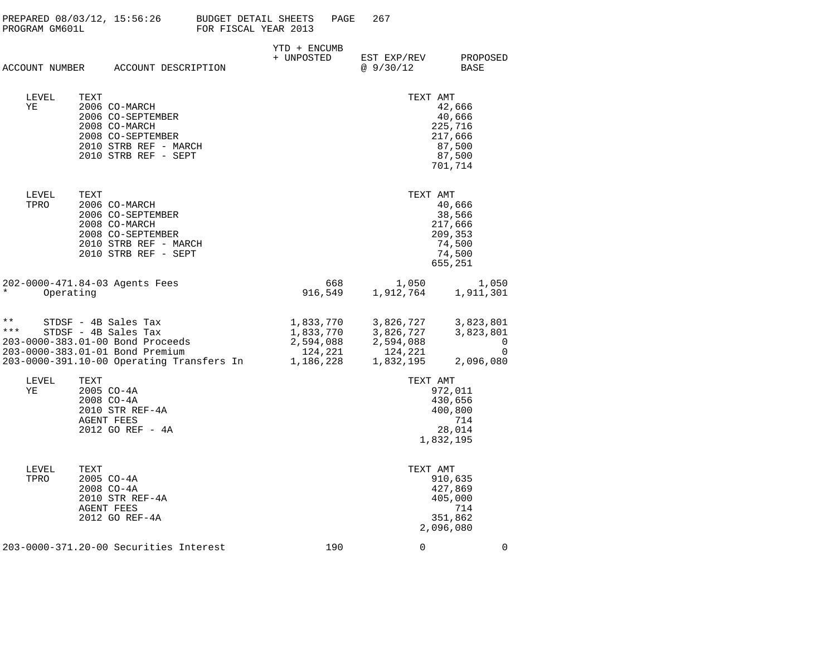| PREPARED 08/03/12, 15:56:26<br>PROGRAM GM601L                                                                                                                                      | <b>BUDGET DETAIL SHEETS</b><br>FOR FISCAL YEAR 2013 | PAGE                                                        | 267                                                         |                                                                       |
|------------------------------------------------------------------------------------------------------------------------------------------------------------------------------------|-----------------------------------------------------|-------------------------------------------------------------|-------------------------------------------------------------|-----------------------------------------------------------------------|
| ACCOUNT NUMBER ACCOUNT DESCRIPTION                                                                                                                                                 | YTD + ENCUMB<br>+ UNPOSTED                          |                                                             | EST EXP/REV<br>@9/30/12                                     | PROPOSED<br>BASE                                                      |
| LEVEL<br>TEXT<br>ΥE<br>2006 CO-MARCH<br>2006 CO-SEPTEMBER<br>2008 CO-MARCH<br>2008 CO-SEPTEMBER<br>2010 STRB REF - MARCH<br>2010 STRB REF - SEPT                                   |                                                     |                                                             | TEXT AMT                                                    | 42,666<br>40,666<br>225,716<br>217,666<br>87,500<br>87,500<br>701,714 |
| LEVEL<br>TEXT<br>TPRO<br>2006 CO-MARCH<br>2006 CO-SEPTEMBER<br>2008 CO-MARCH<br>2008 CO-SEPTEMBER<br>2010 STRB REF - MARCH<br>2010 STRB REF - SEPT                                 |                                                     |                                                             | TEXT AMT                                                    | 40,666<br>38,566<br>217,666<br>209,353<br>74,500<br>74,500<br>655,251 |
| 202-0000-471.84-03 Agents Fees<br>$^\star$<br>Operating                                                                                                                            |                                                     | 668<br>916,549                                              | 1,050<br>1,912,764                                          | 1,050<br>1,911,301                                                    |
| $***$<br>STDSF - 4B Sales Tax<br>* * *<br>STDSF - 4B Sales Tax<br>203-0000-383.01-00 Bond Proceeds<br>203-0000-383.01-01 Bond Premium<br>203-0000-391.10-00 Operating Transfers In |                                                     | 1,833,770<br>1,833,770<br>2,594,088<br>124,221<br>1,186,228 | 3,826,727<br>3,826,727<br>2,594,088<br>124,221<br>1,832,195 | 3,823,801<br>3,823,801<br>0<br>$\mathbf 0$<br>2,096,080               |
| LEVEL<br>TEXT<br>ΥE<br>2005 CO-4A<br>$2008$ CO-4A<br>2010 STR REF-4A<br><b>AGENT FEES</b><br>2012 GO REF - 4A                                                                      |                                                     |                                                             | TEXT AMT<br>1,832,195                                       | 972,011<br>430,656<br>400,800<br>714<br>28,014                        |
| LEVEL<br>TEXT<br>2005 CO-4A<br>TPRO<br>2008 CO-4A<br>2010 STR REF-4A<br><b>AGENT FEES</b><br>2012 GO REF-4A                                                                        |                                                     |                                                             | TEXT AMT<br>2,096,080                                       | 910,635<br>427,869<br>405,000<br>714<br>351,862                       |
| 203-0000-371.20-00 Securities Interest                                                                                                                                             |                                                     | 190                                                         | 0                                                           | $\mathbf 0$                                                           |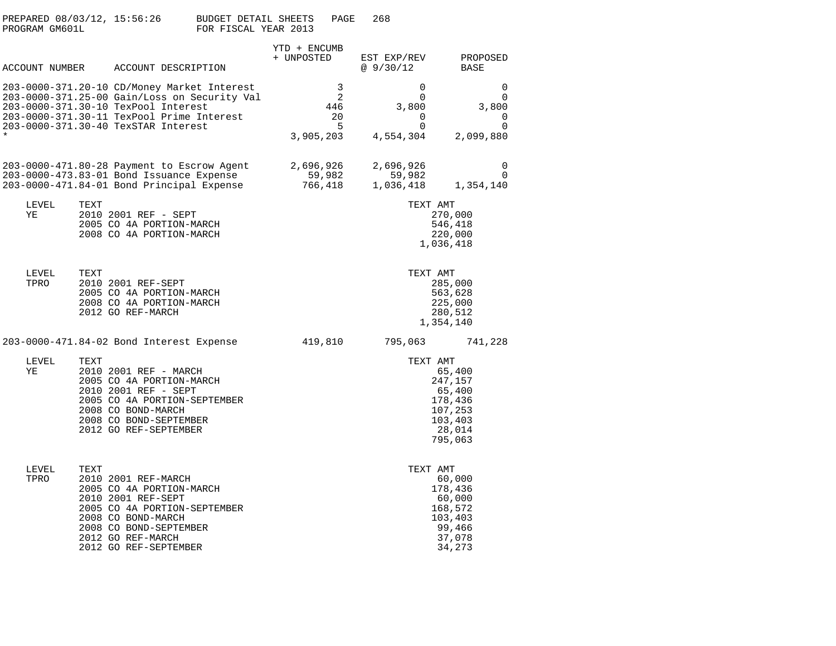| PROGRAM GM601L | PREPARED 08/03/12, 15:56:26                                                                                                                                                                                            | BUDGET DETAIL SHEETS<br>FOR FISCAL YEAR 2013 |                                | PAGE                      | 268                                                                   |                                                                                               |
|----------------|------------------------------------------------------------------------------------------------------------------------------------------------------------------------------------------------------------------------|----------------------------------------------|--------------------------------|---------------------------|-----------------------------------------------------------------------|-----------------------------------------------------------------------------------------------|
|                | ACCOUNT NUMBER ACCOUNT DESCRIPTION                                                                                                                                                                                     |                                              | YTD + ENCUMB<br>+ UNPOSTED     |                           | EST EXP/REV<br>@ 9/30/12                                              | PROPOSED<br>BASE                                                                              |
|                | 203-0000-371.20-10 CD/Money Market Interest<br>203-0000-371.25-00 Gain/Loss on Security Val<br>203-0000-371.30-10 TexPool Interest<br>203-0000-371.30-11 TexPool Prime Interest<br>203-0000-371.30-40 TexSTAR Interest |                                              | 3,905,203                      | 3<br>2<br>446<br>20<br>.5 | $\Omega$<br>$\mathbf 0$<br>3,800<br>$\Omega$<br>$\Omega$<br>4,554,304 | 0<br>$\mathbf 0$<br>3,800<br>0<br>$\Omega$<br>2,099,880                                       |
|                | 203-0000-471.80-28 Payment to Escrow Agent<br>203-0000-473.83-01 Bond Issuance Expense<br>203-0000-471.84-01 Bond Principal Expense                                                                                    |                                              | 2,696,926<br>59,982<br>766,418 |                           | 2,696,926<br>59,982<br>1,036,418                                      | 0<br>$\mathbf{0}$<br>1,354,140                                                                |
| LEVEL<br>YE    | TEXT<br>2010 2001 REF - SEPT<br>2005 CO 4A PORTION-MARCH<br>2008 CO 4A PORTION-MARCH                                                                                                                                   |                                              |                                |                           |                                                                       | TEXT AMT<br>270,000<br>546,418<br>220,000<br>1,036,418                                        |
| LEVEL<br>TPRO  | TEXT<br>2010 2001 REF-SEPT<br>2005 CO 4A PORTION-MARCH<br>2008 CO 4A PORTION-MARCH<br>2012 GO REF-MARCH                                                                                                                |                                              |                                |                           |                                                                       | TEXT AMT<br>285,000<br>563,628<br>225,000<br>280,512<br>1,354,140                             |
|                | 203-0000-471.84-02 Bond Interest Expense                                                                                                                                                                               |                                              | 419,810                        |                           | 795,063                                                               | 741,228                                                                                       |
| LEVEL<br>ΥE    | TEXT<br>2010 2001 REF - MARCH<br>2005 CO 4A PORTION-MARCH<br>2010 2001 REF - SEPT<br>2005 CO 4A PORTION-SEPTEMBER<br>2008 CO BOND-MARCH<br>2008 CO BOND-SEPTEMBER<br>2012 GO REF-SEPTEMBER                             |                                              |                                |                           |                                                                       | TEXT AMT<br>65,400<br>247,157<br>65,400<br>178,436<br>107,253<br>103,403<br>28,014<br>795,063 |
| LEVEL<br>TPRO  | TEXT<br>2010 2001 REF-MARCH<br>2005 CO 4A PORTION-MARCH<br>2010 2001 REF-SEPT<br>2005 CO 4A PORTION-SEPTEMBER<br>2008 CO BOND-MARCH<br>2008 CO BOND-SEPTEMBER<br>2012 GO REF-MARCH<br>2012 GO REF-SEPTEMBER            |                                              |                                |                           |                                                                       | TEXT AMT<br>60,000<br>178,436<br>60,000<br>168,572<br>103,403<br>99,466<br>37,078<br>34,273   |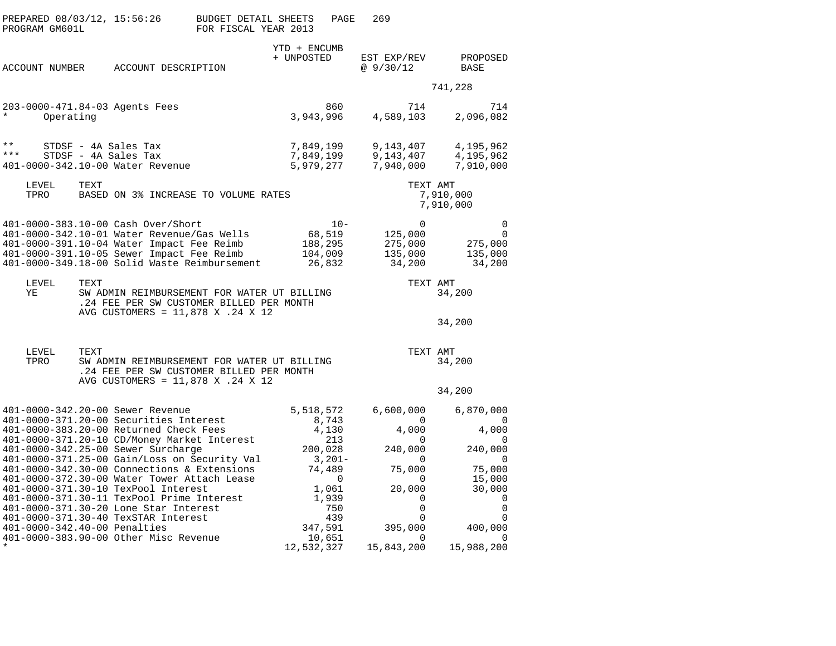| PREPARED 08/03/12, 15:56:26<br>PROGRAM GM601L                                                                                                                                                                                                                                                                                                                                                                                                                                                                                                                                                                   | <b>BUDGET DETAIL SHEETS</b><br>FOR FISCAL YEAR 2013                                                                          | PAGE                                                                                                                                        | 269                                                                                                                                               |                                                                                                                                                 |  |  |
|-----------------------------------------------------------------------------------------------------------------------------------------------------------------------------------------------------------------------------------------------------------------------------------------------------------------------------------------------------------------------------------------------------------------------------------------------------------------------------------------------------------------------------------------------------------------------------------------------------------------|------------------------------------------------------------------------------------------------------------------------------|---------------------------------------------------------------------------------------------------------------------------------------------|---------------------------------------------------------------------------------------------------------------------------------------------------|-------------------------------------------------------------------------------------------------------------------------------------------------|--|--|
| ACCOUNT NUMBER                                                                                                                                                                                                                                                                                                                                                                                                                                                                                                                                                                                                  | ACCOUNT DESCRIPTION                                                                                                          | YTD + ENCUMB<br>+ UNPOSTED                                                                                                                  | EST EXP/REV<br>@9/30/12                                                                                                                           | PROPOSED<br>BASE                                                                                                                                |  |  |
|                                                                                                                                                                                                                                                                                                                                                                                                                                                                                                                                                                                                                 |                                                                                                                              |                                                                                                                                             |                                                                                                                                                   | 741,228                                                                                                                                         |  |  |
| 203-0000-471.84-03 Agents Fees<br>$\ast$<br>Operating                                                                                                                                                                                                                                                                                                                                                                                                                                                                                                                                                           |                                                                                                                              | 860<br>3,943,996                                                                                                                            | 714<br>4,589,103                                                                                                                                  | 714<br>2,096,082                                                                                                                                |  |  |
| $\star\star$<br>STDSF - 4A Sales Tax<br>* * *<br>STDSF - 4A Sales Tax<br>401-0000-342.10-00 Water Revenue                                                                                                                                                                                                                                                                                                                                                                                                                                                                                                       |                                                                                                                              | 7,849,199<br>7,849,199<br>5,979,277                                                                                                         | 9,143,407<br>9,143,407<br>7,940,000                                                                                                               | 4,195,962<br>4,195,962<br>7,910,000                                                                                                             |  |  |
| TEXT<br>LEVEL<br>TPRO                                                                                                                                                                                                                                                                                                                                                                                                                                                                                                                                                                                           | BASED ON 3% INCREASE TO VOLUME RATES                                                                                         |                                                                                                                                             | TEXT AMT                                                                                                                                          | 7,910,000<br>7,910,000                                                                                                                          |  |  |
| 401-0000-383.10-00 Cash Over/Short<br>401-0000-342.10-01 Water Revenue/Gas Wells<br>401-0000-391.10-04 Water Impact Fee Reimb<br>401-0000-391.10-05 Sewer Impact Fee Reimb<br>401-0000-349.18-00 Solid Waste Reimbursement                                                                                                                                                                                                                                                                                                                                                                                      |                                                                                                                              | $10 -$<br>68,519<br>188,295<br>104,009<br>26,832                                                                                            | 0<br>125,000<br>275,000<br>135,000<br>34,200                                                                                                      | $\mathbf 0$<br>$\Omega$<br>275,000<br>135,000<br>34,200                                                                                         |  |  |
| LEVEL<br>TEXT<br>ΥE                                                                                                                                                                                                                                                                                                                                                                                                                                                                                                                                                                                             | SW ADMIN REIMBURSEMENT FOR WATER UT BILLING<br>.24 FEE PER SW CUSTOMER BILLED PER MONTH<br>AVG CUSTOMERS = 11,878 X .24 X 12 |                                                                                                                                             | TEXT AMT<br>34,200<br>34,200                                                                                                                      |                                                                                                                                                 |  |  |
| TEXT<br>LEVEL<br>TPRO                                                                                                                                                                                                                                                                                                                                                                                                                                                                                                                                                                                           | SW ADMIN REIMBURSEMENT FOR WATER UT BILLING<br>.24 FEE PER SW CUSTOMER BILLED PER MONTH<br>AVG CUSTOMERS = 11,878 X .24 X 12 |                                                                                                                                             | TEXT AMT                                                                                                                                          | 34,200<br>34,200                                                                                                                                |  |  |
| 401-0000-342.20-00 Sewer Revenue<br>401-0000-371.20-00 Securities Interest<br>401-0000-383.20-00 Returned Check Fees<br>401-0000-371.20-10 CD/Money Market Interest<br>401-0000-342.25-00 Sewer Surcharge<br>401-0000-371.25-00 Gain/Loss on Security Val<br>401-0000-342.30-00 Connections & Extensions<br>401-0000-372.30-00 Water Tower Attach Lease<br>401-0000-371.30-10 TexPool Interest<br>401-0000-371.30-11 TexPool Prime Interest<br>401-0000-371.30-20 Lone Star Interest<br>401-0000-371.30-40 TexSTAR Interest<br>401-0000-342.40-00 Penalties<br>401-0000-383.90-00 Other Misc Revenue<br>$\star$ |                                                                                                                              | 5,518,572<br>8,743<br>4,130<br>213<br>200,028<br>$3,201-$<br>74,489<br>0<br>1,061<br>1,939<br>750<br>439<br>347,591<br>10,651<br>12,532,327 | 6,600,000<br>$\Omega$<br>4,000<br>0<br>240,000<br>0<br>75,000<br>$\Omega$<br>20,000<br>0<br>$\mathbf 0$<br>0<br>395,000<br>$\Omega$<br>15,843,200 | 6,870,000<br>$\Omega$<br>4,000<br>0<br>240,000<br>0<br>75,000<br>15,000<br>30,000<br>0<br>$\mathbf 0$<br>0<br>400,000<br>$\Omega$<br>15,988,200 |  |  |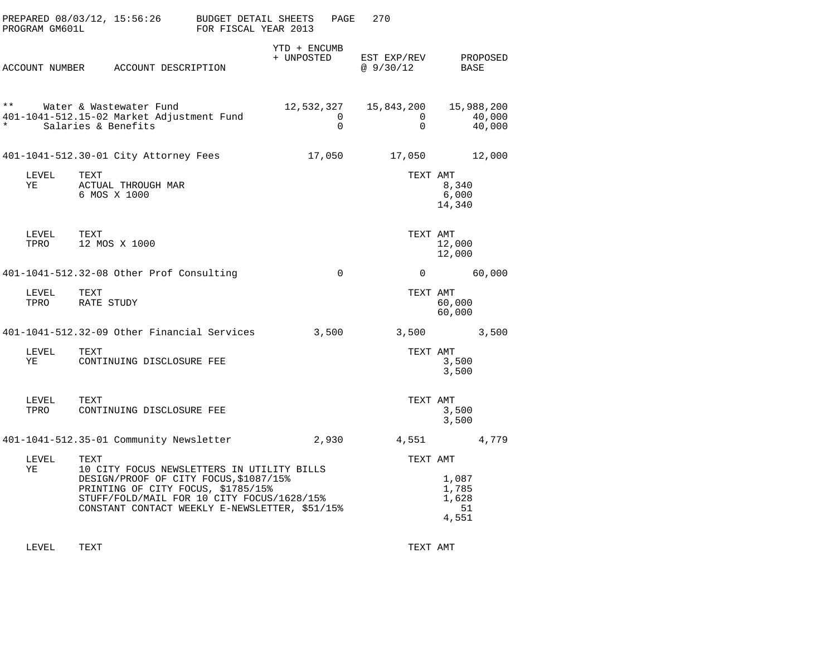| PROGRAM GM601L           | PREPARED 08/03/12, 15:56:26                                                                                                                                                                                                | <b>BUDGET DETAIL SHEETS</b><br>FOR FISCAL YEAR 2013 | PAGE                       | 270                                    |                                        |
|--------------------------|----------------------------------------------------------------------------------------------------------------------------------------------------------------------------------------------------------------------------|-----------------------------------------------------|----------------------------|----------------------------------------|----------------------------------------|
|                          | ACCOUNT NUMBER ACCOUNT DESCRIPTION                                                                                                                                                                                         |                                                     | YTD + ENCUMB<br>+ UNPOSTED | EST EXP/REV<br>@9/30/12                | PROPOSED<br>BASE                       |
| $\star \star$<br>$\star$ | Water & Wastewater Fund<br>401-1041-512.15-02 Market Adjustment Fund<br>Salaries & Benefits                                                                                                                                |                                                     | 12,532,327<br>0<br>0       | 15,843,200<br>$\mathbf{0}$<br>$\Omega$ | 15,988,200<br>40,000<br>40,000         |
|                          | 401-1041-512.30-01 City Attorney Fees                                                                                                                                                                                      |                                                     | 17,050                     | 17,050                                 | 12,000                                 |
| LEVEL<br>ΥE              | TEXT<br>ACTUAL THROUGH MAR<br>6 MOS X 1000                                                                                                                                                                                 |                                                     |                            | TEXT AMT                               | 8,340<br>6,000<br>14,340               |
| LEVEL<br>TPRO            | TEXT<br>12 MOS X 1000                                                                                                                                                                                                      |                                                     |                            | TEXT AMT                               | 12,000<br>12,000                       |
|                          | 401-1041-512.32-08 Other Prof Consulting                                                                                                                                                                                   |                                                     | $\mathbf 0$                | $\mathbf{0}$                           | 60,000                                 |
| LEVEL<br>TPRO            | TEXT<br>RATE STUDY                                                                                                                                                                                                         |                                                     |                            | TEXT AMT                               | 60,000<br>60,000                       |
|                          | 401-1041-512.32-09 Other Financial Services                                                                                                                                                                                |                                                     | 3,500                      | 3,500                                  | 3,500                                  |
| LEVEL<br>ΥE              | TEXT<br>CONTINUING DISCLOSURE FEE                                                                                                                                                                                          |                                                     |                            | TEXT AMT                               | 3,500<br>3,500                         |
| LEVEL<br>TPRO            | TEXT<br>CONTINUING DISCLOSURE FEE                                                                                                                                                                                          |                                                     |                            | TEXT AMT                               | 3,500<br>3,500                         |
|                          | 401-1041-512.35-01 Community Newsletter                                                                                                                                                                                    |                                                     | 2,930                      | 4,551                                  | 4,779                                  |
| LEVEL                    | TEXT                                                                                                                                                                                                                       |                                                     |                            | TEXT AMT                               |                                        |
| ΥE                       | 10 CITY FOCUS NEWSLETTERS IN UTILITY BILLS<br>DESIGN/PROOF OF CITY FOCUS, \$1087/15%<br>PRINTING OF CITY FOCUS, \$1785/15%<br>STUFF/FOLD/MAIL FOR 10 CITY FOCUS/1628/15%<br>CONSTANT CONTACT WEEKLY E-NEWSLETTER, \$51/15% |                                                     |                            |                                        | 1,087<br>1,785<br>1,628<br>51<br>4,551 |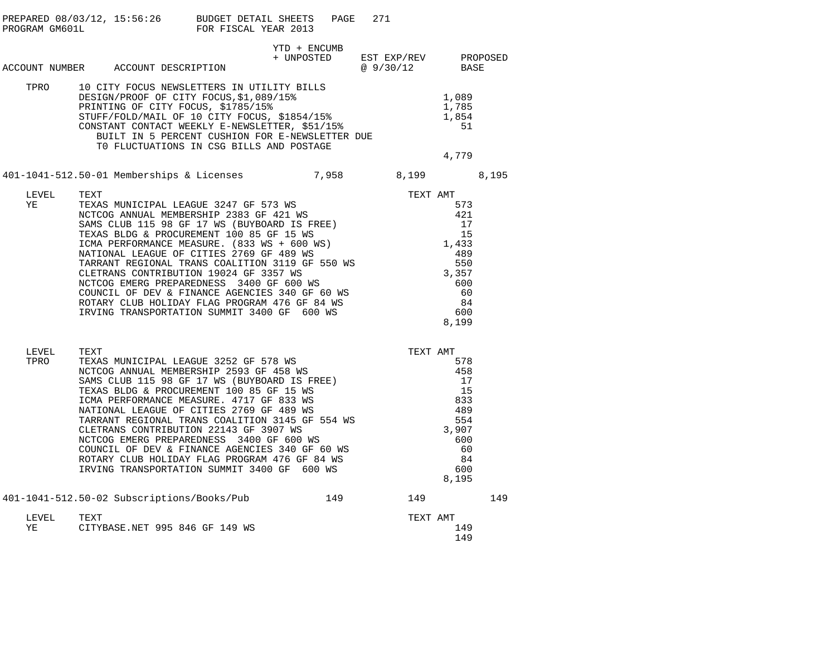|               |      | PREPARED 08/03/12, 15:56:26 BUDGET DETAIL SHEETS<br>PROGRAM GM601L FOR FISCAL YEAR 2013                                                                                                                                                                                                                                                                                             |                                                 | PAGE | 271 |           |                                                             |     |
|---------------|------|-------------------------------------------------------------------------------------------------------------------------------------------------------------------------------------------------------------------------------------------------------------------------------------------------------------------------------------------------------------------------------------|-------------------------------------------------|------|-----|-----------|-------------------------------------------------------------|-----|
|               |      | ACCOUNT NUMBER ACCOUNT DESCRIPTION                                                                                                                                                                                                                                                                                                                                                  | YTD + ENCUMB<br>+ UNPOSTED EST EXP/REV PROPOSED |      |     | @ 9/30/12 | BASE                                                        |     |
|               |      | TPRO 10 CITY FOCUS NEWSLETTERS IN UTILITY BILLS<br>DESIGN/PROOF OF CITY FOCUS, \$1,089/15%<br>PRINTING OF CITY FOCUS, \$1785/15%<br>STUFF/FOLD/MAIL OF 10 CITY FOCUS, \$1854/15%<br>CONSTANT CONTACT WEEKLY E-NEWSLETTER, \$51/15%<br>BUILT IN 5 PERCENT CUSHION FOR E-NEWSLETTER DUE<br>TO FLUCTUATIONS IN CSC PILLS AND PASSETTER DUE<br>TO FLUCTUATIONS IN CSG BILLS AND POSTAGE |                                                 |      |     |           | 1,089<br>1,785<br>$1,700$<br>$1,854$<br>$51$<br>51<br>4,779 |     |
|               |      | 401-1041-512.50-01 Memberships & Licenses 7,958 8,199 8,195                                                                                                                                                                                                                                                                                                                         |                                                 |      |     |           |                                                             |     |
| LEVEL<br>YE   |      |                                                                                                                                                                                                                                                                                                                                                                                     |                                                 |      |     |           |                                                             |     |
| LEVEL<br>TPRO |      |                                                                                                                                                                                                                                                                                                                                                                                     |                                                 |      |     |           | 8,195                                                       |     |
|               |      | 401-1041-512.50-02 Subscriptions/Books/Pub 149                                                                                                                                                                                                                                                                                                                                      |                                                 |      |     | 149       |                                                             | 149 |
| LEVEL<br>YE   | TEXT | CITYBASE.NET 995 846 GF 149 WS                                                                                                                                                                                                                                                                                                                                                      |                                                 |      |     | TEXT AMT  | 149<br>149                                                  |     |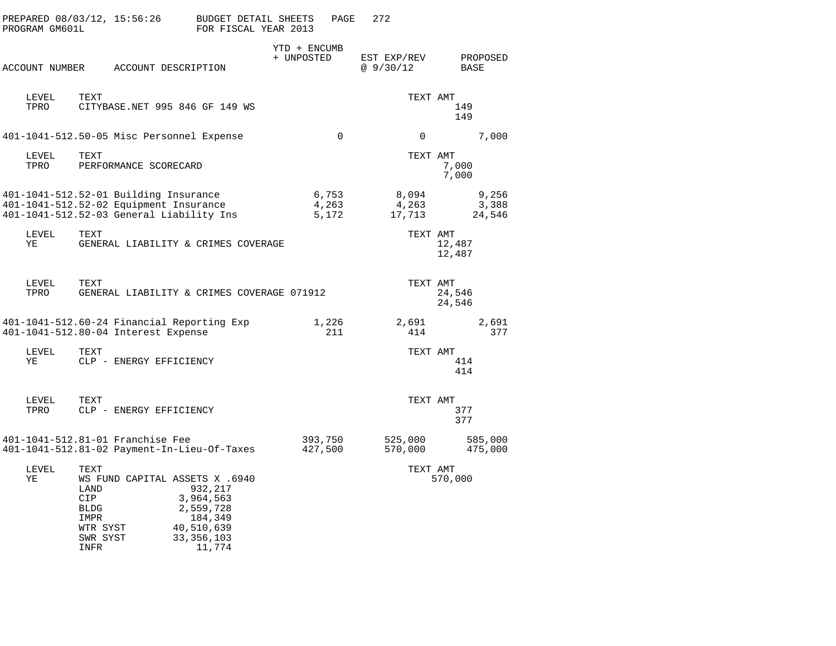| PROGRAM GM601L |                                                                     | PREPARED 08/03/12, 15:56:26                                                                                                 | BUDGET DETAIL SHEETS<br>FOR FISCAL YEAR 2013                                                                           |            | PAGE                    | 272                      |   |                              |
|----------------|---------------------------------------------------------------------|-----------------------------------------------------------------------------------------------------------------------------|------------------------------------------------------------------------------------------------------------------------|------------|-------------------------|--------------------------|---|------------------------------|
|                |                                                                     | ACCOUNT NUMBER ACCOUNT DESCRIPTION                                                                                          |                                                                                                                        | + UNPOSTED | YTD + ENCUMB            | EST EXP/REV<br>@ 9/30/12 |   | PROPOSED<br>BASE             |
| LEVEL<br>TPRO  | TEXT                                                                |                                                                                                                             | CITYBASE.NET 995 846 GF 149 WS                                                                                         |            |                         |                          |   | TEXT AMT<br>149<br>149       |
|                |                                                                     | 401-1041-512.50-05 Misc Personnel Expense                                                                                   |                                                                                                                        |            | $\overline{0}$          |                          | 0 | 7,000                        |
| LEVEL<br>TPRO  | TEXT                                                                | PERFORMANCE SCORECARD                                                                                                       |                                                                                                                        |            |                         |                          |   | TEXT AMT<br>7,000<br>7,000   |
|                |                                                                     | 401-1041-512.52-01 Building Insurance<br>401-1041-512.52-02 Equipment Insurance<br>401-1041-512.52-03 General Liability Ins |                                                                                                                        |            | 6,753<br>4,263<br>5,172 | 8,094<br>4,263<br>17,713 |   | 9,256<br>3,388<br>24,546     |
| LEVEL<br>ΥE    | TEXT                                                                |                                                                                                                             | GENERAL LIABILITY & CRIMES COVERAGE                                                                                    |            |                         |                          |   | TEXT AMT<br>12,487<br>12,487 |
| LEVEL<br>TPRO  | TEXT                                                                |                                                                                                                             | GENERAL LIABILITY & CRIMES COVERAGE 071912                                                                             |            |                         |                          |   | TEXT AMT<br>24,546<br>24,546 |
|                |                                                                     | 401-1041-512.80-04 Interest Expense                                                                                         | 401-1041-512.60-24 Financial Reporting Exp                                                                             |            | 1,226<br>211            | 2,691<br>414             |   | 2,691<br>377                 |
| LEVEL<br>ΥE    | TEXT                                                                | CLP - ENERGY EFFICIENCY                                                                                                     |                                                                                                                        |            |                         |                          |   | TEXT AMT<br>414<br>414       |
| LEVEL<br>TPRO  | TEXT                                                                | CLP - ENERGY EFFICIENCY                                                                                                     |                                                                                                                        |            |                         |                          |   | TEXT AMT<br>377<br>377       |
|                |                                                                     | 401-1041-512.81-01 Franchise Fee                                                                                            | 401-1041-512.81-02 Payment-In-Lieu-Of-Taxes                                                                            |            | 393,750<br>427,500      | 525,000<br>570,000       |   | 585,000<br>475,000           |
| LEVEL<br>ΥE    | TEXT<br>LAND<br>CIP<br>BLDG<br>IMPR<br>WTR SYST<br>SWR SYST<br>INFR |                                                                                                                             | WS FUND CAPITAL ASSETS X .6940<br>932,217<br>3,964,563<br>2,559,728<br>184,349<br>40,510,639<br>33, 356, 103<br>11,774 |            |                         |                          |   | TEXT AMT<br>570,000          |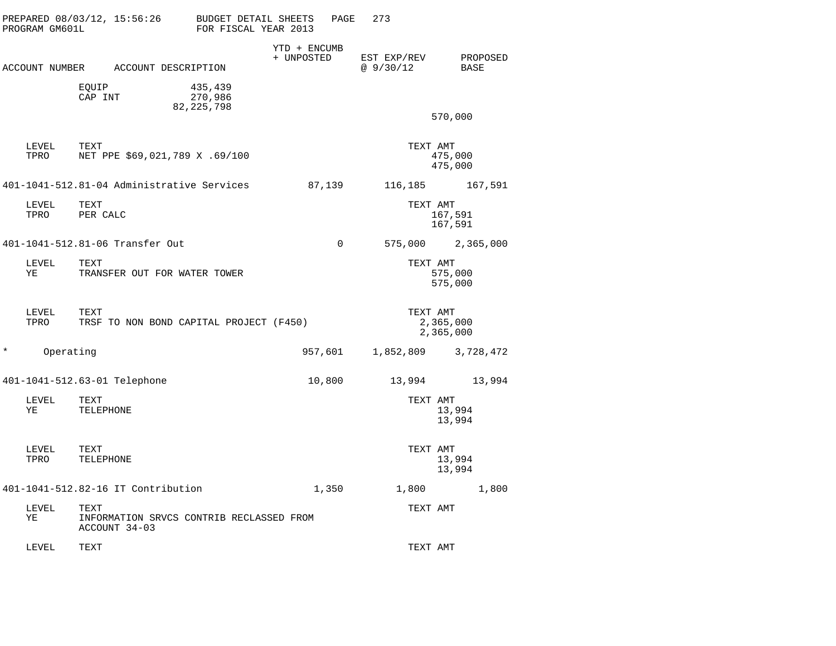|         | PROGRAM GM601L | PREPARED 08/03/12, 15:56:26 BUDGET DETAIL SHEETS                  | FOR FISCAL YEAR 2013               |                            | PAGE     | 273                     |                        |
|---------|----------------|-------------------------------------------------------------------|------------------------------------|----------------------------|----------|-------------------------|------------------------|
|         |                | ACCOUNT NUMBER ACCOUNT DESCRIPTION                                |                                    | YTD + ENCUMB<br>+ UNPOSTED |          | EST EXP/REV<br>@9/30/12 | PROPOSED<br>BASE       |
|         |                | EQUIP<br>CAP INT                                                  | 435,439<br>270,986<br>82, 225, 798 |                            |          |                         | 570,000                |
|         |                |                                                                   |                                    |                            |          |                         |                        |
|         | LEVEL<br>TPRO  | TEXT<br>NET PPE \$69,021,789 X .69/100                            |                                    |                            |          | TEXT AMT                | 475,000<br>475,000     |
|         |                | 401-1041-512.81-04 Administrative Services                        |                                    | 87,139                     |          |                         | 116,185 167,591        |
|         | LEVEL<br>TPRO  | TEXT<br>PER CALC                                                  |                                    |                            |          | TEXT AMT                | 167,591<br>167,591     |
|         |                | 401-1041-512.81-06 Transfer Out                                   |                                    |                            | $\Omega$ |                         | 575,000 2,365,000      |
|         | LEVEL<br>YE    | TEXT<br>TRANSFER OUT FOR WATER TOWER                              |                                    |                            |          | TEXT AMT                | 575,000<br>575,000     |
|         | LEVEL<br>TPRO  | TEXT<br>TRSF TO NON BOND CAPITAL PROJECT (F450)                   |                                    |                            |          | TEXT AMT                | 2,365,000<br>2,365,000 |
| $\star$ | Operating      |                                                                   |                                    |                            | 957,601  |                         | 1,852,809 3,728,472    |
|         |                | 401-1041-512.63-01 Telephone                                      |                                    |                            | 10,800   | 13,994                  | 13,994                 |
|         | LEVEL<br>ΥE    | TEXT<br>TELEPHONE                                                 |                                    |                            |          | TEXT AMT                | 13,994<br>13,994       |
|         | LEVEL<br>TPRO  | TEXT<br>TELEPHONE                                                 |                                    |                            |          | TEXT AMT                | 13,994<br>13,994       |
|         |                | 401-1041-512.82-16 IT Contribution                                |                                    |                            | 1,350    | 1,800                   | 1,800                  |
|         | LEVEL<br>ΥE    | TEXT<br>INFORMATION SRVCS CONTRIB RECLASSED FROM<br>ACCOUNT 34-03 |                                    |                            |          | TEXT AMT                |                        |
|         | LEVEL          | TEXT                                                              |                                    |                            |          | TEXT AMT                |                        |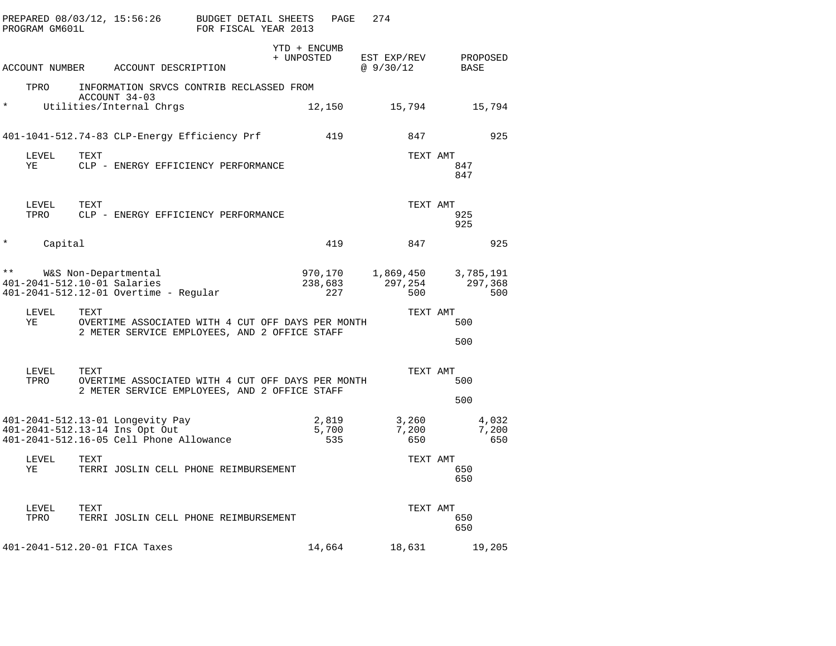|          | PROGRAM GM601L |      | PREPARED 08/03/12, 15:56:26 BUDGET DETAIL SHEETS                                                              | FOR FISCAL YEAR 2013 |                            | PAGE                      | 274                              |          |                     |                       |  |
|----------|----------------|------|---------------------------------------------------------------------------------------------------------------|----------------------|----------------------------|---------------------------|----------------------------------|----------|---------------------|-----------------------|--|
|          |                |      | ACCOUNT NUMBER ACCOUNT DESCRIPTION                                                                            |                      | YTD + ENCUMB<br>+ UNPOSTED |                           | EST EXP/REV PROPOSED<br>@9/30/12 |          | BASE                |                       |  |
|          | TPRO           |      | INFORMATION SRVCS CONTRIB RECLASSED FROM                                                                      |                      |                            |                           |                                  |          |                     |                       |  |
| $\star$  |                |      | ACCOUNT 34-03<br>Utilities/Internal Chrgs                                                                     |                      |                            | 12,150                    |                                  |          | 15,794 15,794       |                       |  |
|          |                |      | 401-1041-512.74-83 CLP-Energy Efficiency Prf                                                                  |                      |                            | 419                       |                                  | 847      |                     | 925                   |  |
|          | LEVEL<br>ΥE    | TEXT | CLP - ENERGY EFFICIENCY PERFORMANCE                                                                           |                      |                            |                           |                                  | TEXT AMT | 847<br>847          |                       |  |
|          | LEVEL<br>TPRO  | TEXT | CLP - ENERGY EFFICIENCY PERFORMANCE                                                                           |                      |                            |                           |                                  | TEXT AMT | 925<br>925          |                       |  |
| $^\star$ | Capital        |      |                                                                                                               |                      |                            | 419                       |                                  | 847      |                     | 925                   |  |
|          |                |      | ** W&S Non-Departmental<br>401-2041-512.10-01 Salaries<br>401-2041-512.12-01 Overtime - Regular               |                      |                            | 970,170<br>238,683<br>227 | 297,254                          | 500      | 1,869,450 3,785,191 | 297,368<br>500        |  |
|          | LEVEL<br>ΥE    | TEXT | OVERTIME ASSOCIATED WITH 4 CUT OFF DAYS PER MONTH<br>2 METER SERVICE EMPLOYEES, AND 2 OFFICE STAFF            |                      |                            |                           |                                  | TEXT AMT | 500<br>500          |                       |  |
|          | LEVEL<br>TPRO  | TEXT | OVERTIME ASSOCIATED WITH 4 CUT OFF DAYS PER MONTH<br>2 METER SERVICE EMPLOYEES, AND 2 OFFICE STAFF            |                      |                            |                           |                                  | TEXT AMT | 500<br>500          |                       |  |
|          |                |      | 401-2041-512.13-01 Longevity Pay<br>401-2041-512.13-14 Ins Opt Out<br>401-2041-512.16-05 Cell Phone Allowance |                      |                            | 2,819<br>5,700<br>535     | 7,200<br>650                     | 3,260    |                     | 4,032<br>7,200<br>650 |  |
|          | LEVEL<br>ΥE    | TEXT | TERRI JOSLIN CELL PHONE REIMBURSEMENT                                                                         |                      |                            |                           |                                  | TEXT AMT | 650<br>650          |                       |  |
|          | LEVEL<br>TPRO  | TEXT | TERRI JOSLIN CELL PHONE REIMBURSEMENT                                                                         |                      |                            |                           |                                  | TEXT AMT | 650<br>650          |                       |  |
|          |                |      | 401-2041-512.20-01 FICA Taxes                                                                                 |                      |                            | 14,664                    | 18,631                           |          |                     | 19,205                |  |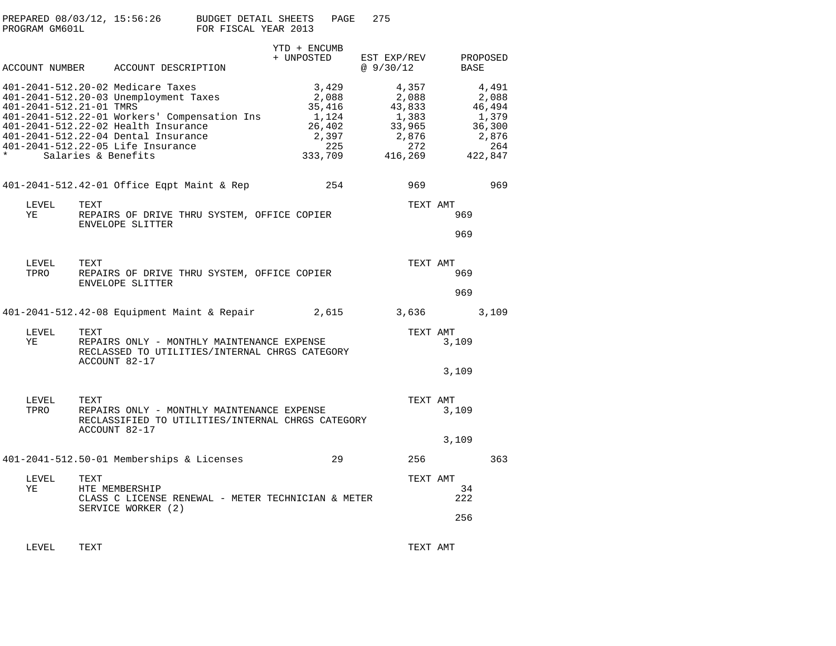| PROGRAM GM601L                     | PREPARED 08/03/12, 15:56:26 BUDGET DETAIL SHEETS PAGE                                                                                                                                                                                                                | FOR FISCAL YEAR 2013 |                                                   | 275                                                                                   |            |                                                                        |
|------------------------------------|----------------------------------------------------------------------------------------------------------------------------------------------------------------------------------------------------------------------------------------------------------------------|----------------------|---------------------------------------------------|---------------------------------------------------------------------------------------|------------|------------------------------------------------------------------------|
|                                    | ACCOUNT NUMBER ACCOUNT DESCRIPTION                                                                                                                                                                                                                                   |                      | YTD + ENCUMB<br>+ UNPOSTED                        | EST EXP/REV<br>@ 9/30/12                                                              | BASE       | PROPOSED                                                               |
| 401-2041-512.21-01 TMRS<br>$\star$ | 401-2041-512.20-02 Medicare Taxes<br>401-2041-512.20-03 Unemployment Taxes<br>401-2041-512.22-01 Workers' Compensation Ins<br>401-2041-512.22-02 Health Insurance<br>401-2041-512.22-04 Dental Insurance<br>401-2041-512.22-05 Life Insurance<br>Salaries & Benefits |                      | 3,429<br>2,088<br>35,416<br>1,124<br>2,397<br>225 | 4,357<br>2,088<br>43,833<br>1,383<br>26,402 33,965<br>2,876<br>272<br>333,709 416,269 |            | 4,491<br>2,088<br>46,494<br>1,379<br>36,300<br>2,876<br>264<br>422,847 |
|                                    | 401-2041-512.42-01 Office Eqpt Maint & Rep                                                                                                                                                                                                                           |                      | 254                                               | 969                                                                                   |            | 969                                                                    |
| LEVEL<br>YE                        | TEXT<br>REPAIRS OF DRIVE THRU SYSTEM, OFFICE COPIER<br>ENVELOPE SLITTER                                                                                                                                                                                              |                      |                                                   | TEXT AMT                                                                              | 969<br>969 |                                                                        |
| LEVEL<br>TPRO                      | TEXT<br>REPAIRS OF DRIVE THRU SYSTEM, OFFICE COPIER<br><b>ENVELOPE SLITTER</b>                                                                                                                                                                                       |                      |                                                   | TEXT AMT                                                                              | 969<br>969 |                                                                        |
|                                    | 401-2041-512.42-08 Equipment Maint & Repair                                                                                                                                                                                                                          |                      | 2,615                                             | 3,636                                                                                 |            | 3,109                                                                  |

| LEVEL<br>ΥE   | TEXT<br>REPAIRS ONLY - MONTHLY MAINTENANCE EXPENSE<br>RECLASSED TO UTILITIES/INTERNAL CHRGS CATEGORY<br>ACCOUNT 82-17           | TEXT AMT<br>3,109 |
|---------------|---------------------------------------------------------------------------------------------------------------------------------|-------------------|
|               |                                                                                                                                 | 3,109             |
| LEVEL<br>TPRO | <b>TEXT</b><br>REPAIRS ONLY - MONTHLY MAINTENANCE EXPENSE<br>RECLASSIFIED TO UTILITIES/INTERNAL CHRGS CATEGORY<br>ACCOUNT 82-17 | TEXT AMT<br>3,109 |
|               |                                                                                                                                 |                   |

401-2041-512.50-01 Memberships & Licenses 29 256 363 LEVEL TEXT TEXT AMTYE HTE MEMBERSHIP 34 222 CLASS C LICENSE RENEWAL - METER TECHNICIAN & METER SERVICE WORKER (2)

LEVEL TEXT TEXT AMT

256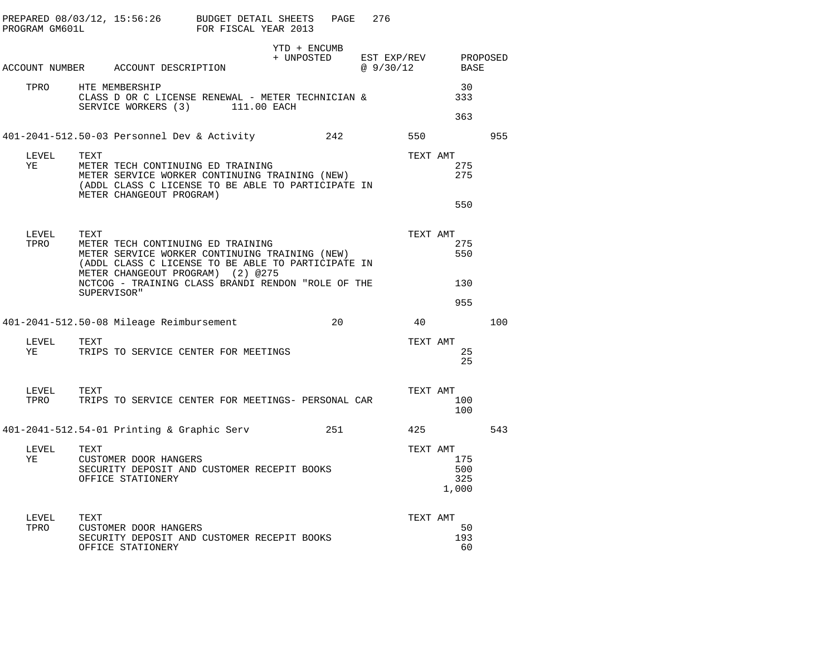| PROGRAM GM601L |      | PREPARED 08/03/12, 15:56:26 BUDGET DETAIL SHEETS                                                                                                                                                                                                    | FOR FISCAL YEAR 2013 |                            | PAGE | 276                              |          |                                             |     |
|----------------|------|-----------------------------------------------------------------------------------------------------------------------------------------------------------------------------------------------------------------------------------------------------|----------------------|----------------------------|------|----------------------------------|----------|---------------------------------------------|-----|
|                |      | ACCOUNT NUMBER ACCOUNT DESCRIPTION                                                                                                                                                                                                                  |                      | YTD + ENCUMB<br>+ UNPOSTED |      | EST EXP/REV PROPOSED<br>@9/30/12 |          | BASE                                        |     |
| TPRO           |      | HTE MEMBERSHIP<br>CLASS D OR C LICENSE RENEWAL - METER TECHNICIAN &<br>SERVICE WORKERS (3) 111.00 EACH                                                                                                                                              |                      |                            |      |                                  |          | 30<br>333<br>363                            |     |
|                |      | 401-2041-512.50-03 Personnel Dev & Activity                                                                                                                                                                                                         |                      |                            | 242  |                                  | 550      |                                             | 955 |
| LEVEL<br>YE    | TEXT | METER TECH CONTINUING ED TRAINING<br>METER SERVICE WORKER CONTINUING TRAINING (NEW)<br>(ADDL CLASS C LICENSE TO BE ABLE TO PARTICIPATE IN<br>METER CHANGEOUT PROGRAM)                                                                               |                      |                            |      |                                  | TEXT AMT | 275<br>275                                  |     |
| LEVEL<br>TPRO  | TEXT | METER TECH CONTINUING ED TRAINING<br>METER SERVICE WORKER CONTINUING TRAINING (NEW)<br>(ADDL CLASS C LICENSE TO BE ABLE TO PARTICIPATE IN<br>METER CHANGEOUT PROGRAM) (2) @275<br>NCTCOG - TRAINING CLASS BRANDI RENDON "ROLE OF THE<br>SUPERVISOR" |                      |                            |      |                                  |          | 550<br>TEXT AMT<br>275<br>550<br>130<br>955 |     |
|                |      | 401-2041-512.50-08 Mileage Reimbursement                                                                                                                                                                                                            |                      |                            | 20   |                                  | 40       |                                             | 100 |
| LEVEL<br>YE    | TEXT | TRIPS TO SERVICE CENTER FOR MEETINGS                                                                                                                                                                                                                |                      |                            |      |                                  | TEXT AMT | 25<br>25                                    |     |
| LEVEL<br>TPRO  | TEXT | TRIPS TO SERVICE CENTER FOR MEETINGS- PERSONAL CAR                                                                                                                                                                                                  |                      |                            |      |                                  | TEXT AMT | 100<br>100                                  |     |
|                |      | 401-2041-512.54-01 Printing & Graphic Serv                                                                                                                                                                                                          |                      |                            | 251  |                                  | 425      |                                             | 543 |
| LEVEL<br>YE    | TEXT | CUSTOMER DOOR HANGERS<br>SECURITY DEPOSIT AND CUSTOMER RECEPIT BOOKS<br>OFFICE STATIONERY                                                                                                                                                           |                      |                            |      |                                  | TEXT AMT | 175<br>500<br>325<br>1,000                  |     |
| LEVEL<br>TPRO  | TEXT | CUSTOMER DOOR HANGERS<br>SECURITY DEPOSIT AND CUSTOMER RECEPIT BOOKS<br>OFFICE STATIONERY                                                                                                                                                           |                      |                            |      |                                  | TEXT AMT | 50<br>193<br>60                             |     |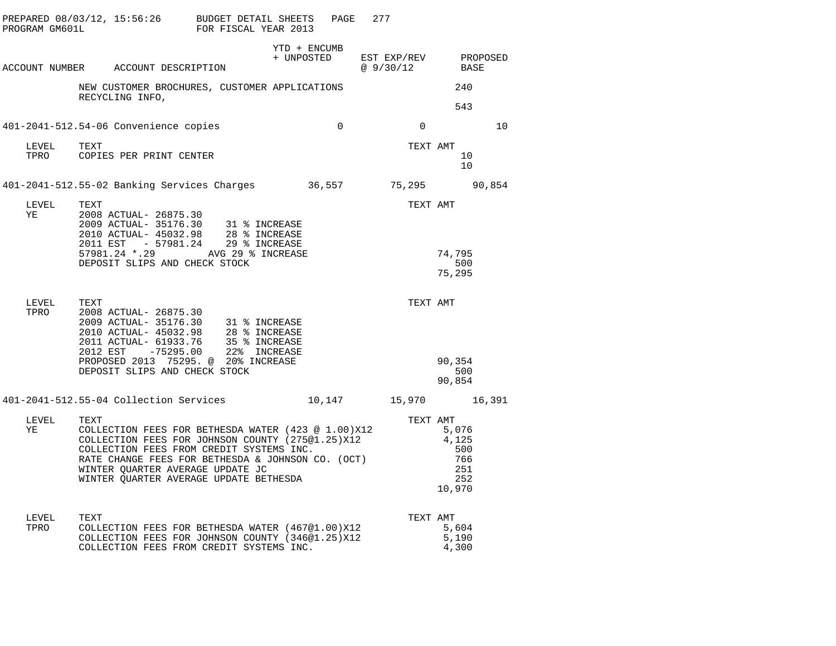|               | PREPARED 08/03/12, 15:56:26 BUDGET DETAIL SHEETS<br>PROGRAM GM601L FOR FISCAL YEAR 2013                                                                                                                                                                               |              | PAGE           | 277                                          |                                             |    |
|---------------|-----------------------------------------------------------------------------------------------------------------------------------------------------------------------------------------------------------------------------------------------------------------------|--------------|----------------|----------------------------------------------|---------------------------------------------|----|
|               | ACCOUNT NUMBER ACCOUNT DESCRIPTION                                                                                                                                                                                                                                    | YTD + ENCUMB |                | + UNPOSTED EST EXP/REV PROPOSED<br>@ 9/30/12 | BASE                                        |    |
|               | NEW CUSTOMER BROCHURES, CUSTOMER APPLICATIONS                                                                                                                                                                                                                         |              |                |                                              | 240                                         |    |
|               | RECYCLING INFO,                                                                                                                                                                                                                                                       |              |                |                                              | 543                                         |    |
|               | 401-2041-512.54-06 Convenience copies                                                                                                                                                                                                                                 |              | $\overline{0}$ | $\overline{0}$                               |                                             | 10 |
| LEVEL TEXT    | TPRO COPIES PER PRINT CENTER                                                                                                                                                                                                                                          |              |                | TEXT AMT                                     | 10<br>10                                    |    |
|               | 401-2041-512.55-02 Banking Services Charges 36,557 75,295 90,854                                                                                                                                                                                                      |              |                |                                              |                                             |    |
| LEVEL<br>ΥE   | TEXT<br>2008 ACTUAL- 26875.30<br>2009 ACTUAL- 35176.30 31 % INCREASE<br>2010 ACTUAL- 45032.98 28 % INCREASE                                                                                                                                                           |              |                | TEXT AMT                                     |                                             |    |
|               | 2011 EST - 57981.24 29 % INCREASE<br>57981.24 *.29 AVG 29 % INCREASE<br>DEPOSIT SLIPS AND CHECK STOCK                                                                                                                                                                 |              |                |                                              | 74,795<br>500<br>75,295                     |    |
| LEVEL<br>TPRO | TEXT<br>2008 ACTUAL- 26875.30<br>2012 EST -75295.00 22% INCREASE                                                                                                                                                                                                      |              |                | TEXT AMT                                     |                                             |    |
|               | PROPOSED 2013 75295. @ 20% INCREASE<br>DEPOSIT SLIPS AND CHECK STOCK                                                                                                                                                                                                  |              |                |                                              | 90,354<br>500<br>90,854                     |    |
|               | 401-2041-512.55-04 Collection Services 10,147 15,970 16,391                                                                                                                                                                                                           |              |                |                                              |                                             |    |
| LEVEL<br>ΥE   | TEXT<br>COLLECTION FEES FOR BETHESDA WATER (423 @ 1.00)X12 5,076<br>COLLECTION FEES FOR JOHNSON COUNTY (275@1.25)X12 4,125<br>COLLECTION FEES FROM CREDIT SYSTEMS INC.<br>RATE CHANGE FEES FOR BETHESDA & JOHNSON CO. (OCT)<br>WINTER QUARTER AVERAGE UPDATE BETHESDA |              |                | TEXT AMT                                     | 5,076<br>500<br>766<br>251<br>252<br>10,970 |    |
| LEVEL<br>TPRO | TEXT<br>COLLECTION FEES FOR BETHESDA WATER (467@1.00)X12<br>COLLECTION FEES FOR JOHNSON COUNTY (346@1.25)X12<br>COLLECTION FEES FROM CREDIT SYSTEMS INC.                                                                                                              |              |                | TEXT AMT                                     | 5,604<br>5,190<br>4,300                     |    |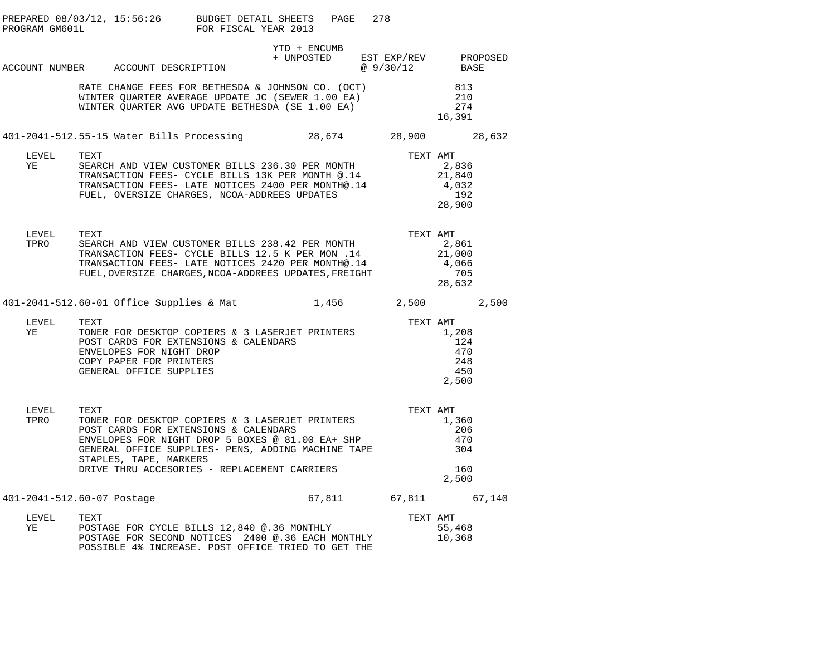|                            |      | PREPARED 08/03/12, 15:56:26 BUDGET DETAIL SHEETS PAGE 278<br>PROGRAM GM601L FOR FISCAL YEAR 2013                                                                                                                                                                             |              |  |                                                   |                                            |  |
|----------------------------|------|------------------------------------------------------------------------------------------------------------------------------------------------------------------------------------------------------------------------------------------------------------------------------|--------------|--|---------------------------------------------------|--------------------------------------------|--|
|                            |      | ACCOUNT NUMBER ACCOUNT DESCRIPTION                                                                                                                                                                                                                                           | YTD + ENCUMB |  | + UNPOSTED EST EXP/REV PROPOSED<br>@ 9/30/12 BASE |                                            |  |
|                            |      | RATE CHANGE FEES FOR BETHESDA & JOHNSON CO. (OCT)<br>WINTER QUARTER AVERAGE UPDATE JC (SEWER 1.00 EA)<br>WINTER QUARTER AVG UPDATE BETHESDA (SE 1.00 EA)                                                                                                                     |              |  |                                                   | 813<br>210<br>$\frac{2}{274}$<br>16,391    |  |
|                            |      | 401-2041-512.55-15 Water Bills Processing 28,674 28,900 28,632                                                                                                                                                                                                               |              |  |                                                   |                                            |  |
| LEVEL<br>YE                | TEXT | EXERCH AND VIEW CUSTOMER BILLS 236.30 PER MONTH 2,836<br>TRANSACTION FEES- CYCLE BILLS 13K PER MONTH @.14 21,840<br>TRANSACTION FEES- LATE NOTICES 2400 PER MONTH@.14 4,032<br>FUEL, OVERSIZE CHARGES, NCOA-ADDREES UPDATES 192                                              |              |  | TEXT AMT                                          | 28,900                                     |  |
| LEVEL<br>TPRO              | TEXT | TEXT<br>SEARCH AND VIEW CUSTOMER BILLS 238.42 PER MONTH<br>SEARCH AND VIEW CUSTOMER BILLS 230.42 FER MON .14<br>TRANSACTION FEES- CYCLE BILLS 12.5 K PER MON .14<br>TRANSACTION FEES- LATE NOTICES 2420 PER MONTH@.14<br>FUEL,OVERSIZE CHARGES,NCOA-ADDREES UPDATES,FREIGHT  |              |  | TEXT AMT                                          | 2,861<br>21,000<br>4,066<br>705<br>28,632  |  |
|                            |      | 401-2041-512.60-01 Office Supplies & Mat 1,456 2,500 2,500                                                                                                                                                                                                                   |              |  |                                                   |                                            |  |
| LEVEL<br>YE                |      | TEXT AMT<br>TONER FOR DESKTOP COPIERS & 3 LASERJET PRINTERS<br>POST CARDS FOR EXTENSIONS & CALENDARS<br>ENVELOPES FOR NIGHT DROP<br>COPY PAPER FOR PRINTERS<br>GENERAL OFFICE SUPPLIES<br>450                                                                                |              |  |                                                   |                                            |  |
| LEVEL<br>TPRO              | TEXT | TONER FOR DESKTOP COPIERS & 3 LASERJET PRINTERS<br>POST CARDS FOR EXTENSIONS & CALENDARS<br>ENVELOPES FOR NIGHT DROP 5 BOXES @ 81.00 EA+ SHP<br>GENERAL OFFICE SUPPLIES- PENS, ADDING MACHINE TAPE<br>STAPLES, TAPE, MARKERS<br>DRIVE THRU ACCESORIES - REPLACEMENT CARRIERS |              |  | TEXT AMT                                          | 1,360<br>206<br>470<br>304<br>160<br>2,500 |  |
| 401-2041-512.60-07 Postage |      |                                                                                                                                                                                                                                                                              |              |  | 67,811 67,811 67,140                              |                                            |  |
| LEVEL<br>YE                | TEXT | TEXT<br>POSTAGE FOR CYCLE BILLS 12,840 @.36 MONTHLY<br>POSTAGE FOR SECOND NOTICES 2400 @.36 EACH MONTHLY<br>POSSIBLE 4% INCREASE. POST OFFICE TRIED TO GET THE                                                                                                               |              |  | TEXT AMT                                          | 55,468<br>10,368                           |  |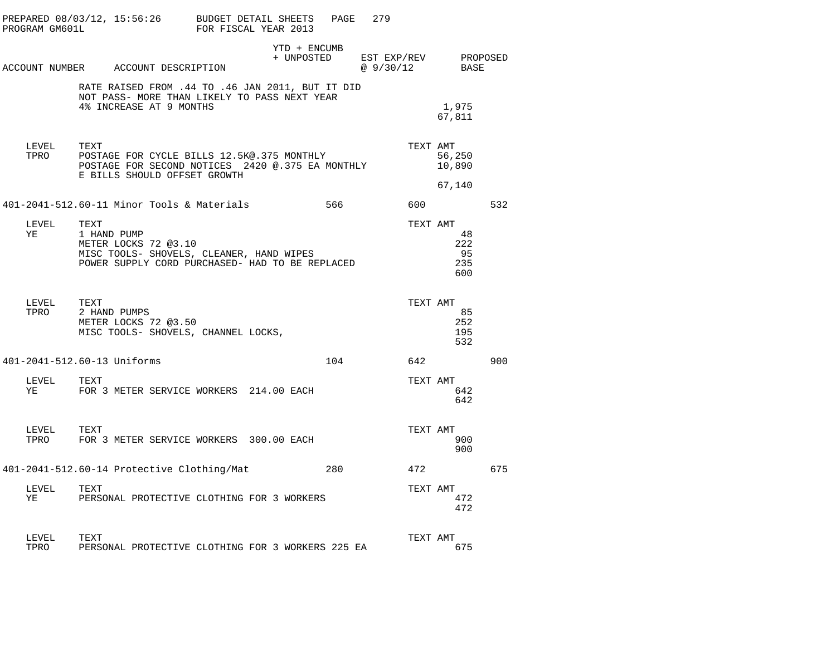|               | PREPARED 08/03/12, 15:56:26 BUDGET DETAIL SHEETS PAGE<br>PROGRAM GM601L                                                                    | FOR FISCAL YEAR 2013 |                            | 279                                    |                                             |     |  |
|---------------|--------------------------------------------------------------------------------------------------------------------------------------------|----------------------|----------------------------|----------------------------------------|---------------------------------------------|-----|--|
|               | ACCOUNT NUMBER ACCOUNT DESCRIPTION                                                                                                         |                      | YTD + ENCUMB<br>+ UNPOSTED | EST EXP/REV PROPOSED<br>@ 9/30/12 BASE |                                             |     |  |
|               | RATE RAISED FROM .44 TO .46 JAN 2011, BUT IT DID<br>NOT PASS- MORE THAN LIKELY TO PASS NEXT YEAR<br>4% INCREASE AT 9 MONTHS                |                      |                            |                                        | 1,975<br>67,811                             |     |  |
| LEVEL TEXT    | TPRO POSTAGE FOR CYCLE BILLS 12.5K@.375 MONTHLY<br>POSTAGE FOR SECOND NOTICES 2420 @.375 EA MONTHLY<br>E BILLS SHOULD OFFSET GROWTH        |                      |                            |                                        | TEXT AMT<br>56,250<br>10,890<br>67,140      |     |  |
|               | 401-2041-512.60-11 Minor Tools & Materials                                                                                                 |                      | 566 -                      |                                        | 600 000                                     | 532 |  |
| LEVEL<br>YE   | TEXT<br>1 HAND PUMP<br>METER LOCKS 72 @3.10<br>MISC TOOLS- SHOVELS, CLEANER, HAND WIPES<br>POWER SUPPLY CORD PURCHASED- HAD TO BE REPLACED |                      |                            |                                        | TEXT AMT<br>48<br>222<br>- 95<br>235<br>600 |     |  |
| LEVEL TEXT    | TPRO 2 HAND PUMPS<br>METER LOCKS 72 @3.50<br>MISC TOOLS- SHOVELS, CHANNEL LOCKS,                                                           |                      |                            |                                        | TEXT AMT<br>85<br>252<br>195<br>532         |     |  |
|               | 401-2041-512.60-13 Uniforms                                                                                                                |                      | 104                        |                                        | 642                                         | 900 |  |
| LEVEL         | TEXT<br>YE FOR 3 METER SERVICE WORKERS 214.00 EACH                                                                                         |                      |                            |                                        | TEXT AMT<br>642<br>642                      |     |  |
| LEVEL TEXT    | TPRO FOR 3 METER SERVICE WORKERS 300.00 EACH                                                                                               |                      |                            |                                        | TEXT AMT<br>900<br>900                      |     |  |
|               | 401-2041-512.60-14 Protective Clothing/Mat                                                                                                 |                      |                            | 280 and $\sim$                         | 472                                         | 675 |  |
| LEVEL         | TEXT<br>YE PERSONAL PROTECTIVE CLOTHING FOR 3 WORKERS                                                                                      |                      |                            |                                        | TEXT AMT<br>472<br>472                      |     |  |
| LEVEL<br>TPRO | TEXT<br>PERSONAL PROTECTIVE CLOTHING FOR 3 WORKERS 225 EA                                                                                  |                      |                            |                                        | TEXT AMT<br>675                             |     |  |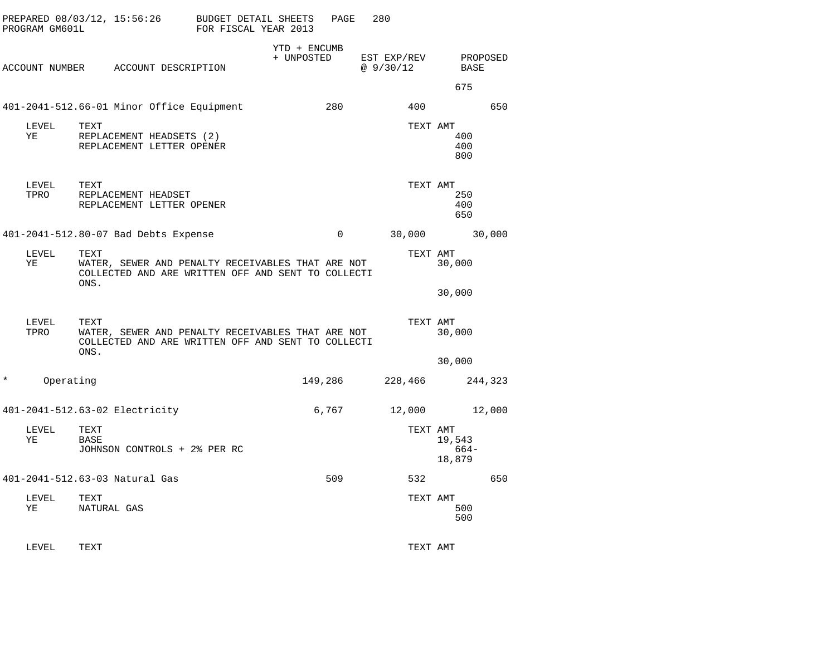|   | PREPARED 08/03/12, 15:56:26<br>PROGRAM GM601L |                     |                                                       | <b>BUDGET DETAIL SHEETS</b><br>FOR FISCAL YEAR 2013                                                     | PAGE        | 280                     |          |                          |         |
|---|-----------------------------------------------|---------------------|-------------------------------------------------------|---------------------------------------------------------------------------------------------------------|-------------|-------------------------|----------|--------------------------|---------|
|   |                                               |                     | ACCOUNT NUMBER ACCOUNT DESCRIPTION                    | YTD + ENCUMB<br>+ UNPOSTED                                                                              |             | EST EXP/REV<br>@9/30/12 |          | PROPOSED<br>BASE         |         |
|   |                                               |                     |                                                       |                                                                                                         |             |                         |          | 675                      |         |
|   |                                               |                     | 401-2041-512.66-01 Minor Office Equipment             |                                                                                                         | 280         |                         | 400      |                          | 650     |
|   | LEVEL<br>YE                                   | TEXT                | REPLACEMENT HEADSETS (2)<br>REPLACEMENT LETTER OPENER |                                                                                                         |             |                         | TEXT AMT | 400<br>400<br>800        |         |
|   | LEVEL<br>TPRO                                 | TEXT                | REPLACEMENT HEADSET<br>REPLACEMENT LETTER OPENER      |                                                                                                         |             |                         | TEXT AMT | 250<br>400<br>650        |         |
|   |                                               |                     | 401-2041-512.80-07 Bad Debts Expense                  |                                                                                                         | $\mathbf 0$ |                         | 30,000   |                          | 30,000  |
|   | LEVEL<br>ΥE                                   | TEXT<br>ONS.        |                                                       | WATER, SEWER AND PENALTY RECEIVABLES THAT ARE NOT<br>COLLECTED AND ARE WRITTEN OFF AND SENT TO COLLECTI |             |                         | TEXT AMT | 30,000                   |         |
|   |                                               |                     |                                                       |                                                                                                         |             |                         |          | 30,000                   |         |
|   | LEVEL<br>TPRO                                 | TEXT<br>ONS.        |                                                       | WATER, SEWER AND PENALTY RECEIVABLES THAT ARE NOT<br>COLLECTED AND ARE WRITTEN OFF AND SENT TO COLLECTI |             |                         | TEXT AMT | 30,000                   |         |
| * |                                               |                     |                                                       |                                                                                                         |             |                         |          | 30,000                   |         |
|   | Operating                                     |                     |                                                       |                                                                                                         | 149,286     |                         | 228,466  |                          | 244,323 |
|   |                                               |                     | 401-2041-512.63-02 Electricity                        |                                                                                                         | 6,767       |                         | 12,000   |                          | 12,000  |
|   | LEVEL<br>ΥE                                   | TEXT<br>BASE        | JOHNSON CONTROLS + 2% PER RC                          |                                                                                                         |             |                         | TEXT AMT | 19,543<br>664-<br>18,879 |         |
|   |                                               |                     | 401-2041-512.63-03 Natural Gas                        |                                                                                                         | 509         |                         | 532      |                          | 650     |
|   | LEVEL<br>ΥE                                   | TEXT<br>NATURAL GAS |                                                       |                                                                                                         |             |                         | TEXT AMT | 500<br>500               |         |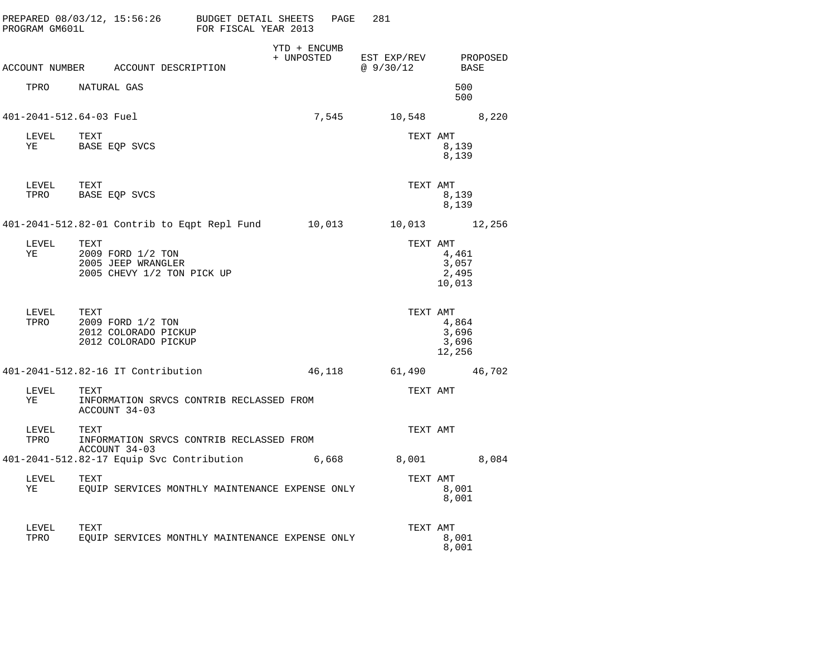| PROGRAM GM601L                                 | PREPARED 08/03/12, 15:56:26 BUDGET DETAIL SHEETS                              | FOR FISCAL YEAR 2013 |              | 281<br>PAGE                        |                                               |                  |
|------------------------------------------------|-------------------------------------------------------------------------------|----------------------|--------------|------------------------------------|-----------------------------------------------|------------------|
|                                                | ACCOUNT NUMBER ACCOUNT DESCRIPTION                                            |                      | YTD + ENCUMB | + UNPOSTED EST EXP/REV<br>@9/30/12 |                                               | PROPOSED<br>BASE |
|                                                | TPRO NATURAL GAS                                                              |                      |              |                                    | 500<br>500                                    |                  |
|                                                | 401-2041-512.64-03 Fuel                                                       |                      |              | 7,545                              | 10,548 8,220                                  |                  |
| LEVEL TEXT<br>YE                               | BASE EQP SVCS                                                                 |                      |              |                                    | TEXT AMT<br>8,139<br>8,139                    |                  |
| LEVEL TEXT                                     | TPRO BASE EQP SVCS                                                            |                      |              |                                    | TEXT AMT<br>8,139<br>8,139                    |                  |
|                                                | 401-2041-512.82-01 Contrib to Eqpt Repl Fund 10,013 10,013 12,256             |                      |              |                                    |                                               |                  |
| LEVEL<br>YE                                    | TEXT<br>2009 FORD 1/2 TON<br>2005 JEEP WRANGLER<br>2005 CHEVY 1/2 TON PICK UP |                      |              |                                    | TEXT AMT<br>4,461<br>3,057<br>2,495<br>10,013 |                  |
| ${\rm LEVEL} \hspace{20pt} {\rm TEXT}$<br>TPRO | 2009 FORD 1/2 TON<br>2012 COLORADO PICKUP<br>2012 COLORADO PICKUP             |                      |              |                                    | TEXT AMT<br>4,864<br>3,696<br>3,696<br>12,256 |                  |
|                                                | 401-2041-512.82-16 IT Contribution                                            |                      |              | 46,118 61,490 46,702               |                                               |                  |
| LEVEL<br>YE                                    | TEXT<br>INFORMATION SRVCS CONTRIB RECLASSED FROM<br>ACCOUNT 34-03             |                      |              |                                    | TEXT AMT                                      |                  |
| LEVEL<br>TPRO                                  | TEXT<br>INFORMATION SRVCS CONTRIB RECLASSED FROM<br>ACCOUNT 34-03             |                      |              |                                    | TEXT AMT                                      |                  |
|                                                | 401-2041-512.82-17 Equip Svc Contribution 6,668                               |                      |              |                                    | 8,001 8,084                                   |                  |
| LEVEL<br>YE                                    | TEXT<br>EQUIP SERVICES MONTHLY MAINTENANCE EXPENSE ONLY                       |                      |              |                                    | TEXT AMT<br>8,001<br>8,001                    |                  |
| LEVEL<br>TPRO                                  | TEXT<br>EOUIP SERVICES MONTHLY MAINTENANCE EXPENSE ONLY                       |                      |              |                                    | TEXT AMT<br>8,001<br>8,001                    |                  |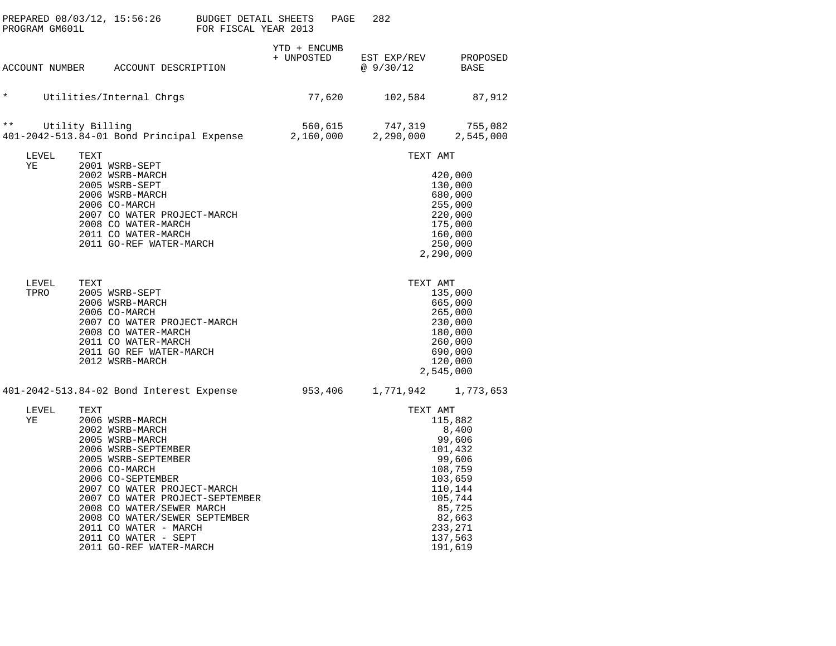| PROGRAM GM601L | PREPARED $08/03/12$ , $15:56:26$ BUDGET DETAIL SHEETS                                                                                                                                                                                                                                                                                                         | FOR FISCAL YEAR 2013 |                            | PAGE                 | 282                     |                                                                                                                                                  |
|----------------|---------------------------------------------------------------------------------------------------------------------------------------------------------------------------------------------------------------------------------------------------------------------------------------------------------------------------------------------------------------|----------------------|----------------------------|----------------------|-------------------------|--------------------------------------------------------------------------------------------------------------------------------------------------|
|                | ACCOUNT NUMBER ACCOUNT DESCRIPTION                                                                                                                                                                                                                                                                                                                            |                      | YTD + ENCUMB<br>+ UNPOSTED |                      | EST EXP/REV<br>@9/30/12 | PROPOSED<br>BASE                                                                                                                                 |
| $\star$        | Utilities/Internal Chrgs                                                                                                                                                                                                                                                                                                                                      |                      |                            | 77,620               | 102,584                 | 87,912                                                                                                                                           |
| $\star \star$  | Utility Billing<br>401-2042-513.84-01 Bond Principal Expense                                                                                                                                                                                                                                                                                                  |                      |                            | 560,615<br>2,160,000 | 747,319<br>2,290,000    | 755,082<br>2,545,000                                                                                                                             |
| LEVEL          | TEXT                                                                                                                                                                                                                                                                                                                                                          |                      |                            |                      | TEXT AMT                |                                                                                                                                                  |
| ΥE             | 2001 WSRB-SEPT<br>2002 WSRB-MARCH<br>2005 WSRB-SEPT<br>2006 WSRB-MARCH<br>2006 CO-MARCH<br>2007 CO WATER PROJECT-MARCH<br>2008 CO WATER-MARCH<br>2011 CO WATER-MARCH<br>2011 GO-REF WATER-MARCH                                                                                                                                                               |                      |                            |                      |                         | 420,000<br>130,000<br>680,000<br>255,000<br>220,000<br>175,000<br>160,000<br>250,000<br>2,290,000                                                |
| LEVEL<br>TPRO  | TEXT<br>2005 WSRB-SEPT<br>2006 WSRB-MARCH<br>2006 CO-MARCH<br>2007 CO WATER PROJECT-MARCH<br>2008 CO WATER-MARCH<br>2011 CO WATER-MARCH<br>2011 GO REF WATER-MARCH<br>2012 WSRB-MARCH                                                                                                                                                                         |                      |                            |                      | TEXT AMT                | 135,000<br>665,000<br>265,000<br>230,000<br>180,000<br>260,000<br>690,000<br>120,000<br>2,545,000                                                |
|                | 401-2042-513.84-02 Bond Interest Expense                                                                                                                                                                                                                                                                                                                      |                      |                            | 953,406              |                         | 1,771,942 1,773,653                                                                                                                              |
| LEVEL<br>ΥE    | TEXT<br>2006 WSRB-MARCH<br>2002 WSRB-MARCH<br>2005 WSRB-MARCH<br>2006 WSRB-SEPTEMBER<br>2005 WSRB-SEPTEMBER<br>2006 CO-MARCH<br>2006 CO-SEPTEMBER<br>2007 CO WATER PROJECT-MARCH<br>2007 CO WATER PROJECT-SEPTEMBER<br>2008 CO WATER/SEWER MARCH<br>2008 CO WATER/SEWER SEPTEMBER<br>2011 CO WATER - MARCH<br>2011 CO WATER - SEPT<br>2011 GO-REF WATER-MARCH |                      |                            |                      | TEXT AMT                | 115,882<br>8,400<br>99,606<br>101,432<br>99,606<br>108,759<br>103,659<br>110,144<br>105,744<br>85,725<br>82,663<br>233,271<br>137,563<br>191,619 |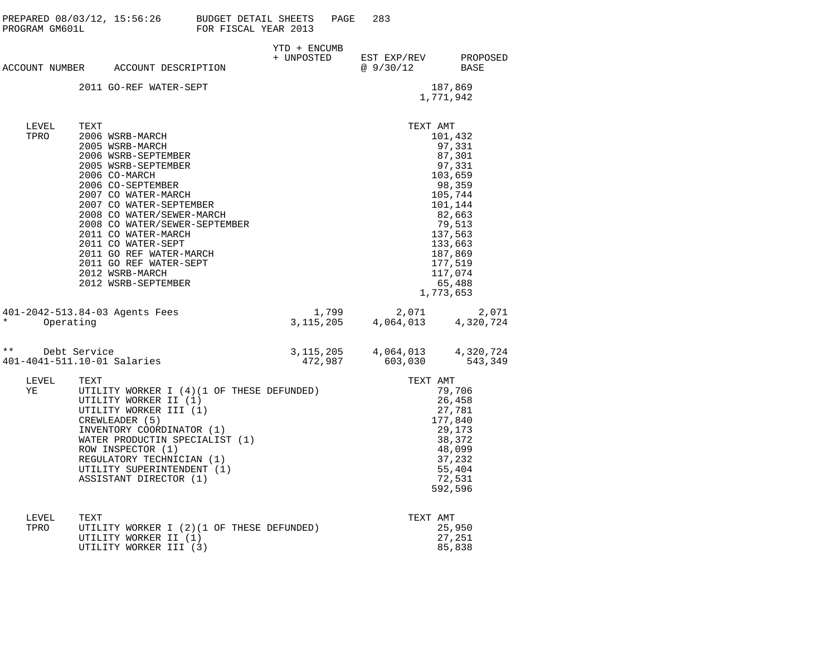| PROGRAM GM601L | PREPARED 08/03/12, 15:56:26 BUDGET DETAIL SHEETS PAGE                                                                                                                                                                                                                                                                                                                                      | FOR FISCAL YEAR 2013 |                      | 283                                            |                                                                                                                                                                                    |
|----------------|--------------------------------------------------------------------------------------------------------------------------------------------------------------------------------------------------------------------------------------------------------------------------------------------------------------------------------------------------------------------------------------------|----------------------|----------------------|------------------------------------------------|------------------------------------------------------------------------------------------------------------------------------------------------------------------------------------|
|                | ACCOUNT NUMBER ACCOUNT DESCRIPTION                                                                                                                                                                                                                                                                                                                                                         | YTD + ENCUMB         |                      | + UNPOSTED EST EXP/REV PROPOSED<br>@9/30/12    | BASE                                                                                                                                                                               |
|                | 2011 GO-REF WATER-SEPT                                                                                                                                                                                                                                                                                                                                                                     |                      |                      |                                                | 187,869<br>1,771,942                                                                                                                                                               |
| LEVEL<br>TPRO  | TEXT<br>2006 WSRB-MARCH<br>2005 WSRB-MARCH<br>2006 WSRB-SEPTEMBER<br>2005 WSRB-SEPTEMBER<br>2006 CO-MARCH<br>2006 CO-SEPTEMBER<br>2007 CO WATER-MARCH<br>2007 CO WATER-SEPTEMBER<br>2008 CO WATER/SEWER-MARCH<br>2008 CO WATER/SEWER-SEPTEMBER<br>2011 CO WATER-MARCH<br>2011 CO WATER-SEPT<br>2011 GO REF WATER-MARCH<br>2011 GO REF WATER-SEPT<br>2012 WSRB-MARCH<br>2012 WSRB-SEPTEMBER |                      |                      | TEXT AMT                                       | 101,432<br>97,331<br>87,301<br>97,331<br>103,659<br>98,359<br>105,744<br>101,144<br>82,663<br>79,513<br>137,563<br>133,663<br>187,869<br>177,519<br>117,074<br>65,488<br>1,773,653 |
| $\star$        | 401-2042-513.84-03 Agents Fees<br>Operating                                                                                                                                                                                                                                                                                                                                                |                      | 1,799<br>3, 115, 205 | $2,071$<br>4,064,013<br>4,320,724              | 2,071                                                                                                                                                                              |
| $\star\star$   | Debt Service<br>401-4041-511.10-01 Salaries                                                                                                                                                                                                                                                                                                                                                |                      | 472,987              | 3, 115, 205 4, 064, 013 4, 320, 724<br>603,030 | 543,349                                                                                                                                                                            |
| LEVEL<br>YE    | TEXT<br>UTILITY WORKER I (4) (1 OF THESE DEFUNDED)<br>UTILITY WORKER II (1)<br>UTILITY WORKER III (1)<br>CREWLEADER (5)<br>INVENTORY COORDINATOR (1)<br>WATER PRODUCTIN SPECIALIST (1)<br>ROW INSPECTOR (1)<br>REGULATORY TECHNICIAN (1)<br>UTILITY SUPERINTENDENT (1)<br>ASSISTANT DIRECTOR (1)                                                                                           |                      |                      | TEXT AMT                                       | 79,706<br>26,458<br>27,781<br>177,840<br>29,173<br>38,372<br>48,099<br>37,232<br>55,404<br>72,531<br>592,596                                                                       |
| T.FVTT.        | ጥምጃጥ                                                                                                                                                                                                                                                                                                                                                                                       |                      |                      | TFYT AMT                                       |                                                                                                                                                                                    |

| LEVEL | TEXT                                       | TEXT AMT |  |
|-------|--------------------------------------------|----------|--|
| TPRO  | UTILITY WORKER I (2) (1 OF THESE DEFUNDED) | 25.950   |  |
|       | UTILITY WORKER II (1)                      | 27.251   |  |
|       | UTILITY WORKER III (3)                     | 85.838   |  |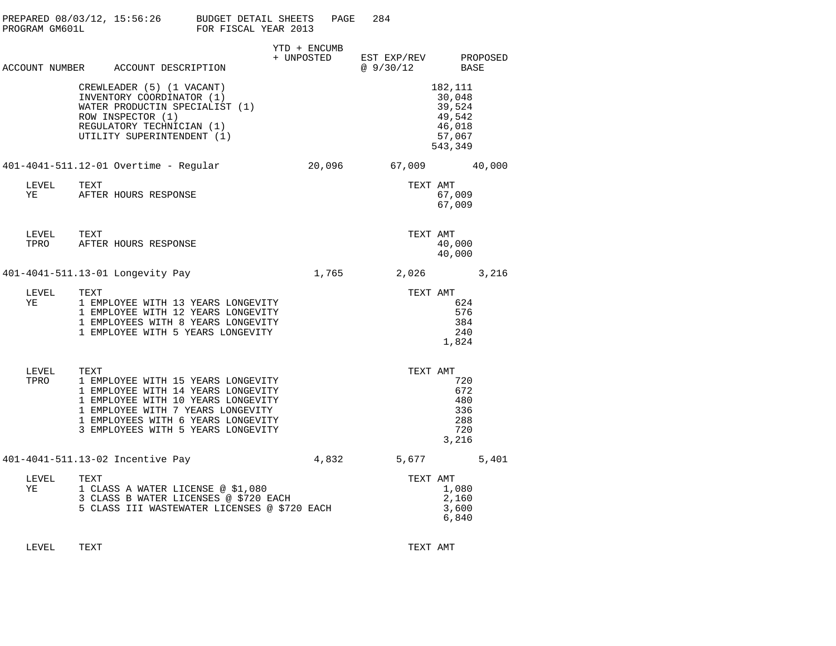| PROGRAM GM601L | PREPARED $08/03/12$ , $15:56:26$ BUDGET DETAIL SHEETS                                                                                                                                                                                   | FOR FISCAL YEAR 2013 | PAGE                       | 284                                                          |                                                                      |
|----------------|-----------------------------------------------------------------------------------------------------------------------------------------------------------------------------------------------------------------------------------------|----------------------|----------------------------|--------------------------------------------------------------|----------------------------------------------------------------------|
|                | ACCOUNT NUMBER ACCOUNT DESCRIPTION                                                                                                                                                                                                      |                      | YTD + ENCUMB<br>+ UNPOSTED | EST EXP/REV          PROPOSED<br>@ 9/30/12              BASE |                                                                      |
|                | CREWLEADER (5) (1 VACANT)<br>INVENTORY COORDINATOR (1)<br>WATER PRODUCTIN SPECIALIST (1)<br>ROW INSPECTOR (1)<br>REGULATORY TECHNICIAN (1)<br>UTILITY SUPERINTENDENT (1)                                                                |                      |                            |                                                              | 182,111<br>30,048<br>39,524<br>49,542<br>46,018<br>57,067<br>543,349 |
|                | 401-4041-511.12-01 Overtime - Regular                                                                                                                                                                                                   |                      |                            | 20,096 67,009 40,000                                         |                                                                      |
| LEVEL<br>YE    | TEXT<br>AFTER HOURS RESPONSE                                                                                                                                                                                                            |                      |                            | TEXT AMT                                                     | 67,009<br>67,009                                                     |
|                |                                                                                                                                                                                                                                         |                      |                            | TEXT AMT                                                     | 40,000<br>40,000                                                     |
|                | 401-4041-511.13-01 Longevity Pay                                                                                                                                                                                                        |                      |                            | 1,765 2,026 3,216                                            |                                                                      |
| LEVEL<br>YE    | TEXT<br>1 EMPLOYEE WITH 13 YEARS LONGEVITY<br>1 EMPLOYEE WITH 12 YEARS LONGEVITY<br>1 EMPLOYEES WITH 8 YEARS LONGEVITY<br>1 EMPLOYEE WITH 5 YEARS LONGEVITY                                                                             |                      |                            | TEXT AMT                                                     | 624<br>576<br>384<br>240<br>1,824                                    |
| LEVEL<br>TPRO  | TEXT<br>1 EMPLOYEE WITH 15 YEARS LONGEVITY<br>1 EMPLOYEE WITH 14 YEARS LONGEVITY<br>1 EMPLOYEE WITH 10 YEARS LONGEVITY<br>1 EMPLOYEE WITH 7 YEARS LONGEVITY<br>1 EMPLOYEES WITH 6 YEARS LONGEVITY<br>3 EMPLOYEES WITH 5 YEARS LONGEVITY |                      |                            | TEXT AMT                                                     | 720<br>672<br>480<br>336<br>288<br>720<br>3,216                      |
|                | 401-4041-511.13-02 Incentive Pay                                                                                                                                                                                                        |                      |                            | 4,832 5,677                                                  | 5,401                                                                |
| LEVEL<br>ΥE    | TEXT<br>1 CLASS A WATER LICENSE @ \$1,080<br>3 CLASS B WATER LICENSES @ \$720 EACH<br>5 CLASS III WASTEWATER LICENSES @ \$720 EACH                                                                                                      |                      |                            | TEXT AMT                                                     | 1,080<br>2,160<br>3,600<br>6,840                                     |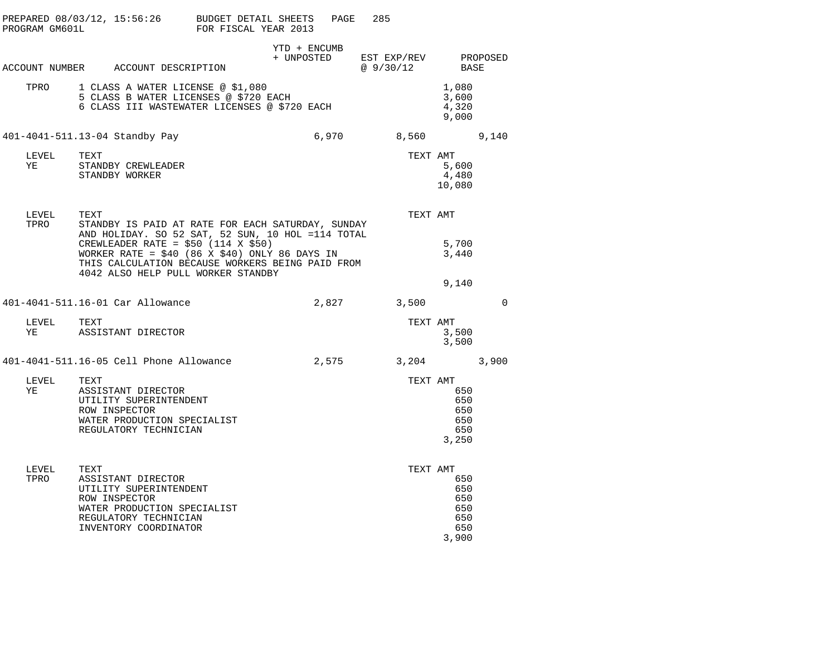| PROGRAM GM601L | PREPARED $08/03/12$ , $15:56:26$ BUDGET DETAIL SHEETS                                                                                                                                                                                                                                               | FOR FISCAL YEAR 2013 |              | PAGE  | 285                                 |                                                 |          |
|----------------|-----------------------------------------------------------------------------------------------------------------------------------------------------------------------------------------------------------------------------------------------------------------------------------------------------|----------------------|--------------|-------|-------------------------------------|-------------------------------------------------|----------|
|                | ACCOUNT NUMBER ACCOUNT DESCRIPTION                                                                                                                                                                                                                                                                  |                      | YTD + ENCUMB |       | + UNPOSTED EST EXP/REV<br>@ 9/30/12 | BASE                                            | PROPOSED |
| TPRO           | 1 CLASS A WATER LICENSE @ \$1,080<br>5 CLASS B WATER LICENSES @ \$720 EACH<br>6 CLASS III WASTEWATER LICENSES @ \$720 EACH                                                                                                                                                                          |                      |              |       |                                     | 1,080<br>3,600<br>4,320<br>9,000                |          |
|                | 401-4041-511.13-04 Standby Pay                                                                                                                                                                                                                                                                      |                      |              | 6,970 | 8,560                               |                                                 | 9,140    |
| LEVEL<br>ΥE    | TEXT<br>STANDBY CREWLEADER<br>STANDBY WORKER                                                                                                                                                                                                                                                        |                      |              |       | TEXT AMT                            | 5,600<br>4,480<br>10,080                        |          |
| LEVEL<br>TPRO  | TEXT<br>STANDBY IS PAID AT RATE FOR EACH SATURDAY, SUNDAY<br>AND HOLIDAY. SO 52 SAT, 52 SUN, 10 HOL =114 TOTAL<br>CREWLEADER RATE = $$50$ (114 X \$50)<br>WORKER RATE = $$40$ (86 X \$40) ONLY 86 DAYS IN<br>THIS CALCULATION BECAUSE WORKERS BEING PAID FROM<br>4042 ALSO HELP PULL WORKER STANDBY |                      |              |       | TEXT AMT                            | 5,700<br>3,440                                  |          |
|                | 401-4041-511.16-01 Car Allowance                                                                                                                                                                                                                                                                    |                      |              | 2,827 | 3,500                               | 9,140                                           | 0        |
| LEVEL<br>ΥE    | TEXT<br>ASSISTANT DIRECTOR                                                                                                                                                                                                                                                                          |                      |              |       | TEXT AMT                            | 3,500<br>3,500                                  |          |
|                | 401-4041-511.16-05 Cell Phone Allowance                                                                                                                                                                                                                                                             |                      |              | 2,575 |                                     | 3,204                                           | 3,900    |
| LEVEL<br>YE    | TEXT<br>ASSISTANT DIRECTOR<br>UTILITY SUPERINTENDENT<br>ROW INSPECTOR<br>WATER PRODUCTION SPECIALIST<br>REGULATORY TECHNICIAN                                                                                                                                                                       |                      |              |       | TEXT AMT                            | 650<br>650<br>650<br>650<br>650<br>3,250        |          |
| LEVEL<br>TPRO  | TEXT<br>ASSISTANT DIRECTOR<br>UTILITY SUPERINTENDENT<br>ROW INSPECTOR<br>WATER PRODUCTION SPECIALIST<br>REGULATORY TECHNICIAN<br>INVENTORY COORDINATOR                                                                                                                                              |                      |              |       | TEXT AMT                            | 650<br>650<br>650<br>650<br>650<br>650<br>3,900 |          |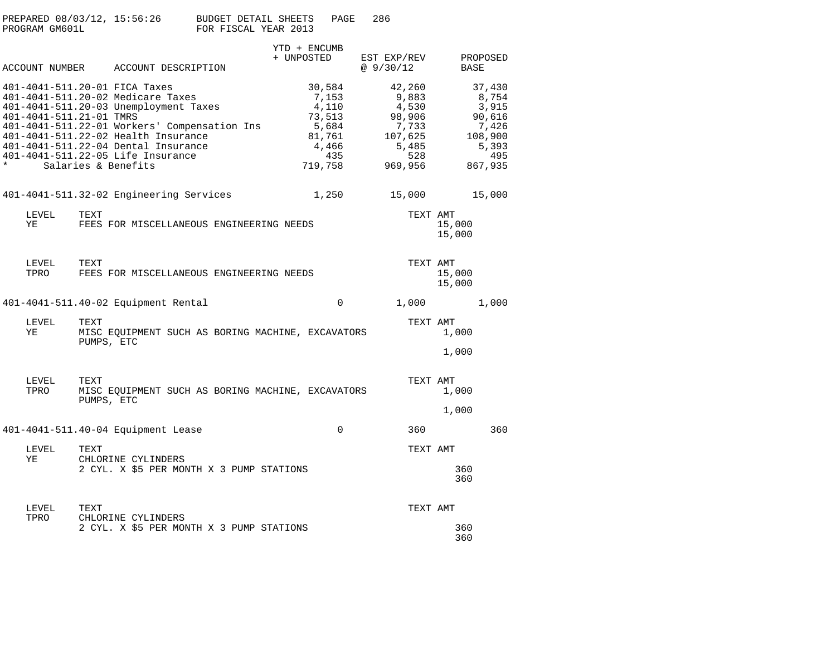| PREPARED 08/03/12, 15:56:26 | BUDGET DETAIL SHEETS<br>PAGE | -286 |
|-----------------------------|------------------------------|------|
| PROGRAM GM601L              | FOR FISCAL YEAR 2013         |      |

|                                    |                                                                                                                                                                                                                                                                                                       | YTD + ENCUMB                                                                     |                                                                                   |                  |                                                                                   |
|------------------------------------|-------------------------------------------------------------------------------------------------------------------------------------------------------------------------------------------------------------------------------------------------------------------------------------------------------|----------------------------------------------------------------------------------|-----------------------------------------------------------------------------------|------------------|-----------------------------------------------------------------------------------|
|                                    | ACCOUNT NUMBER ACCOUNT DESCRIPTION                                                                                                                                                                                                                                                                    | + UNPOSTED                                                                       | EST EXP/REV<br>@9/30/12                                                           | BASE             | PROPOSED                                                                          |
| 401-4041-511.21-01 TMRS<br>$\star$ | 401-4041-511.20-01 FICA Taxes<br>401-4041-511.20-02 Medicare Taxes<br>401-4041-511.20-03 Unemployment Taxes<br>401-4041-511.22-01 Workers' Compensation Ins<br>401-4041-511.22-02 Health Insurance<br>401-4041-511.22-04 Dental Insurance<br>401-4041-511.22-05 Life Insurance<br>Salaries & Benefits | 30,584<br>7,153<br>4,110<br>73,513<br>5,684<br>81,761<br>4,466<br>435<br>719,758 | 42,260<br>9,883<br>4,530<br>98,906<br>7,733<br>107,625<br>5,485<br>528<br>969,956 |                  | 37,430<br>8,754<br>3,915<br>90,616<br>7,426<br>108,900<br>5,393<br>495<br>867,935 |
|                                    | 401-4041-511.32-02 Engineering Services                                                                                                                                                                                                                                                               | 1,250                                                                            | 15,000                                                                            |                  | 15,000                                                                            |
| LEVEL<br>ΥE                        | TEXT<br>FEES FOR MISCELLANEOUS ENGINEERING NEEDS                                                                                                                                                                                                                                                      |                                                                                  | TEXT AMT                                                                          | 15,000<br>15,000 |                                                                                   |
| LEVEL<br>TPRO                      | TEXT<br>FEES FOR MISCELLANEOUS ENGINEERING NEEDS                                                                                                                                                                                                                                                      |                                                                                  | TEXT AMT                                                                          | 15,000<br>15,000 |                                                                                   |
|                                    | 401-4041-511.40-02 Equipment Rental                                                                                                                                                                                                                                                                   | $\mathbf{0}$                                                                     | 1,000                                                                             |                  | 1,000                                                                             |
| LEVEL<br>ΥE                        | TEXT<br>MISC EQUIPMENT SUCH AS BORING MACHINE, EXCAVATORS<br>PUMPS, ETC                                                                                                                                                                                                                               |                                                                                  | TEXT AMT                                                                          | 1,000            |                                                                                   |
|                                    |                                                                                                                                                                                                                                                                                                       |                                                                                  |                                                                                   | 1,000            |                                                                                   |
| LEVEL<br>TPRO                      | TEXT<br>MISC EQUIPMENT SUCH AS BORING MACHINE, EXCAVATORS<br>PUMPS, ETC                                                                                                                                                                                                                               |                                                                                  | TEXT AMT                                                                          | 1,000            |                                                                                   |
|                                    |                                                                                                                                                                                                                                                                                                       |                                                                                  |                                                                                   | 1,000            |                                                                                   |
|                                    | 401-4041-511.40-04 Equipment Lease                                                                                                                                                                                                                                                                    | $\mathbf 0$                                                                      | 360                                                                               |                  | 360                                                                               |
| LEVEL<br>ΥE                        | TEXT<br>CHLORINE CYLINDERS                                                                                                                                                                                                                                                                            |                                                                                  | TEXT AMT                                                                          |                  |                                                                                   |
|                                    | 2 CYL. X \$5 PER MONTH X 3 PUMP STATIONS                                                                                                                                                                                                                                                              |                                                                                  |                                                                                   | 360<br>360       |                                                                                   |
| LEVEL<br>TPRO                      | TEXT<br>CHLORINE CYLINDERS                                                                                                                                                                                                                                                                            |                                                                                  | TEXT AMT                                                                          |                  |                                                                                   |
|                                    | 2 CYL. X \$5 PER MONTH X 3 PUMP STATIONS                                                                                                                                                                                                                                                              |                                                                                  |                                                                                   | 360              |                                                                                   |

360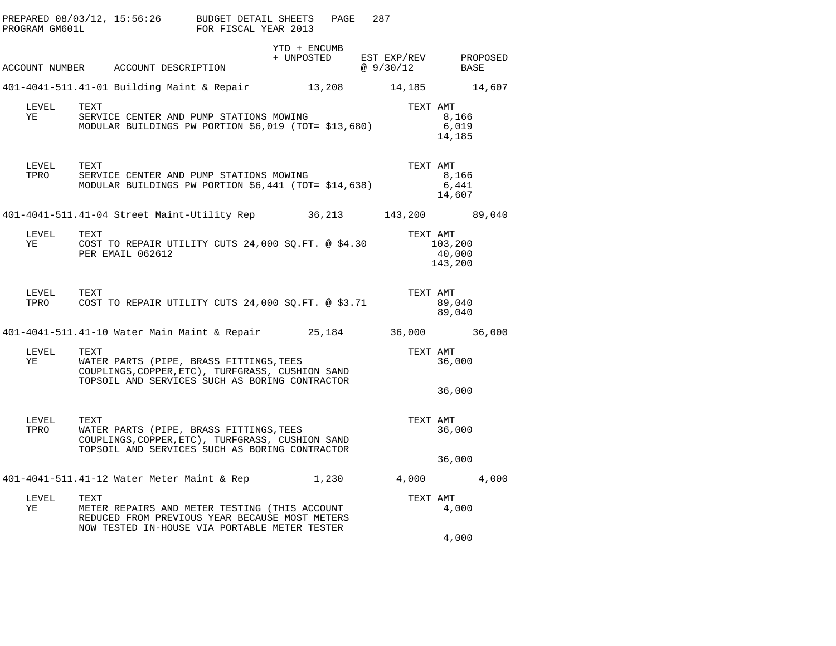| PROGRAM GM601L | PREPARED $08/03/12$ , $15:56:26$ BUDGET DETAIL SHEETS                                                                                                                 | FOR FISCAL YEAR 2013 | PAGE         | 287                                            |                              |
|----------------|-----------------------------------------------------------------------------------------------------------------------------------------------------------------------|----------------------|--------------|------------------------------------------------|------------------------------|
|                | ACCOUNT NUMBER ACCOUNT DESCRIPTION                                                                                                                                    |                      | YTD + ENCUMB | + UNPOSTED EST EXP/REV PROPOSED<br>@ $9/30/12$ | BASE                         |
|                | 401-4041-511.41-01 Building Maint & Repair 13,208 14,185 14,607                                                                                                       |                      |              |                                                |                              |
| LEVEL<br>YE    | TEXT<br>SERVICE CENTER AND PUMP STATIONS MOWING<br>MODULAR BUILDINGS PW PORTION \$6,019 (TOT= \$13,680)                                                               |                      |              | TEXT AMT                                       | 8,166<br>6,019<br>14,185     |
| LEVEL<br>TPRO  | TEXT<br>SERVICE CENTER AND PUMP STATIONS MOWING<br>MODULAR BUILDINGS PW PORTION \$6,441 (TOT= \$14,638)                                                               |                      |              | TEXT AMT                                       | 8,166<br>6,441<br>14,607     |
|                | 401-4041-511.41-04 Street Maint-Utility Rep 36,213 143,200 89,040                                                                                                     |                      |              |                                                |                              |
| LEVEL<br>YE    | TEXT<br>COST TO REPAIR UTILITY CUTS 24,000 SQ.FT. @ \$4.30<br>PER EMAIL 062612                                                                                        |                      |              | TEXT AMT                                       | 103,200<br>40,000<br>143,200 |
| LEVEL TEXT     | TPRO COST TO REPAIR UTILITY CUTS 24,000 SQ.FT. @ \$3.71                                                                                                               |                      |              | TEXT AMT                                       | 89,040<br>89,040             |
|                | 401-4041-511.41-10 Water Main Maint & Repair 35,184 36,000 36,000                                                                                                     |                      |              |                                                |                              |
| LEVEL<br>YE    | WATER PARTS (PIPE, BRASS FITTINGS,TEES<br>COUPLINGS COPPER FTG)<br>COUPLINGS, COPPER, ETC), TURFGRASS, CUSHION SAND<br>TOPSOIL AND SERVICES SUCH AS BORING CONTRACTOR |                      |              | TEXT AMT                                       | 36,000<br>36,000             |
| LEVEL<br>TPRO  | TEXT<br>WATER PARTS (PIPE, BRASS FITTINGS, TEES<br>COUPLINGS, COPPER, ETC), TURFGRASS, CUSHION SAND<br>TOPSOIL AND SERVICES SUCH AS BORING CONTRACTOR                 |                      |              | TEXT AMT                                       | 36,000<br>36,000             |
|                | 401-4041-511.41-12 Water Meter Maint & Rep $1,230$ $4,000$ $4,000$                                                                                                    |                      |              |                                                |                              |
| LEVEL<br>YE    | TEXT<br>METER REPAIRS AND METER TESTING (THIS ACCOUNT<br>REDUCED FROM PREVIOUS YEAR BECAUSE MOST METERS<br>NOW TESTED IN-HOUSE VIA PORTABLE METER TESTER              |                      |              | TEXT AMT                                       | 4,000<br>4,000               |
|                |                                                                                                                                                                       |                      |              |                                                |                              |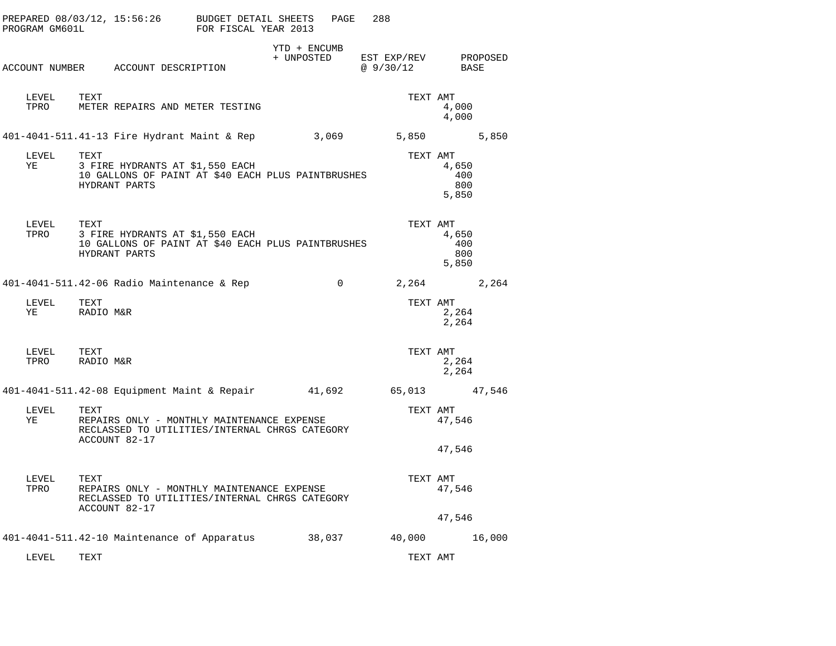| PROGRAM GM601L               |                                                                                                                       | PREPARED 08/03/12, 15:56:26 BUDGET DETAIL SHEETS                                                              | FOR FISCAL YEAR 2013 |                                                 | PAGE              | 288            |                              |  |
|------------------------------|-----------------------------------------------------------------------------------------------------------------------|---------------------------------------------------------------------------------------------------------------|----------------------|-------------------------------------------------|-------------------|----------------|------------------------------|--|
|                              |                                                                                                                       | ACCOUNT NUMBER ACCOUNT DESCRIPTION                                                                            |                      | YTD + ENCUMB<br>+ UNPOSTED EST EXP/REV PROPOSED |                   | @ 9/30/12 BASE |                              |  |
| LEVEL TEXT<br>TPRO           |                                                                                                                       | METER REPAIRS AND METER TESTING                                                                               |                      |                                                 |                   | TEXT AMT       | 4,000<br>4,000               |  |
|                              |                                                                                                                       | 401-4041-511.41-13 Fire Hydrant Maint & Rep 3,069 5,850 5,850                                                 |                      |                                                 |                   |                |                              |  |
| LEVEL<br>YE                  | TEXT                                                                                                                  | 3 FIRE HYDRANTS AT \$1,550 EACH<br>10 GALLONS OF PAINT AT \$40 EACH PLUS PAINTBRUSHES<br>HYDRANT PARTS        |                      |                                                 |                   | TEXT AMT       | 4,650<br>400<br>800<br>5,850 |  |
| LEVEL TEXT                   |                                                                                                                       | TPRO $3$ FIRE HYDRANTS AT \$1,550 EACH<br>10 GALLONS OF PAINT AT \$40 EACH PLUS PAINTBRUSHES<br>HYDRANT PARTS |                      |                                                 |                   | TEXT AMT       | 4,650<br>400<br>800<br>5,850 |  |
|                              |                                                                                                                       | 401-4041-511.42-06 Radio Maintenance & Rep                                                                    |                      |                                                 | $0 \qquad \qquad$ | 2,264 2,264    |                              |  |
| LEVEL<br>YE                  | TEXT<br>RADIO M&R                                                                                                     |                                                                                                               |                      |                                                 |                   | TEXT AMT       | 2,264<br>2,264               |  |
| LEVEL TEXT<br>TPRO RADIO M&R |                                                                                                                       |                                                                                                               |                      |                                                 |                   | TEXT AMT       | 2,264<br>2,264               |  |
|                              |                                                                                                                       | 401-4041-511.42-08 Equipment Maint & Repair 41,692 65,013 47,546                                              |                      |                                                 |                   |                |                              |  |
| LEVEL<br>YE                  | TEXT<br>REPAIRS ONLY - MONTHLY MAINTENANCE EXPENSE<br>RECLASSED TO UTILITIES/INTERNAL CHRGS CATEGORY<br>ACCOUNT 82-17 |                                                                                                               |                      |                                                 |                   | TEXT AMT       | 47,546                       |  |
|                              |                                                                                                                       |                                                                                                               |                      |                                                 |                   |                | 47,546                       |  |
| LEVEL<br>TPRO                | TEXT                                                                                                                  | REPAIRS ONLY - MONTHLY MAINTENANCE EXPENSE<br>RECLASSED TO UTILITIES/INTERNAL CHRGS CATEGORY<br>ACCOUNT 82-17 |                      |                                                 |                   | TEXT AMT       | 47,546                       |  |
|                              |                                                                                                                       |                                                                                                               |                      |                                                 |                   |                | 47,546                       |  |
|                              |                                                                                                                       | 401-4041-511.42-10 Maintenance of Apparatus 38,037 40,000 16,000                                              |                      |                                                 |                   |                |                              |  |
| LEVEL                        | TEXT                                                                                                                  |                                                                                                               |                      |                                                 |                   | TEXT AMT       |                              |  |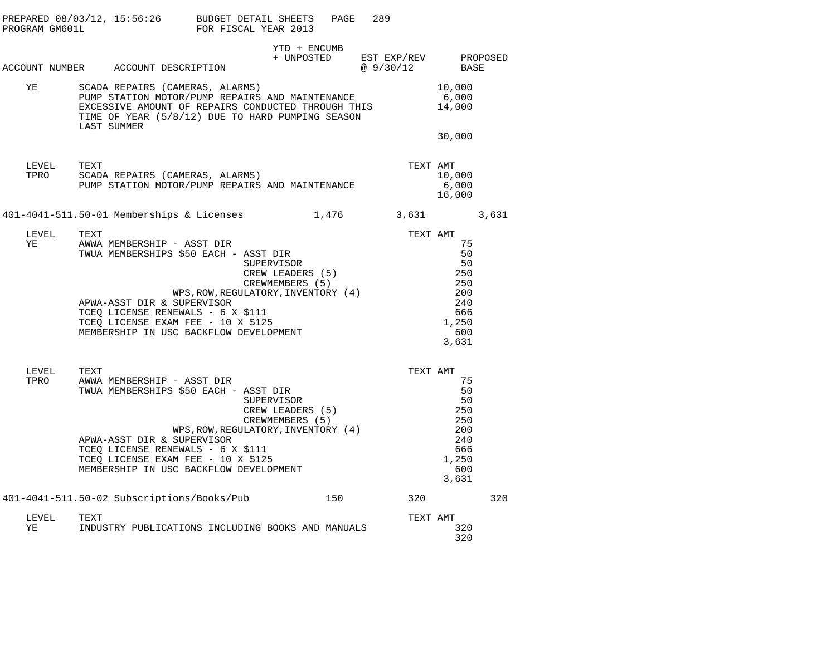| PROGRAM GM601L |                                                                                                                                                                                                             | PREPARED 08/03/12, 15:56:26                                                                                                                                                                                                                                  | BUDGET DETAIL SHEETS<br>FOR FISCAL YEAR 2013                                                                                                         |                            | PAGE | 289                               |          |                                                                            |     |  |
|----------------|-------------------------------------------------------------------------------------------------------------------------------------------------------------------------------------------------------------|--------------------------------------------------------------------------------------------------------------------------------------------------------------------------------------------------------------------------------------------------------------|------------------------------------------------------------------------------------------------------------------------------------------------------|----------------------------|------|-----------------------------------|----------|----------------------------------------------------------------------------|-----|--|
|                |                                                                                                                                                                                                             | ACCOUNT NUMBER ACCOUNT DESCRIPTION                                                                                                                                                                                                                           |                                                                                                                                                      | YTD + ENCUMB<br>+ UNPOSTED |      | EST EXP/REV PROPOSED<br>@ 9/30/12 |          | BASE                                                                       |     |  |
| ΥE             | SCADA REPAIRS (CAMERAS, ALARMS)<br>PUMP STATION MOTOR/PUMP REPAIRS AND MAINTENANCE<br>EXCESSIVE AMOUNT OF REPAIRS CONDUCTED THROUGH THIS<br>TIME OF YEAR (5/8/12) DUE TO HARD PUMPING SEASON<br>LAST SUMMER |                                                                                                                                                                                                                                                              |                                                                                                                                                      |                            |      |                                   |          | 10,000<br>6,000<br>14,000<br>30,000                                        |     |  |
| LEVEL<br>TPRO  | TEXT                                                                                                                                                                                                        | SCADA REPAIRS (CAMERAS, ALARMS)<br>PUMP STATION MOTOR/PUMP REPAIRS AND MAINTENANCE                                                                                                                                                                           |                                                                                                                                                      |                            |      |                                   | TEXT AMT | 10,000<br>6,000<br>16,000                                                  |     |  |
|                |                                                                                                                                                                                                             | 401-4041-511.50-01 Memberships & Licenses 1,476 3,631 3,631                                                                                                                                                                                                  |                                                                                                                                                      |                            |      |                                   |          |                                                                            |     |  |
| LEVEL<br>YE    | TEXT                                                                                                                                                                                                        | AWWA MEMBERSHIP - ASST DIR<br>TWUA MEMBERSHIPS \$50 EACH - ASST DIR<br>APWA-ASST DIR & SUPERVISOR<br>COMMON NEWSWALS - 6 X \$111<br>TCEQ LICENSE EXAM FEE - 10 X \$125<br>MEMBERSHIP IN USC BACKFLOW DEVELOPMENT                                             | - ASST DIR<br>5 \$50 EACH - ASST DIR<br>SUPERVISOR<br>CREW LEADERS (5)<br>CREWMEMBERS (5)<br>WPS, ROW, REGULATORY, INVENTORY (4)<br>THERE CONDITIONS |                            |      |                                   | TEXT AMT | 75<br>50<br>50<br>250<br>250<br>200<br>240<br>666<br>1,250<br>600<br>3,631 |     |  |
| LEVEL<br>TPRO  | TEXT                                                                                                                                                                                                        | AWWA MEMBERSHIP - ASST DIR<br>TWUA MEMBERSHIPS \$50 EACH - ASST DIR<br>SUPERVISOR<br>COLLECTER SUPERVISOR<br>APWA-ASST DIR & SUPERVISOR<br>TCEQ LICENSE RENEWALS - 6 X \$111<br>TCEQ LICENSE EXAM FEE - 10 X \$125<br>MEMBERSHIP IN USC BACKFLOW DEVELOPMENT | CREW LEADERS (5)<br>CREWMEMBERS (5)<br>WPS, ROW, REGULATORY, INVENTORY (4)                                                                           |                            |      |                                   | TEXT AMT | 75<br>50<br>50<br>250<br>250<br>200<br>240<br>666<br>1,250<br>600<br>3,631 |     |  |
|                |                                                                                                                                                                                                             | 401-4041-511.50-02 Subscriptions/Books/Pub                                                                                                                                                                                                                   |                                                                                                                                                      |                            |      | 150 30                            | 320      |                                                                            | 320 |  |
| LEVEL<br>ΥE    | TEXT                                                                                                                                                                                                        | INDUSTRY PUBLICATIONS INCLUDING BOOKS AND MANUALS                                                                                                                                                                                                            |                                                                                                                                                      |                            |      |                                   | TEXT AMT | 320<br>320                                                                 |     |  |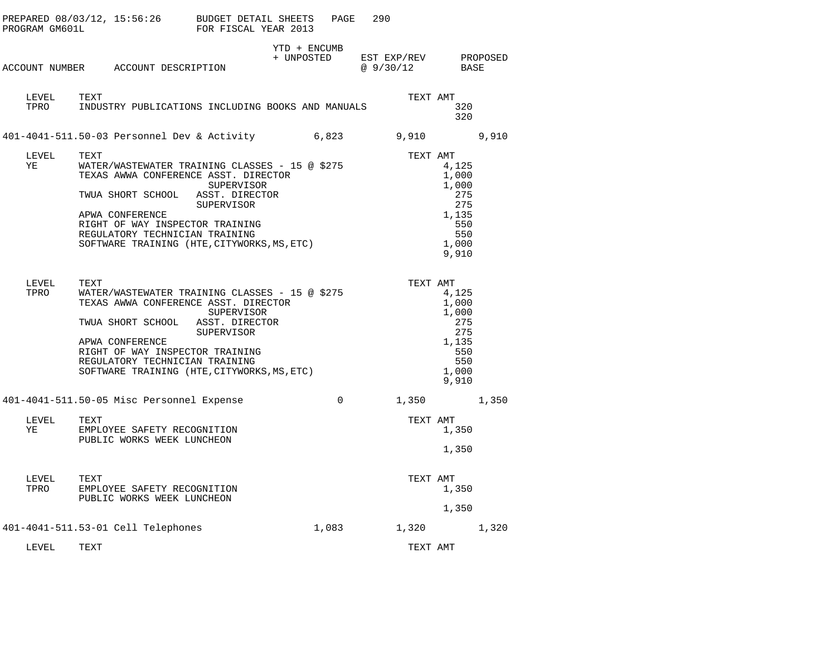| PROGRAM GM601L |                                                                                                                                                           | PREPARED 08/03/12, 15:56:26 BUDGET DETAIL SHEETS<br>FOR FISCAL YEAR 2013                                                                    | PAGE     | 290                      |                                                                                |
|----------------|-----------------------------------------------------------------------------------------------------------------------------------------------------------|---------------------------------------------------------------------------------------------------------------------------------------------|----------|--------------------------|--------------------------------------------------------------------------------|
|                | ACCOUNT NUMBER ACCOUNT DESCRIPTION                                                                                                                        | YTD + ENCUMB<br>+ UNPOSTED                                                                                                                  |          | EST EXP/REV<br>@ 9/30/12 | PROPOSED<br>BASE                                                               |
| LEVEL<br>TPRO  | TEXT                                                                                                                                                      | INDUSTRY PUBLICATIONS INCLUDING BOOKS AND MANUALS                                                                                           |          | TEXT AMT                 | 320<br>320                                                                     |
|                | 401-4041-511.50-03 Personnel Dev & Activity                                                                                                               | 6,823                                                                                                                                       |          | 9,910                    | 9,910                                                                          |
| LEVEL<br>ΥE    | TEXT<br>TEXAS AWWA CONFERENCE ASST. DIRECTOR<br>TWUA SHORT SCHOOL<br>APWA CONFERENCE<br>RIGHT OF WAY INSPECTOR TRAINING<br>REGULATORY TECHNICIAN TRAINING | WATER/WASTEWATER TRAINING CLASSES - 15 @ \$275<br>SUPERVISOR<br>ASST. DIRECTOR<br>SUPERVISOR<br>SOFTWARE TRAINING (HTE, CITYWORKS, MS, ETC) |          | TEXT AMT                 | 4,125<br>1,000<br>1,000<br>275<br>275<br>1,135<br>550<br>550<br>1,000<br>9,910 |
| LEVEL<br>TPRO  | TEXT<br>TEXAS AWWA CONFERENCE ASST. DIRECTOR<br>TWUA SHORT SCHOOL<br>APWA CONFERENCE<br>RIGHT OF WAY INSPECTOR TRAINING<br>REGULATORY TECHNICIAN TRAINING | WATER/WASTEWATER TRAINING CLASSES - 15 @ \$275<br>SUPERVISOR<br>ASST. DIRECTOR<br>SUPERVISOR<br>SOFTWARE TRAINING (HTE, CITYWORKS, MS, ETC) |          | TEXT AMT                 | 4,125<br>1,000<br>1,000<br>275<br>275<br>1,135<br>550<br>550<br>1,000<br>9,910 |
|                | 401-4041-511.50-05 Misc Personnel Expense                                                                                                                 |                                                                                                                                             | $\Omega$ | 1,350                    | 1,350                                                                          |
| LEVEL<br>YE    | TEXT<br>EMPLOYEE SAFETY RECOGNITION<br>PUBLIC WORKS WEEK LUNCHEON                                                                                         |                                                                                                                                             |          | TEXT AMT                 | 1,350<br>1,350                                                                 |
| LEVEL<br>TPRO  | TEXT<br>EMPLOYEE SAFETY RECOGNITION<br>PUBLIC WORKS WEEK LUNCHEON                                                                                         |                                                                                                                                             |          | TEXT AMT                 | 1,350<br>1,350                                                                 |
|                | 401-4041-511.53-01 Cell Telephones                                                                                                                        |                                                                                                                                             | 1,083    | 1,320                    | 1,320                                                                          |
| LEVEL          | TEXT                                                                                                                                                      |                                                                                                                                             |          | TEXT AMT                 |                                                                                |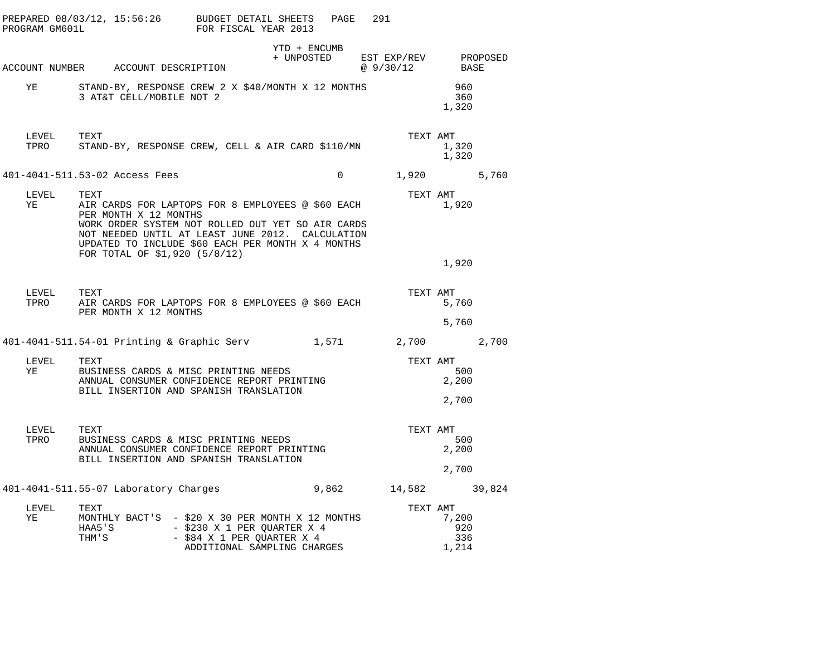|    | PREPARED 08/03/12, 15:56:26 BUDGET DETAIL SHEETS<br>PROGRAM GM601L             | FOR FISCAL YEAR 2013                                                                                                                                                                                            | PAGE | 291      |                                                                                                            |
|----|--------------------------------------------------------------------------------|-----------------------------------------------------------------------------------------------------------------------------------------------------------------------------------------------------------------|------|----------|------------------------------------------------------------------------------------------------------------|
|    | ACCOUNT NUMBER ACCOUNT DESCRIPTION                                             | YTD + ENCUMB                                                                                                                                                                                                    |      |          | $\begin{tabular}{llll} + & UNPOSTED & EST & EXP/REV & & PROPOSED \\ & @ 9/30/12 & & BASE \\ \end{tabular}$ |
| YE | STAND-BY, RESPONSE CREW 2 X \$40/MONTH X 12 MONTHS<br>3 AT&T CELL/MOBILE NOT 2 |                                                                                                                                                                                                                 |      |          | 960<br>360<br>1,320                                                                                        |
|    | LEVEL TEXT<br>TPRO STAND-BY, RESPONSE CREW, CELL & AIR CARD \$110/MN           |                                                                                                                                                                                                                 |      | TEXT AMT | 1,320<br>1,320                                                                                             |
|    | 401-4041-511.53-02 Access Fees                                                 |                                                                                                                                                                                                                 |      |          | $0 \t 1,920 \t 5,760$                                                                                      |
| YE | LEVEL<br>TEXT<br>PER MONTH X 12 MONTHS<br>FOR TOTAL OF \$1,920 (5/8/12)        | AIR CARDS FOR LAPTOPS FOR 8 EMPLOYEES @ \$60 EACH<br>WORK ORDER SYSTEM NOT ROLLED OUT YET SO AIR CARDS<br>NOT NEEDED UNTIL AT LEAST JUNE 2012. CALCULATION<br>UPDATED TO INCLUDE \$60 EACH PER MONTH X 4 MONTHS |      | TEXT AMT | 1,920<br>1,920                                                                                             |
|    | LEVEL TEXT<br>TPRO<br>PER MONTH X 12 MONTHS                                    | AIR CARDS FOR LAPTOPS FOR 8 EMPLOYEES @ \$60 EACH                                                                                                                                                               |      | TEXT AMT | 5,760<br>5,760                                                                                             |
|    | 401-4041-511.54-01 Printing & Graphic Serv 1,571 2,700 2,700                   |                                                                                                                                                                                                                 |      |          |                                                                                                            |
|    | LEVEL<br>TEXT<br>YE                                                            | BUSINESS CARDS & MISC PRINTING NEEDS<br>ANNUAL CONSUMER CONFIDENCE REPORT PRINTING<br>BILL INSERTION AND SPANISH TRANSLATION                                                                                    |      | TEXT AMT | 500<br>2,200<br>2,700                                                                                      |
|    | LEVEL TEXT<br>BUSINESS CARDS & MISC PRINTING NEEDS<br>TPRO                     | ANNUAL CONSUMER CONFIDENCE REPORT PRINTING<br>BILL INSERTION AND SPANISH TRANSLATION                                                                                                                            |      | TEXT AMT | 500<br>2,200<br>2,700                                                                                      |
|    | 401-4041-511.55-07 Laboratory Charges 6 18,862 14,582 39,824                   |                                                                                                                                                                                                                 |      |          |                                                                                                            |
| YE | LEVEL<br>TEXT                                                                  | TEXT<br>MONTHLY BACT'S  – \$20 X 30 PER MONTH X 12 MONTHS<br>HAA5'S - \$230 X 1 PER QUARTER X 4<br>THM'S - \$84 X 1 PER QUARTER X 4<br>ADDITIONAL SAMPLING CHARGES                                              |      | TEXT AMT | 7,200<br>920<br>336<br>1,214                                                                               |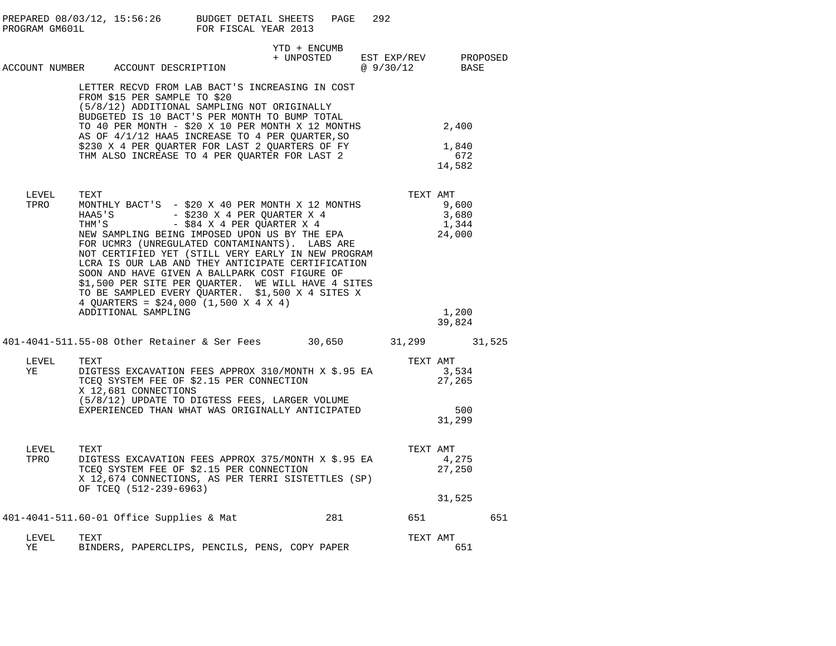|               | PREPARED 08/03/12, 15:56:26 BUDGET DETAIL SHEETS<br>PROGRAM GM601L FOR FISCAL YEAR 2013                                                                                                                                                                                                                                                                                                                                                                                                                                                                                      | PAGE                       | 292                                     |                                            |     |
|---------------|------------------------------------------------------------------------------------------------------------------------------------------------------------------------------------------------------------------------------------------------------------------------------------------------------------------------------------------------------------------------------------------------------------------------------------------------------------------------------------------------------------------------------------------------------------------------------|----------------------------|-----------------------------------------|--------------------------------------------|-----|
|               | ACCOUNT NUMBER ACCOUNT DESCRIPTION                                                                                                                                                                                                                                                                                                                                                                                                                                                                                                                                           | YTD + ENCUMB<br>+ UNPOSTED | EST EXP/REV PROPOSED<br>$@9/30/12$ BASE |                                            |     |
|               | LETTER RECVD FROM LAB BACT'S INCREASING IN COST<br>FROM \$15 PER SAMPLE TO \$20<br>(5/8/12) ADDITIONAL SAMPLING NOT ORIGINALLY<br>BUDGETED IS 10 BACT'S PER MONTH TO BUMP TOTAL<br>TO 40 PER MONTH - $$20 X 10$ PER MONTH X 12 MONTHS 2,400<br>AS OF 4/1/12 HAA5 INCREASE TO 4 PER QUARTER, SO<br>\$230 X 4 PER QUARTER FOR LAST 2 QUARTERS OF FY<br>THM ALSO INCREASE TO 4 PER QUARTER FOR LAST 2                                                                                                                                                                           |                            |                                         | 1,840<br>672<br>14,582                     |     |
| LEVEL<br>TPRO | TEXT<br>MONTHLY BACT'S - \$20 X 40 PER MONTH X 12 MONTHS<br>HAA5'S - \$230 X 4 PER QUARTER X 4<br>THM'S - \$84 X 4 PER QUARTER X 4<br>NEW SAMPLING BEING IMPOSED UPON US BY THE EPA<br>FOR UCMR3 (UNREGULATED CONTAMINANTS). LABS ARE<br>NOT CERTIFIED YET (STILL VERY EARLY IN NEW PROGRAM<br>LCRA IS OUR LAB AND THEY ANTICIPATE CERTIFICATION<br>SOON AND HAVE GIVEN A BALLPARK COST FIGURE OF<br>\$1,500 PER SITE PER QUARTER. WE WILL HAVE 4 SITES<br>TO BE SAMPLED EVERY QUARTER. \$1,500 X 4 SITES X<br>4 QUARTERS = $$24,000$ (1,500 X 4 X 4)<br>ADDITIONAL SAMPLING |                            | TEXT AMT                                | 9,600<br>3,680<br>1,344<br>24,000<br>1,200 |     |
|               | 401-4041-511.55-08 Other Retainer & Ser Fees 30,650 31,299 31,525                                                                                                                                                                                                                                                                                                                                                                                                                                                                                                            |                            |                                         | 39,824                                     |     |
| LEVEL<br>YE   | TEXT<br>DIGTESS EXCAVATION FEES APPROX 310/MONTH X \$.95 EA<br>TCEQ SYSTEM FEE OF \$2.15 PER CONNECTION<br>X 12,681 CONNECTIONS<br>(5/8/12) UPDATE TO DIGTESS FEES, LARGER VOLUME<br>EXPERIENCED THAN WHAT WAS ORIGINALLY ANTICIPATED                                                                                                                                                                                                                                                                                                                                        |                            | TEXT AMT                                | 3,534<br>27,265<br>500<br>31,299           |     |
| LEVEL<br>TPRO | TEXT<br>DIGTESS EXCAVATION FEES APPROX 375/MONTH X \$.95 EA<br>TCEQ SYSTEM FEE OF \$2.15 PER CONNECTION<br>X 12,674 CONNECTIONS, AS PER TERRI SISTETTLES (SP)<br>OF TCEO (512-239-6963)                                                                                                                                                                                                                                                                                                                                                                                      |                            | TEXT AMT                                | 4,275<br>27,250<br>31,525                  |     |
|               | 401-4041-511.60-01 Office Supplies & Mat 281 651                                                                                                                                                                                                                                                                                                                                                                                                                                                                                                                             |                            |                                         |                                            | 651 |
| LEVEL<br>ΥE   | TEXT<br>BINDERS, PAPERCLIPS, PENCILS, PENS, COPY PAPER                                                                                                                                                                                                                                                                                                                                                                                                                                                                                                                       |                            | TEXT AMT                                | 651                                        |     |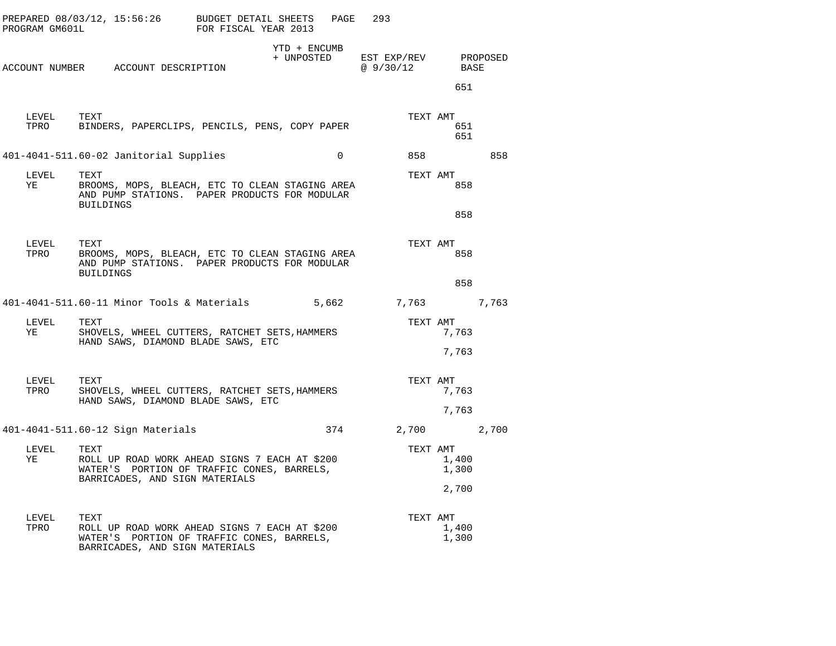| PROGRAM GM601L | PREPARED 08/03/12, 15:56:26                                                                                                           | BUDGET DETAIL SHEETS<br>FOR FISCAL YEAR 2013 | PAGE                       | 293                      |                |          |
|----------------|---------------------------------------------------------------------------------------------------------------------------------------|----------------------------------------------|----------------------------|--------------------------|----------------|----------|
|                | ACCOUNT NUMBER ACCOUNT DESCRIPTION                                                                                                    |                                              | YTD + ENCUMB<br>+ UNPOSTED | EST EXP/REV<br>@ 9/30/12 | BASE           | PROPOSED |
|                |                                                                                                                                       |                                              |                            |                          | 651            |          |
| LEVEL<br>TPRO  | TEXT<br>BINDERS, PAPERCLIPS, PENCILS, PENS, COPY PAPER                                                                                |                                              |                            | TEXT AMT                 | 651<br>651     |          |
|                | 401-4041-511.60-02 Janitorial Supplies                                                                                                |                                              | $\Omega$                   |                          |                | 858      |
| LEVEL<br>YE    | TEXT<br>BROOMS, MOPS, BLEACH, ETC TO CLEAN STAGING AREA<br>AND PUMP STATIONS. PAPER PRODUCTS FOR MODULAR<br>BUILDINGS                 |                                              |                            | TEXT AMT                 | 858            |          |
|                |                                                                                                                                       |                                              |                            |                          | 858            |          |
| LEVEL<br>TPRO  | TEXT<br>BROOMS, MOPS, BLEACH, ETC TO CLEAN STAGING AREA<br>AND PUMP STATIONS. PAPER PRODUCTS FOR MODULAR                              |                                              |                            | TEXT AMT                 | 858            |          |
|                | BUILDINGS                                                                                                                             |                                              |                            |                          | 858            |          |
|                | 401-4041-511.60-11 Minor Tools & Materials                                                                                            |                                              | 5,662                      | 7,763                    |                | 7,763    |
| LEVEL<br>YE    | TEXT<br>SHOVELS, WHEEL CUTTERS, RATCHET SETS, HAMMERS<br>HAND SAWS, DIAMOND BLADE SAWS, ETC                                           |                                              |                            | TEXT AMT                 | 7,763          |          |
|                |                                                                                                                                       |                                              |                            |                          | 7,763          |          |
| LEVEL<br>TPRO  | TEXT<br>SHOVELS, WHEEL CUTTERS, RATCHET SETS, HAMMERS                                                                                 |                                              | TEXT AMT                   | 7,763                    |                |          |
|                | HAND SAWS, DIAMOND BLADE SAWS, ETC                                                                                                    |                                              |                            |                          | 7,763          |          |
|                | 401-4041-511.60-12 Sign Materials                                                                                                     |                                              | 374                        | 2,700                    |                | 2,700    |
| LEVEL<br>ΥE    | TEXT<br>ROLL UP ROAD WORK AHEAD SIGNS 7 EACH AT \$200<br>WATER'S PORTION OF TRAFFIC CONES, BARRELS,<br>BARRICADES, AND SIGN MATERIALS |                                              |                            | TEXT AMT                 | 1,400<br>1,300 |          |
|                |                                                                                                                                       |                                              |                            |                          | 2,700          |          |
| LEVEL<br>TPRO  | TEXT<br>ROLL UP ROAD WORK AHEAD SIGNS 7 EACH AT \$200<br>WATER'S PORTION OF TRAFFIC CONES, BARRELS,<br>BARRICADES, AND SIGN MATERIALS |                                              |                            | TEXT AMT                 | 1,400<br>1,300 |          |
|                |                                                                                                                                       |                                              |                            |                          |                |          |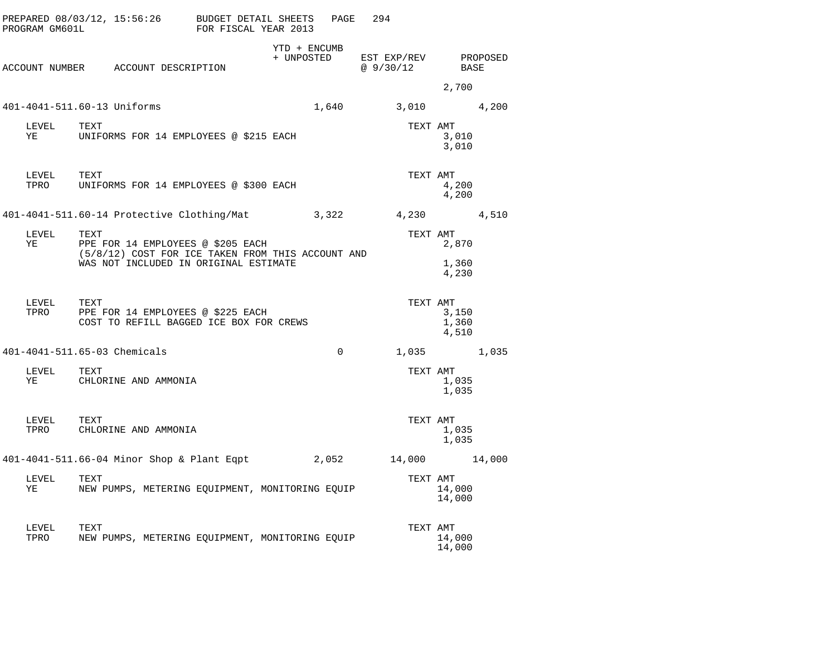| PROGRAM GM601L     | PREPARED $08/03/12$ , $15:56:26$ BUDGET DETAIL SHEETS                                  | FOR FISCAL YEAR 2013 |                            | PAGE         | 294                              |                                     |  |
|--------------------|----------------------------------------------------------------------------------------|----------------------|----------------------------|--------------|----------------------------------|-------------------------------------|--|
|                    | ACCOUNT NUMBER ACCOUNT DESCRIPTION                                                     |                      | YTD + ENCUMB<br>+ UNPOSTED |              | EST EXP/REV PROPOSED<br>@9/30/12 | BASE                                |  |
|                    |                                                                                        |                      |                            |              |                                  | 2,700                               |  |
|                    | 401-4041-511.60-13 Uniforms                                                            |                      |                            | 1,640        |                                  | 3,010 4,200                         |  |
| LEVEL<br>YE        | TEXT<br>UNIFORMS FOR 14 EMPLOYEES @ \$215 EACH                                         |                      |                            |              | TEXT AMT                         | 3,010<br>3,010                      |  |
| LEVEL TEXT<br>TPRO | UNIFORMS FOR 14 EMPLOYEES @ \$300 EACH                                                 |                      |                            |              | TEXT AMT                         | 4,200<br>4,200                      |  |
|                    | 401-4041-511.60-14 Protective Clothing/Mat                                             |                      |                            | 3,322        | 4,230 4,510                      |                                     |  |
| LEVEL TEXT<br>YE   | PPE FOR 14 EMPLOYEES @ \$205 EACH<br>(5/8/12) COST FOR ICE TAKEN FROM THIS ACCOUNT AND |                      |                            |              | TEXT AMT                         | 2,870                               |  |
|                    | WAS NOT INCLUDED IN ORIGINAL ESTIMATE                                                  |                      |                            |              |                                  | 1,360<br>4,230                      |  |
| LEVEL<br>TPRO      | TEXT<br>PPE FOR 14 EMPLOYEES @ \$225 EACH<br>COST TO REFILL BAGGED ICE BOX FOR CREWS   |                      |                            |              |                                  | TEXT AMT<br>3,150<br>1,360<br>4,510 |  |
|                    | 401-4041-511.65-03 Chemicals                                                           |                      |                            | $\mathbf{0}$ |                                  | 1,035 1,035                         |  |
| LEVEL<br>YE        | TEXT<br>CHLORINE AND AMMONIA                                                           |                      |                            |              | TEXT AMT                         | 1,035<br>1,035                      |  |
| LEVEL TEXT<br>TPRO | CHLORINE AND AMMONIA                                                                   |                      |                            |              | TEXT AMT                         | 1,035<br>1,035                      |  |
|                    | 401-4041-511.66-04 Minor Shop & Plant Eqpt                                             |                      |                            | 2,052        | 14,000 14,000                    |                                     |  |
| LEVEL<br>YE        | TEXT<br>NEW PUMPS, METERING EQUIPMENT, MONITORING EQUIP                                |                      |                            |              | TEXT AMT                         | 14,000<br>14,000                    |  |
| LEVEL<br>TPRO      | TEXT<br>NEW PUMPS, METERING EQUIPMENT, MONITORING EQUIP                                |                      |                            |              | TEXT AMT                         | 14,000<br>14,000                    |  |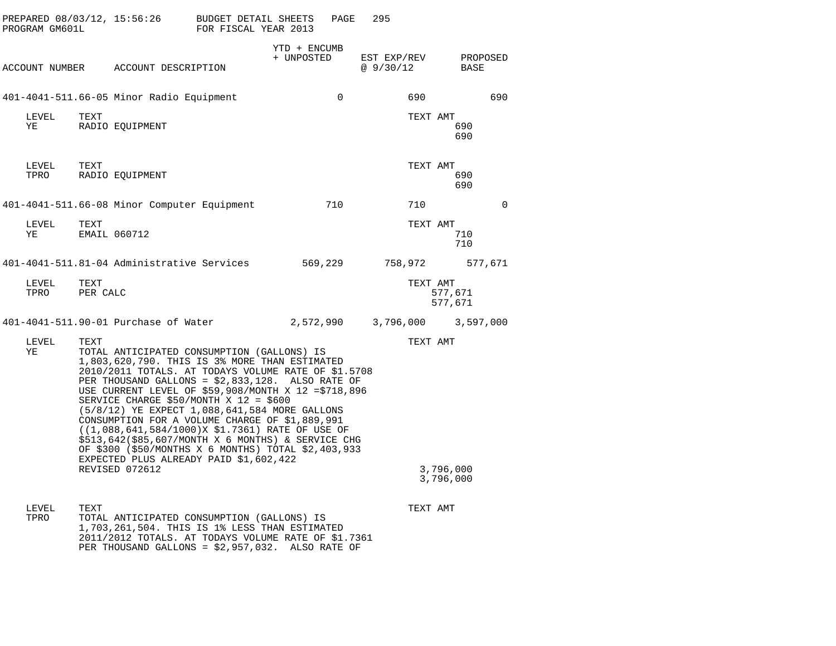| PREPARED 08/03/12, 15:56:26<br>PROGRAM GM601L |                  |                                                                                                                                                                                                                                                                                                                                                                                                                                                                                                                                                                                                                                           | BUDGET DETAIL SHEETS<br>FOR FISCAL YEAR 2013 |                            | PAGE      | 295                     |                        |          |
|-----------------------------------------------|------------------|-------------------------------------------------------------------------------------------------------------------------------------------------------------------------------------------------------------------------------------------------------------------------------------------------------------------------------------------------------------------------------------------------------------------------------------------------------------------------------------------------------------------------------------------------------------------------------------------------------------------------------------------|----------------------------------------------|----------------------------|-----------|-------------------------|------------------------|----------|
|                                               |                  | ACCOUNT NUMBER ACCOUNT DESCRIPTION                                                                                                                                                                                                                                                                                                                                                                                                                                                                                                                                                                                                        |                                              | YTD + ENCUMB<br>+ UNPOSTED |           | EST EXP/REV<br>@9/30/12 | BASE                   | PROPOSED |
|                                               |                  | 401-4041-511.66-05 Minor Radio Equipment                                                                                                                                                                                                                                                                                                                                                                                                                                                                                                                                                                                                  |                                              |                            | $\Omega$  | 690                     |                        | 690      |
| LEVEL<br>ΥE                                   | TEXT             | RADIO EQUIPMENT                                                                                                                                                                                                                                                                                                                                                                                                                                                                                                                                                                                                                           |                                              |                            |           | TEXT AMT                | 690<br>690             |          |
| LEVEL<br>TPRO                                 | TEXT             | RADIO EQUIPMENT                                                                                                                                                                                                                                                                                                                                                                                                                                                                                                                                                                                                                           |                                              |                            |           | TEXT AMT                | 690<br>690             |          |
|                                               |                  | 401-4041-511.66-08 Minor Computer Equipment                                                                                                                                                                                                                                                                                                                                                                                                                                                                                                                                                                                               |                                              |                            | 710       | 710                     |                        | $\Omega$ |
| LEVEL<br>YE                                   | TEXT             | EMAIL 060712                                                                                                                                                                                                                                                                                                                                                                                                                                                                                                                                                                                                                              |                                              |                            |           | TEXT AMT                | 710<br>710             |          |
|                                               |                  | 401-4041-511.81-04 Administrative Services                                                                                                                                                                                                                                                                                                                                                                                                                                                                                                                                                                                                |                                              |                            | 569,229   | 758,972                 |                        | 577,671  |
| LEVEL<br>TPRO                                 | TEXT<br>PER CALC |                                                                                                                                                                                                                                                                                                                                                                                                                                                                                                                                                                                                                                           |                                              |                            |           | TEXT AMT                | 577,671<br>577,671     |          |
|                                               |                  | 401-4041-511.90-01 Purchase of Water                                                                                                                                                                                                                                                                                                                                                                                                                                                                                                                                                                                                      |                                              |                            | 2,572,990 | 3,796,000               | 3,597,000              |          |
| LEVEL<br>ΥE                                   | TEXT             | TOTAL ANTICIPATED CONSUMPTION (GALLONS) IS<br>1,803,620,790. THIS IS 3% MORE THAN ESTIMATED<br>2010/2011 TOTALS. AT TODAYS VOLUME RATE OF \$1.5708<br>PER THOUSAND GALLONS = \$2,833,128. ALSO RATE OF<br>USE CURRENT LEVEL OF \$59,908/MONTH X 12 = \$718,896<br>SERVICE CHARGE \$50/MONTH X 12 = \$600<br>(5/8/12) YE EXPECT 1,088,641,584 MORE GALLONS<br>CONSUMPTION FOR A VOLUME CHARGE OF \$1,889,991<br>$(1,088,641,584/1000)$ X \$1.7361) RATE OF USE OF<br>\$513,642(\$85,607/MONTH X 6 MONTHS) & SERVICE CHG<br>OF \$300 (\$50/MONTHS X 6 MONTHS) TOTAL \$2,403,933<br>EXPECTED PLUS ALREADY PAID \$1,602,422<br>REVISED 072612 |                                              |                            |           | TEXT AMT                | 3,796,000<br>3,796,000 |          |
| LEVEL<br>TPRO                                 | TEXT             | TOTAL ANTICIPATED CONSUMPTION (GALLONS) IS<br>1,703,261,504. THIS IS 1% LESS THAN ESTIMATED<br>2011/2012 TOTALS. AT TODAYS VOLUME RATE OF \$1.7361                                                                                                                                                                                                                                                                                                                                                                                                                                                                                        |                                              |                            |           | TEXT AMT                |                        |          |

PER THOUSAND GALLONS <sup>=</sup> \$2,957,032. ALSO RATE OF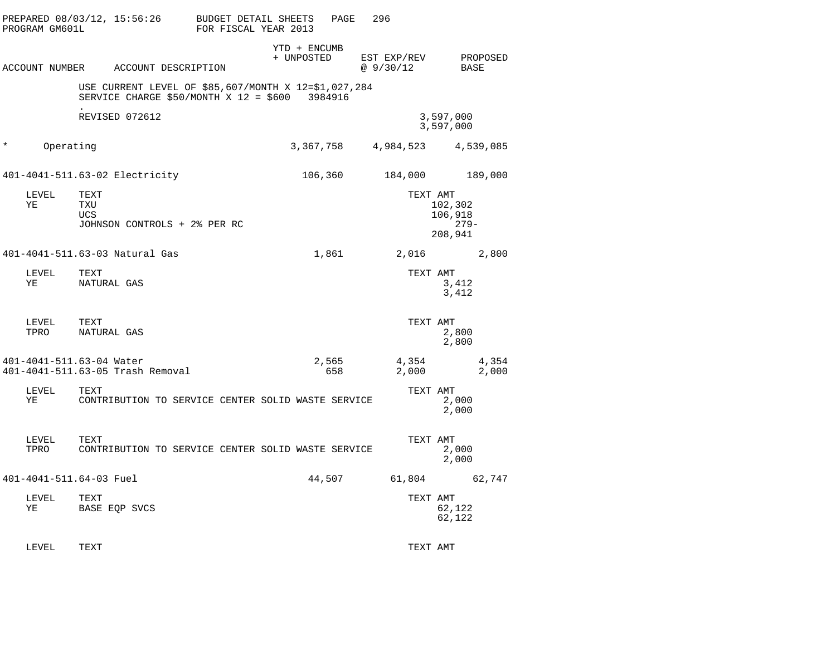|         | PREPARED 08/03/12, 15:56:26<br>PROGRAM GM601L |                           |                                                                                                         | BUDGET DETAIL SHEETS<br>FOR FISCAL YEAR 2013 |                            | PAGE         | 296                      |                                       |
|---------|-----------------------------------------------|---------------------------|---------------------------------------------------------------------------------------------------------|----------------------------------------------|----------------------------|--------------|--------------------------|---------------------------------------|
|         |                                               |                           | ACCOUNT NUMBER ACCOUNT DESCRIPTION                                                                      |                                              | YTD + ENCUMB<br>+ UNPOSTED |              | EST EXP/REV<br>@ 9/30/12 | PROPOSED<br>BASE                      |
|         |                                               |                           | USE CURRENT LEVEL OF \$85,607/MONTH X 12=\$1,027,284<br>SERVICE CHARGE \$50/MONTH X $12 = $600$ 3984916 |                                              |                            |              |                          |                                       |
|         |                                               |                           | REVISED 072612                                                                                          |                                              |                            |              |                          | 3,597,000<br>3,597,000                |
| $\star$ | Operating                                     |                           |                                                                                                         |                                              |                            | 3,367,758    |                          | 4,984,523 4,539,085                   |
|         |                                               |                           | 401-4041-511.63-02 Electricity                                                                          |                                              |                            | 106,360      | 184,000                  | 189,000                               |
|         | LEVEL<br>ΥE                                   | TEXT<br>TXU<br><b>UCS</b> | JOHNSON CONTROLS + 2% PER RC                                                                            |                                              |                            |              | TEXT AMT                 | 102,302<br>106,918<br>-279<br>208,941 |
|         |                                               |                           | 401-4041-511.63-03 Natural Gas                                                                          |                                              |                            | 1,861        |                          | 2,016 2,800                           |
|         | LEVEL<br>YE                                   | TEXT<br>NATURAL GAS       |                                                                                                         |                                              |                            |              | TEXT AMT                 | 3,412<br>3,412                        |
|         | LEVEL<br>TPRO                                 | TEXT<br>NATURAL GAS       |                                                                                                         |                                              |                            |              | TEXT AMT                 | 2,800<br>2,800                        |
|         | 401-4041-511.63-04 Water                      |                           | 401-4041-511.63-05 Trash Removal                                                                        |                                              |                            | 2,565<br>658 | 4,354<br>2,000           | 4,354<br>2,000                        |
|         | LEVEL<br>YE                                   | TEXT                      | CONTRIBUTION TO SERVICE CENTER SOLID WASTE SERVICE                                                      |                                              |                            |              | TEXT AMT                 | 2,000<br>2,000                        |
|         | LEVEL<br>TPRO                                 | TEXT                      | CONTRIBUTION TO SERVICE CENTER SOLID WASTE SERVICE                                                      |                                              |                            |              | TEXT AMT                 | 2,000<br>2,000                        |
|         | 401-4041-511.64-03 Fuel                       |                           |                                                                                                         |                                              |                            | 44,507       |                          | 61,804 62,747                         |
|         | LEVEL<br>ΥE                                   | TEXT                      | BASE EQP SVCS                                                                                           |                                              |                            |              | TEXT AMT                 | 62,122<br>62,122                      |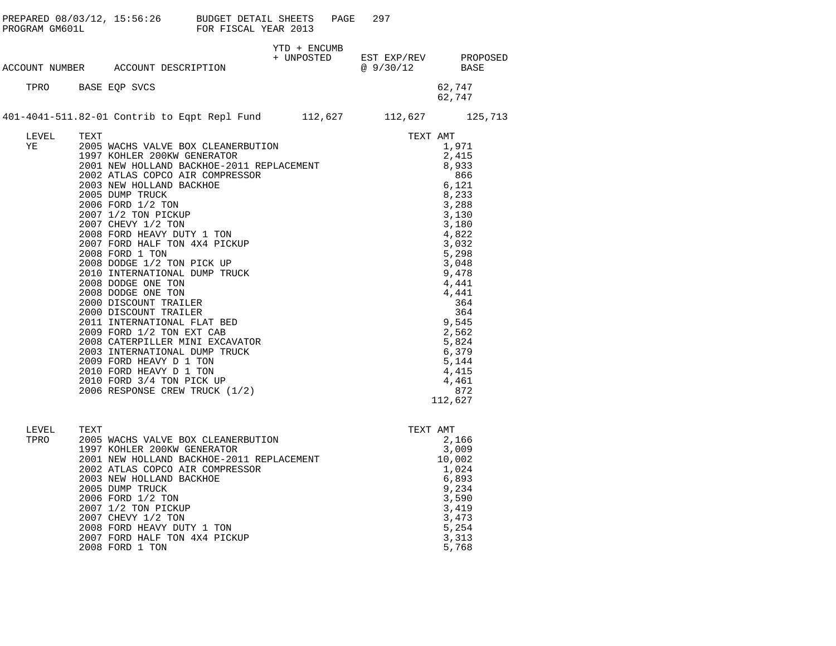| PROGRAM GM601L | PREPARED 08/03/12, 15:56:26 BUDGET DETAIL SHEETS                                                                                                                                                                                                                                                                                                                                                                                                                                                                                                                                                                          | FOR FISCAL YEAR 2013                                                                                                                                                          | PAGE         | 297                                                                                                  |                                                                                                                                                                                                                                           |
|----------------|---------------------------------------------------------------------------------------------------------------------------------------------------------------------------------------------------------------------------------------------------------------------------------------------------------------------------------------------------------------------------------------------------------------------------------------------------------------------------------------------------------------------------------------------------------------------------------------------------------------------------|-------------------------------------------------------------------------------------------------------------------------------------------------------------------------------|--------------|------------------------------------------------------------------------------------------------------|-------------------------------------------------------------------------------------------------------------------------------------------------------------------------------------------------------------------------------------------|
|                | ACCOUNT NUMBER ACCOUNT DESCRIPTION                                                                                                                                                                                                                                                                                                                                                                                                                                                                                                                                                                                        |                                                                                                                                                                               | YTD + ENCUMB | $\begin{tabular}{llll} + & UNPOSTED & EST EXP/REV & PROPOSED \\ & @ 9/30/12 & BASE \\ \end{tabular}$ |                                                                                                                                                                                                                                           |
|                | TPRO BASE EQP SVCS                                                                                                                                                                                                                                                                                                                                                                                                                                                                                                                                                                                                        |                                                                                                                                                                               |              |                                                                                                      | 62,747<br>62,747                                                                                                                                                                                                                          |
|                | 401-4041-511.82-01 Contrib to Eqpt Repl Fund 112,627 112,627 125,713                                                                                                                                                                                                                                                                                                                                                                                                                                                                                                                                                      |                                                                                                                                                                               |              |                                                                                                      |                                                                                                                                                                                                                                           |
| LEVEL<br>YE    | TEXT<br>2003 NEW HOLLAND BACKHOE<br>2005 DUMP TRUCK<br>2006 FORD 1/2 TON<br>2007 1/2 TON PICKUP<br>2007 CHEVY 1/2 TON<br>2008 FORD HEAVY DUTY 1 TON<br>2007 FORD HALF TON 4X4 PICKUP<br>2008 FORD 1 TON<br>2008 DODGE 1/2 TON PICK UP<br>2010 INTERNATIONAL DUMP TRUCK<br>2008 DODGE ONE TON<br>2008 DODGE ONE TON<br>2000 DISCOUNT TRAILER<br>2000 DISCOUNT TRAILER<br>2011 INTERNATIONAL FLAT BED<br>2009 FORD 1/2 TON EXT CAB<br>2008 CATERPILLER MINI EXCAVATOR<br>2003 INTERNATIONAL DUMP TRUCK<br>2009 FORD HEAVY D 1 TON<br>2010 FORD HEAVY D 1 TON<br>2010 FORD 3/4 TON PICK UP<br>2006 RESPONSE CREW TRUCK (1/2) | 2005 WACHS VALVE BOX CLEANERBUTION<br>1997 KOHLER 200KW GENERATOR<br>2001 NEW HOLLAND BACKHOE-2011 REPLACEMENT<br>2002 ATLAS COPCO AIR COMPRESSOR<br>2003 NEW HOLLAND BACKHOE |              | TEXT AMT                                                                                             | 1,971<br>2,415<br>8,933<br>866<br>6,121<br>8,233<br>3,288<br>3,130<br>3,180<br>4,822<br>3,032<br>5,298<br>3,048<br>9,478<br>4,441<br>4,441<br>364<br>364<br>9,545<br>2,562<br>5,824<br>6,379<br>5,144<br>4,415<br>4,461<br>872<br>112,627 |
| LEVEL<br>TPRO  | TEXT<br>1997 KOHLER 200KW GENERATOR<br>2002 ATLAS COPCO AIR COMPRESSOR<br>2003 NEW HOLLAND BACKHOE<br>2005 DUMP TRUCK<br>2006 FORD 1/2 TON<br>2007 1/2 TON PICKUP<br>2007 CHEVY 1/2 TON<br>2008 FORD HEAVY DUTY 1 TON                                                                                                                                                                                                                                                                                                                                                                                                     | 2005 WACHS VALVE BOX CLEANERBUTION<br>1997 KOHLER 200KW GENERATOR<br>2001 NEW HOLLAND BACKHOE-2011 REPLACEMENT                                                                |              | TEXT AMT                                                                                             | 2,166<br>3,009<br>10,002<br>1,024<br>6,893<br>9,234<br>3,590<br>3,419<br>3,473<br>5,254                                                                                                                                                   |

2008 FORD HEAVY DUTY 1 TON 5,254<br>2007 FORD HALF TON 4X4 PICKUP 5,313<br>2008 FORD 1 TON 5,768 2007 FORD HALF TON 4X4 PICKUP 2008 FORD 1 TON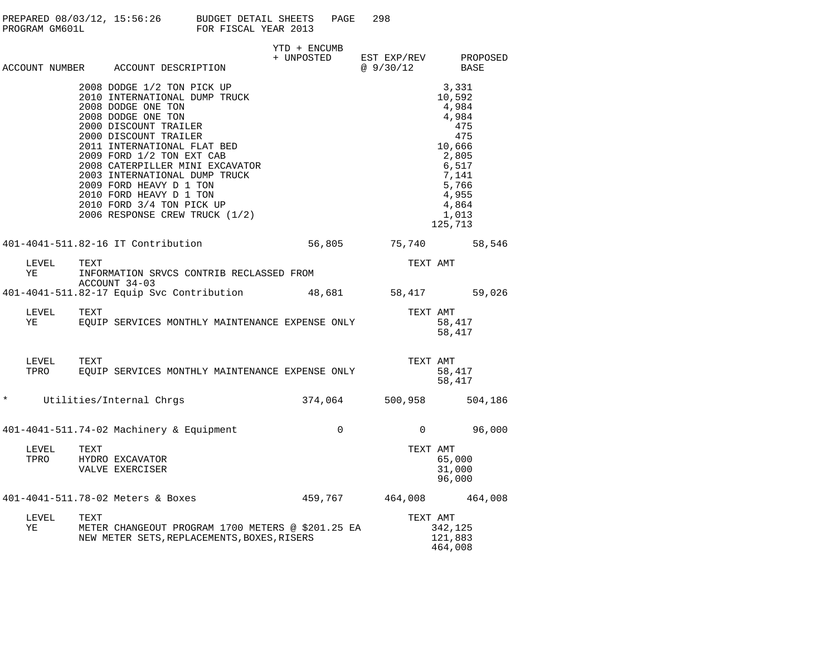| PREPARED 08/03/12, 15:56:26<br>PROGRAM GM601L | BUDGET DETAIL SHEETS<br>PAGE.<br>FOR FISCAL YEAR 2013 | 298 |
|-----------------------------------------------|-------------------------------------------------------|-----|
|                                               | YTD + ENCIMB                                          |     |

|         |               |      | ACCOUNT NUMBER ACCOUNT DESCRIPTION                                                                                                                                                                                                                                                                                                                                                                             | + UNPOSTED           | EST EXP/REV<br>@9/30/12 | PROPOSED<br>BASE                                                                                                                    |
|---------|---------------|------|----------------------------------------------------------------------------------------------------------------------------------------------------------------------------------------------------------------------------------------------------------------------------------------------------------------------------------------------------------------------------------------------------------------|----------------------|-------------------------|-------------------------------------------------------------------------------------------------------------------------------------|
|         |               |      | 2008 DODGE 1/2 TON PICK UP<br>2010 INTERNATIONAL DUMP TRUCK<br>2008 DODGE ONE TON<br>2008 DODGE ONE TON<br>2000 DISCOUNT TRAILER<br>2000 DISCOUNT TRAILER<br>2011 INTERNATIONAL FLAT BED<br>2009 FORD 1/2 TON EXT CAB<br>2008 CATERPILLER MINI EXCAVATOR<br>2003 INTERNATIONAL DUMP TRUCK<br>2009 FORD HEAVY D 1 TON<br>2010 FORD HEAVY D 1 TON<br>2010 FORD 3/4 TON PICK UP<br>2006 RESPONSE CREW TRUCK (1/2) |                      |                         | 3,331<br>10,592<br>4,984<br>4,984<br>475<br>475<br>10,666<br>2,805<br>6,517<br>7,141<br>5,766<br>4,955<br>4,864<br>1,013<br>125,713 |
|         |               |      | 401-4041-511.82-16 IT Contribution                                                                                                                                                                                                                                                                                                                                                                             | 56,805 75,740 58,546 |                         |                                                                                                                                     |
|         | LEVEL<br>ΥE   | TEXT | INFORMATION SRVCS CONTRIB RECLASSED FROM<br>ACCOUNT 34-03                                                                                                                                                                                                                                                                                                                                                      |                      | TEXT AMT                |                                                                                                                                     |
|         |               |      | 401-4041-511.82-17 Equip Svc Contribution 48,681 58,417 59,026                                                                                                                                                                                                                                                                                                                                                 |                      |                         |                                                                                                                                     |
|         | LEVEL<br>YE   | TEXT | -- -----<br>EQUIP SERVICES MONTHLY MAINTENANCE EXPENSE ONLY                                                                                                                                                                                                                                                                                                                                                    |                      | TEXT AMT                | 58,417<br>58,417                                                                                                                    |
|         | LEVEL<br>TPRO | TEXT | EQUIP SERVICES MONTHLY MAINTENANCE EXPENSE ONLY                                                                                                                                                                                                                                                                                                                                                                |                      | TEXT AMT                | 58,417<br>58,417                                                                                                                    |
| $\star$ |               |      | Utilities/Internal Chrgs                                                                                                                                                                                                                                                                                                                                                                                       | 374,064              | 500,958 504,186         |                                                                                                                                     |
|         |               |      | 401-4041-511.74-02 Machinery & Equipment                                                                                                                                                                                                                                                                                                                                                                       | $\mathbf 0$          | $\overline{0}$          | 96,000                                                                                                                              |
|         | LEVEL<br>TPRO | TEXT | HYDRO EXCAVATOR<br>VALVE EXERCISER                                                                                                                                                                                                                                                                                                                                                                             |                      | TEXT AMT                | 65,000<br>31,000<br>96,000                                                                                                          |
|         |               |      | 401-4041-511.78-02 Meters & Boxes                                                                                                                                                                                                                                                                                                                                                                              |                      | 459,767 464,008 464,008 |                                                                                                                                     |
|         | LEVEL<br>YE   | TEXT | METER CHANGEOUT PROGRAM 1700 METERS @ \$201.25 EA<br>NEW METER SETS, REPLACEMENTS, BOXES, RISERS                                                                                                                                                                                                                                                                                                               |                      | TEXT AMT                | 342,125<br>121,883<br>464,008                                                                                                       |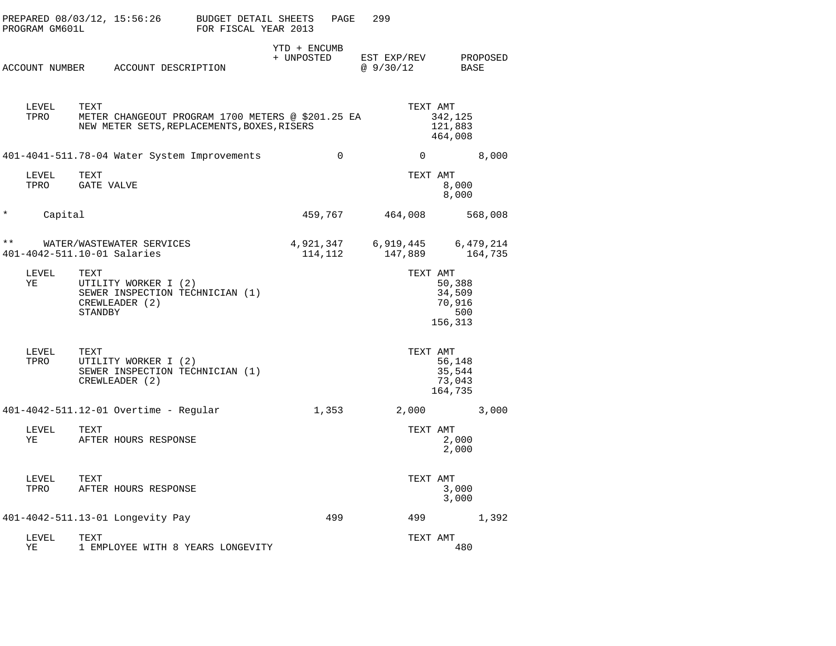|              | PROGRAM GM601L | PREPARED 08/03/12, 15:56:26                                                                              | BUDGET DETAIL SHEETS<br>FOR FISCAL YEAR 2013 |                            | PAGE     | 299                      |                      |                                              |                      |
|--------------|----------------|----------------------------------------------------------------------------------------------------------|----------------------------------------------|----------------------------|----------|--------------------------|----------------------|----------------------------------------------|----------------------|
|              |                | ACCOUNT NUMBER ACCOUNT DESCRIPTION                                                                       |                                              | YTD + ENCUMB<br>+ UNPOSTED |          | EST EXP/REV<br>@ 9/30/12 |                      | BASE                                         | PROPOSED             |
|              | LEVEL<br>TPRO  | TEXT<br>METER CHANGEOUT PROGRAM 1700 METERS @ \$201.25 EA<br>NEW METER SETS, REPLACEMENTS, BOXES, RISERS |                                              |                            |          |                          | TEXT AMT             | 342,125<br>121,883<br>464,008                |                      |
|              |                | 401-4041-511.78-04 Water System Improvements                                                             |                                              |                            | $\Omega$ |                          | $\Omega$             |                                              | 8,000                |
|              | LEVEL<br>TPRO  | TEXT<br>GATE VALVE                                                                                       |                                              |                            |          |                          | TEXT AMT             | 8,000<br>8,000                               |                      |
| $^\star$     | Capital        |                                                                                                          |                                              | 459,767                    |          |                          | 464,008              |                                              | 568,008              |
| $\star\star$ |                | WATER/WASTEWATER SERVICES<br>401-4042-511.10-01 Salaries                                                 |                                              | 4,921,347<br>114,112       |          |                          | 6,919,445<br>147,889 |                                              | 6,479,214<br>164,735 |
|              | LEVEL<br>ΥE    | TEXT<br>UTILITY WORKER I (2)<br>SEWER INSPECTION TECHNICIAN (1)<br>CREWLEADER (2)<br>STANDBY             |                                              |                            |          |                          | TEXT AMT             | 50,388<br>34,509<br>70,916<br>500<br>156,313 |                      |
|              | LEVEL<br>TPRO  | TEXT<br>UTILITY WORKER I (2)<br>SEWER INSPECTION TECHNICIAN (1)<br>CREWLEADER (2)                        |                                              |                            |          |                          | TEXT AMT             | 56,148<br>35,544<br>73,043<br>164,735        |                      |
|              |                | 401-4042-511.12-01 Overtime - Regular                                                                    |                                              | 1,353                      |          |                          | 2,000                |                                              | 3,000                |
|              | LEVEL<br>YE    | TEXT<br>AFTER HOURS RESPONSE                                                                             |                                              |                            |          |                          | TEXT AMT             | 2,000<br>2,000                               |                      |
|              | LEVEL<br>TPRO  | TEXT<br>AFTER HOURS RESPONSE                                                                             |                                              |                            |          |                          | TEXT AMT             | 3,000<br>3,000                               |                      |
|              |                | 401-4042-511.13-01 Longevity Pay                                                                         |                                              |                            | 499      |                          | 499                  |                                              | 1,392                |
|              | LEVEL<br>ΥE    | TEXT<br>1 EMPLOYEE WITH 8 YEARS LONGEVITY                                                                |                                              |                            |          |                          | TEXT AMT             | 480                                          |                      |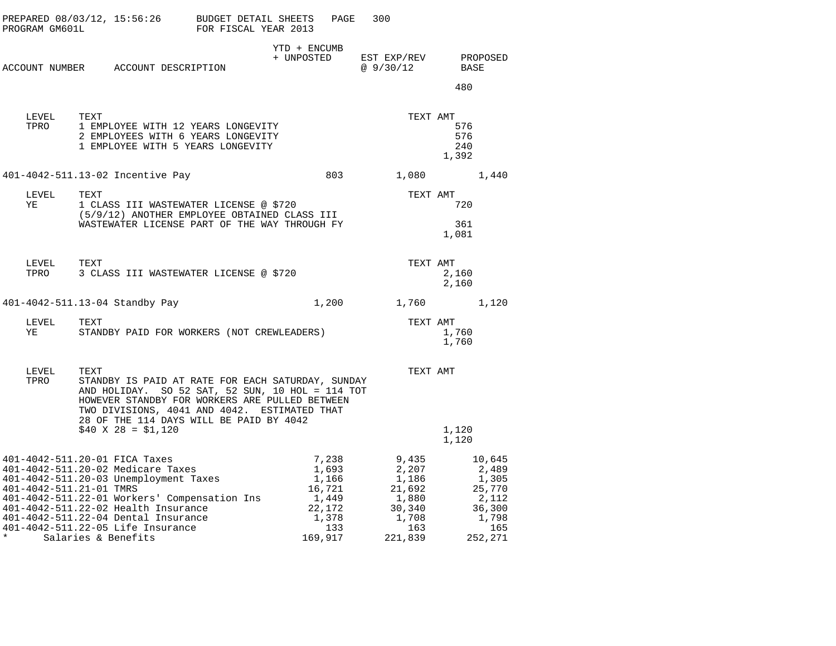| PROGRAM GM601L                     | $PREPARED 08/03/12, 15:56:26$ BUDGET DETAIL SHEETS                                                                                                                                                                                                                                                    | FOR FISCAL YEAR 2013 | PAGE                                                                            | 300                                                                             |                            |                                                                                  |
|------------------------------------|-------------------------------------------------------------------------------------------------------------------------------------------------------------------------------------------------------------------------------------------------------------------------------------------------------|----------------------|---------------------------------------------------------------------------------|---------------------------------------------------------------------------------|----------------------------|----------------------------------------------------------------------------------|
|                                    | ACCOUNT NUMBER ACCOUNT DESCRIPTION                                                                                                                                                                                                                                                                    |                      | YTD + ENCUMB<br>+ UNPOSTED                                                      | EST EXP/REV<br>@ 9/30/12                                                        | BASE                       | PROPOSED                                                                         |
|                                    |                                                                                                                                                                                                                                                                                                       |                      |                                                                                 |                                                                                 | 480                        |                                                                                  |
| LEVEL<br>TPRO                      | TEXT<br>1 EMPLOYEE WITH 12 YEARS LONGEVITY<br>2 EMPLOYEES WITH 6 YEARS LONGEVITY<br>1 EMPLOYEE WITH 5 YEARS LONGEVITY                                                                                                                                                                                 |                      |                                                                                 | TEXT AMT                                                                        | 576<br>576<br>240<br>1,392 |                                                                                  |
|                                    | 401-4042-511.13-02 Incentive Pay                                                                                                                                                                                                                                                                      |                      | 803                                                                             | 1,080                                                                           |                            | 1,440                                                                            |
| LEVEL<br>ΥE                        | TEXT<br>1 CLASS III WASTEWATER LICENSE @ \$720<br>(5/9/12) ANOTHER EMPLOYEE OBTAINED CLASS III<br>WASTEWATER LICENSE PART OF THE WAY THROUGH FY<br>WASTEWATER LICENSE PART OF THE WAY THROUGH FY                                                                                                      |                      |                                                                                 | TEXT AMT                                                                        | 720<br>361<br>1,081        |                                                                                  |
| LEVEL                              | TEXT<br>TPRO 3 CLASS III WASTEWATER LICENSE @ \$720                                                                                                                                                                                                                                                   |                      |                                                                                 | TEXT AMT                                                                        | 2,160<br>2,160             |                                                                                  |
|                                    | 401-4042-511.13-04 Standby Pay                                                                                                                                                                                                                                                                        |                      | 1,200                                                                           | 1,760                                                                           |                            | 1,120                                                                            |
| LEVEL<br>YE                        | TEXT<br>STANDBY PAID FOR WORKERS (NOT CREWLEADERS)                                                                                                                                                                                                                                                    |                      |                                                                                 | TEXT AMT                                                                        | 1,760<br>1,760             |                                                                                  |
| LEVEL<br>TPRO                      | TEXT<br>STANDBY IS PAID AT RATE FOR EACH SATURDAY, SUNDAY<br>AND HOLIDAY. SO 52 SAT, 52 SUN, 10 HOL = 114 TOT<br>HOWEVER STANDBY FOR WORKERS ARE PULLED BETWEEN<br>TWO DIVISIONS, 4041 AND 4042. ESTIMATED THAT<br>28 OF THE 114 DAYS WILL BE PAID BY 4042                                            |                      |                                                                                 | TEXT AMT                                                                        |                            |                                                                                  |
|                                    | $$40 \times 28 = $1,120$                                                                                                                                                                                                                                                                              |                      |                                                                                 |                                                                                 | 1,120<br>1,120             |                                                                                  |
| 401-4042-511.21-01 TMRS<br>$\star$ | 401-4042-511.20-01 FICA Taxes<br>401-4042-511.20-02 Medicare Taxes<br>401-4042-511.20-03 Unemployment Taxes<br>401-4042-511.22-01 Workers' Compensation Ins<br>401-4042-511.22-02 Health Insurance<br>401-4042-511.22-04 Dental Insurance<br>401-4042-511.22-05 Life Insurance<br>Salaries & Benefits |                      | 7,238<br>1,693<br>1,166<br>16,721<br>1,449<br>22,172<br>1,378<br>133<br>169,917 | 9,435<br>2,207<br>1,186<br>21,692<br>1,880<br>30,340<br>1,708<br>163<br>221,839 |                            | 10,645<br>2,489<br>1,305<br>25,770<br>2,112<br>36,300<br>1,798<br>165<br>252,271 |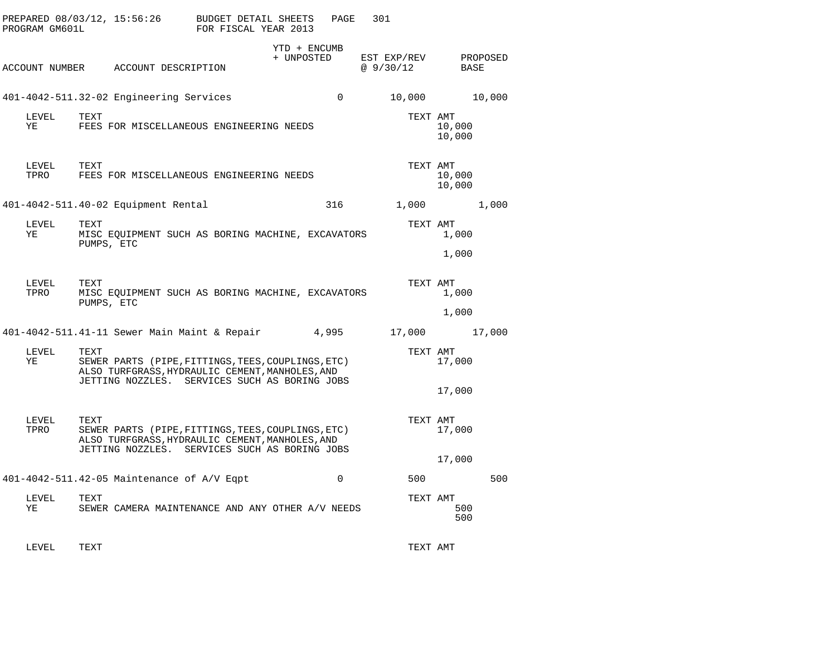| PROGRAM GM601L | PREPARED 08/03/12, 15:56:26                                                                                                                                    | BUDGET DETAIL SHEETS<br>FOR FISCAL YEAR 2013 |                            | PAGE        | 301                     |                  |          |
|----------------|----------------------------------------------------------------------------------------------------------------------------------------------------------------|----------------------------------------------|----------------------------|-------------|-------------------------|------------------|----------|
|                | ACCOUNT NUMBER ACCOUNT DESCRIPTION                                                                                                                             |                                              | YTD + ENCUMB<br>+ UNPOSTED |             | EST EXP/REV<br>@9/30/12 | BASE             | PROPOSED |
|                | 401-4042-511.32-02 Engineering Services                                                                                                                        |                                              |                            | $\Omega$    | 10,000                  |                  | 10,000   |
| LEVEL<br>ΥE    | TEXT<br>FEES FOR MISCELLANEOUS ENGINEERING NEEDS                                                                                                               |                                              |                            |             | TEXT AMT                | 10,000<br>10,000 |          |
| LEVEL<br>TPRO  | TEXT<br>FEES FOR MISCELLANEOUS ENGINEERING NEEDS                                                                                                               |                                              |                            |             | TEXT AMT                | 10,000<br>10,000 |          |
|                | 401-4042-511.40-02 Equipment Rental                                                                                                                            |                                              |                            | 316         | 1,000                   |                  | 1,000    |
| LEVEL<br>ΥE    | TEXT<br>MISC EQUIPMENT SUCH AS BORING MACHINE, EXCAVATORS<br>PUMPS, ETC                                                                                        |                                              |                            |             | TEXT AMT                | 1,000            |          |
|                |                                                                                                                                                                |                                              |                            |             |                         | 1,000            |          |
| LEVEL<br>TPRO  | TEXT<br>MISC EQUIPMENT SUCH AS BORING MACHINE, EXCAVATORS<br>PUMPS, ETC                                                                                        |                                              |                            |             | TEXT AMT                | 1,000            |          |
|                |                                                                                                                                                                |                                              |                            |             |                         | 1,000            |          |
|                | 401-4042-511.41-11 Sewer Main Maint & Repair 4,995                                                                                                             |                                              |                            |             | 17,000                  |                  | 17,000   |
| LEVEL<br>YE    | TEXT<br>SEWER PARTS (PIPE, FITTINGS, TEES, COUPLINGS, ETC)<br>ALSO TURFGRASS, HYDRAULIC CEMENT, MANHOLES, AND<br>JETTING NOZZLES. SERVICES SUCH AS BORING JOBS |                                              |                            |             | TEXT AMT                | 17,000           |          |
|                |                                                                                                                                                                |                                              |                            |             |                         | 17,000           |          |
| LEVEL<br>TPRO  | TEXT<br>SEWER PARTS (PIPE, FITTINGS, TEES, COUPLINGS, ETC)<br>ALSO TURFGRASS, HYDRAULIC CEMENT, MANHOLES, AND<br>JETTING NOZZLES. SERVICES SUCH AS BORING JOBS |                                              |                            |             | TEXT AMT                | 17,000           |          |
|                |                                                                                                                                                                |                                              |                            |             |                         | 17,000           |          |
|                | 401-4042-511.42-05 Maintenance of A/V Eqpt                                                                                                                     |                                              |                            | $\mathbf 0$ | 500                     |                  | 500      |
| LEVEL<br>ΥE    | TEXT<br>SEWER CAMERA MAINTENANCE AND ANY OTHER A/V NEEDS                                                                                                       |                                              |                            |             | TEXT AMT                | 500<br>500       |          |
|                |                                                                                                                                                                |                                              |                            |             |                         |                  |          |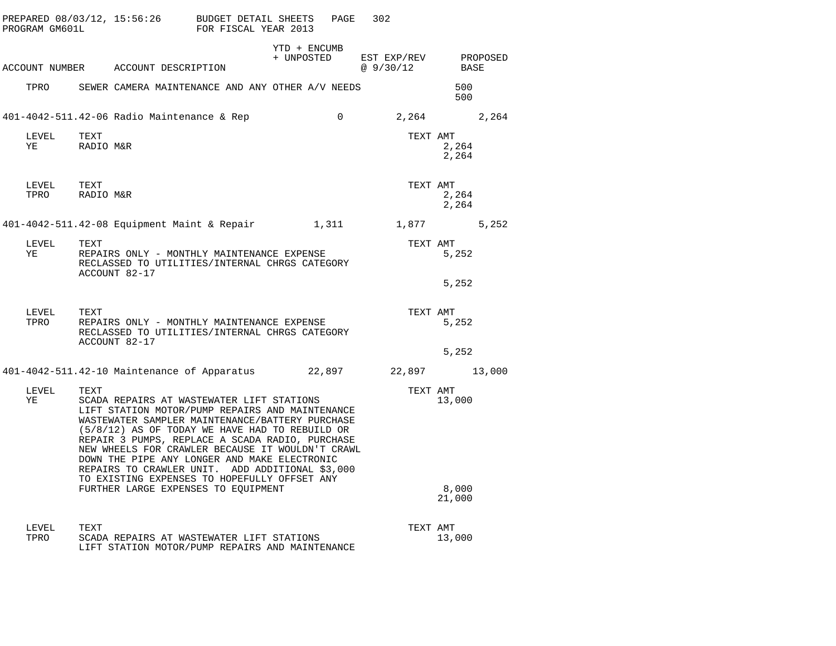| PROGRAM GM601L          |                   | PREPARED 08/03/12, 15:56:26 BUDGET DETAIL SHEETS                                                                                                                                                                                                                                                                                                                                                                                                            | FOR FISCAL YEAR 2013 |                            | PAGE     | 302                               |                 |       |
|-------------------------|-------------------|-------------------------------------------------------------------------------------------------------------------------------------------------------------------------------------------------------------------------------------------------------------------------------------------------------------------------------------------------------------------------------------------------------------------------------------------------------------|----------------------|----------------------------|----------|-----------------------------------|-----------------|-------|
|                         |                   | ACCOUNT NUMBER ACCOUNT DESCRIPTION                                                                                                                                                                                                                                                                                                                                                                                                                          |                      | YTD + ENCUMB<br>+ UNPOSTED |          | EST EXP/REV PROPOSED<br>@ 9/30/12 | BASE            |       |
|                         |                   | TPRO SEWER CAMERA MAINTENANCE AND ANY OTHER A/V NEEDS                                                                                                                                                                                                                                                                                                                                                                                                       |                      |                            |          |                                   | 500             |       |
|                         |                   |                                                                                                                                                                                                                                                                                                                                                                                                                                                             |                      |                            |          |                                   | 500             |       |
|                         |                   | 401-4042-511.42-06 Radio Maintenance & Rep                                                                                                                                                                                                                                                                                                                                                                                                                  |                      |                            | $\Omega$ |                                   | 2,264 2,264     |       |
| LEVEL<br>YE             | TEXT<br>RADIO M&R |                                                                                                                                                                                                                                                                                                                                                                                                                                                             |                      |                            |          | TEXT AMT                          | 2,264<br>2,264  |       |
| LEVEL<br>TPRO RADIO M&R | TEXT              |                                                                                                                                                                                                                                                                                                                                                                                                                                                             |                      |                            |          | TEXT AMT                          | 2,264<br>2,264  |       |
|                         |                   | 401-4042-511.42-08 Equipment Maint & Repair 1,311 1,877                                                                                                                                                                                                                                                                                                                                                                                                     |                      |                            |          |                                   |                 | 5,252 |
| LEVEL<br>YE             | TEXT              | REPAIRS ONLY - MONTHLY MAINTENANCE EXPENSE<br>RECLASSED TO UTILITIES/INTERNAL CHRGS CATEGORY<br>ACCOUNT 82-17                                                                                                                                                                                                                                                                                                                                               |                      |                            |          | TEXT AMT                          | 5,252           |       |
|                         |                   |                                                                                                                                                                                                                                                                                                                                                                                                                                                             |                      |                            |          |                                   | 5,252           |       |
| LEVEL<br>TPRO           | TEXT              | REPAIRS ONLY - MONTHLY MAINTENANCE EXPENSE<br>RECLASSED TO UTILITIES/INTERNAL CHRGS CATEGORY<br>ACCOUNT 82-17                                                                                                                                                                                                                                                                                                                                               |                      |                            |          | TEXT AMT                          | 5,252           |       |
|                         |                   |                                                                                                                                                                                                                                                                                                                                                                                                                                                             |                      |                            |          |                                   | 5,252           |       |
|                         |                   | 401-4042-511.42-10 Maintenance of Apparatus 22,897                                                                                                                                                                                                                                                                                                                                                                                                          |                      |                            |          | 22,897 13,000                     |                 |       |
| LEVEL<br>YE             | TEXT              | SCADA REPAIRS AT WASTEWATER LIFT STATIONS<br>LIFT STATION MOTOR/PUMP REPAIRS AND MAINTENANCE<br>WASTEWATER SAMPLER MAINTENANCE/BATTERY PURCHASE<br>(5/8/12) AS OF TODAY WE HAVE HAD TO REBUILD OR<br>REPAIR 3 PUMPS, REPLACE A SCADA RADIO, PURCHASE<br>NEW WHEELS FOR CRAWLER BECAUSE IT WOULDN'T CRAWL<br>DOWN THE PIPE ANY LONGER AND MAKE ELECTRONIC<br>REPAIRS TO CRAWLER UNIT. ADD ADDITIONAL \$3,000<br>TO EXISTING EXPENSES TO HOPEFULLY OFFSET ANY |                      |                            |          | TEXT AMT                          | 13,000          |       |
|                         |                   | FURTHER LARGE EXPENSES TO EQUIPMENT                                                                                                                                                                                                                                                                                                                                                                                                                         |                      |                            |          |                                   | 8,000<br>21,000 |       |
| LEVEL<br>TPRO           | TEXT              | SCADA REPAIRS AT WASTEWATER LIFT STATIONS<br>LIFT STATION MOTOR/PUMP REPAIRS AND MAINTENANCE                                                                                                                                                                                                                                                                                                                                                                |                      |                            |          | TEXT AMT                          | 13,000          |       |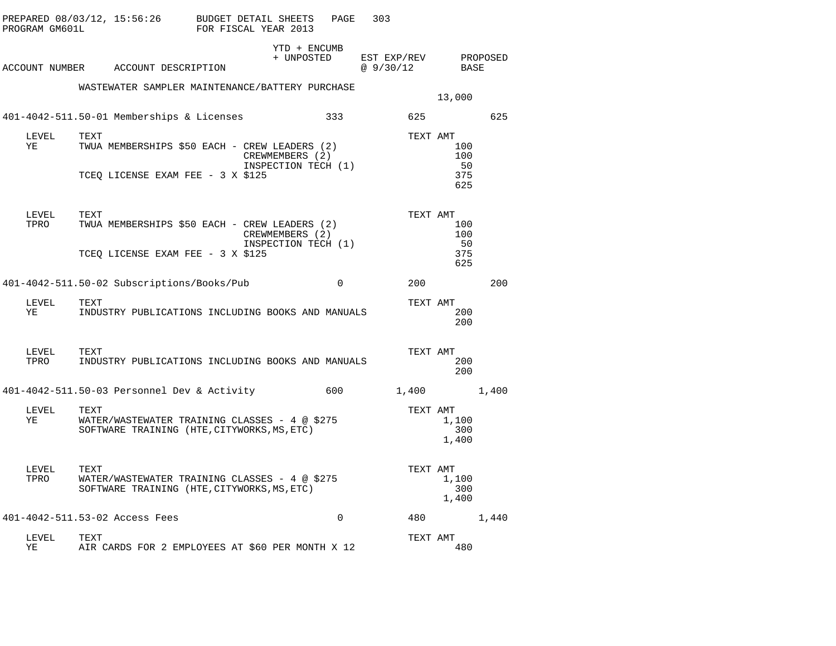| PROGRAM GM601L | PREPARED 08/03/12, 15:56:26                                                                          | BUDGET DETAIL SHEETS<br>FOR FISCAL YEAR 2013 | PAGE                                   | 303                      |                       |          |
|----------------|------------------------------------------------------------------------------------------------------|----------------------------------------------|----------------------------------------|--------------------------|-----------------------|----------|
|                | ACCOUNT NUMBER ACCOUNT DESCRIPTION                                                                   |                                              | YTD + ENCUMB<br>+ UNPOSTED             | EST EXP/REV<br>@ 9/30/12 | BASE                  | PROPOSED |
|                | WASTEWATER SAMPLER MAINTENANCE/BATTERY PURCHASE                                                      |                                              |                                        |                          | 13,000                |          |
|                | 401-4042-511.50-01 Memberships & Licenses                                                            |                                              | 333                                    | 625                      |                       | 625      |
| LEVEL<br>ΥE    | TEXT<br>TWUA MEMBERSHIPS \$50 EACH - CREW LEADERS (2)                                                |                                              | CREWMEMBERS (2)<br>INSPECTION TECH (1) | TEXT AMT                 | 100<br>100<br>50      |          |
|                | TCEQ LICENSE EXAM FEE - 3 X \$125                                                                    |                                              |                                        |                          | 375<br>625            |          |
| LEVEL<br>TPRO  | TEXT<br>TWUA MEMBERSHIPS \$50 EACH - CREW LEADERS (2)                                                |                                              | CREWMEMBERS (2)<br>INSPECTION TECH (1) | TEXT AMT                 | 100<br>100<br>50      |          |
|                | TCEQ LICENSE EXAM FEE - 3 X \$125                                                                    |                                              |                                        |                          | 375<br>625            |          |
|                | 401-4042-511.50-02 Subscriptions/Books/Pub                                                           |                                              | 0                                      | 200                      |                       | 200      |
| LEVEL<br>YE    | TEXT<br>INDUSTRY PUBLICATIONS INCLUDING BOOKS AND MANUALS                                            |                                              |                                        | TEXT AMT                 | 200<br>200            |          |
| LEVEL<br>TPRO  | TEXT<br>INDUSTRY PUBLICATIONS INCLUDING BOOKS AND MANUALS                                            |                                              |                                        | TEXT AMT                 | 200<br>200            |          |
|                | 401-4042-511.50-03 Personnel Dev & Activity                                                          |                                              | 600                                    | 1,400                    |                       | 1,400    |
| LEVEL<br>ΥE    | TEXT<br>WATER/WASTEWATER TRAINING CLASSES - 4 @ \$275<br>SOFTWARE TRAINING (HTE, CITYWORKS, MS, ETC) |                                              |                                        | TEXT AMT                 | 1,100<br>300<br>1,400 |          |
| LEVEL<br>TPRO  | TEXT<br>WATER/WASTEWATER TRAINING CLASSES - 4 @ \$275<br>SOFTWARE TRAINING (HTE, CITYWORKS, MS, ETC) |                                              |                                        | TEXT AMT                 | 1,100<br>300<br>1,400 |          |
|                | 401-4042-511.53-02 Access Fees                                                                       |                                              | $\mathbf 0$                            | 480                      |                       | 1,440    |
| LEVEL<br>ΥE    | TEXT<br>AIR CARDS FOR 2 EMPLOYEES AT \$60 PER MONTH X 12                                             |                                              |                                        | TEXT AMT                 | 480                   |          |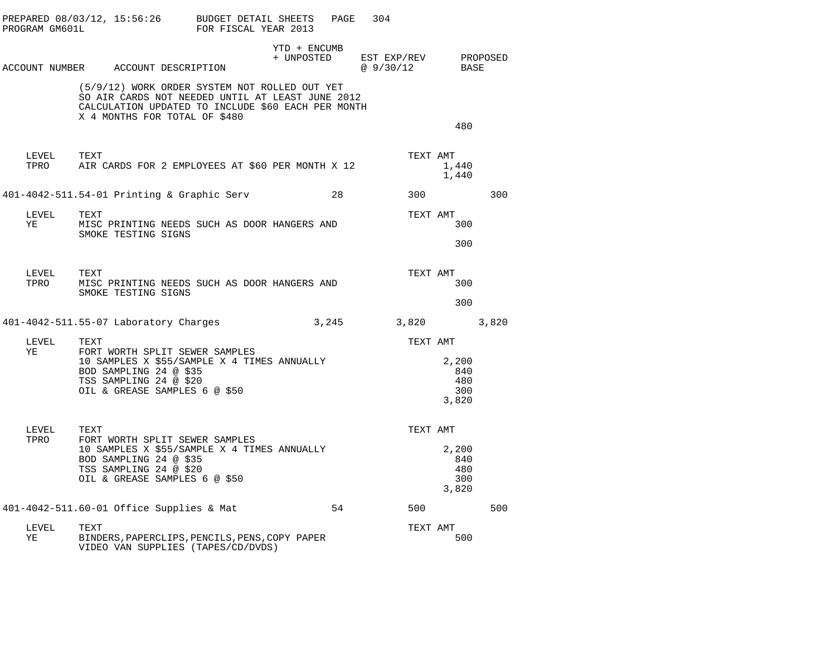| PROGRAM GM601L     | PREPARED 08/03/12, 15:56:26 BUDGET DETAIL SHEETS                                                                                                                           | FOR FISCAL YEAR 2013 |              | PAGE  | 304                                         |                                     |     |
|--------------------|----------------------------------------------------------------------------------------------------------------------------------------------------------------------------|----------------------|--------------|-------|---------------------------------------------|-------------------------------------|-----|
|                    | ACCOUNT NUMBER ACCOUNT DESCRIPTION                                                                                                                                         |                      | YTD + ENCUMB |       | + UNPOSTED EST EXP/REV PROPOSED<br>@9/30/12 | BASE                                |     |
|                    | (5/9/12) WORK ORDER SYSTEM NOT ROLLED OUT YET<br>SO AIR CARDS NOT NEEDED UNTIL AT LEAST JUNE 2012<br>CALCULATION UPDATED TO INCLUDE \$60 EACH PER MONTH                    |                      |              |       |                                             |                                     |     |
|                    | X 4 MONTHS FOR TOTAL OF \$480                                                                                                                                              |                      |              |       |                                             | 480                                 |     |
| LEVEL TEXT         | TPRO AIR CARDS FOR 2 EMPLOYEES AT \$60 PER MONTH X 12                                                                                                                      |                      |              |       | TEXT AMT                                    | 1,440<br>1,440                      |     |
|                    | 401-4042-511.54-01 Printing & Graphic Serv                                                                                                                                 |                      |              | 28    | 300                                         |                                     | 300 |
| LEVEL<br><b>YE</b> | TEXT<br>MISC PRINTING NEEDS SUCH AS DOOR HANGERS AND<br>SMOKE TESTING SIGNS                                                                                                |                      |              |       | TEXT AMT                                    | 300                                 |     |
|                    |                                                                                                                                                                            |                      |              |       |                                             | 300                                 |     |
| LEVEL<br>TPRO      | TEXT<br>MISC PRINTING NEEDS SUCH AS DOOR HANGERS AND<br>SMOKE TESTING SIGNS                                                                                                |                      |              |       | TEXT AMT                                    | 300                                 |     |
|                    |                                                                                                                                                                            |                      |              |       |                                             | 300                                 |     |
|                    | 401-4042-511.55-07 Laboratory Charges                                                                                                                                      |                      |              | 3,245 | 3,820 3,820                                 |                                     |     |
| LEVEL<br>YE        | TEXT<br>FORT WORTH SPLIT SEWER SAMPLES<br>10 SAMPLES X \$55/SAMPLE X 4 TIMES ANNUALLY<br>BOD SAMPLING 24 @ \$35<br>TSS SAMPLING 24 @ \$20<br>OIL & GREASE SAMPLES 6 @ \$50 |                      |              |       | TEXT AMT                                    | 2,200<br>840<br>480<br>300<br>3,820 |     |
| LEVEL<br>TPRO      | TEXT<br>FORT WORTH SPLIT SEWER SAMPLES<br>10 SAMPLES X \$55/SAMPLE X 4 TIMES ANNUALLY<br>BOD SAMPLING 24 @ \$35<br>TSS SAMPLING 24 @ \$20<br>OIL & GREASE SAMPLES 6 @ \$50 |                      |              |       | TEXT AMT                                    | 2,200<br>840<br>480<br>300<br>3,820 |     |
|                    | 401-4042-511.60-01 Office Supplies & Mat                                                                                                                                   |                      |              | 54    | 500                                         |                                     | 500 |
| LEVEL<br>YE        | TEXT<br>BINDERS, PAPERCLIPS, PENCILS, PENS, COPY PAPER<br>VIDEO VAN SUPPLIES (TAPES/CD/DVDS)                                                                               |                      |              |       | TEXT AMT                                    | 500                                 |     |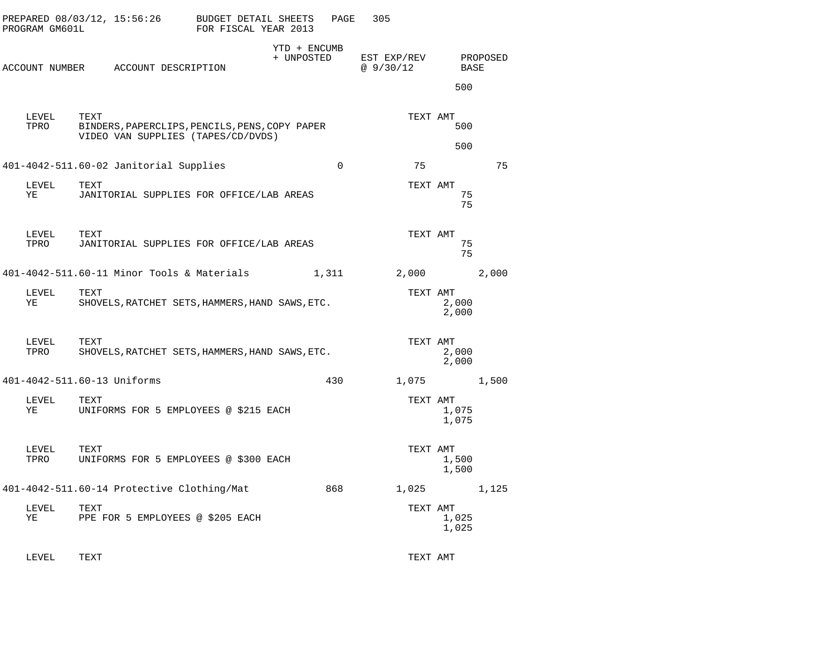| PROGRAM GM601L | PREPARED 08/03/12, 15:56:26                                                                  | BUDGET DETAIL SHEETS<br>FOR FISCAL YEAR 2013 |                            | PAGE        | 305                        |                |          |
|----------------|----------------------------------------------------------------------------------------------|----------------------------------------------|----------------------------|-------------|----------------------------|----------------|----------|
|                | ACCOUNT NUMBER ACCOUNT DESCRIPTION                                                           |                                              | YTD + ENCUMB<br>+ UNPOSTED |             | EST EXP/REV<br>@ $9/30/12$ | BASE<br>500    | PROPOSED |
| LEVEL<br>TPRO  | TEXT<br>BINDERS, PAPERCLIPS, PENCILS, PENS, COPY PAPER<br>VIDEO VAN SUPPLIES (TAPES/CD/DVDS) |                                              |                            |             | TEXT AMT                   | 500<br>500     |          |
|                | 401-4042-511.60-02 Janitorial Supplies                                                       |                                              |                            | $\mathbf 0$ | 75                         |                | 75       |
| LEVEL<br>ΥE    | TEXT<br>JANITORIAL SUPPLIES FOR OFFICE/LAB AREAS                                             |                                              |                            |             | TEXT AMT                   | 75<br>75       |          |
| LEVEL<br>TPRO  | TEXT<br>JANITORIAL SUPPLIES FOR OFFICE/LAB AREAS                                             |                                              |                            |             | TEXT AMT                   | 75<br>75       |          |
|                | 401-4042-511.60-11 Minor Tools & Materials                                                   |                                              |                            | 1,311       | 2,000                      |                | 2,000    |
| LEVEL<br>ΥE    | TEXT<br>SHOVELS, RATCHET SETS, HAMMERS, HAND SAWS, ETC.                                      |                                              |                            |             | TEXT AMT                   | 2,000<br>2,000 |          |
| LEVEL<br>TPRO  | TEXT<br>SHOVELS, RATCHET SETS, HAMMERS, HAND SAWS, ETC.                                      |                                              |                            |             | TEXT AMT                   | 2,000<br>2,000 |          |
|                | 401-4042-511.60-13 Uniforms                                                                  |                                              |                            | 430         | 1,075                      |                | 1,500    |
| LEVEL<br>ΥE    | TEXT<br>UNIFORMS FOR 5 EMPLOYEES @ \$215 EACH                                                |                                              |                            |             | TEXT AMT                   | 1,075<br>1,075 |          |
| LEVEL<br>TPRO  | TEXT<br>UNIFORMS FOR 5 EMPLOYEES @ \$300 EACH                                                |                                              |                            |             | TEXT AMT                   | 1,500<br>1,500 |          |
|                | 401-4042-511.60-14 Protective Clothing/Mat                                                   |                                              |                            | 868         | 1,025                      |                | 1,125    |
| LEVEL<br>ΥE    | TEXT<br>PPE FOR 5 EMPLOYEES @ \$205 EACH                                                     |                                              |                            |             | TEXT AMT                   | 1,025<br>1,025 |          |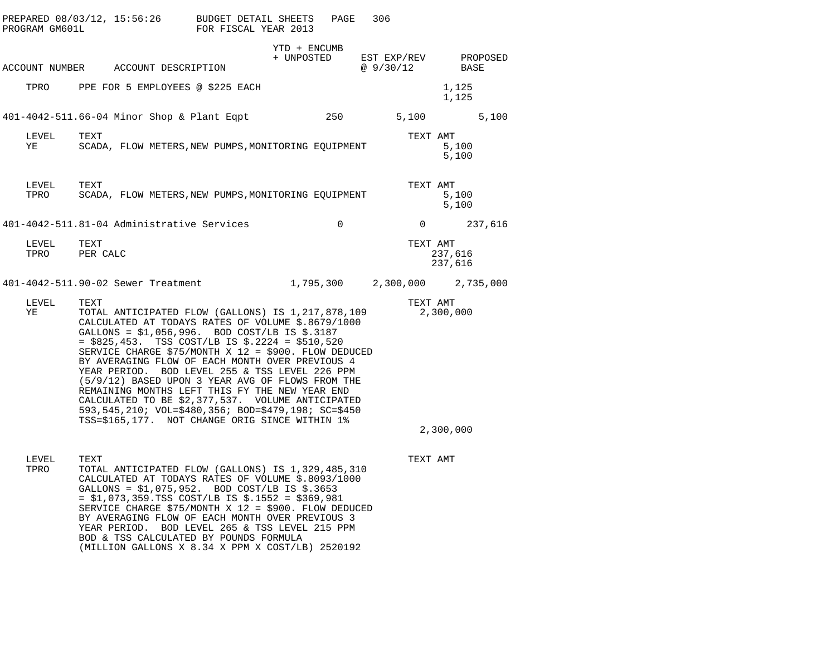| PROGRAM GM601L | PREPARED 08/03/12, 15:56:26                                                                                                                                                                                                                                                                                                                                                                                                                                                                                                                                                                                                                            | BUDGET DETAIL SHEETS<br>FOR FISCAL YEAR 2013 |                            | PAGE<br>306 |                |                               |
|----------------|--------------------------------------------------------------------------------------------------------------------------------------------------------------------------------------------------------------------------------------------------------------------------------------------------------------------------------------------------------------------------------------------------------------------------------------------------------------------------------------------------------------------------------------------------------------------------------------------------------------------------------------------------------|----------------------------------------------|----------------------------|-------------|----------------|-------------------------------|
|                | ACCOUNT NUMBER ACCOUNT DESCRIPTION                                                                                                                                                                                                                                                                                                                                                                                                                                                                                                                                                                                                                     |                                              | YTD + ENCUMB<br>+ UNPOSTED |             | @ 9/30/12      | EST EXP/REV PROPOSED<br>BASE  |
|                | TPRO PPE FOR 5 EMPLOYEES @ \$225 EACH                                                                                                                                                                                                                                                                                                                                                                                                                                                                                                                                                                                                                  |                                              |                            |             |                | 1,125<br>1,125                |
|                | 401-4042-511.66-04 Minor Shop & Plant Eqpt                                                                                                                                                                                                                                                                                                                                                                                                                                                                                                                                                                                                             |                                              | 250                        |             | 5,100          | 5,100                         |
| LEVEL<br>YE    | TEXT<br>SCADA, FLOW METERS, NEW PUMPS, MONITORING EQUIPMENT                                                                                                                                                                                                                                                                                                                                                                                                                                                                                                                                                                                            |                                              |                            |             | TEXT AMT       | 5,100<br>5,100                |
| LEVEL<br>TPRO  | TEXT<br>SCADA, FLOW METERS, NEW PUMPS, MONITORING EQUIPMENT                                                                                                                                                                                                                                                                                                                                                                                                                                                                                                                                                                                            |                                              |                            |             | TEXT AMT       | 5,100<br>5,100                |
|                | 401-4042-511.81-04 Administrative Services                                                                                                                                                                                                                                                                                                                                                                                                                                                                                                                                                                                                             |                                              |                            | $\Omega$    | $\overline{0}$ | 237,616                       |
| LEVEL          | TEXT<br>TPRO PER CALC                                                                                                                                                                                                                                                                                                                                                                                                                                                                                                                                                                                                                                  |                                              |                            |             | TEXT AMT       | 237,616<br>237,616            |
|                | 401-4042-511.90-02 Sewer Treatment                                                                                                                                                                                                                                                                                                                                                                                                                                                                                                                                                                                                                     |                                              |                            |             |                | 1,795,300 2,300,000 2,735,000 |
| LEVEL<br>YE    | TEXT<br>TOTAL ANTICIPATED FLOW (GALLONS) IS 1,217,878,109<br>CALCULATED AT TODAYS RATES OF VOLUME \$.8679/1000<br>GALLONS = $$1,056,996$ . BOD COST/LB IS $$.3187$<br>$= $825,453.$ TSS COST/LB IS \$.2224 = \$510,520<br>SERVICE CHARGE \$75/MONTH X 12 = \$900. FLOW DEDUCED<br>BY AVERAGING FLOW OF EACH MONTH OVER PREVIOUS 4<br>YEAR PERIOD. BOD LEVEL 255 & TSS LEVEL 226 PPM<br>(5/9/12) BASED UPON 3 YEAR AVG OF FLOWS FROM THE<br>REMAINING MONTHS LEFT THIS FY THE NEW YEAR END<br>CALCULATED TO BE \$2,377,537. VOLUME ANTICIPATED<br>593,545,210; VOL=\$480,356; BOD=\$479,198; SC=\$450<br>TSS=\$165,177. NOT CHANGE ORIG SINCE WITHIN 1% |                                              |                            |             | TEXT AMT       | 2,300,000<br>2,300,000        |
| LEVEL<br>TPRO  | TEXT<br>TOTAL ANTICIPATED FLOW (GALLONS) IS 1,329,485,310<br>CALCULATED AT TODAYS RATES OF VOLUME \$.8093/1000<br>GALLONS = \$1,075,952. BOD COST/LB IS \$.3653<br>$= $1,073,359.TSS COST/LB IS $.1552 = $369,981$<br>SERVICE CHARGE \$75/MONTH X 12 = \$900. FLOW DEDUCED<br>BY AVERAGING FLOW OF EACH MONTH OVER PREVIOUS 3<br>YEAR PERIOD. BOD LEVEL 265 & TSS LEVEL 215 PPM<br>BOD & TSS CALCULATED BY POUNDS FORMULA<br>(MILLION GALLONS X 8.34 X PPM X COST/LB) 2520192                                                                                                                                                                          |                                              |                            |             | TEXT AMT       |                               |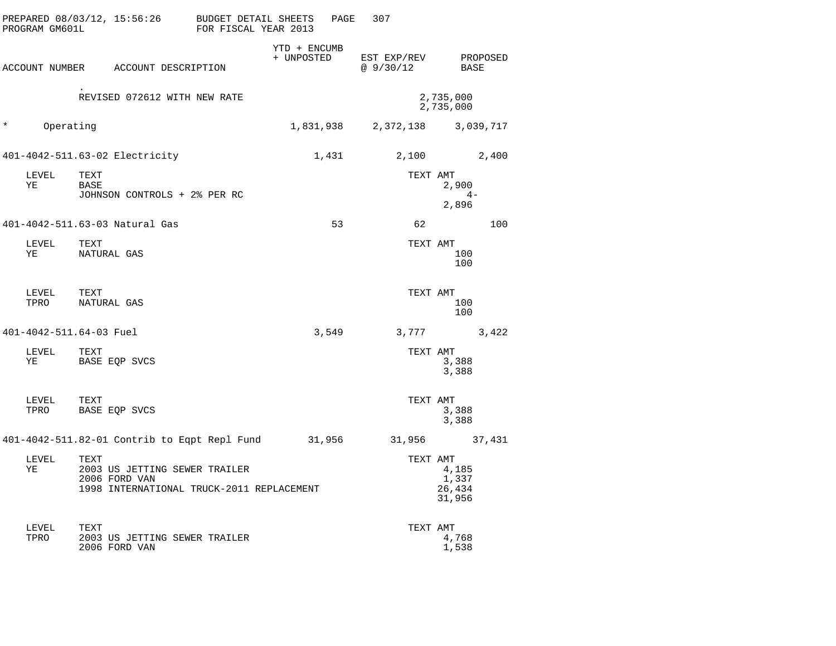| PROGRAM GM601L | PREPARED 08/03/12, 15:56:26                            | <b>BUDGET DETAIL SHEETS</b><br>FOR FISCAL YEAR 2013 |                            | PAGE  | 307                      |                                    |
|----------------|--------------------------------------------------------|-----------------------------------------------------|----------------------------|-------|--------------------------|------------------------------------|
|                | ACCOUNT NUMBER ACCOUNT DESCRIPTION                     |                                                     | YTD + ENCUMB<br>+ UNPOSTED |       | EST EXP/REV<br>@ 9/30/12 | PROPOSED<br>BASE                   |
|                | REVISED 072612 WITH NEW RATE                           |                                                     |                            |       |                          | 2,735,000<br>2,735,000             |
| $^\star$       | Operating                                              |                                                     | 1,831,938                  |       |                          | 2,372,138 3,039,717                |
|                | 401-4042-511.63-02 Electricity                         |                                                     | 1,431                      |       | 2,100                    | 2,400                              |
| LEVEL<br>ΥE    | TEXT<br>BASE<br>JOHNSON CONTROLS + 2% PER RC           |                                                     |                            |       | TEXT AMT                 | 2,900<br>$4-$<br>2,896             |
|                | 401-4042-511.63-03 Natural Gas                         |                                                     |                            | 53    | 62                       | 100                                |
| LEVEL<br>ΥE    | TEXT<br>NATURAL GAS                                    |                                                     |                            |       | TEXT AMT                 | 100<br>100                         |
| LEVEL<br>TPRO  | TEXT<br>NATURAL GAS                                    |                                                     |                            |       | TEXT AMT                 | 100<br>100                         |
|                | 401-4042-511.64-03 Fuel                                |                                                     |                            | 3,549 | 3,777                    | 3,422                              |
| LEVEL<br>ΥE    | TEXT<br>BASE EQP SVCS                                  |                                                     |                            |       | TEXT AMT                 | 3,388<br>3,388                     |
| LEVEL<br>TPRO  | TEXT<br>BASE EQP SVCS                                  |                                                     |                            |       | TEXT AMT                 | 3,388<br>3,388                     |
|                | 401-4042-511.82-01 Contrib to Eqpt Repl Fund 31,956    |                                                     |                            |       | 31,956                   | 37,431                             |
| LEVEL<br>ΥE    | TEXT<br>2003 US JETTING SEWER TRAILER<br>2006 FORD VAN | 1998 INTERNATIONAL TRUCK-2011 REPLACEMENT           |                            |       | TEXT AMT                 | 4,185<br>1,337<br>26,434<br>31,956 |
| LEVEL<br>TPRO  | TEXT<br>2003 US JETTING SEWER TRAILER<br>2006 FORD VAN |                                                     |                            |       | TEXT AMT                 | 4,768<br>1,538                     |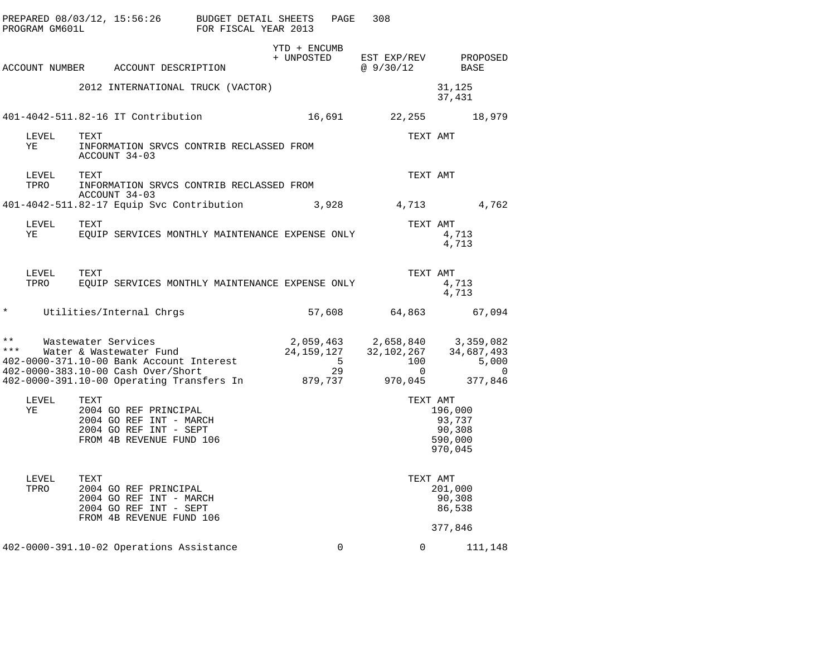|                       | PROGRAM GM601L |      |                                                                                                                                                                               | PREPARED 08/03/12, 15:56:26 BUDGET DETAIL SHEETS<br>PROGRAM GM601L FOR FISCAL YEAR 2013 |              | PAGE        | 308                                                                                                                                                                                                                                                          |                                                   |          |
|-----------------------|----------------|------|-------------------------------------------------------------------------------------------------------------------------------------------------------------------------------|-----------------------------------------------------------------------------------------|--------------|-------------|--------------------------------------------------------------------------------------------------------------------------------------------------------------------------------------------------------------------------------------------------------------|---------------------------------------------------|----------|
|                       |                |      | ACCOUNT NUMBER ACCOUNT DESCRIPTION                                                                                                                                            |                                                                                         | YTD + ENCUMB |             | + UNPOSTED EST EXP/REV PROPOSED<br>@ 9/30/12                                                                                                                                                                                                                 | BASE                                              |          |
|                       |                |      |                                                                                                                                                                               | 2012 INTERNATIONAL TRUCK (VACTOR)                                                       |              |             |                                                                                                                                                                                                                                                              | 31,125<br>37,431                                  |          |
|                       |                |      | 401-4042-511.82-16 IT Contribution                                                                                                                                            |                                                                                         |              |             | 16,691 22,255 18,979                                                                                                                                                                                                                                         |                                                   |          |
| YE                    | LEVEL          | TEXT | ACCOUNT 34-03                                                                                                                                                                 | INFORMATION SRVCS CONTRIB RECLASSED FROM                                                |              |             | TEXT AMT                                                                                                                                                                                                                                                     |                                                   |          |
|                       | LEVEL<br>TPRO  | TEXT | ACCOUNT 34-03                                                                                                                                                                 | INFORMATION SRVCS CONTRIB RECLASSED FROM                                                |              |             | TEXT AMT                                                                                                                                                                                                                                                     |                                                   |          |
|                       |                |      |                                                                                                                                                                               | 401-4042-511.82-17 Equip Svc Contribution                                               |              |             | 3,928 4,713 4,762                                                                                                                                                                                                                                            |                                                   |          |
| YE                    | LEVEL          | TEXT |                                                                                                                                                                               | EQUIP SERVICES MONTHLY MAINTENANCE EXPENSE ONLY                                         |              |             | TEXT AMT                                                                                                                                                                                                                                                     | 4,713<br>4,713                                    |          |
|                       | LEVEL<br>TPRO  | TEXT |                                                                                                                                                                               | EQUIP SERVICES MONTHLY MAINTENANCE EXPENSE ONLY                                         |              |             | TEXT AMT                                                                                                                                                                                                                                                     | 4,713<br>4,713                                    |          |
| $\star$               |                |      | Utilities/Internal Chrgs                                                                                                                                                      |                                                                                         |              |             | 57,608 64,863                                                                                                                                                                                                                                                |                                                   | 67,094   |
| $\star\star$<br>* * * |                |      | Wastewater Services<br>Water & Wastewater Fund<br>402-0000-371.10-00 Bank Account Interest<br>402-0000-383.10-00 Cash Over/Short<br>402-0000-391.10-00 Operating Transfers In |                                                                                         | 879,737      | 29          | ${\begin{array}{ccc} 2\, , 059\, , 463 \qquad & 2\, , 658\, , 840 \qquad & 3\, , 359\, , 082 \\ 24\, , 159\, , 127 \qquad & 32\, , 102\, , 267 \qquad & 34\, , 687\, , 493 \\ 5 \qquad & 100 \qquad & 5\, , 000 \end{array}}$<br>5 100<br>29 0<br>37 970,045 | 377,846                                           | $\Omega$ |
| YE                    | LEVEL          | TEXT | 2004 GO REF PRINCIPAL<br>2004 GO REF INT - MARCH<br>2004 GO REF INT - SEPT<br>FROM 4B REVENUE FUND 106                                                                        |                                                                                         |              |             | TEXT AMT                                                                                                                                                                                                                                                     | 196,000<br>93,737<br>90,308<br>590,000<br>970,045 |          |
| TPRO                  | LEVEL          | TEXT | 2004 GO REF PRINCIPAL<br>2004 GO REF INT - MARCH<br>2004 GO REF INT - SEPT<br>FROM 4B REVENUE FUND 106                                                                        |                                                                                         |              |             | TEXT AMT                                                                                                                                                                                                                                                     | 201,000<br>90,308<br>86,538<br>377,846            |          |
|                       |                |      | 402-0000-391.10-02 Operations Assistance                                                                                                                                      |                                                                                         |              | $\mathbf 0$ |                                                                                                                                                                                                                                                              | $0 \qquad \qquad$<br>111,148                      |          |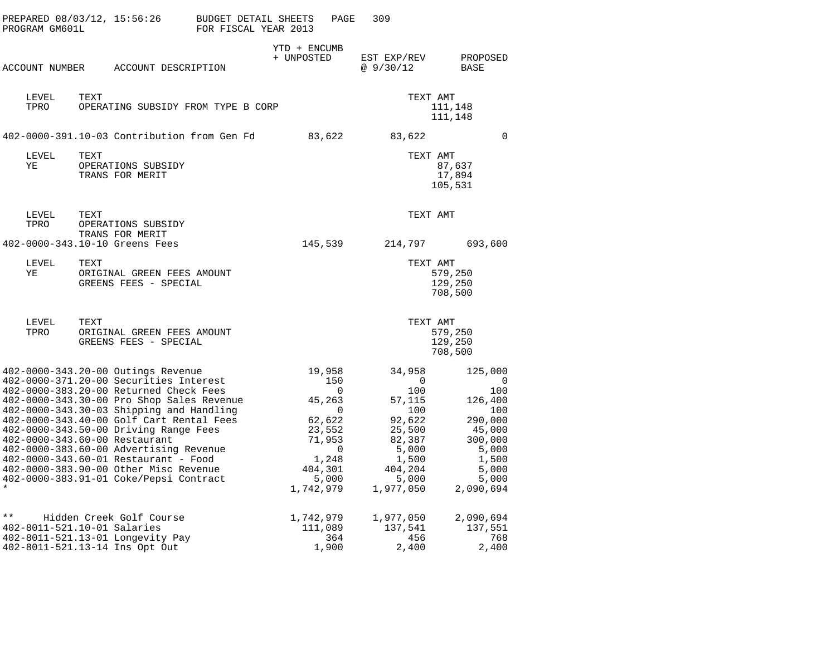|              | PREPARED 08/03/12, 15:56:26<br>PROGRAM GM601L |      |                                                                                                                                                                                                                                                                                                                                                                                                                                                                                                            | BUDGET DETAIL SHEETS<br>FOR FISCAL YEAR 2013 |                            | PAGE                                                                                             | 309                                                                                                                                         |                                                                                                                        |  |
|--------------|-----------------------------------------------|------|------------------------------------------------------------------------------------------------------------------------------------------------------------------------------------------------------------------------------------------------------------------------------------------------------------------------------------------------------------------------------------------------------------------------------------------------------------------------------------------------------------|----------------------------------------------|----------------------------|--------------------------------------------------------------------------------------------------|---------------------------------------------------------------------------------------------------------------------------------------------|------------------------------------------------------------------------------------------------------------------------|--|
|              | ACCOUNT NUMBER                                |      | ACCOUNT DESCRIPTION                                                                                                                                                                                                                                                                                                                                                                                                                                                                                        |                                              | YTD + ENCUMB<br>+ UNPOSTED |                                                                                                  | EST EXP/REV<br>@9/30/12                                                                                                                     | PROPOSED<br>BASE                                                                                                       |  |
|              | LEVEL<br>TPRO                                 | TEXT | OPERATING SUBSIDY FROM TYPE B CORP                                                                                                                                                                                                                                                                                                                                                                                                                                                                         |                                              |                            |                                                                                                  |                                                                                                                                             | TEXT AMT<br>111,148<br>111,148                                                                                         |  |
|              |                                               |      | 402-0000-391.10-03 Contribution from Gen Fd                                                                                                                                                                                                                                                                                                                                                                                                                                                                |                                              |                            | 83,622                                                                                           | 83,622                                                                                                                                      | $\Omega$                                                                                                               |  |
|              | LEVEL<br>YE                                   | TEXT | OPERATIONS SUBSIDY<br>TRANS FOR MERIT                                                                                                                                                                                                                                                                                                                                                                                                                                                                      |                                              |                            |                                                                                                  |                                                                                                                                             | TEXT AMT<br>87,637<br>17,894<br>105,531                                                                                |  |
|              | LEVEL<br>TPRO                                 | TEXT | OPERATIONS SUBSIDY<br>TRANS FOR MERIT                                                                                                                                                                                                                                                                                                                                                                                                                                                                      |                                              |                            |                                                                                                  |                                                                                                                                             | TEXT AMT                                                                                                               |  |
|              |                                               |      | 402-0000-343.10-10 Greens Fees                                                                                                                                                                                                                                                                                                                                                                                                                                                                             |                                              | 145,539                    |                                                                                                  | 214,797                                                                                                                                     | 693,600                                                                                                                |  |
|              | LEVEL<br>ΥE                                   | TEXT | ORIGINAL GREEN FEES AMOUNT<br>GREENS FEES - SPECIAL                                                                                                                                                                                                                                                                                                                                                                                                                                                        |                                              |                            |                                                                                                  |                                                                                                                                             | TEXT AMT<br>579,250<br>129,250<br>708,500                                                                              |  |
|              | LEVEL<br>TPRO                                 | TEXT | ORIGINAL GREEN FEES AMOUNT<br>GREENS FEES - SPECIAL                                                                                                                                                                                                                                                                                                                                                                                                                                                        |                                              |                            |                                                                                                  |                                                                                                                                             | TEXT AMT<br>579,250<br>129,250<br>708,500                                                                              |  |
|              |                                               |      | 402-0000-343.20-00 Outings Revenue<br>402-0000-371.20-00 Securities Interest<br>402-0000-383.20-00 Returned Check Fees<br>402-0000-343.30-00 Pro Shop Sales Revenue<br>402-0000-343.30-03 Shipping and Handling<br>402-0000-343.40-00 Golf Cart Rental Fees<br>402-0000-343.50-00 Driving Range Fees<br>402-0000-343.60-00 Restaurant<br>402-0000-383.60-00 Advertising Revenue<br>402-0000-343.60-01 Restaurant - Food<br>402-0000-383.90-00 Other Misc Revenue<br>402-0000-383.91-01 Coke/Pepsi Contract |                                              | 404,301<br>1,742,979       | 19,958<br>150<br>0<br>45,263<br>0<br>62,622<br>23,552<br>71,953<br>$\mathbf 0$<br>1,248<br>5,000 | 34,958<br>$\overline{\phantom{0}}$<br>100<br>57,115<br>100<br>92,622<br>25,500<br>82,387<br>5,000<br>1,500<br>404,204<br>5,000<br>1,977,050 | 125,000<br>0<br>100<br>126,400<br>100<br>290,000<br>45,000<br>300,000<br>5,000<br>1,500<br>5,000<br>5,000<br>2,090,694 |  |
| $\star\star$ | 402-8011-521.10-01 Salaries                   |      | Hidden Creek Golf Course<br>402-8011-521.13-01 Longevity Pay<br>402-8011-521.13-14 Ins Opt Out                                                                                                                                                                                                                                                                                                                                                                                                             |                                              | 1,742,979<br>111,089       | 364<br>1,900                                                                                     | 1,977,050<br>137,541<br>456<br>2,400                                                                                                        | 2,090,694<br>137,551<br>768<br>2,400                                                                                   |  |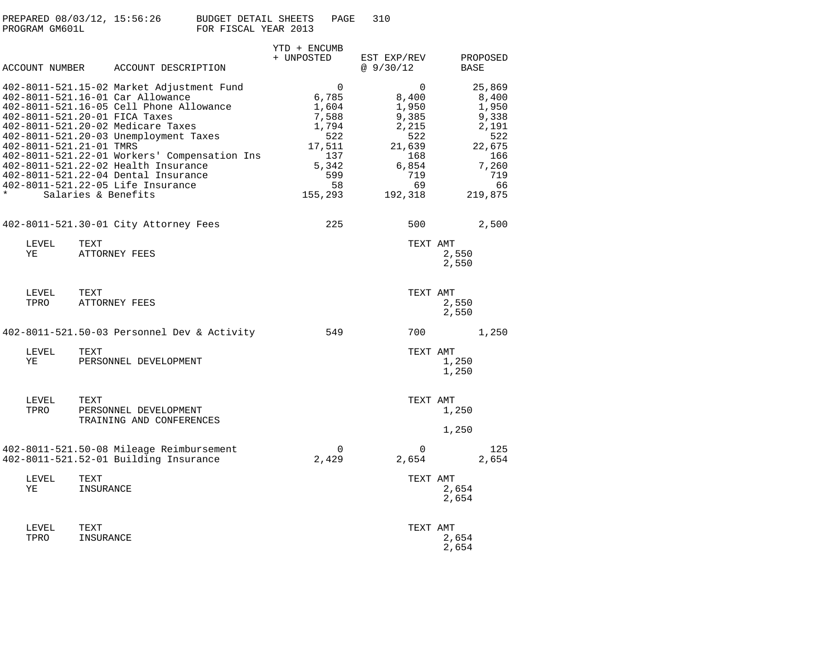| PREPARED 08/03/12, 15:56:26 | BUDGET DETAIL SHEETS<br>PAGE | 310 |
|-----------------------------|------------------------------|-----|
| PROGRAM GM601L              | FOR FISCAL YEAR 2013         |     |

|                         | ACCOUNT NUMBER ACCOUNT DESCRIPTION                                                                                                                                                                                                                                                                                                                                                                                                | YTD + ENCUMB<br>+ UNPOSTED                                                                     | EST EXP/REV<br>@9/30/12                                                                                  | PROPOSED<br><b>BASE</b>                                                                             |
|-------------------------|-----------------------------------------------------------------------------------------------------------------------------------------------------------------------------------------------------------------------------------------------------------------------------------------------------------------------------------------------------------------------------------------------------------------------------------|------------------------------------------------------------------------------------------------|----------------------------------------------------------------------------------------------------------|-----------------------------------------------------------------------------------------------------|
| 402-8011-521.21-01 TMRS | 402-8011-521.15-02 Market Adjustment Fund<br>402-8011-521.16-01 Car Allowance<br>402-8011-521.16-05 Cell Phone Allowance<br>402-8011-521.20-01 FICA Taxes<br>402-8011-521.20-02 Medicare Taxes<br>402-8011-521.20-03 Unemployment Taxes<br>402-8011-521.22-01 Workers' Compensation Ins<br>402-8011-521.22-02 Health Insurance<br>402-8011-521.22-04 Dental Insurance<br>402-8011-521.22-05 Life Insurance<br>Salaries & Benefits | 0<br>6,785<br>1,604<br>7,588<br>1,794<br>522<br>17,511<br>137<br>5,342<br>599<br>58<br>155,293 | $\mathbf 0$<br>8,400<br>1,950<br>9,385<br>2,215<br>522<br>21,639<br>168<br>6,854<br>719<br>69<br>192,318 | 25,869<br>8,400<br>1,950<br>9,338<br>2,191<br>522<br>22,675<br>166<br>7,260<br>719<br>66<br>219,875 |
|                         | 402-8011-521.30-01 City Attorney Fees                                                                                                                                                                                                                                                                                                                                                                                             | 225                                                                                            | 500                                                                                                      | 2,500                                                                                               |
| LEVEL<br>ΥE             | TEXT<br>ATTORNEY FEES                                                                                                                                                                                                                                                                                                                                                                                                             |                                                                                                | TEXT AMT                                                                                                 | 2,550<br>2,550                                                                                      |
| LEVEL<br>TPRO           | TEXT<br>ATTORNEY FEES                                                                                                                                                                                                                                                                                                                                                                                                             |                                                                                                | TEXT AMT                                                                                                 | 2,550<br>2,550                                                                                      |
|                         | 402-8011-521.50-03 Personnel Dev & Activity                                                                                                                                                                                                                                                                                                                                                                                       | 549                                                                                            | 700                                                                                                      | 1,250                                                                                               |
| LEVEL<br>ΥE             | TEXT<br>PERSONNEL DEVELOPMENT                                                                                                                                                                                                                                                                                                                                                                                                     |                                                                                                | TEXT AMT                                                                                                 | 1,250<br>1,250                                                                                      |
| LEVEL<br>TPRO           | TEXT<br>PERSONNEL DEVELOPMENT<br>TRAINING AND CONFERENCES                                                                                                                                                                                                                                                                                                                                                                         |                                                                                                | TEXT AMT                                                                                                 | 1,250<br>1,250                                                                                      |
|                         | 402-8011-521.50-08 Mileage Reimbursement<br>402-8011-521.52-01 Building Insurance                                                                                                                                                                                                                                                                                                                                                 | $\Omega$<br>2,429                                                                              | $\Omega$<br>2,654                                                                                        | 125<br>2,654                                                                                        |
| LEVEL<br>ΥE             | TEXT<br>INSURANCE                                                                                                                                                                                                                                                                                                                                                                                                                 |                                                                                                | TEXT AMT                                                                                                 | 2,654<br>2,654                                                                                      |
| LEVEL<br>TPRO           | TEXT<br>INSURANCE                                                                                                                                                                                                                                                                                                                                                                                                                 |                                                                                                | TEXT AMT                                                                                                 | 2,654<br>2,654                                                                                      |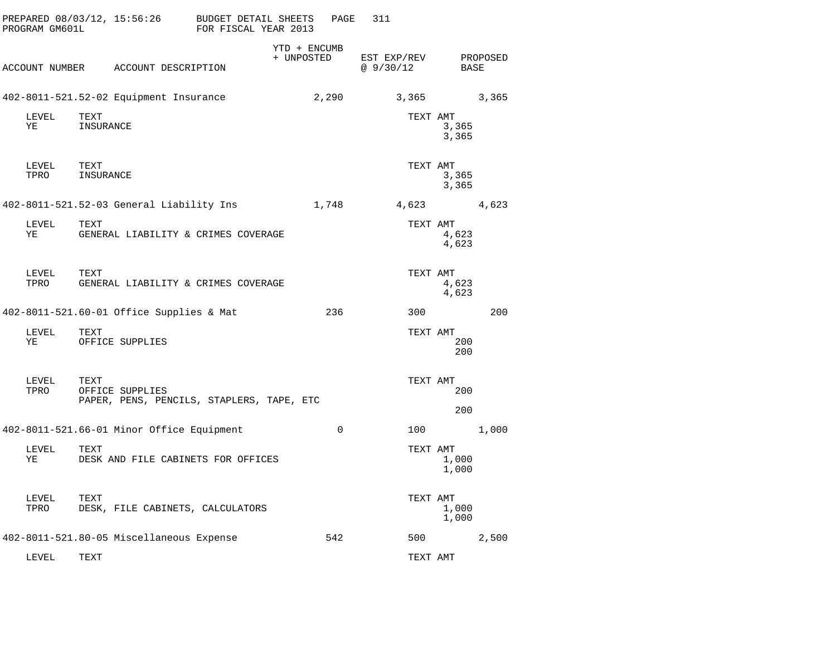| PROGRAM GM601L | PREPARED 08/03/12, 15:56:26                                          | BUDGET DETAIL SHEETS<br>FOR FISCAL YEAR 2013 | PAGE                       | 311                     |                  |       |
|----------------|----------------------------------------------------------------------|----------------------------------------------|----------------------------|-------------------------|------------------|-------|
| ACCOUNT NUMBER | ACCOUNT DESCRIPTION                                                  |                                              | YTD + ENCUMB<br>+ UNPOSTED | EST EXP/REV<br>@9/30/12 | PROPOSED<br>BASE |       |
|                | 402-8011-521.52-02 Equipment Insurance                               |                                              | 2,290                      | 3,365                   |                  | 3,365 |
| LEVEL<br>ΥE    | TEXT<br>INSURANCE                                                    |                                              |                            | TEXT AMT                | 3,365<br>3,365   |       |
| LEVEL<br>TPRO  | TEXT<br>INSURANCE                                                    |                                              |                            | TEXT AMT                | 3,365<br>3,365   |       |
|                | 402-8011-521.52-03 General Liability Ins                             |                                              | 1,748                      | 4,623                   |                  | 4,623 |
| LEVEL<br>ΥE    | TEXT<br>GENERAL LIABILITY & CRIMES COVERAGE                          |                                              |                            | TEXT AMT                | 4,623<br>4,623   |       |
| LEVEL<br>TPRO  | TEXT<br>GENERAL LIABILITY & CRIMES COVERAGE                          |                                              |                            | TEXT AMT                | 4,623<br>4,623   |       |
|                | 402-8011-521.60-01 Office Supplies & Mat                             |                                              | 236                        | 300                     |                  | 200   |
| LEVEL<br>ΥE    | TEXT<br>OFFICE SUPPLIES                                              |                                              |                            | TEXT AMT                | 200<br>200       |       |
| LEVEL<br>TPRO  | TEXT<br>OFFICE SUPPLIES<br>PAPER, PENS, PENCILS, STAPLERS, TAPE, ETC |                                              |                            | TEXT AMT                | 200<br>200       |       |
|                | 402-8011-521.66-01 Minor Office Equipment                            |                                              | $\Omega$                   | 100                     |                  | 1,000 |
| LEVEL<br>ΥE    | TEXT<br>DESK AND FILE CABINETS FOR OFFICES                           |                                              |                            | TEXT AMT                | 1,000<br>1,000   |       |
| LEVEL<br>TPRO  | TEXT<br>DESK, FILE CABINETS, CALCULATORS                             |                                              |                            | TEXT AMT                | 1,000<br>1,000   |       |
|                | 402-8011-521.80-05 Miscellaneous Expense                             |                                              | 542                        | 500                     |                  | 2,500 |
| LEVEL          | TEXT                                                                 |                                              |                            | TEXT AMT                |                  |       |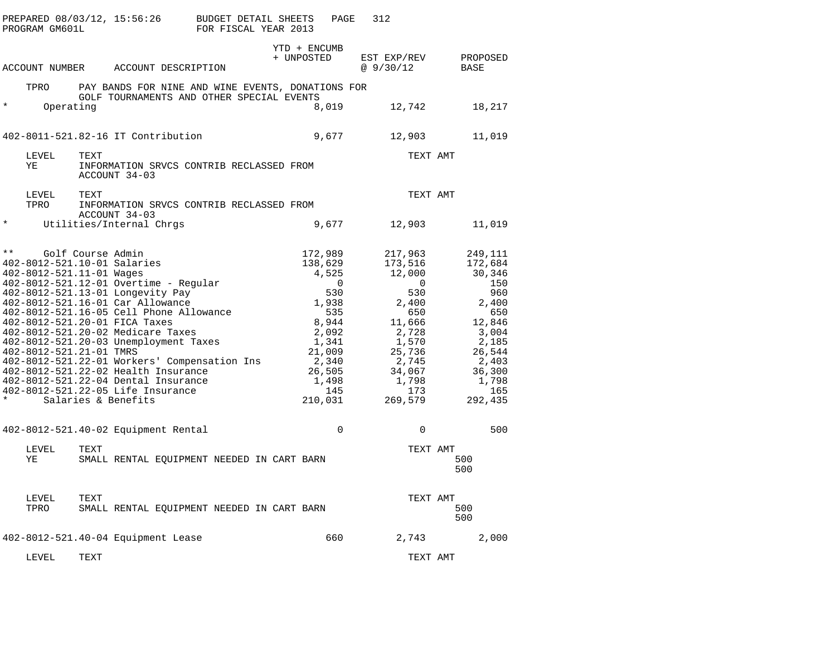|         | PREPARED 08/03/12, 15:56:26<br>PROGRAM GM601L                                      |      |                                                                                                                                                                                                                                                                                                                                                                                                                                                                                        | <b>BUDGET DETAIL SHEETS</b><br>FOR FISCAL YEAR 2013 |                               | PAGE                                                                                                                   | 312                                                                                                                                                    |          |                                                                                                                                                |
|---------|------------------------------------------------------------------------------------|------|----------------------------------------------------------------------------------------------------------------------------------------------------------------------------------------------------------------------------------------------------------------------------------------------------------------------------------------------------------------------------------------------------------------------------------------------------------------------------------------|-----------------------------------------------------|-------------------------------|------------------------------------------------------------------------------------------------------------------------|--------------------------------------------------------------------------------------------------------------------------------------------------------|----------|------------------------------------------------------------------------------------------------------------------------------------------------|
|         | ACCOUNT NUMBER                                                                     |      | ACCOUNT DESCRIPTION                                                                                                                                                                                                                                                                                                                                                                                                                                                                    |                                                     | YTD + ENCUMB<br>+ UNPOSTED    |                                                                                                                        | EST EXP/REV<br>@9/30/12                                                                                                                                |          | PROPOSED<br>BASE                                                                                                                               |
|         | TPRO                                                                               |      | PAY BANDS FOR NINE AND WINE EVENTS, DONATIONS FOR                                                                                                                                                                                                                                                                                                                                                                                                                                      |                                                     |                               |                                                                                                                        |                                                                                                                                                        |          |                                                                                                                                                |
| $\star$ | Operating                                                                          |      | GOLF TOURNAMENTS AND OTHER SPECIAL EVENTS                                                                                                                                                                                                                                                                                                                                                                                                                                              |                                                     |                               | 8,019                                                                                                                  | 12,742                                                                                                                                                 |          | 18,217                                                                                                                                         |
|         |                                                                                    |      | 402-8011-521.82-16 IT Contribution                                                                                                                                                                                                                                                                                                                                                                                                                                                     |                                                     |                               | 9,677                                                                                                                  | 12,903                                                                                                                                                 |          | 11,019                                                                                                                                         |
|         | LEVEL<br>YE                                                                        | TEXT | INFORMATION SRVCS CONTRIB RECLASSED FROM<br>ACCOUNT 34-03                                                                                                                                                                                                                                                                                                                                                                                                                              |                                                     |                               |                                                                                                                        |                                                                                                                                                        | TEXT AMT |                                                                                                                                                |
|         | LEVEL                                                                              | TEXT |                                                                                                                                                                                                                                                                                                                                                                                                                                                                                        |                                                     |                               |                                                                                                                        |                                                                                                                                                        | TEXT AMT |                                                                                                                                                |
|         | TPRO                                                                               |      | INFORMATION SRVCS CONTRIB RECLASSED FROM<br>ACCOUNT 34-03                                                                                                                                                                                                                                                                                                                                                                                                                              |                                                     |                               |                                                                                                                        |                                                                                                                                                        |          |                                                                                                                                                |
| $\star$ |                                                                                    |      | Utilities/Internal Chrgs                                                                                                                                                                                                                                                                                                                                                                                                                                                               |                                                     |                               | 9,677                                                                                                                  | 12,903                                                                                                                                                 |          | 11,019                                                                                                                                         |
| $* *$   | 402-8012-521.10-01 Salaries<br>402-8012-521.11-01 Wages<br>402-8012-521.21-01 TMRS |      | Golf Course Admin<br>402-8012-521.12-01 Overtime - Regular<br>402-8012-521.13-01 Longevity Pay<br>402-8012-521.16-01 Car Allowance<br>402-8012-521.16-05 Cell Phone Allowance<br>402-8012-521.20-01 FICA Taxes<br>402-8012-521.20-02 Medicare Taxes<br>402-8012-521.20-03 Unemployment Taxes<br>402-8012-521.22-01 Workers' Compensation Ins<br>402-8012-521.22-02 Health Insurance<br>402-8012-521.22-04 Dental Insurance<br>402-8012-521.22-05 Life Insurance<br>Salaries & Benefits |                                                     | 172,989<br>138,629<br>210,031 | 4,525<br>$\overline{0}$<br>530<br>1,938<br>535<br>8,944<br>2,092<br>1,341<br>21,009<br>2,340<br>26,505<br>1,498<br>145 | 217,963<br>173,516<br>12,000<br>$\mathbf 0$<br>530<br>2,400<br>650<br>11,666<br>2,728<br>1,570<br>25,736<br>2,745<br>34,067<br>1,798<br>173<br>269,579 |          | 249,111<br>172,684<br>30,346<br>150<br>960<br>2,400<br>650<br>12,846<br>3,004<br>2,185<br>26,544<br>2,403<br>36,300<br>1,798<br>165<br>292,435 |
|         |                                                                                    |      | 402-8012-521.40-02 Equipment Rental                                                                                                                                                                                                                                                                                                                                                                                                                                                    |                                                     |                               | $\mathbf 0$                                                                                                            | 0                                                                                                                                                      |          | 500                                                                                                                                            |
|         | LEVEL<br>YE                                                                        | TEXT | SMALL RENTAL EQUIPMENT NEEDED IN CART BARN                                                                                                                                                                                                                                                                                                                                                                                                                                             |                                                     |                               |                                                                                                                        |                                                                                                                                                        | TEXT AMT | 500<br>500                                                                                                                                     |
|         | LEVEL<br>TPRO                                                                      | TEXT | SMALL RENTAL EQUIPMENT NEEDED IN CART BARN                                                                                                                                                                                                                                                                                                                                                                                                                                             |                                                     |                               |                                                                                                                        |                                                                                                                                                        | TEXT AMT | 500<br>500                                                                                                                                     |
|         |                                                                                    |      | 402-8012-521.40-04 Equipment Lease                                                                                                                                                                                                                                                                                                                                                                                                                                                     |                                                     |                               | 660                                                                                                                    | 2,743                                                                                                                                                  |          | 2,000                                                                                                                                          |
|         | LEVEL                                                                              | TEXT |                                                                                                                                                                                                                                                                                                                                                                                                                                                                                        |                                                     |                               |                                                                                                                        |                                                                                                                                                        | TEXT AMT |                                                                                                                                                |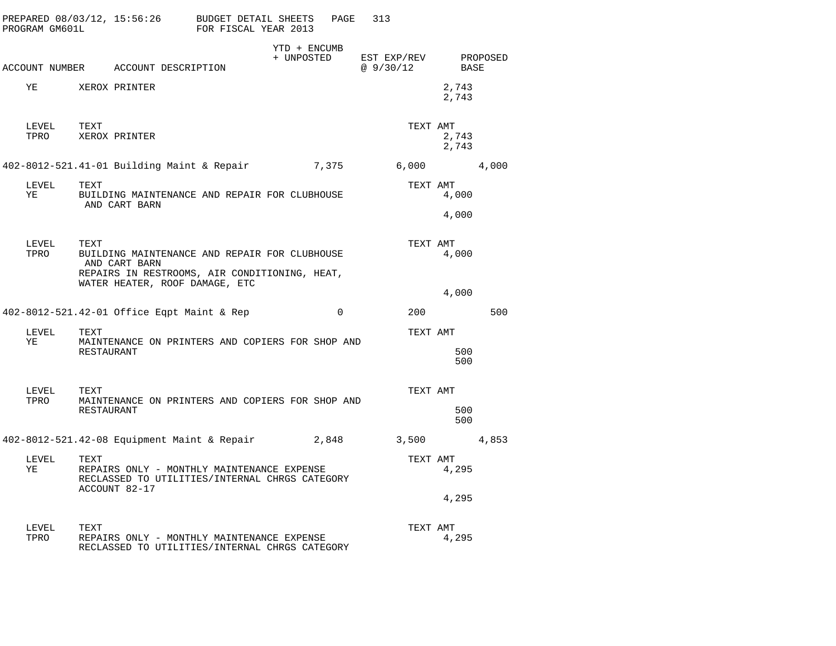| PROGRAM GM601L     |                    | PREPARED 08/03/12, 15:56:26 BUDGET DETAIL SHEETS                                                                | FOR FISCAL YEAR 2013 |                            | PAGE     | 313                     |          |                |          |
|--------------------|--------------------|-----------------------------------------------------------------------------------------------------------------|----------------------|----------------------------|----------|-------------------------|----------|----------------|----------|
|                    |                    | ACCOUNT NUMBER ACCOUNT DESCRIPTION                                                                              |                      | YTD + ENCUMB<br>+ UNPOSTED |          | EST EXP/REV<br>@9/30/12 |          | BASE           | PROPOSED |
| ΥE                 |                    | XEROX PRINTER                                                                                                   |                      |                            |          |                         |          | 2,743<br>2,743 |          |
| LEVEL TEXT<br>TPRO |                    | XEROX PRINTER                                                                                                   |                      |                            |          |                         | TEXT AMT | 2,743<br>2,743 |          |
|                    |                    | 402-8012-521.41-01 Building Maint & Repair                                                                      |                      |                            | 7,375    |                         |          | 6,000          | 4,000    |
| LEVEL<br>ΥE        | TEXT               | BUILDING MAINTENANCE AND REPAIR FOR CLUBHOUSE<br>AND CART BARN                                                  |                      |                            |          |                         | TEXT AMT | 4,000          |          |
|                    |                    |                                                                                                                 |                      |                            |          |                         |          | 4,000          |          |
| LEVEL<br>TPRO      | TEXT               | BUILDING MAINTENANCE AND REPAIR FOR CLUBHOUSE<br>AND CART BARN<br>REPAIRS IN RESTROOMS, AIR CONDITIONING, HEAT, |                      |                            |          |                         | TEXT AMT | 4,000          |          |
|                    |                    | WATER HEATER, ROOF DAMAGE, ETC                                                                                  |                      |                            |          |                         |          | 4,000          |          |
|                    |                    | 402-8012-521.42-01 Office Eqpt Maint & Rep                                                                      |                      |                            | $\Omega$ |                         | 200      |                | 500      |
| LEVEL<br>YE        | TEXT<br>RESTAURANT | MAINTENANCE ON PRINTERS AND COPIERS FOR SHOP AND                                                                |                      |                            |          |                         | TEXT AMT | 500<br>500     |          |
| LEVEL<br>TPRO      | TEXT               | MAINTENANCE ON PRINTERS AND COPIERS FOR SHOP AND                                                                |                      |                            |          |                         | TEXT AMT |                |          |
|                    | RESTAURANT         |                                                                                                                 |                      |                            |          |                         |          | 500<br>500     |          |
|                    |                    | 402-8012-521.42-08 Equipment Maint & Repair 2,848                                                               |                      |                            |          |                         |          | 3,500          | 4,853    |
| LEVEL<br>YE        | TEXT               | REPAIRS ONLY - MONTHLY MAINTENANCE EXPENSE<br>RECLASSED TO UTILITIES/INTERNAL CHRGS CATEGORY<br>ACCOUNT 82-17   |                      |                            |          |                         | TEXT AMT | 4,295          |          |
|                    |                    |                                                                                                                 |                      |                            |          |                         |          | 4,295          |          |
| LEVEL<br>TPRO      | TEXT               | REPAIRS ONLY - MONTHLY MAINTENANCE EXPENSE<br>RECLASSED TO UTILITIES/INTERNAL CHRGS CATEGORY                    |                      |                            |          |                         | TEXT AMT | 4,295          |          |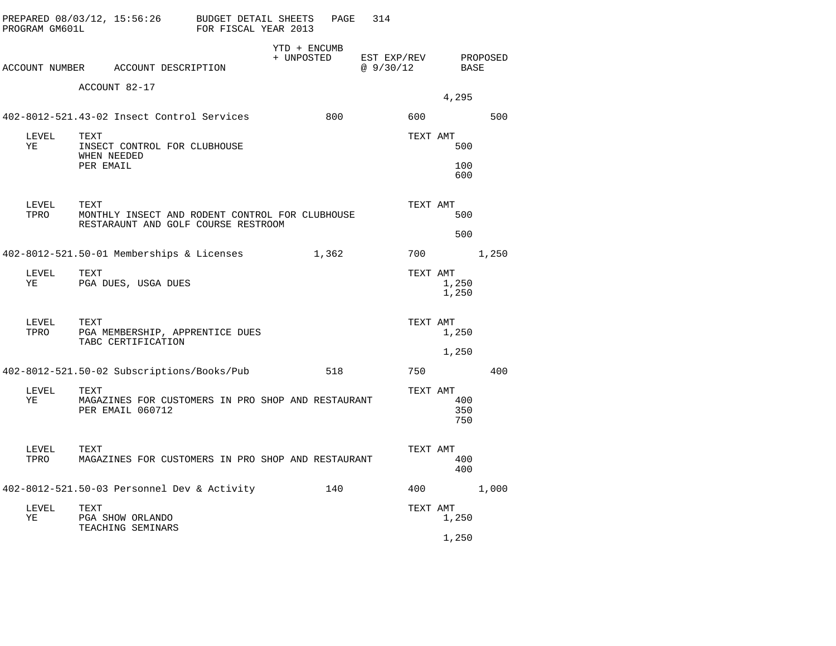| PROGRAM GM601L | PREPARED 08/03/12, 15:56:26                                                                    | BUDGET DETAIL SHEETS<br>FOR FISCAL YEAR 2013 |                            | PAGE  | 314                     |          |                   |          |
|----------------|------------------------------------------------------------------------------------------------|----------------------------------------------|----------------------------|-------|-------------------------|----------|-------------------|----------|
|                | ACCOUNT NUMBER ACCOUNT DESCRIPTION                                                             |                                              | YTD + ENCUMB<br>+ UNPOSTED |       | EST EXP/REV<br>@9/30/12 |          | BASE              | PROPOSED |
|                | ACCOUNT 82-17                                                                                  |                                              |                            |       |                         |          | 4,295             |          |
|                | 402-8012-521.43-02 Insect Control Services                                                     |                                              |                            | 800   |                         | 600      |                   | 500      |
| LEVEL<br>ΥE    | TEXT<br>INSECT CONTROL FOR CLUBHOUSE<br>WHEN NEEDED                                            |                                              |                            |       |                         | TEXT AMT | 500               |          |
|                | PER EMAIL                                                                                      |                                              |                            |       |                         |          | 100<br>600        |          |
| LEVEL<br>TPRO  | TEXT<br>MONTHLY INSECT AND RODENT CONTROL FOR CLUBHOUSE<br>RESTARAUNT AND GOLF COURSE RESTROOM |                                              |                            |       |                         | TEXT AMT | 500               |          |
|                |                                                                                                |                                              |                            |       |                         |          | 500               |          |
|                | 402-8012-521.50-01 Memberships & Licenses                                                      |                                              |                            | 1,362 |                         | 700      |                   | 1,250    |
| LEVEL<br>ΥE    | TEXT<br>PGA DUES, USGA DUES                                                                    |                                              |                            |       |                         | TEXT AMT | 1,250<br>1,250    |          |
| LEVEL<br>TPRO  | TEXT<br>PGA MEMBERSHIP, APPRENTICE DUES<br>TABC CERTIFICATION                                  |                                              |                            |       |                         | TEXT AMT | 1,250             |          |
|                |                                                                                                |                                              |                            |       |                         |          | 1,250             |          |
|                | 402-8012-521.50-02 Subscriptions/Books/Pub                                                     |                                              |                            | 518   |                         | 750      |                   | 400      |
| LEVEL<br>ΥE    | TEXT<br>MAGAZINES FOR CUSTOMERS IN PRO SHOP AND RESTAURANT<br>PER EMAIL 060712                 |                                              |                            |       |                         | TEXT AMT | 400<br>350<br>750 |          |
| LEVEL<br>TPRO  | TEXT<br>MAGAZINES FOR CUSTOMERS IN PRO SHOP AND RESTAURANT                                     |                                              |                            |       |                         | TEXT AMT | 400<br>400        |          |
|                | 402-8012-521.50-03 Personnel Dev & Activity                                                    |                                              |                            | 140   |                         | 400      |                   | 1,000    |
| LEVEL<br>ΥE    | TEXT<br>PGA SHOW ORLANDO<br>TEACHING SEMINARS                                                  |                                              |                            |       |                         | TEXT AMT | 1,250             |          |
|                |                                                                                                |                                              |                            |       |                         |          | 1,250             |          |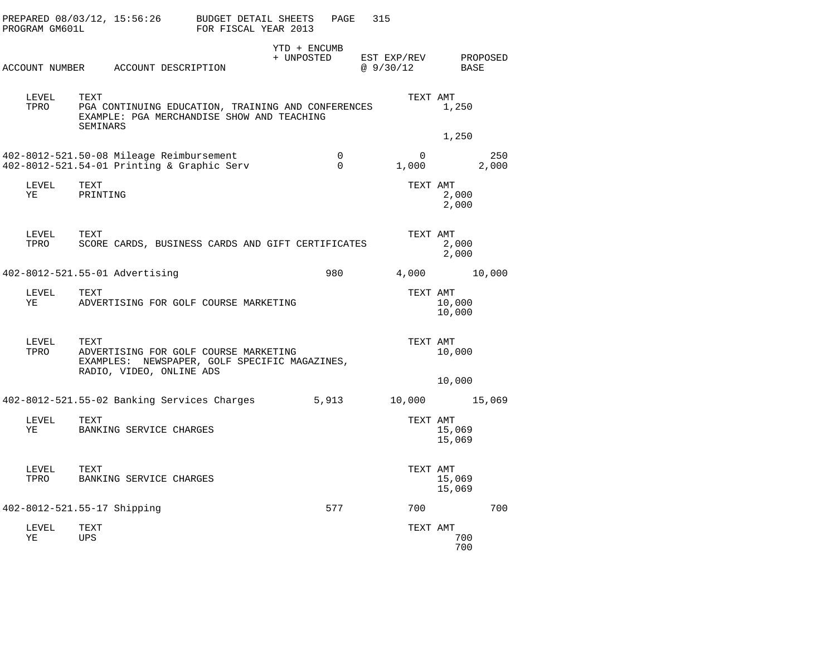| PROGRAM GM601L              |                  | PREPARED $08/03/12$ , $15:56:26$ BUDGET DETAIL SHEETS                                                              | FOR FISCAL YEAR 2013 |                            | PAGE          | 315                              |                  |              |
|-----------------------------|------------------|--------------------------------------------------------------------------------------------------------------------|----------------------|----------------------------|---------------|----------------------------------|------------------|--------------|
|                             |                  | ACCOUNT NUMBER ACCOUNT DESCRIPTION                                                                                 |                      | YTD + ENCUMB<br>+ UNPOSTED |               | EST EXP/REV PROPOSED<br>@9/30/12 | BASE             |              |
| LEVEL<br>TPRO               | TEXT<br>SEMINARS | PGA CONTINUING EDUCATION, TRAINING AND CONFERENCES<br>EXAMPLE: PGA MERCHANDISE SHOW AND TEACHING                   |                      |                            |               | TEXT AMT                         | 1,250            |              |
|                             |                  |                                                                                                                    |                      |                            |               |                                  | 1,250            |              |
|                             |                  | 402-8012-521.50-08 Mileage Reimbursement<br>402-8012-521.54-01 Printing & Graphic Serv                             |                      |                            | 0<br>$\Omega$ | $\mathbf 0$<br>1,000             |                  | 250<br>2,000 |
| LEVEL<br>YE                 | TEXT<br>PRINTING |                                                                                                                    |                      |                            |               | TEXT AMT                         | 2,000<br>2,000   |              |
| LEVEL<br>TPRO               | TEXT             | SCORE CARDS, BUSINESS CARDS AND GIFT CERTIFICATES                                                                  |                      |                            |               | TEXT AMT                         | 2,000<br>2,000   |              |
|                             |                  | 402-8012-521.55-01 Advertising                                                                                     |                      |                            | 980           |                                  | 4,000 10,000     |              |
| LEVEL<br>YE                 | TEXT             | ADVERTISING FOR GOLF COURSE MARKETING                                                                              |                      |                            |               | TEXT AMT                         | 10,000<br>10,000 |              |
| LEVEL<br>TPRO               | TEXT             | ADVERTISING FOR GOLF COURSE MARKETING<br>EXAMPLES: NEWSPAPER, GOLF SPECIFIC MAGAZINES,<br>RADIO, VIDEO, ONLINE ADS |                      |                            |               | TEXT AMT                         | 10,000           |              |
|                             |                  |                                                                                                                    |                      |                            |               |                                  | 10,000           |              |
|                             |                  | 402-8012-521.55-02 Banking Services Charges                                                                        |                      |                            | 5,913         | 10,000 15,069                    |                  |              |
| LEVEL<br>YE                 | TEXT             | BANKING SERVICE CHARGES                                                                                            |                      |                            |               | TEXT AMT                         | 15,069<br>15,069 |              |
| LEVEL<br>TPRO               | TEXT             | BANKING SERVICE CHARGES                                                                                            |                      |                            |               | TEXT AMT                         | 15,069<br>15,069 |              |
| 402-8012-521.55-17 Shipping |                  |                                                                                                                    |                      |                            | 577           | 700                              |                  | 700          |
| LEVEL<br>ΥE                 | TEXT<br>UPS      |                                                                                                                    |                      |                            |               | TEXT AMT                         | 700<br>700       |              |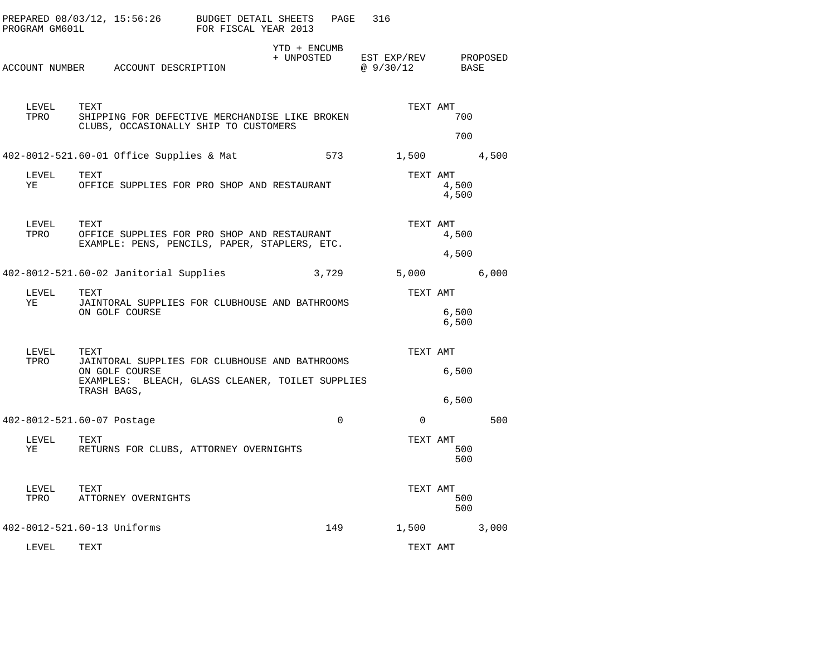| PROGRAM GM601L     | PREPARED 08/03/12, 15:56:26 BUDGET DETAIL SHEETS                                                                                            | FOR FISCAL YEAR 2013 |                            | PAGE<br>316 |                         |                    |          |
|--------------------|---------------------------------------------------------------------------------------------------------------------------------------------|----------------------|----------------------------|-------------|-------------------------|--------------------|----------|
|                    | ACCOUNT NUMBER ACCOUNT DESCRIPTION                                                                                                          |                      | YTD + ENCUMB<br>+ UNPOSTED |             | EST EXP/REV<br>@9/30/12 | BASE               | PROPOSED |
| LEVEL TEXT<br>TPRO | SHIPPING FOR DEFECTIVE MERCHANDISE LIKE BROKEN<br>CLUBS, OCCASIONALLY SHIP TO CUSTOMERS                                                     |                      |                            |             | TEXT AMT                | 700                |          |
|                    | 402-8012-521.60-01 Office Supplies & Mat                                                                                                    |                      |                            | 573 — 100   |                         | 700<br>1,500 4,500 |          |
| LEVEL<br>YE        | TEXT<br>OFFICE SUPPLIES FOR PRO SHOP AND RESTAURANT                                                                                         |                      |                            |             | TEXT AMT                | 4,500<br>4,500     |          |
| LEVEL<br>TPRO      | TEXT<br>OFFICE SUPPLIES FOR PRO SHOP AND RESTAURANT<br>EXAMPLE: PENS, PENCILS, PAPER, STAPLERS, ETC.                                        |                      |                            |             | TEXT AMT                | 4,500<br>4,500     |          |
|                    | 402-8012-521.60-02 Janitorial Supplies                                                                                                      |                      | 3,729                      |             | 5,000                   |                    | 6,000    |
| LEVEL<br>YE        | TEXT<br>JAINTORAL SUPPLIES FOR CLUBHOUSE AND BATHROOMS<br>ON GOLF COURSE                                                                    |                      |                            |             | TEXT AMT                | 6,500<br>6,500     |          |
| LEVEL<br>TPRO      | TEXT<br>JAINTORAL SUPPLIES FOR CLUBHOUSE AND BATHROOMS<br>ON GOLF COURSE<br>EXAMPLES: BLEACH, GLASS CLEANER, TOILET SUPPLIES<br>TRASH BAGS, |                      |                            |             | TEXT AMT                | 6,500              |          |
|                    | 402-8012-521.60-07 Postage                                                                                                                  |                      |                            | $\Omega$    | $\Omega$                | 6,500              | 500      |
| LEVEL<br>ΥE        | TEXT<br>RETURNS FOR CLUBS, ATTORNEY OVERNIGHTS                                                                                              |                      |                            |             | TEXT AMT                | 500<br>500         |          |
| LEVEL<br>TPRO      | TEXT<br>ATTORNEY OVERNIGHTS                                                                                                                 |                      |                            |             | TEXT AMT                | 500<br>500         |          |
|                    | 402-8012-521.60-13 Uniforms                                                                                                                 |                      |                            | 149         | 1,500                   |                    | 3,000    |
| LEVEL              | TEXT                                                                                                                                        |                      |                            |             | TEXT AMT                |                    |          |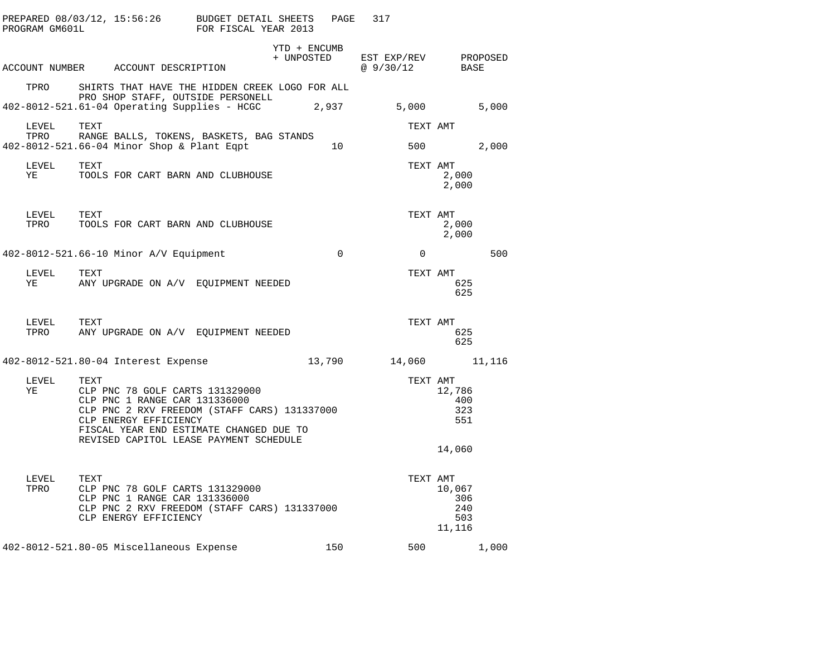|               |      |                                                                                                                                                                                                                             |                    | PAGE | 317                                                                                                                                     |                                         |       |
|---------------|------|-----------------------------------------------------------------------------------------------------------------------------------------------------------------------------------------------------------------------------|--------------------|------|-----------------------------------------------------------------------------------------------------------------------------------------|-----------------------------------------|-------|
|               |      |                                                                                                                                                                                                                             | YTD + ENCUMB       |      | $\begin{tabular}{llll} + & UNPOSTED & \texttt{EST} & \texttt{EXP/REV} & \texttt{PROPOSED} \\ & @ 9/30/12 & \texttt{BASE} \end{tabular}$ |                                         |       |
|               |      | ACCOUNT NUMBER ACCOUNT DESCRIPTION                                                                                                                                                                                          |                    |      |                                                                                                                                         |                                         |       |
| TPRO          |      | SHIRTS THAT HAVE THE HIDDEN CREEK LOGO FOR ALL<br>PRO SHOP STAFF, OUTSIDE PERSONELL                                                                                                                                         |                    |      |                                                                                                                                         |                                         |       |
|               |      | 402-8012-521.61-04 Operating Supplies - HCGC 2,937 5,000                                                                                                                                                                    |                    |      |                                                                                                                                         |                                         | 5,000 |
| LEVEL<br>TPRO | TEXT | RANGE BALLS, TOKENS, BASKETS, BAG STANDS                                                                                                                                                                                    |                    |      |                                                                                                                                         | TEXT AMT                                |       |
|               |      | 402-8012-521.66-04 Minor Shop & Plant Eqpt 10 500 500 2,000                                                                                                                                                                 |                    |      |                                                                                                                                         |                                         |       |
| LEVEL TEXT    |      | YE TOOLS FOR CART BARN AND CLUBHOUSE                                                                                                                                                                                        |                    |      | TEXT AMT                                                                                                                                | 2,000<br>2,000                          |       |
|               |      |                                                                                                                                                                                                                             |                    |      |                                                                                                                                         | TEXT AMT<br>2,000<br>2,000              |       |
|               |      | 402-8012-521.66-10 Minor A/V Equipment 0                                                                                                                                                                                    |                    |      | $\overline{0}$                                                                                                                          |                                         | 500   |
|               |      | YE ANY UPGRADE ON A/V EQUIPMENT NEEDED                                                                                                                                                                                      |                    |      |                                                                                                                                         | TEXT AMT<br>625<br>625                  |       |
|               |      | TPRO ANY UPGRADE ON A/V EQUIPMENT NEEDED TEXT AMT $\begin{array}{ccc}\n 6 & 2 \\  6 & 2\n \end{array}$                                                                                                                      |                    |      |                                                                                                                                         | 625<br>625                              |       |
|               |      | 402-8012-521.80-04 Interest Expense 13,790 14,060 11,116                                                                                                                                                                    |                    |      |                                                                                                                                         |                                         |       |
| LEVEL<br>YE   | TEXT | TEXT<br>CLP PNC 78 GOLF CARTS 131329000<br>---- CLP 121236000<br>CLP PNC 2 RXV FREEDOM (STAFF CARS) 131337000<br>CLP ENERGY EFFICIENCY<br>FISCAL YEAR END ESTIMATE CHANGED DUE TO<br>REVISED CAPITOL LEASE PAYMENT SCHEDULE |                    |      |                                                                                                                                         | TEXT AMT<br>12,786<br>400<br>323<br>551 |       |
|               |      |                                                                                                                                                                                                                             |                    |      |                                                                                                                                         | 14,060                                  |       |
| LEVEL<br>TPRO | TEXT | CLP PNC 78 GOLF CARTS 131329000<br>CLP PNC 1 RANGE CAR 131336000<br>CLP PNC 2 RXV FREEDOM (STAFF CARS) 131337000<br>CLP ENERGY EFFICIENCY                                                                                   | $13133700^{\circ}$ |      | TEXT AMT                                                                                                                                | 10,067<br>306<br>240<br>503<br>11,116   |       |
|               |      | 402-8012-521.80-05 Miscellaneous Expense 150 150 500 1,000                                                                                                                                                                  |                    |      |                                                                                                                                         |                                         |       |
|               |      |                                                                                                                                                                                                                             |                    |      |                                                                                                                                         |                                         |       |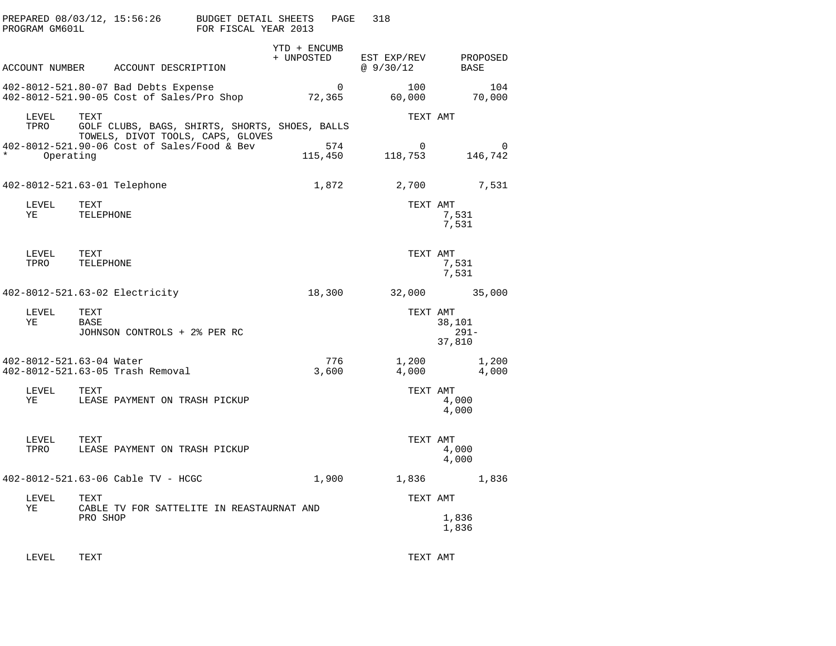| PROGRAM GM601L       | PREPARED 08/03/12, 15:56:26                                                                 | BUDGET DETAIL SHEETS<br>FOR FISCAL YEAR 2013 |                            | PAGE           | 318                      |                             |  |
|----------------------|---------------------------------------------------------------------------------------------|----------------------------------------------|----------------------------|----------------|--------------------------|-----------------------------|--|
|                      | ACCOUNT NUMBER ACCOUNT DESCRIPTION                                                          |                                              | YTD + ENCUMB<br>+ UNPOSTED |                | EST EXP/REV<br>@ 9/30/12 | PROPOSED<br>BASE            |  |
|                      | 402-8012-521.80-07 Bad Debts Expense<br>402-8012-521.90-05 Cost of Sales/Pro Shop           |                                              | 72,365                     | $\mathbf 0$    | 100<br>60,000            | 104<br>70,000               |  |
| LEVEL<br>TPRO        | TEXT<br>GOLF CLUBS, BAGS, SHIRTS, SHORTS, SHOES, BALLS<br>TOWELS, DIVOT TOOLS, CAPS, GLOVES |                                              |                            |                | TEXT AMT                 |                             |  |
| $\star$<br>Operating | 402-8012-521.90-06 Cost of Sales/Food & Bev                                                 |                                              |                            | 574<br>115,450 | 0<br>118,753             | 0<br>146,742                |  |
|                      | 402-8012-521.63-01 Telephone                                                                |                                              |                            | 1,872          | 2,700                    | 7,531                       |  |
| LEVEL<br>ΥE          | TEXT<br>TELEPHONE                                                                           |                                              |                            |                | TEXT AMT                 | 7,531<br>7,531              |  |
| LEVEL<br>TPRO        | TEXT<br>TELEPHONE                                                                           |                                              |                            |                | TEXT AMT                 | 7,531<br>7,531              |  |
|                      | 402-8012-521.63-02 Electricity                                                              |                                              | 18,300                     |                |                          | 32,000 35,000               |  |
| LEVEL<br>ΥE          | TEXT<br>BASE<br>JOHNSON CONTROLS + 2% PER RC                                                |                                              |                            |                | TEXT AMT                 | 38,101<br>$291 -$<br>37,810 |  |
|                      | 402-8012-521.63-04 Water<br>402-8012-521.63-05 Trash Removal                                |                                              |                            | 776<br>3,600   | 1,200<br>4,000           | 1,200<br>4,000              |  |
| LEVEL<br>ΥE          | TEXT<br>LEASE PAYMENT ON TRASH PICKUP                                                       |                                              |                            |                | TEXT AMT                 | 4,000<br>4,000              |  |
| LEVEL<br>TPRO        | TEXT<br>LEASE PAYMENT ON TRASH PICKUP                                                       |                                              |                            |                | TEXT AMT                 | 4,000<br>4,000              |  |
|                      | 402-8012-521.63-06 Cable TV - HCGC                                                          |                                              |                            | 1,900          | 1,836                    | 1,836                       |  |
| LEVEL<br>ΥE          | TEXT<br>CABLE TV FOR SATTELITE IN REASTAURNAT AND                                           |                                              |                            |                | TEXT AMT                 |                             |  |
|                      | PRO SHOP                                                                                    |                                              |                            |                |                          | 1,836<br>1,836              |  |
| LEVEL                | TEXT                                                                                        |                                              |                            |                | TEXT AMT                 |                             |  |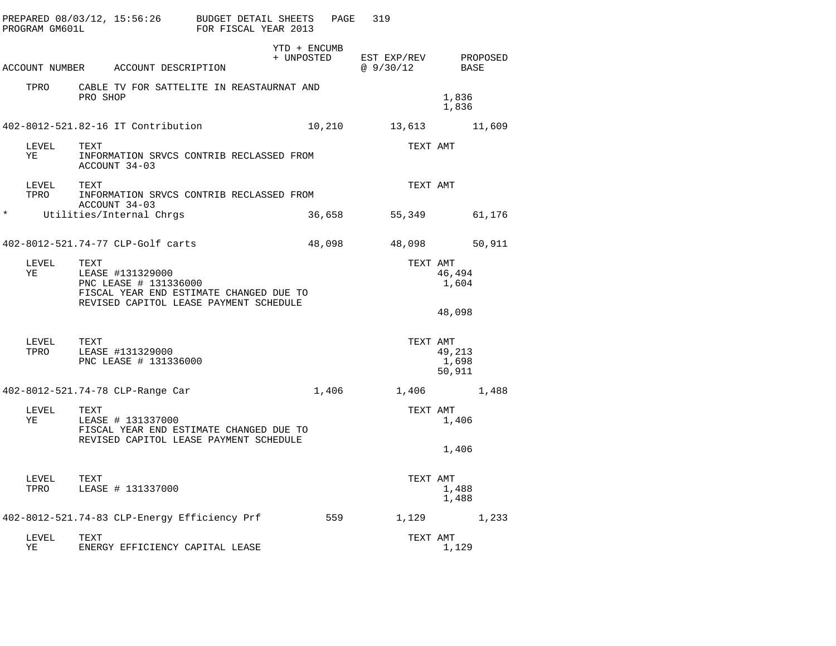|         | PROGRAM GM601L     |          | PREPARED 08/03/12, 15:56:26 BUDGET DETAIL SHEETS                                                                               | FOR FISCAL YEAR 2013 |                            | PAGE   | 319 |                                   |                           |        |
|---------|--------------------|----------|--------------------------------------------------------------------------------------------------------------------------------|----------------------|----------------------------|--------|-----|-----------------------------------|---------------------------|--------|
|         |                    |          | ACCOUNT NUMBER ACCOUNT DESCRIPTION                                                                                             |                      | YTD + ENCUMB<br>+ UNPOSTED |        |     | EST EXP/REV PROPOSED<br>@ 9/30/12 | BASE                      |        |
|         | TPRO               | PRO SHOP | CABLE TV FOR SATTELITE IN REASTAURNAT AND                                                                                      |                      |                            |        |     |                                   | 1,836<br>1,836            |        |
|         |                    |          | 402-8012-521.82-16 IT Contribution                                                                                             |                      |                            | 10,210 |     | 13,613                            |                           | 11,609 |
|         | LEVEL<br>ΥE        | TEXT     | INFORMATION SRVCS CONTRIB RECLASSED FROM<br>ACCOUNT 34-03                                                                      |                      |                            |        |     | TEXT AMT                          |                           |        |
|         | LEVEL<br>TPRO      | TEXT     | INFORMATION SRVCS CONTRIB RECLASSED FROM                                                                                       |                      |                            |        |     | TEXT AMT                          |                           |        |
| $\star$ |                    |          | ACCOUNT 34-03<br>Utilities/Internal Chrgs                                                                                      |                      |                            | 36,658 |     | 55,349                            |                           | 61,176 |
|         |                    |          | 402-8012-521.74-77 CLP-Golf carts                                                                                              |                      | 48,098                     |        |     | 48,098                            |                           | 50,911 |
|         | LEVEL<br>ΥE        | TEXT     | LEASE #131329000<br>PNC LEASE # 131336000<br>FISCAL YEAR END ESTIMATE CHANGED DUE TO<br>REVISED CAPITOL LEASE PAYMENT SCHEDULE |                      |                            |        |     | TEXT AMT                          | 46,494<br>1,604           |        |
|         |                    |          |                                                                                                                                |                      |                            |        |     |                                   | 48,098                    |        |
|         | LEVEL<br>TPRO      | TEXT     | LEASE #131329000<br>PNC LEASE # 131336000                                                                                      |                      |                            |        |     | TEXT AMT                          | 49,213<br>1,698<br>50,911 |        |
|         |                    |          | 402-8012-521.74-78 CLP-Range Car                                                                                               |                      |                            | 1,406  |     |                                   | 1,406                     | 1,488  |
|         | LEVEL<br>ΥE        | TEXT     | LEASE # 131337000<br>FISCAL YEAR END ESTIMATE CHANGED DUE TO<br>REVISED CAPITOL LEASE PAYMENT SCHEDULE                         |                      |                            |        |     | TEXT AMT                          | 1,406                     |        |
|         |                    |          |                                                                                                                                |                      |                            |        |     |                                   | 1,406                     |        |
|         | LEVEL TEXT<br>TPRO |          | LEASE # 131337000                                                                                                              |                      |                            |        |     | TEXT AMT                          | 1,488<br>1,488            |        |
|         |                    |          | 402-8012-521.74-83 CLP-Energy Efficiency Prf                                                                                   |                      |                            | 559    |     |                                   | 1,129                     | 1,233  |
|         | LEVEL<br>ΥE        | TEXT     | ENERGY EFFICIENCY CAPITAL LEASE                                                                                                |                      |                            |        |     | TEXT AMT                          | 1,129                     |        |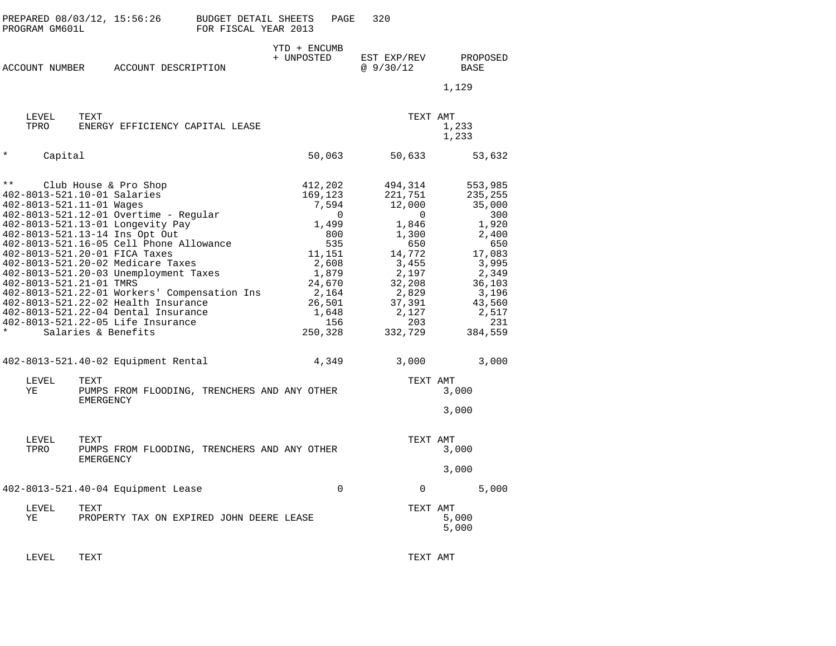|               | PROGRAM GM601L                                                             | PREPARED 08/03/12, 15:56:26                                                                                                                                                                                                                                                                                                                                                                                                                                                                      | <b>BUDGET DETAIL SHEETS</b><br>FOR FISCAL YEAR 2013 |                                                                               | PAGE                                                              | 320                                                                                                                                       |          |                                                                                                                                                  |  |
|---------------|----------------------------------------------------------------------------|--------------------------------------------------------------------------------------------------------------------------------------------------------------------------------------------------------------------------------------------------------------------------------------------------------------------------------------------------------------------------------------------------------------------------------------------------------------------------------------------------|-----------------------------------------------------|-------------------------------------------------------------------------------|-------------------------------------------------------------------|-------------------------------------------------------------------------------------------------------------------------------------------|----------|--------------------------------------------------------------------------------------------------------------------------------------------------|--|
|               | ACCOUNT NUMBER                                                             | ACCOUNT DESCRIPTION                                                                                                                                                                                                                                                                                                                                                                                                                                                                              |                                                     | YTD + ENCUMB<br>+ UNPOSTED                                                    |                                                                   | EST EXP/REV<br>@9/30/12                                                                                                                   |          | PROPOSED<br>BASE<br>1,129                                                                                                                        |  |
| TPRO          | LEVEL<br>TEXT                                                              | ENERGY EFFICIENCY CAPITAL LEASE                                                                                                                                                                                                                                                                                                                                                                                                                                                                  |                                                     |                                                                               |                                                                   |                                                                                                                                           | TEXT AMT | 1,233<br>1,233                                                                                                                                   |  |
| $\star$       | Capital                                                                    |                                                                                                                                                                                                                                                                                                                                                                                                                                                                                                  |                                                     | 50,063                                                                        |                                                                   | 50,633                                                                                                                                    |          | 53,632                                                                                                                                           |  |
| $\star\star$  | 402-8013-521.11-01 Wages<br>402-8013-521.21-01 TMRS<br>Salaries & Benefits | Club House & Pro Shop<br>402-8013-521.10-01 Salaries<br>402-8013-521.12-01 Overtime - Regular<br>402-8013-521.13-01 Longevity Pay<br>402-8013-521.13-14 Ins Opt Out<br>402-8013-521.16-05 Cell Phone Allowance<br>402-8013-521.20-01 FICA Taxes<br>402-8013-521.20-02 Medicare Taxes<br>402-8013-521.20-03 Unemployment Taxes<br>402-8013-521.22-01 Workers' Compensation Ins<br>402-8013-521.22-02 Health Insurance<br>402-8013-521.22-04 Dental Insurance<br>402-8013-521.22-05 Life Insurance |                                                     | 412,202<br>169,123<br>11,151<br>1,879<br>24,670<br>2,164<br>26,501<br>250,328 | 7,594<br>$\Omega$<br>1,499<br>800<br>535<br>2,608<br>1,648<br>156 | 494,314<br>221,751<br>12,000<br>1,846<br>1,300<br>650<br>14,772<br>3,455<br>2,197<br>32,208<br>2,829<br>37,391<br>2,127<br>203<br>332,729 | $\Omega$ | 553,985<br>235,255<br>35,000<br>300<br>1,920<br>2,400<br>650<br>17,083<br>3,995<br>2,349<br>36,103<br>3,196<br>43,560<br>2,517<br>231<br>384,559 |  |
|               |                                                                            | 402-8013-521.40-02 Equipment Rental                                                                                                                                                                                                                                                                                                                                                                                                                                                              |                                                     |                                                                               | 4,349                                                             | 3,000                                                                                                                                     |          | 3,000                                                                                                                                            |  |
| LEVEL<br>ΥE   | TEXT                                                                       | PUMPS FROM FLOODING, TRENCHERS AND ANY OTHER<br><b>EMERGENCY</b>                                                                                                                                                                                                                                                                                                                                                                                                                                 |                                                     |                                                                               |                                                                   |                                                                                                                                           | TEXT AMT | 3,000<br>3,000                                                                                                                                   |  |
| LEVEL<br>TPRO | TEXT                                                                       | PUMPS FROM FLOODING, TRENCHERS AND ANY OTHER<br>EMERGENCY                                                                                                                                                                                                                                                                                                                                                                                                                                        |                                                     |                                                                               |                                                                   |                                                                                                                                           | TEXT AMT | 3,000<br>3,000                                                                                                                                   |  |
|               |                                                                            | 402-8013-521.40-04 Equipment Lease                                                                                                                                                                                                                                                                                                                                                                                                                                                               |                                                     |                                                                               | $\mathbf 0$                                                       |                                                                                                                                           | 0        | 5,000                                                                                                                                            |  |
| LEVEL<br>ΥE   | TEXT                                                                       | PROPERTY TAX ON EXPIRED JOHN DEERE LEASE                                                                                                                                                                                                                                                                                                                                                                                                                                                         |                                                     |                                                                               |                                                                   |                                                                                                                                           | TEXT AMT | 5,000<br>5,000                                                                                                                                   |  |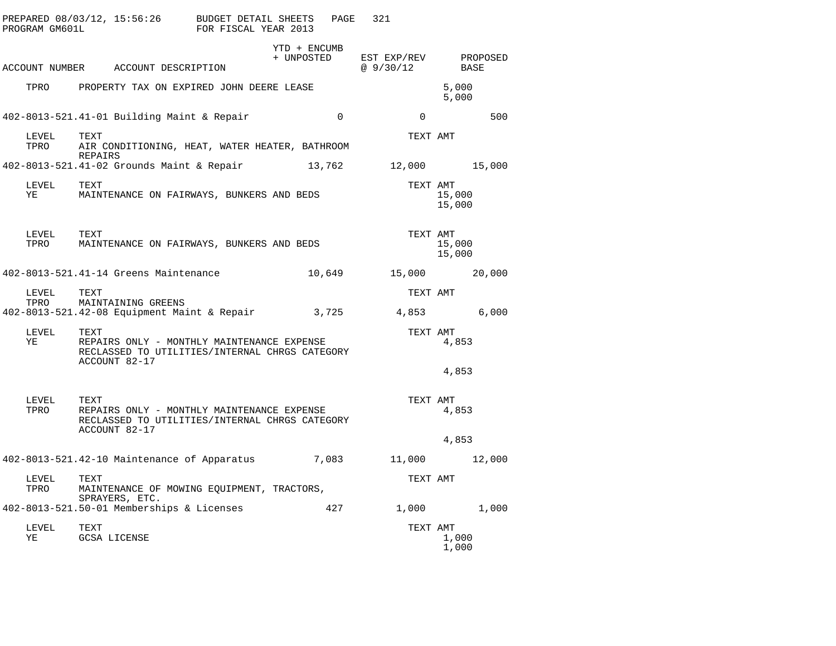| PROGRAM GM601L          | PREPARED 08/03/12, 15:56:26 BUDGET DETAIL SHEETS PAGE 321<br>FOR FISCAL YEAR 2013                                          |                |                                                   |                  |
|-------------------------|----------------------------------------------------------------------------------------------------------------------------|----------------|---------------------------------------------------|------------------|
|                         | ACCOUNT NUMBER ACCOUNT DESCRIPTION                                                                                         | YTD + ENCUMB   | + UNPOSTED EST EXP/REV PROPOSED<br>@ 9/30/12 BASE |                  |
|                         | TPRO PROPERTY TAX ON EXPIRED JOHN DEERE LEASE                                                                              |                |                                                   | 5,000<br>5,000   |
|                         | 402-8013-521.41-01 Building Maint & Repair                                                                                 | $\overline{0}$ | $\overline{0}$                                    | 500              |
| LEVEL<br>TPRO           | TEXT<br>AIR CONDITIONING, HEAT, WATER HEATER, BATHROOM<br><b>REPAIRS</b>                                                   |                | TEXT AMT                                          |                  |
|                         | 402-8013-521.41-02 Grounds Maint & Repair 13,762 12,000 15,000                                                             |                |                                                   |                  |
| LEVEL TEXT<br><b>YE</b> | MAINTENANCE ON FAIRWAYS, BUNKERS AND BEDS                                                                                  |                | TEXT AMT                                          | 15,000<br>15,000 |
| LEVEL                   | TEXT<br>TPRO MAINTENANCE ON FAIRWAYS, BUNKERS AND BEDS                                                                     |                | TEXT AMT                                          | 15,000<br>15,000 |
|                         |                                                                                                                            |                |                                                   | 20,000           |
| LEVEL                   | TEXT<br>TPRO MAINTAINING GREENS<br>402-8013-521.42-08 Equipment Maint & Repair 3,725 4,853 6,000                           |                | TEXT AMT                                          |                  |
| LEVEL TEXT<br>YE        | REPAIRS ONLY - MONTHLY MAINTENANCE EXPENSE<br>RECLASSED TO UTILITIES/INTERNAL CHRGS CATEGORY<br>ACCOUNT 82-17              |                | TEXT AMT                                          | 4,853            |
|                         |                                                                                                                            |                |                                                   | 4,853            |
| LEVEL                   | TEXT<br>TPRO REPAIRS ONLY - MONTHLY MAINTENANCE EXPENSE<br>RECLASSED TO UTILITIES/INTERNAL CHRGS CATEGORY<br>ACCOUNT 82-17 |                | TEXT AMT                                          | 4,853            |
|                         |                                                                                                                            |                |                                                   | 4,853            |
|                         | 402-8013-521.42-10 Maintenance of Apparatus 7,083 11,000 12,000                                                            |                |                                                   |                  |
| LEVEL<br>TPRO           | TEXT<br>MAINTENANCE OF MOWING EQUIPMENT, TRACTORS,<br>SPRAYERS, ETC.                                                       |                | TEXT AMT                                          |                  |
|                         | 402-8013-521.50-01 Memberships & Licenses 427 427 1,000                                                                    |                |                                                   | 1,000            |
| LEVEL<br>YE             | TEXT<br>GCSA LICENSE                                                                                                       |                | TEXT AMT                                          | 1,000<br>1,000   |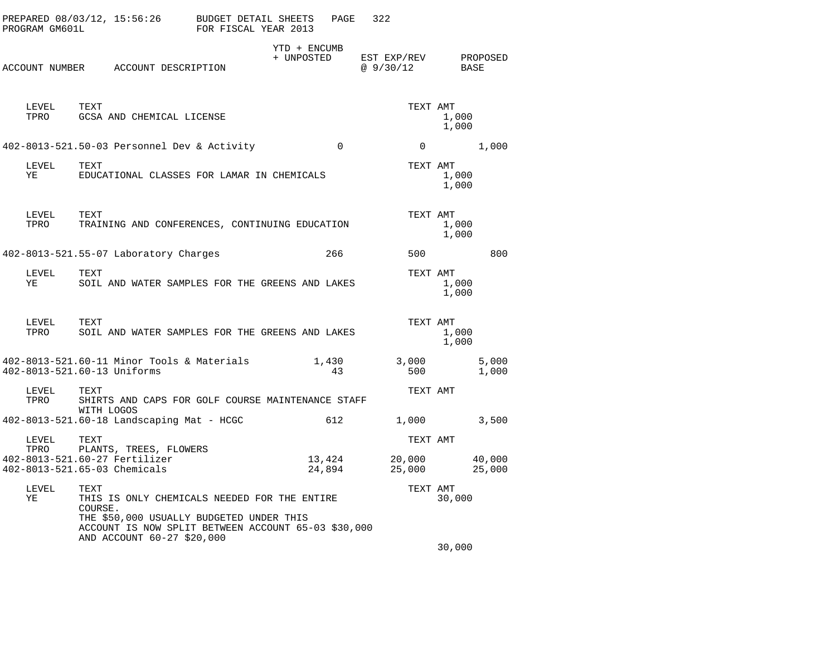| PROGRAM GM601L     | PREPARED 08/03/12, 15:56:26                                                                                                                                                                      | BUDGET DETAIL SHEETS<br>FOR FISCAL YEAR 2013 |                            | PAGE             | 322                     |                |                  |
|--------------------|--------------------------------------------------------------------------------------------------------------------------------------------------------------------------------------------------|----------------------------------------------|----------------------------|------------------|-------------------------|----------------|------------------|
|                    | ACCOUNT NUMBER ACCOUNT DESCRIPTION                                                                                                                                                               |                                              | YTD + ENCUMB<br>+ UNPOSTED |                  | EST EXP/REV<br>@9/30/12 | BASE           | PROPOSED         |
| LEVEL TEXT<br>TPRO | GCSA AND CHEMICAL LICENSE                                                                                                                                                                        |                                              |                            |                  | TEXT AMT                | 1,000<br>1,000 |                  |
|                    | 402-8013-521.50-03 Personnel Dev & Activity                                                                                                                                                      |                                              |                            | $\Omega$         | $\Omega$                |                | 1,000            |
| LEVEL<br>ΥE        | TEXT<br>EDUCATIONAL CLASSES FOR LAMAR IN CHEMICALS                                                                                                                                               |                                              |                            |                  | TEXT AMT                | 1,000<br>1,000 |                  |
| LEVEL<br>TPRO      | TEXT<br>TRAINING AND CONFERENCES, CONTINUING EDUCATION                                                                                                                                           |                                              |                            |                  | TEXT AMT                | 1,000<br>1,000 |                  |
|                    | 402-8013-521.55-07 Laboratory Charges                                                                                                                                                            |                                              |                            | 266              | 500                     |                | 800              |
| LEVEL<br>ΥE        | TEXT<br>SOIL AND WATER SAMPLES FOR THE GREENS AND LAKES                                                                                                                                          |                                              |                            |                  | TEXT AMT                | 1,000<br>1,000 |                  |
| LEVEL<br>TPRO      | TEXT<br>SOIL AND WATER SAMPLES FOR THE GREENS AND LAKES                                                                                                                                          |                                              |                            |                  | TEXT AMT                | 1,000<br>1,000 |                  |
|                    | 402-8013-521.60-11 Minor Tools & Materials<br>402-8013-521.60-13 Uniforms                                                                                                                        |                                              |                            | 1,430<br>43      | 3,000<br>500            |                | 5,000<br>1,000   |
| LEVEL<br>TPRO      | TEXT<br>SHIRTS AND CAPS FOR GOLF COURSE MAINTENANCE STAFF<br>WITH LOGOS                                                                                                                          |                                              |                            |                  | TEXT AMT                |                |                  |
|                    | 402-8013-521.60-18 Landscaping Mat - HCGC                                                                                                                                                        |                                              |                            | 612              | 1,000                   |                | 3,500            |
| LEVEL              | TEXT                                                                                                                                                                                             |                                              |                            |                  | TEXT AMT                |                |                  |
| TPRO               | PLANTS, TREES, FLOWERS<br>402-8013-521.60-27 Fertilizer<br>402-8013-521.65-03 Chemicals                                                                                                          |                                              |                            | 13,424<br>24,894 | 20,000<br>25,000        |                | 40,000<br>25,000 |
| LEVEL<br>ΥE        | TEXT<br>THIS IS ONLY CHEMICALS NEEDED FOR THE ENTIRE<br>COURSE.<br>THE \$50,000 USUALLY BUDGETED UNDER THIS<br>ACCOUNT IS NOW SPLIT BETWEEN ACCOUNT 65-03 \$30,000<br>AND ACCOUNT 60-27 \$20,000 |                                              |                            |                  | TEXT AMT                | 30,000         |                  |
|                    |                                                                                                                                                                                                  |                                              |                            |                  |                         | 30,000         |                  |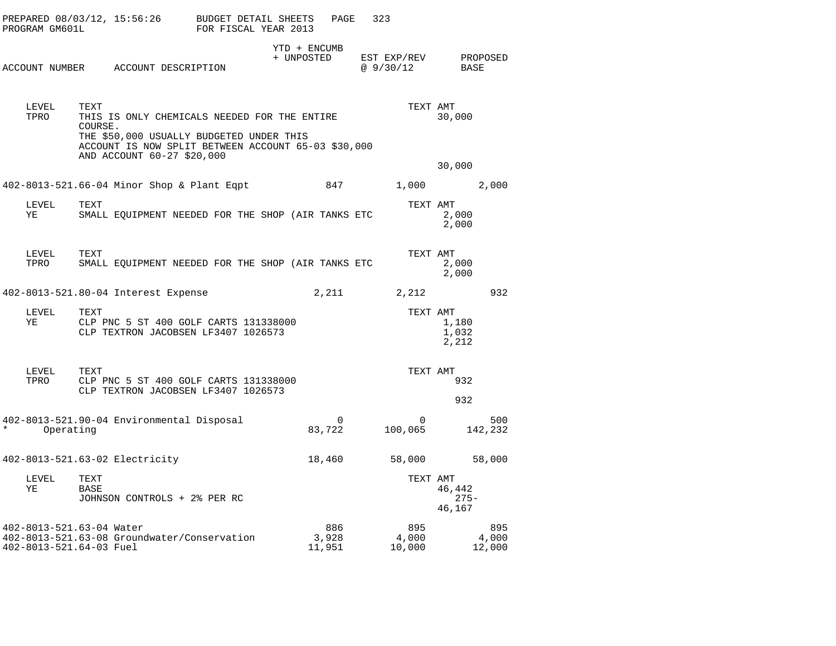| PROGRAM GM601L                                      | PREPARED 08/03/12, 15:56:26 BUDGET DETAIL SHEETS                                                                                                                                                 | FOR FISCAL YEAR 2013 | PAGE                     | 323                                 |                             |
|-----------------------------------------------------|--------------------------------------------------------------------------------------------------------------------------------------------------------------------------------------------------|----------------------|--------------------------|-------------------------------------|-----------------------------|
|                                                     | ACCOUNT NUMBER ACCOUNT DESCRIPTION                                                                                                                                                               | YTD + ENCUMB         |                          | + UNPOSTED EST EXP/REV<br>@ 9/30/12 | PROPOSED<br>BASE            |
| LEVEL<br>TPRO                                       | TEXT<br>THIS IS ONLY CHEMICALS NEEDED FOR THE ENTIRE<br>COURSE.<br>THE \$50,000 USUALLY BUDGETED UNDER THIS<br>ACCOUNT IS NOW SPLIT BETWEEN ACCOUNT 65-03 \$30,000<br>AND ACCOUNT 60-27 \$20,000 |                      |                          | TEXT AMT                            | 30,000                      |
|                                                     | 402-8013-521.66-04 Minor Shop & Plant Eqpt                                                                                                                                                       |                      | 847                      | 1,000                               | 30,000<br>2,000             |
| LEVEL<br>ΥE                                         | TEXT<br>SMALL EQUIPMENT NEEDED FOR THE SHOP (AIR TANKS ETC                                                                                                                                       |                      |                          | TEXT AMT                            | 2,000<br>2,000              |
| LEVEL<br>TPRO                                       | TEXT<br>SMALL EQUIPMENT NEEDED FOR THE SHOP (AIR TANKS ETC                                                                                                                                       |                      |                          | TEXT AMT                            | 2,000<br>2,000              |
| 402-8013-521.80-04 Interest Expense                 |                                                                                                                                                                                                  |                      | 2,211                    | 2,212                               | 932                         |
| LEVEL<br>YE                                         | TEXT<br>CLP PNC 5 ST 400 GOLF CARTS 131338000<br>CLP TEXTRON JACOBSEN LF3407 1026573                                                                                                             |                      |                          | TEXT AMT                            | 1,180<br>1,032<br>2,212     |
| LEVEL<br>TPRO                                       | TEXT<br>CLP PNC 5 ST 400 GOLF CARTS 131338000<br>CLP TEXTRON JACOBSEN LF3407 1026573                                                                                                             |                      |                          | TEXT AMT                            | 932<br>932                  |
| $\star$<br>Operating                                | 402-8013-521.90-04 Environmental Disposal                                                                                                                                                        |                      | $\overline{0}$<br>83,722 | $\overline{0}$<br>100,065           | 500<br>142,232              |
|                                                     | 402-8013-521.63-02 Electricity                                                                                                                                                                   |                      | 18,460                   |                                     | 58,000 58,000               |
| LEVEL<br>ΥE                                         | TEXT<br><b>BASE</b><br>JOHNSON CONTROLS + 2% PER RC                                                                                                                                              |                      |                          | TEXT AMT                            | 46,442<br>$275 -$<br>46,167 |
| 402-8013-521.63-04 Water<br>402-8013-521.64-03 Fuel | 402-8013-521.63-08 Groundwater/Conservation                                                                                                                                                      |                      | 886<br>3,928<br>11,951   | 895<br>4,000<br>10,000              | 895<br>4,000<br>12,000      |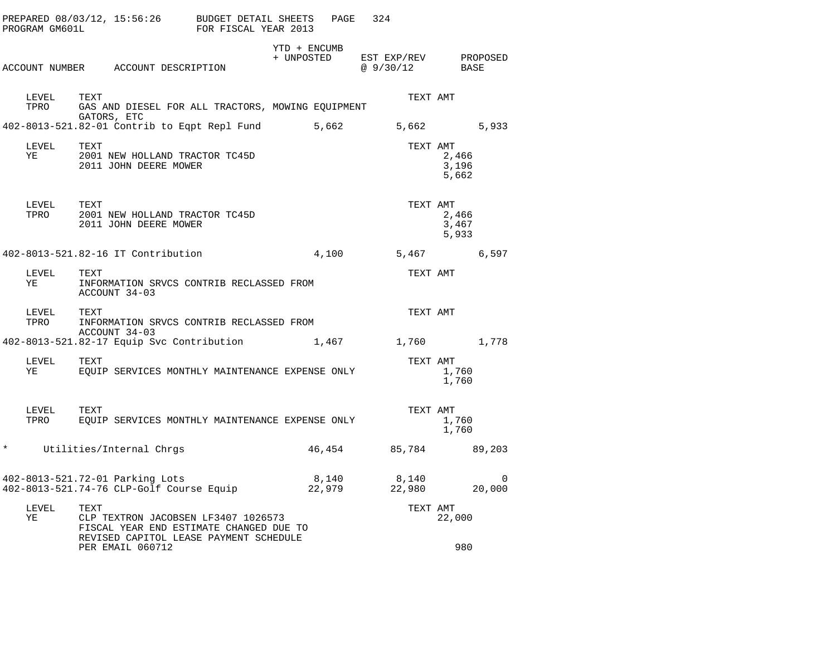|         | PROGRAM GM601L | PREPARED 08/03/12, 15:56:26 BUDGET DETAIL SHEETS                                                                                 | FOR FISCAL YEAR 2013 |                            | PAGE   | 324                              |                         |             |
|---------|----------------|----------------------------------------------------------------------------------------------------------------------------------|----------------------|----------------------------|--------|----------------------------------|-------------------------|-------------|
|         |                | ACCOUNT NUMBER ACCOUNT DESCRIPTION                                                                                               |                      | YTD + ENCUMB<br>+ UNPOSTED |        | EST EXP/REV PROPOSED<br>@9/30/12 | BASE                    |             |
|         |                |                                                                                                                                  |                      |                            |        |                                  |                         |             |
|         | LEVEL<br>TPRO  | TEXT<br>GAS AND DIESEL FOR ALL TRACTORS, MOWING EQUIPMENT<br>GATORS, ETC                                                         |                      |                            |        | TEXT AMT                         |                         |             |
|         |                | 402-8013-521.82-01 Contrib to Eqpt Repl Fund                                                                                     |                      |                            | 5,662  | 5,662 5,933                      |                         |             |
| YE      | LEVEL          | TEXT<br>2001 NEW HOLLAND TRACTOR TC45D<br>2011 JOHN DEERE MOWER                                                                  |                      |                            |        | TEXT AMT                         | 2,466<br>3,196<br>5,662 |             |
|         | LEVEL<br>TPRO  | TEXT<br>2001 NEW HOLLAND TRACTOR TC45D<br>2011 JOHN DEERE MOWER                                                                  |                      |                            |        | TEXT AMT                         | 2,466<br>3,467<br>5,933 |             |
|         |                | 402-8013-521.82-16 IT Contribution                                                                                               |                      |                            |        | 4,100 5,467                      |                         | 6,597       |
| ΥE      | LEVEL          | TEXT<br>INFORMATION SRVCS CONTRIB RECLASSED FROM<br>ACCOUNT 34-03                                                                |                      |                            |        | TEXT AMT                         |                         |             |
|         | LEVEL<br>TPRO  | TEXT<br>INFORMATION SRVCS CONTRIB RECLASSED FROM                                                                                 |                      |                            |        | TEXT AMT                         |                         |             |
|         |                | ACCOUNT 34-03<br>402-8013-521.82-17 Equip Svc Contribution                                                                       |                      |                            |        | 1,467 1,760 1,778                |                         |             |
| ΥE      | LEVEL TEXT     | EQUIP SERVICES MONTHLY MAINTENANCE EXPENSE ONLY                                                                                  |                      |                            |        | TEXT AMT                         | 1,760<br>1,760          |             |
|         | LEVEL<br>TPRO  | TEXT<br>EOUIP SERVICES MONTHLY MAINTENANCE EXPENSE ONLY                                                                          |                      |                            |        | TEXT AMT                         | 1,760<br>1,760          |             |
| $\star$ |                | Utilities/Internal Chrgs                                                                                                         |                      |                            | 46,454 | 85,784                           |                         | 89,203      |
|         |                | 402-8013-521.72-01 Parking Lots                                                                                                  |                      |                            | 8,140  | 8,140<br>22,980                  |                         | 0<br>20,000 |
| ΥE      | LEVEL          | TEXT<br>CLP TEXTRON JACOBSEN LF3407 1026573<br>FISCAL YEAR END ESTIMATE CHANGED DUE TO<br>REVISED CAPITOL LEASE PAYMENT SCHEDULE |                      |                            |        | TEXT AMT                         | 22,000                  |             |
|         |                | PER EMAIL 060712                                                                                                                 |                      |                            |        |                                  | 980                     |             |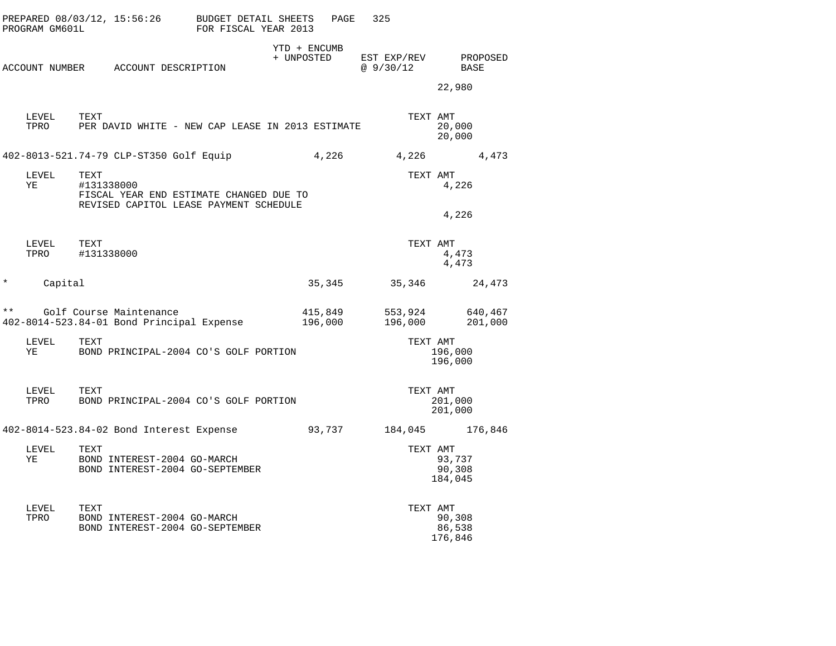|          | PROGRAM GM601L | PREPARED 08/03/12, 15:56:26 BUDGET DETAIL SHEETS                                                        | FOR FISCAL YEAR 2013 | PAGE                       | 325                     |                             |
|----------|----------------|---------------------------------------------------------------------------------------------------------|----------------------|----------------------------|-------------------------|-----------------------------|
|          |                | ACCOUNT NUMBER ACCOUNT DESCRIPTION                                                                      |                      | YTD + ENCUMB<br>+ UNPOSTED | EST EXP/REV<br>@9/30/12 | PROPOSED<br>BASE<br>22,980  |
|          | LEVEL<br>TPRO  | TEXT<br>PER DAVID WHITE - NEW CAP LEASE IN 2013 ESTIMATE                                                |                      |                            | TEXT AMT                | 20,000<br>20,000            |
|          |                | 402-8013-521.74-79 CLP-ST350 Golf Equip                                                                 |                      | 4,226                      | 4,226                   | 4,473                       |
|          | LEVEL<br>YE    | TEXT<br>#131338000<br>FISCAL YEAR END ESTIMATE CHANGED DUE TO<br>REVISED CAPITOL LEASE PAYMENT SCHEDULE |                      |                            | TEXT AMT                | 4,226                       |
|          |                |                                                                                                         |                      |                            |                         | 4,226                       |
|          | LEVEL<br>TPRO  | TEXT<br>#131338000                                                                                      |                      |                            | TEXT AMT                | 4,473<br>4,473              |
| $^\star$ | Capital        |                                                                                                         |                      | 35,345                     | 35,346                  | 24,473                      |
| * *      |                | Golf Course Maintenance<br>402-8014-523.84-01 Bond Principal Expense                                    |                      | 415,849<br>196,000         | 553,924<br>196,000      | 640,467<br>201,000          |
|          | LEVEL<br>YE    | TEXT<br>BOND PRINCIPAL-2004 CO'S GOLF PORTION                                                           |                      |                            | TEXT AMT                | 196,000<br>196,000          |
|          | LEVEL<br>TPRO  | TEXT<br>BOND PRINCIPAL-2004 CO'S GOLF PORTION                                                           |                      |                            | TEXT AMT                | 201,000<br>201,000          |
|          |                | 402-8014-523.84-02 Bond Interest Expense                                                                |                      | 93,737                     |                         | 184,045 176,846             |
|          | LEVEL<br>ΥE    | TEXT<br>BOND INTEREST-2004 GO-MARCH<br>BOND INTEREST-2004 GO-SEPTEMBER                                  |                      |                            | TEXT AMT                | 93,737<br>90,308<br>184,045 |
|          | LEVEL<br>TPRO  | TEXT<br>BOND INTEREST-2004 GO-MARCH<br>BOND INTEREST-2004 GO-SEPTEMBER                                  |                      |                            | TEXT AMT                | 90,308<br>86,538<br>176,846 |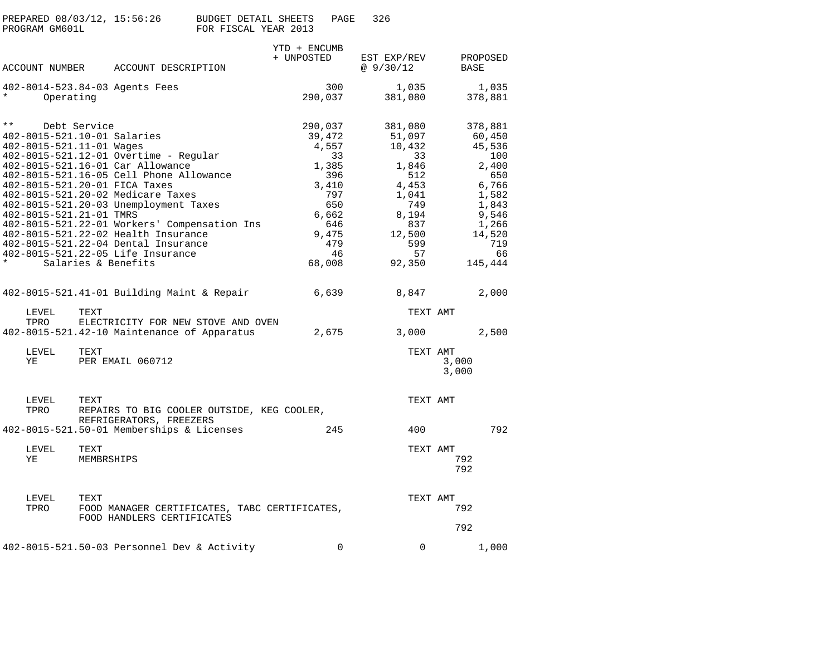|                          | PREPARED 08/03/12, 15:56:26<br>PROGRAM GM601L                                      |                    |                                                                                                                                                                                                                                                                                                                                                                                                                               | BUDGET DETAIL SHEETS<br>FOR FISCAL YEAR 2013 |                            | PAGE                                                                                               | 326                                                                                                                         |                            |                                                                                                                                   |
|--------------------------|------------------------------------------------------------------------------------|--------------------|-------------------------------------------------------------------------------------------------------------------------------------------------------------------------------------------------------------------------------------------------------------------------------------------------------------------------------------------------------------------------------------------------------------------------------|----------------------------------------------|----------------------------|----------------------------------------------------------------------------------------------------|-----------------------------------------------------------------------------------------------------------------------------|----------------------------|-----------------------------------------------------------------------------------------------------------------------------------|
|                          | ACCOUNT NUMBER                                                                     |                    | ACCOUNT DESCRIPTION                                                                                                                                                                                                                                                                                                                                                                                                           |                                              | YTD + ENCUMB<br>+ UNPOSTED |                                                                                                    | EST EXP/REV<br>@9/30/12                                                                                                     |                            | PROPOSED<br>BASE                                                                                                                  |
|                          | Operating                                                                          |                    | 402-8014-523.84-03 Agents Fees                                                                                                                                                                                                                                                                                                                                                                                                |                                              |                            | 300<br>290,037                                                                                     | 1,035<br>381,080                                                                                                            |                            | 1,035<br>378,881                                                                                                                  |
| $\star \star$<br>$\star$ | 402-8015-521.10-01 Salaries<br>402-8015-521.11-01 Wages<br>402-8015-521.21-01 TMRS | Debt Service       | 402-8015-521.12-01 Overtime - Regular<br>402-8015-521.16-01 Car Allowance<br>402-8015-521.16-05 Cell Phone Allowance<br>402-8015-521.20-01 FICA Taxes<br>402-8015-521.20-02 Medicare Taxes<br>402-8015-521.20-03 Unemployment Taxes<br>402-8015-521.22-01 Workers' Compensation Ins<br>402-8015-521.22-02 Health Insurance<br>402-8015-521.22-04 Dental Insurance<br>402-8015-521.22-05 Life Insurance<br>Salaries & Benefits |                                              | 290,037<br>68,008          | 39,472<br>4,557<br>33<br>1,385<br>396<br>3,410<br>797<br>650<br>6,662<br>646<br>9,475<br>479<br>46 | 381,080<br>51,097<br>10,432<br>33<br>1,846<br>512<br>4,453<br>1,041<br>749<br>8,194<br>837<br>12,500<br>599<br>57<br>92,350 |                            | 378,881<br>60,450<br>45,536<br>100<br>2,400<br>650<br>6,766<br>1,582<br>1,843<br>9,546<br>1,266<br>14,520<br>719<br>66<br>145,444 |
|                          |                                                                                    |                    | 402-8015-521.41-01 Building Maint & Repair                                                                                                                                                                                                                                                                                                                                                                                    |                                              | 6,639                      |                                                                                                    | 8,847                                                                                                                       |                            | 2,000                                                                                                                             |
|                          | LEVEL<br>TPRO                                                                      | TEXT               | ELECTRICITY FOR NEW STOVE AND OVEN<br>402-8015-521.42-10 Maintenance of Apparatus                                                                                                                                                                                                                                                                                                                                             |                                              |                            | 2,675                                                                                              | 3,000                                                                                                                       | TEXT AMT                   | 2,500                                                                                                                             |
|                          | LEVEL<br>ΥE                                                                        | TEXT               | PER EMAIL 060712                                                                                                                                                                                                                                                                                                                                                                                                              |                                              |                            |                                                                                                    |                                                                                                                             | TEXT AMT<br>3,000<br>3,000 |                                                                                                                                   |
|                          | LEVEL<br>TPRO                                                                      | TEXT               | REPAIRS TO BIG COOLER OUTSIDE, KEG COOLER,<br>REFRIGERATORS, FREEZERS                                                                                                                                                                                                                                                                                                                                                         |                                              |                            |                                                                                                    |                                                                                                                             | TEXT AMT                   |                                                                                                                                   |
|                          |                                                                                    |                    | 402-8015-521.50-01 Memberships & Licenses                                                                                                                                                                                                                                                                                                                                                                                     |                                              |                            | 245                                                                                                | 400                                                                                                                         |                            | 792                                                                                                                               |
|                          | LEVEL<br>ΥE                                                                        | TEXT<br>MEMBRSHIPS |                                                                                                                                                                                                                                                                                                                                                                                                                               |                                              |                            |                                                                                                    |                                                                                                                             | TEXT AMT<br>792<br>792     |                                                                                                                                   |
|                          | LEVEL<br>TPRO                                                                      | TEXT               | FOOD MANAGER CERTIFICATES, TABC CERTIFICATES,<br>FOOD HANDLERS CERTIFICATES                                                                                                                                                                                                                                                                                                                                                   |                                              |                            |                                                                                                    |                                                                                                                             | TEXT AMT<br>792<br>792     |                                                                                                                                   |
|                          |                                                                                    |                    | 402-8015-521.50-03 Personnel Dev & Activity                                                                                                                                                                                                                                                                                                                                                                                   |                                              |                            | $\Omega$                                                                                           | $\Omega$                                                                                                                    |                            | 1,000                                                                                                                             |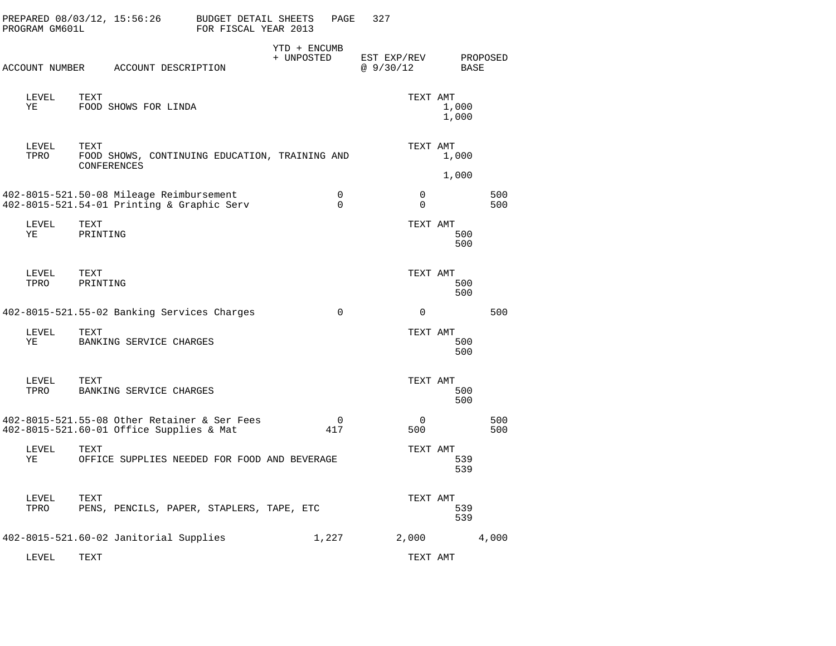| PROGRAM GM601L | PREPARED 08/03/12, 15:56:26                                                              | BUDGET DETAIL SHEETS<br>FOR FISCAL YEAR 2013 |                            | PAGE                           | 327                      |                            |            |  |
|----------------|------------------------------------------------------------------------------------------|----------------------------------------------|----------------------------|--------------------------------|--------------------------|----------------------------|------------|--|
|                | ACCOUNT NUMBER ACCOUNT DESCRIPTION                                                       |                                              | YTD + ENCUMB<br>+ UNPOSTED |                                | EST EXP/REV<br>@ 9/30/12 | BASE                       | PROPOSED   |  |
| LEVEL<br>ΥE    | TEXT<br>FOOD SHOWS FOR LINDA                                                             |                                              |                            |                                |                          | TEXT AMT<br>1,000<br>1,000 |            |  |
| LEVEL<br>TPRO  | TEXT<br>FOOD SHOWS, CONTINUING EDUCATION, TRAINING AND<br>CONFERENCES                    |                                              |                            |                                |                          | TEXT AMT<br>1,000<br>1,000 |            |  |
|                | 402-8015-521.50-08 Mileage Reimbursement<br>402-8015-521.54-01 Printing & Graphic Serv   |                                              |                            | 0<br>$\Omega$                  | $\mathbf 0$<br>$\Omega$  |                            | 500<br>500 |  |
| LEVEL<br>ΥE    | TEXT<br>PRINTING                                                                         |                                              |                            |                                |                          | TEXT AMT<br>500<br>500     |            |  |
| LEVEL<br>TPRO  | TEXT<br>PRINTING                                                                         |                                              |                            |                                |                          | TEXT AMT<br>500<br>500     |            |  |
|                | 402-8015-521.55-02 Banking Services Charges                                              |                                              |                            | $\mathbf 0$                    | $\mathbf 0$              |                            | 500        |  |
| LEVEL<br>ΥE    | TEXT<br>BANKING SERVICE CHARGES                                                          |                                              |                            |                                |                          | TEXT AMT<br>500<br>500     |            |  |
| LEVEL<br>TPRO  | TEXT<br>BANKING SERVICE CHARGES                                                          |                                              |                            |                                |                          | TEXT AMT<br>500<br>500     |            |  |
|                | 402-8015-521.55-08 Other Retainer & Ser Fees<br>402-8015-521.60-01 Office Supplies & Mat |                                              |                            | $\overline{\mathbf{0}}$<br>417 | 0<br>500                 |                            | 500<br>500 |  |
| LEVEL<br>ΥE    | TEXT<br>OFFICE SUPPLIES NEEDED FOR FOOD AND BEVERAGE                                     |                                              |                            |                                |                          | TEXT AMT<br>539<br>539     |            |  |
| LEVEL<br>TPRO  | TEXT<br>PENS, PENCILS, PAPER, STAPLERS, TAPE, ETC                                        |                                              |                            |                                |                          | TEXT AMT<br>539<br>539     |            |  |
|                | 402-8015-521.60-02 Janitorial Supplies                                                   |                                              |                            | 1,227                          | 2,000                    |                            | 4,000      |  |
| LEVEL          | <b>TEXT</b>                                                                              |                                              |                            |                                |                          | TEXT AMT                   |            |  |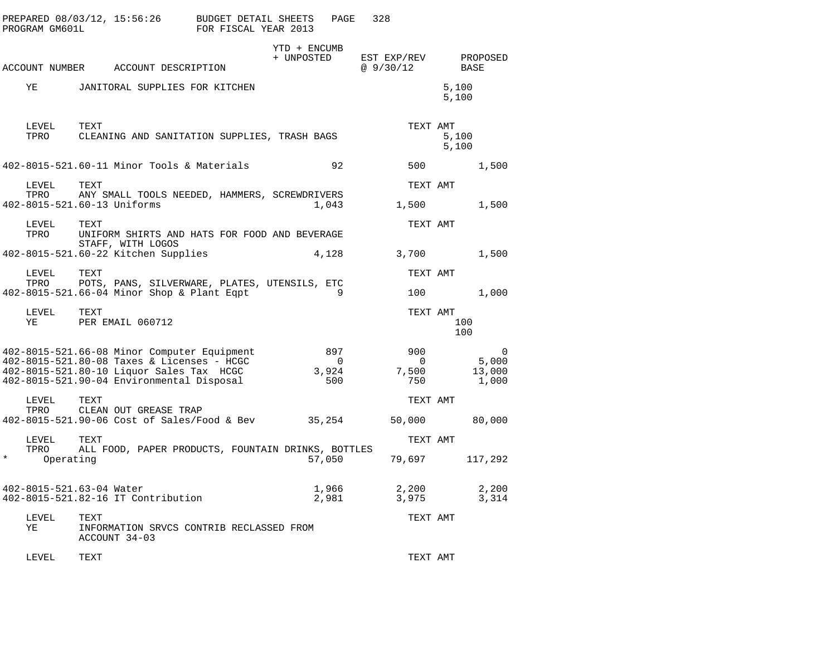|          | PROGRAM GM601L    | PREPARED 08/03/12, 15:56:26 BUDGET DETAIL SHEETS                                                                                                                                   | FOR FISCAL YEAR 2013 |                            | PAGE                                  | 328                                   |                                      |
|----------|-------------------|------------------------------------------------------------------------------------------------------------------------------------------------------------------------------------|----------------------|----------------------------|---------------------------------------|---------------------------------------|--------------------------------------|
|          |                   | ACCOUNT NUMBER ACCOUNT DESCRIPTION                                                                                                                                                 |                      | YTD + ENCUMB<br>+ UNPOSTED |                                       | EST EXP/REV<br>@9/30/12               | PROPOSED<br>BASE                     |
|          | ΥE                | JANITORAL SUPPLIES FOR KITCHEN                                                                                                                                                     |                      |                            |                                       |                                       | 5,100<br>5,100                       |
|          | LEVEL<br>TPRO     | TEXT<br>CLEANING AND SANITATION SUPPLIES, TRASH BAGS                                                                                                                               |                      |                            |                                       | TEXT AMT                              | 5,100<br>5,100                       |
|          |                   | 402-8015-521.60-11 Minor Tools & Materials                                                                                                                                         |                      |                            | 92                                    | 500                                   | 1,500                                |
|          | LEVEL<br>TPRO     | TEXT<br>ANY SMALL TOOLS NEEDED, HAMMERS, SCREWDRIVERS<br>402-8015-521.60-13 Uniforms                                                                                               |                      |                            | 1,043                                 | TEXT AMT<br>1,500                     | 1,500                                |
|          | LEVEL<br>TPRO     | TEXT<br>UNIFORM SHIRTS AND HATS FOR FOOD AND BEVERAGE                                                                                                                              |                      |                            |                                       | TEXT AMT                              |                                      |
|          |                   | STAFF, WITH LOGOS<br>402-8015-521.60-22 Kitchen Supplies                                                                                                                           |                      |                            | 4,128                                 | 3,700                                 | 1,500                                |
|          | LEVEL<br>TPRO     | TEXT<br>POTS, PANS, SILVERWARE, PLATES, UTENSILS, ETC                                                                                                                              |                      |                            |                                       | TEXT AMT                              |                                      |
|          |                   | 402-8015-521.66-04 Minor Shop & Plant Eqpt                                                                                                                                         |                      |                            | 9                                     |                                       | 100 000<br>1,000                     |
|          | LEVEL TEXT<br>YE  | PER EMAIL 060712                                                                                                                                                                   |                      |                            |                                       | TEXT AMT                              | 100<br>100                           |
|          |                   | 402-8015-521.66-08 Minor Computer Equipment<br>402-8015-521.80-08 Taxes & Licenses - HCGC<br>402-8015-521.80-10 Liquor Sales Tax HCGC<br>402-8015-521.90-04 Environmental Disposal |                      |                            | 897<br>$\overline{0}$<br>3,924<br>500 | 900<br>$\overline{0}$<br>7,500<br>750 | $\Omega$<br>5,000<br>13,000<br>1,000 |
|          | LEVEL<br>TPRO     | TEXT<br>CLEAN OUT GREASE TRAP<br>402-8015-521.90-06 Cost of Sales/Food & Bev 35,254                                                                                                |                      |                            |                                       | TEXT AMT<br>50,000                    | 80,000                               |
|          | LEVEL             | TEXT                                                                                                                                                                               |                      |                            |                                       | TEXT AMT                              |                                      |
| $^\star$ | TPRO<br>Operating | ALL FOOD, PAPER PRODUCTS, FOUNTAIN DRINKS, BOTTLES                                                                                                                                 |                      |                            | 57,050                                | 79,697                                | 117,292                              |
|          |                   | 402-8015-521.63-04 Water<br>402-8015-521.82-16 IT Contribution                                                                                                                     |                      |                            | 1,966<br>2,981                        | 2,200<br>3,975                        | 2,200<br>3,314                       |
|          | LEVEL<br>ΥE       | TEXT<br>INFORMATION SRVCS CONTRIB RECLASSED FROM<br>ACCOUNT 34-03                                                                                                                  |                      |                            |                                       | TEXT AMT                              |                                      |
|          | LEVEL             | TEXT                                                                                                                                                                               |                      |                            |                                       | TEXT AMT                              |                                      |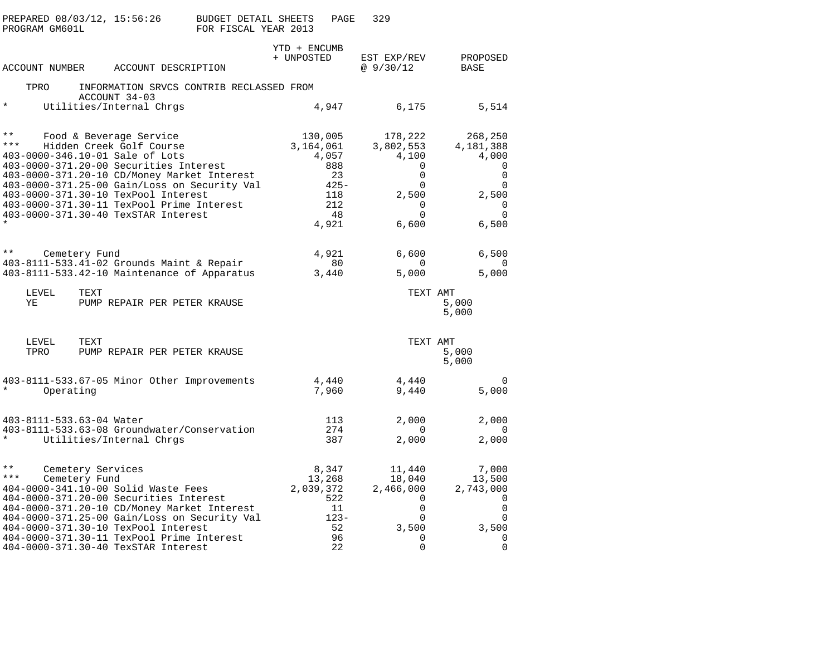| PROGRAM GM601L          | PREPARED 08/03/12, 15:56:26        |                                                                                                                              | <b>BUDGET DETAIL SHEETS</b><br>FOR FISCAL YEAR 2013 |                            | PAGE                           | 329                                            |                                                  |  |
|-------------------------|------------------------------------|------------------------------------------------------------------------------------------------------------------------------|-----------------------------------------------------|----------------------------|--------------------------------|------------------------------------------------|--------------------------------------------------|--|
| ACCOUNT NUMBER          |                                    | ACCOUNT DESCRIPTION                                                                                                          |                                                     | YTD + ENCUMB<br>+ UNPOSTED |                                | EST EXP/REV<br>@9/30/12                        | PROPOSED<br>BASE                                 |  |
| TPRO                    |                                    | INFORMATION SRVCS CONTRIB RECLASSED FROM                                                                                     |                                                     |                            |                                |                                                |                                                  |  |
|                         |                                    | ACCOUNT 34-03                                                                                                                |                                                     |                            |                                |                                                |                                                  |  |
| $\star$                 |                                    | Utilities/Internal Chrgs                                                                                                     |                                                     |                            | 4,947                          | 6,175                                          | 5,514                                            |  |
| $\star \star$<br>$***$  |                                    | Food & Beverage Service<br>Hidden Creek Golf Course<br>403-0000-346.10-01 Sale of Lots                                       |                                                     | 3,164,061                  | 130,005<br>4,057               | 178,222<br>3,802,553<br>4,100                  | 268,250<br>4,181,388<br>4,000                    |  |
|                         |                                    | 403-0000-371.20-00 Securities Interest                                                                                       |                                                     |                            | 888                            | 0                                              | 0                                                |  |
|                         |                                    | 403-0000-371.20-10 CD/Money Market Interest                                                                                  |                                                     |                            | 23                             | 0                                              | $\mathbf 0$                                      |  |
|                         |                                    | 403-0000-371.25-00 Gain/Loss on Security Val                                                                                 |                                                     |                            | $425 -$                        | 0                                              | 0                                                |  |
|                         |                                    | 403-0000-371.30-10 TexPool Interest<br>403-0000-371.30-11 TexPool Prime Interest                                             |                                                     |                            | 118<br>212                     | 2,500<br>0                                     | 2,500<br>$\mathbf 0$                             |  |
|                         |                                    | 403-0000-371.30-40 TexSTAR Interest                                                                                          |                                                     |                            | 48                             | $\Omega$                                       | $\Omega$                                         |  |
|                         |                                    |                                                                                                                              |                                                     |                            | 4,921                          | 6,600                                          | 6,500                                            |  |
| $\star\star$            | Cemetery Fund                      |                                                                                                                              |                                                     |                            | 4,921                          | 6,600                                          | 6,500                                            |  |
|                         |                                    | 403-8111-533.41-02 Grounds Maint & Repair                                                                                    |                                                     |                            | 80                             | $\Omega$                                       | $\Omega$                                         |  |
|                         |                                    | 403-8111-533.42-10 Maintenance of Apparatus                                                                                  |                                                     |                            | 3,440                          | 5,000                                          | 5,000                                            |  |
| LEVEL<br>ΥE             | TEXT                               | PUMP REPAIR PER PETER KRAUSE                                                                                                 |                                                     |                            |                                | TEXT AMT                                       | 5,000<br>5,000                                   |  |
| LEVEL<br>TPRO           | TEXT                               | PUMP REPAIR PER PETER KRAUSE                                                                                                 |                                                     |                            |                                | TEXT AMT                                       | 5,000<br>5,000                                   |  |
| *                       | Operating                          | 403-8111-533.67-05 Minor Other Improvements                                                                                  |                                                     |                            | 4,440<br>7,960                 | 4,440<br>9,440                                 | 0<br>5,000                                       |  |
|                         | 403-8111-533.63-04 Water           |                                                                                                                              |                                                     |                            | 113                            | 2,000                                          | 2,000                                            |  |
| $\star$                 |                                    | 403-8111-533.63-08 Groundwater/Conservation<br>Utilities/Internal Chrgs                                                      |                                                     |                            | 274<br>387                     | $\Omega$<br>2,000                              | 0<br>2,000                                       |  |
| $\star\star$<br>$* * *$ | Cemetery Services<br>Cemetery Fund | 404-0000-341.10-00 Solid Waste Fees<br>404-0000-371.20-00 Securities Interest<br>404-0000-371.20-10 CD/Money Market Interest |                                                     | 2,039,372                  | 8,347<br>13,268<br>522<br>- 11 | 11,440<br>18,040<br>2,466,000<br>0<br>$\Omega$ | 7,000<br>13,500<br>2,743,000<br>0<br>$\mathbf 0$ |  |
|                         |                                    | 404-0000-371.25-00 Gain/Loss on Security Val<br>404-0000-371.30-10 TexPool Interest                                          |                                                     |                            | $123 -$<br>52                  | 0<br>3,500                                     | 0<br>3,500                                       |  |
|                         |                                    | 404-0000-371.30-11 TexPool Prime Interest                                                                                    |                                                     |                            | 96                             | 0                                              | $\mathbf 0$                                      |  |
|                         |                                    | 404-0000-371.30-40 TexSTAR Interest                                                                                          |                                                     |                            | 22                             | 0                                              | $\mathbf 0$                                      |  |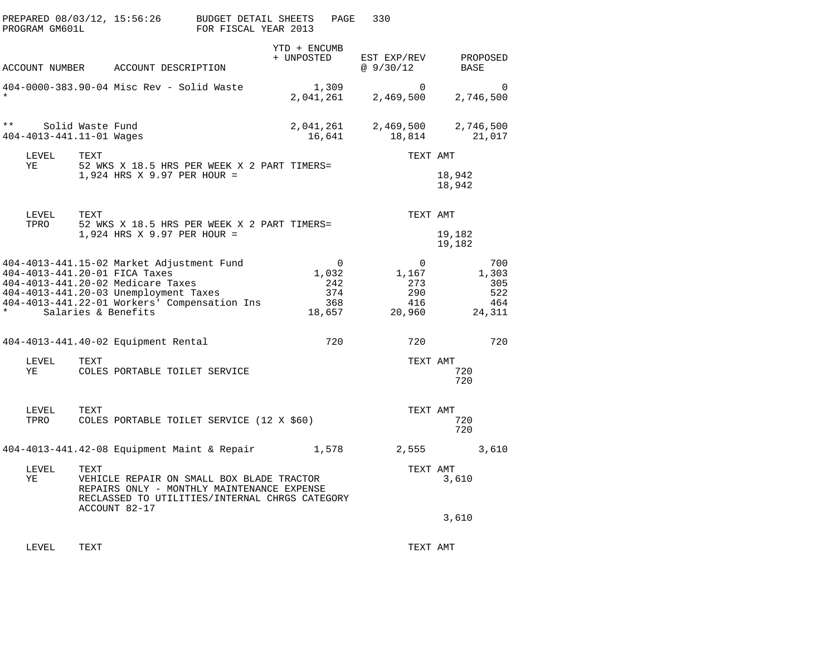| PROGRAM GM601L                           | PREPARED 08/03/12, 15:56:26                                                                                                                                                                                                     | BUDGET DETAIL SHEETS<br>FOR FISCAL YEAR 2013 |                            | PAGE                          | 330                                                    |                                             |          |
|------------------------------------------|---------------------------------------------------------------------------------------------------------------------------------------------------------------------------------------------------------------------------------|----------------------------------------------|----------------------------|-------------------------------|--------------------------------------------------------|---------------------------------------------|----------|
|                                          | ACCOUNT NUMBER ACCOUNT DESCRIPTION                                                                                                                                                                                              |                                              | YTD + ENCUMB<br>+ UNPOSTED |                               | EST EXP/REV<br>@9/30/12                                | PROPOSED<br>BASE                            |          |
| $\star$                                  | 404-0000-383.90-04 Misc Rev - Solid Waste                                                                                                                                                                                       |                                              | 1,309<br>2,041,261         |                               | $\Omega$<br>2,469,500                                  | 2,746,500                                   | $\Omega$ |
| $\star\star$<br>404-4013-441.11-01 Wages | Solid Waste Fund                                                                                                                                                                                                                |                                              | 2,041,261<br>16,641        |                               | 2,469,500<br>18,814                                    | 2,746,500<br>21,017                         |          |
| LEVEL<br>ΥE                              | TEXT<br>52 WKS X 18.5 HRS PER WEEK X 2 PART TIMERS=<br>1,924 HRS X 9.97 PER HOUR =                                                                                                                                              |                                              |                            |                               | TEXT AMT                                               | 18,942<br>18,942                            |          |
| LEVEL<br>TPRO                            | TEXT<br>52 WKS X 18.5 HRS PER WEEK X 2 PART TIMERS=                                                                                                                                                                             |                                              |                            |                               | TEXT AMT                                               |                                             |          |
|                                          | 1,924 HRS X 9.97 PER HOUR =                                                                                                                                                                                                     |                                              |                            |                               |                                                        | 19,182<br>19,182                            |          |
| $\star$                                  | 404-4013-441.15-02 Market Adjustment Fund<br>404-4013-441.20-01 FICA Taxes<br>404-4013-441.20-02 Medicare Taxes<br>404-4013-441.20-03 Unemployment Taxes<br>404-4013-441.22-01 Workers' Compensation Ins<br>Salaries & Benefits |                                              | 1,032<br>18,657            | $\Omega$<br>242<br>374<br>368 | $\overline{0}$<br>1,167<br>273<br>290<br>416<br>20,960 | 700<br>1,303<br>305<br>522<br>464<br>24,311 |          |
|                                          | 404-4013-441.40-02 Equipment Rental                                                                                                                                                                                             |                                              |                            | 720                           | 720                                                    | 720                                         |          |
| LEVEL<br>ΥE                              | TEXT<br>COLES PORTABLE TOILET SERVICE                                                                                                                                                                                           |                                              |                            |                               | TEXT AMT                                               | 720<br>720                                  |          |
| LEVEL<br>TPRO                            | TEXT<br>COLES PORTABLE TOILET SERVICE (12 X \$60)                                                                                                                                                                               |                                              |                            |                               | TEXT AMT                                               | 720<br>720                                  |          |
|                                          | $404-4013-441.42-08$ Equipment Maint & Repair                                                                                                                                                                                   |                                              | 1,578                      |                               | 2,555                                                  | 3,610                                       |          |
| LEVEL<br>ΥE                              | TEXT<br>VEHICLE REPAIR ON SMALL BOX BLADE TRACTOR<br>REPAIRS ONLY - MONTHLY MAINTENANCE EXPENSE<br>RECLASSED TO UTILITIES/INTERNAL CHRGS CATEGORY<br>ACCOUNT 82-17                                                              |                                              |                            |                               | TEXT AMT                                               | 3,610                                       |          |
|                                          |                                                                                                                                                                                                                                 |                                              |                            |                               |                                                        | 3,610                                       |          |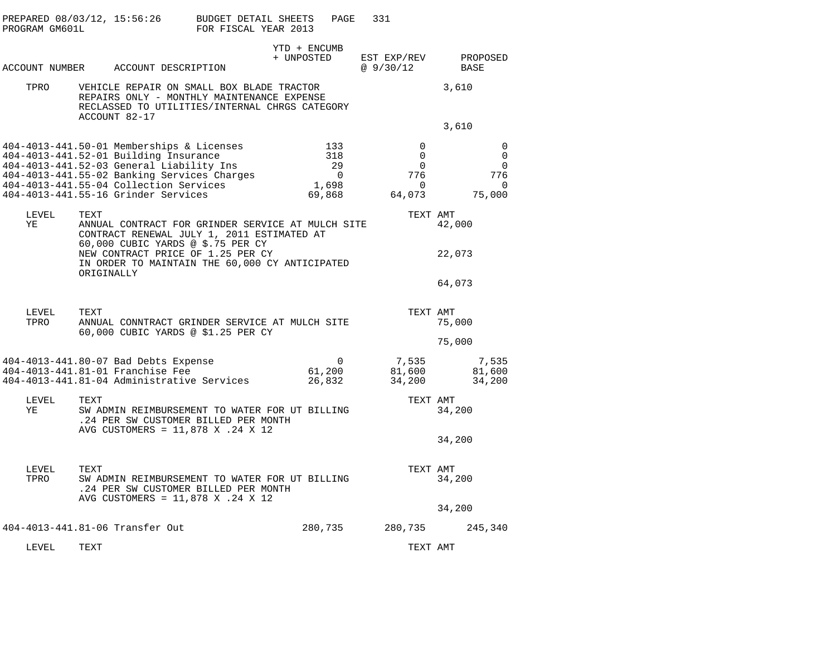| PROGRAM GM601L | PREPARED 08/03/12, 15:56:26                                                                                                                                                                                                                                    | BUDGET DETAIL SHEETS<br>FOR FISCAL YEAR 2013 | PAGE                                            | 331                                                                           |                                                       |
|----------------|----------------------------------------------------------------------------------------------------------------------------------------------------------------------------------------------------------------------------------------------------------------|----------------------------------------------|-------------------------------------------------|-------------------------------------------------------------------------------|-------------------------------------------------------|
|                | ACCOUNT NUMBER ACCOUNT DESCRIPTION                                                                                                                                                                                                                             |                                              | YTD + ENCUMB<br>+ UNPOSTED                      | EST EXP/REV<br>@ 9/30/12                                                      | PROPOSED<br>BASE                                      |
| TPRO           | VEHICLE REPAIR ON SMALL BOX BLADE TRACTOR<br>REPAIRS ONLY - MONTHLY MAINTENANCE EXPENSE<br>RECLASSED TO UTILITIES/INTERNAL CHRGS CATEGORY<br>ACCOUNT 82-17                                                                                                     |                                              |                                                 |                                                                               | 3,610                                                 |
|                |                                                                                                                                                                                                                                                                |                                              |                                                 |                                                                               | 3,610                                                 |
|                | 404-4013-441.50-01 Memberships & Licenses<br>404-4013-441.52-01 Building Insurance<br>404-4013-441.52-03 General Liability Ins<br>404-4013-441.55-02 Banking Services Charges<br>404-4013-441.55-04 Collection Services<br>404-4013-441.55-16 Grinder Services |                                              | 133<br>318<br>29<br>$\Omega$<br>1,698<br>69,868 | $\Omega$<br>$\overline{0}$<br>$\mathbf{0}$<br>776<br>$\overline{0}$<br>64,073 | $\mathbf 0$<br>0<br>0<br>776<br>$\mathbf 0$<br>75,000 |
| LEVEL<br>ΥE    | TEXT<br>ANNUAL CONTRACT FOR GRINDER SERVICE AT MULCH SITE<br>CONTRACT RENEWAL JULY 1, 2011 ESTIMATED AT<br>60,000 CUBIC YARDS @ \$.75 PER CY                                                                                                                   |                                              |                                                 | TEXT AMT                                                                      | 42,000                                                |
|                | NEW CONTRACT PRICE OF 1.25 PER CY<br>IN ORDER TO MAINTAIN THE 60,000 CY ANTICIPATED<br>ORIGINALLY                                                                                                                                                              |                                              |                                                 |                                                                               | 22,073                                                |
|                |                                                                                                                                                                                                                                                                |                                              |                                                 |                                                                               | 64,073                                                |
| LEVEL<br>TPRO  | TEXT<br>ANNUAL CONNTRACT GRINDER SERVICE AT MULCH SITE<br>60,000 CUBIC YARDS @ \$1.25 PER CY                                                                                                                                                                   |                                              |                                                 | TEXT AMT                                                                      | 75,000                                                |
|                |                                                                                                                                                                                                                                                                |                                              |                                                 |                                                                               | 75,000                                                |
|                | 404-4013-441.80-07 Bad Debts Expense<br>404-4013-441.81-01 Franchise Fee<br>404-4013-441.81-04 Administrative Services                                                                                                                                         |                                              | 0<br>61,200<br>26,832                           | 7,535<br>81,600<br>34,200                                                     | 7,535<br>81,600<br>34,200                             |
| LEVEL<br>ΥE    | TEXT<br>SW ADMIN REIMBURSEMENT TO WATER FOR UT BILLING<br>.24 PER SW CUSTOMER BILLED PER MONTH                                                                                                                                                                 |                                              |                                                 | TEXT AMT                                                                      | 34,200                                                |
|                | AVG CUSTOMERS = 11,878 X .24 X 12                                                                                                                                                                                                                              |                                              |                                                 |                                                                               | 34,200                                                |
| LEVEL<br>TPRO  | TEXT<br>SW ADMIN REIMBURSEMENT TO WATER FOR UT BILLING<br>.24 PER SW CUSTOMER BILLED PER MONTH<br>AVG CUSTOMERS = 11,878 X .24 X 12                                                                                                                            |                                              |                                                 | TEXT AMT                                                                      | 34,200                                                |
|                |                                                                                                                                                                                                                                                                |                                              |                                                 |                                                                               | 34,200                                                |
|                | 404-4013-441.81-06 Transfer Out                                                                                                                                                                                                                                |                                              | 280,735                                         | 280,735                                                                       | 245,340                                               |

LEVEL TEXT TEXT AMT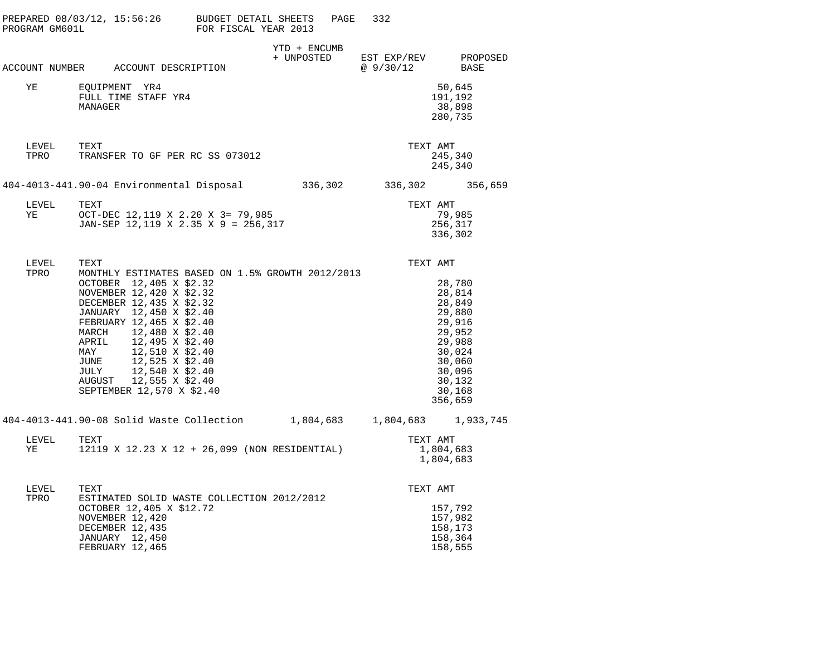| PROGRAM GM601L | PREPARED $08/03/12$ , $15:56:26$ BUDGET DETAIL SHEETS                                                                                                                                                                                                                                                                                                                                          | FOR FISCAL YEAR 2013 |                            | 332<br>PAGE     |                                                                                                                                 |
|----------------|------------------------------------------------------------------------------------------------------------------------------------------------------------------------------------------------------------------------------------------------------------------------------------------------------------------------------------------------------------------------------------------------|----------------------|----------------------------|-----------------|---------------------------------------------------------------------------------------------------------------------------------|
| ACCOUNT NUMBER | ACCOUNT DESCRIPTION                                                                                                                                                                                                                                                                                                                                                                            |                      | YTD + ENCUMB<br>+ UNPOSTED | @ 9/30/12       | EST EXP/REV PROPOSED<br>BASE                                                                                                    |
| ΥE             | EQUIPMENT YR4<br>FULL TIME STAFF YR4<br>MANAGER                                                                                                                                                                                                                                                                                                                                                |                      |                            |                 | 50,645<br>191,192<br>38,898<br>280,735                                                                                          |
| LEVEL<br>TPRO  | TEXT<br>TRANSFER TO GF PER RC SS 073012                                                                                                                                                                                                                                                                                                                                                        |                      |                            | TEXT AMT        | 245,340<br>245,340                                                                                                              |
|                | 404-4013-441.90-04 Environmental Disposal 336,302                                                                                                                                                                                                                                                                                                                                              |                      |                            | 336,302 356,659 |                                                                                                                                 |
| LEVEL<br>ΥE    | TEXT<br>OCT-DEC 12,119 X 2.20 X 3= 79,985<br>JAN-SEP 12, 119 X 2.35 X 9 = 256, 317                                                                                                                                                                                                                                                                                                             |                      |                            | TEXT AMT        | 79,985<br>256,317<br>336,302                                                                                                    |
| LEVEL<br>TPRO  | TEXT<br>MONTHLY ESTIMATES BASED ON 1.5% GROWTH 2012/2013<br>OCTOBER 12,405 X \$2.32<br>NOVEMBER 12,420 X \$2.32<br>DECEMBER 12,435 X \$2.32<br>JANUARY 12,450 X \$2.40<br>FEBRUARY 12,465 X \$2.40<br>MARCH 12,480 X \$2.40<br>12,495 X \$2.40<br>APRIL<br>MAY<br>12,510 X \$2.40<br>12,525 X \$2.40<br>JUNE<br>JULY<br>12,540 X \$2.40<br>AUGUST 12,555 X \$2.40<br>SEPTEMBER 12,570 X \$2.40 |                      |                            | TEXT AMT        | 28,780<br>28,814<br>28,849<br>29,880<br>29,916<br>29,952<br>29,988<br>30,024<br>30,060<br>30,096<br>30,132<br>30,168<br>356,659 |
|                | 404-4013-441.90-08 Solid Waste Collection 1,804,683 1,804,683 1,933,745                                                                                                                                                                                                                                                                                                                        |                      |                            |                 |                                                                                                                                 |
| LEVEL<br>YE    | TEXT<br>12119 X 12.23 X 12 + 26,099 (NON RESIDENTIAL)                                                                                                                                                                                                                                                                                                                                          |                      |                            | TEXT AMT        | 1,804,683<br>1,804,683                                                                                                          |
| LEVEL<br>TPRO  | TEXT<br>ESTIMATED SOLID WASTE COLLECTION 2012/2012<br>OCTOBER 12,405 X \$12.72<br>NOVEMBER 12,420<br>DECEMBER 12,435<br><b>JANUARY</b> 12,450<br>FEBRUARY 12,465                                                                                                                                                                                                                               |                      |                            | TEXT AMT        | 157,792<br>157,982<br>158,173<br>158,364<br>158,555                                                                             |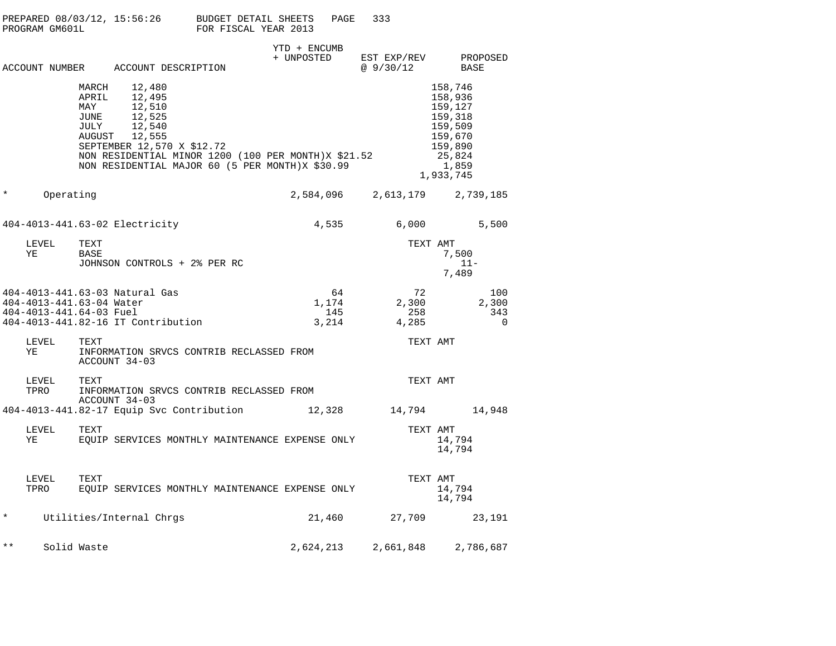| PREPARED 08/03/12. 15:56:26 | BUDGET DETAIL SHEETS | PAGE | 333 |
|-----------------------------|----------------------|------|-----|
| PROGRAM GM601L              | FOR FISCAL YEAR 2013 |      |     |

|               |                                                                                                                                                                                                                                                     | YTD + ENCUMB                |                               |                                                                                                           |
|---------------|-----------------------------------------------------------------------------------------------------------------------------------------------------------------------------------------------------------------------------------------------------|-----------------------------|-------------------------------|-----------------------------------------------------------------------------------------------------------|
|               | ACCOUNT NUMBER ACCOUNT DESCRIPTION                                                                                                                                                                                                                  | + UNPOSTED                  | EST EXP/REV<br>@ 9/30/12      | PROPOSED<br>BASE                                                                                          |
|               | 12,480<br>MARCH<br>APRIL<br>12,495<br>12,510<br>MAY<br>12,525<br>JUNE<br>12,540<br>JULY<br>12,555<br>AUGUST<br>SEPTEMBER 12,570 X \$12.72<br>NON RESIDENTIAL MINOR 1200 (100 PER MONTH)X \$21.52<br>NON RESIDENTIAL MAJOR 60 (5 PER MONTH)X \$30.99 |                             |                               | 158,746<br>158,936<br>159,127<br>159,318<br>159,509<br>159,670<br>159,890<br>25,824<br>1,859<br>1,933,745 |
| $\star$       | Operating                                                                                                                                                                                                                                           |                             | 2,584,096 2,613,179 2,739,185 |                                                                                                           |
|               | 404-4013-441.63-02 Electricity                                                                                                                                                                                                                      | 4,535                       | 6,000                         | 5,500                                                                                                     |
| LEVEL<br>ΥE   | TEXT<br>BASE<br>JOHNSON CONTROLS + 2% PER RC                                                                                                                                                                                                        |                             | TEXT AMT                      | 7,500<br>$11 -$<br>7,489                                                                                  |
|               | 404-4013-441.63-03 Natural Gas<br>404-4013-441.63-04 Water<br>404-4013-441.64-03 Fuel<br>404-4013-441.82-16 IT Contribution                                                                                                                         | 64<br>1,174<br>145<br>3,214 | 72<br>2,300<br>258<br>4,285   | 100<br>2,300<br>343<br>$\overline{0}$                                                                     |
| LEVEL<br>ΥE   | TEXT<br>INFORMATION SRVCS CONTRIB RECLASSED FROM<br>ACCOUNT 34-03                                                                                                                                                                                   |                             | TEXT AMT                      |                                                                                                           |
| LEVEL<br>TPRO | TEXT<br>INFORMATION SRVCS CONTRIB RECLASSED FROM<br>ACCOUNT 34-03                                                                                                                                                                                   |                             | TEXT AMT                      |                                                                                                           |
|               | 404-4013-441.82-17 Equip Svc Contribution                                                                                                                                                                                                           | 12,328                      | 14,794                        | 14,948                                                                                                    |
| LEVEL<br>ΥE   | TEXT<br>EQUIP SERVICES MONTHLY MAINTENANCE EXPENSE ONLY                                                                                                                                                                                             |                             | TEXT AMT                      | 14,794<br>14,794                                                                                          |
| LEVEL<br>TPRO | TEXT<br>EQUIP SERVICES MONTHLY MAINTENANCE EXPENSE ONLY                                                                                                                                                                                             |                             | TEXT AMT                      | 14,794<br>14,794                                                                                          |
| $\star$       | Utilities/Internal Chrgs                                                                                                                                                                                                                            | 21,460                      | 27,709                        | 23,191                                                                                                    |
| $\star\star$  | Solid Waste                                                                                                                                                                                                                                         | 2,624,213                   | 2,661,848                     | 2,786,687                                                                                                 |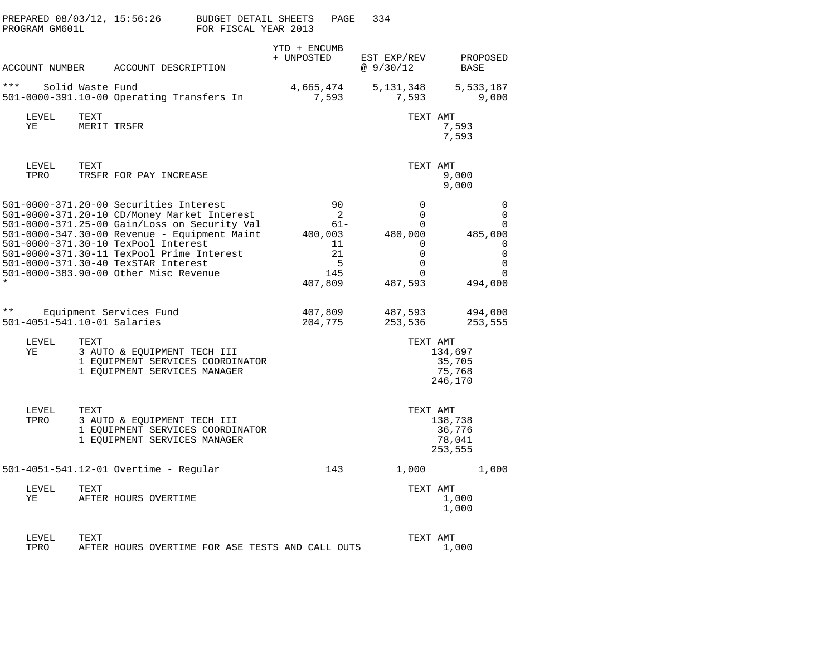| PREPARED 08/03/12, 15:56:26<br>PROGRAM GM601L |                                                                                                                                                                                                                                                                                                                                                           | BUDGET DETAIL SHEETS<br>PAGE<br>FOR FISCAL YEAR 2013         | 334                                                                                                               |                                                                                               |
|-----------------------------------------------|-----------------------------------------------------------------------------------------------------------------------------------------------------------------------------------------------------------------------------------------------------------------------------------------------------------------------------------------------------------|--------------------------------------------------------------|-------------------------------------------------------------------------------------------------------------------|-----------------------------------------------------------------------------------------------|
|                                               | ACCOUNT NUMBER ACCOUNT DESCRIPTION                                                                                                                                                                                                                                                                                                                        | YTD + ENCUMB<br>+ UNPOSTED                                   | EST EXP/REV<br>@ 9/30/12                                                                                          | PROPOSED<br>BASE                                                                              |
| * * *<br>Solid Waste Fund                     | 501-0000-391.10-00 Operating Transfers In                                                                                                                                                                                                                                                                                                                 | 4,665,474<br>7,593                                           | 5,131,348<br>7,593                                                                                                | 5,533,187<br>9,000                                                                            |
| LEVEL<br>TEXT<br>ΥE                           | MERIT TRSFR                                                                                                                                                                                                                                                                                                                                               |                                                              | TEXT AMT                                                                                                          | 7,593<br>7,593                                                                                |
| LEVEL<br>TEXT<br>TPRO                         | TRSFR FOR PAY INCREASE                                                                                                                                                                                                                                                                                                                                    |                                                              | TEXT AMT                                                                                                          | 9,000<br>9,000                                                                                |
|                                               | 501-0000-371.20-00 Securities Interest<br>501-0000-371.20-10 CD/Money Market Interest<br>501-0000-371.25-00 Gain/Loss on Security Val<br>501-0000-347.30-00 Revenue - Equipment Maint<br>501-0000-371.30-10 TexPool Interest<br>501-0000-371.30-11 TexPool Prime Interest<br>501-0000-371.30-40 TexSTAR Interest<br>501-0000-383.90-00 Other Misc Revenue | 90<br>2<br>61-<br>400,003<br>11<br>21<br>5<br>145<br>407,809 | $\mathbf 0$<br>$\mathbf 0$<br>$\mathbf 0$<br>480,000<br>$\mathbf 0$<br>$\mathbf 0$<br>0<br>$\mathbf 0$<br>487,593 | $\mathbf 0$<br>$\mathbf 0$<br>$\mathbf 0$<br>485,000<br>0<br>$\mathbf 0$<br>0<br>0<br>494,000 |
| $\star \star$<br>501-4051-541.10-01 Salaries  | Equipment Services Fund                                                                                                                                                                                                                                                                                                                                   | 407,809<br>204,775                                           | 487,593<br>253,536                                                                                                | 494,000<br>253,555                                                                            |
| LEVEL<br>TEXT<br>ΥE                           | 3 AUTO & EQUIPMENT TECH III<br>1 EQUIPMENT SERVICES COORDINATOR<br>1 EQUIPMENT SERVICES MANAGER                                                                                                                                                                                                                                                           |                                                              | TEXT AMT                                                                                                          | 134,697<br>35,705<br>75,768<br>246,170                                                        |
| LEVEL<br>TEXT<br>TPRO                         | 3 AUTO & EQUIPMENT TECH III<br>1 EQUIPMENT SERVICES COORDINATOR<br>1 EQUIPMENT SERVICES MANAGER                                                                                                                                                                                                                                                           |                                                              | TEXT AMT                                                                                                          | 138,738<br>36,776<br>78,041<br>253,555                                                        |
|                                               | 501-4051-541.12-01 Overtime - Regular                                                                                                                                                                                                                                                                                                                     | 143                                                          | 1,000                                                                                                             | 1,000                                                                                         |
| LEVEL<br>TEXT<br>ΥE                           | AFTER HOURS OVERTIME                                                                                                                                                                                                                                                                                                                                      |                                                              | TEXT AMT                                                                                                          | 1,000<br>1,000                                                                                |
| LEVEL<br>TEXT<br>TPRO                         | AFTER HOURS OVERTIME FOR ASE TESTS AND CALL OUTS                                                                                                                                                                                                                                                                                                          |                                                              | TEXT AMT                                                                                                          | 1,000                                                                                         |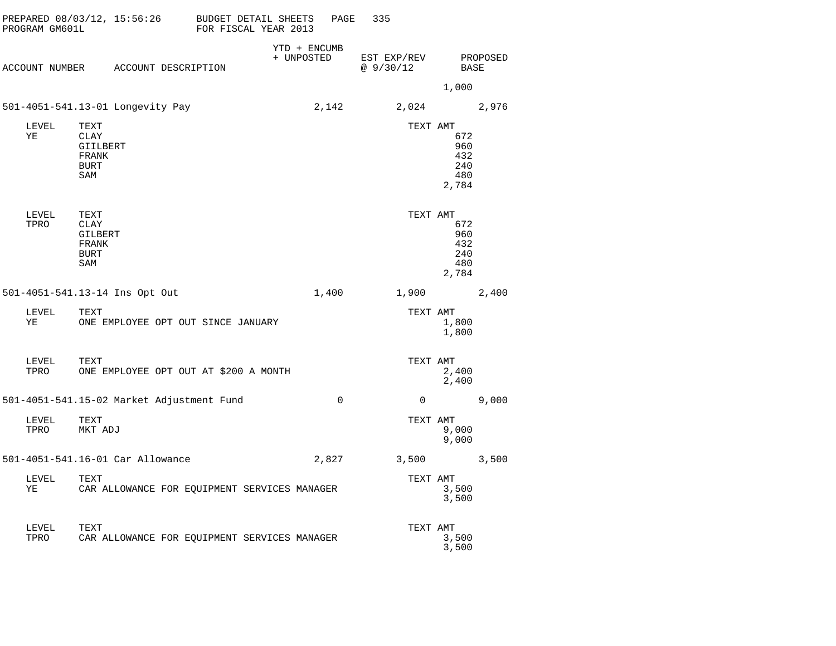| PROGRAM GM601L | PREPARED 08/03/12, 15:56:26                                    | BUDGET DETAIL SHEETS<br>FOR FISCAL YEAR 2013 | PAGE         | 335                     |                                          |          |
|----------------|----------------------------------------------------------------|----------------------------------------------|--------------|-------------------------|------------------------------------------|----------|
|                | ACCOUNT NUMBER ACCOUNT DESCRIPTION                             | + UNPOSTED                                   | YTD + ENCUMB | EST EXP/REV<br>@9/30/12 | <b>BASE</b>                              | PROPOSED |
|                |                                                                |                                              |              |                         | 1,000                                    |          |
|                | 501-4051-541.13-01 Longevity Pay                               |                                              | 2,142        | 2,024                   |                                          | 2,976    |
| LEVEL<br>ΥE    | TEXT<br><b>CLAY</b><br>GIILBERT<br>FRANK<br><b>BURT</b><br>SAM |                                              |              | TEXT AMT                | 672<br>960<br>432<br>240<br>480<br>2,784 |          |
| LEVEL<br>TPRO  | TEXT<br>CLAY<br>GILBERT<br>FRANK<br>BURT<br>SAM                |                                              |              | TEXT AMT                | 672<br>960<br>432<br>240<br>480<br>2,784 |          |
|                | 501-4051-541.13-14 Ins Opt Out                                 |                                              | 1,400        | 1,900                   |                                          | 2,400    |
| LEVEL<br>YE    | TEXT<br>ONE EMPLOYEE OPT OUT SINCE JANUARY                     |                                              |              | TEXT AMT                | 1,800<br>1,800                           |          |
| LEVEL<br>TPRO  | TEXT<br>ONE EMPLOYEE OPT OUT AT \$200 A MONTH                  |                                              |              | TEXT AMT                | 2,400<br>2,400                           |          |
|                | 501-4051-541.15-02 Market Adjustment Fund                      |                                              | $\Omega$     | 0                       |                                          | 9,000    |
| LEVEL<br>TPRO  | TEXT<br>MKT ADJ                                                |                                              |              | TEXT AMT                | 9,000<br>9,000                           |          |
|                | 501-4051-541.16-01 Car Allowance                               |                                              | 2,827        | 3,500                   |                                          | 3,500    |
| LEVEL<br>ΥE    | TEXT<br>CAR ALLOWANCE FOR EQUIPMENT SERVICES MANAGER           |                                              |              | TEXT AMT                | 3,500<br>3,500                           |          |
| LEVEL<br>TPRO  | TEXT<br>CAR ALLOWANCE FOR EQUIPMENT SERVICES MANAGER           |                                              |              | TEXT AMT                | 3,500                                    |          |

3,500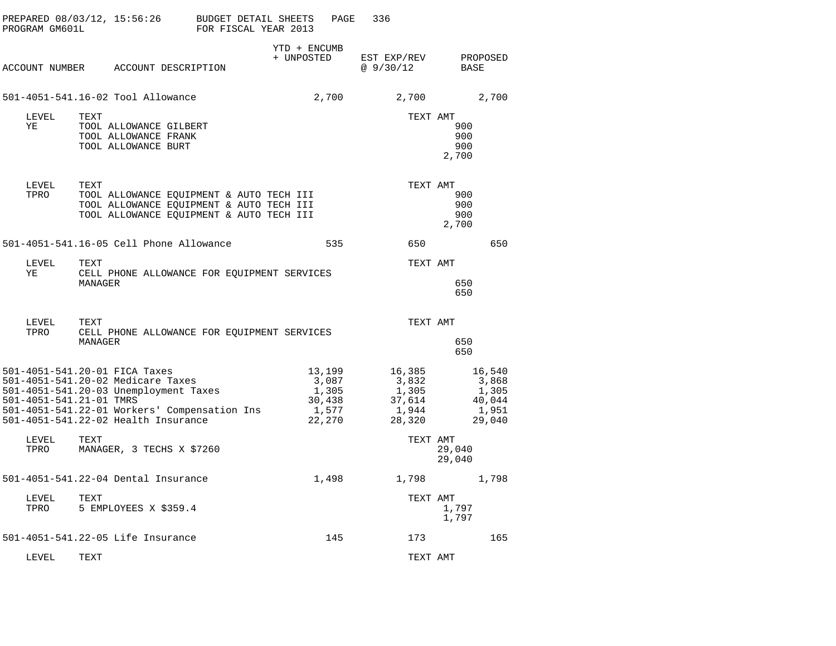| PROGRAM GM601L          | PREPARED 08/03/12, 15:56:26                                                                                                                                                                        | BUDGET DETAIL SHEETS<br>FOR FISCAL YEAR 2013 | PAGE                                                  | 336                                                   |                                                       |
|-------------------------|----------------------------------------------------------------------------------------------------------------------------------------------------------------------------------------------------|----------------------------------------------|-------------------------------------------------------|-------------------------------------------------------|-------------------------------------------------------|
| ACCOUNT NUMBER          | ACCOUNT DESCRIPTION                                                                                                                                                                                | YTD + ENCUMB<br>+ UNPOSTED                   |                                                       | EST EXP/REV<br>@9/30/12                               | PROPOSED<br><b>BASE</b>                               |
|                         | 501-4051-541.16-02 Tool Allowance                                                                                                                                                                  |                                              | 2,700                                                 | 2,700                                                 | 2,700                                                 |
| LEVEL<br>ΥE             | TEXT<br>TOOL ALLOWANCE GILBERT<br>TOOL ALLOWANCE FRANK<br>TOOL ALLOWANCE BURT                                                                                                                      |                                              |                                                       | TEXT AMT                                              | 900<br>900<br>900<br>2,700                            |
| LEVEL<br>TPRO           | TEXT<br>TOOL ALLOWANCE EQUIPMENT & AUTO TECH III<br>TOOL ALLOWANCE EQUIPMENT & AUTO TECH III<br>TOOL ALLOWANCE EQUIPMENT & AUTO TECH III                                                           |                                              |                                                       | TEXT AMT                                              | 900<br>900<br>900<br>2,700                            |
|                         | 501-4051-541.16-05 Cell Phone Allowance                                                                                                                                                            |                                              | 535                                                   | 650                                                   | 650                                                   |
| LEVEL<br>ΥE             | TEXT<br>CELL PHONE ALLOWANCE FOR EQUIPMENT SERVICES<br>MANAGER                                                                                                                                     |                                              |                                                       | TEXT AMT                                              | 650<br>650                                            |
| LEVEL<br>TPRO           | TEXT<br>CELL PHONE ALLOWANCE FOR EQUIPMENT SERVICES<br>MANAGER                                                                                                                                     |                                              |                                                       | TEXT AMT                                              | 650<br>650                                            |
| 501-4051-541.21-01 TMRS | 501-4051-541.20-01 FICA Taxes<br>501-4051-541.20-02 Medicare Taxes<br>501-4051-541.20-03 Unemployment Taxes<br>501-4051-541.22-01 Workers' Compensation Ins<br>501-4051-541.22-02 Health Insurance |                                              | 13,199<br>3,087<br>1,305<br>30,438<br>1,577<br>22,270 | 16,385<br>3,832<br>1,305<br>37,614<br>1,944<br>28,320 | 16,540<br>3,868<br>1,305<br>40,044<br>1,951<br>29,040 |
| LEVEL<br>TPRO           | TEXT<br>MANAGER, 3 TECHS X \$7260                                                                                                                                                                  |                                              |                                                       | TEXT AMT                                              | 29,040<br>29,040                                      |
|                         | 501-4051-541.22-04 Dental Insurance                                                                                                                                                                |                                              | 1,498                                                 | 1,798                                                 | 1,798                                                 |
| LEVEL<br>TPRO           | TEXT<br>5 EMPLOYEES X \$359.4                                                                                                                                                                      |                                              |                                                       | TEXT AMT                                              | 1,797<br>1,797                                        |
|                         | 501-4051-541.22-05 Life Insurance                                                                                                                                                                  |                                              | 145                                                   | 173                                                   | 165                                                   |
| LEVEL                   | TEXT                                                                                                                                                                                               |                                              |                                                       | TEXT AMT                                              |                                                       |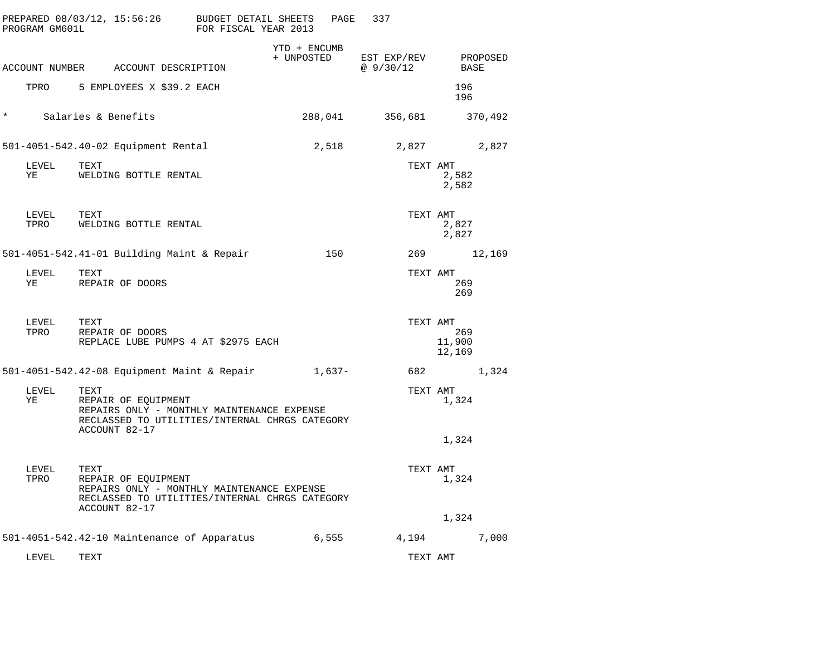|          | PROGRAM GM601L | PREPARED 08/03/12, 15:56:26                                                                                                                  | BUDGET DETAIL SHEETS<br>FOR FISCAL YEAR 2013 |                            | PAGE   | 337                      |                         |          |
|----------|----------------|----------------------------------------------------------------------------------------------------------------------------------------------|----------------------------------------------|----------------------------|--------|--------------------------|-------------------------|----------|
|          |                | ACCOUNT NUMBER ACCOUNT DESCRIPTION                                                                                                           |                                              | YTD + ENCUMB<br>+ UNPOSTED |        | EST EXP/REV<br>@ 9/30/12 | BASE                    | PROPOSED |
|          | TPRO           | 5 EMPLOYEES X \$39.2 EACH                                                                                                                    |                                              |                            |        |                          | 196<br>196              |          |
| $^\star$ |                | Salaries & Benefits                                                                                                                          |                                              | 288,041                    |        | 356,681                  |                         | 370,492  |
|          |                | 501-4051-542.40-02 Equipment Rental                                                                                                          |                                              | 2,518                      |        | 2,827                    |                         | 2,827    |
|          | LEVEL<br>ΥE    | TEXT<br>WELDING BOTTLE RENTAL                                                                                                                |                                              |                            |        | TEXT AMT                 | 2,582<br>2,582          |          |
|          | LEVEL<br>TPRO  | TEXT<br>WELDING BOTTLE RENTAL                                                                                                                |                                              |                            |        | TEXT AMT                 | 2,827<br>2,827          |          |
|          |                | 501-4051-542.41-01 Building Maint & Repair                                                                                                   |                                              |                            | 150    | 269                      |                         | 12,169   |
|          | LEVEL<br>YE    | TEXT<br>REPAIR OF DOORS                                                                                                                      |                                              |                            |        | TEXT AMT                 | 269<br>269              |          |
|          | LEVEL<br>TPRO  | TEXT<br>REPAIR OF DOORS<br>REPLACE LUBE PUMPS 4 AT \$2975 EACH                                                                               |                                              |                            |        | TEXT AMT                 | 269<br>11,900<br>12,169 |          |
|          |                | 501-4051-542.42-08 Equipment Maint & Repair                                                                                                  |                                              |                            | 1,637- | 682                      |                         | 1,324    |
|          | LEVEL<br>YE    | TEXT<br>REPAIR OF EQUIPMENT<br>REPAIRS ONLY - MONTHLY MAINTENANCE EXPENSE<br>RECLASSED TO UTILITIES/INTERNAL CHRGS CATEGORY<br>ACCOUNT 82-17 |                                              |                            |        | TEXT AMT                 | 1,324                   |          |
|          |                |                                                                                                                                              |                                              |                            |        |                          | 1,324                   |          |
|          | LEVEL<br>TPRO  | TEXT<br>REPAIR OF EQUIPMENT<br>REPAIRS ONLY - MONTHLY MAINTENANCE EXPENSE<br>RECLASSED TO UTILITIES/INTERNAL CHRGS CATEGORY<br>ACCOUNT 82-17 |                                              |                            |        | TEXT AMT                 | 1,324                   |          |
|          |                |                                                                                                                                              |                                              |                            |        |                          | 1,324                   |          |
|          |                | 501-4051-542.42-10 Maintenance of Apparatus                                                                                                  |                                              | 6,555                      |        | 4,194                    |                         | 7,000    |
|          | LEVEL          | TEXT                                                                                                                                         |                                              |                            |        | TEXT AMT                 |                         |          |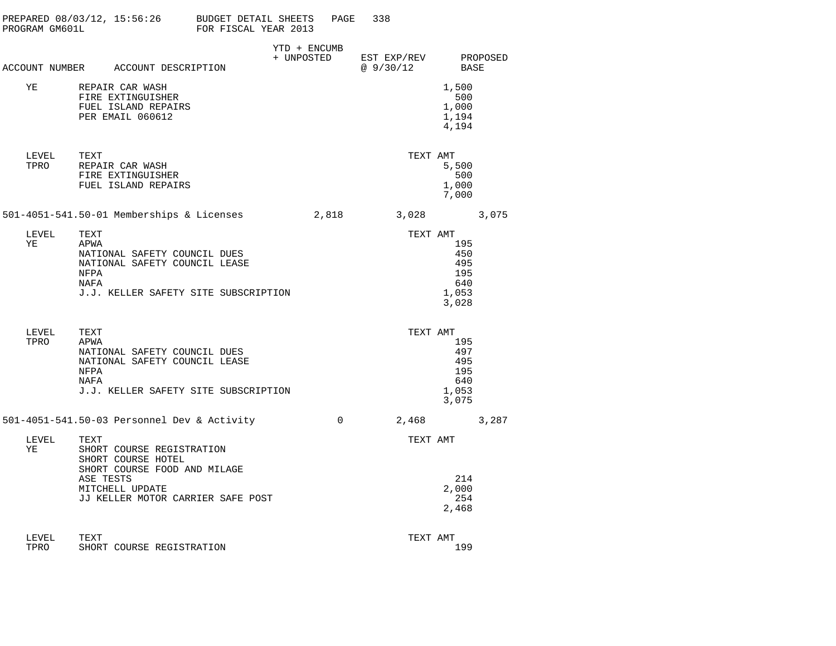| PROGRAM GM601L |                              | PREPARED $08/03/12$ , $15:56:26$ BUDGET DETAIL SHEETS                                                                                   | FOR FISCAL YEAR 2013 |                            | PAGE     | 338                               |                                                   |       |
|----------------|------------------------------|-----------------------------------------------------------------------------------------------------------------------------------------|----------------------|----------------------------|----------|-----------------------------------|---------------------------------------------------|-------|
|                |                              | ACCOUNT NUMBER ACCOUNT DESCRIPTION                                                                                                      |                      | YTD + ENCUMB<br>+ UNPOSTED |          | EST EXP/REV PROPOSED<br>@ 9/30/12 | BASE                                              |       |
| YE             |                              | REPAIR CAR WASH<br>FIRE EXTINGUISHER<br>FUEL ISLAND REPAIRS<br>PER EMAIL 060612                                                         |                      |                            |          |                                   | 1,500<br>500<br>1,000<br>1,194<br>4,194           |       |
| LEVEL<br>TPRO  | TEXT                         | REPAIR CAR WASH<br>FIRE EXTINGUISHER<br>FUEL ISLAND REPAIRS                                                                             |                      |                            |          |                                   | TEXT AMT<br>5,500<br>500<br>1,000<br>7,000        |       |
|                |                              | 501-4051-541.50-01 Memberships & Licenses                                                                                               |                      |                            | 2,818    |                                   | 3,028                                             | 3,075 |
| LEVEL<br>ΥE    | TEXT<br>APWA<br>NFPA<br>NAFA | NATIONAL SAFETY COUNCIL DUES<br>NATIONAL SAFETY COUNCIL LEASE<br>J.J. KELLER SAFETY SITE SUBSCRIPTION                                   |                      |                            |          | TEXT AMT                          | 195<br>450<br>495<br>195<br>640<br>1,053<br>3,028 |       |
| LEVEL<br>TPRO  | TEXT<br>APWA<br>NFPA<br>NAFA | NATIONAL SAFETY COUNCIL DUES<br>NATIONAL SAFETY COUNCIL LEASE<br>J.J. KELLER SAFETY SITE SUBSCRIPTION                                   |                      |                            |          | TEXT AMT                          | 195<br>497<br>495<br>195<br>640<br>1,053<br>3,075 |       |
|                |                              | 501-4051-541.50-03 Personnel Dev & Activity                                                                                             |                      |                            | $\Omega$ | 2,468                             |                                                   | 3,287 |
| LEVEL<br>ΥE    | TEXT<br>ASE TESTS            | SHORT COURSE REGISTRATION<br>SHORT COURSE HOTEL<br>SHORT COURSE FOOD AND MILAGE<br>MITCHELL UPDATE<br>JJ KELLER MOTOR CARRIER SAFE POST |                      |                            |          | TEXT AMT                          | 214<br>2,000<br>254<br>2,468                      |       |
| LEVEL<br>TPRO  | TEXT                         | SHORT COURSE REGISTRATION                                                                                                               |                      |                            |          | TEXT AMT                          | 199                                               |       |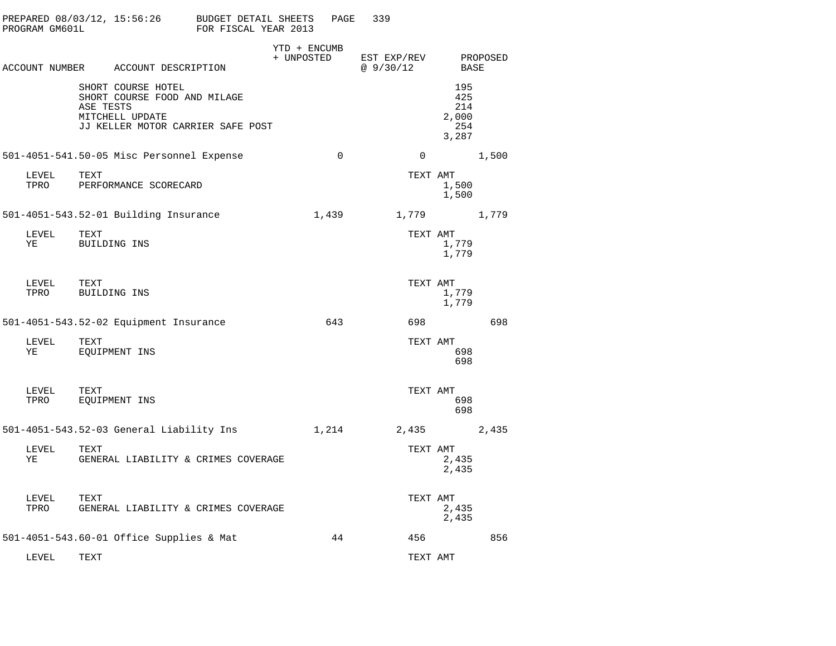| PROGRAM GM601L |           | PREPARED 08/03/12, 15:56:26                                                                                | <b>BUDGET DETAIL SHEETS</b><br>FOR FISCAL YEAR 2013 |                            | PAGE        | 339                      |                                            |          |
|----------------|-----------|------------------------------------------------------------------------------------------------------------|-----------------------------------------------------|----------------------------|-------------|--------------------------|--------------------------------------------|----------|
|                |           | ACCOUNT NUMBER ACCOUNT DESCRIPTION                                                                         |                                                     | YTD + ENCUMB<br>+ UNPOSTED |             | EST EXP/REV<br>@ 9/30/12 | BASE                                       | PROPOSED |
|                | ASE TESTS | SHORT COURSE HOTEL<br>SHORT COURSE FOOD AND MILAGE<br>MITCHELL UPDATE<br>JJ KELLER MOTOR CARRIER SAFE POST |                                                     |                            |             |                          | 195<br>425<br>214<br>2,000<br>254<br>3,287 |          |
|                |           | 501-4051-541.50-05 Misc Personnel Expense                                                                  |                                                     |                            | $\mathbf 0$ | $\mathbf 0$              |                                            | 1,500    |
| LEVEL<br>TPRO  | TEXT      | PERFORMANCE SCORECARD                                                                                      |                                                     |                            |             | TEXT AMT                 | 1,500<br>1,500                             |          |
|                |           | 501-4051-543.52-01 Building Insurance                                                                      |                                                     |                            | 1,439       | 1,779                    |                                            | 1,779    |
| LEVEL<br>ΥE    | TEXT      | BUILDING INS                                                                                               |                                                     |                            |             | TEXT AMT                 | 1,779<br>1,779                             |          |
| LEVEL<br>TPRO  | TEXT      | BUILDING INS                                                                                               |                                                     |                            |             | TEXT AMT                 | 1,779<br>1,779                             |          |
|                |           | 501-4051-543.52-02 Equipment Insurance                                                                     |                                                     |                            | 643         | 698                      |                                            | 698      |
| LEVEL<br>ΥE    | TEXT      | EQUIPMENT INS                                                                                              |                                                     |                            |             | TEXT AMT                 | 698<br>698                                 |          |
| LEVEL<br>TPRO  | TEXT      | EQUIPMENT INS                                                                                              |                                                     |                            |             | TEXT AMT                 | 698<br>698                                 |          |
|                |           | 501-4051-543.52-03 General Liability Ins                                                                   |                                                     |                            | 1,214       | 2,435                    |                                            | 2,435    |
| LEVEL<br>ΥE    | TEXT      | GENERAL LIABILITY & CRIMES COVERAGE                                                                        |                                                     |                            |             | TEXT AMT                 | 2,435<br>2,435                             |          |
| LEVEL<br>TPRO  | TEXT      | GENERAL LIABILITY & CRIMES COVERAGE                                                                        |                                                     |                            |             | TEXT AMT                 | 2,435<br>2,435                             |          |
|                |           | 501-4051-543.60-01 Office Supplies & Mat                                                                   |                                                     |                            | 44          | 456                      |                                            | 856      |
| LEVEL          | TEXT      |                                                                                                            |                                                     |                            |             | TEXT AMT                 |                                            |          |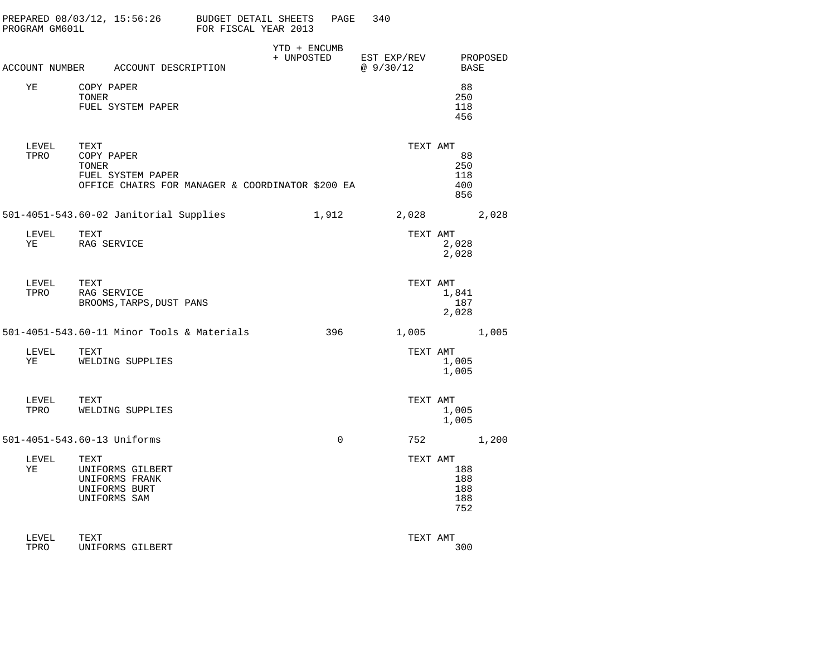| PROGRAM GM601L   | PREPARED 08/03/12, 15:56:26 BUDGET DETAIL SHEETS                                                     | FOR FISCAL YEAR 2013 | PAGE                       | 340                      |                                 |          |
|------------------|------------------------------------------------------------------------------------------------------|----------------------|----------------------------|--------------------------|---------------------------------|----------|
|                  | ACCOUNT NUMBER ACCOUNT DESCRIPTION                                                                   |                      | YTD + ENCUMB<br>+ UNPOSTED | EST EXP/REV<br>@ 9/30/12 | BASE                            | PROPOSED |
| ΥE               | COPY PAPER<br>TONER<br>FUEL SYSTEM PAPER                                                             |                      |                            |                          | 88<br>250<br>118<br>456         |          |
| LEVEL<br>TPRO    | TEXT<br>COPY PAPER<br>TONER<br>FUEL SYSTEM PAPER<br>OFFICE CHAIRS FOR MANAGER & COORDINATOR \$200 EA |                      |                            | TEXT AMT                 | 88<br>250<br>118<br>400<br>856  |          |
|                  | 501-4051-543.60-02 Janitorial Supplies                                                               |                      | 1,912                      | 2,028                    |                                 | 2,028    |
| LEVEL TEXT<br>YE | RAG SERVICE                                                                                          |                      |                            | TEXT AMT                 | 2,028<br>2,028                  |          |
| LEVEL<br>TPRO    | TEXT<br>RAG SERVICE<br>BROOMS, TARPS, DUST PANS                                                      |                      |                            | TEXT AMT                 | 1,841<br>187<br>2,028           |          |
|                  | 501-4051-543.60-11 Minor Tools & Materials                                                           |                      | 396                        | 1,005                    |                                 | 1,005    |
| LEVEL<br>ΥE      | TEXT<br>WELDING SUPPLIES                                                                             |                      |                            | TEXT AMT                 | 1,005<br>1,005                  |          |
| LEVEL<br>TPRO    | TEXT<br>WELDING SUPPLIES                                                                             |                      |                            | TEXT AMT                 | 1,005<br>1,005                  |          |
|                  | 501-4051-543.60-13 Uniforms                                                                          |                      | $\mathbf 0$                |                          | 752                             | 1,200    |
| LEVEL<br>ΥE      | TEXT<br>UNIFORMS GILBERT<br>UNIFORMS FRANK<br>UNIFORMS BURT<br>UNIFORMS SAM                          |                      |                            | TEXT AMT                 | 188<br>188<br>188<br>188<br>752 |          |
| LEVEL<br>TPRO    | TEXT<br>UNIFORMS GILBERT                                                                             |                      |                            | TEXT AMT                 | 300                             |          |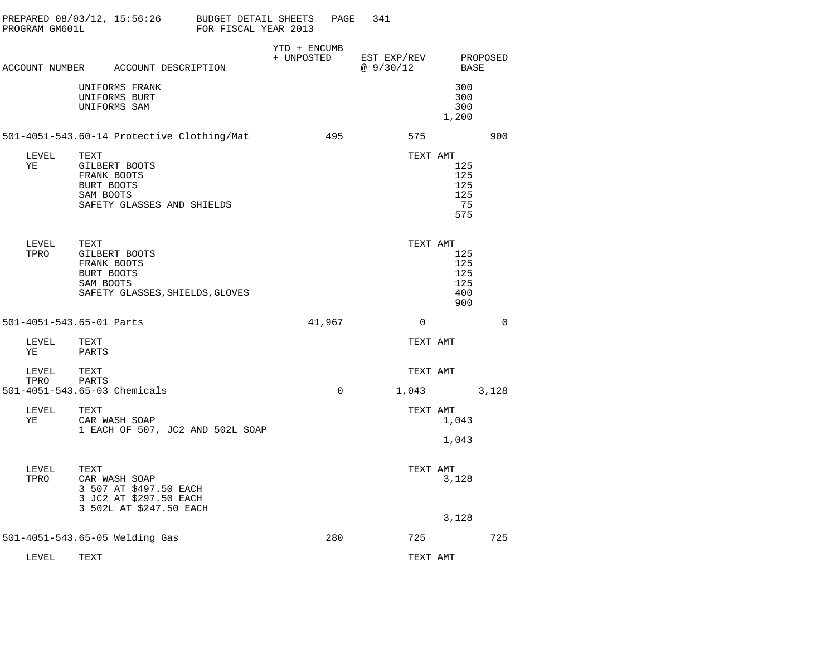| PREPARED 08/03/12, 15:56:26<br>PROGRAM GM601L |                                 |                                                                                              | BUDGET DETAIL SHEETS<br>FOR FISCAL YEAR 2013 |                            | PAGE     | 341                      |                                        |          |
|-----------------------------------------------|---------------------------------|----------------------------------------------------------------------------------------------|----------------------------------------------|----------------------------|----------|--------------------------|----------------------------------------|----------|
|                                               |                                 | ACCOUNT NUMBER ACCOUNT DESCRIPTION                                                           |                                              | YTD + ENCUMB<br>+ UNPOSTED |          | EST EXP/REV<br>@ 9/30/12 | BASE                                   | PROPOSED |
|                                               |                                 | UNIFORMS FRANK<br>UNIFORMS BURT<br>UNIFORMS SAM                                              |                                              |                            |          |                          | 300<br>300<br>300<br>1,200             |          |
|                                               |                                 | 501-4051-543.60-14 Protective Clothing/Mat                                                   |                                              |                            | 495      | 575                      |                                        | 900      |
| LEVEL<br>ΥE                                   | TEXT<br>BURT BOOTS<br>SAM BOOTS | GILBERT BOOTS<br>FRANK BOOTS<br>SAFETY GLASSES AND SHIELDS                                   |                                              |                            |          | TEXT AMT                 | 125<br>125<br>125<br>125<br>75<br>575  |          |
| LEVEL<br>TPRO                                 | TEXT<br>BURT BOOTS<br>SAM BOOTS | GILBERT BOOTS<br>FRANK BOOTS<br>SAFETY GLASSES, SHIELDS, GLOVES                              |                                              |                            |          | TEXT AMT                 | 125<br>125<br>125<br>125<br>400<br>900 |          |
| 501-4051-543.65-01 Parts                      |                                 |                                                                                              |                                              |                            | 41,967   | $\Omega$                 |                                        | $\Omega$ |
| LEVEL<br>ΥE                                   | TEXT<br>PARTS                   |                                                                                              |                                              |                            |          | TEXT AMT                 |                                        |          |
| LEVEL                                         | TEXT                            |                                                                                              |                                              |                            |          | TEXT AMT                 |                                        |          |
| TPRO<br>501-4051-543.65-03 Chemicals          | PARTS                           |                                                                                              |                                              |                            | $\Omega$ | 1,043                    |                                        | 3,128    |
| LEVEL<br>YE                                   | TEXT                            | CAR WASH SOAP                                                                                | 1 EACH OF 507, JC2 AND 502L SOAP             |                            |          | TEXT AMT                 | 1,043<br>1,043                         |          |
| LEVEL<br>TPRO                                 | TEXT                            | CAR WASH SOAP<br>3 507 AT \$497.50 EACH<br>3 JC2 AT \$297.50 EACH<br>3 502L AT \$247.50 EACH |                                              |                            |          | TEXT AMT                 | 3,128                                  |          |
|                                               |                                 |                                                                                              |                                              |                            |          |                          | 3,128                                  |          |
|                                               |                                 | 501-4051-543.65-05 Welding Gas                                                               |                                              |                            | 280      | 725                      |                                        | 725      |
| T.EVEL.                                       | <b>TEXT</b>                     |                                                                                              |                                              |                            |          | TEXT AMT                 |                                        |          |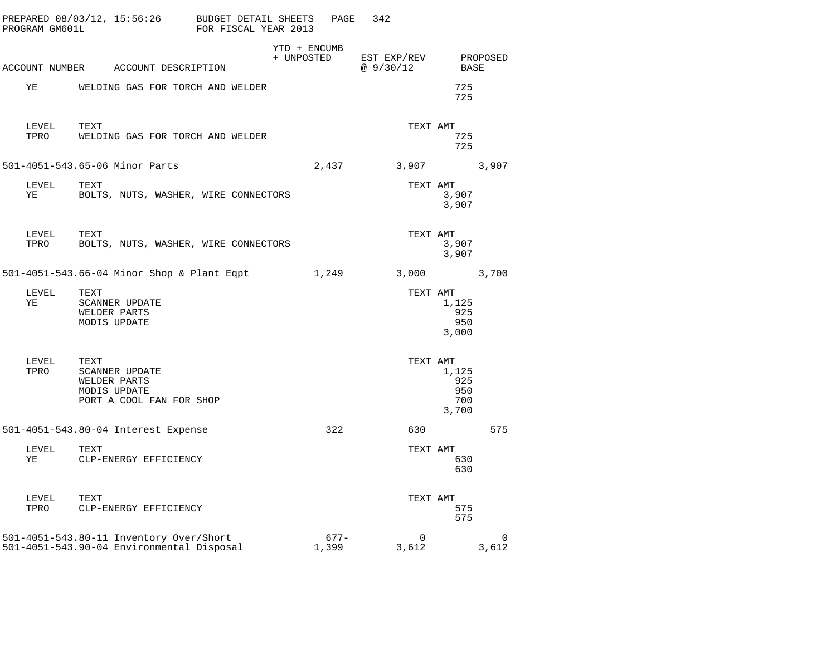| PROGRAM GM601L | PREPARED 08/03/12, 15:56:26 BUDGET DETAIL SHEETS                                          | FOR FISCAL YEAR 2013 |                            | PAGE             | 342                     |                                     |                      |
|----------------|-------------------------------------------------------------------------------------------|----------------------|----------------------------|------------------|-------------------------|-------------------------------------|----------------------|
|                | ACCOUNT NUMBER ACCOUNT DESCRIPTION                                                        |                      | YTD + ENCUMB<br>+ UNPOSTED |                  | EST EXP/REV<br>@9/30/12 | BASE                                | PROPOSED             |
| ΥE             | WELDING GAS FOR TORCH AND WELDER                                                          |                      |                            |                  |                         | 725<br>725                          |                      |
| LEVEL<br>TPRO  | TEXT<br>WELDING GAS FOR TORCH AND WELDER                                                  |                      |                            |                  | TEXT AMT                | 725<br>725                          |                      |
|                | 501-4051-543.65-06 Minor Parts                                                            |                      |                            | 2,437            | 3,907                   |                                     | 3,907                |
| LEVEL<br>ΥE    | TEXT<br>BOLTS, NUTS, WASHER, WIRE CONNECTORS                                              |                      |                            |                  | TEXT AMT                | 3,907<br>3,907                      |                      |
| LEVEL<br>TPRO  | TEXT<br>BOLTS, NUTS, WASHER, WIRE CONNECTORS                                              |                      |                            |                  | TEXT AMT                | 3,907<br>3,907                      |                      |
|                | 501-4051-543.66-04 Minor Shop & Plant Eqpt                                                |                      |                            | 1,249            | 3,000                   |                                     | 3,700                |
| LEVEL<br>YE    | TEXT<br><b>SCANNER UPDATE</b><br>WELDER PARTS<br>MODIS UPDATE                             |                      |                            |                  | TEXT AMT                | 1,125<br>925<br>950<br>3,000        |                      |
| LEVEL<br>TPRO  | TEXT<br><b>SCANNER UPDATE</b><br>WELDER PARTS<br>MODIS UPDATE<br>PORT A COOL FAN FOR SHOP |                      |                            |                  | TEXT AMT                | 1,125<br>925<br>950<br>700<br>3,700 |                      |
|                | 501-4051-543.80-04 Interest Expense                                                       |                      |                            | 322              | 630                     |                                     | 575                  |
| LEVEL<br>ΥE    | TEXT<br>CLP-ENERGY EFFICIENCY                                                             |                      |                            |                  | TEXT AMT                | 630<br>630                          |                      |
| LEVEL<br>TPRO  | TEXT<br>CLP-ENERGY EFFICIENCY                                                             |                      |                            |                  | TEXT AMT                | 575<br>575                          |                      |
|                | 501-4051-543.80-11 Inventory Over/Short<br>501-4051-543.90-04 Environmental Disposal      |                      |                            | $677 -$<br>1,399 | $\Omega$<br>3,612       |                                     | $\mathbf 0$<br>3,612 |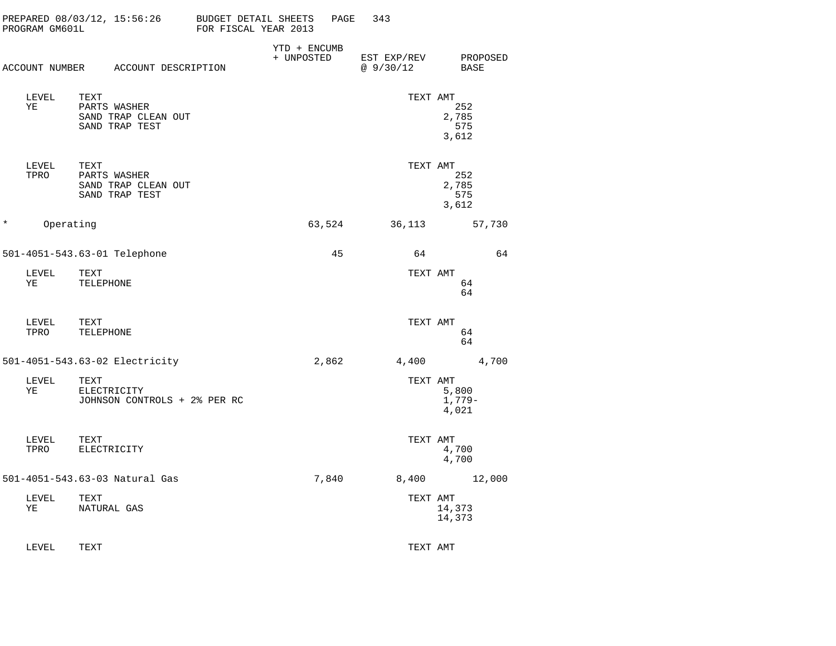| PROGRAM GM601L       | PREPARED 08/03/12, 15:56:26                                   | BUDGET DETAIL SHEETS<br>FOR FISCAL YEAR 2013 | PAGE   | 343                     |                              |
|----------------------|---------------------------------------------------------------|----------------------------------------------|--------|-------------------------|------------------------------|
|                      | ACCOUNT NUMBER ACCOUNT DESCRIPTION                            | YTD + ENCUMB<br>+ UNPOSTED                   |        | EST EXP/REV<br>@9/30/12 | PROPOSED<br>BASE             |
| LEVEL<br>ΥE          | TEXT<br>PARTS WASHER<br>SAND TRAP CLEAN OUT<br>SAND TRAP TEST |                                              |        | TEXT AMT                | 252<br>2,785<br>575<br>3,612 |
| LEVEL<br>TPRO        | TEXT<br>PARTS WASHER<br>SAND TRAP CLEAN OUT<br>SAND TRAP TEST |                                              |        | TEXT AMT                | 252<br>2,785<br>575<br>3,612 |
| $\star$<br>Operating |                                                               |                                              | 63,524 | 36,113                  | 57,730                       |
|                      | 501-4051-543.63-01 Telephone                                  |                                              | 45     | 64                      | 64                           |
| LEVEL<br>ΥE          | TEXT<br>TELEPHONE                                             |                                              |        | TEXT AMT                | 64<br>64                     |
| LEVEL<br>TPRO        | TEXT<br>TELEPHONE                                             |                                              |        | TEXT AMT                | 64<br>64                     |
|                      | 501-4051-543.63-02 Electricity                                |                                              | 2,862  | 4,400                   | 4,700                        |
| LEVEL<br>ΥE          | TEXT<br>ELECTRICITY<br>JOHNSON CONTROLS + 2% PER RC           |                                              |        | TEXT AMT                | 5,800<br>$1,779-$<br>4,021   |
| LEVEL<br>TPRO        | TEXT<br>ELECTRICITY                                           |                                              |        | TEXT AMT                | 4,700<br>4,700               |
|                      | 501-4051-543.63-03 Natural Gas                                |                                              | 7,840  | 8,400                   | 12,000                       |
| LEVEL<br>ΥE          | TEXT<br>NATURAL GAS                                           |                                              |        | TEXT AMT                | 14,373<br>14,373             |
| LEVEL                | TEXT                                                          |                                              |        | TEXT AMT                |                              |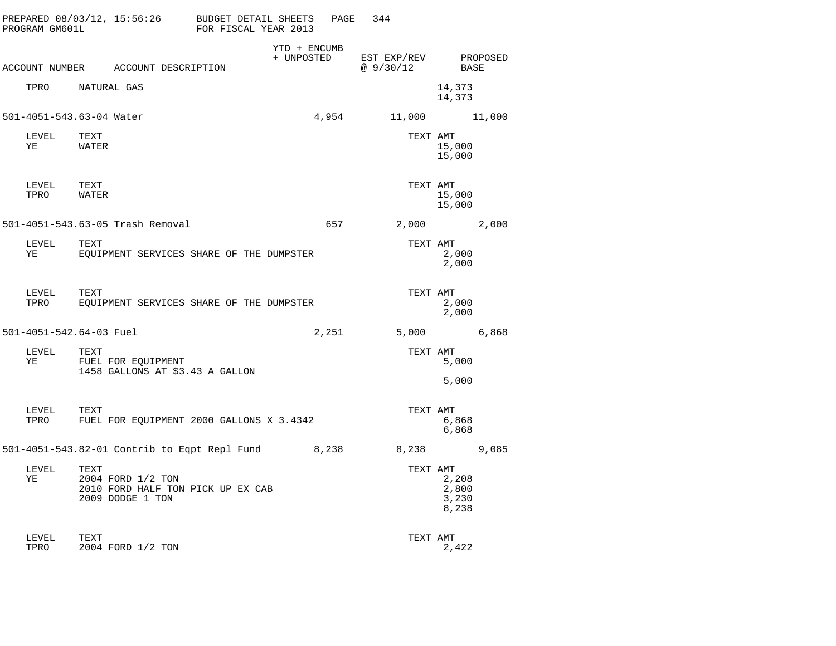| PROGRAM GM601L          |                                                                                    | PREPARED 08/03/12, 15:56:26 BUDGET DETAIL SHEETS<br>FOR FISCAL YEAR 2013 | PAGE  | 344                     |                                  |
|-------------------------|------------------------------------------------------------------------------------|--------------------------------------------------------------------------|-------|-------------------------|----------------------------------|
|                         | ACCOUNT NUMBER ACCOUNT DESCRIPTION                                                 | YTD + ENCUMB<br>+ UNPOSTED                                               |       | EST EXP/REV<br>@9/30/12 | PROPOSED<br>BASE                 |
| TPRO                    | NATURAL GAS                                                                        |                                                                          |       |                         | 14,373<br>14,373                 |
|                         | 501-4051-543.63-04 Water                                                           |                                                                          | 4,954 |                         | 11,000   11,000                  |
| LEVEL<br>ΥE             | TEXT<br>WATER                                                                      |                                                                          |       | TEXT AMT                | 15,000<br>15,000                 |
| LEVEL<br>TPRO           | TEXT<br>WATER                                                                      |                                                                          |       | TEXT AMT                | 15,000<br>15,000                 |
|                         | 501-4051-543.63-05 Trash Removal                                                   |                                                                          | 657 — | 2,000                   | 2,000                            |
| LEVEL<br>ΥE             | TEXT                                                                               | EQUIPMENT SERVICES SHARE OF THE DUMPSTER                                 |       | TEXT AMT                | 2,000<br>2,000                   |
| LEVEL<br>TPRO           | TEXT                                                                               | EOUIPMENT SERVICES SHARE OF THE DUMPSTER                                 |       | TEXT AMT                | 2,000<br>2,000                   |
| 501-4051-542.64-03 Fuel |                                                                                    |                                                                          | 2,251 | 5,000                   | 6,868                            |
| LEVEL<br>YE             | TEXT<br>FUEL FOR EQUIPMENT<br>1458 GALLONS AT \$3.43 A GALLON                      |                                                                          |       | TEXT AMT                | 5,000<br>5,000                   |
| LEVEL<br>TPRO           | TEXT                                                                               | FUEL FOR EQUIPMENT 2000 GALLONS X 3.4342                                 |       | TEXT AMT                | 6,868<br>6,868                   |
|                         |                                                                                    | 501-4051-543.82-01 Contrib to Eqpt Repl Fund 8,238                       |       | 8,238                   | 9,085                            |
| LEVEL<br>YE             | TEXT<br>2004 FORD 1/2 TON<br>2010 FORD HALF TON PICK UP EX CAB<br>2009 DODGE 1 TON |                                                                          |       | TEXT AMT                | 2,208<br>2,800<br>3,230<br>8,238 |
| LEVEL<br>TPRO           | TEXT<br>2004 FORD 1/2 TON                                                          |                                                                          |       | TEXT AMT                | 2,422                            |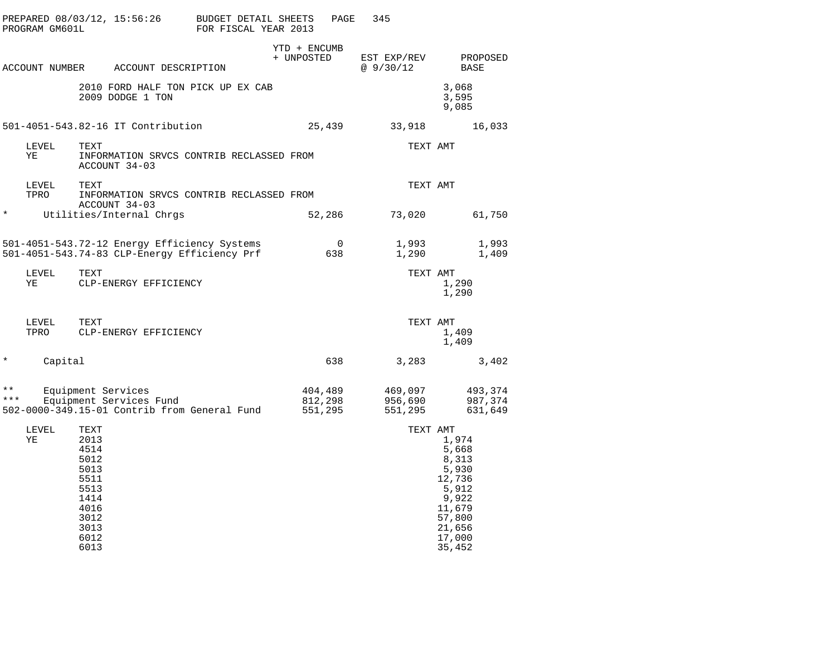|              | PROGRAM GM601L |                                                                                                      | PREPARED 08/03/12, 15:56:26                   | BUDGET DETAIL SHEETS<br>FOR FISCAL YEAR 2013                                                 |                            | PAGE               | 345                           |                                                                                                                            |
|--------------|----------------|------------------------------------------------------------------------------------------------------|-----------------------------------------------|----------------------------------------------------------------------------------------------|----------------------------|--------------------|-------------------------------|----------------------------------------------------------------------------------------------------------------------------|
|              |                |                                                                                                      | ACCOUNT NUMBER ACCOUNT DESCRIPTION            |                                                                                              | YTD + ENCUMB<br>+ UNPOSTED |                    | EST EXP/REV<br>@ 9/30/12      | PROPOSED<br>BASE                                                                                                           |
|              |                |                                                                                                      | 2009 DODGE 1 TON                              | 2010 FORD HALF TON PICK UP EX CAB                                                            |                            |                    |                               | 3,068<br>3,595<br>9,085                                                                                                    |
|              |                |                                                                                                      | 501-4051-543.82-16 IT Contribution            |                                                                                              |                            | 25,439             | 33,918                        | 16,033                                                                                                                     |
|              | LEVEL<br>ΥE    | TEXT                                                                                                 | ACCOUNT 34-03                                 | INFORMATION SRVCS CONTRIB RECLASSED FROM                                                     |                            |                    |                               | TEXT AMT                                                                                                                   |
|              | LEVEL<br>TPRO  | TEXT                                                                                                 |                                               | INFORMATION SRVCS CONTRIB RECLASSED FROM                                                     |                            |                    |                               | TEXT AMT                                                                                                                   |
| $^\star$     |                |                                                                                                      | ACCOUNT 34-03<br>Utilities/Internal Chrgs     |                                                                                              |                            | 52,286             | 73,020                        | 61,750                                                                                                                     |
|              |                |                                                                                                      |                                               | 501-4051-543.72-12 Energy Efficiency Systems<br>501-4051-543.74-83 CLP-Energy Efficiency Prf |                            | 0<br>638           | 1,993<br>1,290                | 1,993<br>1,409                                                                                                             |
|              | LEVEL<br>ΥE    | TEXT                                                                                                 | CLP-ENERGY EFFICIENCY                         |                                                                                              |                            |                    |                               | TEXT AMT<br>1,290<br>1,290                                                                                                 |
|              | LEVEL<br>TPRO  | TEXT                                                                                                 | CLP-ENERGY EFFICIENCY                         |                                                                                              |                            |                    |                               | TEXT AMT<br>1,409<br>1,409                                                                                                 |
| $\ast$       | Capital        |                                                                                                      |                                               |                                                                                              |                            | 638                | 3,283                         | 3,402                                                                                                                      |
| * *<br>$***$ |                |                                                                                                      | Equipment Services<br>Equipment Services Fund | 502-0000-349.15-01 Contrib from General Fund                                                 | 551,295                    | 404,489<br>812,298 | 469,097<br>956,690<br>551,295 | 493,374<br>987,374<br>631,649                                                                                              |
|              | LEVEL<br>ΥE    | TEXT<br>2013<br>4514<br>5012<br>5013<br>5511<br>5513<br>1414<br>4016<br>3012<br>3013<br>6012<br>6013 |                                               |                                                                                              |                            |                    |                               | TEXT AMT<br>1,974<br>5,668<br>8,313<br>5,930<br>12,736<br>5,912<br>9,922<br>11,679<br>57,800<br>21,656<br>17,000<br>35,452 |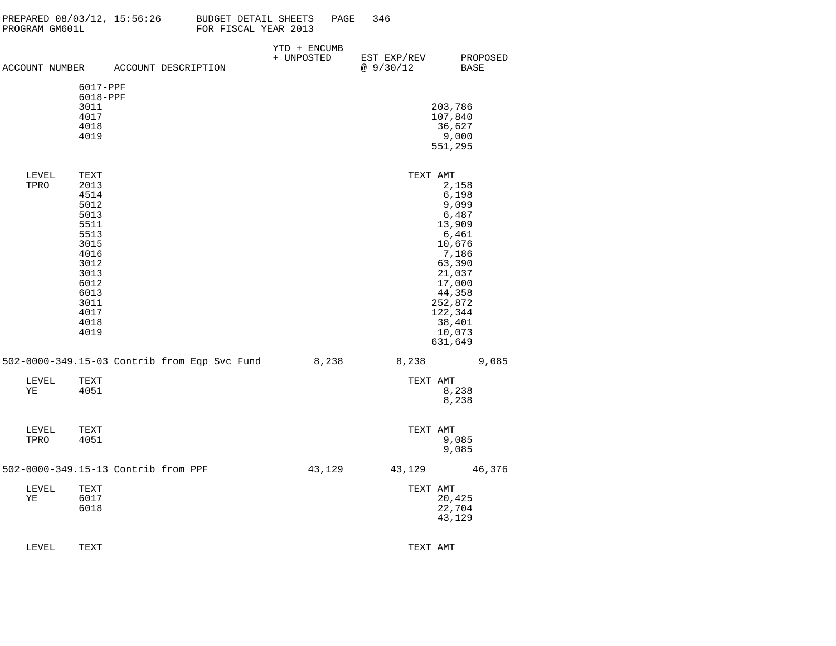| PROGRAM GM601L |                      |                                     | PREPARED $08/03/12$ , 15:56:26 BUDGET DETAIL SHEETS<br>FOR FISCAL YEAR 2013 | PAGE                                               | 346                     |                   |  |
|----------------|----------------------|-------------------------------------|-----------------------------------------------------------------------------|----------------------------------------------------|-------------------------|-------------------|--|
|                |                      | ACCOUNT NUMBER ACCOUNT DESCRIPTION  |                                                                             | YTD + ENCUMB<br>+ UNPOSTED                         | EST EXP/REV<br>@9/30/12 | PROPOSED<br>BASE  |  |
|                |                      |                                     |                                                                             |                                                    |                         |                   |  |
|                | 6017-PPF<br>6018-PPF |                                     |                                                                             |                                                    |                         |                   |  |
|                | 3011                 |                                     |                                                                             |                                                    |                         | 203,786           |  |
|                | 4017<br>4018         |                                     |                                                                             |                                                    |                         | 107,840<br>36,627 |  |
|                | 4019                 |                                     |                                                                             |                                                    |                         | 9,000             |  |
|                |                      |                                     |                                                                             |                                                    |                         | 551,295           |  |
| LEVEL          | TEXT                 |                                     |                                                                             |                                                    | TEXT AMT                |                   |  |
| TPRO           | 2013<br>4514         |                                     |                                                                             |                                                    |                         | 2,158<br>6,198    |  |
|                | 5012                 |                                     |                                                                             |                                                    |                         | 9,099             |  |
|                | 5013                 |                                     |                                                                             |                                                    |                         | 6,487             |  |
|                | 5511<br>5513         |                                     |                                                                             |                                                    |                         | 13,909<br>6,461   |  |
|                | 3015                 |                                     |                                                                             |                                                    |                         | 10,676            |  |
|                | 4016<br>3012         |                                     |                                                                             |                                                    |                         | 7,186<br>63,390   |  |
|                | 3013                 |                                     |                                                                             |                                                    |                         | 21,037            |  |
|                | 6012<br>6013         |                                     |                                                                             |                                                    |                         | 17,000<br>44,358  |  |
|                | 3011                 |                                     |                                                                             |                                                    |                         | 252,872           |  |
|                | 4017                 |                                     |                                                                             |                                                    |                         | 122,344           |  |
|                | 4018<br>4019         |                                     |                                                                             |                                                    |                         | 38,401<br>10,073  |  |
|                |                      |                                     |                                                                             |                                                    |                         | 631,649           |  |
|                |                      |                                     |                                                                             | 502-0000-349.15-03 Contrib from Eqp Svc Fund 8,238 | 8,238 9,085             |                   |  |
| LEVEL          | TEXT                 |                                     |                                                                             |                                                    | TEXT AMT                |                   |  |
| ΥE             | 4051                 |                                     |                                                                             |                                                    |                         | 8,238<br>8,238    |  |
|                |                      |                                     |                                                                             |                                                    |                         |                   |  |
| LEVEL          | TEXT                 |                                     |                                                                             |                                                    | TEXT AMT                |                   |  |
| TPRO           | 4051                 |                                     |                                                                             |                                                    |                         | 9,085<br>9,085    |  |
|                |                      | 502-0000-349.15-13 Contrib from PPF |                                                                             | 43,129                                             |                         | 43, 129 46, 376   |  |
| LEVEL          | TEXT                 |                                     |                                                                             |                                                    | TEXT AMT                |                   |  |
| ΥE             | 6017                 |                                     |                                                                             |                                                    |                         | 20,425            |  |
|                | 6018                 |                                     |                                                                             |                                                    |                         | 22,704<br>43,129  |  |
|                |                      |                                     |                                                                             |                                                    |                         |                   |  |
| LEVEL          | TEXT                 |                                     |                                                                             |                                                    | TEXT AMT                |                   |  |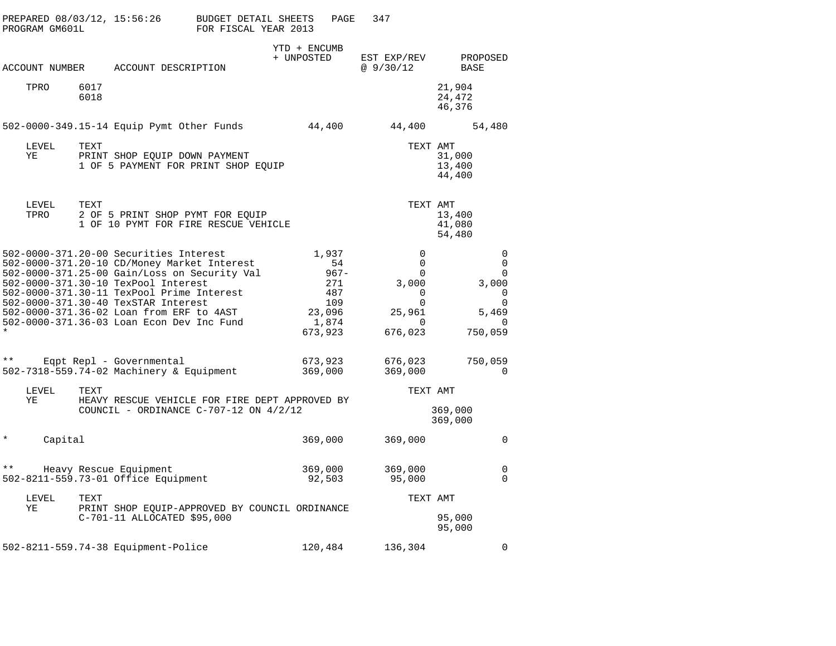| PROGRAM GM601L     | PREPARED 08/03/12, 15:56:26                                                                                                                                                                                                                                                                                                                               | BUDGET DETAIL SHEETS<br>FOR FISCAL YEAR 2013 |                                                                            | 347<br>PAGE                                                                         |                                                                                        |
|--------------------|-----------------------------------------------------------------------------------------------------------------------------------------------------------------------------------------------------------------------------------------------------------------------------------------------------------------------------------------------------------|----------------------------------------------|----------------------------------------------------------------------------|-------------------------------------------------------------------------------------|----------------------------------------------------------------------------------------|
|                    |                                                                                                                                                                                                                                                                                                                                                           |                                              | YTD + ENCUMB<br>+ UNPOSTED                                                 | EST EXP/REV                                                                         | PROPOSED                                                                               |
| ACCOUNT NUMBER     | ACCOUNT DESCRIPTION                                                                                                                                                                                                                                                                                                                                       |                                              |                                                                            | @ $9/30/12$                                                                         | BASE                                                                                   |
| TPRO               | 6017<br>6018                                                                                                                                                                                                                                                                                                                                              |                                              |                                                                            |                                                                                     | 21,904<br>24,472<br>46,376                                                             |
|                    | 502-0000-349.15-14 Equip Pymt Other Funds                                                                                                                                                                                                                                                                                                                 |                                              | 44,400                                                                     | 44,400                                                                              | 54,480                                                                                 |
| LEVEL<br>ΥE        | TEXT<br>PRINT SHOP EQUIP DOWN PAYMENT<br>1 OF 5 PAYMENT FOR PRINT SHOP EQUIP                                                                                                                                                                                                                                                                              |                                              |                                                                            |                                                                                     | TEXT AMT<br>31,000<br>13,400<br>44,400                                                 |
| LEVEL<br>TPRO      | TEXT<br>2 OF 5 PRINT SHOP PYMT FOR EQUIP<br>1 OF 10 PYMT FOR FIRE RESCUE VEHICLE                                                                                                                                                                                                                                                                          |                                              |                                                                            |                                                                                     | TEXT AMT<br>13,400<br>41,080<br>54,480                                                 |
|                    | 502-0000-371.20-00 Securities Interest<br>502-0000-371.20-10 CD/Money Market Interest<br>502-0000-371.25-00 Gain/Loss on Security Val<br>502-0000-371.30-10 TexPool Interest<br>502-0000-371.30-11 TexPool Prime Interest<br>502-0000-371.30-40 TexSTAR Interest<br>502-0000-371.36-02 Loan from ERF to 4AST<br>502-0000-371.36-03 Loan Econ Dev Inc Fund |                                              | 1,937<br>-54<br>$967 -$<br>271<br>487<br>109<br>23,096<br>1,874<br>673,923 | $\mathbf 0$<br>$\mathbf 0$<br>$\Omega$<br>3,000<br>0<br>0<br>25,961<br>0<br>676,023 | 0<br>$\Omega$<br>$\Omega$<br>3,000<br>0<br>$\mathbf 0$<br>5,469<br>$\Omega$<br>750,059 |
| $\star\star$       | Eqpt Repl - Governmental<br>502-7318-559.74-02 Machinery & Equipment                                                                                                                                                                                                                                                                                      |                                              | 673,923<br>369,000                                                         | 676,023<br>369,000                                                                  | 750,059<br>0                                                                           |
| LEVEL              | TEXT                                                                                                                                                                                                                                                                                                                                                      |                                              |                                                                            |                                                                                     | TEXT AMT                                                                               |
| ΥE                 | HEAVY RESCUE VEHICLE FOR FIRE DEPT APPROVED BY<br>COUNCIL - ORDINANCE C-707-12 ON $4/2/12$                                                                                                                                                                                                                                                                |                                              |                                                                            |                                                                                     | 369,000<br>369,000                                                                     |
| $\star$<br>Capital |                                                                                                                                                                                                                                                                                                                                                           |                                              | 369,000                                                                    | 369,000                                                                             | $\Omega$                                                                               |
| $* *$              | Heavy Rescue Equipment<br>502-8211-559.73-01 Office Equipment                                                                                                                                                                                                                                                                                             |                                              | 369,000<br>92,503                                                          | 369,000<br>95,000                                                                   | 0<br>$\Omega$                                                                          |
| LEVEL              | TEXT                                                                                                                                                                                                                                                                                                                                                      |                                              |                                                                            |                                                                                     | TEXT AMT                                                                               |
| ΥE                 | PRINT SHOP EQUIP-APPROVED BY COUNCIL ORDINANCE<br>C-701-11 ALLOCATED \$95,000                                                                                                                                                                                                                                                                             |                                              |                                                                            |                                                                                     | 95,000<br>95,000                                                                       |
|                    | 502-8211-559.74-38 Equipment-Police                                                                                                                                                                                                                                                                                                                       |                                              | 120,484                                                                    | 136,304                                                                             | 0                                                                                      |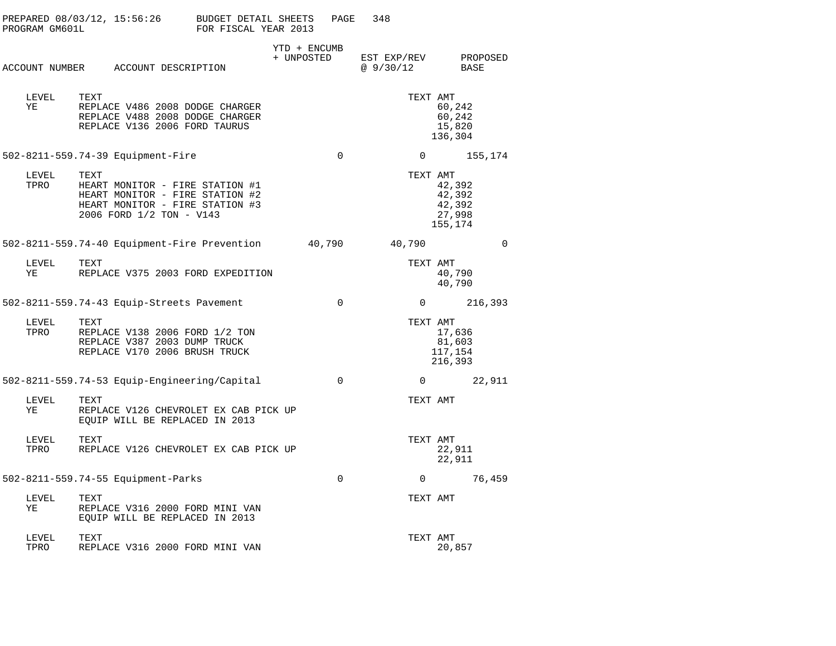| PROGRAM GM601L | $PREPARED 08/03/12, 15:56:26$ BUDGET DETAIL SHEETS                                                                                        | FOR FISCAL YEAR 2013 |                            | PAGE        | 348                      |                                                 |
|----------------|-------------------------------------------------------------------------------------------------------------------------------------------|----------------------|----------------------------|-------------|--------------------------|-------------------------------------------------|
|                | ACCOUNT NUMBER ACCOUNT DESCRIPTION                                                                                                        |                      | YTD + ENCUMB<br>+ UNPOSTED |             | EST EXP/REV<br>@ 9/30/12 | PROPOSED<br>BASE                                |
| LEVEL<br>ΥE    | TEXT<br>REPLACE V486 2008 DODGE CHARGER<br>REPLACE V488 2008 DODGE CHARGER<br>REPLACE V136 2006 FORD TAURUS                               |                      |                            |             | TEXT AMT                 | 60,242<br>60,242<br>15,820<br>136,304           |
|                | 502-8211-559.74-39 Equipment-Fire                                                                                                         |                      |                            | $\mathbf 0$ |                          | 155,174<br>$0 \qquad \qquad$                    |
| LEVEL<br>TPRO  | TEXT<br>HEART MONITOR - FIRE STATION #1<br>HEART MONITOR - FIRE STATION #2<br>HEART MONITOR - FIRE STATION #3<br>2006 FORD 1/2 TON - V143 |                      |                            |             | TEXT AMT                 | 42,392<br>42,392<br>42,392<br>27,998<br>155,174 |
|                | 502-8211-559.74-40 Equipment-Fire Prevention                                                                                              |                      | 40,790                     |             | 40,790                   | $\mathbf 0$                                     |
| LEVEL<br>ΥE    | TEXT<br>REPLACE V375 2003 FORD EXPEDITION                                                                                                 |                      |                            |             | TEXT AMT                 | 40,790<br>40,790                                |
|                | 502-8211-559.74-43 Equip-Streets Pavement                                                                                                 |                      |                            | $\mathbf 0$ | $\Omega$                 | 216,393                                         |
| LEVEL<br>TPRO  | TEXT<br>REPLACE V138 2006 FORD 1/2 TON<br>REPLACE V387 2003 DUMP TRUCK<br>REPLACE V170 2006 BRUSH TRUCK                                   |                      |                            |             | TEXT AMT                 | 17,636<br>81,603<br>117,154<br>216,393          |
|                | 502-8211-559.74-53 Equip-Engineering/Capital                                                                                              |                      |                            | $\mathbf 0$ |                          | $0 \qquad \qquad$<br>22,911                     |
| LEVEL<br>ΥE    | TEXT<br>REPLACE V126 CHEVROLET EX CAB PICK UP<br>EQUIP WILL BE REPLACED IN 2013                                                           |                      |                            |             | TEXT AMT                 |                                                 |
| LEVEL<br>TPRO  | TEXT<br>REPLACE V126 CHEVROLET EX CAB PICK UP                                                                                             |                      |                            |             | TEXT AMT                 | 22,911<br>22,911                                |
|                | 502-8211-559.74-55 Equipment-Parks                                                                                                        |                      |                            | $\mathbf 0$ | $\mathbf{0}$             | 76,459                                          |
| LEVEL<br>ΥE    | TEXT<br>REPLACE V316 2000 FORD MINI VAN<br>EQUIP WILL BE REPLACED IN 2013                                                                 |                      |                            |             | TEXT AMT                 |                                                 |
| LEVEL<br>TPRO  | TEXT<br>REPLACE V316 2000 FORD MINI VAN                                                                                                   |                      |                            |             | TEXT AMT                 | 20,857                                          |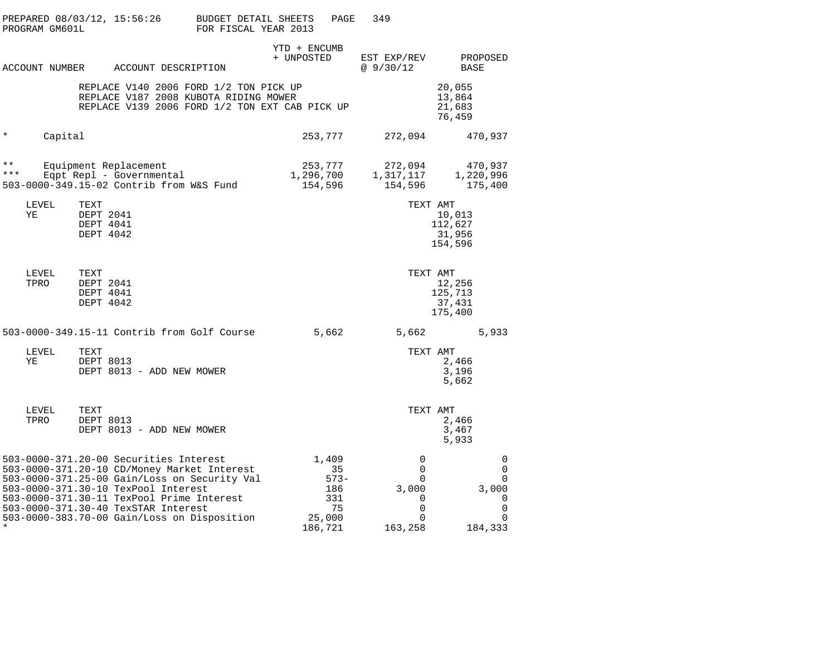|                | PROGRAM GM601L |                                             | PREPARED 08/03/12, 15:56:26                                                                                                                                                                                                                                                                                     | BUDGET DETAIL SHEETS<br>FOR FISCAL YEAR 2013 |                                 | PAGE                              | 349                                            |                                                          |  |
|----------------|----------------|---------------------------------------------|-----------------------------------------------------------------------------------------------------------------------------------------------------------------------------------------------------------------------------------------------------------------------------------------------------------------|----------------------------------------------|---------------------------------|-----------------------------------|------------------------------------------------|----------------------------------------------------------|--|
|                |                |                                             | ACCOUNT NUMBER ACCOUNT DESCRIPTION                                                                                                                                                                                                                                                                              |                                              | YTD + ENCUMB<br>+ UNPOSTED      |                                   | EST EXP/REV<br>@9/30/12                        | PROPOSED<br>BASE                                         |  |
|                |                |                                             | REPLACE V140 2006 FORD 1/2 TON PICK UP<br>REPLACE V187 2008 KUBOTA RIDING MOWER<br>REPLACE V139 2006 FORD 1/2 TON EXT CAB PICK UP                                                                                                                                                                               |                                              |                                 |                                   |                                                | 20,055<br>13,864<br>21,683<br>76,459                     |  |
| $^\star$       | Capital        |                                             |                                                                                                                                                                                                                                                                                                                 |                                              | 253,777                         |                                   | 272,094                                        | 470,937                                                  |  |
| $* *$<br>* * * |                |                                             | Equipment Replacement<br>Eqpt Repl - Governmental<br>503-0000-349.15-02 Contrib from W&S Fund                                                                                                                                                                                                                   |                                              | 253,777<br>1,296,700<br>154,596 |                                   | 272,094<br>1,317,117<br>154,596                | 470,937<br>1,220,996<br>175,400                          |  |
|                | LEVEL<br>ΥE    | TEXT<br>DEPT 2041<br>DEPT 4041<br>DEPT 4042 |                                                                                                                                                                                                                                                                                                                 |                                              |                                 |                                   |                                                | TEXT AMT<br>10,013<br>112,627<br>31,956<br>154,596       |  |
|                | LEVEL<br>TPRO  | TEXT<br>DEPT 2041<br>DEPT 4041<br>DEPT 4042 |                                                                                                                                                                                                                                                                                                                 |                                              |                                 |                                   | TEXT AMT                                       | 12,256<br>125,713<br>37,431<br>175,400                   |  |
|                |                |                                             | 503-0000-349.15-11 Contrib from Golf Course                                                                                                                                                                                                                                                                     |                                              | 5,662                           |                                   | 5,662                                          | 5,933                                                    |  |
|                | LEVEL<br>ΥE    | TEXT<br>DEPT 8013                           | DEPT 8013 - ADD NEW MOWER                                                                                                                                                                                                                                                                                       |                                              |                                 |                                   | TEXT AMT                                       | 2,466<br>3,196<br>5,662                                  |  |
|                | LEVEL<br>TPRO  | TEXT<br>DEPT 8013                           | DEPT 8013 - ADD NEW MOWER                                                                                                                                                                                                                                                                                       |                                              |                                 |                                   | TEXT AMT                                       | 2,466<br>3,467<br>5,933                                  |  |
|                |                |                                             | 503-0000-371.20-00 Securities Interest<br>503-0000-371.20-10 CD/Money Market Interest<br>503-0000-371.25-00 Gain/Loss on Security Val<br>503-0000-371.30-10 TexPool Interest<br>503-0000-371.30-11 TexPool Prime Interest<br>503-0000-371.30-40 TexSTAR Interest<br>503-0000-383.70-00 Gain/Loss on Disposition |                                              | 1,409<br>25,000<br>186,721      | 35<br>$573 -$<br>186<br>331<br>75 | 0<br>0<br>0<br>3,000<br>0<br>0<br>0<br>163,258 | 0<br>0<br>$\mathbf 0$<br>3,000<br>0<br>0<br>0<br>184,333 |  |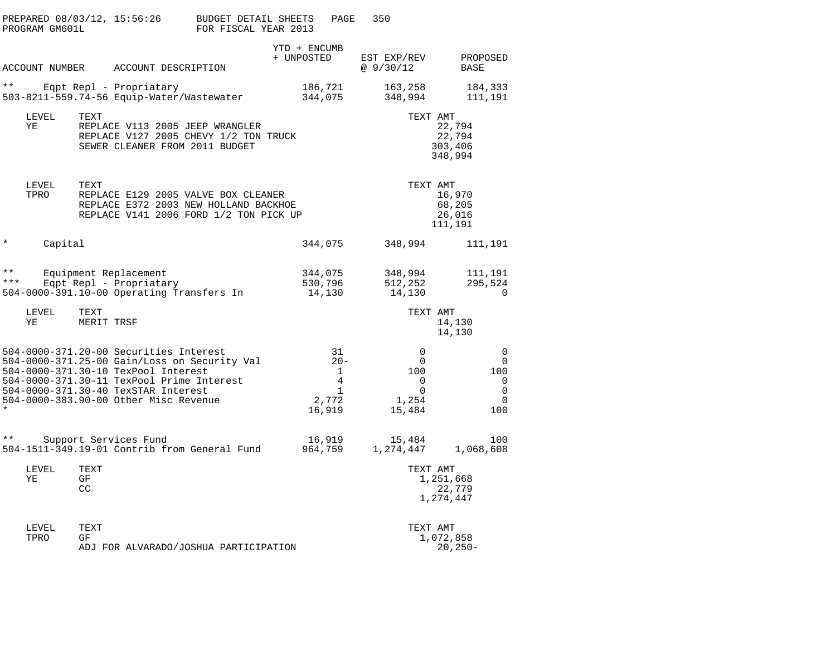| PROGRAM GM601L                  | PREPARED 08/03/12, 15:56:26                                                                                                                                                                                                                                | BUDGET DETAIL SHEETS<br>FOR FISCAL YEAR 2013 | PAGE                                                                    | 350                                                                                            |                                               |
|---------------------------------|------------------------------------------------------------------------------------------------------------------------------------------------------------------------------------------------------------------------------------------------------------|----------------------------------------------|-------------------------------------------------------------------------|------------------------------------------------------------------------------------------------|-----------------------------------------------|
|                                 | ACCOUNT NUMBER ACCOUNT DESCRIPTION                                                                                                                                                                                                                         |                                              | YTD + ENCUMB<br>+ UNPOSTED                                              | EST EXP/REV<br>@ 9/30/12                                                                       | PROPOSED<br>BASE                              |
| $\star\star$                    | Eqpt Repl - Propriatary<br>503-8211-559.74-56 Equip-Water/Wastewater                                                                                                                                                                                       |                                              | 186,721<br>344,075                                                      | 163,258<br>348,994                                                                             | 184,333<br>111,191                            |
| LEVEL<br>TEXT<br>ΥE             | REPLACE V113 2005 JEEP WRANGLER<br>REPLACE V127 2005 CHEVY 1/2 TON TRUCK<br>SEWER CLEANER FROM 2011 BUDGET                                                                                                                                                 |                                              |                                                                         | TEXT AMT                                                                                       | 22,794<br>22,794<br>303,406<br>348,994        |
| TEXT<br>LEVEL<br>TPRO           | REPLACE E129 2005 VALVE BOX CLEANER<br>REPLACE E372 2003 NEW HOLLAND BACKHOE<br>REPLACE V141 2006 FORD 1/2 TON PICK UP                                                                                                                                     |                                              |                                                                         | TEXT AMT                                                                                       | 16,970<br>68,205<br>26,016<br>111,191         |
| $^\star$<br>Capital             |                                                                                                                                                                                                                                                            |                                              | 344,075                                                                 | 348,994                                                                                        | 111,191                                       |
| $\star\star$<br>* * *           | Equipment Replacement<br>Eqpt Repl - Propriatary<br>504-0000-391.10-00 Operating Transfers In                                                                                                                                                              |                                              | 344,075<br>530,796<br>14,130                                            | 348,994<br>512,252<br>14,130                                                                   | 111,191<br>295,524<br>$\Omega$                |
| LEVEL<br>TEXT<br>ΥE             | MERIT TRSF                                                                                                                                                                                                                                                 |                                              |                                                                         | TEXT AMT                                                                                       | 14,130<br>14,130                              |
|                                 | 504-0000-371.20-00 Securities Interest<br>504-0000-371.25-00 Gain/Loss on Security Val<br>504-0000-371.30-10 TexPool Interest<br>504-0000-371.30-11 TexPool Prime Interest<br>504-0000-371.30-40 TexSTAR Interest<br>504-0000-383.90-00 Other Misc Revenue |                                              | 31<br>$20 -$<br>1<br>$4\overline{ }$<br>$\mathbf{1}$<br>2,772<br>16,919 | $\overline{0}$<br>$\overline{0}$<br>100<br>$\overline{0}$<br>$\overline{0}$<br>1,254<br>15,484 | 0<br>0<br>100<br>0<br>0<br>$\mathbf 0$<br>100 |
| $***$                           | Support Services Fund<br>504-1511-349.19-01 Contrib from General Fund 964,759                                                                                                                                                                              |                                              | 16,919                                                                  | 15,484<br>1,274,447 1,068,608                                                                  | 100                                           |
| LEVEL<br>TEXT<br>ΥE<br>GF<br>CC |                                                                                                                                                                                                                                                            |                                              |                                                                         | TEXT AMT                                                                                       | 1,251,668<br>22,779<br>1,274,447              |
| TEXT<br>LEVEL<br>TPRO<br>GF     | ADJ FOR ALVARADO/JOSHUA PARTICIPATION                                                                                                                                                                                                                      |                                              |                                                                         | TEXT AMT                                                                                       | 1,072,858<br>$20, 250 -$                      |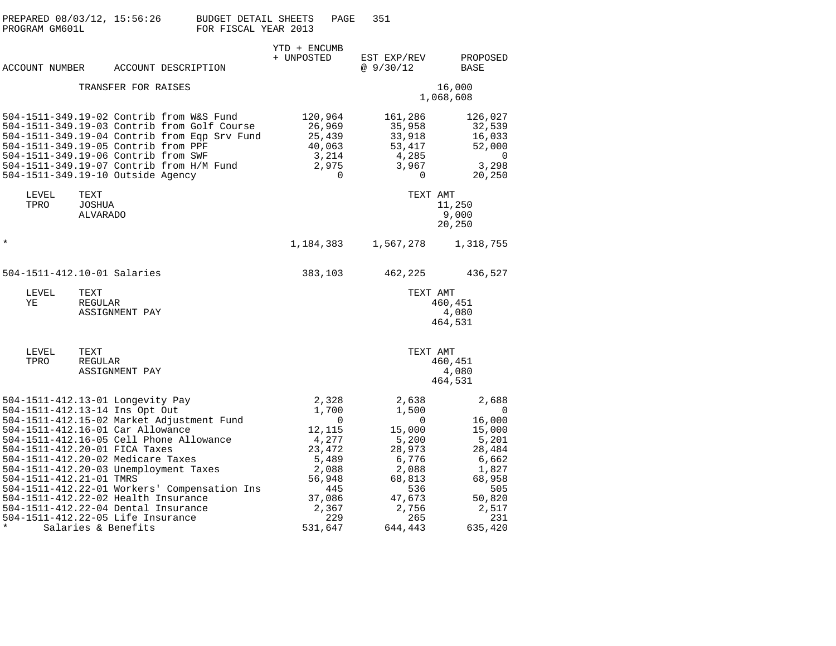| PREPARED 08/03/12, 15:56:26<br>PROGRAM GM601L                                                                                                                                                                                                                                                                                                                                                                  |                                   |                     | BUDGET DETAIL SHEETS<br>FOR FISCAL YEAR 2013                                                |                                                          | PAGE                                                         | 351                                                                                                                      |                                                                                                                           |
|----------------------------------------------------------------------------------------------------------------------------------------------------------------------------------------------------------------------------------------------------------------------------------------------------------------------------------------------------------------------------------------------------------------|-----------------------------------|---------------------|---------------------------------------------------------------------------------------------|----------------------------------------------------------|--------------------------------------------------------------|--------------------------------------------------------------------------------------------------------------------------|---------------------------------------------------------------------------------------------------------------------------|
| <b>ACCOUNT NUMBER</b>                                                                                                                                                                                                                                                                                                                                                                                          |                                   |                     | ACCOUNT DESCRIPTION                                                                         | YTD + ENCUMB<br>+ UNPOSTED                               |                                                              | EST EXP/REV<br>@9/30/12                                                                                                  | PROPOSED<br>BASE                                                                                                          |
|                                                                                                                                                                                                                                                                                                                                                                                                                |                                   | TRANSFER FOR RAISES |                                                                                             |                                                          |                                                              |                                                                                                                          | 16,000<br>1,068,608                                                                                                       |
| 504-1511-349.19-02 Contrib from W&S Fund<br>504-1511-349.19-05 Contrib from PPF<br>504-1511-349.19-06 Contrib from SWF<br>504-1511-349.19-07 Contrib from H/M Fund<br>504-1511-349.19-10 Outside Agency                                                                                                                                                                                                        |                                   |                     | 504-1511-349.19-03 Contrib from Golf Course<br>504-1511-349.19-04 Contrib from Eqp Srv Fund | 120,964<br>26,969<br>25,439<br>40,063                    | 3,214<br>2,975<br>$\Omega$                                   | 161,286<br>35,958<br>33,918<br>53,417<br>4,285<br>3,967<br>$\Omega$                                                      | 126,027<br>32,539<br>16,033<br>52,000<br>0<br>3,298<br>20,250                                                             |
| LEVEL<br>TPRO                                                                                                                                                                                                                                                                                                                                                                                                  | TEXT<br>JOSHUA<br><b>ALVARADO</b> |                     |                                                                                             |                                                          |                                                              |                                                                                                                          | TEXT AMT<br>11,250<br>9,000<br>20,250                                                                                     |
| $^\star$                                                                                                                                                                                                                                                                                                                                                                                                       |                                   |                     |                                                                                             | 1,184,383                                                |                                                              | 1,567,278                                                                                                                | 1,318,755                                                                                                                 |
| 504-1511-412.10-01 Salaries                                                                                                                                                                                                                                                                                                                                                                                    |                                   |                     |                                                                                             | 383,103                                                  |                                                              | 462,225                                                                                                                  | 436,527                                                                                                                   |
| LEVEL<br>ΥE                                                                                                                                                                                                                                                                                                                                                                                                    | TEXT<br>REGULAR                   | ASSIGNMENT PAY      |                                                                                             |                                                          |                                                              |                                                                                                                          | TEXT AMT<br>460,451<br>4,080<br>464,531                                                                                   |
| LEVEL<br>TPRO                                                                                                                                                                                                                                                                                                                                                                                                  | TEXT<br>REGULAR                   | ASSIGNMENT PAY      |                                                                                             |                                                          |                                                              |                                                                                                                          | TEXT AMT<br>460,451<br>4,080<br>464,531                                                                                   |
| 504-1511-412.13-01 Longevity Pay<br>504-1511-412.13-14 Ins Opt Out<br>504-1511-412.16-01 Car Allowance<br>504-1511-412.16-05 Cell Phone Allowance<br>504-1511-412.20-01 FICA Taxes<br>504-1511-412.20-02 Medicare Taxes<br>504-1511-412.20-03 Unemployment Taxes<br>504-1511-412.21-01 TMRS<br>504-1511-412.22-02 Health Insurance<br>504-1511-412.22-04 Dental Insurance<br>504-1511-412.22-05 Life Insurance | Salaries & Benefits               |                     | 504-1511-412.15-02 Market Adjustment Fund<br>504-1511-412.22-01 Workers' Compensation Ins   | 12,115<br>4,277<br>23,472<br>56,948<br>37,086<br>531,647 | 2,328<br>1,700<br>0<br>5,489<br>2,088<br>445<br>2,367<br>229 | 2,638<br>1,500<br>0<br>15,000<br>5,200<br>28,973<br>6,776<br>2,088<br>68,813<br>536<br>47,673<br>2,756<br>265<br>644,443 | 2,688<br>0<br>16,000<br>15,000<br>5,201<br>28,484<br>6,662<br>1,827<br>68,958<br>505<br>50,820<br>2,517<br>231<br>635,420 |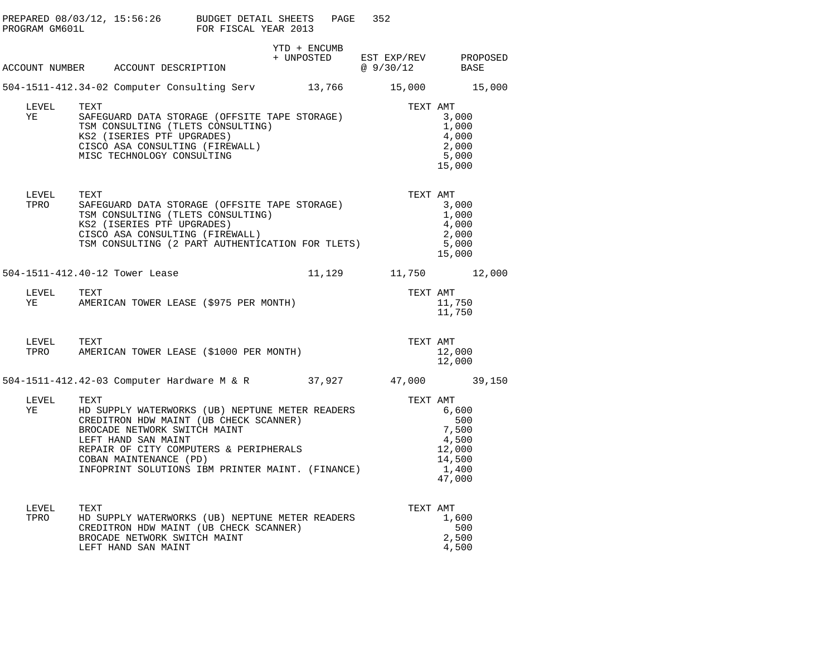|               | PREPARED 08/03/12, 15:56:26 BUDGET DETAIL SHEETS PAGE<br>PROGRAM GM601L FOR FISCAL YEAR 2013                                                                                                                                                           |              | 352                                               |                                                                       |
|---------------|--------------------------------------------------------------------------------------------------------------------------------------------------------------------------------------------------------------------------------------------------------|--------------|---------------------------------------------------|-----------------------------------------------------------------------|
|               |                                                                                                                                                                                                                                                        | YTD + ENCUMB |                                                   |                                                                       |
|               | ACCOUNT NUMBER ACCOUNT DESCRIPTION                                                                                                                                                                                                                     |              | + UNPOSTED EST EXP/REV PROPOSED<br>@ 9/30/12 BASE |                                                                       |
|               | 504-1511-412.34-02 Computer Consulting Serv 13,766 15,000 15,000                                                                                                                                                                                       |              |                                                   |                                                                       |
| LEVEL<br>YE   | TEXT AMT<br>SAFEGUARD DATA STORAGE (OFFSITE TAPE STORAGE)<br>TSM CONSULTING (TLETS CONSULTING)<br>XS2 (ISERIES PTF UPGRADES)<br>CISCO ASA CONSULTING (FIREWALL)<br>CISCO ASA CONSULTING (FIREWALL)<br>MISC TECHNOLOGY CONSULTING                       |              |                                                   | 3,000<br>1,000<br>4,000<br>2,000<br>5,000<br>15,000                   |
| LEVEL<br>TPRO | TEXT<br>TEXI<br>SAFEGUARD DATA STORAGE (OFFSITE TAPE STORAGE)<br>TSM CONSULTING (TLETS CONSULTING)<br>KS2 (ISERIES PTF UPGRADES)<br>CISCO ASA CONSULTING (FIREWALL)<br>TSM CONSULTING (2 PART AUTHENTICATION FOR TLETS)                                |              | TEXT AMT                                          | 3,000<br>1,000<br>4,000<br>2,000<br>5,000<br>15,000                   |
|               | 504-1511-412.40-12 Tower Lease                                                                                                                                                                                                                         |              | 11,129 11,750 12,000                              |                                                                       |
| LEVEL<br>YE   | TEXT<br>AMERICAN TOWER LEASE (\$975 PER MONTH)                                                                                                                                                                                                         |              | TEXT AMT                                          | 11,750<br>11,750                                                      |
|               | LEVEL TEXT<br>TPRO AMERICAN TOWER LEASE (\$1000 PER MONTH)                                                                                                                                                                                             |              | TEXT AMT                                          | 12,000<br>12,000                                                      |
|               | 504-1511-412.42-03 Computer Hardware M & R 37,927 47,000 39,150                                                                                                                                                                                        |              |                                                   |                                                                       |
| LEVEL<br>YE   | TEXT<br>HD SUPPLY WATERWORKS (UB) NEPTUNE METER READERS<br>CREDITRON HDW MAINT (UB CHECK SCANNER)<br>BROCADE NETWORK SWITCH MAINT<br>LEFT HAND SAN MAINT<br>REPAIR OF CITY COMPUTERS & PERIPHERALS<br>INFOPRINT SOLUTIONS IBM PRINTER MAINT. (FINANCE) |              | TEXT AMT                                          | 6,600<br>500<br>7,500<br>4,500<br>12,000<br>14,500<br>1,400<br>47,000 |
| LEVEL<br>TPRO | TEXT<br>HD SUPPLY WATERWORKS (UB) NEPTUNE METER READERS<br>CREDITRON HDW MAINT (UB CHECK SCANNER)<br>BROCADE NETWORK SWITCH MAINT<br>LEFT HAND SAN MAINT                                                                                               |              | TEXT AMT                                          | 1,600<br>500<br>2,500<br>4,500                                        |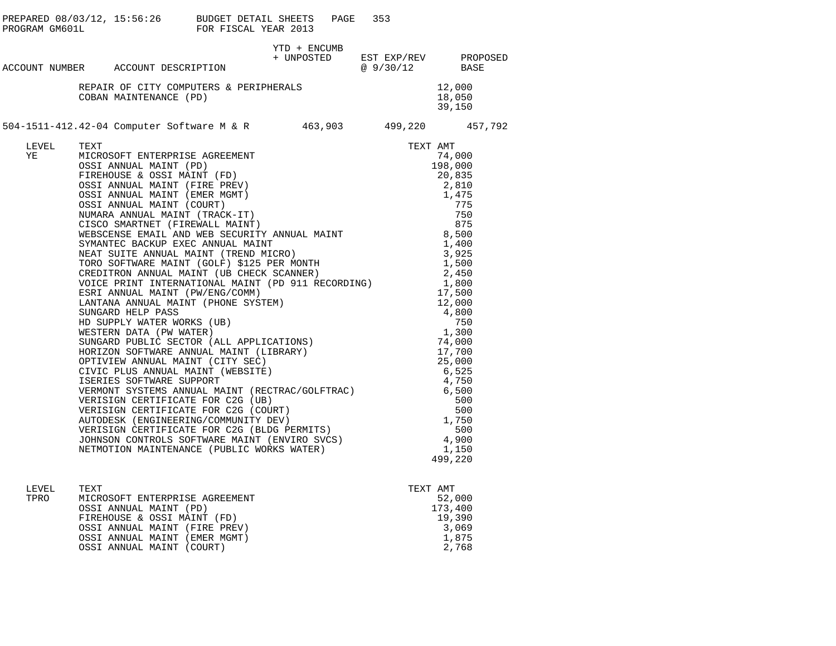|             |                                                                             |              | PAGE | 353                                               |                            |  |
|-------------|-----------------------------------------------------------------------------|--------------|------|---------------------------------------------------|----------------------------|--|
|             | ACCOUNT NUMBER ACCOUNT DESCRIPTION                                          | YTD + ENCUMB |      | + UNPOSTED EST EXP/REV PROPOSED<br>@ 9/30/12 BASE |                            |  |
|             |                                                                             |              |      |                                                   |                            |  |
|             | REPAIR OF CITY COMPUTERS & PERIPHERALS<br>COBAN MAINTENANCE (PD)            |              |      |                                                   | 12,000<br>18,050<br>39,150 |  |
|             | 504-1511-412.42-04 Computer Software M & R    463,903    499,220    457,792 |              |      |                                                   |                            |  |
| LEVEL<br>YE |                                                                             |              |      |                                                   |                            |  |
|             |                                                                             |              |      |                                                   |                            |  |

| LEVEL | TEXT                           | TEXT AMT |
|-------|--------------------------------|----------|
| TPRO  | MICROSOFT ENTERPRISE AGREEMENT | 52,000   |
|       | OSSI ANNUAL MAINT (PD)         | 173,400  |
|       | FIREHOUSE & OSSI MAINT (FD)    | 19,390   |
|       | OSSI ANNUAL MAINT (FIRE PREV)  | 3,069    |
|       | OSSI ANNUAL MAINT (EMER MGMT)  | 1,875    |
|       | OSSI ANNUAL MAINT (COURT)      | 2,768    |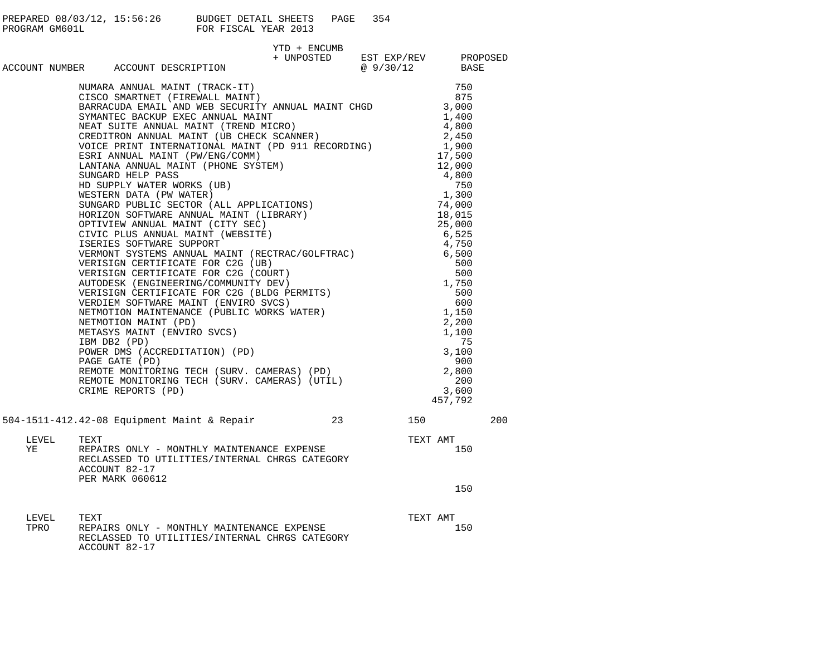|                                    |                       |                                                                                |                                                                                                                                                                                                                                                                                                                                                                                                                                                                                                                                                                                                                                                                                                                                                                                                                                                                                                                                                           |              | PAGE | 354                                               |                                                                                                                                                                                                                                                                                |     |
|------------------------------------|-----------------------|--------------------------------------------------------------------------------|-----------------------------------------------------------------------------------------------------------------------------------------------------------------------------------------------------------------------------------------------------------------------------------------------------------------------------------------------------------------------------------------------------------------------------------------------------------------------------------------------------------------------------------------------------------------------------------------------------------------------------------------------------------------------------------------------------------------------------------------------------------------------------------------------------------------------------------------------------------------------------------------------------------------------------------------------------------|--------------|------|---------------------------------------------------|--------------------------------------------------------------------------------------------------------------------------------------------------------------------------------------------------------------------------------------------------------------------------------|-----|
| ACCOUNT NUMBER ACCOUNT DESCRIPTION |                       |                                                                                |                                                                                                                                                                                                                                                                                                                                                                                                                                                                                                                                                                                                                                                                                                                                                                                                                                                                                                                                                           | YTD + ENCUMB |      | + UNPOSTED EST EXP/REV PROPOSED<br>@ 9/30/12 BASE |                                                                                                                                                                                                                                                                                |     |
|                                    |                       | SUNGARD HELP PASS<br>HD SUPPLY WATER WORKS (UB)<br>METASYS MAINT (ENVIRO SVCS) | NUMARA ANNUAL MAINT (TRACK-IT)<br>CISCO SMARTNET (FIREWALL MAINT)<br>CISCO SMARTNET (FIREWALL MAINT)<br>BARRACUDA EMAIL AND WEB SECURITY ANNUAL MAINT CHGD 3,000<br>SYMANTEC BACKUP EXEC ANNUAL MAINT<br>SYMANTEC BACKUP EAEC ANNUAL MAINI<br>NEAT SUITE ANNUAL MAINT (TREND MICRO)<br>CREDITRON ANNUAL MAINT (UB CHECK SCANNER)<br>VOICE PRINT INTERNATIONAL MAINT (PD 911 RECORDING)<br>ESRI ANNUAL MAINT (PW/ENG/COMM)<br>ESRI ANNUAL MAINT (PW/ENG/COMM)<br>LANTANA ANNUAL MAINT (PHONE SYSTEM)<br>SINGAPD HEID DASS<br>BD SUPPLY WATER WORKS (UB)<br>HD SUPPLY WATER WORKS (UB)<br>NESTERN DATA (PW WATER)<br>SUNGARD PUBLIC SECTOR (ALL APPLICATIONS)<br>OPTIVIEW ANNUAL MAINT (CITY SEC)<br>OPTIVIEW ANNUAL MAINT (CITY SEC)<br>CIVIC PLUS ANNUAL MAINT (WEBSITE)<br>ISE<br>POWER DMS (ACCREDITATION) (PD)<br>PAGE GATE (PD)<br>REMOTE MONITORING TECH (SURV. CAMERAS) (PD)<br>REMOTE MONITORING TECH (SURV. CAMERAS) (UTIL)<br>CRIME REPORTS (PD) |              |      |                                                   | 750<br>875<br>1,400<br>4,800<br>2,450<br>1,900<br>17,500<br>12,000<br>4,800<br>750<br>1,300<br>74,000<br>18,015<br>25,000<br>6,525<br>4,750<br>6,500<br>500<br>500<br>1,750<br>500<br>600<br>1,150<br>2,200<br>1,100<br>75<br>3,100<br>900<br>2,800<br>200<br>3,600<br>457,792 |     |
|                                    |                       |                                                                                | 504-1511-412.42-08 Equipment Maint & Repair 23                                                                                                                                                                                                                                                                                                                                                                                                                                                                                                                                                                                                                                                                                                                                                                                                                                                                                                            |              |      |                                                   | 150 30                                                                                                                                                                                                                                                                         | 200 |
| LEVEL<br>YE                        | TEXT<br>ACCOUNT 82-17 | <b>PER MARK 060612</b>                                                         | REPAIRS ONLY - MONTHLY MAINTENANCE EXPENSE<br>RECLASSED TO UTILITIES/INTERNAL CHRGS CATEGORY                                                                                                                                                                                                                                                                                                                                                                                                                                                                                                                                                                                                                                                                                                                                                                                                                                                              |              |      |                                                   | TEXT AMT<br>150                                                                                                                                                                                                                                                                |     |
|                                    |                       |                                                                                |                                                                                                                                                                                                                                                                                                                                                                                                                                                                                                                                                                                                                                                                                                                                                                                                                                                                                                                                                           |              |      |                                                   | 150                                                                                                                                                                                                                                                                            |     |
| LEVEL<br>TPRO                      | TEXT<br>ACCOUNT 82-17 |                                                                                | REPAIRS ONLY - MONTHLY MAINTENANCE EXPENSE<br>RECLASSED TO UTILITIES/INTERNAL CHRGS CATEGORY                                                                                                                                                                                                                                                                                                                                                                                                                                                                                                                                                                                                                                                                                                                                                                                                                                                              |              |      |                                                   | TEXT AMT<br>150                                                                                                                                                                                                                                                                |     |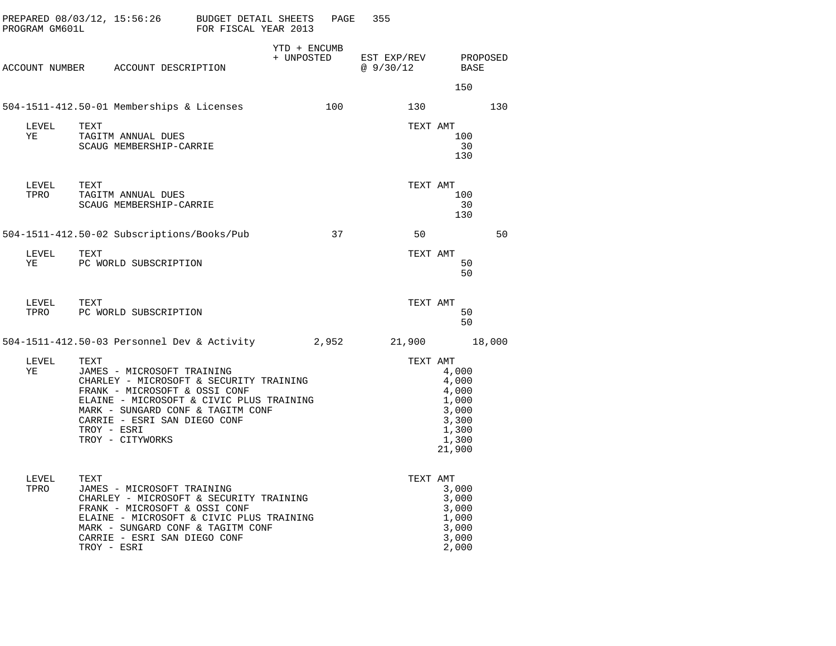| PROGRAM GM601L |      | PREPARED 08/03/12, 15:56:26 BUDGET DETAIL SHEETS                                                                                                                                                                                                           | FOR FISCAL YEAR 2013 |                            | PAGE  | 355                      |          |                                                                                |                  |        |
|----------------|------|------------------------------------------------------------------------------------------------------------------------------------------------------------------------------------------------------------------------------------------------------------|----------------------|----------------------------|-------|--------------------------|----------|--------------------------------------------------------------------------------|------------------|--------|
|                |      | ACCOUNT NUMBER ACCOUNT DESCRIPTION                                                                                                                                                                                                                         |                      | YTD + ENCUMB<br>+ UNPOSTED |       | EST EXP/REV<br>@ 9/30/12 |          |                                                                                | PROPOSED<br>BASE |        |
|                |      |                                                                                                                                                                                                                                                            |                      |                            |       |                          |          |                                                                                | 150              |        |
|                |      | 504-1511-412.50-01 Memberships & Licenses                                                                                                                                                                                                                  |                      |                            | 100   |                          | 130      |                                                                                |                  | 130    |
| LEVEL<br>ΥE    | TEXT | TAGITM ANNUAL DUES<br>SCAUG MEMBERSHIP-CARRIE                                                                                                                                                                                                              |                      |                            |       |                          | TEXT AMT |                                                                                | 100<br>30<br>130 |        |
| LEVEL<br>TPRO  | TEXT | TAGITM ANNUAL DUES<br>SCAUG MEMBERSHIP-CARRIE                                                                                                                                                                                                              |                      |                            |       |                          | TEXT AMT |                                                                                | 100<br>30<br>130 |        |
|                |      | 504-1511-412.50-02 Subscriptions/Books/Pub                                                                                                                                                                                                                 |                      |                            | 37    |                          | 50       |                                                                                |                  | 50     |
| LEVEL<br>ΥE    | TEXT | PC WORLD SUBSCRIPTION                                                                                                                                                                                                                                      |                      |                            |       |                          | TEXT AMT |                                                                                | 50<br>50         |        |
| LEVEL          | TEXT | TPRO PC WORLD SUBSCRIPTION                                                                                                                                                                                                                                 |                      |                            |       |                          | TEXT AMT |                                                                                | 50<br>50         |        |
|                |      | 504-1511-412.50-03 Personnel Dev & Activity                                                                                                                                                                                                                |                      |                            | 2,952 |                          | 21,900   |                                                                                |                  | 18,000 |
| LEVEL<br>ΥE    | TEXT | JAMES - MICROSOFT TRAINING<br>CHARLEY - MICROSOFT & SECURITY TRAINING<br>FRANK - MICROSOFT & OSSI CONF<br>ELAINE - MICROSOFT & CIVIC PLUS TRAINING<br>MARK - SUNGARD CONF & TAGITM CONF<br>CARRIE - ESRI SAN DIEGO CONF<br>TROY - ESRI<br>TROY - CITYWORKS |                      |                            |       |                          | TEXT AMT | 4,000<br>4,000<br>4,000<br>1,000<br>3,000<br>3,300<br>1,300<br>1,300<br>21,900 |                  |        |
| LEVEL<br>TPRO  | TEXT | JAMES - MICROSOFT TRAINING<br>CHARLEY - MICROSOFT & SECURITY TRAINING<br>FRANK - MICROSOFT & OSSI CONF<br>ELAINE - MICROSOFT & CIVIC PLUS TRAINING<br>MARK - SUNGARD CONF & TAGITM CONF<br>CARRIE - ESRI SAN DIEGO CONF<br>TROY - ESRI                     |                      |                            |       |                          | TEXT AMT | 3,000<br>3,000<br>3,000<br>1,000<br>3,000<br>3,000<br>2,000                    |                  |        |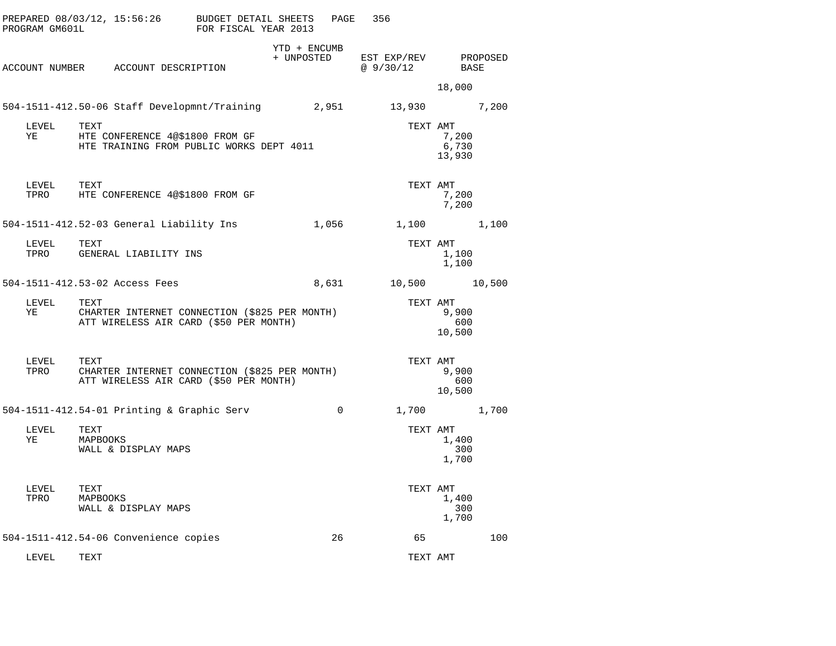| PROGRAM GM601L | PREPARED 08/03/12, 15:56:26 BUDGET DETAIL SHEETS                                                | FOR FISCAL YEAR 2013 | PAGE                       | 356                                   |                          |  |
|----------------|-------------------------------------------------------------------------------------------------|----------------------|----------------------------|---------------------------------------|--------------------------|--|
|                | ACCOUNT NUMBER ACCOUNT DESCRIPTION                                                              |                      | YTD + ENCUMB<br>+ UNPOSTED | EST EXP/REV PROPOSED<br>$Q = 9/30/12$ | BASE                     |  |
|                |                                                                                                 |                      |                            |                                       | 18,000                   |  |
|                | 504-1511-412.50-06 Staff Developmnt/Training 2,951 13,930 7,200                                 |                      |                            |                                       |                          |  |
| LEVEL<br>YE    | TEXT<br>HTE CONFERENCE 4@\$1800 FROM GF<br>HTE TRAINING FROM PUBLIC WORKS DEPT 4011             |                      |                            | TEXT AMT                              | 7,200<br>6,730<br>13,930 |  |
|                | TEXT<br>LEVEL TEXT<br>TPRO HTE CONFERENCE 4@\$1800 FROM GF                                      |                      |                            | TEXT AMT                              | 7,200<br>7,200           |  |
|                |                                                                                                 |                      |                            |                                       | 1,100 1,100              |  |
| LEVEL<br>TPRO  | TEXT<br>GENERAL LIABILITY INS                                                                   |                      |                            | TEXT AMT                              | 1,100<br>1,100           |  |
|                | 504-1511-412.53-02 Access Fees                                                                  |                      |                            | 8,631 10,500 10,500                   |                          |  |
| LEVEL<br>YE    | TEXT<br>CHARTER INTERNET CONNECTION (\$825 PER MONTH)<br>ATT WIRELESS AIR CARD (\$50 PER MONTH) |                      |                            | TEXT AMT                              | 9,900<br>600<br>10,500   |  |
| LEVEL<br>TPRO  | TEXT<br>CHARTER INTERNET CONNECTION (\$825 PER MONTH)<br>ATT WIRELESS AIR CARD (\$50 PER MONTH) |                      |                            | TEXT AMT                              | 9,900<br>600<br>10,500   |  |
|                | 504-1511-412.54-01 Printing & Graphic Serv                                                      |                      | $\overline{0}$             |                                       | 1,700 1,700              |  |
| LEVEL<br>YE    | TEXT<br>MAPBOOKS<br>WALL & DISPLAY MAPS                                                         |                      |                            | TEXT AMT                              | 1,400<br>300<br>1,700    |  |
| LEVEL<br>TPRO  | TEXT<br>MAPBOOKS<br>WALL & DISPLAY MAPS                                                         |                      |                            | TEXT AMT                              | 1,400<br>300<br>1,700    |  |
|                | 504-1511-412.54-06 Convenience copies                                                           |                      | 26                         | 65                                    | 100                      |  |
| LEVEL          | TEXT                                                                                            |                      |                            | TEXT AMT                              |                          |  |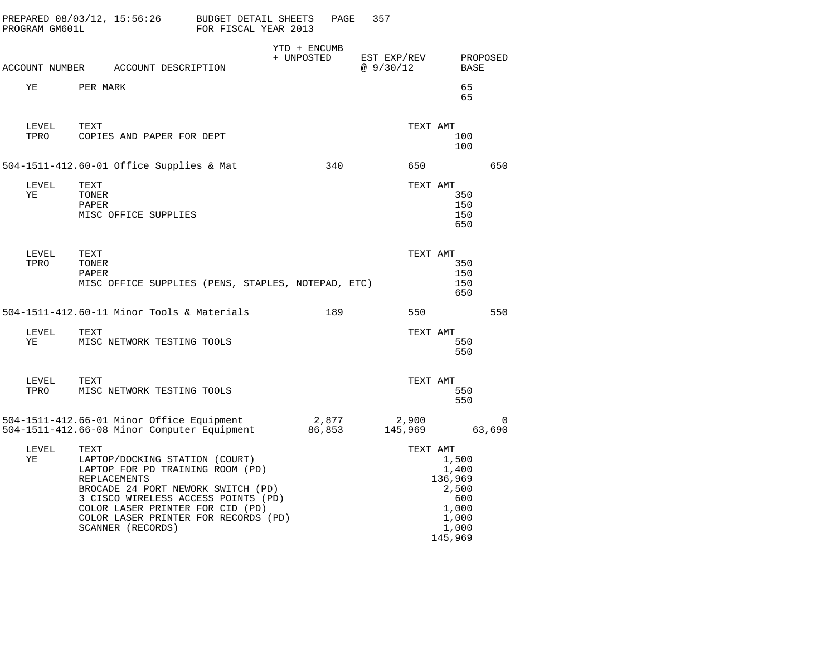| PROGRAM GM601L |                        | PREPARED 08/03/12, 15:56:26 BUDGET DETAIL SHEETS                                                                                                                                                                                                                        | FOR FISCAL YEAR 2013 |                            | PAGE  | 357                     |                  |                                                                                 |                       |
|----------------|------------------------|-------------------------------------------------------------------------------------------------------------------------------------------------------------------------------------------------------------------------------------------------------------------------|----------------------|----------------------------|-------|-------------------------|------------------|---------------------------------------------------------------------------------|-----------------------|
|                |                        | ACCOUNT NUMBER ACCOUNT DESCRIPTION                                                                                                                                                                                                                                      |                      | YTD + ENCUMB<br>+ UNPOSTED |       | EST EXP/REV<br>@9/30/12 |                  |                                                                                 | PROPOSED<br>BASE      |
| ΥE             | PER MARK               |                                                                                                                                                                                                                                                                         |                      |                            |       |                         |                  | 65<br>65                                                                        |                       |
| LEVEL<br>TPRO  | TEXT                   | COPIES AND PAPER FOR DEPT                                                                                                                                                                                                                                               |                      |                            |       |                         | TEXT AMT         | 100<br>100                                                                      |                       |
|                |                        | 504-1511-412.60-01 Office Supplies & Mat                                                                                                                                                                                                                                |                      |                            | 340   |                         | 650              |                                                                                 | 650                   |
| LEVEL<br>ΥE    | TEXT<br>TONER<br>PAPER | MISC OFFICE SUPPLIES                                                                                                                                                                                                                                                    |                      |                            |       |                         | TEXT AMT         | 350<br>150<br>150<br>650                                                        |                       |
| LEVEL<br>TPRO  | TEXT<br>TONER<br>PAPER | MISC OFFICE SUPPLIES (PENS, STAPLES, NOTEPAD, ETC)                                                                                                                                                                                                                      |                      |                            |       |                         | TEXT AMT         | 350<br>150<br>150<br>650                                                        |                       |
|                |                        | 504-1511-412.60-11 Minor Tools & Materials                                                                                                                                                                                                                              |                      |                            | 189   |                         | 550              |                                                                                 | 550                   |
| LEVEL<br>YE    | TEXT                   | MISC NETWORK TESTING TOOLS                                                                                                                                                                                                                                              |                      |                            |       |                         | TEXT AMT         | 550<br>550                                                                      |                       |
| LEVEL<br>TPRO  | TEXT                   | MISC NETWORK TESTING TOOLS                                                                                                                                                                                                                                              |                      |                            |       |                         | TEXT AMT         | 550<br>550                                                                      |                       |
|                |                        | 504-1511-412.66-01 Minor Office Equipment<br>504-1511-412.66-08 Minor Computer Equipment                                                                                                                                                                                |                      | 86,853                     | 2,877 |                         | 2,900<br>145,969 |                                                                                 | $\mathbf 0$<br>63,690 |
| LEVEL<br>ΥE    | TEXT                   | LAPTOP/DOCKING STATION (COURT)<br>LAPTOP FOR PD TRAINING ROOM (PD)<br><b>REPLACEMENTS</b><br>BROCADE 24 PORT NEWORK SWITCH (PD)<br>3 CISCO WIRELESS ACCESS POINTS (PD)<br>COLOR LASER PRINTER FOR CID (PD)<br>COLOR LASER PRINTER FOR RECORDS (PD)<br>SCANNER (RECORDS) |                      |                            |       |                         | TEXT AMT         | 1,500<br>1,400<br>136,969<br>2,500<br>600<br>1,000<br>1,000<br>1,000<br>145,969 |                       |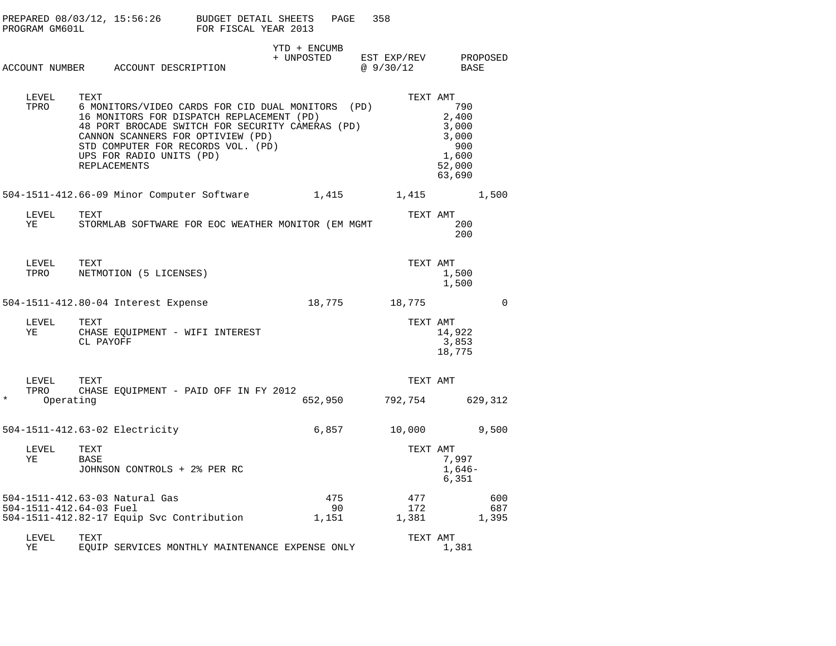|         | PROGRAM GM601L          |                   | PREPARED $08/03/12$ , $15:56:26$ BUDGET DETAIL SHEETS                                                                                                                                                                                                                            | FOR FISCAL YEAR 2013 |                            | PAGE    | 358                      |                                                                    |              |
|---------|-------------------------|-------------------|----------------------------------------------------------------------------------------------------------------------------------------------------------------------------------------------------------------------------------------------------------------------------------|----------------------|----------------------------|---------|--------------------------|--------------------------------------------------------------------|--------------|
|         |                         |                   | ACCOUNT NUMBER ACCOUNT DESCRIPTION                                                                                                                                                                                                                                               |                      | YTD + ENCUMB<br>+ UNPOSTED |         | EST EXP/REV<br>@ 9/30/12 | BASE                                                               | PROPOSED     |
|         | LEVEL<br>TPRO           | TEXT              | 6 MONITORS/VIDEO CARDS FOR CID DUAL MONITORS (PD)<br>16 MONITORS FOR DISPATCH REPLACEMENT (PD)<br>48 PORT BROCADE SWITCH FOR SECURITY CAMERAS (PD)<br>CANNON SCANNERS FOR OPTIVIEW (PD)<br>STD COMPUTER FOR RECORDS VOL. (PD)<br>UPS FOR RADIO UNITS (PD)<br><b>REPLACEMENTS</b> |                      |                            |         | TEXT AMT                 | 790<br>2,400<br>3,000<br>3,000<br>900<br>1,600<br>52,000<br>63,690 |              |
|         |                         |                   | 504-1511-412.66-09 Minor Computer Software 1,415 1,415                                                                                                                                                                                                                           |                      |                            |         |                          |                                                                    | 1,500        |
|         | LEVEL<br>ΥE             | TEXT              | STORMLAB SOFTWARE FOR EOC WEATHER MONITOR (EM MGMT                                                                                                                                                                                                                               |                      |                            |         | TEXT AMT                 | 200<br>200                                                         |              |
|         | LEVEL<br>TPRO           | TEXT              | NETMOTION (5 LICENSES)                                                                                                                                                                                                                                                           |                      |                            |         | TEXT AMT                 | 1,500<br>1,500                                                     |              |
|         |                         |                   | 504-1511-412.80-04 Interest Expense                                                                                                                                                                                                                                              |                      | 18,775                     |         | 18,775                   |                                                                    | $\mathbf 0$  |
|         | LEVEL<br>ΥE             | TEXT<br>CL PAYOFF | CHASE EQUIPMENT - WIFI INTEREST                                                                                                                                                                                                                                                  |                      |                            |         | TEXT AMT                 | 14,922<br>3,853<br>18,775                                          |              |
|         | LEVEL<br>TPRO           | TEXT              | CHASE EQUIPMENT - PAID OFF IN FY 2012                                                                                                                                                                                                                                            |                      |                            |         | TEXT AMT                 |                                                                    |              |
| $\star$ | Operating               |                   |                                                                                                                                                                                                                                                                                  |                      |                            | 652,950 | 792,754 629,312          |                                                                    |              |
|         |                         |                   | 504-1511-412.63-02 Electricity                                                                                                                                                                                                                                                   |                      |                            | 6,857   | 10,000                   |                                                                    | 9,500        |
|         | LEVEL<br>ΥE             | TEXT<br>BASE      | JOHNSON CONTROLS + 2% PER RC                                                                                                                                                                                                                                                     |                      |                            |         | TEXT AMT                 | 7,997<br>$1,646-$<br>6,351                                         |              |
|         |                         |                   | 504-1511-412.63-03 Natural Gas                                                                                                                                                                                                                                                   |                      |                            | 475     | 477                      |                                                                    | 600          |
|         | 504-1511-412.64-03 Fuel |                   | 504-1511-412.82-17 Equip Svc Contribution                                                                                                                                                                                                                                        |                      | 1,151                      | 90      | 172<br>1,381             |                                                                    | 687<br>1,395 |
|         | LEVEL<br>ΥE             | TEXT              | EQUIP SERVICES MONTHLY MAINTENANCE EXPENSE ONLY                                                                                                                                                                                                                                  |                      |                            |         | TEXT AMT                 | 1,381                                                              |              |